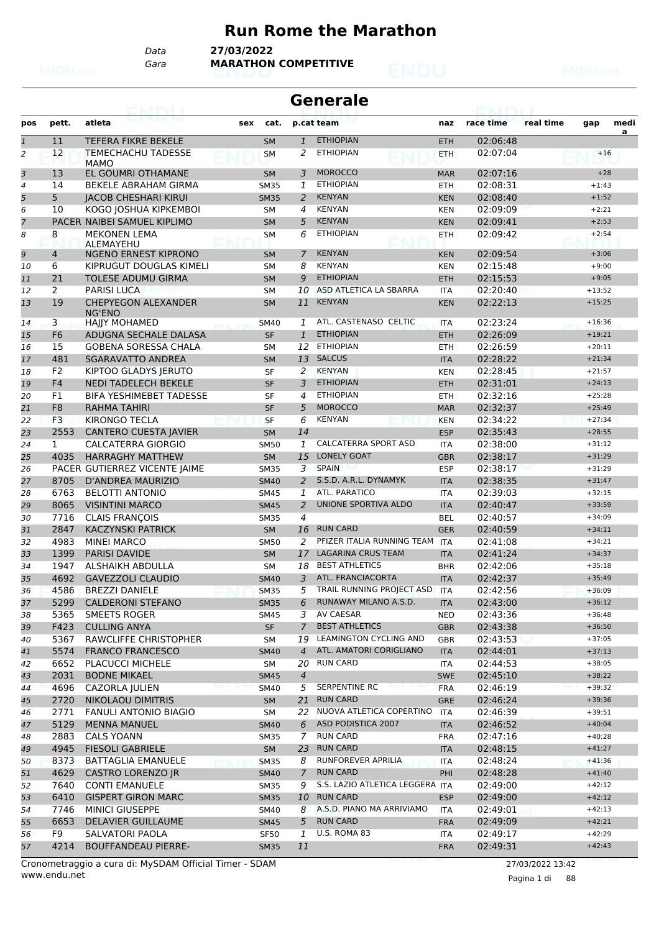#### **Run Rome the Marathon**

*Data* **27/03/2022**

*Gara* **MARATHON COMPETITIVE**

|                |                |                                                |     |                     |                      | Generale                                               |                          |                      |           |                      |           |
|----------------|----------------|------------------------------------------------|-----|---------------------|----------------------|--------------------------------------------------------|--------------------------|----------------------|-----------|----------------------|-----------|
| pos            | pett.          | atleta                                         | sex | cat.                |                      | p.cat team                                             | naz                      | race time            | real time | gap                  | medi<br>a |
| $\mathbf{1}$   | 11             | <b>TEFERA FIKRE BEKELE</b>                     |     | <b>SM</b>           | $\mathbf{1}$         | <b>ETHIOPIAN</b>                                       | <b>ETH</b>               | 02:06:48             |           |                      |           |
| $\overline{c}$ | 12             | <b>TEMECHACHU TADESSE</b>                      |     | <b>SM</b>           | 2                    | <b>ETHIOPIAN</b>                                       | <b>ETH</b>               | 02:07:04             |           | $+16$                |           |
| 3              | 13             | <b>MAMO</b><br>EL GOUMRI OTHAMANE              |     | <b>SM</b>           | 3                    | <b>MOROCCO</b>                                         | <b>MAR</b>               | 02:07:16             |           | $+28$                |           |
| 4              | 14             | BEKELE ABRAHAM GIRMA                           |     | <b>SM35</b>         | 1                    | <b>ETHIOPIAN</b>                                       | <b>ETH</b>               | 02:08:31             |           | $+1:43$              |           |
| 5              | 5              | <b>JACOB CHESHARI KIRUI</b>                    |     | <b>SM35</b>         | 2                    | <b>KENYAN</b>                                          | <b>KEN</b>               | 02:08:40             |           | $+1:52$              |           |
| 6              | 10             | KOGO JOSHUA KIPKEMBOI                          |     | <b>SM</b>           | 4                    | <b>KENYAN</b>                                          | <b>KEN</b>               | 02:09:09             |           | $+2:21$              |           |
| $\overline{7}$ |                | PACER NAIBEI SAMUEL KIPLIMO                    |     | <b>SM</b>           | 5                    | <b>KENYAN</b>                                          | <b>KEN</b>               | 02:09:41             |           | $+2:53$              |           |
| 8              | 8              | <b>MEKONEN LEMA</b>                            |     | SM                  | 6                    | <b>ETHIOPIAN</b>                                       | <b>ETH</b>               | 02:09:42             |           | $+2:54$              |           |
|                |                | ALEMAYEHU                                      |     |                     |                      |                                                        |                          |                      |           |                      |           |
| 9              | 4              | <b>NGENO ERNEST KIPRONO</b>                    |     | <b>SM</b>           | 7                    | <b>KENYAN</b>                                          | <b>KEN</b>               | 02:09:54             |           | $+3:06$              |           |
| 10             | 6              | KIPRUGUT DOUGLAS KIMELI                        |     | <b>SM</b>           | 8                    | <b>KENYAN</b>                                          | <b>KEN</b>               | 02:15:48             |           | $+9:00$              |           |
| 11             | 21             | <b>TOLESE ADUMU GIRMA</b>                      |     | <b>SM</b>           | 9                    | <b>ETHIOPIAN</b>                                       | <b>ETH</b>               | 02:15:53             |           | $+9:05$              |           |
| 12             | 2              | PARISI LUCA                                    |     | <b>SM</b>           | 10                   | ASD ATLETICA LA SBARRA                                 | <b>ITA</b>               | 02:20:40             |           | $+13:52$             |           |
| 13             | 19             | <b>CHEPYEGON ALEXANDER</b><br>NG'ENO           |     | <b>SM</b>           | 11                   | <b>KENYAN</b>                                          | <b>KEN</b>               | 02:22:13             |           | $+15:25$             |           |
| 14             | 3              | <b>HAJJY MOHAMED</b>                           |     | <b>SM40</b>         | 1                    | ATL. CASTENASO CELTIC                                  | <b>ITA</b>               | 02:23:24             |           | $+16:36$             |           |
| 15             | F <sub>6</sub> | ADUGNA SECHALE DALASA                          |     | <b>SF</b>           | $\mathbf{1}$         | <b>ETHIOPIAN</b>                                       | <b>ETH</b>               | 02:26:09             |           | $+19:21$             |           |
| 16             | 15             | <b>GOBENA SORESSA CHALA</b>                    |     | <b>SM</b>           | 12                   | <b>ETHIOPIAN</b>                                       | <b>ETH</b>               | 02:26:59             |           | $+20:11$             |           |
| 17             | 481            | <b>SGARAVATTO ANDREA</b>                       |     | <b>SM</b>           | 13                   | <b>SALCUS</b>                                          | <b>ITA</b>               | 02:28:22             |           | $+21:34$             |           |
| 18             | F <sub>2</sub> | KIPTOO GLADYS IERUTO                           |     | SF                  | 2                    | <b>KENYAN</b>                                          | <b>KEN</b>               | 02:28:45             |           | $+21:57$             |           |
| 19             | F <sub>4</sub> | <b>NEDI TADELECH BEKELE</b>                    |     | <b>SF</b>           | 3                    | <b>ETHIOPIAN</b>                                       | <b>ETH</b>               | 02:31:01             |           | $+24:13$             |           |
| 20             | F1             | <b>BIFA YESHIMEBET TADESSE</b>                 |     | <b>SF</b>           | 4                    | <b>ETHIOPIAN</b>                                       | <b>ETH</b>               | 02:32:16             |           | $+25:28$             |           |
| 21             | F <sub>8</sub> | <b>RAHMA TAHIRI</b>                            |     | <b>SF</b>           | 5                    | <b>MOROCCO</b>                                         | <b>MAR</b>               | 02:32:37             |           | $+25:49$             |           |
| 22             | F3             | <b>KIRONGO TECLA</b>                           |     | <b>SF</b>           | 6                    | <b>KENYAN</b>                                          | <b>KEN</b>               | 02:34:22             |           | $+27:34$             |           |
| 23             | 2553           | <b>CANTERO CUESTA JAVIER</b>                   |     | <b>SM</b>           | 14                   |                                                        | <b>ESP</b>               | 02:35:43             |           | $+28:55$             |           |
| 24             | $\mathbf{1}$   | <b>CALCATERRA GIORGIO</b>                      |     | <b>SM50</b>         | $\mathbf{1}$         | <b>CALCATERRA SPORT ASD</b>                            | <b>ITA</b>               | 02:38:00             |           | $+31:12$             |           |
| 25             | 4035           | <b>HARRAGHY MATTHEW</b>                        |     | <b>SM</b>           | 15                   | <b>LONELY GOAT</b>                                     | <b>GBR</b>               | 02:38:17             |           | $+31:29$             |           |
| 26             |                | PACER GUTIERREZ VICENTE JAIME                  |     | <b>SM35</b>         | 3                    | <b>SPAIN</b>                                           | <b>ESP</b>               | 02:38:17             |           | $+31:29$             |           |
| 27             | 8705           | <b>D'ANDREA MAURIZIO</b>                       |     | <b>SM40</b>         | $\overline{2}$       | S.S.D. A.R.L. DYNAMYK                                  | <b>ITA</b>               | 02:38:35             |           | $+31:47$             |           |
| 28             | 6763           | <b>BELOTTI ANTONIO</b>                         |     | <b>SM45</b>         | 1                    | ATL. PARATICO                                          | <b>ITA</b>               | 02:39:03             |           | $+32:15$             |           |
| 29             | 8065           | <b>VISINTINI MARCO</b>                         |     | <b>SM45</b>         | 2                    | UNIONE SPORTIVA ALDO                                   | <b>ITA</b>               | 02:40:47             |           | $+33:59$             |           |
| 30             | 7716           | <b>CLAIS FRANCOIS</b>                          |     | <b>SM35</b>         | 4                    |                                                        | <b>BEL</b>               | 02:40:57             |           | $+34:09$             |           |
| 31             | 2847           | <b>KACZYNSKI PATRICK</b>                       |     | <b>SM</b>           | 16                   | <b>RUN CARD</b>                                        | <b>GER</b>               | 02:40:59             |           | $+34:11$             |           |
| 32             | 4983           | <b>MINEI MARCO</b>                             |     | <b>SM50</b>         | 2                    | PFIZER ITALIA RUNNING TEAM                             | <b>ITA</b>               | 02:41:08             |           | $+34:21$             |           |
| 33             | 1399           | <b>PARISI DAVIDE</b>                           |     | <b>SM</b>           | 17                   | <b>LAGARINA CRUS TEAM</b>                              | <b>ITA</b>               | 02:41:24             |           | $+34:37$             |           |
| 34             | 1947           | ALSHAIKH ABDULLA                               |     | <b>SM</b>           | 18                   | <b>BEST ATHLETICS</b>                                  | <b>BHR</b>               | 02:42:06             |           | $+35:18$             |           |
| 35             | 4692           | <b>GAVEZZOLI CLAUDIO</b>                       |     | <b>SM40</b>         | 3                    | ATL. FRANCIACORTA                                      | <b>ITA</b>               | 02:42:37             |           | $+35:49$             |           |
| 36             | 4586           | <b>BREZZI DANIELE</b>                          |     | <b>SM35</b>         | 5                    | TRAIL RUNNING PROJECT ASD                              | <b>ITA</b>               | 02:42:56             |           | $+36:09$             |           |
| 37             | 5299           | <b>CALDERONI STEFANO</b>                       |     | <b>SM35</b>         | 6                    | RUNAWAY MILANO A.S.D.                                  | <b>ITA</b>               | 02:43:00             |           | $+36:12$             |           |
| 38             | 5365           | SMEETS ROGER                                   |     | <b>SM45</b>         | 3                    | AV CAESAR                                              | <b>NED</b>               | 02:43:36             |           | $+36:48$             |           |
| 39             | F423           | <b>CULLING ANYA</b>                            |     | <b>SF</b>           | $\overline{7}$       | <b>BEST ATHLETICS</b><br><b>LEAMINGTON CYCLING AND</b> | <b>GBR</b>               | 02:43:38             |           | $+36:50$             |           |
| 40             | 5367           | RAWCLIFFE CHRISTOPHER                          |     | SM                  | 19                   | ATL. AMATORI CORIGLIANO                                | GBR                      | 02:43:53             |           | $+37:05$             |           |
| 41             | 5574           | <b>FRANCO FRANCESCO</b>                        |     | <b>SM40</b>         | $\overline{4}$       | <b>RUN CARD</b>                                        | <b>ITA</b>               | 02:44:01             |           | $+37:13$<br>$+38:05$ |           |
| 42             | 6652<br>2031   | <b>PLACUCCI MICHELE</b><br><b>BODNE MIKAEL</b> |     | SM                  | 20<br>$\overline{4}$ |                                                        | ITA                      | 02:44:53<br>02:45:10 |           | $+38:22$             |           |
| 43             | 4696           | <b>CAZORLA JULIEN</b>                          |     | <b>SM45</b>         | 5                    | <b>SERPENTINE RC</b>                                   | <b>SWE</b><br><b>FRA</b> | 02:46:19             |           | $+39:32$             |           |
| 44             | 2720           | NIKOLAOU DIMITRIS                              |     | <b>SM40</b><br>SM   | 21                   | <b>RUN CARD</b>                                        | <b>GRE</b>               | 02:46:24             |           | $+39:36$             |           |
| 45             | 2771           | FANULI ANTONIO BIAGIO                          |     |                     | 22                   | NUOVA ATLETICA COPERTINO                               |                          | 02:46:39             |           | $+39:51$             |           |
| 46<br>47       | 5129           | <b>MENNA MANUEL</b>                            |     | SM<br><b>SM40</b>   | 6                    | ASD PODISTICA 2007                                     | <b>ITA</b><br><b>ITA</b> | 02:46:52             |           | $+40:04$             |           |
| 48             | 2883           | <b>CALS YOANN</b>                              |     | <b>SM35</b>         | 7                    | <b>RUN CARD</b>                                        | <b>FRA</b>               | 02:47:16             |           | $+40:28$             |           |
|                | 4945           | <b>FIESOLI GABRIELE</b>                        |     | SM                  | 23                   | <b>RUN CARD</b>                                        | <b>ITA</b>               | 02:48:15             |           | $+41:27$             |           |
| 49<br>50       | 8373           | <b>BATTAGLIA EMANUELE</b>                      |     | <b>SM35</b>         | 8                    | RUNFOREVER APRILIA                                     | ITA                      | 02:48:24             |           | $+41:36$             |           |
|                | 4629           | <b>CASTRO LORENZO JR</b>                       |     | <b>SM40</b>         | $\overline{7}$       | <b>RUN CARD</b>                                        | PHI                      | 02:48:28             |           | $+41:40$             |           |
| 51             | 7640           | <b>CONTI EMANUELE</b>                          |     |                     | 9                    | S.S. LAZIO ATLETICA LEGGERA ITA                        |                          | 02:49:00             |           | $+42:12$             |           |
| 52             | 6410           | <b>GISPERT GIRON MARC</b>                      |     | <b>SM35</b>         | 10                   | <b>RUN CARD</b>                                        | <b>ESP</b>               | 02:49:00             |           | $+42:12$             |           |
| 53             | 7746           | <b>MINICI GIUSEPPE</b>                         |     | <b>SM35</b>         | 8                    | A.S.D. PIANO MA ARRIVIAMO                              | ITA                      | 02:49:01             |           | $+42:13$             |           |
| 54             | 6653           | <b>DELAVIER GUILLAUME</b>                      |     | SM40<br><b>SM45</b> | 5                    | <b>RUN CARD</b>                                        | <b>FRA</b>               | 02:49:09             |           | $+42:21$             |           |
| 55             | F9             | SALVATORI PAOLA                                |     | <b>SF50</b>         | 1                    | U.S. ROMA 83                                           |                          | 02:49:17             |           | $+42:29$             |           |
| 56<br>57       | 4214           | <b>BOUFFANDEAU PIERRE-</b>                     |     | <b>SM35</b>         | 11                   |                                                        | ITA<br><b>FRA</b>        | 02:49:31             |           | $+42:43$             |           |
|                |                |                                                |     |                     |                      |                                                        |                          |                      |           |                      |           |

www.endu.net Cronometraggio a cura di: MySDAM Official Timer - SDAM 27/03/2022 13:42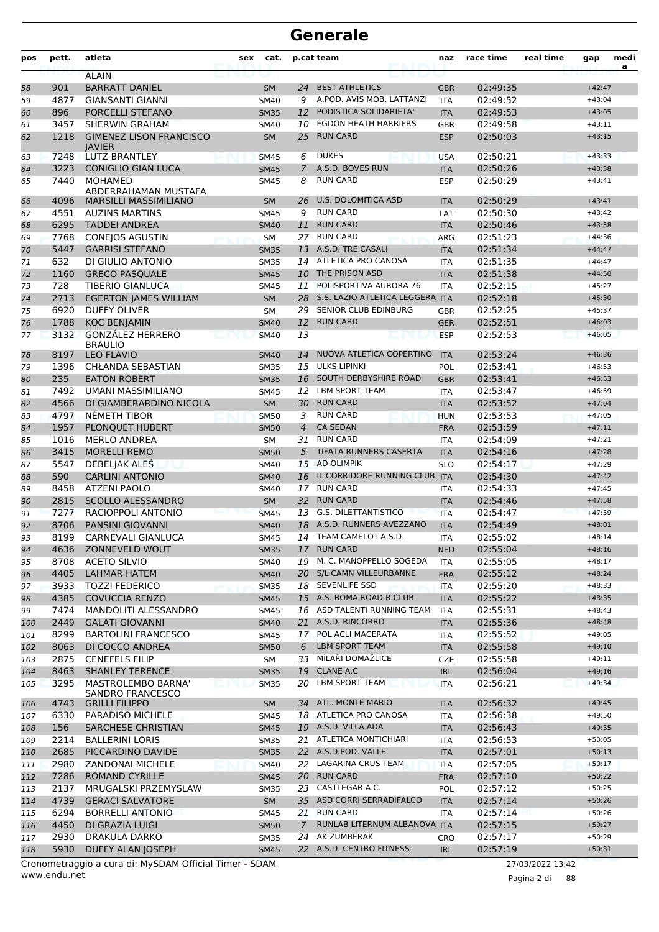| pos        | pett.        | atleta                                                  | sex     | cat.                       |                | p.cat team                                     | naz                      | race time            | real time | gap                  | medi<br>a |
|------------|--------------|---------------------------------------------------------|---------|----------------------------|----------------|------------------------------------------------|--------------------------|----------------------|-----------|----------------------|-----------|
|            |              | <b>ALAIN</b>                                            |         |                            |                |                                                |                          |                      |           |                      |           |
| 58         | 901          | <b>BARRATT DANIEL</b>                                   |         | <b>SM</b>                  | 24             | <b>BEST ATHLETICS</b>                          | <b>GBR</b>               | 02:49:35             |           | $+42:47$             |           |
| 59         | 4877         | <b>GIANSANTI GIANNI</b>                                 |         | <b>SM40</b>                | 9              | A.POD. AVIS MOB. LATTANZI                      | <b>ITA</b>               | 02:49:52             |           | $+43:04$             |           |
| 60         | 896          | PORCELLI STEFANO                                        |         | <b>SM35</b>                | 12             | PODISTICA SOLIDARIETA'                         | <b>ITA</b>               | 02:49:53             |           | $+43:05$             |           |
| 61<br>62   | 3457<br>1218 | <b>SHERWIN GRAHAM</b><br><b>GIMENEZ LISON FRANCISCO</b> |         | <b>SM40</b><br><b>SM</b>   | 10<br>25       | <b>EGDON HEATH HARRIERS</b><br><b>RUN CARD</b> | <b>GBR</b><br><b>ESP</b> | 02:49:58<br>02:50:03 |           | $+43:11$<br>$+43:15$ |           |
|            |              | <b>IAVIER</b>                                           |         |                            |                |                                                |                          |                      |           |                      |           |
| 63         | 7248         | <b>LUTZ BRANTLEY</b>                                    |         | <b>SM45</b>                | 6              | <b>DUKES</b>                                   | <b>USA</b>               | 02:50:21             |           | $+43:33$             |           |
| 64         | 3223         | <b>CONIGLIO GIAN LUCA</b>                               |         | <b>SM45</b>                | $\overline{7}$ | A.S.D. BOVES RUN                               | <b>ITA</b>               | 02:50:26             |           | $+43:38$             |           |
| 65         | 7440         | <b>MOHAMED</b><br>ABDERRAHAMAN MUSTAFA                  |         | <b>SM45</b>                | 8              | <b>RUN CARD</b>                                | <b>ESP</b>               | 02:50:29             |           | $+43:41$             |           |
| 66         | 4096         | <b>MARSILLI MASSIMILIANO</b>                            |         | <b>SM</b>                  | 26             | U.S. DOLOMITICA ASD                            | <b>ITA</b>               | 02:50:29             |           | $+43:41$             |           |
| 67         | 4551         | <b>AUZINS MARTINS</b>                                   |         | <b>SM45</b>                | 9              | <b>RUN CARD</b>                                | LAT                      | 02:50:30             |           | $+43:42$             |           |
| 68         | 6295         | <b>TADDEI ANDREA</b>                                    |         | <b>SM40</b>                | 11             | <b>RUN CARD</b>                                | <b>ITA</b>               | 02:50:46             |           | $+43:58$             |           |
| 69         | 7768         | <b>CONEJOS AGUSTIN</b>                                  |         | <b>SM</b>                  | 27             | <b>RUN CARD</b>                                | ARG                      | 02:51:23             |           | $+44:36$             |           |
| 70         | 5447         | <b>GARRISI STEFANO</b>                                  |         | <b>SM35</b>                |                | 13 A.S.D. TRE CASALI                           | <b>ITA</b>               | 02:51:34             |           | $+44:47$             |           |
| 71         | 632          | DI GIULIO ANTONIO                                       |         | <b>SM35</b>                | 14             | ATLETICA PRO CANOSA                            | <b>ITA</b>               | 02:51:35             |           | $+44:47$             |           |
| 72         | 1160         | <b>GRECO PASQUALE</b>                                   |         | <b>SM45</b>                | 10             | THE PRISON ASD                                 | <b>ITA</b>               | 02:51:38             |           | $+44:50$             |           |
| 73         | 728          | <b>TIBERIO GIANLUCA</b>                                 |         | <b>SM45</b>                | 11             | POLISPORTIVA AURORA 76                         | <b>ITA</b>               | 02:52:15             |           | $+45:27$             |           |
| 74         | 2713         | <b>EGERTON JAMES WILLIAM</b>                            |         | <b>SM</b>                  | 28             | S.S. LAZIO ATLETICA LEGGERA                    | <b>ITA</b>               | 02:52:18             |           | $+45:30$             |           |
| 75         | 6920         | <b>DUFFY OLIVER</b>                                     |         | <b>SM</b>                  | 29             | SENIOR CLUB EDINBURG                           | <b>GBR</b>               | 02:52:25             |           | $+45:37$             |           |
| 76         | 1788         | <b>KOC BENJAMIN</b>                                     |         | <b>SM40</b>                | 12             | <b>RUN CARD</b>                                | <b>GER</b>               | 02:52:51             |           | $+46:03$             |           |
| 77         | 3132         | <b>GONZÁLEZ HERRERO</b><br><b>BRAULIO</b>               |         | <b>SM40</b>                | 13             |                                                | <b>ESP</b>               | 02:52:53             |           | $+46:05$             |           |
| 78         | 8197         | <b>LEO FLAVIO</b>                                       |         | <b>SM40</b>                | 14             | NUOVA ATLETICA COPERTINO                       | <b>ITA</b>               | 02:53:24             |           | $+46:36$             |           |
| 79         | 1396         | CHŁANDA SEBASTIAN                                       |         | <b>SM35</b>                | 15             | <b>ULKS LIPINKI</b>                            | POL                      | 02:53:41             |           | $+46:53$             |           |
| 80         | 235          | <b>EATON ROBERT</b>                                     |         | <b>SM35</b>                | 16             | SOUTH DERBYSHIRE ROAD                          | <b>GBR</b>               | 02:53:41             |           | $+46:53$             |           |
| 81         | 7492         | <b>UMANI MASSIMILIANO</b>                               |         | <b>SM45</b>                | 12             | <b>LBM SPORT TEAM</b>                          | <b>ITA</b>               | 02:53:47             |           | $+46:59$             |           |
| 82         | 4566         | DI GIAMBERARDINO NICOLA                                 |         | <b>SM</b>                  | 30             | <b>RUN CARD</b>                                | <b>ITA</b>               | 02:53:52             |           | $+47:04$             |           |
| 83         | 4797         | NÉMETH TIBOR                                            |         | <b>SM50</b>                | 3              | <b>RUN CARD</b>                                | <b>HUN</b>               | 02:53:53             |           | $+47:05$             |           |
| 84         | 1957         | PLONQUET HUBERT                                         |         | <b>SM50</b>                | $\overline{4}$ | <b>CA SEDAN</b>                                | <b>FRA</b>               | 02:53:59             |           | $+47:11$             |           |
| 85         | 1016         | <b>MERLO ANDREA</b>                                     |         | <b>SM</b>                  | 31             | <b>RUN CARD</b>                                | <b>ITA</b>               | 02:54:09             |           | $+47:21$             |           |
| 86         | 3415         | <b>MORELLI REMO</b><br>DEBELJAK ALEŠ                    |         | <b>SM50</b>                | 5<br>15        | TIFATA RUNNERS CASERTA<br><b>AD OLIMPIK</b>    | <b>ITA</b>               | 02:54:16<br>02:54:17 |           | $+47:28$<br>$+47:29$ |           |
| 87<br>88   | 5547<br>590  | <b>CARLINI ANTONIO</b>                                  |         | <b>SM40</b><br><b>SM40</b> | 16             | IL CORRIDORE RUNNING CLUB ITA                  | <b>SLO</b>               | 02:54:30             |           | $+47:42$             |           |
| 89         | 8458         | <b>ATZENI PAOLO</b>                                     |         | <b>SM40</b>                | 17             | <b>RUN CARD</b>                                | <b>ITA</b>               | 02:54:33             |           | $+47:45$             |           |
| 90         | 2815         | <b>SCOLLO ALESSANDRO</b>                                |         | <b>SM</b>                  | 32             | <b>RUN CARD</b>                                | <b>ITA</b>               | 02:54:46             |           | $+47:58$             |           |
| 91         | 7277         | RACIOPPOLI ANTONIO                                      |         | <b>SM45</b>                | 13             | G.S. DILETTANTISTICO                           | <b>ITA</b>               | 02:54:47             |           | $+47:59$             |           |
| 92         | 8706         | <b>PANSINI GIOVANNI</b>                                 |         | <b>SM40</b>                | 18             | A.S.D. RUNNERS AVEZZANO                        | <b>ITA</b>               | 02:54:49             |           | $+48:01$             |           |
| 93         | 8199         | CARNEVALI GIANLUCA                                      |         | <b>SM45</b>                | 14             | TEAM CAMELOT A.S.D.                            | <b>ITA</b>               | 02:55:02             |           | $+48:14$             |           |
| 94         | 4636         | <b>ZONNEVELD WOUT</b>                                   |         | <b>SM35</b>                |                | 17 RUN CARD                                    | <b>NED</b>               | 02:55:04             |           | $+48:16$             |           |
| 95         | 8708         | <b>ACETO SILVIO</b>                                     |         | SM40                       |                | 19 M. C. MANOPPELLO SOGEDA                     | <b>ITA</b>               | 02:55:05             |           | $+48:17$             |           |
| 96         | 4405         | <b>LAHMAR HATEM</b>                                     |         | <b>SM40</b>                |                | 20 S/L CAMN VILLEURBANNE                       | <b>FRA</b>               | 02:55:12             |           | $+48:24$             |           |
| 97         | 3933         | <b>TOZZI FEDERICO</b>                                   |         | <b>SM35</b>                |                | 18 SEVENLIFE SSD                               | <b>ITA</b>               | 02:55:20             |           | $+48:33$             |           |
| 98         | 4385         | <b>COVUCCIA RENZO</b>                                   |         | <b>SM45</b>                |                | 15 A.S. ROMA ROAD R.CLUB                       | <b>ITA</b>               | 02:55:22             |           | $+48:35$             |           |
| 99         | 7474         | MANDOLITI ALESSANDRO                                    |         | SM45                       |                | 16 ASD TALENTI RUNNING TEAM                    | ITA                      | 02:55:31             |           | $+48:43$             |           |
| 100        | 2449         | <b>GALATI GIOVANNI</b>                                  |         | <b>SM40</b>                |                | 21 A.S.D. RINCORRO<br>POL ACLI MACERATA        | <b>ITA</b>               | 02:55:36             |           | $+48:48$<br>$+49:05$ |           |
| 101<br>102 | 8299<br>8063 | <b>BARTOLINI FRANCESCO</b><br>DI COCCO ANDREA           |         | SM45<br><b>SM50</b>        | 17<br>6        | <b>LBM SPORT TEAM</b>                          | ITA<br><b>ITA</b>        | 02:55:52<br>02:55:58 |           | $+49:10$             |           |
| 103        | 2875         | <b>CENEFELS FILIP</b>                                   |         | SM                         | 33             | MÍLAŘI DOMAŽLICE                               | <b>CZE</b>               | 02:55:58             |           | $+49:11$             |           |
| 104        | 8463         | <b>SHANLEY TERENCE</b>                                  |         | <b>SM35</b>                |                | 19 CLANE A.C                                   | <b>IRL</b>               | 02:56:04             |           | $+49:16$             |           |
| 105        | 3295         | MASTROLEMBO BARNA'                                      | LET NIL | <b>SM35</b>                | 20             | LBM SPORT TEAM                                 | <b>ITA</b>               | 02:56:21             |           | $+49:34$             |           |
|            |              | SANDRO FRANCESCO                                        |         |                            |                |                                                |                          |                      |           |                      |           |
| 106        | 4743         | <b>GRILLI FILIPPO</b>                                   |         | <b>SM</b>                  |                | 34 ATL. MONTE MARIO                            | <b>ITA</b>               | 02:56:32             |           | $+49:45$             |           |
| 107        | 6330         | PARADISO MICHELE                                        |         | SM45                       |                | 18 ATLETICA PRO CANOSA                         | ITA                      | 02:56:38             |           | $+49:50$             |           |
| 108        | 156          | SARCHESE CHRISTIAN                                      |         | <b>SM45</b>                |                | 19 A.S.D. VILLA ADA                            | <b>ITA</b>               | 02:56:43             |           | $+49:55$             |           |
| 109        | 2214<br>2685 | <b>BALLERINI LORIS</b>                                  |         | <b>SM35</b>                |                | 21 ATLETICA MONTICHIARI<br>22 A.S.D.POD. VALLE | <b>ITA</b>               | 02:56:53             |           | $+50:05$             |           |
| 110        |              | PICCARDINO DAVIDE                                       |         | <b>SM35</b>                |                | 22 LAGARINA CRUS TEAM                          | <b>ITA</b>               | 02:57:01             |           | $+50:13$<br>$+50:17$ |           |
| 111<br>112 | 2980<br>7286 | <b>ZANDONAI MICHELE</b><br><b>ROMAND CYRILLE</b>        |         | <b>SM40</b><br><b>SM45</b> |                | 20 RUN CARD                                    | ITA<br><b>FRA</b>        | 02:57:05<br>02:57:10 |           | $+50:22$             |           |
| 113        | 2137         | MRUGALSKI PRZEMYSLAW                                    |         | <b>SM35</b>                |                | 23 CASTLEGAR A.C.                              | <b>POL</b>               | 02:57:12             |           | $+50:25$             |           |
| 114        | 4739         | <b>GERACI SALVATORE</b>                                 |         | SM                         |                | 35 ASD CORRI SERRADIFALCO                      | <b>ITA</b>               | 02:57:14             |           | $+50:26$             |           |
| 115        | 6294         | <b>BORRELLI ANTONIO</b>                                 |         | SM45                       |                | 21 RUN CARD                                    | ITA                      | 02:57:14             |           | $+50:26$             |           |
| 116        | 4450         | DI GRAZIA LUIGI                                         |         | <b>SM50</b>                | $\mathcal{I}$  | RUNLAB LITERNUM ALBANOVA ITA                   |                          | 02:57:15             |           | $+50:27$             |           |
| 117        | 2930         | <b>DRAKULA DARKO</b>                                    |         | <b>SM35</b>                |                | 24 AK ZUMBERAK                                 | CRO                      | 02:57:17             |           | $+50:29$             |           |
| 118        | 5930         | <b>DUFFY ALAN JOSEPH</b>                                |         | <b>SM45</b>                |                | 22 A.S.D. CENTRO FITNESS                       | <b>IRL</b>               | 02:57:19             |           | $+50:31$             |           |
|            |              |                                                         |         |                            |                |                                                |                          |                      |           |                      |           |

www.endu.net Cronometraggio a cura di: MySDAM Official Timer - SDAM 27/03/2022 13:42

Pagina 2 di 88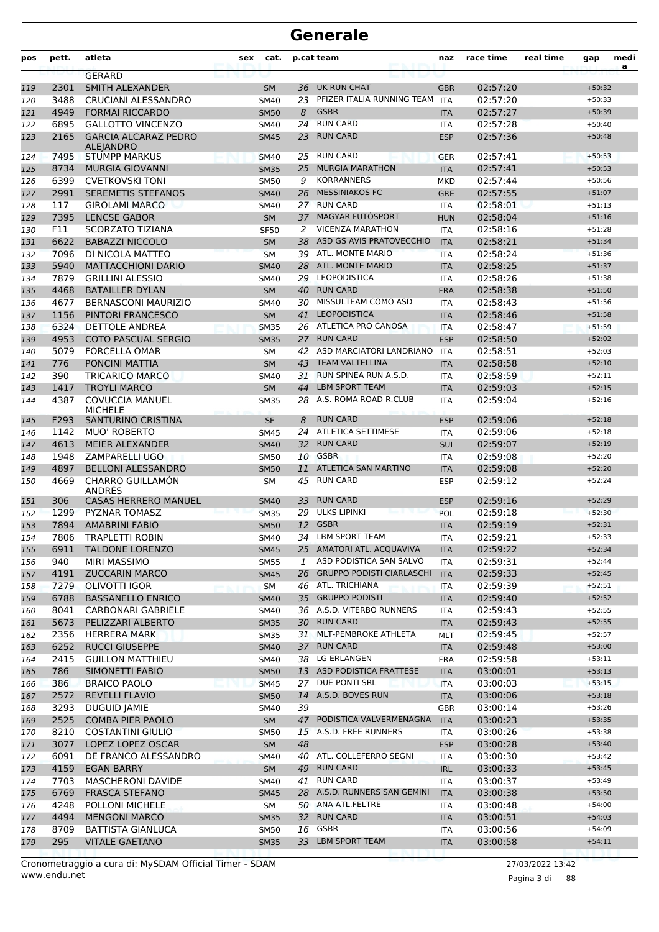| pos        | pett.        | atleta                                              | sex | cat.                       |          | p.cat team                                   | naz                      | race time            | real time | gap                  | medi<br>a |
|------------|--------------|-----------------------------------------------------|-----|----------------------------|----------|----------------------------------------------|--------------------------|----------------------|-----------|----------------------|-----------|
|            |              | <b>GERARD</b>                                       |     |                            |          |                                              |                          |                      |           |                      |           |
| 119        | 2301         | SMITH ALEXANDER                                     |     | <b>SM</b>                  |          | 36 UK RUN CHAT                               | <b>GBR</b>               | 02:57:20             |           | $+50:32$             |           |
| 120        | 3488         | CRUCIANI ALESSANDRO                                 |     | <b>SM40</b>                | 23       | PFIZER ITALIA RUNNING TEAM                   | <b>ITA</b>               | 02:57:20             |           | $+50:33$             |           |
| 121        | 4949         | <b>FORMAI RICCARDO</b>                              |     | <b>SM50</b>                | 8        | <b>GSBR</b>                                  | <b>ITA</b>               | 02:57:27             |           | $+50:39$             |           |
| 122        | 6895         | <b>GALLOTTO VINCENZO</b>                            |     | <b>SM40</b>                | 24       | <b>RUN CARD</b>                              | <b>ITA</b>               | 02:57:28             |           | $+50:40$             |           |
| 123        | 2165         | <b>GARCIA ALCARAZ PEDRO</b><br><b>ALEJANDRO</b>     |     | <b>SM45</b>                | 23       | <b>RUN CARD</b>                              | <b>ESP</b>               | 02:57:36             |           | $+50:48$             |           |
| 124        | 7495         | <b>STUMPP MARKUS</b>                                |     | <b>SM40</b>                | 25       | <b>RUN CARD</b>                              | <b>GER</b>               | 02:57:41             |           | $+50:53$             |           |
| 125        | 8734         | <b>MURGIA GIOVANNI</b>                              |     | <b>SM35</b>                | 25       | <b>MURGIA MARATHON</b>                       | <b>ITA</b>               | 02:57:41             |           | $+50:53$             |           |
| 126        | 6399         | <b>CVETKOVSKI TONI</b>                              |     | SM50                       | 9        | <b>KORRANNERS</b>                            | <b>MKD</b>               | 02:57:44             |           | $+50:56$             |           |
| 127        | 2991         | <b>SEREMETIS STEFANOS</b>                           |     | <b>SM40</b>                | 26       | <b>MESSINIAKOS FC</b>                        | <b>GRE</b>               | 02:57:55             |           | $+51:07$             |           |
| 128        | 117          | <b>GIROLAMI MARCO</b>                               |     | SM40                       | 27       | <b>RUN CARD</b>                              | <b>ITA</b>               | 02:58:01             |           | $+51:13$             |           |
| 129        | 7395         | <b>LENCSE GABOR</b>                                 |     | <b>SM</b>                  | 37       | <b>MAGYAR FUTOSPORT</b>                      | <b>HUN</b>               | 02:58:04             |           | $+51:16$             |           |
| 130        | F11          | <b>SCORZATO TIZIANA</b>                             |     | <b>SF50</b>                | 2        | <b>VICENZA MARATHON</b>                      | <b>ITA</b>               | 02:58:16             |           | $+51:28$             |           |
| 131        | 6622         | <b>BABAZZI NICCOLO</b>                              |     | <b>SM</b>                  | 38       | ASD GS AVIS PRATOVECCHIO                     | <b>ITA</b>               | 02:58:21             |           | $+51:34$             |           |
| 132        | 7096         | DI NICOLA MATTEO                                    |     | <b>SM</b>                  |          | 39 ATL. MONTE MARIO                          | <b>ITA</b>               | 02:58:24             |           | $+51:36$             |           |
| 133        | 5940         | <b>MATTACCHIONI DARIO</b>                           |     | <b>SM40</b>                | 28       | <b>ATL. MONTE MARIO</b>                      | <b>ITA</b>               | 02:58:25             |           | $+51:37$             |           |
| 134        | 7879         | <b>GRILLINI ALESSIO</b>                             |     | SM40                       | 29       | <b>LEOPODISTICA</b>                          | <b>ITA</b>               | 02:58:26             |           | $+51:38$             |           |
| 135        | 4468         | <b>BATAILLER DYLAN</b>                              |     | <b>SM</b>                  | 40       | <b>RUN CARD</b><br>MISSULTEAM COMO ASD       | <b>FRA</b>               | 02:58:38             |           | $+51:50$             |           |
| 136        | 4677         | <b>BERNASCONI MAURIZIO</b>                          |     | <b>SM40</b>                | 30       | <b>LEOPODISTICA</b>                          | <b>ITA</b>               | 02:58:43             |           | $+51:56$<br>$+51:58$ |           |
| 137        | 1156<br>6324 | <b>PINTORI FRANCESCO</b>                            |     | <b>SM</b>                  | 41<br>26 | ATLETICA PRO CANOSA                          | <b>ITA</b>               | 02:58:46             |           |                      |           |
| 138        | 4953         | <b>DETTOLE ANDREA</b><br><b>COTO PASCUAL SERGIO</b> |     | <b>SM35</b>                | 27       | <b>RUN CARD</b>                              | <b>ITA</b>               | 02:58:47<br>02:58:50 |           | $+51:59$<br>$+52:02$ |           |
| 139        |              | <b>FORCELLA OMAR</b>                                |     | <b>SM35</b>                |          | ASD MARCIATORI LANDRIANO                     | <b>ESP</b>               |                      |           | $+52:03$             |           |
| 140        | 5079<br>776  | PONCINI MATTIA                                      |     | <b>SM</b><br><b>SM</b>     | 42<br>43 | <b>TEAM VALTELLINA</b>                       | <b>ITA</b><br><b>ITA</b> | 02:58:51<br>02:58:58 |           | $+52:10$             |           |
| 141        | 390          | <b>TRICARICO MARCO</b>                              |     |                            | 31       | RUN SPINEA RUN A.S.D.                        |                          | 02:58:59             |           | $+52:11$             |           |
| 142<br>143 | 1417         | <b>TROYLI MARCO</b>                                 |     | <b>SM40</b><br><b>SM</b>   | 44       | <b>LBM SPORT TEAM</b>                        | <b>ITA</b><br><b>ITA</b> | 02:59:03             |           | $+52:15$             |           |
| 144        | 4387         | <b>COVUCCIA MANUEL</b>                              |     | <b>SM35</b>                | 28       | A.S. ROMA ROAD R.CLUB                        | <b>ITA</b>               | 02:59:04             |           | $+52:16$             |           |
|            |              | <b>MICHELE</b>                                      |     |                            |          |                                              |                          |                      |           |                      |           |
| 145        | F293         | <b>SANTURINO CRISTINA</b><br><b>MUO' ROBERTO</b>    |     | <b>SF</b>                  | 8        | <b>RUN CARD</b><br><b>ATLETICA SETTIMESE</b> | <b>ESP</b>               | 02:59:06             |           | $+52:18$             |           |
| 146        | 1142         |                                                     |     | SM45                       | 24       | <b>RUN CARD</b>                              | <b>ITA</b>               | 02:59:06             |           | $+52:18$             |           |
| 147<br>148 | 4613<br>1948 | <b>MEIER ALEXANDER</b><br><b>ZAMPARELLI UGO</b>     |     | <b>SM40</b><br><b>SM50</b> | 32       | 10 GSBR                                      | <b>SUI</b><br><b>ITA</b> | 02:59:07<br>02:59:08 |           | $+52:19$<br>$+52:20$ |           |
| 149        | 4897         | <b>BELLONI ALESSANDRO</b>                           |     | <b>SM50</b>                | 11       | <b>ATLETICA SAN MARTINO</b>                  | <b>ITA</b>               | 02:59:08             |           | $+52:20$             |           |
| 150        | 4669         | <b>CHARRO GUILLAMÓN</b>                             |     | <b>SM</b>                  | 45       | <b>RUN CARD</b>                              | <b>ESP</b>               | 02:59:12             |           | $+52:24$             |           |
|            |              | ANDRES<br><b>CASAS HERRERO MANUEL</b>               |     |                            |          | <b>RUN CARD</b>                              |                          |                      |           |                      |           |
| 151        | 306<br>1299  | <b>PYZNAR TOMASZ</b>                                |     | <b>SM40</b>                | 33<br>29 | <b>ULKS LIPINKI</b>                          | <b>ESP</b><br>POL        | 02:59:16<br>02:59:18 |           | $+52:29$<br>$+52:30$ |           |
| 152        | 7894         | <b>AMABRINI FABIO</b>                               |     | <b>SM35</b>                | 12       | <b>GSBR</b>                                  |                          | 02:59:19             |           | $+52:31$             |           |
| 153<br>154 | 7806         | <b>TRAPLETTI ROBIN</b>                              |     | <b>SM50</b><br><b>SM40</b> | 34       | <b>LBM SPORT TEAM</b>                        | <b>ITA</b><br><b>ITA</b> | 02:59:21             |           | $+52:33$             |           |
| 155        | 6911         | <b>TALDONE LORENZO</b>                              |     | <b>SM45</b>                |          | 25 AMATORI ATL. ACQUAVIVA                    | <b>ITA</b>               | 02:59:22             |           | $+52:34$             |           |
| 156        | 940          | MIRI MASSIMO                                        |     | <b>SM55</b>                | 1        | ASD PODISTICA SAN SALVO                      | <b>ITA</b>               | 02:59:31             |           | $+52:44$             |           |
| 157        | 4191         | <b>ZUCCARIN MARCO</b>                               |     | <b>SM45</b>                | 26       | <b>GRUPPO PODISTI CIARLASCHI</b>             | <b>ITA</b>               | 02:59:33             |           | $+52:45$             |           |
| 158        | 7279         | OLIVOTTI IGOR                                       |     | SM                         |          | 46 ATL. TRICHIANA                            | <b>ITA</b>               | 02:59:39             |           | $+52:51$             |           |
| 159        | 6788         | <b>BASSANELLO ENRICO</b>                            |     | <b>SM40</b>                |          | 35 GRUPPO PODISTI                            | <b>ITA</b>               | 02:59:40             |           | $+52:52$             |           |
| 160        | 8041         | <b>CARBONARI GABRIELE</b>                           |     | SM40                       |          | 36 A.S.D. VITERBO RUNNERS                    | ITA                      | 02:59:43             |           | $+52:55$             |           |
| 161        | 5673         | PELIZZARI ALBERTO                                   |     | <b>SM35</b>                |          | 30 RUN CARD                                  | <b>ITA</b>               | 02:59:43             |           | $+52:55$             |           |
| 162        | 2356         | <b>HERRERA MARK</b>                                 |     | SM35                       |          | 31 MLT-PEMBROKE ATHLETA                      | MLT                      | 02:59:45             |           | $+52:57$             |           |
| 163        | 6252         | <b>RUCCI GIUSEPPE</b>                               |     | <b>SM40</b>                |          | 37 RUN CARD                                  | <b>ITA</b>               | 02:59:48             |           | $+53:00$             |           |
| 164        | 2415         | <b>GUILLON MATTHIEU</b>                             |     | SM40                       |          | 38 LG ERLANGEN                               | <b>FRA</b>               | 02:59:58             |           | $+53:11$             |           |
| 165        | 786          | <b>SIMONETTI FABIO</b>                              |     | <b>SM50</b>                |          | 13 ASD PODISTICA FRATTESE                    | <b>ITA</b>               | 03:00:01             |           | $+53:13$             |           |
| 166        | 386          | <b>BRAICO PAOLO</b>                                 |     | <b>SM45</b>                | 27       | DUE PONTI SRL                                | <b>ITA</b>               | 03:00:03             |           | $+53:15$             |           |
| 167        | 2572         | <b>REVELLI FLAVIO</b>                               |     | <b>SM50</b>                |          | 14 A.S.D. BOVES RUN                          | <b>ITA</b>               | 03:00:06             |           | $+53:18$             |           |
| 168        | 3293         | <b>DUGUID JAMIE</b>                                 |     | SM40                       | 39       |                                              | GBR                      | 03:00:14             |           | $+53:26$             |           |
| 169        | 2525         | <b>COMBA PIER PAOLO</b>                             |     | <b>SM</b>                  |          | 47 PODISTICA VALVERMENAGNA                   | <b>ITA</b>               | 03:00:23             |           | $+53:35$             |           |
| 170        | 8210         | <b>COSTANTINI GIULIO</b>                            |     | SM50                       |          | 15 A.S.D. FREE RUNNERS                       | ITA                      | 03:00:26             |           | $+53:38$             |           |
| 171        | 3077         | LOPEZ LOPEZ OSCAR                                   |     | SM                         | 48       |                                              | <b>ESP</b>               | 03:00:28             |           | $+53:40$             |           |
| 172        | 6091         | DE FRANCO ALESSANDRO                                |     | <b>SM40</b>                |          | 40 ATL. COLLEFERRO SEGNI                     | ITA                      | 03:00:30             |           | $+53:42$             |           |
| 173        | 4159         | <b>EGAN BARRY</b>                                   |     | SM                         |          | 49 RUN CARD                                  | <b>IRL</b>               | 03:00:33             |           | $+53:45$             |           |
| 174        | 7703         | <b>MASCHERONI DAVIDE</b>                            |     | SM40                       | 41       | RUN CARD                                     | ITA                      | 03:00:37             |           | $+53:49$             |           |
| 175        | 6769         | <b>FRASCA STEFANO</b>                               |     | <b>SM45</b>                |          | 28 A.S.D. RUNNERS SAN GEMINI                 | <b>ITA</b>               | 03:00:38             |           | $+53:50$             |           |
| 176        | 4248         | POLLONI MICHELE                                     |     | SM                         |          | 50 ANA ATL.FELTRE                            | <b>ITA</b>               | 03:00:48             |           | $+54:00$             |           |
| 177        | 4494         | <b>MENGONI MARCO</b>                                |     | <b>SM35</b>                |          | 32 RUN CARD                                  | <b>ITA</b>               | 03:00:51             |           | $+54:03$             |           |
| 178        | 8709         | BATTISTA GIANLUCA                                   |     | SM50                       |          | 16 GSBR                                      | ITA                      | 03:00:56             |           | $+54:09$             |           |
| 179        | 295          | <b>VITALE GAETANO</b>                               |     | <b>SM35</b>                |          | 33 LBM SPORT TEAM                            | <b>ITA</b>               | 03:00:58             |           | $+54:11$             |           |
|            |              |                                                     |     |                            |          |                                              |                          |                      |           |                      |           |

www.endu.net Cronometraggio a cura di: MySDAM Official Timer - SDAM 27/03/2022 13:42

Pagina 3 di 88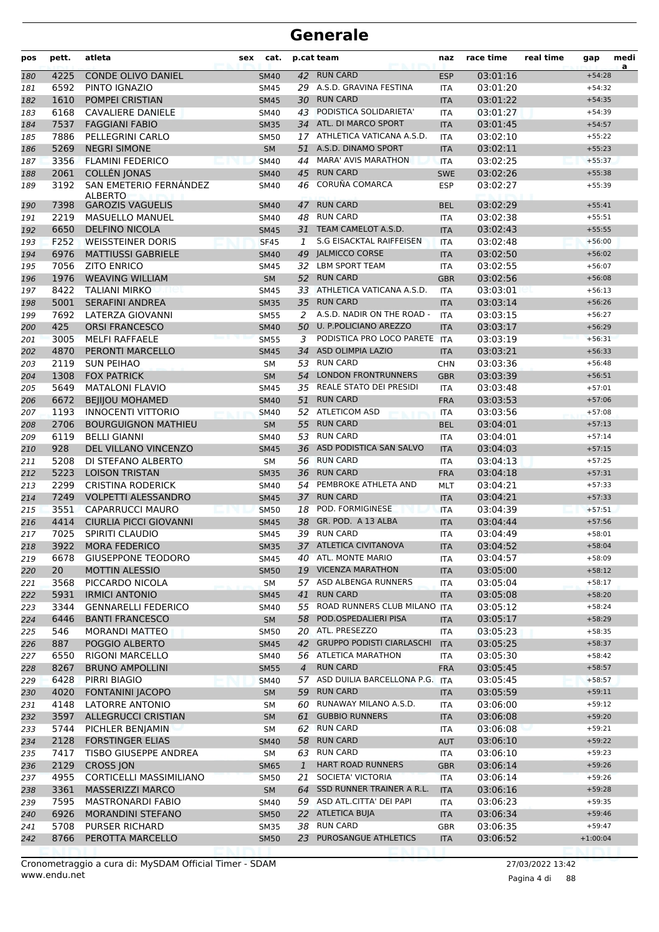| pos        | pett.        | atleta                                         | sex | cat.              |                | p.cat team                                                 | naz                      | race time            | real time | gap                  | medi<br>a |
|------------|--------------|------------------------------------------------|-----|-------------------|----------------|------------------------------------------------------------|--------------------------|----------------------|-----------|----------------------|-----------|
| 180        | 4225         | <b>CONDE OLIVO DANIEL</b>                      |     | <b>SM40</b>       |                | 42 RUN CARD                                                | <b>ESP</b>               | 03:01:16             |           | $+54:28$             |           |
| 181        | 6592         | PINTO IGNAZIO                                  |     | <b>SM45</b>       |                | 29 A.S.D. GRAVINA FESTINA                                  | <b>ITA</b>               | 03:01:20             |           | $+54:32$             |           |
| 182        | 1610         | POMPEI CRISTIAN                                |     | <b>SM45</b>       | 30             | <b>RUN CARD</b>                                            | <b>ITA</b>               | 03:01:22             |           | $+54:35$             |           |
| 183        | 6168         | <b>CAVALIERE DANIELE</b>                       |     | SM40              | 43             | PODISTICA SOLIDARIETA'                                     | <b>ITA</b>               | 03:01:27             |           | $+54:39$             |           |
| 184        | 7537         | <b>FAGGIANI FABIO</b>                          |     | <b>SM35</b>       |                | 34 ATL. DI MARCO SPORT                                     | <b>ITA</b>               | 03:01:45             |           | $+54:57$             |           |
| 185        | 7886         | PELLEGRINI CARLO                               |     | <b>SM50</b>       |                | 17 ATHLETICA VATICANA A.S.D.                               | <b>ITA</b>               | 03:02:10             |           | $+55:22$             |           |
| 186        | 5269         | <b>NEGRI SIMONE</b>                            |     | <b>SM</b>         |                | 51 A.S.D. DINAMO SPORT                                     | <b>ITA</b>               | 03:02:11             |           | $+55:23$             |           |
| 187        | 3356         | <b>FLAMINI FEDERICO</b>                        |     | <b>SM40</b>       | 44             | <b>MARA' AVIS MARATHON</b>                                 | <b>ITA</b>               | 03:02:25             |           | $+55:37$             |           |
| 188        | 2061         | <b>COLLÉN JONAS</b>                            |     | <b>SM40</b>       | 45             | <b>RUN CARD</b>                                            | <b>SWE</b>               | 03:02:26             |           | $+55:38$             |           |
| 189        | 3192         | SAN EMETERIO FERNANDEZ<br>ALBERTO              |     | <b>SM40</b>       | 46             | CORUÑA COMARCA                                             | <b>ESP</b>               | 03:02:27             |           | $+55:39$             |           |
| 190        | 7398         | <b>GAROZIS VAGUELIS</b>                        |     | <b>SM40</b>       | 47             | <b>RUN CARD</b>                                            | <b>BEL</b>               | 03:02:29             |           | $+55:41$             |           |
| 191        | 2219         | <b>MASUELLO MANUEL</b>                         |     | SM40              | 48             | <b>RUN CARD</b>                                            | <b>ITA</b>               | 03:02:38             |           | $+55:51$             |           |
| 192        | 6650         | <b>DELFINO NICOLA</b>                          |     | <b>SM45</b>       |                | 31 TEAM CAMELOT A.S.D.                                     | <b>ITA</b>               | 03:02:43             |           | $+55:55$             |           |
| 193        | F252         | <b>WEISSTEINER DORIS</b>                       |     | <b>SF45</b>       | 1              | <b>S.G EISACKTAL RAIFFEISEN</b>                            | <b>ITA</b>               | 03:02:48             |           | $+56:00$             |           |
| 194        | 6976         | <b>MATTIUSSI GABRIELE</b>                      |     | <b>SM40</b>       |                | 49 JALMICCO CORSE                                          | <b>ITA</b>               | 03:02:50             |           | $+56:02$             |           |
| 195        | 7056         | <b>ZITO ENRICO</b>                             |     | <b>SM45</b>       |                | 32 LBM SPORT TEAM                                          | <b>ITA</b>               | 03:02:55             |           | $+56:07$             |           |
| 196        | 1976         | <b>WEAVING WILLIAM</b>                         |     | <b>SM</b>         | 52             | <b>RUN CARD</b>                                            | <b>GBR</b>               | 03:02:56             |           | $+56:08$             |           |
| 197        | 8422         | <b>TALIANI MIRKO</b>                           |     | <b>SM45</b>       |                | 33 ATHLETICA VATICANA A.S.D.                               | <b>ITA</b>               | 03:03:01             |           | $+56:13$             |           |
| 198        | 5001         | <b>SERAFINI ANDREA</b>                         |     | <b>SM35</b>       | 35             | <b>RUN CARD</b>                                            | <b>ITA</b>               | 03:03:14             |           | $+56:26$             |           |
| 199        | 7692         | LATERZA GIOVANNI                               |     | <b>SM55</b>       | 2              | A.S.D. NADIR ON THE ROAD -                                 | <b>ITA</b>               | 03:03:15             |           | $+56:27$             |           |
| 200        | 425          | <b>ORSI FRANCESCO</b>                          |     | <b>SM40</b>       | 50             | U. P.POLICIANO AREZZO                                      | <b>ITA</b>               | 03:03:17             |           | $+56:29$             |           |
| 201        | 3005         | <b>MELFI RAFFAELE</b>                          |     | <b>SM55</b>       | 3              | PODISTICA PRO LOCO PARETE                                  | <b>ITA</b>               | 03:03:19             |           | $+56:31$             |           |
| 202        | 4870         | PERONTI MARCELLO                               |     | <b>SM45</b>       | 34             | <b>ASD OLIMPIA LAZIO</b>                                   | <b>ITA</b>               | 03:03:21             |           | $+56:33$             |           |
| 203        | 2119         | <b>SUN PEIHAO</b>                              |     | SM                | 53             | <b>RUN CARD</b>                                            | <b>CHN</b>               | 03:03:36             |           | $+56:48$             |           |
| 204        | 1308         | <b>FOX PATRICK</b>                             |     | <b>SM</b>         | 54             | <b>LONDON FRONTRUNNERS</b>                                 | <b>GBR</b>               | 03:03:39             |           | $+56:51$             |           |
| 205        | 5649         | <b>MATALONI FLAVIO</b>                         |     | <b>SM45</b>       |                | 35 REALE STATO DEI PRESIDI                                 | <b>ITA</b>               | 03:03:48             |           | $+57:01$             |           |
| 206        | 6672         | <b>BEJIJOU MOHAMED</b>                         |     | <b>SM40</b>       | 51             | <b>RUN CARD</b>                                            | <b>FRA</b>               | 03:03:53             |           | $+57:06$             |           |
| 207        | 1193         | <b>INNOCENTI VITTORIO</b>                      |     | <b>SM40</b>       |                | 52 ATLETICOM ASD                                           | <b>ITA</b>               | 03:03:56             |           | $+57:08$             |           |
| 208        | 2706         | <b>BOURGUIGNON MATHIEU</b>                     |     | <b>SM</b>         | 55             | <b>RUN CARD</b>                                            | <b>BEL</b>               | 03:04:01             |           | $+57:13$             |           |
| 209        | 6119         | <b>BELLI GIANNI</b>                            |     | SM40              | 53             | <b>RUN CARD</b>                                            | <b>ITA</b>               | 03:04:01             |           | $+57:14$             |           |
| 210        | 928          | DEL VILLANO VINCENZO                           |     | <b>SM45</b>       | 36             | ASD PODISTICA SAN SALVO                                    | <b>ITA</b>               | 03:04:03             |           | $+57:15$             |           |
| 211        | 5208         | DI STEFANO ALBERTO                             |     | SM                |                | 56 RUN CARD                                                | <b>ITA</b>               | 03:04:13             |           | $+57:25$             |           |
| 212        | 5223         | <b>LOISON TRISTAN</b>                          |     | <b>SM35</b>       | 36             | <b>RUN CARD</b>                                            | <b>FRA</b>               | 03:04:18             |           | $+57:31$             |           |
| 213        | 2299         | <b>CRISTINA RODERICK</b>                       |     | <b>SM40</b>       | 54             | PEMBROKE ATHLETA AND                                       | <b>MLT</b>               | 03:04:21             |           | $+57:33$             |           |
| 214        | 7249         | <b>VOLPETTI ALESSANDRO</b>                     |     | <b>SM45</b>       | 37             | <b>RUN CARD</b>                                            | <b>ITA</b>               | 03:04:21             |           | $+57:33$             |           |
| 215        | 3551         | <b>CAPARRUCCI MAURO</b>                        |     | <b>SM50</b>       | 18             | POD. FORMIGINESE                                           | <b>ITA</b>               | 03:04:39             |           | $+57:51$             |           |
| 216        | 4414         | <b>CIURLIA PICCI GIOVANNI</b>                  |     | <b>SM45</b>       | 38             | GR. POD. A 13 ALBA                                         | <b>ITA</b>               | 03:04:44             |           | $+57:56$             |           |
| 217        | 7025         | SPIRITI CLAUDIO                                |     | SM45              |                | 39 RUN CARD                                                | <b>ITA</b>               | 03:04:49             |           | $+58:01$             |           |
| 218        |              | 3922 MORA FEDERICO                             |     | <b>SM35</b>       |                | 37 ATLETICA CIVITANOVA                                     | <b>ITA</b>               | 03:04:52             |           | $+58:04$             |           |
| 219        | 6678         | <b>GIUSEPPONE TEODORO</b>                      |     | SM45              |                | 40 ATL. MONTE MARIO                                        | ITA                      | 03:04:57             |           | $+58:09$             |           |
| 220        | 20           | <b>MOTTIN ALESSIO</b>                          |     | <b>SM50</b>       |                | 19 VICENZA MARATHON                                        | <b>ITA</b>               | 03:05:00             |           | $+58:12$             |           |
| 221        | 3568         | PICCARDO NICOLA                                |     | SM                |                | 57 ASD ALBENGA RUNNERS                                     | ITA                      | 03:05:04             |           | $+58:17$             |           |
| 222        | 5931         | <b>IRMICI ANTONIO</b>                          |     | <b>SM45</b>       | 41             | <b>RUN CARD</b>                                            | <b>ITA</b>               | 03:05:08             |           | $+58:20$             |           |
| 223        | 3344         | <b>GENNARELLI FEDERICO</b>                     |     | SM40              |                | 55 ROAD RUNNERS CLUB MILANO ITA<br>58 POD.OSPEDALIERI PISA |                          | 03:05:12             |           | $+58:24$             |           |
| 224        | 6446         | <b>BANTI FRANCESCO</b>                         |     | SM                |                | 20 ATL. PRESEZZO                                           | <b>ITA</b>               | 03:05:17<br>03:05:23 |           | $+58:29$<br>$+58:35$ |           |
| 225        | 546          | <b>MORANDI MATTEO</b><br>POGGIO ALBERTO        |     | <b>SM50</b>       | 42             | <b>GRUPPO PODISTI CIARLASCHI</b>                           | ITA                      |                      |           |                      |           |
| 226        | 887<br>6550  | <b>RIGONI MARCELLO</b>                         |     | <b>SM45</b>       |                | 56 ATLETICA MARATHON                                       | <b>ITA</b>               | 03:05:25<br>03:05:30 |           | $+58:37$<br>$+58:42$ |           |
| 227        |              | <b>BRUNO AMPOLLINI</b>                         |     | SM40              | $\overline{4}$ | <b>RUN CARD</b>                                            | ITA                      |                      |           | $+58:57$             |           |
| 228        | 8267<br>6428 | PIRRI BIAGIO                                   |     | <b>SM55</b>       |                | 57 ASD DUILIA BARCELLONA P.G. ITA                          | <b>FRA</b>               | 03:05:45<br>03:05:45 |           | $+58:57$             |           |
| 229        | 4020         |                                                |     | <b>SM40</b>       |                | 59 RUN CARD                                                | <b>ITA</b>               |                      |           | $+59:11$             |           |
| 230        | 4148         | FONTANINI JACOPO<br>LATORRE ANTONIO            |     | <b>SM</b>         | 60             | RUNAWAY MILANO A.S.D.                                      |                          | 03:05:59<br>03:06:00 |           | $+59:12$             |           |
| 231        |              |                                                |     | SМ                |                | <b>GUBBIO RUNNERS</b>                                      | ITA                      |                      |           |                      |           |
| 232        | 3597<br>5744 | <b>ALLEGRUCCI CRISTIAN</b><br>PICHLER BENJAMIN |     | <b>SM</b>         | 61             | 62 RUN CARD                                                | <b>ITA</b>               | 03:06:08<br>03:06:08 |           | $+59:20$<br>$+59:21$ |           |
| 233        | 2128         | <b>FORSTINGER ELIAS</b>                        |     | SM<br><b>SM40</b> | 58             | <b>RUN CARD</b>                                            | ITA<br><b>AUT</b>        | 03:06:10             |           | $+59:22$             |           |
| 234<br>235 | 7417         | TISBO GIUSEPPE ANDREA                          |     | SM                |                | 63 RUN CARD                                                | ITA                      | 03:06:10             |           | $+59:23$             |           |
|            | 2129         | <b>CROSS JON</b>                               |     |                   | $\mathbf{1}$   | HART ROAD RUNNERS                                          |                          | 03:06:14             |           | $+59:26$             |           |
| 236        | 4955         | CORTICELLI MASSIMILIANO                        |     | <b>SM65</b>       | 21             | SOCIETA' VICTORIA                                          | <b>GBR</b><br><b>ITA</b> | 03:06:14             |           | $+59:26$             |           |
| 237        | 3361         | <b>MASSERIZZI MARCO</b>                        |     | <b>SM50</b><br>SM | 64             | SSD RUNNER TRAINER A R.L.                                  |                          | 03:06:16             |           | $+59:28$             |           |
| 238        | 7595         | MASTRONARDI FABIO                              |     | SM40              |                | 59 ASD ATL.CITTA' DEI PAPI                                 | <b>ITA</b>               | 03:06:23             |           | $+59:35$             |           |
| 239<br>240 | 6926         | <b>MORANDINI STEFANO</b>                       |     | <b>SM50</b>       |                | 22 ATLETICA BUJA                                           | ITA<br><b>ITA</b>        | 03:06:34             |           | $+59:46$             |           |
| 241        | 5708         | <b>PURSER RICHARD</b>                          |     | <b>SM35</b>       |                | 38 RUN CARD                                                | GBR                      | 03:06:35             |           | $+59:47$             |           |
| 242        | 8766         | PEROTTA MARCELLO                               |     | <b>SM50</b>       |                | 23 PUROSANGUE ATHLETICS                                    | <b>ITA</b>               | 03:06:52             |           | $+1:00:04$           |           |
|            |              |                                                |     |                   |                |                                                            |                          |                      |           |                      |           |

Pagina 4 di 88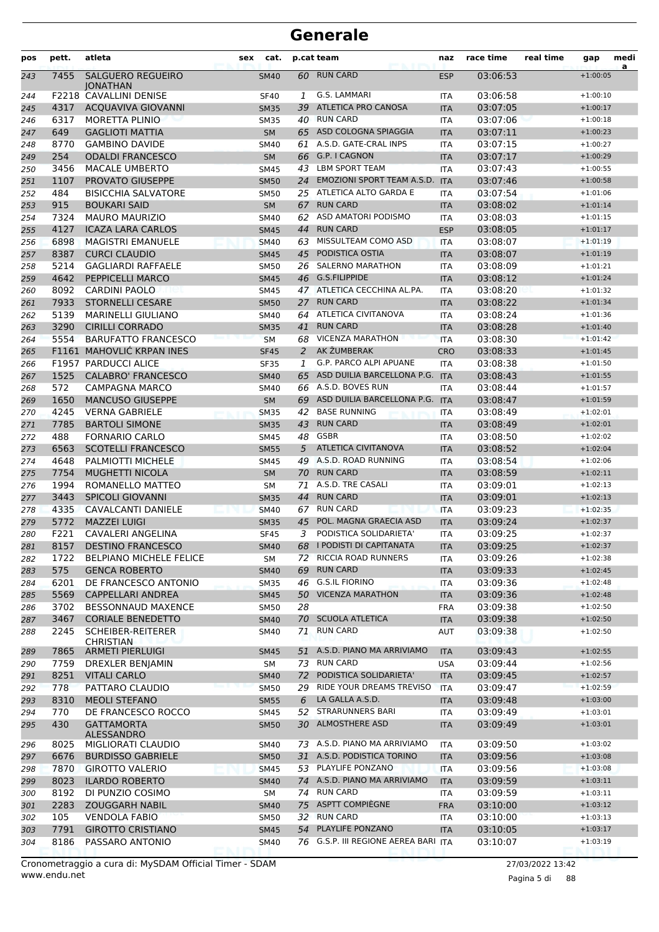| pos | pett. | atleta                                      | sex | cat.        |    | p.cat team                       | naz        | race time | real time | gap        | medi<br>a |
|-----|-------|---------------------------------------------|-----|-------------|----|----------------------------------|------------|-----------|-----------|------------|-----------|
| 243 | 7455  | <b>SALGUERO REGUEIRO</b><br><b>IONATHAN</b> |     | <b>SM40</b> | 60 | <b>RUN CARD</b>                  | <b>ESP</b> | 03:06:53  |           | $+1:00:05$ |           |
| 244 |       | F2218 CAVALLINI DENISE                      |     | <b>SF40</b> | 1  | G.S. LAMMARI                     | <b>ITA</b> | 03:06:58  |           | $+1:00:10$ |           |
| 245 | 4317  | <b>ACQUAVIVA GIOVANNI</b>                   |     | <b>SM35</b> | 39 | ATLETICA PRO CANOSA              | <b>ITA</b> | 03:07:05  |           | $+1:00:17$ |           |
| 246 | 6317  | <b>MORETTA PLINIO</b>                       |     | <b>SM35</b> |    | 40 RUN CARD                      | <b>ITA</b> | 03:07:06  |           | $+1:00:18$ |           |
| 247 | 649   | <b>GAGLIOTI MATTIA</b>                      |     | <b>SM</b>   | 65 | ASD COLOGNA SPIAGGIA             | <b>ITA</b> | 03:07:11  |           | $+1:00:23$ |           |
| 248 | 8770  | <b>GAMBINO DAVIDE</b>                       |     | <b>SM40</b> | 61 | A.S.D. GATE-CRAL INPS            | ITA        | 03:07:15  |           | $+1:00:27$ |           |
| 249 | 254   | <b>ODALDI FRANCESCO</b>                     |     | <b>SM</b>   | 66 | G.P. I CAGNON                    | <b>ITA</b> | 03:07:17  |           | $+1:00:29$ |           |
| 250 | 3456  | <b>MACALE UMBERTO</b>                       |     | <b>SM45</b> | 43 | <b>LBM SPORT TEAM</b>            | <b>ITA</b> | 03:07:43  |           | $+1:00:55$ |           |
| 251 | 1107  | PROVATO GIUSEPPE                            |     | <b>SM50</b> | 24 | EMOZIONI SPORT TEAM A.S.D.       | <b>ITA</b> | 03:07:46  |           | $+1:00:58$ |           |
| 252 | 484   | <b>BISICCHIA SALVATORE</b>                  |     | <b>SM50</b> |    | 25 ATLETICA ALTO GARDA E         | <b>ITA</b> | 03:07:54  |           | $+1:01:06$ |           |
| 253 | 915   | <b>BOUKARI SAID</b>                         |     | <b>SM</b>   | 67 | <b>RUN CARD</b>                  | <b>ITA</b> | 03:08:02  |           | $+1:01:14$ |           |
| 254 | 7324  | <b>MAURO MAURIZIO</b>                       |     | <b>SM40</b> | 62 | ASD AMATORI PODISMO              | <b>ITA</b> | 03:08:03  |           | $+1:01:15$ |           |
| 255 | 4127  | <b>ICAZA LARA CARLOS</b>                    |     | <b>SM45</b> | 44 | <b>RUN CARD</b>                  | <b>ESP</b> | 03:08:05  |           | $+1:01:17$ |           |
| 256 | 6898  | <b>MAGISTRI EMANUELE</b>                    |     | <b>SM40</b> | 63 | MISSULTEAM COMO ASD              | <b>ITA</b> | 03:08:07  |           | $+1:01:19$ |           |
| 257 | 8387  | <b>CURCI CLAUDIO</b>                        |     | <b>SM45</b> | 45 | PODISTICA OSTIA                  | <b>ITA</b> | 03:08:07  |           | $+1:01:19$ |           |
| 258 | 5214  | <b>GAGLIARDI RAFFAELE</b>                   |     | <b>SM50</b> |    | 26 SALERNO MARATHON              | <b>ITA</b> | 03:08:09  |           | $+1:01:21$ |           |
| 259 | 4642  | PEPPICELLI MARCO                            |     | <b>SM45</b> |    | 46 G.S.FILIPPIDE                 | <b>ITA</b> | 03:08:12  |           | $+1:01:24$ |           |
| 260 | 8092  | <b>CARDINI PAOLO</b>                        |     | SM45        |    | 47 ATLETICA CECCHINA AL.PA.      | ITA        | 03:08:20  |           | $+1:01:32$ |           |
| 261 | 7933  | <b>STORNELLI CESARE</b>                     |     | <b>SM50</b> | 27 | <b>RUN CARD</b>                  | <b>ITA</b> | 03:08:22  |           | $+1:01:34$ |           |
| 262 | 5139  | <b>MARINELLI GIULIANO</b>                   |     | SM40        | 64 | ATLETICA CIVITANOVA              | <b>ITA</b> | 03:08:24  |           | $+1:01:36$ |           |
| 263 | 3290  | <b>CIRILLI CORRADO</b>                      |     | <b>SM35</b> | 41 | <b>RUN CARD</b>                  | <b>ITA</b> | 03:08:28  |           | $+1:01:40$ |           |
| 264 | 5554  | <b>BARUFATTO FRANCESCO</b>                  |     | <b>SM</b>   |    | 68 VICENZA MARATHON              | <b>ITA</b> | 03:08:30  |           | $+1:01:42$ |           |
| 265 |       | F1161 MAHOVLIC KRPAN INES                   |     | <b>SF45</b> | 2  | AK ŽUMBERAK                      | <b>CRO</b> | 03:08:33  |           | $+1:01:45$ |           |
| 266 |       | F1957 PARDUCCI ALICE                        |     | <b>SF35</b> | 1  | G.P. PARCO ALPI APUANE           | <b>ITA</b> | 03:08:38  |           | $+1:01:50$ |           |
| 267 | 1525  | <b>CALABRO' FRANCESCO</b>                   |     | <b>SM40</b> | 65 | ASD DUILIA BARCELLONA P.G.       | <b>ITA</b> | 03:08:43  |           | $+1:01:55$ |           |
| 268 | 572   | <b>CAMPAGNA MARCO</b>                       |     | SM40        | 66 | A.S.D. BOVES RUN                 | <b>ITA</b> | 03:08:44  |           | $+1:01:57$ |           |
| 269 | 1650  | <b>MANCUSO GIUSEPPE</b>                     |     | <b>SM</b>   | 69 | ASD DUILIA BARCELLONA P.G.       | <b>ITA</b> | 03:08:47  |           | $+1:01:59$ |           |
| 270 | 4245  | <b>VERNA GABRIELE</b>                       |     | <b>SM35</b> |    | 42 BASE RUNNING                  | <b>ITA</b> | 03:08:49  |           | $+1:02:01$ |           |
| 271 | 7785  | <b>BARTOLI SIMONE</b>                       |     | <b>SM35</b> | 43 | <b>RUN CARD</b>                  | <b>ITA</b> | 03:08:49  |           | $+1:02:01$ |           |
| 272 | 488   | <b>FORNARIO CARLO</b>                       |     | SM45        | 48 | <b>GSBR</b>                      | ITA        | 03:08:50  |           | $+1:02:02$ |           |
| 273 | 6563  | <b>SCOTELLI FRANCESCO</b>                   |     | <b>SM55</b> | 5  | <b>ATLETICA CIVITANOVA</b>       | <b>ITA</b> | 03:08:52  |           | $+1:02:04$ |           |
| 274 | 4648  | PALMIOTTI MICHELE                           |     | SM45        | 49 | A.S.D. ROAD RUNNING              | <b>ITA</b> | 03:08:54  |           | $+1:02:06$ |           |
| 275 | 7754  | <b>MUGHETTI NICOLA</b>                      |     | <b>SM</b>   | 70 | <b>RUN CARD</b>                  | <b>ITA</b> | 03:08:59  |           | $+1:02:11$ |           |
| 276 | 1994  | ROMANELLO MATTEO                            |     | <b>SM</b>   | 71 | A.S.D. TRE CASALI                | ITA        | 03:09:01  |           | $+1:02:13$ |           |
| 277 | 3443  | <b>SPICOLI GIOVANNI</b>                     |     | <b>SM35</b> | 44 | <b>RUN CARD</b>                  | <b>ITA</b> | 03:09:01  |           | $+1:02:13$ |           |
| 278 | 4335  | <b>CAVALCANTI DANIELE</b>                   |     | <b>SM40</b> | 67 | <b>RUN CARD</b>                  | <b>ITA</b> | 03:09:23  |           | $+1:02:35$ |           |
| 279 | 5772  | <b>MAZZEI LUIGI</b>                         |     | <b>SM35</b> | 45 | POL. MAGNA GRAECIA ASD           | <b>ITA</b> | 03:09:24  |           | $+1:02:37$ |           |
| 280 | F221  | <b>CAVALERI ANGELINA</b>                    |     | <b>SF45</b> | 3  | PODISTICA SOLIDARIETA'           | <b>ITA</b> | 03:09:25  |           | $+1:02:37$ |           |
| 281 | 8157  | <b>DESTINO FRANCESCO</b>                    |     | <b>SM40</b> |    | 68   PODISTI DI CAPITANATA       | <b>ITA</b> | 03:09:25  |           | $+1:02:37$ |           |
| 282 | 1722  | <b>BELPIANO MICHELE FELICE</b>              |     | SM          |    | 72 RICCIA ROAD RUNNERS           | <b>ITA</b> | 03:09:26  |           | $+1:02:38$ |           |
| 283 | 575   | <b>GENCA ROBERTO</b>                        |     | <b>SM40</b> | 69 | <b>RUN CARD</b>                  | <b>ITA</b> | 03:09:33  |           | $+1:02:45$ |           |
| 284 | 6201  | DE FRANCESCO ANTONIO                        |     | <b>SM35</b> | 46 | <b>G.S.IL FIORINO</b>            | <b>ITA</b> | 03:09:36  |           | $+1:02:48$ |           |
| 285 | 5569  | <b>CAPPELLARI ANDREA</b>                    |     | <b>SM45</b> |    | 50 VICENZA MARATHON              | <b>ITA</b> | 03:09:36  |           | $+1:02:48$ |           |
| 286 | 3702  | <b>BESSONNAUD MAXENCE</b>                   |     | SM50        | 28 |                                  | <b>FRA</b> | 03:09:38  |           | $+1:02:50$ |           |
| 287 | 3467  | <b>CORIALE BENEDETTO</b>                    |     | <b>SM40</b> |    | 70 SCUOLA ATLETICA               | <b>ITA</b> | 03:09:38  |           | $+1:02:50$ |           |
| 288 | 2245  | SCHEIBER-REITERER<br><b>CHRISTIAN</b>       |     | SM40        | 71 | <b>RUN CARD</b>                  | <b>AUT</b> | 03:09:38  |           | $+1:02:50$ |           |
| 289 | 7865  | <b>ARMETI PIERLUIGI</b>                     |     | <b>SM45</b> |    | 51 A.S.D. PIANO MA ARRIVIAMO     | <b>ITA</b> | 03:09:43  |           | $+1:02:55$ |           |
| 290 | 7759  | <b>DREXLER BENJAMIN</b>                     |     | SM          |    | 73 RUN CARD                      | <b>USA</b> | 03:09:44  |           | $+1:02:56$ |           |
| 291 | 8251  | <b>VITALI CARLO</b>                         |     | <b>SM40</b> | 72 | PODISTICA SOLIDARIETA'           | <b>ITA</b> | 03:09:45  |           | $+1:02:57$ |           |
| 292 | 778   | PATTARO CLAUDIO                             |     | <b>SM50</b> | 29 | RIDE YOUR DREAMS TREVISO         | <b>ITA</b> | 03:09:47  |           | $+1:02:59$ |           |
| 293 | 8310  | <b>MEOLI STEFANO</b>                        |     | <b>SM55</b> | 6  | LA GALLA A.S.D.                  | <b>ITA</b> | 03:09:48  |           | $+1:03:00$ |           |
| 294 | 770   | DE FRANCESCO ROCCO                          |     | SM45        | 52 | STRARUNNERS BARI                 | ITA        | 03:09:49  |           | $+1:03:01$ |           |
| 295 | 430   | <b>GATTAMORTA</b><br><b>ALESSANDRO</b>      |     | <b>SM50</b> |    | 30 ALMOSTHERE ASD                | <b>ITA</b> | 03:09:49  |           | $+1:03:01$ |           |
| 296 | 8025  | MIGLIORATI CLAUDIO                          |     | SM40        |    | 73 A.S.D. PIANO MA ARRIVIAMO     | ITA        | 03:09:50  |           | $+1:03:02$ |           |
| 297 | 6676  | <b>BURDISSO GABRIELE</b>                    |     | <b>SM50</b> |    | 31 A.S.D. PODISTICA TORINO       | <b>ITA</b> | 03:09:56  |           | $+1:03:08$ |           |
| 298 | 7870  | <b>GIROTTO VALERIO</b>                      |     | <b>SM45</b> |    | 53 PLAYLIFE PONZANO              | <b>ITA</b> | 03:09:56  |           | $+1:03:08$ |           |
| 299 | 8023  | <b>ILARDO ROBERTO</b>                       |     | <b>SM40</b> |    | 74 A.S.D. PIANO MA ARRIVIAMO     | <b>ITA</b> | 03:09:59  |           | $+1:03:11$ |           |
| 300 | 8192  | DI PUNZIO COSIMO                            |     | SM          | 74 | <b>RUN CARD</b>                  | ITA        | 03:09:59  |           | $+1:03:11$ |           |
| 301 | 2283  | <b>ZOUGGARH NABIL</b>                       |     | <b>SM40</b> |    | 75 ASPTT COMPIÈGNE               | <b>FRA</b> | 03:10:00  |           | $+1:03:12$ |           |
| 302 | 105   | <b>VENDOLA FABIO</b>                        |     | <b>SM50</b> |    | 32 RUN CARD                      | ITA        | 03:10:00  |           | $+1:03:13$ |           |
| 303 | 7791  | <b>GIROTTO CRISTIANO</b>                    |     | <b>SM45</b> |    | 54 PLAYLIFE PONZANO              | <b>ITA</b> | 03:10:05  |           | $+1:03:17$ |           |
| 304 | 8186  | PASSARO ANTONIO                             |     | SM40        |    | 76 G.S.P. III REGIONE AEREA BARI | <b>ITA</b> | 03:10:07  |           | $+1:03:19$ |           |

www.endu.net Cronometraggio a cura di: MySDAM Official Timer - SDAM 27/03/2022 13:42

Pagina 5 di 88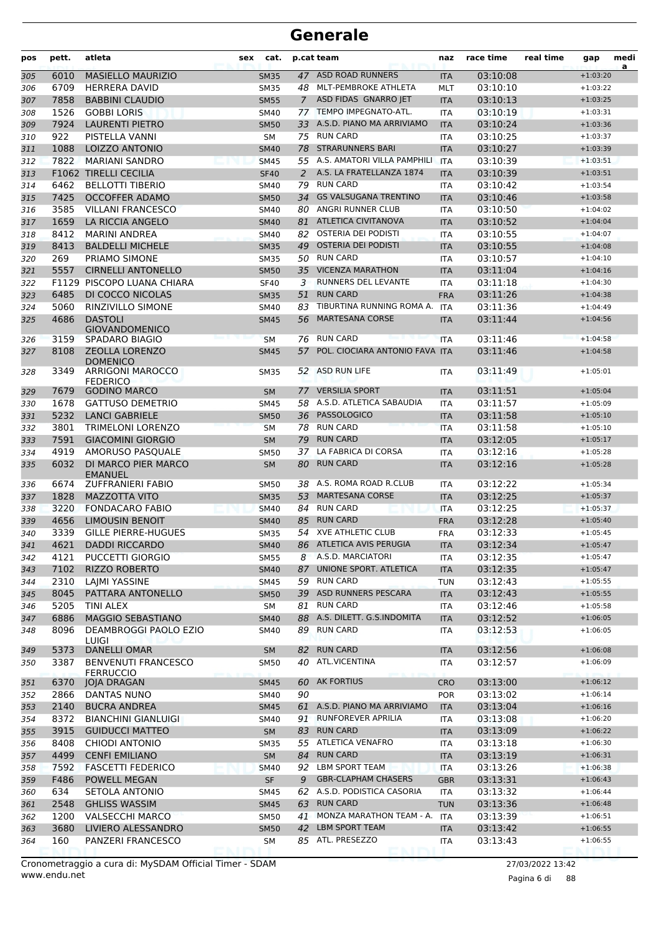| pos | pett. | atleta                                         | sex | cat.        |             | p.cat team                     | naz        | race time | real time | gap        | medi<br>a |
|-----|-------|------------------------------------------------|-----|-------------|-------------|--------------------------------|------------|-----------|-----------|------------|-----------|
| 305 | 6010  | <b>MASIELLO MAURIZIO</b>                       |     | <b>SM35</b> |             | 47 ASD ROAD RUNNERS            | <b>ITA</b> | 03:10:08  |           | $+1:03:20$ |           |
| 306 | 6709  | <b>HERRERA DAVID</b>                           |     | <b>SM35</b> |             | 48 MLT-PEMBROKE ATHLETA        | <b>MLT</b> | 03:10:10  |           | $+1:03:22$ |           |
| 307 | 7858  | <b>BABBINI CLAUDIO</b>                         |     | <b>SM55</b> | $7^{\circ}$ | ASD FIDAS GNARRO JET           | <b>ITA</b> | 03:10:13  |           | $+1:03:25$ |           |
| 308 | 1526  | <b>GOBBI LORIS</b>                             |     | <b>SM40</b> | 77          | TEMPO IMPEGNATO-ATL.           | <b>ITA</b> | 03:10:19  |           | $+1:03:31$ |           |
| 309 | 7924  | <b>LAURENTI PIETRO</b>                         |     | <b>SM50</b> | 33          | A.S.D. PIANO MA ARRIVIAMO      | <b>ITA</b> | 03:10:24  |           | $+1:03:36$ |           |
| 310 | 922   | PISTELLA VANNI                                 |     | SM          |             | 75 RUN CARD                    | <b>ITA</b> | 03:10:25  |           | $+1:03:37$ |           |
| 311 | 1088  | <b>LOIZZO ANTONIO</b>                          |     | <b>SM40</b> | 78          | <b>STRARUNNERS BARI</b>        | <b>ITA</b> | 03:10:27  |           | $+1:03:39$ |           |
| 312 | 7822  | <b>MARIANI SANDRO</b>                          |     | <b>SM45</b> |             | 55 A.S. AMATORI VILLA PAMPHILI | <b>ITA</b> | 03:10:39  |           | $+1:03:51$ |           |
| 313 |       | <b>F1062 TIRELLI CECILIA</b>                   |     | <b>SF40</b> | 2           | A.S. LA FRATELLANZA 1874       | <b>ITA</b> | 03:10:39  |           | $+1:03:51$ |           |
| 314 | 6462  | <b>BELLOTTI TIBERIO</b>                        |     | SM40        | 79          | <b>RUN CARD</b>                | <b>ITA</b> | 03:10:42  |           | $+1:03:54$ |           |
| 315 | 7425  | <b>OCCOFFER ADAMO</b>                          |     | <b>SM50</b> | 34          | <b>GS VALSUGANA TRENTINO</b>   | <b>ITA</b> | 03:10:46  |           | $+1:03:58$ |           |
| 316 | 3585  | <b>VILLANI FRANCESCO</b>                       |     | SM40        |             | 80 ANGRI RUNNER CLUB           | <b>ITA</b> | 03:10:50  |           | $+1:04:02$ |           |
| 317 | 1659  | LA RICCIA ANGELO                               |     | <b>SM40</b> | 81          | <b>ATLETICA CIVITANOVA</b>     | <b>ITA</b> | 03:10:52  |           | $+1:04:04$ |           |
| 318 | 8412  | <b>MARINI ANDREA</b>                           |     | <b>SM40</b> | 82          | OSTERIA DEI PODISTI            | <b>ITA</b> | 03:10:55  |           | $+1:04:07$ |           |
| 319 | 8413  | <b>BALDELLI MICHELE</b>                        |     | <b>SM35</b> | 49          | <b>OSTERIA DEI PODISTI</b>     | <b>ITA</b> | 03:10:55  |           | $+1:04:08$ |           |
| 320 | 269   | PRIAMO SIMONE                                  |     | <b>SM35</b> | 50          | <b>RUN CARD</b>                | <b>ITA</b> | 03:10:57  |           | $+1:04:10$ |           |
| 321 | 5557  | <b>CIRNELLI ANTONELLO</b>                      |     | <b>SM50</b> | 35          | <b>VICENZA MARATHON</b>        | <b>ITA</b> | 03:11:04  |           | $+1:04:16$ |           |
| 322 |       | F1129 PISCOPO LUANA CHIARA                     |     | <b>SF40</b> | 3           | RUNNERS DEL LEVANTE            | <b>ITA</b> | 03:11:18  |           | $+1:04:30$ |           |
| 323 | 6485  | DI COCCO NICOLAS                               |     | <b>SM35</b> | 51          | <b>RUN CARD</b>                | <b>FRA</b> | 03:11:26  |           | $+1:04:38$ |           |
| 324 | 5060  | <b>RINZIVILLO SIMONE</b>                       |     | <b>SM40</b> | 83          | TIBURTINA RUNNING ROMA A.      | ITA        | 03:11:36  |           | $+1:04:49$ |           |
| 325 | 4686  | <b>DASTOLI</b>                                 |     | <b>SM45</b> | 56          | <b>MARTESANA CORSE</b>         | <b>ITA</b> | 03:11:44  |           | $+1:04:56$ |           |
|     |       | <b>GIOVANDOMENICO</b>                          |     |             |             |                                |            |           |           |            |           |
| 326 | 3159  | <b>SPADARO BIAGIO</b>                          |     | <b>SM</b>   | 76          | <b>RUN CARD</b>                | <b>ITA</b> | 03:11:46  |           | $+1:04:58$ |           |
| 327 | 8108  | <b>ZEOLLA LORENZO</b>                          |     | <b>SM45</b> | 57          | POL. CIOCIARA ANTONIO FAVA ITA |            | 03:11:46  |           | $+1:04:58$ |           |
| 328 | 3349  | <b>DOMENICO</b><br><b>ARRIGONI MAROCCO</b>     |     | <b>SM35</b> | 52          | ASD RUN LIFE                   | ITA        | 03:11:49  |           | $+1:05:01$ |           |
|     |       | <b>FEDERICO</b>                                |     |             |             |                                |            |           |           |            |           |
| 329 | 7679  | <b>GODINO MARCO</b>                            |     | <b>SM</b>   | 77          | <b>VERSILIA SPORT</b>          | <b>ITA</b> | 03:11:51  |           | $+1:05:04$ |           |
| 330 | 1678  | <b>GATTUSO DEMETRIO</b>                        |     | <b>SM45</b> | 58          | A.S.D. ATLETICA SABAUDIA       | <b>ITA</b> | 03:11:57  |           | $+1:05:09$ |           |
| 331 | 5232  | <b>LANCI GABRIELE</b>                          |     | <b>SM50</b> | 36          | <b>PASSOLOGICO</b>             | <b>ITA</b> | 03:11:58  |           | $+1:05:10$ |           |
| 332 | 3801  | <b>TRIMELONI LORENZO</b>                       |     | <b>SM</b>   |             | 78 RUN CARD                    | <b>ITA</b> | 03:11:58  |           | $+1:05:10$ |           |
| 333 | 7591  | <b>GIACOMINI GIORGIO</b>                       |     | <b>SM</b>   | 79          | <b>RUN CARD</b>                | <b>ITA</b> | 03:12:05  |           | $+1:05:17$ |           |
| 334 | 4919  | AMORUSO PASQUALE                               |     | <b>SM50</b> | 37          | LA FABRICA DI CORSA            | <b>ITA</b> | 03:12:16  |           | $+1:05:28$ |           |
| 335 | 6032  | DI MARCO PIER MARCO<br><b>EMANUEL</b>          |     | <b>SM</b>   | 80          | <b>RUN CARD</b>                | <b>ITA</b> | 03:12:16  |           | $+1:05:28$ |           |
| 336 | 6674  | <b>ZUFFRANIERI FABIO</b>                       |     | <b>SM50</b> | 38          | A.S. ROMA ROAD R.CLUB          | <b>ITA</b> | 03:12:22  |           | $+1:05:34$ |           |
| 337 | 1828  | <b>MAZZOTTA VITO</b>                           |     | <b>SM35</b> | 53          | <b>MARTESANA CORSE</b>         | <b>ITA</b> | 03:12:25  |           | $+1:05:37$ |           |
| 338 | 3220  | <b>FONDACARO FABIO</b>                         |     | <b>SM40</b> | 84          | <b>RUN CARD</b>                | <b>ITA</b> | 03:12:25  |           | $+1:05:37$ |           |
| 339 | 4656  | <b>LIMOUSIN BENOIT</b>                         |     | <b>SM40</b> | 85          | <b>RUN CARD</b>                | <b>FRA</b> | 03:12:28  |           | $+1:05:40$ |           |
| 340 | 3339  | <b>GILLE PIERRE-HUGUES</b>                     |     | <b>SM35</b> |             | 54 XVE ATHLETIC CLUB           | <b>FRA</b> | 03:12:33  |           | $+1:05:45$ |           |
| 341 | 4621  | <b>DADDI RICCARDO</b>                          |     | <b>SM40</b> |             | 86 ATLETICA AVIS PERUGIA       | <b>ITA</b> | 03:12:34  |           | $+1:05:47$ |           |
| 342 | 4121  | PUCCETTI GIORGIO                               |     | <b>SM55</b> |             | 8 A.S.D. MARCIATORI            | ITA        | 03:12:35  |           | $+1:05:47$ |           |
| 343 | 7102  | <b>RIZZO ROBERTO</b>                           |     | <b>SM40</b> | 87          | UNIONE SPORT. ATLETICA         | <b>ITA</b> | 03:12:35  |           | $+1:05:47$ |           |
| 344 | 2310  | LAJMI YASSINE                                  |     | SM45        |             | 59 RUN CARD                    | <b>TUN</b> | 03:12:43  |           | $+1:05:55$ |           |
| 345 | 8045  | PATTARA ANTONELLO                              |     | <b>SM50</b> |             | 39 ASD RUNNERS PESCARA         | <b>ITA</b> | 03:12:43  |           | $+1:05:55$ |           |
| 346 | 5205  | TINI ALEX                                      |     | SM          |             | 81 RUN CARD                    | <b>ITA</b> | 03:12:46  |           | $+1:05:58$ |           |
| 347 | 6886  | MAGGIO SEBASTIANO                              |     | <b>SM40</b> |             | 88 A.S. DILETT. G.S.INDOMITA   | <b>ITA</b> | 03:12:52  |           | $+1:06:05$ |           |
| 348 | 8096  | <b>DEAMBROGGI PAOLO EZIO</b><br>LUIGI          |     | SM40        |             | 89 RUN CARD                    | ITA        | 03:12:53  |           | $+1:06:05$ |           |
| 349 | 5373  | <b>DANELLI OMAR</b>                            |     | <b>SM</b>   | 82          | <b>RUN CARD</b>                | <b>ITA</b> | 03:12:56  |           | $+1:06:08$ |           |
| 350 | 3387  | <b>BENVENUTI FRANCESCO</b><br><b>FERRUCCIO</b> |     | SM50        |             | 40 ATL.VICENTINA               | ITA        | 03:12:57  |           | $+1:06:09$ |           |
| 351 | 6370  | <b>JOJA DRAGAN</b>                             |     | <b>SM45</b> |             | 60 AK FORTIUS                  | <b>CRO</b> | 03:13:00  |           | $+1:06:12$ |           |
| 352 | 2866  | DANTAS NUNO                                    |     | SM40        | 90          |                                | <b>POR</b> | 03:13:02  |           | $+1:06:14$ |           |
| 353 | 2140  | <b>BUCRA ANDREA</b>                            |     | <b>SM45</b> |             | 61 A.S.D. PIANO MA ARRIVIAMO   | <b>ITA</b> | 03:13:04  |           | $+1:06:16$ |           |
| 354 | 8372  | <b>BIANCHINI GIANLUIGI</b>                     |     | SM40        |             | 91 RUNFOREVER APRILIA          | ITA        | 03:13:08  |           | $+1:06:20$ |           |
| 355 | 3915  | <b>GUIDUCCI MATTEO</b>                         |     | SM          |             | 83 RUN CARD                    | <b>ITA</b> | 03:13:09  |           | $+1:06:22$ |           |
| 356 | 8408  | CHIODI ANTONIO                                 |     | <b>SM35</b> |             | 55 ATLETICA VENAFRO            | <b>ITA</b> | 03:13:18  |           | $+1:06:30$ |           |
| 357 | 4499  | <b>CENFI EMILIANO</b>                          |     | <b>SM</b>   | 84          | <b>RUN CARD</b>                | <b>ITA</b> | 03:13:19  |           | $+1:06:31$ |           |
| 358 | 7592  | <b>FASCETTI FEDERICO</b>                       |     | <b>SM40</b> |             | 92 LBM SPORT TEAM              | <b>ITA</b> | 03:13:26  |           | $+1:06:38$ |           |
| 359 | F486  | POWELL MEGAN                                   |     | <b>SF</b>   | 9           | <b>GBR-CLAPHAM CHASERS</b>     | <b>GBR</b> | 03:13:31  |           | $+1:06:43$ |           |
|     | 634   | SETOLA ANTONIO                                 |     |             |             | 62 A.S.D. PODISTICA CASORIA    |            | 03:13:32  |           | $+1:06:44$ |           |
| 360 |       |                                                |     | SM45        |             | 63 RUN CARD                    | ITA        |           |           |            |           |
| 361 | 2548  | <b>GHLISS WASSIM</b>                           |     | <b>SM45</b> |             | 41 MONZA MARATHON TEAM - A.    | <b>TUN</b> | 03:13:36  |           | $+1:06:48$ |           |
| 362 | 1200  | <b>VALSECCHI MARCO</b>                         |     | SM50        |             | LBM SPORT TEAM                 | ITA        | 03:13:39  |           | $+1:06:51$ |           |
| 363 | 3680  | LIVIERO ALESSANDRO                             |     | <b>SM50</b> | 42          |                                | <b>ITA</b> | 03:13:42  |           | $+1:06:55$ |           |
| 364 | 160   | PANZERI FRANCESCO                              |     | SM          |             | 85 ATL. PRESEZZO               | ITA        | 03:13:43  |           | $+1:06:55$ |           |

www.endu.net Cronometraggio a cura di: MySDAM Official Timer - SDAM 27/03/2022 13:42

Pagina 6 di 88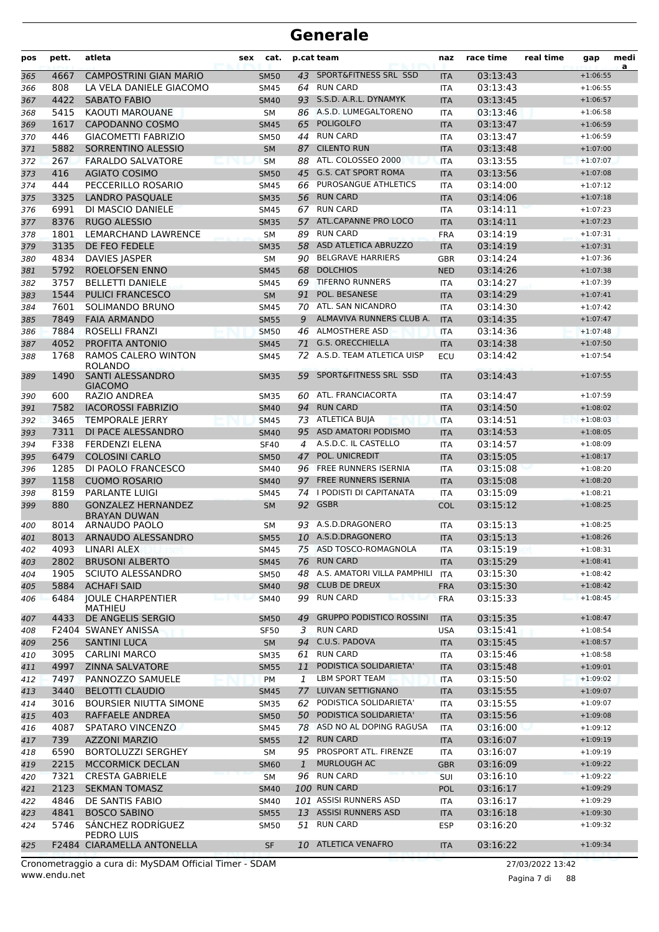| pos | pett. | atleta                                   | sex            | cat.        |              | p.cat team                      | naz        | race time | real time | gap        | medi<br>a |
|-----|-------|------------------------------------------|----------------|-------------|--------------|---------------------------------|------------|-----------|-----------|------------|-----------|
| 365 | 4667  | <b>CAMPOSTRINI GIAN MARIO</b>            |                | <b>SM50</b> |              | 43 SPORT&FITNESS SRL SSD        | <b>ITA</b> | 03:13:43  |           | $+1:06:55$ |           |
| 366 | 808   | LA VELA DANIELE GIACOMO                  |                | <b>SM45</b> | 64           | <b>RUN CARD</b>                 | <b>ITA</b> | 03:13:43  |           | $+1:06:55$ |           |
| 367 | 4422  | <b>SABATO FABIO</b>                      |                | <b>SM40</b> |              | 93 S.S.D. A.R.L. DYNAMYK        | <b>ITA</b> | 03:13:45  |           | $+1:06:57$ |           |
| 368 | 5415  | KAOUTI MAROUANE                          |                | <b>SM</b>   |              | 86 A.S.D. LUMEGALTORENO         | <b>ITA</b> | 03:13:46  |           | $+1:06:58$ |           |
| 369 | 1617  | CAPODANNO COSMO                          |                | <b>SM45</b> | 65           | <b>POLIGOLFO</b>                | <b>ITA</b> | 03:13:47  |           | $+1:06:59$ |           |
| 370 | 446   | <b>GIACOMETTI FABRIZIO</b>               |                | <b>SM50</b> |              | 44 RUN CARD                     | <b>ITA</b> | 03:13:47  |           | $+1:06:59$ |           |
| 371 | 5882  | SORRENTINO ALESSIO                       |                | <b>SM</b>   |              | 87 CILENTO RUN                  | <b>ITA</b> | 03:13:48  |           | $+1:07:00$ |           |
| 372 | 267   | <b>FARALDO SALVATORE</b>                 |                | <b>SM</b>   | 88           | ATL. COLOSSEO 2000              | <b>ITA</b> | 03:13:55  |           | $+1:07:07$ |           |
| 373 | 416   | <b>AGIATO COSIMO</b>                     |                | <b>SM50</b> | 45           | <b>G.S. CAT SPORT ROMA</b>      | <b>ITA</b> | 03:13:56  |           | $+1:07:08$ |           |
| 374 | 444   | PECCERILLO ROSARIO                       |                | <b>SM45</b> | 66           | PUROSANGUE ATHLETICS            | <b>ITA</b> | 03:14:00  |           | $+1:07:12$ |           |
| 375 | 3325  | LANDRO PASQUALE                          |                | <b>SM35</b> |              | 56 RUN CARD                     | <b>ITA</b> | 03:14:06  |           | $+1:07:18$ |           |
| 376 | 6991  | DI MASCIO DANIELE                        |                | SM45        | 67           | <b>RUN CARD</b>                 | <b>ITA</b> | 03:14:11  |           | $+1:07:23$ |           |
| 377 | 8376  | <b>RUGO ALESSIO</b>                      |                | <b>SM35</b> |              | 57 ATL.CAPANNE PRO LOCO         | <b>ITA</b> | 03:14:11  |           | $+1:07:23$ |           |
| 378 | 1801  | LEMARCHAND LAWRENCE                      |                | <b>SM</b>   | 89           | <b>RUN CARD</b>                 | <b>FRA</b> | 03:14:19  |           | $+1:07:31$ |           |
| 379 | 3135  | DE FEO FEDELE                            |                | <b>SM35</b> | 58           | ASD ATLETICA ABRUZZO            | <b>ITA</b> | 03:14:19  |           | $+1:07:31$ |           |
| 380 | 4834  | DAVIES JASPER                            |                | <b>SM</b>   | 90           | <b>BELGRAVE HARRIERS</b>        | <b>GBR</b> | 03:14:24  |           | $+1:07:36$ |           |
| 381 | 5792  | <b>ROELOFSEN ENNO</b>                    |                | <b>SM45</b> | 68           | <b>DOLCHIOS</b>                 | <b>NED</b> | 03:14:26  |           | $+1:07:38$ |           |
| 382 | 3757  | <b>BELLETTI DANIELE</b>                  |                | <b>SM45</b> | 69           | <b>TIFERNO RUNNERS</b>          | <b>ITA</b> | 03:14:27  |           | $+1:07:39$ |           |
| 383 | 1544  | <b>PULICI FRANCESCO</b>                  |                | <b>SM</b>   | 91           | POL. BESANESE                   | <b>ITA</b> | 03:14:29  |           | $+1:07:41$ |           |
| 384 | 7601  | <b>SOLIMANDO BRUNO</b>                   |                | <b>SM45</b> |              | 70 ATL. SAN NICANDRO            | <b>ITA</b> | 03:14:30  |           | $+1:07:42$ |           |
| 385 | 7849  | <b>FAIA ARMANDO</b>                      |                | <b>SM55</b> | 9            | ALMAVIVA RUNNERS CLUB A.        | <b>ITA</b> | 03:14:35  |           | $+1:07:47$ |           |
| 386 | 7884  | <b>ROSELLI FRANZI</b>                    |                | <b>SM50</b> | 46           | <b>ALMOSTHERE ASD</b>           | <b>ITA</b> | 03:14:36  |           | $+1:07:48$ |           |
| 387 | 4052  | PROFITA ANTONIO                          |                | <b>SM45</b> | 71           | <b>G.S. ORECCHIELLA</b>         | <b>ITA</b> | 03:14:38  |           | $+1:07:50$ |           |
| 388 | 1768  | RAMOS CALERO WINTON                      |                | <b>SM45</b> | 72           | A.S.D. TEAM ATLETICA UISP       | ECU        | 03:14:42  |           | $+1:07:54$ |           |
|     |       | <b>ROLANDO</b>                           |                |             |              |                                 |            |           |           |            |           |
| 389 | 1490  | SANTI ALESSANDRO<br><b>GIACOMO</b>       |                | <b>SM35</b> | 59           | SPORT&FITNESS SRL SSD           | <b>ITA</b> | 03:14:43  |           | $+1:07:55$ |           |
| 390 | 600   | RAZIO ANDREA                             |                | <b>SM35</b> | 60           | ATL. FRANCIACORTA               | ITA        | 03:14:47  |           | $+1:07:59$ |           |
| 391 | 7582  | <b>IACOROSSI FABRIZIO</b>                |                | <b>SM40</b> |              | 94 RUN CARD                     | <b>ITA</b> | 03:14:50  |           | $+1:08:02$ |           |
| 392 | 3465  | <b>TEMPORALE JERRY</b>                   |                | <b>SM45</b> |              | 73 ATLETICA BUJA                | <b>ITA</b> | 03:14:51  |           | $+1:08:03$ |           |
| 393 | 7311  | DI PACE ALESSANDRO                       |                | <b>SM40</b> |              | 95 ASD AMATORI PODISMO          | <b>ITA</b> | 03:14:53  |           | $+1:08:05$ |           |
| 394 | F338  | <b>FERDENZI ELENA</b>                    |                | <b>SF40</b> | 4            | A.S.D.C. IL CASTELLO            | <b>ITA</b> | 03:14:57  |           | $+1:08:09$ |           |
| 395 | 6479  | <b>COLOSINI CARLO</b>                    |                | <b>SM50</b> | 47           | POL. UNICREDIT                  | <b>ITA</b> | 03:15:05  |           | $+1:08:17$ |           |
| 396 | 1285  | DI PAOLO FRANCESCO                       |                | SM40        |              | 96 FREE RUNNERS ISERNIA         | <b>ITA</b> | 03:15:08  |           | $+1:08:20$ |           |
| 397 | 1158  | <b>CUOMO ROSARIO</b>                     |                | <b>SM40</b> |              | 97 FREE RUNNERS ISERNIA         | <b>ITA</b> | 03:15:08  |           | $+1:08:20$ |           |
| 398 | 8159  | PARLANTE LUIGI                           |                | <b>SM45</b> | 74           | I PODISTI DI CAPITANATA         | <b>ITA</b> | 03:15:09  |           | $+1:08:21$ |           |
| 399 | 880   | <b>GONZALEZ HERNANDEZ</b>                |                | <b>SM</b>   |              | 92 GSBR                         | <b>COL</b> | 03:15:12  |           | $+1:08:25$ |           |
| 400 | 8014  | <b>BRAYAN DUWAN</b><br>ARNAUDO PAOLO     |                | SM          | 93           | A.S.D.DRAGONERO                 | <b>ITA</b> | 03:15:13  |           | $+1:08:25$ |           |
| 401 | 8013  | ARNAUDO ALESSANDRO                       |                | <b>SM55</b> |              | 10 A.S.D.DRAGONERO              | <b>ITA</b> | 03:15:13  |           | $+1:08:26$ |           |
| 402 | 4093  | LINARI ALEX                              |                | <b>SM45</b> |              | 75 ASD TOSCO-ROMAGNOLA          | <b>ITA</b> | 03:15:19  |           | $+1:08:31$ |           |
| 403 | 2802  | <b>BRUSONI ALBERTO</b>                   |                | <b>SM45</b> |              | 76 RUN CARD                     | <b>ITA</b> | 03:15:29  |           | $+1:08:41$ |           |
| 404 | 1905  | SCIUTO ALESSANDRO                        |                | <b>SM50</b> |              | 48 A.S. AMATORI VILLA PAMPHILI  | ITA        | 03:15:30  |           | $+1:08:42$ |           |
| 405 | 5884  | <b>ACHAFI SAID</b>                       |                | <b>SM40</b> |              | 98 CLUB DE DREUX                | <b>FRA</b> | 03:15:30  |           | $+1:08:42$ |           |
| 406 | 6484  | <b>IOULE CHARPENTIER</b>                 | كالكالي الراسي | <b>SM40</b> |              | 99 RUN CARD<br>فالتالي          | <b>FRA</b> | 03:15:33  |           | $+1:08:45$ |           |
|     |       | MATHIEU                                  |                |             |              |                                 |            |           |           |            |           |
| 407 | 4433  | DE ANGELIS SERGIO                        |                | <b>SM50</b> | 49           | <b>GRUPPO PODISTICO ROSSINI</b> | <b>ITA</b> | 03:15:35  |           | $+1:08:47$ |           |
| 408 |       | F2404 SWANEY ANISSA                      |                | <b>SF50</b> | 3            | <b>RUN CARD</b>                 | <b>USA</b> | 03:15:41  |           | $+1:08:54$ |           |
| 409 | 256   | <b>SANTINI LUCA</b>                      |                | SM          | 94           | C.U.S. PADOVA                   | <b>ITA</b> | 03:15:45  |           | $+1:08:57$ |           |
| 410 | 3095  | <b>CARLINI MARCO</b>                     |                | <b>SM35</b> | 61           | <b>RUN CARD</b>                 | ITA        | 03:15:46  |           | $+1:08:58$ |           |
| 411 | 4997  | <b>ZINNA SALVATORE</b>                   |                | <b>SM55</b> | 11           | PODISTICA SOLIDARIETA'          | <b>ITA</b> | 03:15:48  |           | $+1:09:01$ |           |
| 412 | 7497  | PANNOZZO SAMUELE                         |                | <b>PM</b>   | 1            | LBM SPORT TEAM                  | <b>ITA</b> | 03:15:50  |           | $+1:09:02$ |           |
| 413 | 3440  | <b>BELOTTI CLAUDIO</b>                   |                | <b>SM45</b> | 77           | LUIVAN SETTIGNANO               | <b>ITA</b> | 03:15:55  |           | $+1:09:07$ |           |
| 414 | 3016  | <b>BOURSIER NIUTTA SIMONE</b>            |                | <b>SM35</b> | 62           | PODISTICA SOLIDARIETA'          | <b>ITA</b> | 03:15:55  |           | $+1:09:07$ |           |
| 415 | 403   | RAFFAELE ANDREA                          |                | <b>SM50</b> |              | 50 PODISTICA SOLIDARIETA'       | <b>ITA</b> | 03:15:56  |           | $+1:09:08$ |           |
| 416 | 4087  | SPATARO VINCENZO                         |                | SM45        |              | 78 ASD NO AL DOPING RAGUSA      | <b>ITA</b> | 03:16:00  |           | $+1:09:12$ |           |
| 417 | 739   | <b>AZZONI MARZIO</b>                     |                | <b>SM55</b> |              | 12 RUN CARD                     | <b>ITA</b> | 03:16:07  |           | $+1:09:19$ |           |
| 418 | 6590  | <b>BORTOLUZZI SERGHEY</b>                |                | SM          |              | 95 PROSPORT ATL. FIRENZE        | ITA        | 03:16:07  |           | $+1:09:19$ |           |
| 419 | 2215  | <b>MCCORMICK DECLAN</b>                  |                | <b>SM60</b> | $\mathbf{1}$ | MURLOUGH AC                     | <b>GBR</b> | 03:16:09  |           | $+1:09:22$ |           |
| 420 | 7321  | <b>CRESTA GABRIELE</b>                   |                | <b>SM</b>   |              | 96 RUN CARD                     | <b>SUI</b> | 03:16:10  |           | $+1:09:22$ |           |
| 421 | 2123  | <b>SEKMAN TOMASZ</b>                     |                | <b>SM40</b> |              | 100 RUN CARD                    | <b>POL</b> | 03:16:17  |           | $+1:09:29$ |           |
| 422 | 4846  | DE SANTIS FABIO                          |                | SM40        |              | 101 ASSISI RUNNERS ASD          | ITA        | 03:16:17  |           | $+1:09:29$ |           |
| 423 | 4841  | <b>BOSCO SABINO</b>                      |                | <b>SM55</b> |              | 13 ASSISI RUNNERS ASD           | <b>ITA</b> | 03:16:18  |           | $+1:09:30$ |           |
| 424 | 5746  | SÁNCHEZ RODRÍGUEZ                        |                | SM50        |              | 51 RUN CARD                     | <b>ESP</b> | 03:16:20  |           | $+1:09:32$ |           |
| 425 |       | PEDRO LUIS<br>F2484 CIARAMELLA ANTONELLA |                | <b>SF</b>   |              | 10 ATLETICA VENAFRO             | <b>ITA</b> | 03:16:22  |           | $+1:09:34$ |           |
|     |       |                                          |                |             |              |                                 |            |           |           |            |           |

www.endu.net Cronometraggio a cura di: MySDAM Official Timer - SDAM 27/03/2022 13:42

Pagina 7 di 88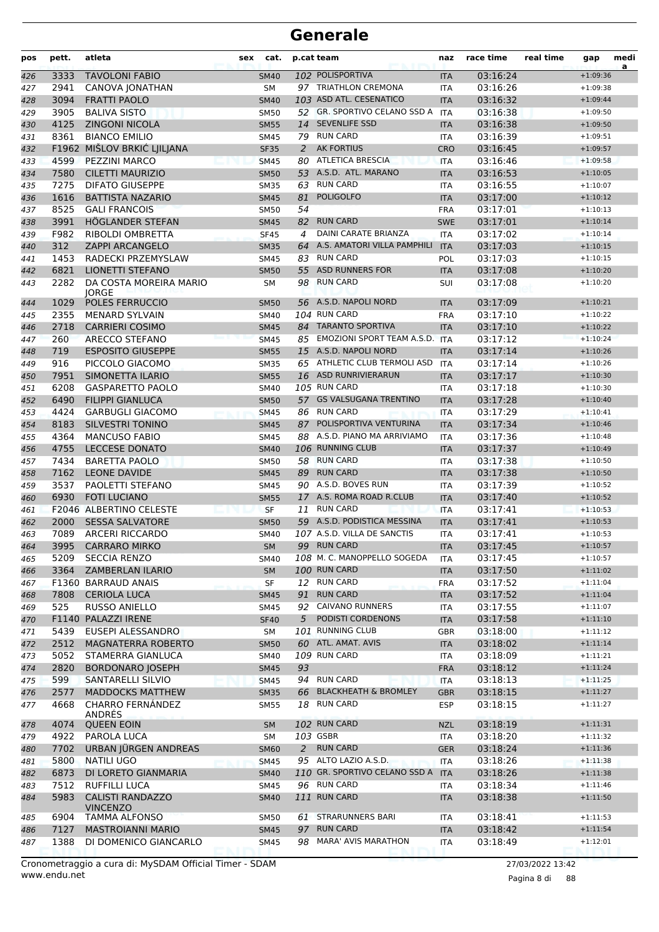| pos | pett. | atleta                                     | sex | cat.        |    | p.cat team                        | naz        | race time | real time | gap        | medi<br>a |
|-----|-------|--------------------------------------------|-----|-------------|----|-----------------------------------|------------|-----------|-----------|------------|-----------|
| 426 | 3333  | <b>TAVOLONI FABIO</b>                      |     | <b>SM40</b> |    | 102 POLISPORTIVA                  | <b>ITA</b> | 03:16:24  |           | $+1:09:36$ |           |
| 427 | 2941  | CANOVA JONATHAN                            |     | <b>SM</b>   |    | 97 TRIATHLON CREMONA              | ITA        | 03:16:26  |           | $+1:09:38$ |           |
| 428 | 3094  | <b>FRATTI PAOLO</b>                        |     | <b>SM40</b> |    | 103 ASD ATL. CESENATICO           | <b>ITA</b> | 03:16:32  |           | $+1:09:44$ |           |
| 429 | 3905  | <b>BALIVA SISTO</b>                        |     | <b>SM50</b> |    | 52 GR. SPORTIVO CELANO SSD A      | <b>ITA</b> | 03:16:38  |           | $+1:09:50$ |           |
| 430 | 4125  | <b>ZINGONI NICOLA</b>                      |     | <b>SM55</b> |    | 14 SEVENLIFE SSD                  | <b>ITA</b> | 03:16:38  |           | $+1:09:50$ |           |
| 431 | 8361  | <b>BIANCO EMILIO</b>                       |     | SM45        |    | 79 RUN CARD                       | ITA        | 03:16:39  |           | $+1:09:51$ |           |
| 432 |       | F1962 MIŠLOV BRKIĆ LJILJANA                |     | <b>SF35</b> | 2  | <b>AK FORTIUS</b>                 | <b>CRO</b> | 03:16:45  |           | $+1:09:57$ |           |
| 433 | 4599  | <b>PEZZINI MARCO</b>                       |     | <b>SM45</b> |    | 80 ATLETICA BRESCIA               | <b>ITA</b> | 03:16:46  |           | $+1:09:58$ |           |
| 434 | 7580  | <b>CILETTI MAURIZIO</b>                    |     | <b>SM50</b> |    | 53 A.S.D. ATL. MARANO             | <b>ITA</b> | 03:16:53  |           | $+1:10:05$ |           |
| 435 | 7275  | <b>DIFATO GIUSEPPE</b>                     |     | <b>SM35</b> | 63 | <b>RUN CARD</b>                   | <b>ITA</b> | 03:16:55  |           | $+1:10:07$ |           |
| 436 | 1616  | <b>BATTISTA NAZARIO</b>                    |     | <b>SM45</b> | 81 | <b>POLIGOLFO</b>                  | <b>ITA</b> | 03:17:00  |           | $+1:10:12$ |           |
| 437 | 8525  | <b>GALI FRANCOIS</b>                       |     | SM50        | 54 |                                   | <b>FRA</b> | 03:17:01  |           | $+1:10:13$ |           |
| 438 | 3991  | HÖGLANDER STEFAN                           |     | <b>SM45</b> | 82 | <b>RUN CARD</b>                   | <b>SWE</b> | 03:17:01  |           | $+1:10:14$ |           |
| 439 | F982  | RIBOLDI OMBRETTA                           |     | <b>SF45</b> | 4  | DAINI CARATE BRIANZA              | ITA        | 03:17:02  |           | $+1:10:14$ |           |
| 440 | 312   | <b>ZAPPI ARCANGELO</b>                     |     | <b>SM35</b> |    | 64 A.S. AMATORI VILLA PAMPHILI    | <b>ITA</b> | 03:17:03  |           | $+1:10:15$ |           |
| 441 | 1453  | RADECKI PRZEMYSLAW                         |     | <b>SM45</b> | 83 | <b>RUN CARD</b>                   | POL        | 03:17:03  |           | $+1:10:15$ |           |
| 442 | 6821  | <b>LIONETTI STEFANO</b>                    |     | <b>SM50</b> | 55 | <b>ASD RUNNERS FOR</b>            | <b>ITA</b> | 03:17:08  |           | $+1:10:20$ |           |
| 443 | 2282  | DA COSTA MOREIRA MARIO<br><b>IORGE</b>     |     | SM          |    | 98 RUN CARD                       | SUI        | 03:17:08  |           | $+1:10:20$ |           |
| 444 | 1029  | POLES FERRUCCIO                            |     | <b>SM50</b> |    | 56 A.S.D. NAPOLI NORD             | <b>ITA</b> | 03:17:09  |           | $+1:10:21$ |           |
| 445 | 2355  | <b>MENARD SYLVAIN</b>                      |     | SM40        |    | 104 RUN CARD                      | <b>FRA</b> | 03:17:10  |           | $+1:10:22$ |           |
| 446 | 2718  | <b>CARRIERI COSIMO</b>                     |     | <b>SM45</b> |    | 84 TARANTO SPORTIVA               | <b>ITA</b> | 03:17:10  |           | $+1:10:22$ |           |
| 447 | 260   | ARECCO STEFANO                             |     | <b>SM45</b> |    | 85 EMOZIONI SPORT TEAM A.S.D. ITA |            | 03:17:12  |           | $+1:10:24$ |           |
| 448 | 719   | <b>ESPOSITO GIUSEPPE</b>                   |     | <b>SM55</b> |    | 15 A.S.D. NAPOLI NORD             | <b>ITA</b> | 03:17:14  |           | $+1:10:26$ |           |
| 449 | 916   | PICCOLO GIACOMO                            |     | <b>SM35</b> |    | 65 ATHLETIC CLUB TERMOLI ASD      | <b>ITA</b> | 03:17:14  |           | $+1:10:26$ |           |
| 450 | 7951  | SIMONETTA ILARIO                           |     | <b>SM55</b> |    | 16 ASD RUNRIVIERARUN              | <b>ITA</b> | 03:17:17  |           | $+1:10:30$ |           |
| 451 | 6208  | <b>GASPARETTO PAOLO</b>                    |     | SM40        |    | 105 RUN CARD                      | ITA        | 03:17:18  |           | $+1:10:30$ |           |
| 452 | 6490  | <b>FILIPPI GIANLUCA</b>                    |     | <b>SM50</b> |    | 57 GS VALSUGANA TRENTINO          | <b>ITA</b> | 03:17:28  |           | $+1:10:40$ |           |
| 453 | 4424  | <b>GARBUGLI GIACOMO</b>                    |     | <b>SM45</b> |    | 86 RUN CARD                       | <b>ITA</b> | 03:17:29  |           | $+1:10:41$ |           |
| 454 | 8183  | <b>SILVESTRI TONINO</b>                    |     | <b>SM45</b> | 87 | POLISPORTIVA VENTURINA            | <b>ITA</b> | 03:17:34  |           | $+1:10:46$ |           |
| 455 | 4364  | <b>MANCUSO FABIO</b>                       |     | <b>SM45</b> |    | 88 A.S.D. PIANO MA ARRIVIAMO      | ITA        | 03:17:36  |           | $+1:10:48$ |           |
| 456 | 4755  | <b>LECCESE DONATO</b>                      |     | <b>SM40</b> |    | 106 RUNNING CLUB                  | <b>ITA</b> | 03:17:37  |           | $+1:10:49$ |           |
| 457 | 7434  | <b>BARETTA PAOLO</b>                       |     | SM50        |    | 58 RUN CARD                       | <b>ITA</b> | 03:17:38  |           | $+1:10:50$ |           |
| 458 | 7162  | <b>LEONE DAVIDE</b>                        |     | <b>SM45</b> |    | 89 RUN CARD                       | <b>ITA</b> | 03:17:38  |           | $+1:10:50$ |           |
| 459 | 3537  | PAOLETTI STEFANO                           |     | SM45        |    | 90 A.S.D. BOVES RUN               | <b>ITA</b> | 03:17:39  |           | $+1:10:52$ |           |
| 460 | 6930  | <b>FOTI LUCIANO</b>                        |     | <b>SM55</b> |    | 17 A.S. ROMA ROAD R.CLUB          | <b>ITA</b> | 03:17:40  |           | $+1:10:52$ |           |
| 461 |       | F2046 ALBERTINO CELESTE                    |     | <b>SF</b>   | 11 | <b>RUN CARD</b>                   | <b>ITA</b> | 03:17:41  |           | $+1:10:53$ |           |
| 462 | 2000  | <b>SESSA SALVATORE</b>                     |     | <b>SM50</b> |    | 59 A.S.D. PODISTICA MESSINA       | <b>ITA</b> | 03:17:41  |           | $+1:10:53$ |           |
| 463 | 7089  | <b>ARCERI RICCARDO</b>                     |     | SM40        |    | 107 A.S.D. VILLA DE SANCTIS       | <b>ITA</b> | 03:17:41  |           | $+1:10:53$ |           |
| 464 | 3995  | <b>CARRARO MIRKO</b>                       |     | <b>SM</b>   |    | 99 RUN CARD                       | <b>ITA</b> | 03:17:45  |           | $+1:10:57$ |           |
| 465 | 5209  | <b>SECCIA RENZO</b>                        |     | SM40        |    | 108 M. C. MANOPPELLO SOGEDA       | ITA        | 03:17:45  |           | $+1:10:57$ |           |
| 466 | 3364  | <b>ZAMBERLAN ILARIO</b>                    |     | <b>SM</b>   |    | 100 RUN CARD                      | <b>ITA</b> | 03:17:50  |           | $+1:11:02$ |           |
| 467 |       | F1360 BARRAUD ANAIS                        |     | <b>SF</b>   |    | 12 RUN CARD                       | <b>FRA</b> | 03:17:52  |           | $+1:11:04$ |           |
| 468 | 7808  | <b>CERIOLA LUCA</b>                        |     | <b>SM45</b> | 91 | <b>RUN CARD</b>                   | <b>ITA</b> | 03:17:52  |           | $+1:11:04$ |           |
| 469 | 525   | <b>RUSSO ANIELLO</b>                       |     | SM45        |    | 92 CAIVANO RUNNERS                | ITA        | 03:17:55  |           | $+1:11:07$ |           |
| 470 |       | F1140 PALAZZI IRENE                        |     | <b>SF40</b> | 5  | PODISTI CORDENONS                 | <b>ITA</b> | 03:17:58  |           | $+1:11:10$ |           |
| 471 | 5439  | EUSEPI ALESSANDRO                          |     | SM          |    | 101 RUNNING CLUB                  | <b>GBR</b> | 03:18:00  |           | $+1:11:12$ |           |
| 472 | 2512  | <b>MAGNATERRA ROBERTO</b>                  |     | <b>SM50</b> |    | 60 ATL. AMAT. AVIS                | <b>ITA</b> | 03:18:02  |           | $+1:11:14$ |           |
| 473 | 5052  | STAMERRA GIANLUCA                          |     | SM40        |    | 109 RUN CARD                      | ITA        | 03:18:09  |           | $+1:11:21$ |           |
| 474 | 2820  | <b>BORDONARO JOSEPH</b>                    |     | <b>SM45</b> | 93 |                                   | <b>FRA</b> | 03:18:12  |           | $+1:11:24$ |           |
| 475 | 599   | SANTARELLI SILVIO                          |     | <b>SM45</b> |    | 94 RUN CARD                       | <b>ITA</b> | 03:18:13  |           | $+1:11:25$ |           |
| 476 | 2577  | MADDOCKS MATTHEW                           |     | <b>SM35</b> |    | 66 BLACKHEATH & BROMLEY           | <b>GBR</b> | 03:18:15  |           | $+1:11:27$ |           |
| 477 | 4668  | <b>CHARRO FERNÁNDEZ</b><br>ANDRÉS          |     | SM55        |    | 18 RUN CARD                       | <b>ESP</b> | 03:18:15  |           | $+1:11:27$ |           |
| 478 | 4074  | <b>QUEEN EOIN</b>                          |     | <b>SM</b>   |    | 102 RUN CARD                      | <b>NZL</b> | 03:18:19  |           | $+1:11:31$ |           |
| 479 | 4922  | PAROLA LUCA                                |     | SM          |    | 103 GSBR                          | ITA        | 03:18:20  |           | $+1:11:32$ |           |
| 480 | 7702  | URBAN JÜRGEN ANDREAS                       |     | <b>SM60</b> | 2  | <b>RUN CARD</b>                   | <b>GER</b> | 03:18:24  |           | $+1:11:36$ |           |
| 481 | 5800  | NATILI UGO                                 |     | <b>SM45</b> |    | 95 ALTO LAZIO A.S.D.              | <b>ITA</b> | 03:18:26  |           | $+1:11:38$ |           |
| 482 | 6873  | DI LORETO GIANMARIA                        |     | <b>SM40</b> |    | 110 GR. SPORTIVO CELANO SSD A     | <b>ITA</b> | 03:18:26  |           | $+1:11:38$ |           |
| 483 | 7512  | <b>RUFFILLI LUCA</b>                       |     | SM45        |    | 96 RUN CARD                       | ITA        | 03:18:34  |           | $+1:11:46$ |           |
| 484 | 5983  | <b>CALISTI RANDAZZO</b><br><b>VINCENZO</b> |     | <b>SM40</b> |    | 111 RUN CARD                      | <b>ITA</b> | 03:18:38  |           | $+1:11:50$ |           |
| 485 | 6904  | <b>TAMMA ALFONSO</b>                       |     | SM50        |    | 61 STRARUNNERS BARI               | ITA        | 03:18:41  |           | $+1:11:53$ |           |
| 486 | 7127  | <b>MASTROIANNI MARIO</b>                   |     | <b>SM45</b> | 97 | <b>RUN CARD</b>                   | <b>ITA</b> | 03:18:42  |           | $+1:11:54$ |           |
| 487 | 1388  | DI DOMENICO GIANCARLO                      |     | SM45        | 98 | <b>MARA' AVIS MARATHON</b>        | ITA        | 03:18:49  |           | $+1:12:01$ |           |

www.endu.net Cronometraggio a cura di: MySDAM Official Timer - SDAM 27/03/2022 13:42

Pagina 8 di 88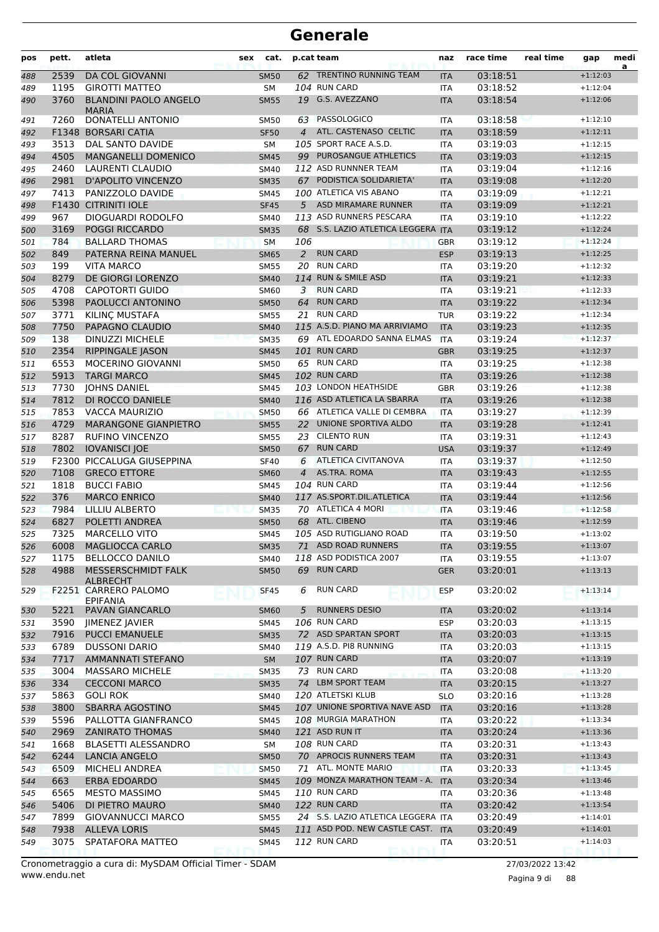| pos        | pett.       | atleta                                               | sex | cat.                       |                | p.cat team                                               | naz                      | race time            | real time | gap                      | medi<br>a |
|------------|-------------|------------------------------------------------------|-----|----------------------------|----------------|----------------------------------------------------------|--------------------------|----------------------|-----------|--------------------------|-----------|
| 488        | 2539        | DA COL GIOVANNI                                      |     | <b>SM50</b>                |                | 62 TRENTINO RUNNING TEAM                                 | <b>ITA</b>               | 03:18:51             |           | $+1:12:03$               |           |
| 489        | 1195        | <b>GIROTTI MATTEO</b>                                |     | <b>SM</b>                  |                | 104 RUN CARD                                             | <b>ITA</b>               | 03:18:52             |           | $+1:12:04$               |           |
| 490        | 3760        | <b>BLANDINI PAOLO ANGELO</b><br><b>MARIA</b>         |     | <b>SM55</b>                |                | 19 G.S. AVEZZANO                                         | <b>ITA</b>               | 03:18:54             |           | $+1:12:06$               |           |
| 491        | 7260        | <b>DONATELLI ANTONIO</b>                             |     | SM50                       |                | 63 PASSOLOGICO                                           | <b>ITA</b>               | 03:18:58             |           | $+1:12:10$               |           |
| 492        |             | F1348 BORSARI CATIA                                  |     | <b>SF50</b>                | $\overline{4}$ | ATL. CASTENASO CELTIC                                    | <b>ITA</b>               | 03:18:59             |           | $+1:12:11$               |           |
| 493        | 3513        | DAL SANTO DAVIDE                                     |     | <b>SM</b>                  |                | 105 SPORT RACE A.S.D.                                    | <b>ITA</b>               | 03:19:03             |           | $+1:12:15$               |           |
| 494        | 4505        | MANGANELLI DOMENICO                                  |     | <b>SM45</b>                |                | 99 PUROSANGUE ATHLETICS                                  | <b>ITA</b>               | 03:19:03             |           | $+1:12:15$               |           |
| 495        | 2460        | <b>LAURENTI CLAUDIO</b><br><b>D'APOLITO VINCENZO</b> |     | SM40                       |                | 112 ASD RUNNNER TEAM<br>67 PODISTICA SOLIDARIETA'        | <b>ITA</b>               | 03:19:04             |           | $+1:12:16$               |           |
| 496        | 2981        | PANIZZOLO DAVIDE                                     |     | <b>SM35</b>                |                | 100 ATLETICA VIS ABANO                                   | <b>ITA</b>               | 03:19:08             |           | $+1:12:20$               |           |
| 497        | 7413        |                                                      |     | SM45                       |                | ASD MIRAMARE RUNNER                                      | <b>ITA</b>               | 03:19:09             |           | $+1:12:21$               |           |
| 498        |             | <b>F1430 CITRINITI IOLE</b>                          |     | <b>SF45</b>                | 5              | 113 ASD RUNNERS PESCARA                                  | <b>ITA</b>               | 03:19:09             |           | $+1:12:21$               |           |
| 499        | 967<br>3169 | DIOGUARDI RODOLFO<br>POGGI RICCARDO                  |     | SM40                       |                | 68 S.S. LAZIO ATLETICA LEGGERA ITA                       | <b>ITA</b>               | 03:19:10<br>03:19:12 |           | $+1:12:22$<br>$+1:12:24$ |           |
| 500        | 784         | <b>BALLARD THOMAS</b>                                |     | <b>SM35</b><br><b>SM</b>   | 106            |                                                          |                          | 03:19:12             |           | $+1:12:24$               |           |
| 501<br>502 | 849         | PATERNA REINA MANUEL                                 |     | <b>SM65</b>                | $\overline{2}$ | <b>RUN CARD</b>                                          | <b>GBR</b><br><b>ESP</b> | 03:19:13             |           | $+1:12:25$               |           |
|            | 199         | <b>VITA MARCO</b>                                    |     |                            |                | 20 RUN CARD                                              |                          | 03:19:20             |           | $+1:12:32$               |           |
| 503<br>504 | 8279        | DE GIORGI LORENZO                                    |     | <b>SM55</b><br><b>SM40</b> |                | 114 RUN & SMILE ASD                                      | <b>ITA</b><br><b>ITA</b> | 03:19:21             |           | $+1:12:33$               |           |
| 505        | 4708        | <b>CAPOTORTI GUIDO</b>                               |     | <b>SM60</b>                | 3              | <b>RUN CARD</b>                                          | <b>ITA</b>               | 03:19:21             |           | $+1:12:33$               |           |
| 506        | 5398        | PAOLUCCI ANTONINO                                    |     | <b>SM50</b>                | 64             | <b>RUN CARD</b>                                          | <b>ITA</b>               | 03:19:22             |           | $+1:12:34$               |           |
| 507        | 3771        | KILINÇ MUSTAFA                                       |     | <b>SM55</b>                | 21             | <b>RUN CARD</b>                                          | <b>TUR</b>               | 03:19:22             |           | $+1:12:34$               |           |
| 508        | 7750        | PAPAGNO CLAUDIO                                      |     | <b>SM40</b>                |                | 115 A.S.D. PIANO MA ARRIVIAMO                            | <b>ITA</b>               | 03:19:23             |           | $+1:12:35$               |           |
| 509        | 138         | <b>DINUZZI MICHELE</b>                               |     | <b>SM35</b>                |                | 69 ATL EDOARDO SANNA ELMAS                               | <b>ITA</b>               | 03:19:24             |           | $+1:12:37$               |           |
| 510        | 2354        | <b>RIPPINGALE JASON</b>                              |     | <b>SM45</b>                |                | 101 RUN CARD                                             | <b>GBR</b>               | 03:19:25             |           | $+1:12:37$               |           |
| 511        | 6553        | MOCERINO GIOVANNI                                    |     | <b>SM50</b>                |                | 65 RUN CARD                                              | <b>ITA</b>               | 03:19:25             |           | $+1:12:38$               |           |
| 512        | 5913        | <b>TARGI MARCO</b>                                   |     | <b>SM45</b>                |                | 102 RUN CARD                                             | <b>ITA</b>               | 03:19:26             |           | $+1:12:38$               |           |
| 513        | 7730        | <b>JOHNS DANIEL</b>                                  |     | <b>SM45</b>                |                | 103 LONDON HEATHSIDE                                     | <b>GBR</b>               | 03:19:26             |           | $+1:12:38$               |           |
| 514        | 7812        | DI ROCCO DANIELE                                     |     | <b>SM40</b>                |                | 116 ASD ATLETICA LA SBARRA                               | <b>ITA</b>               | 03:19:26             |           | $+1:12:38$               |           |
| 515        | 7853        | <b>VACCA MAURIZIO</b>                                |     | <b>SM50</b>                |                | 66 ATLETICA VALLE DI CEMBRA                              | <b>ITA</b>               | 03:19:27             |           | $+1:12:39$               |           |
| 516        | 4729        | <b>MARANGONE GIANPIETRO</b>                          |     | <b>SM55</b>                |                | 22 UNIONE SPORTIVA ALDO                                  | <b>ITA</b>               | 03:19:28             |           | $+1:12:41$               |           |
| 517        | 8287        | <b>RUFINO VINCENZO</b>                               |     | <b>SM55</b>                |                | 23 CILENTO RUN                                           | <b>ITA</b>               | 03:19:31             |           | $+1:12:43$               |           |
| 518        | 7802        | <b>IOVANISCI JOE</b>                                 |     | <b>SM50</b>                | 67             | <b>RUN CARD</b>                                          | <b>USA</b>               | 03:19:37             |           | $+1:12:49$               |           |
| 519        |             | F2300 PICCALUGA GIUSEPPINA                           |     | <b>SF40</b>                | 6              | ATLETICA CIVITANOVA                                      | <b>ITA</b>               | 03:19:37             |           | $+1:12:50$               |           |
| 520        | 7108        | <b>GRECO ETTORE</b>                                  |     | <b>SM60</b>                | $\overline{4}$ | AS.TRA. ROMA                                             | <b>ITA</b>               | 03:19:43             |           | $+1:12:55$               |           |
| 521        | 1818        | <b>BUCCI FABIO</b>                                   |     | <b>SM45</b>                |                | 104 RUN CARD                                             | <b>ITA</b>               | 03:19:44             |           | $+1:12:56$               |           |
| 522        | 376         | <b>MARCO ENRICO</b>                                  |     | <b>SM40</b>                |                | 117 AS.SPORT.DIL.ATLETICA                                | <b>ITA</b>               | 03:19:44             |           | $+1:12:56$               |           |
| 523        | 7984        | LILLIU ALBERTO                                       |     | <b>SM35</b>                |                | 70 ATLETICA 4 MORI                                       | <b>ITA</b>               | 03:19:46             |           | $+1:12:58$               |           |
| 524        | 6827        | POLETTI ANDREA                                       |     | <b>SM50</b>                |                | 68 ATL. CIBENO                                           | <b>ITA</b>               | 03:19:46             |           | $+1:12:59$               |           |
| 525        | 7325        | <b>MARCELLO VITO</b>                                 |     | <b>SM45</b>                |                | 105 ASD RUTIGLIANO ROAD                                  | <b>ITA</b>               | 03:19:50             |           | $+1:13:02$               |           |
| 526        | 6008        | MAGLIOCCA CARLO                                      |     | SM35                       |                | 71 ASD ROAD RUNNERS                                      | <b>ITA</b>               | 03:19:55             |           | $+1:13:07$               |           |
| 527        | 1175        | <b>BELLOCCO DANILO</b>                               |     | SM40                       |                | 118 ASD PODISTICA 2007                                   | ITA                      | 03:19:55             |           | $+1:13:07$               |           |
| 528        | 4988        | MESSERSCHMIDT FALK<br>ALBRECHT                       |     | <b>SM50</b>                |                | 69 RUN CARD                                              | <b>GER</b>               | 03:20:01             |           | $+1:13:13$               |           |
| 529        |             | F2251 CARRERO PALOMO<br><b>EPIFANIA</b>              |     | SF45                       | 6              | <b>RUN CARD</b>                                          | <b>ESP</b>               | 03:20:02             |           | $+1:13:14$               |           |
| 530        | 5221        | PAVAN GIANCARLO                                      |     | <b>SM60</b>                | 5              | <b>RUNNERS DESIO</b>                                     | <b>ITA</b>               | 03:20:02             |           | $+1:13:14$               |           |
| 531        | 3590        | JIMENEZ JAVIER                                       |     | SM45                       |                | 106 RUN CARD                                             | <b>ESP</b>               | 03:20:03             |           | $+1:13:15$               |           |
| 532        | 7916        | <b>PUCCI EMANUELE</b>                                |     | <b>SM35</b>                |                | 72 ASD SPARTAN SPORT                                     | <b>ITA</b>               | 03:20:03             |           | $+1:13:15$               |           |
| 533        | 6789        | <b>DUSSONI DARIO</b>                                 |     | SM40                       |                | 119 A.S.D. PI8 RUNNING                                   | ITA                      | 03:20:03             |           | $+1:13:15$               |           |
| 534        | 7717        | <b>AMMANNATI STEFANO</b>                             |     | <b>SM</b>                  |                | 107 RUN CARD                                             | <b>ITA</b>               | 03:20:07             |           | $+1:13:19$               |           |
| 535        | 3004        | <b>MASSARO MICHELE</b>                               |     | <b>SM35</b>                |                | 73 RUN CARD                                              | <b>ITA</b>               | 03:20:08             |           | $+1:13:20$               |           |
| 536        | 334         | <b>CECCONI MARCO</b>                                 |     | <b>SM35</b>                |                | 74 LBM SPORT TEAM                                        | <b>ITA</b>               | 03:20:15             |           | $+1:13:27$               |           |
| 537        | 5863        | <b>GOLI ROK</b>                                      |     | SM40                       |                | 120 ATLETSKI KLUB                                        | <b>SLO</b>               | 03:20:16             |           | $+1:13:28$               |           |
| 538        | 3800        | <b>SBARRA AGOSTINO</b>                               |     | <b>SM45</b>                |                | 107 UNIONE SPORTIVA NAVE ASD                             | <b>ITA</b>               | 03:20:16             |           | $+1:13:28$               |           |
| 539        | 5596        | PALLOTTA GIANFRANCO                                  |     | SM45                       |                | 108 MURGIA MARATHON                                      | ITA                      | 03:20:22             |           | $+1:13:34$               |           |
| 540        | 2969        | <b>ZANIRATO THOMAS</b>                               |     | <b>SM40</b>                |                | 121 ASD RUN IT                                           | <b>ITA</b>               | 03:20:24             |           | $+1:13:36$               |           |
| 541        | 1668        | <b>BLASETTI ALESSANDRO</b>                           |     | SM                         |                | 108 RUN CARD                                             | <b>ITA</b>               | 03:20:31             |           | $+1:13:43$               |           |
| 542        | 6244        | LANCIA ANGELO                                        |     | <b>SM50</b>                |                | 70 APROCIS RUNNERS TEAM                                  | <b>ITA</b>               | 03:20:31             |           | $+1:13:43$               |           |
| 543        | 6509        | MICHELI ANDREA                                       |     | <b>SM50</b>                |                | 71 ATL. MONTE MARIO                                      | <b>ITA</b>               | 03:20:33             |           | $+1:13:45$               |           |
| 544        | 663         | ERBA EDOARDO                                         |     | <b>SM45</b>                |                | 109 MONZA MARATHON TEAM - A.                             | <b>ITA</b>               | 03:20:34             |           | $+1:13:46$               |           |
| 545        | 6565        | <b>MESTO MASSIMO</b>                                 |     | SM45                       |                | 110 RUN CARD                                             | ITA                      | 03:20:36             |           | $+1:13:48$               |           |
| 546        | 5406        | DI PIETRO MAURO                                      |     | <b>SM40</b>                |                | 122 RUN CARD                                             | <b>ITA</b>               | 03:20:42             |           | $+1:13:54$               |           |
| 547        | 7899        | <b>GIOVANNUCCI MARCO</b>                             |     | SM55                       |                | 24 S.S. LAZIO ATLETICA LEGGERA ITA                       |                          | 03:20:49             |           | $+1:14:01$               |           |
| 548        | 7938        | <b>ALLEVA LORIS</b><br>SPATAFORA MATTEO              |     | <b>SM45</b>                |                | 111 ASD POD. NEW CASTLE CAST. ITA<br><b>112 RUN CARD</b> |                          | 03:20:49             |           | $+1:14:01$               |           |
| 549        | 3075        |                                                      |     | SM45                       |                |                                                          | ITA                      | 03:20:51             |           | $+1:14:03$               |           |

www.endu.net Cronometraggio a cura di: MySDAM Official Timer - SDAM 27/03/2022 13:42

Pagina 9 di 88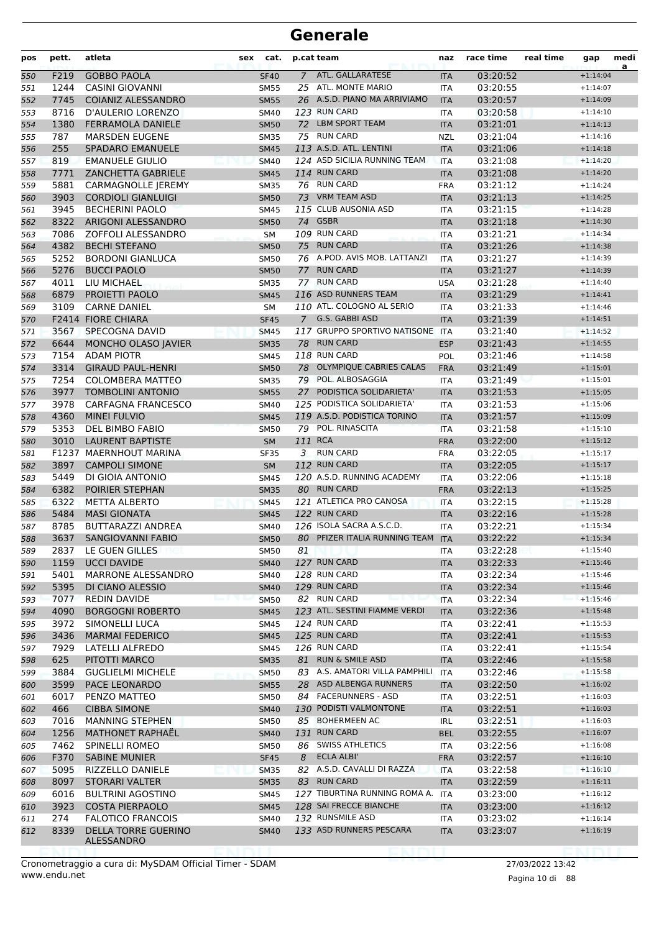| pos | pett. | atleta                     | sex | cat.        | p.cat team   |                                | naz        | race time | real time | gap        | medi<br>a |
|-----|-------|----------------------------|-----|-------------|--------------|--------------------------------|------------|-----------|-----------|------------|-----------|
| 550 | F219  | <b>GOBBO PAOLA</b>         |     | <b>SF40</b> | $7^{\circ}$  | ATL. GALLARATESE               | <b>ITA</b> | 03:20:52  |           | $+1:14:04$ |           |
| 551 | 1244  | <b>CASINI GIOVANNI</b>     |     | <b>SM55</b> |              | 25 ATL. MONTE MARIO            | <b>ITA</b> | 03:20:55  |           | $+1:14:07$ |           |
| 552 | 7745  | <b>COIANIZ ALESSANDRO</b>  |     | <b>SM55</b> |              | 26 A.S.D. PIANO MA ARRIVIAMO   | <b>ITA</b> | 03:20:57  |           | $+1:14:09$ |           |
| 553 | 8716  | D'AULERIO LORENZO          |     | <b>SM40</b> |              | 123 RUN CARD                   | <b>ITA</b> | 03:20:58  |           | $+1:14:10$ |           |
| 554 | 1380  | <b>FERRAMOLA DANIELE</b>   |     | <b>SM50</b> |              | 72 LBM SPORT TEAM              | <b>ITA</b> | 03:21:01  |           | $+1:14:13$ |           |
| 555 | 787   | <b>MARSDEN EUGENE</b>      |     | <b>SM35</b> |              | 75 RUN CARD                    | <b>NZL</b> | 03:21:04  |           | $+1:14:16$ |           |
| 556 | 255   | <b>SPADARO EMANUELE</b>    |     | <b>SM45</b> |              | 113 A.S.D. ATL. LENTINI        | <b>ITA</b> | 03:21:06  |           | $+1:14:18$ |           |
| 557 | 819   | <b>EMANUELE GIULIO</b>     |     | <b>SM40</b> |              | 124 ASD SICILIA RUNNING TEAM   | <b>ITA</b> | 03:21:08  |           | $+1:14:20$ |           |
| 558 | 7771  | <b>ZANCHETTA GABRIELE</b>  |     | <b>SM45</b> |              | 114 RUN CARD                   | <b>ITA</b> | 03:21:08  |           | $+1:14:20$ |           |
| 559 | 5881  | CARMAGNOLLE JEREMY         |     | <b>SM35</b> |              | 76 RUN CARD                    | <b>FRA</b> | 03:21:12  |           | $+1:14:24$ |           |
| 560 | 3903  | <b>CORDIOLI GIANLUIGI</b>  |     | <b>SM50</b> |              | 73 VRM TEAM ASD                | <b>ITA</b> | 03:21:13  |           | $+1:14:25$ |           |
| 561 | 3945  | <b>BECHERINI PAOLO</b>     |     | <b>SM45</b> |              | 115 CLUB AUSONIA ASD           | <b>ITA</b> | 03:21:15  |           | $+1:14:28$ |           |
| 562 | 8322  | ARIGONI ALESSANDRO         |     | <b>SM50</b> |              | 74 GSBR                        | <b>ITA</b> | 03:21:18  |           | $+1:14:30$ |           |
| 563 | 7086  | ZOFFOLI ALESSANDRO         |     | <b>SM</b>   |              | 109 RUN CARD                   | <b>ITA</b> | 03:21:21  |           | $+1:14:34$ |           |
| 564 | 4382  | <b>BECHI STEFANO</b>       |     | <b>SM50</b> |              | 75 RUN CARD                    | <b>ITA</b> | 03:21:26  |           | $+1:14:38$ |           |
| 565 | 5252  | <b>BORDONI GIANLUCA</b>    |     | <b>SM50</b> |              | 76 A.POD. AVIS MOB. LATTANZI   | <b>ITA</b> | 03:21:27  |           | $+1:14:39$ |           |
| 566 | 5276  | <b>BUCCI PAOLO</b>         |     | <b>SM50</b> |              | 77 RUN CARD                    | <b>ITA</b> | 03:21:27  |           | $+1:14:39$ |           |
| 567 | 4011  | LIU MICHAEL                |     | <b>SM35</b> |              | 77 RUN CARD                    | <b>USA</b> | 03:21:28  |           | $+1:14:40$ |           |
| 568 | 6879  | PROIETTI PAOLO             |     | <b>SM45</b> |              | 116 ASD RUNNERS TEAM           | <b>ITA</b> | 03:21:29  |           | $+1:14:41$ |           |
| 569 | 3109  | <b>CARNE DANIEL</b>        |     | <b>SM</b>   |              | 110 ATL. COLOGNO AL SERIO      | <b>ITA</b> | 03:21:33  |           | $+1:14:46$ |           |
| 570 |       | <b>F2414 FIORE CHIARA</b>  |     | <b>SF45</b> |              | 7 G.S. GABBI ASD               | <b>ITA</b> | 03:21:39  |           | $+1:14:51$ |           |
| 571 | 3567  | SPECOGNA DAVID             |     | <b>SM45</b> |              | 117 GRUPPO SPORTIVO NATISONE   | <b>ITA</b> | 03:21:40  |           | $+1:14:52$ |           |
| 572 | 6644  | MONCHO OLASO JAVIER        |     | <b>SM35</b> |              | 78 RUN CARD                    | <b>ESP</b> | 03:21:43  |           | $+1:14:55$ |           |
| 573 | 7154  | <b>ADAM PIOTR</b>          |     | <b>SM45</b> |              | 118 RUN CARD                   | POL        | 03:21:46  |           | $+1:14:58$ |           |
| 574 | 3314  | <b>GIRAUD PAUL-HENRI</b>   |     | <b>SM50</b> |              | 78 OLYMPIQUE CABRIES CALAS     | <b>FRA</b> | 03:21:49  |           | $+1:15:01$ |           |
| 575 | 7254  | COLOMBERA MATTEO           |     | <b>SM35</b> |              | 79 POL. ALBOSAGGIA             | <b>ITA</b> | 03:21:49  |           | $+1:15:01$ |           |
| 576 | 3977  | <b>TOMBOLINI ANTONIO</b>   |     | <b>SM55</b> |              | 27 PODISTICA SOLIDARIETA'      | <b>ITA</b> | 03:21:53  |           | $+1:15:05$ |           |
| 577 | 3978  | CARFAGNA FRANCESCO         |     | <b>SM40</b> |              | 125 PODISTICA SOLIDARIETA'     | <b>ITA</b> | 03:21:53  |           | $+1:15:06$ |           |
| 578 | 4360  | <b>MINEI FULVIO</b>        |     | <b>SM45</b> |              | 119 A.S.D. PODISTICA TORINO    | <b>ITA</b> | 03:21:57  |           | $+1:15:09$ |           |
| 579 | 5353  | DEL BIMBO FABIO            |     | <b>SM50</b> |              | 79 POL. RINASCITA              | <b>ITA</b> | 03:21:58  |           | $+1:15:10$ |           |
| 580 | 3010  | <b>LAURENT BAPTISTE</b>    |     | <b>SM</b>   | 111 RCA      |                                | <b>FRA</b> | 03:22:00  |           | $+1:15:12$ |           |
| 581 |       | F1237 MAERNHOUT MARINA     |     | <b>SF35</b> | $\mathbf{3}$ | <b>RUN CARD</b>                | <b>FRA</b> | 03:22:05  |           | $+1:15:17$ |           |
| 582 | 3897  | <b>CAMPOLI SIMONE</b>      |     | <b>SM</b>   |              | 112 RUN CARD                   | <b>ITA</b> | 03:22:05  |           | $+1:15:17$ |           |
| 583 | 5449  | DI GIOIA ANTONIO           |     | <b>SM45</b> |              | 120 A.S.D. RUNNING ACADEMY     | <b>ITA</b> | 03:22:06  |           | $+1:15:18$ |           |
| 584 | 6382  | POIRIER STEPHAN            |     | <b>SM35</b> |              | 80 RUN CARD                    | <b>FRA</b> | 03:22:13  |           | $+1:15:25$ |           |
| 585 | 6322  | <b>METTA ALBERTO</b>       |     | <b>SM45</b> |              | 121 ATLETICA PRO CANOSA        | <b>ITA</b> | 03:22:15  |           | $+1:15:28$ |           |
| 586 | 5484  | <b>MASI GIONATA</b>        |     | <b>SM45</b> |              | 122 RUN CARD                   | <b>ITA</b> | 03:22:16  |           | $+1:15:28$ |           |
| 587 | 8785  | <b>BUTTARAZZI ANDREA</b>   |     | <b>SM40</b> |              | 126 ISOLA SACRA A.S.C.D.       | <b>ITA</b> | 03:22:21  |           | $+1:15:34$ |           |
| 588 | 3637  | <b>SANGIOVANNI FABIO</b>   |     | <b>SM50</b> |              | 80 PFIZER ITALIA RUNNING TEAM  | <b>ITA</b> | 03:22:22  |           | $+1:15:34$ |           |
| 589 | 2837  | LE GUEN GILLES             |     | <b>SM50</b> | 81           |                                | ITA        | 03:22:28  |           | $+1:15:40$ |           |
| 590 | 1159  | <b>UCCI DAVIDE</b>         |     | <b>SM40</b> |              | 127 RUN CARD                   | <b>ITA</b> | 03:22:33  |           | $+1:15:46$ |           |
| 591 | 5401  | MARRONE ALESSANDRO         |     | <b>SM40</b> |              | 128 RUN CARD                   | ITA        | 03:22:34  |           | $+1:15:46$ |           |
| 592 | 5395  | DI CIANO ALESSIO           |     | <b>SM40</b> |              | 129 RUN CARD                   | <b>ITA</b> | 03:22:34  |           | $+1:15:46$ |           |
| 593 | 7077  | <b>REDIN DAVIDE</b>        |     | <b>SM50</b> |              | 82 RUN CARD                    | <b>ITA</b> | 03:22:34  |           | $+1:15:46$ |           |
| 594 | 4090  | <b>BORGOGNI ROBERTO</b>    |     | <b>SM45</b> |              | 123 ATL. SESTINI FIAMME VERDI  | <b>ITA</b> | 03:22:36  |           | $+1:15:48$ |           |
| 595 | 3972  | SIMONELLI LUCA             |     | <b>SM45</b> |              | 124 RUN CARD                   | ITA.       | 03:22:41  |           | $+1:15:53$ |           |
| 596 | 3436  | <b>MARMAI FEDERICO</b>     |     | <b>SM45</b> |              | 125 RUN CARD                   | <b>ITA</b> | 03:22:41  |           | $+1:15:53$ |           |
| 597 | 7929  | LATELLI ALFREDO            |     | SM45        |              | 126 RUN CARD                   | ITA        | 03:22:41  |           | $+1:15:54$ |           |
| 598 | 625   | PITOTTI MARCO              |     | <b>SM35</b> |              | 81 RUN & SMILE ASD             | <b>ITA</b> | 03:22:46  |           | $+1:15:58$ |           |
| 599 | 3884  | <b>GUGLIELMI MICHELE</b>   |     | <b>SM50</b> |              | 83 A.S. AMATORI VILLA PAMPHILI | <b>ITA</b> | 03:22:46  |           | $+1:15:58$ |           |
| 600 | 3599  | PACE LEONARDO              |     | <b>SM55</b> |              | 28 ASD ALBENGA RUNNERS         | <b>ITA</b> | 03:22:50  |           | $+1:16:02$ |           |
| 601 | 6017  | PENZO MATTEO               |     | <b>SM50</b> |              | 84 FACERUNNERS - ASD           | ITA        | 03:22:51  |           | $+1:16:03$ |           |
| 602 | 466   | <b>CIBBA SIMONE</b>        |     | <b>SM40</b> |              | 130 PODISTI VALMONTONE         | <b>ITA</b> | 03:22:51  |           | $+1:16:03$ |           |
| 603 | 7016  | <b>MANNING STEPHEN</b>     |     | SM50        |              | 85 BOHERMEEN AC                | IRL        | 03:22:51  |           | $+1:16:03$ |           |
| 604 | 1256  | <b>MATHONET RAPHAEL</b>    |     | <b>SM40</b> |              | 131 RUN CARD                   | <b>BEL</b> | 03:22:55  |           | $+1:16:07$ |           |
| 605 | 7462  | SPINELLI ROMEO             |     | <b>SM50</b> |              | 86 SWISS ATHLETICS             | ITA        | 03:22:56  |           | $+1:16:08$ |           |
| 606 | F370  | <b>SABINE MUNIER</b>       |     | <b>SF45</b> | 8            | ECLA ALBI'                     | <b>FRA</b> | 03:22:57  |           | $+1:16:10$ |           |
| 607 | 5095  | RIZZELLO DANIELE           |     | <b>SM35</b> |              | 82 A.S.D. CAVALLI DI RAZZA     | <b>ITA</b> | 03:22:58  |           | $+1:16:10$ |           |
| 608 | 8097  | <b>STORARI VALTER</b>      |     | <b>SM35</b> |              | 83 RUN CARD                    | <b>ITA</b> | 03:22:59  |           | $+1:16:11$ |           |
| 609 | 6016  | <b>BULTRINI AGOSTINO</b>   |     | SM45        |              | 127 TIBURTINA RUNNING ROMA A.  | <b>ITA</b> | 03:23:00  |           | $+1:16:12$ |           |
| 610 | 3923  | <b>COSTA PIERPAOLO</b>     |     | <b>SM45</b> |              | 128 SAI FRECCE BIANCHE         | <b>ITA</b> | 03:23:00  |           | $+1:16:12$ |           |
| 611 | 274   | <b>FALOTICO FRANCOIS</b>   |     | SM40        |              | 132 RUNSMILE ASD               | ITA        | 03:23:02  |           | $+1:16:14$ |           |
| 612 | 8339  | <b>DELLA TORRE GUERINO</b> |     | <b>SM40</b> |              | 133 ASD RUNNERS PESCARA        | <b>ITA</b> | 03:23:07  |           | $+1:16:19$ |           |
|     |       | ALESSANDRO                 |     |             |              |                                |            |           |           |            |           |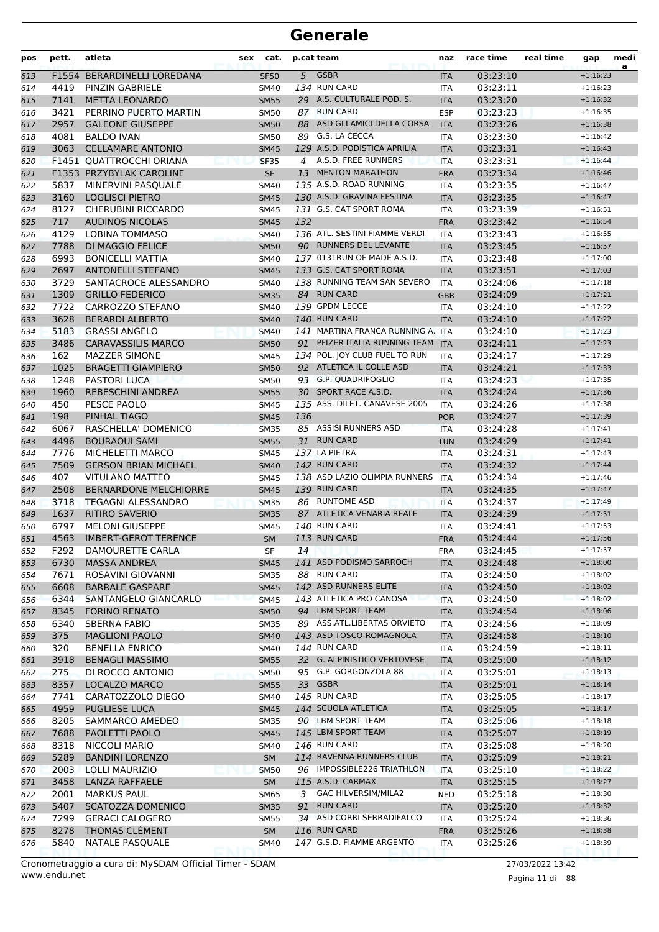| pos | pett.        | atleta                                         | sex | cat.              |     | p.cat team                                | naz               | race time            | real time | gap                      | medi<br>a |
|-----|--------------|------------------------------------------------|-----|-------------------|-----|-------------------------------------------|-------------------|----------------------|-----------|--------------------------|-----------|
| 613 |              | F1554 BERARDINELLI LOREDANA                    |     | <b>SF50</b>       |     | 5 GSBR                                    | <b>ITA</b>        | 03:23:10             |           | $+1:16:23$               |           |
| 614 | 4419         | PINZIN GABRIELE                                |     | SM40              |     | 134 RUN CARD                              | ITA               | 03:23:11             |           | $+1:16:23$               |           |
| 615 | 7141         | <b>METTA LEONARDO</b>                          |     | <b>SM55</b>       |     | 29 A.S. CULTURALE POD. S.                 | <b>ITA</b>        | 03:23:20             |           | $+1:16:32$               |           |
| 616 | 3421         | PERRINO PUERTO MARTIN                          |     | <b>SM50</b>       |     | 87 RUN CARD                               | <b>ESP</b>        | 03:23:23             |           | $+1:16:35$               |           |
| 617 | 2957         | <b>GALEONE GIUSEPPE</b>                        |     | <b>SM50</b>       |     | 88 ASD GLI AMICI DELLA CORSA              | <b>ITA</b>        | 03:23:26             |           | $+1:16:38$               |           |
| 618 | 4081         | <b>BALDO IVAN</b>                              |     | <b>SM50</b>       |     | 89 G.S. LA CECCA                          | ITA               | 03:23:30             |           | $+1:16:42$               |           |
| 619 | 3063         | <b>CELLAMARE ANTONIO</b>                       |     | <b>SM45</b>       |     | 129 A.S.D. PODISTICA APRILIA              | <b>ITA</b>        | 03:23:31             |           | $+1:16:43$               |           |
| 620 |              | <b>F1451 OUATTROCCHI ORIANA</b>                |     | <b>SF35</b>       | 4   | A.S.D. FREE RUNNERS                       | <b>ITA</b>        | 03:23:31             |           | $+1:16:44$               |           |
| 621 |              | F1353 PRZYBYLAK CAROLINE                       |     | <b>SF</b>         |     | 13 MENTON MARATHON                        | <b>FRA</b>        | 03:23:34             |           | $+1:16:46$               |           |
| 622 | 5837         | MINERVINI PASQUALE                             |     | <b>SM40</b>       |     | 135 A.S.D. ROAD RUNNING                   | <b>ITA</b>        | 03:23:35             |           | $+1:16:47$               |           |
| 623 | 3160         | <b>LOGLISCI PIETRO</b>                         |     | <b>SM45</b>       |     | 130 A.S.D. GRAVINA FESTINA                | <b>ITA</b>        | 03:23:35             |           | $+1:16:47$               |           |
| 624 | 8127         | <b>CHERUBINI RICCARDO</b>                      |     | SM45              |     | 131 G.S. CAT SPORT ROMA                   | <b>ITA</b>        | 03:23:39             |           | $+1:16:51$               |           |
| 625 | 717          | <b>AUDINOS NICOLAS</b>                         |     | <b>SM45</b>       | 132 |                                           | <b>FRA</b>        | 03:23:42             |           | $+1:16:54$               |           |
| 626 | 4129         | <b>LOBINA TOMMASO</b>                          |     | SM40              |     | 136 ATL. SESTINI FIAMME VERDI             | ITA               | 03:23:43             |           | $+1:16:55$               |           |
| 627 | 7788         | DI MAGGIO FELICE                               |     | <b>SM50</b>       |     | 90 RUNNERS DEL LEVANTE                    | <b>ITA</b>        | 03:23:45             |           | $+1:16:57$               |           |
| 628 | 6993         | <b>BONICELLI MATTIA</b>                        |     | <b>SM40</b>       |     | 137 0131RUN OF MADE A.S.D.                | <b>ITA</b>        | 03:23:48             |           | $+1:17:00$               |           |
| 629 | 2697         | <b>ANTONELLI STEFANO</b>                       |     | <b>SM45</b>       |     | 133 G.S. CAT SPORT ROMA                   | <b>ITA</b>        | 03:23:51             |           | $+1:17:03$               |           |
| 630 | 3729         | SANTACROCE ALESSANDRO                          |     | SM40              |     | 138 RUNNING TEAM SAN SEVERO               | <b>ITA</b>        | 03:24:06             |           | $+1:17:18$               |           |
| 631 | 1309         | <b>GRILLO FEDERICO</b>                         |     | <b>SM35</b>       |     | 84 RUN CARD                               | <b>GBR</b>        | 03:24:09             |           | $+1:17:21$               |           |
| 632 | 7722         | <b>CARROZZO STEFANO</b>                        |     | SM40              |     | 139 GPDM LECCE                            | ITA               | 03:24:10             |           | $+1:17:22$               |           |
| 633 | 3628         | <b>BERARDI ALBERTO</b>                         |     | <b>SM40</b>       |     | 140 RUN CARD                              | <b>ITA</b>        | 03:24:10             |           | $+1:17:22$               |           |
| 634 | 5183         | <b>GRASSI ANGELO</b>                           |     | <b>SM40</b>       |     | 141 MARTINA FRANCA RUNNING A. ITA         |                   | 03:24:10             |           | $+1:17:23$               |           |
| 635 | 3486         | <b>CARAVASSILIS MARCO</b>                      |     | <b>SM50</b>       |     | 91 PFIZER ITALIA RUNNING TEAM             | <b>ITA</b>        | 03:24:11             |           | $+1:17:23$               |           |
| 636 | 162          | <b>MAZZER SIMONE</b>                           |     | SM45              |     | 134 POL. JOY CLUB FUEL TO RUN             | <b>ITA</b>        | 03:24:17             |           | $+1:17:29$               |           |
| 637 | 1025         | <b>BRAGETTI GIAMPIERO</b>                      |     | <b>SM50</b>       |     | 92 ATLETICA IL COLLE ASD                  | <b>ITA</b>        | 03:24:21             |           | $+1:17:33$               |           |
| 638 | 1248         | <b>PASTORI LUCA</b>                            |     | SM50              |     | 93 G.P. QUADRIFOGLIO                      | ITA               | 03:24:23             |           | $+1:17:35$               |           |
| 639 | 1960         | <b>REBESCHINI ANDREA</b>                       |     | <b>SM55</b>       |     | 30 SPORT RACE A.S.D.                      | <b>ITA</b>        | 03:24:24             |           | $+1:17:36$               |           |
| 640 | 450          | PESCE PAOLO                                    |     | <b>SM45</b>       |     | 135 ASS. DILET. CANAVESE 2005             | <b>ITA</b>        | 03:24:26             |           | $+1:17:38$               |           |
| 641 | 198          | PINHAL TIAGO                                   |     | <b>SM45</b>       | 136 |                                           | <b>POR</b>        | 03:24:27             |           | $+1:17:39$               |           |
| 642 | 6067         | RASCHELLA' DOMENICO                            |     | <b>SM35</b>       |     | 85 ASSISI RUNNERS ASD                     | <b>ITA</b>        | 03:24:28             |           | $+1:17:41$               |           |
| 643 | 4496         | <b>BOURAOUI SAMI</b>                           |     | <b>SM55</b>       |     | 31 RUN CARD                               | <b>TUN</b>        | 03:24:29             |           | $+1:17:41$               |           |
| 644 | 7776         | MICHELETTI MARCO                               |     | SM45              |     | 137 LA PIETRA                             | <b>ITA</b>        | 03:24:31             |           | $+1:17:43$               |           |
| 645 | 7509         | <b>GERSON BRIAN MICHAEL</b>                    |     | <b>SM40</b>       |     | 142 RUN CARD                              | <b>ITA</b>        | 03:24:32             |           | $+1:17:44$               |           |
| 646 | 407          | <b>VITULANO MATTEO</b>                         |     | <b>SM45</b>       |     | 138 ASD LAZIO OLIMPIA RUNNERS             | <b>ITA</b>        | 03:24:34             |           | $+1:17:46$               |           |
| 647 | 2508         | <b>BERNARDONE MELCHIORRE</b>                   |     | <b>SM45</b>       |     | 139 RUN CARD                              | <b>ITA</b>        | 03:24:35             |           | $+1:17:47$               |           |
| 648 | 3718         | <b>TEGAGNI ALESSANDRO</b>                      |     | <b>SM35</b>       |     | 86 RUNTOME ASD                            | <b>ITA</b>        | 03:24:37             |           | $+1:17:49$               |           |
| 649 | 1637         | <b>RITIRO SAVERIO</b>                          |     | <b>SM35</b>       |     | 87 ATLETICA VENARIA REALE                 | <b>ITA</b>        | 03:24:39             |           | $+1:17:51$               |           |
| 650 | 6797         | <b>MELONI GIUSEPPE</b>                         |     | SM45              |     | 140 RUN CARD                              | ITA               | 03:24:41             |           | $+1:17:53$               |           |
| 651 | 4563         | <b>IMBERT-GEROT TERENCE</b>                    |     | <b>SM</b>         |     | 113 RUN CARD                              | <b>FRA</b>        | 03:24:44             |           | $+1:17:56$               |           |
| 652 | F292         | DAMOURETTE CARLA                               |     | SF                | 14  |                                           | <b>FRA</b>        | 03:24:45             |           | $+1:17:57$               |           |
| 653 | 6730         | <b>MASSA ANDREA</b>                            |     | <b>SM45</b>       |     | 141 ASD PODISMO SARROCH                   | <b>ITA</b>        | 03:24:48             |           | $+1:18:00$               |           |
| 654 | 7671         | ROSAVINI GIOVANNI                              |     | SM35              |     | 88 RUN CARD                               | ITA               | 03:24:50             |           | $+1:18:02$               |           |
| 655 | 6608         | <b>BARRALE GASPARE</b>                         |     | <b>SM45</b>       |     | 142 ASD RUNNERS ELITE                     | <b>ITA</b>        | 03:24:50             |           | $+1:18:02$               |           |
| 656 | 6344         | SANTANGELO GIANCARLO                           |     | <b>SM45</b>       |     | 143 ATLETICA PRO CANOSA                   | <b>ITA</b>        | 03:24:50             |           | $+1:18:02$               |           |
| 657 | 8345         | <b>FORINO RENATO</b>                           |     | <b>SM50</b>       |     | 94 LBM SPORT TEAM                         | <b>ITA</b>        | 03:24:54             |           | $+1:18:06$               |           |
| 658 | 6340         | <b>SBERNA FABIO</b>                            |     | SM35              |     | 89 ASS.ATL.LIBERTAS ORVIETO               | ITA               | 03:24:56             |           | $+1:18:09$               |           |
| 659 | 375          | <b>MAGLIONI PAOLO</b>                          |     | <b>SM40</b>       |     | 143 ASD TOSCO-ROMAGNOLA                   | <b>ITA</b>        | 03:24:58             |           | $+1:18:10$               |           |
| 660 | 320          | <b>BENELLA ENRICO</b>                          |     | SM40              |     | 144 RUN CARD                              | ITA               | 03:24:59             |           | $+1:18:11$               |           |
| 661 | 3918         | <b>BENAGLI MASSIMO</b>                         |     | <b>SM55</b>       |     | 32 G. ALPINISTICO VERTOVESE               | <b>ITA</b>        | 03:25:00             |           | $+1:18:12$               |           |
| 662 | 275          | DI ROCCO ANTONIO                               |     | <b>SM50</b>       |     | 95 G.P. GORGONZOLA 88                     | ITA               | 03:25:01             |           | $+1:18:13$               |           |
| 663 | 8357         | <b>LOCALZO MARCO</b>                           |     | <b>SM55</b>       |     | 33 GSBR                                   | <b>ITA</b>        | 03:25:01             |           | $+1:18:14$               |           |
| 664 | 7741         | CARATOZZOLO DIEGO                              |     | SM40              |     | 145 RUN CARD                              | <b>ITA</b>        | 03:25:05             |           | $+1:18:17$               |           |
| 665 | 4959         | PUGLIESE LUCA                                  |     | <b>SM45</b>       |     | 144 SCUOLA ATLETICA<br>90 LBM SPORT TEAM  | <b>ITA</b>        | 03:25:05             |           | $+1:18:17$               |           |
| 666 | 8205         | SAMMARCO AMEDEO                                |     | SM35              |     |                                           | ITA               | 03:25:06             |           | $+1:18:18$               |           |
| 667 | 7688         | PAOLETTI PAOLO                                 |     | <b>SM45</b>       |     | 145 LBM SPORT TEAM<br><b>146 RUN CARD</b> | <b>ITA</b>        | 03:25:07             |           | $+1:18:19$               |           |
| 668 | 8318         | NICCOLI MARIO                                  |     | SM40              |     | 114 RAVENNA RUNNERS CLUB                  | ITA               | 03:25:08             |           | $+1:18:20$               |           |
| 669 | 5289         | <b>BANDINI LORENZO</b>                         |     | <b>SM</b>         |     | 96 IMPOSSIBLE226 TRIATHLON                | <b>ITA</b>        | 03:25:09             |           | $+1:18:21$               |           |
| 670 | 2003         | LOLLI MAURIZIO                                 |     | <b>SM50</b>       |     | 115 A.S.D. CARMAX                         | <b>ITA</b>        | 03:25:10             |           | $+1:18:22$               |           |
| 671 | 3458         | <b>LANZA RAFFAELE</b>                          |     | <b>SM</b>         |     | 3 GAC HILVERSIM/MILA2                     | <b>ITA</b>        | 03:25:15             |           | $+1:18:27$<br>$+1:18:30$ |           |
| 672 | 2001<br>5407 | <b>MARKUS PAUL</b><br><b>SCATOZZA DOMENICO</b> |     | SM65              |     | 91 RUN CARD                               | <b>NED</b>        | 03:25:18<br>03:25:20 |           | $+1:18:32$               |           |
| 673 | 7299         | <b>GERACI CALOGERO</b>                         |     | <b>SM35</b>       |     | 34 ASD CORRI SERRADIFALCO                 | <b>ITA</b>        | 03:25:24             |           | $+1:18:36$               |           |
| 674 | 8278         | THOMAS CLÉMENT                                 |     | <b>SM55</b><br>SM |     | <b>116 RUN CARD</b>                       | ITA               | 03:25:26             |           | $+1:18:38$               |           |
| 675 | 5840         | NATALE PASQUALE                                |     | <b>SM40</b>       |     | 147 G.S.D. FIAMME ARGENTO                 | <b>FRA</b><br>ITA | 03:25:26             |           | $+1:18:39$               |           |
| 676 |              |                                                |     |                   |     |                                           |                   |                      |           |                          |           |

Pagina 11 di 88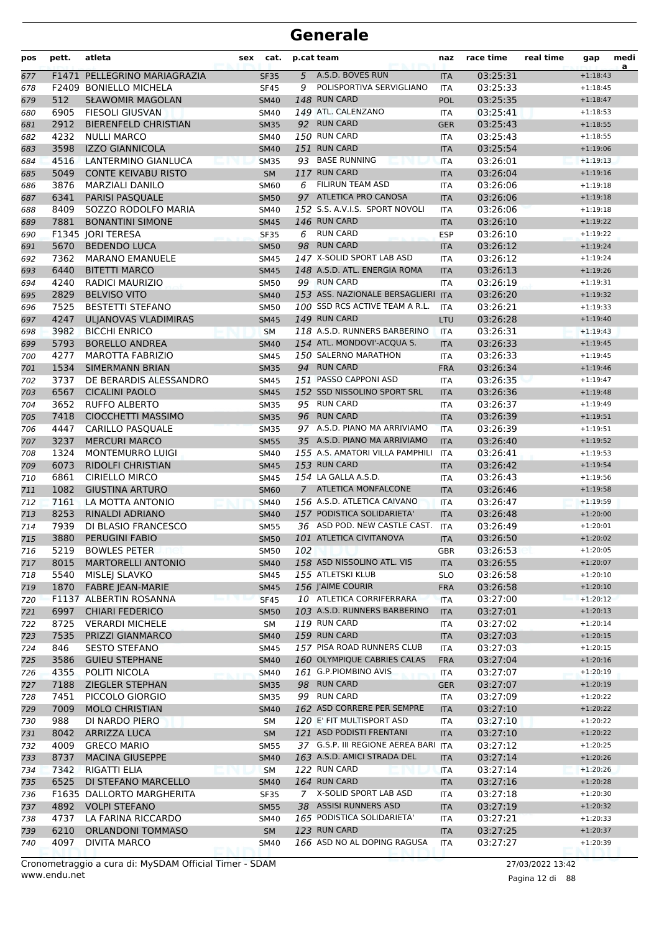| pos        | pett.        | atleta                                         | sex | cat.                       |     | p.cat team                                  | naz                      | race time            | real time | gap                      | medi<br>a |
|------------|--------------|------------------------------------------------|-----|----------------------------|-----|---------------------------------------------|--------------------------|----------------------|-----------|--------------------------|-----------|
| 677        |              | F1471 PELLEGRINO MARIAGRAZIA                   |     | <b>SF35</b>                | 5   | A.S.D. BOVES RUN                            | <b>ITA</b>               | 03:25:31             |           | $+1:18:43$               |           |
| 678        |              | F2409 BONIELLO MICHELA                         |     | <b>SF45</b>                | 9   | POLISPORTIVA SERVIGLIANO                    | ITA                      | 03:25:33             |           | $+1:18:45$               |           |
| 679        | 512          | <b>SŁAWOMIR MAGOLAN</b>                        |     | <b>SM40</b>                |     | 148 RUN CARD                                | POL                      | 03:25:35             |           | $+1:18:47$               |           |
| 680        | 6905         | <b>FIESOLI GIUSVAN</b>                         |     | <b>SM40</b>                |     | 149 ATL. CALENZANO                          | ITA                      | 03:25:41             |           | $+1:18:53$               |           |
| 681        | 2912         | <b>BIERENFELD CHRISTIAN</b>                    |     | <b>SM35</b>                |     | 92 RUN CARD                                 | <b>GER</b>               | 03:25:43             |           | $+1:18:55$               |           |
| 682        | 4232         | <b>NULLI MARCO</b>                             |     | SM40                       |     | 150 RUN CARD                                | ITA                      | 03:25:43             |           | $+1:18:55$               |           |
| 683        | 3598         | <b>IZZO GIANNICOLA</b>                         |     | <b>SM40</b>                |     | 151 RUN CARD                                | <b>ITA</b>               | 03:25:54             |           | $+1:19:06$               |           |
| 684        | 4516         | LANTERMINO GIANLUCA                            |     | <b>SM35</b>                |     | 93 BASE RUNNING                             | <b>ITA</b>               | 03:26:01             |           | $+1:19:13$               |           |
| 685        | 5049         | <b>CONTE KEIVABU RISTO</b>                     |     | <b>SM</b>                  |     | 117 RUN CARD                                | <b>ITA</b>               | 03:26:04             |           | $+1:19:16$               |           |
| 686        | 3876         | <b>MARZIALI DANILO</b>                         |     | <b>SM60</b>                | 6   | <b>FILIRUN TEAM ASD</b>                     | ITA                      | 03:26:06             |           | $+1:19:18$               |           |
| 687        | 6341         | <b>PARISI PASQUALE</b>                         |     | <b>SM50</b>                |     | 97 ATLETICA PRO CANOSA                      | <b>ITA</b>               | 03:26:06             |           | $+1:19:18$               |           |
| 688        | 8409         | SOZZO RODOLFO MARIA                            |     | SM40                       |     | 152 S.S. A.V.I.S. SPORT NOVOLI              | <b>ITA</b>               | 03:26:06             |           | $+1:19:18$               |           |
| 689        | 7881         | <b>BONANTINI SIMONE</b>                        |     | <b>SM45</b>                |     | 146 RUN CARD                                | <b>ITA</b>               | 03:26:10             |           | $+1:19:22$               |           |
| 690        |              | F1345 JORI TERESA                              |     | <b>SF35</b>                | 6   | <b>RUN CARD</b>                             | <b>ESP</b>               | 03:26:10             |           | $+1:19:22$               |           |
| 691        | 5670         | <b>BEDENDO LUCA</b>                            |     | <b>SM50</b>                |     | 98 RUN CARD                                 | <b>ITA</b>               | 03:26:12             |           | $+1:19:24$               |           |
| 692        | 7362         | <b>MARANO EMANUELE</b>                         |     | SM45                       |     | 147 X-SOLID SPORT LAB ASD                   | <b>ITA</b>               | 03:26:12             |           | $+1:19:24$               |           |
| 693        | 6440         | <b>BITETTI MARCO</b>                           |     | <b>SM45</b>                |     | 148 A.S.D. ATL. ENERGIA ROMA<br>99 RUN CARD | <b>ITA</b>               | 03:26:13             |           | $+1:19:26$               |           |
| 694        | 4240         | <b>RADICI MAURIZIO</b>                         |     | SM50                       |     | 153 ASS. NAZIONALE BERSAGLIERI ITA          | <b>ITA</b>               | 03:26:19             |           | $+1:19:31$               |           |
| 695        | 2829<br>7525 | <b>BELVISO VITO</b><br><b>BESTETTI STEFANO</b> |     | <b>SM40</b>                |     | 100 SSD RCS ACTIVE TEAM A R.L.              |                          | 03:26:20<br>03:26:21 |           | $+1:19:32$               |           |
| 696        | 4247         |                                                |     | <b>SM50</b>                |     | 149 RUN CARD                                | ITA                      |                      |           | $+1:19:33$               |           |
| 697        |              | <b>ULJANOVAS VLADIMIRAS</b>                    |     | <b>SM45</b>                |     | 118 A.S.D. RUNNERS BARBERINO                | <b>LTU</b>               | 03:26:28             |           | $+1:19:40$<br>$+1:19:43$ |           |
| 698        | 3982<br>5793 | <b>BICCHI ENRICO</b><br><b>BORELLO ANDREA</b>  |     | <b>SM</b>                  |     | 154 ATL. MONDOVI'-ACQUA S.                  | <b>ITA</b>               | 03:26:31<br>03:26:33 |           | $+1:19:45$               |           |
| 699        | 4277         | MAROTTA FABRIZIO                               |     | <b>SM40</b>                |     | 150 SALERNO MARATHON                        | <b>ITA</b>               | 03:26:33             |           | $+1:19:45$               |           |
| 700        | 1534         | <b>SIMERMANN BRIAN</b>                         |     | <b>SM45</b><br><b>SM35</b> |     | 94 RUN CARD                                 | <b>ITA</b><br><b>FRA</b> | 03:26:34             |           | $+1:19:46$               |           |
| 701<br>702 | 3737         | DE BERARDIS ALESSANDRO                         |     | <b>SM45</b>                |     | 151 PASSO CAPPONI ASD                       | ITA                      | 03:26:35             |           | $+1:19:47$               |           |
|            | 6567         | <b>CICALINI PAOLO</b>                          |     | <b>SM45</b>                |     | 152 SSD NISSOLINO SPORT SRL                 | <b>ITA</b>               | 03:26:36             |           | $+1:19:48$               |           |
| 703<br>704 | 3652         | <b>RUFFO ALBERTO</b>                           |     | <b>SM35</b>                |     | 95 RUN CARD                                 | <b>ITA</b>               | 03:26:37             |           | $+1:19:49$               |           |
| 705        | 7418         | CIOCCHETTI MASSIMO                             |     | <b>SM35</b>                |     | 96 RUN CARD                                 | <b>ITA</b>               | 03:26:39             |           | $+1:19:51$               |           |
| 706        | 4447         | <b>CARILLO PASQUALE</b>                        |     | <b>SM35</b>                |     | 97 A.S.D. PIANO MA ARRIVIAMO                | <b>ITA</b>               | 03:26:39             |           | $+1:19:51$               |           |
| 707        | 3237         | <b>MERCURI MARCO</b>                           |     | <b>SM55</b>                |     | 35 A.S.D. PIANO MA ARRIVIAMO                | <b>ITA</b>               | 03:26:40             |           | $+1:19:52$               |           |
| 708        | 1324         | <b>MONTEMURRO LUIGI</b>                        |     | SM40                       |     | 155 A.S. AMATORI VILLA PAMPHILI             | <b>ITA</b>               | 03:26:41             |           | $+1:19:53$               |           |
| 709        | 6073         | <b>RIDOLFI CHRISTIAN</b>                       |     | <b>SM45</b>                |     | 153 RUN CARD                                | <b>ITA</b>               | 03:26:42             |           | $+1:19:54$               |           |
| 710        | 6861         | <b>CIRIELLO MIRCO</b>                          |     | SM45                       |     | 154 LA GALLA A.S.D.                         | ITA                      | 03:26:43             |           | $+1:19:56$               |           |
| 711        | 1082         | <b>GIUSTINA ARTURO</b>                         |     | <b>SM60</b>                |     | 7 ATLETICA MONFALCONE                       | <b>ITA</b>               | 03:26:46             |           | $+1:19:58$               |           |
| 712        | 7161         | LA MOTTA ANTONIO                               |     | <b>SM40</b>                |     | 156 A.S.D. ATLETICA CAIVANO                 | <b>ITA</b>               | 03:26:47             |           | $+1:19:59$               |           |
| 713        | 8253         | RINALDI ADRIANO                                |     | <b>SM40</b>                |     | 157 PODISTICA SOLIDARIETA'                  | <b>ITA</b>               | 03:26:48             |           | $+1:20:00$               |           |
| 714        | 7939         | DI BLASIO FRANCESCO                            |     | <b>SM55</b>                |     | 36 ASD POD. NEW CASTLE CAST.                | ITA                      | 03:26:49             |           | $+1:20:01$               |           |
| 715        | 3880         | <b>PERUGINI FABIO</b>                          |     | <b>SM50</b>                |     | 101 ATLETICA CIVITANOVA                     | <b>ITA</b>               | 03:26:50             |           | $+1:20:02$               |           |
| 716        | 5219         | <b>BOWLES PETER</b>                            |     | <b>SM50</b>                | 102 |                                             | <b>GBR</b>               | 03:26:53             |           | $+1:20:05$               |           |
| 717        | 8015         | <b>MARTORELLI ANTONIO</b>                      |     | <b>SM40</b>                |     | 158 ASD NISSOLINO ATL. VIS                  | <b>ITA</b>               | 03:26:55             |           | $+1:20:07$               |           |
| 718        | 5540         | MISLEJ SLAVKO                                  |     | <b>SM45</b>                |     | 155 ATLETSKI KLUB                           | <b>SLO</b>               | 03:26:58             |           | $+1:20:10$               |           |
| 719        | 1870         | <b>FABRE JEAN-MARIE</b>                        |     | <b>SM45</b>                |     | 156 J'AIME COURIR                           | <b>FRA</b>               | 03:26:58             |           | $+1:20:10$               |           |
| 720        |              | F1137 ALBERTIN ROSANNA                         |     | <b>SF45</b>                |     | 10 ATLETICA CORRIFERRARA                    | <b>ITA</b>               | 03:27:00             |           | $+1:20:12$               |           |
| 721        | 6997         | <b>CHIARI FEDERICO</b>                         |     | <b>SM50</b>                |     | 103 A.S.D. RUNNERS BARBERINO                | <b>ITA</b>               | 03:27:01             |           | $+1:20:13$               |           |
| 722        | 8725         | <b>VERARDI MICHELE</b>                         |     | SM                         |     | 119 RUN CARD                                | ITA                      | 03:27:02             |           | $+1:20:14$               |           |
| 723        | 7535         | PRIZZI GIANMARCO                               |     | <b>SM40</b>                |     | 159 RUN CARD                                | <b>ITA</b>               | 03:27:03             |           | $+1:20:15$               |           |
| 724        | 846          | <b>SESTO STEFANO</b>                           |     | <b>SM45</b>                |     | 157 PISA ROAD RUNNERS CLUB                  | ITA                      | 03:27:03             |           | $+1:20:15$               |           |
| 725        | 3586         | <b>GUIEU STEPHANE</b>                          |     | <b>SM40</b>                |     | 160 OLYMPIQUE CABRIES CALAS                 | <b>FRA</b>               | 03:27:04             |           | $+1:20:16$               |           |
| 726        | 4355         | POLITI NICOLA                                  |     | <b>SM40</b>                |     | 161 G.P.PIOMBINO AVIS                       | ITA                      | 03:27:07             |           | $+1:20:19$               |           |
| 727        | 7188         | ZIEGLER STEPHAN                                |     | <b>SM35</b>                |     | 98 RUN CARD                                 | <b>GER</b>               | 03:27:07             |           | $+1:20:19$               |           |
| 728        | 7451         | PICCOLO GIORGIO                                |     | <b>SM35</b>                |     | 99 RUN CARD                                 | ITA                      | 03:27:09             |           | $+1:20:22$               |           |
| 729        | 7009         | <b>MOLO CHRISTIAN</b>                          |     | <b>SM40</b>                |     | 162 ASD CORRERE PER SEMPRE                  | <b>ITA</b>               | 03:27:10             |           | $+1:20:22$               |           |
| 730        | 988          | DI NARDO PIERO                                 |     | SM                         |     | 120 E' FIT MULTISPORT ASD                   | ITA                      | 03:27:10             |           | $+1:20:22$               |           |
| 731        | 8042         | <b>ARRIZZA LUCA</b>                            |     | <b>SM</b>                  |     | 121 ASD PODISTI FRENTANI                    | <b>ITA</b>               | 03:27:10             |           | $+1:20:22$               |           |
| 732        | 4009         | <b>GRECO MARIO</b>                             |     | <b>SM55</b>                |     | 37 G.S.P. III REGIONE AEREA BARI ITA        |                          | 03:27:12             |           | $+1:20:25$               |           |
| 733        | 8737         | <b>MACINA GIUSEPPE</b>                         |     | <b>SM40</b>                |     | 163 A.S.D. AMICI STRADA DEL                 | <b>ITA</b>               | 03:27:14             |           | $+1:20:26$               |           |
| 734        | 7342         | RIGATTI ELIA                                   |     | <b>SM</b>                  |     | 122 RUN CARD                                | ITA                      | 03:27:14             |           | $+1:20:26$               |           |
| 735        | 6525         | DI STEFANO MARCELLO                            |     | <b>SM40</b>                |     | 164 RUN CARD                                | <b>ITA</b>               | 03:27:16             |           | $+1:20:28$               |           |
| 736        |              | F1635 DALLORTO MARGHERITA                      |     | <b>SF35</b>                |     | 7 X-SOLID SPORT LAB ASD                     | ITA                      | 03:27:18             |           | $+1:20:30$               |           |
| 737        | 4892         | <b>VOLPI STEFANO</b>                           |     | <b>SM55</b>                |     | 38 ASSISI RUNNERS ASD                       | <b>ITA</b>               | 03:27:19             |           | $+1:20:32$               |           |
| 738        | 4737         | LA FARINA RICCARDO<br><b>ORLANDONI TOMMASO</b> |     | SM40                       |     | 165 PODISTICA SOLIDARIETA'<br>123 RUN CARD  | ITA                      | 03:27:21             |           | $+1:20:33$               |           |
| 739<br>740 | 6210<br>4097 | <b>DIVITA MARCO</b>                            |     | <b>SM</b><br><b>SM40</b>   |     | 166 ASD NO AL DOPING RAGUSA                 | <b>ITA</b>               | 03:27:25<br>03:27:27 |           | $+1:20:37$<br>$+1:20:39$ |           |
|            |              |                                                |     |                            |     |                                             | ITA                      |                      |           |                          |           |

www.endu.net Cronometraggio a cura di: MySDAM Official Timer - SDAM 27/03/2022 13:42

Pagina 12 di 88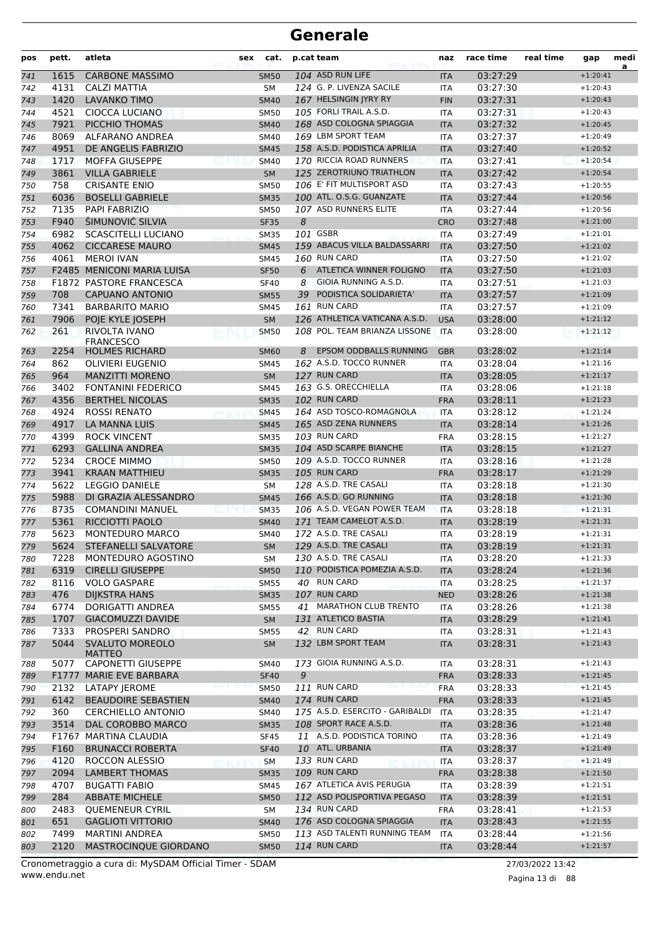| pos | pett. | atleta                                    | cat.<br>sex |   | p.cat team                                             | naz        | race time | real time | gap                      | medi<br>a |
|-----|-------|-------------------------------------------|-------------|---|--------------------------------------------------------|------------|-----------|-----------|--------------------------|-----------|
| 741 | 1615  | <b>CARBONE MASSIMO</b>                    | <b>SM50</b> |   | 104 ASD RUN LIFE                                       | <b>ITA</b> | 03:27:29  |           | $+1:20:41$               |           |
| 742 | 4131  | CALZI MATTIA                              | <b>SM</b>   |   | 124 G. P. LIVENZA SACILE                               | <b>ITA</b> | 03:27:30  |           | $+1:20:43$               |           |
| 743 | 1420  | <b>LAVANKO TIMO</b>                       | <b>SM40</b> |   | 167 HELSINGIN JYRY RY                                  | <b>FIN</b> | 03:27:31  |           | $+1:20:43$               |           |
| 744 | 4521  | <b>CIOCCA LUCIANO</b>                     | <b>SM50</b> |   | 105 FORLI TRAIL A.S.D.                                 | <b>ITA</b> | 03:27:31  |           | $+1:20:43$               |           |
| 745 | 7921  | PICCHIO THOMAS                            | <b>SM40</b> |   | 168 ASD COLOGNA SPIAGGIA                               | <b>ITA</b> | 03:27:32  |           | $+1:20:45$               |           |
| 746 | 8069  | ALFARANO ANDREA                           | <b>SM40</b> |   | 169 LBM SPORT TEAM                                     | <b>ITA</b> | 03:27:37  |           | $+1:20:49$               |           |
| 747 | 4951  | DE ANGELIS FABRIZIO                       | <b>SM45</b> |   | 158 A.S.D. PODISTICA APRILIA                           | <b>ITA</b> | 03:27:40  |           | $+1:20:52$               |           |
| 748 | 1717  | <b>MOFFA GIUSEPPE</b>                     | <b>SM40</b> |   | 170 RICCIA ROAD RUNNERS                                | <b>ITA</b> | 03:27:41  |           | $+1:20:54$               |           |
| 749 | 3861  | <b>VILLA GABRIELE</b>                     | <b>SM</b>   |   | 125 ZEROTRIUNO TRIATHLON                               | <b>ITA</b> | 03:27:42  |           | $+1:20:54$               |           |
| 750 | 758   | <b>CRISANTE ENIO</b>                      | <b>SM50</b> |   | 106 E' FIT MULTISPORT ASD                              | <b>ITA</b> | 03:27:43  |           | $+1:20:55$               |           |
| 751 | 6036  | <b>BOSELLI GABRIELE</b>                   | <b>SM35</b> |   | 100 ATL. O.S.G. GUANZATE                               | <b>ITA</b> | 03:27:44  |           | $+1:20:56$               |           |
| 752 | 7135  | PAPI FABRIZIO                             | <b>SM50</b> |   | 107 ASD RUNNERS ELITE                                  | <b>ITA</b> | 03:27:44  |           | $+1:20:56$               |           |
| 753 | F940  | ŠIMUNOVIĆ SILVIA                          | <b>SF35</b> | 8 |                                                        | <b>CRO</b> | 03:27:48  |           | $+1:21:00$               |           |
| 754 | 6982  | <b>SCASCITELLI LUCIANO</b>                | <b>SM35</b> |   | 101 GSBR                                               | <b>ITA</b> | 03:27:49  |           | $+1:21:01$               |           |
| 755 | 4062  | <b>CICCARESE MAURO</b>                    | <b>SM45</b> |   | 159 ABACUS VILLA BALDASSARRI                           | <b>ITA</b> | 03:27:50  |           | $+1:21:02$               |           |
| 756 | 4061  | <b>MEROI IVAN</b>                         | <b>SM45</b> |   | 160 RUN CARD                                           | <b>ITA</b> | 03:27:50  |           | $+1:21:02$               |           |
| 757 |       | <b>F2485 MENICONI MARIA LUISA</b>         | <b>SF50</b> | 6 | ATLETICA WINNER FOLIGNO                                | <b>ITA</b> | 03:27:50  |           | $+1:21:03$               |           |
| 758 |       | F1872 PASTORE FRANCESCA                   | <b>SF40</b> | 8 | GIOIA RUNNING A.S.D.                                   | <b>ITA</b> | 03:27:51  |           | $+1:21:03$               |           |
| 759 | 708   | <b>CAPUANO ANTONIO</b>                    | <b>SM55</b> |   | 39 PODISTICA SOLIDARIETA'                              | <b>ITA</b> | 03:27:57  |           | $+1:21:09$               |           |
| 760 | 7341  | <b>BARBARITO MARIO</b>                    | <b>SM45</b> |   | 161 RUN CARD                                           | ITA        | 03:27:57  |           | $+1:21:09$               |           |
| 761 | 7906  | POJE KYLE JOSEPH                          | <b>SM</b>   |   | 126 ATHLETICA VATICANA A.S.D.                          | <b>USA</b> | 03:28:00  |           | $+1:21:12$               |           |
| 762 | 261   | <b>RIVOLTA IVANO</b>                      | <b>SM50</b> |   | 108 POL. TEAM BRIANZA LISSONE                          | <b>ITA</b> | 03:28:00  |           | $+1:21:12$               |           |
|     | 2254  | <b>FRANCESCO</b><br><b>HOLMES RICHARD</b> | <b>SM60</b> | 8 | <b>EPSOM ODDBALLS RUNNING</b>                          | <b>GBR</b> | 03:28:02  |           | $+1:21:14$               |           |
| 763 |       |                                           | <b>SM45</b> |   | 162 A.S.D. TOCCO RUNNER                                |            |           |           |                          |           |
| 764 | 862   | <b>OLIVIERI EUGENIO</b>                   |             |   | 127 RUN CARD                                           | <b>ITA</b> | 03:28:04  |           | $+1:21:16$               |           |
| 765 | 964   | <b>MANZITTI MORENO</b>                    | <b>SM</b>   |   | 163 G.S. ORECCHIELLA                                   | <b>ITA</b> | 03:28:05  |           | $+1:21:17$               |           |
| 766 | 3402  | <b>FONTANINI FEDERICO</b>                 | <b>SM45</b> |   | 102 RUN CARD                                           | <b>ITA</b> | 03:28:06  |           | $+1:21:18$               |           |
| 767 | 4356  | <b>BERTHEL NICOLAS</b>                    | <b>SM35</b> |   | 164 ASD TOSCO-ROMAGNOLA                                | <b>FRA</b> | 03:28:11  |           | $+1:21:23$               |           |
| 768 | 4924  | <b>ROSSI RENATO</b>                       | <b>SM45</b> |   | 165 ASD ZENA RUNNERS                                   | <b>ITA</b> | 03:28:12  |           | $+1:21:24$               |           |
| 769 | 4917  | <b>LA MANNA LUIS</b>                      | <b>SM45</b> |   |                                                        | <b>ITA</b> | 03:28:14  |           | $+1:21:26$               |           |
| 770 | 4399  | <b>ROCK VINCENT</b>                       | <b>SM35</b> |   | <b>103 RUN CARD</b>                                    | <b>FRA</b> | 03:28:15  |           | $+1:21:27$               |           |
| 771 | 6293  | <b>GALLINA ANDREA</b>                     | <b>SM35</b> |   | 104 ASD SCARPE BIANCHE                                 | <b>ITA</b> | 03:28:15  |           | $+1:21:27$               |           |
| 772 | 5234  | <b>CROCE MIMMO</b>                        | <b>SM50</b> |   | 109 A.S.D. TOCCO RUNNER                                | <b>ITA</b> | 03:28:16  |           | $+1:21:28$               |           |
| 773 | 3941  | <b>KRAAN MATTHIEU</b>                     | <b>SM35</b> |   | 105 RUN CARD<br>128 A.S.D. TRE CASALI                  | <b>FRA</b> | 03:28:17  |           | $+1:21:29$               |           |
| 774 | 5622  | <b>LEGGIO DANIELE</b>                     | SM          |   | 166 A.S.D. GO RUNNING                                  | <b>ITA</b> | 03:28:18  |           | $+1:21:30$               |           |
| 775 | 5988  | DI GRAZIA ALESSANDRO                      | <b>SM45</b> |   |                                                        | <b>ITA</b> | 03:28:18  |           | $+1:21:30$               |           |
| 776 | 8735  | <b>COMANDINI MANUEL</b>                   | <b>SM35</b> |   | 106 A.S.D. VEGAN POWER TEAM<br>171 TEAM CAMELOT A.S.D. | <b>ITA</b> | 03:28:18  |           | $+1:21:31$               |           |
| 777 | 5361  | RICCIOTTI PAOLO                           | <b>SM40</b> |   | 172 A.S.D. TRE CASALI                                  | <b>ITA</b> | 03:28:19  |           | $+1:21:31$               |           |
| 778 | 5623  | <b>MONTEDURO MARCO</b>                    | <b>SM40</b> |   | 129 A.S.D. TRE CASALI                                  | <b>ITA</b> | 03:28:19  |           | $+1:21:31$<br>$+1:21:31$ |           |
| 779 | 5624  | STEFANELLI SALVATORE                      | <b>SM</b>   |   |                                                        | <b>ITA</b> | 03:28:19  |           |                          |           |
| 780 | 7228  | MONTEDURO AGOSTINO                        | SM          |   | 130 A.S.D. TRE CASALI                                  | ITA        | 03:28:20  |           | $+1:21:33$               |           |
| 781 | 6319  | <b>CIRELLI GIUSEPPE</b>                   | <b>SM50</b> |   | 110 PODISTICA POMEZIA A.S.D.                           | <b>ITA</b> | 03:28:24  |           | $+1:21:36$               |           |
| 782 | 8116  | <b>VOLO GASPARE</b>                       | <b>SM55</b> |   | 40 RUN CARD                                            | ITA        | 03:28:25  |           | $+1:21:37$               |           |
| 783 | 476   | <b>DIJKSTRA HANS</b>                      | <b>SM35</b> |   | 107 RUN CARD                                           | <b>NED</b> | 03:28:26  |           | $+1:21:38$               |           |
| 784 | 6774  | DORIGATTI ANDREA                          | <b>SM55</b> |   | 41 MARATHON CLUB TRENTO                                | ITA        | 03:28:26  |           | $+1:21:38$               |           |
| 785 | 1707  | <b>GIACOMUZZI DAVIDE</b>                  | SM          |   | 131 ATLETICO BASTIA                                    | <b>ITA</b> | 03:28:29  |           | $+1:21:41$               |           |
| 786 | 7333  | PROSPERI SANDRO                           | <b>SM55</b> |   | 42 RUN CARD                                            | ITA        | 03:28:31  |           | $+1:21:43$               |           |
| 787 | 5044  | <b>SVALUTO MOREOLO</b><br><b>MATTEO</b>   | <b>SM</b>   |   | 132 LBM SPORT TEAM                                     | <b>ITA</b> | 03:28:31  |           | $+1:21:43$               |           |
| 788 | 5077  | CAPONETTI GIUSEPPE                        | <b>SM40</b> |   | 173 GIOIA RUNNING A.S.D.                               | ITA        | 03:28:31  |           | $+1:21:43$               |           |
| 789 |       | F1777 MARIE EVE BARBARA                   | <b>SF40</b> | 9 |                                                        | <b>FRA</b> | 03:28:33  |           | $+1:21:45$               |           |
| 790 | 2132  | <b>LATAPY JEROME</b>                      | <b>SM50</b> |   | 111 RUN CARD                                           | <b>FRA</b> | 03:28:33  |           | $+1:21:45$               |           |
| 791 | 6142  | <b>BEAUDOIRE SEBASTIEN</b>                | <b>SM40</b> |   | 174 RUN CARD                                           | <b>FRA</b> | 03:28:33  |           | $+1:21:45$               |           |
| 792 | 360   | <b>CERCHIELLO ANTONIO</b>                 | <b>SM40</b> |   | 175 A.S.D. ESERCITO - GARIBALDI                        | ITA        | 03:28:35  |           | $+1:21:47$               |           |
| 793 | 3514  | DAL COROBBO MARCO                         | <b>SM35</b> |   | 108 SPORT RACE A.S.D.                                  | <b>ITA</b> | 03:28:36  |           | $+1:21:48$               |           |
| 794 |       | F1767 MARTINA CLAUDIA                     | <b>SF45</b> |   | 11 A.S.D. PODISTICA TORINO                             | ITA        | 03:28:36  |           | $+1:21:49$               |           |
| 795 | F160  | <b>BRUNACCI ROBERTA</b>                   | <b>SF40</b> |   | 10 ATL. URBANIA                                        | <b>ITA</b> | 03:28:37  |           | $+1:21:49$               |           |
| 796 | 4120  | ROCCON ALESSIO                            | <b>SM</b>   |   | 133 RUN CARD                                           | ITA        | 03:28:37  |           | $+1:21:49$               |           |
| 797 | 2094  | <b>LAMBERT THOMAS</b>                     | <b>SM35</b> |   | 109 RUN CARD                                           | <b>FRA</b> | 03:28:38  |           | $+1:21:50$               |           |
| 798 | 4707  | <b>BUGATTI FABIO</b>                      | <b>SM45</b> |   | 167 ATLETICA AVIS PERUGIA                              | ITA        | 03:28:39  |           | $+1:21:51$               |           |
| 799 | 284   | <b>ABBATE MICHELE</b>                     | <b>SM50</b> |   | 112 ASD POLISPORTIVA PEGASO                            | <b>ITA</b> | 03:28:39  |           | $+1:21:51$               |           |
| 800 | 2483  | <b>QUEMENEUR CYRIL</b>                    | SM          |   | 134 RUN CARD                                           | <b>FRA</b> | 03:28:41  |           | $+1:21:53$               |           |
| 801 | 651   | <b>GAGLIOTI VITTORIO</b>                  | <b>SM40</b> |   | 176 ASD COLOGNA SPIAGGIA                               | <b>ITA</b> | 03:28:43  |           | $+1:21:55$               |           |
| 802 | 7499  | <b>MARTINI ANDREA</b>                     | <b>SM50</b> |   | 113 ASD TALENTI RUNNING TEAM                           | ITA        | 03:28:44  |           | $+1:21:56$               |           |
| 803 | 2120  | MASTROCINQUE GIORDANO                     | <b>SM50</b> |   | <b>114 RUN CARD</b>                                    | <b>ITA</b> | 03:28:44  |           | $+1:21:57$               |           |
|     |       |                                           |             |   |                                                        |            |           |           |                          |           |

www.endu.net Cronometraggio a cura di: MySDAM Official Timer - SDAM 27/03/2022 13:42

Pagina 13 di 88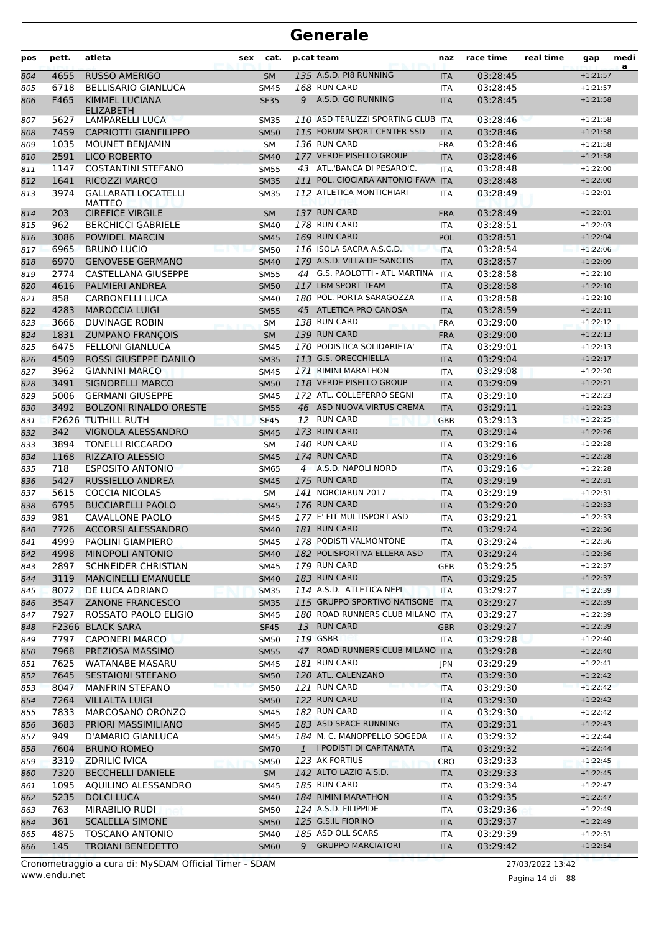| pos        | pett.        | atleta                                               | sex | cat.                       | p.cat team |                                                 | naz                      | race time            | real time | gap                      | medi<br>a |
|------------|--------------|------------------------------------------------------|-----|----------------------------|------------|-------------------------------------------------|--------------------------|----------------------|-----------|--------------------------|-----------|
| 804        | 4655         | <b>RUSSO AMERIGO</b>                                 |     | <b>SM</b>                  |            | 135 A.S.D. PI8 RUNNING                          | <b>ITA</b>               | 03:28:45             |           | $+1:21:57$               |           |
| 805        | 6718         | <b>BELLISARIO GIANLUCA</b>                           |     | SM45                       |            | 168 RUN CARD                                    | ITA                      | 03:28:45             |           | $+1:21:57$               |           |
| 806        | F465         | KIMMEL LUCIANA<br><b>ELIZABETH</b>                   |     | <b>SF35</b>                |            | 9 A.S.D. GO RUNNING                             | <b>ITA</b>               | 03:28:45             |           | $+1:21:58$               |           |
| 807        | 5627         | LAMPARELLI LUCA                                      |     | <b>SM35</b>                |            | 110 ASD TERLIZZI SPORTING CLUB ITA              |                          | 03:28:46             |           | $+1:21:58$               |           |
| 808        | 7459         | <b>CAPRIOTTI GIANFILIPPO</b>                         |     | <b>SM50</b>                |            | 115 FORUM SPORT CENTER SSD                      | <b>ITA</b>               | 03:28:46             |           | $+1:21:58$               |           |
| 809        | 1035         | <b>MOUNET BENJAMIN</b>                               |     | <b>SM</b>                  |            | 136 RUN CARD                                    | <b>FRA</b>               | 03:28:46             |           | $+1:21:58$               |           |
| 810        | 2591         | <b>LICO ROBERTO</b>                                  |     | <b>SM40</b>                |            | 177 VERDE PISELLO GROUP                         | <b>ITA</b>               | 03:28:46             |           | $+1:21:58$               |           |
| 811        | 1147         | <b>COSTANTINI STEFANO</b>                            |     | <b>SM55</b>                |            | 43 ATL.'BANCA DI PESARO'C.                      | <b>ITA</b>               | 03:28:48             |           | $+1:22:00$               |           |
| 812        | 1641         | RICOZZI MARCO                                        |     | <b>SM35</b>                |            | 111 POL. CIOCIARA ANTONIO FAVA ITA              |                          | 03:28:48             |           | $+1:22:00$               |           |
| 813        | 3974         | <b>GALLARATI LOCATELLI</b><br><b>MATTFO</b>          |     | <b>SM35</b>                |            | 112 ATLETICA MONTICHIARI<br>137 RUN CARD        | <b>ITA</b>               | 03:28:49             |           | $+1:22:01$               |           |
| 814        | 203<br>962   | <b>CIREFICE VIRGILE</b><br><b>BERCHICCI GABRIELE</b> |     | <b>SM</b><br>SM40          |            | 178 RUN CARD                                    | <b>FRA</b><br><b>ITA</b> | 03:28:49<br>03:28:51 |           | $+1:22:01$<br>$+1:22:03$ |           |
| 815<br>816 | 3086         | <b>POWIDEL MARCIN</b>                                |     | <b>SM45</b>                |            | 169 RUN CARD                                    | <b>POL</b>               | 03:28:51             |           | $+1:22:04$               |           |
| 817        | 6965         | <b>BRUNO LUCIO</b>                                   |     | <b>SM50</b>                |            | 116 ISOLA SACRA A.S.C.D.                        | <b>ITA</b>               | 03:28:54             |           | $+1:22:06$               |           |
| 818        | 6970         | <b>GENOVESE GERMANO</b>                              |     | <b>SM40</b>                |            | 179 A.S.D. VILLA DE SANCTIS                     | <b>ITA</b>               | 03:28:57             |           | $+1:22:09$               |           |
| 819        | 2774         | CASTELLANA GIUSEPPE                                  |     | <b>SM55</b>                |            | 44 G.S. PAOLOTTI - ATL MARTINA                  | <b>ITA</b>               | 03:28:58             |           | $+1:22:10$               |           |
| 820        | 4616         | PALMIERI ANDREA                                      |     | <b>SM50</b>                |            | 117 LBM SPORT TEAM                              | <b>ITA</b>               | 03:28:58             |           | $+1:22:10$               |           |
| 821        | 858          | <b>CARBONELLI LUCA</b>                               |     | <b>SM40</b>                |            | 180 POL. PORTA SARAGOZZA                        | ITA                      | 03:28:58             |           | $+1:22:10$               |           |
| 822        | 4283         | <b>MAROCCIA LUIGI</b>                                |     | <b>SM55</b>                |            | 45 ATLETICA PRO CANOSA                          | <b>ITA</b>               | 03:28:59             |           | $+1:22:11$               |           |
| 823        | 3666         | <b>DUVINAGE ROBIN</b>                                |     | <b>SM</b>                  |            | 138 RUN CARD                                    | <b>FRA</b>               | 03:29:00             |           | $+1:22:12$               |           |
| 824        | 1831         | <b>ZUMPANO FRANCOIS</b>                              |     | <b>SM</b>                  |            | 139 RUN CARD                                    | <b>FRA</b>               | 03:29:00             |           | $+1:22:13$               |           |
| 825        | 6475         | <b>FELLONI GIANLUCA</b>                              |     | SM45                       |            | 170 PODISTICA SOLIDARIETA'                      | ITA                      | 03:29:01             |           | $+1:22:13$               |           |
| 826        | 4509         | <b>ROSSI GIUSEPPE DANILO</b>                         |     | <b>SM35</b>                |            | 113 G.S. ORECCHIELLA                            | <b>ITA</b>               | 03:29:04             |           | $+1:22:17$               |           |
| 827        | 3962         | <b>GIANNINI MARCO</b>                                |     | <b>SM45</b>                |            | 171 RIMINI MARATHON                             | <b>ITA</b>               | 03:29:08             |           | $+1:22:20$               |           |
| 828        | 3491         | <b>SIGNORELLI MARCO</b>                              |     | <b>SM50</b>                |            | 118 VERDE PISELLO GROUP                         | <b>ITA</b>               | 03:29:09             |           | $+1:22:21$               |           |
| 829        | 5006         | <b>GERMANI GIUSEPPE</b>                              |     | <b>SM45</b>                |            | 172 ATL. COLLEFERRO SEGNI                       | <b>ITA</b>               | 03:29:10             |           | $+1:22:23$               |           |
| 830        | 3492         | <b>BOLZONI RINALDO ORESTE</b>                        |     | <b>SM55</b>                |            | 46 ASD NUOVA VIRTUS CREMA                       | <b>ITA</b>               | 03:29:11             |           | $+1:22:23$               |           |
| 831        |              | F2626 TUTHILL RUTH                                   |     | <b>SF45</b>                |            | 12 RUN CARD                                     | <b>GBR</b>               | 03:29:13             |           | $+1:22:25$               |           |
| 832        | 342          | VIGNOLA ALESSANDRO                                   |     | <b>SM45</b>                |            | 173 RUN CARD                                    | <b>ITA</b>               | 03:29:14             |           | $+1:22:26$               |           |
| 833        | 3894         | <b>TONELLI RICCARDO</b>                              |     | <b>SM</b>                  |            | <b>140 RUN CARD</b>                             | ITA                      | 03:29:16             |           | $+1:22:28$               |           |
| 834        | 1168         | <b>RIZZATO ALESSIO</b>                               |     | <b>SM45</b>                |            | 174 RUN CARD                                    | <b>ITA</b>               | 03:29:16             |           | $+1:22:28$               |           |
| 835        | 718          | <b>ESPOSITO ANTONIO</b>                              |     | <b>SM65</b>                |            | 4 A.S.D. NAPOLI NORD                            | <b>ITA</b>               | 03:29:16             |           | $+1:22:28$               |           |
| 836        | 5427         | <b>RUSSIELLO ANDREA</b>                              |     | <b>SM45</b>                |            | 175 RUN CARD                                    | <b>ITA</b>               | 03:29:19             |           | $+1:22:31$               |           |
| 837        | 5615         | <b>COCCIA NICOLAS</b>                                |     | <b>SM</b>                  |            | 141 NORCIARUN 2017                              | ITA                      | 03:29:19             |           | $+1:22:31$               |           |
| 838        | 6795         | <b>BUCCIARELLI PAOLO</b>                             |     | <b>SM45</b>                |            | 176 RUN CARD                                    | <b>ITA</b>               | 03:29:20             |           | $+1:22:33$               |           |
| 839        | 981          | <b>CAVALLONE PAOLO</b>                               |     | <b>SM45</b>                |            | 177 E' FIT MULTISPORT ASD                       | <b>ITA</b>               | 03:29:21             |           | $+1:22:33$               |           |
| 840        | 7726         | <b>ACCORSI ALESSANDRO</b>                            |     | <b>SM40</b>                |            | 181 RUN CARD                                    | <b>ITA</b>               | 03:29:24             |           | $+1:22:36$               |           |
| 841        | 4999         | PAOLINI GIAMPIERO                                    |     | <b>SM45</b>                |            | 178 PODISTI VALMONTONE                          | <b>ITA</b>               | 03:29:24             |           | $+1:22:36$               |           |
| 842        | 4998         | <b>MINOPOLI ANTONIO</b>                              |     | SM40                       |            | 182 POLISPORTIVA ELLERA ASD                     | <b>ITA</b>               | 03:29:24             |           | $+1:22:36$               |           |
| 843        | 2897         | SCHNEIDER CHRISTIAN                                  |     | SM45                       |            | 179 RUN CARD                                    | <b>GER</b>               | 03:29:25             |           | $+1:22:37$               |           |
| 844        | 3119         | <b>MANCINELLI EMANUELE</b>                           |     | <b>SM40</b>                |            | 183 RUN CARD                                    | <b>ITA</b>               | 03:29:25             |           | $+1:22:37$               |           |
| 845        | 8072         | DE LUCA ADRIANO                                      |     | <b>SM35</b>                |            | 114 A.S.D. ATLETICA NEPI                        | <b>ITA</b>               | 03:29:27             |           | $+1:22:39$               |           |
| 846        | 3547         | <b>ZANONE FRANCESCO</b>                              |     | <b>SM35</b>                |            | 115 GRUPPO SPORTIVO NATISONE ITA                |                          | 03:29:27             |           | $+1:22:39$               |           |
| 847        | 7927         | ROSSATO PAOLO ELIGIO                                 |     | SM45                       |            | 180 ROAD RUNNERS CLUB MILANO ITA                |                          | 03:29:27             |           | $+1:22:39$               |           |
| 848        |              | F2366 BLACK SARA                                     |     | <b>SF45</b>                |            | 13 RUN CARD                                     | <b>GBR</b>               | 03:29:27             |           | $+1:22:39$               |           |
| 849        | 7797         | <b>CAPONERI MARCO</b>                                |     | <b>SM50</b>                |            | 119 GSBR                                        | ITA                      | 03:29:28             |           | $+1:22:40$               |           |
| 850        | 7968         | PREZIOSA MASSIMO                                     |     | <b>SM55</b>                |            | 47 ROAD RUNNERS CLUB MILANO ITA<br>181 RUN CARD |                          | 03:29:28             |           | $+1:22:40$               |           |
| 851        | 7625<br>7645 | WATANABE MASARU<br><b>SESTAIONI STEFANO</b>          |     | SM45                       |            | 120 ATL. CALENZANO                              | JPN                      | 03:29:29             |           | $+1:22:41$<br>$+1:22:42$ |           |
| 852<br>853 | 8047         | <b>MANFRIN STEFANO</b>                               |     | <b>SM50</b><br><b>SM50</b> |            | 121 RUN CARD                                    | ITA<br><b>ITA</b>        | 03:29:30<br>03:29:30 |           | $+1:22:42$               |           |
| 854        | 7264         | <b>VILLALTA LUIGI</b>                                |     | <b>SM50</b>                |            | 122 RUN CARD                                    | <b>ITA</b>               | 03:29:30             |           | $+1:22:42$               |           |
| 855        | 7833         | MARCOSANO ORONZO                                     |     | SM45                       |            | 182 RUN CARD                                    | ITA                      | 03:29:30             |           | $+1:22:42$               |           |
| 856        | 3683         | PRIORI MASSIMILIANO                                  |     | <b>SM45</b>                |            | 183 ASD SPACE RUNNING                           | <b>ITA</b>               | 03:29:31             |           | $+1:22:43$               |           |
| 857        | 949          | D'AMARIO GIANLUCA                                    |     | SM45                       |            | 184 M. C. MANOPPELLO SOGEDA                     | ITA                      | 03:29:32             |           | $+1:22:44$               |           |
| 858        | 7604         | <b>BRUNO ROMEO</b>                                   |     | <b>SM70</b>                |            | 1 I PODISTI DI CAPITANATA                       | <b>ITA</b>               | 03:29:32             |           | $+1:22:44$               |           |
| 859        | 3319         | ZDRILIĆ IVICA                                        |     | <b>SM50</b>                |            | 123 AK FORTIUS                                  | <b>CRO</b>               | 03:29:33             |           | $+1:22:45$               |           |
| 860        | 7320         | <b>BECCHELLI DANIELE</b>                             |     | <b>SM</b>                  |            | 142 ALTO LAZIO A.S.D.                           | <b>ITA</b>               | 03:29:33             |           | $+1:22:45$               |           |
| 861        | 1095         | AQUILINO ALESSANDRO                                  |     | SM45                       |            | 185 RUN CARD                                    | ITA                      | 03:29:34             |           | $+1:22:47$               |           |
| 862        | 5235         | <b>DOLCI LUCA</b>                                    |     | <b>SM40</b>                |            | 184 RIMINI MARATHON                             | <b>ITA</b>               | 03:29:35             |           | $+1:22:47$               |           |
| 863        | 763          | MIRABILIO RUDI                                       |     | <b>SM50</b>                |            | 124 A.S.D. FILIPPIDE                            | ITA                      | 03:29:36             |           | $+1:22:49$               |           |
| 864        | 361          | <b>SCALELLA SIMONE</b>                               |     | <b>SM50</b>                |            | 125 G.S.IL FIORINO                              | <b>ITA</b>               | 03:29:37             |           | $+1:22:49$               |           |
| 865        | 4875         | <b>TOSCANO ANTONIO</b>                               |     | SM40                       |            | 185 ASD OLL SCARS                               | ITA                      | 03:29:39             |           | $+1:22:51$               |           |
| 866        | 145          | <b>TROIANI BENEDETTO</b>                             |     | <b>SM60</b>                |            | 9 GRUPPO MARCIATORI                             | <b>ITA</b>               | 03:29:42             |           | $+1:22:54$               |           |
|            |              |                                                      |     |                            |            |                                                 |                          |                      |           |                          |           |

www.endu.net Cronometraggio a cura di: MySDAM Official Timer - SDAM 27/03/2022 13:42

Pagina 14 di 88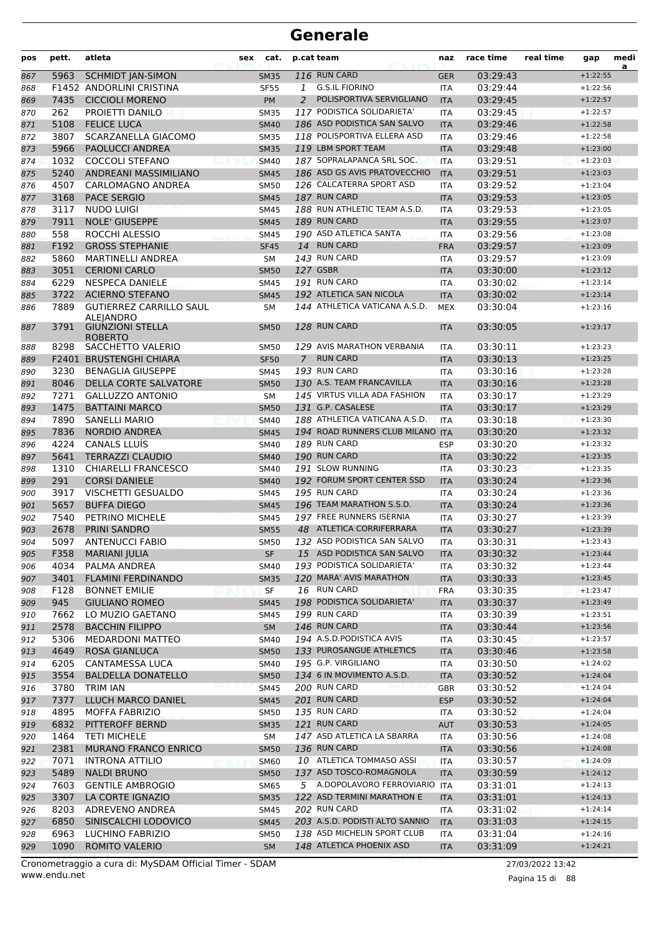| pos        | pett.        | atleta                                                        | sex | cat.                       |                | p.cat team                                                | naz                      | race time            | real time | gap                      | medi<br>a |
|------------|--------------|---------------------------------------------------------------|-----|----------------------------|----------------|-----------------------------------------------------------|--------------------------|----------------------|-----------|--------------------------|-----------|
| 867        | 5963         | <b>SCHMIDT JAN-SIMON</b>                                      |     | <b>SM35</b>                |                | 116 RUN CARD                                              | <b>GER</b>               | 03:29:43             |           | $+1:22:55$               |           |
| 868        |              | <b>F1452 ANDORLINI CRISTINA</b>                               |     | <b>SF55</b>                | 1              | <b>G.S.IL FIORINO</b>                                     | <b>ITA</b>               | 03:29:44             |           | $+1:22:56$               |           |
| 869        | 7435         | <b>CICCIOLI MORENO</b>                                        |     | <b>PM</b>                  | 2              | POLISPORTIVA SERVIGLIANO                                  | <b>ITA</b>               | 03:29:45             |           | $+1:22:57$               |           |
| 870        | 262          | PROIETTI DANILO                                               |     | <b>SM35</b>                |                | 117 PODISTICA SOLIDARIETA'                                | <b>ITA</b>               | 03:29:45             |           | $+1:22:57$               |           |
| 871        | 5108         | <b>FELICE LUCA</b>                                            |     | <b>SM40</b>                |                | 186 ASD PODISTICA SAN SALVO                               | <b>ITA</b>               | 03:29:46             |           | $+1:22:58$               |           |
| 872        | 3807         | SCARZANELLA GIACOMO                                           |     | <b>SM35</b>                |                | 118 POLISPORTIVA ELLERA ASD                               | <b>ITA</b>               | 03:29:46             |           | $+1:22:58$               |           |
| 873        | 5966         | <b>PAOLUCCI ANDREA</b>                                        |     | <b>SM35</b>                |                | 119 LBM SPORT TEAM                                        | <b>ITA</b>               | 03:29:48             |           | $+1:23:00$               |           |
| 874        | 1032<br>5240 | <b>COCCOLI STEFANO</b><br>ANDREANI MASSIMILIANO               |     | <b>SM40</b>                |                | 187 SOPRALAPANCA SRL SOC.<br>186 ASD GS AVIS PRATOVECCHIO | <b>ITA</b>               | 03:29:51<br>03:29:51 |           | $+1:23:03$<br>$+1:23:03$ |           |
| 875<br>876 | 4507         | CARLOMAGNO ANDREA                                             |     | <b>SM45</b><br><b>SM50</b> |                | 126 CALCATERRA SPORT ASD                                  | <b>ITA</b><br>ITA        | 03:29:52             |           | $+1:23:04$               |           |
| 877        | 3168         | <b>PACE SERGIO</b>                                            |     | <b>SM45</b>                |                | 187 RUN CARD                                              | <b>ITA</b>               | 03:29:53             |           | $+1:23:05$               |           |
| 878        | 3117         | NUDO LUIGI                                                    |     | <b>SM45</b>                |                | 188 RUN ATHLETIC TEAM A.S.D.                              | <b>ITA</b>               | 03:29:53             |           | $+1:23:05$               |           |
| 879        | 7911         | <b>NOLE' GIUSEPPE</b>                                         |     | <b>SM45</b>                |                | 189 RUN CARD                                              | <b>ITA</b>               | 03:29:55             |           | $+1:23:07$               |           |
| 880        | 558          | ROCCHI ALESSIO                                                |     | <b>SM45</b>                |                | 190 ASD ATLETICA SANTA                                    | ITA                      | 03:29:56             |           | $+1:23:08$               |           |
| 881        | F192         | <b>GROSS STEPHANIE</b>                                        |     | <b>SF45</b>                |                | 14 RUN CARD                                               | <b>FRA</b>               | 03:29:57             |           | $+1:23:09$               |           |
| 882        | 5860         | <b>MARTINELLI ANDREA</b>                                      |     | SM                         |                | 143 RUN CARD                                              | ITA                      | 03:29:57             |           | $+1:23:09$               |           |
| 883        | 3051         | <b>CERIONI CARLO</b>                                          |     | <b>SM50</b>                |                | 127 GSBR                                                  | <b>ITA</b>               | 03:30:00             |           | $+1:23:12$               |           |
| 884        | 6229         | <b>NESPECA DANIELE</b>                                        |     | <b>SM45</b>                |                | 191 RUN CARD                                              | <b>ITA</b>               | 03:30:02             |           | $+1:23:14$               |           |
| 885        | 3722         | <b>ACIERNO STEFANO</b>                                        |     | <b>SM45</b>                |                | 192 ATLETICA SAN NICOLA                                   | <b>ITA</b>               | 03:30:02             |           | $+1:23:14$               |           |
| 886        | 7889         | <b>GUTIERREZ CARRILLO SAUL</b>                                |     | <b>SM</b>                  |                | 144 ATHLETICA VATICANA A.S.D.                             | <b>MEX</b>               | 03:30:04             |           | $+1:23:16$               |           |
| 887        | 3791         | <b>ALEIANDRO</b><br><b>GIUNZIONI STELLA</b><br><b>ROBERTO</b> |     | <b>SM50</b>                |                | 128 RUN CARD                                              | <b>ITA</b>               | 03:30:05             |           | $+1:23:17$               |           |
| 888        | 8298         | SACCHETTO VALERIO                                             |     | <b>SM50</b>                |                | 129 AVIS MARATHON VERBANIA                                | ITA                      | 03:30:11             |           | $+1:23:23$               |           |
| 889        |              | F2401 BRUSTENGHI CHIARA                                       |     | <b>SF50</b>                | $\overline{7}$ | <b>RUN CARD</b>                                           | <b>ITA</b>               | 03:30:13             |           | $+1:23:25$               |           |
| 890        | 3230         | <b>BENAGLIA GIUSEPPE</b>                                      |     | <b>SM45</b>                |                | 193 RUN CARD                                              | ITA                      | 03:30:16             |           | $+1:23:28$               |           |
| 891        | 8046         | DELLA CORTE SALVATORE                                         |     | <b>SM50</b>                |                | 130 A.S. TEAM FRANCAVILLA                                 | <b>ITA</b>               | 03:30:16             |           | $+1:23:28$               |           |
| 892        | 7271         | <b>GALLUZZO ANTONIO</b>                                       |     | <b>SM</b>                  |                | 145 VIRTUS VILLA ADA FASHION                              | <b>ITA</b>               | 03:30:17             |           | $+1:23:29$               |           |
| 893        | 1475         | <b>BATTAINI MARCO</b>                                         |     | <b>SM50</b>                |                | 131 G.P. CASALESE                                         | <b>ITA</b>               | 03:30:17             |           | $+1:23:29$               |           |
| 894        | 7890         | <b>SANELLI MARIO</b>                                          |     | <b>SM40</b>                |                | 188 ATHLETICA VATICANA A.S.D.                             | <b>ITA</b>               | 03:30:18             |           | $+1:23:30$               |           |
| 895        | 7836         | <b>NORDIO ANDREA</b>                                          |     | <b>SM45</b>                |                | 194 ROAD RUNNERS CLUB MILANO                              | <b>ITA</b>               | 03:30:20             |           | $+1:23:32$               |           |
| 896        | 4224         | <b>CANALS LLUÍS</b>                                           |     | <b>SM40</b>                |                | 189 RUN CARD                                              | ESP                      | 03:30:20             |           | $+1:23:32$               |           |
| 897        | 5641<br>1310 | <b>TERRAZZI CLAUDIO</b><br><b>CHIARELLI FRANCESCO</b>         |     | <b>SM40</b>                |                | 190 RUN CARD<br>191 SLOW RUNNING                          | <b>ITA</b>               | 03:30:22             |           | $+1:23:35$               |           |
| 898<br>899 | 291          | <b>CORSI DANIELE</b>                                          |     | <b>SM40</b><br><b>SM40</b> |                | 192 FORUM SPORT CENTER SSD                                | <b>ITA</b><br><b>ITA</b> | 03:30:23<br>03:30:24 |           | $+1:23:35$<br>$+1:23:36$ |           |
| 900        | 3917         | VISCHETTI GESUALDO                                            |     | <b>SM45</b>                |                | 195 RUN CARD                                              | <b>ITA</b>               | 03:30:24             |           | $+1:23:36$               |           |
| 901        | 5657         | <b>BUFFA DIEGO</b>                                            |     | <b>SM45</b>                |                | 196 TEAM MARATHON S.S.D.                                  | <b>ITA</b>               | 03:30:24             |           | $+1:23:36$               |           |
| 902        | 7540         | PETRINO MICHELE                                               |     | <b>SM45</b>                |                | 197 FREE RUNNERS ISERNIA                                  | <b>ITA</b>               | 03:30:27             |           | $+1:23:39$               |           |
| 903        | 2678         | PRINI SANDRO                                                  |     | <b>SM55</b>                |                | 48 ATLETICA CORRIFERRARA                                  | <b>ITA</b>               | 03:30:27             |           | $+1:23:39$               |           |
| 904        | 5097         | <b>ANTENUCCI FABIO</b>                                        |     | <b>SM50</b>                |                | 132 ASD PODISTICA SAN SALVO                               | <b>ITA</b>               | 03:30:31             |           | $+1:23:43$               |           |
| 905        | F358         | <b>MARIANI JULIA</b>                                          |     | SF                         |                | 15 ASD PODISTICA SAN SALVO                                | <b>ITA</b>               | 03:30:32             |           | $+1:23:44$               |           |
| 906        | 4034         | PALMA ANDREA                                                  |     | SM40                       |                | 193 PODISTICA SOLIDARIETA'                                | ITA                      | 03:30:32             |           | $+1:23:44$               |           |
| 907        | 3401         | <b>FLAMINI FERDINANDO</b>                                     |     | <b>SM35</b>                |                | 120 MARA' AVIS MARATHON                                   | <b>ITA</b>               | 03:30:33             |           | $+1:23:45$               |           |
| 908        | F128         | <b>BONNET EMILIE</b>                                          |     | <b>SF</b>                  |                | 16 RUN CARD                                               | <b>FRA</b>               | 03:30:35             |           | $+1:23:47$               |           |
| 909        | 945          | <b>GIULIANO ROMEO</b>                                         |     | <b>SM45</b>                |                | 198 PODISTICA SOLIDARIETA'                                | <b>ITA</b>               | 03:30:37             |           | $+1:23:49$               |           |
| 910        | 7662         | LO MUZIO GAETANO                                              |     | SM45                       |                | 199 RUN CARD                                              | ITA                      | 03:30:39             |           | $+1:23:51$               |           |
| 911        | 2578         | <b>BACCHIN FILIPPO</b>                                        |     | <b>SM</b>                  |                | <b>146 RUN CARD</b>                                       | <b>ITA</b>               | 03:30:44             |           | $+1:23:56$               |           |
| 912        | 5306<br>4649 | MEDARDONI MATTEO                                              |     | SM40                       |                | 194 A.S.D.PODISTICA AVIS<br>133 PUROSANGUE ATHLETICS      | ITA                      | 03:30:45             |           | $+1:23:57$               |           |
| 913        | 6205         | <b>ROSA GIANLUCA</b><br>CANTAMESSA LUCA                       |     | <b>SM50</b><br>SM40        |                | 195 G.P. VIRGILIANO                                       | <b>ITA</b><br><b>ITA</b> | 03:30:46<br>03:30:50 |           | $+1:23:58$<br>$+1:24:02$ |           |
| 914<br>915 | 3554         | <b>BALDELLA DONATELLO</b>                                     |     | <b>SM50</b>                |                | 134 6 IN MOVIMENTO A.S.D.                                 | <b>ITA</b>               | 03:30:52             |           | $+1:24:04$               |           |
| 916        | 3780         | TRIM IAN                                                      |     | <b>SM45</b>                |                | 200 RUN CARD                                              | <b>GBR</b>               | 03:30:52             |           | $+1:24:04$               |           |
| 917        | 7377         | LLUCH MARCO DANIEL                                            |     | <b>SM45</b>                |                | 201 RUN CARD                                              | <b>ESP</b>               | 03:30:52             |           | $+1:24:04$               |           |
| 918        | 4895         | <b>MOFFA FABRIZIO</b>                                         |     | <b>SM50</b>                |                | 135 RUN CARD                                              | <b>ITA</b>               | 03:30:52             |           | $+1:24:04$               |           |
| 919        | 6832         | PITTEROFF BERND                                               |     | <b>SM35</b>                |                | 121 RUN CARD                                              | <b>AUT</b>               | 03:30:53             |           | $+1:24:05$               |           |
| 920        | 1464         | <b>TETI MICHELE</b>                                           |     | SM                         |                | 147 ASD ATLETICA LA SBARRA                                | <b>ITA</b>               | 03:30:56             |           | $+1:24:08$               |           |
| 921        | 2381         | <b>MURANO FRANCO ENRICO</b>                                   |     | <b>SM50</b>                |                | 136 RUN CARD                                              | <b>ITA</b>               | 03:30:56             |           | $+1:24:08$               |           |
| 922        | 7071         | <b>INTRONA ATTILIO</b>                                        |     | <b>SM60</b>                |                | 10 ATLETICA TOMMASO ASSI                                  | <b>ITA</b>               | 03:30:57             |           | $+1:24:09$               |           |
| 923        | 5489         | <b>NALDI BRUNO</b>                                            |     | <b>SM50</b>                |                | 137 ASD TOSCO-ROMAGNOLA                                   | <b>ITA</b>               | 03:30:59             |           | $+1:24:12$               |           |
| 924        | 7603         | <b>GENTILE AMBROGIO</b>                                       |     | <b>SM65</b>                |                | 5 A.DOPOLAVORO FERROVIARIO ITA                            |                          | 03:31:01             |           | $+1:24:13$               |           |
| 925        | 3307         | LA CORTE IGNAZIO                                              |     | <b>SM35</b>                |                | 122 ASD TERMINI MARATHON E                                | <b>ITA</b>               | 03:31:01             |           | $+1:24:13$               |           |
| 926        | 8203         | ADREVENO ANDREA                                               |     | <b>SM45</b>                |                | 202 RUN CARD                                              | <b>ITA</b>               | 03:31:02             |           | $+1:24:14$               |           |
| 927        | 6850         | SINISCALCHI LODOVICO                                          |     | <b>SM45</b>                |                | 203 A.S.D. PODISTI ALTO SANNIO                            | <b>ITA</b>               | 03:31:03             |           | $+1:24:15$               |           |
| 928        | 6963         | LUCHINO FABRIZIO                                              |     | SM50                       |                | 138 ASD MICHELIN SPORT CLUB                               | ITA                      | 03:31:04             |           | $+1:24:16$               |           |
| 929        | 1090         | ROMITO VALERIO                                                |     | <b>SM</b>                  |                | 148 ATLETICA PHOENIX ASD                                  | <b>ITA</b>               | 03:31:09             |           | $+1:24:21$               |           |

www.endu.net Cronometraggio a cura di: MySDAM Official Timer - SDAM 27/03/2022 13:42

Pagina 15 di 88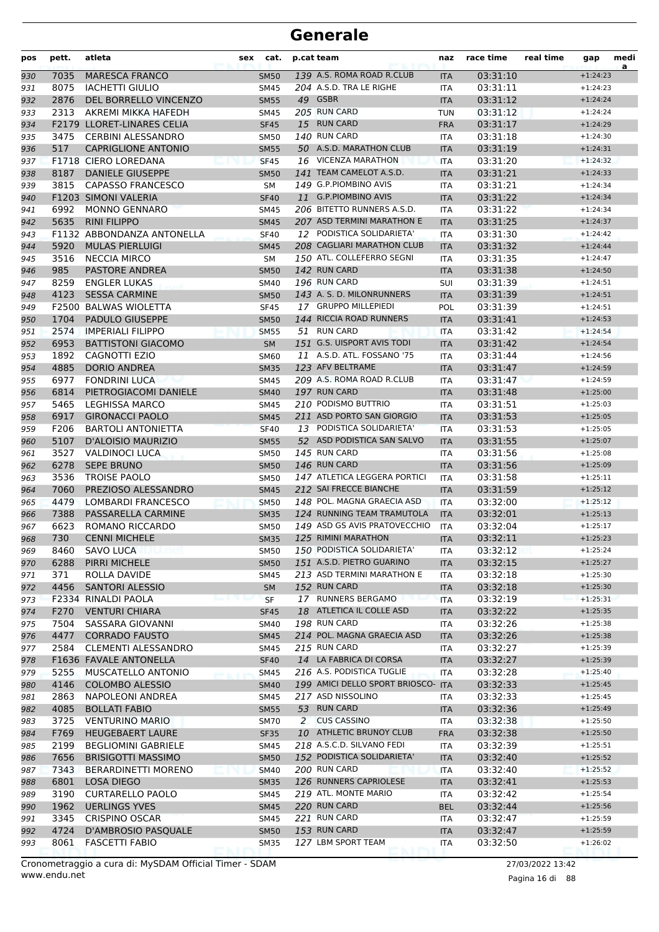| pos | pett. | atleta                      | sex | cat.        | p.cat team                         | naz        | race time | real time | gap        | medi<br>a |
|-----|-------|-----------------------------|-----|-------------|------------------------------------|------------|-----------|-----------|------------|-----------|
| 930 | 7035  | <b>MARESCA FRANCO</b>       |     | <b>SM50</b> | 139 A.S. ROMA ROAD R.CLUB          | <b>ITA</b> | 03:31:10  |           | $+1:24:23$ |           |
| 931 | 8075  | <b>IACHETTI GIULIO</b>      |     | <b>SM45</b> | 204 A.S.D. TRA LE RIGHE            | <b>ITA</b> | 03:31:11  |           | $+1:24:23$ |           |
| 932 | 2876  | DEL BORRELLO VINCENZO       |     | <b>SM55</b> | 49 GSBR                            | <b>ITA</b> | 03:31:12  |           | $+1:24:24$ |           |
| 933 | 2313  | AKREMI MIKKA HAFEDH         |     | SM45        | 205 RUN CARD                       | <b>TUN</b> | 03:31:12  |           | $+1:24:24$ |           |
| 934 |       | F2179 LLORET-LINARES CELIA  |     | <b>SF45</b> | 15 RUN CARD                        | <b>FRA</b> | 03:31:17  |           | $+1:24:29$ |           |
| 935 | 3475  | <b>CERBINI ALESSANDRO</b>   |     | SM50        | 140 RUN CARD                       | <b>ITA</b> | 03:31:18  |           | $+1:24:30$ |           |
| 936 | 517   | <b>CAPRIGLIONE ANTONIO</b>  |     | <b>SM55</b> | 50 A.S.D. MARATHON CLUB            | <b>ITA</b> | 03:31:19  |           | $+1:24:31$ |           |
| 937 |       | <b>F1718 CIERO LOREDANA</b> |     | <b>SF45</b> | 16 VICENZA MARATHON                | <b>ITA</b> | 03:31:20  |           | $+1:24:32$ |           |
| 938 | 8187  | <b>DANIELE GIUSEPPE</b>     |     | <b>SM50</b> | 141 TEAM CAMELOT A.S.D.            | <b>ITA</b> | 03:31:21  |           | $+1:24:33$ |           |
| 939 | 3815  | <b>CAPASSO FRANCESCO</b>    |     | <b>SM</b>   | 149 G.P.PIOMBINO AVIS              | <b>ITA</b> | 03:31:21  |           | $+1:24:34$ |           |
| 940 |       | <b>F1203 SIMONI VALERIA</b> |     | <b>SF40</b> | 11 G.P.PIOMBINO AVIS               | <b>ITA</b> | 03:31:22  |           | $+1:24:34$ |           |
| 941 | 6992  | <b>MONNO GENNARO</b>        |     | SM45        | 206 BITETTO RUNNERS A.S.D.         | <b>ITA</b> | 03:31:22  |           | $+1:24:34$ |           |
| 942 | 5635  | <b>RINI FILIPPO</b>         |     | <b>SM45</b> | 207 ASD TERMINI MARATHON E         | <b>ITA</b> | 03:31:25  |           | $+1:24:37$ |           |
| 943 |       | F1132 ABBONDANZA ANTONELLA  |     | <b>SF40</b> | 12 PODISTICA SOLIDARIETA'          | <b>ITA</b> | 03:31:30  |           | $+1:24:42$ |           |
| 944 | 5920  | <b>MULAS PIERLUIGI</b>      |     | <b>SM45</b> | 208 CAGLIARI MARATHON CLUB         | <b>ITA</b> | 03:31:32  |           | $+1:24:44$ |           |
| 945 | 3516  | <b>NECCIA MIRCO</b>         |     | <b>SM</b>   | 150 ATL. COLLEFERRO SEGNI          | <b>ITA</b> | 03:31:35  |           | $+1:24:47$ |           |
| 946 | 985   | <b>PASTORE ANDREA</b>       |     | <b>SM50</b> | 142 RUN CARD                       | <b>ITA</b> | 03:31:38  |           | $+1:24:50$ |           |
| 947 | 8259  | <b>ENGLER LUKAS</b>         |     | SM40        | 196 RUN CARD                       | SUI        | 03:31:39  |           | $+1:24:51$ |           |
| 948 | 4123  | <b>SESSA CARMINE</b>        |     | <b>SM50</b> | 143 A. S. D. MILONRUNNERS          | <b>ITA</b> | 03:31:39  |           | $+1:24:51$ |           |
| 949 |       | F2500 BALWAS WIOLETTA       |     | <b>SF45</b> | 17 GRUPPO MILLEPIEDI               | POL        | 03:31:39  |           | $+1:24:51$ |           |
| 950 | 1704  | <b>PADULO GIUSEPPE</b>      |     | <b>SM50</b> | 144 RICCIA ROAD RUNNERS            | <b>ITA</b> | 03:31:41  |           | $+1:24:53$ |           |
| 951 | 2574  | <b>IMPERIALI FILIPPO</b>    |     | <b>SM55</b> | 51 RUN CARD                        | <b>ITA</b> | 03:31:42  |           | $+1:24:54$ |           |
| 952 | 6953  | <b>BATTISTONI GIACOMO</b>   |     | <b>SM</b>   | 151 G.S. UISPORT AVIS TODI         | <b>ITA</b> | 03:31:42  |           | $+1:24:54$ |           |
| 953 | 1892  | CAGNOTTI EZIO               |     | <b>SM60</b> | 11 A.S.D. ATL. FOSSANO '75         | <b>ITA</b> | 03:31:44  |           | $+1:24:56$ |           |
| 954 | 4885  | <b>DORIO ANDREA</b>         |     | <b>SM35</b> | 123 AFV BELTRAME                   | <b>ITA</b> | 03:31:47  |           | $+1:24:59$ |           |
| 955 | 6977  | <b>FONDRINI LUCA</b>        |     | SM45        | 209 A.S. ROMA ROAD R.CLUB          | <b>ITA</b> | 03:31:47  |           | $+1:24:59$ |           |
| 956 | 6814  | PIETROGIACOMI DANIELE       |     | <b>SM40</b> | 197 RUN CARD                       | <b>ITA</b> | 03:31:48  |           | $+1:25:00$ |           |
| 957 | 5465  | <b>LEGHISSA MARCO</b>       |     | SM45        | 210 PODISMO BUTTRIO                | <b>ITA</b> | 03:31:51  |           | $+1:25:03$ |           |
| 958 | 6917  | <b>GIRONACCI PAOLO</b>      |     | <b>SM45</b> | 211 ASD PORTO SAN GIORGIO          | <b>ITA</b> | 03:31:53  |           | $+1:25:05$ |           |
| 959 | F206  | <b>BARTOLI ANTONIETTA</b>   |     | <b>SF40</b> | 13 PODISTICA SOLIDARIETA'          | <b>ITA</b> | 03:31:53  |           | $+1:25:05$ |           |
| 960 | 5107  | <b>D'ALOISIO MAURIZIO</b>   |     | <b>SM55</b> | 52 ASD PODISTICA SAN SALVO         | <b>ITA</b> | 03:31:55  |           | $+1:25:07$ |           |
| 961 | 3527  | <b>VALDINOCI LUCA</b>       |     | SM50        | 145 RUN CARD                       | <b>ITA</b> | 03:31:56  |           | $+1:25:08$ |           |
| 962 | 6278  | <b>SEPE BRUNO</b>           |     | <b>SM50</b> | 146 RUN CARD                       | <b>ITA</b> | 03:31:56  |           | $+1:25:09$ |           |
| 963 | 3536  | <b>TROISE PAOLO</b>         |     | <b>SM50</b> | 147 ATLETICA LEGGERA PORTICI       | <b>ITA</b> | 03:31:58  |           | $+1:25:11$ |           |
| 964 | 7060  | PREZIOSO ALESSANDRO         |     | <b>SM45</b> | 212 SAI FRECCE BIANCHE             | <b>ITA</b> | 03:31:59  |           | $+1:25:12$ |           |
| 965 | 4479  | <b>LOMBARDI FRANCESCO</b>   |     | <b>SM50</b> | 148 POL. MAGNA GRAECIA ASD         | <b>ITA</b> | 03:32:00  |           | $+1:25:12$ |           |
| 966 | 7388  | PASSARELLA CARMINE          |     | <b>SM35</b> | 124 RUNNING TEAM TRAMUTOLA         | <b>ITA</b> | 03:32:01  |           | $+1:25:13$ |           |
| 967 | 6623  | ROMANO RICCARDO             |     | <b>SM50</b> | 149 ASD GS AVIS PRATOVECCHIO       | <b>ITA</b> | 03:32:04  |           | $+1:25:17$ |           |
| 968 | 730   | <b>CENNI MICHELE</b>        |     | <b>SM35</b> | 125 RIMINI MARATHON                | <b>ITA</b> | 03:32:11  |           | $+1:25:23$ |           |
| 969 | 8460  | <b>SAVO LUCA</b>            |     | <b>SM50</b> | 150 PODISTICA SOLIDARIETA'         | ITA        | 03:32:12  |           | $+1:25:24$ |           |
| 970 | 6288  | PIRRI MICHELE               |     | <b>SM50</b> | 151 A.S.D. PIETRO GUARINO          | <b>ITA</b> | 03:32:15  |           | $+1:25:27$ |           |
| 971 | 371   | ROLLA DAVIDE                |     | SM45        | 213 ASD TERMINI MARATHON E         | ITA        | 03:32:18  |           | $+1:25:30$ |           |
| 972 | 4456  | <b>SANTORI ALESSIO</b>      |     | <b>SM</b>   | 152 RUN CARD                       | <b>ITA</b> | 03:32:18  |           | $+1:25:30$ |           |
| 973 |       | F2334 RINALDI PAOLA         |     | <b>SF</b>   | 17 RUNNERS BERGAMO                 | <b>ITA</b> | 03:32:19  |           | $+1:25:31$ |           |
| 974 | F270  | <b>VENTURI CHIARA</b>       |     | <b>SF45</b> | 18 ATLETICA IL COLLE ASD           | <b>ITA</b> | 03:32:22  |           | $+1:25:35$ |           |
| 975 | 7504  | SASSARA GIOVANNI            |     | SM40        | 198 RUN CARD                       | ITA        | 03:32:26  |           | $+1:25:38$ |           |
| 976 | 4477  | <b>CORRADO FAUSTO</b>       |     | <b>SM45</b> | 214 POL. MAGNA GRAECIA ASD         | <b>ITA</b> | 03:32:26  |           | $+1:25:38$ |           |
| 977 | 2584  | <b>CLEMENTI ALESSANDRO</b>  |     | SM45        | 215 RUN CARD                       | ITA        | 03:32:27  |           | $+1:25:39$ |           |
| 978 |       | F1636 FAVALE ANTONELLA      |     | <b>SF40</b> | 14 LA FABRICA DI CORSA             | <b>ITA</b> | 03:32:27  |           | $+1:25:39$ |           |
| 979 | 5255  | MUSCATELLO ANTONIO          |     | <b>SM45</b> | 216 A.S. PODISTICA TUGLIE          | <b>ITA</b> | 03:32:28  |           | $+1:25:40$ |           |
| 980 | 4146  | <b>COLOMBO ALESSIO</b>      |     | <b>SM40</b> | 199 AMICI DELLO SPORT BRIOSCO- ITA |            | 03:32:33  |           | $+1:25:45$ |           |
| 981 | 2863  | NAPOLEONI ANDREA            |     | SM45        | 217 ASD NISSOLINO                  | ITA        | 03:32:33  |           | $+1:25:45$ |           |
| 982 | 4085  | <b>BOLLATI FABIO</b>        |     | <b>SM55</b> | 53 RUN CARD                        | <b>ITA</b> | 03:32:36  |           | $+1:25:49$ |           |
| 983 | 3725  | <b>VENTURINO MARIO</b>      |     | <b>SM70</b> | 2 CUS CASSINO                      | ITA        | 03:32:38  |           | $+1:25:50$ |           |
| 984 | F769  | <b>HEUGEBAERT LAURE</b>     |     | <b>SF35</b> | 10 ATHLETIC BRUNOY CLUB            | <b>FRA</b> | 03:32:38  |           | $+1:25:50$ |           |
| 985 | 2199  | <b>BEGLIOMINI GABRIELE</b>  |     | SM45        | 218 A.S.C.D. SILVANO FEDI          | ITA        | 03:32:39  |           | $+1:25:51$ |           |
| 986 | 7656  | <b>BRISIGOTTI MASSIMO</b>   |     | <b>SM50</b> | 152 PODISTICA SOLIDARIETA'         | <b>ITA</b> | 03:32:40  |           | $+1:25:52$ |           |
| 987 | 7343  | <b>BERARDINETTI MORENO</b>  |     | <b>SM40</b> | 200 RUN CARD                       | ITA        | 03:32:40  |           | $+1:25:52$ |           |
| 988 | 6801  | LOSA DIEGO                  |     | <b>SM35</b> | 126 RUNNERS CAPRIOLESE             | <b>ITA</b> | 03:32:41  |           | $+1:25:53$ |           |
| 989 | 3190  | <b>CURTARELLO PAOLO</b>     |     | SM45        | 219 ATL. MONTE MARIO               | ITA        | 03:32:42  |           | $+1:25:54$ |           |
| 990 | 1962  | <b>UERLINGS YVES</b>        |     | <b>SM45</b> | 220 RUN CARD                       | <b>BEL</b> | 03:32:44  |           | $+1:25:56$ |           |
| 991 | 3345  | <b>CRISPINO OSCAR</b>       |     | SM45        | 221 RUN CARD                       | ITA        | 03:32:47  |           | $+1:25:59$ |           |
| 992 | 4724  | D'AMBROSIO PASQUALE         |     | <b>SM50</b> | 153 RUN CARD                       | <b>ITA</b> | 03:32:47  |           | $+1:25:59$ |           |
| 993 | 8061  | <b>FASCETTI FABIO</b>       |     | <b>SM35</b> | 127 LBM SPORT TEAM                 | ITA        | 03:32:50  |           | $+1:26:02$ |           |
|     |       |                             |     |             |                                    |            |           |           |            |           |

www.endu.net Cronometraggio a cura di: MySDAM Official Timer - SDAM 27/03/2022 13:42

Pagina 16 di 88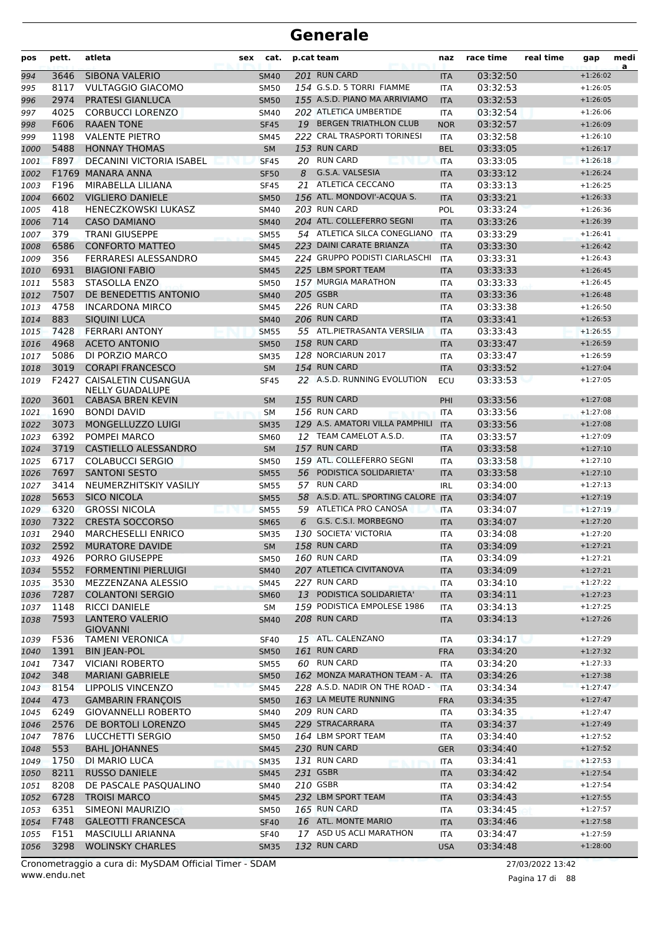| pos          | pett.        | atleta                                            | sex | cat.                       |    | p.cat team                                     | naz                      | race time            | real time | gap                      | medi<br>a |
|--------------|--------------|---------------------------------------------------|-----|----------------------------|----|------------------------------------------------|--------------------------|----------------------|-----------|--------------------------|-----------|
| 994          | 3646         | <b>SIBONA VALERIO</b>                             |     | <b>SM40</b>                |    | 201 RUN CARD                                   | <b>ITA</b>               | 03:32:50             |           | $+1:26:02$               |           |
| 995          | 8117         | <b>VULTAGGIO GIACOMO</b>                          |     | <b>SM50</b>                |    | 154 G.S.D. 5 TORRI FIAMME                      | <b>ITA</b>               | 03:32:53             |           | $+1:26:05$               |           |
| 996          | 2974         | <b>PRATESI GIANLUCA</b>                           |     | <b>SM50</b>                |    | 155 A.S.D. PIANO MA ARRIVIAMO                  | <b>ITA</b>               | 03:32:53             |           | $+1:26:05$               |           |
| 997          | 4025         | <b>CORBUCCI LORENZO</b>                           |     | <b>SM40</b>                |    | 202 ATLETICA UMBERTIDE                         | <b>ITA</b>               | 03:32:54             |           | $+1:26:06$               |           |
| 998          | F606         | <b>RAAEN TONE</b>                                 |     | <b>SF45</b>                |    | 19 BERGEN TRIATHLON CLUB                       | <b>NOR</b>               | 03:32:57             |           | $+1:26:09$               |           |
| 999          | 1198         | <b>VALENTE PIETRO</b>                             |     | <b>SM45</b>                |    | 222 CRAL TRASPORTI TORINESI                    | <b>ITA</b>               | 03:32:58             |           | $+1:26:10$               |           |
| 1000         | 5488         | <b>HONNAY THOMAS</b>                              |     | <b>SM</b>                  |    | 153 RUN CARD                                   | <b>BEL</b>               | 03:33:05             |           | $+1:26:17$               |           |
| 1001         | F897         | DECANINI VICTORIA ISABEL                          |     | <b>SF45</b>                |    | 20 RUN CARD                                    | <b>ITA</b>               | 03:33:05             |           | $+1:26:18$               |           |
| 1002         |              | F1769 MANARA ANNA                                 |     | <b>SF50</b>                | 8  | G.S.A. VALSESIA                                | <b>ITA</b>               | 03:33:12             |           | $+1:26:24$               |           |
| 1003         | F196         | MIRABELLA LILIANA                                 |     | <b>SF45</b>                | 21 | ATLETICA CECCANO<br>156 ATL. MONDOVI'-ACQUA S. | <b>ITA</b>               | 03:33:13             |           | $+1:26:25$               |           |
| 1004         | 6602         | <b>VIGLIERO DANIELE</b>                           |     | <b>SM50</b>                |    | 203 RUN CARD                                   | <b>ITA</b>               | 03:33:21             |           | $+1:26:33$               |           |
| 1005         | 418<br>714   | <b>HENECZKOWSKI LUKASZ</b><br><b>CASO DAMIANO</b> |     | <b>SM40</b>                |    | 204 ATL. COLLEFERRO SEGNI                      | <b>POL</b>               | 03:33:24<br>03:33:26 |           | $+1:26:36$<br>$+1:26:39$ |           |
| 1006<br>1007 | 379          | <b>TRANI GIUSEPPE</b>                             |     | <b>SM40</b><br><b>SM55</b> |    | 54 ATLETICA SILCA CONEGLIANO                   | <b>ITA</b><br>ITA        | 03:33:29             |           | $+1:26:41$               |           |
| 1008         | 6586         | <b>CONFORTO MATTEO</b>                            |     | <b>SM45</b>                |    | 223 DAINI CARATE BRIANZA                       | <b>ITA</b>               | 03:33:30             |           | $+1:26:42$               |           |
| 1009         | 356          | FERRARESI ALESSANDRO                              |     | SM45                       |    | 224 GRUPPO PODISTI CIARLASCHI                  | <b>ITA</b>               | 03:33:31             |           | $+1:26:43$               |           |
| 1010         | 6931         | <b>BIAGIONI FABIO</b>                             |     | <b>SM45</b>                |    | 225 LBM SPORT TEAM                             | <b>ITA</b>               | 03:33:33             |           | $+1:26:45$               |           |
| 1011         | 5583         | STASOLLA ENZO                                     |     | <b>SM50</b>                |    | 157 MURGIA MARATHON                            | <b>ITA</b>               | 03:33:33             |           | $+1:26:45$               |           |
| 1012         | 7507         | DE BENEDETTIS ANTONIO                             |     | <b>SM40</b>                |    | <b>205 GSBR</b>                                | <b>ITA</b>               | 03:33:36             |           | $+1:26:48$               |           |
| 1013         | 4758         | <b>INCARDONA MIRCO</b>                            |     | <b>SM45</b>                |    | 226 RUN CARD                                   | <b>ITA</b>               | 03:33:38             |           | $+1:26:50$               |           |
| 1014         | 883          | SIQUINI LUCA                                      |     | <b>SM40</b>                |    | 206 RUN CARD                                   | <b>ITA</b>               | 03:33:41             |           | $+1:26:53$               |           |
| 1015         | 7428         | <b>FERRARI ANTONY</b>                             |     | <b>SM55</b>                |    | 55 ATL.PIETRASANTA VERSILIA                    | <b>ITA</b>               | 03:33:43             |           | $+1:26:55$               |           |
| 1016         | 4968         | <b>ACETO ANTONIO</b>                              |     | <b>SM50</b>                |    | 158 RUN CARD                                   | <b>ITA</b>               | 03:33:47             |           | $+1:26:59$               |           |
| 1017         | 5086         | DI PORZIO MARCO                                   |     | <b>SM35</b>                |    | 128 NORCIARUN 2017                             | <b>ITA</b>               | 03:33:47             |           | $+1:26:59$               |           |
| 1018         | 3019         | <b>CORAPI FRANCESCO</b>                           |     | <b>SM</b>                  |    | 154 RUN CARD                                   | <b>ITA</b>               | 03:33:52             |           | $+1:27:04$               |           |
| 1019         |              | F2427 CAISALETIN CUSANGUA                         |     | <b>SF45</b>                |    | 22 A.S.D. RUNNING EVOLUTION                    | ECU                      | 03:33:53             |           | $+1:27:05$               |           |
|              |              | <b>NELLY GUADALUPE</b>                            |     |                            |    |                                                |                          |                      |           |                          |           |
| 1020         | 3601         | CABASA BREN KEVIN                                 |     | <b>SM</b>                  |    | 155 RUN CARD                                   | PHI                      | 03:33:56             |           | $+1:27:08$               |           |
| 1021         | 1690         | <b>BONDI DAVID</b>                                |     | <b>SM</b>                  |    | 156 RUN CARD                                   | <b>ITA</b>               | 03:33:56             |           | $+1:27:08$               |           |
| 1022         | 3073         | MONGELLUZZO LUIGI                                 |     | <b>SM35</b>                |    | 129 A.S. AMATORI VILLA PAMPHILI                | <b>ITA</b>               | 03:33:56             |           | $+1:27:08$               |           |
| 1023         | 6392         | POMPEI MARCO                                      |     | <b>SM60</b>                |    | 12 TEAM CAMELOT A.S.D.                         | <b>ITA</b>               | 03:33:57             |           | $+1:27:09$               |           |
| 1024         | 3719         | CASTIELLO ALESSANDRO                              |     | <b>SM</b>                  |    | 157 RUN CARD<br>159 ATL. COLLEFERRO SEGNI      | <b>ITA</b>               | 03:33:58             |           | $+1:27:10$               |           |
| 1025         | 6717         | <b>COLABUCCI SERGIO</b><br><b>SANTONI SESTO</b>   |     | <b>SM50</b>                |    | 56 PODISTICA SOLIDARIETA'                      | <b>ITA</b>               | 03:33:58             |           | $+1:27:10$               |           |
| 1026         | 7697<br>3414 | NEUMERZHITSKIY VASILIY                            |     | <b>SM55</b><br><b>SM55</b> |    | 57 RUN CARD                                    | <b>ITA</b><br><b>IRL</b> | 03:33:58<br>03:34:00 |           | $+1:27:10$<br>$+1:27:13$ |           |
| 1027<br>1028 | 5653         | <b>SICO NICOLA</b>                                |     | <b>SM55</b>                |    | 58 A.S.D. ATL. SPORTING CALORE ITA             |                          | 03:34:07             |           | $+1:27:19$               |           |
| 1029         | 6320         | <b>GROSSI NICOLA</b>                              |     | <b>SM55</b>                |    | 59 ATLETICA PRO CANOSA                         | <b>ITA</b>               | 03:34:07             |           | $+1:27:19$               |           |
| 1030         | 7322         | <b>CRESTA SOCCORSO</b>                            |     | <b>SM65</b>                | 6  | G.S. C.S.I. MORBEGNO                           | <b>ITA</b>               | 03:34:07             |           | $+1:27:20$               |           |
| 1031         | 2940         | <b>MARCHESELLI ENRICO</b>                         |     | <b>SM35</b>                |    | 130 SOCIETA' VICTORIA                          | <b>ITA</b>               | 03:34:08             |           | $+1:27:20$               |           |
| 1032         | 2592         | <b>MURATORE DAVIDE</b>                            |     | ${\sf SM}$                 |    | 158 RUN CARD                                   | <b>ITA</b>               | 03:34:09             |           | $+1:27:21$               |           |
| 1033         | 4926         | PORRO GIUSEPPE                                    |     | <b>SM50</b>                |    | 160 RUN CARD                                   | ITA                      | 03:34:09             |           | $+1:27:21$               |           |
| 1034         | 5552         | <b>FORMENTINI PIERLUIGI</b>                       |     | <b>SM40</b>                |    | 207 ATLETICA CIVITANOVA                        | <b>ITA</b>               | 03:34:09             |           | $+1:27:21$               |           |
| 1035         | 3530         | MEZZENZANA ALESSIO                                |     | <b>SM45</b>                |    | 227 RUN CARD                                   | ITA                      | 03:34:10             |           | $+1:27:22$               |           |
| 1036         | 7287         | <b>COLANTONI SERGIO</b>                           |     | <b>SM60</b>                |    | 13 PODISTICA SOLIDARIETA'                      | <b>ITA</b>               | 03:34:11             |           | $+1:27:23$               |           |
| 1037         | 1148         | <b>RICCI DANIELE</b>                              |     | SM                         |    | 159 PODISTICA EMPOLESE 1986                    | <b>ITA</b>               | 03:34:13             |           | $+1:27:25$               |           |
| 1038         | 7593         | <b>LANTERO VALERIO</b>                            |     | <b>SM40</b>                |    | 208 RUN CARD                                   | <b>ITA</b>               | 03:34:13             |           | $+1:27:26$               |           |
|              |              | <b>GIOVANNI</b>                                   |     |                            |    |                                                |                          |                      |           |                          |           |
| 1039         | F536         | <b>TAMENI VERONICA</b>                            |     | <b>SF40</b>                |    | 15 ATL. CALENZANO<br>161 RUN CARD              | ITA                      | 03:34:17             |           | $+1:27:29$               |           |
| 1040         | 1391<br>7347 | <b>BIN JEAN-POL</b>                               |     | <b>SM50</b>                |    | 60 RUN CARD                                    | <b>FRA</b>               | 03:34:20<br>03:34:20 |           | $+1:27:32$               |           |
| 1041<br>1042 | 348          | <b>VICIANI ROBERTO</b><br><b>MARIANI GABRIELE</b> |     | <b>SM55</b><br><b>SM50</b> |    | 162 MONZA MARATHON TEAM - A. ITA               | <b>ITA</b>               | 03:34:26             |           | $+1:27:33$<br>$+1:27:38$ |           |
|              | 8154         | LIPPOLIS VINCENZO                                 |     | <b>SM45</b>                |    | 228 A.S.D. NADIR ON THE ROAD -                 | <b>ITA</b>               | 03:34:34             |           | $+1:27:47$               |           |
| 1043<br>1044 | 473          | <b>GAMBARIN FRANÇOIS</b>                          |     | <b>SM50</b>                |    | 163 LA MEUTE RUNNING                           | <b>FRA</b>               | 03:34:35             |           | $+1:27:47$               |           |
| 1045         | 6249         | <b>GIOVANNELLI ROBERTO</b>                        |     | SM40                       |    | 209 RUN CARD                                   | ITA                      | 03:34:35             |           | $+1:27:47$               |           |
| 1046         | 2576         | DE BORTOLI LORENZO                                |     | <b>SM45</b>                |    | 229 STRACARRARA                                | <b>ITA</b>               | 03:34:37             |           | $+1:27:49$               |           |
| 1047         | 7876         | LUCCHETTI SERGIO                                  |     | <b>SM50</b>                |    | 164 LBM SPORT TEAM                             | <b>ITA</b>               | 03:34:40             |           | $+1:27:52$               |           |
| 1048         | 553          | <b>BAHL JOHANNES</b>                              |     | <b>SM45</b>                |    | 230 RUN CARD                                   | <b>GER</b>               | 03:34:40             |           | $+1:27:52$               |           |
| 1049         | 1750         | DI MARIO LUCA                                     |     | <b>SM35</b>                |    | 131 RUN CARD                                   | ITA                      | 03:34:41             |           | $+1:27:53$               |           |
| 1050         | 8211         | <b>RUSSO DANIELE</b>                              |     | <b>SM45</b>                |    | 231 GSBR                                       | <b>ITA</b>               | 03:34:42             |           | $+1:27:54$               |           |
| 1051         | 8208         | DE PASCALE PASQUALINO                             |     | <b>SM40</b>                |    | 210 GSBR                                       | ITA                      | 03:34:42             |           | $+1:27:54$               |           |
| 1052         | 6728         | <b>TROISI MARCO</b>                               |     | <b>SM45</b>                |    | 232 LBM SPORT TEAM                             | <b>ITA</b>               | 03:34:43             |           | $+1:27:55$               |           |
| 1053         | 6351         | SIMEONI MAURIZIO                                  |     | <b>SM50</b>                |    | 165 RUN CARD                                   | ITA                      | 03:34:45             |           | $+1:27:57$               |           |
| 1054         | F748         | <b>GALEOTTI FRANCESCA</b>                         |     | <b>SF40</b>                |    | 16 ATL. MONTE MARIO                            | <b>ITA</b>               | 03:34:46             |           | $+1:27:58$               |           |
| 1055         | F151         | MASCIULLI ARIANNA                                 |     | <b>SF40</b>                |    | 17 ASD US ACLI MARATHON                        | ITA                      | 03:34:47             |           | $+1:27:59$               |           |
| 1056         | 3298         | <b>WOLINSKY CHARLES</b>                           |     | <b>SM35</b>                |    | 132 RUN CARD                                   | <b>USA</b>               | 03:34:48             |           | $+1:28:00$               |           |
|              |              |                                                   |     |                            |    |                                                |                          |                      |           |                          |           |

www.endu.net Cronometraggio a cura di: MySDAM Official Timer - SDAM 27/03/2022 13:42

Pagina 17 di 88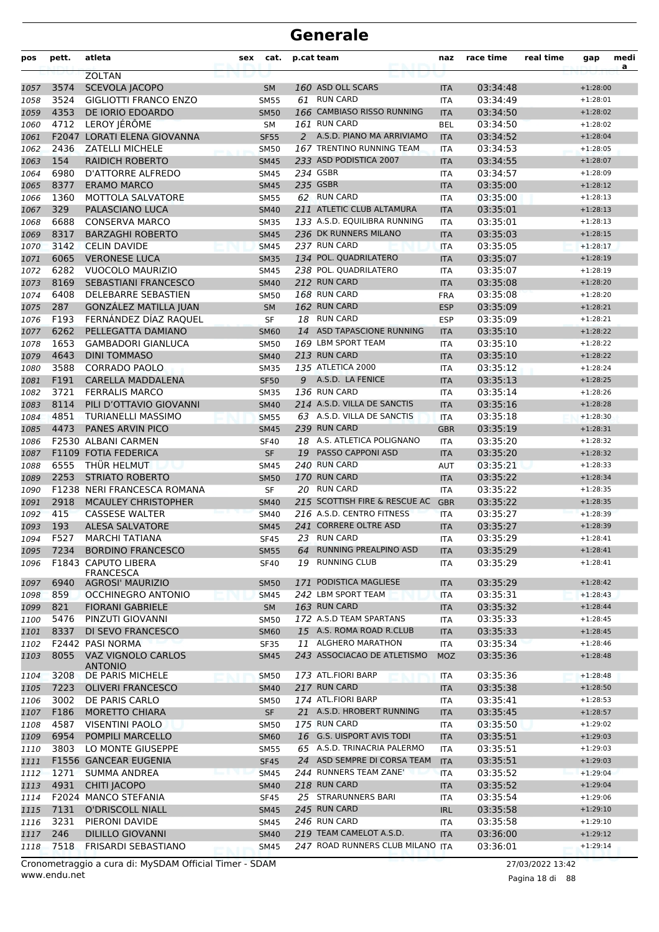| pos  | pett. | atleta                       | sex | cat.        |    | p.cat team                       | naz        | race time | real time | gap        | medi<br>a |
|------|-------|------------------------------|-----|-------------|----|----------------------------------|------------|-----------|-----------|------------|-----------|
|      |       | <b>ZOLTAN</b>                |     |             |    |                                  |            |           |           |            |           |
| 1057 | 3574  | <b>SCEVOLA JACOPO</b>        |     | <b>SM</b>   |    | 160 ASD OLL SCARS                | <b>ITA</b> | 03:34:48  |           | $+1:28:00$ |           |
| 1058 | 3524  | <b>GIGLIOTTI FRANCO ENZO</b> |     | <b>SM55</b> |    | 61 RUN CARD                      | <b>ITA</b> | 03:34:49  |           | $+1:28:01$ |           |
| 1059 | 4353  | DE IORIO EDOARDO             |     | <b>SM50</b> |    | 166 CAMBIASO RISSO RUNNING       | <b>ITA</b> | 03:34:50  |           | $+1:28:02$ |           |
| 1060 | 4712  | LEROY JÉRÔME                 |     | <b>SM</b>   |    | 161 RUN CARD                     | <b>BEL</b> | 03:34:50  |           | $+1:28:02$ |           |
| 1061 | F2047 | LORATI ELENA GIOVANNA        |     | <b>SF55</b> |    | 2 A.S.D. PIANO MA ARRIVIAMO      | <b>ITA</b> | 03:34:52  |           | $+1:28:04$ |           |
| 1062 | 2436  | <b>ZATELLI MICHELE</b>       |     | <b>SM50</b> |    | 167 TRENTINO RUNNING TEAM        | <b>ITA</b> | 03:34:53  |           | $+1:28:05$ |           |
| 1063 | 154   | <b>RAIDICH ROBERTO</b>       |     | <b>SM45</b> |    | 233 ASD PODISTICA 2007           | <b>ITA</b> | 03:34:55  |           | $+1:28:07$ |           |
| 1064 | 6980  | D'ATTORRE ALFREDO            |     | <b>SM45</b> |    | 234 GSBR                         | <b>ITA</b> | 03:34:57  |           | $+1:28:09$ |           |
| 1065 | 8377  | <b>ERAMO MARCO</b>           |     | <b>SM45</b> |    | 235 GSBR                         | <b>ITA</b> | 03:35:00  |           | $+1:28:12$ |           |
| 1066 | 1360  | MOTTOLA SALVATORE            |     | <b>SM55</b> |    | 62 RUN CARD                      | <b>ITA</b> | 03:35:00  |           | $+1:28:13$ |           |
| 1067 | 329   | PALASCIANO LUCA              |     | <b>SM40</b> |    | 211 ATLETIC CLUB ALTAMURA        | <b>ITA</b> | 03:35:01  |           | $+1:28:13$ |           |
| 1068 | 6688  | <b>CONSERVA MARCO</b>        |     | <b>SM35</b> |    | 133 A.S.D. EQUILIBRA RUNNING     | <b>ITA</b> | 03:35:01  |           | $+1:28:13$ |           |
| 1069 | 8317  | <b>BARZAGHI ROBERTO</b>      |     | <b>SM45</b> |    | 236 DK RUNNERS MILANO            | <b>ITA</b> | 03:35:03  |           | $+1:28:15$ |           |
| 1070 | 3142  | <b>CELIN DAVIDE</b>          |     | <b>SM45</b> |    | 237 RUN CARD                     | <b>ITA</b> | 03:35:05  |           | $+1:28:17$ |           |
| 1071 | 6065  | <b>VERONESE LUCA</b>         |     | <b>SM35</b> |    | 134 POL. QUADRILATERO            | <b>ITA</b> | 03:35:07  |           | $+1:28:19$ |           |
| 1072 | 6282  | VUOCOLO MAURIZIO             |     | <b>SM45</b> |    | 238 POL. QUADRILATERO            | <b>ITA</b> | 03:35:07  |           | $+1:28:19$ |           |
| 1073 | 8169  | <b>SEBASTIANI FRANCESCO</b>  |     | <b>SM40</b> |    | 212 RUN CARD                     | <b>ITA</b> | 03:35:08  |           | $+1:28:20$ |           |
| 1074 | 6408  | DELEBARRE SEBASTIEN          |     | <b>SM50</b> |    | 168 RUN CARD                     | <b>FRA</b> | 03:35:08  |           | $+1:28:20$ |           |
| 1075 | 287   | GONZÁLEZ MATILLA JUAN        |     | <b>SM</b>   |    | 162 RUN CARD                     | <b>ESP</b> | 03:35:09  |           | $+1:28:21$ |           |
| 1076 | F193  | FERNÁNDEZ DÍAZ RAQUEL        |     | <b>SF</b>   |    | 18 RUN CARD                      | <b>ESP</b> | 03:35:09  |           | $+1:28:21$ |           |
| 1077 | 6262  | PELLEGATTA DAMIANO           |     | <b>SM60</b> | 14 | ASD TAPASCIONE RUNNING           | <b>ITA</b> | 03:35:10  |           | $+1:28:22$ |           |
| 1078 | 1653  | <b>GAMBADORI GIANLUCA</b>    |     | <b>SM50</b> |    | 169 LBM SPORT TEAM               | <b>ITA</b> | 03:35:10  |           | $+1:28:22$ |           |
| 1079 | 4643  | <b>DINI TOMMASO</b>          |     | <b>SM40</b> |    | 213 RUN CARD                     | <b>ITA</b> | 03:35:10  |           | $+1:28:22$ |           |
| 1080 | 3588  | <b>CORRADO PAOLO</b>         |     | <b>SM35</b> |    | <b>135 ATLETICA 2000</b>         | <b>ITA</b> | 03:35:12  |           | $+1:28:24$ |           |
| 1081 | F191  | CARELLA MADDALENA            |     | <b>SF50</b> |    | 9 A.S.D. LA FENICE               | <b>ITA</b> | 03:35:13  |           | $+1:28:25$ |           |
| 1082 | 3721  | <b>FERRALIS MARCO</b>        |     | <b>SM35</b> |    | 136 RUN CARD                     | <b>ITA</b> | 03:35:14  |           | $+1:28:26$ |           |
| 1083 | 8114  | PILI D'OTTAVIO GIOVANNI      |     | <b>SM40</b> |    | 214 A.S.D. VILLA DE SANCTIS      | <b>ITA</b> | 03:35:16  |           | $+1:28:28$ |           |
| 1084 | 4851  | <b>TURIANELLI MASSIMO</b>    |     | <b>SM55</b> |    | 63 A.S.D. VILLA DE SANCTIS       | <b>ITA</b> | 03:35:18  |           | $+1:28:30$ |           |
| 1085 | 4473  | PANES ARVIN PICO             |     | <b>SM45</b> |    | 239 RUN CARD                     | <b>GBR</b> | 03:35:19  |           | $+1:28:31$ |           |
| 1086 |       | F2530 ALBANI CARMEN          |     | <b>SF40</b> |    | 18 A.S. ATLETICA POLIGNANO       | ITA        | 03:35:20  |           | $+1:28:32$ |           |
| 1087 |       | F1109 FOTIA FEDERICA         |     | <b>SF</b>   |    | 19 PASSO CAPPONI ASD             | <b>ITA</b> | 03:35:20  |           | $+1:28:32$ |           |
| 1088 | 6555  | THÜR HELMUT                  |     | <b>SM45</b> |    | 240 RUN CARD                     | <b>AUT</b> | 03:35:21  |           | $+1:28:33$ |           |
| 1089 | 2253  | <b>STRIATO ROBERTO</b>       |     | <b>SM50</b> |    | 170 RUN CARD                     | <b>ITA</b> | 03:35:22  |           | $+1:28:34$ |           |
| 1090 |       | F1238 NERI FRANCESCA ROMANA  |     | SF          |    | 20 RUN CARD                      | <b>ITA</b> | 03:35:22  |           | $+1:28:35$ |           |
| 1091 | 2918  | <b>MCAULEY CHRISTOPHER</b>   |     | <b>SM40</b> |    | 215 SCOTTISH FIRE & RESCUE AC    | <b>GBR</b> | 03:35:22  |           | $+1:28:35$ |           |
| 1092 | 415   | <b>CASSESE WALTER</b>        |     | <b>SM40</b> |    | 216 A.S.D. CENTRO FITNESS        | <b>ITA</b> | 03:35:27  |           | $+1:28:39$ |           |
| 1093 | 193   | <b>ALESA SALVATORE</b>       |     | <b>SM45</b> |    | 241 CORRERE OLTRE ASD            | <b>ITA</b> | 03:35:27  |           | $+1:28:39$ |           |
| 1094 | F527  | <b>MARCHI TATIANA</b>        |     | <b>SF45</b> |    | 23 RUN CARD                      | <b>ITA</b> | 03:35:29  |           | $+1:28:41$ |           |
| 1095 | 7234  | <b>BORDINO FRANCESCO</b>     |     | <b>SM55</b> | 64 | RUNNING PREALPINO ASD            | <b>ITA</b> | 03:35:29  |           | $+1:28:41$ |           |
| 1096 |       | <b>F1843 CAPUTO LIBERA</b>   |     | <b>SF40</b> |    | 19 RUNNING CLUB                  | ITA.       | 03:35:29  |           | $+1:28:41$ |           |
|      |       | <b>FRANCESCA</b>             |     |             |    |                                  |            |           |           |            |           |
| 1097 | 6940  | <b>AGROSI' MAURIZIO</b>      |     | <b>SM50</b> |    | 171 PODISTICA MAGLIESE           | <b>ITA</b> | 03:35:29  |           | $+1:28:42$ |           |
| 1098 | 859   | <b>OCCHINEGRO ANTONIO</b>    |     | <b>SM45</b> |    | 242 LBM SPORT TEAM               | <b>ITA</b> | 03:35:31  |           | $+1:28:43$ |           |
| 1099 | 821   | <b>FIORANI GABRIELE</b>      |     | SM          |    | 163 RUN CARD                     | <b>ITA</b> | 03:35:32  |           | $+1:28:44$ |           |
| 1100 | 5476  | PINZUTI GIOVANNI             |     | <b>SM50</b> |    | 172 A.S.D TEAM SPARTANS          | ITA        | 03:35:33  |           | $+1:28:45$ |           |
| 1101 | 8337  | DI SEVO FRANCESCO            |     | <b>SM60</b> |    | 15 A.S. ROMA ROAD R.CLUB         | <b>ITA</b> | 03:35:33  |           | $+1:28:45$ |           |
| 1102 |       | F2442 PASI NORMA             |     | SF35        |    | 11 ALGHERO MARATHON              | ITA        | 03:35:34  |           | $+1:28:46$ |           |
| 1103 | 8055  | VAZ VIGNOLO CARLOS           |     | <b>SM45</b> |    | 243 ASSOCIACAO DE ATLETISMO      | <b>MOZ</b> | 03:35:36  |           | $+1:28:48$ |           |
|      |       | <b>ANTONIO</b>               |     |             |    |                                  |            |           |           |            |           |
| 1104 | 3208  | DE PARIS MICHELE             |     | <b>SM50</b> |    | 173 ATL.FIORI BARP               | ITA        | 03:35:36  |           | $+1:28:48$ |           |
| 1105 | 7223  | <b>OLIVERI FRANCESCO</b>     |     | <b>SM40</b> |    | 217 RUN CARD                     | <b>ITA</b> | 03:35:38  |           | $+1:28:50$ |           |
| 1106 | 3002  | DE PARIS CARLO               |     | <b>SM50</b> |    | 174 ATL.FIORI BARP               | <b>ITA</b> | 03:35:41  |           | $+1:28:53$ |           |
| 1107 | F186  | <b>MORETTO CHIARA</b>        |     | <b>SF</b>   |    | 21 A.S.D. HROBERT RUNNING        | <b>ITA</b> | 03:35:45  |           | $+1:28:57$ |           |
| 1108 | 4587  | <b>VISENTINI PAOLO</b>       |     | <b>SM50</b> |    | 175 RUN CARD                     | ITA        | 03:35:50  |           | $+1:29:02$ |           |
| 1109 | 6954  | POMPILI MARCELLO             |     | <b>SM60</b> |    | 16 G.S. UISPORT AVIS TODI        | <b>ITA</b> | 03:35:51  |           | $+1:29:03$ |           |
| 1110 | 3803  | LO MONTE GIUSEPPE            |     | <b>SM55</b> |    | 65 A.S.D. TRINACRIA PALERMO      | <b>ITA</b> | 03:35:51  |           | $+1:29:03$ |           |
| 1111 |       | F1556 GANCEAR EUGENIA        |     | <b>SF45</b> |    | 24 ASD SEMPRE DI CORSA TEAM      | <b>ITA</b> | 03:35:51  |           | $+1:29:03$ |           |
| 1112 | 1271  | <b>SUMMA ANDREA</b>          |     | <b>SM45</b> |    | 244 RUNNERS TEAM ZANE'           | <b>ITA</b> | 03:35:52  |           | $+1:29:04$ |           |
| 1113 | 4931  | <b>CHITI JACOPO</b>          |     | <b>SM40</b> |    | 218 RUN CARD                     | <b>ITA</b> | 03:35:52  |           | $+1:29:04$ |           |
| 1114 |       | F2024 MANCO STEFANIA         |     | <b>SF45</b> |    | 25 STRARUNNERS BARI              | <b>ITA</b> | 03:35:54  |           | $+1:29:06$ |           |
| 1115 | 7131  | <b>O'DRISCOLL NIALL</b>      |     | <b>SM45</b> |    | 245 RUN CARD                     | <b>IRL</b> | 03:35:58  |           | $+1:29:10$ |           |
| 1116 | 3231  | PIERONI DAVIDE               |     | <b>SM45</b> |    | 246 RUN CARD                     | <b>ITA</b> | 03:35:58  |           | $+1:29:10$ |           |
| 1117 | 246   | <b>DILILLO GIOVANNI</b>      |     | <b>SM40</b> |    | 219 TEAM CAMELOT A.S.D.          | <b>ITA</b> | 03:36:00  |           | $+1:29:12$ |           |
| 1118 | 7518  | <b>FRISARDI SEBASTIANO</b>   |     | <b>SM45</b> |    | 247 ROAD RUNNERS CLUB MILANO ITA |            | 03:36:01  |           | $+1:29:14$ |           |

www.endu.net Cronometraggio a cura di: MySDAM Official Timer - SDAM 27/03/2022 13:42

Pagina 18 di 88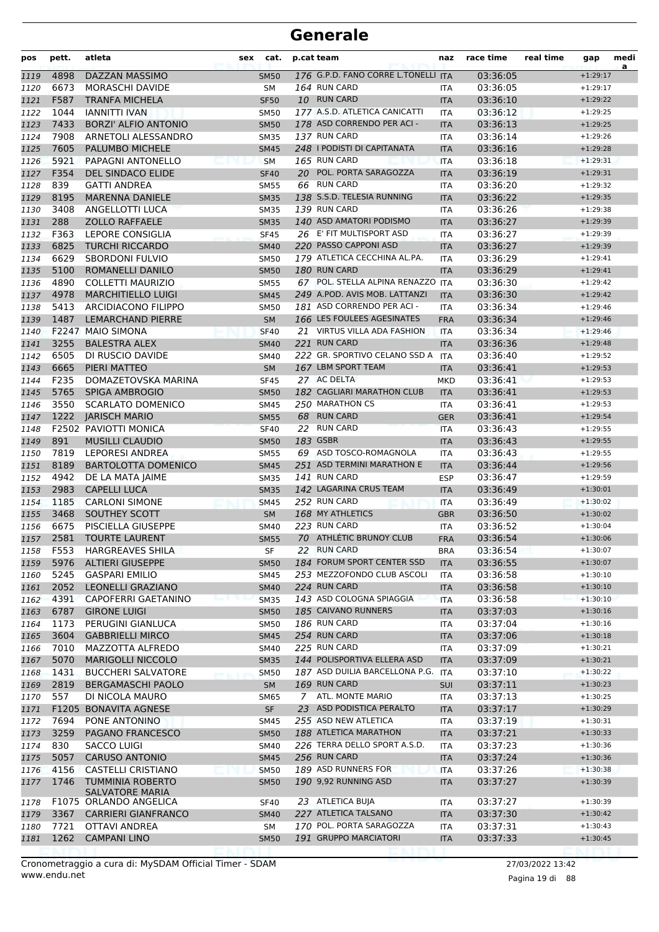| pos          | pett.        | atleta                                            | sex | cat.                       |    | p.cat team                                    | naz                      | race time            | real time | gap                      | medi<br>a |
|--------------|--------------|---------------------------------------------------|-----|----------------------------|----|-----------------------------------------------|--------------------------|----------------------|-----------|--------------------------|-----------|
| 1119         | 4898         | DAZZAN MASSIMO                                    |     | <b>SM50</b>                |    | 176 G.P.D. FANO CORRE L.TONELLI ITA           |                          | 03:36:05             |           | $+1:29:17$               |           |
| 1120         | 6673         | <b>MORASCHI DAVIDE</b>                            |     | SΜ                         |    | 164 RUN CARD                                  | ITA                      | 03:36:05             |           | $+1:29:17$               |           |
| 1121         | F587         | <b>TRANFA MICHELA</b>                             |     | <b>SF50</b>                |    | 10 RUN CARD                                   | <b>ITA</b>               | 03:36:10             |           | $+1:29:22$               |           |
| 1122         | 1044         | <b>IANNITTI IVAN</b>                              |     | <b>SM50</b>                |    | 177 A.S.D. ATLETICA CANICATTI                 | <b>ITA</b>               | 03:36:12             |           | $+1:29:25$               |           |
| 1123         | 7433         | <b>BORZI' ALFIO ANTONIO</b>                       |     | <b>SM50</b>                |    | 178 ASD CORRENDO PER ACI -                    | <b>ITA</b>               | 03:36:13             |           | $+1:29:25$               |           |
| 1124         | 7908         | ARNETOLI ALESSANDRO                               |     | <b>SM35</b>                |    | 137 RUN CARD                                  | <b>ITA</b>               | 03:36:14             |           | $+1:29:26$               |           |
| 1125         | 7605         | PALUMBO MICHELE                                   |     | <b>SM45</b>                |    | 248   PODISTI DI CAPITANATA                   | <b>ITA</b>               | 03:36:16             |           | $+1:29:28$               |           |
| 1126         | 5921         | PAPAGNI ANTONELLO                                 |     | <b>SM</b>                  |    | 165 RUN CARD                                  | <b>ITA</b>               | 03:36:18             |           | $+1:29:31$               |           |
| 1127         | F354         | <b>DEL SINDACO ELIDE</b>                          |     | <b>SF40</b>                |    | 20 POL. PORTA SARAGOZZA                       | <b>ITA</b>               | 03:36:19             |           | $+1:29:31$               |           |
| 1128         | 839          | <b>GATTI ANDREA</b>                               |     | <b>SM55</b>                | 66 | <b>RUN CARD</b><br>138 S.S.D. TELESIA RUNNING | <b>ITA</b>               | 03:36:20             |           | $+1:29:32$               |           |
| 1129         | 8195<br>3408 | <b>MARENNA DANIELE</b><br>ANGELLOTTI LUCA         |     | <b>SM35</b><br><b>SM35</b> |    | 139 RUN CARD                                  | <b>ITA</b>               | 03:36:22<br>03:36:26 |           | $+1:29:35$<br>$+1:29:38$ |           |
| 1130         | 288          | <b>ZOLLO RAFFAELE</b>                             |     |                            |    | 140 ASD AMATORI PODISMO                       | <b>ITA</b>               | 03:36:27             |           | $+1:29:39$               |           |
| 1131<br>1132 | F363         | LEPORE CONSIGLIA                                  |     | <b>SM35</b><br><b>SF45</b> |    | 26 E' FIT MULTISPORT ASD                      | <b>ITA</b><br><b>ITA</b> | 03:36:27             |           | $+1:29:39$               |           |
| 1133         | 6825         | <b>TURCHI RICCARDO</b>                            |     | <b>SM40</b>                |    | 220 PASSO CAPPONI ASD                         | <b>ITA</b>               | 03:36:27             |           | $+1:29:39$               |           |
| 1134         | 6629         | <b>SBORDONI FULVIO</b>                            |     | <b>SM50</b>                |    | 179 ATLETICA CECCHINA AL.PA.                  | ITA                      | 03:36:29             |           | $+1:29:41$               |           |
| 1135         | 5100         | ROMANELLI DANILO                                  |     | <b>SM50</b>                |    | 180 RUN CARD                                  | <b>ITA</b>               | 03:36:29             |           | $+1:29:41$               |           |
| 1136         | 4890         | COLLETTI MAURIZIO                                 |     | <b>SM55</b>                |    | 67 POL. STELLA ALPINA RENAZZO ITA             |                          | 03:36:30             |           | $+1:29:42$               |           |
| 1137         | 4978         | <b>MARCHITIELLO LUIGI</b>                         |     | <b>SM45</b>                |    | 249 A.POD. AVIS MOB. LATTANZI                 | <b>ITA</b>               | 03:36:30             |           | $+1:29:42$               |           |
| 1138         | 5413         | <b>ARCIDIACONO FILIPPO</b>                        |     | <b>SM50</b>                |    | 181 ASD CORRENDO PER ACI -                    | ITA                      | 03:36:34             |           | $+1:29:46$               |           |
| 1139         | 1487         | <b>LEMARCHAND PIERRE</b>                          |     | <b>SM</b>                  |    | 166 LES FOULEES AGESINATES                    | <b>FRA</b>               | 03:36:34             |           | $+1:29:46$               |           |
| 1140         | F2247        | <b>MAIO SIMONA</b>                                |     | <b>SF40</b>                |    | 21 VIRTUS VILLA ADA FASHION                   | <b>ITA</b>               | 03:36:34             |           | $+1:29:46$               |           |
| 1141         | 3255         | <b>BALESTRA ALEX</b>                              |     | <b>SM40</b>                |    | 221 RUN CARD                                  | <b>ITA</b>               | 03:36:36             |           | $+1:29:48$               |           |
| 1142         | 6505         | DI RUSCIO DAVIDE                                  |     | <b>SM40</b>                |    | 222 GR. SPORTIVO CELANO SSD A                 | <b>ITA</b>               | 03:36:40             |           | $+1:29:52$               |           |
| 1143         | 6665         | PIERI MATTEO                                      |     | SM                         |    | 167 LBM SPORT TEAM                            | <b>ITA</b>               | 03:36:41             |           | $+1:29:53$               |           |
| 1144         | F235         | DOMAZETOVSKA MARINA                               |     | <b>SF45</b>                |    | 27 AC DELTA                                   | <b>MKD</b>               | 03:36:41             |           | $+1:29:53$               |           |
| 1145         | 5765         | <b>SPIGA AMBROGIO</b>                             |     | <b>SM50</b>                |    | 182 CAGLIARI MARATHON CLUB                    | <b>ITA</b>               | 03:36:41             |           | $+1:29:53$               |           |
| 1146         | 3550         | <b>SCARLATO DOMENICO</b>                          |     | <b>SM45</b>                |    | 250 MARATHON CS                               | ITA                      | 03:36:41             |           | $+1:29:53$               |           |
| 1147         | 1222         | <b>JARISCH MARIO</b>                              |     | <b>SM55</b>                |    | 68 RUN CARD                                   | <b>GER</b>               | 03:36:41             |           | $+1:29:54$               |           |
| 1148         |              | F2502 PAVIOTTI MONICA                             |     | <b>SF40</b>                |    | 22 RUN CARD                                   | <b>ITA</b>               | 03:36:43             |           | $+1:29:55$               |           |
| 1149         | 891          | <b>MUSILLI CLAUDIO</b>                            |     | <b>SM50</b>                |    | 183 GSBR                                      | <b>ITA</b>               | 03:36:43             |           | $+1:29:55$               |           |
| 1150         | 7819         | <b>LEPORESI ANDREA</b>                            |     | <b>SM55</b>                |    | 69 ASD TOSCO-ROMAGNOLA                        | <b>ITA</b>               | 03:36:43             |           | $+1:29:55$               |           |
| 1151         | 8189         | <b>BARTOLOTTA DOMENICO</b>                        |     | <b>SM45</b>                |    | 251 ASD TERMINI MARATHON E                    | <b>ITA</b>               | 03:36:44             |           | $+1:29:56$               |           |
| 1152         | 4942         | DE LA MATA JAIME                                  |     | <b>SM35</b>                |    | 141 RUN CARD                                  | <b>ESP</b>               | 03:36:47             |           | $+1:29:59$               |           |
| 1153         | 2983         | <b>CAPELLI LUCA</b>                               |     | <b>SM35</b>                |    | 142 LAGARINA CRUS TEAM                        | <b>ITA</b>               | 03:36:49             |           | $+1:30:01$               |           |
| 1154         | 1185         | <b>CARLONI SIMONE</b>                             |     | <b>SM45</b>                |    | 252 RUN CARD                                  | <b>ITA</b>               | 03:36:49             |           | $+1:30:02$               |           |
| 1155         | 3468         | SOUTHEY SCOTT                                     |     | SM                         |    | 168 MY ATHLETICS<br>223 RUN CARD              | <b>GBR</b>               | 03:36:50             |           | $+1:30:02$               |           |
| 1156         | 6675<br>2581 | PISCIELLA GIUSEPPE<br><b>TOURTE LAURENT</b>       |     | <b>SM40</b>                |    | 70 ATHLETIC BRUNOY CLUB                       | <b>ITA</b>               | 03:36:52             |           | $+1:30:04$<br>$+1:30:06$ |           |
| 1157         | F553         | <b>HARGREAVES SHILA</b>                           |     | <b>SM55</b>                |    | 22 RUN CARD                                   | <b>FRA</b>               | 03:36:54<br>03:36:54 |           | $+1:30:07$               |           |
| 1158<br>1159 | 5976         | <b>ALTIERI GIUSEPPE</b>                           |     | SF<br><b>SM50</b>          |    | 184 FORUM SPORT CENTER SSD                    | <b>BRA</b><br><b>ITA</b> | 03:36:55             |           | $+1:30:07$               |           |
| 1160         | 5245         | <b>GASPARI EMILIO</b>                             |     | <b>SM45</b>                |    | 253 MEZZOFONDO CLUB ASCOLI                    | <b>ITA</b>               | 03:36:58             |           | $+1:30:10$               |           |
| 1161         | 2052         | <b>LEONELLI GRAZIANO</b>                          |     | <b>SM40</b>                |    | 224 RUN CARD                                  | <b>ITA</b>               | 03:36:58             |           | $+1:30:10$               |           |
| 1162         | 4391         | <b>CAPOFERRI GAETANINO</b>                        |     | <b>SM35</b>                |    | 143 ASD COLOGNA SPIAGGIA                      | <b>ITA</b>               | 03:36:58             |           | $+1:30:10$               |           |
| 1163         | 6787         | <b>GIRONE LUIGI</b>                               |     | <b>SM50</b>                |    | 185 CAIVANO RUNNERS                           | <b>ITA</b>               | 03:37:03             |           | $+1:30:16$               |           |
| 1164         | 1173         | PERUGINI GIANLUCA                                 |     | <b>SM50</b>                |    | 186 RUN CARD                                  | ITA                      | 03:37:04             |           | $+1:30:16$               |           |
| 1165         | 3604         | <b>GABBRIELLI MIRCO</b>                           |     | <b>SM45</b>                |    | 254 RUN CARD                                  | <b>ITA</b>               | 03:37:06             |           | $+1:30:18$               |           |
| 1166         | 7010         | MAZZOTTA ALFREDO                                  |     | SM40                       |    | 225 RUN CARD                                  | ITA                      | 03:37:09             |           | $+1:30:21$               |           |
| 1167         | 5070         | <b>MARIGOLLI NICCOLO</b>                          |     | <b>SM35</b>                |    | 144 POLISPORTIVA ELLERA ASD                   | <b>ITA</b>               | 03:37:09             |           | $+1:30:21$               |           |
| 1168         | 1431         | <b>BUCCHERI SALVATORE</b>                         |     | <b>SM50</b>                |    | 187 ASD DUILIA BARCELLONA P.G. ITA            |                          | 03:37:10             |           | $+1:30:22$               |           |
| 1169         | 2819         | <b>BERGAMASCHI PAOLO</b>                          |     | <b>SM</b>                  |    | 169 RUN CARD                                  | <b>SUI</b>               | 03:37:11             |           | $+1:30:23$               |           |
| 1170         | 557          | DI NICOLA MAURO                                   |     | SM65                       | 7  | ATL. MONTE MARIO                              | ITA                      | 03:37:13             |           | $+1:30:25$               |           |
| 1171         |              | F1205 BONAVITA AGNESE                             |     | <b>SF</b>                  |    | 23 ASD PODISTICA PERALTO                      | <b>ITA</b>               | 03:37:17             |           | $+1:30:29$               |           |
| 1172         | 7694         | PONE ANTONINO                                     |     | SM45                       |    | 255 ASD NEW ATLETICA                          | ITA                      | 03:37:19             |           | $+1:30:31$               |           |
| 1173         | 3259         | PAGANO FRANCESCO                                  |     | <b>SM50</b>                |    | 188 ATLETICA MARATHON                         | <b>ITA</b>               | 03:37:21             |           | $+1:30:33$               |           |
| 1174         | 830          | <b>SACCO LUIGI</b>                                |     | <b>SM40</b>                |    | 226 TERRA DELLO SPORT A.S.D.                  | <b>ITA</b>               | 03:37:23             |           | $+1:30:36$               |           |
| 1175         | 5057         | <b>CARUSO ANTONIO</b>                             |     | <b>SM45</b>                |    | 256 RUN CARD                                  | <b>ITA</b>               | 03:37:24             |           | $+1:30:36$               |           |
| 1176         | 4156         | <b>CASTELLI CRISTIANO</b>                         |     | <b>SM50</b>                |    | 189 ASD RUNNERS FOR                           | <b>ITA</b>               | 03:37:26             |           | $+1:30:38$               |           |
| 1177         | 1746         | <b>TUMMINIA ROBERTO</b><br><b>SALVATORE MARIA</b> |     | <b>SM50</b>                |    | 190 9,92 RUNNING ASD                          | <b>ITA</b>               | 03:37:27             |           | $+1:30:39$               |           |
| 1178         |              | F1075 ORLANDO ANGELICA                            |     | <b>SF40</b>                |    | 23 ATLETICA BUJA                              | ITA                      | 03:37:27             |           | $+1:30:39$               |           |
| 1179         | 3367         | <b>CARRIERI GIANFRANCO</b>                        |     | <b>SM40</b>                |    | 227 ATLETICA TALSANO                          | <b>ITA</b>               | 03:37:30             |           | $+1:30:42$               |           |
| 1180         | 7721         | OTTAVI ANDREA                                     |     | SM                         |    | 170 POL. PORTA SARAGOZZA                      | ITA                      | 03:37:31             |           | $+1:30:43$               |           |
| 1181         | 1262         | <b>CAMPANI LINO</b>                               |     | <b>SM50</b>                |    | 191 GRUPPO MARCIATORI                         | <b>ITA</b>               | 03:37:33             |           | $+1:30:45$               |           |
|              |              |                                                   |     |                            |    |                                               |                          |                      |           |                          |           |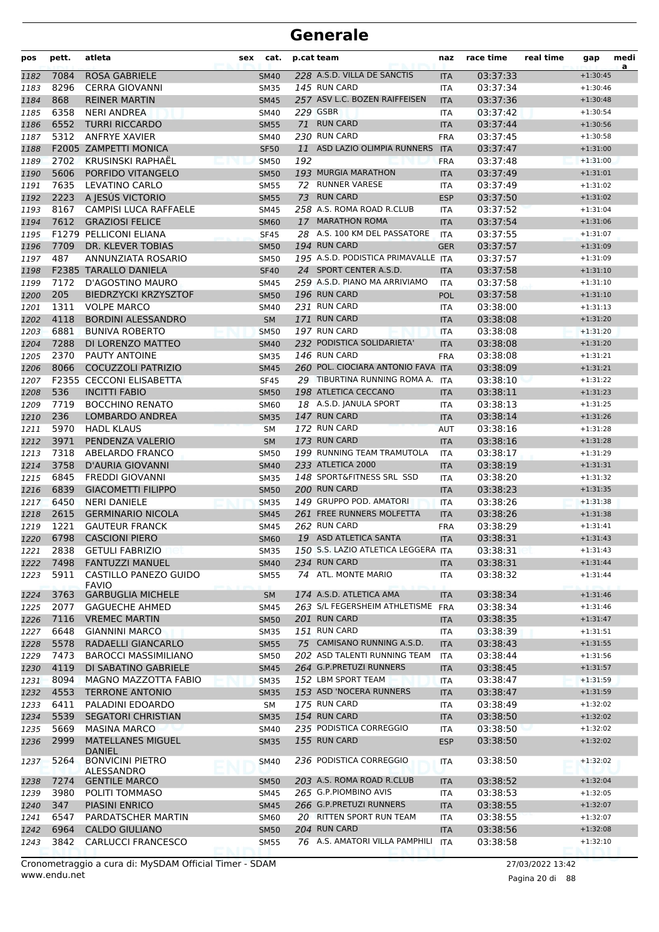| pos  | pett. | atleta                                | sex | cat.        |     | p.cat team                          | naz        | race time | real time | gap        | medi<br>a |
|------|-------|---------------------------------------|-----|-------------|-----|-------------------------------------|------------|-----------|-----------|------------|-----------|
| 1182 | 7084  | <b>ROSA GABRIELE</b>                  |     | <b>SM40</b> |     | 228 A.S.D. VILLA DE SANCTIS         | <b>ITA</b> | 03:37:33  |           | $+1:30:45$ |           |
| 1183 | 8296  | <b>CERRA GIOVANNI</b>                 |     | <b>SM35</b> |     | 145 RUN CARD                        | <b>ITA</b> | 03:37:34  |           | $+1:30:46$ |           |
| 1184 | 868   | <b>REINER MARTIN</b>                  |     | <b>SM45</b> |     | 257 ASV L.C. BOZEN RAIFFEISEN       | <b>ITA</b> | 03:37:36  |           | $+1:30:48$ |           |
| 1185 | 6358  | <b>NERI ANDREA</b>                    |     | <b>SM40</b> |     | <b>229 GSBR</b>                     | <b>ITA</b> | 03:37:42  |           | $+1:30:54$ |           |
| 1186 | 6552  | <b>TURRI RICCARDO</b>                 |     | <b>SM55</b> |     | 71 RUN CARD                         | <b>ITA</b> | 03:37:44  |           | $+1:30:56$ |           |
| 1187 | 5312  | <b>ANFRYE XAVIER</b>                  |     | <b>SM40</b> |     | 230 RUN CARD                        | <b>FRA</b> | 03:37:45  |           | $+1:30:58$ |           |
| 1188 |       | F2005 ZAMPETTI MONICA                 |     | <b>SF50</b> |     | 11 ASD LAZIO OLIMPIA RUNNERS        | <b>ITA</b> | 03:37:47  |           | $+1:31:00$ |           |
| 1189 | 2702  | <b>KRUSINSKI RAPHAËL</b>              |     | <b>SM50</b> | 192 |                                     | <b>FRA</b> | 03:37:48  |           | $+1:31:00$ |           |
| 1190 | 5606  | PORFIDO VITANGELO                     |     | <b>SM50</b> |     | 193 MURGIA MARATHON                 | <b>ITA</b> | 03:37:49  |           | $+1:31:01$ |           |
| 1191 | 7635  | <b>LEVATINO CARLO</b>                 |     | <b>SM55</b> | 72  | <b>RUNNER VARESE</b>                | ITA        | 03:37:49  |           | $+1:31:02$ |           |
| 1192 | 2223  | A JESÚS VICTORIO                      |     | <b>SM55</b> | 73  | <b>RUN CARD</b>                     | <b>ESP</b> | 03:37:50  |           | $+1:31:02$ |           |
| 1193 | 8167  | <b>CAMPISI LUCA RAFFAELE</b>          |     | <b>SM45</b> |     | 258 A.S. ROMA ROAD R.CLUB           | <b>ITA</b> | 03:37:52  |           | $+1:31:04$ |           |
| 1194 | 7612  | <b>GRAZIOSI FELICE</b>                |     | <b>SM60</b> |     | 17 MARATHON ROMA                    | <b>ITA</b> | 03:37:54  |           | $+1:31:06$ |           |
| 1195 |       | F1279 PELLICONI ELIANA                |     | <b>SF45</b> |     | 28 A.S. 100 KM DEL PASSATORE        | ITA        | 03:37:55  |           | $+1:31:07$ |           |
| 1196 | 7709  | DR. KLEVER TOBIAS                     |     | <b>SM50</b> |     | 194 RUN CARD                        | <b>GER</b> | 03:37:57  |           | $+1:31:09$ |           |
| 1197 | 487   | ANNUNZIATA ROSARIO                    |     | <b>SM50</b> |     | 195 A.S.D. PODISTICA PRIMAVALLE ITA |            | 03:37:57  |           | $+1:31:09$ |           |
| 1198 |       | <b>F2385 TARALLO DANIELA</b>          |     | <b>SF40</b> |     | 24 SPORT CENTER A.S.D.              | <b>ITA</b> | 03:37:58  |           | $+1:31:10$ |           |
| 1199 | 7172  | D'AGOSTINO MAURO                      |     | <b>SM45</b> |     | 259 A.S.D. PIANO MA ARRIVIAMO       | <b>ITA</b> | 03:37:58  |           | $+1:31:10$ |           |
| 1200 | 205   | <b>BIEDRZYCKI KRZYSZTOF</b>           |     | <b>SM50</b> |     | 196 RUN CARD                        | <b>POL</b> | 03:37:58  |           | $+1:31:10$ |           |
| 1201 | 1311  | <b>VOLPE MARCO</b>                    |     | <b>SM40</b> |     | 231 RUN CARD                        | ITA        | 03:38:00  |           | $+1:31:13$ |           |
| 1202 | 4118  | <b>BORDINI ALESSANDRO</b>             |     | <b>SM</b>   |     | 171 RUN CARD                        | <b>ITA</b> | 03:38:08  |           | $+1:31:20$ |           |
| 1203 | 6881  | <b>BUNIVA ROBERTO</b>                 |     | <b>SM50</b> |     | 197 RUN CARD                        | <b>ITA</b> | 03:38:08  |           | $+1:31:20$ |           |
| 1204 | 7288  | DI LORENZO MATTEO                     |     | <b>SM40</b> |     | 232 PODISTICA SOLIDARIETA'          | <b>ITA</b> | 03:38:08  |           | $+1:31:20$ |           |
| 1205 | 2370  | PAUTY ANTOINE                         |     | <b>SM35</b> |     | <b>146 RUN CARD</b>                 | <b>FRA</b> | 03:38:08  |           | $+1:31:21$ |           |
| 1206 | 8066  | <b>COCUZZOLI PATRIZIO</b>             |     | <b>SM45</b> |     | 260 POL. CIOCIARA ANTONIO FAVA ITA  |            | 03:38:09  |           | $+1:31:21$ |           |
| 1207 |       | F2355 CECCONI ELISABETTA              |     | <b>SF45</b> |     | 29 TIBURTINA RUNNING ROMA A. ITA    |            | 03:38:10  |           | $+1:31:22$ |           |
| 1208 | 536   | <b>INCITTI FABIO</b>                  |     | <b>SM50</b> |     | 198 ATLETICA CECCANO                | <b>ITA</b> | 03:38:11  |           | $+1:31:23$ |           |
| 1209 | 7719  | <b>BOCCHINO RENATO</b>                |     | <b>SM60</b> |     | 18 A.S.D. JANULA SPORT              | ITA        | 03:38:13  |           | $+1:31:25$ |           |
| 1210 | 236   | LOMBARDO ANDREA                       |     | <b>SM35</b> |     | 147 RUN CARD                        | <b>ITA</b> | 03:38:14  |           | $+1:31:26$ |           |
| 1211 | 5970  | <b>HADL KLAUS</b>                     |     | <b>SM</b>   |     | 172 RUN CARD                        | <b>AUT</b> | 03:38:16  |           | $+1:31:28$ |           |
| 1212 | 3971  | PENDENZA VALERIO                      |     | <b>SM</b>   |     | 173 RUN CARD                        | <b>ITA</b> | 03:38:16  |           | $+1:31:28$ |           |
| 1213 | 7318  | ABELARDO FRANCO                       |     | <b>SM50</b> |     | 199 RUNNING TEAM TRAMUTOLA          | ITA        | 03:38:17  |           | $+1:31:29$ |           |
| 1214 | 3758  | D'AURIA GIOVANNI                      |     | <b>SM40</b> |     | 233 ATLETICA 2000                   | <b>ITA</b> | 03:38:19  |           | $+1:31:31$ |           |
| 1215 | 6845  | <b>FREDDI GIOVANNI</b>                |     | <b>SM35</b> |     | 148 SPORT&FITNESS SRL SSD           | ITA        | 03:38:20  |           | $+1:31:32$ |           |
| 1216 | 6839  | <b>GIACOMETTI FILIPPO</b>             |     | <b>SM50</b> |     | 200 RUN CARD                        | <b>ITA</b> | 03:38:23  |           | $+1:31:35$ |           |
| 1217 | 6450  | <b>NERI DANIELE</b>                   |     | <b>SM35</b> |     | 149 GRUPPO POD. AMATORI             | <b>ITA</b> | 03:38:26  |           | $+1:31:38$ |           |
| 1218 | 2615  | <b>GERMINARIO NICOLA</b>              |     | <b>SM45</b> |     | 261 FREE RUNNERS MOLFETTA           | <b>ITA</b> | 03:38:26  |           | $+1:31:38$ |           |
| 1219 | 1221  | <b>GAUTEUR FRANCK</b>                 |     | SM45        |     | 262 RUN CARD                        | <b>FRA</b> | 03:38:29  |           | $+1:31:41$ |           |
| 1220 | 6798  | <b>CASCIONI PIERO</b>                 |     | <b>SM60</b> |     | 19 ASD ATLETICA SANTA               | <b>ITA</b> | 03:38:31  |           | $+1:31:43$ |           |
| 1221 | 2838  | <b>GETULI FABRIZIO</b>                |     | <b>SM35</b> |     | 150 S.S. LAZIO ATLETICA LEGGERA ITA |            | 03:38:31  |           | $+1:31:43$ |           |
| 1222 | 7498  | <b>FANTUZZI MANUEL</b>                |     | <b>SM40</b> |     | 234 RUN CARD                        | <b>ITA</b> | 03:38:31  |           | $+1:31:44$ |           |
| 1223 | 5911  | CASTILLO PANEZO GUIDO<br><b>FAVIO</b> |     | <b>SM55</b> |     | 74 ATL. MONTE MARIO                 | ITA        | 03:38:32  |           | $+1:31:44$ |           |
| 1224 | 3763  | <b>GARBUGLIA MICHELE</b>              |     | <b>SM</b>   |     | 174 A.S.D. ATLETICA AMA             | <b>ITA</b> | 03:38:34  |           | $+1:31:46$ |           |
| 1225 | 2077  | <b>GAGUECHE AHMED</b>                 |     | <b>SM45</b> |     | 263 S/L FEGERSHEIM ATHLETISME FRA   |            | 03:38:34  |           | $+1:31:46$ |           |
| 1226 | 7116  | <b>VREMEC MARTIN</b>                  |     | <b>SM50</b> |     | 201 RUN CARD                        | <b>ITA</b> | 03:38:35  |           | $+1:31:47$ |           |
| 1227 | 6648  | <b>GIANNINI MARCO</b>                 |     | <b>SM35</b> |     | 151 RUN CARD                        | ITA        | 03:38:39  |           | $+1:31:51$ |           |
| 1228 | 5578  | RADAELLI GIANCARLO                    |     | <b>SM55</b> |     | 75 CAMISANO RUNNING A.S.D.          | <b>ITA</b> | 03:38:43  |           | $+1:31:55$ |           |
| 1229 | 7473  | <b>BAROCCI MASSIMILIANO</b>           |     | <b>SM50</b> |     | 202 ASD TALENTI RUNNING TEAM        | <b>ITA</b> | 03:38:44  |           | $+1:31:56$ |           |
| 1230 | 4119  | DI SABATINO GABRIELE                  |     | <b>SM45</b> |     | 264 G.P.PRETUZI RUNNERS             | <b>ITA</b> | 03:38:45  |           | $+1:31:57$ |           |
| 1231 | 8094  | MAGNO MAZZOTTA FABIO                  |     | <b>SM35</b> |     | 152 LBM SPORT TEAM                  | ITA        | 03:38:47  |           | $+1:31:59$ |           |
| 1232 | 4553  | <b>TERRONE ANTONIO</b>                |     | <b>SM35</b> |     | 153 ASD 'NOCERA RUNNERS             | <b>ITA</b> | 03:38:47  |           | $+1:31:59$ |           |
| 1233 | 6411  | PALADINI EDOARDO                      |     | SM          |     | 175 RUN CARD                        | ITA        | 03:38:49  |           | $+1:32:02$ |           |
| 1234 | 5539  | <b>SEGATORI CHRISTIAN</b>             |     | <b>SM35</b> |     | 154 RUN CARD                        | <b>ITA</b> | 03:38:50  |           | $+1:32:02$ |           |
| 1235 | 5669  | <b>MASINA MARCO</b>                   |     | SM40        |     | 235 PODISTICA CORREGGIO             | ITA        | 03:38:50  |           | $+1:32:02$ |           |
| 1236 | 2999  | MATELLANES MIGUEL<br><b>DANIEL</b>    |     | <b>SM35</b> |     | 155 RUN CARD                        | <b>ESP</b> | 03:38:50  |           | $+1:32:02$ |           |
| 1237 | 5264  | <b>BONVICINI PIETRO</b><br>ALESSANDRO |     | SM40        |     | 236 PODISTICA CORREGGIO             | ITA        | 03:38:50  |           | $+1:32:02$ |           |
| 1238 | 7274  | <b>GENTILE MARCO</b>                  |     | <b>SM50</b> |     | 203 A.S. ROMA ROAD R.CLUB           | <b>ITA</b> | 03:38:52  |           | $+1:32:04$ |           |
| 1239 | 3980  | POLITI TOMMASO                        |     | <b>SM45</b> |     | 265 G.P.PIOMBINO AVIS               | ITA        | 03:38:53  |           | $+1:32:05$ |           |
| 1240 | 347   | PIASINI ENRICO                        |     | <b>SM45</b> |     | 266 G.P.PRETUZI RUNNERS             | <b>ITA</b> | 03:38:55  |           | $+1:32:07$ |           |
| 1241 | 6547  | PARDATSCHER MARTIN                    |     | SM60        |     | 20 RITTEN SPORT RUN TEAM            | ITA        | 03:38:55  |           | $+1:32:07$ |           |
| 1242 | 6964  | <b>CALDO GIULIANO</b>                 |     | <b>SM50</b> |     | 204 RUN CARD                        | <b>ITA</b> | 03:38:56  |           | $+1:32:08$ |           |
| 1243 | 3842  | CARLUCCI FRANCESCO                    |     | <b>SM55</b> |     | 76 A.S. AMATORI VILLA PAMPHILI      | <b>ITA</b> | 03:38:58  |           | $+1:32:10$ |           |

www.endu.net Cronometraggio a cura di: MySDAM Official Timer - SDAM 27/03/2022 13:42

Pagina 20 di 88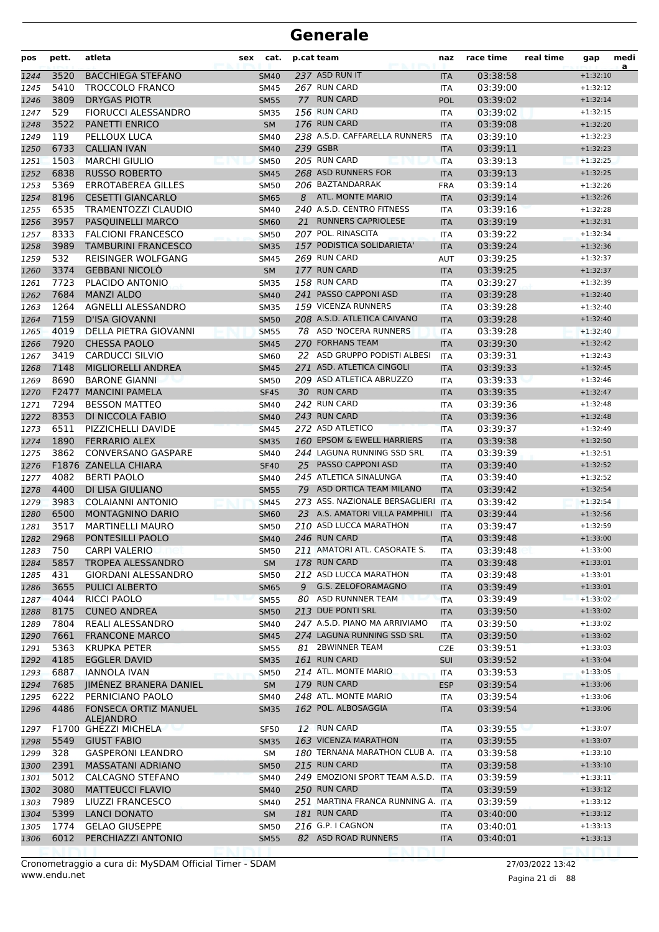| pos          | pett.        | atleta                                           | sex | cat.                       | p.cat team |                                                    | naz               | race time            | real time | gap                      | medi<br>a |
|--------------|--------------|--------------------------------------------------|-----|----------------------------|------------|----------------------------------------------------|-------------------|----------------------|-----------|--------------------------|-----------|
| 1244         | 3520         | <b>BACCHIEGA STEFANO</b>                         |     | <b>SM40</b>                |            | 237 ASD RUN IT                                     | <b>ITA</b>        | 03:38:58             |           | $+1:32:10$               |           |
| 1245         | 5410         | TROCCOLO FRANCO                                  |     | <b>SM45</b>                |            | 267 RUN CARD                                       | <b>ITA</b>        | 03:39:00             |           | $+1:32:12$               |           |
| 1246         | 3809         | <b>DRYGAS PIOTR</b>                              |     | <b>SM55</b>                | 77         | <b>RUN CARD</b>                                    | <b>POL</b>        | 03:39:02             |           | $+1:32:14$               |           |
| 1247         | 529          | <b>FIORUCCI ALESSANDRO</b>                       |     | <b>SM35</b>                |            | 156 RUN CARD                                       | <b>ITA</b>        | 03:39:02             |           | $+1:32:15$               |           |
| 1248         | 3522         | <b>PANETTI ENRICO</b>                            |     | <b>SM</b>                  |            | 176 RUN CARD                                       | <b>ITA</b>        | 03:39:08             |           | $+1:32:20$               |           |
| 1249         | 119          | PELLOUX LUCA                                     |     | <b>SM40</b>                |            | 238 A.S.D. CAFFARELLA RUNNERS                      | ITA               | 03:39:10             |           | $+1:32:23$               |           |
| 1250         | 6733         | <b>CALLIAN IVAN</b>                              |     | <b>SM40</b>                |            | 239 GSBR                                           | <b>ITA</b>        | 03:39:11             |           | $+1:32:23$               |           |
| 1251         | 1503         | <b>MARCHI GIULIO</b>                             |     | <b>SM50</b>                |            | 205 RUN CARD                                       | <b>ITA</b>        | 03:39:13             |           | $+1:32:25$               |           |
| 1252         | 6838         | <b>RUSSO ROBERTO</b>                             |     | <b>SM45</b>                |            | 268 ASD RUNNERS FOR                                | <b>ITA</b>        | 03:39:13             |           | $+1:32:25$               |           |
| 1253         | 5369         | <b>ERROTABEREA GILLES</b>                        |     | <b>SM50</b>                |            | 206 BAZTANDARRAK                                   | <b>FRA</b>        | 03:39:14             |           | $+1:32:26$               |           |
| 1254         | 8196         | <b>CESETTI GIANCARLO</b>                         |     | <b>SM65</b>                | 8          | <b>ATL. MONTE MARIO</b>                            | <b>ITA</b>        | 03:39:14             |           | $+1:32:26$               |           |
| 1255         | 6535         | TRAMENTOZZI CLAUDIO                              |     | <b>SM40</b>                |            | 240 A.S.D. CENTRO FITNESS<br>21 RUNNERS CAPRIOLESE | ITA               | 03:39:16             |           | $+1:32:28$               |           |
| 1256         | 3957         | PASQUINELLI MARCO                                |     | <b>SM60</b>                |            | 207 POL. RINASCITA                                 | <b>ITA</b>        | 03:39:19             |           | $+1:32:31$               |           |
| 1257         | 8333<br>3989 | <b>FALCIONI FRANCESCO</b>                        |     | <b>SM50</b>                |            | 157 PODISTICA SOLIDARIETA'                         | <b>ITA</b>        | 03:39:22             |           | $+1:32:34$               |           |
| 1258         | 532          | <b>TAMBURINI FRANCESCO</b><br>REISINGER WOLFGANG |     | <b>SM35</b>                |            | 269 RUN CARD                                       | <b>ITA</b>        | 03:39:24             |           | $+1:32:36$<br>$+1:32:37$ |           |
| 1259         | 3374         | <b>GEBBANI NICOLO</b>                            |     | <b>SM45</b>                |            | 177 RUN CARD                                       | <b>AUT</b>        | 03:39:25<br>03:39:25 |           | $+1:32:37$               |           |
| 1260         | 7723         | PLACIDO ANTONIO                                  |     | <b>SM</b>                  |            | 158 RUN CARD                                       | <b>ITA</b>        | 03:39:27             |           | $+1:32:39$               |           |
| 1261         | 7684         | <b>MANZI ALDO</b>                                |     | <b>SM35</b><br><b>SM40</b> |            | 241 PASSO CAPPONI ASD                              | ITA<br><b>ITA</b> | 03:39:28             |           | $+1:32:40$               |           |
| 1262<br>1263 | 1264         | AGNELLI ALESSANDRO                               |     | <b>SM35</b>                |            | 159 VICENZA RUNNERS                                | <b>ITA</b>        | 03:39:28             |           | $+1:32:40$               |           |
|              | 7159         | <b>D'ISA GIOVANNI</b>                            |     | <b>SM50</b>                |            | 208 A.S.D. ATLETICA CAIVANO                        | <b>ITA</b>        | 03:39:28             |           | $+1:32:40$               |           |
| 1264         | 4019         | DELLA PIETRA GIOVANNI                            |     | <b>SM55</b>                |            | 78 ASD 'NOCERA RUNNERS                             | <b>ITA</b>        | 03:39:28             |           | $+1:32:40$               |           |
| 1265<br>1266 | 7920         | <b>CHESSA PAOLO</b>                              |     | <b>SM45</b>                |            | 270 FORHANS TEAM                                   | <b>ITA</b>        | 03:39:30             |           | $+1:32:42$               |           |
| 1267         | 3419         | <b>CARDUCCI SILVIO</b>                           |     | <b>SM60</b>                |            | 22 ASD GRUPPO PODISTI ALBESI                       | ITA               | 03:39:31             |           | $+1:32:43$               |           |
| 1268         | 7148         | <b>MIGLIORELLI ANDREA</b>                        |     | <b>SM45</b>                |            | 271 ASD. ATLETICA CINGOLI                          | <b>ITA</b>        | 03:39:33             |           | $+1:32:45$               |           |
| 1269         | 8690         | <b>BARONE GIANNI</b>                             |     | <b>SM50</b>                |            | 209 ASD ATLETICA ABRUZZO                           | <b>ITA</b>        | 03:39:33             |           | $+1:32:46$               |           |
| 1270         | F2477        | <b>MANCINI PAMELA</b>                            |     | <b>SF45</b>                |            | 30 RUN CARD                                        | <b>ITA</b>        | 03:39:35             |           | $+1:32:47$               |           |
| 1271         | 7294         | <b>BESSON MATTEO</b>                             |     | <b>SM40</b>                |            | 242 RUN CARD                                       | <b>ITA</b>        | 03:39:36             |           | $+1:32:48$               |           |
| 1272         | 8353         | DI NICCOLA FABIO                                 |     | <b>SM40</b>                |            | 243 RUN CARD                                       | <b>ITA</b>        | 03:39:36             |           | $+1:32:48$               |           |
| 1273         | 6511         | PIZZICHELLI DAVIDE                               |     | <b>SM45</b>                |            | 272 ASD ATLETICO                                   | <b>ITA</b>        | 03:39:37             |           | $+1:32:49$               |           |
| 1274         | 1890         | <b>FERRARIO ALEX</b>                             |     | <b>SM35</b>                |            | 160 EPSOM & EWELL HARRIERS                         | <b>ITA</b>        | 03:39:38             |           | $+1:32:50$               |           |
| 1275         | 3862         | CONVERSANO GASPARE                               |     | <b>SM40</b>                |            | 244 LAGUNA RUNNING SSD SRL                         | <b>ITA</b>        | 03:39:39             |           | $+1:32:51$               |           |
| 1276         |              | F1876 ZANELLA CHIARA                             |     | <b>SF40</b>                |            | 25 PASSO CAPPONI ASD                               | <b>ITA</b>        | 03:39:40             |           | $+1:32:52$               |           |
| 1277         | 4082         | <b>BERTI PAOLO</b>                               |     | SM40                       |            | 245 ATLETICA SINALUNGA                             | <b>ITA</b>        | 03:39:40             |           | $+1:32:52$               |           |
| 1278         | 4400         | <b>DI LISA GIULIANO</b>                          |     | <b>SM55</b>                |            | 79 ASD ORTICA TEAM MILANO                          | <b>ITA</b>        | 03:39:42             |           | $+1:32:54$               |           |
| 1279         | 3983         | <b>COLAIANNI ANTONIO</b>                         |     | <b>SM45</b>                |            | 273 ASS. NAZIONALE BERSAGLIERI ITA                 |                   | 03:39:42             |           | $+1:32:54$               |           |
| 1280         | 6500         | <b>MONTAGNINO DARIO</b>                          |     | <b>SM60</b>                |            | 23 A.S. AMATORI VILLA PAMPHILI                     | <b>ITA</b>        | 03:39:44             |           | $+1:32:56$               |           |
| 1281         | 3517         | <b>MARTINELLI MAURO</b>                          |     | <b>SM50</b>                |            | 210 ASD LUCCA MARATHON                             | ITA               | 03:39:47             |           | $+1:32:59$               |           |
| 1282         | 2968         | PONTESILLI PAOLO                                 |     | <b>SM40</b>                |            | 246 RUN CARD                                       | <b>ITA</b>        | 03:39:48             |           | $+1:33:00$               |           |
| 1283         | 750          | <b>CARPI VALERIO</b>                             |     | <b>SM50</b>                |            | 211 AMATORI ATL. CASORATE S.                       | <b>ITA</b>        | 03:39:48             |           | $+1:33:00$               |           |
| 1284         | 5857         | TROPEA ALESSANDRO                                |     | SM                         |            | 178 RUN CARD                                       | <b>ITA</b>        | 03:39:48             |           | $+1:33:01$               |           |
| 1285         | 431          | GIORDANI ALESSANDRO                              |     | <b>SM50</b>                |            | 212 ASD LUCCA MARATHON                             | <b>ITA</b>        | 03:39:48             |           | $+1:33:01$               |           |
| 1286         | 3655         | <b>PULICI ALBERTO</b>                            |     | <b>SM65</b>                | 9          | G.S. ZELOFORAMAGNO                                 | <b>ITA</b>        | 03:39:49             |           | $+1:33:01$               |           |
| 1287         | 4044         | <b>RICCI PAOLO</b>                               |     | <b>SM55</b>                |            | 80 ASD RUNNNER TEAM                                | <b>ITA</b>        | 03:39:49             |           | $+1:33:02$               |           |
| 1288         | 8175         | <b>CUNEO ANDREA</b>                              |     | <b>SM50</b>                |            | 213 DUE PONTI SRL                                  | <b>ITA</b>        | 03:39:50             |           | $+1:33:02$               |           |
| 1289         | 7804         | REALI ALESSANDRO                                 |     | SM40                       |            | 247 A.S.D. PIANO MA ARRIVIAMO                      | <b>ITA</b>        | 03:39:50             |           | $+1:33:02$               |           |
| 1290         | 7661         | <b>FRANCONE MARCO</b>                            |     | <b>SM45</b>                |            | 274 LAGUNA RUNNING SSD SRL                         | <b>ITA</b>        | 03:39:50             |           | $+1:33:02$               |           |
| 1291         | 5363         | <b>KRUPKA PETER</b>                              |     | <b>SM55</b>                |            | 81 2BWINNER TEAM                                   | <b>CZE</b>        | 03:39:51             |           | $+1:33:03$               |           |
| 1292         | 4185         | <b>EGGLER DAVID</b>                              |     | <b>SM35</b>                |            | 161 RUN CARD                                       | <b>SUI</b>        | 03:39:52             |           | $+1:33:04$               |           |
| 1293         | 6887         | <b>IANNOLA IVAN</b>                              |     | <b>SM50</b>                |            | 214 ATL. MONTE MARIO                               | ITA               | 03:39:53             |           | $+1:33:05$               |           |
| 1294         | 7685         | JIMÉNEZ BRANERA DANIEL                           |     | <b>SM</b>                  |            | 179 RUN CARD                                       | <b>ESP</b>        | 03:39:54             |           | $+1:33:06$               |           |
| 1295         | 6222         | PERNICIANO PAOLO                                 |     | SM40                       |            | 248 ATL. MONTE MARIO                               | <b>ITA</b>        | 03:39:54             |           | $+1:33:06$               |           |
| 1296         | 4486         | <b>FONSECA ORTIZ MANUEL</b><br><b>ALEJANDRO</b>  |     | <b>SM35</b>                |            | 162 POL. ALBOSAGGIA                                | <b>ITA</b>        | 03:39:54             |           | $+1:33:06$               |           |
| 1297         |              | F1700 GHEZZI MICHELA                             |     | SF50                       |            | 12 RUN CARD                                        | ITA               | 03:39:55             |           | $+1:33:07$               |           |
| 1298         | 5549         | <b>GIUST FABIO</b>                               |     | <b>SM35</b>                |            | 163 VICENZA MARATHON                               | <b>ITA</b>        | 03:39:55             |           | $+1:33:07$               |           |
| 1299         | 328          | <b>GASPERONI LEANDRO</b>                         |     | SM                         |            | 180 TERNANA MARATHON CLUB A. ITA                   |                   | 03:39:58             |           | $+1:33:10$               |           |
| 1300         | 2391         | MASSATANI ADRIANO                                |     | <b>SM50</b>                |            | 215 RUN CARD                                       | <b>ITA</b>        | 03:39:58             |           | $+1:33:10$               |           |
| 1301         | 5012         | CALCAGNO STEFANO                                 |     | <b>SM40</b>                |            | 249 EMOZIONI SPORT TEAM A.S.D. ITA                 |                   | 03:39:59             |           | $+1:33:11$               |           |
| 1302         | 3080         | <b>MATTEUCCI FLAVIO</b>                          |     | <b>SM40</b>                |            | 250 RUN CARD                                       | <b>ITA</b>        | 03:39:59             |           | $+1:33:12$               |           |
| 1303         | 7989         | LIUZZI FRANCESCO                                 |     | SM40                       |            | 251 MARTINA FRANCA RUNNING A. ITA                  |                   | 03:39:59             |           | $+1:33:12$               |           |
| 1304         | 5399         | <b>LANCI DONATO</b>                              |     | <b>SM</b>                  |            | <b>181 RUN CARD</b>                                | <b>ITA</b>        | 03:40:00             |           | $+1:33:12$               |           |
| 1305         | 1774         | <b>GELAO GIUSEPPE</b>                            |     | <b>SM50</b>                |            | 216 G.P. I CAGNON                                  | <b>ITA</b>        | 03:40:01             |           | $+1:33:13$               |           |
| 1306         | 6012         | PERCHIAZZI ANTONIO                               |     | <b>SM55</b>                |            | 82 ASD ROAD RUNNERS                                | <b>ITA</b>        | 03:40:01             |           | $+1:33:13$               |           |
|              |              |                                                  |     |                            |            |                                                    |                   |                      |           |                          |           |

Pagina 21 di 88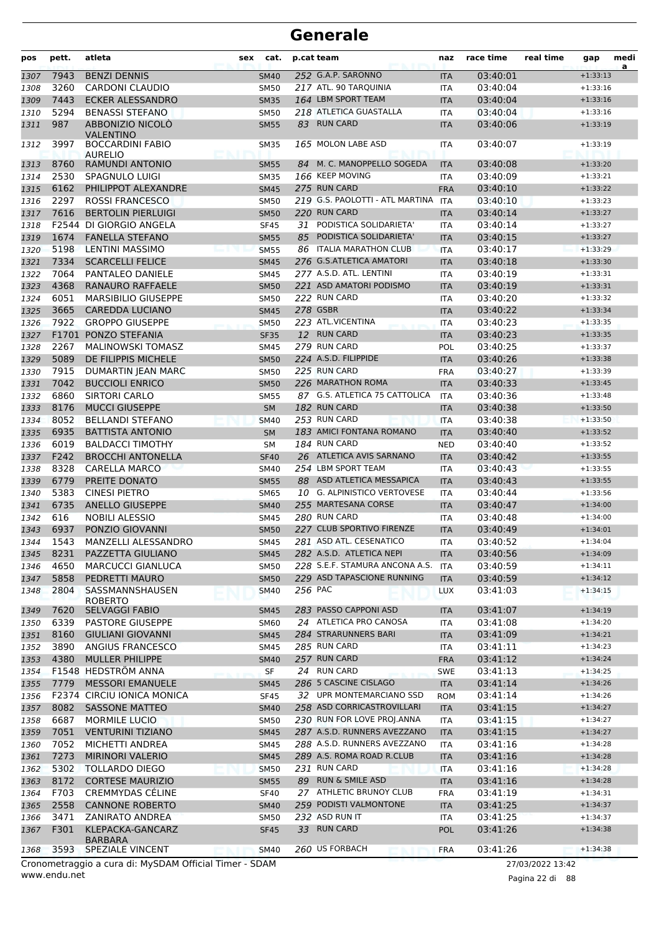| pos          | pett.        | atleta                                               | sex<br>cat.                |         | p.cat team                                          | naz                      | race time            | real time  | gap                      | medi<br>a |
|--------------|--------------|------------------------------------------------------|----------------------------|---------|-----------------------------------------------------|--------------------------|----------------------|------------|--------------------------|-----------|
| 1307         | 7943         | <b>BENZI DENNIS</b>                                  | <b>SM40</b>                |         | 252 G.A.P. SARONNO                                  | <b>ITA</b>               | 03:40:01             |            | $+1:33:13$               |           |
| 1308         | 3260         | <b>CARDONI CLAUDIO</b>                               | <b>SM50</b>                |         | 217 ATL. 90 TARQUINIA                               | <b>ITA</b>               | 03:40:04             |            | $+1:33:16$               |           |
| 1309         | 7443         | <b>ECKER ALESSANDRO</b>                              | <b>SM35</b>                |         | 164 LBM SPORT TEAM                                  | <b>ITA</b>               | 03:40:04             |            | $+1:33:16$               |           |
| 1310         | 5294         | <b>BENASSI STEFANO</b>                               | <b>SM50</b>                |         | 218 ATLETICA GUASTALLA                              | ITA                      | 03:40:04             |            | $+1:33:16$               |           |
| 1311         | 987          | <b>ABBONIZIO NICOLO</b><br><b>VALENTINO</b>          | <b>SM55</b>                | 83      | <b>RUN CARD</b>                                     | <b>ITA</b>               | 03:40:06             |            | $+1:33:19$               |           |
| 1312         | 3997         | <b>BOCCARDINI FABIO</b><br><b>AURELIO</b>            | <b>SM35</b>                |         | 165 MOLON LABE ASD                                  | ITA                      | 03:40:07             |            | $+1:33:19$               |           |
| 1313         | 8760         | <b>RAMUNDI ANTONIO</b>                               | <b>SM55</b>                |         | 84 M. C. MANOPPELLO SOGEDA                          | <b>ITA</b>               | 03:40:08             |            | $+1:33:20$               |           |
| 1314         | 2530         | SPAGNULO LUIGI                                       | <b>SM35</b>                |         | 166 KEEP MOVING                                     | ITA                      | 03:40:09             |            | $+1:33:21$               |           |
| 1315         | 6162         | PHILIPPOT ALEXANDRE                                  | <b>SM45</b>                |         | 275 RUN CARD                                        | <b>FRA</b>               | 03:40:10             |            | $+1:33:22$               |           |
| 1316         | 2297<br>7616 | <b>ROSSI FRANCESCO</b>                               | <b>SM50</b>                |         | 219 G.S. PAOLOTTI - ATL MARTINA ITA<br>220 RUN CARD |                          | 03:40:10             |            | $+1:33:23$               |           |
| 1317<br>1318 | F2544        | <b>BERTOLIN PIERLUIGI</b><br>DI GIORGIO ANGELA       | <b>SM50</b><br><b>SF45</b> | 31      | PODISTICA SOLIDARIETA'                              | <b>ITA</b>               | 03:40:14<br>03:40:14 |            | $+1:33:27$<br>$+1:33:27$ |           |
| 1319         | 1674         | <b>FANELLA STEFANO</b>                               | <b>SM55</b>                | 85      | PODISTICA SOLIDARIETA'                              | ITA<br><b>ITA</b>        | 03:40:15             |            | $+1:33:27$               |           |
| 1320         | 5198         | <b>LENTINI MASSIMO</b>                               | <b>SM55</b>                |         | 86 ITALIA MARATHON CLUB                             | <b>ITA</b>               | 03:40:17             |            | $+1:33:29$               |           |
| 1321         | 7334         | <b>SCARCELLI FELICE</b>                              | <b>SM45</b>                |         | 276 G.S.ATLETICA AMATORI                            | <b>ITA</b>               | 03:40:18             |            | $+1:33:30$               |           |
| 1322         | 7064         | PANTALEO DANIELE                                     | <b>SM45</b>                |         | 277 A.S.D. ATL. LENTINI                             | ITA                      | 03:40:19             |            | $+1:33:31$               |           |
| 1323         | 4368         | <b>RANAURO RAFFAELE</b>                              | <b>SM50</b>                |         | 221 ASD AMATORI PODISMO                             | <b>ITA</b>               | 03:40:19             |            | $+1:33:31$               |           |
| 1324         | 6051         | <b>MARSIBILIO GIUSEPPE</b>                           | <b>SM50</b>                |         | 222 RUN CARD                                        | ITA                      | 03:40:20             |            | $+1:33:32$               |           |
| 1325         | 3665         | <b>CAREDDA LUCIANO</b>                               | <b>SM45</b>                |         | 278 GSBR                                            | <b>ITA</b>               | 03:40:22             |            | $+1:33:34$               |           |
| 1326         | 7922         | <b>GROPPO GIUSEPPE</b>                               | <b>SM50</b>                |         | 223 ATL.VICENTINA                                   | <b>ITA</b>               | 03:40:23             |            | $+1:33:35$               |           |
| 1327         |              | F1701 PONZO STEFANIA                                 | <b>SF35</b>                |         | 12 RUN CARD                                         | <b>ITA</b>               | 03:40:23             |            | $+1:33:35$               |           |
| 1328         | 2267         | <b>MALINOWSKI TOMASZ</b>                             | <b>SM45</b>                |         | 279 RUN CARD                                        | POL                      | 03:40:25             |            | $+1:33:37$               |           |
| 1329         | 5089         | DE FILIPPIS MICHELE                                  | <b>SM50</b>                |         | 224 A.S.D. FILIPPIDE                                | <b>ITA</b>               | 03:40:26             |            | $+1:33:38$               |           |
| 1330         | 7915         | <b>DUMARTIN JEAN MARC</b>                            | <b>SM50</b>                |         | 225 RUN CARD                                        | <b>FRA</b>               | 03:40:27             |            | $+1:33:39$               |           |
| 1331         | 7042         | <b>BUCCIOLI ENRICO</b>                               | <b>SM50</b>                |         | 226 MARATHON ROMA                                   | <b>ITA</b>               | 03:40:33             |            | $+1:33:45$               |           |
| 1332         | 6860         | SIRTORI CARLO                                        | <b>SM55</b>                |         | 87 G.S. ATLETICA 75 CATTOLICA                       | <b>ITA</b>               | 03:40:36             |            | $+1:33:48$               |           |
| 1333         | 8176         | <b>MUCCI GIUSEPPE</b>                                | <b>SM</b>                  |         | 182 RUN CARD                                        | <b>ITA</b>               | 03:40:38             |            | $+1:33:50$               |           |
| 1334         | 8052         | <b>BELLANDI STEFANO</b>                              | <b>SM40</b>                |         | 253 RUN CARD                                        | <b>ITA</b>               | 03:40:38             |            | $+1:33:50$               |           |
| 1335         | 6935         | <b>BATTISTA ANTONIO</b>                              | <b>SM</b>                  |         | 183 AMICI FONTANA ROMANO                            | <b>ITA</b>               | 03:40:40             |            | $+1:33:52$               |           |
| 1336         | 6019         | <b>BALDACCI TIMOTHY</b>                              | SМ                         |         | 184 RUN CARD                                        | <b>NED</b>               | 03:40:40             |            | $+1:33:52$               |           |
| 1337         | F242<br>8328 | <b>BROCCHI ANTONELLA</b><br><b>CARELLA MARCO</b>     | <b>SF40</b>                |         | 26 ATLETICA AVIS SARNANO<br>254 LBM SPORT TEAM      | <b>ITA</b>               | 03:40:42<br>03:40:43 |            | $+1:33:55$<br>$+1:33:55$ |           |
| 1338<br>1339 | 6779         | PREITE DONATO                                        | <b>SM40</b><br><b>SM55</b> |         | 88 ASD ATLETICA MESSAPICA                           | <b>ITA</b><br><b>ITA</b> | 03:40:43             |            | $+1:33:55$               |           |
| 1340         | 5383         | <b>CINESI PIETRO</b>                                 | <b>SM65</b>                |         | 10 G. ALPINISTICO VERTOVESE                         | ITA                      | 03:40:44             |            | $+1:33:56$               |           |
| 1341         | 6735         | <b>ANELLO GIUSEPPE</b>                               | <b>SM40</b>                |         | 255 MARTESANA CORSE                                 | <b>ITA</b>               | 03:40:47             |            | $+1:34:00$               |           |
| 1342         | 616          | <b>NOBILI ALESSIO</b>                                | <b>SM45</b>                |         | 280 RUN CARD                                        | ITA                      | 03:40:48             |            | $+1:34:00$               |           |
| 1343         | 6937         | PONZIO GIOVANNI                                      | <b>SM50</b>                |         | 227 CLUB SPORTIVO FIRENZE                           | <b>ITA</b>               | 03:40:49             |            | $+1:34:01$               |           |
| 1344         | 1543         | MANZELLI ALESSANDRO                                  | <b>SM45</b>                |         | 281 ASD ATL. CESENATICO                             | ITA                      | 03:40:52             |            | $+1:34:04$               |           |
| 1345         | 8231         | PAZZETTA GIULIANO                                    | <b>SM45</b>                |         | 282 A.S.D. ATLETICA NEPI                            | <b>ITA</b>               | 03:40:56             |            | $+1:34:09$               |           |
| 1346         | 4650         | <b>MARCUCCI GIANLUCA</b>                             | <b>SM50</b>                |         | 228 S.E.F. STAMURA ANCONA A.S.                      | <b>ITA</b>               | 03:40:59             |            | $+1:34:11$               |           |
| 1347         | 5858         | PEDRETTI MAURO                                       | <b>SM50</b>                |         | 229 ASD TAPASCIONE RUNNING                          | <b>ITA</b>               | 03:40:59             |            | $+1:34:12$               |           |
| 1348         | 2804         | SASSMANNSHAUSEN<br><b>ROBERTO</b>                    | <b>SM40</b>                | 256 PAC |                                                     | <b>LUX</b>               | 03:41:03             |            | $+1:34:15$               |           |
| 1349         | 7620         | SELVAGGI FABIO                                       | <b>SM45</b>                |         | 283 PASSO CAPPONI ASD                               | <b>ITA</b>               | 03:41:07             |            | $+1:34:19$               |           |
| 1350         | 6339         | PASTORE GIUSEPPE                                     | <b>SM60</b>                |         | 24 ATLETICA PRO CANOSA                              | <b>ITA</b>               | 03:41:08             |            | $+1:34:20$               |           |
| 1351         | 8160         | <b>GIULIANI GIOVANNI</b>                             | <b>SM45</b>                |         | 284 STRARUNNERS BARI                                | <b>ITA</b>               | 03:41:09             |            | $+1:34:21$               |           |
| 1352         | 3890         | ANGIUS FRANCESCO                                     | <b>SM45</b>                |         | 285 RUN CARD                                        | <b>ITA</b>               | 03:41:11             |            | $+1:34:23$               |           |
| 1353         | 4380         | <b>MULLER PHILIPPE</b><br>F1548 HEDSTRÖM ANNA        | <b>SM40</b>                |         | 257 RUN CARD<br>24 RUN CARD                         | <b>FRA</b>               | 03:41:12             |            | $+1:34:24$<br>$+1:34:25$ |           |
| 1354         | 7779         | <b>MESSORI EMANUELE</b>                              | SF                         |         | 286 5 CASCINE CISLAGO                               | SWE                      | 03:41:13<br>03:41:14 |            | $+1:34:26$               |           |
| 1355<br>1356 |              | F2374 CIRCIU IONICA MONICA                           | <b>SM45</b><br><b>SF45</b> |         | 32 UPR MONTEMARCIANO SSD                            | <b>ITA</b><br><b>ROM</b> | 03:41:14             |            | $+1:34:26$               |           |
| 1357         | 8082         | <b>SASSONE MATTEO</b>                                | <b>SM40</b>                |         | 258 ASD CORRICASTROVILLARI                          | <b>ITA</b>               | 03:41:15             |            | $+1:34:27$               |           |
| 1358         | 6687         | <b>MORMILE LUCIO</b>                                 | <b>SM50</b>                |         | 230 RUN FOR LOVE PROJ.ANNA                          | <b>ITA</b>               | 03:41:15             |            | $+1:34:27$               |           |
| 1359         | 7051         | <b>VENTURINI TIZIANO</b>                             | <b>SM45</b>                |         | 287 A.S.D. RUNNERS AVEZZANO                         | <b>ITA</b>               | 03:41:15             |            | $+1:34:27$               |           |
| 1360         | 7052         | MICHETTI ANDREA                                      | <b>SM45</b>                |         | 288 A.S.D. RUNNERS AVEZZANO                         | <b>ITA</b>               | 03:41:16             |            | $+1:34:28$               |           |
| 1361         | 7273         | <b>MIRINORI VALERIO</b>                              | <b>SM45</b>                |         | 289 A.S. ROMA ROAD R.CLUB                           | <b>ITA</b>               | 03:41:16             |            | $+1:34:28$               |           |
| 1362         | 5302         | <b>TOLLARDO DIEGO</b>                                | <b>SM50</b>                |         | 231 RUN CARD                                        | <b>ITA</b>               | 03:41:16             |            | $+1:34:28$               |           |
| 1363         | 8172         | <b>CORTESE MAURIZIO</b>                              | <b>SM55</b>                |         | 89 RUN & SMILE ASD                                  | <b>ITA</b>               | 03:41:16             |            | $+1:34:28$               |           |
| 1364         | F703         | <b>CREMMYDAS CÉLINE</b>                              | <b>SF40</b>                |         | 27 ATHLETIC BRUNOY CLUB                             | <b>FRA</b>               | 03:41:19             |            | $+1:34:31$               |           |
| 1365         | 2558         | <b>CANNONE ROBERTO</b>                               | <b>SM40</b>                |         | 259 PODISTI VALMONTONE                              | <b>ITA</b>               | 03:41:25             |            | $+1:34:37$               |           |
| 1366         | 3471         | <b>ZANIRATO ANDREA</b>                               | <b>SM50</b>                |         | 232 ASD RUN IT                                      | ITA                      | 03:41:25             |            | $+1:34:37$               |           |
| 1367         | F301         | KLEPACKA-GANCARZ                                     | <b>SF45</b>                |         | 33 RUN CARD                                         | <b>POL</b>               | 03:41:26             |            | $+1:34:38$               |           |
| 1368         | 3593         | <b>BARBARA</b><br>SPEZIALE VINCENT                   | <b>SM40</b>                |         | 260 US FORBACH                                      | <b>FRA</b>               | 03:41:26             |            | $+1:34:38$               |           |
|              |              | Cropomotraggio a cura di: MyCDAM Official Timor CDAM |                            |         |                                                     |                          |                      | 27/2222222 |                          |           |

www.endu.net Cronometraggio a cura di: MySDAM Official Timer - SDAM 27/03/2022 13:42

Pagina 22 di 88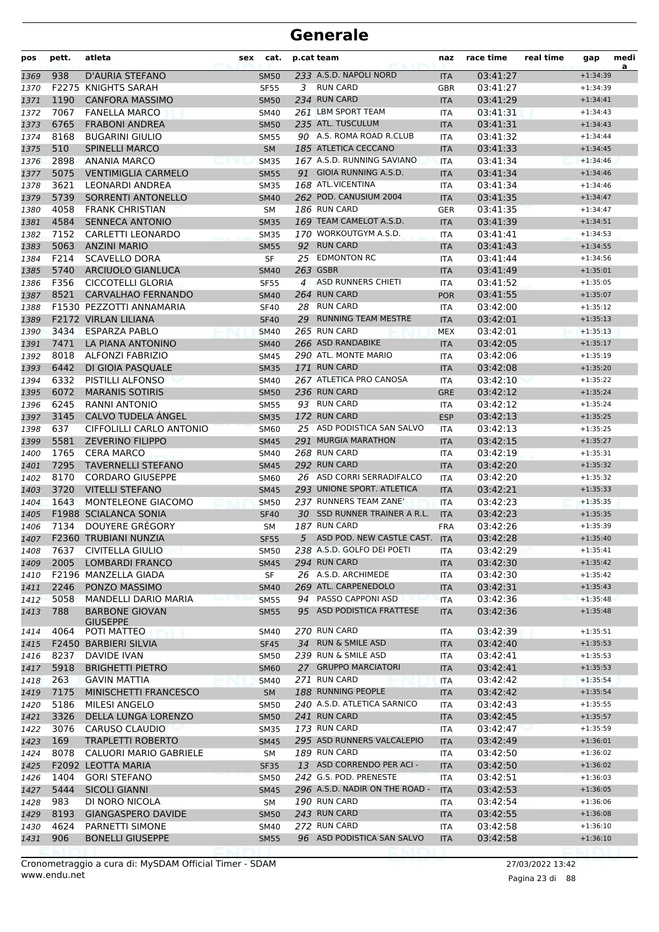| pos  | pett. | atleta                                   | sex | cat.        | p.cat team |                                | naz        | race time | real time | gap        | medi |
|------|-------|------------------------------------------|-----|-------------|------------|--------------------------------|------------|-----------|-----------|------------|------|
| 1369 | 938   | D'AURIA STEFANO                          |     | <b>SM50</b> |            | 233 A.S.D. NAPOLI NORD         | <b>ITA</b> | 03:41:27  |           | $+1:34:39$ | a    |
| 1370 |       | F2275 KNIGHTS SARAH                      |     | <b>SF55</b> | 3          | <b>RUN CARD</b>                | <b>GBR</b> | 03:41:27  |           | $+1:34:39$ |      |
| 1371 | 1190  | <b>CANFORA MASSIMO</b>                   |     | <b>SM50</b> |            | 234 RUN CARD                   | <b>ITA</b> | 03:41:29  |           | $+1:34:41$ |      |
| 1372 | 7067  | <b>FANELLA MARCO</b>                     |     | <b>SM40</b> |            | 261 LBM SPORT TEAM             | <b>ITA</b> | 03:41:31  |           | $+1:34:43$ |      |
| 1373 | 6765  | <b>FRABONI ANDREA</b>                    |     | <b>SM50</b> |            | 235 ATL. TUSCULUM              | <b>ITA</b> | 03:41:31  |           | $+1:34:43$ |      |
| 1374 | 8168  | <b>BUGARINI GIULIO</b>                   |     | <b>SM55</b> |            | 90 A.S. ROMA ROAD R.CLUB       | ITA        | 03:41:32  |           | $+1:34:44$ |      |
| 1375 | 510   | <b>SPINELLI MARCO</b>                    |     | <b>SM</b>   |            | 185 ATLETICA CECCANO           | <b>ITA</b> | 03:41:33  |           | $+1:34:45$ |      |
| 1376 | 2898  | <b>ANANIA MARCO</b>                      |     | <b>SM35</b> |            | 167 A.S.D. RUNNING SAVIANO     | <b>ITA</b> | 03:41:34  |           | $+1:34:46$ |      |
| 1377 | 5075  | <b>VENTIMIGLIA CARMELO</b>               |     | <b>SM55</b> |            | 91 GIOIA RUNNING A.S.D.        | <b>ITA</b> | 03:41:34  |           | $+1:34:46$ |      |
| 1378 | 3621  | <b>LEONARDI ANDREA</b>                   |     | <b>SM35</b> |            | 168 ATL.VICENTINA              | <b>ITA</b> | 03:41:34  |           | $+1:34:46$ |      |
| 1379 | 5739  | <b>SORRENTI ANTONELLO</b>                |     | <b>SM40</b> |            | 262 POD. CANUSIUM 2004         | <b>ITA</b> | 03:41:35  |           | $+1:34:47$ |      |
| 1380 | 4058  | <b>FRANK CHRISTIAN</b>                   |     | SM          |            | 186 RUN CARD                   | <b>GER</b> | 03:41:35  |           | $+1:34:47$ |      |
| 1381 | 4584  | <b>SENNECA ANTONIO</b>                   |     | <b>SM35</b> |            | 169 TEAM CAMELOT A.S.D.        | <b>ITA</b> | 03:41:39  |           | $+1:34:51$ |      |
| 1382 | 7152  | <b>CARLETTI LEONARDO</b>                 |     | <b>SM35</b> |            | 170 WORKOUTGYM A.S.D.          | <b>ITA</b> | 03:41:41  |           | $+1:34:53$ |      |
| 1383 | 5063  | <b>ANZINI MARIO</b>                      |     | <b>SM55</b> |            | 92 RUN CARD                    | <b>ITA</b> | 03:41:43  |           | $+1:34:55$ |      |
| 1384 | F214  | <b>SCAVELLO DORA</b>                     |     | <b>SF</b>   |            | 25 EDMONTON RC                 | <b>ITA</b> | 03:41:44  |           | $+1:34:56$ |      |
| 1385 | 5740  | <b>ARCIUOLO GIANLUCA</b>                 |     | <b>SM40</b> |            | 263 GSBR                       | <b>ITA</b> | 03:41:49  |           | $+1:35:01$ |      |
| 1386 | F356  | <b>CICCOTELLI GLORIA</b>                 |     | <b>SF55</b> |            | 4 ASD RUNNERS CHIETI           | <b>ITA</b> | 03:41:52  |           | $+1:35:05$ |      |
| 1387 | 8521  | <b>CARVALHAO FERNANDO</b>                |     | <b>SM40</b> |            | 264 RUN CARD                   | <b>POR</b> | 03:41:55  |           | $+1:35:07$ |      |
| 1388 |       | F1530 PEZZOTTI ANNAMARIA                 |     | <b>SF40</b> |            | 28 RUN CARD                    | ITA        | 03:42:00  |           | $+1:35:12$ |      |
| 1389 |       | F2172 VIRLAN LILIANA                     |     | <b>SF40</b> | 29         | <b>RUNNING TEAM MESTRE</b>     | <b>ITA</b> | 03:42:01  |           | $+1:35:13$ |      |
| 1390 | 3434  | <b>ESPARZA PABLO</b>                     |     | <b>SM40</b> |            | 265 RUN CARD                   | <b>MEX</b> | 03:42:01  |           | $+1:35:13$ |      |
| 1391 | 7471  | LA PIANA ANTONINO                        |     | <b>SM40</b> |            | 266 ASD RANDABIKE              | <b>ITA</b> | 03:42:05  |           | $+1:35:17$ |      |
| 1392 | 8018  | <b>ALFONZI FABRIZIO</b>                  |     | <b>SM45</b> |            | 290 ATL. MONTE MARIO           | <b>ITA</b> | 03:42:06  |           | $+1:35:19$ |      |
| 1393 | 6442  | DI GIOIA PASQUALE                        |     | <b>SM35</b> |            | 171 RUN CARD                   | <b>ITA</b> | 03:42:08  |           | $+1:35:20$ |      |
| 1394 | 6332  | PISTILLI ALFONSO                         |     | <b>SM40</b> |            | 267 ATLETICA PRO CANOSA        | ITA        | 03:42:10  |           | $+1:35:22$ |      |
| 1395 | 6072  | <b>MARANIS SOTIRIS</b>                   |     | <b>SM50</b> |            | 236 RUN CARD                   | <b>GRE</b> | 03:42:12  |           | $+1:35:24$ |      |
| 1396 | 6245  | RANNI ANTONIO                            |     | <b>SM55</b> |            | 93 RUN CARD                    | ITA        | 03:42:12  |           | $+1:35:24$ |      |
| 1397 | 3145  | <b>CALVO TUDELA ANGEL</b>                |     | <b>SM35</b> |            | 172 RUN CARD                   | <b>ESP</b> | 03:42:13  |           | $+1:35:25$ |      |
| 1398 | 637   | CIFFOLILLI CARLO ANTONIO                 |     | <b>SM60</b> |            | 25 ASD PODISTICA SAN SALVO     | <b>ITA</b> | 03:42:13  |           | $+1:35:25$ |      |
| 1399 | 5581  | <b>ZEVERINO FILIPPO</b>                  |     | <b>SM45</b> |            | 291 MURGIA MARATHON            | <b>ITA</b> | 03:42:15  |           | $+1:35:27$ |      |
| 1400 | 1765  | <b>CERA MARCO</b>                        |     | <b>SM40</b> |            | 268 RUN CARD                   | ITA        | 03:42:19  |           | $+1:35:31$ |      |
| 1401 | 7295  | <b>TAVERNELLI STEFANO</b>                |     | <b>SM45</b> |            | 292 RUN CARD                   | <b>ITA</b> | 03:42:20  |           | $+1:35:32$ |      |
| 1402 | 8170  | <b>CORDARO GIUSEPPE</b>                  |     | <b>SM60</b> |            | 26 ASD CORRI SERRADIFALCO      | <b>ITA</b> | 03:42:20  |           | $+1:35:32$ |      |
| 1403 | 3720  | <b>VITELLI STEFANO</b>                   |     | <b>SM45</b> |            | 293 UNIONE SPORT. ATLETICA     | <b>ITA</b> | 03:42:21  |           | $+1:35:33$ |      |
| 1404 | 1643  | MONTELEONE GIACOMO                       |     | <b>SM50</b> |            | 237 RUNNERS TEAM ZANE'         | <b>ITA</b> | 03:42:23  |           | $+1:35:35$ |      |
| 1405 |       | <b>F1988 SCIALANCA SONIA</b>             |     | <b>SF40</b> |            | 30 SSD RUNNER TRAINER A R.L.   | <b>ITA</b> | 03:42:23  |           | $+1:35:35$ |      |
| 1406 | 7134  | DOUYERE GRÉGORY                          |     | SM          |            | 187 RUN CARD                   | <b>FRA</b> | 03:42:26  |           | $+1:35:39$ |      |
| 1407 |       | F2360 TRUBIANI NUNZIA                    |     | <b>SF55</b> | 5          | ASD POD. NEW CASTLE CAST.      | <b>ITA</b> | 03:42:28  |           | $+1:35:40$ |      |
| 1408 | 7637  | <b>CIVITELLA GIULIO</b>                  |     | <b>SM50</b> |            | 238 A.S.D. GOLFO DEI POETI     | ITA        | 03:42:29  |           | $+1:35:41$ |      |
| 1409 | 2005  | <b>LOMBARDI FRANCO</b>                   |     | <b>SM45</b> |            | 294 RUN CARD                   | <b>ITA</b> | 03:42:30  |           | $+1:35:42$ |      |
| 1410 |       | F2196 MANZELLA GIADA                     |     | SF          |            | 26 A.S.D. ARCHIMEDE            | <b>ITA</b> | 03:42:30  |           | $+1:35:42$ |      |
| 1411 | 2246  | PONZO MASSIMO                            |     | <b>SM40</b> |            | 269 ATL. CARPENEDOLO           | <b>ITA</b> | 03:42:31  |           | $+1:35:43$ |      |
| 1412 | 5058  | MANDELLI DARIO MARIA                     |     | <b>SM55</b> |            | 94 PASSO CAPPONI ASD           | <b>ITA</b> | 03:42:36  |           | $+1:35:48$ |      |
| 1413 | 788   | <b>BARBONE GIOVAN</b><br><b>GIUSEPPE</b> |     | <b>SM55</b> |            | 95 ASD PODISTICA FRATTESE      | <b>ITA</b> | 03:42:36  |           | $+1:35:48$ |      |
| 1414 | 4064  | POTI MATTEO                              |     | SM40        |            | 270 RUN CARD                   | ITA        | 03:42:39  |           | $+1:35:51$ |      |
| 1415 |       | F2450 BARBIERI SILVIA                    |     | <b>SF45</b> |            | 34 RUN & SMILE ASD             | <b>ITA</b> | 03:42:40  |           | $+1:35:53$ |      |
| 1416 | 8237  | DAVIDE IVAN                              |     | <b>SM50</b> |            | 239 RUN & SMILE ASD            | ITA        | 03:42:41  |           | $+1:35:53$ |      |
| 1417 | 5918  | <b>BRIGHETTI PIETRO</b>                  |     | <b>SM60</b> |            | 27 GRUPPO MARCIATORI           | <b>ITA</b> | 03:42:41  |           | $+1:35:53$ |      |
| 1418 | 263   | <b>GAVIN MATTIA</b>                      |     | <b>SM40</b> |            | 271 RUN CARD                   | <b>ITA</b> | 03:42:42  |           | $+1:35:54$ |      |
| 1419 | 7175  | MINISCHETTI FRANCESCO                    |     | <b>SM</b>   |            | 188 RUNNING PEOPLE             | <b>ITA</b> | 03:42:42  |           | $+1:35:54$ |      |
| 1420 | 5186  | MILESI ANGELO                            |     | <b>SM50</b> |            | 240 A.S.D. ATLETICA SARNICO    | ITA        | 03:42:43  |           | $+1:35:55$ |      |
| 1421 | 3326  | DELLA LUNGA LORENZO                      |     | <b>SM50</b> |            | 241 RUN CARD                   | <b>ITA</b> | 03:42:45  |           | $+1:35:57$ |      |
| 1422 | 3076  | CARUSO CLAUDIO                           |     | <b>SM35</b> |            | 173 RUN CARD                   | ITA        | 03:42:47  |           | $+1:35:59$ |      |
| 1423 | 169   | TRAPLETTI ROBERTO                        |     | <b>SM45</b> |            | 295 ASD RUNNERS VALCALEPIO     | <b>ITA</b> | 03:42:49  |           | $+1:36:01$ |      |
| 1424 | 8078  | <b>CALUORI MARIO GABRIELE</b>            |     | SM          |            | 189 RUN CARD                   | <b>ITA</b> | 03:42:50  |           | $+1:36:02$ |      |
| 1425 |       | F2092 LEOTTA MARIA                       |     | SF35        |            | 13 ASD CORRENDO PER ACI -      | <b>ITA</b> | 03:42:50  |           | $+1:36:02$ |      |
| 1426 | 1404  | <b>GORI STEFANO</b>                      |     | <b>SM50</b> |            | 242 G.S. POD. PRENESTE         | ITA        | 03:42:51  |           | $+1:36:03$ |      |
| 1427 | 5444  | SICOLI GIANNI                            |     | <b>SM45</b> |            | 296 A.S.D. NADIR ON THE ROAD - | <b>ITA</b> | 03:42:53  |           | $+1:36:05$ |      |
| 1428 | 983   | DI NORO NICOLA                           |     | SM          |            | 190 RUN CARD                   | ITA        | 03:42:54  |           | $+1:36:06$ |      |
| 1429 | 8193  | <b>GIANGASPERO DAVIDE</b>                |     | <b>SM50</b> |            | 243 RUN CARD                   | <b>ITA</b> | 03:42:55  |           | $+1:36:08$ |      |
| 1430 | 4624  | PARNETTI SIMONE                          |     | <b>SM40</b> |            | 272 RUN CARD                   | ITA        | 03:42:58  |           | $+1:36:10$ |      |
| 1431 | 906   | <b>BONELLI GIUSEPPE</b>                  |     | <b>SM55</b> |            | 96 ASD PODISTICA SAN SALVO     | <b>ITA</b> | 03:42:58  |           | $+1:36:10$ |      |
|      |       |                                          |     |             |            |                                |            |           |           |            |      |

www.endu.net Cronometraggio a cura di: MySDAM Official Timer - SDAM 27/03/2022 13:42

Pagina 23 di 88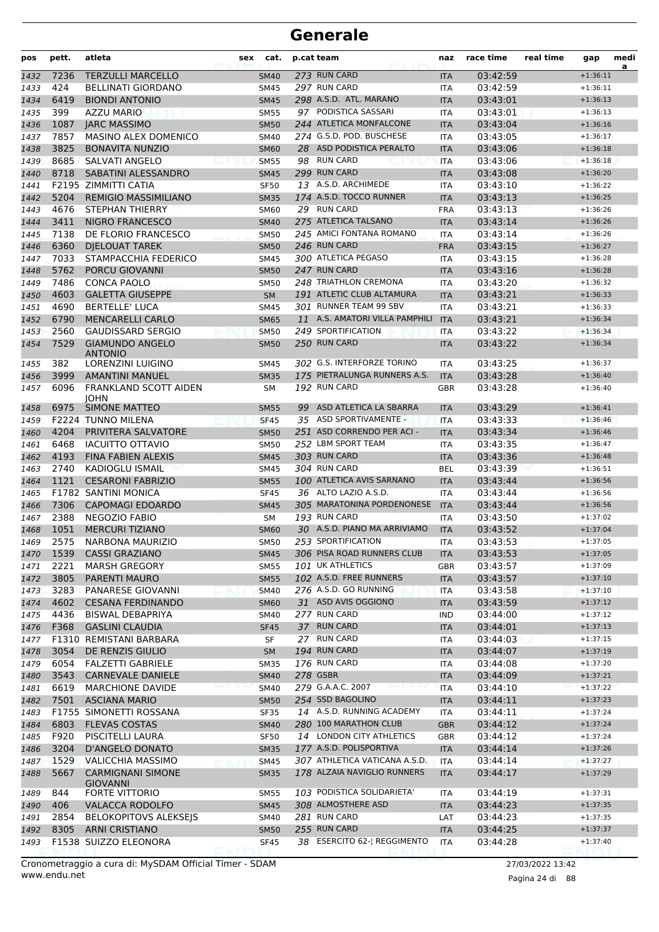| pos          | pett.        | atleta                                         | sex | cat.                       | p.cat team                                     | naz                      | race time            | real time | gap                      | medi<br>a |
|--------------|--------------|------------------------------------------------|-----|----------------------------|------------------------------------------------|--------------------------|----------------------|-----------|--------------------------|-----------|
| 1432         | 7236         | <b>TERZULLI MARCELLO</b>                       |     | <b>SM40</b>                | 273 RUN CARD                                   | <b>ITA</b>               | 03:42:59             |           | $+1:36:11$               |           |
| 1433         | 424          | <b>BELLINATI GIORDANO</b>                      |     | <b>SM45</b>                | 297 RUN CARD                                   | <b>ITA</b>               | 03:42:59             |           | $+1:36:11$               |           |
| 1434         | 6419         | <b>BIONDI ANTONIO</b>                          |     | <b>SM45</b>                | 298 A.S.D. ATL. MARANO                         | <b>ITA</b>               | 03:43:01             |           | $+1:36:13$               |           |
| 1435         | 399          | <b>AZZU MARIO</b>                              |     | <b>SM55</b>                | 97 PODISTICA SASSARI                           | <b>ITA</b>               | 03:43:01             |           | $+1:36:13$               |           |
| 1436         | 1087         | <b>IARC MASSIMO</b>                            |     | <b>SM50</b>                | 244 ATLETICA MONFALCONE                        | <b>ITA</b>               | 03:43:04             |           | $+1:36:16$               |           |
| 1437         | 7857         | <b>MASINO ALEX DOMENICO</b>                    |     | <b>SM40</b>                | 274 G.S.D. POD. BUSCHESE                       | <b>ITA</b>               | 03:43:05             |           | $+1:36:17$               |           |
| 1438         | 3825         | <b>BONAVITA NUNZIO</b>                         |     | <b>SM60</b>                | 28 ASD PODISTICA PERALTO                       | <b>ITA</b>               | 03:43:06             |           | $+1:36:18$               |           |
| 1439         | 8685         | SALVATI ANGELO                                 |     | <b>SM55</b>                | 98 RUN CARD                                    | <b>ITA</b>               | 03:43:06             |           | $+1:36:18$               |           |
| 1440         | 8718         | SABATINI ALESSANDRO                            |     | <b>SM45</b>                | 299 RUN CARD                                   | <b>ITA</b>               | 03:43:08             |           | $+1:36:20$               |           |
| 1441         |              | <b>F2195 ZIMMITTI CATIA</b>                    |     | <b>SF50</b>                | 13 A.S.D. ARCHIMEDE<br>174 A.S.D. TOCCO RUNNER | <b>ITA</b>               | 03:43:10<br>03:43:13 |           | $+1:36:22$               |           |
| 1442<br>1443 | 5204<br>4676 | <b>REMIGIO MASSIMILIANO</b><br>STEPHAN THIERRY |     | <b>SM35</b><br><b>SM60</b> | 29 RUN CARD                                    | <b>ITA</b><br><b>FRA</b> | 03:43:13             |           | $+1:36:25$<br>$+1:36:26$ |           |
| 1444         | 3411         | <b>NIGRO FRANCESCO</b>                         |     | <b>SM40</b>                | 275 ATLETICA TALSANO                           | <b>ITA</b>               | 03:43:14             |           | $+1:36:26$               |           |
| 1445         | 7138         | DE FLORIO FRANCESCO                            |     | <b>SM50</b>                | 245 AMICI FONTANA ROMANO                       | <b>ITA</b>               | 03:43:14             |           | $+1:36:26$               |           |
| 1446         | 6360         | <b>DIELOUAT TAREK</b>                          |     | <b>SM50</b>                | 246 RUN CARD                                   | <b>FRA</b>               | 03:43:15             |           | $+1:36:27$               |           |
| 1447         | 7033         | STAMPACCHIA FEDERICO                           |     | SM45                       | 300 ATLETICA PEGASO                            | ITA                      | 03:43:15             |           | $+1:36:28$               |           |
| 1448         | 5762         | PORCU GIOVANNI                                 |     | <b>SM50</b>                | 247 RUN CARD                                   | <b>ITA</b>               | 03:43:16             |           | $+1:36:28$               |           |
| 1449         | 7486         | CONCA PAOLO                                    |     | <b>SM50</b>                | 248 TRIATHLON CREMONA                          | <b>ITA</b>               | 03:43:20             |           | $+1:36:32$               |           |
| 1450         | 4603         | <b>GALETTA GIUSEPPE</b>                        |     | <b>SM</b>                  | 191 ATLETIC CLUB ALTAMURA                      | <b>ITA</b>               | 03:43:21             |           | $+1:36:33$               |           |
| 1451         | 4690         | <b>BERTELLE' LUCA</b>                          |     | <b>SM45</b>                | 301 RUNNER TEAM 99 SBV                         | <b>ITA</b>               | 03:43:21             |           | $+1:36:33$               |           |
| 1452         | 6790         | <b>MENCARELLI CARLO</b>                        |     | <b>SM65</b>                | 11 A.S. AMATORI VILLA PAMPHILI                 | <b>ITA</b>               | 03:43:21             |           | $+1:36:34$               |           |
| 1453         | 2560         | <b>GAUDISSARD SERGIO</b>                       |     | <b>SM50</b>                | 249 SPORTIFICATION                             | <b>ITA</b>               | 03:43:22             |           | $+1:36:34$               |           |
| 1454         | 7529         | <b>GIAMUNDO ANGELO</b>                         |     | <b>SM50</b>                | 250 RUN CARD                                   | <b>ITA</b>               | 03:43:22             |           | $+1:36:34$               |           |
|              |              | <b>ANTONIO</b>                                 |     |                            |                                                |                          |                      |           |                          |           |
| 1455         | 382          | LORENZINI LUIGINO                              |     | <b>SM45</b>                | 302 G.S. INTERFORZE TORINO                     | <b>ITA</b>               | 03:43:25             |           | $+1:36:37$               |           |
| 1456         | 3999         | <b>AMANTINI MANUEL</b>                         |     | <b>SM35</b>                | 175 PIETRALUNGA RUNNERS A.S.                   | <b>ITA</b>               | 03:43:28             |           | $+1:36:40$               |           |
| 1457         | 6096         | FRANKLAND SCOTT AIDEN<br><b>IOHN</b>           |     | SΜ                         | 192 RUN CARD                                   | GBR                      | 03:43:28             |           | $+1:36:40$               |           |
| 1458         | 6975         | <b>SIMONE MATTEO</b>                           |     | <b>SM55</b>                | 99 ASD ATLETICA LA SBARRA                      | <b>ITA</b>               | 03:43:29             |           | $+1:36:41$               |           |
| 1459         |              | <b>F2224 TUNNO MILENA</b>                      |     | <b>SF45</b>                | 35 ASD SPORTIVAMENTE -                         | <b>ITA</b>               | 03:43:33             |           | $+1:36:46$               |           |
| 1460         | 4204         | PRIVITERA SALVATORE                            |     | <b>SM50</b>                | 251 ASD CORRENDO PER ACI -                     | <b>ITA</b>               | 03:43:34             |           | $+1:36:46$               |           |
| 1461         | 6468         | <b>IACUITTO OTTAVIO</b>                        |     | <b>SM50</b>                | 252 LBM SPORT TEAM                             | ITA                      | 03:43:35             |           | $+1:36:47$               |           |
| 1462         | 4193         | <b>FINA FABIEN ALEXIS</b>                      |     | <b>SM45</b>                | 303 RUN CARD                                   | <b>ITA</b>               | 03:43:36             |           | $+1:36:48$               |           |
| 1463         | 2740         | KADIOGLU ISMAIL                                |     | <b>SM45</b>                | 304 RUN CARD                                   | <b>BEL</b>               | 03:43:39             |           | $+1:36:51$               |           |
| 1464         | 1121         | <b>CESARONI FABRIZIO</b>                       |     | <b>SM55</b>                | 100 ATLETICA AVIS SARNANO                      | <b>ITA</b>               | 03:43:44             |           | $+1:36:56$               |           |
| 1465         |              | <b>F1782 SANTINI MONICA</b>                    |     | <b>SF45</b>                | 36 ALTO LAZIO A.S.D.                           | ITA                      | 03:43:44             |           | $+1:36:56$               |           |
| 1466         | 7306         | <b>CAPOMAGI EDOARDO</b>                        |     | <b>SM45</b>                | 305 MARATONINA PORDENONESE<br>193 RUN CARD     | <b>ITA</b>               | 03:43:44             |           | $+1:36:56$               |           |
| 1467         | 2388<br>1051 | <b>NEGOZIO FABIO</b><br><b>MERCURI TIZIANO</b> |     | <b>SM</b>                  | 30 A.S.D. PIANO MA ARRIVIAMO                   | <b>ITA</b>               | 03:43:50<br>03:43:52 |           | $+1:37:02$<br>$+1:37:04$ |           |
| 1468         | 2575         | <b>NARBONA MAURIZIO</b>                        |     | <b>SM60</b><br><b>SM50</b> | 253 SPORTIFICATION                             | <b>ITA</b>               | 03:43:53             |           | $+1:37:05$               |           |
| 1469<br>1470 | 1539         | <b>CASSI GRAZIANO</b>                          |     | <b>SM45</b>                | 306 PISA ROAD RUNNERS CLUB                     | <b>ITA</b><br><b>ITA</b> | 03:43:53             |           | $+1:37:05$               |           |
| 1471         | 2221         | <b>MARSH GREGORY</b>                           |     | <b>SM55</b>                | 101 UK ATHLETICS                               | <b>GBR</b>               | 03:43:57             |           | $+1:37:09$               |           |
| 1472         | 3805         | <b>PARENTI MAURO</b>                           |     | <b>SM55</b>                | 102 A.S.D. FREE RUNNERS                        | <b>ITA</b>               | 03:43:57             |           | $+1:37:10$               |           |
| 1473         | 3283         | PANARESE GIOVANNI                              |     | <b>SM40</b>                | 276 A.S.D. GO RUNNING                          | ITA                      | 03:43:58             |           | $+1:37:10$               |           |
| 1474         | 4602         | <b>CESANA FERDINANDO</b>                       |     | <b>SM60</b>                | 31 ASD AVIS OGGIONO                            | <b>ITA</b>               | 03:43:59             |           | $+1:37:12$               |           |
| 1475         | 4436         | BISWAL DEBAPRIYA                               |     | SM40                       | 277 RUN CARD                                   | <b>IND</b>               | 03:44:00             |           | $+1:37:12$               |           |
| 1476         | F368         | <b>GASLINI CLAUDIA</b>                         |     | <b>SF45</b>                | 37 RUN CARD                                    | <b>ITA</b>               | 03:44:01             |           | $+1:37:13$               |           |
| 1477         |              | F1310 REMISTANI BARBARA                        |     | SF                         | 27 RUN CARD                                    | ITA                      | 03:44:03             |           | $+1:37:15$               |           |
| 1478         | 3054         | DE RENZIS GIULIO                               |     | <b>SM</b>                  | 194 RUN CARD                                   | <b>ITA</b>               | 03:44:07             |           | $+1:37:19$               |           |
| 1479         | 6054         | <b>FALZETTI GABRIELE</b>                       |     | <b>SM35</b>                | 176 RUN CARD                                   | ITA                      | 03:44:08             |           | $+1:37:20$               |           |
| 1480         | 3543         | <b>CARNEVALE DANIELE</b>                       |     | <b>SM40</b>                | 278 GSBR                                       | <b>ITA</b>               | 03:44:09             |           | $+1:37:21$               |           |
| 1481         | 6619         | <b>MARCHIONE DAVIDE</b>                        |     | <b>SM40</b>                | 279 G.A.A.C. 2007                              | <b>ITA</b>               | 03:44:10             |           | $+1:37:22$               |           |
| 1482         | 7501         | <b>ASCIANA MARIO</b>                           |     | <b>SM50</b>                | 254 SSD BAGOLINO                               | <b>ITA</b>               | 03:44:11             |           | $+1:37:23$               |           |
| 1483         |              | F1755 SIMONETTI ROSSANA                        |     | <b>SF35</b>                | 14 A.S.D. RUNNING ACADEMY                      | ITA                      | 03:44:11             |           | $+1:37:24$               |           |
| 1484         | 6803         | <b>FLEVAS COSTAS</b>                           |     | <b>SM40</b>                | 280 100 MARATHON CLUB                          | <b>GBR</b>               | 03:44:12             |           | $+1:37:24$               |           |
| 1485         | F920         | PISCITELLI LAURA                               |     | <b>SF50</b>                | 14 LONDON CITY ATHLETICS                       | GBR                      | 03:44:12             |           | $+1:37:24$               |           |
| 1486         | 3204         | D'ANGELO DONATO                                |     | <b>SM35</b>                | 177 A.S.D. POLISPORTIVA                        | <b>ITA</b>               | 03:44:14             |           | $+1:37:26$               |           |
| 1487         | 1529         | <b>VALICCHIA MASSIMO</b>                       |     | <b>SM45</b>                | 307 ATHLETICA VATICANA A.S.D.                  | ITA                      | 03:44:14             |           | $+1:37:27$               |           |
| 1488         | 5667         | <b>CARMIGNANI SIMONE</b><br>GIOVANNI           |     | <b>SM35</b>                | 178 ALZAIA NAVIGLIO RUNNERS                    | <b>ITA</b>               | 03:44:17             |           | $+1:37:29$               |           |
| 1489         | 844          | <b>FORTE VITTORIO</b>                          |     | SM55                       | 103 PODISTICA SOLIDARIETA'                     | ITA                      | 03:44:19             |           | $+1:37:31$               |           |
| 1490         | 406          | VALACCA RODOLFO                                |     | <b>SM45</b>                | 308 ALMOSTHERE ASD                             | <b>ITA</b>               | 03:44:23             |           | $+1:37:35$               |           |
| 1491         | 2854         | <b>BELOKOPITOVS ALEKSEJS</b>                   |     | SM40                       | 281 RUN CARD                                   | LAT                      | 03:44:23             |           | $+1:37:35$               |           |
| 1492         | 8305         | <b>ARNI CRISTIANO</b>                          |     | <b>SM50</b>                | 255 RUN CARD                                   | <b>ITA</b>               | 03:44:25             |           | $+1:37:37$               |           |
| 1493         |              | F1538 SUIZZO ELEONORA                          |     | <b>SF45</b>                | 38 ESERCITO 62-  REGGIMENTO                    | ITA                      | 03:44:28             |           | $+1:37:40$               |           |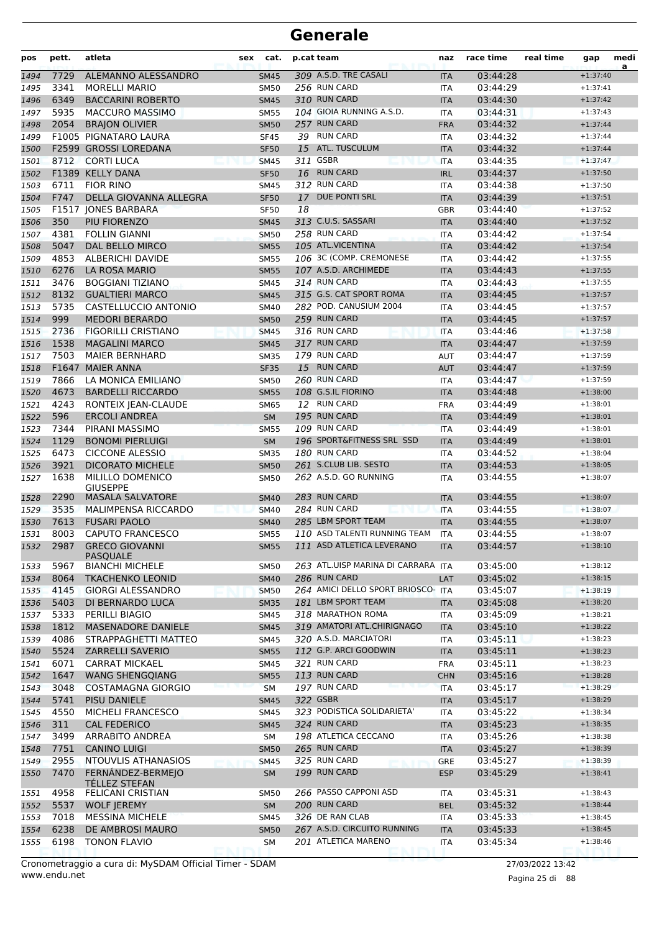| pos          | pett.        | atleta                                           | sex | cat.                       |          | p.cat team                                     | naz                      | race time            | real time | gap                      | medi<br>a |
|--------------|--------------|--------------------------------------------------|-----|----------------------------|----------|------------------------------------------------|--------------------------|----------------------|-----------|--------------------------|-----------|
| 1494         | 7729         | ALEMANNO ALESSANDRO                              |     | <b>SM45</b>                |          | 309 A.S.D. TRE CASALI                          | <b>ITA</b>               | 03:44:28             |           | $+1:37:40$               |           |
| 1495         | 3341         | <b>MORELLI MARIO</b>                             |     | <b>SM50</b>                |          | 256 RUN CARD                                   | <b>ITA</b>               | 03:44:29             |           | $+1:37:41$               |           |
| 1496         | 6349         | <b>BACCARINI ROBERTO</b>                         |     | <b>SM45</b>                |          | 310 RUN CARD                                   | <b>ITA</b>               | 03:44:30             |           | $+1:37:42$               |           |
| 1497         | 5935         | <b>MACCURO MASSIMO</b>                           |     | <b>SM55</b>                |          | 104 GIOIA RUNNING A.S.D.                       | <b>ITA</b>               | 03:44:31             |           | $+1:37:43$               |           |
| 1498         | 2054         | <b>BRAJON OLIVIER</b>                            |     | <b>SM50</b>                |          | 257 RUN CARD                                   | <b>FRA</b>               | 03:44:32             |           | $+1:37:44$               |           |
| 1499         |              | F1005 PIGNATARO LAURA                            |     | <b>SF45</b>                |          | 39 RUN CARD                                    | <b>ITA</b>               | 03:44:32             |           | $+1:37:44$               |           |
| 1500         |              | F2599 GROSSI LOREDANA                            |     | <b>SF50</b>                |          | 15 ATL. TUSCULUM                               | <b>ITA</b>               | 03:44:32             |           | $+1:37:44$               |           |
| 1501         | 8712         | <b>CORTI LUCA</b>                                |     | <b>SM45</b>                |          | 311 GSBR                                       | <b>ITA</b>               | 03:44:35             |           | $+1:37:47$               |           |
| 1502         |              | F1389 KELLY DANA                                 |     | <b>SF50</b>                |          | 16 RUN CARD<br>312 RUN CARD                    | <b>IRL</b>               | 03:44:37             |           | $+1:37:50$               |           |
| 1503         | 6711         | <b>FIOR RINO</b>                                 |     | <b>SM45</b>                |          | <b>DUE PONTI SRL</b>                           | <b>ITA</b>               | 03:44:38             |           | $+1:37:50$               |           |
| 1504         | F747         | DELLA GIOVANNA ALLEGRA<br>F1517 JONES BARBARA    |     | <b>SF50</b><br><b>SF50</b> | 17<br>18 |                                                | <b>ITA</b><br><b>GBR</b> | 03:44:39<br>03:44:40 |           | $+1:37:51$<br>$+1:37:52$ |           |
| 1505<br>1506 | 350          | PIU FIORENZO                                     |     | <b>SM45</b>                |          | 313 C.U.S. SASSARI                             | <b>ITA</b>               | 03:44:40             |           | $+1:37:52$               |           |
| 1507         | 4381         | <b>FOLLIN GIANNI</b>                             |     | <b>SM50</b>                |          | 258 RUN CARD                                   | <b>ITA</b>               | 03:44:42             |           | $+1:37:54$               |           |
| 1508         | 5047         | DAL BELLO MIRCO                                  |     | <b>SM55</b>                |          | 105 ATL.VICENTINA                              | <b>ITA</b>               | 03:44:42             |           | $+1:37:54$               |           |
| 1509         | 4853         | <b>ALBERICHI DAVIDE</b>                          |     | <b>SM55</b>                |          | 106 3C (COMP. CREMONESE                        | <b>ITA</b>               | 03:44:42             |           | $+1:37:55$               |           |
| 1510         | 6276         | LA ROSA MARIO                                    |     | <b>SM55</b>                |          | 107 A.S.D. ARCHIMEDE                           | <b>ITA</b>               | 03:44:43             |           | $+1:37:55$               |           |
| 1511         | 3476         | <b>BOGGIANI TIZIANO</b>                          |     | <b>SM45</b>                |          | 314 RUN CARD                                   | <b>ITA</b>               | 03:44:43             |           | $+1:37:55$               |           |
| 1512         | 8132         | <b>GUALTIERI MARCO</b>                           |     | <b>SM45</b>                |          | 315 G.S. CAT SPORT ROMA                        | <b>ITA</b>               | 03:44:45             |           | $+1:37:57$               |           |
| 1513         | 5735         | CASTELLUCCIO ANTONIO                             |     | <b>SM40</b>                |          | 282 POD. CANUSIUM 2004                         | <b>ITA</b>               | 03:44:45             |           | $+1:37:57$               |           |
| 1514         | 999          | <b>MEDORI BERARDO</b>                            |     | <b>SM50</b>                |          | 259 RUN CARD                                   | <b>ITA</b>               | 03:44:45             |           | $+1:37:57$               |           |
| 1515         | 2736         | <b>FIGORILLI CRISTIANO</b>                       |     | <b>SM45</b>                |          | 316 RUN CARD                                   | <b>ITA</b>               | 03:44:46             |           | $+1:37:58$               |           |
| 1516         | 1538         | <b>MAGALINI MARCO</b>                            |     | <b>SM45</b>                |          | 317 RUN CARD                                   | <b>ITA</b>               | 03:44:47             |           | $+1:37:59$               |           |
| 1517         | 7503         | <b>MAIER BERNHARD</b>                            |     | <b>SM35</b>                |          | 179 RUN CARD                                   | <b>AUT</b>               | 03:44:47             |           | $+1:37:59$               |           |
| 1518         | F1647        | <b>MAIER ANNA</b>                                |     | <b>SF35</b>                |          | 15 RUN CARD                                    | <b>AUT</b>               | 03:44:47             |           | $+1:37:59$               |           |
| 1519         | 7866         | LA MONICA EMILIANO                               |     | <b>SM50</b>                |          | 260 RUN CARD                                   | ITA                      | 03:44:47             |           | $+1:37:59$               |           |
| 1520         | 4673         | <b>BARDELLI RICCARDO</b>                         |     | <b>SM55</b>                |          | 108 G.S.IL FIORINO                             | <b>ITA</b>               | 03:44:48             |           | $+1:38:00$               |           |
| 1521         | 4243         | RONTEIX JEAN-CLAUDE                              |     | <b>SM65</b>                |          | 12 RUN CARD                                    | <b>FRA</b>               | 03:44:49             |           | $+1:38:01$               |           |
| 1522         | 596          | <b>ERCOLI ANDREA</b>                             |     | <b>SM</b>                  |          | 195 RUN CARD                                   | <b>ITA</b>               | 03:44:49             |           | $+1:38:01$               |           |
| 1523         | 7344         | PIRANI MASSIMO                                   |     | <b>SM55</b>                |          | 109 RUN CARD                                   | <b>ITA</b>               | 03:44:49             |           | $+1:38:01$               |           |
| 1524         | 1129         | <b>BONOMI PIERLUIGI</b>                          |     | <b>SM</b>                  |          | 196 SPORT&FITNESS SRL SSD                      | <b>ITA</b>               | 03:44:49             |           | $+1:38:01$               |           |
| 1525         | 6473         | <b>CICCONE ALESSIO</b>                           |     | <b>SM35</b>                |          | 180 RUN CARD                                   | ITA                      | 03:44:52             |           | $+1:38:04$               |           |
| 1526         | 3921<br>1638 | <b>DICORATO MICHELE</b><br>MILILLO DOMENICO      |     | <b>SM50</b>                |          | 261 S.CLUB LIB. SESTO<br>262 A.S.D. GO RUNNING | <b>ITA</b>               | 03:44:53             |           | $+1:38:05$               |           |
| 1527         |              | <b>GIUSEPPE</b>                                  |     | <b>SM50</b>                |          |                                                | <b>ITA</b>               | 03:44:55             |           | $+1:38:07$               |           |
| 1528         | 2290         | <b>MASALA SALVATORE</b>                          |     | <b>SM40</b>                |          | 283 RUN CARD                                   | <b>ITA</b>               | 03:44:55             |           | $+1:38:07$               |           |
| 1529         | 3535         | <b>MALIMPENSA RICCARDO</b>                       |     | <b>SM40</b>                |          | 284 RUN CARD                                   | <b>ITA</b>               | 03:44:55             |           | $+1:38:07$               |           |
| 1530         | 7613         | <b>FUSARI PAOLO</b>                              |     | <b>SM40</b>                |          | 285 LBM SPORT TEAM                             | <b>ITA</b>               | 03:44:55             |           | $+1:38:07$               |           |
| 1531         | 8003         | <b>CAPUTO FRANCESCO</b>                          |     | <b>SM55</b>                |          | 110 ASD TALENTI RUNNING TEAM                   | <b>ITA</b>               | 03:44:55             |           | $+1:38:07$               |           |
| 1532         | 2987         | <b>GRECO GIOVANNI</b><br><b>PASQUALE</b>         |     | SM55                       |          | 111 ASD ATLETICA LEVERANO                      | ITA                      | 03:44:57             |           | $+1:38:10$               |           |
| 1533         | 5967         | <b>BIANCHI MICHELE</b>                           |     | <b>SM50</b>                |          | 263 ATL.UISP MARINA DI CARRARA ITA             |                          | 03:45:00             |           | $+1:38:12$               |           |
| 1534         | 8064         | <b>TKACHENKO LEONID</b>                          |     | <b>SM40</b>                |          | 286 RUN CARD                                   | LAT                      | 03:45:02             |           | $+1:38:15$               |           |
| 1535         | 4145         | <b>GIORGI ALESSANDRO</b>                         |     | <b>SM50</b>                |          | 264 AMICI DELLO SPORT BRIOSCO- ITA             |                          | 03:45:07             |           | $+1:38:19$               |           |
| 1536         | 5403         | DI BERNARDO LUCA                                 |     | <b>SM35</b>                |          | 181 LBM SPORT TEAM                             | <b>ITA</b>               | 03:45:08             |           | $+1:38:20$               |           |
| 1537         | 5333         | PERILLI BIAGIO                                   |     | <b>SM45</b>                |          | 318 MARATHON ROMA                              | <b>ITA</b>               | 03:45:09             |           | $+1:38:21$               |           |
| 1538         | 1812         | <b>MASENADORE DANIELE</b>                        |     | <b>SM45</b>                |          | 319 AMATORI ATL.CHIRIGNAGO                     | <b>ITA</b>               | 03:45:10             |           | $+1:38:22$               |           |
| 1539         | 4086         | STRAPPAGHETTI MATTEO                             |     | <b>SM45</b>                |          | 320 A.S.D. MARCIATORI<br>112 G.P. ARCI GOODWIN | <b>ITA</b>               | 03:45:11             |           | $+1:38:23$               |           |
| 1540         | 5524<br>6071 | <b>ZARRELLI SAVERIO</b><br><b>CARRAT MICKAEL</b> |     | <b>SM55</b>                |          | 321 RUN CARD                                   | <b>ITA</b><br><b>FRA</b> | 03:45:11<br>03:45:11 |           | $+1:38:23$<br>$+1:38:23$ |           |
| 1541<br>1542 | 1647         | <b>WANG SHENGQIANG</b>                           |     | <b>SM45</b><br><b>SM55</b> |          | 113 RUN CARD                                   | <b>CHN</b>               | 03:45:16             |           | $+1:38:28$               |           |
| 1543         | 3048         | COSTAMAGNA GIORGIO                               |     | <b>SM</b>                  |          | 197 RUN CARD                                   | <b>ITA</b>               | 03:45:17             |           | $+1:38:29$               |           |
| 1544         | 5741         | <b>PISU DANIELE</b>                              |     | <b>SM45</b>                |          | 322 GSBR                                       | <b>ITA</b>               | 03:45:17             |           | $+1:38:29$               |           |
| 1545         | 4550         | MICHELI FRANCESCO                                |     | <b>SM45</b>                |          | 323 PODISTICA SOLIDARIETA'                     | <b>ITA</b>               | 03:45:22             |           | $+1:38:34$               |           |
| 1546         | 311          | <b>CAL FEDERICO</b>                              |     | <b>SM45</b>                |          | 324 RUN CARD                                   | <b>ITA</b>               | 03:45:23             |           | $+1:38:35$               |           |
| 1547         | 3499         | ARRABITO ANDREA                                  |     | SM                         |          | 198 ATLETICA CECCANO                           | <b>ITA</b>               | 03:45:26             |           | $+1:38:38$               |           |
| 1548         | 7751         | <b>CANINO LUIGI</b>                              |     | <b>SM50</b>                |          | 265 RUN CARD                                   | <b>ITA</b>               | 03:45:27             |           | $+1:38:39$               |           |
| 1549         | 2955         | NTOUVLIS ATHANASIOS                              |     | <b>SM45</b>                |          | 325 RUN CARD                                   | <b>GRE</b>               | 03:45:27             |           | $+1:38:39$               |           |
| 1550         | 7470         | FERNANDEZ-BERMEJO<br>TÉLLEZ STEFAN               |     | <b>SM</b>                  |          | 199 RUN CARD                                   | <b>ESP</b>               | 03:45:29             |           | $+1:38:41$               |           |
| 1551         | 4958         | <b>FELICANI CRISTIAN</b>                         |     | <b>SM50</b>                |          | 266 PASSO CAPPONI ASD                          | ITA                      | 03:45:31             |           | $+1:38:43$               |           |
| 1552         | 5537         | <b>WOLF JEREMY</b>                               |     | <b>SM</b>                  |          | 200 RUN CARD                                   | <b>BEL</b>               | 03:45:32             |           | $+1:38:44$               |           |
| 1553         | 7018         | <b>MESSINA MICHELE</b>                           |     | <b>SM45</b>                |          | 326 DE RAN CLAB                                | <b>ITA</b>               | 03:45:33             |           | $+1:38:45$               |           |
| 1554         | 6238         | DE AMBROSI MAURO                                 |     | <b>SM50</b>                |          | 267 A.S.D. CIRCUITO RUNNING                    | <b>ITA</b>               | 03:45:33             |           | $+1:38:45$               |           |
| 1555         | 6198         | <b>TONON FLAVIO</b>                              |     | SM                         |          | 201 ATLETICA MARENO                            | ITA                      | 03:45:34             |           | $+1:38:46$               |           |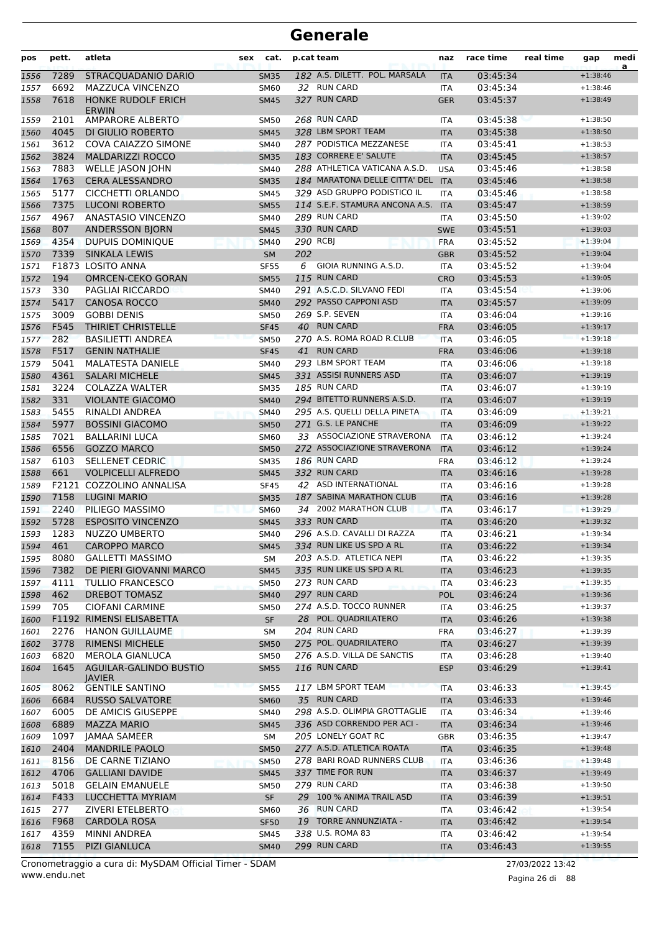| pos          | pett.        | atleta                                      | sex | cat.                       |          | p.cat team                                                   | naz                      | race time            | real time | gap                      | medi |
|--------------|--------------|---------------------------------------------|-----|----------------------------|----------|--------------------------------------------------------------|--------------------------|----------------------|-----------|--------------------------|------|
| 1556         | 7289         | STRACQUADANIO DARIO                         |     | <b>SM35</b>                |          | 182 A.S. DILETT. POL. MARSALA                                | <b>ITA</b>               | 03:45:34             |           | $+1:38:46$               | a    |
| 1557         | 6692         | <b>MAZZUCA VINCENZO</b>                     |     | SM60                       |          | 32 RUN CARD                                                  | <b>ITA</b>               | 03:45:34             |           | $+1:38:46$               |      |
| 1558         | 7618         | HONKE RUDOLF ERICH<br>ERWIN                 |     | <b>SM45</b>                |          | 327 RUN CARD                                                 | <b>GER</b>               | 03:45:37             |           | $+1:38:49$               |      |
| 1559         | 2101         | <b>AMPARORE ALBERTO</b>                     |     | <b>SM50</b>                |          | 268 RUN CARD                                                 | ITA                      | 03:45:38             |           | $+1:38:50$               |      |
| 1560         | 4045         | DI GIULIO ROBERTO                           |     | <b>SM45</b>                |          | 328 LBM SPORT TEAM                                           | <b>ITA</b>               | 03:45:38             |           | $+1:38:50$               |      |
| 1561         | 3612         | COVA CAIAZZO SIMONE                         |     | <b>SM40</b>                |          | 287 PODISTICA MEZZANESE                                      | <b>ITA</b>               | 03:45:41             |           | $+1:38:53$               |      |
| 1562         | 3824         | <b>MALDARIZZI ROCCO</b>                     |     | <b>SM35</b>                |          | 183 CORRERE E' SALUTE                                        | <b>ITA</b>               | 03:45:45             |           | $+1:38:57$               |      |
| 1563         | 7883         | <b>WELLE JASON JOHN</b>                     |     | <b>SM40</b>                |          | 288 ATHLETICA VATICANA A.S.D.                                | <b>USA</b>               | 03:45:46             |           | $+1:38:58$               |      |
| 1564         | 1763<br>5177 | <b>CERA ALESSANDRO</b>                      |     | <b>SM35</b>                |          | 184 MARATONA DELLE CITTA' DEL<br>329 ASD GRUPPO PODISTICO IL | <b>ITA</b>               | 03:45:46             |           | $+1:38:58$               |      |
| 1565         | 7375         | CICCHETTI ORLANDO<br><b>LUCONI ROBERTO</b>  |     | <b>SM45</b>                |          | 114 S.E.F. STAMURA ANCONA A.S.                               | ITA                      | 03:45:46             |           | $+1:38:58$<br>$+1:38:59$ |      |
| 1566<br>1567 | 4967         | ANASTASIO VINCENZO                          |     | <b>SM55</b><br><b>SM40</b> |          | 289 RUN CARD                                                 | <b>ITA</b><br><b>ITA</b> | 03:45:47<br>03:45:50 |           | $+1:39:02$               |      |
| 1568         | 807          | <b>ANDERSSON BJORN</b>                      |     | <b>SM45</b>                |          | 330 RUN CARD                                                 | <b>SWE</b>               | 03:45:51             |           | $+1:39:03$               |      |
| 1569         | 4354         | DUPUIS DOMINIQUE                            |     | <b>SM40</b>                | 290 RCBJ |                                                              | <b>FRA</b>               | 03:45:52             |           | $+1:39:04$               |      |
| 1570         | 7339         | SINKALA LEWIS                               |     | <b>SM</b>                  | 202      |                                                              | <b>GBR</b>               | 03:45:52             |           | $+1:39:04$               |      |
| 1571         |              | F1873 LOSITO ANNA                           |     | <b>SF55</b>                | 6        | <b>GIOIA RUNNING A.S.D.</b>                                  | <b>ITA</b>               | 03:45:52             |           | $+1:39:04$               |      |
| 1572         | 194          | <b>OMRCEN-CEKO GORAN</b>                    |     | <b>SM55</b>                |          | 115 RUN CARD                                                 | <b>CRO</b>               | 03:45:53             |           | $+1:39:05$               |      |
| 1573         | 330          | PAGLIAI RICCARDO                            |     | <b>SM40</b>                |          | 291 A.S.C.D. SILVANO FEDI                                    | <b>ITA</b>               | 03:45:54             |           | $+1:39:06$               |      |
| 1574         | 5417         | <b>CANOSA ROCCO</b>                         |     | <b>SM40</b>                |          | 292 PASSO CAPPONI ASD                                        | <b>ITA</b>               | 03:45:57             |           | $+1:39:09$               |      |
| 1575         | 3009         | <b>GOBBI DENIS</b>                          |     | <b>SM50</b>                |          | 269 S.P. SEVEN                                               | <b>ITA</b>               | 03:46:04             |           | $+1:39:16$               |      |
| 1576         | F545         | THIRIET CHRISTELLE                          |     | <b>SF45</b>                |          | 40 RUN CARD                                                  | <b>FRA</b>               | 03:46:05             |           | $+1:39:17$               |      |
| 1577         | 282          | <b>BASILIETTI ANDREA</b>                    |     | <b>SM50</b>                |          | 270 A.S. ROMA ROAD R.CLUB                                    | <b>ITA</b>               | 03:46:05             |           | $+1:39:18$               |      |
| 1578         | F517         | <b>GENIN NATHALIE</b>                       |     | <b>SF45</b>                |          | 41 RUN CARD                                                  | <b>FRA</b>               | 03:46:06             |           | $+1:39:18$               |      |
| 1579         | 5041         | <b>MALATESTA DANIELE</b>                    |     | <b>SM40</b>                |          | 293 LBM SPORT TEAM                                           | <b>ITA</b>               | 03:46:06             |           | $+1:39:18$               |      |
| 1580         | 4361         | <b>SALARI MICHELE</b>                       |     | <b>SM45</b>                |          | 331 ASSISI RUNNERS ASD                                       | <b>ITA</b>               | 03:46:07             |           | $+1:39:19$               |      |
| 1581         | 3224         | COLAZZA WALTER                              |     | <b>SM35</b>                |          | 185 RUN CARD                                                 | <b>ITA</b>               | 03:46:07             |           | $+1:39:19$               |      |
| 1582         | 331          | <b>VIOLANTE GIACOMO</b>                     |     | <b>SM40</b>                |          | 294 BITETTO RUNNERS A.S.D.                                   | <b>ITA</b>               | 03:46:07             |           | $+1:39:19$               |      |
| 1583         | 5455         | RINALDI ANDREA                              |     | <b>SM40</b>                |          | 295 A.S. QUELLI DELLA PINETA                                 | <b>ITA</b>               | 03:46:09             |           | $+1:39:21$               |      |
| 1584         | 5977         | <b>BOSSINI GIACOMO</b>                      |     | <b>SM50</b>                |          | 271 G.S. LE PANCHE                                           | <b>ITA</b>               | 03:46:09             |           | $+1:39:22$               |      |
| 1585         | 7021         | <b>BALLARINI LUCA</b>                       |     | SM60                       |          | 33 ASSOCIAZIONE STRAVERONA                                   | <b>ITA</b>               | 03:46:12             |           | $+1:39:24$               |      |
| 1586         | 6556         | <b>GOZZO MARCO</b>                          |     | <b>SM50</b>                |          | 272 ASSOCIAZIONE STRAVERONA                                  | <b>ITA</b>               | 03:46:12             |           | $+1:39:24$               |      |
| 1587         | 6103         | <b>SELLENET CEDRIC</b>                      |     | <b>SM35</b>                |          | 186 RUN CARD                                                 | <b>FRA</b>               | 03:46:12             |           | $+1:39:24$               |      |
| 1588         | 661          | <b>VOLPICELLI ALFREDO</b>                   |     | <b>SM45</b>                |          | 332 RUN CARD                                                 | <b>ITA</b>               | 03:46:16             |           | $+1:39:28$               |      |
| 1589         | F2121        | COZZOLINO ANNALISA                          |     | <b>SF45</b>                |          | 42 ASD INTERNATIONAL                                         | <b>ITA</b>               | 03:46:16             |           | $+1:39:28$               |      |
| 1590         | 7158         | <b>LUGINI MARIO</b>                         |     | <b>SM35</b>                |          | 187 SABINA MARATHON CLUB<br>34 2002 MARATHON CLUB            | <b>ITA</b>               | 03:46:16             |           | $+1:39:28$               |      |
| 1591         | 2240<br>5728 | PILIEGO MASSIMO<br><b>ESPOSITO VINCENZO</b> |     | <b>SM60</b>                |          | 333 RUN CARD                                                 | <b>ITA</b>               | 03:46:17             |           | $+1:39:29$<br>$+1:39:32$ |      |
| 1592<br>1593 | 1283         | NUZZO UMBERTO                               |     | <b>SM45</b><br><b>SM40</b> |          | 296 A.S.D. CAVALLI DI RAZZA                                  | <b>ITA</b><br><b>ITA</b> | 03:46:20<br>03:46:21 |           | $+1:39:34$               |      |
| 1594         | 461          | <b>CAROPPO MARCO</b>                        |     | <b>SM45</b>                |          | 334 RUN LIKE US SPD A RL                                     | <b>ITA</b>               | 03:46:22             |           | $+1:39:34$               |      |
| 1595         | 8080         | <b>GALLETTI MASSIMO</b>                     |     | SM                         |          | 203 A.S.D. ATLETICA NEPI                                     | ITA                      | 03:46:22             |           | $+1:39:35$               |      |
| 1596         | 7382         | DE PIERI GIOVANNI MARCO                     |     | <b>SM45</b>                |          | 335 RUN LIKE US SPD A RL                                     | <b>ITA</b>               | 03:46:23             |           | $+1:39:35$               |      |
| 1597         | 4111         | <b>TULLIO FRANCESCO</b>                     |     | <b>SM50</b>                |          | 273 RUN CARD                                                 | ITA                      | 03:46:23             |           | $+1:39:35$               |      |
| 1598         | 462          | DREBOT TOMASZ                               |     | <b>SM40</b>                |          | 297 RUN CARD                                                 | <b>POL</b>               | 03:46:24             |           | $+1:39:36$               |      |
| 1599         | 705          | <b>CIOFANI CARMINE</b>                      |     | <b>SM50</b>                |          | 274 A.S.D. TOCCO RUNNER                                      | ITA                      | 03:46:25             |           | $+1:39:37$               |      |
| 1600         |              | F1192 RIMENSI ELISABETTA                    |     | <b>SF</b>                  |          | 28 POL. QUADRILATERO                                         | <b>ITA</b>               | 03:46:26             |           | $+1:39:38$               |      |
| 1601         | 2276         | <b>HANON GUILLAUME</b>                      |     | SM                         |          | 204 RUN CARD                                                 | <b>FRA</b>               | 03:46:27             |           | $+1:39:39$               |      |
| 1602         | 3778         | <b>RIMENSI MICHELE</b>                      |     | <b>SM50</b>                |          | 275 POL. QUADRILATERO                                        | <b>ITA</b>               | 03:46:27             |           | $+1:39:39$               |      |
| 1603         | 6820         | <b>MEROLA GIANLUCA</b>                      |     | <b>SM50</b>                |          | 276 A.S.D. VILLA DE SANCTIS                                  | ITA                      | 03:46:28             |           | $+1:39:40$               |      |
| 1604         | 1645         | AGUILAR-GALINDO BUSTIO<br><b>JAVIER</b>     |     | <b>SM55</b>                |          | 116 RUN CARD                                                 | <b>ESP</b>               | 03:46:29             |           | $+1:39:41$               |      |
| 1605         | 8062         | <b>GENTILE SANTINO</b>                      |     | <b>SM55</b>                |          | 117 LBM SPORT TEAM                                           | <b>ITA</b>               | 03:46:33             |           | $+1:39:45$               |      |
| 1606         | 6684         | <b>RUSSO SALVATORE</b>                      |     | <b>SM60</b>                |          | 35 RUN CARD                                                  | <b>ITA</b>               | 03:46:33             |           | $+1:39:46$               |      |
| 1607         | 6005         | DE AMICIS GIUSEPPE                          |     | SM40                       |          | 298 A.S.D. OLIMPIA GROTTAGLIE                                | ITA                      | 03:46:34             |           | $+1:39:46$               |      |
| 1608         | 6889         | <b>MAZZA MARIO</b>                          |     | <b>SM45</b>                |          | 336 ASD CORRENDO PER ACI -                                   | <b>ITA</b>               | 03:46:34             |           | $+1:39:46$               |      |
| 1609         | 1097         | JAMAA SAMEER                                |     | SM                         |          | 205 LONELY GOAT RC                                           | GBR                      | 03:46:35             |           | $+1:39:47$               |      |
| 1610         | 2404         | <b>MANDRILE PAOLO</b>                       |     | <b>SM50</b>                |          | 277 A.S.D. ATLETICA ROATA                                    | <b>ITA</b>               | 03:46:35             |           | $+1:39:48$               |      |
| 1611         | 8156         | DE CARNE TIZIANO                            |     | <b>SM50</b>                |          | 278 BARI ROAD RUNNERS CLUB                                   | <b>ITA</b>               | 03:46:36             |           | $+1:39:48$               |      |
| 1612         | 4706         | <b>GALLIANI DAVIDE</b>                      |     | <b>SM45</b>                |          | 337 TIME FOR RUN                                             | <b>ITA</b>               | 03:46:37             |           | $+1:39:49$               |      |
| 1613         | 5018         | <b>GELAIN EMANUELE</b>                      |     | <b>SM50</b>                |          | 279 RUN CARD<br>29 100 % ANIMA TRAIL ASD                     | ITA                      | 03:46:38             |           | $+1:39:50$<br>$+1:39:51$ |      |
| 1614<br>1615 | F433<br>277  | LUCCHETTA MYRIAM<br>ZIVERI ETELBERTO        |     | SF<br><b>SM60</b>          |          | 36 RUN CARD                                                  | <b>ITA</b><br>ITA        | 03:46:39<br>03:46:42 |           | $+1:39:54$               |      |
| 1616         | F968         | <b>CARDOLA ROSA</b>                         |     | <b>SF50</b>                |          | 19 TORRE ANNUNZIATA -                                        | <b>ITA</b>               | 03:46:42             |           | $+1:39:54$               |      |
| 1617         | 4359         | MINNI ANDREA                                |     | SM45                       |          | 338 U.S. ROMA 83                                             | ITA                      | 03:46:42             |           | $+1:39:54$               |      |
| 1618         | 7155         | PIZI GIANLUCA                               |     | <b>SM40</b>                |          | 299 RUN CARD                                                 | <b>ITA</b>               | 03:46:43             |           | $+1:39:55$               |      |
|              |              |                                             |     |                            |          |                                                              |                          |                      |           |                          |      |

www.endu.net Cronometraggio a cura di: MySDAM Official Timer - SDAM 27/03/2022 13:42

Pagina 26 di 88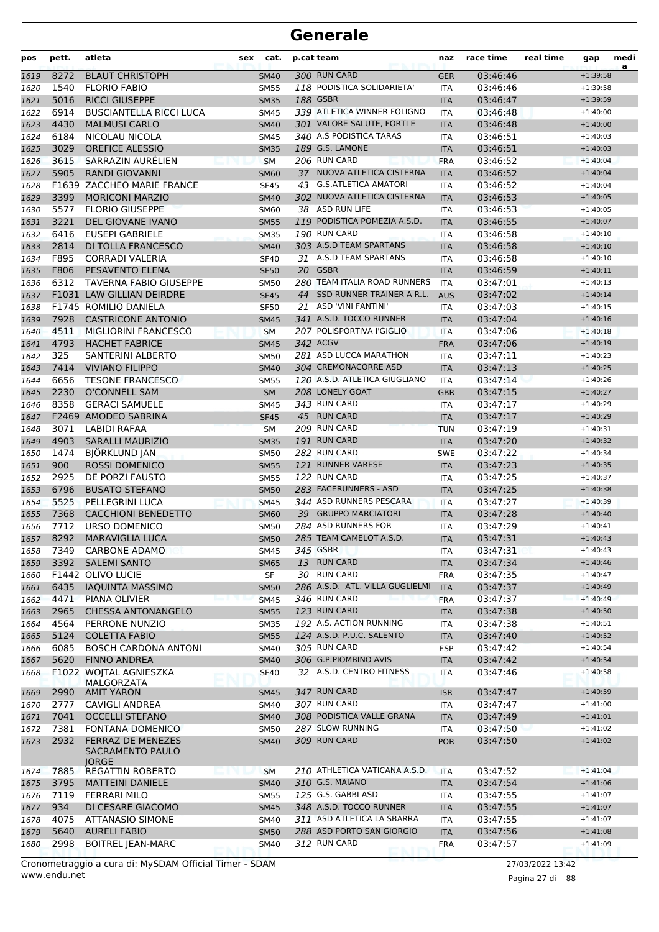| pos          | pett.        | atleta                                                       | sex | cat.                       |    | p.cat team                                       | naz                      | race time            | real time | gap                      | medi<br>a |
|--------------|--------------|--------------------------------------------------------------|-----|----------------------------|----|--------------------------------------------------|--------------------------|----------------------|-----------|--------------------------|-----------|
| 1619         | 8272         | <b>BLAUT CHRISTOPH</b>                                       |     | <b>SM40</b>                |    | 300 RUN CARD                                     | <b>GER</b>               | 03:46:46             |           | $+1:39:58$               |           |
| 1620         | 1540         | <b>FLORIO FABIO</b>                                          |     | <b>SM55</b>                |    | 118 PODISTICA SOLIDARIETA'                       | <b>ITA</b>               | 03:46:46             |           | $+1:39:58$               |           |
| 1621         | 5016         | <b>RICCI GIUSEPPE</b>                                        |     | <b>SM35</b>                |    | 188 GSBR                                         | <b>ITA</b>               | 03:46:47             |           | $+1:39:59$               |           |
| 1622         | 6914         | <b>BUSCIANTELLA RICCI LUCA</b>                               |     | <b>SM45</b>                |    | 339 ATLETICA WINNER FOLIGNO                      | <b>ITA</b>               | 03:46:48             |           | $+1:40:00$               |           |
| 1623         | 4430         | <b>MALMUSI CARLO</b>                                         |     | <b>SM40</b>                |    | 301 VALORE SALUTE, FORTI E                       | <b>ITA</b>               | 03:46:48             |           | $+1:40:00$               |           |
| 1624         | 6184         | NICOLAU NICOLA                                               |     | <b>SM45</b>                |    | 340 A.S PODISTICA TARAS                          | <b>ITA</b>               | 03:46:51             |           | $+1:40:03$               |           |
| 1625         | 3029         | <b>OREFICE ALESSIO</b>                                       |     | <b>SM35</b>                |    | 189 G.S. LAMONE<br>206 RUN CARD                  | <b>ITA</b>               | 03:46:51             |           | $+1:40:03$               |           |
| 1626         | 3615<br>5905 | SARRAZIN AURELIEN                                            |     | <b>SM</b>                  |    | 37 NUOVA ATLETICA CISTERNA                       | <b>FRA</b>               | 03:46:52<br>03:46:52 |           | $+1:40:04$               |           |
| 1627         | F1639        | <b>RANDI GIOVANNI</b><br><b>ZACCHEO MARIE FRANCE</b>         |     | <b>SM60</b>                |    | <b>G.S.ATLETICA AMATORI</b>                      | <b>ITA</b>               |                      |           | $+1:40:04$<br>$+1:40:04$ |           |
| 1628<br>1629 | 3399         | <b>MORICONI MARZIO</b>                                       |     | <b>SF45</b><br><b>SM40</b> | 43 | 302 NUOVA ATLETICA CISTERNA                      | ITA<br><b>ITA</b>        | 03:46:52<br>03:46:53 |           | $+1:40:05$               |           |
| 1630         | 5577         | <b>FLORIO GIUSEPPE</b>                                       |     | <b>SM60</b>                |    | 38 ASD RUN LIFE                                  | <b>ITA</b>               | 03:46:53             |           | $+1:40:05$               |           |
| 1631         | 3221         | DEL GIOVANE IVANO                                            |     | <b>SM55</b>                |    | 119 PODISTICA POMEZIA A.S.D.                     | <b>ITA</b>               | 03:46:55             |           | $+1:40:07$               |           |
| 1632         | 6416         | EUSEPI GABRIELE                                              |     | <b>SM35</b>                |    | 190 RUN CARD                                     | <b>ITA</b>               | 03:46:58             |           | $+1:40:10$               |           |
| 1633         | 2814         | DI TOLLA FRANCESCO                                           |     | <b>SM40</b>                |    | 303 A.S.D TEAM SPARTANS                          | <b>ITA</b>               | 03:46:58             |           | $+1:40:10$               |           |
| 1634         | F895         | <b>CORRADI VALERIA</b>                                       |     | <b>SF40</b>                |    | 31 A.S.D TEAM SPARTANS                           | ITA                      | 03:46:58             |           | $+1:40:10$               |           |
| 1635         | F806         | PESAVENTO ELENA                                              |     | <b>SF50</b>                |    | 20 GSBR                                          | <b>ITA</b>               | 03:46:59             |           | $+1:40:11$               |           |
| 1636         | 6312         | <b>TAVERNA FABIO GIUSEPPE</b>                                |     | <b>SM50</b>                |    | 280 TEAM ITALIA ROAD RUNNERS                     | <b>ITA</b>               | 03:47:01             |           | $+1:40:13$               |           |
| 1637         |              | F1031 LAW GILLIAN DEIRDRE                                    |     | <b>SF45</b>                |    | 44 SSD RUNNER TRAINER A R.L.                     | <b>AUS</b>               | 03:47:02             |           | $+1:40:14$               |           |
| 1638         |              | F1745 ROMILIO DANIELA                                        |     | <b>SF50</b>                |    | 21 ASD 'VINI FANTINI'                            | <b>ITA</b>               | 03:47:03             |           | $+1:40:15$               |           |
| 1639         | 7928         | <b>CASTRICONE ANTONIO</b>                                    |     | <b>SM45</b>                |    | 341 A.S.D. TOCCO RUNNER                          | <b>ITA</b>               | 03:47:04             |           | $+1:40:16$               |           |
| 1640         | 4511         | <b>MIGLIORINI FRANCESCO</b>                                  |     | <b>SM</b>                  |    | 207 POLISPORTIVA l'GIGLIO                        | <b>ITA</b>               | 03:47:06             |           | $+1:40:18$               |           |
| 1641         | 4793         | <b>HACHET FABRICE</b>                                        |     | <b>SM45</b>                |    | 342 ACGV                                         | <b>FRA</b>               | 03:47:06             |           | $+1:40:19$               |           |
| 1642         | 325          | SANTERINI ALBERTO                                            |     | <b>SM50</b>                |    | 281 ASD LUCCA MARATHON                           | <b>ITA</b>               | 03:47:11             |           | $+1:40:23$               |           |
| 1643         | 7414         | <b>VIVIANO FILIPPO</b>                                       |     | <b>SM40</b>                |    | 304 CREMONACORRE ASD                             | <b>ITA</b>               | 03:47:13             |           | $+1:40:25$               |           |
| 1644         | 6656         | <b>TESONE FRANCESCO</b>                                      |     | <b>SM55</b>                |    | 120 A.S.D. ATLETICA GIUGLIANO                    | <b>ITA</b>               | 03:47:14             |           | $+1:40:26$               |           |
| 1645         | 2230         | <b>O'CONNELL SAM</b>                                         |     | <b>SM</b>                  |    | 208 LONELY GOAT                                  | <b>GBR</b>               | 03:47:15             |           | $+1:40:27$               |           |
| 1646         | 8358         | <b>GERACI SAMUELE</b>                                        |     | <b>SM45</b>                |    | 343 RUN CARD                                     | <b>ITA</b>               | 03:47:17             |           | $+1:40:29$               |           |
| 1647         |              | F2469 AMODEO SABRINA                                         |     | <b>SF45</b>                |    | 45 RUN CARD                                      | <b>ITA</b>               | 03:47:17             |           | $+1:40:29$               |           |
| 1648         | 3071         | LABIDI RAFAA                                                 |     | <b>SM</b>                  |    | 209 RUN CARD                                     | <b>TUN</b>               | 03:47:19             |           | $+1:40:31$               |           |
| 1649         | 4903         | <b>SARALLI MAURIZIO</b>                                      |     | <b>SM35</b>                |    | 191 RUN CARD                                     | <b>ITA</b>               | 03:47:20             |           | $+1:40:32$               |           |
| 1650         | 1474         | BJÖRKLUND JAN                                                |     | <b>SM50</b>                |    | 282 RUN CARD                                     | <b>SWE</b>               | 03:47:22             |           | $+1:40:34$               |           |
| 1651         | 900          | <b>ROSSI DOMENICO</b>                                        |     | <b>SM55</b>                |    | 121 RUNNER VARESE                                | <b>ITA</b>               | 03:47:23             |           | $+1:40:35$               |           |
| 1652         | 2925         | DE PORZI FAUSTO                                              |     | <b>SM55</b>                |    | 122 RUN CARD                                     | ITA                      | 03:47:25             |           | $+1:40:37$               |           |
| 1653         | 6796         | <b>BUSATO STEFANO</b>                                        |     | <b>SM50</b>                |    | 283 FACERUNNERS - ASD<br>344 ASD RUNNERS PESCARA | <b>ITA</b>               | 03:47:25             |           | $+1:40:38$               |           |
| 1654         | 5525<br>7368 | PELLEGRINI LUCA<br><b>CACCHIONI BENEDETTO</b>                |     | <b>SM45</b>                |    | 39 GRUPPO MARCIATORI                             | <b>ITA</b>               | 03:47:27<br>03:47:28 |           | $+1:40:39$               |           |
| 1655<br>1656 | 7712         | URSO DOMENICO                                                |     | <b>SM60</b><br><b>SM50</b> |    | 284 ASD RUNNERS FOR                              | <b>ITA</b><br><b>ITA</b> | 03:47:29             |           | $+1:40:40$<br>$+1:40:41$ |           |
| 1657         | 8292         | <b>MARAVIGLIA LUCA</b>                                       |     | <b>SM50</b>                |    | 285 TEAM CAMELOT A.S.D.                          | <b>ITA</b>               | 03:47:31             |           | $+1:40:43$               |           |
| 1658         | 7349         | <b>CARBONE ADAMO</b>                                         |     | <b>SM45</b>                |    | 345 GSBR                                         | ITA                      | 03:47:31             |           | $+1:40:43$               |           |
| 1659         | 3392         | <b>SALEMI SANTO</b>                                          |     | <b>SM65</b>                |    | 13 RUN CARD                                      | <b>ITA</b>               | 03:47:34             |           | $+1:40:46$               |           |
| 1660         |              | F1442 OLIVO LUCIE                                            |     | SF                         |    | 30 RUN CARD                                      | <b>FRA</b>               | 03:47:35             |           | $+1:40:47$               |           |
| 1661         | 6435         | <b>IAQUINTA MASSIMO</b>                                      |     | <b>SM50</b>                |    | 286 A.S.D. ATL. VILLA GUGLIELMI                  | <b>ITA</b>               | 03:47:37             |           | $+1:40:49$               |           |
| 1662         | 4471         | PIANA OLIVIER                                                |     | <b>SM45</b>                |    | 346 RUN CARD                                     | <b>FRA</b>               | 03:47:37             |           | $+1:40:49$               |           |
| 1663         | 2965         | <b>CHESSA ANTONANGELO</b>                                    |     | <b>SM55</b>                |    | 123 RUN CARD                                     | <b>ITA</b>               | 03:47:38             |           | $+1:40:50$               |           |
| 1664         | 4564         | PERRONE NUNZIO                                               |     | <b>SM35</b>                |    | 192 A.S. ACTION RUNNING                          | ITA                      | 03:47:38             |           | $+1:40:51$               |           |
| 1665         | 5124         | <b>COLETTA FABIO</b>                                         |     | <b>SM55</b>                |    | 124 A.S.D. P.U.C. SALENTO                        | <b>ITA</b>               | 03:47:40             |           | $+1:40:52$               |           |
| 1666         | 6085         | <b>BOSCH CARDONA ANTONI</b>                                  |     | SM40                       |    | 305 RUN CARD                                     | <b>ESP</b>               | 03:47:42             |           | $+1:40:54$               |           |
| 1667         | 5620         | <b>FINNO ANDREA</b>                                          |     | <b>SM40</b>                |    | 306 G.P.PIOMBINO AVIS                            | <b>ITA</b>               | 03:47:42             |           | $+1:40:54$               |           |
| 1668         |              | F1022 WOITAL AGNIESZKA<br>MALGORZATA                         |     | <b>SF40</b>                |    | 32 A.S.D. CENTRO FITNESS                         | <b>ITA</b>               | 03:47:46             |           | $+1:40:58$               |           |
| 1669         | 2990         | <b>AMIT YARON</b>                                            |     | <b>SM45</b>                |    | 347 RUN CARD                                     | <b>ISR</b>               | 03:47:47             |           | $+1:40:59$               |           |
| 1670         | 2777         | <b>CAVIGLI ANDREA</b>                                        |     | <b>SM40</b>                |    | 307 RUN CARD                                     | ITA                      | 03:47:47             |           | $+1:41:00$               |           |
| 1671         | 7041         | <b>OCCELLI STEFANO</b>                                       |     | <b>SM40</b>                |    | 308 PODISTICA VALLE GRANA                        | <b>ITA</b>               | 03:47:49             |           | $+1:41:01$               |           |
| 1672         | 7381         | FONTANA DOMENICO                                             |     | <b>SM50</b>                |    | 287 SLOW RUNNING                                 | <b>ITA</b>               | 03:47:50             |           | $+1:41:02$               |           |
| 1673         | 2932         | <b>FERRAZ DE MENEZES</b><br>SACRAMENTO PAULO<br><b>JORGE</b> |     | <b>SM40</b>                |    | 309 RUN CARD                                     | <b>POR</b>               | 03:47:50             |           | $+1:41:02$               |           |
| 1674         | 7885         | <b>REGATTIN ROBERTO</b>                                      |     | <b>SM</b>                  |    | 210 ATHLETICA VATICANA A.S.D.                    | <b>ITA</b>               | 03:47:52             |           | $+1:41:04$               |           |
| 1675         | 3795         | <b>MATTEINI DANIELE</b>                                      |     | <b>SM40</b>                |    | 310 G.S. MAIANO                                  | <b>ITA</b>               | 03:47:54             |           | $+1:41:06$               |           |
| 1676         | 7119         | <b>FERRARI MILO</b>                                          |     | <b>SM55</b>                |    | 125 G.S. GABBI ASD                               | <b>ITA</b>               | 03:47:55             |           | $+1:41:07$               |           |
| 1677         | 934          | DI CESARE GIACOMO                                            |     | <b>SM45</b>                |    | 348 A.S.D. TOCCO RUNNER                          | <b>ITA</b>               | 03:47:55             |           | $+1:41:07$               |           |
| 1678         | 4075         | <b>ATTANASIO SIMONE</b>                                      |     | SM40                       |    | 311 ASD ATLETICA LA SBARRA                       | <b>ITA</b>               | 03:47:55             |           | $+1:41:07$               |           |
| 1679         | 5640         | <b>AURELI FABIO</b>                                          |     | <b>SM50</b>                |    | 288 ASD PORTO SAN GIORGIO                        | <b>ITA</b>               | 03:47:56             |           | $+1:41:08$               |           |
| 1680         | 2998         | <b>BOITREL JEAN-MARC</b>                                     |     | <b>SM40</b>                |    | 312 RUN CARD                                     | <b>FRA</b>               | 03:47:57             |           | $+1:41:09$               |           |

www.endu.net Cronometraggio a cura di: MySDAM Official Timer - SDAM 27/03/2022 13:42

Pagina 27 di 88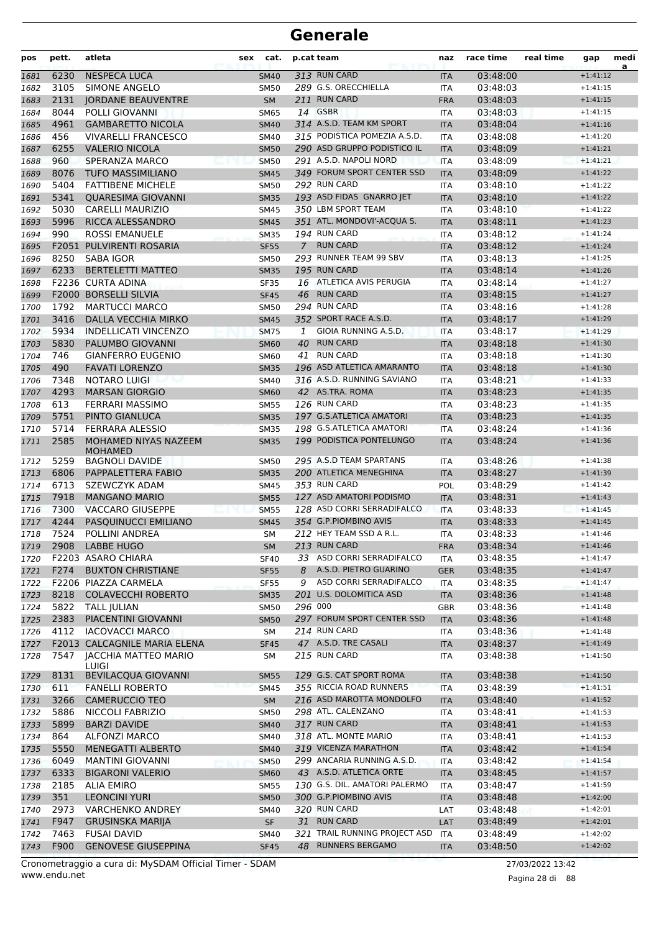| pos  | pett. | atleta                              | cat.<br>sex |               | p.cat team                    | naz        | race time | real time | gap        | medi<br>a |
|------|-------|-------------------------------------|-------------|---------------|-------------------------------|------------|-----------|-----------|------------|-----------|
| 1681 | 6230  | <b>NESPECA LUCA</b>                 | <b>SM40</b> |               | 313 RUN CARD                  | <b>ITA</b> | 03:48:00  |           | $+1:41:12$ |           |
| 1682 | 3105  | SIMONE ANGELO                       | <b>SM50</b> |               | 289 G.S. ORECCHIELLA          | ITA        | 03:48:03  |           | $+1:41:15$ |           |
| 1683 | 2131  | <b>JORDANE BEAUVENTRE</b>           | <b>SM</b>   |               | 211 RUN CARD                  | <b>FRA</b> | 03:48:03  |           | $+1:41:15$ |           |
| 1684 | 8044  | POLLI GIOVANNI                      | <b>SM65</b> |               | 14 GSBR                       | <b>ITA</b> | 03:48:03  |           | $+1:41:15$ |           |
| 1685 | 4961  | <b>GAMBARETTO NICOLA</b>            | <b>SM40</b> |               | 314 A.S.D. TEAM KM SPORT      | <b>ITA</b> | 03:48:04  |           | $+1:41:16$ |           |
| 1686 | 456   | <b>VIVARELLI FRANCESCO</b>          | <b>SM40</b> |               | 315 PODISTICA POMEZIA A.S.D.  | ITA        | 03:48:08  |           | $+1:41:20$ |           |
| 1687 | 6255  | <b>VALERIO NICOLA</b>               | <b>SM50</b> |               | 290 ASD GRUPPO PODISTICO IL   | <b>ITA</b> | 03:48:09  |           | $+1:41:21$ |           |
| 1688 | 960   | SPERANZA MARCO                      | <b>SM50</b> |               | 291 A.S.D. NAPOLI NORD        | <b>ITA</b> | 03:48:09  |           | $+1:41:21$ |           |
| 1689 | 8076  | <b>TUFO MASSIMILIANO</b>            | <b>SM45</b> |               | 349 FORUM SPORT CENTER SSD    | <b>ITA</b> | 03:48:09  |           | $+1:41:22$ |           |
| 1690 | 5404  | <b>FATTIBENE MICHELE</b>            | <b>SM50</b> |               | 292 RUN CARD                  | <b>ITA</b> | 03:48:10  |           | $+1:41:22$ |           |
| 1691 | 5341  | <b>OUARESIMA GIOVANNI</b>           | <b>SM35</b> |               | 193 ASD FIDAS GNARRO JET      | <b>ITA</b> | 03:48:10  |           | $+1:41:22$ |           |
| 1692 | 5030  | <b>CARELLI MAURIZIO</b>             | <b>SM45</b> |               | 350 LBM SPORT TEAM            | ITA        | 03:48:10  |           | $+1:41:22$ |           |
| 1693 | 5996  | RICCA ALESSANDRO                    | <b>SM45</b> |               | 351 ATL. MONDOVI'-ACQUA S.    | <b>ITA</b> | 03:48:11  |           | $+1:41:23$ |           |
| 1694 | 990   | ROSSI EMANUELE                      | <b>SM35</b> |               | 194 RUN CARD                  | ITA        | 03:48:12  |           | $+1:41:24$ |           |
| 1695 |       | F2051 PULVIRENTI ROSARIA            | <b>SF55</b> | $\mathcal{I}$ | <b>RUN CARD</b>               | <b>ITA</b> | 03:48:12  |           | $+1:41:24$ |           |
| 1696 | 8250  | <b>SABA IGOR</b>                    | <b>SM50</b> |               | 293 RUNNER TEAM 99 SBV        | <b>ITA</b> | 03:48:13  |           | $+1:41:25$ |           |
| 1697 | 6233  | <b>BERTELETTI MATTEO</b>            | <b>SM35</b> |               | 195 RUN CARD                  | <b>ITA</b> | 03:48:14  |           | $+1:41:26$ |           |
| 1698 |       | <b>F2236 CURTA ADINA</b>            | <b>SF35</b> |               | 16 ATLETICA AVIS PERUGIA      | <b>ITA</b> | 03:48:14  |           | $+1:41:27$ |           |
| 1699 |       | F2000 BORSELLI SILVIA               | <b>SF45</b> |               | 46 RUN CARD                   | <b>ITA</b> | 03:48:15  |           | $+1:41:27$ |           |
| 1700 | 1792  | <b>MARTUCCI MARCO</b>               | <b>SM50</b> |               | 294 RUN CARD                  | ITA        | 03:48:16  |           | $+1:41:28$ |           |
| 1701 | 3416  | DALLA VECCHIA MIRKO                 | <b>SM45</b> |               | 352 SPORT RACE A.S.D.         | <b>ITA</b> | 03:48:17  |           | $+1:41:29$ |           |
| 1702 | 5934  | <b>INDELLICATI VINCENZO</b>         | <b>SM75</b> | 1             | GIOIA RUNNING A.S.D.          | <b>ITA</b> | 03:48:17  |           | $+1:41:29$ |           |
| 1703 | 5830  | <b>PALUMBO GIOVANNI</b>             | <b>SM60</b> | 40            | <b>RUN CARD</b>               | <b>ITA</b> | 03:48:18  |           | $+1:41:30$ |           |
| 1704 | 746   | <b>GIANFERRO EUGENIO</b>            | SM60        |               | 41 RUN CARD                   | ITA        | 03:48:18  |           | $+1:41:30$ |           |
| 1705 | 490   | <b>FAVATI LORENZO</b>               | <b>SM35</b> |               | 196 ASD ATLETICA AMARANTO     | <b>ITA</b> | 03:48:18  |           | $+1:41:30$ |           |
| 1706 | 7348  | NOTARO LUIGI                        | <b>SM40</b> |               | 316 A.S.D. RUNNING SAVIANO    | ITA        | 03:48:21  |           | $+1:41:33$ |           |
| 1707 | 4293  | <b>MARSAN GIORGIO</b>               | <b>SM60</b> |               | 42 AS.TRA. ROMA               | <b>ITA</b> | 03:48:23  |           | $+1:41:35$ |           |
| 1708 | 613   | FERRARI MASSIMO                     | <b>SM55</b> |               | 126 RUN CARD                  | <b>ITA</b> | 03:48:23  |           | $+1:41:35$ |           |
| 1709 | 5751  | PINTO GIANLUCA                      | <b>SM35</b> |               | 197 G.S.ATLETICA AMATORI      | <b>ITA</b> | 03:48:23  |           | $+1:41:35$ |           |
| 1710 | 5714  | <b>FERRARA ALESSIO</b>              | <b>SM35</b> |               | 198 G.S.ATLETICA AMATORI      | <b>ITA</b> | 03:48:24  |           | $+1:41:36$ |           |
| 1711 | 2585  | MOHAMED NIYAS NAZEEM                | <b>SM35</b> |               | 199 PODISTICA PONTELUNGO      | <b>ITA</b> | 03:48:24  |           | $+1:41:36$ |           |
|      |       | <b>MOHAMED</b>                      |             |               |                               |            |           |           |            |           |
| 1712 | 5259  | <b>BAGNOLI DAVIDE</b>               | <b>SM50</b> |               | 295 A.S.D TEAM SPARTANS       | ITA        | 03:48:26  |           | $+1:41:38$ |           |
| 1713 | 6806  | PAPPALETTERA FABIO                  | <b>SM35</b> |               | 200 ATLETICA MENEGHINA        | <b>ITA</b> | 03:48:27  |           | $+1:41:39$ |           |
| 1714 | 6713  | SZEWCZYK ADAM                       | <b>SM45</b> |               | 353 RUN CARD                  | <b>POL</b> | 03:48:29  |           | $+1:41:42$ |           |
| 1715 | 7918  | <b>MANGANO MARIO</b>                | <b>SM55</b> |               | 127 ASD AMATORI PODISMO       | <b>ITA</b> | 03:48:31  |           | $+1:41:43$ |           |
| 1716 | 7300  | <b>VACCARO GIUSEPPE</b>             | <b>SM55</b> |               | 128 ASD CORRI SERRADIFALCO    | <b>ITA</b> | 03:48:33  |           | $+1:41:45$ |           |
| 1717 | 4244  | PASQUINUCCI EMILIANO                | <b>SM45</b> |               | 354 G.P.PIOMBINO AVIS         | <b>ITA</b> | 03:48:33  |           | $+1:41:45$ |           |
| 1718 | 7524  | <b>POLLINI ANDREA</b>               | SM          |               | 212 HEY TEAM SSD A R.L.       | <b>ITA</b> | 03:48:33  |           | $+1:41:46$ |           |
| 1719 |       | 2908 LABBE HUGO                     | ${\sf SM}$  |               | 213 RUN CARD                  | <b>FRA</b> | 03:48:34  |           | $+1:41:46$ |           |
| 1720 |       | F2203 ASARO CHIARA                  | <b>SF40</b> |               | 33 ASD CORRI SERRADIFALCO     | <b>ITA</b> | 03:48:35  |           | $+1:41:47$ |           |
| 1721 | F274  | <b>BUXTON CHRISTIANE</b>            | <b>SF55</b> | 8             | A.S.D. PIETRO GUARINO         | <b>GER</b> | 03:48:35  |           | $+1:41:47$ |           |
| 1722 |       | F2206 PIAZZA CARMELA                | <b>SF55</b> | 9             | ASD CORRI SERRADIFALCO        | <b>ITA</b> | 03:48:35  |           | $+1:41:47$ |           |
| 1723 | 8218  | <b>COLAVECCHI ROBERTO</b>           | <b>SM35</b> |               | 201 U.S. DOLOMITICA ASD       | <b>ITA</b> | 03:48:36  |           | $+1:41:48$ |           |
| 1724 | 5822  | <b>TALL JULIAN</b>                  | <b>SM50</b> | 296 000       |                               | <b>GBR</b> | 03:48:36  |           | $+1:41:48$ |           |
| 1725 | 2383  | PIACENTINI GIOVANNI                 | <b>SM50</b> |               | 297 FORUM SPORT CENTER SSD    | <b>ITA</b> | 03:48:36  |           | $+1:41:48$ |           |
| 1726 | 4112  | <b>IACOVACCI MARCO</b>              | SM          |               | 214 RUN CARD                  | ITA        | 03:48:36  |           | $+1:41:48$ |           |
| 1727 |       | F2013 CALCAGNILE MARIA ELENA        | <b>SF45</b> |               | 47 A.S.D. TRE CASALI          | <b>ITA</b> | 03:48:37  |           | $+1:41:49$ |           |
| 1728 | 7547  | JACCHIA MATTEO MARIO                | SM          |               | 215 RUN CARD                  | ITA        | 03:48:38  |           | $+1:41:50$ |           |
| 1729 | 8131  | LUIGI<br><b>BEVILACQUA GIOVANNI</b> | <b>SM55</b> |               | 129 G.S. CAT SPORT ROMA       | <b>ITA</b> | 03:48:38  |           | $+1:41:50$ |           |
| 1730 | 611   | <b>FANELLI ROBERTO</b>              | <b>SM45</b> |               | 355 RICCIA ROAD RUNNERS       | <b>ITA</b> | 03:48:39  |           | $+1:41:51$ |           |
| 1731 | 3266  | <b>CAMERUCCIO TEO</b>               | <b>SM</b>   |               | 216 ASD MAROTTA MONDOLFO      | <b>ITA</b> | 03:48:40  |           | $+1:41:52$ |           |
| 1732 | 5886  | NICCOLI FABRIZIO                    | <b>SM50</b> |               | 298 ATL. CALENZANO            | <b>ITA</b> | 03:48:41  |           | $+1:41:53$ |           |
| 1733 | 5899  | <b>BARZI DAVIDE</b>                 | <b>SM40</b> |               | 317 RUN CARD                  | <b>ITA</b> | 03:48:41  |           | $+1:41:53$ |           |
| 1734 | 864   | <b>ALFONZI MARCO</b>                | <b>SM40</b> |               | 318 ATL. MONTE MARIO          | ITA        | 03:48:41  |           | $+1:41:53$ |           |
| 1735 | 5550  | MENEGATTI ALBERTO                   | <b>SM40</b> |               | 319 VICENZA MARATHON          | <b>ITA</b> | 03:48:42  |           | $+1:41:54$ |           |
| 1736 | 6049  | <b>MANTINI GIOVANNI</b>             | <b>SM50</b> |               | 299 ANCARIA RUNNING A.S.D.    | <b>ITA</b> | 03:48:42  |           | $+1:41:54$ |           |
| 1737 | 6333  | <b>BIGARONI VALERIO</b>             | <b>SM60</b> |               | 43 A.S.D. ATLETICA ORTE       | <b>ITA</b> | 03:48:45  |           | $+1:41:57$ |           |
| 1738 | 2185  | <b>ALIA EMIRO</b>                   | <b>SM55</b> |               | 130 G.S. DIL. AMATORI PALERMO | ITA        | 03:48:47  |           | $+1:41:59$ |           |
| 1739 | 351   | <b>LEONCINI YURI</b>                | <b>SM50</b> |               | 300 G.P.PIOMBINO AVIS         | <b>ITA</b> | 03:48:48  |           | $+1:42:00$ |           |
| 1740 | 2973  | <b>VARCHENKO ANDREY</b>             | <b>SM40</b> |               | 320 RUN CARD                  | LAT        | 03:48:48  |           | $+1:42:01$ |           |
| 1741 | F947  | <b>GRUSINSKA MARIJA</b>             | <b>SF</b>   |               | 31 RUN CARD                   | LAT        | 03:48:49  |           | $+1:42:01$ |           |
| 1742 | 7463  | <b>FUSAI DAVID</b>                  | <b>SM40</b> |               | 321 TRAIL RUNNING PROJECT ASD | ITA        | 03:48:49  |           | $+1:42:02$ |           |
| 1743 | F900  | <b>GENOVESE GIUSEPPINA</b>          | <b>SF45</b> |               | 48 RUNNERS BERGAMO            | <b>ITA</b> | 03:48:50  |           | $+1:42:02$ |           |
|      |       |                                     |             |               |                               |            |           |           |            |           |

www.endu.net Cronometraggio a cura di: MySDAM Official Timer - SDAM 27/03/2022 13:42

Pagina 28 di 88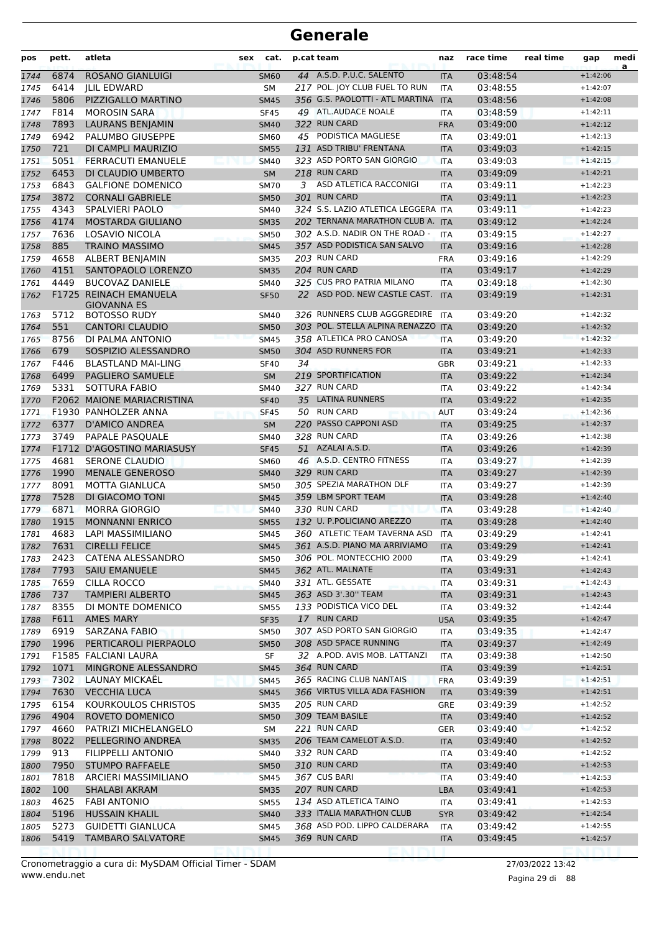| pos          | pett.        | atleta                                       | cat.<br>sex                |    | p.cat team                              | naz                      | race time            | real time | gap                      | medi<br>a |
|--------------|--------------|----------------------------------------------|----------------------------|----|-----------------------------------------|--------------------------|----------------------|-----------|--------------------------|-----------|
| 1744         | 6874         | <b>ROSANO GIANLUIGI</b>                      | <b>SM60</b>                |    | 44 A.S.D. P.U.C. SALENTO                | <b>ITA</b>               | 03:48:54             |           | $+1:42:06$               |           |
| 1745         | 6414         | ILIL EDWARD                                  | SM                         |    | 217 POL. JOY CLUB FUEL TO RUN           | <b>ITA</b>               | 03:48:55             |           | $+1:42:07$               |           |
| 1746         | 5806         | PIZZIGALLO MARTINO                           | <b>SM45</b>                |    | 356 G.S. PAOLOTTI - ATL MARTINA         | <b>ITA</b>               | 03:48:56             |           | $+1:42:08$               |           |
| 1747         | F814         | <b>MOROSIN SARA</b>                          | <b>SF45</b>                |    | 49 ATL.AUDACE NOALE                     | <b>ITA</b>               | 03:48:59             |           | $+1:42:11$               |           |
| 1748         | 7893         | <b>LAURANS BENJAMIN</b>                      | <b>SM40</b>                |    | 322 RUN CARD                            | <b>FRA</b>               | 03:49:00             |           | $+1:42:12$               |           |
| 1749         | 6942         | PALUMBO GIUSEPPE                             | <b>SM60</b>                |    | 45 PODISTICA MAGLIESE                   | <b>ITA</b>               | 03:49:01             |           | $+1:42:13$               |           |
| 1750         | 721          | DI CAMPLI MAURIZIO                           | <b>SM55</b>                |    | 131 ASD TRIBU' FRENTANA                 | <b>ITA</b>               | 03:49:03             |           | $+1:42:15$               |           |
| 1751         | 5051         | <b>FERRACUTI EMANUELE</b>                    | <b>SM40</b>                |    | 323 ASD PORTO SAN GIORGIO               | <b>ITA</b>               | 03:49:03             |           | $+1:42:15$               |           |
| 1752         | 6453         | DI CLAUDIO UMBERTO                           | <b>SM</b>                  |    | 218 RUN CARD                            | <b>ITA</b>               | 03:49:09             |           | $+1:42:21$               |           |
| 1753         | 6843         | <b>GALFIONE DOMENICO</b>                     | <b>SM70</b>                | 3  | ASD ATLETICA RACCONIGI                  | <b>ITA</b>               | 03:49:11             |           | $+1:42:23$               |           |
| 1754         | 3872         | <b>CORNALI GABRIELE</b>                      | <b>SM50</b>                |    | 301 RUN CARD                            | <b>ITA</b>               | 03:49:11             |           | $+1:42:23$               |           |
| 1755         | 4343         | <b>SPALVIERI PAOLO</b>                       | <b>SM40</b>                |    | 324 S.S. LAZIO ATLETICA LEGGERA ITA     |                          | 03:49:11             |           | $+1:42:23$               |           |
| 1756         | 4174         | <b>MOSTARDA GIULIANO</b>                     | <b>SM35</b>                |    | 202 TERNANA MARATHON CLUB A. ITA        |                          | 03:49:12             |           | $+1:42:24$               |           |
| 1757         | 7636         | LOSAVIO NICOLA                               | <b>SM50</b>                |    | 302 A.S.D. NADIR ON THE ROAD -          | <b>ITA</b>               | 03:49:15             |           | $+1:42:27$               |           |
| 1758         | 885          | <b>TRAINO MASSIMO</b>                        | <b>SM45</b>                |    | 357 ASD PODISTICA SAN SALVO             | <b>ITA</b>               | 03:49:16             |           | $+1:42:28$               |           |
| 1759         | 4658         | ALBERT BENJAMIN                              | <b>SM35</b>                |    | 203 RUN CARD                            | <b>FRA</b>               | 03:49:16             |           | $+1:42:29$               |           |
| 1760         | 4151         | SANTOPAOLO LORENZO                           | <b>SM35</b>                |    | 204 RUN CARD                            | <b>ITA</b>               | 03:49:17             |           | $+1:42:29$               |           |
| 1761         | 4449         | <b>BUCOVAZ DANIELE</b>                       | <b>SM40</b>                |    | 325 CUS PRO PATRIA MILANO               | <b>ITA</b>               | 03:49:18             |           | $+1:42:30$               |           |
| 1762         |              | F1725 REINACH EMANUELA<br><b>GIOVANNA ES</b> | <b>SF50</b>                |    | 22 ASD POD. NEW CASTLE CAST.            | <b>ITA</b>               | 03:49:19             |           | $+1:42:31$               |           |
| 1763         | 5712         | <b>BOTOSSO RUDY</b>                          | <b>SM40</b>                |    | 326 RUNNERS CLUB AGGGREDIRE             | ITA                      | 03:49:20             |           | $+1:42:32$               |           |
| 1764         | 551          | <b>CANTORI CLAUDIO</b>                       | <b>SM50</b>                |    | 303 POL. STELLA ALPINA RENAZZO ITA      |                          | 03:49:20             |           | $+1:42:32$               |           |
| 1765         | 8756         | DI PALMA ANTONIO                             | <b>SM45</b>                |    | 358 ATLETICA PRO CANOSA                 | <b>ITA</b>               | 03:49:20             |           | $+1:42:32$               |           |
| 1766         | 679          | SOSPIZIO ALESSANDRO                          | <b>SM50</b>                |    | 304 ASD RUNNERS FOR                     | <b>ITA</b>               | 03:49:21             |           | $+1:42:33$               |           |
| 1767         | F446         | <b>BLASTLAND MAI-LING</b>                    | <b>SF40</b>                | 34 |                                         | <b>GBR</b>               | 03:49:21             |           | $+1:42:33$               |           |
| 1768         | 6499         | <b>PAGLIERO SAMUELE</b>                      | <b>SM</b>                  |    | 219 SPORTIFICATION                      | <b>ITA</b>               | 03:49:22             |           | $+1:42:34$               |           |
| 1769         | 5331         | SOTTURA FABIO                                | <b>SM40</b>                |    | 327 RUN CARD                            | <b>ITA</b>               | 03:49:22             |           | $+1:42:34$               |           |
| 1770         |              | <b>F2062 MAIONE MARIACRISTINA</b>            | <b>SF40</b>                |    | 35 LATINA RUNNERS                       | <b>ITA</b>               | 03:49:22             |           | $+1:42:35$               |           |
| 1771         |              | F1930 PANHOLZER ANNA                         | <b>SF45</b>                |    | 50 RUN CARD                             | <b>AUT</b>               | 03:49:24             |           | $+1:42:36$               |           |
| 1772         | 6377         | <b>D'AMICO ANDREA</b>                        | <b>SM</b>                  |    | 220 PASSO CAPPONI ASD                   | <b>ITA</b>               | 03:49:25             |           | $+1:42:37$               |           |
| 1773         | 3749         | PAPALE PASQUALE                              | SM40                       |    | 328 RUN CARD                            | <b>ITA</b>               | 03:49:26             |           | $+1:42:38$               |           |
| 1774         |              | F1712 D'AGOSTINO MARIASUSY                   | <b>SF45</b>                |    | 51 AZALAI A.S.D.                        | <b>ITA</b>               | 03:49:26             |           | $+1:42:39$               |           |
| 1775         | 4681         | <b>SERONE CLAUDIO</b>                        | <b>SM60</b>                |    | 46 A.S.D. CENTRO FITNESS                | <b>ITA</b>               | 03:49:27             |           | $+1:42:39$               |           |
| 1776         | 1990         | <b>MENALE GENEROSO</b>                       | <b>SM40</b>                |    | 329 RUN CARD                            | <b>ITA</b>               | 03:49:27             |           | $+1:42:39$               |           |
| 1777         | 8091         | <b>MOTTA GIANLUCA</b>                        | <b>SM50</b>                |    | 305 SPEZIA MARATHON DLF                 | <b>ITA</b>               | 03:49:27             |           | $+1:42:39$               |           |
| 1778         | 7528         | DI GIACOMO TONI                              | <b>SM45</b>                |    | 359 LBM SPORT TEAM                      | <b>ITA</b>               | 03:49:28             |           | $+1:42:40$               |           |
| 1779         | 6871         | <b>MORRA GIORGIO</b>                         | <b>SM40</b>                |    | 330 RUN CARD                            | <b>ITA</b>               | 03:49:28             |           | $+1:42:40$               |           |
| 1780         | 1915         | <b>MONNANNI ENRICO</b>                       | <b>SM55</b>                |    | 132 U. P.POLICIANO AREZZO               | <b>ITA</b>               | 03:49:28             |           | $+1:42:40$               |           |
| 1781         | 4683         | LAPI MASSIMILIANO                            | SM45                       |    | 360 ATLETIC TEAM TAVERNA ASD            | <b>ITA</b>               | 03:49:29             |           | $+1:42:41$               |           |
| 1782         | 7631         | <b>CIRELLI FELICE</b>                        | <b>SM45</b>                |    | 361 A.S.D. PIANO MA ARRIVIAMO           | <b>ITA</b>               | 03:49:29             |           | $+1:42:41$               |           |
| 1783         | 2423         | CATENA ALESSANDRO                            | <b>SM50</b>                |    | 306 POL. MONTECCHIO 2000                | ITA                      | 03:49:29             |           | $+1:42:41$               |           |
| 1784         | 7793         | <b>SAIU EMANUELE</b>                         | <b>SM45</b>                |    | 362 ATL. MALNATE                        | <b>ITA</b>               | 03:49:31             |           | $+1:42:43$               |           |
| 1785         | 7659         | CILLA ROCCO                                  | <b>SM40</b>                |    | 331 ATL. GESSATE                        | ITA                      | 03:49:31             |           | $+1:42:43$               |           |
| 1786         | 737          | <b>TAMPIERI ALBERTO</b>                      | <b>SM45</b>                |    | 363 ASD 3'.30" TEAM                     | <b>ITA</b>               | 03:49:31             |           | $+1:42:43$               |           |
| 1787         | 8355         | DI MONTE DOMENICO                            | <b>SM55</b>                |    | 133 PODISTICA VICO DEL<br>17 RUN CARD   | <b>ITA</b>               | 03:49:32             |           | $+1:42:44$               |           |
| 1788         | F611         | <b>AMES MARY</b>                             | <b>SF35</b>                |    | 307 ASD PORTO SAN GIORGIO               | <b>USA</b>               | 03:49:35             |           | $+1:42:47$               |           |
| 1789         | 6919         | SARZANA FABIO                                | <b>SM50</b>                |    | 308 ASD SPACE RUNNING                   | ITA                      | 03:49:35             |           | $+1:42:47$               |           |
| 1790         | 1996         | PERTICAROLI PIERPAOLO                        | <b>SM50</b>                |    | 32 A.POD. AVIS MOB. LATTANZI            | <b>ITA</b>               | 03:49:37             |           | $+1:42:49$               |           |
| 1791         |              | F1585 FALCIANI LAURA                         | SF                         |    |                                         | ITA                      | 03:49:38             |           | $+1:42:50$               |           |
| 1792         | 1071         | MINGRONE ALESSANDRO                          | <b>SM45</b>                |    | 364 RUN CARD<br>365 RACING CLUB NANTAIS | <b>ITA</b>               | 03:49:39             |           | $+1:42:51$               |           |
| 1793<br>1794 | 7302<br>7630 | <b>LAUNAY MICKAEL</b><br><b>VECCHIA LUCA</b> | <b>SM45</b><br><b>SM45</b> |    | 366 VIRTUS VILLA ADA FASHION            | <b>FRA</b><br><b>ITA</b> | 03:49:39<br>03:49:39 |           | $+1:42:51$<br>$+1:42:51$ |           |
|              | 6154         | KOURKOULOS CHRISTOS                          | <b>SM35</b>                |    | 205 RUN CARD                            |                          | 03:49:39             |           | $+1:42:52$               |           |
| 1795<br>1796 | 4904         | ROVETO DOMENICO                              | <b>SM50</b>                |    | 309 TEAM BASILE                         | GRE<br><b>ITA</b>        | 03:49:40             |           | $+1:42:52$               |           |
|              | 4660         | PATRIZI MICHELANGELO                         |                            |    | 221 RUN CARD                            |                          | 03:49:40             |           | $+1:42:52$               |           |
| 1797<br>1798 | 8022         | PELLEGRINO ANDREA                            | SM<br><b>SM35</b>          |    | 206 TEAM CAMELOT A.S.D.                 | GER<br><b>ITA</b>        | 03:49:40             |           | $+1:42:52$               |           |
| 1799         | 913          | FILIPPELLI ANTONIO                           | <b>SM40</b>                |    | 332 RUN CARD                            | ITA                      | 03:49:40             |           | $+1:42:52$               |           |
|              | 7950         | <b>STUMPO RAFFAELE</b>                       | <b>SM50</b>                |    | 310 RUN CARD                            |                          | 03:49:40             |           | $+1:42:53$               |           |
| 1800         | 7818         | ARCIERI MASSIMILIANO                         |                            |    | 367 CUS BARI                            | <b>ITA</b>               | 03:49:40             |           | $+1:42:53$               |           |
| 1801         | 100          | SHALABI AKRAM                                | <b>SM45</b><br><b>SM35</b> |    | 207 RUN CARD                            | ITA                      | 03:49:41             |           | $+1:42:53$               |           |
| 1802         | 4625         | <b>FABI ANTONIO</b>                          |                            |    | 134 ASD ATLETICA TAINO                  | LBA                      | 03:49:41             |           | $+1:42:53$               |           |
| 1803<br>1804 | 5196         | <b>HUSSAIN KHALIL</b>                        | <b>SM55</b><br><b>SM40</b> |    | 333 ITALIA MARATHON CLUB                | ITA<br><b>SYR</b>        | 03:49:42             |           | $+1:42:54$               |           |
| 1805         | 5273         | <b>GUIDETTI GIANLUCA</b>                     | <b>SM45</b>                |    | 368 ASD POD. LIPPO CALDERARA            | ITA                      | 03:49:42             |           | $+1:42:55$               |           |
| 1806         | 5419         | <b>TAMBARO SALVATORE</b>                     | <b>SM45</b>                |    | 369 RUN CARD                            | <b>ITA</b>               | 03:49:45             |           | $+1:42:57$               |           |
|              |              |                                              |                            |    |                                         |                          |                      |           |                          |           |

www.endu.net Cronometraggio a cura di: MySDAM Official Timer - SDAM 27/03/2022 13:42

Pagina 29 di 88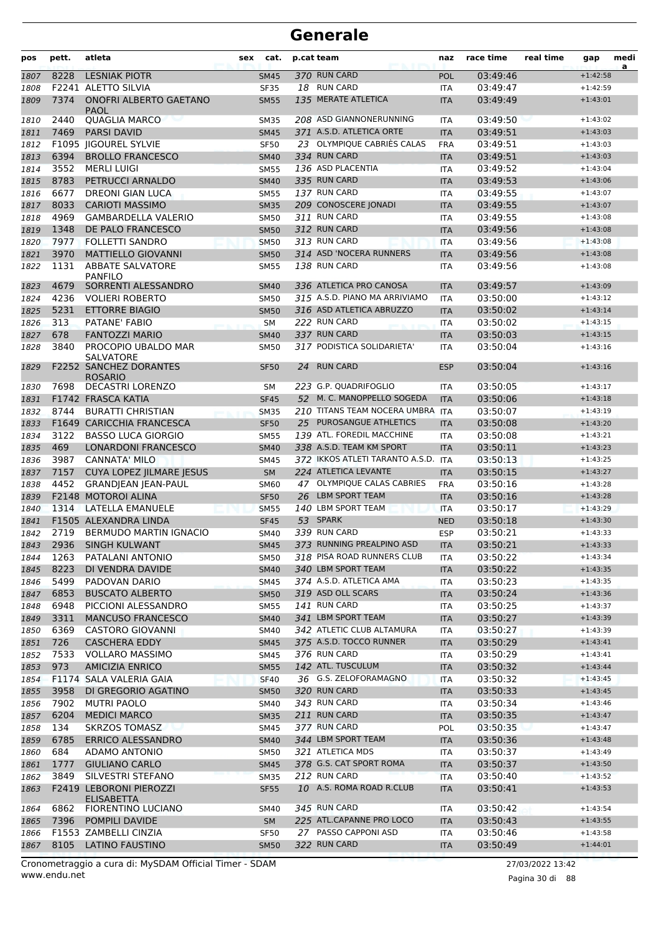| pos          | pett. | atleta                                                   | cat.<br>sex                |    | p.cat team                                                  | naz                      | race time            | real time | gap                      | medi<br>a |
|--------------|-------|----------------------------------------------------------|----------------------------|----|-------------------------------------------------------------|--------------------------|----------------------|-----------|--------------------------|-----------|
| 1807         | 8228  | <b>LESNIAK PIOTR</b>                                     | <b>SM45</b>                |    | 370 RUN CARD                                                | <b>POL</b>               | 03:49:46             |           | $+1:42:58$               |           |
| 1808         |       | <b>F2241 ALETTO SILVIA</b>                               | <b>SF35</b>                |    | 18 RUN CARD                                                 | <b>ITA</b>               | 03:49:47             |           | $+1:42:59$               |           |
| 1809         | 7374  | <b>ONOFRI ALBERTO GAETANO</b><br>PAOL                    | <b>SM55</b>                |    | 135 MERATE ATLETICA                                         | <b>ITA</b>               | 03:49:49             |           | $+1:43:01$               |           |
| 1810         | 2440  | <b>OUAGLIA MARCO</b>                                     | <b>SM35</b>                |    | 208 ASD GIANNONERUNNING                                     | ITA                      | 03:49:50             |           | $+1:43:02$               |           |
| 1811         | 7469  | <b>PARSI DAVID</b>                                       | <b>SM45</b>                |    | 371 A.S.D. ATLETICA ORTE                                    | <b>ITA</b>               | 03:49:51             |           | $+1:43:03$               |           |
| 1812         |       | <b>F1095 IIGOUREL SYLVIE</b>                             | <b>SF50</b>                |    | 23 OLYMPIQUE CABRIÈS CALAS                                  | <b>FRA</b>               | 03:49:51             |           | $+1:43:03$               |           |
| 1813         | 6394  | <b>BROLLO FRANCESCO</b>                                  | <b>SM40</b>                |    | 334 RUN CARD                                                | <b>ITA</b>               | 03:49:51             |           | $+1:43:03$               |           |
| 1814         | 3552  | <b>MERLI LUIGI</b>                                       | <b>SM55</b>                |    | 136 ASD PLACENTIA                                           | <b>ITA</b>               | 03:49:52             |           | $+1:43:04$               |           |
| 1815         | 8783  | PETRUCCI ARNALDO                                         | <b>SM40</b>                |    | 335 RUN CARD                                                | <b>ITA</b>               | 03:49:53             |           | $+1:43:06$               |           |
| 1816         | 6677  | <b>DREONI GIAN LUCA</b>                                  | <b>SM55</b>                |    | 137 RUN CARD                                                | <b>ITA</b>               | 03:49:55             |           | $+1:43:07$               |           |
| 1817         | 8033  | <b>CARIOTI MASSIMO</b>                                   | <b>SM35</b>                |    | 209 CONOSCERE JONADI                                        | <b>ITA</b>               | 03:49:55             |           | $+1:43:07$               |           |
| 1818         | 4969  | <b>GAMBARDELLA VALERIO</b>                               | <b>SM50</b>                |    | 311 RUN CARD                                                | <b>ITA</b>               | 03:49:55             |           | $+1:43:08$               |           |
| 1819         | 1348  | DE PALO FRANCESCO                                        | <b>SM50</b>                |    | 312 RUN CARD                                                | <b>ITA</b>               | 03:49:56             |           | $+1:43:08$               |           |
| 1820         | 7977  | <b>FOLLETTI SANDRO</b>                                   | <b>SM50</b>                |    | 313 RUN CARD                                                | <b>ITA</b>               | 03:49:56             |           | $+1:43:08$               |           |
| 1821         | 3970  | <b>MATTIELLO GIOVANNI</b>                                | <b>SM50</b>                |    | 314 ASD 'NOCERA RUNNERS                                     | <b>ITA</b>               | 03:49:56             |           | $+1:43:08$               |           |
| 1822         | 1131  | <b>ABBATE SALVATORE</b><br><b>PANFILO</b>                | <b>SM55</b>                |    | 138 RUN CARD                                                | <b>ITA</b>               | 03:49:56             |           | $+1:43:08$               |           |
| 1823         | 4679  | SORRENTI ALESSANDRO                                      | <b>SM40</b>                |    | 336 ATLETICA PRO CANOSA                                     | <b>ITA</b>               | 03:49:57             |           | $+1:43:09$               |           |
| 1824         | 4236  | <b>VOLIERI ROBERTO</b>                                   | <b>SM50</b>                |    | 315 A.S.D. PIANO MA ARRIVIAMO                               | <b>ITA</b>               | 03:50:00             |           | $+1:43:12$               |           |
| 1825         | 5231  | <b>ETTORRE BIAGIO</b>                                    | <b>SM50</b>                |    | 316 ASD ATLETICA ABRUZZO                                    | <b>ITA</b>               | 03:50:02             |           | $+1:43:14$               |           |
| 1826         | 313   | PATANE' FABIO                                            | <b>SM</b>                  |    | 222 RUN CARD                                                | <b>ITA</b>               | 03:50:02             |           | $+1:43:15$               |           |
| 1827         | 678   | <b>FANTOZZI MARIO</b>                                    | <b>SM40</b>                |    | 337 RUN CARD                                                | <b>ITA</b>               | 03:50:03             |           | $+1:43:15$               |           |
| 1828         | 3840  | PROCOPIO UBALDO MAR<br><b>SALVATORE</b>                  | <b>SM50</b>                |    | 317 PODISTICA SOLIDARIETA'                                  | <b>ITA</b>               | 03:50:04             |           | $+1:43:16$               |           |
| 1829         |       | <b>F2252 SANCHEZ DORANTES</b><br>ROSARIO                 | <b>SF50</b>                | 24 | <b>RUN CARD</b>                                             | <b>ESP</b>               | 03:50:04             |           | $+1:43:16$               |           |
| 1830         | 7698  | DECASTRI LORENZO                                         | <b>SM</b>                  |    | 223 G.P. QUADRIFOGLIO                                       | <b>ITA</b>               | 03:50:05             |           | $+1:43:17$               |           |
| 1831         |       | F1742 FRASCA KATIA                                       | <b>SF45</b>                |    | 52 M. C. MANOPPELLO SOGEDA                                  | <b>ITA</b>               | 03:50:06             |           | $+1:43:18$               |           |
| 1832         | 8744  | <b>BURATTI CHRISTIAN</b>                                 | <b>SM35</b>                |    | 210 TITANS TEAM NOCERA UMBRA                                | <b>ITA</b>               | 03:50:07             |           | $+1:43:19$               |           |
| 1833         |       | F1649 CARICCHIA FRANCESCA                                | <b>SF50</b>                | 25 | PUROSANGUE ATHLETICS                                        | <b>ITA</b>               | 03:50:08             |           | $+1:43:20$               |           |
| 1834         | 3122  | <b>BASSO LUCA GIORGIO</b>                                | <b>SM55</b>                |    | 139 ATL. FOREDIL MACCHINE                                   | <b>ITA</b>               | 03:50:08             |           | $+1:43:21$               |           |
| 1835         | 469   | <b>LONARDONI FRANCESCO</b>                               | <b>SM40</b>                |    | 338 A.S.D. TEAM KM SPORT                                    | <b>ITA</b>               | 03:50:11             |           | $+1:43:23$               |           |
| 1836         | 3987  | <b>CANNATA' MILO</b>                                     | <b>SM45</b>                |    | 372 IKKOS ATLETI TARANTO A.S.D. ITA<br>224 ATLETICA LEVANTE |                          | 03:50:13             |           | $+1:43:25$               |           |
| 1837         | 7157  | <b>CUYA LOPEZ JILMARE JESUS</b>                          | <b>SM</b>                  |    | <b>OLYMPIQUE CALAS CABRIES</b>                              | <b>ITA</b>               | 03:50:15             |           | $+1:43:27$               |           |
| 1838         | 4452  | <b>GRANDJEAN JEAN-PAUL</b><br><b>F2148 MOTOROI ALINA</b> | <b>SM60</b>                | 47 | <b>LBM SPORT TEAM</b>                                       | <b>FRA</b>               | 03:50:16<br>03:50:16 |           | $+1:43:28$<br>$+1:43:28$ |           |
| 1839         |       |                                                          | <b>SF50</b>                | 26 | 140 LBM SPORT TEAM                                          | <b>ITA</b>               | 03:50:17             |           | $+1:43:29$               |           |
| 1840         | 1314  | LATELLA EMANUELE                                         | <b>SM55</b>                |    | 53 SPARK                                                    | <b>ITA</b>               |                      |           |                          |           |
| 1841<br>1842 | 2719  | F1505 ALEXANDRA LINDA<br><b>BERMUDO MARTIN IGNACIO</b>   | <b>SF45</b><br><b>SM40</b> |    | 339 RUN CARD                                                | <b>NED</b><br><b>ESP</b> | 03:50:18<br>03:50:21 |           | $+1:43:30$<br>$+1:43:33$ |           |
| 1843         |       | 2936 SINGH KULWANT                                       | <b>SM45</b>                |    | 373 RUNNING PREALPINO ASD                                   | <b>ITA</b>               | 03:50:21             |           | $+1:43:33$               |           |
|              | 1263  | PATALANI ANTONIO                                         | <b>SM50</b>                |    | 318 PISA ROAD RUNNERS CLUB                                  |                          | 03:50:22             |           | $+1:43:34$               |           |
| 1844<br>1845 | 8223  | DI VENDRA DAVIDE                                         | <b>SM40</b>                |    | 340 LBM SPORT TEAM                                          | <b>ITA</b>               | 03:50:22             |           | $+1:43:35$               |           |
|              | 5499  | PADOVAN DARIO                                            | <b>SM45</b>                |    | 374 A.S.D. ATLETICA AMA                                     | ITA                      | 03:50:23             |           | $+1:43:35$               |           |
| 1846         | 6853  | <b>BUSCATO ALBERTO</b>                                   | <b>SM50</b>                |    | 319 ASD OLL SCARS                                           | ITA                      | 03:50:24             |           | $+1:43:36$               |           |
| 1847         | 6948  | PICCIONI ALESSANDRO                                      | <b>SM55</b>                |    | 141 RUN CARD                                                | <b>ITA</b><br><b>ITA</b> | 03:50:25             |           | $+1:43:37$               |           |
| 1848<br>1849 | 3311  | <b>MANCUSO FRANCESCO</b>                                 | <b>SM40</b>                |    | 341 LBM SPORT TEAM                                          | <b>ITA</b>               | 03:50:27             |           | $+1:43:39$               |           |
| 1850         | 6369  | <b>CASTORO GIOVANNI</b>                                  | <b>SM40</b>                |    | 342 ATLETIC CLUB ALTAMURA                                   | ITA                      | 03:50:27             |           | $+1:43:39$               |           |
| 1851         | 726   | <b>CASCHERA EDDY</b>                                     | <b>SM45</b>                |    | 375 A.S.D. TOCCO RUNNER                                     | <b>ITA</b>               | 03:50:29             |           | $+1:43:41$               |           |
| 1852         | 7533  | <b>VOLLARO MASSIMO</b>                                   | <b>SM45</b>                |    | 376 RUN CARD                                                | <b>ITA</b>               | 03:50:29             |           | $+1:43:41$               |           |
| 1853         | 973   | <b>AMICIZIA ENRICO</b>                                   | <b>SM55</b>                |    | 142 ATL. TUSCULUM                                           | <b>ITA</b>               | 03:50:32             |           | $+1:43:44$               |           |
| 1854         |       | F1174 SALA VALERIA GAIA                                  | <b>SF40</b>                |    | 36 G.S. ZELOFORAMAGNO                                       | <b>ITA</b>               | 03:50:32             |           | $+1:43:45$               |           |
| 1855         | 3958  | DI GREGORIO AGATINO                                      | <b>SM50</b>                |    | 320 RUN CARD                                                | <b>ITA</b>               | 03:50:33             |           | $+1:43:45$               |           |
| 1856         | 7902  | <b>MUTRI PAOLO</b>                                       | <b>SM40</b>                |    | 343 RUN CARD                                                | <b>ITA</b>               | 03:50:34             |           | $+1:43:46$               |           |
| 1857         | 6204  | <b>MEDICI MARCO</b>                                      | <b>SM35</b>                |    | 211 RUN CARD                                                | <b>ITA</b>               | 03:50:35             |           | $+1:43:47$               |           |
| 1858         | 134   | <b>SKRZOS TOMASZ</b>                                     | <b>SM45</b>                |    | 377 RUN CARD                                                | <b>POL</b>               | 03:50:35             |           | $+1:43:47$               |           |
| 1859         | 6785  | <b>ERRICO ALESSANDRO</b>                                 | <b>SM40</b>                |    | 344 LBM SPORT TEAM                                          | <b>ITA</b>               | 03:50:36             |           | $+1:43:48$               |           |
| 1860         | 684   | ADAMO ANTONIO                                            | <b>SM50</b>                |    | 321 ATLETICA MDS                                            | ITA                      | 03:50:37             |           | $+1:43:49$               |           |
| 1861         | 1777  | <b>GIULIANO CARLO</b>                                    | <b>SM45</b>                |    | 378 G.S. CAT SPORT ROMA                                     | <b>ITA</b>               | 03:50:37             |           | $+1:43:50$               |           |
| 1862         | 3849  | SILVESTRI STEFANO                                        | <b>SM35</b>                |    | 212 RUN CARD                                                | <b>ITA</b>               | 03:50:40             |           | $+1:43:52$               |           |
| 1863         |       | <b>F2419 LEBORONI PIEROZZI</b>                           | <b>SF55</b>                |    | 10 A.S. ROMA ROAD R.CLUB                                    | <b>ITA</b>               | 03:50:41             |           | $+1:43:53$               |           |
| 1864         | 6862  | ELISABETTA<br><b>FIORENTINO LUCIANO</b>                  | <b>SM40</b>                |    | 345 RUN CARD                                                | ITA                      | 03:50:42             |           | $+1:43:54$               |           |
| 1865         | 7396  | POMPILI DAVIDE                                           | <b>SM</b>                  |    | 225 ATL.CAPANNE PRO LOCO                                    | <b>ITA</b>               | 03:50:43             |           | $+1:43:55$               |           |
| 1866         |       | F1553 ZAMBELLI CINZIA                                    | <b>SF50</b>                |    | 27 PASSO CAPPONI ASD                                        | ITA                      | 03:50:46             |           | $+1:43:58$               |           |
| 1867         | 8105  | <b>LATINO FAUSTINO</b>                                   | <b>SM50</b>                |    | 322 RUN CARD                                                | <b>ITA</b>               | 03:50:49             |           | $+1:44:01$               |           |
|              |       |                                                          |                            |    |                                                             |                          |                      |           |                          |           |

www.endu.net Cronometraggio a cura di: MySDAM Official Timer - SDAM 27/03/2022 13:42

Pagina 30 di 88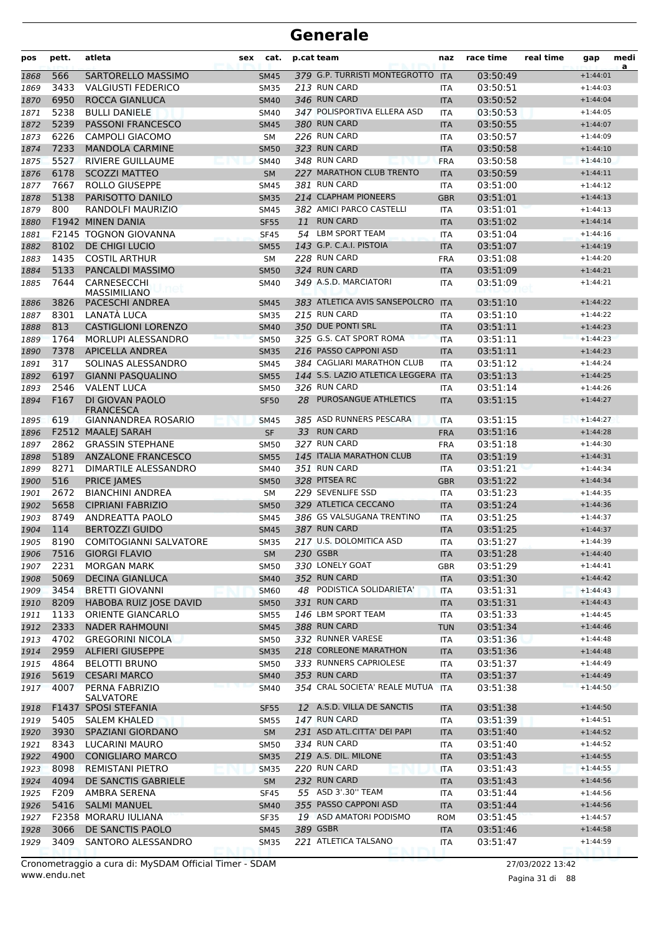| pos          | pett.        | atleta                                            | sex | cat.                       | p.cat team |                                             | naz                      | race time            | real time | gap                      | medi<br>a |
|--------------|--------------|---------------------------------------------------|-----|----------------------------|------------|---------------------------------------------|--------------------------|----------------------|-----------|--------------------------|-----------|
| 1868         | 566          | SARTORELLO MASSIMO                                |     | <b>SM45</b>                |            | 379 G.P. TURRISTI MONTEGROTTO ITA           |                          | 03:50:49             |           | $+1:44:01$               |           |
| 1869         | 3433         | <b>VALGIUSTI FEDERICO</b>                         |     | <b>SM35</b>                |            | 213 RUN CARD                                | <b>ITA</b>               | 03:50:51             |           | $+1:44:03$               |           |
| 1870         | 6950         | ROCCA GIANLUCA                                    |     | <b>SM40</b>                |            | 346 RUN CARD                                | <b>ITA</b>               | 03:50:52             |           | $+1:44:04$               |           |
| 1871         | 5238         | <b>BULLI DANIELE</b>                              |     | <b>SM40</b>                |            | 347 POLISPORTIVA ELLERA ASD                 | <b>ITA</b>               | 03:50:53             |           | $+1:44:05$               |           |
| 1872         | 5239         | <b>PASSONI FRANCESCO</b>                          |     | <b>SM45</b>                |            | 380 RUN CARD                                | <b>ITA</b>               | 03:50:55             |           | $+1:44:07$               |           |
| 1873         | 6226         | <b>CAMPOLI GIACOMO</b>                            |     | <b>SM</b>                  |            | 226 RUN CARD                                | <b>ITA</b>               | 03:50:57             |           | $+1:44:09$               |           |
| 1874         | 7233         | <b>MANDOLA CARMINE</b>                            |     | <b>SM50</b>                |            | 323 RUN CARD                                | <b>ITA</b>               | 03:50:58             |           | $+1:44:10$               |           |
| 1875         | 5527         | RIVIERE GUILLAUME                                 |     | <b>SM40</b>                |            | 348 RUN CARD                                | <b>FRA</b>               | 03:50:58             |           | $+1:44:10$               |           |
| 1876         | 6178         | <b>SCOZZI MATTEO</b>                              |     | <b>SM</b>                  |            | 227 MARATHON CLUB TRENTO<br>381 RUN CARD    | <b>ITA</b>               | 03:50:59             |           | $+1:44:11$               |           |
| 1877         | 7667         | ROLLO GIUSEPPE                                    |     | <b>SM45</b>                |            | 214 CLAPHAM PIONEERS                        | ITA                      | 03:51:00             |           | $+1:44:12$               |           |
| 1878         | 5138<br>800  | PARISOTTO DANILO<br>RANDOLFI MAURIZIO             |     | <b>SM35</b>                |            | 382 AMICI PARCO CASTELLI                    | <b>GBR</b>               | 03:51:01             |           | $+1:44:13$               |           |
| 1879         |              | F1942 MINEN DANIA                                 |     | <b>SM45</b>                | 11         | <b>RUN CARD</b>                             | <b>ITA</b>               | 03:51:01             |           | $+1:44:13$<br>$+1:44:14$ |           |
| 1880<br>1881 |              | <b>F2145 TOGNON GIOVANNA</b>                      |     | <b>SF55</b><br><b>SF45</b> |            | 54 LBM SPORT TEAM                           | <b>ITA</b><br>ITA        | 03:51:02<br>03:51:04 |           | $+1:44:16$               |           |
| 1882         | 8102         | DE CHIGI LUCIO                                    |     | <b>SM55</b>                |            | 143 G.P. C.A.I. PISTOIA                     | <b>ITA</b>               | 03:51:07             |           | $+1:44:19$               |           |
| 1883         | 1435         | <b>COSTIL ARTHUR</b>                              |     | SΜ                         |            | 228 RUN CARD                                | <b>FRA</b>               | 03:51:08             |           | $+1:44:20$               |           |
| 1884         | 5133         | PANCALDI MASSIMO                                  |     | <b>SM50</b>                |            | 324 RUN CARD                                | <b>ITA</b>               | 03:51:09             |           | $+1:44:21$               |           |
| 1885         | 7644         | CARNESECCHI                                       |     | <b>SM40</b>                |            | 349 A.S.D. MARCIATORI                       | <b>ITA</b>               | 03:51:09             |           | $+1:44:21$               |           |
|              |              | <b>MASSIMILIANO</b>                               |     |                            |            |                                             |                          |                      |           |                          |           |
| 1886         | 3826         | <b>PACESCHI ANDREA</b>                            |     | <b>SM45</b>                |            | 383 ATLETICA AVIS SANSEPOLCRO               | <b>ITA</b>               | 03:51:10             |           | $+1:44:22$               |           |
| 1887         | 8301         | LANATÀ LUCA                                       |     | <b>SM35</b>                |            | 215 RUN CARD                                | ITA                      | 03:51:10             |           | $+1:44:22$               |           |
| 1888         | 813          | <b>CASTIGLIONI LORENZO</b>                        |     | <b>SM40</b>                |            | 350 DUE PONTI SRL                           | <b>ITA</b>               | 03:51:11             |           | $+1:44:23$               |           |
| 1889         | 1764         | <b>MORLUPI ALESSANDRO</b>                         |     | <b>SM50</b>                |            | 325 G.S. CAT SPORT ROMA                     | <b>ITA</b>               | 03:51:11             |           | $+1:44:23$               |           |
| 1890         | 7378         | <b>APICELLA ANDREA</b>                            |     | <b>SM35</b>                |            | 216 PASSO CAPPONI ASD                       | <b>ITA</b>               | 03:51:11             |           | $+1:44:23$               |           |
| 1891         | 317          | SOLINAS ALESSANDRO                                |     | <b>SM45</b>                |            | 384 CAGLIARI MARATHON CLUB                  | <b>ITA</b>               | 03:51:12             |           | $+1:44:24$               |           |
| 1892         | 6197         | <b>GIANNI PASQUALINO</b>                          |     | <b>SM55</b>                |            | 144 S.S. LAZIO ATLETICA LEGGERA ITA         |                          | 03:51:13             |           | $+1:44:25$               |           |
| 1893         | 2546         | <b>VALENT LUCA</b>                                |     | <b>SM50</b>                |            | 326 RUN CARD                                | ITA                      | 03:51:14             |           | $+1:44:26$               |           |
| 1894         | F167         | DI GIOVAN PAOLO<br>FRANCESCA                      |     | <b>SF50</b>                | 28         | PUROSANGUE ATHLETICS                        | <b>ITA</b>               | 03:51:15             |           | $+1:44:27$               |           |
| 1895         | 619          | <b>GIANNANDREA ROSARIO</b>                        |     | <b>SM45</b>                |            | 385 ASD RUNNERS PESCARA                     | <b>ITA</b>               | 03:51:15             |           | $+1:44:27$               |           |
| 1896         |              | F2512 MAALEJ SARAH                                |     | <b>SF</b>                  |            | 33 RUN CARD<br>327 RUN CARD                 | <b>FRA</b>               | 03:51:16             |           | $+1:44:28$               |           |
| 1897         | 2862         | <b>GRASSIN STEPHANE</b>                           |     | <b>SM50</b>                |            |                                             | <b>FRA</b>               | 03:51:18             |           | $+1:44:30$               |           |
| 1898         | 5189<br>8271 | <b>ANZALONE FRANCESCO</b><br>DIMARTILE ALESSANDRO |     | <b>SM55</b>                |            | 145 ITALIA MARATHON CLUB<br>351 RUN CARD    | <b>ITA</b>               | 03:51:19<br>03:51:21 |           | $+1:44:31$<br>$+1:44:34$ |           |
| 1899<br>1900 | 516          | <b>PRICE JAMES</b>                                |     | <b>SM40</b><br><b>SM50</b> |            | 328 PITSEA RC                               | <b>ITA</b><br><b>GBR</b> | 03:51:22             |           | $+1:44:34$               |           |
| 1901         | 2672         | <b>BIANCHINI ANDREA</b>                           |     | SM                         |            | 229 SEVENLIFE SSD                           | ITA                      | 03:51:23             |           | $+1:44:35$               |           |
| 1902         | 5658         | <b>CIPRIANI FABRIZIO</b>                          |     | <b>SM50</b>                |            | 329 ATLETICA CECCANO                        | <b>ITA</b>               | 03:51:24             |           | $+1:44:36$               |           |
| 1903         | 8749         | ANDREATTA PAOLO                                   |     | <b>SM45</b>                |            | 386 GS VALSUGANA TRENTINO                   | ITA                      | 03:51:25             |           | $+1:44:37$               |           |
| 1904         | 114          | <b>BERTOZZI GUIDO</b>                             |     | <b>SM45</b>                |            | 387 RUN CARD                                | <b>ITA</b>               | 03:51:25             |           | $+1:44:37$               |           |
| 1905         | 8190         | COMITOGIANNI SALVATORE                            |     | <b>SM35</b>                |            | 217 U.S. DOLOMITICA ASD                     | <b>ITA</b>               | 03:51:27             |           | $+1:44:39$               |           |
| 1906         | 7516         | <b>GIORGI FLAVIO</b>                              |     | <b>SM</b>                  |            | 230 GSBR                                    | <b>ITA</b>               | 03:51:28             |           | $+1:44:40$               |           |
| 1907         | 2231         | <b>MORGAN MARK</b>                                |     | <b>SM50</b>                |            | 330 LONELY GOAT                             | <b>GBR</b>               | 03:51:29             |           | $+1:44:41$               |           |
| 1908         | 5069         | <b>DECINA GIANLUCA</b>                            |     | <b>SM40</b>                |            | 352 RUN CARD                                | <b>ITA</b>               | 03:51:30             |           | $+1:44:42$               |           |
| 1909         | 3454         | <b>BRETTI GIOVANNI</b>                            |     | <b>SM60</b>                | 48         | PODISTICA SOLIDARIETA'                      | ITA                      | 03:51:31             |           | $+1:44:43$               |           |
| 1910         | 8209         | HABOBA RUIZ JOSE DAVID                            |     | <b>SM50</b>                |            | 331 RUN CARD                                | <b>ITA</b>               | 03:51:31             |           | $+1:44:43$               |           |
| 1911         | 1133         | <b>ORIENTE GIANCARLO</b>                          |     | <b>SM55</b>                |            | 146 LBM SPORT TEAM                          | <b>ITA</b>               | 03:51:33             |           | $+1:44:45$               |           |
| 1912         | 2333         | <b>NADER RAHMOUNI</b>                             |     | <b>SM45</b>                |            | 388 RUN CARD                                | <b>TUN</b>               | 03:51:34             |           | $+1:44:46$               |           |
| 1913         | 4702         | <b>GREGORINI NICOLA</b>                           |     | <b>SM50</b>                |            | 332 RUNNER VARESE                           | <b>ITA</b>               | 03:51:36             |           | $+1:44:48$               |           |
| 1914         | 2959         | <b>ALFIERI GIUSEPPE</b>                           |     | <b>SM35</b>                |            | 218 CORLEONE MARATHON                       | <b>ITA</b>               | 03:51:36             |           | $+1:44:48$               |           |
| 1915         | 4864         | <b>BELOTTI BRUNO</b>                              |     | <b>SM50</b>                |            | 333 RUNNERS CAPRIOLESE                      | ITA                      | 03:51:37             |           | $+1:44:49$               |           |
| 1916         | 5619         | <b>CESARI MARCO</b>                               |     | <b>SM40</b>                |            | 353 RUN CARD                                | <b>ITA</b>               | 03:51:37             |           | $+1:44:49$               |           |
| 1917         | 4007         | PERNA FABRIZIO<br>SALVATORE                       |     | <b>SM40</b>                |            | 354 CRAL SOCIETA' REALE MUTUA               | <b>ITA</b>               | 03:51:38             |           | $+1:44:50$               |           |
| 1918         |              | F1437 SPOSI STEFANIA                              |     | <b>SF55</b>                |            | 12 A.S.D. VILLA DE SANCTIS                  | <b>ITA</b>               | 03:51:38             |           | $+1:44:50$               |           |
| 1919         | 5405         | SALEM KHALED                                      |     | SM55                       |            | 147 RUN CARD                                | ITA                      | 03:51:39             |           | $+1:44:51$               |           |
| 1920         | 3930         | SPAZIANI GIORDANO                                 |     | SM                         |            | 231 ASD ATL.CITTA' DEI PAPI                 | <b>ITA</b>               | 03:51:40             |           | $+1:44:52$               |           |
| 1921         | 8343         | LUCARINI MAURO                                    |     | <b>SM50</b>                |            | 334 RUN CARD                                | ITA                      | 03:51:40             |           | $+1:44:52$               |           |
| 1922         | 4900         | <b>CONIGLIARO MARCO</b>                           |     | <b>SM35</b>                |            | 219 A.S. DIL. MILONE                        | <b>ITA</b>               | 03:51:43             |           | $+1:44:55$               |           |
| 1923         | 8098         | <b>REMISTANI PIETRO</b>                           |     | <b>SM35</b>                |            | 220 RUN CARD                                | <b>ITA</b>               | 03:51:43             |           | $+1:44:55$               |           |
| 1924         | 4094         | DE SANCTIS GABRIELE                               |     | <b>SM</b>                  |            | 232 RUN CARD                                | <b>ITA</b>               | 03:51:43             |           | $+1:44:56$               |           |
| 1925         | F209<br>5416 | AMBRA SERENA<br><b>SALMI MANUEL</b>               |     | <b>SF45</b>                |            | 55 ASD 3'.30" TEAM<br>355 PASSO CAPPONI ASD | <b>ITA</b>               | 03:51:44             |           | $+1:44:56$<br>$+1:44:56$ |           |
| 1926<br>1927 |              | F2358 MORARU IULIANA                              |     | <b>SM40</b><br><b>SF35</b> |            | 19 ASD AMATORI PODISMO                      | <b>ITA</b><br>ROM        | 03:51:44<br>03:51:45 |           | $+1:44:57$               |           |
| 1928         | 3066         | DE SANCTIS PAOLO                                  |     | <b>SM45</b>                |            | 389 GSBR                                    | <b>ITA</b>               | 03:51:46             |           | $+1:44:58$               |           |
| 1929         | 3409         | SANTORO ALESSANDRO                                |     | <b>SM35</b>                |            | 221 ATLETICA TALSANO                        | ITA                      | 03:51:47             |           | $+1:44:59$               |           |
|              |              |                                                   |     |                            |            |                                             |                          |                      |           |                          |           |

www.endu.net Cronometraggio a cura di: MySDAM Official Timer - SDAM 27/03/2022 13:42

Pagina 31 di 88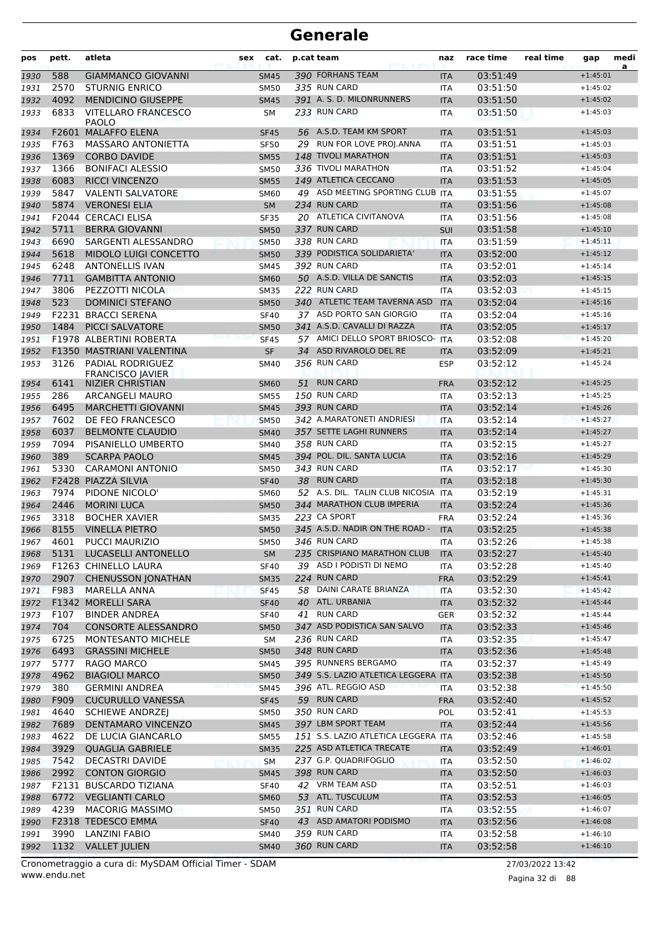| pos          | pett.        | atleta                                        | sex | cat.                       |    | p.cat team                                           | naz                      | race time            | real time | gap                      | medi<br>a |
|--------------|--------------|-----------------------------------------------|-----|----------------------------|----|------------------------------------------------------|--------------------------|----------------------|-----------|--------------------------|-----------|
| 1930         | 588          | <b>GIAMMANCO GIOVANNI</b>                     |     | <b>SM45</b>                |    | 390 FORHANS TEAM                                     | <b>ITA</b>               | 03:51:49             |           | $+1:45:01$               |           |
| 1931         | 2570         | <b>STURNIG ENRICO</b>                         |     | <b>SM50</b>                |    | 335 RUN CARD                                         | ITA                      | 03:51:50             |           | $+1:45:02$               |           |
| 1932         | 4092         | <b>MENDICINO GIUSEPPE</b>                     |     | <b>SM45</b>                |    | 391 A. S. D. MILONRUNNERS                            | <b>ITA</b>               | 03:51:50             |           | $+1:45:02$               |           |
| 1933         | 6833         | <b>VITELLARO FRANCESCO</b><br><b>PAOLO</b>    |     | SM                         |    | 233 RUN CARD                                         | <b>ITA</b>               | 03:51:50             |           | $+1:45:03$               |           |
| 1934         |              | F2601 MALAFFO ELENA                           |     | <b>SF45</b>                |    | 56 A.S.D. TEAM KM SPORT                              | <b>ITA</b>               | 03:51:51             |           | $+1:45:03$               |           |
| 1935         | F763         | <b>MASSARO ANTONIETTA</b>                     |     | <b>SF50</b>                | 29 | RUN FOR LOVE PROJ.ANNA                               | ITA                      | 03:51:51             |           | $+1:45:03$               |           |
| 1936         | 1369         | <b>CORBO DAVIDE</b>                           |     | <b>SM55</b>                |    | 148 TIVOLI MARATHON                                  | <b>ITA</b>               | 03:51:51             |           | $+1:45:03$               |           |
| 1937         | 1366         | <b>BONIFACI ALESSIO</b>                       |     | <b>SM50</b>                |    | 336 TIVOLI MARATHON                                  | <b>ITA</b>               | 03:51:52             |           | $+1:45:04$               |           |
| 1938         | 6083         | <b>RICCI VINCENZO</b>                         |     | <b>SM55</b>                |    | 149 ATLETICA CECCANO                                 | <b>ITA</b>               | 03:51:53             |           | $+1:45:05$               |           |
| 1939         | 5847         | <b>VALENTI SALVATORE</b>                      |     | <b>SM60</b>                |    | 49 ASD MEETING SPORTING CLUB ITA                     |                          | 03:51:55             |           | $+1:45:07$               |           |
| 1940         | 5874         | <b>VERONESI ELIA</b>                          |     | <b>SM</b>                  |    | 234 RUN CARD                                         | <b>ITA</b>               | 03:51:56             |           | $+1:45:08$               |           |
| 1941         |              | <b>F2044 CERCACI ELISA</b>                    |     | <b>SF35</b>                |    | 20 ATLETICA CIVITANOVA                               | ITA                      | 03:51:56             |           | $+1:45:08$               |           |
| 1942         | 5711         | <b>BERRA GIOVANNI</b>                         |     | <b>SM50</b>                |    | 337 RUN CARD                                         | <b>SUI</b>               | 03:51:58             |           | $+1:45:10$               |           |
| 1943         | 6690         | SARGENTI ALESSANDRO                           |     | <b>SM50</b>                |    | 338 RUN CARD                                         | <b>ITA</b>               | 03:51:59             |           | $+1:45:11$               |           |
| 1944         | 5618         | MIDOLO LUIGI CONCETTO                         |     | <b>SM50</b>                |    | 339 PODISTICA SOLIDARIETA'                           | <b>ITA</b>               | 03:52:00             |           | $+1:45:12$               |           |
| 1945         | 6248         | <b>ANTONELLIS IVAN</b>                        |     | <b>SM45</b>                |    | 392 RUN CARD                                         | ITA                      | 03:52:01             |           | $+1:45:14$               |           |
| 1946         | 7711         | <b>GAMBITTA ANTONIO</b>                       |     | <b>SM60</b>                |    | 50 A.S.D. VILLA DE SANCTIS                           | <b>ITA</b>               | 03:52:03             |           | $+1:45:15$               |           |
| 1947         | 3806         | PEZZOTTI NICOLA                               |     | <b>SM35</b>                |    | 222 RUN CARD                                         | <b>ITA</b>               | 03:52:03             |           | $+1:45:15$               |           |
| 1948         | 523          | <b>DOMINICI STEFANO</b>                       |     | <b>SM50</b>                |    | 340 ATLETIC TEAM TAVERNA ASD                         | <b>ITA</b>               | 03:52:04             |           | $+1:45:16$               |           |
| 1949         |              | F2231 BRACCI SERENA                           |     | <b>SF40</b>                |    | 37 ASD PORTO SAN GIORGIO                             | <b>ITA</b>               | 03:52:04             |           | $+1:45:16$               |           |
| 1950         | 1484         | <b>PICCI SALVATORE</b>                        |     | <b>SM50</b>                |    | 341 A.S.D. CAVALLI DI RAZZA                          | <b>ITA</b>               | 03:52:05             |           | $+1:45:17$               |           |
| 1951         |              | F1978 ALBERTINI ROBERTA                       |     | <b>SF45</b>                |    | 57 AMICI DELLO SPORT BRIOSCO- ITA                    |                          | 03:52:08             |           | $+1:45:20$               |           |
| 1952         |              | F1350 MASTRIANI VALENTINA                     |     | <b>SF</b>                  |    | 34 ASD RIVAROLO DEL RE<br>356 RUN CARD               | <b>ITA</b>               | 03:52:09             |           | $+1:45:21$               |           |
| 1953         | 3126         | PADIAL RODRIGUEZ<br><b>FRANCISCO JAVIER</b>   |     | <b>SM40</b>                |    |                                                      | <b>ESP</b>               | 03:52:12             |           | $+1:45:24$               |           |
| 1954         | 6141         | NIZIER CHRISTIAN                              |     | <b>SM60</b>                | 51 | <b>RUN CARD</b>                                      | <b>FRA</b>               | 03:52:12             |           | $+1:45:25$               |           |
| 1955         | 286          | ARCANGELI MAURO                               |     | <b>SM55</b>                |    | 150 RUN CARD                                         | <b>ITA</b>               | 03:52:13             |           | $+1:45:25$               |           |
| 1956         | 6495         | <b>MARCHETTI GIOVANNI</b>                     |     | <b>SM45</b>                |    | 393 RUN CARD                                         | <b>ITA</b>               | 03:52:14             |           | $+1:45:26$               |           |
| 1957         | 7602         | DE FEO FRANCESCO                              |     | <b>SM50</b>                |    | 342 A.MARATONETI ANDRIESI<br>357 SETTE LAGHI RUNNERS | <b>ITA</b>               | 03:52:14             |           | $+1:45:27$               |           |
| 1958         | 6037<br>7094 | <b>BELMONTE CLAUDIO</b><br>PISANIELLO UMBERTO |     | <b>SM40</b>                |    | 358 RUN CARD                                         | <b>ITA</b>               | 03:52:14<br>03:52:15 |           | $+1:45:27$               |           |
| 1959<br>1960 | 389          | <b>SCARPA PAOLO</b>                           |     | <b>SM40</b><br><b>SM45</b> |    | 394 POL. DIL. SANTA LUCIA                            | <b>ITA</b><br><b>ITA</b> | 03:52:16             |           | $+1:45:27$<br>$+1:45:29$ |           |
| 1961         | 5330         | <b>CARAMONI ANTONIO</b>                       |     | <b>SM50</b>                |    | 343 RUN CARD                                         | <b>ITA</b>               | 03:52:17             |           | $+1:45:30$               |           |
| 1962         |              | <b>F2428 PIAZZA SILVIA</b>                    |     | <b>SF40</b>                |    | 38 RUN CARD                                          | <b>ITA</b>               | 03:52:18             |           | $+1:45:30$               |           |
| 1963         | 7974         | PIDONE NICOLO'                                |     | SM60                       |    | 52 A.S. DIL. TALIN CLUB NICOSIA ITA                  |                          | 03:52:19             |           | $+1:45:31$               |           |
| 1964         | 2446         | <b>MORINI LUCA</b>                            |     | <b>SM50</b>                |    | 344 MARATHON CLUB IMPERIA                            | <b>ITA</b>               | 03:52:24             |           | $+1:45:36$               |           |
| 1965         | 3318         | <b>BOCHER XAVIER</b>                          |     | <b>SM35</b>                |    | 223 CA SPORT                                         | <b>FRA</b>               | 03:52:24             |           | $+1:45:36$               |           |
| 1966         | 8155         | <b>VINELLA PIETRO</b>                         |     | <b>SM50</b>                |    | 345 A.S.D. NADIR ON THE ROAD -                       | <b>ITA</b>               | 03:52:25             |           | $+1:45:38$               |           |
| 1967         | 4601         | <b>PUCCI MAURIZIO</b>                         |     | <b>SM50</b>                |    | 346 RUN CARD                                         | <b>ITA</b>               | 03:52:26             |           | $+1:45:38$               |           |
| 1968         |              | 5131 LUCASELLI ANTONELLO                      |     | SM                         |    | 235 CRISPIANO MARATHON CLUB                          | <b>ITA</b>               | 03:52:27             |           | $+1:45:40$               |           |
| 1969         |              | F1263 CHINELLO LAURA                          |     | <b>SF40</b>                |    | 39 ASD I PODISTI DI NEMO                             | <b>ITA</b>               | 03:52:28             |           | $+1:45:40$               |           |
| 1970         | 2907         | <b>CHENUSSON JONATHAN</b>                     |     | <b>SM35</b>                |    | 224 RUN CARD                                         | <b>FRA</b>               | 03:52:29             |           | $+1:45:41$               |           |
| 1971         | F983         | MARELLA ANNA                                  |     | <b>SF45</b>                |    | 58 DAINI CARATE BRIANZA                              | <b>ITA</b>               | 03:52:30             |           | $+1:45:42$               |           |
| 1972         |              | F1342 MORELLI SARA                            |     | <b>SF40</b>                |    | 40 ATL. URBANIA                                      | <b>ITA</b>               | 03:52:32             |           | $+1:45:44$               |           |
| 1973         | F107         | <b>BINDER ANDREA</b>                          |     | <b>SF40</b>                | 41 | <b>RUN CARD</b>                                      | <b>GER</b>               | 03:52:32             |           | $+1:45:44$               |           |
| 1974         | 704          | <b>CONSORTE ALESSANDRO</b>                    |     | <b>SM50</b>                |    | 347 ASD PODISTICA SAN SALVO                          | <b>ITA</b>               | 03:52:33             |           | $+1:45:46$               |           |
| 1975         | 6725         | <b>MONTESANTO MICHELE</b>                     |     | SM                         |    | 236 RUN CARD                                         | ITA                      | 03:52:35             |           | $+1:45:47$               |           |
| 1976         | 6493         | <b>GRASSINI MICHELE</b>                       |     | <b>SM50</b>                |    | 348 RUN CARD                                         | <b>ITA</b>               | 03:52:36             |           | $+1:45:48$               |           |
| 1977         | 5777         | RAGO MARCO                                    |     | <b>SM45</b>                |    | 395 RUNNERS BERGAMO                                  | ITA                      | 03:52:37             |           | $+1:45:49$               |           |
| 1978         | 4962         | <b>BIAGIOLI MARCO</b>                         |     | <b>SM50</b>                |    | 349 S.S. LAZIO ATLETICA LEGGERA ITA                  |                          | 03:52:38             |           | $+1:45:50$               |           |
| 1979         | 380          | <b>GERMINI ANDREA</b>                         |     | <b>SM45</b>                |    | 396 ATL. REGGIO ASD                                  | <b>ITA</b>               | 03:52:38             |           | $+1:45:50$               |           |
| 1980         | F909         | <b>CUCURULLO VANESSA</b>                      |     | <b>SF45</b>                |    | 59 RUN CARD                                          | <b>FRA</b>               | 03:52:40             |           | $+1:45:52$               |           |
| 1981         | 4640         | <b>SCHIEWE ANDRZEJ</b>                        |     | <b>SM50</b>                |    | 350 RUN CARD                                         | POL                      | 03:52:41             |           | $+1:45:53$               |           |
| 1982         | 7689         | DENTAMARO VINCENZO                            |     | <b>SM45</b>                |    | 397 LBM SPORT TEAM                                   | <b>ITA</b>               | 03:52:44             |           | $+1:45:56$               |           |
| 1983         | 4622         | DE LUCIA GIANCARLO                            |     | <b>SM55</b>                |    | 151 S.S. LAZIO ATLETICA LEGGERA ITA                  |                          | 03:52:46             |           | $+1:45:58$               |           |
| 1984         | 3929         | QUAGLIA GABRIELE                              |     | <b>SM35</b>                |    | 225 ASD ATLETICA TRECATE                             | <b>ITA</b>               | 03:52:49             |           | $+1:46:01$               |           |
| 1985         | 7542         | <b>DECASTRI DAVIDE</b>                        |     | <b>SM</b>                  |    | 237 G.P. QUADRIFOGLIO                                | ITA                      | 03:52:50             |           | $+1:46:02$               |           |
| 1986         | 2992         | <b>CONTON GIORGIO</b>                         |     | <b>SM45</b>                |    | 398 RUN CARD                                         | <b>ITA</b>               | 03:52:50             |           | $+1:46:03$               |           |
| 1987         |              | F2131 BUSCARDO TIZIANA                        |     | <b>SF40</b>                |    | 42 VRM TEAM ASD                                      | ITA                      | 03:52:51             |           | $+1:46:03$               |           |
| 1988         | 6772         | <b>VEGLIANTI CARLO</b>                        |     | <b>SM60</b>                |    | 53 ATL. TUSCULUM                                     | <b>ITA</b>               | 03:52:53             |           | $+1:46:05$               |           |
| 1989         | 4239         | <b>MACORIG MASSIMO</b>                        |     | <b>SM50</b>                |    | 351 RUN CARD                                         | ITA                      | 03:52:55             |           | $+1:46:07$               |           |
| 1990         |              | F2318 TEDESCO EMMA                            |     | <b>SF40</b>                |    | 43 ASD AMATORI PODISMO                               | <b>ITA</b>               | 03:52:56             |           | $+1:46:08$               |           |
| 1991         | 3990         | <b>LANZINI FABIO</b>                          |     | SM40                       |    | 359 RUN CARD                                         | ITA                      | 03:52:58             |           | $+1:46:10$               |           |
| 1992         |              | 1132 VALLET JULIEN                            |     | <b>SM40</b>                |    | 360 RUN CARD                                         | <b>ITA</b>               | 03:52:58             |           | $+1:46:10$               |           |

www.endu.net Cronometraggio a cura di: MySDAM Official Timer - SDAM 27/03/2022 13:42

Pagina 32 di 88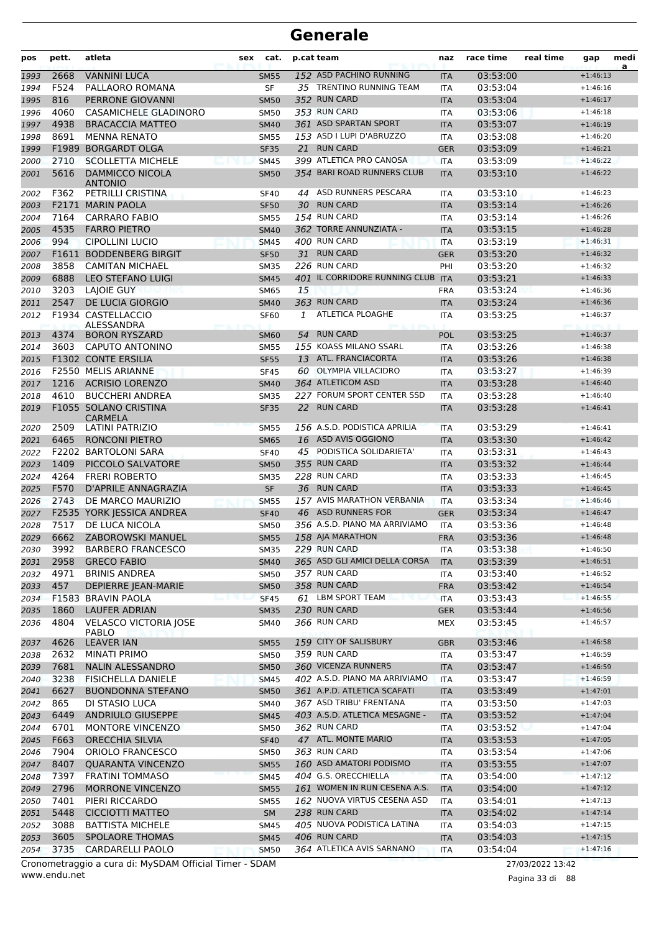| pos  | pett.        | atleta                                         | sex | cat.        |    | p.cat team                    | naz        | race time | real time | gap        | medi<br>a |
|------|--------------|------------------------------------------------|-----|-------------|----|-------------------------------|------------|-----------|-----------|------------|-----------|
| 1993 | 2668         | <b>VANNINI LUCA</b>                            |     | <b>SM55</b> |    | 152 ASD PACHINO RUNNING       | <b>ITA</b> | 03:53:00  |           | $+1:46:13$ |           |
| 1994 | F524         | PALLAORO ROMANA                                |     | SF          |    | 35 TRENTINO RUNNING TEAM      | <b>ITA</b> | 03:53:04  |           | $+1:46:16$ |           |
| 1995 | 816          | PERRONE GIOVANNI                               |     | <b>SM50</b> |    | 352 RUN CARD                  | <b>ITA</b> | 03:53:04  |           | $+1:46:17$ |           |
| 1996 | 4060         | CASAMICHELE GLADINORO                          |     | <b>SM50</b> |    | 353 RUN CARD                  | <b>ITA</b> | 03:53:06  |           | $+1:46:18$ |           |
| 1997 | 4938         | <b>BRACACCIA MATTEO</b>                        |     | <b>SM40</b> |    | 361 ASD SPARTAN SPORT         | <b>ITA</b> | 03:53:07  |           | $+1:46:19$ |           |
| 1998 | 8691         | <b>MENNA RENATO</b>                            |     | <b>SM55</b> |    | 153 ASD I LUPI D'ABRUZZO      | <b>ITA</b> | 03:53:08  |           | $+1:46:20$ |           |
| 1999 |              | F1989 BORGARDT OLGA                            |     | <b>SF35</b> | 21 | <b>RUN CARD</b>               | <b>GER</b> | 03:53:09  |           | $+1:46:21$ |           |
| 2000 | 2710         | <b>SCOLLETTA MICHELE</b>                       |     | <b>SM45</b> |    | 399 ATLETICA PRO CANOSA       | <b>ITA</b> | 03:53:09  |           | $+1:46:22$ |           |
| 2001 | 5616         | <b>DAMMICCO NICOLA</b><br><b>ANTONIO</b>       |     | <b>SM50</b> |    | 354 BARI ROAD RUNNERS CLUB    | <b>ITA</b> | 03:53:10  |           | $+1:46:22$ |           |
| 2002 | F362         | PETRILLI CRISTINA                              |     | <b>SF40</b> | 44 | ASD RUNNERS PESCARA           | ITA        | 03:53:10  |           | $+1:46:23$ |           |
| 2003 | F2171        | <b>MARIN PAOLA</b>                             |     | <b>SF50</b> | 30 | <b>RUN CARD</b>               | <b>ITA</b> | 03:53:14  |           | $+1:46:26$ |           |
| 2004 | 7164         | <b>CARRARO FABIO</b>                           |     | <b>SM55</b> |    | 154 RUN CARD                  | <b>ITA</b> | 03:53:14  |           | $+1:46:26$ |           |
| 2005 | 4535         | <b>FARRO PIETRO</b>                            |     | <b>SM40</b> |    | 362 TORRE ANNUNZIATA -        | <b>ITA</b> | 03:53:15  |           | $+1:46:28$ |           |
| 2006 | 994          | <b>CIPOLLINI LUCIO</b>                         |     | <b>SM45</b> |    | 400 RUN CARD                  | <b>ITA</b> | 03:53:19  |           | $+1:46:31$ |           |
| 2007 |              | F1611 BODDENBERG BIRGIT                        |     | <b>SF50</b> |    | 31 RUN CARD                   | <b>GER</b> | 03:53:20  |           | $+1:46:32$ |           |
| 2008 | 3858         | <b>CAMITAN MICHAEL</b>                         |     | <b>SM35</b> |    | 226 RUN CARD                  | PHI        | 03:53:20  |           | $+1:46:32$ |           |
| 2009 | 6888         | <b>LEO STEFANO LUIGI</b>                       |     | <b>SM45</b> |    | 401 IL CORRIDORE RUNNING CLUB | <b>ITA</b> | 03:53:21  |           | $+1:46:33$ |           |
| 2010 | 3203         | LAIOIE GUY<br>une                              |     | <b>SM65</b> | 15 |                               | <b>FRA</b> | 03:53:24  |           | $+1:46:36$ |           |
| 2011 | 2547         | DE LUCIA GIORGIO                               |     | <b>SM40</b> |    | 363 RUN CARD                  | <b>ITA</b> | 03:53:24  |           | $+1:46:36$ |           |
| 2012 |              | F1934 CASTELLACCIO<br>ALESSANDRA               |     | <b>SF60</b> | 1  | ATLETICA PLOAGHE              | <b>ITA</b> | 03:53:25  |           | $+1:46:37$ |           |
| 2013 | 4374         | <b>BORON RYSZARD</b>                           |     | <b>SM60</b> | 54 | <b>RUN CARD</b>               | <b>POL</b> | 03:53:25  |           | $+1:46:37$ |           |
| 2014 | 3603         | <b>CAPUTO ANTONINO</b>                         |     | <b>SM55</b> |    | 155 KOASS MILANO SSARL        | <b>ITA</b> | 03:53:26  |           | $+1:46:38$ |           |
| 2015 |              | F1302 CONTE ERSILIA                            |     | <b>SF55</b> |    | 13 ATL. FRANCIACORTA          | <b>ITA</b> | 03:53:26  |           | $+1:46:38$ |           |
| 2016 |              | <b>F2550 MELIS ARIANNE</b>                     |     | <b>SF45</b> |    | 60 OLYMPIA VILLACIDRO         | <b>ITA</b> | 03:53:27  |           | $+1:46:39$ |           |
| 2017 | 1216         | <b>ACRISIO LORENZO</b>                         |     | <b>SM40</b> |    | 364 ATLETICOM ASD             | <b>ITA</b> | 03:53:28  |           | $+1:46:40$ |           |
| 2018 | 4610         | <b>BUCCHERI ANDREA</b>                         |     | <b>SM35</b> |    | 227 FORUM SPORT CENTER SSD    | <b>ITA</b> | 03:53:28  |           | $+1:46:40$ |           |
| 2019 |              | <b>F1055 SOLANO CRISTINA</b><br><b>CARMELA</b> |     | <b>SF35</b> | 22 | <b>RUN CARD</b>               | <b>ITA</b> | 03:53:28  |           | $+1:46:41$ |           |
| 2020 | 2509         | LATINI PATRIZIO                                |     | <b>SM55</b> |    | 156 A.S.D. PODISTICA APRILIA  | <b>ITA</b> | 03:53:29  |           | $+1:46:41$ |           |
| 2021 | 6465         | <b>RONCONI PIETRO</b>                          |     | <b>SM65</b> |    | 16 ASD AVIS OGGIONO           | <b>ITA</b> | 03:53:30  |           | $+1:46:42$ |           |
| 2022 |              | F2202 BARTOLONI SARA                           |     | <b>SF40</b> |    | 45 PODISTICA SOLIDARIETA'     | <b>ITA</b> | 03:53:31  |           | $+1:46:43$ |           |
| 2023 | 1409         | PICCOLO SALVATORE                              |     | <b>SM50</b> |    | 355 RUN CARD                  | <b>ITA</b> | 03:53:32  |           | $+1:46:44$ |           |
| 2024 | 4264         | <b>FRERI ROBERTO</b>                           |     | <b>SM35</b> |    | 228 RUN CARD                  | <b>ITA</b> | 03:53:33  |           | $+1:46:45$ |           |
| 2025 | F570         | D'APRILE ANNAGRAZIA                            |     | <b>SF</b>   |    | 36 RUN CARD                   | <b>ITA</b> | 03:53:33  |           | $+1:46:45$ |           |
| 2026 | 2743         | DE MARCO MAURIZIO                              |     | <b>SM55</b> |    | 157 AVIS MARATHON VERBANIA    | <b>ITA</b> | 03:53:34  |           | $+1:46:46$ |           |
| 2027 |              | F2535 YORK JESSICA ANDREA                      |     | <b>SF40</b> |    | 46 ASD RUNNERS FOR            | <b>GER</b> | 03:53:34  |           | $+1:46:47$ |           |
| 2028 | 7517         | DE LUCA NICOLA                                 |     | <b>SM50</b> |    | 356 A.S.D. PIANO MA ARRIVIAMO | ITA        | 03:53:36  |           | $+1:46:48$ |           |
| 2029 | 6662         | <b>ZABOROWSKI MANUEL</b>                       |     | <b>SM55</b> |    | 158 AJA MARATHON              | <b>FRA</b> | 03:53:36  |           | $+1:46:48$ |           |
| 2030 | 3992         | <b>BARBERO FRANCESCO</b>                       |     | <b>SM35</b> |    | 229 RUN CARD                  | ITA        | 03:53:38  |           | $+1:46:50$ |           |
| 2031 | 2958         | <b>GRECO FABIO</b>                             |     | <b>SM40</b> |    | 365 ASD GLI AMICI DELLA CORSA | <b>ITA</b> | 03:53:39  |           | $+1:46:51$ |           |
| 2032 | 4971         | <b>BRINIS ANDREA</b>                           |     | <b>SM50</b> |    | 357 RUN CARD                  | ITA        | 03:53:40  |           | $+1:46:52$ |           |
| 2033 | 457          | DEPIERRE JEAN-MARIE                            |     | <b>SM50</b> |    | 358 RUN CARD                  | <b>FRA</b> | 03:53:42  |           | $+1:46:54$ |           |
| 2034 |              | F1583 BRAVIN PAOLA                             |     | <b>SF45</b> |    | 61 LBM SPORT TEAM             | <b>ITA</b> | 03:53:43  |           | $+1:46:55$ |           |
| 2035 | 1860<br>4804 | LAUFER ADRIAN                                  |     | <b>SM35</b> |    | 230 RUN CARD<br>366 RUN CARD  | <b>GER</b> | 03:53:44  |           | $+1:46:56$ |           |
| 2036 |              | <b>VELASCO VICTORIA JOSE</b><br>PABLO          |     | SM40        |    |                               | MEX        | 03:53:45  |           | $+1:46:57$ |           |
| 2037 | 4626         | <b>LEAVER IAN</b>                              |     | <b>SM55</b> |    | 159 CITY OF SALISBURY         | <b>GBR</b> | 03:53:46  |           | $+1:46:58$ |           |
| 2038 | 2632         | <b>MINATI PRIMO</b>                            |     | <b>SM50</b> |    | 359 RUN CARD                  | ITA        | 03:53:47  |           | $+1:46:59$ |           |
| 2039 | 7681         | <b>NALIN ALESSANDRO</b>                        |     | <b>SM50</b> |    | 360 VICENZA RUNNERS           | <b>ITA</b> | 03:53:47  |           | $+1:46:59$ |           |
| 2040 | 3238         | <b>FISICHELLA DANIELE</b>                      |     | <b>SM45</b> |    | 402 A.S.D. PIANO MA ARRIVIAMO | ITA        | 03:53:47  |           | $+1:46:59$ |           |
| 2041 | 6627         | <b>BUONDONNA STEFANO</b>                       |     | <b>SM50</b> |    | 361 A.P.D. ATLETICA SCAFATI   | <b>ITA</b> | 03:53:49  |           | $+1:47:01$ |           |
| 2042 | 865          | DI STASIO LUCA                                 |     | <b>SM40</b> |    | 367 ASD TRIBU' FRENTANA       | ITA        | 03:53:50  |           | $+1:47:03$ |           |
| 2043 | 6449         | <b>ANDRIULO GIUSEPPE</b>                       |     | <b>SM45</b> |    | 403 A.S.D. ATLETICA MESAGNE - | <b>ITA</b> | 03:53:52  |           | $+1:47:04$ |           |
| 2044 | 6701         | MONTORE VINCENZO                               |     | SM50        |    | 362 RUN CARD                  | ITA        | 03:53:52  |           | $+1:47:04$ |           |
| 2045 | F663         | <b>ORECCHIA SILVIA</b>                         |     | <b>SF40</b> |    | 47 ATL. MONTE MARIO           | <b>ITA</b> | 03:53:53  |           | $+1:47:05$ |           |
| 2046 | 7904         | ORIOLO FRANCESCO                               |     | <b>SM50</b> |    | 363 RUN CARD                  | ITA        | 03:53:54  |           | $+1:47:06$ |           |
| 2047 | 8407         | <b>QUARANTA VINCENZO</b>                       |     | <b>SM55</b> |    | 160 ASD AMATORI PODISMO       | <b>ITA</b> | 03:53:55  |           | $+1:47:07$ |           |
| 2048 | 7397         | <b>FRATINI TOMMASO</b>                         |     | <b>SM45</b> |    | 404 G.S. ORECCHIELLA          | <b>ITA</b> | 03:54:00  |           | $+1:47:12$ |           |
| 2049 | 2796         | MORRONE VINCENZO                               |     | <b>SM55</b> |    | 161 WOMEN IN RUN CESENA A.S.  | <b>ITA</b> | 03:54:00  |           | $+1:47:12$ |           |
| 2050 | 7401         | PIERI RICCARDO                                 |     | <b>SM55</b> |    | 162 NUOVA VIRTUS CESENA ASD   | ITA        | 03:54:01  |           | $+1:47:13$ |           |
| 2051 | 5448         | <b>CICCIOTTI MATTEO</b>                        |     | <b>SM</b>   |    | 238 RUN CARD                  | <b>ITA</b> | 03:54:02  |           | $+1:47:14$ |           |
| 2052 | 3088         | <b>BATTISTA MICHELE</b>                        |     | SM45        |    | 405 NUOVA PODISTICA LATINA    | ITA        | 03:54:03  |           | $+1:47:15$ |           |
| 2053 | 3605         | SPOLAORE THOMAS                                |     | <b>SM45</b> |    | 406 RUN CARD                  | <b>ITA</b> | 03:54:03  |           | $+1:47:15$ |           |
| 2054 | 3735         | <b>CARDARELLI PAOLO</b>                        |     | <b>SM50</b> |    | 364 ATLETICA AVIS SARNANO     | <b>ITA</b> | 03:54:04  |           | $+1:47:16$ |           |

www.endu.net Cronometraggio a cura di: MySDAM Official Timer - SDAM 27/03/2022 13:42

Pagina 33 di 88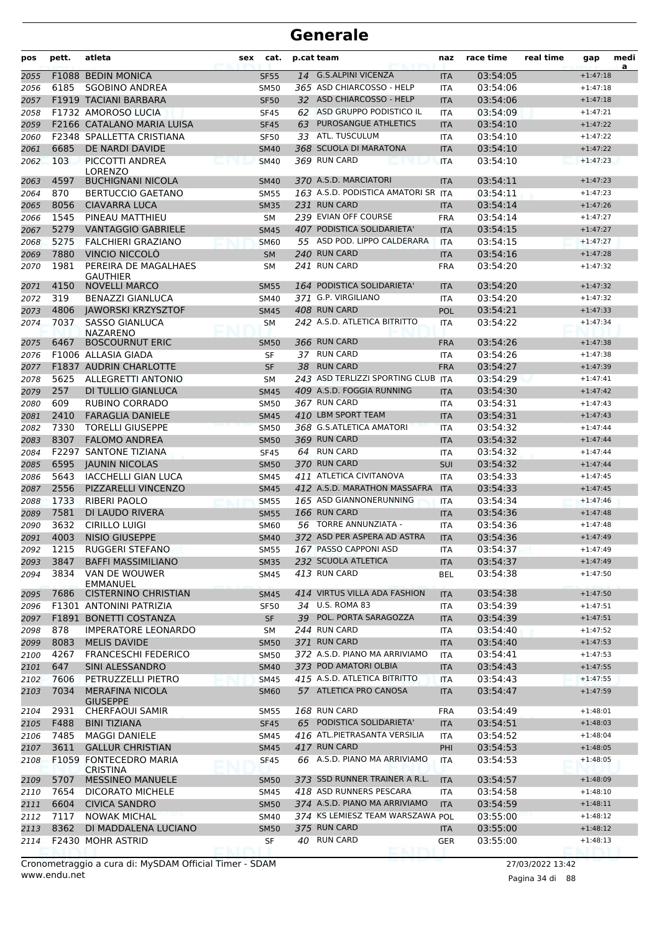| pos  | pett. | atleta                                    | sex | cat.        |    | p.cat team                          | naz        | race time | real time | gap        | medi<br>a |
|------|-------|-------------------------------------------|-----|-------------|----|-------------------------------------|------------|-----------|-----------|------------|-----------|
| 2055 |       | <b>F1088 BEDIN MONICA</b>                 |     | <b>SF55</b> |    | 14 G.S.ALPINI VICENZA               | <b>ITA</b> | 03:54:05  |           | $+1:47:18$ |           |
| 2056 | 6185  | <b>SGOBINO ANDREA</b>                     |     | <b>SM50</b> |    | 365 ASD CHIARCOSSO - HELP           | <b>ITA</b> | 03:54:06  |           | $+1:47:18$ |           |
| 2057 |       | F1919 TACIANI BARBARA                     |     | <b>SF50</b> |    | 32 ASD CHIARCOSSO - HELP            | <b>ITA</b> | 03:54:06  |           | $+1:47:18$ |           |
| 2058 |       | F1732 AMOROSO LUCIA                       |     | <b>SF45</b> |    | 62 ASD GRUPPO PODISTICO IL          | <b>ITA</b> | 03:54:09  |           | $+1:47:21$ |           |
| 2059 |       | <b>F2166 CATALANO MARIA LUISA</b>         |     | <b>SF45</b> | 63 | PUROSANGUE ATHLETICS                | <b>ITA</b> | 03:54:10  |           | $+1:47:22$ |           |
| 2060 |       | <b>F2348 SPALLETTA CRISTIANA</b>          |     | <b>SF50</b> |    | 33 ATL. TUSCULUM                    | <b>ITA</b> | 03:54:10  |           | $+1:47:22$ |           |
| 2061 | 6685  | DE NARDI DAVIDE                           |     | <b>SM40</b> |    | 368 SCUOLA DI MARATONA              | <b>ITA</b> | 03:54:10  |           | $+1:47:22$ |           |
| 2062 | 103   | PICCOTTI ANDREA<br><b>LORENZO</b>         |     | <b>SM40</b> |    | 369 RUN CARD                        | <b>ITA</b> | 03:54:10  |           | $+1:47:23$ |           |
| 2063 | 4597  | <b>BUCHIGNANI NICOLA</b>                  |     | <b>SM40</b> |    | 370 A.S.D. MARCIATORI               | <b>ITA</b> | 03:54:11  |           | $+1:47:23$ |           |
| 2064 | 870   | <b>BERTUCCIO GAETANO</b>                  |     | <b>SM55</b> |    | 163 A.S.D. PODISTICA AMATORI SR ITA |            | 03:54:11  |           | $+1:47:23$ |           |
| 2065 | 8056  | <b>CIAVARRA LUCA</b>                      |     | <b>SM35</b> |    | 231 RUN CARD                        | <b>ITA</b> | 03:54:14  |           | $+1:47:26$ |           |
| 2066 | 1545  | PINEAU MATTHIEU                           |     | SΜ          |    | 239 EVIAN OFF COURSE                | <b>FRA</b> | 03:54:14  |           | $+1:47:27$ |           |
| 2067 | 5279  | <b>VANTAGGIO GABRIELE</b>                 |     | <b>SM45</b> |    | 407 PODISTICA SOLIDARIETA'          | <b>ITA</b> | 03:54:15  |           | $+1:47:27$ |           |
| 2068 | 5275  | <b>FALCHIERI GRAZIANO</b>                 |     | <b>SM60</b> |    | 55 ASD POD. LIPPO CALDERARA         | <b>ITA</b> | 03:54:15  |           | $+1:47:27$ |           |
| 2069 | 7880  | VINCIO NICCOLO                            |     | <b>SM</b>   |    | 240 RUN CARD                        | <b>ITA</b> | 03:54:16  |           | $+1:47:28$ |           |
| 2070 | 1981  | PEREIRA DE MAGALHAES<br><b>GAUTHIER</b>   |     | <b>SM</b>   |    | 241 RUN CARD                        | <b>FRA</b> | 03:54:20  |           | $+1:47:32$ |           |
| 2071 | 4150  | <b>NOVELLI MARCO</b>                      |     | <b>SM55</b> |    | 164 PODISTICA SOLIDARIETA'          | <b>ITA</b> | 03:54:20  |           | $+1:47:32$ |           |
| 2072 | 319   | <b>BENAZZI GIANLUCA</b>                   |     | <b>SM40</b> |    | 371 G.P. VIRGILIANO                 | ITA        | 03:54:20  |           | $+1:47:32$ |           |
| 2073 | 4806  | <b>JAWORSKI KRZYSZTOF</b>                 |     | <b>SM45</b> |    | 408 RUN CARD                        | <b>POL</b> | 03:54:21  |           | $+1:47:33$ |           |
| 2074 | 7037  | <b>SASSO GIANLUCA</b><br><b>NAZARENO</b>  |     | <b>SM</b>   |    | 242 A.S.D. ATLETICA BITRITTO        | <b>ITA</b> | 03:54:22  |           | $+1:47:34$ |           |
| 2075 | 6467  | <b>BOSCOURNUT ERIC</b>                    |     | <b>SM50</b> |    | 366 RUN CARD                        | <b>FRA</b> | 03:54:26  |           | $+1:47:38$ |           |
| 2076 |       | F1006 ALLASIA GIADA                       |     | <b>SF</b>   |    | 37 RUN CARD                         | <b>ITA</b> | 03:54:26  |           | $+1:47:38$ |           |
| 2077 |       | <b>F1837 AUDRIN CHARLOTTE</b>             |     | <b>SF</b>   |    | 38 RUN CARD                         | <b>FRA</b> | 03:54:27  |           | $+1:47:39$ |           |
| 2078 | 5625  | <b>ALLEGRETTI ANTONIO</b>                 |     | <b>SM</b>   |    | 243 ASD TERLIZZI SPORTING CLUB      | <b>ITA</b> | 03:54:29  |           | $+1:47:41$ |           |
| 2079 | 257   | <b>DI TULLIO GIANLUCA</b>                 |     | <b>SM45</b> |    | 409 A.S.D. FOGGIA RUNNING           | <b>ITA</b> | 03:54:30  |           | $+1:47:42$ |           |
| 2080 | 609   | <b>RUBINO CORRADO</b>                     |     | <b>SM50</b> |    | 367 RUN CARD                        | <b>ITA</b> | 03:54:31  |           | $+1:47:43$ |           |
| 2081 | 2410  | <b>FARAGLIA DANIELE</b>                   |     | <b>SM45</b> |    | 410 LBM SPORT TEAM                  | <b>ITA</b> | 03:54:31  |           | $+1:47:43$ |           |
| 2082 | 7330  | <b>TORELLI GIUSEPPE</b>                   |     | <b>SM50</b> |    | 368 G.S.ATLETICA AMATORI            | <b>ITA</b> | 03:54:32  |           | $+1:47:44$ |           |
| 2083 | 8307  | <b>FALOMO ANDREA</b>                      |     | <b>SM50</b> |    | 369 RUN CARD                        | <b>ITA</b> | 03:54:32  |           | $+1:47:44$ |           |
| 2084 |       | <b>F2297 SANTONE TIZIANA</b>              |     | <b>SF45</b> |    | 64 RUN CARD                         | <b>ITA</b> | 03:54:32  |           | $+1:47:44$ |           |
| 2085 | 6595  | <b>JAUNIN NICOLAS</b>                     |     | <b>SM50</b> |    | 370 RUN CARD                        | <b>SUI</b> | 03:54:32  |           | $+1:47:44$ |           |
| 2086 | 5643  | <b>IACCHELLI GIAN LUCA</b>                |     | <b>SM45</b> |    | 411 ATLETICA CIVITANOVA             | <b>ITA</b> | 03:54:33  |           | $+1:47:45$ |           |
| 2087 | 2556  | PIZZARELLI VINCENZO                       |     | <b>SM45</b> |    | 412 A.S.D. MARATHON MASSAFRA        | <b>ITA</b> | 03:54:33  |           | $+1:47:45$ |           |
| 2088 | 1733  | <b>RIBERI PAOLO</b>                       |     | <b>SM55</b> |    | 165 ASD GIANNONERUNNING             | <b>ITA</b> | 03:54:34  |           | $+1:47:46$ |           |
| 2089 | 7581  | DI LAUDO RIVERA                           |     | <b>SM55</b> |    | 166 RUN CARD                        | <b>ITA</b> | 03:54:36  |           | $+1:47:48$ |           |
| 2090 | 3632  | <b>CIRILLO LUIGI</b>                      |     | <b>SM60</b> |    | 56 TORRE ANNUNZIATA -               | <b>ITA</b> | 03:54:36  |           | $+1:47:48$ |           |
| 2091 | 4003  | <b>NISIO GIUSEPPE</b>                     |     | <b>SM40</b> |    | 372 ASD PER ASPERA AD ASTRA         | <b>ITA</b> | 03:54:36  |           | $+1:47:49$ |           |
| 2092 | 1215  | RUGGERI STEFANO                           |     | <b>SM55</b> |    | 167 PASSO CAPPONI ASD               | ITA        | 03:54:37  |           | $+1:47:49$ |           |
| 2093 | 3847  | <b>BAFFI MASSIMILIANO</b>                 |     | <b>SM35</b> |    | 232 SCUOLA ATLETICA                 | <b>ITA</b> | 03:54:37  |           | $+1:47:49$ |           |
| 2094 | 3834  | VAN DE WOUWER<br>EMMANUEL                 |     | SM45        |    | 413 RUN CARD                        | <b>BEL</b> | 03:54:38  |           | $+1:47:50$ |           |
| 2095 | 7686  | <b>CISTERNINO CHRISTIAN</b>               |     | <b>SM45</b> |    | 414 VIRTUS VILLA ADA FASHION        | <b>ITA</b> | 03:54:38  |           | $+1:47:50$ |           |
| 2096 |       | F1301 ANTONINI PATRIZIA                   |     | SF50        |    | 34 U.S. ROMA 83                     | ITA        | 03:54:39  |           | $+1:47:51$ |           |
| 2097 |       | F1891 BONETTI COSTANZA                    |     | <b>SF</b>   |    | 39 POL. PORTA SARAGOZZA             | <b>ITA</b> | 03:54:39  |           | $+1:47:51$ |           |
| 2098 | 878   | <b>IMPERATORE LEONARDO</b>                |     | SМ          |    | 244 RUN CARD                        | ITA        | 03:54:40  |           | $+1:47:52$ |           |
| 2099 | 8083  | <b>MELIS DAVIDE</b>                       |     | <b>SM50</b> |    | 371 RUN CARD                        | <b>ITA</b> | 03:54:40  |           | $+1:47:53$ |           |
| 2100 | 4267  | <b>FRANCESCHI FEDERICO</b>                |     | SM50        |    | 372 A.S.D. PIANO MA ARRIVIAMO       | ITA        | 03:54:41  |           | $+1:47:53$ |           |
| 2101 | 647   | SINI ALESSANDRO                           |     | <b>SM40</b> |    | 373 POD AMATORI OLBIA               | <b>ITA</b> | 03:54:43  |           | $+1:47:55$ |           |
| 2102 | 7606  | PETRUZZELLI PIETRO                        |     | <b>SM45</b> |    | 415 A.S.D. ATLETICA BITRITTO        | ITA        | 03:54:43  |           | $+1:47:55$ |           |
| 2103 | 7034  | <b>MERAFINA NICOLA</b><br><b>GIUSEPPE</b> |     | <b>SM60</b> |    | 57 ATLETICA PRO CANOSA              | <b>ITA</b> | 03:54:47  |           | $+1:47:59$ |           |
| 2104 | 2931  | <b>CHERFAOUI SAMIR</b>                    |     | SM55        |    | 168 RUN CARD                        | <b>FRA</b> | 03:54:49  |           | $+1:48:01$ |           |
| 2105 | F488  | <b>BINI TIZIANA</b>                       |     | <b>SF45</b> |    | 65 PODISTICA SOLIDARIETA'           | <b>ITA</b> | 03:54:51  |           | $+1:48:03$ |           |
| 2106 | 7485  | <b>MAGGI DANIELE</b>                      |     | SM45        |    | 416 ATL.PIETRASANTA VERSILIA        | ITA        | 03:54:52  |           | $+1:48:04$ |           |
| 2107 | 3611  | <b>GALLUR CHRISTIAN</b>                   |     | <b>SM45</b> |    | 417 RUN CARD                        | PHI        | 03:54:53  |           | $+1:48:05$ |           |
| 2108 |       | F1059 FONTECEDRO MARIA<br><b>CRISTINA</b> |     | <b>SF45</b> |    | 66 A.S.D. PIANO MA ARRIVIAMO        | ITA        | 03:54:53  |           | $+1:48:05$ |           |
| 2109 | 5707  | <b>MESSINEO MANUELE</b>                   |     | <b>SM50</b> |    | 373 SSD RUNNER TRAINER A R.L.       | <b>ITA</b> | 03:54:57  |           | $+1:48:09$ |           |
| 2110 | 7654  | DICORATO MICHELE                          |     | SM45        |    | 418 ASD RUNNERS PESCARA             | ITA        | 03:54:58  |           | $+1:48:10$ |           |
| 2111 | 6604  | <b>CIVICA SANDRO</b>                      |     | <b>SM50</b> |    | 374 A.S.D. PIANO MA ARRIVIAMO       | <b>ITA</b> | 03:54:59  |           | $+1:48:11$ |           |
| 2112 | 7117  | <b>NOWAK MICHAL</b>                       |     | <b>SM40</b> |    | 374 KS LEMIESZ TEAM WARSZAWA POL    |            | 03:55:00  |           | $+1:48:12$ |           |
| 2113 | 8362  | DI MADDALENA LUCIANO                      |     | <b>SM50</b> |    | 375 RUN CARD                        | <b>ITA</b> | 03:55:00  |           | $+1:48:12$ |           |
| 2114 |       | F2430 MOHR ASTRID                         |     | SF          |    | 40 RUN CARD                         | GER        | 03:55:00  |           | $+1:48:13$ |           |

www.endu.net Cronometraggio a cura di: MySDAM Official Timer - SDAM 27/03/2022 13:42

Pagina 34 di 88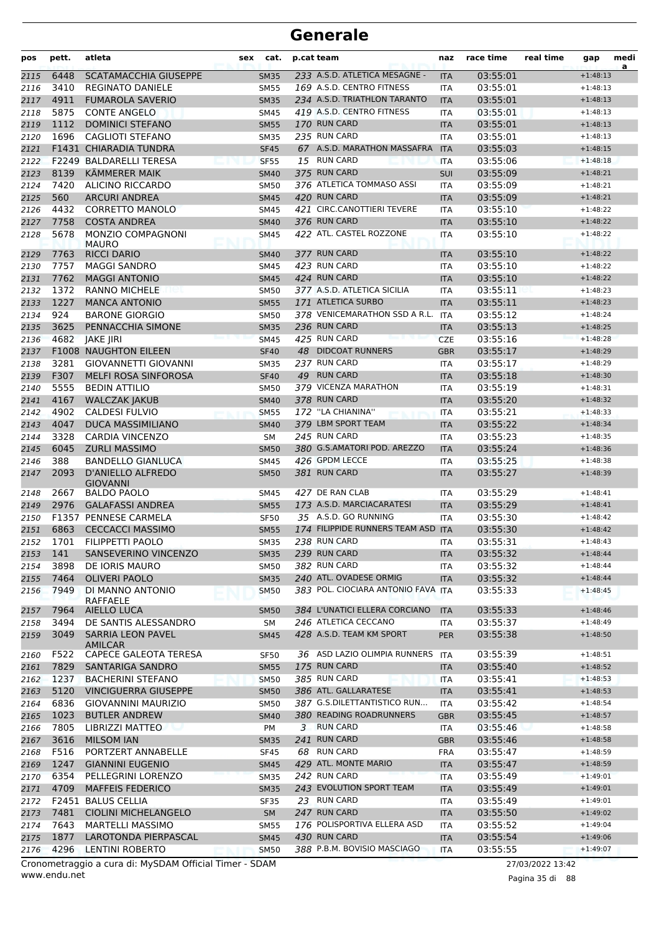| pos          | pett.        | atleta                                               | sex | cat.              | p.cat team                                       | naz                      | race time            | real time        | gap                      | medi<br>a |
|--------------|--------------|------------------------------------------------------|-----|-------------------|--------------------------------------------------|--------------------------|----------------------|------------------|--------------------------|-----------|
| 2115         | 6448         | <b>SCATAMACCHIA GIUSEPPE</b>                         |     | <b>SM35</b>       | 233 A.S.D. ATLETICA MESAGNE -                    | <b>ITA</b>               | 03:55:01             |                  | $+1:48:13$               |           |
| 2116         | 3410         | <b>REGINATO DANIELE</b>                              |     | <b>SM55</b>       | 169 A.S.D. CENTRO FITNESS                        | <b>ITA</b>               | 03:55:01             |                  | $+1:48:13$               |           |
| 2117         | 4911         | <b>FUMAROLA SAVERIO</b>                              |     | <b>SM35</b>       | 234 A.S.D. TRIATHLON TARANTO                     | <b>ITA</b>               | 03:55:01             |                  | $+1:48:13$               |           |
| 2118         | 5875         | <b>CONTE ANGELO</b>                                  |     | <b>SM45</b>       | 419 A.S.D. CENTRO FITNESS                        | ITA                      | 03:55:01             |                  | $+1:48:13$               |           |
| 2119         | 1112         | <b>DOMINICI STEFANO</b>                              |     | <b>SM55</b>       | 170 RUN CARD                                     | <b>ITA</b>               | 03:55:01             |                  | $+1:48:13$               |           |
| 2120         | 1696         | CAGLIOTI STEFANO                                     |     | <b>SM35</b>       | 235 RUN CARD                                     | <b>ITA</b>               | 03:55:01             |                  | $+1:48:13$               |           |
| 2121         |              | F1431 CHIARADIA TUNDRA                               |     | <b>SF45</b>       | 67 A.S.D. MARATHON MASSAFRA                      | <b>ITA</b>               | 03:55:03             |                  | $+1:48:15$               |           |
| 2122         |              | F2249 BALDARELLI TERESA                              |     | <b>SF55</b>       | 15 RUN CARD                                      | <b>ITA</b>               | 03:55:06             |                  | $+1:48:18$               |           |
| 2123         | 8139         | <b>KÄMMERER MAIK</b>                                 |     | <b>SM40</b>       | 375 RUN CARD                                     | <b>SUI</b>               | 03:55:09             |                  | $+1:48:21$               |           |
| 2124         | 7420         | <b>ALICINO RICCARDO</b>                              |     | <b>SM50</b>       | 376 ATLETICA TOMMASO ASSI                        | <b>ITA</b>               | 03:55:09             |                  | $+1:48:21$               |           |
| 2125         | 560          | <b>ARCURI ANDREA</b>                                 |     | <b>SM45</b>       | 420 RUN CARD                                     | <b>ITA</b>               | 03:55:09             |                  | $+1:48:21$               |           |
| 2126         | 4432         | <b>CORRETTO MANOLO</b>                               |     | <b>SM45</b>       | 421 CIRC.CANOTTIERI TEVERE                       | <b>ITA</b>               | 03:55:10             |                  | $+1:48:22$               |           |
| 2127         | 7758         | <b>COSTA ANDREA</b>                                  |     | <b>SM40</b>       | 376 RUN CARD                                     | <b>ITA</b>               | 03:55:10             |                  | $+1:48:22$               |           |
| 2128         | 5678         | MONZIO COMPAGNONI<br><b>MAURO</b>                    |     | <b>SM45</b>       | 422 ATL. CASTEL ROZZONE                          | ITA                      | 03:55:10             |                  | $+1:48:22$               |           |
| 2129         | 7763         | <b>RICCI DARIO</b>                                   |     | <b>SM40</b>       | 377 RUN CARD                                     | <b>ITA</b>               | 03:55:10             |                  | $+1:48:22$               |           |
| 2130         | 7757         | <b>MAGGI SANDRO</b>                                  |     | <b>SM45</b>       | 423 RUN CARD                                     | ITA                      | 03:55:10             |                  | $+1:48:22$               |           |
| 2131         | 7762         | <b>MAGGI ANTONIO</b>                                 |     | <b>SM45</b>       | 424 RUN CARD                                     | <b>ITA</b>               | 03:55:10             |                  | $+1:48:22$               |           |
| 2132         | 1372         | <b>RANNO MICHELE</b>                                 |     | <b>SM50</b>       | 377 A.S.D. ATLETICA SICILIA                      | <b>ITA</b>               | 03:55:11             |                  | $+1:48:23$               |           |
| 2133         | 1227         | <b>MANCA ANTONIO</b>                                 |     | <b>SM55</b>       | 171 ATLETICA SURBO                               | <b>ITA</b>               | 03:55:11             |                  | $+1:48:23$               |           |
| 2134         | 924          | <b>BARONE GIORGIO</b>                                |     | <b>SM50</b>       | 378 VENICEMARATHON SSD A R.L.                    | <b>ITA</b>               | 03:55:12             |                  | $+1:48:24$               |           |
| 2135         | 3625         | PENNACCHIA SIMONE                                    |     | <b>SM35</b>       | 236 RUN CARD                                     | <b>ITA</b>               | 03:55:13             |                  | $+1:48:25$               |           |
| 2136         | 4682         | <b>JAKE JIRI</b>                                     |     | <b>SM45</b>       | 425 RUN CARD                                     | <b>CZE</b>               | 03:55:16             |                  | $+1:48:28$               |           |
| 2137         |              | <b>F1008 NAUGHTON EILEEN</b>                         |     | <b>SF40</b>       | 48 DIDCOAT RUNNERS                               | <b>GBR</b>               | 03:55:17             |                  | $+1:48:29$               |           |
| 2138         | 3281         | <b>GIOVANNETTI GIOVANNI</b>                          |     | <b>SM35</b>       | 237 RUN CARD                                     | <b>ITA</b>               | 03:55:17             |                  | $+1:48:29$               |           |
| 2139         | F307         | <b>MELFI ROSA SINFOROSA</b>                          |     | <b>SF40</b>       | 49 RUN CARD                                      | <b>ITA</b>               | 03:55:18             |                  | $+1:48:30$               |           |
| 2140         | 5555         | <b>BEDIN ATTILIO</b>                                 |     | <b>SM50</b>       | 379 VICENZA MARATHON                             | <b>ITA</b>               | 03:55:19             |                  | $+1:48:31$               |           |
| 2141         | 4167         | <b>WALCZAK JAKUB</b>                                 |     | <b>SM40</b>       | 378 RUN CARD                                     | <b>ITA</b>               | 03:55:20             |                  | $+1:48:32$               |           |
| 2142         | 4902         | <b>CALDESI FULVIO</b>                                |     | <b>SM55</b>       | 172 "LA CHIANINA"                                | <b>ITA</b>               | 03:55:21             |                  | $+1:48:33$               |           |
| 2143         | 4047         | <b>DUCA MASSIMILIANO</b>                             |     | <b>SM40</b>       | 379 LBM SPORT TEAM                               | <b>ITA</b>               | 03:55:22             |                  | $+1:48:34$               |           |
| 2144         | 3328         | <b>CARDIA VINCENZO</b>                               |     | <b>SM</b>         | 245 RUN CARD                                     | ITA                      | 03:55:23             |                  | $+1:48:35$               |           |
| 2145         | 6045         | <b>ZURLI MASSIMO</b>                                 |     | <b>SM50</b>       | 380 G.S.AMATORI POD. AREZZO                      | <b>ITA</b>               | 03:55:24             |                  | $+1:48:36$               |           |
| 2146         | 388          | <b>BANDELLO GIANLUCA</b>                             |     | SM45              | 426 GPDM LECCE                                   | ITA                      | 03:55:25             |                  | $+1:48:38$               |           |
| 2147         | 2093         | D'ANIELLO ALFREDO<br><b>GIOVANNI</b>                 |     | <b>SM50</b>       | 381 RUN CARD                                     | <b>ITA</b>               | 03:55:27             |                  | $+1:48:39$               |           |
| 2148         | 2667         | <b>BALDO PAOLO</b>                                   |     | <b>SM45</b>       | 427 DE RAN CLAB                                  | ITA                      | 03:55:29             |                  | $+1:48:41$               |           |
| 2149         | 2976         | <b>GALAFASSI ANDREA</b>                              |     | <b>SM55</b>       | 173 A.S.D. MARCIACARATESI                        | <b>ITA</b>               | 03:55:29             |                  | $+1:48:41$               |           |
| 2150         | F1357        | PENNESE CARMELA                                      |     | <b>SF50</b>       | 35 A.S.D. GO RUNNING                             | <b>ITA</b>               | 03:55:30             |                  | $+1:48:42$               |           |
| 2151         | 6863         | <b>CECCACCI MASSIMO</b>                              |     | <b>SM55</b>       | 174 FILIPPIDE RUNNERS TEAM ASD ITA               |                          | 03:55:30             |                  | $+1:48:42$               |           |
| 2152         | 1701         | FILIPPETTI PAOLO                                     |     | <b>SM35</b>       | 238 RUN CARD                                     | ITA                      | 03:55:31             |                  | $+1:48:43$               |           |
| 2153         | 141          | SANSEVERINO VINCENZO                                 |     | <b>SM35</b>       | 239 RUN CARD                                     | <b>ITA</b>               | 03:55:32             |                  | $+1:48:44$               |           |
| 2154         | 3898         | DE IORIS MAURO                                       |     | <b>SM50</b>       | 382 RUN CARD                                     | ITA                      | 03:55:32             |                  | $+1:48:44$               |           |
| 2155         | 7464         | <b>OLIVERI PAOLO</b>                                 |     | <b>SM35</b>       | 240 ATL. OVADESE ORMIG                           | <b>ITA</b>               | 03:55:32             |                  | $+1:48:44$               |           |
| 2156         | 7949         | DI MANNO ANTONIO<br>RAFFAELE                         |     | <b>SM50</b>       | 383 POL. CIOCIARA ANTONIO FAVA ITA               |                          | 03:55:33             |                  | $+1:48:45$               |           |
| 2157         | 7964         | <b>AIELLO LUCA</b>                                   |     | <b>SM50</b>       | 384 L'UNATICI ELLERA CORCIANO                    | <b>ITA</b>               | 03:55:33             |                  | $+1:48:46$               |           |
| 2158<br>2159 | 3494<br>3049 | DE SANTIS ALESSANDRO<br>SARRIA LEON PAVEL            |     | SM<br><b>SM45</b> | 246 ATLETICA CECCANO<br>428 A.S.D. TEAM KM SPORT | <b>ITA</b><br><b>PER</b> | 03:55:37<br>03:55:38 |                  | $+1:48:49$<br>$+1:48:50$ |           |
| 2160         | F522         | <b>AMILCAR</b><br>CAPECE GALEOTA TERESA              |     | <b>SF50</b>       | 36 ASD LAZIO OLIMPIA RUNNERS                     | <b>ITA</b>               | 03:55:39             |                  | $+1:48:51$               |           |
| 2161         | 7829         | <b>SANTARIGA SANDRO</b>                              |     | <b>SM55</b>       | 175 RUN CARD                                     | <b>ITA</b>               | 03:55:40             |                  | $+1:48:52$               |           |
| 2162         | 1237         | <b>BACHERINI STEFANO</b>                             |     | <b>SM50</b>       | 385 RUN CARD                                     | <b>ITA</b>               | 03:55:41             |                  | $+1:48:53$               |           |
| 2163         | 5120         | <b>VINCIGUERRA GIUSEPPE</b>                          |     | <b>SM50</b>       | 386 ATL. GALLARATESE                             | <b>ITA</b>               | 03:55:41             |                  | $+1:48:53$               |           |
| 2164         | 6836         | <b>GIOVANNINI MAURIZIO</b>                           |     | SM50              | 387 G.S.DILETTANTISTICO RUN                      | <b>ITA</b>               | 03:55:42             |                  | $+1:48:54$               |           |
| 2165         | 1023         | <b>BUTLER ANDREW</b>                                 |     | <b>SM40</b>       | 380 READING ROADRUNNERS                          | <b>GBR</b>               | 03:55:45             |                  | $+1:48:57$               |           |
| 2166         | 7805         | LIBRIZZI MATTEO                                      |     | PM                | 3 RUN CARD                                       | ITA                      | 03:55:46             |                  | $+1:48:58$               |           |
| 2167         | 3616         | <b>MILSOM IAN</b>                                    |     | <b>SM35</b>       | 241 RUN CARD                                     | <b>GBR</b>               | 03:55:46             |                  | $+1:48:58$               |           |
| 2168         | F516         | PORTZERT ANNABELLE                                   |     | <b>SF45</b>       | 68 RUN CARD                                      | <b>FRA</b>               | 03:55:47             |                  | $+1:48:59$               |           |
| 2169         | 1247         | <b>GIANNINI EUGENIO</b>                              |     | <b>SM45</b>       | 429 ATL. MONTE MARIO                             | <b>ITA</b>               | 03:55:47             |                  | $+1:48:59$               |           |
| 2170         | 6354         | PELLEGRINI LORENZO                                   |     | <b>SM35</b>       | 242 RUN CARD                                     | <b>ITA</b>               | 03:55:49             |                  | $+1:49:01$               |           |
| 2171         | 4709         | <b>MAFFEIS FEDERICO</b>                              |     | <b>SM35</b>       | 243 EVOLUTION SPORT TEAM                         | <b>ITA</b>               | 03:55:49             |                  | $+1:49:01$               |           |
| 2172         |              | F2451 BALUS CELLIA                                   |     | <b>SF35</b>       | 23 RUN CARD                                      | <b>ITA</b>               | 03:55:49             |                  | $+1:49:01$               |           |
| 2173         | 7481         | <b>CIOLINI MICHELANGELO</b>                          |     | <b>SM</b>         | 247 RUN CARD                                     | <b>ITA</b>               | 03:55:50             |                  | $+1:49:02$               |           |
| 2174         | 7643         | <b>MARTELLI MASSIMO</b>                              |     | <b>SM55</b>       | 176 POLISPORTIVA ELLERA ASD                      | <b>ITA</b>               | 03:55:52             |                  | $+1:49:04$               |           |
| 2175         | 1877         | LAROTONDA PIERPASCAL                                 |     | <b>SM45</b>       | 430 RUN CARD                                     | <b>ITA</b>               | 03:55:54             |                  | $+1:49:06$               |           |
| 2176         | 4296         | LENTINI ROBERTO                                      |     | <b>SM50</b>       | 388 P.B.M. BOVISIO MASCIAGO                      | <b>ITA</b>               | 03:55:55             |                  | $+1:49:07$               |           |
|              |              | Cropomotraggio a cura di: MySDAM Official Timor SDAM |     |                   |                                                  |                          |                      | רו כו ברחרוכחודר |                          |           |

www.endu.net Cronometraggio a cura di: MySDAM Official Timer - SDAM 27/03/2022 13:42

Pagina 35 di 88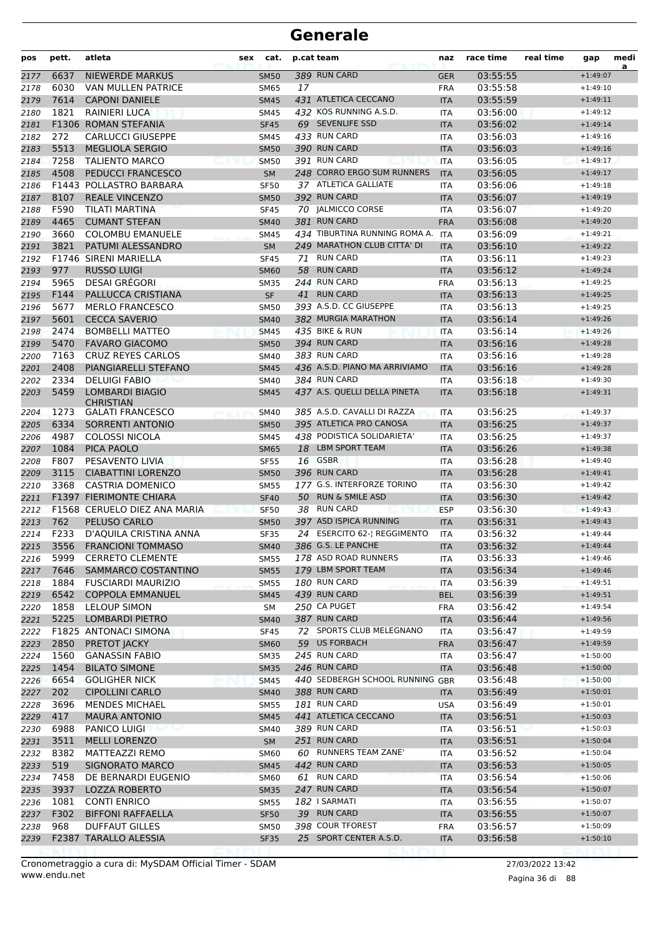| 389 RUN CARD<br>03:55:55<br>6637<br><b>NIEWERDE MARKUS</b><br>$+1:49:07$<br><b>SM50</b><br><b>GER</b><br>2177<br>6030<br>17<br><b>VAN MULLEN PATRICE</b><br>03:55:58<br>2178<br><b>SM65</b><br><b>FRA</b><br>$+1:49:10$<br>7614<br><b>CAPONI DANIELE</b><br>431 ATLETICA CECCANO<br>03:55:59<br>2179<br><b>SM45</b><br><b>ITA</b><br>$+1:49:11$<br>1821<br>432 KOS RUNNING A.S.D.<br>RAINIERI LUCA<br>03:56:00<br>$+1:49:12$<br>2180<br>SM45<br>ITA<br>69 SEVENLIFE SSD<br><b>F1306 ROMAN STEFANIA</b><br><b>SF45</b><br>03:56:02<br>2181<br><b>ITA</b><br>$+1:49:14$<br>433 RUN CARD<br>272<br><b>CARLUCCI GIUSEPPE</b><br>03:56:03<br>2182<br>SM45<br><b>ITA</b><br>$+1:49:16$<br>390 RUN CARD<br>5513<br>2183<br><b>MEGLIOLA SERGIO</b><br>03:56:03<br><b>SM50</b><br><b>ITA</b><br>$+1:49:16$<br>7258<br>391 RUN CARD<br><b>TALIENTO MARCO</b><br>03:56:05<br>2184<br><b>SM50</b><br><b>ITA</b><br>$+1:49:17$<br>4508<br>248 CORRO ERGO SUM RUNNERS<br>2185<br>PEDUCCI FRANCESCO<br><b>SM</b><br>03:56:05<br><b>ITA</b><br>$+1:49:17$<br>37 ATLETICA GALLIATE<br>F1443 POLLASTRO BARBARA<br>$+1:49:18$<br>2186<br><b>SF50</b><br><b>ITA</b><br>03:56:06<br>392 RUN CARD<br>8107<br><b>REALE VINCENZO</b><br>03:56:07<br>2187<br><b>SM50</b><br><b>ITA</b><br>$+1:49:19$<br>70   ALMICCO CORSE<br>F590<br>TILATI MARTINA<br>03:56:07<br>2188<br><b>SF45</b><br>ITA<br>$+1:49:20$<br>4465<br><b>CUMANT STEFAN</b><br>381 RUN CARD<br>03:56:08<br>2189<br><b>SM40</b><br><b>FRA</b><br>$+1:49:20$<br>434 TIBURTINA RUNNING ROMA A. ITA<br>3660<br><b>COLOMBU EMANUELE</b><br>03:56:09<br>2190<br><b>SM45</b><br>$+1:49:21$<br>3821<br>249 MARATHON CLUB CITTA' DI<br>PATUMI ALESSANDRO<br>03:56:10<br><b>SM</b><br>$+1:49:22$<br>2191<br><b>ITA</b><br><b>RUN CARD</b><br>F1746 SIRENI MARIELLA<br>$+1:49:23$<br>2192<br><b>SF45</b><br>71<br>03:56:11<br>ITA<br>58 RUN CARD<br>2193<br>977<br><b>RUSSO LUIGI</b><br>03:56:12<br><b>SM60</b><br><b>ITA</b><br>$+1:49:24$<br>244 RUN CARD<br>5965<br><b>DESAI GREGORI</b><br>03:56:13<br>$+1:49:25$<br>2194<br><b>SM35</b><br><b>FRA</b><br>41 RUN CARD<br>F144<br>PALLUCCA CRISTIANA<br><b>SF</b><br>03:56:13<br>2195<br><b>ITA</b><br>$+1:49:25$<br>5677<br><b>MERLO FRANCESCO</b><br>393 A.S.D. CC GIUSEPPE<br>03:56:13<br>2196<br><b>SM50</b><br>ITA<br>$+1:49:25$<br>382 MURGIA MARATHON<br>5601<br><b>CECCA SAVERIO</b><br>03:56:14<br>$+1:49:26$<br>2197<br><b>SM40</b><br><b>ITA</b><br>435 BIKE & RUN<br>2474<br><b>BOMBELLI MATTEO</b><br>03:56:14<br>$+1:49:26$<br>2198<br><b>SM45</b><br><b>ITA</b><br>5470<br>394 RUN CARD<br>2199<br><b>FAVARO GIACOMO</b><br>03:56:16<br><b>SM50</b><br><b>ITA</b><br>$+1:49:28$<br>383 RUN CARD<br>7163<br><b>CRUZ REYES CARLOS</b><br>03:56:16<br>$+1:49:28$<br>2200<br>SM40<br><b>ITA</b><br>2408<br>436 A.S.D. PIANO MA ARRIVIAMO<br>PIANGIARELLI STEFANO<br>03:56:16<br>2201<br><b>SM45</b><br><b>ITA</b><br>$+1:49:28$<br>2334<br><b>DELUIGI FABIO</b><br>384 RUN CARD<br>03:56:18<br>2202<br><b>SM40</b><br>ITA<br>$+1:49:30$<br>5459<br><b>LOMBARDI BIAGIO</b><br>437 A.S. QUELLI DELLA PINETA<br>03:56:18<br>2203<br><b>SM45</b><br><b>ITA</b><br>$+1:49:31$<br><b>CHRISTIAN</b><br>1273<br><b>GALATI FRANCESCO</b><br>385 A.S.D. CAVALLI DI RAZZA<br>03:56:25<br>$+1:49:37$<br><b>SM40</b><br>2204<br>ITA<br>6334<br>395 ATLETICA PRO CANOSA<br>SORRENTI ANTONIO<br>03:56:25<br>$+1:49:37$<br>2205<br><b>SM50</b><br><b>ITA</b><br>438 PODISTICA SOLIDARIETA'<br>4987<br><b>COLOSSI NICOLA</b><br><b>SM45</b><br>03:56:25<br>2206<br><b>ITA</b><br>$+1:49:37$<br>1084<br>PICA PAOLO<br>18 LBM SPORT TEAM<br>03:56:26<br>2207<br><b>SM65</b><br>$+1:49:38$<br><b>ITA</b><br>16 GSBR<br>F807<br>PESAVENTO LIVIA<br>03:56:28<br>2208<br><b>SF55</b><br>ITA<br>$+1:49:40$<br>3115<br>396 RUN CARD<br><b>CIABATTINI LORENZO</b><br>03:56:28<br>2209<br><b>SM50</b><br><b>ITA</b><br>$+1:49:41$<br>3368<br><b>CASTRIA DOMENICO</b><br>177 G.S. INTERFORZE TORINO<br>03:56:30<br>2210<br><b>SM55</b><br>ITA<br>$+1:49:42$<br>50 RUN & SMILE ASD<br><b>F1397 FIERIMONTE CHIARA</b><br>2211<br><b>SF40</b><br>03:56:30<br>$+1:49:42$<br><b>ITA</b><br>38 RUN CARD<br>F1568 CERUELO DIEZ ANA MARIA<br>03:56:30<br>2212<br><b>SF50</b><br><b>ESP</b><br>$+1:49:43$<br>397 ASD ISPICA RUNNING<br>762<br>PELUSO CARLO<br>2213<br><b>SM50</b><br>03:56:31<br>$+1:49:43$<br><b>ITA</b><br>24 ESERCITO 62-  REGGIMENTO<br>F233<br>D'AQUILA CRISTINA ANNA<br>03:56:32<br>2214<br><b>SF35</b><br><b>ITA</b><br>$+1:49:44$<br>386 G.S. LE PANCHE<br>03:56:32<br>2215<br>3556 FRANCIONI TOMMASO<br>$+1:49:44$<br><b>SM40</b><br><b>ITA</b><br>178 ASD ROAD RUNNERS<br>5999<br><b>CERRETO CLEMENTE</b><br>03:56:33<br>$+1:49:46$<br>2216<br>SM55<br>ITA<br>179 LBM SPORT TEAM<br>7646<br>SAMMARCO COSTANTINO<br>2217<br><b>SM55</b><br><b>ITA</b><br>03:56:34<br>$+1:49:46$<br>1884<br>180 RUN CARD<br>$+1:49:51$<br>2218<br><b>FUSCIARDI MAURIZIO</b><br><b>SM55</b><br>ITA<br>03:56:39<br>439 RUN CARD<br>6542<br><b>COPPOLA EMMANUEL</b><br>03:56:39<br>$+1:49:51$<br>2219<br><b>SM45</b><br><b>BEL</b><br>1858<br>250 CA PUGET<br><b>LELOUP SIMON</b><br>03:56:42<br>2220<br>SM<br><b>FRA</b><br>$+1:49:54$<br>5225<br><b>LOMBARDI PIETRO</b><br>387 RUN CARD<br>03:56:44<br>$+1:49:56$<br>2221<br><b>SM40</b><br><b>ITA</b><br>F1825 ANTONACI SIMONA<br>72 SPORTS CLUB MELEGNANO<br>03:56:47<br>$+1:49:59$<br><b>SF45</b><br>ITA<br>2222<br>2850<br>59 US FORBACH<br>PRETOT JACKY<br>03:56:47<br>2223<br><b>SM60</b><br><b>FRA</b><br>$+1:49:59$<br>245 RUN CARD<br>1560<br><b>GANASSIN FABIO</b><br><b>SM35</b><br>03:56:47<br>2224<br>ITA<br>$+1:50:00$<br>246 RUN CARD<br>1454<br><b>BILATO SIMONE</b><br><b>SM35</b><br>03:56:48<br>$+1:50:00$<br>2225<br><b>ITA</b><br>440 SEDBERGH SCHOOL RUNNING GBR<br>6654<br><b>GOLIGHER NICK</b><br>2226<br><b>SM45</b><br>03:56:48<br>$+1:50:00$<br>202<br><b>CIPOLLINI CARLO</b><br>388 RUN CARD<br>2227<br><b>SM40</b><br><b>ITA</b><br>03:56:49<br>$+1:50:01$<br>181 RUN CARD<br>3696<br><b>MENDES MICHAEL</b><br>03:56:49<br>$+1:50:01$<br><b>SM55</b><br><b>USA</b><br>2228<br>417<br><b>MAURA ANTONIO</b><br>441 ATLETICA CECCANO<br>2229<br><b>SM45</b><br><b>ITA</b><br>03:56:51<br>$+1:50:03$<br>389 RUN CARD<br>6988<br>PANICO LUIGI<br>03:56:51<br>$+1:50:03$<br>2230<br>SM40<br><b>ITA</b><br>251 RUN CARD<br>3511<br><b>MELLI LORENZO</b><br>03:56:51<br>$+1:50:04$<br>2231<br><b>SM</b><br><b>ITA</b><br>60 RUNNERS TEAM ZANE'<br>8382<br>MATTEAZZI REMO<br>2232<br><b>SM60</b><br>ITA<br>03:56:52<br>$+1:50:04$<br>519<br><b>SIGNORATO MARCO</b><br>442 RUN CARD<br>03:56:53<br>2233<br>$+1:50:05$<br><b>SM45</b><br><b>ITA</b><br>61 RUN CARD<br>7458<br>DE BERNARDI EUGENIO<br>03:56:54<br>$+1:50:06$<br><b>SM60</b><br>ITA<br>2234<br>247 RUN CARD<br>3937<br><b>LOZZA ROBERTO</b><br>03:56:54<br>$+1:50:07$<br>2235<br><b>SM35</b><br><b>ITA</b><br>1081<br><b>CONTI ENRICO</b><br>182 I SARMATI<br>2236<br>03:56:55<br>$+1:50:07$<br><b>SM55</b><br>ITA<br>39 RUN CARD<br>F302<br><b>BIFFONI RAFFAELLA</b><br><b>SF50</b><br>03:56:55<br>$+1:50:07$<br>2237<br><b>ITA</b><br>398 COUR TFOREST<br>968<br><b>DUFFAUT GILLES</b><br>2238<br><b>SM50</b><br><b>FRA</b><br>03:56:57<br>$+1:50:09$<br>F2387 TARALLO ALESSIA<br>25 SPORT CENTER A.S.D.<br>03:56:58<br>2239<br>$+1:50:10$<br><b>SF35</b><br><b>ITA</b> | pos | pett. | atleta | sex | cat. | p.cat team | naz | race time | real time | gap | medi<br>a |
|-------------------------------------------------------------------------------------------------------------------------------------------------------------------------------------------------------------------------------------------------------------------------------------------------------------------------------------------------------------------------------------------------------------------------------------------------------------------------------------------------------------------------------------------------------------------------------------------------------------------------------------------------------------------------------------------------------------------------------------------------------------------------------------------------------------------------------------------------------------------------------------------------------------------------------------------------------------------------------------------------------------------------------------------------------------------------------------------------------------------------------------------------------------------------------------------------------------------------------------------------------------------------------------------------------------------------------------------------------------------------------------------------------------------------------------------------------------------------------------------------------------------------------------------------------------------------------------------------------------------------------------------------------------------------------------------------------------------------------------------------------------------------------------------------------------------------------------------------------------------------------------------------------------------------------------------------------------------------------------------------------------------------------------------------------------------------------------------------------------------------------------------------------------------------------------------------------------------------------------------------------------------------------------------------------------------------------------------------------------------------------------------------------------------------------------------------------------------------------------------------------------------------------------------------------------------------------------------------------------------------------------------------------------------------------------------------------------------------------------------------------------------------------------------------------------------------------------------------------------------------------------------------------------------------------------------------------------------------------------------------------------------------------------------------------------------------------------------------------------------------------------------------------------------------------------------------------------------------------------------------------------------------------------------------------------------------------------------------------------------------------------------------------------------------------------------------------------------------------------------------------------------------------------------------------------------------------------------------------------------------------------------------------------------------------------------------------------------------------------------------------------------------------------------------------------------------------------------------------------------------------------------------------------------------------------------------------------------------------------------------------------------------------------------------------------------------------------------------------------------------------------------------------------------------------------------------------------------------------------------------------------------------------------------------------------------------------------------------------------------------------------------------------------------------------------------------------------------------------------------------------------------------------------------------------------------------------------------------------------------------------------------------------------------------------------------------------------------------------------------------------------------------------------------------------------------------------------------------------------------------------------------------------------------------------------------------------------------------------------------------------------------------------------------------------------------------------------------------------------------------------------------------------------------------------------------------------------------------------------------------------------------------------------------------------------------------------------------------------------------------------------------------------------------------------------------------------------------------------------------------------------------------------------------------------------------------------------------------------------------------------------------------------------------------------------------------------------------------------------------------------------------------------------------------------------------------------------------------------------------------------------------------------------------------------------------------------------------------------------------------------------------------------------------------------------------------------------------------------------------------------------------------------------------------------------------------------------------------------------------------------------------------------------------------------------------------------------------------------------------------------------------------------------------------------------------------------------------------------------------------------------------------------------------------------------------------------------------------------------------------------------------------------------------------------------------------------------------------------------------------------------------------------------------------------------------------------------------------------------------------------------------------------------------------------------------------------------------------------------------------------------------------------------------------------------------------------------------------------------------------------------------------------------------------------------------------------------------------------------------------------------------------------------------------------------------------------------------------------------------------|-----|-------|--------|-----|------|------------|-----|-----------|-----------|-----|-----------|
|                                                                                                                                                                                                                                                                                                                                                                                                                                                                                                                                                                                                                                                                                                                                                                                                                                                                                                                                                                                                                                                                                                                                                                                                                                                                                                                                                                                                                                                                                                                                                                                                                                                                                                                                                                                                                                                                                                                                                                                                                                                                                                                                                                                                                                                                                                                                                                                                                                                                                                                                                                                                                                                                                                                                                                                                                                                                                                                                                                                                                                                                                                                                                                                                                                                                                                                                                                                                                                                                                                                                                                                                                                                                                                                                                                                                                                                                                                                                                                                                                                                                                                                                                                                                                                                                                                                                                                                                                                                                                                                                                                                                                                                                                                                                                                                                                                                                                                                                                                                                                                                                                                                                                                                                                                                                                                                                                                                                                                                                                                                                                                                                                                                                                                                                                                                                                                                                                                                                                                                                                                                                                                                                                                                                                                                                                                                                                                                                                                                                                                                                                                                                                                                                                                                                                                                                                                                                                                                                                                                                                                                                                                                                                                                                                                                                                                                                                                         |     |       |        |     |      |            |     |           |           |     |           |
|                                                                                                                                                                                                                                                                                                                                                                                                                                                                                                                                                                                                                                                                                                                                                                                                                                                                                                                                                                                                                                                                                                                                                                                                                                                                                                                                                                                                                                                                                                                                                                                                                                                                                                                                                                                                                                                                                                                                                                                                                                                                                                                                                                                                                                                                                                                                                                                                                                                                                                                                                                                                                                                                                                                                                                                                                                                                                                                                                                                                                                                                                                                                                                                                                                                                                                                                                                                                                                                                                                                                                                                                                                                                                                                                                                                                                                                                                                                                                                                                                                                                                                                                                                                                                                                                                                                                                                                                                                                                                                                                                                                                                                                                                                                                                                                                                                                                                                                                                                                                                                                                                                                                                                                                                                                                                                                                                                                                                                                                                                                                                                                                                                                                                                                                                                                                                                                                                                                                                                                                                                                                                                                                                                                                                                                                                                                                                                                                                                                                                                                                                                                                                                                                                                                                                                                                                                                                                                                                                                                                                                                                                                                                                                                                                                                                                                                                                                         |     |       |        |     |      |            |     |           |           |     |           |
|                                                                                                                                                                                                                                                                                                                                                                                                                                                                                                                                                                                                                                                                                                                                                                                                                                                                                                                                                                                                                                                                                                                                                                                                                                                                                                                                                                                                                                                                                                                                                                                                                                                                                                                                                                                                                                                                                                                                                                                                                                                                                                                                                                                                                                                                                                                                                                                                                                                                                                                                                                                                                                                                                                                                                                                                                                                                                                                                                                                                                                                                                                                                                                                                                                                                                                                                                                                                                                                                                                                                                                                                                                                                                                                                                                                                                                                                                                                                                                                                                                                                                                                                                                                                                                                                                                                                                                                                                                                                                                                                                                                                                                                                                                                                                                                                                                                                                                                                                                                                                                                                                                                                                                                                                                                                                                                                                                                                                                                                                                                                                                                                                                                                                                                                                                                                                                                                                                                                                                                                                                                                                                                                                                                                                                                                                                                                                                                                                                                                                                                                                                                                                                                                                                                                                                                                                                                                                                                                                                                                                                                                                                                                                                                                                                                                                                                                                                         |     |       |        |     |      |            |     |           |           |     |           |
|                                                                                                                                                                                                                                                                                                                                                                                                                                                                                                                                                                                                                                                                                                                                                                                                                                                                                                                                                                                                                                                                                                                                                                                                                                                                                                                                                                                                                                                                                                                                                                                                                                                                                                                                                                                                                                                                                                                                                                                                                                                                                                                                                                                                                                                                                                                                                                                                                                                                                                                                                                                                                                                                                                                                                                                                                                                                                                                                                                                                                                                                                                                                                                                                                                                                                                                                                                                                                                                                                                                                                                                                                                                                                                                                                                                                                                                                                                                                                                                                                                                                                                                                                                                                                                                                                                                                                                                                                                                                                                                                                                                                                                                                                                                                                                                                                                                                                                                                                                                                                                                                                                                                                                                                                                                                                                                                                                                                                                                                                                                                                                                                                                                                                                                                                                                                                                                                                                                                                                                                                                                                                                                                                                                                                                                                                                                                                                                                                                                                                                                                                                                                                                                                                                                                                                                                                                                                                                                                                                                                                                                                                                                                                                                                                                                                                                                                                                         |     |       |        |     |      |            |     |           |           |     |           |
|                                                                                                                                                                                                                                                                                                                                                                                                                                                                                                                                                                                                                                                                                                                                                                                                                                                                                                                                                                                                                                                                                                                                                                                                                                                                                                                                                                                                                                                                                                                                                                                                                                                                                                                                                                                                                                                                                                                                                                                                                                                                                                                                                                                                                                                                                                                                                                                                                                                                                                                                                                                                                                                                                                                                                                                                                                                                                                                                                                                                                                                                                                                                                                                                                                                                                                                                                                                                                                                                                                                                                                                                                                                                                                                                                                                                                                                                                                                                                                                                                                                                                                                                                                                                                                                                                                                                                                                                                                                                                                                                                                                                                                                                                                                                                                                                                                                                                                                                                                                                                                                                                                                                                                                                                                                                                                                                                                                                                                                                                                                                                                                                                                                                                                                                                                                                                                                                                                                                                                                                                                                                                                                                                                                                                                                                                                                                                                                                                                                                                                                                                                                                                                                                                                                                                                                                                                                                                                                                                                                                                                                                                                                                                                                                                                                                                                                                                                         |     |       |        |     |      |            |     |           |           |     |           |
|                                                                                                                                                                                                                                                                                                                                                                                                                                                                                                                                                                                                                                                                                                                                                                                                                                                                                                                                                                                                                                                                                                                                                                                                                                                                                                                                                                                                                                                                                                                                                                                                                                                                                                                                                                                                                                                                                                                                                                                                                                                                                                                                                                                                                                                                                                                                                                                                                                                                                                                                                                                                                                                                                                                                                                                                                                                                                                                                                                                                                                                                                                                                                                                                                                                                                                                                                                                                                                                                                                                                                                                                                                                                                                                                                                                                                                                                                                                                                                                                                                                                                                                                                                                                                                                                                                                                                                                                                                                                                                                                                                                                                                                                                                                                                                                                                                                                                                                                                                                                                                                                                                                                                                                                                                                                                                                                                                                                                                                                                                                                                                                                                                                                                                                                                                                                                                                                                                                                                                                                                                                                                                                                                                                                                                                                                                                                                                                                                                                                                                                                                                                                                                                                                                                                                                                                                                                                                                                                                                                                                                                                                                                                                                                                                                                                                                                                                                         |     |       |        |     |      |            |     |           |           |     |           |
|                                                                                                                                                                                                                                                                                                                                                                                                                                                                                                                                                                                                                                                                                                                                                                                                                                                                                                                                                                                                                                                                                                                                                                                                                                                                                                                                                                                                                                                                                                                                                                                                                                                                                                                                                                                                                                                                                                                                                                                                                                                                                                                                                                                                                                                                                                                                                                                                                                                                                                                                                                                                                                                                                                                                                                                                                                                                                                                                                                                                                                                                                                                                                                                                                                                                                                                                                                                                                                                                                                                                                                                                                                                                                                                                                                                                                                                                                                                                                                                                                                                                                                                                                                                                                                                                                                                                                                                                                                                                                                                                                                                                                                                                                                                                                                                                                                                                                                                                                                                                                                                                                                                                                                                                                                                                                                                                                                                                                                                                                                                                                                                                                                                                                                                                                                                                                                                                                                                                                                                                                                                                                                                                                                                                                                                                                                                                                                                                                                                                                                                                                                                                                                                                                                                                                                                                                                                                                                                                                                                                                                                                                                                                                                                                                                                                                                                                                                         |     |       |        |     |      |            |     |           |           |     |           |
|                                                                                                                                                                                                                                                                                                                                                                                                                                                                                                                                                                                                                                                                                                                                                                                                                                                                                                                                                                                                                                                                                                                                                                                                                                                                                                                                                                                                                                                                                                                                                                                                                                                                                                                                                                                                                                                                                                                                                                                                                                                                                                                                                                                                                                                                                                                                                                                                                                                                                                                                                                                                                                                                                                                                                                                                                                                                                                                                                                                                                                                                                                                                                                                                                                                                                                                                                                                                                                                                                                                                                                                                                                                                                                                                                                                                                                                                                                                                                                                                                                                                                                                                                                                                                                                                                                                                                                                                                                                                                                                                                                                                                                                                                                                                                                                                                                                                                                                                                                                                                                                                                                                                                                                                                                                                                                                                                                                                                                                                                                                                                                                                                                                                                                                                                                                                                                                                                                                                                                                                                                                                                                                                                                                                                                                                                                                                                                                                                                                                                                                                                                                                                                                                                                                                                                                                                                                                                                                                                                                                                                                                                                                                                                                                                                                                                                                                                                         |     |       |        |     |      |            |     |           |           |     |           |
|                                                                                                                                                                                                                                                                                                                                                                                                                                                                                                                                                                                                                                                                                                                                                                                                                                                                                                                                                                                                                                                                                                                                                                                                                                                                                                                                                                                                                                                                                                                                                                                                                                                                                                                                                                                                                                                                                                                                                                                                                                                                                                                                                                                                                                                                                                                                                                                                                                                                                                                                                                                                                                                                                                                                                                                                                                                                                                                                                                                                                                                                                                                                                                                                                                                                                                                                                                                                                                                                                                                                                                                                                                                                                                                                                                                                                                                                                                                                                                                                                                                                                                                                                                                                                                                                                                                                                                                                                                                                                                                                                                                                                                                                                                                                                                                                                                                                                                                                                                                                                                                                                                                                                                                                                                                                                                                                                                                                                                                                                                                                                                                                                                                                                                                                                                                                                                                                                                                                                                                                                                                                                                                                                                                                                                                                                                                                                                                                                                                                                                                                                                                                                                                                                                                                                                                                                                                                                                                                                                                                                                                                                                                                                                                                                                                                                                                                                                         |     |       |        |     |      |            |     |           |           |     |           |
|                                                                                                                                                                                                                                                                                                                                                                                                                                                                                                                                                                                                                                                                                                                                                                                                                                                                                                                                                                                                                                                                                                                                                                                                                                                                                                                                                                                                                                                                                                                                                                                                                                                                                                                                                                                                                                                                                                                                                                                                                                                                                                                                                                                                                                                                                                                                                                                                                                                                                                                                                                                                                                                                                                                                                                                                                                                                                                                                                                                                                                                                                                                                                                                                                                                                                                                                                                                                                                                                                                                                                                                                                                                                                                                                                                                                                                                                                                                                                                                                                                                                                                                                                                                                                                                                                                                                                                                                                                                                                                                                                                                                                                                                                                                                                                                                                                                                                                                                                                                                                                                                                                                                                                                                                                                                                                                                                                                                                                                                                                                                                                                                                                                                                                                                                                                                                                                                                                                                                                                                                                                                                                                                                                                                                                                                                                                                                                                                                                                                                                                                                                                                                                                                                                                                                                                                                                                                                                                                                                                                                                                                                                                                                                                                                                                                                                                                                                         |     |       |        |     |      |            |     |           |           |     |           |
|                                                                                                                                                                                                                                                                                                                                                                                                                                                                                                                                                                                                                                                                                                                                                                                                                                                                                                                                                                                                                                                                                                                                                                                                                                                                                                                                                                                                                                                                                                                                                                                                                                                                                                                                                                                                                                                                                                                                                                                                                                                                                                                                                                                                                                                                                                                                                                                                                                                                                                                                                                                                                                                                                                                                                                                                                                                                                                                                                                                                                                                                                                                                                                                                                                                                                                                                                                                                                                                                                                                                                                                                                                                                                                                                                                                                                                                                                                                                                                                                                                                                                                                                                                                                                                                                                                                                                                                                                                                                                                                                                                                                                                                                                                                                                                                                                                                                                                                                                                                                                                                                                                                                                                                                                                                                                                                                                                                                                                                                                                                                                                                                                                                                                                                                                                                                                                                                                                                                                                                                                                                                                                                                                                                                                                                                                                                                                                                                                                                                                                                                                                                                                                                                                                                                                                                                                                                                                                                                                                                                                                                                                                                                                                                                                                                                                                                                                                         |     |       |        |     |      |            |     |           |           |     |           |
|                                                                                                                                                                                                                                                                                                                                                                                                                                                                                                                                                                                                                                                                                                                                                                                                                                                                                                                                                                                                                                                                                                                                                                                                                                                                                                                                                                                                                                                                                                                                                                                                                                                                                                                                                                                                                                                                                                                                                                                                                                                                                                                                                                                                                                                                                                                                                                                                                                                                                                                                                                                                                                                                                                                                                                                                                                                                                                                                                                                                                                                                                                                                                                                                                                                                                                                                                                                                                                                                                                                                                                                                                                                                                                                                                                                                                                                                                                                                                                                                                                                                                                                                                                                                                                                                                                                                                                                                                                                                                                                                                                                                                                                                                                                                                                                                                                                                                                                                                                                                                                                                                                                                                                                                                                                                                                                                                                                                                                                                                                                                                                                                                                                                                                                                                                                                                                                                                                                                                                                                                                                                                                                                                                                                                                                                                                                                                                                                                                                                                                                                                                                                                                                                                                                                                                                                                                                                                                                                                                                                                                                                                                                                                                                                                                                                                                                                                                         |     |       |        |     |      |            |     |           |           |     |           |
|                                                                                                                                                                                                                                                                                                                                                                                                                                                                                                                                                                                                                                                                                                                                                                                                                                                                                                                                                                                                                                                                                                                                                                                                                                                                                                                                                                                                                                                                                                                                                                                                                                                                                                                                                                                                                                                                                                                                                                                                                                                                                                                                                                                                                                                                                                                                                                                                                                                                                                                                                                                                                                                                                                                                                                                                                                                                                                                                                                                                                                                                                                                                                                                                                                                                                                                                                                                                                                                                                                                                                                                                                                                                                                                                                                                                                                                                                                                                                                                                                                                                                                                                                                                                                                                                                                                                                                                                                                                                                                                                                                                                                                                                                                                                                                                                                                                                                                                                                                                                                                                                                                                                                                                                                                                                                                                                                                                                                                                                                                                                                                                                                                                                                                                                                                                                                                                                                                                                                                                                                                                                                                                                                                                                                                                                                                                                                                                                                                                                                                                                                                                                                                                                                                                                                                                                                                                                                                                                                                                                                                                                                                                                                                                                                                                                                                                                                                         |     |       |        |     |      |            |     |           |           |     |           |
|                                                                                                                                                                                                                                                                                                                                                                                                                                                                                                                                                                                                                                                                                                                                                                                                                                                                                                                                                                                                                                                                                                                                                                                                                                                                                                                                                                                                                                                                                                                                                                                                                                                                                                                                                                                                                                                                                                                                                                                                                                                                                                                                                                                                                                                                                                                                                                                                                                                                                                                                                                                                                                                                                                                                                                                                                                                                                                                                                                                                                                                                                                                                                                                                                                                                                                                                                                                                                                                                                                                                                                                                                                                                                                                                                                                                                                                                                                                                                                                                                                                                                                                                                                                                                                                                                                                                                                                                                                                                                                                                                                                                                                                                                                                                                                                                                                                                                                                                                                                                                                                                                                                                                                                                                                                                                                                                                                                                                                                                                                                                                                                                                                                                                                                                                                                                                                                                                                                                                                                                                                                                                                                                                                                                                                                                                                                                                                                                                                                                                                                                                                                                                                                                                                                                                                                                                                                                                                                                                                                                                                                                                                                                                                                                                                                                                                                                                                         |     |       |        |     |      |            |     |           |           |     |           |
|                                                                                                                                                                                                                                                                                                                                                                                                                                                                                                                                                                                                                                                                                                                                                                                                                                                                                                                                                                                                                                                                                                                                                                                                                                                                                                                                                                                                                                                                                                                                                                                                                                                                                                                                                                                                                                                                                                                                                                                                                                                                                                                                                                                                                                                                                                                                                                                                                                                                                                                                                                                                                                                                                                                                                                                                                                                                                                                                                                                                                                                                                                                                                                                                                                                                                                                                                                                                                                                                                                                                                                                                                                                                                                                                                                                                                                                                                                                                                                                                                                                                                                                                                                                                                                                                                                                                                                                                                                                                                                                                                                                                                                                                                                                                                                                                                                                                                                                                                                                                                                                                                                                                                                                                                                                                                                                                                                                                                                                                                                                                                                                                                                                                                                                                                                                                                                                                                                                                                                                                                                                                                                                                                                                                                                                                                                                                                                                                                                                                                                                                                                                                                                                                                                                                                                                                                                                                                                                                                                                                                                                                                                                                                                                                                                                                                                                                                                         |     |       |        |     |      |            |     |           |           |     |           |
|                                                                                                                                                                                                                                                                                                                                                                                                                                                                                                                                                                                                                                                                                                                                                                                                                                                                                                                                                                                                                                                                                                                                                                                                                                                                                                                                                                                                                                                                                                                                                                                                                                                                                                                                                                                                                                                                                                                                                                                                                                                                                                                                                                                                                                                                                                                                                                                                                                                                                                                                                                                                                                                                                                                                                                                                                                                                                                                                                                                                                                                                                                                                                                                                                                                                                                                                                                                                                                                                                                                                                                                                                                                                                                                                                                                                                                                                                                                                                                                                                                                                                                                                                                                                                                                                                                                                                                                                                                                                                                                                                                                                                                                                                                                                                                                                                                                                                                                                                                                                                                                                                                                                                                                                                                                                                                                                                                                                                                                                                                                                                                                                                                                                                                                                                                                                                                                                                                                                                                                                                                                                                                                                                                                                                                                                                                                                                                                                                                                                                                                                                                                                                                                                                                                                                                                                                                                                                                                                                                                                                                                                                                                                                                                                                                                                                                                                                                         |     |       |        |     |      |            |     |           |           |     |           |
|                                                                                                                                                                                                                                                                                                                                                                                                                                                                                                                                                                                                                                                                                                                                                                                                                                                                                                                                                                                                                                                                                                                                                                                                                                                                                                                                                                                                                                                                                                                                                                                                                                                                                                                                                                                                                                                                                                                                                                                                                                                                                                                                                                                                                                                                                                                                                                                                                                                                                                                                                                                                                                                                                                                                                                                                                                                                                                                                                                                                                                                                                                                                                                                                                                                                                                                                                                                                                                                                                                                                                                                                                                                                                                                                                                                                                                                                                                                                                                                                                                                                                                                                                                                                                                                                                                                                                                                                                                                                                                                                                                                                                                                                                                                                                                                                                                                                                                                                                                                                                                                                                                                                                                                                                                                                                                                                                                                                                                                                                                                                                                                                                                                                                                                                                                                                                                                                                                                                                                                                                                                                                                                                                                                                                                                                                                                                                                                                                                                                                                                                                                                                                                                                                                                                                                                                                                                                                                                                                                                                                                                                                                                                                                                                                                                                                                                                                                         |     |       |        |     |      |            |     |           |           |     |           |
|                                                                                                                                                                                                                                                                                                                                                                                                                                                                                                                                                                                                                                                                                                                                                                                                                                                                                                                                                                                                                                                                                                                                                                                                                                                                                                                                                                                                                                                                                                                                                                                                                                                                                                                                                                                                                                                                                                                                                                                                                                                                                                                                                                                                                                                                                                                                                                                                                                                                                                                                                                                                                                                                                                                                                                                                                                                                                                                                                                                                                                                                                                                                                                                                                                                                                                                                                                                                                                                                                                                                                                                                                                                                                                                                                                                                                                                                                                                                                                                                                                                                                                                                                                                                                                                                                                                                                                                                                                                                                                                                                                                                                                                                                                                                                                                                                                                                                                                                                                                                                                                                                                                                                                                                                                                                                                                                                                                                                                                                                                                                                                                                                                                                                                                                                                                                                                                                                                                                                                                                                                                                                                                                                                                                                                                                                                                                                                                                                                                                                                                                                                                                                                                                                                                                                                                                                                                                                                                                                                                                                                                                                                                                                                                                                                                                                                                                                                         |     |       |        |     |      |            |     |           |           |     |           |
|                                                                                                                                                                                                                                                                                                                                                                                                                                                                                                                                                                                                                                                                                                                                                                                                                                                                                                                                                                                                                                                                                                                                                                                                                                                                                                                                                                                                                                                                                                                                                                                                                                                                                                                                                                                                                                                                                                                                                                                                                                                                                                                                                                                                                                                                                                                                                                                                                                                                                                                                                                                                                                                                                                                                                                                                                                                                                                                                                                                                                                                                                                                                                                                                                                                                                                                                                                                                                                                                                                                                                                                                                                                                                                                                                                                                                                                                                                                                                                                                                                                                                                                                                                                                                                                                                                                                                                                                                                                                                                                                                                                                                                                                                                                                                                                                                                                                                                                                                                                                                                                                                                                                                                                                                                                                                                                                                                                                                                                                                                                                                                                                                                                                                                                                                                                                                                                                                                                                                                                                                                                                                                                                                                                                                                                                                                                                                                                                                                                                                                                                                                                                                                                                                                                                                                                                                                                                                                                                                                                                                                                                                                                                                                                                                                                                                                                                                                         |     |       |        |     |      |            |     |           |           |     |           |
|                                                                                                                                                                                                                                                                                                                                                                                                                                                                                                                                                                                                                                                                                                                                                                                                                                                                                                                                                                                                                                                                                                                                                                                                                                                                                                                                                                                                                                                                                                                                                                                                                                                                                                                                                                                                                                                                                                                                                                                                                                                                                                                                                                                                                                                                                                                                                                                                                                                                                                                                                                                                                                                                                                                                                                                                                                                                                                                                                                                                                                                                                                                                                                                                                                                                                                                                                                                                                                                                                                                                                                                                                                                                                                                                                                                                                                                                                                                                                                                                                                                                                                                                                                                                                                                                                                                                                                                                                                                                                                                                                                                                                                                                                                                                                                                                                                                                                                                                                                                                                                                                                                                                                                                                                                                                                                                                                                                                                                                                                                                                                                                                                                                                                                                                                                                                                                                                                                                                                                                                                                                                                                                                                                                                                                                                                                                                                                                                                                                                                                                                                                                                                                                                                                                                                                                                                                                                                                                                                                                                                                                                                                                                                                                                                                                                                                                                                                         |     |       |        |     |      |            |     |           |           |     |           |
|                                                                                                                                                                                                                                                                                                                                                                                                                                                                                                                                                                                                                                                                                                                                                                                                                                                                                                                                                                                                                                                                                                                                                                                                                                                                                                                                                                                                                                                                                                                                                                                                                                                                                                                                                                                                                                                                                                                                                                                                                                                                                                                                                                                                                                                                                                                                                                                                                                                                                                                                                                                                                                                                                                                                                                                                                                                                                                                                                                                                                                                                                                                                                                                                                                                                                                                                                                                                                                                                                                                                                                                                                                                                                                                                                                                                                                                                                                                                                                                                                                                                                                                                                                                                                                                                                                                                                                                                                                                                                                                                                                                                                                                                                                                                                                                                                                                                                                                                                                                                                                                                                                                                                                                                                                                                                                                                                                                                                                                                                                                                                                                                                                                                                                                                                                                                                                                                                                                                                                                                                                                                                                                                                                                                                                                                                                                                                                                                                                                                                                                                                                                                                                                                                                                                                                                                                                                                                                                                                                                                                                                                                                                                                                                                                                                                                                                                                                         |     |       |        |     |      |            |     |           |           |     |           |
|                                                                                                                                                                                                                                                                                                                                                                                                                                                                                                                                                                                                                                                                                                                                                                                                                                                                                                                                                                                                                                                                                                                                                                                                                                                                                                                                                                                                                                                                                                                                                                                                                                                                                                                                                                                                                                                                                                                                                                                                                                                                                                                                                                                                                                                                                                                                                                                                                                                                                                                                                                                                                                                                                                                                                                                                                                                                                                                                                                                                                                                                                                                                                                                                                                                                                                                                                                                                                                                                                                                                                                                                                                                                                                                                                                                                                                                                                                                                                                                                                                                                                                                                                                                                                                                                                                                                                                                                                                                                                                                                                                                                                                                                                                                                                                                                                                                                                                                                                                                                                                                                                                                                                                                                                                                                                                                                                                                                                                                                                                                                                                                                                                                                                                                                                                                                                                                                                                                                                                                                                                                                                                                                                                                                                                                                                                                                                                                                                                                                                                                                                                                                                                                                                                                                                                                                                                                                                                                                                                                                                                                                                                                                                                                                                                                                                                                                                                         |     |       |        |     |      |            |     |           |           |     |           |
|                                                                                                                                                                                                                                                                                                                                                                                                                                                                                                                                                                                                                                                                                                                                                                                                                                                                                                                                                                                                                                                                                                                                                                                                                                                                                                                                                                                                                                                                                                                                                                                                                                                                                                                                                                                                                                                                                                                                                                                                                                                                                                                                                                                                                                                                                                                                                                                                                                                                                                                                                                                                                                                                                                                                                                                                                                                                                                                                                                                                                                                                                                                                                                                                                                                                                                                                                                                                                                                                                                                                                                                                                                                                                                                                                                                                                                                                                                                                                                                                                                                                                                                                                                                                                                                                                                                                                                                                                                                                                                                                                                                                                                                                                                                                                                                                                                                                                                                                                                                                                                                                                                                                                                                                                                                                                                                                                                                                                                                                                                                                                                                                                                                                                                                                                                                                                                                                                                                                                                                                                                                                                                                                                                                                                                                                                                                                                                                                                                                                                                                                                                                                                                                                                                                                                                                                                                                                                                                                                                                                                                                                                                                                                                                                                                                                                                                                                                         |     |       |        |     |      |            |     |           |           |     |           |
|                                                                                                                                                                                                                                                                                                                                                                                                                                                                                                                                                                                                                                                                                                                                                                                                                                                                                                                                                                                                                                                                                                                                                                                                                                                                                                                                                                                                                                                                                                                                                                                                                                                                                                                                                                                                                                                                                                                                                                                                                                                                                                                                                                                                                                                                                                                                                                                                                                                                                                                                                                                                                                                                                                                                                                                                                                                                                                                                                                                                                                                                                                                                                                                                                                                                                                                                                                                                                                                                                                                                                                                                                                                                                                                                                                                                                                                                                                                                                                                                                                                                                                                                                                                                                                                                                                                                                                                                                                                                                                                                                                                                                                                                                                                                                                                                                                                                                                                                                                                                                                                                                                                                                                                                                                                                                                                                                                                                                                                                                                                                                                                                                                                                                                                                                                                                                                                                                                                                                                                                                                                                                                                                                                                                                                                                                                                                                                                                                                                                                                                                                                                                                                                                                                                                                                                                                                                                                                                                                                                                                                                                                                                                                                                                                                                                                                                                                                         |     |       |        |     |      |            |     |           |           |     |           |
|                                                                                                                                                                                                                                                                                                                                                                                                                                                                                                                                                                                                                                                                                                                                                                                                                                                                                                                                                                                                                                                                                                                                                                                                                                                                                                                                                                                                                                                                                                                                                                                                                                                                                                                                                                                                                                                                                                                                                                                                                                                                                                                                                                                                                                                                                                                                                                                                                                                                                                                                                                                                                                                                                                                                                                                                                                                                                                                                                                                                                                                                                                                                                                                                                                                                                                                                                                                                                                                                                                                                                                                                                                                                                                                                                                                                                                                                                                                                                                                                                                                                                                                                                                                                                                                                                                                                                                                                                                                                                                                                                                                                                                                                                                                                                                                                                                                                                                                                                                                                                                                                                                                                                                                                                                                                                                                                                                                                                                                                                                                                                                                                                                                                                                                                                                                                                                                                                                                                                                                                                                                                                                                                                                                                                                                                                                                                                                                                                                                                                                                                                                                                                                                                                                                                                                                                                                                                                                                                                                                                                                                                                                                                                                                                                                                                                                                                                                         |     |       |        |     |      |            |     |           |           |     |           |
|                                                                                                                                                                                                                                                                                                                                                                                                                                                                                                                                                                                                                                                                                                                                                                                                                                                                                                                                                                                                                                                                                                                                                                                                                                                                                                                                                                                                                                                                                                                                                                                                                                                                                                                                                                                                                                                                                                                                                                                                                                                                                                                                                                                                                                                                                                                                                                                                                                                                                                                                                                                                                                                                                                                                                                                                                                                                                                                                                                                                                                                                                                                                                                                                                                                                                                                                                                                                                                                                                                                                                                                                                                                                                                                                                                                                                                                                                                                                                                                                                                                                                                                                                                                                                                                                                                                                                                                                                                                                                                                                                                                                                                                                                                                                                                                                                                                                                                                                                                                                                                                                                                                                                                                                                                                                                                                                                                                                                                                                                                                                                                                                                                                                                                                                                                                                                                                                                                                                                                                                                                                                                                                                                                                                                                                                                                                                                                                                                                                                                                                                                                                                                                                                                                                                                                                                                                                                                                                                                                                                                                                                                                                                                                                                                                                                                                                                                                         |     |       |        |     |      |            |     |           |           |     |           |
|                                                                                                                                                                                                                                                                                                                                                                                                                                                                                                                                                                                                                                                                                                                                                                                                                                                                                                                                                                                                                                                                                                                                                                                                                                                                                                                                                                                                                                                                                                                                                                                                                                                                                                                                                                                                                                                                                                                                                                                                                                                                                                                                                                                                                                                                                                                                                                                                                                                                                                                                                                                                                                                                                                                                                                                                                                                                                                                                                                                                                                                                                                                                                                                                                                                                                                                                                                                                                                                                                                                                                                                                                                                                                                                                                                                                                                                                                                                                                                                                                                                                                                                                                                                                                                                                                                                                                                                                                                                                                                                                                                                                                                                                                                                                                                                                                                                                                                                                                                                                                                                                                                                                                                                                                                                                                                                                                                                                                                                                                                                                                                                                                                                                                                                                                                                                                                                                                                                                                                                                                                                                                                                                                                                                                                                                                                                                                                                                                                                                                                                                                                                                                                                                                                                                                                                                                                                                                                                                                                                                                                                                                                                                                                                                                                                                                                                                                                         |     |       |        |     |      |            |     |           |           |     |           |
|                                                                                                                                                                                                                                                                                                                                                                                                                                                                                                                                                                                                                                                                                                                                                                                                                                                                                                                                                                                                                                                                                                                                                                                                                                                                                                                                                                                                                                                                                                                                                                                                                                                                                                                                                                                                                                                                                                                                                                                                                                                                                                                                                                                                                                                                                                                                                                                                                                                                                                                                                                                                                                                                                                                                                                                                                                                                                                                                                                                                                                                                                                                                                                                                                                                                                                                                                                                                                                                                                                                                                                                                                                                                                                                                                                                                                                                                                                                                                                                                                                                                                                                                                                                                                                                                                                                                                                                                                                                                                                                                                                                                                                                                                                                                                                                                                                                                                                                                                                                                                                                                                                                                                                                                                                                                                                                                                                                                                                                                                                                                                                                                                                                                                                                                                                                                                                                                                                                                                                                                                                                                                                                                                                                                                                                                                                                                                                                                                                                                                                                                                                                                                                                                                                                                                                                                                                                                                                                                                                                                                                                                                                                                                                                                                                                                                                                                                                         |     |       |        |     |      |            |     |           |           |     |           |
|                                                                                                                                                                                                                                                                                                                                                                                                                                                                                                                                                                                                                                                                                                                                                                                                                                                                                                                                                                                                                                                                                                                                                                                                                                                                                                                                                                                                                                                                                                                                                                                                                                                                                                                                                                                                                                                                                                                                                                                                                                                                                                                                                                                                                                                                                                                                                                                                                                                                                                                                                                                                                                                                                                                                                                                                                                                                                                                                                                                                                                                                                                                                                                                                                                                                                                                                                                                                                                                                                                                                                                                                                                                                                                                                                                                                                                                                                                                                                                                                                                                                                                                                                                                                                                                                                                                                                                                                                                                                                                                                                                                                                                                                                                                                                                                                                                                                                                                                                                                                                                                                                                                                                                                                                                                                                                                                                                                                                                                                                                                                                                                                                                                                                                                                                                                                                                                                                                                                                                                                                                                                                                                                                                                                                                                                                                                                                                                                                                                                                                                                                                                                                                                                                                                                                                                                                                                                                                                                                                                                                                                                                                                                                                                                                                                                                                                                                                         |     |       |        |     |      |            |     |           |           |     |           |
|                                                                                                                                                                                                                                                                                                                                                                                                                                                                                                                                                                                                                                                                                                                                                                                                                                                                                                                                                                                                                                                                                                                                                                                                                                                                                                                                                                                                                                                                                                                                                                                                                                                                                                                                                                                                                                                                                                                                                                                                                                                                                                                                                                                                                                                                                                                                                                                                                                                                                                                                                                                                                                                                                                                                                                                                                                                                                                                                                                                                                                                                                                                                                                                                                                                                                                                                                                                                                                                                                                                                                                                                                                                                                                                                                                                                                                                                                                                                                                                                                                                                                                                                                                                                                                                                                                                                                                                                                                                                                                                                                                                                                                                                                                                                                                                                                                                                                                                                                                                                                                                                                                                                                                                                                                                                                                                                                                                                                                                                                                                                                                                                                                                                                                                                                                                                                                                                                                                                                                                                                                                                                                                                                                                                                                                                                                                                                                                                                                                                                                                                                                                                                                                                                                                                                                                                                                                                                                                                                                                                                                                                                                                                                                                                                                                                                                                                                                         |     |       |        |     |      |            |     |           |           |     |           |
|                                                                                                                                                                                                                                                                                                                                                                                                                                                                                                                                                                                                                                                                                                                                                                                                                                                                                                                                                                                                                                                                                                                                                                                                                                                                                                                                                                                                                                                                                                                                                                                                                                                                                                                                                                                                                                                                                                                                                                                                                                                                                                                                                                                                                                                                                                                                                                                                                                                                                                                                                                                                                                                                                                                                                                                                                                                                                                                                                                                                                                                                                                                                                                                                                                                                                                                                                                                                                                                                                                                                                                                                                                                                                                                                                                                                                                                                                                                                                                                                                                                                                                                                                                                                                                                                                                                                                                                                                                                                                                                                                                                                                                                                                                                                                                                                                                                                                                                                                                                                                                                                                                                                                                                                                                                                                                                                                                                                                                                                                                                                                                                                                                                                                                                                                                                                                                                                                                                                                                                                                                                                                                                                                                                                                                                                                                                                                                                                                                                                                                                                                                                                                                                                                                                                                                                                                                                                                                                                                                                                                                                                                                                                                                                                                                                                                                                                                                         |     |       |        |     |      |            |     |           |           |     |           |
|                                                                                                                                                                                                                                                                                                                                                                                                                                                                                                                                                                                                                                                                                                                                                                                                                                                                                                                                                                                                                                                                                                                                                                                                                                                                                                                                                                                                                                                                                                                                                                                                                                                                                                                                                                                                                                                                                                                                                                                                                                                                                                                                                                                                                                                                                                                                                                                                                                                                                                                                                                                                                                                                                                                                                                                                                                                                                                                                                                                                                                                                                                                                                                                                                                                                                                                                                                                                                                                                                                                                                                                                                                                                                                                                                                                                                                                                                                                                                                                                                                                                                                                                                                                                                                                                                                                                                                                                                                                                                                                                                                                                                                                                                                                                                                                                                                                                                                                                                                                                                                                                                                                                                                                                                                                                                                                                                                                                                                                                                                                                                                                                                                                                                                                                                                                                                                                                                                                                                                                                                                                                                                                                                                                                                                                                                                                                                                                                                                                                                                                                                                                                                                                                                                                                                                                                                                                                                                                                                                                                                                                                                                                                                                                                                                                                                                                                                                         |     |       |        |     |      |            |     |           |           |     |           |
|                                                                                                                                                                                                                                                                                                                                                                                                                                                                                                                                                                                                                                                                                                                                                                                                                                                                                                                                                                                                                                                                                                                                                                                                                                                                                                                                                                                                                                                                                                                                                                                                                                                                                                                                                                                                                                                                                                                                                                                                                                                                                                                                                                                                                                                                                                                                                                                                                                                                                                                                                                                                                                                                                                                                                                                                                                                                                                                                                                                                                                                                                                                                                                                                                                                                                                                                                                                                                                                                                                                                                                                                                                                                                                                                                                                                                                                                                                                                                                                                                                                                                                                                                                                                                                                                                                                                                                                                                                                                                                                                                                                                                                                                                                                                                                                                                                                                                                                                                                                                                                                                                                                                                                                                                                                                                                                                                                                                                                                                                                                                                                                                                                                                                                                                                                                                                                                                                                                                                                                                                                                                                                                                                                                                                                                                                                                                                                                                                                                                                                                                                                                                                                                                                                                                                                                                                                                                                                                                                                                                                                                                                                                                                                                                                                                                                                                                                                         |     |       |        |     |      |            |     |           |           |     |           |
|                                                                                                                                                                                                                                                                                                                                                                                                                                                                                                                                                                                                                                                                                                                                                                                                                                                                                                                                                                                                                                                                                                                                                                                                                                                                                                                                                                                                                                                                                                                                                                                                                                                                                                                                                                                                                                                                                                                                                                                                                                                                                                                                                                                                                                                                                                                                                                                                                                                                                                                                                                                                                                                                                                                                                                                                                                                                                                                                                                                                                                                                                                                                                                                                                                                                                                                                                                                                                                                                                                                                                                                                                                                                                                                                                                                                                                                                                                                                                                                                                                                                                                                                                                                                                                                                                                                                                                                                                                                                                                                                                                                                                                                                                                                                                                                                                                                                                                                                                                                                                                                                                                                                                                                                                                                                                                                                                                                                                                                                                                                                                                                                                                                                                                                                                                                                                                                                                                                                                                                                                                                                                                                                                                                                                                                                                                                                                                                                                                                                                                                                                                                                                                                                                                                                                                                                                                                                                                                                                                                                                                                                                                                                                                                                                                                                                                                                                                         |     |       |        |     |      |            |     |           |           |     |           |
|                                                                                                                                                                                                                                                                                                                                                                                                                                                                                                                                                                                                                                                                                                                                                                                                                                                                                                                                                                                                                                                                                                                                                                                                                                                                                                                                                                                                                                                                                                                                                                                                                                                                                                                                                                                                                                                                                                                                                                                                                                                                                                                                                                                                                                                                                                                                                                                                                                                                                                                                                                                                                                                                                                                                                                                                                                                                                                                                                                                                                                                                                                                                                                                                                                                                                                                                                                                                                                                                                                                                                                                                                                                                                                                                                                                                                                                                                                                                                                                                                                                                                                                                                                                                                                                                                                                                                                                                                                                                                                                                                                                                                                                                                                                                                                                                                                                                                                                                                                                                                                                                                                                                                                                                                                                                                                                                                                                                                                                                                                                                                                                                                                                                                                                                                                                                                                                                                                                                                                                                                                                                                                                                                                                                                                                                                                                                                                                                                                                                                                                                                                                                                                                                                                                                                                                                                                                                                                                                                                                                                                                                                                                                                                                                                                                                                                                                                                         |     |       |        |     |      |            |     |           |           |     |           |
|                                                                                                                                                                                                                                                                                                                                                                                                                                                                                                                                                                                                                                                                                                                                                                                                                                                                                                                                                                                                                                                                                                                                                                                                                                                                                                                                                                                                                                                                                                                                                                                                                                                                                                                                                                                                                                                                                                                                                                                                                                                                                                                                                                                                                                                                                                                                                                                                                                                                                                                                                                                                                                                                                                                                                                                                                                                                                                                                                                                                                                                                                                                                                                                                                                                                                                                                                                                                                                                                                                                                                                                                                                                                                                                                                                                                                                                                                                                                                                                                                                                                                                                                                                                                                                                                                                                                                                                                                                                                                                                                                                                                                                                                                                                                                                                                                                                                                                                                                                                                                                                                                                                                                                                                                                                                                                                                                                                                                                                                                                                                                                                                                                                                                                                                                                                                                                                                                                                                                                                                                                                                                                                                                                                                                                                                                                                                                                                                                                                                                                                                                                                                                                                                                                                                                                                                                                                                                                                                                                                                                                                                                                                                                                                                                                                                                                                                                                         |     |       |        |     |      |            |     |           |           |     |           |
|                                                                                                                                                                                                                                                                                                                                                                                                                                                                                                                                                                                                                                                                                                                                                                                                                                                                                                                                                                                                                                                                                                                                                                                                                                                                                                                                                                                                                                                                                                                                                                                                                                                                                                                                                                                                                                                                                                                                                                                                                                                                                                                                                                                                                                                                                                                                                                                                                                                                                                                                                                                                                                                                                                                                                                                                                                                                                                                                                                                                                                                                                                                                                                                                                                                                                                                                                                                                                                                                                                                                                                                                                                                                                                                                                                                                                                                                                                                                                                                                                                                                                                                                                                                                                                                                                                                                                                                                                                                                                                                                                                                                                                                                                                                                                                                                                                                                                                                                                                                                                                                                                                                                                                                                                                                                                                                                                                                                                                                                                                                                                                                                                                                                                                                                                                                                                                                                                                                                                                                                                                                                                                                                                                                                                                                                                                                                                                                                                                                                                                                                                                                                                                                                                                                                                                                                                                                                                                                                                                                                                                                                                                                                                                                                                                                                                                                                                                         |     |       |        |     |      |            |     |           |           |     |           |
|                                                                                                                                                                                                                                                                                                                                                                                                                                                                                                                                                                                                                                                                                                                                                                                                                                                                                                                                                                                                                                                                                                                                                                                                                                                                                                                                                                                                                                                                                                                                                                                                                                                                                                                                                                                                                                                                                                                                                                                                                                                                                                                                                                                                                                                                                                                                                                                                                                                                                                                                                                                                                                                                                                                                                                                                                                                                                                                                                                                                                                                                                                                                                                                                                                                                                                                                                                                                                                                                                                                                                                                                                                                                                                                                                                                                                                                                                                                                                                                                                                                                                                                                                                                                                                                                                                                                                                                                                                                                                                                                                                                                                                                                                                                                                                                                                                                                                                                                                                                                                                                                                                                                                                                                                                                                                                                                                                                                                                                                                                                                                                                                                                                                                                                                                                                                                                                                                                                                                                                                                                                                                                                                                                                                                                                                                                                                                                                                                                                                                                                                                                                                                                                                                                                                                                                                                                                                                                                                                                                                                                                                                                                                                                                                                                                                                                                                                                         |     |       |        |     |      |            |     |           |           |     |           |
|                                                                                                                                                                                                                                                                                                                                                                                                                                                                                                                                                                                                                                                                                                                                                                                                                                                                                                                                                                                                                                                                                                                                                                                                                                                                                                                                                                                                                                                                                                                                                                                                                                                                                                                                                                                                                                                                                                                                                                                                                                                                                                                                                                                                                                                                                                                                                                                                                                                                                                                                                                                                                                                                                                                                                                                                                                                                                                                                                                                                                                                                                                                                                                                                                                                                                                                                                                                                                                                                                                                                                                                                                                                                                                                                                                                                                                                                                                                                                                                                                                                                                                                                                                                                                                                                                                                                                                                                                                                                                                                                                                                                                                                                                                                                                                                                                                                                                                                                                                                                                                                                                                                                                                                                                                                                                                                                                                                                                                                                                                                                                                                                                                                                                                                                                                                                                                                                                                                                                                                                                                                                                                                                                                                                                                                                                                                                                                                                                                                                                                                                                                                                                                                                                                                                                                                                                                                                                                                                                                                                                                                                                                                                                                                                                                                                                                                                                                         |     |       |        |     |      |            |     |           |           |     |           |
|                                                                                                                                                                                                                                                                                                                                                                                                                                                                                                                                                                                                                                                                                                                                                                                                                                                                                                                                                                                                                                                                                                                                                                                                                                                                                                                                                                                                                                                                                                                                                                                                                                                                                                                                                                                                                                                                                                                                                                                                                                                                                                                                                                                                                                                                                                                                                                                                                                                                                                                                                                                                                                                                                                                                                                                                                                                                                                                                                                                                                                                                                                                                                                                                                                                                                                                                                                                                                                                                                                                                                                                                                                                                                                                                                                                                                                                                                                                                                                                                                                                                                                                                                                                                                                                                                                                                                                                                                                                                                                                                                                                                                                                                                                                                                                                                                                                                                                                                                                                                                                                                                                                                                                                                                                                                                                                                                                                                                                                                                                                                                                                                                                                                                                                                                                                                                                                                                                                                                                                                                                                                                                                                                                                                                                                                                                                                                                                                                                                                                                                                                                                                                                                                                                                                                                                                                                                                                                                                                                                                                                                                                                                                                                                                                                                                                                                                                                         |     |       |        |     |      |            |     |           |           |     |           |
|                                                                                                                                                                                                                                                                                                                                                                                                                                                                                                                                                                                                                                                                                                                                                                                                                                                                                                                                                                                                                                                                                                                                                                                                                                                                                                                                                                                                                                                                                                                                                                                                                                                                                                                                                                                                                                                                                                                                                                                                                                                                                                                                                                                                                                                                                                                                                                                                                                                                                                                                                                                                                                                                                                                                                                                                                                                                                                                                                                                                                                                                                                                                                                                                                                                                                                                                                                                                                                                                                                                                                                                                                                                                                                                                                                                                                                                                                                                                                                                                                                                                                                                                                                                                                                                                                                                                                                                                                                                                                                                                                                                                                                                                                                                                                                                                                                                                                                                                                                                                                                                                                                                                                                                                                                                                                                                                                                                                                                                                                                                                                                                                                                                                                                                                                                                                                                                                                                                                                                                                                                                                                                                                                                                                                                                                                                                                                                                                                                                                                                                                                                                                                                                                                                                                                                                                                                                                                                                                                                                                                                                                                                                                                                                                                                                                                                                                                                         |     |       |        |     |      |            |     |           |           |     |           |
|                                                                                                                                                                                                                                                                                                                                                                                                                                                                                                                                                                                                                                                                                                                                                                                                                                                                                                                                                                                                                                                                                                                                                                                                                                                                                                                                                                                                                                                                                                                                                                                                                                                                                                                                                                                                                                                                                                                                                                                                                                                                                                                                                                                                                                                                                                                                                                                                                                                                                                                                                                                                                                                                                                                                                                                                                                                                                                                                                                                                                                                                                                                                                                                                                                                                                                                                                                                                                                                                                                                                                                                                                                                                                                                                                                                                                                                                                                                                                                                                                                                                                                                                                                                                                                                                                                                                                                                                                                                                                                                                                                                                                                                                                                                                                                                                                                                                                                                                                                                                                                                                                                                                                                                                                                                                                                                                                                                                                                                                                                                                                                                                                                                                                                                                                                                                                                                                                                                                                                                                                                                                                                                                                                                                                                                                                                                                                                                                                                                                                                                                                                                                                                                                                                                                                                                                                                                                                                                                                                                                                                                                                                                                                                                                                                                                                                                                                                         |     |       |        |     |      |            |     |           |           |     |           |
|                                                                                                                                                                                                                                                                                                                                                                                                                                                                                                                                                                                                                                                                                                                                                                                                                                                                                                                                                                                                                                                                                                                                                                                                                                                                                                                                                                                                                                                                                                                                                                                                                                                                                                                                                                                                                                                                                                                                                                                                                                                                                                                                                                                                                                                                                                                                                                                                                                                                                                                                                                                                                                                                                                                                                                                                                                                                                                                                                                                                                                                                                                                                                                                                                                                                                                                                                                                                                                                                                                                                                                                                                                                                                                                                                                                                                                                                                                                                                                                                                                                                                                                                                                                                                                                                                                                                                                                                                                                                                                                                                                                                                                                                                                                                                                                                                                                                                                                                                                                                                                                                                                                                                                                                                                                                                                                                                                                                                                                                                                                                                                                                                                                                                                                                                                                                                                                                                                                                                                                                                                                                                                                                                                                                                                                                                                                                                                                                                                                                                                                                                                                                                                                                                                                                                                                                                                                                                                                                                                                                                                                                                                                                                                                                                                                                                                                                                                         |     |       |        |     |      |            |     |           |           |     |           |
|                                                                                                                                                                                                                                                                                                                                                                                                                                                                                                                                                                                                                                                                                                                                                                                                                                                                                                                                                                                                                                                                                                                                                                                                                                                                                                                                                                                                                                                                                                                                                                                                                                                                                                                                                                                                                                                                                                                                                                                                                                                                                                                                                                                                                                                                                                                                                                                                                                                                                                                                                                                                                                                                                                                                                                                                                                                                                                                                                                                                                                                                                                                                                                                                                                                                                                                                                                                                                                                                                                                                                                                                                                                                                                                                                                                                                                                                                                                                                                                                                                                                                                                                                                                                                                                                                                                                                                                                                                                                                                                                                                                                                                                                                                                                                                                                                                                                                                                                                                                                                                                                                                                                                                                                                                                                                                                                                                                                                                                                                                                                                                                                                                                                                                                                                                                                                                                                                                                                                                                                                                                                                                                                                                                                                                                                                                                                                                                                                                                                                                                                                                                                                                                                                                                                                                                                                                                                                                                                                                                                                                                                                                                                                                                                                                                                                                                                                                         |     |       |        |     |      |            |     |           |           |     |           |
|                                                                                                                                                                                                                                                                                                                                                                                                                                                                                                                                                                                                                                                                                                                                                                                                                                                                                                                                                                                                                                                                                                                                                                                                                                                                                                                                                                                                                                                                                                                                                                                                                                                                                                                                                                                                                                                                                                                                                                                                                                                                                                                                                                                                                                                                                                                                                                                                                                                                                                                                                                                                                                                                                                                                                                                                                                                                                                                                                                                                                                                                                                                                                                                                                                                                                                                                                                                                                                                                                                                                                                                                                                                                                                                                                                                                                                                                                                                                                                                                                                                                                                                                                                                                                                                                                                                                                                                                                                                                                                                                                                                                                                                                                                                                                                                                                                                                                                                                                                                                                                                                                                                                                                                                                                                                                                                                                                                                                                                                                                                                                                                                                                                                                                                                                                                                                                                                                                                                                                                                                                                                                                                                                                                                                                                                                                                                                                                                                                                                                                                                                                                                                                                                                                                                                                                                                                                                                                                                                                                                                                                                                                                                                                                                                                                                                                                                                                         |     |       |        |     |      |            |     |           |           |     |           |
|                                                                                                                                                                                                                                                                                                                                                                                                                                                                                                                                                                                                                                                                                                                                                                                                                                                                                                                                                                                                                                                                                                                                                                                                                                                                                                                                                                                                                                                                                                                                                                                                                                                                                                                                                                                                                                                                                                                                                                                                                                                                                                                                                                                                                                                                                                                                                                                                                                                                                                                                                                                                                                                                                                                                                                                                                                                                                                                                                                                                                                                                                                                                                                                                                                                                                                                                                                                                                                                                                                                                                                                                                                                                                                                                                                                                                                                                                                                                                                                                                                                                                                                                                                                                                                                                                                                                                                                                                                                                                                                                                                                                                                                                                                                                                                                                                                                                                                                                                                                                                                                                                                                                                                                                                                                                                                                                                                                                                                                                                                                                                                                                                                                                                                                                                                                                                                                                                                                                                                                                                                                                                                                                                                                                                                                                                                                                                                                                                                                                                                                                                                                                                                                                                                                                                                                                                                                                                                                                                                                                                                                                                                                                                                                                                                                                                                                                                                         |     |       |        |     |      |            |     |           |           |     |           |
|                                                                                                                                                                                                                                                                                                                                                                                                                                                                                                                                                                                                                                                                                                                                                                                                                                                                                                                                                                                                                                                                                                                                                                                                                                                                                                                                                                                                                                                                                                                                                                                                                                                                                                                                                                                                                                                                                                                                                                                                                                                                                                                                                                                                                                                                                                                                                                                                                                                                                                                                                                                                                                                                                                                                                                                                                                                                                                                                                                                                                                                                                                                                                                                                                                                                                                                                                                                                                                                                                                                                                                                                                                                                                                                                                                                                                                                                                                                                                                                                                                                                                                                                                                                                                                                                                                                                                                                                                                                                                                                                                                                                                                                                                                                                                                                                                                                                                                                                                                                                                                                                                                                                                                                                                                                                                                                                                                                                                                                                                                                                                                                                                                                                                                                                                                                                                                                                                                                                                                                                                                                                                                                                                                                                                                                                                                                                                                                                                                                                                                                                                                                                                                                                                                                                                                                                                                                                                                                                                                                                                                                                                                                                                                                                                                                                                                                                                                         |     |       |        |     |      |            |     |           |           |     |           |
|                                                                                                                                                                                                                                                                                                                                                                                                                                                                                                                                                                                                                                                                                                                                                                                                                                                                                                                                                                                                                                                                                                                                                                                                                                                                                                                                                                                                                                                                                                                                                                                                                                                                                                                                                                                                                                                                                                                                                                                                                                                                                                                                                                                                                                                                                                                                                                                                                                                                                                                                                                                                                                                                                                                                                                                                                                                                                                                                                                                                                                                                                                                                                                                                                                                                                                                                                                                                                                                                                                                                                                                                                                                                                                                                                                                                                                                                                                                                                                                                                                                                                                                                                                                                                                                                                                                                                                                                                                                                                                                                                                                                                                                                                                                                                                                                                                                                                                                                                                                                                                                                                                                                                                                                                                                                                                                                                                                                                                                                                                                                                                                                                                                                                                                                                                                                                                                                                                                                                                                                                                                                                                                                                                                                                                                                                                                                                                                                                                                                                                                                                                                                                                                                                                                                                                                                                                                                                                                                                                                                                                                                                                                                                                                                                                                                                                                                                                         |     |       |        |     |      |            |     |           |           |     |           |
|                                                                                                                                                                                                                                                                                                                                                                                                                                                                                                                                                                                                                                                                                                                                                                                                                                                                                                                                                                                                                                                                                                                                                                                                                                                                                                                                                                                                                                                                                                                                                                                                                                                                                                                                                                                                                                                                                                                                                                                                                                                                                                                                                                                                                                                                                                                                                                                                                                                                                                                                                                                                                                                                                                                                                                                                                                                                                                                                                                                                                                                                                                                                                                                                                                                                                                                                                                                                                                                                                                                                                                                                                                                                                                                                                                                                                                                                                                                                                                                                                                                                                                                                                                                                                                                                                                                                                                                                                                                                                                                                                                                                                                                                                                                                                                                                                                                                                                                                                                                                                                                                                                                                                                                                                                                                                                                                                                                                                                                                                                                                                                                                                                                                                                                                                                                                                                                                                                                                                                                                                                                                                                                                                                                                                                                                                                                                                                                                                                                                                                                                                                                                                                                                                                                                                                                                                                                                                                                                                                                                                                                                                                                                                                                                                                                                                                                                                                         |     |       |        |     |      |            |     |           |           |     |           |
|                                                                                                                                                                                                                                                                                                                                                                                                                                                                                                                                                                                                                                                                                                                                                                                                                                                                                                                                                                                                                                                                                                                                                                                                                                                                                                                                                                                                                                                                                                                                                                                                                                                                                                                                                                                                                                                                                                                                                                                                                                                                                                                                                                                                                                                                                                                                                                                                                                                                                                                                                                                                                                                                                                                                                                                                                                                                                                                                                                                                                                                                                                                                                                                                                                                                                                                                                                                                                                                                                                                                                                                                                                                                                                                                                                                                                                                                                                                                                                                                                                                                                                                                                                                                                                                                                                                                                                                                                                                                                                                                                                                                                                                                                                                                                                                                                                                                                                                                                                                                                                                                                                                                                                                                                                                                                                                                                                                                                                                                                                                                                                                                                                                                                                                                                                                                                                                                                                                                                                                                                                                                                                                                                                                                                                                                                                                                                                                                                                                                                                                                                                                                                                                                                                                                                                                                                                                                                                                                                                                                                                                                                                                                                                                                                                                                                                                                                                         |     |       |        |     |      |            |     |           |           |     |           |
|                                                                                                                                                                                                                                                                                                                                                                                                                                                                                                                                                                                                                                                                                                                                                                                                                                                                                                                                                                                                                                                                                                                                                                                                                                                                                                                                                                                                                                                                                                                                                                                                                                                                                                                                                                                                                                                                                                                                                                                                                                                                                                                                                                                                                                                                                                                                                                                                                                                                                                                                                                                                                                                                                                                                                                                                                                                                                                                                                                                                                                                                                                                                                                                                                                                                                                                                                                                                                                                                                                                                                                                                                                                                                                                                                                                                                                                                                                                                                                                                                                                                                                                                                                                                                                                                                                                                                                                                                                                                                                                                                                                                                                                                                                                                                                                                                                                                                                                                                                                                                                                                                                                                                                                                                                                                                                                                                                                                                                                                                                                                                                                                                                                                                                                                                                                                                                                                                                                                                                                                                                                                                                                                                                                                                                                                                                                                                                                                                                                                                                                                                                                                                                                                                                                                                                                                                                                                                                                                                                                                                                                                                                                                                                                                                                                                                                                                                                         |     |       |        |     |      |            |     |           |           |     |           |
|                                                                                                                                                                                                                                                                                                                                                                                                                                                                                                                                                                                                                                                                                                                                                                                                                                                                                                                                                                                                                                                                                                                                                                                                                                                                                                                                                                                                                                                                                                                                                                                                                                                                                                                                                                                                                                                                                                                                                                                                                                                                                                                                                                                                                                                                                                                                                                                                                                                                                                                                                                                                                                                                                                                                                                                                                                                                                                                                                                                                                                                                                                                                                                                                                                                                                                                                                                                                                                                                                                                                                                                                                                                                                                                                                                                                                                                                                                                                                                                                                                                                                                                                                                                                                                                                                                                                                                                                                                                                                                                                                                                                                                                                                                                                                                                                                                                                                                                                                                                                                                                                                                                                                                                                                                                                                                                                                                                                                                                                                                                                                                                                                                                                                                                                                                                                                                                                                                                                                                                                                                                                                                                                                                                                                                                                                                                                                                                                                                                                                                                                                                                                                                                                                                                                                                                                                                                                                                                                                                                                                                                                                                                                                                                                                                                                                                                                                                         |     |       |        |     |      |            |     |           |           |     |           |
|                                                                                                                                                                                                                                                                                                                                                                                                                                                                                                                                                                                                                                                                                                                                                                                                                                                                                                                                                                                                                                                                                                                                                                                                                                                                                                                                                                                                                                                                                                                                                                                                                                                                                                                                                                                                                                                                                                                                                                                                                                                                                                                                                                                                                                                                                                                                                                                                                                                                                                                                                                                                                                                                                                                                                                                                                                                                                                                                                                                                                                                                                                                                                                                                                                                                                                                                                                                                                                                                                                                                                                                                                                                                                                                                                                                                                                                                                                                                                                                                                                                                                                                                                                                                                                                                                                                                                                                                                                                                                                                                                                                                                                                                                                                                                                                                                                                                                                                                                                                                                                                                                                                                                                                                                                                                                                                                                                                                                                                                                                                                                                                                                                                                                                                                                                                                                                                                                                                                                                                                                                                                                                                                                                                                                                                                                                                                                                                                                                                                                                                                                                                                                                                                                                                                                                                                                                                                                                                                                                                                                                                                                                                                                                                                                                                                                                                                                                         |     |       |        |     |      |            |     |           |           |     |           |
|                                                                                                                                                                                                                                                                                                                                                                                                                                                                                                                                                                                                                                                                                                                                                                                                                                                                                                                                                                                                                                                                                                                                                                                                                                                                                                                                                                                                                                                                                                                                                                                                                                                                                                                                                                                                                                                                                                                                                                                                                                                                                                                                                                                                                                                                                                                                                                                                                                                                                                                                                                                                                                                                                                                                                                                                                                                                                                                                                                                                                                                                                                                                                                                                                                                                                                                                                                                                                                                                                                                                                                                                                                                                                                                                                                                                                                                                                                                                                                                                                                                                                                                                                                                                                                                                                                                                                                                                                                                                                                                                                                                                                                                                                                                                                                                                                                                                                                                                                                                                                                                                                                                                                                                                                                                                                                                                                                                                                                                                                                                                                                                                                                                                                                                                                                                                                                                                                                                                                                                                                                                                                                                                                                                                                                                                                                                                                                                                                                                                                                                                                                                                                                                                                                                                                                                                                                                                                                                                                                                                                                                                                                                                                                                                                                                                                                                                                                         |     |       |        |     |      |            |     |           |           |     |           |
|                                                                                                                                                                                                                                                                                                                                                                                                                                                                                                                                                                                                                                                                                                                                                                                                                                                                                                                                                                                                                                                                                                                                                                                                                                                                                                                                                                                                                                                                                                                                                                                                                                                                                                                                                                                                                                                                                                                                                                                                                                                                                                                                                                                                                                                                                                                                                                                                                                                                                                                                                                                                                                                                                                                                                                                                                                                                                                                                                                                                                                                                                                                                                                                                                                                                                                                                                                                                                                                                                                                                                                                                                                                                                                                                                                                                                                                                                                                                                                                                                                                                                                                                                                                                                                                                                                                                                                                                                                                                                                                                                                                                                                                                                                                                                                                                                                                                                                                                                                                                                                                                                                                                                                                                                                                                                                                                                                                                                                                                                                                                                                                                                                                                                                                                                                                                                                                                                                                                                                                                                                                                                                                                                                                                                                                                                                                                                                                                                                                                                                                                                                                                                                                                                                                                                                                                                                                                                                                                                                                                                                                                                                                                                                                                                                                                                                                                                                         |     |       |        |     |      |            |     |           |           |     |           |
|                                                                                                                                                                                                                                                                                                                                                                                                                                                                                                                                                                                                                                                                                                                                                                                                                                                                                                                                                                                                                                                                                                                                                                                                                                                                                                                                                                                                                                                                                                                                                                                                                                                                                                                                                                                                                                                                                                                                                                                                                                                                                                                                                                                                                                                                                                                                                                                                                                                                                                                                                                                                                                                                                                                                                                                                                                                                                                                                                                                                                                                                                                                                                                                                                                                                                                                                                                                                                                                                                                                                                                                                                                                                                                                                                                                                                                                                                                                                                                                                                                                                                                                                                                                                                                                                                                                                                                                                                                                                                                                                                                                                                                                                                                                                                                                                                                                                                                                                                                                                                                                                                                                                                                                                                                                                                                                                                                                                                                                                                                                                                                                                                                                                                                                                                                                                                                                                                                                                                                                                                                                                                                                                                                                                                                                                                                                                                                                                                                                                                                                                                                                                                                                                                                                                                                                                                                                                                                                                                                                                                                                                                                                                                                                                                                                                                                                                                                         |     |       |        |     |      |            |     |           |           |     |           |
|                                                                                                                                                                                                                                                                                                                                                                                                                                                                                                                                                                                                                                                                                                                                                                                                                                                                                                                                                                                                                                                                                                                                                                                                                                                                                                                                                                                                                                                                                                                                                                                                                                                                                                                                                                                                                                                                                                                                                                                                                                                                                                                                                                                                                                                                                                                                                                                                                                                                                                                                                                                                                                                                                                                                                                                                                                                                                                                                                                                                                                                                                                                                                                                                                                                                                                                                                                                                                                                                                                                                                                                                                                                                                                                                                                                                                                                                                                                                                                                                                                                                                                                                                                                                                                                                                                                                                                                                                                                                                                                                                                                                                                                                                                                                                                                                                                                                                                                                                                                                                                                                                                                                                                                                                                                                                                                                                                                                                                                                                                                                                                                                                                                                                                                                                                                                                                                                                                                                                                                                                                                                                                                                                                                                                                                                                                                                                                                                                                                                                                                                                                                                                                                                                                                                                                                                                                                                                                                                                                                                                                                                                                                                                                                                                                                                                                                                                                         |     |       |        |     |      |            |     |           |           |     |           |
|                                                                                                                                                                                                                                                                                                                                                                                                                                                                                                                                                                                                                                                                                                                                                                                                                                                                                                                                                                                                                                                                                                                                                                                                                                                                                                                                                                                                                                                                                                                                                                                                                                                                                                                                                                                                                                                                                                                                                                                                                                                                                                                                                                                                                                                                                                                                                                                                                                                                                                                                                                                                                                                                                                                                                                                                                                                                                                                                                                                                                                                                                                                                                                                                                                                                                                                                                                                                                                                                                                                                                                                                                                                                                                                                                                                                                                                                                                                                                                                                                                                                                                                                                                                                                                                                                                                                                                                                                                                                                                                                                                                                                                                                                                                                                                                                                                                                                                                                                                                                                                                                                                                                                                                                                                                                                                                                                                                                                                                                                                                                                                                                                                                                                                                                                                                                                                                                                                                                                                                                                                                                                                                                                                                                                                                                                                                                                                                                                                                                                                                                                                                                                                                                                                                                                                                                                                                                                                                                                                                                                                                                                                                                                                                                                                                                                                                                                                         |     |       |        |     |      |            |     |           |           |     |           |
|                                                                                                                                                                                                                                                                                                                                                                                                                                                                                                                                                                                                                                                                                                                                                                                                                                                                                                                                                                                                                                                                                                                                                                                                                                                                                                                                                                                                                                                                                                                                                                                                                                                                                                                                                                                                                                                                                                                                                                                                                                                                                                                                                                                                                                                                                                                                                                                                                                                                                                                                                                                                                                                                                                                                                                                                                                                                                                                                                                                                                                                                                                                                                                                                                                                                                                                                                                                                                                                                                                                                                                                                                                                                                                                                                                                                                                                                                                                                                                                                                                                                                                                                                                                                                                                                                                                                                                                                                                                                                                                                                                                                                                                                                                                                                                                                                                                                                                                                                                                                                                                                                                                                                                                                                                                                                                                                                                                                                                                                                                                                                                                                                                                                                                                                                                                                                                                                                                                                                                                                                                                                                                                                                                                                                                                                                                                                                                                                                                                                                                                                                                                                                                                                                                                                                                                                                                                                                                                                                                                                                                                                                                                                                                                                                                                                                                                                                                         |     |       |        |     |      |            |     |           |           |     |           |
|                                                                                                                                                                                                                                                                                                                                                                                                                                                                                                                                                                                                                                                                                                                                                                                                                                                                                                                                                                                                                                                                                                                                                                                                                                                                                                                                                                                                                                                                                                                                                                                                                                                                                                                                                                                                                                                                                                                                                                                                                                                                                                                                                                                                                                                                                                                                                                                                                                                                                                                                                                                                                                                                                                                                                                                                                                                                                                                                                                                                                                                                                                                                                                                                                                                                                                                                                                                                                                                                                                                                                                                                                                                                                                                                                                                                                                                                                                                                                                                                                                                                                                                                                                                                                                                                                                                                                                                                                                                                                                                                                                                                                                                                                                                                                                                                                                                                                                                                                                                                                                                                                                                                                                                                                                                                                                                                                                                                                                                                                                                                                                                                                                                                                                                                                                                                                                                                                                                                                                                                                                                                                                                                                                                                                                                                                                                                                                                                                                                                                                                                                                                                                                                                                                                                                                                                                                                                                                                                                                                                                                                                                                                                                                                                                                                                                                                                                                         |     |       |        |     |      |            |     |           |           |     |           |
|                                                                                                                                                                                                                                                                                                                                                                                                                                                                                                                                                                                                                                                                                                                                                                                                                                                                                                                                                                                                                                                                                                                                                                                                                                                                                                                                                                                                                                                                                                                                                                                                                                                                                                                                                                                                                                                                                                                                                                                                                                                                                                                                                                                                                                                                                                                                                                                                                                                                                                                                                                                                                                                                                                                                                                                                                                                                                                                                                                                                                                                                                                                                                                                                                                                                                                                                                                                                                                                                                                                                                                                                                                                                                                                                                                                                                                                                                                                                                                                                                                                                                                                                                                                                                                                                                                                                                                                                                                                                                                                                                                                                                                                                                                                                                                                                                                                                                                                                                                                                                                                                                                                                                                                                                                                                                                                                                                                                                                                                                                                                                                                                                                                                                                                                                                                                                                                                                                                                                                                                                                                                                                                                                                                                                                                                                                                                                                                                                                                                                                                                                                                                                                                                                                                                                                                                                                                                                                                                                                                                                                                                                                                                                                                                                                                                                                                                                                         |     |       |        |     |      |            |     |           |           |     |           |
|                                                                                                                                                                                                                                                                                                                                                                                                                                                                                                                                                                                                                                                                                                                                                                                                                                                                                                                                                                                                                                                                                                                                                                                                                                                                                                                                                                                                                                                                                                                                                                                                                                                                                                                                                                                                                                                                                                                                                                                                                                                                                                                                                                                                                                                                                                                                                                                                                                                                                                                                                                                                                                                                                                                                                                                                                                                                                                                                                                                                                                                                                                                                                                                                                                                                                                                                                                                                                                                                                                                                                                                                                                                                                                                                                                                                                                                                                                                                                                                                                                                                                                                                                                                                                                                                                                                                                                                                                                                                                                                                                                                                                                                                                                                                                                                                                                                                                                                                                                                                                                                                                                                                                                                                                                                                                                                                                                                                                                                                                                                                                                                                                                                                                                                                                                                                                                                                                                                                                                                                                                                                                                                                                                                                                                                                                                                                                                                                                                                                                                                                                                                                                                                                                                                                                                                                                                                                                                                                                                                                                                                                                                                                                                                                                                                                                                                                                                         |     |       |        |     |      |            |     |           |           |     |           |
|                                                                                                                                                                                                                                                                                                                                                                                                                                                                                                                                                                                                                                                                                                                                                                                                                                                                                                                                                                                                                                                                                                                                                                                                                                                                                                                                                                                                                                                                                                                                                                                                                                                                                                                                                                                                                                                                                                                                                                                                                                                                                                                                                                                                                                                                                                                                                                                                                                                                                                                                                                                                                                                                                                                                                                                                                                                                                                                                                                                                                                                                                                                                                                                                                                                                                                                                                                                                                                                                                                                                                                                                                                                                                                                                                                                                                                                                                                                                                                                                                                                                                                                                                                                                                                                                                                                                                                                                                                                                                                                                                                                                                                                                                                                                                                                                                                                                                                                                                                                                                                                                                                                                                                                                                                                                                                                                                                                                                                                                                                                                                                                                                                                                                                                                                                                                                                                                                                                                                                                                                                                                                                                                                                                                                                                                                                                                                                                                                                                                                                                                                                                                                                                                                                                                                                                                                                                                                                                                                                                                                                                                                                                                                                                                                                                                                                                                                                         |     |       |        |     |      |            |     |           |           |     |           |
|                                                                                                                                                                                                                                                                                                                                                                                                                                                                                                                                                                                                                                                                                                                                                                                                                                                                                                                                                                                                                                                                                                                                                                                                                                                                                                                                                                                                                                                                                                                                                                                                                                                                                                                                                                                                                                                                                                                                                                                                                                                                                                                                                                                                                                                                                                                                                                                                                                                                                                                                                                                                                                                                                                                                                                                                                                                                                                                                                                                                                                                                                                                                                                                                                                                                                                                                                                                                                                                                                                                                                                                                                                                                                                                                                                                                                                                                                                                                                                                                                                                                                                                                                                                                                                                                                                                                                                                                                                                                                                                                                                                                                                                                                                                                                                                                                                                                                                                                                                                                                                                                                                                                                                                                                                                                                                                                                                                                                                                                                                                                                                                                                                                                                                                                                                                                                                                                                                                                                                                                                                                                                                                                                                                                                                                                                                                                                                                                                                                                                                                                                                                                                                                                                                                                                                                                                                                                                                                                                                                                                                                                                                                                                                                                                                                                                                                                                                         |     |       |        |     |      |            |     |           |           |     |           |

Pagina 36 di 88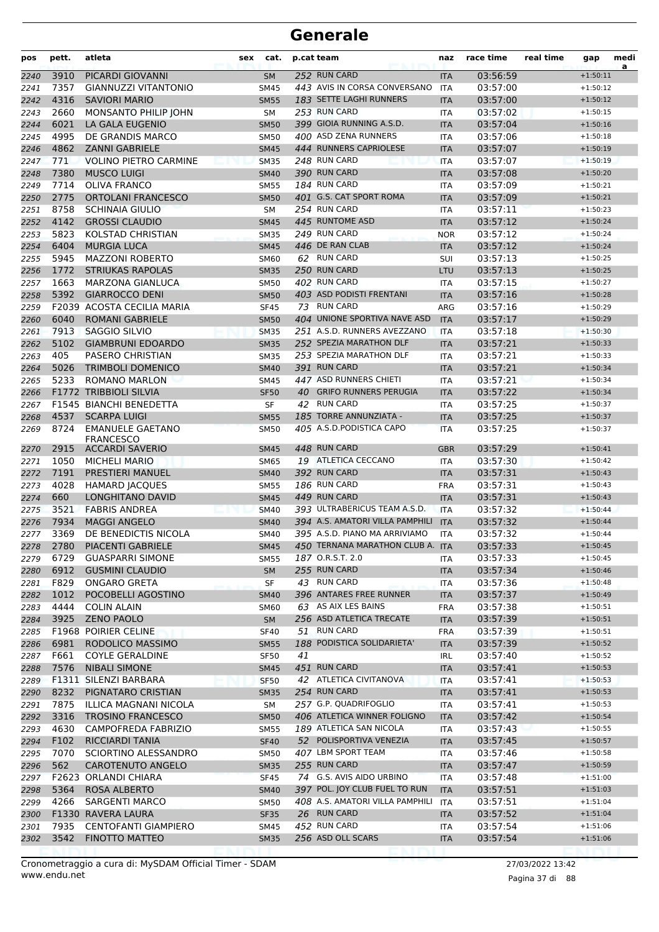| pos          | pett.        | atleta                                     | sex | cat.                       | p.cat team |                                         | naz        | race time            | real time | gap                      | medi<br>a |
|--------------|--------------|--------------------------------------------|-----|----------------------------|------------|-----------------------------------------|------------|----------------------|-----------|--------------------------|-----------|
| 2240         | 3910         | PICARDI GIOVANNI                           |     | <b>SM</b>                  |            | 252 RUN CARD                            | <b>ITA</b> | 03:56:59             |           | $+1:50:11$               |           |
| 2241         | 7357         | <b>GIANNUZZI VITANTONIO</b>                |     | <b>SM45</b>                |            | 443 AVIS IN CORSA CONVERSANO            | <b>ITA</b> | 03:57:00             |           | $+1:50:12$               |           |
| 2242         | 4316         | <b>SAVIORI MARIO</b>                       |     | <b>SM55</b>                |            | 183 SETTE LAGHI RUNNERS                 | <b>ITA</b> | 03:57:00             |           | $+1:50:12$               |           |
| 2243         | 2660         | MONSANTO PHILIP JOHN                       |     | SМ                         |            | 253 RUN CARD                            | ITA        | 03:57:02             |           | $+1:50:15$               |           |
| 2244         | 6021         | LA GALA EUGENIO                            |     | <b>SM50</b>                |            | 399 GIOIA RUNNING A.S.D.                | <b>ITA</b> | 03:57:04             |           | $+1:50:16$               |           |
| 2245         | 4995         | DE GRANDIS MARCO                           |     | <b>SM50</b>                |            | 400 ASD ZENA RUNNERS                    | <b>ITA</b> | 03:57:06             |           | $+1:50:18$               |           |
| 2246         | 4862         | <b>ZANNI GABRIELE</b>                      |     | <b>SM45</b>                |            | 444 RUNNERS CAPRIOLESE                  | <b>ITA</b> | 03:57:07             |           | $+1:50:19$               |           |
| 2247         | 771          | <b>VOLINO PIETRO CARMINE</b>               |     | <b>SM35</b>                |            | 248 RUN CARD                            | <b>ITA</b> | 03:57:07             |           | $+1:50:19$               |           |
| 2248         | 7380         | <b>MUSCO LUIGI</b>                         |     | <b>SM40</b>                |            | 390 RUN CARD                            | <b>ITA</b> | 03:57:08             |           | $+1:50:20$               |           |
| 2249         | 7714         | <b>OLIVA FRANCO</b>                        |     | <b>SM55</b>                |            | 184 RUN CARD<br>401 G.S. CAT SPORT ROMA | <b>ITA</b> | 03:57:09             |           | $+1:50:21$               |           |
| 2250         | 2775         | <b>ORTOLANI FRANCESCO</b>                  |     | <b>SM50</b>                |            | 254 RUN CARD                            | <b>ITA</b> | 03:57:09             |           | $+1:50:21$               |           |
| 2251         | 8758         | <b>SCHINAIA GIULIO</b>                     |     | <b>SM</b>                  |            | 445 RUNTOME ASD                         | <b>ITA</b> | 03:57:11             |           | $+1:50:23$               |           |
| 2252         | 4142<br>5823 | <b>GROSSI CLAUDIO</b>                      |     | <b>SM45</b>                |            | 249 RUN CARD                            | <b>ITA</b> | 03:57:12             |           | $+1:50:24$               |           |
| 2253         | 6404         | KOLSTAD CHRISTIAN<br><b>MURGIA LUCA</b>    |     | <b>SM35</b>                |            | 446 DE RAN CLAB                         | <b>NOR</b> | 03:57:12<br>03:57:12 |           | $+1:50:24$<br>$+1:50:24$ |           |
| 2254         | 5945         | <b>MAZZONI ROBERTO</b>                     |     | <b>SM45</b>                |            | 62 RUN CARD                             | <b>ITA</b> | 03:57:13             |           | $+1:50:25$               |           |
| 2255<br>2256 | 1772         | <b>STRIUKAS RAPOLAS</b>                    |     | <b>SM60</b><br><b>SM35</b> |            | 250 RUN CARD                            | SUI<br>LTU | 03:57:13             |           | $+1:50:25$               |           |
| 2257         | 1663         | MARZONA GIANLUCA                           |     | <b>SM50</b>                |            | 402 RUN CARD                            | <b>ITA</b> | 03:57:15             |           | $+1:50:27$               |           |
| 2258         | 5392         | <b>GIARROCCO DENI</b>                      |     | <b>SM50</b>                |            | 403 ASD PODISTI FRENTANI                | <b>ITA</b> | 03:57:16             |           | $+1:50:28$               |           |
| 2259         |              | F2039 ACOSTA CECILIA MARIA                 |     | <b>SF45</b>                |            | 73 RUN CARD                             | ARG        | 03:57:16             |           | $+1:50:29$               |           |
| 2260         | 6040         | <b>ROMANI GABRIELE</b>                     |     | <b>SM50</b>                |            | 404 UNIONE SPORTIVA NAVE ASD            | <b>ITA</b> | 03:57:17             |           | $+1:50:29$               |           |
| 2261         | 7913         | <b>SAGGIO SILVIO</b>                       |     | <b>SM35</b>                |            | 251 A.S.D. RUNNERS AVEZZANO             | <b>ITA</b> | 03:57:18             |           | $+1:50:30$               |           |
| 2262         | 5102         | <b>GIAMBRUNI EDOARDO</b>                   |     | <b>SM35</b>                |            | 252 SPEZIA MARATHON DLF                 | <b>ITA</b> | 03:57:21             |           | $+1:50:33$               |           |
| 2263         | 405          | PASERO CHRISTIAN                           |     | <b>SM35</b>                |            | 253 SPEZIA MARATHON DLF                 | <b>ITA</b> | 03:57:21             |           | $+1:50:33$               |           |
| 2264         | 5026         | <b>TRIMBOLI DOMENICO</b>                   |     | <b>SM40</b>                |            | 391 RUN CARD                            | <b>ITA</b> | 03:57:21             |           | $+1:50:34$               |           |
| 2265         | 5233         | <b>ROMANO MARLON</b>                       |     | <b>SM45</b>                |            | 447 ASD RUNNERS CHIETI                  | <b>ITA</b> | 03:57:21             |           | $+1:50:34$               |           |
| 2266         |              | <b>F1772 TRIBBIOLI SILVIA</b>              |     | <b>SF50</b>                |            | 40 GRIFO RUNNERS PERUGIA                | <b>ITA</b> | 03:57:22             |           | $+1:50:34$               |           |
| 2267         |              | F1545 BIANCHI BENEDETTA                    |     | SF                         | 42         | <b>RUN CARD</b>                         | ITA        | 03:57:25             |           | $+1:50:37$               |           |
| 2268         | 4537         | <b>SCARPA LUIGI</b>                        |     | <b>SM55</b>                |            | 185 TORRE ANNUNZIATA -                  | <b>ITA</b> | 03:57:25             |           | $+1:50:37$               |           |
| 2269         | 8724         | <b>EMANUELE GAETANO</b>                    |     | <b>SM50</b>                |            | 405 A.S.D.PODISTICA CAPO                | <b>ITA</b> | 03:57:25             |           | $+1:50:37$               |           |
| 2270         | 2915         | <b>FRANCESCO</b><br><b>ACCARDI SAVERIO</b> |     | <b>SM45</b>                |            | 448 RUN CARD                            | <b>GBR</b> | 03:57:29             |           | $+1:50:41$               |           |
| 2271         | 1050         | <b>MICHELI MARIO</b>                       |     | <b>SM65</b>                |            | 19 ATLETICA CECCANO                     | ITA        | 03:57:30             |           | $+1:50:42$               |           |
| 2272         | 7191         | <b>PRESTIERI MANUEL</b>                    |     | <b>SM40</b>                |            | 392 RUN CARD                            | <b>ITA</b> | 03:57:31             |           | $+1:50:43$               |           |
| 2273         | 4028         | <b>HAMARD JACQUES</b>                      |     | <b>SM55</b>                |            | 186 RUN CARD                            | <b>FRA</b> | 03:57:31             |           | $+1:50:43$               |           |
| 2274         | 660          | <b>LONGHITANO DAVID</b>                    |     | <b>SM45</b>                |            | 449 RUN CARD                            | <b>ITA</b> | 03:57:31             |           | $+1:50:43$               |           |
| 2275         | 3521         | <b>FABRIS ANDREA</b>                       |     | <b>SM40</b>                |            | 393 ULTRABERICUS TEAM A.S.D.            | <b>ITA</b> | 03:57:32             |           | $+1:50:44$               |           |
| 2276         | 7934         | <b>MAGGI ANGELO</b>                        |     | <b>SM40</b>                |            | 394 A.S. AMATORI VILLA PAMPHILI         | <b>ITA</b> | 03:57:32             |           | $+1:50:44$               |           |
| 2277         | 3369         | DE BENEDICTIS NICOLA                       |     | <b>SM40</b>                |            | 395 A.S.D. PIANO MA ARRIVIAMO           | <b>ITA</b> | 03:57:32             |           | $+1:50:44$               |           |
| 2278         |              | 2780 PIACENTI GABRIELE                     |     | <b>SM45</b>                |            | 450 TERNANA MARATHON CLUB A. ITA        |            | 03:57:33             |           | $+1:50:45$               |           |
| 2279         | 6729         | <b>GUASPARRI SIMONE</b>                    |     | <b>SM55</b>                |            | 187 O.R.S.T. 2.0                        | ITA        | 03:57:33             |           | $+1:50:45$               |           |
| 2280         | 6912         | <b>GUSMINI CLAUDIO</b>                     |     | <b>SM</b>                  |            | 255 RUN CARD                            | <b>ITA</b> | 03:57:34             |           | $+1:50:46$               |           |
| 2281         | F829         | <b>ONGARO GRETA</b>                        |     | SF                         |            | 43 RUN CARD                             | ITA        | 03:57:36             |           | $+1:50:48$               |           |
| 2282         | 1012         | POCOBELLI AGOSTINO                         |     | <b>SM40</b>                |            | 396 ANTARES FREE RUNNER                 | <b>ITA</b> | 03:57:37             |           | $+1:50:49$               |           |
| 2283         | 4444         | <b>COLIN ALAIN</b>                         |     | SM60                       |            | 63 AS AIX LES BAINS                     | <b>FRA</b> | 03:57:38             |           | $+1:50:51$               |           |
| 2284         | 3925         | <b>ZENO PAOLO</b>                          |     | <b>SM</b>                  |            | 256 ASD ATLETICA TRECATE                | <b>ITA</b> | 03:57:39             |           | $+1:50:51$               |           |
| 2285         |              | F1968 POIRIER CELINE                       |     | <b>SF40</b>                |            | 51 RUN CARD                             | <b>FRA</b> | 03:57:39             |           | $+1:50:51$               |           |
| 2286         | 6981         | RODOLICO MASSIMO                           |     | <b>SM55</b>                |            | 188 PODISTICA SOLIDARIETA'              | <b>ITA</b> | 03:57:39             |           | $+1:50:52$               |           |
| 2287         | F661         | <b>COYLE GERALDINE</b>                     |     | <b>SF50</b>                | 41         |                                         | IRL        | 03:57:40             |           | $+1:50:52$               |           |
| 2288         | 7576         | <b>NIBALI SIMONE</b>                       |     | <b>SM45</b>                |            | 451 RUN CARD                            | <b>ITA</b> | 03:57:41             |           | $+1:50:53$               |           |
| 2289         |              | F1311 SILENZI BARBARA                      |     | <b>SF50</b>                |            | 42 ATLETICA CIVITANOVA                  | <b>ITA</b> | 03:57:41             |           | $+1:50:53$               |           |
| 2290         | 8232         | PIGNATARO CRISTIAN                         |     | <b>SM35</b>                |            | 254 RUN CARD                            | <b>ITA</b> | 03:57:41             |           | $+1:50:53$               |           |
| 2291         | 7875         | ILLICA MAGNANI NICOLA                      |     | SM                         |            | 257 G.P. QUADRIFOGLIO                   | ITA        | 03:57:41             |           | $+1:50:53$               |           |
| 2292         | 3316         | <b>TROSINO FRANCESCO</b>                   |     | <b>SM50</b>                |            | 406 ATLETICA WINNER FOLIGNO             | <b>ITA</b> | 03:57:42             |           | $+1:50:54$               |           |
| 2293         | 4630         | CAMPOFREDA FABRIZIO                        |     | <b>SM55</b>                |            | 189 ATLETICA SAN NICOLA                 | <b>ITA</b> | 03:57:43             |           | $+1:50:55$               |           |
| 2294         | F102         | <b>RICCIARDI TANIA</b>                     |     | <b>SF40</b>                |            | 52 POLISPORTIVA VENEZIA                 | <b>ITA</b> | 03:57:45             |           | $+1:50:57$               |           |
| 2295         | 7070         | SCIORTINO ALESSANDRO                       |     | <b>SM50</b>                |            | 407 LBM SPORT TEAM                      | ITA        | 03:57:46             |           | $+1:50:58$               |           |
| 2296         | 562          | <b>CAROTENUTO ANGELO</b>                   |     | <b>SM35</b>                |            | 255 RUN CARD                            | <b>ITA</b> | 03:57:47             |           | $+1:50:59$               |           |
| 2297         |              | F2623 ORLANDI CHIARA                       |     | <b>SF45</b>                |            | 74 G.S. AVIS AIDO URBINO                | ITA        | 03:57:48             |           | $+1:51:00$               |           |
| 2298         | 5364         | <b>ROSA ALBERTO</b>                        |     | <b>SM40</b>                |            | 397 POL. JOY CLUB FUEL TO RUN           | <b>ITA</b> | 03:57:51             |           | $+1:51:03$               |           |
| 2299         | 4266         | SARGENTI MARCO                             |     | <b>SM50</b>                |            | 408 A.S. AMATORI VILLA PAMPHILI         | <b>ITA</b> | 03:57:51             |           | $+1:51:04$               |           |
| 2300         |              | F1330 RAVERA LAURA                         |     | <b>SF35</b>                |            | 26 RUN CARD                             | <b>ITA</b> | 03:57:52             |           | $+1:51:04$               |           |
| 2301         | 7935         | <b>CENTOFANTI GIAMPIERO</b>                |     | <b>SM45</b>                |            | 452 RUN CARD                            | ITA        | 03:57:54             |           | $+1:51:06$               |           |
| 2302         | 3542         | <b>FINOTTO MATTEO</b>                      |     | <b>SM35</b>                |            | 256 ASD OLL SCARS                       | <b>ITA</b> | 03:57:54             |           | $+1:51:06$               |           |
|              |              |                                            |     |                            |            |                                         |            |                      |           |                          |           |

www.endu.net Cronometraggio a cura di: MySDAM Official Timer - SDAM 27/03/2022 13:42

Pagina 37 di 88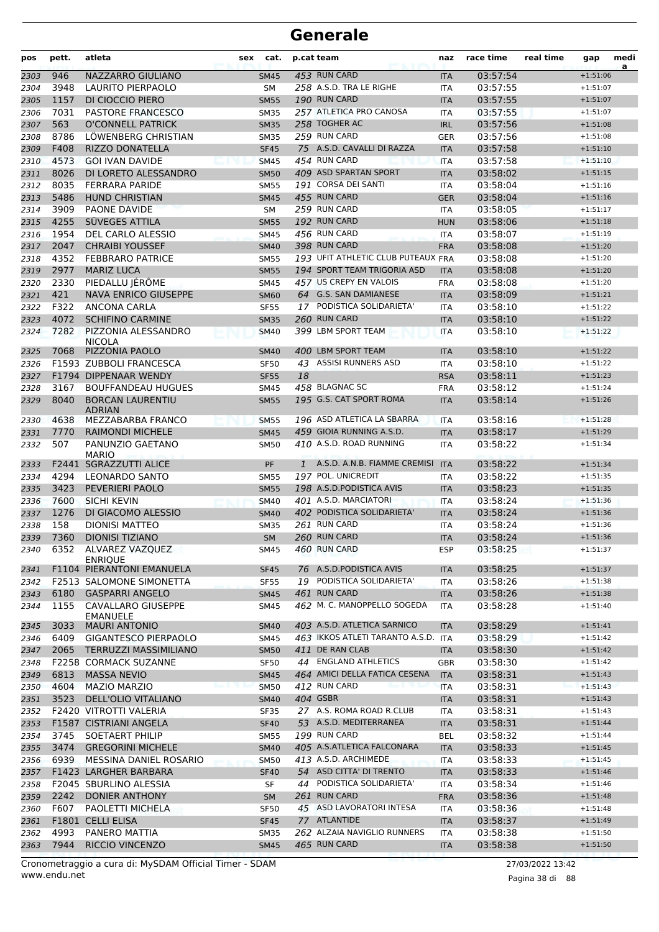| pos  | pett. | atleta                                       | sex<br>cat. |              | p.cat team                          | naz        | race time | real time | gap        | medi |
|------|-------|----------------------------------------------|-------------|--------------|-------------------------------------|------------|-----------|-----------|------------|------|
| 2303 | 946   | NAZZARRO GIULIANO                            | <b>SM45</b> |              | 453 RUN CARD                        | <b>ITA</b> | 03:57:54  |           | $+1:51:06$ | a    |
| 2304 | 3948  | LAURITO PIERPAOLO                            | SM          |              | 258 A.S.D. TRA LE RIGHE             | <b>ITA</b> | 03:57:55  |           | $+1:51:07$ |      |
| 2305 | 1157  | DI CIOCCIO PIERO                             | <b>SM55</b> |              | 190 RUN CARD                        | <b>ITA</b> | 03:57:55  |           | $+1:51:07$ |      |
| 2306 | 7031  | PASTORE FRANCESCO                            | <b>SM35</b> |              | 257 ATLETICA PRO CANOSA             | <b>ITA</b> | 03:57:55  |           | $+1:51:07$ |      |
| 2307 | 563   | O'CONNELL PATRICK                            | <b>SM35</b> |              | 258 TOGHER AC                       | <b>IRL</b> | 03:57:56  |           | $+1:51:08$ |      |
| 2308 | 8786  | LOWENBERG CHRISTIAN                          | <b>SM35</b> |              | 259 RUN CARD                        | <b>GER</b> | 03:57:56  |           | $+1:51:08$ |      |
| 2309 | F408  | RIZZO DONATELLA                              | <b>SF45</b> |              | 75 A.S.D. CAVALLI DI RAZZA          | <b>ITA</b> | 03:57:58  |           | $+1:51:10$ |      |
| 2310 | 4573  | <b>GOI IVAN DAVIDE</b>                       | <b>SM45</b> |              | 454 RUN CARD                        | <b>ITA</b> | 03:57:58  |           | $+1:51:10$ |      |
| 2311 | 8026  | DI LORETO ALESSANDRO                         | <b>SM50</b> |              | 409 ASD SPARTAN SPORT               | <b>ITA</b> | 03:58:02  |           | $+1:51:15$ |      |
| 2312 | 8035  | <b>FERRARA PARIDE</b>                        | <b>SM55</b> |              | 191 CORSA DEI SANTI                 | <b>ITA</b> | 03:58:04  |           | $+1:51:16$ |      |
| 2313 | 5486  | <b>HUND CHRISTIAN</b>                        | <b>SM45</b> |              | 455 RUN CARD                        | <b>GER</b> | 03:58:04  |           | $+1:51:16$ |      |
| 2314 | 3909  | PAONE DAVIDE                                 | <b>SM</b>   |              | 259 RUN CARD                        | <b>ITA</b> | 03:58:05  |           | $+1:51:17$ |      |
| 2315 | 4255  | SÜVEGES ATTILA                               | <b>SM55</b> |              | 192 RUN CARD                        | <b>HUN</b> | 03:58:06  |           | $+1:51:18$ |      |
| 2316 | 1954  | DEL CARLO ALESSIO                            | <b>SM45</b> |              | 456 RUN CARD                        | ITA        | 03:58:07  |           | $+1:51:19$ |      |
| 2317 | 2047  | <b>CHRAIBI YOUSSEF</b>                       | <b>SM40</b> |              | 398 RUN CARD                        | <b>FRA</b> | 03:58:08  |           | $+1:51:20$ |      |
| 2318 | 4352  | <b>FEBBRARO PATRICE</b>                      | <b>SM55</b> |              | 193 UFIT ATHLETIC CLUB PUTEAUX FRA  |            | 03:58:08  |           | $+1:51:20$ |      |
| 2319 | 2977  | <b>MARIZ LUCA</b>                            | <b>SM55</b> |              | 194 SPORT TEAM TRIGORIA ASD         | <b>ITA</b> | 03:58:08  |           | $+1:51:20$ |      |
| 2320 | 2330  | PIEDALLU JÉRÔME                              | <b>SM45</b> |              | 457 US CREPY EN VALOIS              | <b>FRA</b> | 03:58:08  |           | $+1:51:20$ |      |
| 2321 | 421   | <b>NAVA ENRICO GIUSEPPE</b>                  | <b>SM60</b> |              | 64 G.S. SAN DAMIANESE               | <b>ITA</b> | 03:58:09  |           | $+1:51:21$ |      |
| 2322 | F322  | <b>ANCONA CARLA</b>                          | <b>SF55</b> |              | 17 PODISTICA SOLIDARIETA'           | <b>ITA</b> | 03:58:10  |           | $+1:51:22$ |      |
| 2323 | 4072  | <b>SCHIFINO CARMINE</b>                      | <b>SM35</b> |              | 260 RUN CARD                        | <b>ITA</b> | 03:58:10  |           | $+1:51:22$ |      |
| 2324 | 7282  | PIZZONIA ALESSANDRO<br><b>NICOLA</b>         | <b>SM40</b> |              | 399 LBM SPORT TEAM                  | <b>ITA</b> | 03:58:10  |           | $+1:51:22$ |      |
| 2325 | 7068  | PIZZONIA PAOLO                               | <b>SM40</b> |              | 400 LBM SPORT TEAM                  | <b>ITA</b> | 03:58:10  |           | $+1:51:22$ |      |
| 2326 |       | F1593 ZUBBOLI FRANCESCA                      | <b>SF50</b> |              | 43 ASSISI RUNNERS ASD               | <b>ITA</b> | 03:58:10  |           | $+1:51:22$ |      |
| 2327 |       | F1794 DIPPENAAR WENDY                        | <b>SF55</b> | 18           |                                     | <b>RSA</b> | 03:58:11  |           | $+1:51:23$ |      |
| 2328 | 3167  | <b>BOUFFANDEAU HUGUES</b>                    | SM45        |              | 458 BLAGNAC SC                      | <b>FRA</b> | 03:58:12  |           | $+1:51:24$ |      |
| 2329 | 8040  | <b>BORCAN LAURENTIU</b><br><b>ADRIAN</b>     | <b>SM55</b> |              | 195 G.S. CAT SPORT ROMA             | <b>ITA</b> | 03:58:14  |           | $+1:51:26$ |      |
| 2330 | 4638  | MEZZABARBA FRANCO                            | <b>SM55</b> |              | 196 ASD ATLETICA LA SBARRA          | <b>ITA</b> | 03:58:16  |           | $+1:51:28$ |      |
| 2331 | 7770  | <b>RAIMONDI MICHELE</b>                      | <b>SM45</b> |              | 459 GIOIA RUNNING A.S.D.            | <b>ITA</b> | 03:58:17  |           | $+1:51:29$ |      |
| 2332 | 507   | PANUNZIO GAETANO<br><b>MARIO</b>             | <b>SM50</b> |              | 410 A.S.D. ROAD RUNNING             | <b>ITA</b> | 03:58:22  |           | $+1:51:34$ |      |
| 2333 |       | <b>F2441 SGRAZZUTTI ALICE</b>                | PF          | $\mathbf{1}$ | A.S.D. A.N.B. FIAMME CREMISI        | <b>ITA</b> | 03:58:22  |           | $+1:51:34$ |      |
| 2334 | 4294  | <b>LEONARDO SANTO</b>                        | <b>SM55</b> |              | 197 POL. UNICREDIT                  | <b>ITA</b> | 03:58:22  |           | $+1:51:35$ |      |
| 2335 | 3423  | PEVERIERI PAOLO                              | <b>SM55</b> |              | 198 A.S.D.PODISTICA AVIS            | <b>ITA</b> | 03:58:23  |           | $+1:51:35$ |      |
| 2336 | 7600  | <b>SICHI KEVIN</b>                           | <b>SM40</b> |              | 401 A.S.D. MARCIATORI               | <b>ITA</b> | 03:58:24  |           | $+1:51:36$ |      |
| 2337 | 1276  | DI GIACOMO ALESSIO                           | <b>SM40</b> |              | 402 PODISTICA SOLIDARIETA'          | <b>ITA</b> | 03:58:24  |           | $+1:51:36$ |      |
| 2338 | 158   | <b>DIONISI MATTEO</b>                        | <b>SM35</b> |              | 261 RUN CARD                        | <b>ITA</b> | 03:58:24  |           | $+1:51:36$ |      |
| 2339 | 7360  | <b>DIONISI TIZIANO</b>                       | <b>SM</b>   |              | 260 RUN CARD                        | <b>ITA</b> | 03:58:24  |           | $+1:51:36$ |      |
| 2340 |       | 6352 ALVAREZ VAZQUEZ<br><b>ENRIQUE</b>       | SM45        |              | 460 RUN CARD                        | ESP        | 03:58:25  |           | $+1:51:37$ |      |
| 2341 |       | F1104 PIERANTONI EMANUELA                    | <b>SF45</b> |              | 76 A.S.D. PODISTICA AVIS            | <b>ITA</b> | 03:58:25  |           | $+1:51:37$ |      |
| 2342 |       | <b>F2513 SALOMONE SIMONETTA</b>              | <b>SF55</b> |              | 19 PODISTICA SOLIDARIETA'           | <b>ITA</b> | 03:58:26  |           | $+1:51:38$ |      |
| 2343 | 6180  | <b>GASPARRI ANGELO</b>                       | <b>SM45</b> |              | 461 RUN CARD                        | <b>ITA</b> | 03:58:26  |           | $+1:51:38$ |      |
| 2344 | 1155  | <b>CAVALLARO GIUSEPPE</b><br><b>EMANUELE</b> | SM45        |              | 462 M. C. MANOPPELLO SOGEDA         | <b>ITA</b> | 03:58:28  |           | $+1:51:40$ |      |
| 2345 | 3033  | <b>MAURI ANTONIO</b>                         | <b>SM40</b> |              | 403 A.S.D. ATLETICA SARNICO         | <b>ITA</b> | 03:58:29  |           | $+1:51:41$ |      |
| 2346 | 6409  | <b>GIGANTESCO PIERPAOLO</b>                  | SM45        |              | 463 IKKOS ATLETI TARANTO A.S.D. ITA |            | 03:58:29  |           | $+1:51:42$ |      |
| 2347 | 2065  | <b>TERRUZZI MASSIMILIANO</b>                 | <b>SM50</b> |              | 411 DE RAN CLAB                     | <b>ITA</b> | 03:58:30  |           | $+1:51:42$ |      |
| 2348 |       | F2258 CORMACK SUZANNE                        | <b>SF50</b> |              | 44 ENGLAND ATHLETICS                | <b>GBR</b> | 03:58:30  |           | $+1:51:42$ |      |
| 2349 | 6813  | <b>MASSA NEVIO</b>                           | <b>SM45</b> |              | 464 AMICI DELLA FATICA CESENA       | <b>ITA</b> | 03:58:31  |           | $+1:51:43$ |      |
| 2350 | 4604  | <b>MAZIO MARZIO</b>                          | <b>SM50</b> |              | 412 RUN CARD                        | <b>ITA</b> | 03:58:31  |           | $+1:51:43$ |      |
| 2351 | 3523  | DELL'OLIO VITALIANO                          | <b>SM40</b> |              | 404 GSBR                            | <b>ITA</b> | 03:58:31  |           | $+1:51:43$ |      |
| 2352 |       | F2420 VITROTTI VALERIA                       | <b>SF35</b> |              | 27 A.S. ROMA ROAD R.CLUB            | <b>ITA</b> | 03:58:31  |           | $+1:51:43$ |      |
| 2353 |       | F1587 CISTRIANI ANGELA                       | <b>SF40</b> |              | 53 A.S.D. MEDITERRANEA              | <b>ITA</b> | 03:58:31  |           | $+1:51:44$ |      |
| 2354 | 3745  | <b>SOETAERT PHILIP</b>                       | <b>SM55</b> |              | 199 RUN CARD                        | BEL        | 03:58:32  |           | $+1:51:44$ |      |
| 2355 | 3474  | <b>GREGORINI MICHELE</b>                     | <b>SM40</b> |              | 405 A.S.ATLETICA FALCONARA          | <b>ITA</b> | 03:58:33  |           | $+1:51:45$ |      |
| 2356 | 6939  | MESSINA DANIEL ROSARIO                       | <b>SM50</b> |              | 413 A.S.D. ARCHIMEDE                | ITA        | 03:58:33  |           | $+1:51:45$ |      |
| 2357 |       | F1423 LARGHER BARBARA                        | <b>SF40</b> |              | 54 ASD CITTA' DI TRENTO             | <b>ITA</b> | 03:58:33  |           | $+1:51:46$ |      |
| 2358 |       | F2045 SBURLINO ALESSIA                       | SF          |              | 44 PODISTICA SOLIDARIETA'           | <b>ITA</b> | 03:58:34  |           | $+1:51:46$ |      |
| 2359 | 2242  | <b>DONIER ANTHONY</b>                        | <b>SM</b>   |              | 261 RUN CARD                        | <b>FRA</b> | 03:58:36  |           | $+1:51:48$ |      |
| 2360 | F607  | PAOLETTI MICHELA                             | <b>SF50</b> |              | 45 ASD LAVORATORI INTESA            | ITA        | 03:58:36  |           | $+1:51:48$ |      |
| 2361 |       | F1801 CELLI ELISA                            | <b>SF45</b> |              | 77 ATLANTIDE                        | <b>ITA</b> | 03:58:37  |           | $+1:51:49$ |      |
| 2362 | 4993  | PANERO MATTIA                                | <b>SM35</b> |              | 262 ALZAIA NAVIGLIO RUNNERS         | ITA        | 03:58:38  |           | $+1:51:50$ |      |
| 2363 | 7944  | <b>RICCIO VINCENZO</b>                       | <b>SM45</b> |              | 465 RUN CARD                        | <b>ITA</b> | 03:58:38  |           | $+1:51:50$ |      |

www.endu.net Cronometraggio a cura di: MySDAM Official Timer - SDAM 27/03/2022 13:42

Pagina 38 di 88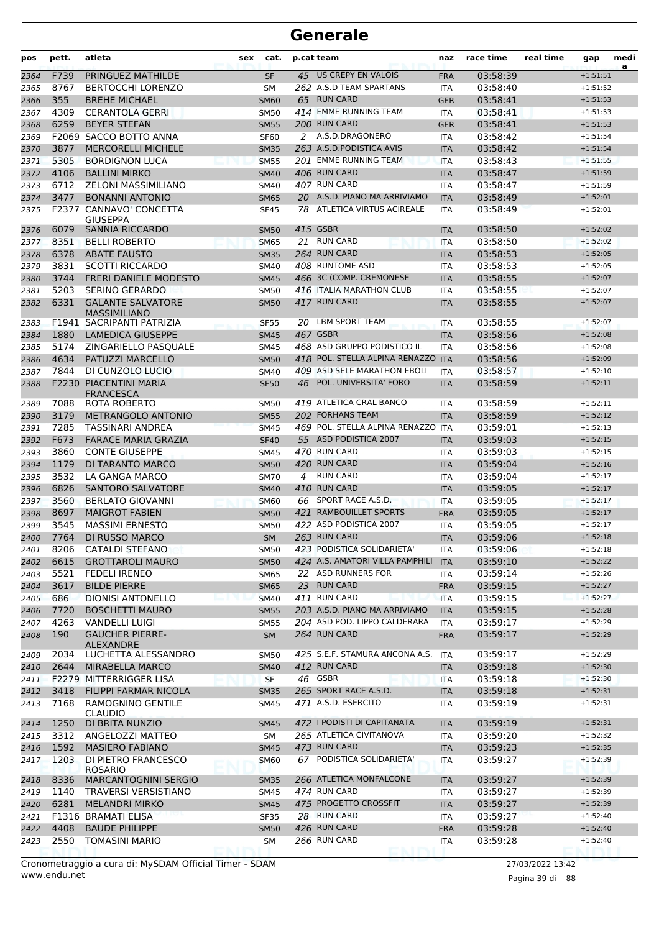| pos  | pett. | atleta                                          | sex | cat.        |    | p.cat team                         | naz        | race time | real time | gap        | medi<br>a |
|------|-------|-------------------------------------------------|-----|-------------|----|------------------------------------|------------|-----------|-----------|------------|-----------|
| 2364 | F739  | PRINGUEZ MATHILDE                               |     | <b>SF</b>   | 45 | US CREPY EN VALOIS                 | <b>FRA</b> | 03:58:39  |           | $+1:51:51$ |           |
| 2365 | 8767  | <b>BERTOCCHI LORENZO</b>                        |     | SΜ          |    | 262 A.S.D TEAM SPARTANS            | <b>ITA</b> | 03:58:40  |           | $+1:51:52$ |           |
| 2366 | 355   | <b>BREHE MICHAEL</b>                            |     | <b>SM60</b> | 65 | <b>RUN CARD</b>                    | <b>GER</b> | 03:58:41  |           | $+1:51:53$ |           |
| 2367 | 4309  | <b>CERANTOLA GERRI</b>                          |     | <b>SM50</b> |    | 414 EMME RUNNING TEAM              | <b>ITA</b> | 03:58:41  |           | $+1:51:53$ |           |
| 2368 | 6259  | <b>BEYER STEFAN</b>                             |     | <b>SM55</b> |    | 200 RUN CARD                       | <b>GER</b> | 03:58:41  |           | $+1:51:53$ |           |
| 2369 |       | F2069 SACCO BOTTO ANNA                          |     | <b>SF60</b> |    | 2 A.S.D.DRAGONERO                  | <b>ITA</b> | 03:58:42  |           | $+1:51:54$ |           |
| 2370 | 3877  | <b>MERCORELLI MICHELE</b>                       |     | <b>SM35</b> |    | 263 A.S.D. PODISTICA AVIS          | <b>ITA</b> | 03:58:42  |           | $+1:51:54$ |           |
| 2371 | 5305  | <b>BORDIGNON LUCA</b>                           |     | <b>SM55</b> |    | 201 EMME RUNNING TEAM              | <b>ITA</b> | 03:58:43  |           | $+1:51:55$ |           |
| 2372 | 4106  | <b>BALLINI MIRKO</b>                            |     | <b>SM40</b> |    | 406 RUN CARD                       | <b>ITA</b> | 03:58:47  |           | $+1:51:59$ |           |
| 2373 | 6712  | <b>ZELONI MASSIMILIANO</b>                      |     | <b>SM40</b> |    | 407 RUN CARD                       | <b>ITA</b> | 03:58:47  |           | $+1:51:59$ |           |
| 2374 | 3477  | <b>BONANNI ANTONIO</b>                          |     | <b>SM65</b> |    | 20 A.S.D. PIANO MA ARRIVIAMO       | <b>ITA</b> | 03:58:49  |           | $+1:52:01$ |           |
| 2375 | F2377 | CANNAVO' CONCETTA<br>GIUSEPPA                   |     | <b>SF45</b> |    | 78 ATLETICA VIRTUS ACIREALE        | <b>ITA</b> | 03:58:49  |           | $+1:52:01$ |           |
| 2376 | 6079  | <b>SANNIA RICCARDO</b>                          |     | <b>SM50</b> |    | 415 GSBR                           | <b>ITA</b> | 03:58:50  |           | $+1:52:02$ |           |
| 2377 | 8351  | <b>BELLI ROBERTO</b>                            |     | <b>SM65</b> |    | 21 RUN CARD                        | <b>ITA</b> | 03:58:50  |           | $+1:52:02$ |           |
| 2378 | 6378  | <b>ABATE FAUSTO</b>                             |     | <b>SM35</b> |    | 264 RUN CARD                       | <b>ITA</b> | 03:58:53  |           | $+1:52:05$ |           |
| 2379 | 3831  | <b>SCOTTI RICCARDO</b>                          |     | <b>SM40</b> |    | 408 RUNTOME ASD                    | <b>ITA</b> | 03:58:53  |           | $+1:52:05$ |           |
| 2380 | 3744  | <b>FRERI DANIELE MODESTO</b>                    |     | <b>SM45</b> |    | 466 3C (COMP. CREMONESE            | <b>ITA</b> | 03:58:55  |           | $+1:52:07$ |           |
| 2381 | 5203  | <b>SERINO GERARDO</b>                           |     | <b>SM50</b> |    | 416 ITALIA MARATHON CLUB           | <b>ITA</b> | 03:58:55  |           | $+1:52:07$ |           |
| 2382 | 6331  | <b>GALANTE SALVATORE</b><br><b>MASSIMILIANO</b> |     | <b>SM50</b> |    | 417 RUN CARD                       | <b>ITA</b> | 03:58:55  |           | $+1:52:07$ |           |
| 2383 |       | F1941 SACRIPANTI PATRIZIA                       |     | <b>SF55</b> |    | 20 LBM SPORT TEAM                  | <b>ITA</b> | 03:58:55  |           | $+1:52:07$ |           |
| 2384 | 1880  | <b>LAMEDICA GIUSEPPE</b>                        |     | <b>SM45</b> |    | 467 GSBR                           | <b>ITA</b> | 03:58:56  |           | $+1:52:08$ |           |
| 2385 | 5174  | ZINGARIELLO PASQUALE                            |     | <b>SM45</b> |    | 468 ASD GRUPPO PODISTICO IL        | <b>ITA</b> | 03:58:56  |           | $+1:52:08$ |           |
| 2386 | 4634  | <b>PATUZZI MARCELLO</b>                         |     | <b>SM50</b> |    | 418 POL. STELLA ALPINA RENAZZO ITA |            | 03:58:56  |           | $+1:52:09$ |           |
| 2387 | 7844  | DI CUNZOLO LUCIO                                |     | <b>SM40</b> |    | 409 ASD SELE MARATHON EBOLI        | <b>ITA</b> | 03:58:57  |           | $+1:52:10$ |           |
| 2388 | F2230 | <b>PIACENTINI MARIA</b><br>FRANCESCA            |     | <b>SF50</b> |    | 46 POL. UNIVERSITA' FORO           | <b>ITA</b> | 03:58:59  |           | $+1:52:11$ |           |
| 2389 | 7088  | ROTA ROBERTO                                    |     | <b>SM50</b> |    | 419 ATLETICA CRAL BANCO            | ITA        | 03:58:59  |           | $+1:52:11$ |           |
| 2390 | 3179  | <b>METRANGOLO ANTONIO</b>                       |     | <b>SM55</b> |    | 202 FORHANS TEAM                   | <b>ITA</b> | 03:58:59  |           | $+1:52:12$ |           |
| 2391 | 7285  | TASSINARI ANDREA                                |     | <b>SM45</b> |    | 469 POL. STELLA ALPINA RENAZZO ITA |            | 03:59:01  |           | $+1:52:13$ |           |
| 2392 | F673  | <b>FARACE MARIA GRAZIA</b>                      |     | <b>SF40</b> |    | 55 ASD PODISTICA 2007              | <b>ITA</b> | 03:59:03  |           | $+1:52:15$ |           |
| 2393 | 3860  | <b>CONTE GIUSEPPE</b>                           |     | <b>SM45</b> |    | 470 RUN CARD                       | <b>ITA</b> | 03:59:03  |           | $+1:52:15$ |           |
| 2394 | 1179  | DI TARANTO MARCO                                |     | <b>SM50</b> |    | 420 RUN CARD                       | <b>ITA</b> | 03:59:04  |           | $+1:52:16$ |           |
| 2395 | 3532  | LA GANGA MARCO                                  |     | <b>SM70</b> | 4  | <b>RUN CARD</b>                    | ITA        | 03:59:04  |           | $+1:52:17$ |           |
| 2396 | 6826  | <b>SANTORO SALVATORE</b>                        |     | <b>SM40</b> |    | 410 RUN CARD                       | <b>ITA</b> | 03:59:05  |           | $+1:52:17$ |           |
| 2397 | 3560  | <b>BERLATO GIOVANNI</b>                         |     | <b>SM60</b> |    | 66 SPORT RACE A.S.D.               | <b>ITA</b> | 03:59:05  |           | $+1:52:17$ |           |
| 2398 | 8697  | <b>MAIGROT FABIEN</b>                           |     | <b>SM50</b> |    | 421 RAMBOUILLET SPORTS             | <b>FRA</b> | 03:59:05  |           | $+1:52:17$ |           |
| 2399 | 3545  | <b>MASSIMI ERNESTO</b>                          |     | <b>SM50</b> |    | 422 ASD PODISTICA 2007             | <b>ITA</b> | 03:59:05  |           | $+1:52:17$ |           |
| 2400 | 7764  | DI RUSSO MARCO                                  |     | <b>SM</b>   |    | 263 RUN CARD                       | <b>ITA</b> | 03:59:06  |           | $+1:52:18$ |           |
| 2401 | 8206  | <b>CATALDI STEFANO</b>                          |     | <b>SM50</b> |    | 423 PODISTICA SOLIDARIETA'         | ITA        | 03:59:06  |           | $+1:52:18$ |           |
| 2402 | 6615  | <b>GROTTAROLI MAURO</b>                         |     | <b>SM50</b> |    | 424 A.S. AMATORI VILLA PAMPHILI    | <b>ITA</b> | 03:59:10  |           | $+1:52:22$ |           |
| 2403 | 5521  | <b>FEDELI IRENEO</b>                            |     | <b>SM65</b> |    | 22 ASD RUNNERS FOR                 | ITA        | 03:59:14  |           | $+1:52:26$ |           |
| 2404 | 3617  | <b>BILDE PIERRE</b>                             |     | <b>SM65</b> |    | 23 RUN CARD                        | <b>FRA</b> | 03:59:15  |           | $+1:52:27$ |           |
| 2405 | 686   | <b>DIONISI ANTONELLO</b>                        |     | <b>SM40</b> |    | 411 RUN CARD                       | <b>ITA</b> | 03:59:15  |           | $+1:52:27$ |           |
| 2406 | 7720  | <b>BOSCHETTI MAURO</b>                          |     | <b>SM55</b> |    | 203 A.S.D. PIANO MA ARRIVIAMO      | <b>ITA</b> | 03:59:15  |           | $+1:52:28$ |           |
| 2407 | 4263  | <b>VANDELLI LUIGI</b>                           |     | SM55        |    | 204 ASD POD. LIPPO CALDERARA       | ITA        | 03:59:17  |           | $+1:52:29$ |           |
| 2408 | 190   | <b>GAUCHER PIERRE-</b><br>ALEXANDRE             |     | <b>SM</b>   |    | 264 RUN CARD                       | <b>FRA</b> | 03:59:17  |           | $+1:52:29$ |           |
| 2409 | 2034  | LUCHETTA ALESSANDRO                             |     | <b>SM50</b> |    | 425 S.E.F. STAMURA ANCONA A.S.     | <b>ITA</b> | 03:59:17  |           | $+1:52:29$ |           |
| 2410 | 2644  | MIRABELLA MARCO                                 |     | <b>SM40</b> |    | 412 RUN CARD                       | <b>ITA</b> | 03:59:18  |           | $+1:52:30$ |           |
| 2411 |       | F2279 MITTERRIGGER LISA                         |     | <b>SF</b>   |    | 46 GSBR                            | ITA        | 03:59:18  |           | $+1:52:30$ |           |
| 2412 | 3418  | FILIPPI FARMAR NICOLA                           |     | <b>SM35</b> |    | 265 SPORT RACE A.S.D.              | <b>ITA</b> | 03:59:18  |           | $+1:52:31$ |           |
| 2413 | 7168  | <b>RAMOGNINO GENTILE</b><br><b>CLAUDIO</b>      |     | SM45        |    | 471 A.S.D. ESERCITO                | ITA        | 03:59:19  |           | $+1:52:31$ |           |
| 2414 | 1250  | DI BRITA NUNZIO                                 |     | <b>SM45</b> |    | 472 I PODISTI DI CAPITANATA        | <b>ITA</b> | 03:59:19  |           | $+1:52:31$ |           |
| 2415 | 3312  | ANGELOZZI MATTEO                                |     | SM          |    | 265 ATLETICA CIVITANOVA            | ITA        | 03:59:20  |           | $+1:52:32$ |           |
| 2416 | 1592  | <b>MASIERO FABIANO</b>                          |     | <b>SM45</b> |    | 473 RUN CARD                       | <b>ITA</b> | 03:59:23  |           | $+1:52:35$ |           |
| 2417 | 1203  | DI PIETRO FRANCESCO<br>ROSARIO                  |     | <b>SM60</b> |    | 67 PODISTICA SOLIDARIETA'          | ITA        | 03:59:27  |           | $+1:52:39$ |           |
| 2418 | 8336  | <b>MARCANTOGNINI SERGIO</b>                     |     | <b>SM35</b> |    | 266 ATLETICA MONFALCONE            | <b>ITA</b> | 03:59:27  |           | $+1:52:39$ |           |
| 2419 | 1140  | <b>TRAVERSI VERSISTIANO</b>                     |     | <b>SM45</b> |    | 474 RUN CARD                       | ITA        | 03:59:27  |           | $+1:52:39$ |           |
| 2420 | 6281  | <b>MELANDRI MIRKO</b>                           |     | <b>SM45</b> |    | 475 PROGETTO CROSSFIT              | <b>ITA</b> | 03:59:27  |           | $+1:52:39$ |           |
| 2421 |       | F1316 BRAMATI ELISA                             |     | <b>SF35</b> |    | 28 RUN CARD                        | ITA        | 03:59:27  |           | $+1:52:40$ |           |
| 2422 | 4408  | <b>BAUDE PHILIPPE</b>                           |     | <b>SM50</b> |    | 426 RUN CARD                       | <b>FRA</b> | 03:59:28  |           | $+1:52:40$ |           |
| 2423 | 2550  | <b>TOMASINI MARIO</b>                           |     | SM          |    | 266 RUN CARD                       | ITA        | 03:59:28  |           | $+1:52:40$ |           |

www.endu.net Cronometraggio a cura di: MySDAM Official Timer - SDAM 27/03/2022 13:42

Pagina 39 di 88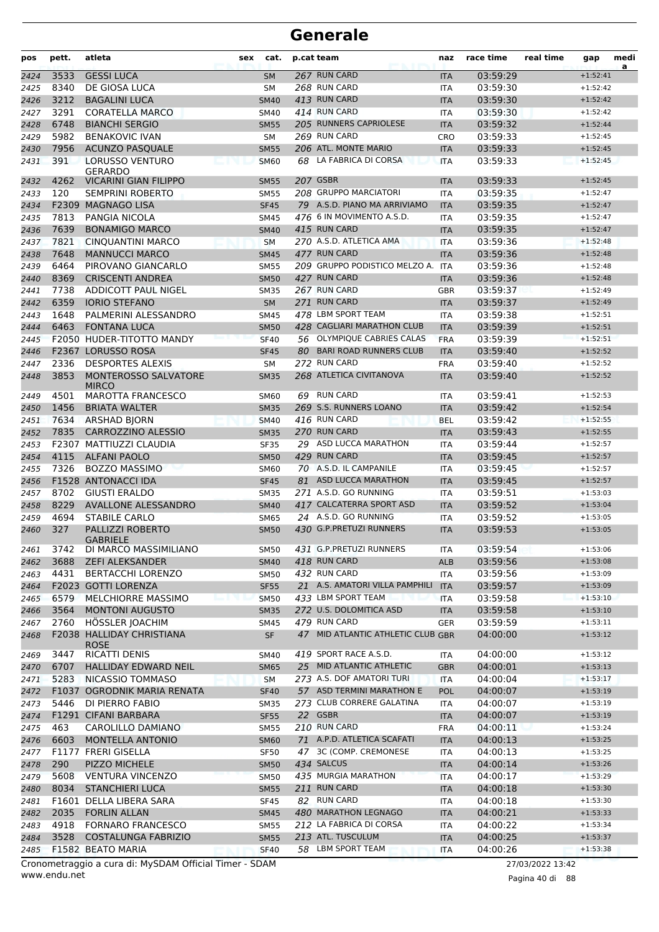| pos          | pett. | atleta                                                 | sex | cat.                       |    | p.cat team                                     | naz                      | race time            | real time        | gap                      | medi<br>a |
|--------------|-------|--------------------------------------------------------|-----|----------------------------|----|------------------------------------------------|--------------------------|----------------------|------------------|--------------------------|-----------|
| 2424         | 3533  | <b>GESSI LUCA</b>                                      |     | <b>SM</b>                  |    | 267 RUN CARD                                   | <b>ITA</b>               | 03:59:29             |                  | $+1:52:41$               |           |
| 2425         | 8340  | DE GIOSA LUCA                                          |     | <b>SM</b>                  |    | 268 RUN CARD                                   | <b>ITA</b>               | 03:59:30             |                  | $+1:52:42$               |           |
| 2426         | 3212  | <b>BAGALINI LUCA</b>                                   |     | <b>SM40</b>                |    | 413 RUN CARD                                   | <b>ITA</b>               | 03:59:30             |                  | $+1:52:42$               |           |
| 2427         | 3291  | <b>CORATELLA MARCO</b>                                 |     | <b>SM40</b>                |    | 414 RUN CARD                                   | <b>ITA</b>               | 03:59:30             |                  | $+1:52:42$               |           |
| 2428         | 6748  | <b>BIANCHI SERGIO</b>                                  |     | <b>SM55</b>                |    | 205 RUNNERS CAPRIOLESE                         | <b>ITA</b>               | 03:59:32             |                  | $+1:52:44$               |           |
| 2429         | 5982  | <b>BENAKOVIC IVAN</b>                                  |     | <b>SM</b>                  |    | 269 RUN CARD                                   | <b>CRO</b>               | 03:59:33             |                  | $+1:52:45$               |           |
| 2430         | 7956  | <b>ACUNZO PASQUALE</b>                                 |     | <b>SM55</b>                |    | 206 ATL. MONTE MARIO                           | <b>ITA</b>               | 03:59:33             |                  | $+1:52:45$               |           |
| 2431         | 391   | <b>LORUSSO VENTURO</b><br><b>GERARDO</b>               |     | <b>SM60</b>                | 68 | LA FABRICA DI CORSA                            | <b>ITA</b>               | 03:59:33             |                  | $+1:52:45$               |           |
| 2432         | 4262  | <b>VICARINI GIAN FILIPPO</b>                           |     | <b>SM55</b>                |    | <b>207 GSBR</b>                                | <b>ITA</b>               | 03:59:33             |                  | $+1:52:45$               |           |
| 2433         | 120   | <b>SEMPRINI ROBERTO</b>                                |     | <b>SM55</b>                |    | 208 GRUPPO MARCIATORI                          | <b>ITA</b>               | 03:59:35             |                  | $+1:52:47$               |           |
| 2434         |       | F2309 MAGNAGO LISA                                     |     | <b>SF45</b>                |    | 79 A.S.D. PIANO MA ARRIVIAMO                   | <b>ITA</b>               | 03:59:35             |                  | $+1:52:47$               |           |
| 2435         | 7813  | PANGIA NICOLA                                          |     | <b>SM45</b>                |    | 476 6 IN MOVIMENTO A.S.D.                      | <b>ITA</b>               | 03:59:35             |                  | $+1:52:47$               |           |
| 2436         | 7639  | <b>BONAMIGO MARCO</b>                                  |     | <b>SM40</b>                |    | 415 RUN CARD                                   | <b>ITA</b>               | 03:59:35             |                  | $+1:52:47$               |           |
| 2437         | 7821  | <b>CINQUANTINI MARCO</b>                               |     | <b>SM</b>                  |    | 270 A.S.D. ATLETICA AMA                        | <b>ITA</b>               | 03:59:36             |                  | $+1:52:48$               |           |
| 2438         | 7648  | <b>MANNUCCI MARCO</b>                                  |     | <b>SM45</b>                |    | 477 RUN CARD                                   | <b>ITA</b>               | 03:59:36             |                  | $+1:52:48$               |           |
| 2439         | 6464  | PIROVANO GIANCARLO                                     |     | <b>SM55</b>                |    | 209 GRUPPO PODISTICO MELZO A. ITA              |                          | 03:59:36             |                  | $+1:52:48$               |           |
| 2440         | 8369  | <b>CRISCENTI ANDREA</b>                                |     | <b>SM50</b>                |    | 427 RUN CARD                                   | <b>ITA</b>               | 03:59:36             |                  | $+1:52:48$               |           |
| 2441         | 7738  | ADDICOTT PAUL NIGEL                                    |     | <b>SM35</b>                |    | 267 RUN CARD                                   | <b>GBR</b>               | 03:59:37             |                  | $+1:52:49$               |           |
| 2442         | 6359  | <b>IORIO STEFANO</b>                                   |     | <b>SM</b>                  |    | 271 RUN CARD                                   | <b>ITA</b>               | 03:59:37             |                  | $+1:52:49$               |           |
| 2443         | 1648  | PALMERINI ALESSANDRO                                   |     | <b>SM45</b>                |    | 478 LBM SPORT TEAM                             | <b>ITA</b>               | 03:59:38             |                  | $+1:52:51$               |           |
| 2444         | 6463  | <b>FONTANA LUCA</b>                                    |     | <b>SM50</b>                |    | 428 CAGLIARI MARATHON CLUB                     | <b>ITA</b>               | 03:59:39             |                  | $+1:52:51$               |           |
| 2445         |       | F2050 HUDER-TITOTTO MANDY                              |     | <b>SF40</b>                |    | 56 OLYMPIQUE CABRIES CALAS                     | <b>FRA</b>               | 03:59:39             |                  | $+1:52:51$               |           |
| 2446         |       | F2367 LORUSSO ROSA                                     |     | <b>SF45</b>                |    | 80 BARI ROAD RUNNERS CLUB                      | <b>ITA</b>               | 03:59:40             |                  | $+1:52:52$               |           |
| 2447         | 2336  | <b>DESPORTES ALEXIS</b>                                |     | SΜ                         |    | 272 RUN CARD                                   | <b>FRA</b>               | 03:59:40             |                  | $+1:52:52$               |           |
| 2448         | 3853  | MONTEROSSO SALVATORE<br><b>MIRCO</b>                   |     | <b>SM35</b>                |    | 268 ATLETICA CIVITANOVA                        | <b>ITA</b>               | 03:59:40             |                  | $+1:52:52$               |           |
| 2449         | 4501  | <b>MAROTTA FRANCESCO</b>                               |     | <b>SM60</b>                |    | 69 RUN CARD                                    | <b>ITA</b>               | 03:59:41             |                  | $+1:52:53$               |           |
| 2450         | 1456  | <b>BRIATA WALTER</b>                                   |     | <b>SM35</b>                |    | 269 S.S. RUNNERS LOANO                         | <b>ITA</b>               | 03:59:42             |                  | $+1:52:54$               |           |
| 2451         | 7634  | <b>ARSHAD BJORN</b>                                    |     | <b>SM40</b>                |    | 416 RUN CARD                                   | <b>BEL</b>               | 03:59:42             |                  | $+1:52:55$               |           |
| 2452         | 7835  | CARROZZINO ALESSIO                                     |     | <b>SM35</b>                |    | 270 RUN CARD                                   | <b>ITA</b>               | 03:59:43             |                  | $+1:52:55$               |           |
| 2453         | F2307 | MATTIUZZI CLAUDIA                                      |     | <b>SF35</b>                |    | 29 ASD LUCCA MARATHON                          | <b>ITA</b>               | 03:59:44             |                  | $+1:52:57$               |           |
| 2454         | 4115  | <b>ALFANI PAOLO</b>                                    |     | <b>SM50</b>                |    | 429 RUN CARD                                   | <b>ITA</b>               | 03:59:45             |                  | $+1:52:57$               |           |
| 2455         | 7326  | <b>BOZZO MASSIMO</b>                                   |     | SM60                       |    | 70 A.S.D. IL CAMPANILE                         | <b>ITA</b>               | 03:59:45             |                  | $+1:52:57$               |           |
| 2456         | 8702  | F1528 ANTONACCI IDA<br><b>GIUSTI ERALDO</b>            |     | <b>SF45</b>                |    | 81 ASD LUCCA MARATHON<br>271 A.S.D. GO RUNNING | <b>ITA</b>               | 03:59:45             |                  | $+1:52:57$               |           |
| 2457         | 8229  | <b>AVALLONE ALESSANDRO</b>                             |     | <b>SM35</b>                |    | 417 CALCATERRA SPORT ASD                       | <b>ITA</b>               | 03:59:51             |                  | $+1:53:03$<br>$+1:53:04$ |           |
| 2458<br>2459 | 4694  | <b>STABILE CARLO</b>                                   |     | <b>SM40</b><br><b>SM65</b> |    | 24 A.S.D. GO RUNNING                           | <b>ITA</b><br><b>ITA</b> | 03:59:52<br>03:59:52 |                  | $+1:53:05$               |           |
| 2460         | 327   | PALLIZZI ROBERTO                                       |     | <b>SM50</b>                |    | 430 G.P.PRETUZI RUNNERS                        | <b>ITA</b>               | 03:59:53             |                  | $+1:53:05$               |           |
|              |       | <b>GABRIELE</b>                                        |     |                            |    |                                                |                          |                      |                  |                          |           |
| 2461         | 3742  | DI MARCO MASSIMILIANO                                  |     | <b>SM50</b>                |    | 431 G.P.PRETUZI RUNNERS                        | ITA                      | 03:59:54             |                  | $+1:53:06$               |           |
| 2462         | 3688  | <b>ZEFI ALEKSANDER</b>                                 |     | <b>SM40</b>                |    | 418 RUN CARD                                   | <b>ALB</b>               | 03:59:56             |                  | $+1:53:08$               |           |
| 2463         | 4431  | <b>BERTACCHI LORENZO</b>                               |     | <b>SM50</b>                |    | 432 RUN CARD                                   | ITA                      | 03:59:56             |                  | $+1:53:09$               |           |
| 2464         |       | F2023 GOTTI LORENZA                                    |     | <b>SF55</b>                |    | 21 A.S. AMATORI VILLA PAMPHILI                 | <b>ITA</b>               | 03:59:57             |                  | $+1:53:09$               |           |
| 2465         | 6579  | MELCHIORRE MASSIMO                                     |     | <b>SM50</b>                |    | 433 LBM SPORT TEAM                             | <b>ITA</b>               | 03:59:58             |                  | $+1:53:10$               |           |
| 2466         | 3564  | <b>MONTONI AUGUSTO</b>                                 |     | <b>SM35</b>                |    | 272 U.S. DOLOMITICA ASD                        | <b>ITA</b>               | 03:59:58             |                  | $+1:53:10$               |           |
| 2467         | 2760  | HÖSSLER JOACHIM                                        |     | SM45                       |    | 479 RUN CARD                                   | GER                      | 03:59:59             |                  | $+1:53:11$               |           |
| 2468         |       | <b>F2038 HALLIDAY CHRISTIANA</b><br><b>ROSE</b>        |     | <b>SF</b>                  |    | 47 MID ATLANTIC ATHLETIC CLUB GBR              |                          | 04:00:00             |                  | $+1:53:12$               |           |
| 2469         | 3447  | RICATTI DENIS                                          |     | SM40                       |    | 419 SPORT RACE A.S.D.                          | <b>ITA</b>               | 04:00:00             |                  | $+1:53:12$               |           |
| 2470         | 6707  | HALLIDAY EDWARD NEIL                                   |     | <b>SM65</b>                |    | 25 MID ATLANTIC ATHLETIC                       | <b>GBR</b>               | 04:00:01             |                  | $+1:53:13$               |           |
| 2471         | 5283  | NICASSIO TOMMASO                                       |     | <b>SM</b>                  |    | 273 A.S. DOF AMATORI TURI                      | <b>ITA</b>               | 04:00:04             |                  | $+1:53:17$               |           |
| 2472         |       | F1037 OGRODNIK MARIA RENATA                            |     | <b>SF40</b>                |    | 57 ASD TERMINI MARATHON E                      | <b>POL</b>               | 04:00:07             |                  | $+1:53:19$               |           |
| 2473         | 5446  | DI PIERRO FABIO                                        |     | SM35                       |    | 273 CLUB CORRERE GALATINA                      | ITA                      | 04:00:07             |                  | $+1:53:19$               |           |
| 2474         |       | F1291 CIFANI BARBARA                                   |     | <b>SF55</b>                |    | 22 GSBR                                        | <b>ITA</b>               | 04:00:07             |                  | $+1:53:19$               |           |
| 2475         | 463   | CAROLILLO DAMIANO                                      |     | <b>SM55</b>                |    | 210 RUN CARD                                   | <b>FRA</b>               | 04:00:11             |                  | $+1:53:24$               |           |
| 2476         | 6603  | MONTELLA ANTONIO                                       |     | <b>SM60</b>                |    | 71 A.P.D. ATLETICA SCAFATI                     | <b>ITA</b>               | 04:00:13             |                  | $+1:53:25$               |           |
| 2477         |       | F1177 FRERI GISELLA                                    |     | <b>SF50</b>                |    | 47 3C (COMP. CREMONESE                         | ITA                      | 04:00:13             |                  | $+1:53:25$               |           |
| 2478         | 290   | PIZZO MICHELE                                          |     | <b>SM50</b>                |    | 434 SALCUS                                     | <b>ITA</b>               | 04:00:14             |                  | $+1:53:26$               |           |
| 2479         | 5608  | <b>VENTURA VINCENZO</b>                                |     | <b>SM50</b>                |    | 435 MURGIA MARATHON                            | <b>ITA</b>               | 04:00:17             |                  | $+1:53:29$               |           |
| 2480         | 8034  | <b>STANCHIERI LUCA</b>                                 |     | <b>SM55</b>                |    | 211 RUN CARD                                   | <b>ITA</b>               | 04:00:18             |                  | $+1:53:30$               |           |
| 2481         |       | F1601 DELLA LIBERA SARA                                |     | <b>SF45</b>                |    | 82 RUN CARD                                    | <b>ITA</b>               | 04:00:18             |                  | $+1:53:30$               |           |
| 2482         | 2035  | <b>FORLIN ALLAN</b>                                    |     | <b>SM45</b>                |    | 480 MARATHON LEGNAGO                           | <b>ITA</b>               | 04:00:21             |                  | $+1:53:33$               |           |
| 2483         | 4918  | <b>FORNARO FRANCESCO</b>                               |     | <b>SM55</b>                |    | 212 LA FABRICA DI CORSA                        | ITA                      | 04:00:22             |                  | $+1:53:34$               |           |
| 2484         | 3528  | <b>COSTALUNGA FABRIZIO</b>                             |     | <b>SM55</b>                |    | 213 ATL. TUSCULUM                              | <b>ITA</b>               | 04:00:25             |                  | $+1:53:37$               |           |
| 2485         |       | F1582 BEATO MARIA                                      |     | <b>SF40</b>                |    | 58 LBM SPORT TEAM                              | <b>ITA</b>               | 04:00:26             |                  | $+1:53:38$               |           |
|              |       | Cronometraggio a cura di: MySDAM Official Timer - SDAM |     |                            |    |                                                |                          |                      | 27/03/2022 13:42 |                          |           |

www.endu.net

Pagina 40 di 88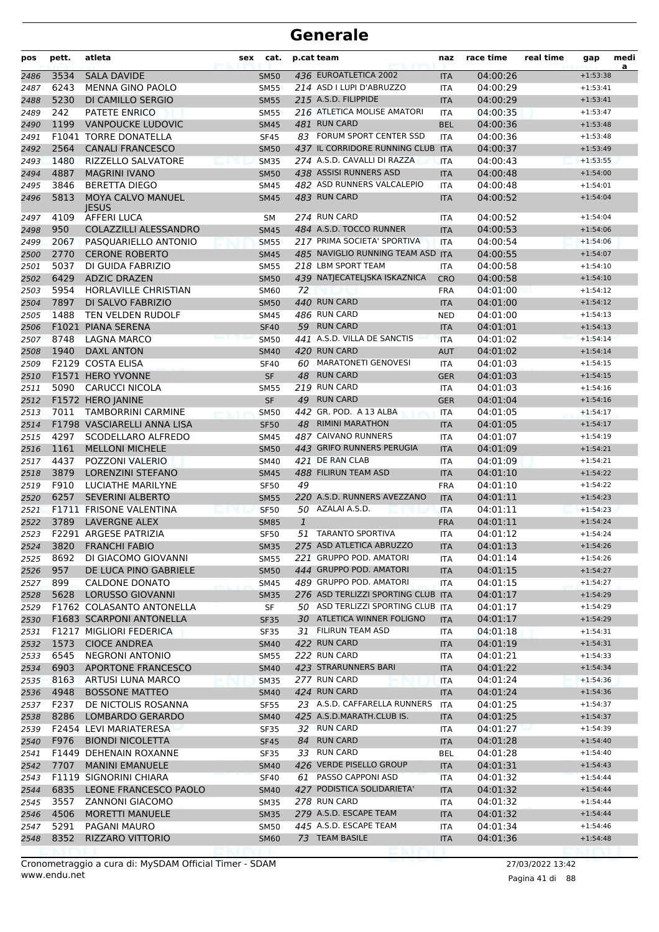| 436 EUROATLETICA 2002<br>3534<br><b>SALA DAVIDE</b><br><b>SM50</b><br><b>ITA</b><br>04:00:26<br>2486<br>214 ASD I LUPI D'ABRUZZO<br>6243<br><b>MENNA GINO PAOLO</b><br><b>SM55</b><br>04:00:29<br>2487<br><b>ITA</b><br>5230<br>215 A.S.D. FILIPPIDE<br>2488<br>DI CAMILLO SERGIO<br><b>SM55</b><br>04:00:29<br><b>ITA</b><br>216 ATLETICA MOLISE AMATORI<br>242<br>PATETE ENRICO<br>04:00:35<br>2489<br><b>SM55</b><br><b>ITA</b><br>481 RUN CARD<br>1199<br><b>VANPOUCKE LUDOVIC</b><br>2490<br><b>SM45</b><br><b>BEL</b><br>04:00:36<br>F1041 TORRE DONATELLA<br>83 FORUM SPORT CENTER SSD<br><b>SF45</b><br>04:00:36<br>2491<br>ITA<br>437 IL CORRIDORE RUNNING CLUB ITA<br>2564<br><b>CANALI FRANCESCO</b><br>04:00:37<br>2492<br><b>SM50</b><br>1480<br>274 A.S.D. CAVALLI DI RAZZA<br>RIZZELLO SALVATORE<br><b>SM35</b><br>04:00:43<br>2493<br><b>ITA</b><br>4887<br><b>MAGRINI IVANO</b><br>438 ASSISI RUNNERS ASD<br>2494<br><b>SM50</b><br>04:00:48<br><b>ITA</b><br>482 ASD RUNNERS VALCALEPIO<br>3846<br><b>BERETTA DIEGO</b><br>04:00:48<br>2495<br><b>SM45</b><br><b>ITA</b><br>483 RUN CARD<br>5813<br><b>MOYA CALVO MANUEL</b><br>2496<br><b>SM45</b><br>04:00:52<br><b>ITA</b><br><b>IESUS</b><br>274 RUN CARD<br>4109<br>AFFERI LUCA<br>04:00:52<br>2497<br>SM<br><b>ITA</b><br>950<br>484 A.S.D. TOCCO RUNNER<br>COLAZZILLI ALESSANDRO<br><b>ITA</b><br>04:00:53<br>2498<br><b>SM45</b><br>2067<br>217 PRIMA SOCIETA' SPORTIVA<br>PASQUARIELLO ANTONIO<br><b>ITA</b><br>04:00:54<br>2499<br><b>SM55</b><br>2770<br>485 NAVIGLIO RUNNING TEAM ASD ITA<br><b>CERONE ROBERTO</b><br>04:00:55<br>2500<br><b>SM45</b><br>5037<br>218 LBM SPORT TEAM<br>DI GUIDA FABRIZIO<br>04:00:58<br>2501<br><b>SM55</b><br><b>ITA</b><br>6429<br><b>ADZIC DRAZEN</b><br>439 NATJECATELJSKA ISKAZNICA<br>2502<br><b>SM50</b><br><b>CRO</b><br>04:00:58<br>5954<br>72<br>2503<br>HORLAVILLE CHRISTIAN<br><b>SM60</b><br><b>FRA</b><br>04:01:00<br>7897<br>440 RUN CARD<br>DI SALVO FABRIZIO<br>04:01:00<br>2504<br><b>SM50</b><br><b>ITA</b><br>486 RUN CARD<br>1488<br>TEN VELDEN RUDOLF<br>04:01:00<br>2505<br><b>SM45</b><br><b>NED</b><br>59 RUN CARD<br>F1021<br>PIANA SERENA<br>04:01:01<br>2506<br><b>SF40</b><br><b>ITA</b><br>8748<br>441 A.S.D. VILLA DE SANCTIS<br><b>LAGNA MARCO</b><br>04:01:02<br>2507<br><b>SM50</b><br><b>ITA</b><br>420 RUN CARD<br><b>DAXL ANTON</b><br>1940<br>04:01:02<br>2508<br><b>SM40</b><br><b>AUT</b><br><b>F2129 COSTA ELISA</b><br>60 MARATONETI GENOVESI<br>04:01:03<br>2509<br><b>SF40</b><br>ITA<br>F1571 HERO YVONNE<br>48<br><b>RUN CARD</b><br>04:01:03<br>2510<br><b>SF</b><br><b>GER</b><br>219 RUN CARD<br>5090<br><b>CARUCCI NICOLA</b><br><b>ITA</b><br>04:01:03<br>2511<br><b>SM55</b><br>F1572 HERO JANINE<br><b>RUN CARD</b><br><b>SF</b><br>49<br>04:01:04<br>2512<br><b>GER</b><br>7011<br><b>TAMBORRINI CARMINE</b><br>442 GR. POD. A 13 ALBA<br>04:01:05<br>2513<br><b>SM50</b><br><b>ITA</b><br><b>RIMINI MARATHON</b><br>04:01:05<br>2514<br>F1798 VASCIARELLI ANNA LISA<br>48<br><b>SF50</b><br><b>ITA</b><br>4297<br>487 CAIVANO RUNNERS<br>2515<br>SCODELLARO ALFREDO<br><b>SM45</b><br><b>ITA</b><br>04:01:07<br>1161<br>443 GRIFO RUNNERS PERUGIA<br><b>MELLONI MICHELE</b><br>04:01:09<br>2516<br><b>SM50</b><br><b>ITA</b><br>4437<br>421 DE RAN CLAB<br>POZZONI VALERIO<br>04:01:09<br>2517<br><b>SM40</b><br><b>ITA</b><br>3879<br><b>LORENZINI STEFANO</b><br>488 FILIRUN TEAM ASD<br>04:01:10<br>2518<br><b>SM45</b><br><b>ITA</b><br>F910<br>49<br><b>LUCIATHE MARILYNE</b><br>04:01:10<br>2519<br><b>SF50</b><br><b>FRA</b><br>6257<br>220 A.S.D. RUNNERS AVEZZANO<br><b>SEVERINI ALBERTO</b><br>04:01:11<br>2520<br><b>SM55</b><br><b>ITA</b><br>2521<br><b>F1711 FRISONE VALENTINA</b><br><b>SF50</b><br>50 AZALAI A.S.D.<br>04:01:11<br><b>ITA</b><br>3789<br><b>LAVERGNE ALEX</b><br>$\mathbf{1}$<br>2522<br>04:01:11<br><b>SM85</b><br><b>FRA</b><br>51 TARANTO SPORTIVA<br>F2291 ARGESE PATRIZIA<br>2523<br><b>SF50</b><br><b>ITA</b><br>04:01:12<br>3820 FRANCHI FABIO<br><b>SM35</b><br>275 ASD ATLETICA ABRUZZO<br>04:01:13<br>2524<br><b>ITA</b><br>221 GRUPPO POD. AMATORI<br>8692<br>DI GIACOMO GIOVANNI<br>04:01:14<br>2525<br><b>SM55</b><br>ITA<br>444 GRUPPO POD. AMATORI<br>957<br>DE LUCA PINO GABRIELE<br>2526<br><b>SM50</b><br><b>ITA</b><br>04:01:15<br>489 GRUPPO POD. AMATORI<br>899<br>CALDONE DONATO<br><b>SM45</b><br>04:01:15<br>2527<br>ITA<br>276 ASD TERLIZZI SPORTING CLUB ITA<br>5628<br><b>LORUSSO GIOVANNI</b><br>04:01:17<br>2528<br><b>SM35</b><br>50 ASD TERLIZZI SPORTING CLUB ITA<br>F1762 COLASANTO ANTONELLA<br>2529<br>SF<br>04:01:17<br>F1683 SCARPONI ANTONELLA<br>30 ATLETICA WINNER FOLIGNO<br>2530<br>04:01:17<br>SF35<br><b>ITA</b><br>31 FILIRUN TEAM ASD<br><b>F1217 MIGLIORI FEDERICA</b><br>04:01:18<br>2531<br>SF35<br>ITA<br>422 RUN CARD<br>1573<br><b>CIOCE ANDREA</b><br>04:01:19<br>2532<br><b>SM40</b><br><b>ITA</b><br>6545<br><b>NEGRONI ANTONIO</b><br>222 RUN CARD<br>2533<br><b>SM55</b><br>04:01:21<br>ITA<br>423 STRARUNNERS BARI<br>6903<br>APORTONE FRANCESCO<br>04:01:22<br>2534<br><b>SM40</b><br><b>ITA</b><br>277 RUN CARD<br>8163<br>2535<br>ARTUSI LUNA MARCO<br><b>SM35</b><br><b>ITA</b><br>04:01:24<br>4948<br><b>BOSSONE MATTEO</b><br>424 RUN CARD<br>2536<br><b>SM40</b><br>04:01:24<br><b>ITA</b><br>23 A.S.D. CAFFARELLA RUNNERS<br>F237<br>DE NICTOLIS ROSANNA<br>04:01:25<br>2537<br>SF55<br>ITA<br>8286<br>425 A.S.D.MARATH.CLUB IS.<br>2538<br>LOMBARDO GERARDO<br><b>SM40</b><br>04:01:25<br><b>ITA</b><br>32 RUN CARD<br>F2454 LEVI MARIATERESA<br>04:01:27<br>2539<br><b>SF35</b><br>ITA<br>84 RUN CARD<br>F976<br><b>BIONDI NICOLETTA</b><br>04:01:28<br>2540<br><b>SF45</b><br><b>ITA</b><br>33 RUN CARD<br>2541<br>F1449 DEHENAIN ROXANNE<br><b>SF35</b><br><b>BEL</b><br>04:01:28<br>7707<br><b>MANINI EMANUELE</b><br>426 VERDE PISELLO GROUP<br>04:01:31<br>2542<br><b>SM40</b><br><b>ITA</b><br>61 PASSO CAPPONI ASD<br>F1119 SIGNORINI CHIARA<br><b>SF40</b><br>04:01:32<br>2543<br>ITA<br>427 PODISTICA SOLIDARIETA'<br>6835<br>LEONE FRANCESCO PAOLO<br>04:01:32<br>2544<br><b>SM40</b><br><b>ITA</b><br>3557<br>278 RUN CARD<br><b>ZANNONI GIACOMO</b><br>04:01:32<br>2545<br><b>SM35</b><br>ITA<br>279 A.S.D. ESCAPE TEAM<br>4506<br><b>MORETTI MANUELE</b><br>04:01:32<br>2546<br><b>SM35</b><br><b>ITA</b> | pos | pett. | atleta | sex | cat. | p.cat team | naz | race time | real time | gap        | medi<br>a |
|-------------------------------------------------------------------------------------------------------------------------------------------------------------------------------------------------------------------------------------------------------------------------------------------------------------------------------------------------------------------------------------------------------------------------------------------------------------------------------------------------------------------------------------------------------------------------------------------------------------------------------------------------------------------------------------------------------------------------------------------------------------------------------------------------------------------------------------------------------------------------------------------------------------------------------------------------------------------------------------------------------------------------------------------------------------------------------------------------------------------------------------------------------------------------------------------------------------------------------------------------------------------------------------------------------------------------------------------------------------------------------------------------------------------------------------------------------------------------------------------------------------------------------------------------------------------------------------------------------------------------------------------------------------------------------------------------------------------------------------------------------------------------------------------------------------------------------------------------------------------------------------------------------------------------------------------------------------------------------------------------------------------------------------------------------------------------------------------------------------------------------------------------------------------------------------------------------------------------------------------------------------------------------------------------------------------------------------------------------------------------------------------------------------------------------------------------------------------------------------------------------------------------------------------------------------------------------------------------------------------------------------------------------------------------------------------------------------------------------------------------------------------------------------------------------------------------------------------------------------------------------------------------------------------------------------------------------------------------------------------------------------------------------------------------------------------------------------------------------------------------------------------------------------------------------------------------------------------------------------------------------------------------------------------------------------------------------------------------------------------------------------------------------------------------------------------------------------------------------------------------------------------------------------------------------------------------------------------------------------------------------------------------------------------------------------------------------------------------------------------------------------------------------------------------------------------------------------------------------------------------------------------------------------------------------------------------------------------------------------------------------------------------------------------------------------------------------------------------------------------------------------------------------------------------------------------------------------------------------------------------------------------------------------------------------------------------------------------------------------------------------------------------------------------------------------------------------------------------------------------------------------------------------------------------------------------------------------------------------------------------------------------------------------------------------------------------------------------------------------------------------------------------------------------------------------------------------------------------------------------------------------------------------------------------------------------------------------------------------------------------------------------------------------------------------------------------------------------------------------------------------------------------------------------------------------------------------------------------------------------------------------------------------------------------------------------------------------------------------------------------------------------------------------------------------------------------------------------------------------------------------------------------------------------------------------------------------------------------------------------------------------------------------------------------------------------------------------------------------------------------------------------------------------------------------------------------------------------------------------------------------------------------------------------------------------------------------------------------------------------------------------------------------------------------------------------------------------------------------------------------------------------------------------------------------------------------------------------------------------------------------------------------------------------------------------------------------------------------------------------------------------------------|-----|-------|--------|-----|------|------------|-----|-----------|-----------|------------|-----------|
|                                                                                                                                                                                                                                                                                                                                                                                                                                                                                                                                                                                                                                                                                                                                                                                                                                                                                                                                                                                                                                                                                                                                                                                                                                                                                                                                                                                                                                                                                                                                                                                                                                                                                                                                                                                                                                                                                                                                                                                                                                                                                                                                                                                                                                                                                                                                                                                                                                                                                                                                                                                                                                                                                                                                                                                                                                                                                                                                                                                                                                                                                                                                                                                                                                                                                                                                                                                                                                                                                                                                                                                                                                                                                                                                                                                                                                                                                                                                                                                                                                                                                                                                                                                                                                                                                                                                                                                                                                                                                                                                                                                                                                                                                                                                                                                                                                                                                                                                                                                                                                                                                                                                                                                                                                                                                                                                                                                                                                                                                                                                                                                                                                                                                                                                                                                                                                                                                                                                                                                                                                                                                                                                                                                                                                                                                                                                                                                                 |     |       |        |     |      |            |     |           |           | $+1:53:38$ |           |
|                                                                                                                                                                                                                                                                                                                                                                                                                                                                                                                                                                                                                                                                                                                                                                                                                                                                                                                                                                                                                                                                                                                                                                                                                                                                                                                                                                                                                                                                                                                                                                                                                                                                                                                                                                                                                                                                                                                                                                                                                                                                                                                                                                                                                                                                                                                                                                                                                                                                                                                                                                                                                                                                                                                                                                                                                                                                                                                                                                                                                                                                                                                                                                                                                                                                                                                                                                                                                                                                                                                                                                                                                                                                                                                                                                                                                                                                                                                                                                                                                                                                                                                                                                                                                                                                                                                                                                                                                                                                                                                                                                                                                                                                                                                                                                                                                                                                                                                                                                                                                                                                                                                                                                                                                                                                                                                                                                                                                                                                                                                                                                                                                                                                                                                                                                                                                                                                                                                                                                                                                                                                                                                                                                                                                                                                                                                                                                                                 |     |       |        |     |      |            |     |           |           | $+1:53:41$ |           |
|                                                                                                                                                                                                                                                                                                                                                                                                                                                                                                                                                                                                                                                                                                                                                                                                                                                                                                                                                                                                                                                                                                                                                                                                                                                                                                                                                                                                                                                                                                                                                                                                                                                                                                                                                                                                                                                                                                                                                                                                                                                                                                                                                                                                                                                                                                                                                                                                                                                                                                                                                                                                                                                                                                                                                                                                                                                                                                                                                                                                                                                                                                                                                                                                                                                                                                                                                                                                                                                                                                                                                                                                                                                                                                                                                                                                                                                                                                                                                                                                                                                                                                                                                                                                                                                                                                                                                                                                                                                                                                                                                                                                                                                                                                                                                                                                                                                                                                                                                                                                                                                                                                                                                                                                                                                                                                                                                                                                                                                                                                                                                                                                                                                                                                                                                                                                                                                                                                                                                                                                                                                                                                                                                                                                                                                                                                                                                                                                 |     |       |        |     |      |            |     |           |           | $+1:53:41$ |           |
|                                                                                                                                                                                                                                                                                                                                                                                                                                                                                                                                                                                                                                                                                                                                                                                                                                                                                                                                                                                                                                                                                                                                                                                                                                                                                                                                                                                                                                                                                                                                                                                                                                                                                                                                                                                                                                                                                                                                                                                                                                                                                                                                                                                                                                                                                                                                                                                                                                                                                                                                                                                                                                                                                                                                                                                                                                                                                                                                                                                                                                                                                                                                                                                                                                                                                                                                                                                                                                                                                                                                                                                                                                                                                                                                                                                                                                                                                                                                                                                                                                                                                                                                                                                                                                                                                                                                                                                                                                                                                                                                                                                                                                                                                                                                                                                                                                                                                                                                                                                                                                                                                                                                                                                                                                                                                                                                                                                                                                                                                                                                                                                                                                                                                                                                                                                                                                                                                                                                                                                                                                                                                                                                                                                                                                                                                                                                                                                                 |     |       |        |     |      |            |     |           |           | $+1:53:47$ |           |
|                                                                                                                                                                                                                                                                                                                                                                                                                                                                                                                                                                                                                                                                                                                                                                                                                                                                                                                                                                                                                                                                                                                                                                                                                                                                                                                                                                                                                                                                                                                                                                                                                                                                                                                                                                                                                                                                                                                                                                                                                                                                                                                                                                                                                                                                                                                                                                                                                                                                                                                                                                                                                                                                                                                                                                                                                                                                                                                                                                                                                                                                                                                                                                                                                                                                                                                                                                                                                                                                                                                                                                                                                                                                                                                                                                                                                                                                                                                                                                                                                                                                                                                                                                                                                                                                                                                                                                                                                                                                                                                                                                                                                                                                                                                                                                                                                                                                                                                                                                                                                                                                                                                                                                                                                                                                                                                                                                                                                                                                                                                                                                                                                                                                                                                                                                                                                                                                                                                                                                                                                                                                                                                                                                                                                                                                                                                                                                                                 |     |       |        |     |      |            |     |           |           | $+1:53:48$ |           |
|                                                                                                                                                                                                                                                                                                                                                                                                                                                                                                                                                                                                                                                                                                                                                                                                                                                                                                                                                                                                                                                                                                                                                                                                                                                                                                                                                                                                                                                                                                                                                                                                                                                                                                                                                                                                                                                                                                                                                                                                                                                                                                                                                                                                                                                                                                                                                                                                                                                                                                                                                                                                                                                                                                                                                                                                                                                                                                                                                                                                                                                                                                                                                                                                                                                                                                                                                                                                                                                                                                                                                                                                                                                                                                                                                                                                                                                                                                                                                                                                                                                                                                                                                                                                                                                                                                                                                                                                                                                                                                                                                                                                                                                                                                                                                                                                                                                                                                                                                                                                                                                                                                                                                                                                                                                                                                                                                                                                                                                                                                                                                                                                                                                                                                                                                                                                                                                                                                                                                                                                                                                                                                                                                                                                                                                                                                                                                                                                 |     |       |        |     |      |            |     |           |           | $+1:53:48$ |           |
|                                                                                                                                                                                                                                                                                                                                                                                                                                                                                                                                                                                                                                                                                                                                                                                                                                                                                                                                                                                                                                                                                                                                                                                                                                                                                                                                                                                                                                                                                                                                                                                                                                                                                                                                                                                                                                                                                                                                                                                                                                                                                                                                                                                                                                                                                                                                                                                                                                                                                                                                                                                                                                                                                                                                                                                                                                                                                                                                                                                                                                                                                                                                                                                                                                                                                                                                                                                                                                                                                                                                                                                                                                                                                                                                                                                                                                                                                                                                                                                                                                                                                                                                                                                                                                                                                                                                                                                                                                                                                                                                                                                                                                                                                                                                                                                                                                                                                                                                                                                                                                                                                                                                                                                                                                                                                                                                                                                                                                                                                                                                                                                                                                                                                                                                                                                                                                                                                                                                                                                                                                                                                                                                                                                                                                                                                                                                                                                                 |     |       |        |     |      |            |     |           |           | $+1:53:49$ |           |
|                                                                                                                                                                                                                                                                                                                                                                                                                                                                                                                                                                                                                                                                                                                                                                                                                                                                                                                                                                                                                                                                                                                                                                                                                                                                                                                                                                                                                                                                                                                                                                                                                                                                                                                                                                                                                                                                                                                                                                                                                                                                                                                                                                                                                                                                                                                                                                                                                                                                                                                                                                                                                                                                                                                                                                                                                                                                                                                                                                                                                                                                                                                                                                                                                                                                                                                                                                                                                                                                                                                                                                                                                                                                                                                                                                                                                                                                                                                                                                                                                                                                                                                                                                                                                                                                                                                                                                                                                                                                                                                                                                                                                                                                                                                                                                                                                                                                                                                                                                                                                                                                                                                                                                                                                                                                                                                                                                                                                                                                                                                                                                                                                                                                                                                                                                                                                                                                                                                                                                                                                                                                                                                                                                                                                                                                                                                                                                                                 |     |       |        |     |      |            |     |           |           | $+1:53:55$ |           |
|                                                                                                                                                                                                                                                                                                                                                                                                                                                                                                                                                                                                                                                                                                                                                                                                                                                                                                                                                                                                                                                                                                                                                                                                                                                                                                                                                                                                                                                                                                                                                                                                                                                                                                                                                                                                                                                                                                                                                                                                                                                                                                                                                                                                                                                                                                                                                                                                                                                                                                                                                                                                                                                                                                                                                                                                                                                                                                                                                                                                                                                                                                                                                                                                                                                                                                                                                                                                                                                                                                                                                                                                                                                                                                                                                                                                                                                                                                                                                                                                                                                                                                                                                                                                                                                                                                                                                                                                                                                                                                                                                                                                                                                                                                                                                                                                                                                                                                                                                                                                                                                                                                                                                                                                                                                                                                                                                                                                                                                                                                                                                                                                                                                                                                                                                                                                                                                                                                                                                                                                                                                                                                                                                                                                                                                                                                                                                                                                 |     |       |        |     |      |            |     |           |           | $+1:54:00$ |           |
|                                                                                                                                                                                                                                                                                                                                                                                                                                                                                                                                                                                                                                                                                                                                                                                                                                                                                                                                                                                                                                                                                                                                                                                                                                                                                                                                                                                                                                                                                                                                                                                                                                                                                                                                                                                                                                                                                                                                                                                                                                                                                                                                                                                                                                                                                                                                                                                                                                                                                                                                                                                                                                                                                                                                                                                                                                                                                                                                                                                                                                                                                                                                                                                                                                                                                                                                                                                                                                                                                                                                                                                                                                                                                                                                                                                                                                                                                                                                                                                                                                                                                                                                                                                                                                                                                                                                                                                                                                                                                                                                                                                                                                                                                                                                                                                                                                                                                                                                                                                                                                                                                                                                                                                                                                                                                                                                                                                                                                                                                                                                                                                                                                                                                                                                                                                                                                                                                                                                                                                                                                                                                                                                                                                                                                                                                                                                                                                                 |     |       |        |     |      |            |     |           |           | $+1:54:01$ |           |
|                                                                                                                                                                                                                                                                                                                                                                                                                                                                                                                                                                                                                                                                                                                                                                                                                                                                                                                                                                                                                                                                                                                                                                                                                                                                                                                                                                                                                                                                                                                                                                                                                                                                                                                                                                                                                                                                                                                                                                                                                                                                                                                                                                                                                                                                                                                                                                                                                                                                                                                                                                                                                                                                                                                                                                                                                                                                                                                                                                                                                                                                                                                                                                                                                                                                                                                                                                                                                                                                                                                                                                                                                                                                                                                                                                                                                                                                                                                                                                                                                                                                                                                                                                                                                                                                                                                                                                                                                                                                                                                                                                                                                                                                                                                                                                                                                                                                                                                                                                                                                                                                                                                                                                                                                                                                                                                                                                                                                                                                                                                                                                                                                                                                                                                                                                                                                                                                                                                                                                                                                                                                                                                                                                                                                                                                                                                                                                                                 |     |       |        |     |      |            |     |           |           | $+1:54:04$ |           |
|                                                                                                                                                                                                                                                                                                                                                                                                                                                                                                                                                                                                                                                                                                                                                                                                                                                                                                                                                                                                                                                                                                                                                                                                                                                                                                                                                                                                                                                                                                                                                                                                                                                                                                                                                                                                                                                                                                                                                                                                                                                                                                                                                                                                                                                                                                                                                                                                                                                                                                                                                                                                                                                                                                                                                                                                                                                                                                                                                                                                                                                                                                                                                                                                                                                                                                                                                                                                                                                                                                                                                                                                                                                                                                                                                                                                                                                                                                                                                                                                                                                                                                                                                                                                                                                                                                                                                                                                                                                                                                                                                                                                                                                                                                                                                                                                                                                                                                                                                                                                                                                                                                                                                                                                                                                                                                                                                                                                                                                                                                                                                                                                                                                                                                                                                                                                                                                                                                                                                                                                                                                                                                                                                                                                                                                                                                                                                                                                 |     |       |        |     |      |            |     |           |           | $+1:54:04$ |           |
|                                                                                                                                                                                                                                                                                                                                                                                                                                                                                                                                                                                                                                                                                                                                                                                                                                                                                                                                                                                                                                                                                                                                                                                                                                                                                                                                                                                                                                                                                                                                                                                                                                                                                                                                                                                                                                                                                                                                                                                                                                                                                                                                                                                                                                                                                                                                                                                                                                                                                                                                                                                                                                                                                                                                                                                                                                                                                                                                                                                                                                                                                                                                                                                                                                                                                                                                                                                                                                                                                                                                                                                                                                                                                                                                                                                                                                                                                                                                                                                                                                                                                                                                                                                                                                                                                                                                                                                                                                                                                                                                                                                                                                                                                                                                                                                                                                                                                                                                                                                                                                                                                                                                                                                                                                                                                                                                                                                                                                                                                                                                                                                                                                                                                                                                                                                                                                                                                                                                                                                                                                                                                                                                                                                                                                                                                                                                                                                                 |     |       |        |     |      |            |     |           |           | $+1:54:06$ |           |
|                                                                                                                                                                                                                                                                                                                                                                                                                                                                                                                                                                                                                                                                                                                                                                                                                                                                                                                                                                                                                                                                                                                                                                                                                                                                                                                                                                                                                                                                                                                                                                                                                                                                                                                                                                                                                                                                                                                                                                                                                                                                                                                                                                                                                                                                                                                                                                                                                                                                                                                                                                                                                                                                                                                                                                                                                                                                                                                                                                                                                                                                                                                                                                                                                                                                                                                                                                                                                                                                                                                                                                                                                                                                                                                                                                                                                                                                                                                                                                                                                                                                                                                                                                                                                                                                                                                                                                                                                                                                                                                                                                                                                                                                                                                                                                                                                                                                                                                                                                                                                                                                                                                                                                                                                                                                                                                                                                                                                                                                                                                                                                                                                                                                                                                                                                                                                                                                                                                                                                                                                                                                                                                                                                                                                                                                                                                                                                                                 |     |       |        |     |      |            |     |           |           | $+1:54:06$ |           |
|                                                                                                                                                                                                                                                                                                                                                                                                                                                                                                                                                                                                                                                                                                                                                                                                                                                                                                                                                                                                                                                                                                                                                                                                                                                                                                                                                                                                                                                                                                                                                                                                                                                                                                                                                                                                                                                                                                                                                                                                                                                                                                                                                                                                                                                                                                                                                                                                                                                                                                                                                                                                                                                                                                                                                                                                                                                                                                                                                                                                                                                                                                                                                                                                                                                                                                                                                                                                                                                                                                                                                                                                                                                                                                                                                                                                                                                                                                                                                                                                                                                                                                                                                                                                                                                                                                                                                                                                                                                                                                                                                                                                                                                                                                                                                                                                                                                                                                                                                                                                                                                                                                                                                                                                                                                                                                                                                                                                                                                                                                                                                                                                                                                                                                                                                                                                                                                                                                                                                                                                                                                                                                                                                                                                                                                                                                                                                                                                 |     |       |        |     |      |            |     |           |           | $+1:54:07$ |           |
|                                                                                                                                                                                                                                                                                                                                                                                                                                                                                                                                                                                                                                                                                                                                                                                                                                                                                                                                                                                                                                                                                                                                                                                                                                                                                                                                                                                                                                                                                                                                                                                                                                                                                                                                                                                                                                                                                                                                                                                                                                                                                                                                                                                                                                                                                                                                                                                                                                                                                                                                                                                                                                                                                                                                                                                                                                                                                                                                                                                                                                                                                                                                                                                                                                                                                                                                                                                                                                                                                                                                                                                                                                                                                                                                                                                                                                                                                                                                                                                                                                                                                                                                                                                                                                                                                                                                                                                                                                                                                                                                                                                                                                                                                                                                                                                                                                                                                                                                                                                                                                                                                                                                                                                                                                                                                                                                                                                                                                                                                                                                                                                                                                                                                                                                                                                                                                                                                                                                                                                                                                                                                                                                                                                                                                                                                                                                                                                                 |     |       |        |     |      |            |     |           |           | $+1:54:10$ |           |
|                                                                                                                                                                                                                                                                                                                                                                                                                                                                                                                                                                                                                                                                                                                                                                                                                                                                                                                                                                                                                                                                                                                                                                                                                                                                                                                                                                                                                                                                                                                                                                                                                                                                                                                                                                                                                                                                                                                                                                                                                                                                                                                                                                                                                                                                                                                                                                                                                                                                                                                                                                                                                                                                                                                                                                                                                                                                                                                                                                                                                                                                                                                                                                                                                                                                                                                                                                                                                                                                                                                                                                                                                                                                                                                                                                                                                                                                                                                                                                                                                                                                                                                                                                                                                                                                                                                                                                                                                                                                                                                                                                                                                                                                                                                                                                                                                                                                                                                                                                                                                                                                                                                                                                                                                                                                                                                                                                                                                                                                                                                                                                                                                                                                                                                                                                                                                                                                                                                                                                                                                                                                                                                                                                                                                                                                                                                                                                                                 |     |       |        |     |      |            |     |           |           | $+1:54:10$ |           |
|                                                                                                                                                                                                                                                                                                                                                                                                                                                                                                                                                                                                                                                                                                                                                                                                                                                                                                                                                                                                                                                                                                                                                                                                                                                                                                                                                                                                                                                                                                                                                                                                                                                                                                                                                                                                                                                                                                                                                                                                                                                                                                                                                                                                                                                                                                                                                                                                                                                                                                                                                                                                                                                                                                                                                                                                                                                                                                                                                                                                                                                                                                                                                                                                                                                                                                                                                                                                                                                                                                                                                                                                                                                                                                                                                                                                                                                                                                                                                                                                                                                                                                                                                                                                                                                                                                                                                                                                                                                                                                                                                                                                                                                                                                                                                                                                                                                                                                                                                                                                                                                                                                                                                                                                                                                                                                                                                                                                                                                                                                                                                                                                                                                                                                                                                                                                                                                                                                                                                                                                                                                                                                                                                                                                                                                                                                                                                                                                 |     |       |        |     |      |            |     |           |           | $+1:54:12$ |           |
|                                                                                                                                                                                                                                                                                                                                                                                                                                                                                                                                                                                                                                                                                                                                                                                                                                                                                                                                                                                                                                                                                                                                                                                                                                                                                                                                                                                                                                                                                                                                                                                                                                                                                                                                                                                                                                                                                                                                                                                                                                                                                                                                                                                                                                                                                                                                                                                                                                                                                                                                                                                                                                                                                                                                                                                                                                                                                                                                                                                                                                                                                                                                                                                                                                                                                                                                                                                                                                                                                                                                                                                                                                                                                                                                                                                                                                                                                                                                                                                                                                                                                                                                                                                                                                                                                                                                                                                                                                                                                                                                                                                                                                                                                                                                                                                                                                                                                                                                                                                                                                                                                                                                                                                                                                                                                                                                                                                                                                                                                                                                                                                                                                                                                                                                                                                                                                                                                                                                                                                                                                                                                                                                                                                                                                                                                                                                                                                                 |     |       |        |     |      |            |     |           |           | $+1:54:12$ |           |
|                                                                                                                                                                                                                                                                                                                                                                                                                                                                                                                                                                                                                                                                                                                                                                                                                                                                                                                                                                                                                                                                                                                                                                                                                                                                                                                                                                                                                                                                                                                                                                                                                                                                                                                                                                                                                                                                                                                                                                                                                                                                                                                                                                                                                                                                                                                                                                                                                                                                                                                                                                                                                                                                                                                                                                                                                                                                                                                                                                                                                                                                                                                                                                                                                                                                                                                                                                                                                                                                                                                                                                                                                                                                                                                                                                                                                                                                                                                                                                                                                                                                                                                                                                                                                                                                                                                                                                                                                                                                                                                                                                                                                                                                                                                                                                                                                                                                                                                                                                                                                                                                                                                                                                                                                                                                                                                                                                                                                                                                                                                                                                                                                                                                                                                                                                                                                                                                                                                                                                                                                                                                                                                                                                                                                                                                                                                                                                                                 |     |       |        |     |      |            |     |           |           | $+1:54:13$ |           |
|                                                                                                                                                                                                                                                                                                                                                                                                                                                                                                                                                                                                                                                                                                                                                                                                                                                                                                                                                                                                                                                                                                                                                                                                                                                                                                                                                                                                                                                                                                                                                                                                                                                                                                                                                                                                                                                                                                                                                                                                                                                                                                                                                                                                                                                                                                                                                                                                                                                                                                                                                                                                                                                                                                                                                                                                                                                                                                                                                                                                                                                                                                                                                                                                                                                                                                                                                                                                                                                                                                                                                                                                                                                                                                                                                                                                                                                                                                                                                                                                                                                                                                                                                                                                                                                                                                                                                                                                                                                                                                                                                                                                                                                                                                                                                                                                                                                                                                                                                                                                                                                                                                                                                                                                                                                                                                                                                                                                                                                                                                                                                                                                                                                                                                                                                                                                                                                                                                                                                                                                                                                                                                                                                                                                                                                                                                                                                                                                 |     |       |        |     |      |            |     |           |           | $+1:54:13$ |           |
|                                                                                                                                                                                                                                                                                                                                                                                                                                                                                                                                                                                                                                                                                                                                                                                                                                                                                                                                                                                                                                                                                                                                                                                                                                                                                                                                                                                                                                                                                                                                                                                                                                                                                                                                                                                                                                                                                                                                                                                                                                                                                                                                                                                                                                                                                                                                                                                                                                                                                                                                                                                                                                                                                                                                                                                                                                                                                                                                                                                                                                                                                                                                                                                                                                                                                                                                                                                                                                                                                                                                                                                                                                                                                                                                                                                                                                                                                                                                                                                                                                                                                                                                                                                                                                                                                                                                                                                                                                                                                                                                                                                                                                                                                                                                                                                                                                                                                                                                                                                                                                                                                                                                                                                                                                                                                                                                                                                                                                                                                                                                                                                                                                                                                                                                                                                                                                                                                                                                                                                                                                                                                                                                                                                                                                                                                                                                                                                                 |     |       |        |     |      |            |     |           |           | $+1:54:14$ |           |
|                                                                                                                                                                                                                                                                                                                                                                                                                                                                                                                                                                                                                                                                                                                                                                                                                                                                                                                                                                                                                                                                                                                                                                                                                                                                                                                                                                                                                                                                                                                                                                                                                                                                                                                                                                                                                                                                                                                                                                                                                                                                                                                                                                                                                                                                                                                                                                                                                                                                                                                                                                                                                                                                                                                                                                                                                                                                                                                                                                                                                                                                                                                                                                                                                                                                                                                                                                                                                                                                                                                                                                                                                                                                                                                                                                                                                                                                                                                                                                                                                                                                                                                                                                                                                                                                                                                                                                                                                                                                                                                                                                                                                                                                                                                                                                                                                                                                                                                                                                                                                                                                                                                                                                                                                                                                                                                                                                                                                                                                                                                                                                                                                                                                                                                                                                                                                                                                                                                                                                                                                                                                                                                                                                                                                                                                                                                                                                                                 |     |       |        |     |      |            |     |           |           | $+1:54:14$ |           |
|                                                                                                                                                                                                                                                                                                                                                                                                                                                                                                                                                                                                                                                                                                                                                                                                                                                                                                                                                                                                                                                                                                                                                                                                                                                                                                                                                                                                                                                                                                                                                                                                                                                                                                                                                                                                                                                                                                                                                                                                                                                                                                                                                                                                                                                                                                                                                                                                                                                                                                                                                                                                                                                                                                                                                                                                                                                                                                                                                                                                                                                                                                                                                                                                                                                                                                                                                                                                                                                                                                                                                                                                                                                                                                                                                                                                                                                                                                                                                                                                                                                                                                                                                                                                                                                                                                                                                                                                                                                                                                                                                                                                                                                                                                                                                                                                                                                                                                                                                                                                                                                                                                                                                                                                                                                                                                                                                                                                                                                                                                                                                                                                                                                                                                                                                                                                                                                                                                                                                                                                                                                                                                                                                                                                                                                                                                                                                                                                 |     |       |        |     |      |            |     |           |           | $+1:54:15$ |           |
|                                                                                                                                                                                                                                                                                                                                                                                                                                                                                                                                                                                                                                                                                                                                                                                                                                                                                                                                                                                                                                                                                                                                                                                                                                                                                                                                                                                                                                                                                                                                                                                                                                                                                                                                                                                                                                                                                                                                                                                                                                                                                                                                                                                                                                                                                                                                                                                                                                                                                                                                                                                                                                                                                                                                                                                                                                                                                                                                                                                                                                                                                                                                                                                                                                                                                                                                                                                                                                                                                                                                                                                                                                                                                                                                                                                                                                                                                                                                                                                                                                                                                                                                                                                                                                                                                                                                                                                                                                                                                                                                                                                                                                                                                                                                                                                                                                                                                                                                                                                                                                                                                                                                                                                                                                                                                                                                                                                                                                                                                                                                                                                                                                                                                                                                                                                                                                                                                                                                                                                                                                                                                                                                                                                                                                                                                                                                                                                                 |     |       |        |     |      |            |     |           |           | $+1:54:15$ |           |
|                                                                                                                                                                                                                                                                                                                                                                                                                                                                                                                                                                                                                                                                                                                                                                                                                                                                                                                                                                                                                                                                                                                                                                                                                                                                                                                                                                                                                                                                                                                                                                                                                                                                                                                                                                                                                                                                                                                                                                                                                                                                                                                                                                                                                                                                                                                                                                                                                                                                                                                                                                                                                                                                                                                                                                                                                                                                                                                                                                                                                                                                                                                                                                                                                                                                                                                                                                                                                                                                                                                                                                                                                                                                                                                                                                                                                                                                                                                                                                                                                                                                                                                                                                                                                                                                                                                                                                                                                                                                                                                                                                                                                                                                                                                                                                                                                                                                                                                                                                                                                                                                                                                                                                                                                                                                                                                                                                                                                                                                                                                                                                                                                                                                                                                                                                                                                                                                                                                                                                                                                                                                                                                                                                                                                                                                                                                                                                                                 |     |       |        |     |      |            |     |           |           | $+1:54:16$ |           |
|                                                                                                                                                                                                                                                                                                                                                                                                                                                                                                                                                                                                                                                                                                                                                                                                                                                                                                                                                                                                                                                                                                                                                                                                                                                                                                                                                                                                                                                                                                                                                                                                                                                                                                                                                                                                                                                                                                                                                                                                                                                                                                                                                                                                                                                                                                                                                                                                                                                                                                                                                                                                                                                                                                                                                                                                                                                                                                                                                                                                                                                                                                                                                                                                                                                                                                                                                                                                                                                                                                                                                                                                                                                                                                                                                                                                                                                                                                                                                                                                                                                                                                                                                                                                                                                                                                                                                                                                                                                                                                                                                                                                                                                                                                                                                                                                                                                                                                                                                                                                                                                                                                                                                                                                                                                                                                                                                                                                                                                                                                                                                                                                                                                                                                                                                                                                                                                                                                                                                                                                                                                                                                                                                                                                                                                                                                                                                                                                 |     |       |        |     |      |            |     |           |           | $+1:54:16$ |           |
|                                                                                                                                                                                                                                                                                                                                                                                                                                                                                                                                                                                                                                                                                                                                                                                                                                                                                                                                                                                                                                                                                                                                                                                                                                                                                                                                                                                                                                                                                                                                                                                                                                                                                                                                                                                                                                                                                                                                                                                                                                                                                                                                                                                                                                                                                                                                                                                                                                                                                                                                                                                                                                                                                                                                                                                                                                                                                                                                                                                                                                                                                                                                                                                                                                                                                                                                                                                                                                                                                                                                                                                                                                                                                                                                                                                                                                                                                                                                                                                                                                                                                                                                                                                                                                                                                                                                                                                                                                                                                                                                                                                                                                                                                                                                                                                                                                                                                                                                                                                                                                                                                                                                                                                                                                                                                                                                                                                                                                                                                                                                                                                                                                                                                                                                                                                                                                                                                                                                                                                                                                                                                                                                                                                                                                                                                                                                                                                                 |     |       |        |     |      |            |     |           |           | $+1:54:17$ |           |
|                                                                                                                                                                                                                                                                                                                                                                                                                                                                                                                                                                                                                                                                                                                                                                                                                                                                                                                                                                                                                                                                                                                                                                                                                                                                                                                                                                                                                                                                                                                                                                                                                                                                                                                                                                                                                                                                                                                                                                                                                                                                                                                                                                                                                                                                                                                                                                                                                                                                                                                                                                                                                                                                                                                                                                                                                                                                                                                                                                                                                                                                                                                                                                                                                                                                                                                                                                                                                                                                                                                                                                                                                                                                                                                                                                                                                                                                                                                                                                                                                                                                                                                                                                                                                                                                                                                                                                                                                                                                                                                                                                                                                                                                                                                                                                                                                                                                                                                                                                                                                                                                                                                                                                                                                                                                                                                                                                                                                                                                                                                                                                                                                                                                                                                                                                                                                                                                                                                                                                                                                                                                                                                                                                                                                                                                                                                                                                                                 |     |       |        |     |      |            |     |           |           | $+1:54:17$ |           |
|                                                                                                                                                                                                                                                                                                                                                                                                                                                                                                                                                                                                                                                                                                                                                                                                                                                                                                                                                                                                                                                                                                                                                                                                                                                                                                                                                                                                                                                                                                                                                                                                                                                                                                                                                                                                                                                                                                                                                                                                                                                                                                                                                                                                                                                                                                                                                                                                                                                                                                                                                                                                                                                                                                                                                                                                                                                                                                                                                                                                                                                                                                                                                                                                                                                                                                                                                                                                                                                                                                                                                                                                                                                                                                                                                                                                                                                                                                                                                                                                                                                                                                                                                                                                                                                                                                                                                                                                                                                                                                                                                                                                                                                                                                                                                                                                                                                                                                                                                                                                                                                                                                                                                                                                                                                                                                                                                                                                                                                                                                                                                                                                                                                                                                                                                                                                                                                                                                                                                                                                                                                                                                                                                                                                                                                                                                                                                                                                 |     |       |        |     |      |            |     |           |           | $+1:54:19$ |           |
|                                                                                                                                                                                                                                                                                                                                                                                                                                                                                                                                                                                                                                                                                                                                                                                                                                                                                                                                                                                                                                                                                                                                                                                                                                                                                                                                                                                                                                                                                                                                                                                                                                                                                                                                                                                                                                                                                                                                                                                                                                                                                                                                                                                                                                                                                                                                                                                                                                                                                                                                                                                                                                                                                                                                                                                                                                                                                                                                                                                                                                                                                                                                                                                                                                                                                                                                                                                                                                                                                                                                                                                                                                                                                                                                                                                                                                                                                                                                                                                                                                                                                                                                                                                                                                                                                                                                                                                                                                                                                                                                                                                                                                                                                                                                                                                                                                                                                                                                                                                                                                                                                                                                                                                                                                                                                                                                                                                                                                                                                                                                                                                                                                                                                                                                                                                                                                                                                                                                                                                                                                                                                                                                                                                                                                                                                                                                                                                                 |     |       |        |     |      |            |     |           |           | $+1:54:21$ |           |
|                                                                                                                                                                                                                                                                                                                                                                                                                                                                                                                                                                                                                                                                                                                                                                                                                                                                                                                                                                                                                                                                                                                                                                                                                                                                                                                                                                                                                                                                                                                                                                                                                                                                                                                                                                                                                                                                                                                                                                                                                                                                                                                                                                                                                                                                                                                                                                                                                                                                                                                                                                                                                                                                                                                                                                                                                                                                                                                                                                                                                                                                                                                                                                                                                                                                                                                                                                                                                                                                                                                                                                                                                                                                                                                                                                                                                                                                                                                                                                                                                                                                                                                                                                                                                                                                                                                                                                                                                                                                                                                                                                                                                                                                                                                                                                                                                                                                                                                                                                                                                                                                                                                                                                                                                                                                                                                                                                                                                                                                                                                                                                                                                                                                                                                                                                                                                                                                                                                                                                                                                                                                                                                                                                                                                                                                                                                                                                                                 |     |       |        |     |      |            |     |           |           | $+1:54:21$ |           |
|                                                                                                                                                                                                                                                                                                                                                                                                                                                                                                                                                                                                                                                                                                                                                                                                                                                                                                                                                                                                                                                                                                                                                                                                                                                                                                                                                                                                                                                                                                                                                                                                                                                                                                                                                                                                                                                                                                                                                                                                                                                                                                                                                                                                                                                                                                                                                                                                                                                                                                                                                                                                                                                                                                                                                                                                                                                                                                                                                                                                                                                                                                                                                                                                                                                                                                                                                                                                                                                                                                                                                                                                                                                                                                                                                                                                                                                                                                                                                                                                                                                                                                                                                                                                                                                                                                                                                                                                                                                                                                                                                                                                                                                                                                                                                                                                                                                                                                                                                                                                                                                                                                                                                                                                                                                                                                                                                                                                                                                                                                                                                                                                                                                                                                                                                                                                                                                                                                                                                                                                                                                                                                                                                                                                                                                                                                                                                                                                 |     |       |        |     |      |            |     |           |           | $+1:54:22$ |           |
|                                                                                                                                                                                                                                                                                                                                                                                                                                                                                                                                                                                                                                                                                                                                                                                                                                                                                                                                                                                                                                                                                                                                                                                                                                                                                                                                                                                                                                                                                                                                                                                                                                                                                                                                                                                                                                                                                                                                                                                                                                                                                                                                                                                                                                                                                                                                                                                                                                                                                                                                                                                                                                                                                                                                                                                                                                                                                                                                                                                                                                                                                                                                                                                                                                                                                                                                                                                                                                                                                                                                                                                                                                                                                                                                                                                                                                                                                                                                                                                                                                                                                                                                                                                                                                                                                                                                                                                                                                                                                                                                                                                                                                                                                                                                                                                                                                                                                                                                                                                                                                                                                                                                                                                                                                                                                                                                                                                                                                                                                                                                                                                                                                                                                                                                                                                                                                                                                                                                                                                                                                                                                                                                                                                                                                                                                                                                                                                                 |     |       |        |     |      |            |     |           |           | $+1:54:22$ |           |
|                                                                                                                                                                                                                                                                                                                                                                                                                                                                                                                                                                                                                                                                                                                                                                                                                                                                                                                                                                                                                                                                                                                                                                                                                                                                                                                                                                                                                                                                                                                                                                                                                                                                                                                                                                                                                                                                                                                                                                                                                                                                                                                                                                                                                                                                                                                                                                                                                                                                                                                                                                                                                                                                                                                                                                                                                                                                                                                                                                                                                                                                                                                                                                                                                                                                                                                                                                                                                                                                                                                                                                                                                                                                                                                                                                                                                                                                                                                                                                                                                                                                                                                                                                                                                                                                                                                                                                                                                                                                                                                                                                                                                                                                                                                                                                                                                                                                                                                                                                                                                                                                                                                                                                                                                                                                                                                                                                                                                                                                                                                                                                                                                                                                                                                                                                                                                                                                                                                                                                                                                                                                                                                                                                                                                                                                                                                                                                                                 |     |       |        |     |      |            |     |           |           | $+1:54:23$ |           |
|                                                                                                                                                                                                                                                                                                                                                                                                                                                                                                                                                                                                                                                                                                                                                                                                                                                                                                                                                                                                                                                                                                                                                                                                                                                                                                                                                                                                                                                                                                                                                                                                                                                                                                                                                                                                                                                                                                                                                                                                                                                                                                                                                                                                                                                                                                                                                                                                                                                                                                                                                                                                                                                                                                                                                                                                                                                                                                                                                                                                                                                                                                                                                                                                                                                                                                                                                                                                                                                                                                                                                                                                                                                                                                                                                                                                                                                                                                                                                                                                                                                                                                                                                                                                                                                                                                                                                                                                                                                                                                                                                                                                                                                                                                                                                                                                                                                                                                                                                                                                                                                                                                                                                                                                                                                                                                                                                                                                                                                                                                                                                                                                                                                                                                                                                                                                                                                                                                                                                                                                                                                                                                                                                                                                                                                                                                                                                                                                 |     |       |        |     |      |            |     |           |           | $+1:54:23$ |           |
|                                                                                                                                                                                                                                                                                                                                                                                                                                                                                                                                                                                                                                                                                                                                                                                                                                                                                                                                                                                                                                                                                                                                                                                                                                                                                                                                                                                                                                                                                                                                                                                                                                                                                                                                                                                                                                                                                                                                                                                                                                                                                                                                                                                                                                                                                                                                                                                                                                                                                                                                                                                                                                                                                                                                                                                                                                                                                                                                                                                                                                                                                                                                                                                                                                                                                                                                                                                                                                                                                                                                                                                                                                                                                                                                                                                                                                                                                                                                                                                                                                                                                                                                                                                                                                                                                                                                                                                                                                                                                                                                                                                                                                                                                                                                                                                                                                                                                                                                                                                                                                                                                                                                                                                                                                                                                                                                                                                                                                                                                                                                                                                                                                                                                                                                                                                                                                                                                                                                                                                                                                                                                                                                                                                                                                                                                                                                                                                                 |     |       |        |     |      |            |     |           |           | $+1:54:24$ |           |
|                                                                                                                                                                                                                                                                                                                                                                                                                                                                                                                                                                                                                                                                                                                                                                                                                                                                                                                                                                                                                                                                                                                                                                                                                                                                                                                                                                                                                                                                                                                                                                                                                                                                                                                                                                                                                                                                                                                                                                                                                                                                                                                                                                                                                                                                                                                                                                                                                                                                                                                                                                                                                                                                                                                                                                                                                                                                                                                                                                                                                                                                                                                                                                                                                                                                                                                                                                                                                                                                                                                                                                                                                                                                                                                                                                                                                                                                                                                                                                                                                                                                                                                                                                                                                                                                                                                                                                                                                                                                                                                                                                                                                                                                                                                                                                                                                                                                                                                                                                                                                                                                                                                                                                                                                                                                                                                                                                                                                                                                                                                                                                                                                                                                                                                                                                                                                                                                                                                                                                                                                                                                                                                                                                                                                                                                                                                                                                                                 |     |       |        |     |      |            |     |           |           | $+1:54:24$ |           |
|                                                                                                                                                                                                                                                                                                                                                                                                                                                                                                                                                                                                                                                                                                                                                                                                                                                                                                                                                                                                                                                                                                                                                                                                                                                                                                                                                                                                                                                                                                                                                                                                                                                                                                                                                                                                                                                                                                                                                                                                                                                                                                                                                                                                                                                                                                                                                                                                                                                                                                                                                                                                                                                                                                                                                                                                                                                                                                                                                                                                                                                                                                                                                                                                                                                                                                                                                                                                                                                                                                                                                                                                                                                                                                                                                                                                                                                                                                                                                                                                                                                                                                                                                                                                                                                                                                                                                                                                                                                                                                                                                                                                                                                                                                                                                                                                                                                                                                                                                                                                                                                                                                                                                                                                                                                                                                                                                                                                                                                                                                                                                                                                                                                                                                                                                                                                                                                                                                                                                                                                                                                                                                                                                                                                                                                                                                                                                                                                 |     |       |        |     |      |            |     |           |           | $+1:54:26$ |           |
|                                                                                                                                                                                                                                                                                                                                                                                                                                                                                                                                                                                                                                                                                                                                                                                                                                                                                                                                                                                                                                                                                                                                                                                                                                                                                                                                                                                                                                                                                                                                                                                                                                                                                                                                                                                                                                                                                                                                                                                                                                                                                                                                                                                                                                                                                                                                                                                                                                                                                                                                                                                                                                                                                                                                                                                                                                                                                                                                                                                                                                                                                                                                                                                                                                                                                                                                                                                                                                                                                                                                                                                                                                                                                                                                                                                                                                                                                                                                                                                                                                                                                                                                                                                                                                                                                                                                                                                                                                                                                                                                                                                                                                                                                                                                                                                                                                                                                                                                                                                                                                                                                                                                                                                                                                                                                                                                                                                                                                                                                                                                                                                                                                                                                                                                                                                                                                                                                                                                                                                                                                                                                                                                                                                                                                                                                                                                                                                                 |     |       |        |     |      |            |     |           |           | $+1:54:26$ |           |
|                                                                                                                                                                                                                                                                                                                                                                                                                                                                                                                                                                                                                                                                                                                                                                                                                                                                                                                                                                                                                                                                                                                                                                                                                                                                                                                                                                                                                                                                                                                                                                                                                                                                                                                                                                                                                                                                                                                                                                                                                                                                                                                                                                                                                                                                                                                                                                                                                                                                                                                                                                                                                                                                                                                                                                                                                                                                                                                                                                                                                                                                                                                                                                                                                                                                                                                                                                                                                                                                                                                                                                                                                                                                                                                                                                                                                                                                                                                                                                                                                                                                                                                                                                                                                                                                                                                                                                                                                                                                                                                                                                                                                                                                                                                                                                                                                                                                                                                                                                                                                                                                                                                                                                                                                                                                                                                                                                                                                                                                                                                                                                                                                                                                                                                                                                                                                                                                                                                                                                                                                                                                                                                                                                                                                                                                                                                                                                                                 |     |       |        |     |      |            |     |           |           | $+1:54:27$ |           |
|                                                                                                                                                                                                                                                                                                                                                                                                                                                                                                                                                                                                                                                                                                                                                                                                                                                                                                                                                                                                                                                                                                                                                                                                                                                                                                                                                                                                                                                                                                                                                                                                                                                                                                                                                                                                                                                                                                                                                                                                                                                                                                                                                                                                                                                                                                                                                                                                                                                                                                                                                                                                                                                                                                                                                                                                                                                                                                                                                                                                                                                                                                                                                                                                                                                                                                                                                                                                                                                                                                                                                                                                                                                                                                                                                                                                                                                                                                                                                                                                                                                                                                                                                                                                                                                                                                                                                                                                                                                                                                                                                                                                                                                                                                                                                                                                                                                                                                                                                                                                                                                                                                                                                                                                                                                                                                                                                                                                                                                                                                                                                                                                                                                                                                                                                                                                                                                                                                                                                                                                                                                                                                                                                                                                                                                                                                                                                                                                 |     |       |        |     |      |            |     |           |           | $+1:54:27$ |           |
|                                                                                                                                                                                                                                                                                                                                                                                                                                                                                                                                                                                                                                                                                                                                                                                                                                                                                                                                                                                                                                                                                                                                                                                                                                                                                                                                                                                                                                                                                                                                                                                                                                                                                                                                                                                                                                                                                                                                                                                                                                                                                                                                                                                                                                                                                                                                                                                                                                                                                                                                                                                                                                                                                                                                                                                                                                                                                                                                                                                                                                                                                                                                                                                                                                                                                                                                                                                                                                                                                                                                                                                                                                                                                                                                                                                                                                                                                                                                                                                                                                                                                                                                                                                                                                                                                                                                                                                                                                                                                                                                                                                                                                                                                                                                                                                                                                                                                                                                                                                                                                                                                                                                                                                                                                                                                                                                                                                                                                                                                                                                                                                                                                                                                                                                                                                                                                                                                                                                                                                                                                                                                                                                                                                                                                                                                                                                                                                                 |     |       |        |     |      |            |     |           |           | $+1:54:29$ |           |
|                                                                                                                                                                                                                                                                                                                                                                                                                                                                                                                                                                                                                                                                                                                                                                                                                                                                                                                                                                                                                                                                                                                                                                                                                                                                                                                                                                                                                                                                                                                                                                                                                                                                                                                                                                                                                                                                                                                                                                                                                                                                                                                                                                                                                                                                                                                                                                                                                                                                                                                                                                                                                                                                                                                                                                                                                                                                                                                                                                                                                                                                                                                                                                                                                                                                                                                                                                                                                                                                                                                                                                                                                                                                                                                                                                                                                                                                                                                                                                                                                                                                                                                                                                                                                                                                                                                                                                                                                                                                                                                                                                                                                                                                                                                                                                                                                                                                                                                                                                                                                                                                                                                                                                                                                                                                                                                                                                                                                                                                                                                                                                                                                                                                                                                                                                                                                                                                                                                                                                                                                                                                                                                                                                                                                                                                                                                                                                                                 |     |       |        |     |      |            |     |           |           | $+1:54:29$ |           |
|                                                                                                                                                                                                                                                                                                                                                                                                                                                                                                                                                                                                                                                                                                                                                                                                                                                                                                                                                                                                                                                                                                                                                                                                                                                                                                                                                                                                                                                                                                                                                                                                                                                                                                                                                                                                                                                                                                                                                                                                                                                                                                                                                                                                                                                                                                                                                                                                                                                                                                                                                                                                                                                                                                                                                                                                                                                                                                                                                                                                                                                                                                                                                                                                                                                                                                                                                                                                                                                                                                                                                                                                                                                                                                                                                                                                                                                                                                                                                                                                                                                                                                                                                                                                                                                                                                                                                                                                                                                                                                                                                                                                                                                                                                                                                                                                                                                                                                                                                                                                                                                                                                                                                                                                                                                                                                                                                                                                                                                                                                                                                                                                                                                                                                                                                                                                                                                                                                                                                                                                                                                                                                                                                                                                                                                                                                                                                                                                 |     |       |        |     |      |            |     |           |           | $+1:54:29$ |           |
|                                                                                                                                                                                                                                                                                                                                                                                                                                                                                                                                                                                                                                                                                                                                                                                                                                                                                                                                                                                                                                                                                                                                                                                                                                                                                                                                                                                                                                                                                                                                                                                                                                                                                                                                                                                                                                                                                                                                                                                                                                                                                                                                                                                                                                                                                                                                                                                                                                                                                                                                                                                                                                                                                                                                                                                                                                                                                                                                                                                                                                                                                                                                                                                                                                                                                                                                                                                                                                                                                                                                                                                                                                                                                                                                                                                                                                                                                                                                                                                                                                                                                                                                                                                                                                                                                                                                                                                                                                                                                                                                                                                                                                                                                                                                                                                                                                                                                                                                                                                                                                                                                                                                                                                                                                                                                                                                                                                                                                                                                                                                                                                                                                                                                                                                                                                                                                                                                                                                                                                                                                                                                                                                                                                                                                                                                                                                                                                                 |     |       |        |     |      |            |     |           |           | $+1:54:31$ |           |
|                                                                                                                                                                                                                                                                                                                                                                                                                                                                                                                                                                                                                                                                                                                                                                                                                                                                                                                                                                                                                                                                                                                                                                                                                                                                                                                                                                                                                                                                                                                                                                                                                                                                                                                                                                                                                                                                                                                                                                                                                                                                                                                                                                                                                                                                                                                                                                                                                                                                                                                                                                                                                                                                                                                                                                                                                                                                                                                                                                                                                                                                                                                                                                                                                                                                                                                                                                                                                                                                                                                                                                                                                                                                                                                                                                                                                                                                                                                                                                                                                                                                                                                                                                                                                                                                                                                                                                                                                                                                                                                                                                                                                                                                                                                                                                                                                                                                                                                                                                                                                                                                                                                                                                                                                                                                                                                                                                                                                                                                                                                                                                                                                                                                                                                                                                                                                                                                                                                                                                                                                                                                                                                                                                                                                                                                                                                                                                                                 |     |       |        |     |      |            |     |           |           | $+1:54:31$ |           |
|                                                                                                                                                                                                                                                                                                                                                                                                                                                                                                                                                                                                                                                                                                                                                                                                                                                                                                                                                                                                                                                                                                                                                                                                                                                                                                                                                                                                                                                                                                                                                                                                                                                                                                                                                                                                                                                                                                                                                                                                                                                                                                                                                                                                                                                                                                                                                                                                                                                                                                                                                                                                                                                                                                                                                                                                                                                                                                                                                                                                                                                                                                                                                                                                                                                                                                                                                                                                                                                                                                                                                                                                                                                                                                                                                                                                                                                                                                                                                                                                                                                                                                                                                                                                                                                                                                                                                                                                                                                                                                                                                                                                                                                                                                                                                                                                                                                                                                                                                                                                                                                                                                                                                                                                                                                                                                                                                                                                                                                                                                                                                                                                                                                                                                                                                                                                                                                                                                                                                                                                                                                                                                                                                                                                                                                                                                                                                                                                 |     |       |        |     |      |            |     |           |           | $+1:54:33$ |           |
|                                                                                                                                                                                                                                                                                                                                                                                                                                                                                                                                                                                                                                                                                                                                                                                                                                                                                                                                                                                                                                                                                                                                                                                                                                                                                                                                                                                                                                                                                                                                                                                                                                                                                                                                                                                                                                                                                                                                                                                                                                                                                                                                                                                                                                                                                                                                                                                                                                                                                                                                                                                                                                                                                                                                                                                                                                                                                                                                                                                                                                                                                                                                                                                                                                                                                                                                                                                                                                                                                                                                                                                                                                                                                                                                                                                                                                                                                                                                                                                                                                                                                                                                                                                                                                                                                                                                                                                                                                                                                                                                                                                                                                                                                                                                                                                                                                                                                                                                                                                                                                                                                                                                                                                                                                                                                                                                                                                                                                                                                                                                                                                                                                                                                                                                                                                                                                                                                                                                                                                                                                                                                                                                                                                                                                                                                                                                                                                                 |     |       |        |     |      |            |     |           |           | $+1:54:34$ |           |
|                                                                                                                                                                                                                                                                                                                                                                                                                                                                                                                                                                                                                                                                                                                                                                                                                                                                                                                                                                                                                                                                                                                                                                                                                                                                                                                                                                                                                                                                                                                                                                                                                                                                                                                                                                                                                                                                                                                                                                                                                                                                                                                                                                                                                                                                                                                                                                                                                                                                                                                                                                                                                                                                                                                                                                                                                                                                                                                                                                                                                                                                                                                                                                                                                                                                                                                                                                                                                                                                                                                                                                                                                                                                                                                                                                                                                                                                                                                                                                                                                                                                                                                                                                                                                                                                                                                                                                                                                                                                                                                                                                                                                                                                                                                                                                                                                                                                                                                                                                                                                                                                                                                                                                                                                                                                                                                                                                                                                                                                                                                                                                                                                                                                                                                                                                                                                                                                                                                                                                                                                                                                                                                                                                                                                                                                                                                                                                                                 |     |       |        |     |      |            |     |           |           | $+1:54:36$ |           |
|                                                                                                                                                                                                                                                                                                                                                                                                                                                                                                                                                                                                                                                                                                                                                                                                                                                                                                                                                                                                                                                                                                                                                                                                                                                                                                                                                                                                                                                                                                                                                                                                                                                                                                                                                                                                                                                                                                                                                                                                                                                                                                                                                                                                                                                                                                                                                                                                                                                                                                                                                                                                                                                                                                                                                                                                                                                                                                                                                                                                                                                                                                                                                                                                                                                                                                                                                                                                                                                                                                                                                                                                                                                                                                                                                                                                                                                                                                                                                                                                                                                                                                                                                                                                                                                                                                                                                                                                                                                                                                                                                                                                                                                                                                                                                                                                                                                                                                                                                                                                                                                                                                                                                                                                                                                                                                                                                                                                                                                                                                                                                                                                                                                                                                                                                                                                                                                                                                                                                                                                                                                                                                                                                                                                                                                                                                                                                                                                 |     |       |        |     |      |            |     |           |           | $+1:54:36$ |           |
|                                                                                                                                                                                                                                                                                                                                                                                                                                                                                                                                                                                                                                                                                                                                                                                                                                                                                                                                                                                                                                                                                                                                                                                                                                                                                                                                                                                                                                                                                                                                                                                                                                                                                                                                                                                                                                                                                                                                                                                                                                                                                                                                                                                                                                                                                                                                                                                                                                                                                                                                                                                                                                                                                                                                                                                                                                                                                                                                                                                                                                                                                                                                                                                                                                                                                                                                                                                                                                                                                                                                                                                                                                                                                                                                                                                                                                                                                                                                                                                                                                                                                                                                                                                                                                                                                                                                                                                                                                                                                                                                                                                                                                                                                                                                                                                                                                                                                                                                                                                                                                                                                                                                                                                                                                                                                                                                                                                                                                                                                                                                                                                                                                                                                                                                                                                                                                                                                                                                                                                                                                                                                                                                                                                                                                                                                                                                                                                                 |     |       |        |     |      |            |     |           |           | $+1:54:37$ |           |
|                                                                                                                                                                                                                                                                                                                                                                                                                                                                                                                                                                                                                                                                                                                                                                                                                                                                                                                                                                                                                                                                                                                                                                                                                                                                                                                                                                                                                                                                                                                                                                                                                                                                                                                                                                                                                                                                                                                                                                                                                                                                                                                                                                                                                                                                                                                                                                                                                                                                                                                                                                                                                                                                                                                                                                                                                                                                                                                                                                                                                                                                                                                                                                                                                                                                                                                                                                                                                                                                                                                                                                                                                                                                                                                                                                                                                                                                                                                                                                                                                                                                                                                                                                                                                                                                                                                                                                                                                                                                                                                                                                                                                                                                                                                                                                                                                                                                                                                                                                                                                                                                                                                                                                                                                                                                                                                                                                                                                                                                                                                                                                                                                                                                                                                                                                                                                                                                                                                                                                                                                                                                                                                                                                                                                                                                                                                                                                                                 |     |       |        |     |      |            |     |           |           | $+1:54:37$ |           |
|                                                                                                                                                                                                                                                                                                                                                                                                                                                                                                                                                                                                                                                                                                                                                                                                                                                                                                                                                                                                                                                                                                                                                                                                                                                                                                                                                                                                                                                                                                                                                                                                                                                                                                                                                                                                                                                                                                                                                                                                                                                                                                                                                                                                                                                                                                                                                                                                                                                                                                                                                                                                                                                                                                                                                                                                                                                                                                                                                                                                                                                                                                                                                                                                                                                                                                                                                                                                                                                                                                                                                                                                                                                                                                                                                                                                                                                                                                                                                                                                                                                                                                                                                                                                                                                                                                                                                                                                                                                                                                                                                                                                                                                                                                                                                                                                                                                                                                                                                                                                                                                                                                                                                                                                                                                                                                                                                                                                                                                                                                                                                                                                                                                                                                                                                                                                                                                                                                                                                                                                                                                                                                                                                                                                                                                                                                                                                                                                 |     |       |        |     |      |            |     |           |           | $+1:54:39$ |           |
|                                                                                                                                                                                                                                                                                                                                                                                                                                                                                                                                                                                                                                                                                                                                                                                                                                                                                                                                                                                                                                                                                                                                                                                                                                                                                                                                                                                                                                                                                                                                                                                                                                                                                                                                                                                                                                                                                                                                                                                                                                                                                                                                                                                                                                                                                                                                                                                                                                                                                                                                                                                                                                                                                                                                                                                                                                                                                                                                                                                                                                                                                                                                                                                                                                                                                                                                                                                                                                                                                                                                                                                                                                                                                                                                                                                                                                                                                                                                                                                                                                                                                                                                                                                                                                                                                                                                                                                                                                                                                                                                                                                                                                                                                                                                                                                                                                                                                                                                                                                                                                                                                                                                                                                                                                                                                                                                                                                                                                                                                                                                                                                                                                                                                                                                                                                                                                                                                                                                                                                                                                                                                                                                                                                                                                                                                                                                                                                                 |     |       |        |     |      |            |     |           |           | $+1:54:40$ |           |
|                                                                                                                                                                                                                                                                                                                                                                                                                                                                                                                                                                                                                                                                                                                                                                                                                                                                                                                                                                                                                                                                                                                                                                                                                                                                                                                                                                                                                                                                                                                                                                                                                                                                                                                                                                                                                                                                                                                                                                                                                                                                                                                                                                                                                                                                                                                                                                                                                                                                                                                                                                                                                                                                                                                                                                                                                                                                                                                                                                                                                                                                                                                                                                                                                                                                                                                                                                                                                                                                                                                                                                                                                                                                                                                                                                                                                                                                                                                                                                                                                                                                                                                                                                                                                                                                                                                                                                                                                                                                                                                                                                                                                                                                                                                                                                                                                                                                                                                                                                                                                                                                                                                                                                                                                                                                                                                                                                                                                                                                                                                                                                                                                                                                                                                                                                                                                                                                                                                                                                                                                                                                                                                                                                                                                                                                                                                                                                                                 |     |       |        |     |      |            |     |           |           | $+1:54:40$ |           |
|                                                                                                                                                                                                                                                                                                                                                                                                                                                                                                                                                                                                                                                                                                                                                                                                                                                                                                                                                                                                                                                                                                                                                                                                                                                                                                                                                                                                                                                                                                                                                                                                                                                                                                                                                                                                                                                                                                                                                                                                                                                                                                                                                                                                                                                                                                                                                                                                                                                                                                                                                                                                                                                                                                                                                                                                                                                                                                                                                                                                                                                                                                                                                                                                                                                                                                                                                                                                                                                                                                                                                                                                                                                                                                                                                                                                                                                                                                                                                                                                                                                                                                                                                                                                                                                                                                                                                                                                                                                                                                                                                                                                                                                                                                                                                                                                                                                                                                                                                                                                                                                                                                                                                                                                                                                                                                                                                                                                                                                                                                                                                                                                                                                                                                                                                                                                                                                                                                                                                                                                                                                                                                                                                                                                                                                                                                                                                                                                 |     |       |        |     |      |            |     |           |           | $+1:54:43$ |           |
|                                                                                                                                                                                                                                                                                                                                                                                                                                                                                                                                                                                                                                                                                                                                                                                                                                                                                                                                                                                                                                                                                                                                                                                                                                                                                                                                                                                                                                                                                                                                                                                                                                                                                                                                                                                                                                                                                                                                                                                                                                                                                                                                                                                                                                                                                                                                                                                                                                                                                                                                                                                                                                                                                                                                                                                                                                                                                                                                                                                                                                                                                                                                                                                                                                                                                                                                                                                                                                                                                                                                                                                                                                                                                                                                                                                                                                                                                                                                                                                                                                                                                                                                                                                                                                                                                                                                                                                                                                                                                                                                                                                                                                                                                                                                                                                                                                                                                                                                                                                                                                                                                                                                                                                                                                                                                                                                                                                                                                                                                                                                                                                                                                                                                                                                                                                                                                                                                                                                                                                                                                                                                                                                                                                                                                                                                                                                                                                                 |     |       |        |     |      |            |     |           |           | $+1:54:44$ |           |
|                                                                                                                                                                                                                                                                                                                                                                                                                                                                                                                                                                                                                                                                                                                                                                                                                                                                                                                                                                                                                                                                                                                                                                                                                                                                                                                                                                                                                                                                                                                                                                                                                                                                                                                                                                                                                                                                                                                                                                                                                                                                                                                                                                                                                                                                                                                                                                                                                                                                                                                                                                                                                                                                                                                                                                                                                                                                                                                                                                                                                                                                                                                                                                                                                                                                                                                                                                                                                                                                                                                                                                                                                                                                                                                                                                                                                                                                                                                                                                                                                                                                                                                                                                                                                                                                                                                                                                                                                                                                                                                                                                                                                                                                                                                                                                                                                                                                                                                                                                                                                                                                                                                                                                                                                                                                                                                                                                                                                                                                                                                                                                                                                                                                                                                                                                                                                                                                                                                                                                                                                                                                                                                                                                                                                                                                                                                                                                                                 |     |       |        |     |      |            |     |           |           | $+1:54:44$ |           |
|                                                                                                                                                                                                                                                                                                                                                                                                                                                                                                                                                                                                                                                                                                                                                                                                                                                                                                                                                                                                                                                                                                                                                                                                                                                                                                                                                                                                                                                                                                                                                                                                                                                                                                                                                                                                                                                                                                                                                                                                                                                                                                                                                                                                                                                                                                                                                                                                                                                                                                                                                                                                                                                                                                                                                                                                                                                                                                                                                                                                                                                                                                                                                                                                                                                                                                                                                                                                                                                                                                                                                                                                                                                                                                                                                                                                                                                                                                                                                                                                                                                                                                                                                                                                                                                                                                                                                                                                                                                                                                                                                                                                                                                                                                                                                                                                                                                                                                                                                                                                                                                                                                                                                                                                                                                                                                                                                                                                                                                                                                                                                                                                                                                                                                                                                                                                                                                                                                                                                                                                                                                                                                                                                                                                                                                                                                                                                                                                 |     |       |        |     |      |            |     |           |           | $+1:54:44$ |           |
|                                                                                                                                                                                                                                                                                                                                                                                                                                                                                                                                                                                                                                                                                                                                                                                                                                                                                                                                                                                                                                                                                                                                                                                                                                                                                                                                                                                                                                                                                                                                                                                                                                                                                                                                                                                                                                                                                                                                                                                                                                                                                                                                                                                                                                                                                                                                                                                                                                                                                                                                                                                                                                                                                                                                                                                                                                                                                                                                                                                                                                                                                                                                                                                                                                                                                                                                                                                                                                                                                                                                                                                                                                                                                                                                                                                                                                                                                                                                                                                                                                                                                                                                                                                                                                                                                                                                                                                                                                                                                                                                                                                                                                                                                                                                                                                                                                                                                                                                                                                                                                                                                                                                                                                                                                                                                                                                                                                                                                                                                                                                                                                                                                                                                                                                                                                                                                                                                                                                                                                                                                                                                                                                                                                                                                                                                                                                                                                                 |     |       |        |     |      |            |     |           |           | $+1:54:44$ |           |
| 5291<br>445 A.S.D. ESCAPE TEAM<br>2547<br>PAGANI MAURO<br><b>SM50</b><br>ITA<br>04:01:34                                                                                                                                                                                                                                                                                                                                                                                                                                                                                                                                                                                                                                                                                                                                                                                                                                                                                                                                                                                                                                                                                                                                                                                                                                                                                                                                                                                                                                                                                                                                                                                                                                                                                                                                                                                                                                                                                                                                                                                                                                                                                                                                                                                                                                                                                                                                                                                                                                                                                                                                                                                                                                                                                                                                                                                                                                                                                                                                                                                                                                                                                                                                                                                                                                                                                                                                                                                                                                                                                                                                                                                                                                                                                                                                                                                                                                                                                                                                                                                                                                                                                                                                                                                                                                                                                                                                                                                                                                                                                                                                                                                                                                                                                                                                                                                                                                                                                                                                                                                                                                                                                                                                                                                                                                                                                                                                                                                                                                                                                                                                                                                                                                                                                                                                                                                                                                                                                                                                                                                                                                                                                                                                                                                                                                                                                                        |     |       |        |     |      |            |     |           |           | $+1:54:46$ |           |
| 8352<br><b>RIZZARO VITTORIO</b><br>73 TEAM BASILE<br>04:01:36<br>2548<br><b>SM60</b><br><b>ITA</b>                                                                                                                                                                                                                                                                                                                                                                                                                                                                                                                                                                                                                                                                                                                                                                                                                                                                                                                                                                                                                                                                                                                                                                                                                                                                                                                                                                                                                                                                                                                                                                                                                                                                                                                                                                                                                                                                                                                                                                                                                                                                                                                                                                                                                                                                                                                                                                                                                                                                                                                                                                                                                                                                                                                                                                                                                                                                                                                                                                                                                                                                                                                                                                                                                                                                                                                                                                                                                                                                                                                                                                                                                                                                                                                                                                                                                                                                                                                                                                                                                                                                                                                                                                                                                                                                                                                                                                                                                                                                                                                                                                                                                                                                                                                                                                                                                                                                                                                                                                                                                                                                                                                                                                                                                                                                                                                                                                                                                                                                                                                                                                                                                                                                                                                                                                                                                                                                                                                                                                                                                                                                                                                                                                                                                                                                                              |     |       |        |     |      |            |     |           |           | $+1:54:48$ |           |

www.endu.net Cronometraggio a cura di: MySDAM Official Timer - SDAM 27/03/2022 13:42

Pagina 41 di 88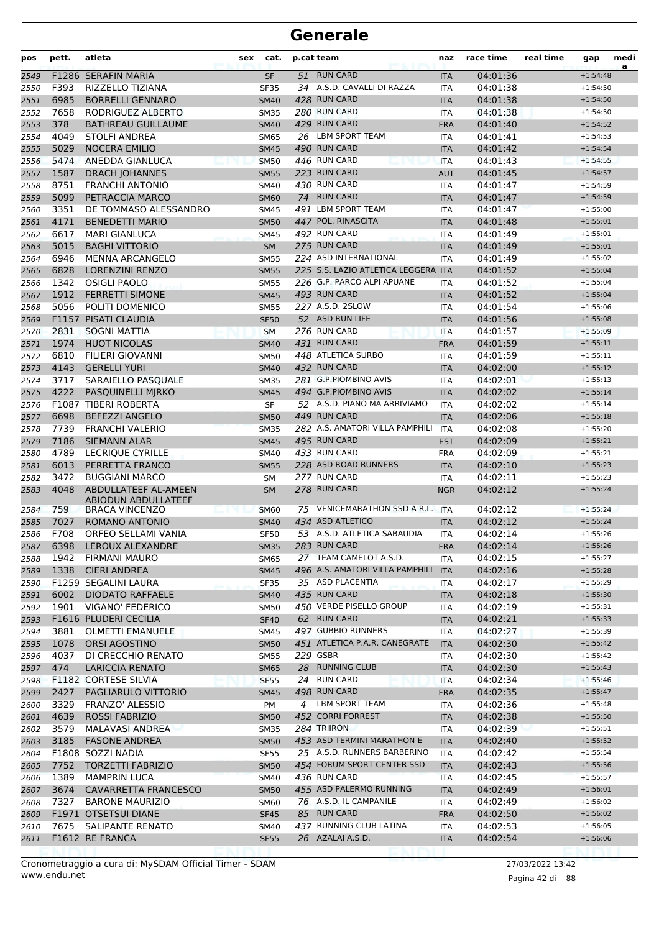| pos          | pett.        | atleta                                        | sex | cat.                       |   | p.cat team                                                | naz                      | race time            | real time | gap                      | medi<br>a |
|--------------|--------------|-----------------------------------------------|-----|----------------------------|---|-----------------------------------------------------------|--------------------------|----------------------|-----------|--------------------------|-----------|
| 2549         |              | F1286 SERAFIN MARIA                           |     | <b>SF</b>                  |   | 51 RUN CARD                                               | <b>ITA</b>               | 04:01:36             |           | $+1:54:48$               |           |
| 2550         | F393         | RIZZELLO TIZIANA                              |     | <b>SF35</b>                |   | 34 A.S.D. CAVALLI DI RAZZA                                | <b>ITA</b>               | 04:01:38             |           | $+1:54:50$               |           |
| 2551         | 6985         | <b>BORRELLI GENNARO</b>                       |     | <b>SM40</b>                |   | 428 RUN CARD                                              | <b>ITA</b>               | 04:01:38             |           | $+1:54:50$               |           |
| 2552         | 7658         | RODRIGUEZ ALBERTO                             |     | <b>SM35</b>                |   | 280 RUN CARD                                              | ITA                      | 04:01:38             |           | $+1:54:50$               |           |
| 2553         | 378          | <b>BATHREAU GUILLAUME</b>                     |     | <b>SM40</b>                |   | 429 RUN CARD                                              | <b>FRA</b>               | 04:01:40             |           | $+1:54:52$               |           |
| 2554         | 4049         | <b>STOLFI ANDREA</b>                          |     | <b>SM65</b>                |   | 26 LBM SPORT TEAM                                         | <b>ITA</b>               | 04:01:41             |           | $+1:54:53$               |           |
| 2555         | 5029         | <b>NOCERA EMILIO</b>                          |     | <b>SM45</b>                |   | 490 RUN CARD                                              | <b>ITA</b>               | 04:01:42             |           | $+1:54:54$               |           |
| 2556         | 5474         | ANEDDA GIANLUCA                               |     | <b>SM50</b>                |   | 446 RUN CARD                                              | <b>ITA</b>               | 04:01:43             |           | $+1:54:55$               |           |
| 2557         | 1587         | <b>DRACH JOHANNES</b>                         |     | <b>SM55</b>                |   | 223 RUN CARD                                              | <b>AUT</b>               | 04:01:45             |           | $+1:54:57$               |           |
| 2558         | 8751         | <b>FRANCHI ANTONIO</b>                        |     | <b>SM40</b>                |   | 430 RUN CARD                                              | ITA                      | 04:01:47             |           | $+1:54:59$               |           |
| 2559         | 5099         | PETRACCIA MARCO                               |     | <b>SM60</b>                |   | 74 RUN CARD                                               | <b>ITA</b>               | 04:01:47             |           | $+1:54:59$               |           |
| 2560         | 3351         | DE TOMMASO ALESSANDRO                         |     | SM45                       |   | 491 LBM SPORT TEAM<br>447 POL. RINASCITA                  | <b>ITA</b>               | 04:01:47             |           | $+1:55:00$               |           |
| 2561         | 4171<br>6617 | <b>BENEDETTI MARIO</b>                        |     | <b>SM50</b>                |   | 492 RUN CARD                                              | <b>ITA</b>               | 04:01:48             |           | $+1:55:01$               |           |
| 2562<br>2563 | 5015         | <b>MARI GIANLUCA</b><br><b>BAGHI VITTORIO</b> |     | <b>SM45</b><br><b>SM</b>   |   | 275 RUN CARD                                              | <b>ITA</b>               | 04:01:49<br>04:01:49 |           | $+1:55:01$<br>$+1:55:01$ |           |
| 2564         | 6946         | <b>MENNA ARCANGELO</b>                        |     | <b>SM55</b>                |   | 224 ASD INTERNATIONAL                                     | <b>ITA</b><br><b>ITA</b> | 04:01:49             |           | $+1:55:02$               |           |
| 2565         | 6828         | <b>LORENZINI RENZO</b>                        |     | <b>SM55</b>                |   | 225 S.S. LAZIO ATLETICA LEGGERA ITA                       |                          | 04:01:52             |           | $+1:55:04$               |           |
| 2566         | 1342         | <b>OSIGLI PAOLO</b>                           |     | <b>SM55</b>                |   | 226 G.P. PARCO ALPI APUANE                                | <b>ITA</b>               | 04:01:52             |           | $+1:55:04$               |           |
| 2567         | 1912         | <b>FERRETTI SIMONE</b>                        |     | <b>SM45</b>                |   | 493 RUN CARD                                              | <b>ITA</b>               | 04:01:52             |           | $+1:55:04$               |           |
| 2568         | 5056         | POLITI DOMENICO                               |     | <b>SM55</b>                |   | 227 A.S.D. 2SLOW                                          | <b>ITA</b>               | 04:01:54             |           | $+1:55:06$               |           |
| 2569         |              | F1157 PISATI CLAUDIA                          |     | <b>SF50</b>                |   | 52 ASD RUN LIFE                                           | <b>ITA</b>               | 04:01:56             |           | $+1:55:08$               |           |
| 2570         | 2831         | <b>SOGNI MATTIA</b>                           |     | <b>SM</b>                  |   | 276 RUN CARD                                              | <b>ITA</b>               | 04:01:57             |           | $+1:55:09$               |           |
| 2571         | 1974         | <b>HUOT NICOLAS</b>                           |     | <b>SM40</b>                |   | 431 RUN CARD                                              | <b>FRA</b>               | 04:01:59             |           | $+1:55:11$               |           |
| 2572         | 6810         | FILIERI GIOVANNI                              |     | <b>SM50</b>                |   | 448 ATLETICA SURBO                                        | <b>ITA</b>               | 04:01:59             |           | $+1:55:11$               |           |
| 2573         | 4143         | <b>GERELLI YURI</b>                           |     | <b>SM40</b>                |   | 432 RUN CARD                                              | <b>ITA</b>               | 04:02:00             |           | $+1:55:12$               |           |
| 2574         | 3717         | SARAIELLO PASQUALE                            |     | <b>SM35</b>                |   | 281 G.P.PIOMBINO AVIS                                     | <b>ITA</b>               | 04:02:01             |           | $+1:55:13$               |           |
| 2575         | 4222         | PASQUINELLI MJRKO                             |     | <b>SM45</b>                |   | 494 G.P.PIOMBINO AVIS                                     | <b>ITA</b>               | 04:02:02             |           | $+1:55:14$               |           |
| 2576         | F1087        | TIBERI ROBERTA                                |     | SF                         |   | 52 A.S.D. PIANO MA ARRIVIAMO                              | <b>ITA</b>               | 04:02:02             |           | $+1:55:14$               |           |
| 2577         | 6698         | <b>BEFEZZI ANGELO</b>                         |     | <b>SM50</b>                |   | 449 RUN CARD                                              | <b>ITA</b>               | 04:02:06             |           | $+1:55:18$               |           |
| 2578         | 7739         | <b>FRANCHI VALERIO</b>                        |     | <b>SM35</b>                |   | 282 A.S. AMATORI VILLA PAMPHILI                           | <b>ITA</b>               | 04:02:08             |           | $+1:55:20$               |           |
| 2579         | 7186         | <b>SIEMANN ALAR</b>                           |     | <b>SM45</b>                |   | 495 RUN CARD                                              | <b>EST</b>               | 04:02:09             |           | $+1:55:21$               |           |
| 2580         | 4789         | <b>LECRIQUE CYRILLE</b>                       |     | <b>SM40</b>                |   | 433 RUN CARD                                              | <b>FRA</b>               | 04:02:09             |           | $+1:55:21$               |           |
| 2581         | 6013         | PERRETTA FRANCO                               |     | <b>SM55</b>                |   | 228 ASD ROAD RUNNERS                                      | <b>ITA</b>               | 04:02:10             |           | $+1:55:23$               |           |
| 2582         | 3472         | <b>BUGGIANI MARCO</b>                         |     | SΜ                         |   | 277 RUN CARD                                              | ITA                      | 04:02:11             |           | $+1:55:23$               |           |
| 2583         | 4048         | ABDULLATEEF AL-AMEEN<br>ABIODUN ABDULLATEEF   |     | <b>SM</b>                  |   | 278 RUN CARD                                              | <b>NGR</b>               | 04:02:12             |           | $+1:55:24$               |           |
| 2584         | 759          | <b>BRACA VINCENZO</b>                         |     | <b>SM60</b>                |   | 75 VENICEMARATHON SSD A R.L. ITA                          |                          | 04:02:12             |           | $+1:55:24$               |           |
| 2585         | 7027         | ROMANO ANTONIO                                |     | <b>SM40</b>                |   | 434 ASD ATLETICO                                          | <b>ITA</b>               | 04:02:12             |           | $+1:55:24$               |           |
| 2586         | F708         | ORFEO SELLAMI VANIA                           |     | <b>SF50</b>                |   | 53 A.S.D. ATLETICA SABAUDIA                               | <b>ITA</b>               | 04:02:14             |           | $+1:55:26$               |           |
| 2587         |              | 6398 LEROUX ALEXANDRE                         |     | <b>SM35</b>                |   | 283 RUN CARD                                              | <b>FRA</b>               | 04:02:14             |           | $+1:55:26$               |           |
| 2588         | 1942         | <b>FIRMANI MAURO</b>                          |     | SM65                       |   | 27 TEAM CAMELOT A.S.D.                                    | ITA                      | 04:02:15             |           | $+1:55:27$               |           |
| 2589         | 1338         | <b>CIERI ANDREA</b>                           |     | <b>SM45</b>                |   | 496 A.S. AMATORI VILLA PAMPHILI                           | <b>ITA</b>               | 04:02:16             |           | $+1:55:28$               |           |
| 2590         |              | F1259 SEGALINI LAURA                          |     | <b>SF35</b>                |   | 35 ASD PLACENTIA                                          | ITA                      | 04:02:17             |           | $+1:55:29$               |           |
| 2591         | 6002         | <b>DIODATO RAFFAELE</b>                       |     | <b>SM40</b>                |   | 435 RUN CARD                                              | <b>ITA</b>               | 04:02:18             |           | $+1:55:30$               |           |
| 2592         | 1901         | VIGANO' FEDERICO                              |     | <b>SM50</b>                |   | 450 VERDE PISELLO GROUP                                   | ITA                      | 04:02:19             |           | $+1:55:31$               |           |
| 2593         |              | F1616 PLUDERI CECILIA                         |     | <b>SF40</b>                |   | 62 RUN CARD                                               | <b>ITA</b>               | 04:02:21             |           | $+1:55:33$               |           |
| 2594         | 3881         | <b>OLMETTI EMANUELE</b>                       |     | SM45                       |   | 497 GUBBIO RUNNERS                                        | ITA                      | 04:02:27             |           | $+1:55:39$               |           |
| 2595         | 1078         | <b>ORSI AGOSTINO</b>                          |     | <b>SM50</b>                |   | 451 ATLETICA P.A.R. CANEGRATE                             | <b>ITA</b>               | 04:02:30             |           | $+1:55:42$               |           |
| 2596         | 4037         | DI CRECCHIO RENATO                            |     | <b>SM55</b>                |   | 229 GSBR                                                  | ITA                      | 04:02:30             |           | $+1:55:42$               |           |
| 2597         | 474          | <b>LARICCIA RENATO</b>                        |     | <b>SM65</b>                |   | 28 RUNNING CLUB                                           | <b>ITA</b>               | 04:02:30             |           | $+1:55:43$               |           |
| 2598         |              | F1182 CORTESE SILVIA                          |     | SF <sub>55</sub>           |   | 24 RUN CARD                                               | ITA                      | 04:02:34             |           | $+1:55:46$               |           |
| 2599         | 2427         | PAGLIARULO VITTORIO                           |     | <b>SM45</b>                |   | 498 RUN CARD                                              | <b>FRA</b>               | 04:02:35             |           | $+1:55:47$               |           |
| 2600         | 3329         | <b>FRANZO' ALESSIO</b>                        |     | PM                         | 4 | LBM SPORT TEAM                                            | ITA                      | 04:02:36             |           | $+1:55:48$               |           |
| 2601         | 4639         | ROSSI FABRIZIO                                |     | <b>SM50</b>                |   | 452 CORRI FORREST<br>284 TRIIRON                          | <b>ITA</b>               | 04:02:38             |           | $+1:55:50$               |           |
| 2602         | 3579         | MALAVASI ANDREA                               |     | <b>SM35</b>                |   |                                                           | ITA                      | 04:02:39             |           | $+1:55:51$               |           |
| 2603         | 3185         | <b>FASONE ANDREA</b>                          |     | <b>SM50</b>                |   | 453 ASD TERMINI MARATHON E                                | <b>ITA</b>               | 04:02:40             |           | $+1:55:52$               |           |
| 2604         | 7752         | F1808 SOZZI NADIA<br><b>TORZETTI FABRIZIO</b> |     | SF <sub>55</sub>           |   | 25 A.S.D. RUNNERS BARBERINO<br>454 FORUM SPORT CENTER SSD | ITA                      | 04:02:42             |           | $+1:55:54$               |           |
| 2605         | 1389         | <b>MAMPRIN LUCA</b>                           |     | <b>SM50</b><br><b>SM40</b> |   | 436 RUN CARD                                              | <b>ITA</b><br>ITA        | 04:02:43<br>04:02:45 |           | $+1:55:56$<br>$+1:55:57$ |           |
| 2606<br>2607 | 3674         | CAVARRETTA FRANCESCO                          |     | <b>SM50</b>                |   | 455 ASD PALERMO RUNNING                                   | <b>ITA</b>               | 04:02:49             |           | $+1:56:01$               |           |
| 2608         | 7327         | <b>BARONE MAURIZIO</b>                        |     | <b>SM60</b>                |   | 76 A.S.D. IL CAMPANILE                                    | ITA                      | 04:02:49             |           | $+1:56:02$               |           |
| 2609         |              | <b>F1971 OTSETSUI DIANE</b>                   |     | <b>SF45</b>                |   | 85 RUN CARD                                               | <b>FRA</b>               | 04:02:50             |           | $+1:56:02$               |           |
| 2610         | 7675         | SALIPANTE RENATO                              |     | SM40                       |   | 437 RUNNING CLUB LATINA                                   | ITA                      | 04:02:53             |           | $+1:56:05$               |           |
| 2611         |              | F1612 RE FRANCA                               |     | <b>SF55</b>                |   | 26 AZALAI A.S.D.                                          | <b>ITA</b>               | 04:02:54             |           | $+1:56:06$               |           |
|              |              |                                               |     |                            |   |                                                           |                          |                      |           |                          |           |

Pagina 42 di 88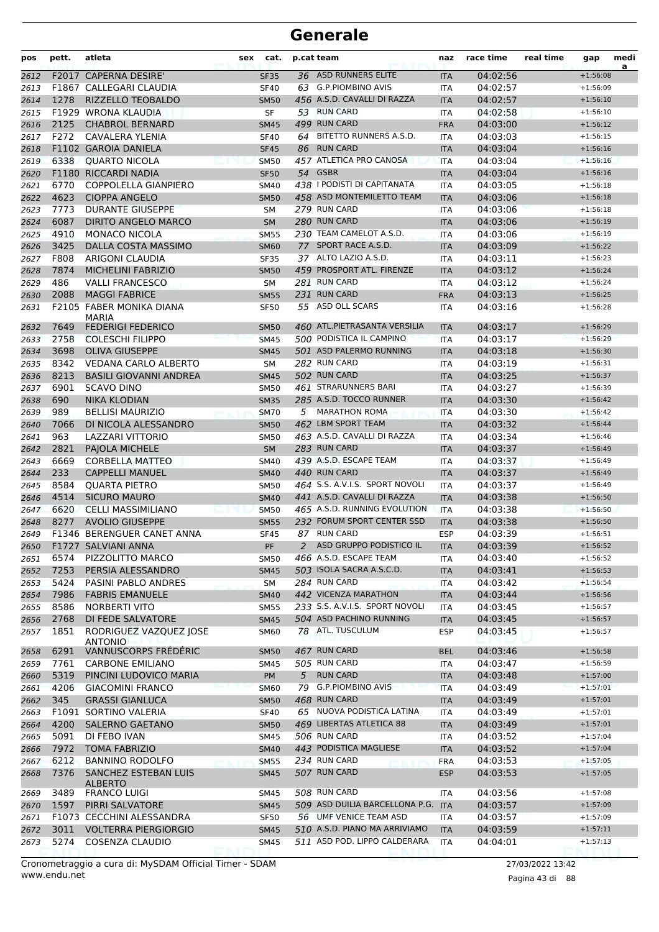| pos          | pett.        | atleta                                               | sex | cat.                       |    | p.cat team                                                 | naz                      | race time            | real time | gap                      | medi<br>a |
|--------------|--------------|------------------------------------------------------|-----|----------------------------|----|------------------------------------------------------------|--------------------------|----------------------|-----------|--------------------------|-----------|
| 2612         |              | F2017 CAPERNA DESIRE'                                |     | <b>SF35</b>                |    | 36 ASD RUNNERS ELITE                                       | <b>ITA</b>               | 04:02:56             |           | $+1:56:08$               |           |
| 2613         |              | F1867 CALLEGARI CLAUDIA                              |     | <b>SF40</b>                |    | 63 G.P.PIOMBINO AVIS                                       | <b>ITA</b>               | 04:02:57             |           | $+1:56:09$               |           |
| 2614         | 1278         | RIZZELLO TEOBALDO                                    |     | <b>SM50</b>                |    | 456 A.S.D. CAVALLI DI RAZZA                                | <b>ITA</b>               | 04:02:57             |           | $+1:56:10$               |           |
| 2615         |              | F1929 WRONA KLAUDIA                                  |     | SF                         |    | 53 RUN CARD                                                | <b>ITA</b>               | 04:02:58             |           | $+1:56:10$               |           |
| 2616         | 2125         | <b>CHABROL BERNARD</b>                               |     | <b>SM45</b>                |    | 499 RUN CARD                                               | <b>FRA</b>               | 04:03:00             |           | $+1:56:12$               |           |
| 2617         | F272         | CAVALERA YLENIA                                      |     | <b>SF40</b>                | 64 | BITETTO RUNNERS A.S.D.                                     | <b>ITA</b>               | 04:03:03             |           | $+1:56:15$               |           |
| 2618         |              | F1102 GAROIA DANIELA                                 |     | <b>SF45</b>                | 86 | <b>RUN CARD</b>                                            | <b>ITA</b>               | 04:03:04             |           | $+1:56:16$               |           |
| 2619         | 6338         | <b>QUARTO NICOLA</b>                                 |     | <b>SM50</b>                |    | 457 ATLETICA PRO CANOSA                                    | <b>ITA</b>               | 04:03:04             |           | $+1:56:16$               |           |
| 2620         |              | F1180 RICCARDI NADIA                                 |     | <b>SF50</b>                |    | 54 GSBR                                                    | <b>ITA</b>               | 04:03:04             |           | $+1:56:16$               |           |
| 2621         | 6770         | <b>COPPOLELLA GIANPIERO</b>                          |     | SM40                       |    | 438   PODISTI DI CAPITANATA                                | <b>ITA</b>               | 04:03:05             |           | $+1:56:18$               |           |
| 2622         | 4623         | <b>CIOPPA ANGELO</b>                                 |     | <b>SM50</b>                |    | 458 ASD MONTEMILETTO TEAM                                  | <b>ITA</b>               | 04:03:06             |           | $+1:56:18$               |           |
| 2623         | 7773         | <b>DURANTE GIUSEPPE</b>                              |     | <b>SM</b>                  |    | 279 RUN CARD                                               | ITA                      | 04:03:06             |           | $+1:56:18$               |           |
| 2624         | 6087         | <b>DIRITO ANGELO MARCO</b>                           |     | <b>SM</b>                  |    | 280 RUN CARD                                               | <b>ITA</b>               | 04:03:06             |           | $+1:56:19$               |           |
| 2625         | 4910         | <b>MONACO NICOLA</b>                                 |     | <b>SM55</b>                |    | 230 TEAM CAMELOT A.S.D.                                    | <b>ITA</b>               | 04:03:06             |           | $+1:56:19$               |           |
| 2626         | 3425         | DALLA COSTA MASSIMO                                  |     | <b>SM60</b>                |    | 77 SPORT RACE A.S.D.<br>37 ALTO LAZIO A.S.D.               | <b>ITA</b>               | 04:03:09             |           | $+1:56:22$               |           |
| 2627         | F808<br>7874 | ARIGONI CLAUDIA                                      |     | <b>SF35</b>                |    | 459 PROSPORT ATL. FIRENZE                                  | <b>ITA</b>               | 04:03:11             |           | $+1:56:23$               |           |
| 2628         | 486          | <b>MICHELINI FABRIZIO</b><br><b>VALLI FRANCESCO</b>  |     | <b>SM50</b>                |    | 281 RUN CARD                                               | <b>ITA</b>               | 04:03:12<br>04:03:12 |           | $+1:56:24$<br>$+1:56:24$ |           |
| 2629         | 2088         | <b>MAGGI FABRICE</b>                                 |     | SM                         |    | 231 RUN CARD                                               | ITA                      | 04:03:13             |           | $+1:56:25$               |           |
| 2630<br>2631 |              | F2105 FABER MONIKA DIANA                             |     | <b>SM55</b><br><b>SF50</b> |    | 55 ASD OLL SCARS                                           | <b>FRA</b><br><b>ITA</b> | 04:03:16             |           | $+1:56:28$               |           |
|              |              | <b>MARIA</b>                                         |     |                            |    |                                                            |                          |                      |           |                          |           |
| 2632         | 7649         | <b>FEDERIGI FEDERICO</b>                             |     | <b>SM50</b>                |    | 460 ATL.PIETRASANTA VERSILIA                               | <b>ITA</b>               | 04:03:17             |           | $+1:56:29$               |           |
| 2633         | 2758         | <b>COLESCHI FILIPPO</b>                              |     | <b>SM45</b>                |    | 500 PODISTICA IL CAMPINO                                   | <b>ITA</b>               | 04:03:17             |           | $+1:56:29$               |           |
| 2634         | 3698         | <b>OLIVA GIUSEPPE</b>                                |     | <b>SM45</b>                |    | 501 ASD PALERMO RUNNING                                    | <b>ITA</b>               | 04:03:18             |           | $+1:56:30$               |           |
| 2635         | 8342         | <b>VEDANA CARLO ALBERTO</b>                          |     | <b>SM</b>                  |    | 282 RUN CARD                                               | <b>ITA</b>               | 04:03:19             |           | $+1:56:31$               |           |
| 2636         | 8213         | <b>BASILI GIOVANNI ANDREA</b>                        |     | <b>SM45</b>                |    | 502 RUN CARD                                               | <b>ITA</b>               | 04:03:25             |           | $+1:56:37$               |           |
| 2637         | 6901         | <b>SCAVO DINO</b>                                    |     | <b>SM50</b>                |    | 461 STRARUNNERS BARI                                       | <b>ITA</b>               | 04:03:27             |           | $+1:56:39$               |           |
| 2638         | 690          | <b>NIKA KLODIAN</b>                                  |     | <b>SM35</b>                |    | 285 A.S.D. TOCCO RUNNER                                    | <b>ITA</b>               | 04:03:30             |           | $+1:56:42$               |           |
| 2639         | 989          | <b>BELLISI MAURIZIO</b>                              |     | <b>SM70</b>                |    | 5 MARATHON ROMA                                            | <b>ITA</b>               | 04:03:30             |           | $+1:56:42$               |           |
| 2640         | 7066         | DI NICOLA ALESSANDRO                                 |     | <b>SM50</b>                |    | 462 LBM SPORT TEAM                                         | <b>ITA</b>               | 04:03:32             |           | $+1:56:44$               |           |
| 2641         | 963          | LAZZARI VITTORIO                                     |     | <b>SM50</b>                |    | 463 A.S.D. CAVALLI DI RAZZA                                | <b>ITA</b>               | 04:03:34             |           | $+1:56:46$               |           |
| 2642         | 2821         | PAJOLA MICHELE                                       |     | <b>SM</b>                  |    | 283 RUN CARD                                               | <b>ITA</b>               | 04:03:37             |           | $+1:56:49$               |           |
| 2643         | 6669         | <b>CORBELLA MATTEO</b>                               |     | <b>SM40</b>                |    | 439 A.S.D. ESCAPE TEAM                                     | <b>ITA</b>               | 04:03:37             |           | $+1:56:49$               |           |
| 2644         | 233          | <b>CAPPELLI MANUEL</b>                               |     | <b>SM40</b>                |    | 440 RUN CARD                                               | <b>ITA</b>               | 04:03:37             |           | $+1:56:49$               |           |
| 2645         | 8584         | <b>QUARTA PIETRO</b>                                 |     | <b>SM50</b>                |    | 464 S.S. A.V.I.S. SPORT NOVOLI                             | <b>ITA</b>               | 04:03:37             |           | $+1:56:49$               |           |
| 2646         | 4514         | <b>SICURO MAURO</b>                                  |     | <b>SM40</b>                |    | 441 A.S.D. CAVALLI DI RAZZA                                | <b>ITA</b>               | 04:03:38             |           | $+1:56:50$               |           |
| 2647         | 6620         | <b>CELLI MASSIMILIANO</b>                            |     | <b>SM50</b>                |    | 465 A.S.D. RUNNING EVOLUTION<br>232 FORUM SPORT CENTER SSD | <b>ITA</b>               | 04:03:38             |           | $+1:56:50$               |           |
| 2648         | 8277         | <b>AVOLIO GIUSEPPE</b><br>F1346 BERENGUER CANET ANNA |     | <b>SM55</b>                |    | 87 RUN CARD                                                | <b>ITA</b>               | 04:03:38             |           | $+1:56:50$               |           |
| 2649<br>2650 |              | F1727 SALVIANI ANNA                                  |     | <b>SF45</b><br>PF          |    | ASD GRUPPO PODISTICO IL                                    | <b>ESP</b><br><b>ITA</b> | 04:03:39<br>04:03:39 |           | $+1:56:51$<br>$+1:56:52$ |           |
| 2651         | 6574         | PIZZOLITTO MARCO                                     |     | SM50                       |    | 466 A.S.D. ESCAPE TEAM                                     | ITA                      | 04:03:40             |           | $+1:56:52$               |           |
| 2652         | 7253         | PERSIA ALESSANDRO                                    |     | <b>SM45</b>                |    | 503 ISOLA SACRA A.S.C.D.                                   | <b>ITA</b>               | 04:03:41             |           | $+1:56:53$               |           |
| 2653         | 5424         | PASINI PABLO ANDRES                                  |     | SM                         |    | 284 RUN CARD                                               | <b>ITA</b>               | 04:03:42             |           | $+1:56:54$               |           |
| 2654         | 7986         | <b>FABRIS EMANUELE</b>                               |     | <b>SM40</b>                |    | 442 VICENZA MARATHON                                       | <b>ITA</b>               | 04:03:44             |           | $+1:56:56$               |           |
| 2655         | 8586         | <b>NORBERTI VITO</b>                                 |     | <b>SM55</b>                |    | 233 S.S. A.V.I.S. SPORT NOVOLI                             | ITA                      | 04:03:45             |           | $+1:56:57$               |           |
| 2656         | 2768         | DI FEDE SALVATORE                                    |     | <b>SM45</b>                |    | 504 ASD PACHINO RUNNING                                    | <b>ITA</b>               | 04:03:45             |           | $+1:56:57$               |           |
| 2657         | 1851         | RODRIGUEZ VAZQUEZ JOSE                               |     | <b>SM60</b>                |    | 78 ATL. TUSCULUM                                           | ESP                      | 04:03:45             |           | $+1:56:57$               |           |
|              |              | <b>ANTONIO</b>                                       |     |                            |    |                                                            |                          |                      |           |                          |           |
| 2658         | 6291         | <b>VANNUSCORPS FRÉDÉRIC</b>                          |     | <b>SM50</b>                |    | 467 RUN CARD                                               | BEL                      | 04:03:46             |           | $+1:56:58$               |           |
| 2659         | 7761         | <b>CARBONE EMILIANO</b>                              |     | SM45                       |    | 505 RUN CARD                                               | ITA                      | 04:03:47             |           | $+1:56:59$               |           |
| 2660         | 5319         | PINCINI LUDOVICO MARIA                               |     | <b>PM</b>                  |    | 5 RUN CARD                                                 | <b>ITA</b>               | 04:03:48             |           | $+1:57:00$               |           |
| 2661         | 4206         | <b>GIACOMINI FRANCO</b>                              |     | <b>SM60</b>                | 79 | <b>G.P.PIOMBINO AVIS</b>                                   | <b>ITA</b>               | 04:03:49             |           | $+1:57:01$               |           |
| 2662         | 345          | <b>GRASSI GIANLUCA</b>                               |     | <b>SM50</b>                |    | 468 RUN CARD                                               | <b>ITA</b>               | 04:03:49             |           | $+1:57:01$               |           |
| 2663         |              | F1091 SORTINO VALERIA                                |     | <b>SF40</b>                |    | 65 NUOVA PODISTICA LATINA<br>469 LIBERTAS ATLETICA 88      | ITA                      | 04:03:49             |           | $+1:57:01$               |           |
| 2664         | 4200<br>5091 | <b>SALERNO GAETANO</b><br>DI FEBO IVAN               |     | <b>SM50</b>                |    | 506 RUN CARD                                               | <b>ITA</b>               | 04:03:49<br>04:03:52 |           | $+1:57:01$               |           |
| 2665         | 7972         | <b>TOMA FABRIZIO</b>                                 |     | SM45                       |    | 443 PODISTICA MAGLIESE                                     | ITA                      | 04:03:52             |           | $+1:57:04$<br>$+1:57:04$ |           |
| 2666         | 6212         | <b>BANNINO RODOLFO</b>                               |     | <b>SM40</b>                |    | 234 RUN CARD                                               | <b>ITA</b><br><b>FRA</b> | 04:03:53             |           | $+1:57:05$               |           |
| 2667<br>2668 | 7376         | SANCHEZ ESTEBAN LUIS                                 |     | <b>SM55</b><br><b>SM45</b> |    | 507 RUN CARD                                               | <b>ESP</b>               | 04:03:53             |           | $+1:57:05$               |           |
|              |              | <b>ALBERTO</b>                                       |     |                            |    |                                                            |                          |                      |           |                          |           |
| 2669         | 3489         | <b>FRANCO LUIGI</b>                                  |     | SM45                       |    | 508 RUN CARD                                               | ITA                      | 04:03:56             |           | $+1:57:08$               |           |
| 2670         | 1597         | PIRRI SALVATORE                                      |     | <b>SM45</b>                |    | 509 ASD DUILIA BARCELLONA P.G.                             | <b>ITA</b>               | 04:03:57             |           | $+1:57:09$               |           |
| 2671         |              | F1073 CECCHINI ALESSANDRA                            |     | <b>SF50</b>                |    | 56 UMF VENICE TEAM ASD                                     | ITA                      | 04:03:57             |           | $+1:57:09$               |           |
| 2672         | 3011         | <b>VOLTERRA PIERGIORGIO</b>                          |     | <b>SM45</b>                |    | 510 A.S.D. PIANO MA ARRIVIAMO                              | <b>ITA</b>               | 04:03:59             |           | $+1:57:11$               |           |
| 2673         | 5274         | <b>COSENZA CLAUDIO</b>                               |     | <b>SM45</b>                |    | 511 ASD POD. LIPPO CALDERARA                               | ITA                      | 04:04:01             |           | $+1:57:13$               |           |

www.endu.net Cronometraggio a cura di: MySDAM Official Timer - SDAM 27/03/2022 13:42

Pagina 43 di 88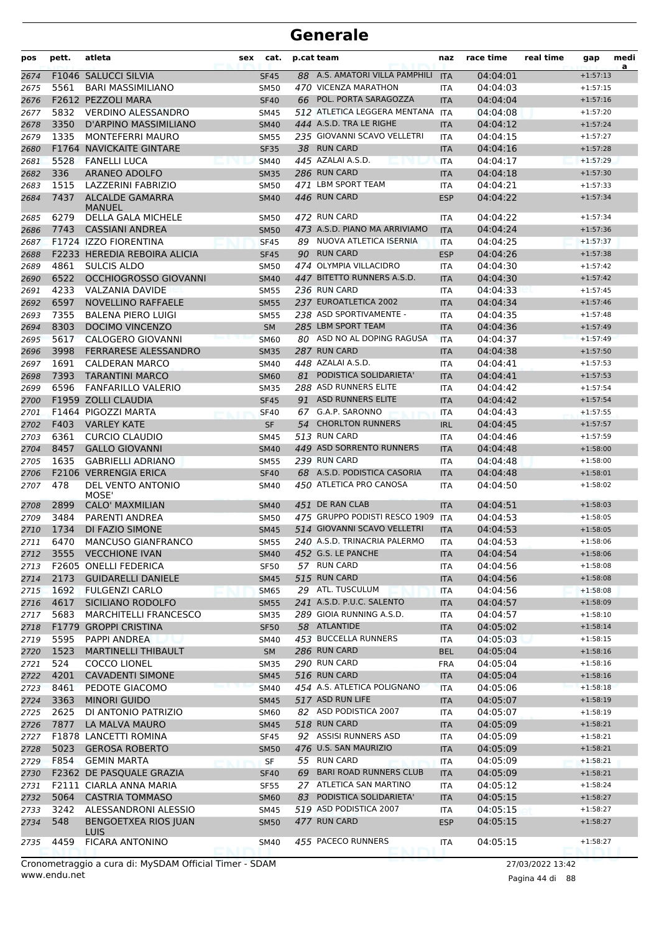| pos          | pett. | atleta                                     | sex | cat.                     |    | p.cat team                                      | naz               | race time            | real time | gap                      | medi<br>a |
|--------------|-------|--------------------------------------------|-----|--------------------------|----|-------------------------------------------------|-------------------|----------------------|-----------|--------------------------|-----------|
| 2674         |       | F1046 SALUCCI SILVIA                       |     | <b>SF45</b>              |    | 88 A.S. AMATORI VILLA PAMPHILI                  | <b>ITA</b>        | 04:04:01             |           | $+1:57:13$               |           |
| 2675         | 5561  | <b>BARI MASSIMILIANO</b>                   |     | <b>SM50</b>              |    | 470 VICENZA MARATHON                            | <b>ITA</b>        | 04:04:03             |           | $+1:57:15$               |           |
| 2676         |       | F2612 PEZZOLI MARA                         |     | <b>SF40</b>              |    | 66 POL. PORTA SARAGOZZA                         | <b>ITA</b>        | 04:04:04             |           | $+1:57:16$               |           |
| 2677         | 5832  | <b>VERDINO ALESSANDRO</b>                  |     | <b>SM45</b>              |    | 512 ATLETICA LEGGERA MENTANA                    | ITA               | 04:04:08             |           | $+1:57:20$               |           |
| 2678         | 3350  | D'ARPINO MASSIMILIANO                      |     | <b>SM40</b>              |    | 444 A.S.D. TRA LE RIGHE                         | <b>ITA</b>        | 04:04:12             |           | $+1:57:24$               |           |
| 2679         | 1335  | <b>MONTEFERRI MAURO</b>                    |     | <b>SM55</b>              |    | 235 GIOVANNI SCAVO VELLETRI                     | <b>ITA</b>        | 04:04:15             |           | $+1:57:27$               |           |
| 2680         |       | <b>F1764 NAVICKAITE GINTARE</b>            |     | <b>SF35</b>              |    | 38 RUN CARD                                     | <b>ITA</b>        | 04:04:16             |           | $+1:57:28$               |           |
| 2681         | 5528  | <b>FANELLI LUCA</b>                        |     | <b>SM40</b>              |    | 445 AZALAI A.S.D.                               | <b>ITA</b>        | 04:04:17             |           | $+1:57:29$               |           |
| 2682         | 336   | <b>ARANEO ADOLFO</b>                       |     | <b>SM35</b>              |    | 286 RUN CARD                                    | <b>ITA</b>        | 04:04:18             |           | $+1:57:30$               |           |
| 2683         | 1515  | LAZZERINI FABRIZIO                         |     | <b>SM50</b>              |    | 471 LBM SPORT TEAM                              | ITA               | 04:04:21             |           | $+1:57:33$               |           |
| 2684         | 7437  | <b>ALCALDE GAMARRA</b><br>MANUEL           |     | <b>SM40</b>              |    | 446 RUN CARD                                    | <b>ESP</b>        | 04:04:22             |           | $+1:57:34$               |           |
| 2685         | 6279  | DELLA GALA MICHELE                         |     | <b>SM50</b>              |    | 472 RUN CARD                                    | <b>ITA</b>        | 04:04:22             |           | $+1:57:34$               |           |
| 2686         | 7743  | <b>CASSIANI ANDREA</b>                     |     | <b>SM50</b>              |    | 473 A.S.D. PIANO MA ARRIVIAMO                   | <b>ITA</b>        | 04:04:24             |           | $+1:57:36$               |           |
| 2687         |       | <b>F1724 IZZO FIORENTINA</b>               |     | <b>SF45</b>              |    | 89 NUOVA ATLETICA ISERNIA                       | <b>ITA</b>        | 04:04:25             |           | $+1:57:37$               |           |
| 2688         |       | F2233 HEREDIA REBOIRA ALICIA               |     | <b>SF45</b>              |    | 90 RUN CARD                                     | <b>ESP</b>        | 04:04:26             |           | $+1:57:38$               |           |
| 2689         | 4861  | <b>SULCIS ALDO</b>                         |     | <b>SM50</b>              |    | 474 OLYMPIA VILLACIDRO                          | ITA               | 04:04:30             |           | $+1:57:42$               |           |
| 2690         | 6522  | <b>OCCHIOGROSSO GIOVANNI</b>               |     | <b>SM40</b>              |    | 447 BITETTO RUNNERS A.S.D.                      | <b>ITA</b>        | 04:04:30             |           | $+1:57:42$               |           |
| 2691         | 4233  | <b>VALZANIA DAVIDE</b>                     |     | <b>SM55</b>              |    | 236 RUN CARD                                    | <b>ITA</b>        | 04:04:33             |           | $+1:57:45$               |           |
| 2692         | 6597  | <b>NOVELLINO RAFFAELE</b>                  |     | <b>SM55</b>              |    | 237 EUROATLETICA 2002                           | <b>ITA</b>        | 04:04:34             |           | $+1:57:46$               |           |
| 2693         | 7355  | <b>BALENA PIERO LUIGI</b>                  |     | <b>SM55</b>              |    | 238 ASD SPORTIVAMENTE -                         | <b>ITA</b>        | 04:04:35             |           | $+1:57:48$               |           |
| 2694         | 8303  | <b>DOCIMO VINCENZO</b>                     |     | <b>SM</b>                |    | 285 LBM SPORT TEAM                              | <b>ITA</b>        | 04:04:36             |           | $+1:57:49$               |           |
| 2695         | 5617  | CALOGERO GIOVANNI                          |     | <b>SM60</b>              |    | 80 ASD NO AL DOPING RAGUSA                      | <b>ITA</b>        | 04:04:37             |           | $+1:57:49$               |           |
| 2696         | 3998  | <b>FERRARESE ALESSANDRO</b>                |     | <b>SM35</b>              |    | 287 RUN CARD                                    | <b>ITA</b>        | 04:04:38             |           | $+1:57:50$               |           |
| 2697         | 1691  | <b>CALDERAN MARCO</b>                      |     | <b>SM40</b>              |    | 448 AZALAI A.S.D.                               | <b>ITA</b>        | 04:04:41             |           | $+1:57:53$               |           |
| 2698         | 7393  | <b>TARANTINI MARCO</b>                     |     | <b>SM60</b>              | 81 | PODISTICA SOLIDARIETA'<br>288 ASD RUNNERS ELITE | <b>ITA</b>        | 04:04:41             |           | $+1:57:53$               |           |
| 2699         | 6596  | <b>FANFARILLO VALERIO</b>                  |     | <b>SM35</b>              |    | 91 ASD RUNNERS ELITE                            | <b>ITA</b>        | 04:04:42             |           | $+1:57:54$               |           |
| 2700         |       | F1959 ZOLLI CLAUDIA<br>F1464 PIGOZZI MARTA |     | <b>SF45</b>              |    | 67 G.A.P. SARONNO                               | <b>ITA</b>        | 04:04:42             |           | $+1:57:54$               |           |
| 2701         | F403  | <b>VARLEY KATE</b>                         |     | <b>SF40</b><br><b>SF</b> |    | 54 CHORLTON RUNNERS                             | ITA               | 04:04:43             |           | $+1:57:55$<br>$+1:57:57$ |           |
| 2702<br>2703 | 6361  | <b>CURCIO CLAUDIO</b>                      |     | <b>SM45</b>              |    | 513 RUN CARD                                    | <b>IRL</b><br>ITA | 04:04:45<br>04:04:46 |           | $+1:57:59$               |           |
| 2704         | 8457  | <b>GALLO GIOVANNI</b>                      |     | <b>SM40</b>              |    | 449 ASD SORRENTO RUNNERS                        | <b>ITA</b>        | 04:04:48             |           | $+1:58:00$               |           |
| 2705         | 1635  | <b>GABRIELLI ADRIANO</b>                   |     | <b>SM55</b>              |    | 239 RUN CARD                                    | <b>ITA</b>        | 04:04:48             |           | $+1:58:00$               |           |
| 2706         |       | <b>F2106 VERRENGIA ERICA</b>               |     | <b>SF40</b>              |    | 68 A.S.D. PODISTICA CASORIA                     | <b>ITA</b>        | 04:04:48             |           | $+1:58:01$               |           |
| 2707         | 478   | DEL VENTO ANTONIO<br>MOSE'                 |     | SM40                     |    | 450 ATLETICA PRO CANOSA                         | ITA               | 04:04:50             |           | $+1:58:02$               |           |
| 2708         | 2899  | CALO' MAXMILIAN                            |     | <b>SM40</b>              |    | 451 DE RAN CLAB                                 | <b>ITA</b>        | 04:04:51             |           | $+1:58:03$               |           |
| 2709         | 3484  | PARENTI ANDREA                             |     | <b>SM50</b>              |    | 475 GRUPPO PODISTI RESCO 1909                   | <b>ITA</b>        | 04:04:53             |           | $+1:58:05$               |           |
| 2710         | 1734  | DI FAZIO SIMONE                            |     | <b>SM45</b>              |    | 514 GIOVANNI SCAVO VELLETRI                     | <b>ITA</b>        | 04:04:53             |           | $+1:58:05$               |           |
| 2711         | 6470  | MANCUSO GIANFRANCO                         |     | <b>SM55</b>              |    | 240 A.S.D. TRINACRIA PALERMO                    | ITA               | 04:04:53             |           | $+1:58:06$               |           |
| 2712         |       | 3555 VECCHIONE IVAN                        |     | SM40                     |    | 452 G.S. LE PANCHE                              | <b>ITA</b>        | 04:04:54             |           | $+1:58:06$               |           |
| 2713         |       | F2605 ONELLI FEDERICA                      |     | <b>SF50</b>              |    | 57 RUN CARD                                     | ITA               | 04:04:56             |           | $+1:58:08$               |           |
| 2714         | 2173  | <b>GUIDARELLI DANIELE</b>                  |     | <b>SM45</b>              |    | 515 RUN CARD                                    | <b>ITA</b>        | 04:04:56             |           | $+1:58:08$               |           |
| 2715         | 1692  | <b>FULGENZI CARLO</b>                      |     | <b>SM65</b>              |    | 29 ATL. TUSCULUM                                | <b>ITA</b>        | 04:04:56             |           | $+1:58:08$               |           |
| 2716         | 4617  | SICILIANO RODOLFO                          |     | <b>SM55</b>              |    | 241 A.S.D. P.U.C. SALENTO                       | <b>ITA</b>        | 04:04:57             |           | $+1:58:09$               |           |
| 2717         | 5683  | <b>MARCHITELLI FRANCESCO</b>               |     | <b>SM35</b>              |    | 289 GIOIA RUNNING A.S.D.                        | <b>ITA</b>        | 04:04:57             |           | $+1:58:10$               |           |
| 2718         |       | F1779 GROPPI CRISTINA                      |     | <b>SF50</b>              |    | 58 ATLANTIDE                                    | <b>ITA</b>        | 04:05:02             |           | $+1:58:14$               |           |
| 2719         | 5595  | PAPPI ANDREA                               |     | SM40                     |    | 453 BUCCELLA RUNNERS                            | <b>ITA</b>        | 04:05:03             |           | $+1:58:15$               |           |
| 2720         | 1523  | <b>MARTINELLI THIBAULT</b>                 |     | <b>SM</b>                |    | 286 RUN CARD                                    | <b>BEL</b>        | 04:05:04             |           | $+1:58:16$               |           |
| 2721         | 524   | <b>COCCO LIONEL</b>                        |     | <b>SM35</b>              |    | 290 RUN CARD                                    | <b>FRA</b>        | 04:05:04             |           | $+1:58:16$               |           |
| 2722         | 4201  | <b>CAVADENTI SIMONE</b>                    |     | <b>SM45</b>              |    | 516 RUN CARD                                    | <b>ITA</b>        | 04:05:04             |           | $+1:58:16$               |           |
| 2723         | 8461  | PEDOTE GIACOMO                             |     | <b>SM40</b>              |    | 454 A.S. ATLETICA POLIGNANO                     | <b>ITA</b>        | 04:05:06             |           | $+1:58:18$               |           |
| 2724         | 3363  | <b>MINORI GUIDO</b>                        |     | <b>SM45</b>              |    | 517 ASD RUN LIFE                                | <b>ITA</b>        | 04:05:07             |           | $+1:58:19$               |           |
| 2725         | 2625  | DI ANTONIO PATRIZIO                        |     | <b>SM60</b>              |    | 82 ASD PODISTICA 2007                           | ITA               | 04:05:07             |           | $+1:58:19$               |           |
| 2726         | 7877  | LA MALVA MAURO                             |     | <b>SM45</b>              |    | 518 RUN CARD                                    | <b>ITA</b>        | 04:05:09             |           | $+1:58:21$               |           |
| 2727         |       | F1878 LANCETTI ROMINA                      |     | <b>SF45</b>              |    | 92 ASSISI RUNNERS ASD                           | ITA               | 04:05:09             |           | $+1:58:21$               |           |
| 2728         | 5023  | <b>GEROSA ROBERTO</b>                      |     | <b>SM50</b>              |    | 476 U.S. SAN MAURIZIO                           | <b>ITA</b>        | 04:05:09             |           | $+1:58:21$               |           |
| 2729         | F854  | <b>GEMIN MARTA</b>                         |     | SF                       |    | 55 RUN CARD                                     | <b>ITA</b>        | 04:05:09             |           | $+1:58:21$               |           |
| 2730         |       | F2362 DE PASQUALE GRAZIA                   |     | <b>SF40</b>              |    | 69 BARI ROAD RUNNERS CLUB                       | <b>ITA</b>        | 04:05:09             |           | $+1:58:21$               |           |
| 2731         |       | F2111 CIARLA ANNA MARIA                    |     | <b>SF55</b>              |    | 27 ATLETICA SAN MARTINO                         | ITA               | 04:05:12             |           | $+1:58:24$               |           |
| 2732         | 5064  | <b>CASTRIA TOMMASO</b>                     |     | <b>SM60</b>              |    | 83 PODISTICA SOLIDARIETA'                       | <b>ITA</b>        | 04:05:15             |           | $+1:58:27$               |           |
| 2733         | 3242  | ALESSANDRONI ALESSIO                       |     | SM45                     |    | 519 ASD PODISTICA 2007                          | ITA               | 04:05:15             |           | $+1:58:27$               |           |
| 2734         | 548   | <b>BENGOETXEA RIOS JUAN</b><br><b>LUIS</b> |     | <b>SM50</b>              |    | 477 RUN CARD                                    | <b>ESP</b>        | 04:05:15             |           | $+1:58:27$               |           |
| 2735         | 4459  | <b>FICARA ANTONINO</b>                     |     | SM40                     |    | 455 PACECO RUNNERS                              | ITA               | 04:05:15             |           | $+1:58:27$               |           |

www.endu.net Cronometraggio a cura di: MySDAM Official Timer - SDAM 27/03/2022 13:42

Pagina 44 di 88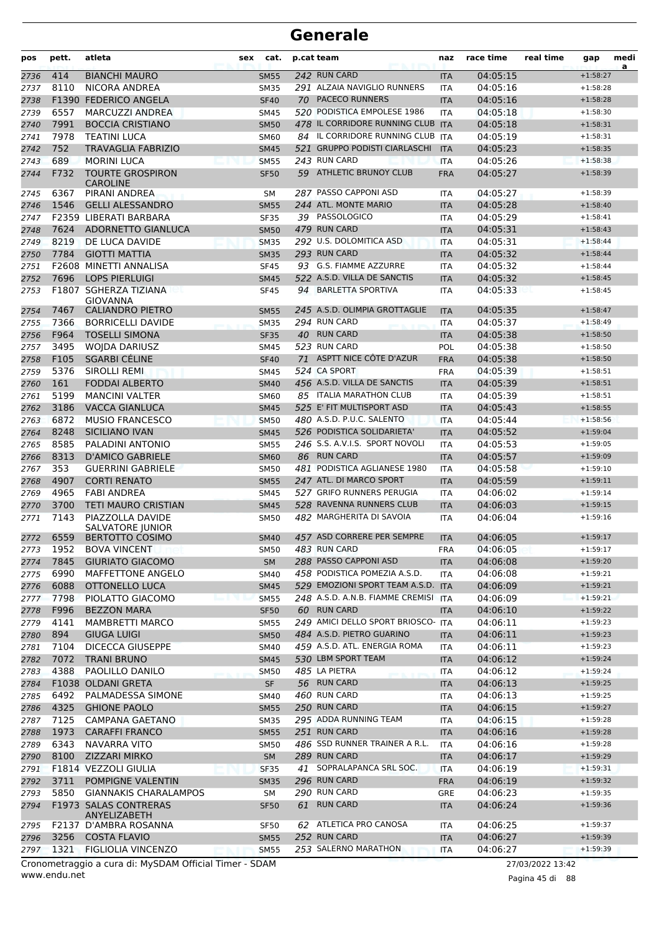| pos          | pett.        | atleta<br>sex                                 | cat.                       | p.cat team                                             | naz                      | race time            | real time | gap                      | medi<br>a |
|--------------|--------------|-----------------------------------------------|----------------------------|--------------------------------------------------------|--------------------------|----------------------|-----------|--------------------------|-----------|
| 2736         | 414          | <b>BIANCHI MAURO</b>                          | <b>SM55</b>                | 242 RUN CARD                                           | <b>ITA</b>               | 04:05:15             |           | $+1:58:27$               |           |
| 2737         | 8110         | NICORA ANDREA                                 | <b>SM35</b>                | 291 ALZAIA NAVIGLIO RUNNERS                            | <b>ITA</b>               | 04:05:16             |           | $+1:58:28$               |           |
| 2738         |              | F1390 FEDERICO ANGELA                         | <b>SF40</b>                | 70 PACECO RUNNERS                                      | <b>ITA</b>               | 04:05:16             |           | $+1:58:28$               |           |
| 2739         | 6557         | <b>MARCUZZI ANDREA</b>                        | <b>SM45</b>                | 520 PODISTICA EMPOLESE 1986                            | <b>ITA</b>               | 04:05:18             |           | $+1:58:30$               |           |
| 2740         | 7991         | <b>BOCCIA CRISTIANO</b>                       | <b>SM50</b>                | 478 IL CORRIDORE RUNNING CLUB ITA                      |                          | 04:05:18             |           | $+1:58:31$               |           |
| 2741         | 7978         | <b>TEATINI LUCA</b>                           | <b>SM60</b>                | 84 IL CORRIDORE RUNNING CLUB ITA                       |                          | 04:05:19             |           | $+1:58:31$               |           |
| 2742         | 752          | TRAVAGLIA FABRIZIO                            | <b>SM45</b>                | 521 GRUPPO PODISTI CIARLASCHI                          | <b>ITA</b>               | 04:05:23             |           | $+1:58:35$               |           |
| 2743         | 689          | <b>MORINI LUCA</b>                            | <b>SM55</b>                | 243 RUN CARD                                           | <b>ITA</b>               | 04:05:26             |           | $+1:58:38$               |           |
| 2744         | F732         | <b>TOURTE GROSPIRON</b><br><b>CAROLINE</b>    | <b>SF50</b>                | 59 ATHLETIC BRUNOY CLUB                                | <b>FRA</b>               | 04:05:27             |           | $+1:58:39$               |           |
| 2745         | 6367         | PIRANI ANDREA                                 | <b>SM</b>                  | 287 PASSO CAPPONI ASD                                  | <b>ITA</b>               | 04:05:27             |           | $+1:58:39$               |           |
| 2746         | 1546         | <b>GELLI ALESSANDRO</b>                       | <b>SM55</b>                | 244 ATL. MONTE MARIO                                   | <b>ITA</b>               | 04:05:28             |           | $+1:58:40$               |           |
| 2747         |              | F2359 LIBERATI BARBARA                        | <b>SF35</b>                | 39 PASSOLOGICO                                         | <b>ITA</b>               | 04:05:29             |           | $+1:58:41$               |           |
| 2748         | 7624         | ADORNETTO GIANLUCA                            | <b>SM50</b>                | 479 RUN CARD                                           | <b>ITA</b>               | 04:05:31             |           | $+1:58:43$               |           |
| 2749         | 8219         | DE LUCA DAVIDE                                | <b>SM35</b>                | 292 U.S. DOLOMITICA ASD                                | <b>ITA</b>               | 04:05:31             |           | $+1:58:44$               |           |
| 2750         | 7784         | <b>GIOTTI MATTIA</b>                          | <b>SM35</b>                | 293 RUN CARD                                           | <b>ITA</b>               | 04:05:32             |           | $+1:58:44$               |           |
| 2751         |              | F2608 MINETTI ANNALISA                        | <b>SF45</b>                | 93 G.S. FIAMME AZZURRE                                 | <b>ITA</b>               | 04:05:32             |           | $+1:58:44$               |           |
| 2752         | 7696         | <b>LOPS PIERLUIGI</b>                         | <b>SM45</b>                | 522 A.S.D. VILLA DE SANCTIS                            | <b>ITA</b>               | 04:05:32             |           | $+1:58:45$               |           |
| 2753         |              | F1807 SGHERZA TIZIANA<br>GIOVANNA             | <b>SF45</b>                | 94 BARLETTA SPORTIVA                                   | ITA                      | 04:05:33             |           | $+1:58:45$               |           |
| 2754         | 7467         | <b>CALIANDRO PIETRO</b>                       | <b>SM55</b>                | 245 A.S.D. OLIMPIA GROTTAGLIE                          | <b>ITA</b>               | 04:05:35             |           | $+1:58:47$               |           |
| 2755         | 7366         | <b>BORRICELLI DAVIDE</b>                      | <b>SM35</b>                | 294 RUN CARD                                           | <b>ITA</b>               | 04:05:37             |           | $+1:58:49$               |           |
| 2756         | F964         | <b>TOSELLI SIMONA</b>                         | <b>SF35</b>                | 40 RUN CARD                                            | <b>ITA</b>               | 04:05:38             |           | $+1:58:50$               |           |
| 2757         | 3495         | <b>WOJDA DARIUSZ</b>                          | <b>SM45</b>                | 523 RUN CARD                                           | POL                      | 04:05:38             |           | $+1:58:50$               |           |
| 2758         | F105         | <b>SGARBI CELINE</b>                          | <b>SF40</b>                | 71 ASPTT NICE CÔTE D'AZUR                              | <b>FRA</b>               | 04:05:38             |           | $+1:58:50$               |           |
| 2759         | 5376         | <b>SIROLLI REMI</b>                           | <b>SM45</b>                | 524 CA SPORT                                           | <b>FRA</b>               | 04:05:39             |           | $+1:58:51$               |           |
| 2760         | 161          | <b>FODDAI ALBERTO</b>                         | <b>SM40</b>                | 456 A.S.D. VILLA DE SANCTIS                            | <b>ITA</b>               | 04:05:39             |           | $+1:58:51$               |           |
| 2761         | 5199         | <b>MANCINI VALTER</b>                         | SM60                       | 85 ITALIA MARATHON CLUB                                | <b>ITA</b>               | 04:05:39             |           | $+1:58:51$               |           |
| 2762         | 3186         | <b>VACCA GIANLUCA</b>                         | <b>SM45</b>                | 525 E' FIT MULTISPORT ASD                              | <b>ITA</b>               | 04:05:43             |           | $+1:58:55$               |           |
| 2763         | 6872         | <b>MUSIO FRANCESCO</b>                        | <b>SM50</b>                | 480 A.S.D. P.U.C. SALENTO                              | <b>ITA</b>               | 04:05:44             |           | $+1:58:56$               |           |
| 2764         | 8248         | <b>SICILIANO IVAN</b>                         | <b>SM45</b>                | 526 PODISTICA SOLIDARIETA'                             | <b>ITA</b>               | 04:05:52             |           | $+1:59:04$               |           |
| 2765         | 8585         | PALADINI ANTONIO                              | <b>SM55</b>                | 246 S.S. A.V.I.S. SPORT NOVOLI                         | <b>ITA</b>               | 04:05:53             |           | $+1:59:05$               |           |
| 2766         | 8313         | <b>D'AMICO GABRIELE</b>                       | <b>SM60</b>                | 86 RUN CARD                                            | <b>ITA</b>               | 04:05:57             |           | $+1:59:09$               |           |
| 2767         | 353          | <b>GUERRINI GABRIELE</b>                      | <b>SM50</b>                | 481 PODISTICA AGLIANESE 1980                           | <b>ITA</b>               | 04:05:58             |           | $+1:59:10$               |           |
| 2768         | 4907         | <b>CORTI RENATO</b>                           | <b>SM55</b>                | 247 ATL. DI MARCO SPORT                                | <b>ITA</b>               | 04:05:59             |           | $+1:59:11$               |           |
| 2769         | 4965         | <b>FABI ANDREA</b>                            | <b>SM45</b>                | 527 GRIFO RUNNERS PERUGIA                              | <b>ITA</b>               | 04:06:02             |           | $+1:59:14$               |           |
| 2770         | 3700         | TETI MAURO CRISTIAN                           | <b>SM45</b>                | 528 RAVENNA RUNNERS CLUB                               | <b>ITA</b>               | 04:06:03             |           | $+1:59:15$               |           |
| 2771         | 7143         | PIAZZOLLA DAVIDE<br>SALVATORE JUNIOR          | <b>SM50</b>                | 482 MARGHERITA DI SAVOIA<br>457 ASD CORRERE PER SEMPRE | ITA                      | 04:06:04             |           | $+1:59:16$               |           |
| 2772         | 6559         | <b>BERTOTTO COSIMO</b>                        | <b>SM40</b>                |                                                        | <b>ITA</b>               | 04:06:05             |           | $+1:59:17$               |           |
| 2773         | 1952         | <b>BOVA VINCENT</b>                           | <b>SM50</b>                | 483 RUN CARD                                           | <b>FRA</b>               | 04:06:05             |           | $+1:59:17$               |           |
| 2774         | 7845         | <b>GIURIATO GIACOMO</b>                       | <b>SM</b>                  | 288 PASSO CAPPONI ASD                                  | <b>ITA</b>               | 04:06:08             |           | $+1:59:20$               |           |
| 2775         | 6990         | MAFFETTONE ANGELO                             | <b>SM40</b>                | 458 PODISTICA POMEZIA A.S.D.                           | ITA                      | 04:06:08             |           | $+1:59:21$               |           |
| 2776         | 6088         | OTTONELLO LUCA                                | <b>SM45</b>                | 529 EMOZIONI SPORT TEAM A.S.D. ITA                     |                          | 04:06:09             |           | $+1:59:21$               |           |
| 2777         | 7798         | PIOLATTO GIACOMO                              | <b>SM55</b>                | 248 A.S.D. A.N.B. FIAMME CREMISI ITA<br>60 RUN CARD    |                          | 04:06:09<br>04:06:10 |           | $+1:59:21$               |           |
| 2778         | F996<br>4141 | <b>BEZZON MARA</b>                            | <b>SF50</b>                | 249 AMICI DELLO SPORT BRIOSCO- ITA                     | <b>ITA</b>               | 04:06:11             |           | $+1:59:22$<br>$+1:59:23$ |           |
| 2779         |              | <b>MAMBRETTI MARCO</b>                        | <b>SM55</b>                | 484 A.S.D. PIETRO GUARINO                              |                          |                      |           | $+1:59:23$               |           |
| 2780         | 894          | <b>GIUGA LUIGI</b><br><b>DICECCA GIUSEPPE</b> | <b>SM50</b>                | 459 A.S.D. ATL. ENERGIA ROMA                           | <b>ITA</b>               | 04:06:11<br>04:06:11 |           |                          |           |
| 2781<br>2782 | 7104<br>7072 |                                               | <b>SM40</b><br><b>SM45</b> | 530 LBM SPORT TEAM                                     | <b>ITA</b>               | 04:06:12             |           | $+1:59:23$<br>$+1:59:24$ |           |
|              | 4388         | <b>TRANI BRUNO</b><br>PAOLILLO DANILO         |                            | 485 LA PIETRA                                          | <b>ITA</b>               | 04:06:12             |           | $+1:59:24$               |           |
| 2783         |              | F1038 OLDANI GRETA                            | <b>SM50</b><br>SF          | 56 RUN CARD                                            | ITA<br><b>ITA</b>        | 04:06:13             |           | $+1:59:25$               |           |
| 2784         | 6492         | PALMADESSA SIMONE                             | <b>SM40</b>                | 460 RUN CARD                                           | ITA                      | 04:06:13             |           | $+1:59:25$               |           |
| 2785         | 4325         | <b>GHIONE PAOLO</b>                           |                            | 250 RUN CARD                                           |                          | 04:06:15             |           | $+1:59:27$               |           |
| 2786         | 7125         | CAMPANA GAETANO                               | <b>SM55</b><br><b>SM35</b> | 295 ADDA RUNNING TEAM                                  | <b>ITA</b><br><b>ITA</b> | 04:06:15             |           | $+1:59:28$               |           |
| 2787         | 1973         | <b>CARAFFI FRANCO</b>                         |                            | 251 RUN CARD                                           |                          | 04:06:16             |           | $+1:59:28$               |           |
| 2788<br>2789 | 6343         | NAVARRA VITO                                  | <b>SM55</b><br><b>SM50</b> | 486 SSD RUNNER TRAINER A R.L.                          | <b>ITA</b><br>ITA        | 04:06:16             |           | $+1:59:28$               |           |
|              | 8100         | ZIZZARI MIRKO                                 |                            | 289 RUN CARD                                           |                          |                      |           |                          |           |
| 2790<br>2791 |              | F1814 VEZZOLI GIULIA                          | <b>SM</b>                  | 41 SOPRALAPANCA SRL SOC.                               | <b>ITA</b>               | 04:06:17<br>04:06:19 |           | $+1:59:29$<br>$+1:59:31$ |           |
| 2792         | 3711         | POMPIGNE VALENTIN                             | <b>SF35</b><br><b>SM35</b> | 296 RUN CARD                                           | <b>ITA</b><br><b>FRA</b> | 04:06:19             |           | $+1:59:32$               |           |
| 2793         | 5850         | <b>GIANNAKIS CHARALAMPOS</b>                  | SM                         | 290 RUN CARD                                           | GRE                      | 04:06:23             |           | $+1:59:35$               |           |
| 2794         |              | F1973 SALAS CONTRERAS                         | <b>SF50</b>                | 61 RUN CARD                                            | <b>ITA</b>               | 04:06:24             |           | $+1:59:36$               |           |
| 2795         |              | ANYELIZABETH<br>F2137 D'AMBRA ROSANNA         | <b>SF50</b>                | 62 ATLETICA PRO CANOSA                                 | ITA                      | 04:06:25             |           | $+1:59:37$               |           |
| 2796         |              | 3256 COSTA FLAVIO                             | <b>SM55</b>                | 252 RUN CARD                                           | <b>ITA</b>               | 04:06:27             |           | $+1:59:39$               |           |
| 2797         | 1321         | <b>FIGLIOLIA VINCENZO</b>                     | <b>SM55</b>                | 253 SALERNO MARATHON                                   | <b>ITA</b>               | 04:06:27             |           | $+1:59:39$               |           |
|              |              |                                               |                            |                                                        |                          |                      |           |                          |           |

www.endu.net Cronometraggio a cura di: MySDAM Official Timer - SDAM 27/03/2022 13:42

Pagina 45 di 88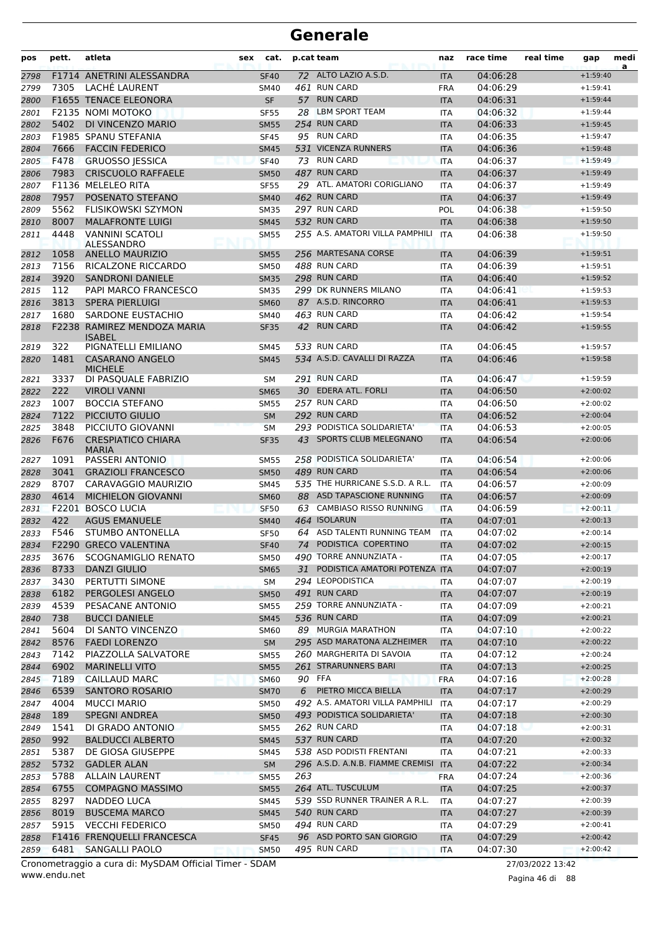| pos          | pett.        | atleta                                       | sex | cat.                       |        | p.cat team                                           | naz                      | race time            | real time | gap                      | medi<br>a |
|--------------|--------------|----------------------------------------------|-----|----------------------------|--------|------------------------------------------------------|--------------------------|----------------------|-----------|--------------------------|-----------|
| 2798         |              | F1714 ANETRINI ALESSANDRA                    |     | <b>SF40</b>                |        | 72 ALTO LAZIO A.S.D.                                 | <b>ITA</b>               | 04:06:28             |           | $+1:59:40$               |           |
| 2799         | 7305         | LACHÉ LAURENT                                |     | <b>SM40</b>                |        | 461 RUN CARD                                         | <b>FRA</b>               | 04:06:29             |           | $+1:59:41$               |           |
| 2800         |              | F1655 TENACE ELEONORA                        |     | <b>SF</b>                  |        | 57 RUN CARD                                          | <b>ITA</b>               | 04:06:31             |           | $+1:59:44$               |           |
| 2801         |              | F2135 NOMI MOTOKO                            |     | <b>SF55</b>                | 28     | <b>LBM SPORT TEAM</b>                                | <b>ITA</b>               | 04:06:32             |           | $+1:59:44$               |           |
| 2802         | 5402         | DI VINCENZO MARIO                            |     | <b>SM55</b>                |        | 254 RUN CARD                                         | <b>ITA</b>               | 04:06:33             |           | $+1:59:45$               |           |
| 2803         |              | F1985 SPANU STEFANIA                         |     | <b>SF45</b>                |        | 95 RUN CARD                                          | <b>ITA</b>               | 04:06:35             |           | $+1:59:47$               |           |
| 2804         | 7666         | <b>FACCIN FEDERICO</b>                       |     | <b>SM45</b>                |        | 531 VICENZA RUNNERS                                  | <b>ITA</b>               | 04:06:36             |           | $+1:59:48$               |           |
| 2805         | F478         | <b>GRUOSSO JESSICA</b>                       |     | <b>SF40</b>                |        | 73 RUN CARD                                          | <b>ITA</b>               | 04:06:37             |           | $+1:59:49$               |           |
| 2806         | 7983         | <b>CRISCUOLO RAFFAELE</b>                    |     | <b>SM50</b>                |        | 487 RUN CARD                                         | <b>ITA</b>               | 04:06:37             |           | $+1:59:49$               |           |
| 2807         |              | F1136 MELELEO RITA                           |     | <b>SF55</b>                |        | 29 ATL. AMATORI CORIGLIANO                           | <b>ITA</b>               | 04:06:37             |           | $+1:59:49$               |           |
| 2808         | 7957         | POSENATO STEFANO                             |     | <b>SM40</b>                |        | 462 RUN CARD                                         | <b>ITA</b>               | 04:06:37             |           | $+1:59:49$               |           |
| 2809         | 5562         | <b>FLISIKOWSKI SZYMON</b>                    |     | <b>SM35</b>                |        | 297 RUN CARD                                         | POL                      | 04:06:38             |           | $+1:59:50$               |           |
| 2810         | 8007         | <b>MALAFRONTE LUIGI</b>                      |     | <b>SM45</b>                |        | 532 RUN CARD                                         | <b>ITA</b>               | 04:06:38             |           | $+1:59:50$               |           |
| 2811         | 4448         | <b>VANNINI SCATOLI</b><br>ALESSANDRO         |     | <b>SM55</b>                |        | 255 A.S. AMATORI VILLA PAMPHILI                      | <b>ITA</b>               | 04:06:38             |           | $+1:59:50$               |           |
| 2812         | 1058         | <b>ANELLO MAURIZIO</b>                       |     | <b>SM55</b>                |        | 256 MARTESANA CORSE                                  | <b>ITA</b>               | 04:06:39             |           | $+1:59:51$               |           |
| 2813         | 7156         | RICALZONE RICCARDO                           |     | <b>SM50</b>                |        | 488 RUN CARD                                         | <b>ITA</b>               | 04:06:39             |           | $+1:59:51$               |           |
| 2814         | 3920         | <b>SANDRONI DANIELE</b>                      |     | <b>SM35</b>                |        | 298 RUN CARD                                         | <b>ITA</b>               | 04:06:40             |           | $+1:59:52$               |           |
| 2815         | 112          | PAPI MARCO FRANCESCO                         |     | <b>SM35</b>                |        | 299 DK RUNNERS MILANO                                | <b>ITA</b>               | 04:06:41             |           | $+1:59:53$               |           |
| 2816         | 3813         | <b>SPERA PIERLUIGI</b>                       |     | <b>SM60</b>                |        | 87 A.S.D. RINCORRO                                   | <b>ITA</b>               | 04:06:41             |           | $+1:59:53$               |           |
| 2817         | 1680         | <b>SARDONE EUSTACHIO</b>                     |     | <b>SM40</b>                |        | 463 RUN CARD                                         | <b>ITA</b>               | 04:06:42             |           | $+1:59:54$               |           |
| 2818         |              | F2238 RAMIREZ MENDOZA MARIA<br><b>ISABEL</b> |     | <b>SF35</b>                |        | 42 RUN CARD                                          | <b>ITA</b>               | 04:06:42             |           | $+1:59:55$               |           |
| 2819         | 322          | PIGNATELLI EMILIANO                          |     | <b>SM45</b>                |        | 533 RUN CARD                                         | <b>ITA</b>               | 04:06:45             |           | $+1:59:57$               |           |
| 2820         | 1481         | <b>CASARANO ANGELO</b><br><b>MICHELE</b>     |     | <b>SM45</b>                |        | 534 A.S.D. CAVALLI DI RAZZA                          | <b>ITA</b>               | 04:06:46             |           | $+1:59:58$               |           |
| 2821         | 3337         | DI PASQUALE FABRIZIO                         |     | SM                         |        | 291 RUN CARD                                         | ITA                      | 04:06:47             |           | $+1:59:59$               |           |
| 2822         | 222          | <b>VIROLI VANNI</b>                          |     | <b>SM65</b>                |        | 30 EDERA ATL. FORLI                                  | <b>ITA</b>               | 04:06:50             |           | $+2:00:02$               |           |
| 2823         | 1007         | <b>BOCCIA STEFANO</b>                        |     | <b>SM55</b>                |        | 257 RUN CARD                                         | <b>ITA</b>               | 04:06:50             |           | $+2:00:02$               |           |
| 2824         | 7122         | PICCIUTO GIULIO                              |     | <b>SM</b>                  |        | 292 RUN CARD                                         | <b>ITA</b>               | 04:06:52             |           | $+2:00:04$               |           |
| 2825         | 3848         | PICCIUTO GIOVANNI                            |     | <b>SM</b>                  |        | 293 PODISTICA SOLIDARIETA'                           | <b>ITA</b>               | 04:06:53             |           | $+2:00:05$               |           |
| 2826         | F676         | <b>CRESPIATICO CHIARA</b><br><b>MARIA</b>    |     | <b>SF35</b>                |        | 43 SPORTS CLUB MELEGNANO                             | <b>ITA</b>               | 04:06:54             |           | $+2:00:06$               |           |
| 2827         | 1091         | PASSERI ANTONIO                              |     | <b>SM55</b>                |        | 258 PODISTICA SOLIDARIETA'                           | ITA                      | 04:06:54             |           | $+2:00:06$               |           |
| 2828         | 3041         | <b>GRAZIOLI FRANCESCO</b>                    |     | <b>SM50</b>                |        | 489 RUN CARD                                         | <b>ITA</b>               | 04:06:54             |           | $+2:00:06$               |           |
| 2829         | 8707         | CARAVAGGIO MAURIZIO                          |     | <b>SM45</b>                |        | 535 THE HURRICANE S.S.D. A R.L.                      | <b>ITA</b>               | 04:06:57             |           | $+2:00:09$               |           |
| 2830         | 4614         | <b>MICHIELON GIOVANNI</b>                    |     | <b>SM60</b>                |        | 88 ASD TAPASCIONE RUNNING                            | <b>ITA</b>               | 04:06:57             |           | $+2:00:09$               |           |
| 2831         |              | F2201 BOSCO LUCIA                            |     | <b>SF50</b>                |        | 63 CAMBIASO RISSO RUNNING                            | <b>ITA</b>               | 04:06:59             |           | $+2:00:11$               |           |
| 2832         | 422          | <b>AGUS EMANUELE</b>                         |     | <b>SM40</b>                |        | 464 ISOLARUN                                         | <b>ITA</b>               | 04:07:01             |           | $+2:00:13$               |           |
| 2833         | F546         | STUMBO ANTONELLA                             |     | <b>SF50</b>                |        | 64 ASD TALENTI RUNNING TEAM                          | <b>ITA</b>               | 04:07:02             |           | $+2:00:14$               |           |
| 2834         |              | F2290 GRECO VALENTINA                        |     | <b>SF40</b>                |        | 74 PODISTICA COPERTINO                               | <b>ITA</b>               | 04:07:02             |           | $+2:00:15$               |           |
| 2835         | 3676         | <b>SCOGNAMIGLIO RENATO</b>                   |     | <b>SM50</b>                |        | 490 TORRE ANNUNZIATA -                               | ITA                      | 04:07:05             |           | $+2:00:17$               |           |
| 2836         | 8733         | DANZI GIULIO                                 |     | <b>SM65</b>                |        | 31 PODISTICA AMATORI POTENZA ITA<br>294 LEOPODISTICA |                          | 04:07:07             |           | $+2:00:19$<br>$+2:00:19$ |           |
| 2837         | 3430<br>6182 | PERTUTTI SIMONE<br>PERGOLESI ANGELO          |     | SM                         |        | 491 RUN CARD                                         | ITA                      | 04:07:07<br>04:07:07 |           |                          |           |
| 2838<br>2839 | 4539         | PESACANE ANTONIO                             |     | <b>SM50</b><br><b>SM55</b> |        | 259 TORRE ANNUNZIATA -                               | <b>ITA</b><br><b>ITA</b> | 04:07:09             |           | $+2:00:19$<br>$+2:00:21$ |           |
| 2840         | 738          | <b>BUCCI DANIELE</b>                         |     | <b>SM45</b>                |        | 536 RUN CARD                                         | <b>ITA</b>               | 04:07:09             |           | $+2:00:21$               |           |
| 2841         | 5604         | DI SANTO VINCENZO                            |     | <b>SM60</b>                |        | 89 MURGIA MARATHON                                   | ITA                      | 04:07:10             |           | $+2:00:22$               |           |
| 2842         | 8576         | <b>FAEDI LORENZO</b>                         |     | <b>SM</b>                  |        | 295 ASD MARATONA ALZHEIMER                           | <b>ITA</b>               | 04:07:10             |           | $+2:00:22$               |           |
| 2843         | 7142         | PIAZZOLLA SALVATORE                          |     | <b>SM55</b>                |        | 260 MARGHERITA DI SAVOIA                             | ITA                      | 04:07:12             |           | $+2:00:24$               |           |
| 2844         | 6902         | <b>MARINELLI VITO</b>                        |     | <b>SM55</b>                |        | 261 STRARUNNERS BARI                                 | <b>ITA</b>               | 04:07:13             |           | $+2:00:25$               |           |
| 2845         | 7189         | <b>CAILLAUD MARC</b>                         |     | <b>SM60</b>                | 90 FFA |                                                      | <b>FRA</b>               | 04:07:16             |           | $+2:00:28$               |           |
| 2846         | 6539         | <b>SANTORO ROSARIO</b>                       |     | <b>SM70</b>                |        | 6 PIETRO MICCA BIELLA                                | <b>ITA</b>               | 04:07:17             |           | $+2:00:29$               |           |
| 2847         | 4004         | <b>MUCCI MARIO</b>                           |     | <b>SM50</b>                |        | 492 A.S. AMATORI VILLA PAMPHILI                      | ITA                      | 04:07:17             |           | $+2:00:29$               |           |
| 2848         | 189          | <b>SPEGNI ANDREA</b>                         |     | <b>SM50</b>                |        | 493 PODISTICA SOLIDARIETA'                           | <b>ITA</b>               | 04:07:18             |           | $+2:00:30$               |           |
| 2849         | 1541         | DI GRADO ANTONIO                             |     | <b>SM55</b>                |        | 262 RUN CARD                                         | ITA                      | 04:07:18             |           | $+2:00:31$               |           |
| 2850         | 992          | <b>BALDUCCI ALBERTO</b>                      |     | <b>SM45</b>                |        | 537 RUN CARD                                         | <b>ITA</b>               | 04:07:20             |           | $+2:00:32$               |           |
| 2851         | 5387         | DE GIOSA GIUSEPPE                            |     | <b>SM45</b>                |        | 538 ASD PODISTI FRENTANI                             | ITA                      | 04:07:21             |           | $+2:00:33$               |           |
| 2852         | 5732         | <b>GADLER ALAN</b>                           |     | <b>SM</b>                  |        | 296 A.S.D. A.N.B. FIAMME CREMISI                     | <b>ITA</b>               | 04:07:22             |           | $+2:00:34$               |           |
| 2853         | 5788         | <b>ALLAIN LAURENT</b>                        |     | <b>SM55</b>                | 263    |                                                      | <b>FRA</b>               | 04:07:24             |           | $+2:00:36$               |           |
| 2854         | 6755         | <b>COMPAGNO MASSIMO</b>                      |     | <b>SM55</b>                |        | 264 ATL. TUSCULUM                                    | <b>ITA</b>               | 04:07:25             |           | $+2:00:37$               |           |
| 2855         | 8297         | NADDEO LUCA                                  |     | SM45                       |        | 539 SSD RUNNER TRAINER A R.L.                        | <b>ITA</b>               | 04:07:27             |           | $+2:00:39$               |           |
| 2856         | 8019         | <b>BUSCEMA MARCO</b>                         |     | <b>SM45</b>                |        | 540 RUN CARD                                         | <b>ITA</b>               | 04:07:27             |           | $+2:00:39$               |           |
| 2857         | 5915         | <b>VECCHI FEDERICO</b>                       |     | <b>SM50</b>                |        | 494 RUN CARD                                         | ITA                      | 04:07:29             |           | $+2:00:41$               |           |
| 2858         |              | F1416 FRENQUELLI FRANCESCA                   |     | <b>SF45</b>                |        | 96 ASD PORTO SAN GIORGIO                             | <b>ITA</b>               | 04:07:29             |           | $+2:00:42$               |           |
| 2859         | 6481         | SANGALLI PAOLO                               |     | <b>SM50</b>                |        | 495 RUN CARD                                         | <b>ITA</b>               | 04:07:30             |           | $+2:00:42$               |           |

www.endu.net Cronometraggio a cura di: MySDAM Official Timer - SDAM 27/03/2022 13:42

Pagina 46 di 88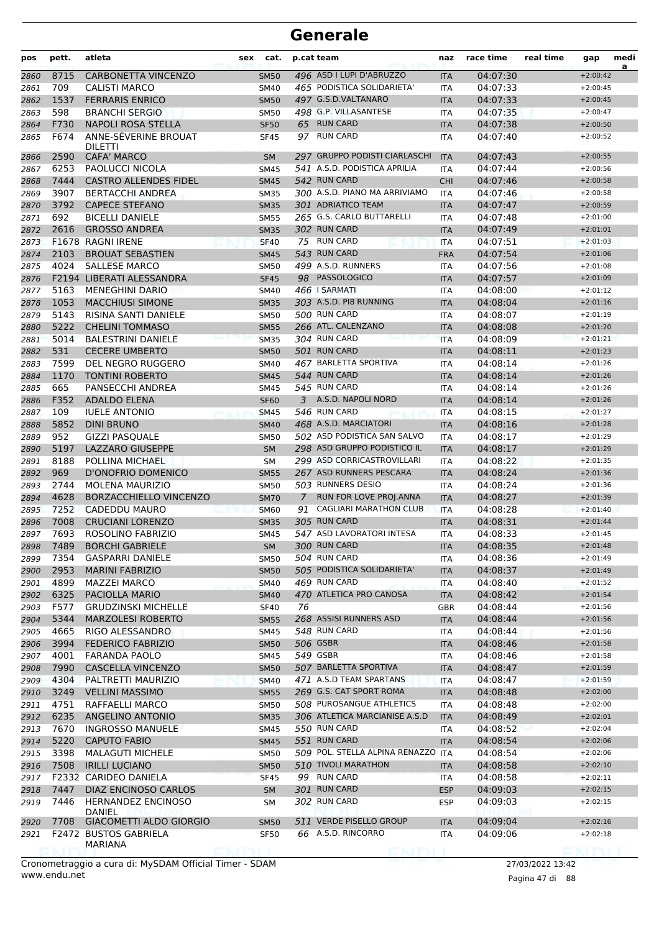| pos          | pett.       | atleta                                    | sex | cat.                   |               | p.cat team                                           | naz                      | race time            | real time | gap                      | medi<br>a |
|--------------|-------------|-------------------------------------------|-----|------------------------|---------------|------------------------------------------------------|--------------------------|----------------------|-----------|--------------------------|-----------|
| 2860         | 8715        | <b>CARBONETTA VINCENZO</b>                |     | <b>SM50</b>            |               | 496 ASD I LUPI D'ABRUZZO                             | <b>ITA</b>               | 04:07:30             |           | $+2:00:42$               |           |
| 2861         | 709         | <b>CALISTI MARCO</b>                      |     | <b>SM40</b>            |               | 465 PODISTICA SOLIDARIETA'                           | <b>ITA</b>               | 04:07:33             |           | $+2:00:45$               |           |
| 2862         | 1537        | <b>FERRARIS ENRICO</b>                    |     | <b>SM50</b>            |               | 497 G.S.D.VALTANARO                                  | <b>ITA</b>               | 04:07:33             |           | $+2:00:45$               |           |
| 2863         | 598         | <b>BRANCHI SERGIO</b>                     |     | <b>SM50</b>            |               | 498 G.P. VILLASANTESE                                | <b>ITA</b>               | 04:07:35             |           | $+2:00:47$               |           |
| 2864         | F730        | <b>NAPOLI ROSA STELLA</b>                 |     | <b>SF50</b>            |               | 65 RUN CARD                                          | <b>ITA</b>               | 04:07:38             |           | $+2:00:50$               |           |
| 2865         | F674        | ANNE-SÉVERINE BROUAT<br><b>DILETTI</b>    |     | <b>SF45</b>            |               | 97 RUN CARD                                          | ITA                      | 04:07:40             |           | $+2:00:52$               |           |
| 2866         | 2590        | <b>CAFA' MARCO</b>                        |     | <b>SM</b>              |               | 297 GRUPPO PODISTI CIARLASCHI                        | <b>ITA</b>               | 04:07:43             |           | $+2:00:55$               |           |
| 2867         | 6253        | PAOLUCCI NICOLA                           |     | <b>SM45</b>            |               | 541 A.S.D. PODISTICA APRILIA                         | <b>ITA</b>               | 04:07:44             |           | $+2:00:56$               |           |
| 2868         | 7444        | <b>CASTRO ALLENDES FIDEL</b>              |     | <b>SM45</b>            |               | 542 RUN CARD                                         | <b>CHI</b>               | 04:07:46             |           | $+2:00:58$               |           |
| 2869         | 3907        | <b>BERTACCHI ANDREA</b>                   |     | <b>SM35</b>            |               | 300 A.S.D. PIANO MA ARRIVIAMO                        | <b>ITA</b>               | 04:07:46             |           | $+2:00:58$               |           |
| 2870         | 3792        | <b>CAPECE STEFANO</b>                     |     | <b>SM35</b>            |               | 301 ADRIATICO TEAM                                   | <b>ITA</b>               | 04:07:47             |           | $+2:00:59$               |           |
| 2871         | 692         | <b>BICELLI DANIELE</b>                    |     | <b>SM55</b>            |               | 265 G.S. CARLO BUTTARELLI                            | <b>ITA</b>               | 04:07:48             |           | $+2:01:00$               |           |
| 2872         | 2616        | <b>GROSSO ANDREA</b>                      |     | <b>SM35</b>            |               | 302 RUN CARD                                         | <b>ITA</b>               | 04:07:49             |           | $+2:01:01$               |           |
| 2873         |             | F1678 RAGNI IRENE                         |     | <b>SF40</b>            |               | 75 RUN CARD                                          | <b>ITA</b>               | 04:07:51             |           | $+2:01:03$               |           |
| 2874         | 2103        | <b>BROUAT SEBASTIEN</b>                   |     | <b>SM45</b>            |               | 543 RUN CARD                                         | <b>FRA</b>               | 04:07:54             |           | $+2:01:06$               |           |
| 2875         | 4024        | <b>SALLESE MARCO</b>                      |     | <b>SM50</b>            |               | 499 A.S.D. RUNNERS                                   | <b>ITA</b>               | 04:07:56             |           | $+2:01:08$               |           |
| 2876         |             | F2194 LIBERATI ALESSANDRA                 |     | <b>SF45</b>            |               | 98 PASSOLOGICO                                       | <b>ITA</b>               | 04:07:57             |           | $+2:01:09$               |           |
| 2877         | 5163        | <b>MENEGHINI DARIO</b>                    |     | <b>SM40</b>            |               | 466 I SARMATI                                        | <b>ITA</b>               | 04:08:00             |           | $+2:01:12$               |           |
| 2878         | 1053        | <b>MACCHIUSI SIMONE</b>                   |     | <b>SM35</b>            |               | 303 A.S.D. PI8 RUNNING                               | <b>ITA</b>               | 04:08:04             |           | $+2:01:16$               |           |
| 2879         | 5143        | RISINA SANTI DANIELE                      |     | <b>SM50</b>            |               | 500 RUN CARD                                         | <b>ITA</b>               | 04:08:07             |           | $+2:01:19$               |           |
| 2880         | 5222        | <b>CHELINI TOMMASO</b>                    |     | <b>SM55</b>            |               | 266 ATL. CALENZANO                                   | <b>ITA</b>               | 04:08:08             |           | $+2:01:20$               |           |
| 2881         | 5014        | <b>BALESTRINI DANIELE</b>                 |     | <b>SM35</b>            |               | 304 RUN CARD                                         | <b>ITA</b>               | 04:08:09             |           | $+2:01:21$               |           |
| 2882         | 531         | <b>CECERE UMBERTO</b>                     |     | <b>SM50</b>            |               | 501 RUN CARD                                         | <b>ITA</b>               | 04:08:11             |           | $+2:01:23$               |           |
| 2883         | 7599        | <b>DEL NEGRO RUGGERO</b>                  |     | <b>SM40</b>            |               | 467 BARLETTA SPORTIVA                                | <b>ITA</b>               | 04:08:14             |           | $+2:01:26$               |           |
| 2884         | 1170        | <b>TONTINI ROBERTO</b>                    |     | <b>SM45</b>            |               | 544 RUN CARD                                         | <b>ITA</b>               | 04:08:14             |           | $+2:01:26$               |           |
| 2885         | 665         | PANSECCHI ANDREA                          |     | <b>SM45</b>            |               | 545 RUN CARD                                         | <b>ITA</b>               | 04:08:14             |           | $+2:01:26$               |           |
| 2886         | F352        | <b>ADALDO ELENA</b>                       |     | <b>SF60</b>            |               | 3 A.S.D. NAPOLI NORD<br>546 RUN CARD                 | <b>ITA</b>               | 04:08:14             |           | $+2:01:26$               |           |
| 2887         | 109         | <b>IUELE ANTONIO</b>                      |     | <b>SM45</b>            |               |                                                      | <b>ITA</b>               | 04:08:15             |           | $+2:01:27$               |           |
| 2888         | 5852<br>952 | <b>DINI BRUNO</b>                         |     | <b>SM40</b>            |               | 468 A.S.D. MARCIATORI<br>502 ASD PODISTICA SAN SALVO | <b>ITA</b>               | 04:08:16             |           | $+2:01:28$               |           |
| 2889         | 5197        | <b>GIZZI PASQUALE</b><br>LAZZARO GIUSEPPE |     | <b>SM50</b>            |               | 298 ASD GRUPPO PODISTICO IL                          | <b>ITA</b>               | 04:08:17<br>04:08:17 |           | $+2:01:29$<br>$+2:01:29$ |           |
| 2890<br>2891 | 8188        | POLLINA MICHAEL                           |     | <b>SM</b><br><b>SM</b> |               | 299 ASD CORRICASTROVILLARI                           | <b>ITA</b><br><b>ITA</b> | 04:08:22             |           | $+2:01:35$               |           |
| 2892         | 969         | D'ONOFRIO DOMENICO                        |     | <b>SM55</b>            |               | 267 ASD RUNNERS PESCARA                              | <b>ITA</b>               | 04:08:24             |           | $+2:01:36$               |           |
| 2893         | 2744        | <b>MOLENA MAURIZIO</b>                    |     | <b>SM50</b>            |               | 503 RUNNERS DESIO                                    | <b>ITA</b>               | 04:08:24             |           | $+2:01:36$               |           |
| 2894         | 4628        | <b>BORZACCHIELLO VINCENZO</b>             |     | <b>SM70</b>            | $\mathcal{I}$ | RUN FOR LOVE PROJ.ANNA                               | <b>ITA</b>               | 04:08:27             |           | $+2:01:39$               |           |
| 2895         | 7252        | CADEDDU MAURO                             |     | <b>SM60</b>            | 91            | <b>CAGLIARI MARATHON CLUB</b>                        | <b>ITA</b>               | 04:08:28             |           | $+2:01:40$               |           |
| 2896         | 7008        | <b>CRUCIANI LORENZO</b>                   |     | <b>SM35</b>            |               | 305 RUN CARD                                         | <b>ITA</b>               | 04:08:31             |           | $+2:01:44$               |           |
| 2897         | 7693        | ROSOLINO FABRIZIO                         |     | <b>SM45</b>            |               | 547 ASD LAVORATORI INTESA                            | <b>ITA</b>               | 04:08:33             |           | $+2:01:45$               |           |
| 2898         | 7489        | <b>BORCHI GABRIELE</b>                    |     | SM                     |               | 300 RUN CARD                                         | <b>ITA</b>               | 04:08:35             |           | $+2:01:48$               |           |
| 2899         | 7354        | <b>GASPARRI DANIELE</b>                   |     | <b>SM50</b>            |               | 504 RUN CARD                                         | ITA                      | 04:08:36             |           | $+2:01:49$               |           |
| 2900         | 2953        | <b>MARINI FABRIZIO</b>                    |     | <b>SM50</b>            |               | 505 PODISTICA SOLIDARIETA'                           | <b>ITA</b>               | 04:08:37             |           | $+2:01:49$               |           |
| 2901         | 4899        | <b>MAZZEI MARCO</b>                       |     | <b>SM40</b>            |               | 469 RUN CARD                                         | ITA                      | 04:08:40             |           | $+2:01:52$               |           |
| 2902         | 6325        | PACIOLLA MARIO                            |     | <b>SM40</b>            |               | 470 ATLETICA PRO CANOSA                              | <b>ITA</b>               | 04:08:42             |           | $+2:01:54$               |           |
| 2903         | F577        | <b>GRUDZINSKI MICHELLE</b>                |     | <b>SF40</b>            | 76            |                                                      | <b>GBR</b>               | 04:08:44             |           | $+2:01:56$               |           |
| 2904         | 5344        | <b>MARZOLESI ROBERTO</b>                  |     | <b>SM55</b>            |               | 268 ASSISI RUNNERS ASD                               | <b>ITA</b>               | 04:08:44             |           | $+2:01:56$               |           |
| 2905         | 4665        | RIGO ALESSANDRO                           |     | <b>SM45</b>            |               | 548 RUN CARD                                         | ITA                      | 04:08:44             |           | $+2:01:56$               |           |
| 2906         | 3994        | <b>FEDERICO FABRIZIO</b>                  |     | <b>SM50</b>            |               | 506 GSBR                                             | <b>ITA</b>               | 04:08:46             |           | $+2:01:58$               |           |
| 2907         | 4001        | <b>FARANDA PAOLO</b>                      |     | SM45                   |               | 549 GSBR                                             | ITA                      | 04:08:46             |           | $+2:01:58$               |           |
| 2908         | 7990        | CASCELLA VINCENZO                         |     | <b>SM50</b>            |               | 507 BARLETTA SPORTIVA                                | <b>ITA</b>               | 04:08:47             |           | $+2:01:59$               |           |
| 2909         | 4304        | PALTRETTI MAURIZIO                        |     | <b>SM40</b>            |               | 471 A.S.D TEAM SPARTANS                              | <b>ITA</b>               | 04:08:47             |           | $+2:01:59$               |           |
| 2910         | 3249        | <b>VELLINI MASSIMO</b>                    |     | <b>SM55</b>            |               | 269 G.S. CAT SPORT ROMA                              | <b>ITA</b>               | 04:08:48             |           | $+2:02:00$               |           |
| 2911         | 4751        | RAFFAELLI MARCO                           |     | <b>SM50</b>            |               | 508 PUROSANGUE ATHLETICS                             | ITA                      | 04:08:48             |           | $+2:02:00$               |           |
| 2912         | 6235        | ANGELINO ANTONIO                          |     | <b>SM35</b>            |               | 306 ATLETICA MARCIANISE A.S.D                        | <b>ITA</b>               | 04:08:49             |           | $+2:02:01$               |           |
| 2913         | 7670        | <b>INGROSSO MANUELE</b>                   |     | <b>SM45</b>            |               | 550 RUN CARD                                         | ITA                      | 04:08:52             |           | $+2:02:04$               |           |
| 2914         | 5220        | <b>CAPUTO FABIO</b>                       |     | <b>SM45</b>            |               | 551 RUN CARD                                         | <b>ITA</b>               | 04:08:54             |           | $+2:02:06$               |           |
| 2915         | 3398        | <b>MALAGUTI MICHELE</b>                   |     | <b>SM50</b>            |               | 509 POL. STELLA ALPINA RENAZZO ITA                   |                          | 04:08:54             |           | $+2:02:06$               |           |
| 2916         | 7508        | <b>IRILLI LUCIANO</b>                     |     | <b>SM50</b>            |               | 510 TIVOLI MARATHON                                  | <b>ITA</b>               | 04:08:58             |           | $+2:02:10$               |           |
| 2917         |             | F2332 CARIDEO DANIELA                     |     | <b>SF45</b>            |               | 99 RUN CARD                                          | ITA                      | 04:08:58             |           | $+2:02:11$               |           |
| 2918         | 7447        | DIAZ ENCINOSO CARLOS                      |     | <b>SM</b>              |               | 301 RUN CARD                                         | <b>ESP</b>               | 04:09:03             |           | $+2:02:15$               |           |
| 2919         | 7446        | <b>HERNANDEZ ENCINOSO</b>                 |     | SM                     |               | 302 RUN CARD                                         | <b>ESP</b>               | 04:09:03             |           | $+2:02:15$               |           |
| 2920         | 7708        | DANIEL<br>GIACOMETTI ALDO GIORGIO         |     | <b>SM50</b>            |               | 511 VERDE PISELLO GROUP                              | <b>ITA</b>               | 04:09:04             |           | $+2:02:16$               |           |
| 2921         |             | <b>F2472 BUSTOS GABRIELA</b>              |     | <b>SF50</b>            |               | 66 A.S.D. RINCORRO                                   | ITA                      | 04:09:06             |           | $+2:02:18$               |           |
|              |             | <b>MARIANA</b>                            |     |                        |               |                                                      |                          |                      |           |                          |           |
|              |             |                                           |     |                        |               |                                                      |                          |                      |           |                          |           |

www.endu.net Cronometraggio a cura di: MySDAM Official Timer - SDAM 27/03/2022 13:42

Pagina 47 di 88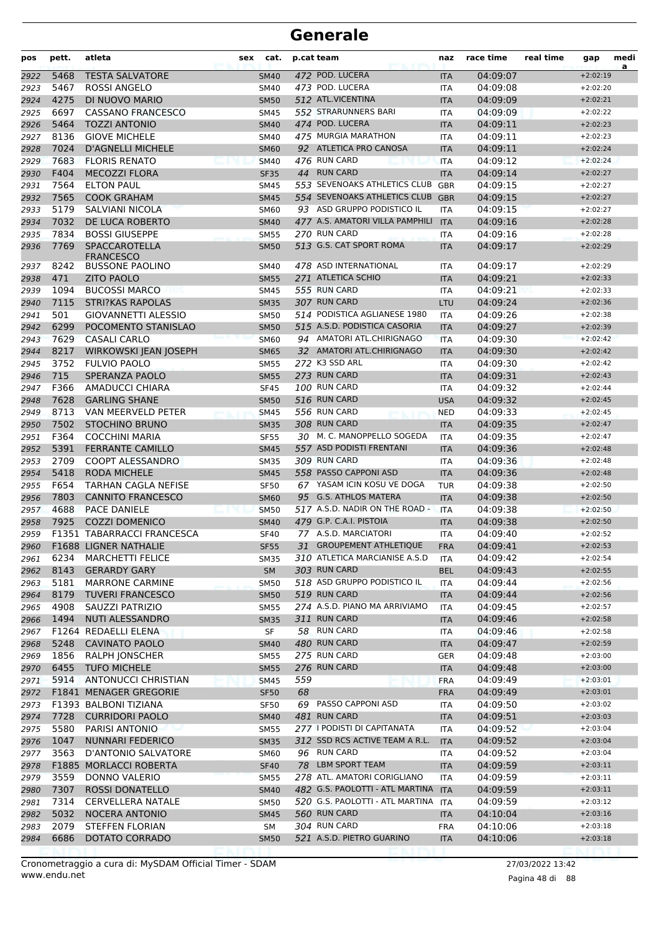| pos          | pett.        | atleta                                          | sex | cat.              |     | p.cat team                          | naz                      | race time            | real time | gap                      | medi<br>a |
|--------------|--------------|-------------------------------------------------|-----|-------------------|-----|-------------------------------------|--------------------------|----------------------|-----------|--------------------------|-----------|
| 2922         | 5468         | <b>TESTA SALVATORE</b>                          |     | <b>SM40</b>       |     | 472 POD. LUCERA                     | <b>ITA</b>               | 04:09:07             |           | $+2:02:19$               |           |
| 2923         | 5467         | <b>ROSSI ANGELO</b>                             |     | <b>SM40</b>       |     | 473 POD. LUCERA                     | <b>ITA</b>               | 04:09:08             |           | $+2:02:20$               |           |
| 2924         | 4275         | DI NUOVO MARIO                                  |     | <b>SM50</b>       |     | 512 ATL.VICENTINA                   | <b>ITA</b>               | 04:09:09             |           | $+2:02:21$               |           |
| 2925         | 6697         | <b>CASSANO FRANCESCO</b>                        |     | <b>SM45</b>       |     | 552 STRARUNNERS BARI                | <b>ITA</b>               | 04:09:09             |           | $+2:02:22$               |           |
| 2926         | 5464         | <b>TOZZI ANTONIO</b>                            |     | <b>SM40</b>       |     | 474 POD. LUCERA                     | <b>ITA</b>               | 04:09:11             |           | $+2:02:23$               |           |
| 2927         | 8136         | <b>GIOVE MICHELE</b>                            |     | <b>SM40</b>       |     | 475 MURGIA MARATHON                 | <b>ITA</b>               | 04:09:11             |           | $+2:02:23$               |           |
| 2928         | 7024         | <b>D'AGNELLI MICHELE</b>                        |     | <b>SM60</b>       |     | 92 ATLETICA PRO CANOSA              | <b>ITA</b>               | 04:09:11             |           | $+2:02:24$               |           |
| 2929         | 7683         | <b>FLORIS RENATO</b>                            |     | <b>SM40</b>       |     | 476 RUN CARD                        | <b>ITA</b>               | 04:09:12             |           | $+2:02:24$               |           |
| 2930         | F404         | <b>MECOZZI FLORA</b>                            |     | <b>SF35</b>       |     | 44 RUN CARD                         | <b>ITA</b>               | 04:09:14             |           | $+2:02:27$               |           |
| 2931         | 7564         | <b>ELTON PAUL</b>                               |     | <b>SM45</b>       |     | 553 SEVENOAKS ATHLETICS CLUB        | <b>GBR</b>               | 04:09:15             |           | $+2:02:27$               |           |
| 2932         | 7565         | <b>COOK GRAHAM</b>                              |     | <b>SM45</b>       |     | 554 SEVENOAKS ATHLETICS CLUB        | <b>GBR</b>               | 04:09:15             |           | $+2:02:27$               |           |
| 2933         | 5179         | SALVIANI NICOLA                                 |     | <b>SM60</b>       |     | 93 ASD GRUPPO PODISTICO IL          | <b>ITA</b>               | 04:09:15             |           | $+2:02:27$               |           |
| 2934         | 7032         | DE LUCA ROBERTO                                 |     | <b>SM40</b>       |     | 477 A.S. AMATORI VILLA PAMPHILI     | <b>ITA</b>               | 04:09:16             |           | $+2:02:28$               |           |
| 2935         | 7834         | <b>BOSSI GIUSEPPE</b>                           |     | <b>SM55</b>       |     | 270 RUN CARD                        | ITA                      | 04:09:16             |           | $+2:02:28$               |           |
| 2936         | 7769         | SPACCAROTELLA<br><b>FRANCESCO</b>               |     | <b>SM50</b>       |     | 513 G.S. CAT SPORT ROMA             | <b>ITA</b>               | 04:09:17             |           | $+2:02:29$               |           |
| 2937         | 8242         | <b>BUSSONE PAOLINO</b>                          |     | <b>SM40</b>       |     | 478 ASD INTERNATIONAL               | ITA                      | 04:09:17             |           | $+2:02:29$               |           |
| 2938         | 471          | <b>ZITO PAOLO</b>                               |     | <b>SM55</b>       |     | 271 ATLETICA SCHIO                  | <b>ITA</b>               | 04:09:21             |           | $+2:02:33$               |           |
| 2939         | 1094         | <b>BUCOSSI MARCO</b>                            |     | <b>SM45</b>       |     | 555 RUN CARD                        | <b>ITA</b>               | 04:09:21             |           | $+2:02:33$               |           |
| 2940         | 7115         | <b>STRI?KAS RAPOLAS</b>                         |     | <b>SM35</b>       |     | 307 RUN CARD                        | LTU                      | 04:09:24             |           | $+2:02:36$               |           |
| 2941         | 501          | GIOVANNETTI ALESSIO                             |     | <b>SM50</b>       |     | 514 PODISTICA AGLIANESE 1980        | ITA                      | 04:09:26             |           | $+2:02:38$               |           |
| 2942         | 6299         | POCOMENTO STANISLAO                             |     | <b>SM50</b>       |     | 515 A.S.D. PODISTICA CASORIA        | <b>ITA</b>               | 04:09:27             |           | $+2:02:39$               |           |
| 2943         | 7629         | <b>CASALI CARLO</b>                             |     | <b>SM60</b>       |     | 94 AMATORI ATL.CHIRIGNAGO           | <b>ITA</b>               | 04:09:30             |           | $+2:02:42$               |           |
| 2944         | 8217         | WIRKOWSKI JEAN JOSEPH                           |     | <b>SM65</b>       |     | 32 AMATORI ATL.CHIRIGNAGO           | <b>ITA</b>               | 04:09:30             |           | $+2:02:42$               |           |
| 2945         | 3752         | <b>FULVIO PAOLO</b>                             |     | <b>SM55</b>       |     | 272 K3 SSD ARL                      | <b>ITA</b>               | 04:09:30             |           | $+2:02:42$               |           |
| 2946         | 715          | SPERANZA PAOLO                                  |     | <b>SM55</b>       |     | 273 RUN CARD                        | <b>ITA</b>               | 04:09:31             |           | $+2:02:43$               |           |
| 2947         | F366         | AMADUCCI CHIARA                                 |     | <b>SF45</b>       |     | 100 RUN CARD                        | <b>ITA</b>               | 04:09:32             |           | $+2:02:44$               |           |
| 2948         | 7628         | <b>GARLING SHANE</b>                            |     | <b>SM50</b>       |     | 516 RUN CARD                        | <b>USA</b>               | 04:09:32             |           | $+2:02:45$               |           |
| 2949         | 8713         | VAN MEERVELD PETER                              |     | <b>SM45</b>       |     | 556 RUN CARD                        | <b>NED</b>               | 04:09:33             |           | $+2:02:45$               |           |
| 2950         | 7502         | <b>STOCHINO BRUNO</b>                           |     | <b>SM35</b>       |     | 308 RUN CARD                        | <b>ITA</b>               | 04:09:35             |           | $+2:02:47$               |           |
| 2951         | F364         | <b>COCCHINI MARIA</b>                           |     | <b>SF55</b>       |     | 30 M. C. MANOPPELLO SOGEDA          | <b>ITA</b>               | 04:09:35             |           | $+2:02:47$               |           |
| 2952         | 5391         | <b>FERRANTE CAMILLO</b>                         |     | <b>SM45</b>       |     | 557 ASD PODISTI FRENTANI            | <b>ITA</b>               | 04:09:36             |           | $+2:02:48$               |           |
| 2953         | 2709         | COOPT ALESSANDRO                                |     | <b>SM35</b>       |     | 309 RUN CARD                        | <b>ITA</b>               | 04:09:36             |           | $+2:02:48$               |           |
| 2954         | 5418         | <b>RODA MICHELE</b>                             |     | <b>SM45</b>       |     | 558 PASSO CAPPONI ASD               | <b>ITA</b>               | 04:09:36             |           | $+2:02:48$               |           |
| 2955         | F654         | TARHAN CAGLA NEFISE                             |     | <b>SF50</b>       |     | 67 YASAM ICIN KOSU VE DOGA          | <b>TUR</b>               | 04:09:38             |           | $+2:02:50$               |           |
| 2956         | 7803         | <b>CANNITO FRANCESCO</b>                        |     | <b>SM60</b>       |     | 95 G.S. ATHLOS MATERA               | <b>ITA</b>               | 04:09:38             |           | $+2:02:50$               |           |
| 2957         | 4688         | PACE DANIELE                                    |     | <b>SM50</b>       |     | 517 A.S.D. NADIR ON THE ROAD -      | <b>ITA</b>               | 04:09:38             |           | $+2:02:50$               |           |
| 2958         | 7925         | <b>COZZI DOMENICO</b>                           |     | <b>SM40</b>       |     | 479 G.P. C.A.I. PISTOIA             | <b>ITA</b>               | 04:09:38             |           | $+2:02:50$               |           |
| 2959         |              | F1351 TABARRACCI FRANCESCA                      |     | <b>SF40</b>       |     | 77 A.S.D. MARCIATORI                | <b>ITA</b>               | 04:09:40             |           | $+2:02:52$               |           |
| 2960         |              | F1688 LIGNER NATHALIE                           |     | <b>SF55</b>       |     | 31 GROUPEMENT ATHLETIQUE            | <b>FRA</b>               | 04:09:41             |           | $+2:02:53$               |           |
| 2961         | 6234         | <b>MARCHETTI FELICE</b>                         |     | SM35              |     | 310 ATLETICA MARCIANISE A.S.D       | ITA                      | 04:09:42             |           | $+2:02:54$               |           |
| 2962         | 8143         | <b>GERARDY GARY</b>                             |     | <b>SM</b>         |     | 303 RUN CARD                        | <b>BEL</b>               | 04:09:43             |           | $+2:02:55$               |           |
| 2963         | 5181         | <b>MARRONE CARMINE</b>                          |     | <b>SM50</b>       |     | 518 ASD GRUPPO PODISTICO IL         | ITA                      | 04:09:44             |           | $+2:02:56$               |           |
| 2964         | 8179         | <b>TUVERI FRANCESCO</b>                         |     | <b>SM50</b>       |     | 519 RUN CARD                        | <b>ITA</b>               | 04:09:44             |           | $+2:02:56$               |           |
| 2965         | 4908         | SAUZZI PATRIZIO                                 |     | <b>SM55</b>       |     | 274 A.S.D. PIANO MA ARRIVIAMO       | ITA                      | 04:09:45             |           | $+2:02:57$               |           |
| 2966         | 1494         | NUTI ALESSANDRO                                 |     | <b>SM35</b>       |     | 311 RUN CARD                        | <b>ITA</b>               | 04:09:46             |           | $+2:02:58$               |           |
| 2967         |              | F1264 REDAELLI ELENA                            |     | SF                |     | 58 RUN CARD                         | ITA                      | 04:09:46             |           | $+2:02:58$               |           |
| 2968         | 5248         | <b>CAVINATO PAOLO</b>                           |     | <b>SM40</b>       |     | 480 RUN CARD                        | <b>ITA</b>               | 04:09:47             |           | $+2:02:59$               |           |
| 2969         | 1856         | <b>RALPH JONSCHER</b>                           |     | <b>SM55</b>       |     | 275 RUN CARD                        | <b>GER</b>               | 04:09:48             |           | $+2:03:00$               |           |
| 2970         | 6455         | <b>TUFO MICHELE</b>                             |     | <b>SM55</b>       |     | 276 RUN CARD                        | <b>ITA</b>               | 04:09:48             |           | $+2:03:00$               |           |
| 2971         |              | 5914 ANTONUCCI CHRISTIAN                        |     | <b>SM45</b>       | 559 |                                     | <b>FRA</b>               | 04:09:49             |           | $+2:03:01$               |           |
| 2972         |              | F1841 MENAGER GREGORIE                          |     | <b>SF50</b>       | 68  |                                     | <b>FRA</b>               | 04:09:49             |           | $+2:03:01$               |           |
| 2973         |              | F1393 BALBONI TIZIANA                           |     | SF50              |     | 69 PASSO CAPPONI ASD                | ITA                      | 04:09:50             |           | $+2:03:02$               |           |
| 2974         | 7728         | <b>CURRIDORI PAOLO</b>                          |     | <b>SM40</b>       |     | 481 RUN CARD                        | <b>ITA</b>               | 04:09:51             |           | $+2:03:03$               |           |
| 2975         | 5580         | PARISI ANTONIO                                  |     | <b>SM55</b>       |     | 277 I PODISTI DI CAPITANATA         | ITA                      | 04:09:52             |           | $+2:03:04$               |           |
| 2976         | 1047         | <b>NUNNARI FEDERICO</b>                         |     | <b>SM35</b>       |     | 312 SSD RCS ACTIVE TEAM A R.L.      | <b>ITA</b>               | 04:09:52             |           | $+2:03:04$               |           |
| 2977         | 3563         | D'ANTONIO SALVATORE                             |     | <b>SM60</b>       |     | 96 RUN CARD                         | ITA                      | 04:09:52             |           | $+2:03:04$               |           |
|              |              | F1885 MORLACCI ROBERTA                          |     | <b>SF40</b>       |     | 78 LBM SPORT TEAM                   | <b>ITA</b>               | 04:09:59             |           | $+2:03:11$               |           |
| 2978         | 3559         | DONNO VALERIO                                   |     |                   |     | 278 ATL. AMATORI CORIGLIANO         |                          |                      |           | $+2:03:11$               |           |
| 2979         | 7307         | <b>ROSSI DONATELLO</b>                          |     | <b>SM55</b>       |     | 482 G.S. PAOLOTTI - ATL MARTINA ITA | ITA                      | 04:09:59<br>04:09:59 |           | $+2:03:11$               |           |
| 2980         | 7314         | <b>CERVELLERA NATALE</b>                        |     | <b>SM40</b>       |     | 520 G.S. PAOLOTTI - ATL MARTINA     | <b>ITA</b>               |                      |           | $+2:03:12$               |           |
| 2981         |              |                                                 |     | <b>SM50</b>       |     | 560 RUN CARD                        |                          | 04:09:59             |           |                          |           |
| 2982         | 5032<br>2079 | <b>NOCERA ANTONIO</b><br><b>STEFFEN FLORIAN</b> |     | <b>SM45</b>       |     | 304 RUN CARD                        | <b>ITA</b>               | 04:10:04             |           | $+2:03:16$<br>$+2:03:18$ |           |
| 2983<br>2984 | 6686         | DOTATO CORRADO                                  |     | SM<br><b>SM50</b> |     | 521 A.S.D. PIETRO GUARINO           | <b>FRA</b><br><b>ITA</b> | 04:10:06<br>04:10:06 |           | $+2:03:18$               |           |
|              |              |                                                 |     |                   |     |                                     |                          |                      |           |                          |           |

Pagina 48 di 88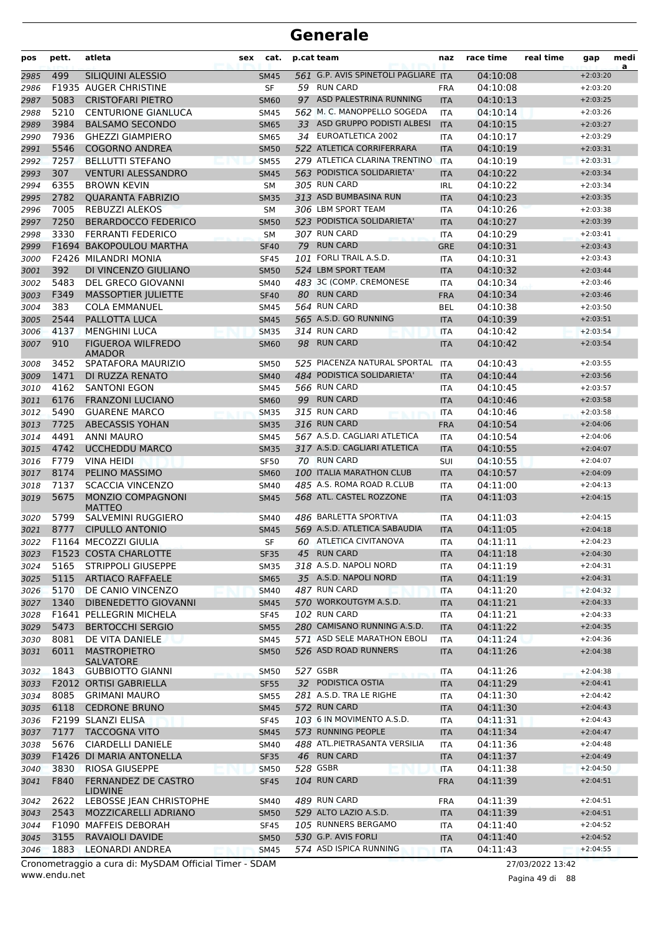| pos  | pett. | atleta                                                 | sex | cat.        | p.cat team                           | naz        | race time | real time        | gap        | medi<br>a |
|------|-------|--------------------------------------------------------|-----|-------------|--------------------------------------|------------|-----------|------------------|------------|-----------|
| 2985 | 499   | SILIQUINI ALESSIO                                      |     | <b>SM45</b> | 561 G.P. AVIS SPINETOLI PAGLIARE ITA |            | 04:10:08  |                  | $+2:03:20$ |           |
| 2986 |       | <b>F1935 AUGER CHRISTINE</b>                           |     | SF          | 59 RUN CARD                          | <b>FRA</b> | 04:10:08  |                  | $+2:03:20$ |           |
| 2987 | 5083  | <b>CRISTOFARI PIETRO</b>                               |     | <b>SM60</b> | 97 ASD PALESTRINA RUNNING            | <b>ITA</b> | 04:10:13  |                  | $+2:03:25$ |           |
| 2988 | 5210  | <b>CENTURIONE GIANLUCA</b>                             |     | <b>SM45</b> | 562 M. C. MANOPPELLO SOGEDA          | <b>ITA</b> | 04:10:14  |                  | $+2:03:26$ |           |
| 2989 | 3984  | <b>BALSAMO SECONDO</b>                                 |     | <b>SM65</b> | 33 ASD GRUPPO PODISTI ALBESI         | <b>ITA</b> | 04:10:15  |                  | $+2:03:27$ |           |
| 2990 | 7936  | <b>GHEZZI GIAMPIERO</b>                                |     | <b>SM65</b> | 34 EUROATLETICA 2002                 | <b>ITA</b> | 04:10:17  |                  | $+2:03:29$ |           |
| 2991 | 5546  | <b>COGORNO ANDREA</b>                                  |     | <b>SM50</b> | 522 ATLETICA CORRIFERRARA            | <b>ITA</b> | 04:10:19  |                  | $+2:03:31$ |           |
| 2992 | 7257  | <b>BELLUTTI STEFANO</b>                                |     | <b>SM55</b> | 279 ATLETICA CLARINA TRENTINO        | <b>ITA</b> | 04:10:19  |                  | $+2:03:31$ |           |
| 2993 | 307   | <b>VENTURI ALESSANDRO</b>                              |     | <b>SM45</b> | 563 PODISTICA SOLIDARIETA'           | <b>ITA</b> | 04:10:22  |                  | $+2:03:34$ |           |
| 2994 | 6355  | <b>BROWN KEVIN</b>                                     |     | SM          | 305 RUN CARD                         | <b>IRL</b> | 04:10:22  |                  | $+2:03:34$ |           |
| 2995 | 2782  | <b>QUARANTA FABRIZIO</b>                               |     | <b>SM35</b> | 313 ASD BUMBASINA RUN                | <b>ITA</b> | 04:10:23  |                  | $+2:03:35$ |           |
| 2996 | 7005  | <b>REBUZZI ALEKOS</b>                                  |     | <b>SM</b>   | 306 LBM SPORT TEAM                   | <b>ITA</b> | 04:10:26  |                  | $+2:03:38$ |           |
| 2997 | 7250  | <b>BERARDOCCO FEDERICO</b>                             |     | <b>SM50</b> | 523 PODISTICA SOLIDARIETA'           | <b>ITA</b> | 04:10:27  |                  | $+2:03:39$ |           |
| 2998 | 3330  | <b>FERRANTI FEDERICO</b>                               |     | <b>SM</b>   | 307 RUN CARD                         | <b>ITA</b> | 04:10:29  |                  | $+2:03:41$ |           |
| 2999 |       | F1694 BAKOPOULOU MARTHA                                |     | <b>SF40</b> | 79 RUN CARD                          | <b>GRE</b> | 04:10:31  |                  | $+2:03:43$ |           |
| 3000 |       | F2426 MILANDRI MONIA                                   |     | <b>SF45</b> | 101 FORLI TRAIL A.S.D.               | <b>ITA</b> | 04:10:31  |                  | $+2:03:43$ |           |
| 3001 | 392   | DI VINCENZO GIULIANO                                   |     | <b>SM50</b> | 524 LBM SPORT TEAM                   | <b>ITA</b> | 04:10:32  |                  | $+2:03:44$ |           |
| 3002 | 5483  | <b>DEL GRECO GIOVANNI</b>                              |     | <b>SM40</b> | 483 3C (COMP. CREMONESE              | <b>ITA</b> | 04:10:34  |                  | $+2:03:46$ |           |
| 3003 | F349  | <b>MASSOPTIER JULIETTE</b>                             |     | <b>SF40</b> | 80 RUN CARD                          | <b>FRA</b> | 04:10:34  |                  | $+2:03:46$ |           |
| 3004 | 383   | <b>COLA EMMANUEL</b>                                   |     | <b>SM45</b> | 564 RUN CARD                         | <b>BEL</b> | 04:10:38  |                  | $+2:03:50$ |           |
| 3005 | 2544  | PALLOTTA LUCA                                          |     | <b>SM45</b> | 565 A.S.D. GO RUNNING                | <b>ITA</b> | 04:10:39  |                  | $+2:03:51$ |           |
| 3006 | 4137  | <b>MENGHINI LUCA</b>                                   |     | <b>SM35</b> | 314 RUN CARD                         | <b>ITA</b> | 04:10:42  |                  | $+2:03:54$ |           |
| 3007 | 910   | <b>FIGUEROA WILFREDO</b><br><b>AMADOR</b>              |     | <b>SM60</b> | 98 RUN CARD                          | <b>ITA</b> | 04:10:42  |                  | $+2:03:54$ |           |
| 3008 | 3452  | SPATAFORA MAURIZIO                                     |     | <b>SM50</b> | 525 PIACENZA NATURAL SPORTAL         | <b>ITA</b> | 04:10:43  |                  | $+2:03:55$ |           |
| 3009 | 1471  | DI RUZZA RENATO                                        |     | <b>SM40</b> | 484 PODISTICA SOLIDARIETA'           | <b>ITA</b> | 04:10:44  |                  | $+2:03:56$ |           |
| 3010 | 4162  | <b>SANTONI EGON</b>                                    |     | <b>SM45</b> | 566 RUN CARD                         | <b>ITA</b> | 04:10:45  |                  | $+2:03:57$ |           |
| 3011 | 6176  | <b>FRANZONI LUCIANO</b>                                |     | <b>SM60</b> | 99 RUN CARD                          | <b>ITA</b> | 04:10:46  |                  | $+2:03:58$ |           |
| 3012 | 5490  | <b>GUARENE MARCO</b>                                   |     | <b>SM35</b> | 315 RUN CARD                         | <b>ITA</b> | 04:10:46  |                  | $+2:03:58$ |           |
| 3013 | 7725  | <b>ABECASSIS YOHAN</b>                                 |     | <b>SM35</b> | 316 RUN CARD                         | <b>FRA</b> | 04:10:54  |                  | $+2:04:06$ |           |
| 3014 | 4491  | <b>ANNI MAURO</b>                                      |     | <b>SM45</b> | 567 A.S.D. CAGLIARI ATLETICA         | <b>ITA</b> | 04:10:54  |                  | $+2:04:06$ |           |
| 3015 | 4742  | <b>UCCHEDDU MARCO</b>                                  |     | <b>SM35</b> | 317 A.S.D. CAGLIARI ATLETICA         | <b>ITA</b> | 04:10:55  |                  | $+2:04:07$ |           |
| 3016 | F779  | <b>VINA HEIDI</b>                                      |     | <b>SF50</b> | 70 RUN CARD                          | <b>SUI</b> | 04:10:55  |                  | $+2:04:07$ |           |
| 3017 | 8174  | PELINO MASSIMO                                         |     | <b>SM60</b> | 100 ITALIA MARATHON CLUB             | <b>ITA</b> | 04:10:57  |                  | $+2:04:09$ |           |
| 3018 | 7137  | <b>SCACCIA VINCENZO</b>                                |     | <b>SM40</b> | 485 A.S. ROMA ROAD R.CLUB            | <b>ITA</b> | 04:11:00  |                  | $+2:04:13$ |           |
| 3019 | 5675  | <b>MONZIO COMPAGNONI</b><br><b>MATTEO</b>              |     | <b>SM45</b> | 568 ATL. CASTEL ROZZONE              | <b>ITA</b> | 04:11:03  |                  | $+2:04:15$ |           |
| 3020 | 5799  | <b>SALVEMINI RUGGIERO</b>                              |     | <b>SM40</b> | 486 BARLETTA SPORTIVA                | <b>ITA</b> | 04:11:03  |                  | $+2:04:15$ |           |
| 3021 | 8777  | <b>CIPULLO ANTONIO</b>                                 |     | <b>SM45</b> | 569 A.S.D. ATLETICA SABAUDIA         | <b>ITA</b> | 04:11:05  |                  | $+2:04:18$ |           |
| 3022 |       | F1164 MECOZZI GIULIA                                   |     | SF          | 60 ATLETICA CIVITANOVA               | ITA        | 04:11:11  |                  | $+2:04:23$ |           |
| 3023 |       | F1523 COSTA CHARLOTTE                                  |     | <b>SF35</b> | 45 RUN CARD                          | <b>ITA</b> | 04:11:18  |                  | $+2:04:30$ |           |
| 3024 | 5165  | <b>STRIPPOLI GIUSEPPE</b>                              |     | <b>SM35</b> | 318 A.S.D. NAPOLI NORD               | <b>ITA</b> | 04:11:19  |                  | $+2:04:31$ |           |
| 3025 | 5115  | <b>ARTIACO RAFFAELE</b>                                |     | <b>SM65</b> | 35 A.S.D. NAPOLI NORD                | <b>ITA</b> | 04:11:19  |                  | $+2:04:31$ |           |
| 3026 | 5170  | DE CANIO VINCENZO                                      |     | <b>SM40</b> | 487 RUN CARD                         | <b>ITA</b> | 04:11:20  |                  | $+2:04:32$ |           |
| 3027 | 1340  | DIBENEDETTO GIOVANNI                                   |     | <b>SM45</b> | 570 WORKOUTGYM A.S.D.                | <b>ITA</b> | 04:11:21  |                  | $+2:04:33$ |           |
| 3028 |       | F1641 PELLEGRIN MICHELA                                |     | <b>SF45</b> | 102 RUN CARD                         | <b>ITA</b> | 04:11:21  |                  | $+2:04:33$ |           |
| 3029 | 5473  | <b>BERTOCCHI SERGIO</b>                                |     | <b>SM55</b> | 280 CAMISANO RUNNING A.S.D.          | <b>ITA</b> | 04:11:22  |                  | $+2:04:35$ |           |
| 3030 | 8081  | DE VITA DANIELE                                        |     | <b>SM45</b> | 571 ASD SELE MARATHON EBOLI          | <b>ITA</b> | 04:11:24  |                  | $+2:04:36$ |           |
| 3031 | 6011  | <b>MASTROPIETRO</b><br>SALVATORE                       |     | <b>SM50</b> | 526 ASD ROAD RUNNERS                 | <b>ITA</b> | 04:11:26  |                  | $+2:04:38$ |           |
| 3032 | 1843  | <b>GUBBIOTTO GIANNI</b>                                |     | <b>SM50</b> | 527 GSBR                             | <b>ITA</b> | 04:11:26  |                  | $+2:04:38$ |           |
| 3033 |       | F2012 ORTISI GABRIELLA                                 |     | <b>SF55</b> | 32 PODISTICA OSTIA                   | <b>ITA</b> | 04:11:29  |                  | $+2:04:41$ |           |
| 3034 | 8085  | <b>GRIMANI MAURO</b>                                   |     | <b>SM55</b> | 281 A.S.D. TRA LE RIGHE              | <b>ITA</b> | 04:11:30  |                  | $+2:04:42$ |           |
| 3035 | 6118  | <b>CEDRONE BRUNO</b>                                   |     | <b>SM45</b> | 572 RUN CARD                         | <b>ITA</b> | 04:11:30  |                  | $+2:04:43$ |           |
| 3036 |       | F2199 SLANZI ELISA                                     |     | <b>SF45</b> | 103 6 IN MOVIMENTO A.S.D.            | <b>ITA</b> | 04:11:31  |                  | $+2:04:43$ |           |
| 3037 | 7177  | <b>TACCOGNA VITO</b>                                   |     | <b>SM45</b> | 573 RUNNING PEOPLE                   | <b>ITA</b> | 04:11:34  |                  | $+2:04:47$ |           |
| 3038 | 5676  | <b>CIARDELLI DANIELE</b>                               |     | SM40        | 488 ATL.PIETRASANTA VERSILIA         | <b>ITA</b> | 04:11:36  |                  | $+2:04:48$ |           |
| 3039 |       | F1426 DI MARIA ANTONELLA                               |     | <b>SF35</b> | 46 RUN CARD                          | <b>ITA</b> | 04:11:37  |                  | $+2:04:49$ |           |
| 3040 | 3830  | <b>RIOSA GIUSEPPE</b>                                  |     | <b>SM50</b> | 528 GSBR                             | ITA        | 04:11:38  |                  | $+2:04:50$ |           |
| 3041 | F840  | FERNANDEZ DE CASTRO                                    |     | <b>SF45</b> | 104 RUN CARD                         | <b>FRA</b> | 04:11:39  |                  | $+2:04:51$ |           |
| 3042 | 2622  | <b>LIDWINE</b><br>LEBOSSE JEAN CHRISTOPHE              |     | SM40        | 489 RUN CARD                         | <b>FRA</b> | 04:11:39  |                  | $+2:04:51$ |           |
| 3043 | 2543  | MOZZICARELLI ADRIANO                                   |     | <b>SM50</b> | 529 ALTO LAZIO A.S.D.                | <b>ITA</b> | 04:11:39  |                  | $+2:04:51$ |           |
| 3044 |       | F1090 MAFFEIS DEBORAH                                  |     | <b>SF45</b> | 105 RUNNERS BERGAMO                  | <b>ITA</b> | 04:11:40  |                  | $+2:04:52$ |           |
| 3045 | 3155  | <b>RAVAIOLI DAVIDE</b>                                 |     | <b>SM50</b> | 530 G.P. AVIS FORLI                  | <b>ITA</b> | 04:11:40  |                  | $+2:04:52$ |           |
| 3046 | 1883  | LEONARDI ANDREA                                        |     | <b>SM45</b> | 574 ASD ISPICA RUNNING               | <b>ITA</b> | 04:11:43  |                  | $+2:04:55$ |           |
|      |       | Cronometraggio a cura di: MySDAM Official Timer - SDAM |     |             |                                      |            |           | 27/03/2022 13:42 |            |           |

www.endu.net

Pagina 49 di 88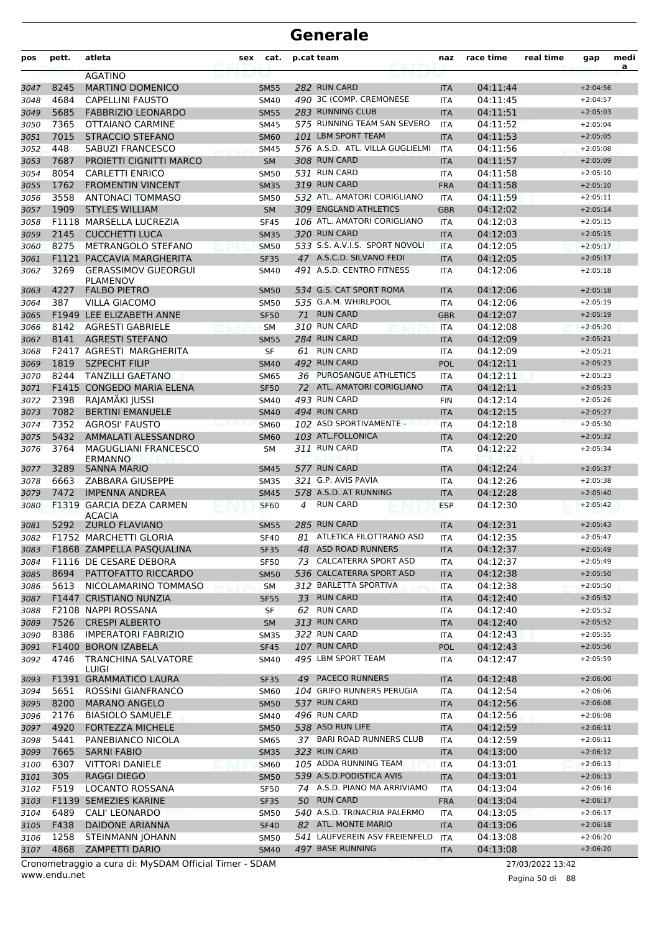| pos          | pett.        | atleta                                            | sex | cat.                       |    | p.cat team                                      | naz                      | race time            | real time | gap                      | medi<br>a |
|--------------|--------------|---------------------------------------------------|-----|----------------------------|----|-------------------------------------------------|--------------------------|----------------------|-----------|--------------------------|-----------|
|              |              | <b>AGATINO</b>                                    |     |                            |    |                                                 |                          |                      |           |                          |           |
| 3047         | 8245         | <b>MARTINO DOMENICO</b>                           |     | <b>SM55</b>                |    | 282 RUN CARD                                    | <b>ITA</b>               | 04:11:44             |           | $+2:04:56$               |           |
| 3048         | 4684         | <b>CAPELLINI FAUSTO</b>                           |     | <b>SM40</b>                |    | 490 3C (COMP. CREMONESE                         | <b>ITA</b>               | 04:11:45             |           | $+2:04:57$               |           |
| 3049         | 5685         | <b>FABBRIZIO LEONARDO</b>                         |     | <b>SM55</b>                |    | 283 RUNNING CLUB<br>575 RUNNING TEAM SAN SEVERO | <b>ITA</b>               | 04:11:51             |           | $+2:05:03$               |           |
| 3050         | 7365<br>7015 | OTTAIANO CARMINE                                  |     | <b>SM45</b>                |    | 101 LBM SPORT TEAM                              | <b>ITA</b>               | 04:11:52             |           | $+2:05:04$               |           |
| 3051         |              | STRACCIO STEFANO                                  |     | <b>SM60</b>                |    | 576 A.S.D. ATL. VILLA GUGLIELMI                 | <b>ITA</b>               | 04:11:53             |           | $+2:05:05$<br>$+2:05:08$ |           |
| 3052         | 448<br>7687  | SABUZI FRANCESCO                                  |     | <b>SM45</b>                |    | 308 RUN CARD                                    | <b>ITA</b>               | 04:11:56             |           |                          |           |
| 3053<br>3054 | 8054         | <b>PROJETTI CIGNITTI MARCO</b><br>CARLETTI ENRICO |     | <b>SM</b><br><b>SM50</b>   |    | 531 RUN CARD                                    | <b>ITA</b><br><b>ITA</b> | 04:11:57<br>04:11:58 |           | $+2:05:09$<br>$+2:05:10$ |           |
| 3055         | 1762         | <b>FROMENTIN VINCENT</b>                          |     |                            |    | 319 RUN CARD                                    | <b>FRA</b>               | 04:11:58             |           | $+2:05:10$               |           |
| 3056         | 3558         | <b>ANTONACI TOMMASO</b>                           |     | <b>SM35</b><br><b>SM50</b> |    | 532 ATL. AMATORI CORIGLIANO                     | ITA                      | 04:11:59             |           | $+2:05:11$               |           |
| 3057         | 1909         | <b>STYLES WILLIAM</b>                             |     | <b>SM</b>                  |    | 309 ENGLAND ATHLETICS                           | <b>GBR</b>               | 04:12:02             |           | $+2:05:14$               |           |
| 3058         |              | F1118 MARSELLA LUCREZIA                           |     | <b>SF45</b>                |    | 106 ATL. AMATORI CORIGLIANO                     | <b>ITA</b>               | 04:12:03             |           | $+2:05:15$               |           |
| 3059         | 2145         | <b>CUCCHETTI LUCA</b>                             |     | <b>SM35</b>                |    | 320 RUN CARD                                    | <b>ITA</b>               | 04:12:03             |           | $+2:05:15$               |           |
| 3060         | 8275         | METRANGOLO STEFANO                                |     | <b>SM50</b>                |    | 533 S.S. A.V.I.S. SPORT NOVOLI                  | <b>ITA</b>               | 04:12:05             |           | $+2:05:17$               |           |
| 3061         |              | F1121 PACCAVIA MARGHERITA                         |     | <b>SF35</b>                |    | 47 A.S.C.D. SILVANO FEDI                        | <b>ITA</b>               | 04:12:05             |           | $+2:05:17$               |           |
| 3062         | 3269         | <b>GERASSIMOV GUEORGUI</b><br><b>PLAMENOV</b>     |     | <b>SM40</b>                |    | 491 A.S.D. CENTRO FITNESS                       | <b>ITA</b>               | 04:12:06             |           | $+2:05:18$               |           |
| 3063         | 4227         | <b>FALBO PIETRO</b>                               |     | <b>SM50</b>                |    | 534 G.S. CAT SPORT ROMA                         | <b>ITA</b>               | 04:12:06             |           | $+2:05:18$               |           |
| 3064         | 387          | <b>VILLA GIACOMO</b>                              |     | <b>SM50</b>                |    | 535 G.A.M. WHIRLPOOL                            | <b>ITA</b>               | 04:12:06             |           | $+2:05:19$               |           |
| 3065         |              | F1949 LEE ELIZABETH ANNE                          |     | <b>SF50</b>                | 71 | <b>RUN CARD</b>                                 | <b>GBR</b>               | 04:12:07             |           | $+2:05:19$               |           |
| 3066         | 8142         | <b>AGRESTI GABRIELE</b>                           |     | <b>SM</b>                  |    | 310 RUN CARD                                    | ITA                      | 04:12:08             |           | $+2:05:20$               |           |
| 3067         | 8141         | <b>AGRESTI STEFANO</b>                            |     | <b>SM55</b>                |    | 284 RUN CARD                                    | <b>ITA</b>               | 04:12:09             |           | $+2:05:21$               |           |
| 3068         |              | F2417 AGRESTI MARGHERITA                          |     | SF                         | 61 | <b>RUN CARD</b>                                 | <b>ITA</b>               | 04:12:09             |           | $+2:05:21$               |           |
| 3069         | 1819         | <b>SZPECHT FILIP</b>                              |     | <b>SM40</b>                |    | 492 RUN CARD                                    | <b>POL</b>               | 04:12:11             |           | $+2:05:23$               |           |
| 3070         | 8244         | <b>TANZILLI GAETANO</b>                           |     | <b>SM65</b>                |    | 36 PUROSANGUE ATHLETICS                         | <b>ITA</b>               | 04:12:11             |           | $+2:05:23$               |           |
| 3071         |              | F1415 CONGEDO MARIA ELENA                         |     | <b>SF50</b>                |    | 72 ATL. AMATORI CORIGLIANO                      | <b>ITA</b>               | 04:12:11             |           | $+2:05:23$               |           |
| 3072         | 2398         | RAJAMÄKI JUSSI                                    |     | <b>SM40</b>                |    | 493 RUN CARD                                    | <b>FIN</b>               | 04:12:14             |           | $+2:05:26$               |           |
| 3073         | 7082         | <b>BERTINI EMANUELE</b>                           |     | <b>SM40</b>                |    | 494 RUN CARD                                    | <b>ITA</b>               | 04:12:15             |           | $+2:05:27$               |           |
| 3074         | 7352         | <b>AGROSI' FAUSTO</b>                             |     | <b>SM60</b>                |    | 102 ASD SPORTIVAMENTE -                         | <b>ITA</b>               | 04:12:18             |           | $+2:05:30$               |           |
| 3075         | 5432         | AMMALATI ALESSANDRO                               |     | <b>SM60</b>                |    | 103 ATL.FOLLONICA                               | <b>ITA</b>               | 04:12:20             |           | $+2:05:32$               |           |
| 3076         | 3764         | <b>MAGUGLIANI FRANCESCO</b><br><b>ERMANNO</b>     |     | SM                         |    | 311 RUN CARD                                    | <b>ITA</b>               | 04:12:22             |           | $+2:05:34$               |           |
| 3077         | 3289         | <b>SANNA MARIO</b>                                |     | <b>SM45</b>                |    | 577 RUN CARD                                    | <b>ITA</b>               | 04:12:24             |           | $+2:05:37$               |           |
| 3078         | 6663         | ZABBARA GIUSEPPE                                  |     | <b>SM35</b>                |    | 321 G.P. AVIS PAVIA                             | <b>ITA</b>               | 04:12:26             |           | $+2:05:38$               |           |
| 3079         | 7472         | <b>IMPENNA ANDREA</b>                             |     | <b>SM45</b>                |    | 578 A.S.D. AT RUNNING                           | <b>ITA</b>               | 04:12:28             |           | $+2:05:40$               |           |
| 3080         |              | F1319 GARCIA DEZA CARMEN<br><b>ACACIA</b>         |     | <b>SF60</b>                | 4  | <b>RUN CARD</b>                                 | <b>ESP</b>               | 04:12:30             |           | $+2:05:42$               |           |
| 3081         | 5292         | <b>ZURLO FLAVIANO</b>                             |     | <b>SM55</b>                |    | 285 RUN CARD                                    | <b>ITA</b>               | 04:12:31             |           | $+2:05:43$               |           |
| 3082         |              | <b>F1752 MARCHETTI GLORIA</b>                     |     | <b>SF40</b>                |    | 81 ATLETICA FILOTTRANO ASD                      | <b>ITA</b>               | 04:12:35             |           | $+2:05:47$               |           |
| 3083         |              | F1868 ZAMPELLA PASQUALINA                         |     | <b>SF35</b>                |    | 48 ASD ROAD RUNNERS                             | <b>ITA</b>               | 04:12:37             |           | $+2:05:49$               |           |
| 3084         |              | F1116 DE CESARE DEBORA                            |     | <b>SF50</b>                |    | 73 CALCATERRA SPORT ASD                         | ITA                      | 04:12:37             |           | $+2:05:49$               |           |
| 3085         | 8694         | PATTOFATTO RICCARDO                               |     | <b>SM50</b>                |    | 536 CALCATERRA SPORT ASD                        | <b>ITA</b>               | 04:12:38             |           | $+2:05:50$               |           |
| 3086         | 5613         | NICOLAMARINO TOMMASO                              |     | SM                         |    | 312 BARLETTA SPORTIVA                           | <b>ITA</b>               | 04:12:38             |           | $+2:05:50$               |           |
| 3087         |              | F1447 CRISTIANO NUNZIA                            |     | <b>SF55</b>                |    | 33 RUN CARD                                     | <b>ITA</b>               | 04:12:40             |           | $+2:05:52$               |           |
| 3088         |              | F2108 NAPPI ROSSANA                               |     | SF                         |    | 62 RUN CARD                                     | ITA                      | 04:12:40             |           | $+2:05:52$               |           |
| 3089         | 7526         | <b>CRESPI ALBERTO</b>                             |     | <b>SM</b>                  |    | 313 RUN CARD                                    | <b>ITA</b>               | 04:12:40             |           | $+2:05:52$               |           |
| 3090         | 8386         | <b>IMPERATORI FABRIZIO</b>                        |     | <b>SM35</b>                |    | 322 RUN CARD                                    | ITA                      | 04:12:43             |           | $+2:05:55$               |           |
| 3091<br>3092 | 4746         | F1400 BORON IZABELA<br><b>TRANCHINA SALVATORE</b> |     | <b>SF45</b><br>SM40        |    | 107 RUN CARD<br>495 LBM SPORT TEAM              | <b>POL</b><br>ITA        | 04:12:43<br>04:12:47 |           | $+2:05:56$<br>$+2:05:59$ |           |
| 3093         |              | LUIGI<br>F1391 GRAMMATICO LAURA                   |     | <b>SF35</b>                |    | 49 PACECO RUNNERS                               | <b>ITA</b>               | 04:12:48             |           | $+2:06:00$               |           |
| 3094         | 5651         | ROSSINI GIANFRANCO                                |     | <b>SM60</b>                |    | 104 GRIFO RUNNERS PERUGIA                       | <b>ITA</b>               | 04:12:54             |           | $+2:06:06$               |           |
| 3095         | 8200         | <b>MARANO ANGELO</b>                              |     | <b>SM50</b>                |    | 537 RUN CARD                                    | <b>ITA</b>               | 04:12:56             |           | $+2:06:08$               |           |
| 3096         | 2176         | <b>BIASIOLO SAMUELE</b>                           |     | SM40                       |    | 496 RUN CARD                                    | <b>ITA</b>               | 04:12:56             |           | $+2:06:08$               |           |
| 3097         | 4920         | <b>FORTEZZA MICHELE</b>                           |     | <b>SM50</b>                |    | 538 ASD RUN LIFE                                | <b>ITA</b>               | 04:12:59             |           | $+2:06:11$               |           |
| 3098         | 5441         | PANEBIANCO NICOLA                                 |     | <b>SM65</b>                |    | 37 BARI ROAD RUNNERS CLUB                       | ITA                      | 04:12:59             |           | $+2:06:11$               |           |
| 3099         | 7665         | <b>SARNI FABIO</b>                                |     | <b>SM35</b>                |    | 323 RUN CARD                                    | <b>ITA</b>               | 04:13:00             |           | $+2:06:12$               |           |
| 3100         | 6307         | <b>VITTORI DANIELE</b>                            |     | <b>SM60</b>                |    | 105 ADDA RUNNING TEAM                           | ITA                      | 04:13:01             |           | $+2:06:13$               |           |
| 3101         | 305          | <b>RAGGI DIEGO</b>                                |     | <b>SM50</b>                |    | 539 A.S.D. PODISTICA AVIS                       | <b>ITA</b>               | 04:13:01             |           | $+2:06:13$               |           |
| 3102         | F519         | LOCANTO ROSSANA                                   |     | <b>SF50</b>                |    | 74 A.S.D. PIANO MA ARRIVIAMO                    | <b>ITA</b>               | 04:13:04             |           | $+2:06:16$               |           |
| 3103         |              | F1139 SEMEZIES KARINE                             |     | <b>SF35</b>                |    | 50 RUN CARD                                     | <b>FRA</b>               | 04:13:04             |           | $+2:06:17$               |           |
| 3104         | 6489         | CALI' LEONARDO                                    |     | <b>SM50</b>                |    | 540 A.S.D. TRINACRIA PALERMO                    | <b>ITA</b>               | 04:13:05             |           | $+2:06:17$               |           |
|              |              | <b>DAIDONE ARIANNA</b>                            |     | <b>SF40</b>                |    | 82 ATL. MONTE MARIO                             | <b>ITA</b>               | 04:13:06             |           | $+2:06:18$               |           |
|              |              |                                                   |     |                            |    |                                                 |                          |                      |           |                          |           |
| 3105<br>3106 | F438<br>1258 | STEINMANN JOHANN                                  |     | <b>SM50</b>                |    | 541 LAUFVEREIN ASV FREIENFELD                   | ITA                      | 04:13:08             |           | $+2:06:20$               |           |

www.endu.net Cronometraggio a cura di: MySDAM Official Timer - SDAM 27/03/2022 13:42

Pagina 50 di 88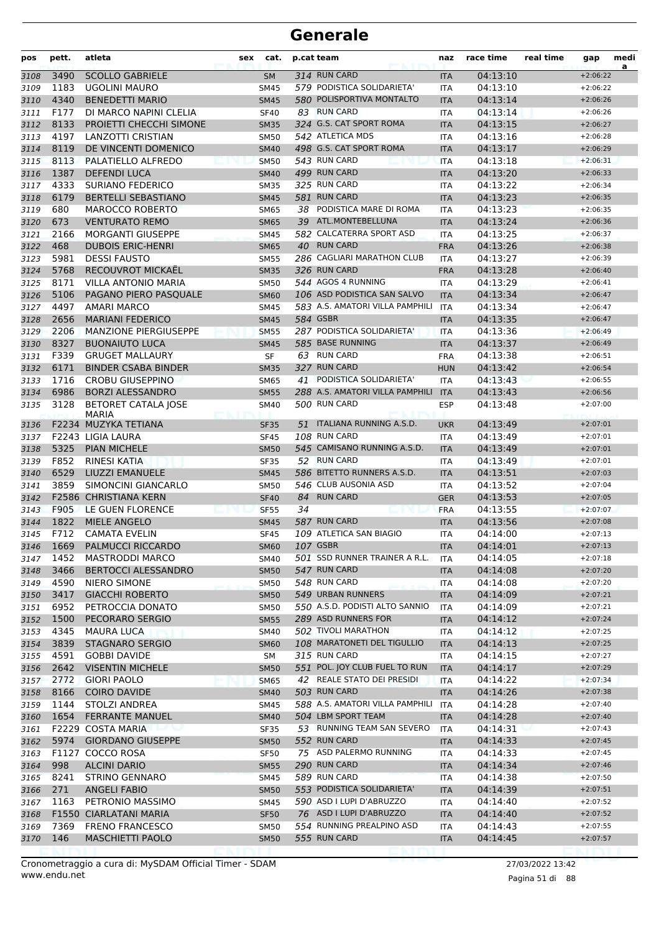| pos  | pett. | atleta                              | sex | cat.        |    | p.cat team                      | naz        | race time | real time | gap        | medi<br>a |
|------|-------|-------------------------------------|-----|-------------|----|---------------------------------|------------|-----------|-----------|------------|-----------|
| 3108 | 3490  | <b>SCOLLO GABRIELE</b>              |     | <b>SM</b>   |    | 314 RUN CARD                    | <b>ITA</b> | 04:13:10  |           | $+2:06:22$ |           |
| 3109 | 1183  | <b>UGOLINI MAURO</b>                |     | SM45        |    | 579 PODISTICA SOLIDARIETA'      | <b>ITA</b> | 04:13:10  |           | $+2:06:22$ |           |
| 3110 | 4340  | <b>BENEDETTI MARIO</b>              |     | <b>SM45</b> |    | 580 POLISPORTIVA MONTALTO       | <b>ITA</b> | 04:13:14  |           | $+2:06:26$ |           |
| 3111 | F177  | DI MARCO NAPINI CLELIA              |     | <b>SF40</b> |    | 83 RUN CARD                     | <b>ITA</b> | 04:13:14  |           | $+2:06:26$ |           |
| 3112 | 8133  | PROIETTI CHECCHI SIMONE             |     | <b>SM35</b> |    | 324 G.S. CAT SPORT ROMA         | <b>ITA</b> | 04:13:15  |           | $+2:06:27$ |           |
| 3113 | 4197  | LANZOTTI CRISTIAN                   |     | <b>SM50</b> |    | 542 ATLETICA MDS                | ITA        | 04:13:16  |           | $+2:06:28$ |           |
| 3114 | 8119  | DE VINCENTI DOMENICO                |     | <b>SM40</b> |    | 498 G.S. CAT SPORT ROMA         | <b>ITA</b> | 04:13:17  |           | $+2:06:29$ |           |
| 3115 | 8113  | PALATIELLO ALFREDO                  |     | <b>SM50</b> |    | 543 RUN CARD                    | <b>ITA</b> | 04:13:18  |           | $+2:06:31$ |           |
| 3116 | 1387  | <b>DEFENDI LUCA</b>                 |     | <b>SM40</b> |    | 499 RUN CARD                    | <b>ITA</b> | 04:13:20  |           | $+2:06:33$ |           |
| 3117 | 4333  | <b>SURIANO FEDERICO</b>             |     | <b>SM35</b> |    | 325 RUN CARD                    | <b>ITA</b> | 04:13:22  |           | $+2:06:34$ |           |
| 3118 | 6179  | <b>BERTELLI SEBASTIANO</b>          |     | <b>SM45</b> |    | 581 RUN CARD                    | <b>ITA</b> | 04:13:23  |           | $+2:06:35$ |           |
| 3119 | 680   | <b>MAROCCO ROBERTO</b>              |     | <b>SM65</b> |    | 38 PODISTICA MARE DI ROMA       | ITA        | 04:13:23  |           | $+2:06:35$ |           |
| 3120 | 673   | <b>VENTURATO REMO</b>               |     | <b>SM65</b> |    | 39 ATL.MONTEBELLUNA             | <b>ITA</b> | 04:13:24  |           | $+2:06:36$ |           |
| 3121 | 2166  | <b>MORGANTI GIUSEPPE</b>            |     | <b>SM45</b> |    | 582 CALCATERRA SPORT ASD        | ITA        | 04:13:25  |           | $+2:06:37$ |           |
| 3122 | 468   | <b>DUBOIS ERIC-HENRI</b>            |     | <b>SM65</b> |    | 40 RUN CARD                     | <b>FRA</b> | 04:13:26  |           | $+2:06:38$ |           |
| 3123 | 5981  | <b>DESSI FAUSTO</b>                 |     | <b>SM55</b> |    | 286 CAGLIARI MARATHON CLUB      | ITA        | 04:13:27  |           | $+2:06:39$ |           |
| 3124 | 5768  | <b>RECOUVROT MICKAEL</b>            |     | <b>SM35</b> |    | 326 RUN CARD                    | <b>FRA</b> | 04:13:28  |           | $+2:06:40$ |           |
| 3125 | 8171  | VILLA ANTONIO MARIA                 |     | <b>SM50</b> |    | 544 AGOS 4 RUNNING              | ITA        | 04:13:29  |           | $+2:06:41$ |           |
| 3126 | 5106  | PAGANO PIERO PASQUALE               |     | <b>SM60</b> |    | 106 ASD PODISTICA SAN SALVO     | <b>ITA</b> | 04:13:34  |           | $+2:06:47$ |           |
| 3127 | 4497  | <b>AMARI MARCO</b>                  |     | SM45        |    | 583 A.S. AMATORI VILLA PAMPHILI | ITA        | 04:13:34  |           | $+2:06:47$ |           |
| 3128 | 2656  | <b>MARIANI FEDERICO</b>             |     | <b>SM45</b> |    | 584 GSBR                        | <b>ITA</b> | 04:13:35  |           | $+2:06:47$ |           |
| 3129 | 2206  | <b>MANZIONE PIERGIUSEPPE</b>        |     | <b>SM55</b> |    | 287 PODISTICA SOLIDARIETA'      | <b>ITA</b> | 04:13:36  |           | $+2:06:49$ |           |
| 3130 | 8327  | <b>BUONAIUTO LUCA</b>               |     | <b>SM45</b> |    | 585 BASE RUNNING                | <b>ITA</b> | 04:13:37  |           | $+2:06:49$ |           |
| 3131 | F339  | <b>GRUGET MALLAURY</b>              |     | <b>SF</b>   |    | 63 RUN CARD                     | <b>FRA</b> | 04:13:38  |           | $+2:06:51$ |           |
| 3132 | 6171  | <b>BINDER CSABA BINDER</b>          |     | <b>SM35</b> |    | 327 RUN CARD                    | <b>HUN</b> | 04:13:42  |           | $+2:06:54$ |           |
| 3133 | 1716  | <b>CROBU GIUSEPPINO</b>             |     | <b>SM65</b> |    | 41 PODISTICA SOLIDARIETA'       | ITA        | 04:13:43  |           | $+2:06:55$ |           |
| 3134 | 6986  | <b>BORZI ALESSANDRO</b>             |     | <b>SM55</b> |    | 288 A.S. AMATORI VILLA PAMPHILI | <b>ITA</b> | 04:13:43  |           | $+2:06:56$ |           |
| 3135 | 3128  | BETORET CATALA JOSE<br><b>MARIA</b> |     | SM40        |    | 500 RUN CARD                    | <b>ESP</b> | 04:13:48  |           | $+2:07:00$ |           |
| 3136 |       | F2234 MUZYKA TETIANA                |     | <b>SF35</b> | 51 | ITALIANA RUNNING A.S.D.         | <b>UKR</b> | 04:13:49  |           | $+2:07:01$ |           |
| 3137 |       | F2243 LIGIA LAURA                   |     | <b>SF45</b> |    | 108 RUN CARD                    | ITA        | 04:13:49  |           | $+2:07:01$ |           |
| 3138 | 5325  | <b>PIAN MICHELE</b>                 |     | <b>SM50</b> |    | 545 CAMISANO RUNNING A.S.D.     | <b>ITA</b> | 04:13:49  |           | $+2:07:01$ |           |
| 3139 | F852  | <b>RINESI KATIA</b>                 |     | <b>SF35</b> |    | 52 RUN CARD                     | ITA        | 04:13:49  |           | $+2:07:01$ |           |
| 3140 | 6529  | LIUZZI EMANUELE                     |     | <b>SM45</b> |    | 586 BITETTO RUNNERS A.S.D.      | <b>ITA</b> | 04:13:51  |           | $+2:07:03$ |           |
| 3141 | 3859  | SIMONCINI GIANCARLO                 |     | <b>SM50</b> |    | 546 CLUB AUSONIA ASD            | ITA        | 04:13:52  |           | $+2:07:04$ |           |
| 3142 |       | <b>F2586 CHRISTIANA KERN</b>        |     | <b>SF40</b> | 84 | <b>RUN CARD</b>                 | <b>GER</b> | 04:13:53  |           | $+2:07:05$ |           |
| 3143 | F905  | LE GUEN FLORENCE                    |     | <b>SF55</b> | 34 |                                 | <b>FRA</b> | 04:13:55  |           | $+2:07:07$ |           |
| 3144 | 1822  | <b>MIELE ANGELO</b>                 |     | <b>SM45</b> |    | 587 RUN CARD                    | <b>ITA</b> | 04:13:56  |           | $+2:07:08$ |           |
| 3145 | F712  | <b>CAMATA EVELIN</b>                |     | <b>SF45</b> |    | 109 ATLETICA SAN BIAGIO         | <b>ITA</b> | 04:14:00  |           | $+2:07:13$ |           |
| 3146 |       | 1669 PALMUCCI RICCARDO              |     | <b>SM60</b> |    | 107 GSBR                        | <b>ITA</b> | 04:14:01  |           | $+2:07:13$ |           |
| 3147 | 1452  | MASTRODDI MARCO                     |     | <b>SM40</b> |    | 501 SSD RUNNER TRAINER A R.L.   | <b>ITA</b> | 04:14:05  |           | $+2:07:18$ |           |
| 3148 | 3466  | <b>BERTOCCI ALESSANDRO</b>          |     | <b>SM50</b> |    | 547 RUN CARD                    | <b>ITA</b> | 04:14:08  |           | $+2:07:20$ |           |
| 3149 | 4590  | NIERO SIMONE                        |     | <b>SM50</b> |    | 548 RUN CARD                    | ITA        | 04:14:08  |           | $+2:07:20$ |           |
| 3150 | 3417  | <b>GIACCHI ROBERTO</b>              |     | <b>SM50</b> |    | 549 URBAN RUNNERS               | <b>ITA</b> | 04:14:09  |           | $+2:07:21$ |           |
| 3151 | 6952  | PETROCCIA DONATO                    |     | <b>SM50</b> |    | 550 A.S.D. PODISTI ALTO SANNIO  | ITA        | 04:14:09  |           | $+2:07:21$ |           |
| 3152 | 1500  | PECORARO SERGIO                     |     | <b>SM55</b> |    | 289 ASD RUNNERS FOR             | <b>ITA</b> | 04:14:12  |           | $+2:07:24$ |           |
| 3153 | 4345  | <b>MAURA LUCA</b>                   |     | <b>SM40</b> |    | 502 TIVOLI MARATHON             | ITA        | 04:14:12  |           | $+2:07:25$ |           |
| 3154 | 3839  | <b>STAGNARO SERGIO</b>              |     | <b>SM60</b> |    | 108 MARATONETI DEL TIGULLIO     | <b>ITA</b> | 04:14:13  |           | $+2:07:25$ |           |
| 3155 | 4591  | <b>GOBBI DAVIDE</b>                 |     | SM          |    | 315 RUN CARD                    | <b>ITA</b> | 04:14:15  |           | $+2:07:27$ |           |
| 3156 | 2642  | <b>VISENTIN MICHELE</b>             |     | <b>SM50</b> |    | 551 POL. JOY CLUB FUEL TO RUN   | <b>ITA</b> | 04:14:17  |           | $+2:07:29$ |           |
| 3157 | 2772  | <b>GIORI PAOLO</b>                  |     | <b>SM65</b> |    | 42 REALE STATO DEI PRESIDI      | <b>ITA</b> | 04:14:22  |           | $+2:07:34$ |           |
| 3158 | 8166  | <b>COIRO DAVIDE</b>                 |     | <b>SM40</b> |    | 503 RUN CARD                    | <b>ITA</b> | 04:14:26  |           | $+2:07:38$ |           |
| 3159 | 1144  | STOLZI ANDREA                       |     | SM45        |    | 588 A.S. AMATORI VILLA PAMPHILI | ITA        | 04:14:28  |           | $+2:07:40$ |           |
| 3160 | 1654  | <b>FERRANTE MANUEL</b>              |     | <b>SM40</b> |    | 504 LBM SPORT TEAM              | <b>ITA</b> | 04:14:28  |           | $+2:07:40$ |           |
| 3161 |       | F2229 COSTA MARIA                   |     | <b>SF35</b> |    | 53 RUNNING TEAM SAN SEVERO      | ITA        | 04:14:31  |           | $+2:07:43$ |           |
| 3162 | 5974  | <b>GIORDANO GIUSEPPE</b>            |     | <b>SM50</b> |    | 552 RUN CARD                    | <b>ITA</b> | 04:14:33  |           | $+2:07:45$ |           |
| 3163 |       | F1127 COCCO ROSA                    |     | <b>SF50</b> |    | 75 ASD PALERMO RUNNING          | ITA        | 04:14:33  |           | $+2:07:45$ |           |
| 3164 | 998   | <b>ALCINI DARIO</b>                 |     | <b>SM55</b> |    | 290 RUN CARD                    | <b>ITA</b> | 04:14:34  |           | $+2:07:46$ |           |
| 3165 | 8241  | <b>STRINO GENNARO</b>               |     | SM45        |    | 589 RUN CARD                    | ITA        | 04:14:38  |           | $+2:07:50$ |           |
| 3166 | 271   | <b>ANGELI FABIO</b>                 |     | <b>SM50</b> |    | 553 PODISTICA SOLIDARIETA'      | <b>ITA</b> | 04:14:39  |           | $+2:07:51$ |           |
| 3167 | 1163  | PETRONIO MASSIMO                    |     | SM45        |    | 590 ASD I LUPI D'ABRUZZO        | ITA        | 04:14:40  |           | $+2:07:52$ |           |
| 3168 |       | F1550 CIARLATANI MARIA              |     | <b>SF50</b> |    | 76 ASD I LUPI D'ABRUZZO         | <b>ITA</b> | 04:14:40  |           | $+2:07:52$ |           |
| 3169 | 7369  | <b>FRENO FRANCESCO</b>              |     | <b>SM50</b> |    | 554 RUNNING PREALPINO ASD       | ITA        | 04:14:43  |           | $+2:07:55$ |           |
| 3170 | 146   | <b>MASCHIETTI PAOLO</b>             |     | <b>SM50</b> |    | 555 RUN CARD                    | <b>ITA</b> | 04:14:45  |           | $+2:07:57$ |           |
|      |       |                                     |     |             |    |                                 |            |           |           |            |           |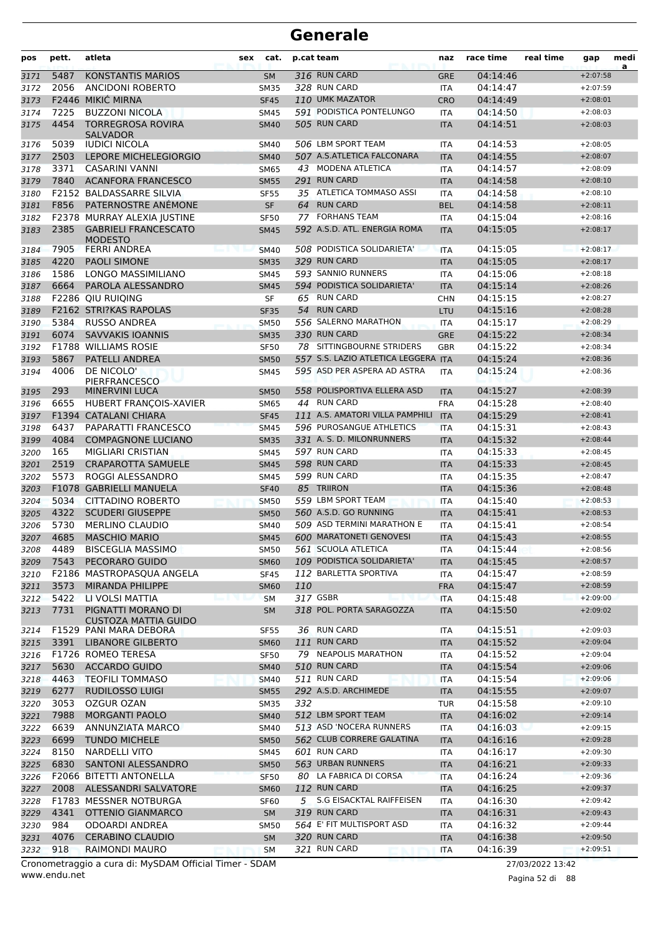| pos          | pett.       | atleta                                                | sex | cat.                       | p.cat team |                                           | naz                      | race time            | real time | gap                      | medi<br>a |
|--------------|-------------|-------------------------------------------------------|-----|----------------------------|------------|-------------------------------------------|--------------------------|----------------------|-----------|--------------------------|-----------|
| 3171         | 5487        | <b>KONSTANTIS MARIOS</b>                              |     | <b>SM</b>                  |            | 316 RUN CARD                              | <b>GRE</b>               | 04:14:46             |           | $+2:07:58$               |           |
| 3172         | 2056        | ANCIDONI ROBERTO                                      |     | <b>SM35</b>                |            | 328 RUN CARD                              | ITA                      | 04:14:47             |           | $+2:07:59$               |           |
| 3173         |             | F2446 MIKIĆ MIRNA                                     |     | <b>SF45</b>                |            | 110 UMK MAZATOR                           | <b>CRO</b>               | 04:14:49             |           | $+2:08:01$               |           |
| 3174         | 7225        | <b>BUZZONI NICOLA</b>                                 |     | <b>SM45</b>                |            | 591 PODISTICA PONTELUNGO                  | <b>ITA</b>               | 04:14:50             |           | $+2:08:03$               |           |
| 3175         | 4454        | <b>TORREGROSA ROVIRA</b><br><b>SALVADOR</b>           |     | <b>SM40</b>                |            | 505 RUN CARD                              | <b>ITA</b>               | 04:14:51             |           | $+2:08:03$               |           |
| 3176         | 5039        | <b>IUDICI NICOLA</b>                                  |     | <b>SM40</b>                |            | 506 LBM SPORT TEAM                        | <b>ITA</b>               | 04:14:53             |           | $+2:08:05$               |           |
| 3177         | 2503        | LEPORE MICHELEGIORGIO                                 |     | <b>SM40</b>                |            | 507 A.S.ATLETICA FALCONARA                | <b>ITA</b>               | 04:14:55             |           | $+2:08:07$               |           |
| 3178         | 3371        | <b>CASARINI VANNI</b>                                 |     | <b>SM65</b>                |            | 43 MODENA ATLETICA                        | <b>ITA</b>               | 04:14:57             |           | $+2:08:09$               |           |
| 3179         | 7840        | <b>ACANFORA FRANCESCO</b>                             |     | <b>SM55</b>                |            | 291 RUN CARD                              | <b>ITA</b>               | 04:14:58             |           | $+2:08:10$               |           |
| 3180         |             | F2152 BALDASSARRE SILVIA                              |     | <b>SF55</b>                |            | 35 ATLETICA TOMMASO ASSI                  | <b>ITA</b>               | 04:14:58             |           | $+2:08:10$               |           |
| 3181         | F856        | PATERNOSTRE ANÉMONE                                   |     | <b>SF</b>                  | 64         | <b>RUN CARD</b>                           | <b>BEL</b>               | 04:14:58             |           | $+2:08:11$               |           |
| 3182         |             | F2378 MURRAY ALEXIA JUSTINE                           |     | <b>SF50</b>                | 77         | <b>FORHANS TEAM</b>                       | ITA                      | 04:15:04             |           | $+2:08:16$               |           |
| 3183         | 2385        | <b>GABRIELI FRANCESCATO</b><br><b>MODESTO</b>         |     | <b>SM45</b>                |            | 592 A.S.D. ATL. ENERGIA ROMA              | <b>ITA</b>               | 04:15:05             |           | $+2:08:17$               |           |
| 3184         | 7905        | <b>FERRI ANDREA</b>                                   |     | <b>SM40</b>                |            | 508 PODISTICA SOLIDARIETA'                | <b>ITA</b>               | 04:15:05             |           | $+2:08:17$               |           |
| 3185         | 4220        | <b>PAOLI SIMONE</b>                                   |     | <b>SM35</b>                |            | 329 RUN CARD                              | <b>ITA</b>               | 04:15:05             |           | $+2:08:17$               |           |
| 3186         | 1586        | LONGO MASSIMILIANO                                    |     | SM45                       |            | 593 SANNIO RUNNERS                        | <b>ITA</b>               | 04:15:06             |           | $+2:08:18$               |           |
| 3187         | 6664        | PAROLA ALESSANDRO                                     |     | <b>SM45</b>                |            | 594 PODISTICA SOLIDARIETA'                | <b>ITA</b>               | 04:15:14             |           | $+2:08:26$               |           |
| 3188         |             | F2286 QIU RUIQING                                     |     | <b>SF</b>                  |            | 65 RUN CARD                               | <b>CHN</b>               | 04:15:15             |           | $+2:08:27$               |           |
| 3189         |             | F2162 STRI?KAS RAPOLAS                                |     | <b>SF35</b>                | 54         | <b>RUN CARD</b>                           | LTU                      | 04:15:16             |           | $+2:08:28$               |           |
| 3190         | 5384        | <b>RUSSO ANDREA</b>                                   |     | <b>SM50</b>                |            | 556 SALERNO MARATHON                      | <b>ITA</b>               | 04:15:17             |           | $+2:08:29$               |           |
| 3191         | 6074        | <b>SAVVAKIS IOANNIS</b>                               |     | <b>SM35</b>                |            | 330 RUN CARD                              | <b>GRE</b>               | 04:15:22             |           | $+2:08:34$               |           |
| 3192         |             | F1788 WILLIAMS ROSIE                                  |     | <b>SF50</b>                |            | 78 SITTINGBOURNE STRIDERS                 | <b>GBR</b>               | 04:15:22             |           | $+2:08:34$               |           |
| 3193         | 5867        | <b>PATELLI ANDREA</b>                                 |     | <b>SM50</b>                |            | 557 S.S. LAZIO ATLETICA LEGGERA ITA       |                          | 04:15:24             |           | $+2:08:36$               |           |
| 3194         | 4006        | DE NICOLO'<br>PIERFRANCESCO                           |     | <b>SM45</b>                |            | 595 ASD PER ASPERA AD ASTRA               | <b>ITA</b>               | 04:15:24             |           | $+2:08:36$               |           |
| 3195         | 293         | <b>MINERVINI LUCA</b>                                 |     | <b>SM50</b>                |            | 558 POLISPORTIVA ELLERA ASD               | <b>ITA</b>               | 04:15:27             |           | $+2:08:39$               |           |
| 3196         | 6655        | HUBERT FRANÇOIS-XAVIER                                |     | <b>SM65</b>                |            | 44 RUN CARD                               | <b>FRA</b>               | 04:15:28             |           | $+2:08:40$               |           |
| 3197         |             | F1394 CATALANI CHIARA                                 |     | <b>SF45</b>                |            | 111 A.S. AMATORI VILLA PAMPHILI           | <b>ITA</b>               | 04:15:29             |           | $+2:08:41$               |           |
| 3198         | 6437        | PAPARATTI FRANCESCO                                   |     | <b>SM45</b>                |            | 596 PUROSANGUE ATHLETICS                  | <b>ITA</b>               | 04:15:31             |           | $+2:08:43$               |           |
| 3199         | 4084<br>165 | <b>COMPAGNONE LUCIANO</b><br><b>MIGLIARI CRISTIAN</b> |     | <b>SM35</b>                |            | 331 A. S. D. MILONRUNNERS<br>597 RUN CARD | <b>ITA</b>               | 04:15:32<br>04:15:33 |           | $+2:08:44$<br>$+2:08:45$ |           |
| 3200<br>3201 | 2519        | <b>CRAPAROTTA SAMUELE</b>                             |     | <b>SM45</b><br><b>SM45</b> |            | 598 RUN CARD                              | <b>ITA</b><br><b>ITA</b> | 04:15:33             |           | $+2:08:45$               |           |
| 3202         | 5573        | <b>ROGGI ALESSANDRO</b>                               |     | <b>SM45</b>                |            | 599 RUN CARD                              | <b>ITA</b>               | 04:15:35             |           | $+2:08:47$               |           |
| 3203         |             | F1078 GABRIELLI MANUELA                               |     | <b>SF40</b>                |            | 85 TRIIRON                                | <b>ITA</b>               | 04:15:36             |           | $+2:08:48$               |           |
| 3204         | 5034        | CITTADINO ROBERTO                                     |     | <b>SM50</b>                |            | 559 LBM SPORT TEAM                        | <b>ITA</b>               | 04:15:40             |           | $+2:08:53$               |           |
| 3205         | 4322        | <b>SCUDERI GIUSEPPE</b>                               |     | <b>SM50</b>                |            | 560 A.S.D. GO RUNNING                     | <b>ITA</b>               | 04:15:41             |           | $+2:08:53$               |           |
| 3206         | 5730        | <b>MERLINO CLAUDIO</b>                                |     | <b>SM40</b>                |            | 509 ASD TERMINI MARATHON E                | <b>ITA</b>               | 04:15:41             |           | $+2:08:54$               |           |
| 3207         | 4685        | <b>MASCHIO MARIO</b>                                  |     | <b>SM45</b>                |            | 600 MARATONETI GENOVESI                   | <b>ITA</b>               | 04:15:43             |           | $+2:08:55$               |           |
| 3208         | 4489        | <b>BISCEGLIA MASSIMO</b>                              |     | <b>SM50</b>                |            | 561 SCUOLA ATLETICA                       | ITA                      | 04:15:44             |           | $+2:08:56$               |           |
| 3209         | 7543        | PECORARO GUIDO                                        |     | <b>SM60</b>                |            | 109 PODISTICA SOLIDARIETA'                | <b>ITA</b>               | 04:15:45             |           | $+2:08:57$               |           |
| 3210         |             | F2186 MASTROPASQUA ANGELA                             |     | <b>SF45</b>                |            | 112 BARLETTA SPORTIVA                     | <b>ITA</b>               | 04:15:47             |           | $+2:08:59$               |           |
| 3211         | 3573        | MIRANDA PHILIPPE                                      |     | <b>SM60</b>                | 110        |                                           | <b>FRA</b>               | 04:15:47             |           | $+2:08:59$               |           |
| 3212         | 5422        | LI VOLSI MATTIA                                       |     | <b>SM</b>                  |            | 317 GSBR                                  | <b>ITA</b>               | 04:15:48             |           | $+2:09:00$               |           |
| 3213         | 7731        | PIGNATTI MORANO DI<br><b>CUSTOZA MATTIA GUIDO</b>     |     | <b>SM</b>                  |            | 318 POL. PORTA SARAGOZZA                  | <b>ITA</b>               | 04:15:50             |           | $+2:09:02$               |           |
| 3214         |             | F1529 PANI MARA DEBORA                                |     | <b>SF55</b>                |            | 36 RUN CARD                               | ITA                      | 04:15:51             |           | $+2:09:03$               |           |
| 3215         | 3391        | <b>LIBANORE GILBERTO</b>                              |     | <b>SM60</b>                |            | 111 RUN CARD                              | <b>ITA</b>               | 04:15:52             |           | $+2:09:04$               |           |
| 3216         |             | F1726 ROMEO TERESA                                    |     | <b>SF50</b>                |            | 79 NEAPOLIS MARATHON                      | ITA                      | 04:15:52             |           | $+2:09:04$               |           |
| 3217         | 5630        | <b>ACCARDO GUIDO</b>                                  |     | <b>SM40</b>                |            | 510 RUN CARD                              | <b>ITA</b>               | 04:15:54             |           | $+2:09:06$               |           |
| 3218         | 4463        | <b>TEOFILI TOMMASO</b>                                |     | <b>SM40</b>                |            | 511 RUN CARD                              | <b>ITA</b>               | 04:15:54             |           | $+2:09:06$               |           |
| 3219         | 6277        | RUDILOSSO LUIGI                                       |     | <b>SM55</b>                |            | 292 A.S.D. ARCHIMEDE                      | <b>ITA</b>               | 04:15:55             |           | $+2:09:07$               |           |
| 3220         | 3053        | OZGUR OZAN                                            |     | <b>SM35</b>                | 332        |                                           | <b>TUR</b>               | 04:15:58             |           | $+2:09:10$               |           |
| 3221         | 7988        | <b>MORGANTI PAOLO</b>                                 |     | <b>SM40</b>                |            | 512 LBM SPORT TEAM                        | <b>ITA</b>               | 04:16:02             |           | $+2:09:14$               |           |
| 3222         | 6639        | ANNUNZIATA MARCO                                      |     | SM40                       |            | 513 ASD 'NOCERA RUNNERS                   | ITA                      | 04:16:03             |           | $+2:09:15$               |           |
| 3223         | 6699        | <b>TUNDO MICHELE</b>                                  |     | <b>SM50</b>                |            | 562 CLUB CORRERE GALATINA                 | <b>ITA</b>               | 04:16:16             |           | $+2:09:28$               |           |
| 3224         | 8150        | <b>NARDELLI VITO</b>                                  |     | <b>SM45</b>                |            | 601 RUN CARD                              | <b>ITA</b>               | 04:16:17             |           | $+2:09:30$               |           |
| 3225         | 6830        | SANTONI ALESSANDRO                                    |     | <b>SM50</b>                |            | 563 URBAN RUNNERS                         | <b>ITA</b>               | 04:16:21             |           | $+2:09:33$               |           |
| 3226         |             | F2066 BITETTI ANTONELLA                               |     | <b>SF50</b>                |            | 80 LA FABRICA DI CORSA                    | <b>ITA</b>               | 04:16:24             |           | $+2:09:36$               |           |
| 3227         | 2008        | ALESSANDRI SALVATORE                                  |     | <b>SM60</b>                |            | 112 RUN CARD                              | <b>ITA</b>               | 04:16:25             |           | $+2:09:37$               |           |
| 3228         |             | F1783 MESSNER NOTBURGA                                |     | <b>SF60</b>                |            | 5 S.G EISACKTAL RAIFFEISEN                | ITA                      | 04:16:30             |           | $+2:09:42$               |           |
| 3229         | 4341        | OTTENIO GIANMARCO                                     |     | <b>SM</b>                  |            | 319 RUN CARD                              | <b>ITA</b>               | 04:16:31             |           | $+2:09:43$               |           |
| 3230         | 984         | ODOARDI ANDREA                                        |     | SM50                       |            | 564 E' FIT MULTISPORT ASD                 | ITA                      | 04:16:32             |           | $+2:09:44$               |           |
| 3231         | 4076        | <b>CERABINO CLAUDIO</b>                               |     | SM                         |            | 320 RUN CARD                              | <b>ITA</b>               | 04:16:38             |           | $+2:09:50$               |           |
| 3232         | 918         | RAIMONDI MAURO                                        |     | <b>SM</b>                  |            | 321 RUN CARD                              | <b>ITA</b>               | 04:16:39             |           | $+2:09:51$               |           |

www.endu.net Cronometraggio a cura di: MySDAM Official Timer - SDAM 27/03/2022 13:42

Pagina 52 di 88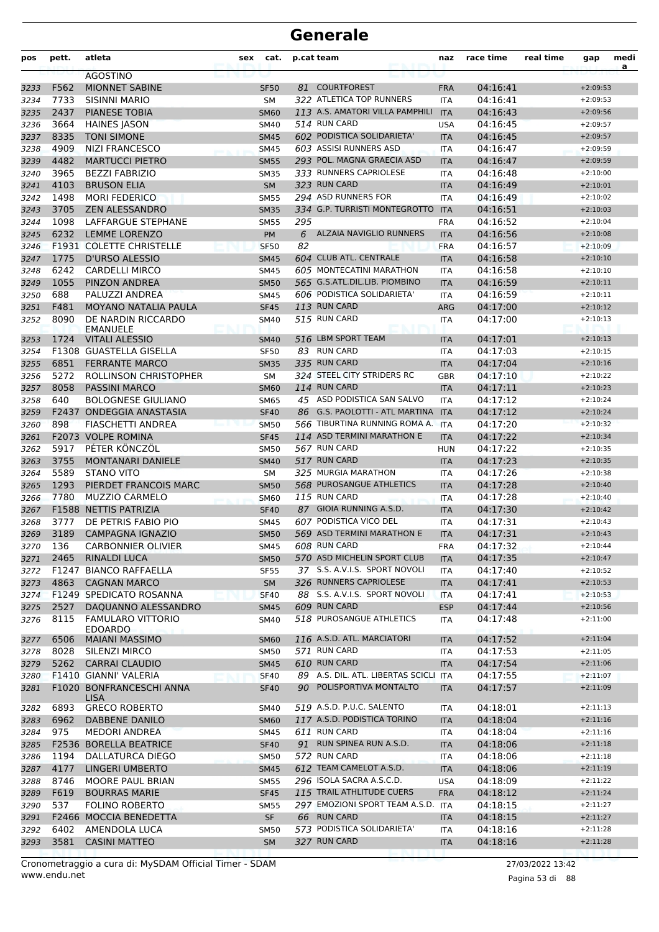| pos          | pett.        | atleta                                         | sex | cat.                       |     | p.cat team                                                  | naz                      | race time            | real time | gap                      | medi<br>a |
|--------------|--------------|------------------------------------------------|-----|----------------------------|-----|-------------------------------------------------------------|--------------------------|----------------------|-----------|--------------------------|-----------|
|              |              | <b>AGOSTINO</b>                                |     |                            |     |                                                             |                          |                      |           |                          |           |
| 3233         | F562         | <b>MIONNET SABINE</b>                          |     | <b>SF50</b>                |     | 81 COURTFOREST                                              | <b>FRA</b>               | 04:16:41             |           | $+2:09:53$               |           |
| 3234         | 7733<br>2437 | <b>SISINNI MARIO</b><br><b>PIANESE TOBIA</b>   |     | SM                         |     | 322 ATLETICA TOP RUNNERS<br>113 A.S. AMATORI VILLA PAMPHILI | <b>ITA</b>               | 04:16:41             |           | $+2:09:53$<br>$+2:09:56$ |           |
| 3235<br>3236 | 3664         | <b>HAINES JASON</b>                            |     | <b>SM60</b><br><b>SM40</b> |     | 514 RUN CARD                                                | <b>ITA</b><br><b>USA</b> | 04:16:43<br>04:16:45 |           | $+2:09:57$               |           |
| 3237         | 8335         | <b>TONI SIMONE</b>                             |     | <b>SM45</b>                |     | 602 PODISTICA SOLIDARIETA'                                  | <b>ITA</b>               | 04:16:45             |           | $+2:09:57$               |           |
| 3238         | 4909         | NIZI FRANCESCO                                 |     | <b>SM45</b>                |     | 603 ASSISI RUNNERS ASD                                      | <b>ITA</b>               | 04:16:47             |           | $+2:09:59$               |           |
| 3239         | 4482         | <b>MARTUCCI PIETRO</b>                         |     | <b>SM55</b>                |     | 293 POL. MAGNA GRAECIA ASD                                  | <b>ITA</b>               | 04:16:47             |           | $+2:09:59$               |           |
| 3240         | 3965         | <b>BEZZI FABRIZIO</b>                          |     | <b>SM35</b>                |     | 333 RUNNERS CAPRIOLESE                                      | <b>ITA</b>               | 04:16:48             |           | $+2:10:00$               |           |
| 3241         | 4103         | <b>BRUSON ELIA</b>                             |     | <b>SM</b>                  |     | 323 RUN CARD                                                | <b>ITA</b>               | 04:16:49             |           | $+2:10:01$               |           |
| 3242         | 1498         | <b>MORI FEDERICO</b>                           |     | <b>SM55</b>                |     | 294 ASD RUNNERS FOR                                         | <b>ITA</b>               | 04:16:49             |           | $+2:10:02$               |           |
| 3243         | 3705         | <b>ZEN ALESSANDRO</b>                          |     | <b>SM35</b>                |     | 334 G.P. TURRISTI MONTEGROTTO                               | <b>ITA</b>               | 04:16:51             |           | $+2:10:03$               |           |
| 3244         | 1098         | LAFFARGUE STEPHANE                             |     | <b>SM55</b>                | 295 |                                                             | <b>FRA</b>               | 04:16:52             |           | $+2:10:04$               |           |
| 3245         | 6232         | <b>LEMME LORENZO</b>                           |     | PM                         | 6   | ALZAIA NAVIGLIO RUNNERS                                     | <b>ITA</b>               | 04:16:56             |           | $+2:10:08$               |           |
| 3246         |              | F1931 COLETTE CHRISTELLE                       |     | <b>SF50</b>                | 82  |                                                             | <b>FRA</b>               | 04:16:57             |           | $+2:10:09$               |           |
| 3247         | 1775         | <b>D'URSO ALESSIO</b>                          |     | <b>SM45</b>                |     | 604 CLUB ATL. CENTRALE                                      | <b>ITA</b>               | 04:16:58             |           | $+2:10:10$               |           |
| 3248         | 6242         | <b>CARDELLI MIRCO</b>                          |     | <b>SM45</b>                |     | 605 MONTECATINI MARATHON                                    | <b>ITA</b>               | 04:16:58             |           | $+2:10:10$               |           |
| 3249         | 1055         | <b>PINZON ANDREA</b>                           |     | <b>SM50</b>                |     | 565 G.S.ATL.DIL.LIB. PIOMBINO                               | <b>ITA</b>               | 04:16:59             |           | $+2:10:11$               |           |
| 3250         | 688          | PALUZZI ANDREA                                 |     | <b>SM45</b>                |     | 606 PODISTICA SOLIDARIETA'                                  | ITA                      | 04:16:59             |           | $+2:10:11$               |           |
| 3251         | F481         | MOYANO NATALIA PAULA                           |     | <b>SF45</b>                |     | 113 RUN CARD                                                | ARG                      | 04:17:00             |           | $+2:10:12$               |           |
| 3252         | 8090         | <b>DE NARDIN RICCARDO</b><br><b>EMANUELE</b>   |     | <b>SM40</b>                |     | 515 RUN CARD                                                | <b>ITA</b>               | 04:17:00             |           | $+2:10:13$               |           |
| 3253         | 1724         | <b>VITALI ALESSIO</b>                          |     | <b>SM40</b>                |     | 516 LBM SPORT TEAM                                          | <b>ITA</b>               | 04:17:01             |           | $+2:10:13$               |           |
| 3254         |              | F1308 GUASTELLA GISELLA                        |     | <b>SF50</b>                |     | 83 RUN CARD                                                 | <b>ITA</b>               | 04:17:03             |           | $+2:10:15$               |           |
| 3255         | 6851         | <b>FERRANTE MARCO</b>                          |     | <b>SM35</b>                |     | 335 RUN CARD                                                | <b>ITA</b>               | 04:17:04             |           | $+2:10:16$               |           |
| 3256         | 5272         | ROLLINSON CHRISTOPHER                          |     | SM                         |     | 324 STEEL CITY STRIDERS RC                                  | <b>GBR</b>               | 04:17:10             |           | $+2:10:22$               |           |
| 3257         | 8058         | <b>PASSINI MARCO</b>                           |     | <b>SM60</b>                |     | 114 RUN CARD                                                | <b>ITA</b>               | 04:17:11             |           | $+2:10:23$               |           |
| 3258         | 640          | <b>BOLOGNESE GIULIANO</b>                      |     | <b>SM65</b>                |     | 45 ASD PODISTICA SAN SALVO                                  | ITA                      | 04:17:12             |           | $+2:10:24$               |           |
| 3259         |              | F2437 ONDEGGIA ANASTASIA                       |     | <b>SF40</b>                |     | 86 G.S. PAOLOTTI - ATL MARTINA ITA                          |                          | 04:17:12             |           | $+2:10:24$               |           |
| 3260         | 898          | <b>FIASCHETTI ANDREA</b>                       |     | <b>SM50</b>                |     | 566 TIBURTINA RUNNING ROMA A.                               | <b>ITA</b>               | 04:17:20             |           | $+2:10:32$               |           |
| 3261         |              | F2073 VOLPE ROMINA                             |     | <b>SF45</b>                |     | 114 ASD TERMINI MARATHON E                                  | <b>ITA</b>               | 04:17:22             |           | $+2:10:34$               |           |
| 3262         | 5917         | PÉTER KÖNCZÖL                                  |     | <b>SM50</b>                |     | 567 RUN CARD                                                | <b>HUN</b>               | 04:17:22             |           | $+2:10:35$               |           |
| 3263         | 3755         | <b>MONTANARI DANIELE</b>                       |     | <b>SM40</b>                |     | 517 RUN CARD                                                | <b>ITA</b>               | 04:17:23             |           | $+2:10:35$               |           |
| 3264         | 5589         | <b>STANO VITO</b>                              |     | SM                         |     | 325 MURGIA MARATHON                                         | <b>ITA</b>               | 04:17:26             |           | $+2:10:38$               |           |
| 3265         | 1293         | PIERDET FRANCOIS MARC                          |     | <b>SM50</b>                |     | 568 PUROSANGUE ATHLETICS                                    | <b>ITA</b>               | 04:17:28             |           | $+2:10:40$               |           |
| 3266         | 7780         | <b>MUZZIO CARMELO</b>                          |     | <b>SM60</b>                |     | 115 RUN CARD                                                | <b>ITA</b>               | 04:17:28             |           | $+2:10:40$               |           |
| 3267         |              | F1588 NETTIS PATRIZIA                          |     | <b>SF40</b>                |     | 87 GIOIA RUNNING A.S.D.<br>607 PODISTICA VICO DEL           | <b>ITA</b>               | 04:17:30             |           | $+2:10:42$<br>$+2:10:43$ |           |
| 3268         | 3777<br>3189 | DE PETRIS FABIO PIO<br><b>CAMPAGNA IGNAZIO</b> |     | SM45<br><b>SM50</b>        |     | 569 ASD TERMINI MARATHON E                                  | <b>ITA</b><br><b>ITA</b> | 04:17:31<br>04:17:31 |           | $+2:10:43$               |           |
| 3269         | 136          | <b>CARBONNIER OLIVIER</b>                      |     |                            |     | 608 RUN CARD                                                |                          | 04:17:32             |           | $+2:10:44$               |           |
| 3270<br>3271 | 2465         | <b>RINALDI LUCA</b>                            |     | SM45<br><b>SM50</b>        |     | 570 ASD MICHELIN SPORT CLUB                                 | FRA<br><b>ITA</b>        | 04:17:35             |           | $+2:10:47$               |           |
| 3272         |              | F1247 BIANCO RAFFAELLA                         |     | <b>SF55</b>                |     | 37 S.S. A.V.I.S. SPORT NOVOLI                               | <b>ITA</b>               | 04:17:40             |           | $+2:10:52$               |           |
| 3273         | 4863         | <b>CAGNAN MARCO</b>                            |     | <b>SM</b>                  |     | 326 RUNNERS CAPRIOLESE                                      | <b>ITA</b>               | 04:17:41             |           | $+2:10:53$               |           |
| 3274         |              | <b>F1249 SPEDICATO ROSANNA</b>                 |     | <b>SF40</b>                |     | 88 S.S. A.V.I.S. SPORT NOVOLI                               | <b>ITA</b>               | 04:17:41             |           | $+2:10:53$               |           |
| 3275         | 2527         | DAQUANNO ALESSANDRO                            |     | <b>SM45</b>                |     | 609 RUN CARD                                                | <b>ESP</b>               | 04:17:44             |           | $+2:10:56$               |           |
| 3276         | 8115         | <b>FAMULARO VITTORIO</b><br><b>EDOARDO</b>     |     | SM40                       |     | 518 PUROSANGUE ATHLETICS                                    | ITA                      | 04:17:48             |           | $+2:11:00$               |           |
| 3277         | 6506         | <b>MAIANI MASSIMO</b>                          |     | <b>SM60</b>                |     | 116 A.S.D. ATL. MARCIATORI                                  | <b>ITA</b>               | 04:17:52             |           | $+2:11:04$               |           |
| 3278         | 8028         | SILENZI MIRCO                                  |     | <b>SM50</b>                |     | 571 RUN CARD                                                | <b>ITA</b>               | 04:17:53             |           | $+2:11:05$               |           |
| 3279         | 5262         | <b>CARRAI CLAUDIO</b>                          |     | <b>SM45</b>                |     | 610 RUN CARD                                                | <b>ITA</b>               | 04:17:54             |           | $+2:11:06$               |           |
| 3280         |              | F1410 GIANNI' VALERIA                          |     | <b>SF40</b>                |     | 89 A.S. DIL. ATL. LIBERTAS SCICLI                           | <b>ITA</b>               | 04:17:55             |           | $+2:11:07$               |           |
| 3281         |              | F1020 BONFRANCESCHI ANNA<br><b>LISA</b>        |     | <b>SF40</b>                | 90  | POLISPORTIVA MONTALTO                                       | <b>ITA</b>               | 04:17:57             |           | $+2:11:09$               |           |
| 3282         | 6893         | <b>GRECO ROBERTO</b>                           |     | SM40                       |     | 519 A.S.D. P.U.C. SALENTO                                   | ITA                      | 04:18:01             |           | $+2:11:13$               |           |
| 3283         | 6962         | <b>DABBENE DANILO</b>                          |     | <b>SM60</b>                |     | 117 A.S.D. PODISTICA TORINO                                 | <b>ITA</b>               | 04:18:04             |           | $+2:11:16$               |           |
| 3284         | 975          | <b>MEDORI ANDREA</b>                           |     | SM45                       |     | 611 RUN CARD                                                | ITA                      | 04:18:04             |           | $+2:11:16$               |           |
| 3285         |              | F2536 BORELLA BEATRICE                         |     | <b>SF40</b>                |     | 91 RUN SPINEA RUN A.S.D.                                    | <b>ITA</b>               | 04:18:06             |           | $+2:11:18$               |           |
| 3286         | 1194         | DALLATURCA DIEGO                               |     | <b>SM50</b>                |     | 572 RUN CARD                                                | <b>ITA</b>               | 04:18:06             |           | $+2:11:18$               |           |
| 3287         | 4177         | LINGERI UMBERTO                                |     | <b>SM45</b>                |     | 612 TEAM CAMELOT A.S.D.                                     | <b>ITA</b>               | 04:18:06             |           | $+2:11:19$               |           |
| 3288         | 8746         | MOORE PAUL BRIAN                               |     | <b>SM55</b>                |     | 296 ISOLA SACRA A.S.C.D.                                    | <b>USA</b>               | 04:18:09             |           | $+2:11:22$               |           |
| 3289         | F619         | <b>BOURRAS MARIE</b>                           |     | <b>SF45</b>                |     | 115 TRAIL ATHLITUDE CUERS                                   | <b>FRA</b>               | 04:18:12             |           | $+2:11:24$               |           |
| 3290         | 537          | <b>FOLINO ROBERTO</b>                          |     | <b>SM55</b>                |     | 297 EMOZIONI SPORT TEAM A.S.D. ITA                          |                          | 04:18:15             |           | $+2:11:27$               |           |
| 3291         |              | F2466 MOCCIA BENEDETTA                         |     | SF                         |     | 66 RUN CARD                                                 | <b>ITA</b>               | 04:18:15             |           | $+2:11:27$               |           |
| 3292         | 6402         | AMENDOLA LUCA                                  |     | <b>SM50</b>                |     | 573 PODISTICA SOLIDARIETA'                                  | <b>ITA</b>               | 04:18:16             |           | $+2:11:28$               |           |
| 3293         | 3581         | <b>CASINI MATTEO</b>                           |     | <b>SM</b>                  |     | 327 RUN CARD                                                | <b>ITA</b>               | 04:18:16             |           | $+2:11:28$               |           |

www.endu.net Cronometraggio a cura di: MySDAM Official Timer - SDAM 27/03/2022 13:42

Pagina 53 di 88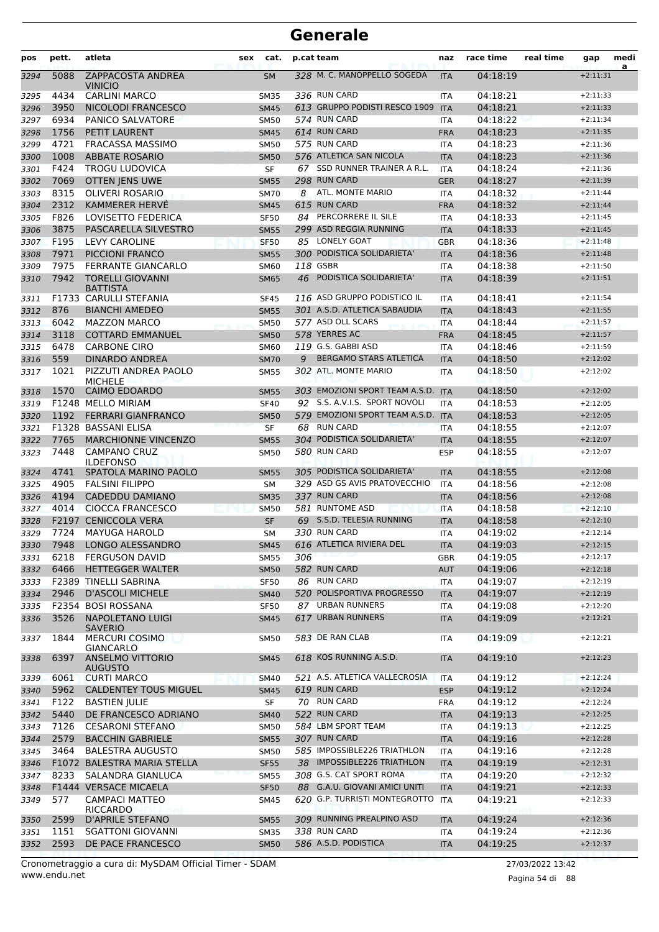| pos          | pett. | atleta                                              | sex | cat.                     |     | p.cat team                         | naz                      | race time            | real time | gap                      | medi |
|--------------|-------|-----------------------------------------------------|-----|--------------------------|-----|------------------------------------|--------------------------|----------------------|-----------|--------------------------|------|
| 3294         | 5088  | ZAPPACOSTA ANDREA<br><b>VINICIO</b>                 |     | <b>SM</b>                |     | 328 M. C. MANOPPELLO SOGEDA        | <b>ITA</b>               | 04:18:19             |           | $+2:11:31$               | a    |
| 3295         | 4434  | <b>CARLINI MARCO</b>                                |     | <b>SM35</b>              |     | 336 RUN CARD                       | <b>ITA</b>               | 04:18:21             |           | $+2:11:33$               |      |
| 3296         | 3950  | <b>NICOLODI FRANCESCO</b>                           |     | <b>SM45</b>              |     | 613 GRUPPO PODISTI RESCO 1909      | <b>ITA</b>               | 04:18:21             |           | $+2:11:33$               |      |
| 3297         | 6934  | PANICO SALVATORE                                    |     | <b>SM50</b>              |     | 574 RUN CARD                       | ITA                      | 04:18:22             |           | $+2:11:34$               |      |
| 3298         | 1756  | PETIT LAURENT                                       |     | <b>SM45</b>              |     | 614 RUN CARD                       | <b>FRA</b>               | 04:18:23             |           | $+2:11:35$               |      |
| 3299         | 4721  | <b>FRACASSA MASSIMO</b>                             |     | <b>SM50</b>              |     | 575 RUN CARD                       | <b>ITA</b>               | 04:18:23             |           | $+2:11:36$               |      |
| 3300         | 1008  | <b>ABBATE ROSARIO</b>                               |     | <b>SM50</b>              |     | 576 ATLETICA SAN NICOLA            | <b>ITA</b>               | 04:18:23             |           | $+2:11:36$               |      |
| 3301         | F424  | <b>TROGU LUDOVICA</b>                               |     | SF                       |     | 67 SSD RUNNER TRAINER A R.L.       | <b>ITA</b>               | 04:18:24             |           | $+2:11:36$               |      |
| 3302         | 7069  | <b>OTTEN JENS UWE</b>                               |     | <b>SM55</b>              |     | 298 RUN CARD                       | <b>GER</b>               | 04:18:27             |           | $+2:11:39$               |      |
| 3303         | 8315  | <b>OLIVERI ROSARIO</b>                              |     | <b>SM70</b>              | 8   | ATL. MONTE MARIO                   | ITA                      | 04:18:32             |           | $+2:11:44$               |      |
| 3304         | 2312  | <b>KAMMERER HERVÉ</b>                               |     | <b>SM45</b>              |     | 615 RUN CARD                       | <b>FRA</b>               | 04:18:32             |           | $+2:11:44$               |      |
| 3305         | F826  | LOVISETTO FEDERICA                                  |     | <b>SF50</b>              | 84  | PERCORRERE IL SILE                 | <b>ITA</b>               | 04:18:33             |           | $+2:11:45$               |      |
| 3306         | 3875  | PASCARELLA SILVESTRO                                |     | <b>SM55</b>              |     | 299 ASD REGGIA RUNNING             | <b>ITA</b>               | 04:18:33             |           | $+2:11:45$               |      |
| 3307         | F195  | LEVY CAROLINE                                       |     | <b>SF50</b>              |     | 85 LONELY GOAT                     | <b>GBR</b>               | 04:18:36             |           | $+2:11:48$               |      |
| 3308         | 7971  | PICCIONI FRANCO                                     |     | <b>SM55</b>              |     | 300 PODISTICA SOLIDARIETA'         | <b>ITA</b>               | 04:18:36             |           | $+2:11:48$               |      |
| 3309         | 7975  | <b>FERRANTE GIANCARLO</b>                           |     | <b>SM60</b>              |     | 118 GSBR                           | <b>ITA</b>               | 04:18:38             |           | $+2:11:50$               |      |
| 3310         | 7942  | <b>TORELLI GIOVANNI</b><br><b>BATTISTA</b>          |     | <b>SM65</b>              | 46  | PODISTICA SOLIDARIETA'             | <b>ITA</b>               | 04:18:39             |           | $+2:11:51$               |      |
| 3311         |       | <b>F1733 CARULLI STEFANIA</b>                       |     | <b>SF45</b>              |     | 116 ASD GRUPPO PODISTICO IL        | <b>ITA</b>               | 04:18:41             |           | $+2:11:54$               |      |
| 3312         | 876   | <b>BIANCHI AMEDEO</b>                               |     | <b>SM55</b>              |     | 301 A.S.D. ATLETICA SABAUDIA       | <b>ITA</b>               | 04:18:43             |           | $+2:11:55$               |      |
| 3313         | 6042  | <b>MAZZON MARCO</b>                                 |     | <b>SM50</b>              |     | 577 ASD OLL SCARS                  | <b>ITA</b>               | 04:18:44             |           | $+2:11:57$               |      |
| 3314         | 3118  | <b>COTTARD EMMANUEL</b>                             |     | <b>SM50</b>              |     | 578 YERRES AC                      | <b>FRA</b>               | 04:18:45             |           | $+2:11:57$               |      |
| 3315         | 6478  | <b>CARBONE CIRO</b>                                 |     | <b>SM60</b>              |     | 119 G.S. GABBI ASD                 | <b>ITA</b>               | 04:18:46             |           | $+2:11:59$               |      |
| 3316         | 559   | <b>DINARDO ANDREA</b>                               |     | <b>SM70</b>              | 9   | <b>BERGAMO STARS ATLETICA</b>      | <b>ITA</b>               | 04:18:50             |           | $+2:12:02$               |      |
| 3317         | 1021  | PIZZUTI ANDREA PAOLO<br><b>MICHELE</b>              |     | <b>SM55</b>              |     | 302 ATL. MONTE MARIO               | <b>ITA</b>               | 04:18:50             |           | $+2:12:02$               |      |
| 3318         | 1570  | <b>CAIMO EDOARDO</b>                                |     | <b>SM55</b>              |     | 303 EMOZIONI SPORT TEAM A.S.D. ITA |                          | 04:18:50             |           | $+2:12:02$               |      |
| 3319         |       | F1248 MELLO MIRIAM                                  |     | <b>SF40</b>              |     | 92 S.S. A.V.I.S. SPORT NOVOLI      | <b>ITA</b>               | 04:18:53             |           | $+2:12:05$               |      |
| 3320         | 1192  | <b>FERRARI GIANFRANCO</b>                           |     | <b>SM50</b>              |     | 579 EMOZIONI SPORT TEAM A.S.D.     | <b>ITA</b>               | 04:18:53             |           | $+2:12:05$               |      |
| 3321         |       | F1328 BASSANI ELISA                                 |     | <b>SF</b>                | 68  | <b>RUN CARD</b>                    | <b>ITA</b>               | 04:18:55             |           | $+2:12:07$               |      |
| 3322         | 7765  | <b>MARCHIONNE VINCENZO</b>                          |     | <b>SM55</b>              |     | 304 PODISTICA SOLIDARIETA'         | <b>ITA</b>               | 04:18:55             |           | $+2:12:07$               |      |
| 3323         | 7448  | <b>CAMPANO CRUZ</b><br><b>ILDEFONSO</b>             |     | <b>SM50</b>              |     | 580 RUN CARD                       | <b>ESP</b>               | 04:18:55             |           | $+2:12:07$               |      |
| 3324         | 4741  | SPATOLA MARINO PAOLO                                |     | <b>SM55</b>              |     | 305 PODISTICA SOLIDARIETA'         | <b>ITA</b>               | 04:18:55             |           | $+2:12:08$               |      |
| 3325         | 4905  | <b>FALSINI FILIPPO</b>                              |     | <b>SM</b>                |     | 329 ASD GS AVIS PRATOVECCHIO       | <b>ITA</b>               | 04:18:56             |           | $+2:12:08$               |      |
| 3326         | 4194  | <b>CADEDDU DAMIANO</b>                              |     | <b>SM35</b>              |     | 337 RUN CARD<br>581 RUNTOME ASD    | <b>ITA</b>               | 04:18:56             |           | $+2:12:08$               |      |
| 3327         | 4014  | <b>CIOCCA FRANCESCO</b>                             |     | <b>SM50</b><br><b>SF</b> |     | 69 S.S.D. TELESIA RUNNING          | <b>ITA</b>               | 04:18:58<br>04:18:58 |           | $+2:12:10$               |      |
| 3328<br>3329 | 7724  | <b>F2197 CENICCOLA VERA</b><br><b>MAYUGA HAROLD</b> |     | SM                       |     | 330 RUN CARD                       | <b>ITA</b><br><b>ITA</b> | 04:19:02             |           | $+2:12:10$<br>$+2:12:14$ |      |
|              | 7948  | LONGO ALESSANDRO                                    |     |                          |     | 616 ATLETICA RIVIERA DEL           |                          | 04:19:03             |           | $+2:12:15$               |      |
| 3330<br>3331 | 6218  | <b>FERGUSON DAVID</b>                               |     | SM45<br><b>SM55</b>      | 306 |                                    | ITA<br><b>GBR</b>        | 04:19:05             |           | $+2:12:17$               |      |
| 3332         | 6466  | <b>HETTEGGER WALTER</b>                             |     | <b>SM50</b>              |     | 582 RUN CARD                       | <b>AUT</b>               | 04:19:06             |           | $+2:12:18$               |      |
| 3333         |       | F2389 TINELLI SABRINA                               |     | <b>SF50</b>              |     | 86 RUN CARD                        | ITA                      | 04:19:07             |           | $+2:12:19$               |      |
| 3334         | 2946  | <b>D'ASCOLI MICHELE</b>                             |     | <b>SM40</b>              |     | 520 POLISPORTIVA PROGRESSO         | <b>ITA</b>               | 04:19:07             |           | $+2:12:19$               |      |
| 3335         |       | F2354 BOSI ROSSANA                                  |     | <b>SF50</b>              |     | 87 URBAN RUNNERS                   | <b>ITA</b>               | 04:19:08             |           | $+2:12:20$               |      |
| 3336         | 3526  | NAPOLETANO LUIGI<br><b>SAVERIO</b>                  |     | <b>SM45</b>              |     | 617 URBAN RUNNERS                  | <b>ITA</b>               | 04:19:09             |           | $+2:12:21$               |      |
| 3337         | 1844  | <b>MERCURI COSIMO</b><br>GIANCARLO                  |     | SM50                     |     | 583 DE RAN CLAB                    | ITA                      | 04:19:09             |           | $+2:12:21$               |      |
| 3338         | 6397  | ANSELMO VITTORIO<br><b>AUGUSTO</b>                  |     | <b>SM45</b>              |     | 618 KOS RUNNING A.S.D.             | <b>ITA</b>               | 04:19:10             |           | $+2:12:23$               |      |
| 3339         | 6061  | <b>CURTI MARCO</b>                                  |     | <b>SM40</b>              |     | 521 A.S. ATLETICA VALLECROSIA      | ITA                      | 04:19:12             |           | $+2:12:24$               |      |
| 3340         | 5962  | <b>CALDENTEY TOUS MIGUEL</b>                        |     | <b>SM45</b>              |     | 619 RUN CARD                       | <b>ESP</b>               | 04:19:12             |           | $+2:12:24$               |      |
| 3341         | F122  | <b>BASTIEN JULIE</b>                                |     | SF                       |     | 70 RUN CARD                        | <b>FRA</b>               | 04:19:12             |           | $+2:12:24$               |      |
| 3342         | 5440  | DE FRANCESCO ADRIANO                                |     | <b>SM40</b>              |     | 522 RUN CARD                       | <b>ITA</b>               | 04:19:13             |           | $+2:12:25$               |      |
| 3343         | 7126  | <b>CESARONI STEFANO</b>                             |     | <b>SM50</b>              |     | 584 LBM SPORT TEAM                 | ITA                      | 04:19:13             |           | $+2:12:25$               |      |
| 3344         | 2579  | <b>BACCHIN GABRIELE</b>                             |     | <b>SM55</b>              |     | 307 RUN CARD                       | <b>ITA</b>               | 04:19:16             |           | $+2:12:28$               |      |
| 3345         | 3464  | <b>BALESTRA AUGUSTO</b>                             |     | <b>SM50</b>              |     | 585 IMPOSSIBLE226 TRIATHLON        | <b>ITA</b>               | 04:19:16             |           | $+2:12:28$               |      |
| 3346         |       | F1072 BALESTRA MARIA STELLA                         |     | <b>SF55</b>              |     | 38 IMPOSSIBLE226 TRIATHLON         | <b>ITA</b>               | 04:19:19             |           | $+2:12:31$               |      |
| 3347         | 8233  | SALANDRA GIANLUCA                                   |     | <b>SM55</b>              |     | 308 G.S. CAT SPORT ROMA            | <b>ITA</b>               | 04:19:20             |           | $+2:12:32$               |      |
| 3348         |       | F1444 VERSACE MICAELA                               |     | <b>SF50</b>              |     | 88 G.A.U. GIOVANI AMICI UNITI      | <b>ITA</b>               | 04:19:21             |           | $+2:12:33$               |      |
| 3349         | 577   | CAMPACI MATTEO<br><b>RICCARDO</b>                   |     | <b>SM45</b>              |     | 620 G.P. TURRISTI MONTEGROTTO      | ITA                      | 04:19:21             |           | $+2:12:33$               |      |
| 3350         | 2599  | <b>D'APRILE STEFANO</b>                             |     | <b>SM55</b>              |     | 309 RUNNING PREALPINO ASD          | <b>ITA</b>               | 04:19:24             |           | $+2:12:36$               |      |
| 3351         | 1151  | <b>SGATTONI GIOVANNI</b>                            |     | <b>SM35</b>              |     | 338 RUN CARD                       | ITA                      | 04:19:24             |           | $+2:12:36$               |      |
| 3352         | 2593  | DE PACE FRANCESCO                                   |     | <b>SM50</b>              |     | 586 A.S.D. PODISTICA               | <b>ITA</b>               | 04:19:25             |           | $+2:12:37$               |      |

www.endu.net Cronometraggio a cura di: MySDAM Official Timer - SDAM 27/03/2022 13:42

Pagina 54 di 88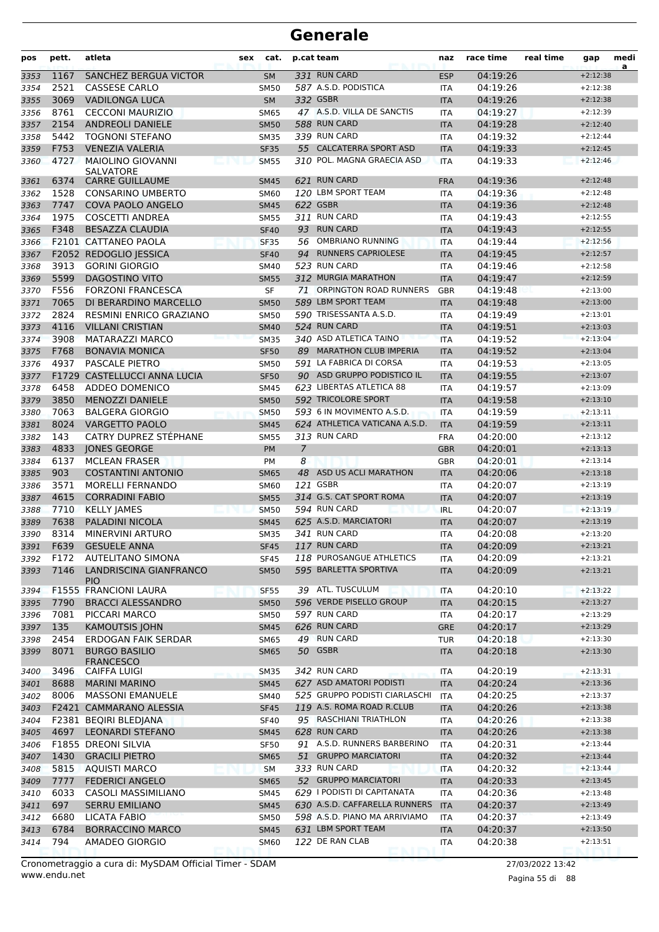| pos          | pett.        | atleta                                                  | sex | cat.                       |    | p.cat team                            | naz                      | race time            | real time | gap                      | medi<br>a |
|--------------|--------------|---------------------------------------------------------|-----|----------------------------|----|---------------------------------------|--------------------------|----------------------|-----------|--------------------------|-----------|
| 3353         | 1167         | SANCHEZ BERGUA VICTOR                                   |     | <b>SM</b>                  |    | 331 RUN CARD                          | <b>ESP</b>               | 04:19:26             |           | $+2:12:38$               |           |
| 3354         | 2521         | <b>CASSESE CARLO</b>                                    |     | <b>SM50</b>                |    | 587 A.S.D. PODISTICA                  | ITA                      | 04:19:26             |           | $+2:12:38$               |           |
| 3355         | 3069         | <b>VADILONGA LUCA</b>                                   |     | <b>SM</b>                  |    | 332 GSBR                              | <b>ITA</b>               | 04:19:26             |           | $+2:12:38$               |           |
| 3356         | 8761         | <b>CECCONI MAURIZIO</b>                                 |     | <b>SM65</b>                |    | 47 A.S.D. VILLA DE SANCTIS            | <b>ITA</b>               | 04:19:27             |           | $+2:12:39$               |           |
| 3357         | 2154         | <b>ANDREOLI DANIELE</b>                                 |     | <b>SM50</b>                |    | 588 RUN CARD                          | <b>ITA</b>               | 04:19:28             |           | $+2:12:40$               |           |
| 3358         | 5442         | <b>TOGNONI STEFANO</b>                                  |     | <b>SM35</b>                |    | 339 RUN CARD                          | <b>ITA</b>               | 04:19:32             |           | $+2:12:44$               |           |
| 3359         | F753         | <b>VENEZIA VALERIA</b>                                  |     | <b>SF35</b>                |    | 55 CALCATERRA SPORT ASD               | <b>ITA</b>               | 04:19:33             |           | $+2:12:45$               |           |
| 3360         | 4727         | MAIOLINO GIOVANNI<br><b>SALVATORE</b>                   |     | <b>SM55</b>                |    | 310 POL. MAGNA GRAECIA ASD            | <b>ITA</b>               | 04:19:33             |           | $+2:12:46$               |           |
| 3361         | 6374         | <b>CARRE GUILLAUME</b>                                  |     | <b>SM45</b>                |    | 621 RUN CARD                          | <b>FRA</b>               | 04:19:36             |           | $+2:12:48$               |           |
| 3362         | 1528         | <b>CONSARINO UMBERTO</b>                                |     | <b>SM60</b>                |    | 120 LBM SPORT TEAM                    | ITA                      | 04:19:36             |           | $+2:12:48$               |           |
| 3363         | 7747         | <b>COVA PAOLO ANGELO</b>                                |     | <b>SM45</b>                |    | 622 GSBR                              | <b>ITA</b>               | 04:19:36             |           | $+2:12:48$               |           |
| 3364         | 1975         | <b>COSCETTI ANDREA</b>                                  |     | <b>SM55</b>                |    | 311 RUN CARD                          | <b>ITA</b>               | 04:19:43             |           | $+2:12:55$               |           |
| 3365         | F348         | <b>BESAZZA CLAUDIA</b>                                  |     | <b>SF40</b>                |    | 93 RUN CARD                           | <b>ITA</b>               | 04:19:43             |           | $+2:12:55$               |           |
| 3366         |              | F2101 CATTANEO PAOLA                                    |     | <b>SF35</b>                | 56 | <b>OMBRIANO RUNNING</b>               | <b>ITA</b>               | 04:19:44             |           | $+2:12:56$               |           |
| 3367         |              | F2052 REDOGLIO JESSICA                                  |     | <b>SF40</b>                |    | 94 RUNNERS CAPRIOLESE<br>523 RUN CARD | <b>ITA</b>               | 04:19:45             |           | $+2:12:57$               |           |
| 3368         | 3913         | <b>GORINI GIORGIO</b>                                   |     | SM40                       |    | 312 MURGIA MARATHON                   | <b>ITA</b>               | 04:19:46             |           | $+2:12:58$               |           |
| 3369         | 5599         | <b>DAGOSTINO VITO</b>                                   |     | <b>SM55</b>                |    | ORPINGTON ROAD RUNNERS                | <b>ITA</b>               | 04:19:47             |           | $+2:12:59$               |           |
| 3370         | F556         | <b>FORZONI FRANCESCA</b>                                |     | SF                         | 71 | 589 LBM SPORT TEAM                    | <b>GBR</b>               | 04:19:48             |           | $+2:13:00$               |           |
| 3371         | 7065<br>2824 | DI BERARDINO MARCELLO<br><b>RESMINI ENRICO GRAZIANO</b> |     | <b>SM50</b><br><b>SM50</b> |    | 590 TRISESSANTA A.S.D.                | <b>ITA</b><br><b>ITA</b> | 04:19:48             |           | $+2:13:00$<br>$+2:13:01$ |           |
| 3372<br>3373 | 4116         | <b>VILLANI CRISTIAN</b>                                 |     | <b>SM40</b>                |    | 524 RUN CARD                          | <b>ITA</b>               | 04:19:49<br>04:19:51 |           | $+2:13:03$               |           |
|              | 3908         | <b>MATARAZZI MARCO</b>                                  |     |                            |    | 340 ASD ATLETICA TAINO                |                          | 04:19:52             |           | $+2:13:04$               |           |
| 3374         | F768         | <b>BONAVIA MONICA</b>                                   |     | <b>SM35</b>                |    | 89 MARATHON CLUB IMPERIA              | <b>ITA</b><br><b>ITA</b> | 04:19:52             |           | $+2:13:04$               |           |
| 3375<br>3376 | 4937         | PASCALE PIETRO                                          |     | <b>SF50</b><br><b>SM50</b> |    | 591 LA FABRICA DI CORSA               | <b>ITA</b>               | 04:19:53             |           | $+2:13:05$               |           |
| 3377         |              | F1729 CASTELLUCCI ANNA LUCIA                            |     | <b>SF50</b>                |    | 90 ASD GRUPPO PODISTICO IL            | <b>ITA</b>               | 04:19:55             |           | $+2:13:07$               |           |
| 3378         | 6458         | ADDEO DOMENICO                                          |     | <b>SM45</b>                |    | 623 LIBERTAS ATLETICA 88              | <b>ITA</b>               | 04:19:57             |           | $+2:13:09$               |           |
| 3379         | 3850         | <b>MENOZZI DANIELE</b>                                  |     | <b>SM50</b>                |    | 592 TRICOLORE SPORT                   | <b>ITA</b>               | 04:19:58             |           | $+2:13:10$               |           |
| 3380         | 7063         | <b>BALGERA GIORGIO</b>                                  |     | <b>SM50</b>                |    | 593 6 IN MOVIMENTO A.S.D.             | <b>ITA</b>               | 04:19:59             |           | $+2:13:11$               |           |
| 3381         | 8024         | <b>VARGETTO PAOLO</b>                                   |     | <b>SM45</b>                |    | 624 ATHLETICA VATICANA A.S.D.         | <b>ITA</b>               | 04:19:59             |           | $+2:13:11$               |           |
| 3382         | 143          | CATRY DUPREZ STÉPHANE                                   |     | <b>SM55</b>                |    | 313 RUN CARD                          | <b>FRA</b>               | 04:20:00             |           | $+2:13:12$               |           |
| 3383         | 4833         | <b>JONES GEORGE</b>                                     |     | PM                         | 7  |                                       | <b>GBR</b>               | 04:20:01             |           | $+2:13:13$               |           |
| 3384         | 6137         | <b>MCLEAN FRASER</b>                                    |     | PM                         | 8  |                                       | <b>GBR</b>               | 04:20:01             |           | $+2:13:14$               |           |
| 3385         | 903          | <b>COSTANTINI ANTONIO</b>                               |     | <b>SM65</b>                | 48 | ASD US ACLI MARATHON                  | <b>ITA</b>               | 04:20:06             |           | $+2:13:18$               |           |
| 3386         | 3571         | <b>MORELLI FERNANDO</b>                                 |     | <b>SM60</b>                |    | 121 GSBR                              | ITA                      | 04:20:07             |           | $+2:13:19$               |           |
| 3387         | 4615         | <b>CORRADINI FABIO</b>                                  |     | <b>SM55</b>                |    | 314 G.S. CAT SPORT ROMA               | <b>ITA</b>               | 04:20:07             |           | $+2:13:19$               |           |
| 3388         | 7710         | <b>KELLY JAMES</b>                                      |     | <b>SM50</b>                |    | 594 RUN CARD                          | <b>IRL</b>               | 04:20:07             |           | $+2:13:19$               |           |
| 3389         | 7638         | PALADINI NICOLA                                         |     | <b>SM45</b>                |    | 625 A.S.D. MARCIATORI                 | <b>ITA</b>               | 04:20:07             |           | $+2:13:19$               |           |
| 3390         | 8314         | MINERVINI ARTURO                                        |     | <b>SM35</b>                |    | 341 RUN CARD                          | <b>ITA</b>               | 04:20:08             |           | $+2:13:20$               |           |
| 3391         | F639         | <b>GESUELE ANNA</b>                                     |     | SF45                       |    | 117 RUN CARD                          | <b>ITA</b>               | 04:20:09             |           | $+2:13:21$               |           |
| 3392         | F172         | <b>AUTELITANO SIMONA</b>                                |     | <b>SF45</b>                |    | 118 PUROSANGUE ATHLETICS              | ITA                      | 04:20:09             |           | $+2:13:21$               |           |
| 3393         | 7146         | LANDRISCINA GIANFRANCO<br><b>PIO</b>                    |     | <b>SM50</b>                |    | 595 BARLETTA SPORTIVA                 | <b>ITA</b>               | 04:20:09             |           | $+2:13:21$               |           |
| 3394         |              | F1555 FRANCIONI LAURA                                   |     | <b>SF55</b>                |    | 39 ATL. TUSCULUM                      | <b>ITA</b>               | 04:20:10             |           | $+2:13:22$               |           |
| 3395         | 7790         | <b>BRACCI ALESSANDRO</b>                                |     | <b>SM50</b>                |    | 596 VERDE PISELLO GROUP               | <b>ITA</b>               | 04:20:15             |           | $+2:13:27$               |           |
| 3396         | 7081         | PICCARI MARCO                                           |     | <b>SM50</b>                |    | 597 RUN CARD                          | ITA                      | 04:20:17             |           | $+2:13:29$               |           |
| 3397         | 135          | <b>KAMOUTSIS JOHN</b>                                   |     | <b>SM45</b>                |    | 626 RUN CARD                          | GRE                      | 04:20:17             |           | $+2:13:29$               |           |
| 3398<br>3399 | 2454<br>8071 | <b>ERDOGAN FAIK SERDAR</b><br><b>BURGO BASILIO</b>      |     | <b>SM65</b><br><b>SM65</b> |    | 49 RUN CARD<br>50 GSBR                | <b>TUR</b><br><b>ITA</b> | 04:20:18<br>04:20:18 |           | $+2:13:30$<br>$+2:13:30$ |           |
| 3400         | 3496         | <b>FRANCESCO</b><br><b>CAIFFA LUIGI</b>                 |     | <b>SM35</b>                |    | 342 RUN CARD                          | <b>ITA</b>               | 04:20:19             |           | $+2:13:31$               |           |
| 3401         | 8688         | <b>MARINI MARINO</b>                                    |     | <b>SM45</b>                |    | 627 ASD AMATORI PODISTI               | <b>ITA</b>               | 04:20:24             |           | $+2:13:36$               |           |
| 3402         | 8006         | <b>MASSONI EMANUELE</b>                                 |     | SM40                       |    | 525 GRUPPO PODISTI CIARLASCHI         | ITA                      | 04:20:25             |           | $+2:13:37$               |           |
| 3403         |              | F2421 CAMMARANO ALESSIA                                 |     | <b>SF45</b>                |    | 119 A.S. ROMA ROAD R.CLUB             | <b>ITA</b>               | 04:20:26             |           | $+2:13:38$               |           |
| 3404         |              | F2381 BEQIRI BLEDJANA                                   |     | <b>SF40</b>                |    | 95 RASCHIANI TRIATHLON                | <b>ITA</b>               | 04:20:26             |           | $+2:13:38$               |           |
| 3405         | 4697         | <b>LEONARDI STEFANO</b>                                 |     | <b>SM45</b>                |    | 628 RUN CARD                          | <b>ITA</b>               | 04:20:26             |           | $+2:13:38$               |           |
| 3406         |              | F1855 DREONI SILVIA                                     |     | <b>SF50</b>                |    | 91 A.S.D. RUNNERS BARBERINO           | ITA                      | 04:20:31             |           | $+2:13:44$               |           |
| 3407         | 1430         | <b>GRACILI PIETRO</b>                                   |     | <b>SM65</b>                |    | 51 GRUPPO MARCIATORI                  | <b>ITA</b>               | 04:20:32             |           | $+2:13:44$               |           |
| 3408         | 5815         | <b>AQUISTI MARCO</b>                                    |     | SM                         |    | 333 RUN CARD                          | ITA                      | 04:20:32             |           | $+2:13:44$               |           |
| 3409         | 7777         | <b>FEDERICI ANGELO</b>                                  |     | <b>SM65</b>                |    | 52 GRUPPO MARCIATORI                  | <b>ITA</b>               | 04:20:33             |           | $+2:13:45$               |           |
| 3410         | 6033         | CASOLI MASSIMILIANO                                     |     | SM45                       |    | 629 I PODISTI DI CAPITANATA           | ITA                      | 04:20:36             |           | $+2:13:48$               |           |
| 3411         | 697          | <b>SERRU EMILIANO</b>                                   |     | <b>SM45</b>                |    | 630 A.S.D. CAFFARELLA RUNNERS         | <b>ITA</b>               | 04:20:37             |           | $+2:13:49$               |           |
| 3412         | 6680         | LICATA FABIO                                            |     | SM50                       |    | 598 A.S.D. PIANO MA ARRIVIAMO         | ITA                      | 04:20:37             |           | $+2:13:49$               |           |
| 3413         | 6784         | <b>BORRACCINO MARCO</b>                                 |     | <b>SM45</b>                |    | 631 LBM SPORT TEAM                    | <b>ITA</b>               | 04:20:37             |           | $+2:13:50$               |           |
| 3414         | 794          | AMADEO GIORGIO                                          |     | <b>SM60</b>                |    | 122 DE RAN CLAB                       | ITA                      | 04:20:38             |           | $+2:13:51$               |           |

www.endu.net Cronometraggio a cura di: MySDAM Official Timer - SDAM 27/03/2022 13:42

Pagina 55 di 88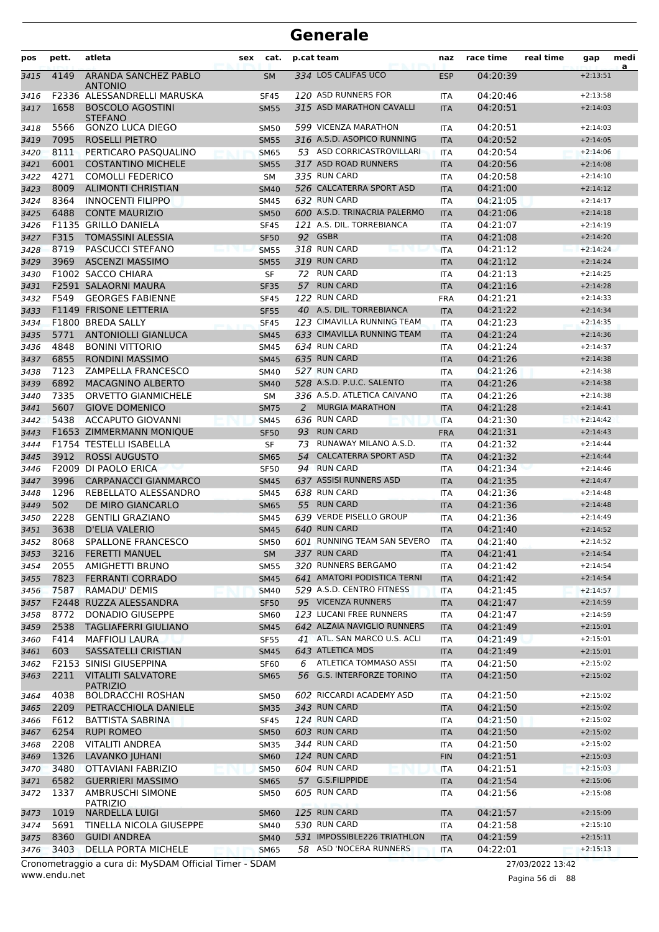| pos  | pett. | atleta                                       | sex | cat.        | p.cat team |                              | naz        | race time | real time | gap        | medi<br>a |
|------|-------|----------------------------------------------|-----|-------------|------------|------------------------------|------------|-----------|-----------|------------|-----------|
| 3415 | 4149  | ARANDA SANCHEZ PABLO<br><b>ANTONIO</b>       |     | <b>SM</b>   |            | 334 LOS CALIFAS UCO          | <b>ESP</b> | 04:20:39  |           | $+2:13:51$ |           |
| 3416 |       | F2336 ALESSANDRELLI MARUSKA                  |     | <b>SF45</b> |            | 120 ASD RUNNERS FOR          | <b>ITA</b> | 04:20:46  |           | $+2:13:58$ |           |
| 3417 | 1658  | <b>BOSCOLO AGOSTINI</b><br><b>STEFANO</b>    |     | <b>SM55</b> |            | 315 ASD MARATHON CAVALLI     | <b>ITA</b> | 04:20:51  |           | $+2:14:03$ |           |
| 3418 | 5566  | <b>GONZO LUCA DIEGO</b>                      |     | <b>SM50</b> |            | 599 VICENZA MARATHON         | <b>ITA</b> | 04:20:51  |           | $+2:14:03$ |           |
| 3419 | 7095  | ROSELLI PIETRO                               |     | <b>SM55</b> |            | 316 A.S.D. ASOPICO RUNNING   | <b>ITA</b> | 04:20:52  |           | $+2:14:05$ |           |
| 3420 | 8111  | PERTICARO PASQUALINO                         |     | <b>SM65</b> |            | 53 ASD CORRICASTROVILLARI    | <b>ITA</b> | 04:20:54  |           | $+2:14:06$ |           |
| 3421 | 6001  | <b>COSTANTINO MICHELE</b>                    |     | <b>SM55</b> |            | 317 ASD ROAD RUNNERS         | <b>ITA</b> | 04:20:56  |           | $+2:14:08$ |           |
| 3422 | 4271  | <b>COMOLLI FEDERICO</b>                      |     | <b>SM</b>   |            | 335 RUN CARD                 | <b>ITA</b> | 04:20:58  |           | $+2:14:10$ |           |
| 3423 | 8009  | <b>ALIMONTI CHRISTIAN</b>                    |     | <b>SM40</b> |            | 526 CALCATERRA SPORT ASD     | <b>ITA</b> | 04:21:00  |           | $+2:14:12$ |           |
| 3424 | 8364  | <b>INNOCENTI FILIPPO</b>                     |     | <b>SM45</b> |            | 632 RUN CARD                 | <b>ITA</b> | 04:21:05  |           | $+2:14:17$ |           |
| 3425 | 6488  | <b>CONTE MAURIZIO</b>                        |     | <b>SM50</b> |            | 600 A.S.D. TRINACRIA PALERMO | <b>ITA</b> | 04:21:06  |           | $+2:14:18$ |           |
| 3426 |       | F1135 GRILLO DANIELA                         |     | <b>SF45</b> |            | 121 A.S. DIL. TORREBIANCA    | <b>ITA</b> | 04:21:07  |           | $+2:14:19$ |           |
| 3427 | F315  | <b>TOMASSINI ALESSIA</b>                     |     | <b>SF50</b> |            | 92 GSBR                      | <b>ITA</b> | 04:21:08  |           | $+2:14:20$ |           |
| 3428 | 8719  | PASCUCCI STEFANO                             |     | <b>SM55</b> |            | 318 RUN CARD                 | <b>ITA</b> | 04:21:12  |           | $+2:14:24$ |           |
| 3429 | 3969  | <b>ASCENZI MASSIMO</b>                       |     | <b>SM55</b> |            | 319 RUN CARD                 | <b>ITA</b> | 04:21:12  |           | $+2:14:24$ |           |
| 3430 |       | F1002 SACCO CHIARA                           |     | SF          |            | 72 RUN CARD                  | <b>ITA</b> | 04:21:13  |           | $+2:14:25$ |           |
| 3431 |       | F2591 SALAORNI MAURA                         |     | <b>SF35</b> | 57         | <b>RUN CARD</b>              | <b>ITA</b> | 04:21:16  |           | $+2:14:28$ |           |
| 3432 | F549  | <b>GEORGES FABIENNE</b>                      |     | <b>SF45</b> |            | 122 RUN CARD                 | <b>FRA</b> | 04:21:21  |           | $+2:14:33$ |           |
| 3433 |       | <b>F1149 FRISONE LETTERIA</b>                |     | <b>SF55</b> |            | 40 A.S. DIL. TORREBIANCA     | <b>ITA</b> | 04:21:22  |           | $+2:14:34$ |           |
| 3434 |       | F1800 BREDA SALLY                            |     | <b>SF45</b> |            | 123 CIMAVILLA RUNNING TEAM   | <b>ITA</b> | 04:21:23  |           | $+2:14:35$ |           |
| 3435 | 5771  | <b>ANTONIOLLI GIANLUCA</b>                   |     | <b>SM45</b> |            | 633 CIMAVILLA RUNNING TEAM   | <b>ITA</b> | 04:21:24  |           | $+2:14:36$ |           |
| 3436 | 4848  | <b>BONINI VITTORIO</b>                       |     | <b>SM45</b> |            | 634 RUN CARD                 | <b>ITA</b> | 04:21:24  |           | $+2:14:37$ |           |
| 3437 | 6855  | <b>RONDINI MASSIMO</b>                       |     | <b>SM45</b> |            | 635 RUN CARD                 | <b>ITA</b> | 04:21:26  |           | $+2:14:38$ |           |
| 3438 | 7123  | <b>ZAMPELLA FRANCESCO</b>                    |     | <b>SM40</b> |            | 527 RUN CARD                 | <b>ITA</b> | 04:21:26  |           | $+2:14:38$ |           |
| 3439 | 6892  | <b>MACAGNINO ALBERTO</b>                     |     | <b>SM40</b> |            | 528 A.S.D. P.U.C. SALENTO    | <b>ITA</b> | 04:21:26  |           | $+2:14:38$ |           |
| 3440 | 7335  | ORVETTO GIANMICHELE                          |     | SM          |            | 336 A.S.D. ATLETICA CAIVANO  | <b>ITA</b> | 04:21:26  |           | $+2:14:38$ |           |
| 3441 | 5607  | <b>GIOVE DOMENICO</b>                        |     | <b>SM75</b> | 2          | <b>MURGIA MARATHON</b>       | <b>ITA</b> | 04:21:28  |           | $+2:14:41$ |           |
| 3442 | 5438  | <b>ACCAPUTO GIOVANNI</b>                     |     | <b>SM45</b> |            | 636 RUN CARD                 | <b>ITA</b> | 04:21:30  |           | $+2:14:42$ |           |
| 3443 |       | F1653 ZIMMERMANN MONIQUE                     |     | <b>SF50</b> | 93         | <b>RUN CARD</b>              | <b>FRA</b> | 04:21:31  |           | $+2:14:43$ |           |
| 3444 |       | F1754 TESTELLI ISABELLA                      |     | SF          | 73         | RUNAWAY MILANO A.S.D.        | <b>ITA</b> | 04:21:32  |           | $+2:14:44$ |           |
| 3445 | 3912  | <b>ROSSI AUGUSTO</b>                         |     | <b>SM65</b> | 54         | <b>CALCATERRA SPORT ASD</b>  | <b>ITA</b> | 04:21:32  |           | $+2:14:44$ |           |
| 3446 |       | F2009 DI PAOLO ERICA                         |     | <b>SF50</b> | 94         | <b>RUN CARD</b>              | <b>ITA</b> | 04:21:34  |           | $+2:14:46$ |           |
| 3447 | 3996  | <b>CARPANACCI GIANMARCO</b>                  |     | <b>SM45</b> |            | 637 ASSISI RUNNERS ASD       | <b>ITA</b> | 04:21:35  |           | $+2:14:47$ |           |
| 3448 | 1296  | REBELLATO ALESSANDRO                         |     | <b>SM45</b> |            | 638 RUN CARD                 | <b>ITA</b> | 04:21:36  |           | $+2:14:48$ |           |
| 3449 | 502   | DE MIRO GIANCARLO                            |     | <b>SM65</b> |            | 55 RUN CARD                  | <b>ITA</b> | 04:21:36  |           | $+2:14:48$ |           |
| 3450 | 2228  | <b>GENTILI GRAZIANO</b>                      |     | <b>SM45</b> |            | 639 VERDE PISELLO GROUP      | <b>ITA</b> | 04:21:36  |           | $+2:14:49$ |           |
| 3451 | 3638  | <b>D'ELIA VALERIO</b>                        |     | <b>SM45</b> |            | 640 RUN CARD                 | <b>ITA</b> | 04:21:40  |           | $+2:14:52$ |           |
| 3452 | 8068  | SPALLONE FRANCESCO                           |     | <b>SM50</b> |            | 601 RUNNING TEAM SAN SEVERO  | <b>ITA</b> | 04:21:40  |           | $+2:14:52$ |           |
| 3453 | 3216  | <b>FERETTI MANUEL</b>                        |     | <b>SM</b>   |            | 337 RUN CARD                 | <b>ITA</b> | 04:21:41  |           | $+2:14:54$ |           |
| 3454 | 2055  | AMIGHETTI BRUNO                              |     | <b>SM55</b> |            | 320 RUNNERS BERGAMO          | <b>ITA</b> | 04:21:42  |           | $+2:14:54$ |           |
| 3455 | 7823  | <b>FERRANTI CORRADO</b>                      |     | <b>SM45</b> |            | 641 AMATORI PODISTICA TERNI  | <b>ITA</b> | 04:21:42  |           | $+2:14:54$ |           |
| 3456 | 7587  | RAMADU' DEMIS                                |     | <b>SM40</b> |            | 529 A.S.D. CENTRO FITNESS    | <b>ITA</b> | 04:21:45  |           | $+2:14:57$ |           |
| 3457 |       | F2448 RUZZA ALESSANDRA                       |     | <b>SF50</b> |            | 95 VICENZA RUNNERS           | <b>ITA</b> | 04:21:47  |           | $+2:14:59$ |           |
| 3458 | 8772  | <b>DONADIO GIUSEPPE</b>                      |     | <b>SM60</b> |            | 123 LUCANI FREE RUNNERS      | ITA        | 04:21:47  |           | $+2:14:59$ |           |
| 3459 | 2538  | <b>TAGLIAFERRI GIULIANO</b>                  |     | <b>SM45</b> |            | 642 ALZAIA NAVIGLIO RUNNERS  | <b>ITA</b> | 04:21:49  |           | $+2:15:01$ |           |
| 3460 | F414  | <b>MAFFIOLI LAURA</b>                        |     | <b>SF55</b> |            | 41 ATL. SAN MARCO U.S. ACLI  | <b>ITA</b> | 04:21:49  |           | $+2:15:01$ |           |
| 3461 | 603   | SASSATELLI CRISTIAN                          |     | <b>SM45</b> |            | 643 ATLETICA MDS             | <b>ITA</b> | 04:21:49  |           | $+2:15:01$ |           |
| 3462 |       | F2153 SINISI GIUSEPPINA                      |     | SF60        | 6          | ATLETICA TOMMASO ASSI        | <b>ITA</b> | 04:21:50  |           | $+2:15:02$ |           |
| 3463 | 2211  | <b>VITALITI SALVATORE</b><br><b>PATRIZIO</b> |     | <b>SM65</b> |            | 56 G.S. INTERFORZE TORINO    | <b>ITA</b> | 04:21:50  |           | $+2:15:02$ |           |
| 3464 | 4038  | <b>BOLDRACCHI ROSHAN</b>                     |     | <b>SM50</b> |            | 602 RICCARDI ACADEMY ASD     | ITA        | 04:21:50  |           | $+2:15:02$ |           |
| 3465 | 2209  | PETRACCHIOLA DANIELE                         |     | <b>SM35</b> |            | 343 RUN CARD                 | <b>ITA</b> | 04:21:50  |           | $+2:15:02$ |           |
| 3466 | F612  | <b>BATTISTA SABRINA</b>                      |     | <b>SF45</b> |            | 124 RUN CARD                 | ITA        | 04:21:50  |           | $+2:15:02$ |           |
| 3467 | 6254  | <b>RUPI ROMEO</b>                            |     | <b>SM50</b> |            | 603 RUN CARD                 | <b>ITA</b> | 04:21:50  |           | $+2:15:02$ |           |
| 3468 | 2208  | <b>VITALITI ANDREA</b>                       |     | <b>SM35</b> |            | 344 RUN CARD                 | ITA        | 04:21:50  |           | $+2:15:02$ |           |
| 3469 | 1326  | LAVANKO JUHANI                               |     | <b>SM60</b> |            | 124 RUN CARD                 | <b>FIN</b> | 04:21:51  |           | $+2:15:03$ |           |
| 3470 | 3480  | OTTAVIANI FABRIZIO                           |     | <b>SM50</b> |            | 604 RUN CARD                 | <b>ITA</b> | 04:21:51  |           | $+2:15:03$ |           |
| 3471 | 6582  | <b>GUERRIERI MASSIMO</b>                     |     | <b>SM65</b> |            | 57 G.S.FILIPPIDE             | <b>ITA</b> | 04:21:54  |           | $+2:15:06$ |           |
| 3472 | 1337  | <b>AMBRUSCHI SIMONE</b><br><b>PATRIZIO</b>   |     | <b>SM50</b> |            | 605 RUN CARD                 | ITA        | 04:21:56  |           | $+2:15:08$ |           |
| 3473 | 1019  | <b>NARDELLA LUIGI</b>                        |     | <b>SM60</b> |            | 125 RUN CARD                 | <b>ITA</b> | 04:21:57  |           | $+2:15:09$ |           |
| 3474 | 5691  | TINELLA NICOLA GIUSEPPE                      |     | <b>SM40</b> |            | 530 RUN CARD                 | <b>ITA</b> | 04:21:58  |           | $+2:15:10$ |           |
| 3475 | 8360  | <b>GUIDI ANDREA</b>                          |     | <b>SM40</b> |            | 531 IMPOSSIBLE226 TRIATHLON  | <b>ITA</b> | 04:21:59  |           | $+2:15:11$ |           |
| 3476 | 3403  | DELLA PORTA MICHELE                          |     | <b>SM65</b> |            | 58 ASD 'NOCERA RUNNERS       | <b>ITA</b> | 04:22:01  |           | $+2:15:13$ |           |

www.endu.net Cronometraggio a cura di: MySDAM Official Timer - SDAM 27/03/2022 13:42

Pagina 56 di 88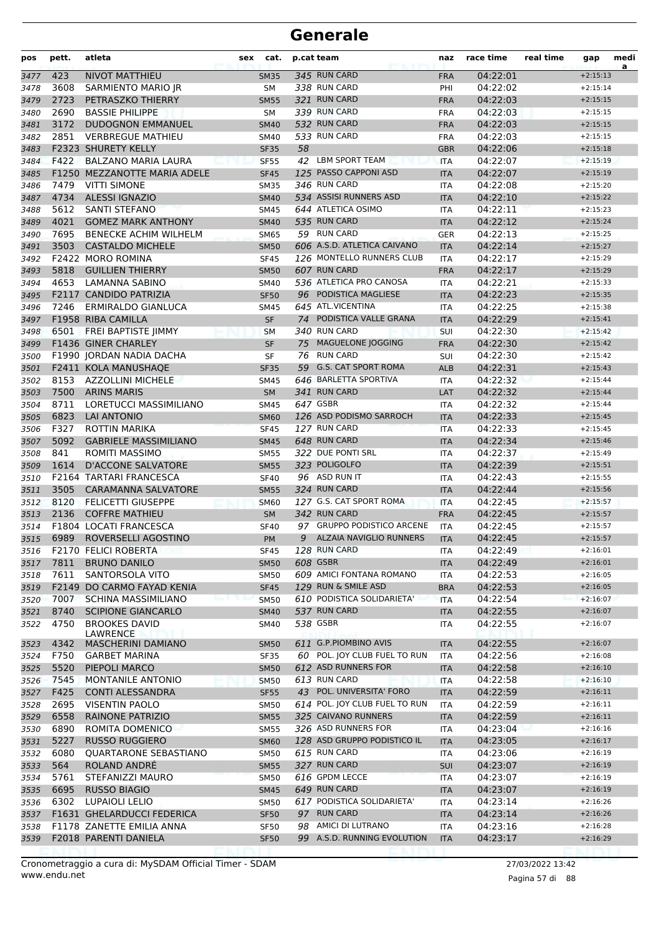| pos  | pett. | atleta                           | sex | cat.        |    | p.cat team                     | naz        | race time | real time | gap        | medi<br>a |
|------|-------|----------------------------------|-----|-------------|----|--------------------------------|------------|-----------|-----------|------------|-----------|
| 3477 | 423   | <b>NIVOT MATTHIEU</b>            |     | <b>SM35</b> |    | 345 RUN CARD                   | <b>FRA</b> | 04:22:01  |           | $+2:15:13$ |           |
| 3478 | 3608  | <b>SARMIENTO MARIO IR</b>        |     | SM          |    | 338 RUN CARD                   | PHI        | 04:22:02  |           | $+2:15:14$ |           |
| 3479 | 2723  | PETRASZKO THIERRY                |     | <b>SM55</b> |    | 321 RUN CARD                   | <b>FRA</b> | 04:22:03  |           | $+2:15:15$ |           |
| 3480 | 2690  | <b>BASSIE PHILIPPE</b>           |     | <b>SM</b>   |    | 339 RUN CARD                   | <b>FRA</b> | 04:22:03  |           | $+2:15:15$ |           |
| 3481 | 3172  | <b>DUDOGNON EMMANUEL</b>         |     | <b>SM40</b> |    | 532 RUN CARD                   | <b>FRA</b> | 04:22:03  |           | $+2:15:15$ |           |
| 3482 | 2851  | <b>VERBREGUE MATHIEU</b>         |     | <b>SM40</b> |    | 533 RUN CARD                   | <b>FRA</b> | 04:22:03  |           | $+2:15:15$ |           |
| 3483 |       | F2323 SHURETY KELLY              |     | <b>SF35</b> | 58 |                                | <b>GBR</b> | 04:22:06  |           | $+2:15:18$ |           |
| 3484 | F422  | <b>BALZANO MARIA LAURA</b>       |     | <b>SF55</b> |    | 42 LBM SPORT TEAM              | <b>ITA</b> | 04:22:07  |           | $+2:15:19$ |           |
| 3485 |       | F1250 MEZZANOTTE MARIA ADELE     |     | <b>SF45</b> |    | 125 PASSO CAPPONI ASD          | <b>ITA</b> | 04:22:07  |           | $+2:15:19$ |           |
| 3486 | 7479  | <b>VITTI SIMONE</b>              |     | <b>SM35</b> |    | 346 RUN CARD                   | <b>ITA</b> | 04:22:08  |           | $+2:15:20$ |           |
| 3487 | 4734  | <b>ALESSI IGNAZIO</b>            |     | <b>SM40</b> |    | 534 ASSISI RUNNERS ASD         | <b>ITA</b> | 04:22:10  |           | $+2:15:22$ |           |
| 3488 | 5612  | <b>SANTI STEFANO</b>             |     | <b>SM45</b> |    | 644 ATLETICA OSIMO             | <b>ITA</b> | 04:22:11  |           | $+2:15:23$ |           |
| 3489 | 4021  | <b>GOMEZ MARK ANTHONY</b>        |     | <b>SM40</b> |    | 535 RUN CARD                   | <b>ITA</b> | 04:22:12  |           | $+2:15:24$ |           |
| 3490 | 7695  | <b>BENECKE ACHIM WILHELM</b>     |     | <b>SM65</b> |    | 59 RUN CARD                    | <b>GER</b> | 04:22:13  |           | $+2:15:25$ |           |
| 3491 | 3503  | <b>CASTALDO MICHELE</b>          |     | <b>SM50</b> |    | 606 A.S.D. ATLETICA CAIVANO    | <b>ITA</b> | 04:22:14  |           | $+2:15:27$ |           |
| 3492 |       | F2422 MORO ROMINA                |     | <b>SF45</b> |    | 126 MONTELLO RUNNERS CLUB      | ITA        | 04:22:17  |           | $+2:15:29$ |           |
| 3493 | 5818  | <b>GUILLIEN THIERRY</b>          |     | <b>SM50</b> |    | 607 RUN CARD                   | <b>FRA</b> | 04:22:17  |           | $+2:15:29$ |           |
| 3494 | 4653  | LAMANNA SABINO                   |     | <b>SM40</b> |    | 536 ATLETICA PRO CANOSA        | <b>ITA</b> | 04:22:21  |           | $+2:15:33$ |           |
| 3495 |       | F2117 CANDIDO PATRIZIA           |     | <b>SF50</b> |    | 96 PODISTICA MAGLIESE          | <b>ITA</b> | 04:22:23  |           | $+2:15:35$ |           |
| 3496 | 7246  | <b>ERMIRALDO GIANLUCA</b>        |     | <b>SM45</b> |    | 645 ATL.VICENTINA              | <b>ITA</b> | 04:22:25  |           | $+2:15:38$ |           |
| 3497 |       | F1958 RIBA CAMILLA               |     | <b>SF</b>   | 74 | PODISTICA VALLE GRANA          | <b>ITA</b> | 04:22:29  |           | $+2:15:41$ |           |
| 3498 | 6501  | FREI BAPTISTE JIMMY              |     | SΜ          |    | 340 RUN CARD                   | <b>SUI</b> | 04:22:30  |           | $+2:15:42$ |           |
| 3499 |       | F1436 GINER CHARLEY              |     | <b>SF</b>   | 75 | MAGUELONE JOGGING              | <b>FRA</b> | 04:22:30  |           | $+2:15:42$ |           |
| 3500 |       | F1990 IORDAN NADIA DACHA         |     | <b>SF</b>   | 76 | <b>RUN CARD</b>                | SUI        | 04:22:30  |           | $+2:15:42$ |           |
| 3501 |       | F2411 KOLA MANUSHAQE             |     | <b>SF35</b> | 59 | <b>G.S. CAT SPORT ROMA</b>     | <b>ALB</b> | 04:22:31  |           | $+2:15:43$ |           |
| 3502 | 8153  | <b>AZZOLLINI MICHELE</b>         |     | <b>SM45</b> |    | 646 BARLETTA SPORTIVA          | <b>ITA</b> | 04:22:32  |           | $+2:15:44$ |           |
| 3503 | 7500  | <b>ARINS MARIS</b>               |     | <b>SM</b>   |    | 341 RUN CARD                   | LAT        | 04:22:32  |           | $+2:15:44$ |           |
| 3504 | 8711  | LORETUCCI MASSIMILIANO           |     | <b>SM45</b> |    | $647$ GSBR                     | <b>ITA</b> | 04:22:32  |           | $+2:15:44$ |           |
| 3505 | 6823  | LAI ANTONIO                      |     | <b>SM60</b> |    | 126 ASD PODISMO SARROCH        | <b>ITA</b> | 04:22:33  |           | $+2:15:45$ |           |
| 3506 | F327  | ROTTIN MARIKA                    |     | <b>SF45</b> |    | 127 RUN CARD                   | <b>ITA</b> | 04:22:33  |           | $+2:15:45$ |           |
| 3507 | 5092  | <b>GABRIELE MASSIMILIANO</b>     |     | <b>SM45</b> |    | 648 RUN CARD                   | <b>ITA</b> | 04:22:34  |           | $+2:15:46$ |           |
| 3508 | 841   | ROMITI MASSIMO                   |     | <b>SM55</b> |    | 322 DUE PONTI SRL              | <b>ITA</b> | 04:22:37  |           | $+2:15:49$ |           |
| 3509 | 1614  | <b>D'ACCONE SALVATORE</b>        |     | <b>SM55</b> |    | 323 POLIGOLFO                  | <b>ITA</b> | 04:22:39  |           | $+2:15:51$ |           |
| 3510 | F2164 | <b>TARTARI FRANCESCA</b>         |     | <b>SF40</b> |    | 96 ASD RUN IT                  | <b>ITA</b> | 04:22:43  |           | $+2:15:55$ |           |
| 3511 | 3505  | <b>CARAMANNA SALVATORE</b>       |     | <b>SM55</b> |    | 324 RUN CARD                   | <b>ITA</b> | 04:22:44  |           | $+2:15:56$ |           |
| 3512 | 8120  | <b>FELICETTI GIUSEPPE</b>        |     | <b>SM60</b> |    | 127 G.S. CAT SPORT ROMA        | <b>ITA</b> | 04:22:45  |           | $+2:15:57$ |           |
| 3513 | 2136  | <b>COFFRE MATHIEU</b>            |     | <b>SM</b>   |    | 342 RUN CARD                   | <b>FRA</b> | 04:22:45  |           | $+2:15:57$ |           |
| 3514 |       | F1804 LOCATI FRANCESCA           |     | <b>SF40</b> | 97 | <b>GRUPPO PODISTICO ARCENE</b> | ITA        | 04:22:45  |           | $+2:15:57$ |           |
| 3515 | 6989  | ROVERSELLI AGOSTINO              |     | PM          | 9  | ALZAIA NAVIGLIO RUNNERS        | <b>ITA</b> | 04:22:45  |           | $+2:15:57$ |           |
| 3516 |       | F2170 FELICI ROBERTA             |     | <b>SF45</b> |    | 128 RUN CARD                   | ITA        | 04:22:49  |           | $+2:16:01$ |           |
| 3517 | 7811  | <b>BRUNO DANILO</b>              |     | <b>SM50</b> |    | 608 GSBR                       | <b>ITA</b> | 04:22:49  |           | $+2:16:01$ |           |
| 3518 | 7611  | SANTORSOLA VITO                  |     | <b>SM50</b> |    | 609 AMICI FONTANA ROMANO       | ITA        | 04:22:53  |           | $+2:16:05$ |           |
| 3519 |       | F2149 DO CARMO FAYAD KENIA       |     | <b>SF45</b> |    | 129 RUN & SMILE ASD            | <b>BRA</b> | 04:22:53  |           | $+2:16:05$ |           |
| 3520 | 7007  | <b>SCHINA MASSIMILIANO</b>       |     | <b>SM50</b> |    | 610 PODISTICA SOLIDARIETA'     | <b>ITA</b> | 04:22:54  |           | $+2:16:07$ |           |
| 3521 | 8740  | <b>SCIPIONE GIANCARLO</b>        |     | <b>SM40</b> |    | 537 RUN CARD                   | <b>ITA</b> | 04:22:55  |           | $+2:16:07$ |           |
| 3522 | 4750  | <b>BROOKES DAVID</b><br>LAWRENCE |     | SM40        |    | 538 GSBR                       | ITA        | 04:22:55  |           | $+2:16:07$ |           |
| 3523 | 4342  | <b>MASCHERINI DAMIANO</b>        |     | <b>SM50</b> |    | 611 G.P.PIOMBINO AVIS          | <b>ITA</b> | 04:22:55  |           | $+2:16:07$ |           |
| 3524 | F750  | <b>GARBET MARINA</b>             |     | <b>SF35</b> |    | 60 POL. JOY CLUB FUEL TO RUN   | ITA        | 04:22:56  |           | $+2:16:08$ |           |
| 3525 | 5520  | PIEPOLI MARCO                    |     | <b>SM50</b> |    | 612 ASD RUNNERS FOR            | <b>ITA</b> | 04:22:58  |           | $+2:16:10$ |           |
| 3526 | 7545  | MONTANILE ANTONIO                |     | <b>SM50</b> |    | 613 RUN CARD                   | ITA        | 04:22:58  |           | $+2:16:10$ |           |
| 3527 | F425  | <b>CONTI ALESSANDRA</b>          |     | <b>SF55</b> |    | 43 POL. UNIVERSITA' FORO       | <b>ITA</b> | 04:22:59  |           | $+2:16:11$ |           |
| 3528 | 2695  | <b>VISENTIN PAOLO</b>            |     | <b>SM50</b> |    | 614 POL. JOY CLUB FUEL TO RUN  | ITA        | 04:22:59  |           | $+2:16:11$ |           |
| 3529 | 6558  | <b>RAINONE PATRIZIO</b>          |     | <b>SM55</b> |    | 325 CAIVANO RUNNERS            | <b>ITA</b> | 04:22:59  |           | $+2:16:11$ |           |
| 3530 | 6890  | ROMITA DOMENICO                  |     | <b>SM55</b> |    | 326 ASD RUNNERS FOR            | ITA        | 04:23:04  |           | $+2:16:16$ |           |
| 3531 | 5227  | <b>RUSSO RUGGIERO</b>            |     | <b>SM60</b> |    | 128 ASD GRUPPO PODISTICO IL    | <b>ITA</b> | 04:23:05  |           | $+2:16:17$ |           |
| 3532 | 6080  | QUARTARONE SEBASTIANO            |     | <b>SM50</b> |    | 615 RUN CARD                   | ITA        | 04:23:06  |           | $+2:16:19$ |           |
| 3533 | 564   | ROLAND ANDRÉ                     |     | <b>SM55</b> |    | 327 RUN CARD                   | <b>SUI</b> | 04:23:07  |           | $+2:16:19$ |           |
| 3534 | 5761  | STEFANIZZI MAURO                 |     | <b>SM50</b> |    | 616 GPDM LECCE                 | ITA        | 04:23:07  |           | $+2:16:19$ |           |
| 3535 | 6695  | <b>RUSSO BIAGIO</b>              |     | <b>SM45</b> |    | 649 RUN CARD                   | <b>ITA</b> | 04:23:07  |           | $+2:16:19$ |           |
| 3536 | 6302  | LUPAIOLI LELIO                   |     | <b>SM50</b> |    | 617 PODISTICA SOLIDARIETA'     | ITA        | 04:23:14  |           | $+2:16:26$ |           |
| 3537 |       | F1631 GHELARDUCCI FEDERICA       |     | <b>SF50</b> |    | 97 RUN CARD                    | <b>ITA</b> | 04:23:14  |           | $+2:16:26$ |           |
| 3538 |       | F1178 ZANETTE EMILIA ANNA        |     | SF50        |    | 98 AMICI DI LUTRANO            | ITA        | 04:23:16  |           | $+2:16:28$ |           |
| 3539 |       | F2018 PARENTI DANIELA            |     | <b>SF50</b> |    | 99 A.S.D. RUNNING EVOLUTION    | <b>ITA</b> | 04:23:17  |           | $+2:16:29$ |           |
|      |       |                                  |     |             |    |                                |            |           |           |            |           |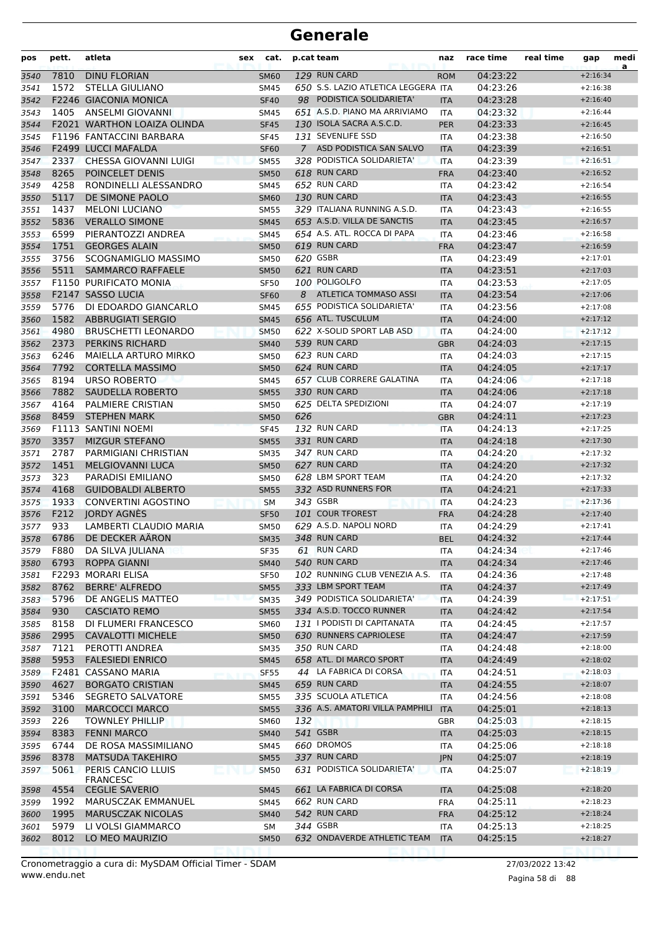| pos  | pett. | atleta                                | cat.<br>sex        |     | p.cat team                          | naz        | race time | real time | gap        | medi<br>a |
|------|-------|---------------------------------------|--------------------|-----|-------------------------------------|------------|-----------|-----------|------------|-----------|
| 3540 | 7810  | <b>DINU FLORIAN</b>                   | <b>SM60</b>        |     | 129 RUN CARD                        | <b>ROM</b> | 04:23:22  |           | $+2:16:34$ |           |
| 3541 | 1572  | STELLA GIULIANO                       | <b>SM45</b>        |     | 650 S.S. LAZIO ATLETICA LEGGERA ITA |            | 04:23:26  |           | $+2:16:38$ |           |
| 3542 |       | F2246 GIACONIA MONICA                 | <b>SF40</b>        |     | 98 PODISTICA SOLIDARIETA'           | <b>ITA</b> | 04:23:28  |           | $+2:16:40$ |           |
| 3543 | 1405  | ANSELMI GIOVANNI                      | SM45               |     | 651 A.S.D. PIANO MA ARRIVIAMO       | ITA        | 04:23:32  |           | $+2:16:44$ |           |
| 3544 |       | <b>F2021 WARTHON LOAIZA OLINDA</b>    | <b>SF45</b>        |     | 130 ISOLA SACRA A.S.C.D.            | <b>PER</b> | 04:23:33  |           | $+2:16:45$ |           |
| 3545 |       | F1196 FANTACCINI BARBARA              | <b>SF45</b>        |     | 131 SEVENLIFE SSD                   | ITA        | 04:23:38  |           | $+2:16:50$ |           |
| 3546 |       | F2499 LUCCI MAFALDA                   | <b>SF60</b>        | 7   | ASD PODISTICA SAN SALVO             | <b>ITA</b> | 04:23:39  |           | $+2:16:51$ |           |
| 3547 | 2337  | CHESSA GIOVANNI LUIGI                 | <b>SM55</b>        |     | 328 PODISTICA SOLIDARIETA'          | <b>ITA</b> | 04:23:39  |           | $+2:16:51$ |           |
| 3548 | 8265  | POINCELET DENIS                       | <b>SM50</b>        |     | 618 RUN CARD                        | <b>FRA</b> | 04:23:40  |           | $+2:16:52$ |           |
| 3549 | 4258  | RONDINELLI ALESSANDRO                 | SM45               |     | 652 RUN CARD                        | <b>ITA</b> | 04:23:42  |           | $+2:16:54$ |           |
| 3550 | 5117  | DE SIMONE PAOLO                       | <b>SM60</b>        |     | 130 RUN CARD                        | <b>ITA</b> | 04:23:43  |           | $+2:16:55$ |           |
| 3551 | 1437  | <b>MELONI LUCIANO</b>                 | <b>SM55</b>        |     | 329 ITALIANA RUNNING A.S.D.         | <b>ITA</b> | 04:23:43  |           | $+2:16:55$ |           |
| 3552 | 5836  | <b>VERALLO SIMONE</b>                 | <b>SM45</b>        |     | 653 A.S.D. VILLA DE SANCTIS         | <b>ITA</b> | 04:23:45  |           | $+2:16:57$ |           |
| 3553 | 6599  | PIERANTOZZI ANDREA                    | <b>SM45</b>        |     | 654 A.S. ATL. ROCCA DI PAPA         | <b>ITA</b> | 04:23:46  |           | $+2:16:58$ |           |
| 3554 | 1751  | <b>GEORGES ALAIN</b>                  | <b>SM50</b>        |     | 619 RUN CARD                        | <b>FRA</b> | 04:23:47  |           | $+2:16:59$ |           |
| 3555 | 3756  | SCOGNAMIGLIO MASSIMO                  | <b>SM50</b>        |     | 620 GSBR                            | ITA        | 04:23:49  |           | $+2:17:01$ |           |
| 3556 | 5511  | SAMMARCO RAFFAELE                     | <b>SM50</b>        |     | 621 RUN CARD                        | <b>ITA</b> | 04:23:51  |           | $+2:17:03$ |           |
| 3557 |       | F1150 PURIFICATO MONIA                | <b>SF50</b>        |     | 100 POLIGOLFO                       | <b>ITA</b> | 04:23:53  |           | $+2:17:05$ |           |
| 3558 |       | F2147 SASSO LUCIA                     | <b>SF60</b>        | 8   | <b>ATLETICA TOMMASO ASSI</b>        | <b>ITA</b> | 04:23:54  |           | $+2:17:06$ |           |
| 3559 | 5776  | DI EDOARDO GIANCARLO                  | <b>SM45</b>        |     | 655 PODISTICA SOLIDARIETA'          | <b>ITA</b> | 04:23:56  |           | $+2:17:08$ |           |
| 3560 | 1582  | <b>ABBRUGIATI SERGIO</b>              | <b>SM45</b>        |     | 656 ATL. TUSCULUM                   | <b>ITA</b> | 04:24:00  |           | $+2:17:12$ |           |
| 3561 | 4980  | <b>BRUSCHETTI LEONARDO</b>            | <b>SM50</b>        |     | 622 X-SOLID SPORT LAB ASD           | <b>ITA</b> | 04:24:00  |           | $+2:17:12$ |           |
| 3562 | 2373  | PERKINS RICHARD                       | <b>SM40</b>        |     | 539 RUN CARD                        | <b>GBR</b> | 04:24:03  |           | $+2:17:15$ |           |
| 3563 | 6246  | <b>MAIELLA ARTURO MIRKO</b>           | <b>SM50</b>        |     | 623 RUN CARD                        | <b>ITA</b> | 04:24:03  |           | $+2:17:15$ |           |
| 3564 | 7792  | <b>CORTELLA MASSIMO</b>               | <b>SM50</b>        |     | 624 RUN CARD                        | <b>ITA</b> | 04:24:05  |           | $+2:17:17$ |           |
| 3565 | 8194  | <b>URSO ROBERTO</b>                   | <b>SM45</b>        |     | 657 CLUB CORRERE GALATINA           | <b>ITA</b> | 04:24:06  |           | $+2:17:18$ |           |
| 3566 | 7882  | <b>SAUDELLA ROBERTO</b>               | <b>SM55</b>        |     | 330 RUN CARD                        | <b>ITA</b> | 04:24:06  |           | $+2:17:18$ |           |
| 3567 | 4164  | PALMIERE CRISTIAN                     | <b>SM50</b>        |     | 625 DELTA SPEDIZIONI                | <b>ITA</b> | 04:24:07  |           | $+2:17:19$ |           |
| 3568 | 8459  | <b>STEPHEN MARK</b>                   | <b>SM50</b>        | 626 |                                     | <b>GBR</b> | 04:24:11  |           | $+2:17:23$ |           |
| 3569 |       | F1113 SANTINI NOEMI                   | <b>SF45</b>        |     | 132 RUN CARD                        | <b>ITA</b> | 04:24:13  |           | $+2:17:25$ |           |
| 3570 | 3357  | <b>MIZGUR STEFANO</b>                 | <b>SM55</b>        |     | 331 RUN CARD                        | <b>ITA</b> | 04:24:18  |           | $+2:17:30$ |           |
| 3571 | 2787  | PARMIGIANI CHRISTIAN                  | <b>SM35</b>        |     | 347 RUN CARD                        | <b>ITA</b> | 04:24:20  |           | $+2:17:32$ |           |
| 3572 | 1451  | <b>MELGIOVANNI LUCA</b>               | <b>SM50</b>        |     | 627 RUN CARD                        | <b>ITA</b> | 04:24:20  |           | $+2:17:32$ |           |
| 3573 | 323   | PARADISI EMILIANO                     | <b>SM50</b>        |     | 628 LBM SPORT TEAM                  | <b>ITA</b> | 04:24:20  |           | $+2:17:32$ |           |
| 3574 | 4168  | <b>GUIDOBALDI ALBERTO</b>             | <b>SM55</b>        |     | 332 ASD RUNNERS FOR                 | <b>ITA</b> | 04:24:21  |           | $+2:17:33$ |           |
| 3575 | 1933  | <b>CONVERTINI AGOSTINO</b>            | <b>SM</b>          |     | 343 GSBR                            | <b>ITA</b> | 04:24:23  |           | $+2:17:36$ |           |
| 3576 | F212  | <b>JORDY AGNES</b>                    | <b>SF50</b>        |     | 101 COUR TFOREST                    | <b>FRA</b> | 04:24:28  |           | $+2:17:40$ |           |
| 3577 | 933   | LAMBERTI CLAUDIO MARIA                | <b>SM50</b>        |     | 629 A.S.D. NAPOLI NORD              | <b>ITA</b> | 04:24:29  |           | $+2:17:41$ |           |
| 3578 | 6786  | DE DECKER AÄRON                       | <b>SM35</b>        |     | 348 RUN CARD                        | <b>BEL</b> | 04:24:32  |           | $+2:17:44$ |           |
| 3579 | F880  | DA SILVA JULIANA                      | <b>SF35</b>        |     | 61 RUN CARD                         | ITA        | 04:24:34  |           | $+2:17:46$ |           |
| 3580 | 6793  | <b>ROPPA GIANNI</b>                   | <b>SM40</b>        |     | 540 RUN CARD                        | <b>ITA</b> | 04:24:34  |           | $+2:17:46$ |           |
| 3581 |       | F2293 MORARI ELISA                    | <b>SF50</b>        |     | 102 RUNNING CLUB VENEZIA A.S.       | <b>ITA</b> | 04:24:36  |           | $+2:17:48$ |           |
| 3582 | 8762  | <b>BERRE' ALFREDO</b>                 | <b>SM55</b>        |     | 333 LBM SPORT TEAM                  | <b>ITA</b> | 04:24:37  |           | $+2:17:49$ |           |
| 3583 | 5796  | DE ANGELIS MATTEO                     | <b>SM35</b>        |     | 349 PODISTICA SOLIDARIETA'          | <b>ITA</b> | 04:24:39  |           | $+2:17:51$ |           |
| 3584 | 930   | <b>CASCIATO REMO</b>                  | <b>SM55</b>        |     | 334 A.S.D. TOCCO RUNNER             | <b>ITA</b> | 04:24:42  |           | $+2:17:54$ |           |
| 3585 | 8158  | DI FLUMERI FRANCESCO                  | <b>SM60</b>        |     | 131 I PODISTI DI CAPITANATA         | ITA        | 04:24:45  |           | $+2:17:57$ |           |
| 3586 | 2995  | <b>CAVALOTTI MICHELE</b>              | <b>SM50</b>        |     | 630 RUNNERS CAPRIOLESE              | <b>ITA</b> | 04:24:47  |           | $+2:17:59$ |           |
| 3587 | 7121  | PEROTTI ANDREA                        | <b>SM35</b>        |     | 350 RUN CARD                        | ITA        | 04:24:48  |           | $+2:18:00$ |           |
| 3588 | 5953  | <b>FALESIEDI ENRICO</b>               | <b>SM45</b>        |     | 658 ATL. DI MARCO SPORT             | <b>ITA</b> | 04:24:49  |           | $+2:18:02$ |           |
| 3589 |       | F2481 CASSANO MARIA                   | <b>SF55</b>        |     | 44 LA FABRICA DI CORSA              | <b>ITA</b> | 04:24:51  |           | $+2:18:03$ |           |
| 3590 | 4627  | <b>BORGATO CRISTIAN</b>               | <b>SM45</b>        |     | 659 RUN CARD                        | <b>ITA</b> | 04:24:55  |           | $+2:18:07$ |           |
| 3591 | 5346  | <b>SEGRETO SALVATORE</b>              | <b>SM55</b>        |     | 335 SCUOLA ATLETICA                 | <b>ITA</b> | 04:24:56  |           | $+2:18:08$ |           |
| 3592 | 3100  | <b>MARCOCCI MARCO</b>                 | <b>SM55</b>        |     | 336 A.S. AMATORI VILLA PAMPHILI     | <b>ITA</b> | 04:25:01  |           | $+2:18:13$ |           |
| 3593 | 226   | <b>TOWNLEY PHILLIP</b>                | <b>SM60</b>        | 132 |                                     | GBR        | 04:25:03  |           | $+2:18:15$ |           |
| 3594 | 8383  | <b>FENNI MARCO</b>                    | <b>SM40</b>        |     | 541 GSBR                            | <b>ITA</b> | 04:25:03  |           | $+2:18:15$ |           |
| 3595 | 6744  | DE ROSA MASSIMILIANO                  | SM45               |     | 660 DROMOS                          | <b>ITA</b> | 04:25:06  |           | $+2:18:18$ |           |
| 3596 | 8378  | <b>MATSUDA TAKEHIRO</b>               | <b>SM55</b>        |     | 337 RUN CARD                        | <b>JPN</b> | 04:25:07  |           | $+2:18:19$ |           |
| 3597 | 5061  | PERIS CANCIO LLUIS<br><b>FRANCESC</b> | <b>SM50</b><br>ety |     | 631 PODISTICA SOLIDARIETA'          | <b>ITA</b> | 04:25:07  |           | $+2:18:19$ |           |
| 3598 | 4554  | <b>CEGLIE SAVERIO</b>                 | <b>SM45</b>        |     | 661 LA FABRICA DI CORSA             | <b>ITA</b> | 04:25:08  |           | $+2:18:20$ |           |
| 3599 | 1992  | MARUSCZAK EMMANUEL                    | SM45               |     | 662 RUN CARD                        | <b>FRA</b> | 04:25:11  |           | $+2:18:23$ |           |
| 3600 | 1995  | <b>MARUSCZAK NICOLAS</b>              | <b>SM40</b>        |     | 542 RUN CARD                        | <b>FRA</b> | 04:25:12  |           | $+2:18:24$ |           |
| 3601 | 5979  | LI VOLSI GIAMMARCO                    | SΜ                 |     | 344 GSBR                            | ITA        | 04:25:13  |           | $+2:18:25$ |           |
| 3602 | 8012  | LO MEO MAURIZIO                       | <b>SM50</b>        |     | 632 ONDAVERDE ATHLETIC TEAM         | <b>ITA</b> | 04:25:15  |           | $+2:18:27$ |           |
|      |       |                                       |                    |     |                                     |            |           |           |            |           |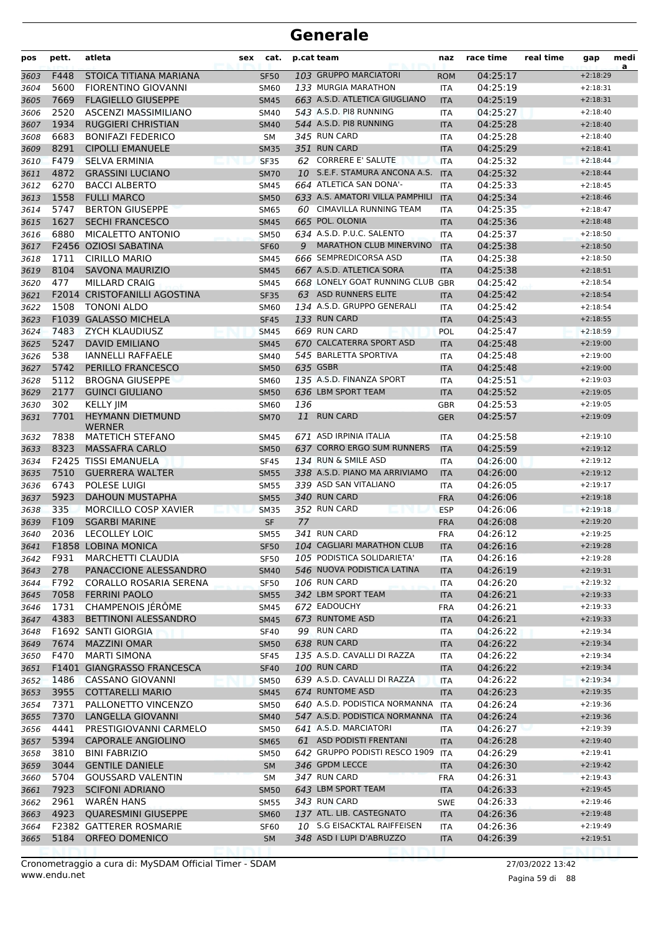| pos  | pett. | atleta                                   | sex | cat.        | p.cat team |                                   | naz        | race time | real time | gap        | medi<br>a |
|------|-------|------------------------------------------|-----|-------------|------------|-----------------------------------|------------|-----------|-----------|------------|-----------|
| 3603 | F448  | STOICA TITIANA MARIANA                   |     | <b>SF50</b> |            | 103 GRUPPO MARCIATORI             | <b>ROM</b> | 04:25:17  |           | $+2:18:29$ |           |
| 3604 | 5600  | <b>FIORENTINO GIOVANNI</b>               |     | <b>SM60</b> |            | 133 MURGIA MARATHON               | ITA        | 04:25:19  |           | $+2:18:31$ |           |
| 3605 | 7669  | <b>FLAGIELLO GIUSEPPE</b>                |     | <b>SM45</b> |            | 663 A.S.D. ATLETICA GIUGLIANO     | <b>ITA</b> | 04:25:19  |           | $+2:18:31$ |           |
| 3606 | 2520  | ASCENZI MASSIMILIANO                     |     | <b>SM40</b> |            | 543 A.S.D. PI8 RUNNING            | <b>ITA</b> | 04:25:27  |           | $+2:18:40$ |           |
| 3607 | 1934  | <b>RUGGIERI CHRISTIAN</b>                |     | <b>SM40</b> |            | 544 A.S.D. PI8 RUNNING            | <b>ITA</b> | 04:25:28  |           | $+2:18:40$ |           |
| 3608 | 6683  | <b>BONIFAZI FEDERICO</b>                 |     | SM          |            | 345 RUN CARD                      | ITA        | 04:25:28  |           | $+2:18:40$ |           |
| 3609 | 8291  | <b>CIPOLLI EMANUELE</b>                  |     | <b>SM35</b> |            | 351 RUN CARD                      | <b>ITA</b> | 04:25:29  |           | $+2:18:41$ |           |
| 3610 | F479  | <b>SELVA ERMINIA</b>                     |     | <b>SF35</b> |            | 62 CORRERE E' SALUTE              | <b>ITA</b> | 04:25:32  |           | $+2:18:44$ |           |
| 3611 | 4872  | <b>GRASSINI LUCIANO</b>                  |     | <b>SM70</b> |            | 10 S.E.F. STAMURA ANCONA A.S.     | <b>ITA</b> | 04:25:32  |           | $+2:18:44$ |           |
| 3612 | 6270  | <b>BACCI ALBERTO</b>                     |     | <b>SM45</b> |            | 664 ATLETICA SAN DONA'-           | <b>ITA</b> | 04:25:33  |           | $+2:18:45$ |           |
| 3613 | 1558  | <b>FULLI MARCO</b>                       |     | <b>SM50</b> |            | 633 A.S. AMATORI VILLA PAMPHILI   | <b>ITA</b> | 04:25:34  |           | $+2:18:46$ |           |
| 3614 | 5747  | <b>BERTON GIUSEPPE</b>                   |     | <b>SM65</b> |            | 60 CIMAVILLA RUNNING TEAM         | ITA        | 04:25:35  |           | $+2:18:47$ |           |
| 3615 | 1627  | <b>SECHI FRANCESCO</b>                   |     | <b>SM45</b> |            | 665 POL. OLONIA                   | <b>ITA</b> | 04:25:36  |           | $+2:18:48$ |           |
| 3616 | 6880  | MICALETTO ANTONIO                        |     | <b>SM50</b> |            | 634 A.S.D. P.U.C. SALENTO         | <b>ITA</b> | 04:25:37  |           | $+2:18:50$ |           |
| 3617 |       | F2456 OZIOSI SABATINA                    |     | <b>SF60</b> | 9          | <b>MARATHON CLUB MINERVINO</b>    | <b>ITA</b> | 04:25:38  |           | $+2:18:50$ |           |
| 3618 | 1711  | <b>CIRILLO MARIO</b>                     |     | <b>SM45</b> |            | 666 SEMPREDICORSA ASD             | ITA        | 04:25:38  |           | $+2:18:50$ |           |
| 3619 | 8104  | <b>SAVONA MAURIZIO</b>                   |     | <b>SM45</b> |            | 667 A.S.D. ATLETICA SORA          | <b>ITA</b> | 04:25:38  |           | $+2:18:51$ |           |
| 3620 | 477   | <b>MILLARD CRAIG</b>                     |     | <b>SM45</b> |            | 668 LONELY GOAT RUNNING CLUB GBR  |            | 04:25:42  |           | $+2:18:54$ |           |
| 3621 |       | F2014 CRISTOFANILLI AGOSTINA             |     | <b>SF35</b> |            | 63 ASD RUNNERS ELITE              | <b>ITA</b> | 04:25:42  |           | $+2:18:54$ |           |
| 3622 | 1508  | <b>TONONI ALDO</b>                       |     | <b>SM60</b> |            | 134 A.S.D. GRUPPO GENERALI        | <b>ITA</b> | 04:25:42  |           | $+2:18:54$ |           |
| 3623 |       | F1039 GALASSO MICHELA                    |     | <b>SF45</b> |            | 133 RUN CARD                      | <b>ITA</b> | 04:25:43  |           | $+2:18:55$ |           |
| 3624 | 7483  | <b>ZYCH KLAUDIUSZ</b>                    |     | <b>SM45</b> |            | 669 RUN CARD                      | <b>POL</b> | 04:25:47  |           | $+2:18:59$ |           |
| 3625 | 5247  | <b>DAVID EMILIANO</b>                    |     | <b>SM45</b> |            | 670 CALCATERRA SPORT ASD          | <b>ITA</b> | 04:25:48  |           | $+2:19:00$ |           |
| 3626 | 538   | <b>IANNELLI RAFFAELE</b>                 |     | <b>SM40</b> |            | 545 BARLETTA SPORTIVA             | <b>ITA</b> | 04:25:48  |           | $+2:19:00$ |           |
| 3627 | 5742  | PERILLO FRANCESCO                        |     | <b>SM50</b> |            | 635 GSBR                          | <b>ITA</b> | 04:25:48  |           | $+2:19:00$ |           |
| 3628 | 5112  | <b>BROGNA GIUSEPPE</b>                   |     | <b>SM60</b> |            | 135 A.S.D. FINANZA SPORT          | <b>ITA</b> | 04:25:51  |           | $+2:19:03$ |           |
| 3629 | 2177  | <b>GUINCI GIULIANO</b>                   |     | <b>SM50</b> |            | 636 LBM SPORT TEAM                | <b>ITA</b> | 04:25:52  |           | $+2:19:05$ |           |
| 3630 | 302   | <b>KELLY JIM</b>                         |     | <b>SM60</b> | 136        |                                   | GBR        | 04:25:53  |           | $+2:19:05$ |           |
| 3631 | 7701  | <b>HEYMANN DIETMUND</b><br><b>WERNER</b> |     | <b>SM70</b> | 11         | <b>RUN CARD</b>                   | <b>GER</b> | 04:25:57  |           | $+2:19:09$ |           |
| 3632 | 7838  | <b>MATETICH STEFANO</b>                  |     | <b>SM45</b> |            | 671 ASD IRPINIA ITALIA            | <b>ITA</b> | 04:25:58  |           | $+2:19:10$ |           |
| 3633 | 8323  | <b>MASSAFRA CARLO</b>                    |     | <b>SM50</b> |            | 637 CORRO ERGO SUM RUNNERS        | <b>ITA</b> | 04:25:59  |           | $+2:19:12$ |           |
| 3634 |       | F2425 TISSI EMANUELA                     |     | <b>SF45</b> |            | 134 RUN & SMILE ASD               | <b>ITA</b> | 04:26:00  |           | $+2:19:12$ |           |
| 3635 | 7510  | <b>GUERRERA WALTER</b>                   |     | <b>SM55</b> |            | 338 A.S.D. PIANO MA ARRIVIAMO     | <b>ITA</b> | 04:26:00  |           | $+2:19:12$ |           |
| 3636 | 6743  | POLESE LUIGI                             |     | <b>SM55</b> |            | 339 ASD SAN VITALIANO             | ITA        | 04:26:05  |           | $+2:19:17$ |           |
| 3637 | 5923  | <b>DAHOUN MUSTAPHA</b>                   |     | <b>SM55</b> |            | 340 RUN CARD                      | <b>FRA</b> | 04:26:06  |           | $+2:19:18$ |           |
| 3638 | 335   | <b>MORCILLO COSP XAVIER</b>              |     | <b>SM35</b> |            | 352 RUN CARD                      | <b>ESP</b> | 04:26:06  |           | $+2:19:18$ |           |
| 3639 | F109  | <b>SGARBI MARINE</b>                     |     | <b>SF</b>   | 77         |                                   | <b>FRA</b> | 04:26:08  |           | $+2:19:20$ |           |
| 3640 | 2036  | <b>LECOLLEY LOIC</b>                     |     | <b>SM55</b> |            | 341 RUN CARD                      | <b>FRA</b> | 04:26:12  |           | $+2:19:25$ |           |
| 3641 |       | F1858 LOBINA MONICA                      |     | <b>SF50</b> |            | 104 CAGLIARI MARATHON CLUB        | ITA        | 04:26:16  |           | $+2:19:28$ |           |
| 3642 | F931  | MARCHETTI CLAUDIA                        |     | SF50        |            | 105 PODISTICA SOLIDARIETA'        | ITA        | 04:26:16  |           | $+2:19:28$ |           |
| 3643 | 278   | PANACCIONE ALESSANDRO                    |     | <b>SM40</b> |            | 546 NUOVA PODISTICA LATINA        | <b>ITA</b> | 04:26:19  |           | $+2:19:31$ |           |
| 3644 | F792  | CORALLO ROSARIA SERENA                   |     | <b>SF50</b> |            | 106 RUN CARD                      | ITA        | 04:26:20  |           | $+2:19:32$ |           |
| 3645 | 7058  | <b>FERRINI PAOLO</b>                     |     | <b>SM55</b> |            | 342 LBM SPORT TEAM                | <b>ITA</b> | 04:26:21  |           | $+2:19:33$ |           |
| 3646 | 1731  | CHAMPENOIS JERÔME                        |     | <b>SM45</b> |            | 672 EADOUCHY                      | <b>FRA</b> | 04:26:21  |           | $+2:19:33$ |           |
| 3647 | 4383  | BETTINONI ALESSANDRO                     |     | <b>SM45</b> |            | 673 RUNTOME ASD                   | <b>ITA</b> | 04:26:21  |           | $+2:19:33$ |           |
| 3648 |       | F1692 SANTI GIORGIA                      |     | <b>SF40</b> |            | 99 RUN CARD                       | ITA        | 04:26:22  |           | $+2:19:34$ |           |
| 3649 | 7674  | <b>MAZZINI OMAR</b>                      |     | <b>SM50</b> |            | 638 RUN CARD                      | <b>ITA</b> | 04:26:22  |           | $+2:19:34$ |           |
| 3650 | F470  | <b>MARTI SIMONA</b>                      |     | <b>SF45</b> |            | 135 A.S.D. CAVALLI DI RAZZA       | <b>ITA</b> | 04:26:22  |           | $+2:19:34$ |           |
| 3651 |       | F1401 GIANGRASSO FRANCESCA               |     | <b>SF40</b> |            | <b>100 RUN CARD</b>               | <b>ITA</b> | 04:26:22  |           | $+2:19:34$ |           |
| 3652 | 1486  | CASSANO GIOVANNI                         |     | <b>SM50</b> |            | 639 A.S.D. CAVALLI DI RAZZA       | <b>ITA</b> | 04:26:22  |           | $+2:19:34$ |           |
| 3653 | 3955  | <b>COTTARELLI MARIO</b>                  |     | <b>SM45</b> |            | 674 RUNTOME ASD                   | <b>ITA</b> | 04:26:23  |           | $+2:19:35$ |           |
| 3654 | 7371  | PALLONETTO VINCENZO                      |     | <b>SM50</b> |            | 640 A.S.D. PODISTICA NORMANNA ITA |            | 04:26:24  |           | $+2:19:36$ |           |
| 3655 | 7370  | LANGELLA GIOVANNI                        |     | <b>SM40</b> |            | 547 A.S.D. PODISTICA NORMANNA     | <b>ITA</b> | 04:26:24  |           | $+2:19:36$ |           |
| 3656 | 4441  | PRESTIGIOVANNI CARMELO                   |     | <b>SM50</b> |            | 641 A.S.D. MARCIATORI             | ITA        | 04:26:27  |           | $+2:19:39$ |           |
| 3657 | 5394  | <b>CAPORALE ANGIOLINO</b>                |     | <b>SM65</b> |            | 61 ASD PODISTI FRENTANI           | <b>ITA</b> | 04:26:28  |           | $+2:19:40$ |           |
| 3658 | 3810  | <b>BINI FABRIZIO</b>                     |     | <b>SM50</b> |            | 642 GRUPPO PODISTI RESCO 1909 ITA |            | 04:26:29  |           | $+2:19:41$ |           |
| 3659 | 3044  | <b>GENTILE DANIELE</b>                   |     | SM          |            | 346 GPDM LECCE                    | <b>ITA</b> | 04:26:30  |           | $+2:19:42$ |           |
| 3660 | 5704  | <b>GOUSSARD VALENTIN</b>                 |     | <b>SM</b>   |            | 347 RUN CARD                      | <b>FRA</b> | 04:26:31  |           | $+2:19:43$ |           |
| 3661 | 7923  | <b>SCIFONI ADRIANO</b>                   |     | <b>SM50</b> |            | 643 LBM SPORT TEAM                | <b>ITA</b> | 04:26:33  |           | $+2:19:45$ |           |
| 3662 | 2961  | <b>WAREN HANS</b>                        |     | <b>SM55</b> |            | 343 RUN CARD                      | SWE        | 04:26:33  |           | $+2:19:46$ |           |
| 3663 | 4923  | <b>QUARESMINI GIUSEPPE</b>               |     | <b>SM60</b> |            | 137 ATL. LIB. CASTEGNATO          | <b>ITA</b> | 04:26:36  |           | $+2:19:48$ |           |
| 3664 |       | <b>F2382 GATTERER ROSMARIE</b>           |     | <b>SF60</b> |            | 10 S.G EISACKTAL RAIFFEISEN       | ITA        | 04:26:36  |           | $+2:19:49$ |           |
| 3665 | 5184  | ORFEO DOMENICO                           |     | <b>SM</b>   |            | 348 ASD I LUPI D'ABRUZZO          | <b>ITA</b> | 04:26:39  |           | $+2:19:51$ |           |
|      |       |                                          |     |             |            |                                   |            |           |           |            |           |

www.endu.net Cronometraggio a cura di: MySDAM Official Timer - SDAM 27/03/2022 13:42

Pagina 59 di 88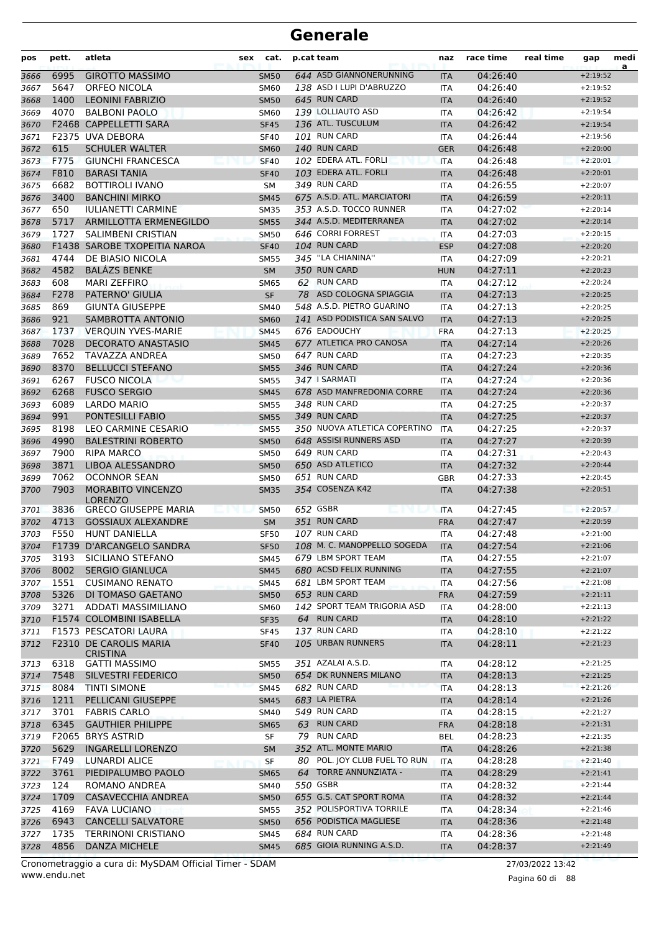| pos          | pett.        | atleta                                                 | sex                        | cat.        | p.cat team                        | naz               | race time            | real time | gap                      | medi<br>a |
|--------------|--------------|--------------------------------------------------------|----------------------------|-------------|-----------------------------------|-------------------|----------------------|-----------|--------------------------|-----------|
| 3666         | 6995         | <b>GIROTTO MASSIMO</b>                                 | <b>SM50</b>                |             | 644 ASD GIANNONERUNNING           | <b>ITA</b>        | 04:26:40             |           | $+2:19:52$               |           |
| 3667         | 5647         | ORFEO NICOLA                                           | <b>SM60</b>                |             | 138 ASD I LUPI D'ABRUZZO          | <b>ITA</b>        | 04:26:40             |           | $+2:19:52$               |           |
| 3668         | 1400         | <b>LEONINI FABRIZIO</b>                                | <b>SM50</b>                |             | 645 RUN CARD                      | <b>ITA</b>        | 04:26:40             |           | $+2:19:52$               |           |
| 3669         | 4070         | <b>BALBONI PAOLO</b>                                   | <b>SM60</b>                |             | 139 LOLLIAUTO ASD                 | ITA               | 04:26:42             |           | $+2:19:54$               |           |
| 3670         |              | F2468 CAPPELLETTI SARA                                 | <b>SF45</b>                |             | 136 ATL. TUSCULUM                 | <b>ITA</b>        | 04:26:42             |           | $+2:19:54$               |           |
| 3671         |              | F2375 UVA DEBORA                                       | <b>SF40</b>                |             | 101 RUN CARD                      | ITA               | 04:26:44             |           | $+2:19:56$               |           |
| 3672         | 615          | <b>SCHULER WALTER</b>                                  | <b>SM60</b>                |             | 140 RUN CARD                      | <b>GER</b>        | 04:26:48             |           | $+2:20:00$               |           |
| 3673         | F775         | <b>GIUNCHI FRANCESCA</b>                               | <b>SF40</b>                |             | 102 EDERA ATL. FORLI              | <b>ITA</b>        | 04:26:48             |           | $+2:20:01$               |           |
| 3674         | F810         | <b>BARASI TANIA</b>                                    | <b>SF40</b>                |             | 103 EDERA ATL. FORLI              | <b>ITA</b>        | 04:26:48             |           | $+2:20:01$               |           |
| 3675         | 6682         | <b>BOTTIROLI IVANO</b>                                 | SM                         |             | 349 RUN CARD                      | ITA               | 04:26:55             |           | $+2:20:07$               |           |
| 3676         | 3400         | <b>BANCHINI MIRKO</b>                                  | <b>SM45</b>                |             | 675 A.S.D. ATL. MARCIATORI        | <b>ITA</b>        | 04:26:59             |           | $+2:20:11$               |           |
| 3677         | 650          | <b>IULIANETTI CARMINE</b>                              | <b>SM35</b>                |             | 353 A.S.D. TOCCO RUNNER           | <b>ITA</b>        | 04:27:02             |           | $+2:20:14$               |           |
| 3678         | 5717         | ARMILLOTTA ERMENEGILDO                                 | <b>SM55</b>                |             | 344 A.S.D. MEDITERRANEA           | <b>ITA</b>        | 04:27:02             |           | $+2:20:14$               |           |
| 3679         | 1727         | SALIMBENI CRISTIAN                                     | <b>SM50</b>                |             | 646 CORRI FORREST                 | ITA               | 04:27:03             |           | $+2:20:15$               |           |
| 3680         |              | F1438 SAROBE TXOPEITIA NAROA                           | <b>SF40</b>                |             | 104 RUN CARD<br>345 "LA CHIANINA" | <b>ESP</b>        | 04:27:08             |           | $+2:20:20$               |           |
| 3681         | 4744         | DE BIASIO NICOLA                                       | <b>SM55</b>                |             |                                   | ITA               | 04:27:09             |           | $+2:20:21$               |           |
| 3682         | 4582         | <b>BALÁZS BENKE</b>                                    | <b>SM</b>                  |             | 350 RUN CARD<br>62 RUN CARD       | <b>HUN</b>        | 04:27:11             |           | $+2:20:23$               |           |
| 3683         | 608          | <b>MARI ZEFFIRO</b>                                    | <b>SM65</b>                |             | 78 ASD COLOGNA SPIAGGIA           | ITA               | 04:27:12             |           | $+2:20:24$               |           |
| 3684         | F278<br>869  | PATERNO' GIULIA                                        | <b>SF</b>                  |             | 548 A.S.D. PIETRO GUARINO         | <b>ITA</b>        | 04:27:13             |           | $+2:20:25$               |           |
| 3685         | 921          | <b>GIUNTA GIUSEPPE</b>                                 | <b>SM40</b>                |             | 141 ASD PODISTICA SAN SALVO       | ITA               | 04:27:13             |           | $+2:20:25$               |           |
| 3686         |              | SAMBROTTA ANTONIO                                      | <b>SM60</b>                |             | 676 EADOUCHY                      | <b>ITA</b>        | 04:27:13             |           | $+2:20:25$<br>$+2:20:25$ |           |
| 3687         | 1737<br>7028 | <b>VERQUIN YVES-MARIE</b><br><b>DECORATO ANASTASIO</b> | <b>SM45</b>                |             | 677 ATLETICA PRO CANOSA           | <b>FRA</b>        | 04:27:13<br>04:27:14 |           |                          |           |
| 3688         | 7652         | <b>TAVAZZA ANDREA</b>                                  | <b>SM45</b>                |             | 647 RUN CARD                      | <b>ITA</b>        | 04:27:23             |           | $+2:20:26$<br>$+2:20:35$ |           |
| 3689         | 8370         | <b>BELLUCCI STEFANO</b>                                | <b>SM50</b>                |             | 346 RUN CARD                      | <b>ITA</b>        | 04:27:24             |           | $+2:20:36$               |           |
| 3690         | 6267         | <b>FUSCO NICOLA</b>                                    | <b>SM55</b>                |             | 347 I SARMATI                     | <b>ITA</b>        | 04:27:24             |           | $+2:20:36$               |           |
| 3691         | 6268         | <b>FUSCO SERGIO</b>                                    | <b>SM55</b>                |             | 678 ASD MANFREDONIA CORRE         | ITA               | 04:27:24             |           | $+2:20:36$               |           |
| 3692         | 6089         | <b>LARDO MARIO</b>                                     | <b>SM45</b><br><b>SM55</b> |             | 348 RUN CARD                      | <b>ITA</b>        | 04:27:25             |           | $+2:20:37$               |           |
| 3693<br>3694 | 991          | PONTESILLI FABIO                                       | <b>SM55</b>                |             | 349 RUN CARD                      | ITA<br><b>ITA</b> | 04:27:25             |           | $+2:20:37$               |           |
| 3695         | 8198         | LEO CARMINE CESARIO                                    | <b>SM55</b>                |             | 350 NUOVA ATLETICA COPERTINO      | <b>ITA</b>        | 04:27:25             |           | $+2:20:37$               |           |
| 3696         | 4990         | <b>BALESTRINI ROBERTO</b>                              | <b>SM50</b>                |             | 648 ASSISI RUNNERS ASD            | <b>ITA</b>        | 04:27:27             |           | $+2:20:39$               |           |
| 3697         | 7900         | <b>RIPA MARCO</b>                                      | <b>SM50</b>                |             | 649 RUN CARD                      | ITA               | 04:27:31             |           | $+2:20:43$               |           |
| 3698         | 3871         | LIBOA ALESSANDRO                                       | <b>SM50</b>                |             | 650 ASD ATLETICO                  | <b>ITA</b>        | 04:27:32             |           | $+2:20:44$               |           |
| 3699         | 7062         | <b>OCONNOR SEAN</b>                                    | <b>SM50</b>                |             | 651 RUN CARD                      | <b>GBR</b>        | 04:27:33             |           | $+2:20:45$               |           |
| 3700         | 7903         | <b>MORABITO VINCENZO</b>                               | <b>SM35</b>                |             | 354 COSENZA K42                   | <b>ITA</b>        | 04:27:38             |           | $+2:20:51$               |           |
| 3701         | 3836         | LORENZO<br><b>GRECO GIUSEPPE MARIA</b>                 | <b>SM50</b>                |             | 652 GSBR                          | <b>ITA</b>        | 04:27:45             |           | $+2:20:57$               |           |
| 3702         | 4713         | <b>GOSSIAUX ALEXANDRE</b>                              |                            | <b>SM</b>   | 351 RUN CARD                      | <b>FRA</b>        | 04:27:47             |           | $+2:20:59$               |           |
| 3703         | F550         | <b>HUNT DANIELLA</b>                                   | <b>SF50</b>                |             | 107 RUN CARD                      | ITA               | 04:27:48             |           | $+2:21:00$               |           |
| 3704         |              | F1739 D'ARCANGELO SANDRA                               | <b>SF50</b>                |             | 108 M. C. MANOPPELLO SOGEDA       | <b>ITA</b>        | 04:27:54             |           | $+2:21:06$               |           |
| 3705         | 3193         | SICILIANO STEFANO                                      | SM45                       |             | 679 LBM SPORT TEAM                | ITA               | 04:27:55             |           | $+2:21:07$               |           |
| 3706         | 8002         | <b>SERGIO GIANLUCA</b>                                 | <b>SM45</b>                |             | 680 ACSD FELIX RUNNING            | <b>ITA</b>        | 04:27:55             |           | $+2:21:07$               |           |
| 3707         | 1551         | <b>CUSIMANO RENATO</b>                                 | <b>SM45</b>                |             | 681 LBM SPORT TEAM                | ITA               | 04:27:56             |           | $+2:21:08$               |           |
| 3708         | 5326         | DI TOMASO GAETANO                                      | <b>SM50</b>                |             | 653 RUN CARD                      | <b>FRA</b>        | 04:27:59             |           | $+2:21:11$               |           |
| 3709         | 3271         | ADDATI MASSIMILIANO                                    | <b>SM60</b>                |             | 142 SPORT TEAM TRIGORIA ASD       | ITA               | 04:28:00             |           | $+2:21:13$               |           |
| 3710         |              | F1574 COLOMBINI ISABELLA                               |                            | <b>SF35</b> | 64 RUN CARD                       | <b>ITA</b>        | 04:28:10             |           | $+2:21:22$               |           |
| 3711         |              | F1573 PESCATORI LAURA                                  |                            | <b>SF45</b> | 137 RUN CARD                      | ITA               | 04:28:10             |           | $+2:21:22$               |           |
| 3712         |              | F2310 DE CAROLIS MARIA<br><b>CRISTINA</b>              |                            | <b>SF40</b> | 105 URBAN RUNNERS                 | <b>ITA</b>        | 04:28:11             |           | $+2:21:23$               |           |
| 3713         | 6318         | <b>GATTI MASSIMO</b>                                   | <b>SM55</b>                |             | 351 AZALAI A.S.D.                 | ITA               | 04:28:12             |           | $+2:21:25$               |           |
| 3714         | 7548         | SILVESTRI FEDERICO                                     |                            | <b>SM50</b> | 654 DK RUNNERS MILANO             | <b>ITA</b>        | 04:28:13             |           | $+2:21:25$               |           |
| 3715         | 8084         | <b>TINTI SIMONE</b>                                    | <b>SM45</b>                |             | 682 RUN CARD                      | <b>ITA</b>        | 04:28:13             |           | $+2:21:26$               |           |
| 3716         | 1211         | PELLICANI GIUSEPPE                                     | <b>SM45</b>                |             | 683 LA PIETRA                     | <b>ITA</b>        | 04:28:14             |           | $+2:21:26$               |           |
| 3717         | 3701         | <b>FABRIS CARLO</b>                                    | <b>SM40</b>                |             | 549 RUN CARD                      | <b>ITA</b>        | 04:28:15             |           | $+2:21:27$               |           |
| 3718         | 6345         | <b>GAUTHIER PHILIPPE</b>                               | <b>SM65</b>                |             | 63 RUN CARD                       | <b>FRA</b>        | 04:28:18             |           | $+2:21:31$               |           |
| 3719         |              | F2065 BRYS ASTRID                                      | SF                         |             | 79 RUN CARD                       | BEL               | 04:28:23             |           | $+2:21:35$               |           |
| 3720         | 5629         | <b>INGARELLI LORENZO</b>                               | <b>SM</b>                  |             | 352 ATL. MONTE MARIO              | <b>ITA</b>        | 04:28:26             |           | $+2:21:38$               |           |
| 3721         | F749         | LUNARDI ALICE                                          | SF                         |             | 80 POL. JOY CLUB FUEL TO RUN      | <b>ITA</b>        | 04:28:28             |           | $+2:21:40$               |           |
| 3722         | 3761         | PIEDIPALUMBO PAOLO                                     | <b>SM65</b>                |             | 64 TORRE ANNUNZIATA -             | <b>ITA</b>        | 04:28:29             |           | $+2:21:41$               |           |
| 3723         | 124          | ROMANO ANDREA                                          | <b>SM40</b>                |             | 550 GSBR                          | <b>ITA</b>        | 04:28:32             |           | $+2:21:44$               |           |
| 3724         | 1709         | CASAVECCHIA ANDREA                                     | <b>SM50</b>                |             | 655 G.S. CAT SPORT ROMA           | <b>ITA</b>        | 04:28:32             |           | $+2:21:44$               |           |
| 3725         | 4169         | <b>FAVA LUCIANO</b>                                    | <b>SM55</b>                |             | 352 POLISPORTIVA TORRILE          | <b>ITA</b>        | 04:28:34             |           | $+2:21:46$               |           |
| 3726         | 6943         | <b>CANCELLI SALVATORE</b>                              | <b>SM50</b>                |             | 656 PODISTICA MAGLIESE            | <b>ITA</b>        | 04:28:36             |           | $+2:21:48$               |           |
| 3727         | 1735         | <b>TERRINONI CRISTIANO</b>                             | <b>SM45</b>                |             | 684 RUN CARD                      | <b>ITA</b>        | 04:28:36             |           | $+2:21:48$               |           |
| 3728         | 4856         | <b>DANZA MICHELE</b>                                   | <b>SM45</b>                |             | 685 GIOIA RUNNING A.S.D.          | <b>ITA</b>        | 04:28:37             |           | $+2:21:49$               |           |

Pagina 60 di 88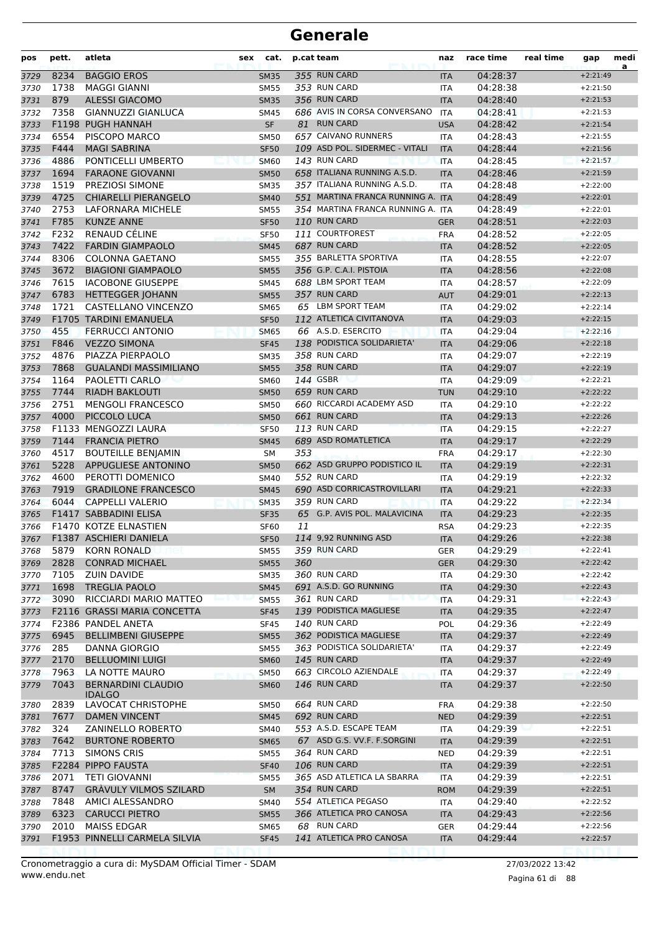| pos  | pett. | atleta                                     | sex | cat.        |     | p.cat team                        | naz        | race time | real time | gap        | medi<br>a |
|------|-------|--------------------------------------------|-----|-------------|-----|-----------------------------------|------------|-----------|-----------|------------|-----------|
| 3729 | 8234  | <b>BAGGIO EROS</b>                         |     | <b>SM35</b> |     | 355 RUN CARD                      | <b>ITA</b> | 04:28:37  |           | $+2:21:49$ |           |
| 3730 | 1738  | <b>MAGGI GIANNI</b>                        |     | <b>SM55</b> |     | 353 RUN CARD                      | <b>ITA</b> | 04:28:38  |           | $+2:21:50$ |           |
| 3731 | 879   | <b>ALESSI GIACOMO</b>                      |     | <b>SM35</b> |     | 356 RUN CARD                      | <b>ITA</b> | 04:28:40  |           | $+2:21:53$ |           |
| 3732 | 7358  | <b>GIANNUZZI GIANLUCA</b>                  |     | <b>SM45</b> |     | 686 AVIS IN CORSA CONVERSANO      | <b>ITA</b> | 04:28:41  |           | $+2:21:53$ |           |
| 3733 |       | F1198 PUGH HANNAH                          |     | <b>SF</b>   |     | 81 RUN CARD                       | <b>USA</b> | 04:28:42  |           | $+2:21:54$ |           |
| 3734 | 6554  | PISCOPO MARCO                              |     | <b>SM50</b> |     | 657 CAIVANO RUNNERS               | ITA        | 04:28:43  |           | $+2:21:55$ |           |
| 3735 | F444  | <b>MAGI SABRINA</b>                        |     | <b>SF50</b> |     | 109 ASD POL. SIDERMEC - VITALI    | <b>ITA</b> | 04:28:44  |           | $+2:21:56$ |           |
| 3736 | 4886  | PONTICELLI UMBERTO                         |     | <b>SM60</b> |     | 143 RUN CARD                      | <b>ITA</b> | 04:28:45  |           | $+2:21:57$ |           |
| 3737 | 1694  | <b>FARAONE GIOVANNI</b>                    |     | <b>SM50</b> |     | 658 ITALIANA RUNNING A.S.D.       | <b>ITA</b> | 04:28:46  |           | $+2:21:59$ |           |
| 3738 | 1519  | PREZIOSI SIMONE                            |     | <b>SM35</b> |     | 357 ITALIANA RUNNING A.S.D.       | <b>ITA</b> | 04:28:48  |           | $+2:22:00$ |           |
| 3739 | 4725  | <b>CHIARELLI PIERANGELO</b>                |     | <b>SM40</b> |     | 551 MARTINA FRANCA RUNNING A. ITA |            | 04:28:49  |           | $+2:22:01$ |           |
| 3740 | 2753  | LAFORNARA MICHELE                          |     | <b>SM55</b> |     | 354 MARTINA FRANCA RUNNING A. ITA |            | 04:28:49  |           | $+2:22:01$ |           |
| 3741 | F785  | <b>KUNZE ANNE</b>                          |     | <b>SF50</b> |     | 110 RUN CARD                      | <b>GER</b> | 04:28:51  |           | $+2:22:03$ |           |
| 3742 | F232  | RENAUD CÉLINE                              |     | <b>SF50</b> |     | 111 COURTFOREST                   | <b>FRA</b> | 04:28:52  |           | $+2:22:05$ |           |
| 3743 | 7422  | <b>FARDIN GIAMPAOLO</b>                    |     | <b>SM45</b> |     | 687 RUN CARD                      | <b>ITA</b> | 04:28:52  |           | $+2:22:05$ |           |
| 3744 | 8306  | <b>COLONNA GAETANO</b>                     |     | <b>SM55</b> |     | 355 BARLETTA SPORTIVA             | <b>ITA</b> | 04:28:55  |           | $+2:22:07$ |           |
| 3745 | 3672  | <b>BIAGIONI GIAMPAOLO</b>                  |     | <b>SM55</b> |     | 356 G.P. C.A.I. PISTOIA           | <b>ITA</b> | 04:28:56  |           | $+2:22:08$ |           |
| 3746 | 7615  | <b>IACOBONE GIUSEPPE</b>                   |     | <b>SM45</b> |     | 688 LBM SPORT TEAM                | <b>ITA</b> | 04:28:57  |           | $+2:22:09$ |           |
| 3747 | 6783  | <b>HETTEGGER JOHANN</b>                    |     | <b>SM55</b> |     | 357 RUN CARD                      | <b>AUT</b> | 04:29:01  |           | $+2:22:13$ |           |
| 3748 | 1721  | CASTELLANO VINCENZO                        |     | <b>SM65</b> |     | 65 LBM SPORT TEAM                 | <b>ITA</b> | 04:29:02  |           | $+2:22:14$ |           |
| 3749 |       | F1705 TARDINI EMANUELA                     |     | <b>SF50</b> |     | 112 ATLETICA CIVITANOVA           | <b>ITA</b> | 04:29:03  |           | $+2:22:15$ |           |
| 3750 | 455   | <b>FERRUCCI ANTONIO</b>                    |     | <b>SM65</b> |     | 66 A.S.D. ESERCITO                | <b>ITA</b> | 04:29:04  |           | $+2:22:16$ |           |
| 3751 | F846  | <b>VEZZO SIMONA</b>                        |     | <b>SF45</b> |     | 138 PODISTICA SOLIDARIETA'        | <b>ITA</b> | 04:29:06  |           | $+2:22:18$ |           |
| 3752 | 4876  | PIAZZA PIERPAOLO                           |     | <b>SM35</b> |     | 358 RUN CARD                      | <b>ITA</b> | 04:29:07  |           | $+2:22:19$ |           |
| 3753 | 7868  | <b>GUALANDI MASSIMILIANO</b>               |     | <b>SM55</b> |     | 358 RUN CARD                      | <b>ITA</b> | 04:29:07  |           | $+2:22:19$ |           |
| 3754 | 1164  | PAOLETTI CARLO                             |     | <b>SM60</b> |     | 144 GSBR                          | ITA        | 04:29:09  |           | $+2:22:21$ |           |
| 3755 | 7744  | <b>RIADH BAKLOUTI</b>                      |     | <b>SM50</b> |     | 659 RUN CARD                      | <b>TUN</b> | 04:29:10  |           | $+2:22:22$ |           |
| 3756 | 2751  | <b>MENGOLI FRANCESCO</b>                   |     | <b>SM50</b> |     | 660 RICCARDI ACADEMY ASD          | <b>ITA</b> | 04:29:10  |           | $+2:22:22$ |           |
| 3757 | 4000  | PICCOLO LUCA                               |     | <b>SM50</b> |     | 661 RUN CARD                      | <b>ITA</b> | 04:29:13  |           | $+2:22:26$ |           |
| 3758 |       | F1133 MENGOZZI LAURA                       |     | <b>SF50</b> |     | 113 RUN CARD                      | <b>ITA</b> | 04:29:15  |           | $+2:22:27$ |           |
| 3759 | 7144  | <b>FRANCIA PIETRO</b>                      |     | <b>SM45</b> |     | 689 ASD ROMATLETICA               | <b>ITA</b> | 04:29:17  |           | $+2:22:29$ |           |
| 3760 | 4517  | <b>BOUTEILLE BENJAMIN</b>                  |     | <b>SM</b>   | 353 |                                   | <b>FRA</b> | 04:29:17  |           | $+2:22:30$ |           |
| 3761 | 5228  | APPUGLIESE ANTONINO                        |     | <b>SM50</b> |     | 662 ASD GRUPPO PODISTICO IL       | <b>ITA</b> | 04:29:19  |           | $+2:22:31$ |           |
| 3762 | 4600  | PEROTTI DOMENICO                           |     | <b>SM40</b> |     | 552 RUN CARD                      | <b>ITA</b> | 04:29:19  |           | $+2:22:32$ |           |
| 3763 | 7919  | <b>GRADILONE FRANCESCO</b>                 |     | <b>SM45</b> |     | 690 ASD CORRICASTROVILLARI        | <b>ITA</b> | 04:29:21  |           | $+2:22:33$ |           |
| 3764 | 6044  | <b>CAPPELLI VALERIO</b>                    |     | <b>SM35</b> |     | 359 RUN CARD                      | <b>ITA</b> | 04:29:22  |           | $+2:22:34$ |           |
| 3765 |       | F1417 SABBADINI ELISA                      |     | <b>SF35</b> |     | 65 G.P. AVIS POL. MALAVICINA      | <b>ITA</b> | 04:29:23  |           | $+2:22:35$ |           |
| 3766 |       | F1470 KOTZE ELNASTIEN                      |     | <b>SF60</b> | 11  |                                   | <b>RSA</b> | 04:29:23  |           | $+2:22:35$ |           |
| 3767 |       | F1387 ASCHIERI DANIELA                     |     | <b>SF50</b> |     | 114 9,92 RUNNING ASD              | <b>ITA</b> | 04:29:26  |           | $+2:22:38$ |           |
| 3768 | 5879  | <b>KORN RONALD</b>                         |     | <b>SM55</b> |     | 359 RUN CARD                      | <b>GER</b> | 04:29:29  |           | $+2:22:41$ |           |
| 3769 | 2828  | <b>CONRAD MICHAEL</b>                      |     | <b>SM55</b> | 360 |                                   | <b>GER</b> | 04:29:30  |           | $+2:22:42$ |           |
| 3770 | 7105  | <b>ZUIN DAVIDE</b>                         |     | <b>SM35</b> |     | 360 RUN CARD                      | ITA        | 04:29:30  |           | $+2:22:42$ |           |
| 3771 | 1698  | <b>TREGLIA PAOLO</b>                       |     | <b>SM45</b> |     | 691 A.S.D. GO RUNNING             | <b>ITA</b> | 04:29:30  |           | $+2:22:43$ |           |
| 3772 | 3090  | RICCIARDI MARIO MATTEO                     |     | <b>SM55</b> |     | 361 RUN CARD                      | <b>ITA</b> | 04:29:31  |           | $+2:22:43$ |           |
| 3773 |       | <b>F2116 GRASSI MARIA CONCETTA</b>         |     | <b>SF45</b> |     | 139 PODISTICA MAGLIESE            | <b>ITA</b> | 04:29:35  |           | $+2:22:47$ |           |
| 3774 |       | F2386 PANDEL ANETA                         |     | <b>SF45</b> |     | 140 RUN CARD                      | <b>POL</b> | 04:29:36  |           | $+2:22:49$ |           |
| 3775 | 6945  | <b>BELLIMBENI GIUSEPPE</b>                 |     | <b>SM55</b> |     | 362 PODISTICA MAGLIESE            | <b>ITA</b> | 04:29:37  |           | $+2:22:49$ |           |
| 3776 | 285   | DANNA GIORGIO                              |     | <b>SM55</b> |     | 363 PODISTICA SOLIDARIETA'        | <b>ITA</b> | 04:29:37  |           | $+2:22:49$ |           |
| 3777 | 2170  | <b>BELLUOMINI LUIGI</b>                    |     | <b>SM60</b> |     | 145 RUN CARD                      | <b>ITA</b> | 04:29:37  |           | $+2:22:49$ |           |
| 3778 | 7963  | LA NOTTE MAURO                             |     | <b>SM50</b> |     | 663 CIRCOLO AZIENDALE             | ITA        | 04:29:37  |           | $+2:22:49$ |           |
| 3779 | 7043  | <b>BERNARDINI CLAUDIO</b><br><b>IDALGO</b> |     | <b>SM60</b> |     | 146 RUN CARD                      | <b>ITA</b> | 04:29:37  |           | $+2:22:50$ |           |
| 3780 | 2839  | LAVOCAT CHRISTOPHE                         |     | <b>SM50</b> |     | 664 RUN CARD                      | FRA        | 04:29:38  |           | $+2:22:50$ |           |
| 3781 | 7677  | <b>DAMEN VINCENT</b>                       |     | <b>SM45</b> |     | 692 RUN CARD                      | <b>NED</b> | 04:29:39  |           | $+2:22:51$ |           |
| 3782 | 324   | ZANINELLO ROBERTO                          |     | SM40        |     | 553 A.S.D. ESCAPE TEAM            | ITA        | 04:29:39  |           | $+2:22:51$ |           |
| 3783 | 7642  | <b>BURTONE ROBERTO</b>                     |     | <b>SM65</b> |     | 67 ASD G.S. VV.F. F.SORGINI       | <b>ITA</b> | 04:29:39  |           | $+2:22:51$ |           |
| 3784 | 7713  | <b>SIMONS CRIS</b>                         |     | <b>SM55</b> |     | 364 RUN CARD                      | <b>NED</b> | 04:29:39  |           | $+2:22:51$ |           |
| 3785 |       | F2284 PIPPO FAUSTA                         |     | <b>SF40</b> |     | 106 RUN CARD                      | <b>ITA</b> | 04:29:39  |           | $+2:22:51$ |           |
| 3786 | 2071  | <b>TETI GIOVANNI</b>                       |     | <b>SM55</b> |     | 365 ASD ATLETICA LA SBARRA        | ITA        | 04:29:39  |           | $+2:22:51$ |           |
| 3787 | 8747  | <b>GRAVULY VILMOS SZILARD</b>              |     | SM          |     | 354 RUN CARD                      | <b>ROM</b> | 04:29:39  |           | $+2:22:51$ |           |
| 3788 | 7848  | AMICI ALESSANDRO                           |     | <b>SM40</b> |     | 554 ATLETICA PEGASO               | ITA        | 04:29:40  |           | $+2:22:52$ |           |
| 3789 | 6323  | <b>CARUCCI PIETRO</b>                      |     | <b>SM55</b> |     | 366 ATLETICA PRO CANOSA           | <b>ITA</b> | 04:29:43  |           | $+2:22:56$ |           |
| 3790 | 2010  | MAISS EDGAR                                |     | <b>SM65</b> |     | 68 RUN CARD                       | <b>GER</b> | 04:29:44  |           | $+2:22:56$ |           |
| 3791 |       | F1953 PINNELLI CARMELA SILVIA              |     | <b>SF45</b> |     | 141 ATLETICA PRO CANOSA           | <b>ITA</b> | 04:29:44  |           | $+2:22:57$ |           |
|      |       |                                            |     |             |     |                                   |            |           |           |            |           |

www.endu.net Cronometraggio a cura di: MySDAM Official Timer - SDAM 27/03/2022 13:42

Pagina 61 di 88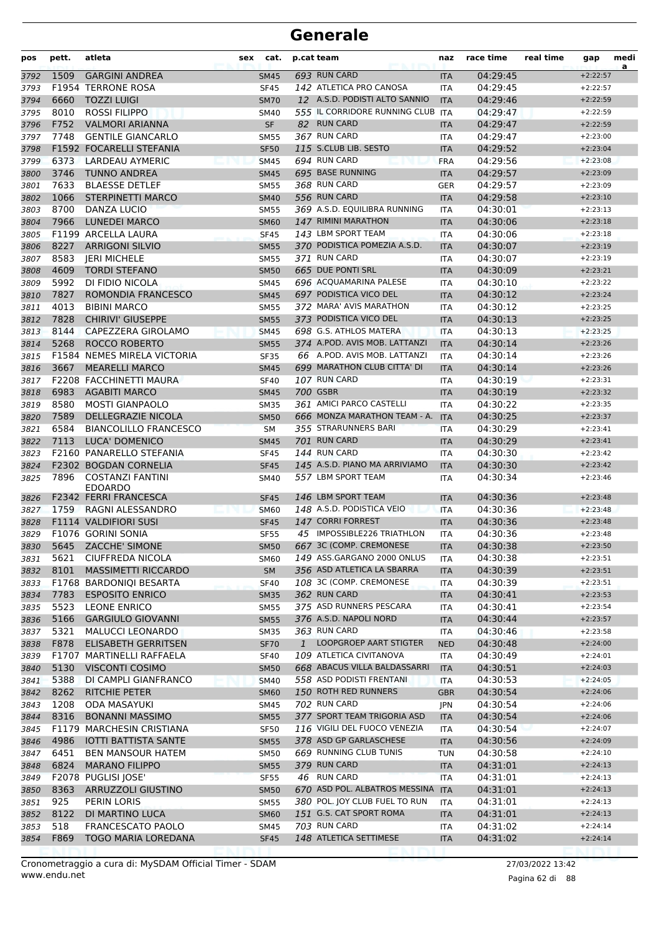| pos          | pett.        | atleta                                              | sex | cat.                       |              | p.cat team                                          | naz                      | race time            | real time | gap                      | medi<br>a |
|--------------|--------------|-----------------------------------------------------|-----|----------------------------|--------------|-----------------------------------------------------|--------------------------|----------------------|-----------|--------------------------|-----------|
| 3792         | 1509         | <b>GARGINI ANDREA</b>                               |     | <b>SM45</b>                |              | 693 RUN CARD                                        | <b>ITA</b>               | 04:29:45             |           | $+2:22:57$               |           |
| 3793         |              | <b>F1954 TERRONE ROSA</b>                           |     | <b>SF45</b>                |              | 142 ATLETICA PRO CANOSA                             | <b>ITA</b>               | 04:29:45             |           | $+2:22:57$               |           |
| 3794         | 6660         | <b>TOZZI LUIGI</b>                                  |     | <b>SM70</b>                |              | 12 A.S.D. PODISTI ALTO SANNIO                       | <b>ITA</b>               | 04:29:46             |           | $+2:22:59$               |           |
| 3795         | 8010         | <b>ROSSI FILIPPO</b>                                |     | <b>SM40</b>                |              | 555 IL CORRIDORE RUNNING CLUB                       | <b>ITA</b>               | 04:29:47             |           | $+2:22:59$               |           |
| 3796         | F752         | <b>VALMORI ARIANNA</b>                              |     | <b>SF</b>                  |              | 82 RUN CARD                                         | <b>ITA</b>               | 04:29:47             |           | $+2:22:59$               |           |
| 3797         | 7748         | <b>GENTILE GIANCARLO</b>                            |     | <b>SM55</b>                |              | 367 RUN CARD                                        | <b>ITA</b>               | 04:29:47             |           | $+2:23:00$               |           |
| 3798         |              | F1592 FOCARELLI STEFANIA                            |     | <b>SF50</b>                |              | 115 S.CLUB LIB. SESTO                               | <b>ITA</b>               | 04:29:52             |           | $+2:23:04$               |           |
| 3799         | 6373         | <b>LARDEAU AYMERIC</b>                              |     | <b>SM45</b>                |              | 694 RUN CARD                                        | <b>FRA</b>               | 04:29:56             |           | $+2:23:08$               |           |
| 3800         | 3746         | <b>TUNNO ANDREA</b>                                 |     | <b>SM45</b>                |              | 695 BASE RUNNING                                    | <b>ITA</b>               | 04:29:57             |           | $+2:23:09$               |           |
| 3801         | 7633         | <b>BLAESSE DETLEF</b>                               |     | <b>SM55</b>                |              | 368 RUN CARD                                        | <b>GER</b>               | 04:29:57             |           | $+2:23:09$               |           |
| 3802         | 1066         | <b>STERPINETTI MARCO</b>                            |     | <b>SM40</b>                |              | 556 RUN CARD                                        | <b>ITA</b>               | 04:29:58             |           | $+2:23:10$               |           |
| 3803         | 8700         | DANZA LUCIO                                         |     | <b>SM55</b>                |              | 369 A.S.D. EQUILIBRA RUNNING<br>147 RIMINI MARATHON | <b>ITA</b>               | 04:30:01             |           | $+2:23:13$               |           |
| 3804         | 7966         | <b>LUNEDEI MARCO</b>                                |     | <b>SM60</b>                |              | 143 LBM SPORT TEAM                                  | <b>ITA</b>               | 04:30:06             |           | $+2:23:18$               |           |
| 3805<br>3806 | 8227         | F1199 ARCELLA LAURA<br><b>ARRIGONI SILVIO</b>       |     | <b>SF45</b>                |              | 370 PODISTICA POMEZIA A.S.D.                        | <b>ITA</b>               | 04:30:06<br>04:30:07 |           | $+2:23:18$<br>$+2:23:19$ |           |
| 3807         | 8583         | <b>JERI MICHELE</b>                                 |     | <b>SM55</b><br><b>SM55</b> |              | 371 RUN CARD                                        | <b>ITA</b><br>ITA        | 04:30:07             |           | $+2:23:19$               |           |
| 3808         | 4609         | <b>TORDI STEFANO</b>                                |     | <b>SM50</b>                |              | 665 DUE PONTI SRL                                   | <b>ITA</b>               | 04:30:09             |           | $+2:23:21$               |           |
| 3809         | 5992         | DI FIDIO NICOLA                                     |     | <b>SM45</b>                |              | 696 ACQUAMARINA PALESE                              | <b>ITA</b>               | 04:30:10             |           | $+2:23:22$               |           |
| 3810         | 7827         | ROMONDIA FRANCESCO                                  |     | <b>SM45</b>                |              | 697 PODISTICA VICO DEL                              | <b>ITA</b>               | 04:30:12             |           | $+2:23:24$               |           |
| 3811         | 4013         | <b>BIBINI MARCO</b>                                 |     | <b>SM55</b>                |              | 372 MARA' AVIS MARATHON                             | ITA                      | 04:30:12             |           | $+2:23:25$               |           |
| 3812         | 7828         | <b>CHIRIVI' GIUSEPPE</b>                            |     | <b>SM55</b>                |              | 373 PODISTICA VICO DEL                              | <b>ITA</b>               | 04:30:13             |           | $+2:23:25$               |           |
| 3813         | 8144         | CAPEZZERA GIROLAMO                                  |     | <b>SM45</b>                |              | 698 G.S. ATHLOS MATERA                              | <b>ITA</b>               | 04:30:13             |           | $+2:23:25$               |           |
| 3814         | 5268         | ROCCO ROBERTO                                       |     | <b>SM55</b>                |              | 374 A.POD. AVIS MOB. LATTANZI                       | <b>ITA</b>               | 04:30:14             |           | $+2:23:26$               |           |
| 3815         |              | F1584 NEMES MIRELA VICTORIA                         |     | <b>SF35</b>                |              | 66 A.POD. AVIS MOB. LATTANZI                        | <b>ITA</b>               | 04:30:14             |           | $+2:23:26$               |           |
| 3816         | 3667         | <b>MEARELLI MARCO</b>                               |     | <b>SM45</b>                |              | 699 MARATHON CLUB CITTA' DI                         | <b>ITA</b>               | 04:30:14             |           | $+2:23:26$               |           |
| 3817         |              | F2208 FACCHINETTI MAURA                             |     | <b>SF40</b>                |              | 107 RUN CARD                                        | <b>ITA</b>               | 04:30:19             |           | $+2:23:31$               |           |
| 3818         | 6983         | <b>AGABITI MARCO</b>                                |     | <b>SM45</b>                |              | <b>700 GSBR</b>                                     | <b>ITA</b>               | 04:30:19             |           | $+2:23:32$               |           |
| 3819         | 8580         | <b>MOSTI GIANPAOLO</b>                              |     | <b>SM35</b>                |              | 361 AMICI PARCO CASTELLI                            | <b>ITA</b>               | 04:30:22             |           | $+2:23:35$               |           |
| 3820         | 7589         | DELLEGRAZIE NICOLA                                  |     | <b>SM50</b>                |              | 666 MONZA MARATHON TEAM - A.                        | <b>ITA</b>               | 04:30:25             |           | $+2:23:37$               |           |
| 3821         | 6584         | <b>BIANCOLILLO FRANCESCO</b>                        |     | <b>SM</b>                  |              | 355 STRARUNNERS BARI                                | <b>ITA</b>               | 04:30:29             |           | $+2:23:41$               |           |
| 3822         | 7113         | LUCA' DOMENICO                                      |     | <b>SM45</b>                |              | 701 RUN CARD                                        | <b>ITA</b>               | 04:30:29             |           | $+2:23:41$               |           |
| 3823         |              | F2160 PANARELLO STEFANIA                            |     | <b>SF45</b>                |              | 144 RUN CARD                                        | <b>ITA</b>               | 04:30:30             |           | $+2:23:42$               |           |
| 3824         |              | F2302 BOGDAN CORNELIA                               |     | <b>SF45</b>                |              | 145 A.S.D. PIANO MA ARRIVIAMO                       | <b>ITA</b>               | 04:30:30             |           | $+2:23:42$               |           |
| 3825         | 7896         | <b>COSTANZI FANTINI</b><br><b>EDOARDO</b>           |     | <b>SM40</b>                |              | 557 LBM SPORT TEAM                                  | ITA                      | 04:30:34             |           | $+2:23:46$               |           |
| 3826         |              | F2342 FERRI FRANCESCA                               |     | <b>SF45</b>                |              | 146 LBM SPORT TEAM                                  | <b>ITA</b>               | 04:30:36             |           | $+2:23:48$               |           |
| 3827         |              | 1759 RAGNI ALESSANDRO                               |     | <b>SM60</b>                |              | 148 A.S.D. PODISTICA VEIO                           | <b>ITA</b>               | 04:30:36             |           | $+2:23:48$               |           |
| 3828         |              | F1114 VALDIFIORI SUSI                               |     | <b>SF45</b>                |              | 147 CORRI FORREST                                   | <b>ITA</b>               | 04:30:36             |           | $+2:23:48$               |           |
| 3829         |              | F1076 GORINI SONIA                                  |     | <b>SF55</b>                |              | 45 IMPOSSIBLE226 TRIATHLON                          | <b>ITA</b>               | 04:30:36             |           | $+2:23:48$               |           |
| 3830         |              | 5645 ZACCHE' SIMONE                                 |     | <b>SM50</b>                |              | 667 3C (COMP. CREMONESE                             | <b>ITA</b>               | 04:30:38             |           | $+2:23:50$               |           |
| 3831         | 5621         | <b>CIUFFREDA NICOLA</b>                             |     | <b>SM60</b>                |              | 149 ASS.GARGANO 2000 ONLUS                          | ITA                      | 04:30:38             |           | $+2:23:51$               |           |
| 3832         | 8101         | <b>MASSIMETTI RICCARDO</b>                          |     | SM                         |              | 356 ASD ATLETICA LA SBARRA                          | <b>ITA</b>               | 04:30:39             |           | $+2:23:51$               |           |
| 3833         |              | F1768 BARDONIQI BESARTA                             |     | <b>SF40</b>                |              | 108 3C (COMP. CREMONESE                             | <b>ITA</b>               | 04:30:39             |           | $+2:23:51$               |           |
| 3834         | 7783         | <b>ESPOSITO ENRICO</b>                              |     | <b>SM35</b>                |              | 362 RUN CARD                                        | <b>ITA</b>               | 04:30:41             |           | $+2:23:53$               |           |
| 3835         | 5523         | <b>LEONE ENRICO</b>                                 |     | SM55                       |              | 375 ASD RUNNERS PESCARA                             | ITA                      | 04:30:41             |           | $+2:23:54$               |           |
| 3836         | 5166         | <b>GARGIULO GIOVANNI</b>                            |     | <b>SM55</b>                |              | 376 A.S.D. NAPOLI NORD                              | <b>ITA</b>               | 04:30:44             |           | $+2:23:57$               |           |
| 3837         | 5321         | <b>MALUCCI LEONARDO</b>                             |     | <b>SM35</b>                |              | 363 RUN CARD<br><b>LOOPGROEP AART STIGTER</b>       | ITA                      | 04:30:46             |           | $+2:23:58$               |           |
| 3838         | F878         | ELISABETH GERRITSEN                                 |     | <b>SF70</b>                | $\mathbf{1}$ | 109 ATLETICA CIVITANOVA                             | <b>NED</b>               | 04:30:48<br>04:30:49 |           | $+2:24:00$               |           |
| 3839         |              | F1707 MARTINELLI RAFFAELA<br><b>VISCONTI COSIMO</b> |     | <b>SF40</b>                |              | 668 ABACUS VILLA BALDASSARRI                        | ITA                      |                      |           | $+2:24:01$<br>$+2:24:03$ |           |
| 3840         | 5130<br>5388 | DI CAMPLI GIANFRANCO                                |     | <b>SM50</b>                |              | 558 ASD PODISTI FRENTANI                            | <b>ITA</b>               | 04:30:51<br>04:30:53 |           | $+2:24:05$               |           |
| 3841<br>3842 | 8262         | <b>RITCHIE PETER</b>                                |     | <b>SM40</b><br><b>SM60</b> |              | 150 ROTH RED RUNNERS                                | <b>ITA</b><br><b>GBR</b> | 04:30:54             |           | $+2:24:06$               |           |
| 3843         | 1208         | <b>ODA MASAYUKI</b>                                 |     | <b>SM45</b>                |              | 702 RUN CARD                                        | JPN                      | 04:30:54             |           | $+2:24:06$               |           |
| 3844         | 8316         | <b>BONANNI MASSIMO</b>                              |     | <b>SM55</b>                |              | 377 SPORT TEAM TRIGORIA ASD                         | <b>ITA</b>               | 04:30:54             |           | $+2:24:06$               |           |
| 3845         |              | F1179 MARCHESIN CRISTIANA                           |     | <b>SF50</b>                |              | 116 VIGILI DEL FUOCO VENEZIA                        | <b>ITA</b>               | 04:30:54             |           | $+2:24:07$               |           |
| 3846         | 4986         | <b>IOTTI BATTISTA SANTE</b>                         |     | <b>SM55</b>                |              | 378 ASD GP GARLASCHESE                              | <b>ITA</b>               | 04:30:56             |           | $+2:24:09$               |           |
| 3847         | 6451         | <b>BEN MANSOUR HATEM</b>                            |     | SM50                       |              | 669 RUNNING CLUB TUNIS                              | TUN                      | 04:30:58             |           | $+2:24:10$               |           |
| 3848         | 6824         | <b>MARANO FILIPPO</b>                               |     | <b>SM55</b>                |              | 379 RUN CARD                                        | <b>ITA</b>               | 04:31:01             |           | $+2:24:13$               |           |
| 3849         |              | F2078 PUGLISI JOSE'                                 |     | <b>SF55</b>                |              | 46 RUN CARD                                         | <b>ITA</b>               | 04:31:01             |           | $+2:24:13$               |           |
| 3850         | 8363         | ARRUZZOLI GIUSTINO                                  |     | <b>SM50</b>                |              | 670 ASD POL. ALBATROS MESSINA ITA                   |                          | 04:31:01             |           | $+2:24:13$               |           |
| 3851         | 925          | PERIN LORIS                                         |     | <b>SM55</b>                |              | 380 POL. JOY CLUB FUEL TO RUN                       | <b>ITA</b>               | 04:31:01             |           | $+2:24:13$               |           |
| 3852         | 8122         | DI MARTINO LUCA                                     |     | <b>SM60</b>                |              | 151 G.S. CAT SPORT ROMA                             | <b>ITA</b>               | 04:31:01             |           | $+2:24:13$               |           |
| 3853         | 518          | FRANCESCATO PAOLO                                   |     | SM45                       |              | 703 RUN CARD                                        | ITA                      | 04:31:02             |           | $+2:24:14$               |           |
| 3854         | F869         | <b>TOGO MARIA LOREDANA</b>                          |     | <b>SF45</b>                |              | 148 ATLETICA SETTIMESE                              | <b>ITA</b>               | 04:31:02             |           | $+2:24:14$               |           |
|              |              |                                                     |     |                            |              |                                                     |                          |                      |           |                          |           |

Pagina 62 di 88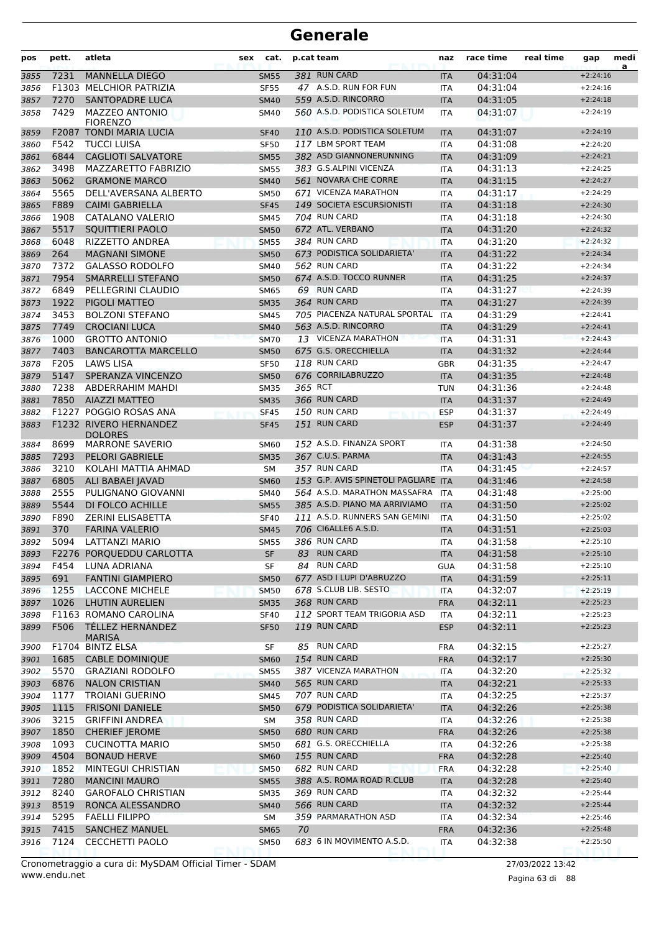| pos          | pett.        | atleta                                           | sex | cat.                       |         | p.cat team                           | naz                      | race time            | real time | gap                      | medi<br>a |
|--------------|--------------|--------------------------------------------------|-----|----------------------------|---------|--------------------------------------|--------------------------|----------------------|-----------|--------------------------|-----------|
| 3855         | 7231         | <b>MANNELLA DIEGO</b>                            |     | <b>SM55</b>                |         | 381 RUN CARD                         | <b>ITA</b>               | 04:31:04             |           | $+2:24:16$               |           |
| 3856         |              | F1303 MELCHIOR PATRIZIA                          |     | <b>SF55</b>                |         | 47 A.S.D. RUN FOR FUN                | <b>ITA</b>               | 04:31:04             |           | $+2:24:16$               |           |
| 3857         | 7270         | SANTOPADRE LUCA                                  |     | <b>SM40</b>                |         | 559 A.S.D. RINCORRO                  | <b>ITA</b>               | 04:31:05             |           | $+2:24:18$               |           |
| 3858         | 7429         | <b>MAZZEO ANTONIO</b><br><b>FIORENZO</b>         |     | <b>SM40</b>                |         | 560 A.S.D. PODISTICA SOLETUM         | ITA                      | 04:31:07             |           | $+2:24:19$               |           |
| 3859         |              | F2087 TONDI MARIA LUCIA                          |     | <b>SF40</b>                |         | 110 A.S.D. PODISTICA SOLETUM         | <b>ITA</b>               | 04:31:07             |           | $+2:24:19$               |           |
| 3860         | F542         | <b>TUCCI LUISA</b>                               |     | <b>SF50</b>                |         | 117 LBM SPORT TEAM                   | <b>ITA</b>               | 04:31:08             |           | $+2:24:20$               |           |
| 3861         | 6844         | <b>CAGLIOTI SALVATORE</b>                        |     | <b>SM55</b>                |         | 382 ASD GIANNONERUNNING              | <b>ITA</b>               | 04:31:09             |           | $+2:24:21$               |           |
| 3862         | 3498         | <b>MAZZARETTO FABRIZIO</b>                       |     | <b>SM55</b>                |         | 383 G.S.ALPINI VICENZA               | ITA                      | 04:31:13             |           | $+2:24:25$               |           |
| 3863         | 5062         | <b>GRAMONE MARCO</b>                             |     | <b>SM40</b>                |         | 561 NOVARA CHE CORRE                 | <b>ITA</b>               | 04:31:15             |           | $+2:24:27$               |           |
| 3864         | 5565         | DELL'AVERSANA ALBERTO                            |     | <b>SM50</b>                |         | 671 VICENZA MARATHON                 | <b>ITA</b>               | 04:31:17             |           | $+2:24:29$               |           |
| 3865         | F889         | <b>CAIMI GABRIELLA</b>                           |     | <b>SF45</b>                |         | 149 SOCIETA ESCURSIONISTI            | <b>ITA</b>               | 04:31:18             |           | $+2:24:30$               |           |
| 3866         | 1908         | CATALANO VALERIO                                 |     | <b>SM45</b>                |         | 704 RUN CARD                         | <b>ITA</b>               | 04:31:18             |           | $+2:24:30$               |           |
| 3867         | 5517         | SQUITTIERI PAOLO                                 |     | <b>SM50</b>                |         | 672 ATL. VERBANO                     | <b>ITA</b>               | 04:31:20             |           | $+2:24:32$               |           |
| 3868         | 6048         | RIZZETTO ANDREA                                  |     | <b>SM55</b>                |         | 384 RUN CARD                         | <b>ITA</b>               | 04:31:20             |           | $+2:24:32$               |           |
| 3869         | 264          | <b>MAGNANI SIMONE</b>                            |     | <b>SM50</b>                |         | 673 PODISTICA SOLIDARIETA'           | <b>ITA</b>               | 04:31:22             |           | $+2:24:34$               |           |
| 3870         | 7372         | <b>GALASSO RODOLFO</b>                           |     | <b>SM40</b>                |         | 562 RUN CARD                         | <b>ITA</b>               | 04:31:22             |           | $+2:24:34$               |           |
| 3871         | 7954         | <b>SMARRELLI STEFANO</b>                         |     | <b>SM50</b>                |         | 674 A.S.D. TOCCO RUNNER              | <b>ITA</b>               | 04:31:25             |           | $+2:24:37$               |           |
| 3872         | 6849         | PELLEGRINI CLAUDIO                               |     | <b>SM65</b>                |         | 69 RUN CARD                          | <b>ITA</b>               | 04:31:27             |           | $+2:24:39$               |           |
| 3873         | 1922         | PIGOLI MATTEO                                    |     | <b>SM35</b>                |         | 364 RUN CARD                         | <b>ITA</b>               | 04:31:27             |           | $+2:24:39$               |           |
| 3874         | 3453         | <b>BOLZONI STEFANO</b>                           |     | <b>SM45</b>                |         | 705 PIACENZA NATURAL SPORTAL         | <b>ITA</b>               | 04:31:29             |           | $+2:24:41$               |           |
| 3875         | 7749         | <b>CROCIANI LUCA</b>                             |     | <b>SM40</b>                |         | 563 A.S.D. RINCORRO                  | <b>ITA</b>               | 04:31:29             |           | $+2:24:41$               |           |
| 3876         | 1000         | <b>GROTTO ANTONIO</b>                            |     | <b>SM70</b>                |         | 13 VICENZA MARATHON                  | <b>ITA</b>               | 04:31:31             |           | $+2:24:43$               |           |
| 3877         | 7403         | <b>BANCAROTTA MARCELLO</b>                       |     | <b>SM50</b>                |         | 675 G.S. ORECCHIELLA                 | <b>ITA</b>               | 04:31:32             |           | $+2:24:44$               |           |
| 3878         | F205         | LAWS LISA                                        |     | <b>SF50</b>                |         | 118 RUN CARD                         | <b>GBR</b>               | 04:31:35             |           | $+2:24:47$               |           |
| 3879         | 5147         | SPERANZA VINCENZO                                |     | <b>SM50</b>                |         | 676 CORRILABRUZZO                    | <b>ITA</b>               | 04:31:35             |           | $+2:24:48$               |           |
| 3880         | 7238         | ABDERRAHIM MAHDI                                 |     | <b>SM35</b>                | 365 RCT |                                      | <b>TUN</b>               | 04:31:36             |           | $+2:24:48$               |           |
| 3881         | 7850         | <b>AIAZZI MATTEO</b>                             |     | <b>SM35</b>                |         | 366 RUN CARD<br>150 RUN CARD         | <b>ITA</b>               | 04:31:37             |           | $+2:24:49$               |           |
| 3882<br>3883 |              | F1227 POGGIO ROSAS ANA<br>F1232 RIVERO HERNANDEZ |     | <b>SF45</b><br><b>SF45</b> |         | 151 RUN CARD                         | <b>ESP</b><br><b>ESP</b> | 04:31:37<br>04:31:37 |           | $+2:24:49$<br>$+2:24:49$ |           |
|              | 8699         | <b>DOLORES</b>                                   |     |                            |         | 152 A.S.D. FINANZA SPORT             |                          |                      |           |                          |           |
| 3884         |              | <b>MARRONE SAVERIO</b>                           |     | <b>SM60</b>                |         | 367 C.U.S. PARMA                     | ITA                      | 04:31:38             |           | $+2:24:50$               |           |
| 3885         | 7293<br>3210 | <b>PELORI GABRIELE</b><br>KOLAHI MATTIA AHMAD    |     | <b>SM35</b>                |         | 357 RUN CARD                         | <b>ITA</b>               | 04:31:43<br>04:31:45 |           | $+2:24:55$<br>$+2:24:57$ |           |
| 3886         | 6805         | ALI BABAEI JAVAD                                 |     | <b>SM</b>                  |         | 153 G.P. AVIS SPINETOLI PAGLIARE ITA | <b>ITA</b>               | 04:31:46             |           |                          |           |
| 3887<br>3888 | 2555         | PULIGNANO GIOVANNI                               |     | <b>SM60</b><br><b>SM40</b> |         | 564 A.S.D. MARATHON MASSAFRA ITA     |                          | 04:31:48             |           | $+2:24:58$<br>$+2:25:00$ |           |
| 3889         | 5544         | DI FOLCO ACHILLE                                 |     | <b>SM55</b>                |         | 385 A.S.D. PIANO MA ARRIVIAMO        | <b>ITA</b>               | 04:31:50             |           | $+2:25:02$               |           |
| 3890         | F890         | <b>ZERINI ELISABETTA</b>                         |     | <b>SF40</b>                |         | 111 A.S.D. RUNNERS SAN GEMINI        | <b>ITA</b>               | 04:31:50             |           | $+2:25:02$               |           |
| 3891         | 370          | <b>FARINA VALERIO</b>                            |     | <b>SM45</b>                |         | 706 CI6ALLE6 A.S.D.                  | <b>ITA</b>               | 04:31:51             |           | $+2:25:03$               |           |
| 3892         | 5094         | <b>LATTANZI MARIO</b>                            |     | <b>SM55</b>                |         | 386 RUN CARD                         | <b>ITA</b>               | 04:31:58             |           | $+2:25:10$               |           |
| 3893         |              | F2276 PORQUEDDU CARLOTTA                         |     | <b>SF</b>                  | 83      | <b>RUN CARD</b>                      | <b>ITA</b>               | 04:31:58             |           | $+2:25:10$               |           |
| 3894         | F454         | LUNA ADRIANA                                     |     | SF                         |         | 84 RUN CARD                          | <b>GUA</b>               | 04:31:58             |           | $+2:25:10$               |           |
| 3895         | 691          | <b>FANTINI GIAMPIERO</b>                         |     | <b>SM50</b>                |         | 677 ASD I LUPI D'ABRUZZO             | <b>ITA</b>               | 04:31:59             |           | $+2:25:11$               |           |
| 3896         | 1255         | <b>LACCONE MICHELE</b>                           |     | <b>SM50</b>                |         | 678 S.CLUB LIB. SESTO                | ITA                      | 04:32:07             |           | $+2:25:19$               |           |
| 3897         | 1026         | <b>LHUTIN AURELIEN</b>                           |     | <b>SM35</b>                |         | 368 RUN CARD                         | <b>FRA</b>               | 04:32:11             |           | $+2:25:23$               |           |
| 3898         |              | F1163 ROMANO CAROLINA                            |     | <b>SF40</b>                |         | 112 SPORT TEAM TRIGORIA ASD          | ITA                      | 04:32:11             |           | $+2:25:23$               |           |
| 3899         | F506         | TÉLLEZ HERNÁNDEZ<br><b>MARISA</b>                |     | <b>SF50</b>                |         | 119 RUN CARD                         | <b>ESP</b>               | 04:32:11             |           | $+2:25:23$               |           |
| 3900         |              | F1704 BINTZ ELSA                                 |     | SF                         |         | 85 RUN CARD                          | <b>FRA</b>               | 04:32:15             |           | $+2:25:27$               |           |
| 3901         | 1685         | <b>CABLE DOMINIQUE</b>                           |     | <b>SM60</b>                |         | 154 RUN CARD                         | <b>FRA</b>               | 04:32:17             |           | $+2:25:30$               |           |
| 3902         | 5570         | <b>GRAZIANI RODOLFO</b>                          |     | <b>SM55</b>                |         | 387 VICENZA MARATHON                 | <b>ITA</b>               | 04:32:20             |           | $+2:25:32$               |           |
| 3903         | 6876         | <b>NALON CRISTIAN</b>                            |     | <b>SM40</b>                |         | 565 RUN CARD                         | <b>ITA</b>               | 04:32:21             |           | $+2:25:33$               |           |
| 3904         | 1177         | TROIANI GUERINO                                  |     | <b>SM45</b>                |         | 707 RUN CARD                         | ITA                      | 04:32:25             |           | $+2:25:37$               |           |
| 3905         | 1115         | <b>FRISONI DANIELE</b>                           |     | <b>SM50</b>                |         | 679 PODISTICA SOLIDARIETA'           | <b>ITA</b>               | 04:32:26             |           | $+2:25:38$               |           |
| 3906         | 3215         | <b>GRIFFINI ANDREA</b>                           |     | SM                         |         | 358 RUN CARD                         | ITA                      | 04:32:26             |           | $+2:25:38$               |           |
| 3907         | 1850         | <b>CHERIEF JEROME</b>                            |     | <b>SM50</b>                |         | 680 RUN CARD                         | <b>FRA</b>               | 04:32:26             |           | $+2:25:38$               |           |
| 3908         | 1093         | <b>CUCINOTTA MARIO</b>                           |     | <b>SM50</b>                |         | 681 G.S. ORECCHIELLA                 | ITA                      | 04:32:26             |           | $+2:25:38$               |           |
| 3909         | 4504         | <b>BONAUD HERVE</b>                              |     | <b>SM60</b>                |         | 155 RUN CARD                         | <b>FRA</b>               | 04:32:28             |           | $+2:25:40$               |           |
| 3910         | 1852         | MINTEGUI CHRISTIAN                               |     | <b>SM50</b>                |         | 682 RUN CARD                         | <b>FRA</b>               | 04:32:28             |           | $+2:25:40$               |           |
| 3911         | 7280         | <b>MANCINI MAURO</b>                             |     | <b>SM55</b>                |         | 388 A.S. ROMA ROAD R.CLUB            | <b>ITA</b>               | 04:32:28             |           | $+2:25:40$               |           |
| 3912         | 8240         | <b>GAROFALO CHRISTIAN</b>                        |     | <b>SM35</b>                |         | 369 RUN CARD                         | ITA                      | 04:32:32             |           | $+2:25:44$               |           |
| 3913         | 8519         | RONCA ALESSANDRO                                 |     | <b>SM40</b>                |         | 566 RUN CARD                         | <b>ITA</b>               | 04:32:32             |           | $+2:25:44$               |           |
| 3914         | 5295         | <b>FAELLI FILIPPO</b>                            |     | <b>SM</b>                  |         | 359 PARMARATHON ASD                  | ITA                      | 04:32:34             |           | $+2:25:46$               |           |
| 3915         | 7415         | SANCHEZ MANUEL                                   |     | <b>SM65</b>                | 70      |                                      | <b>FRA</b>               | 04:32:36             |           | $+2:25:48$               |           |
| 3916         | 7124         | CECCHETTI PAOLO                                  |     | <b>SM50</b>                |         | 683 6 IN MOVIMENTO A.S.D.            | ITA                      | 04:32:38             |           | $+2:25:50$               |           |
|              |              |                                                  |     |                            |         |                                      |                          |                      |           |                          |           |

www.endu.net Cronometraggio a cura di: MySDAM Official Timer - SDAM 27/03/2022 13:42

Pagina 63 di 88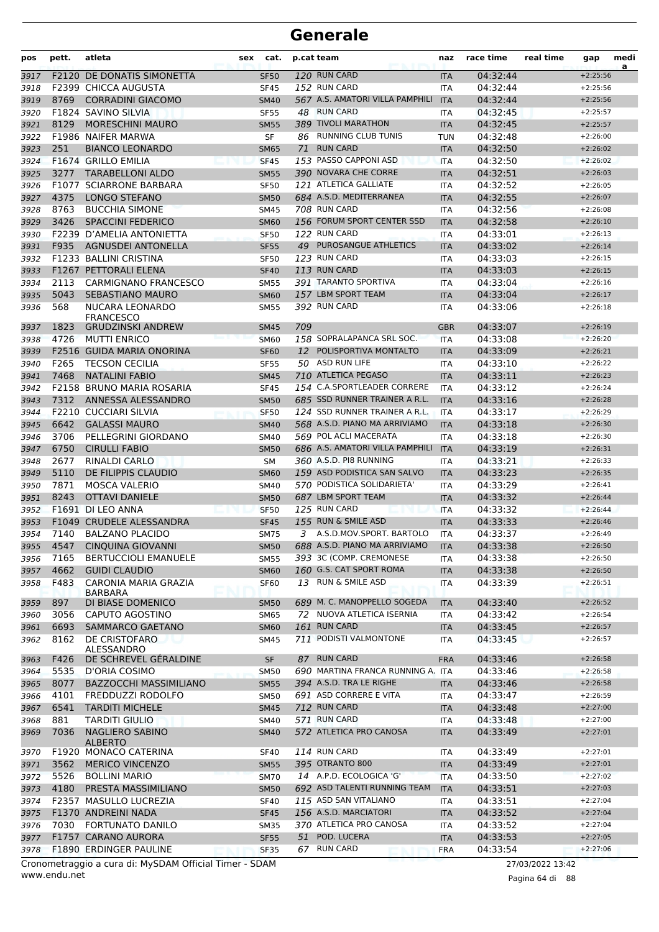| pos          | pett.        | atleta                                                 | sex | cat.                       |     | p.cat team                                      | naz                      | race time            | real time        | gap                      | medi<br>a |
|--------------|--------------|--------------------------------------------------------|-----|----------------------------|-----|-------------------------------------------------|--------------------------|----------------------|------------------|--------------------------|-----------|
| 3917         |              | F2120 DE DONATIS SIMONETTA                             |     | <b>SF50</b>                |     | 120 RUN CARD                                    | <b>ITA</b>               | 04:32:44             |                  | $+2:25:56$               |           |
| 3918         |              | <b>F2399 CHICCA AUGUSTA</b>                            |     | <b>SF45</b>                |     | 152 RUN CARD                                    | <b>ITA</b>               | 04:32:44             |                  | $+2:25:56$               |           |
| 3919         | 8769         | <b>CORRADINI GIACOMO</b>                               |     | <b>SM40</b>                |     | 567 A.S. AMATORI VILLA PAMPHILI                 | <b>ITA</b>               | 04:32:44             |                  | $+2:25:56$               |           |
| 3920         |              | F1824 SAVINO SILVIA                                    |     | <b>SF55</b>                |     | 48 RUN CARD                                     | <b>ITA</b>               | 04:32:45             |                  | $+2:25:57$               |           |
| 3921         | 8129         | <b>MORESCHINI MAURO</b>                                |     | <b>SM55</b>                |     | 389 TIVOLI MARATHON                             | <b>ITA</b>               | 04:32:45             |                  | $+2:25:57$               |           |
| 3922         |              | F1986 NAIFER MARWA                                     |     | SF                         | 86  | <b>RUNNING CLUB TUNIS</b>                       | <b>TUN</b>               | 04:32:48             |                  | $+2:26:00$               |           |
| 3923         | 251          | <b>BIANCO LEONARDO</b>                                 |     | <b>SM65</b>                | 71  | <b>RUN CARD</b>                                 | <b>ITA</b>               | 04:32:50             |                  | $+2:26:02$               |           |
| 3924         | 3277         | F1674 GRILLO EMILIA<br><b>TARABELLONI ALDO</b>         |     | <b>SF45</b>                |     | 153 PASSO CAPPONI ASD<br>390 NOVARA CHE CORRE   | <b>ITA</b>               | 04:32:50<br>04:32:51 |                  | $+2:26:02$<br>$+2:26:03$ |           |
| 3925<br>3926 |              | F1077 SCIARRONE BARBARA                                |     | <b>SM55</b><br><b>SF50</b> |     | 121 ATLETICA GALLIATE                           | <b>ITA</b><br><b>ITA</b> | 04:32:52             |                  | $+2:26:05$               |           |
| 3927         | 4375         | LONGO STEFANO                                          |     | <b>SM50</b>                |     | 684 A.S.D. MEDITERRANEA                         | <b>ITA</b>               | 04:32:55             |                  | $+2:26:07$               |           |
| 3928         | 8763         | <b>BUCCHIA SIMONE</b>                                  |     | <b>SM45</b>                |     | 708 RUN CARD                                    | <b>ITA</b>               | 04:32:56             |                  | $+2:26:08$               |           |
| 3929         | 3426         | <b>SPACCINI FEDERICO</b>                               |     | <b>SM60</b>                |     | 156 FORUM SPORT CENTER SSD                      | <b>ITA</b>               | 04:32:58             |                  | $+2:26:10$               |           |
| 3930         | F2239        | D'AMELIA ANTONIETTA                                    |     | <b>SF50</b>                |     | 122 RUN CARD                                    | <b>ITA</b>               | 04:33:01             |                  | $+2:26:13$               |           |
| 3931         | F935         | <b>AGNUSDEI ANTONELLA</b>                              |     | <b>SF55</b>                |     | 49 PUROSANGUE ATHLETICS                         | <b>ITA</b>               | 04:33:02             |                  | $+2:26:14$               |           |
| 3932         |              | F1233 BALLINI CRISTINA                                 |     | <b>SF50</b>                |     | 123 RUN CARD                                    | <b>ITA</b>               | 04:33:03             |                  | $+2:26:15$               |           |
| 3933         |              | F1267 PETTORALI ELENA                                  |     | <b>SF40</b>                |     | 113 RUN CARD                                    | <b>ITA</b>               | 04:33:03             |                  | $+2:26:15$               |           |
| 3934         | 2113         | <b>CARMIGNANO FRANCESCO</b>                            |     | <b>SM55</b>                |     | 391 TARANTO SPORTIVA                            | <b>ITA</b>               | 04:33:04             |                  | $+2:26:16$               |           |
| 3935         | 5043         | <b>SEBASTIANO MAURO</b>                                |     | <b>SM60</b>                |     | 157 LBM SPORT TEAM                              | <b>ITA</b>               | 04:33:04             |                  | $+2:26:17$               |           |
| 3936         | 568          | NUCARA LEONARDO                                        |     | <b>SM55</b>                |     | 392 RUN CARD                                    | <b>ITA</b>               | 04:33:06             |                  | $+2:26:18$               |           |
| 3937         | 1823         | <b>FRANCESCO</b><br><b>GRUDZINSKI ANDREW</b>           |     | <b>SM45</b>                | 709 |                                                 | <b>GBR</b>               | 04:33:07             |                  | $+2:26:19$               |           |
| 3938         | 4726         | <b>MUTTI ENRICO</b>                                    |     | <b>SM60</b>                |     | 158 SOPRALAPANCA SRL SOC.                       | <b>ITA</b>               | 04:33:08             |                  | $+2:26:20$               |           |
| 3939         |              | F2516 GUIDA MARIA ONORINA                              |     | <b>SF60</b>                |     | 12 POLISPORTIVA MONTALTO                        | <b>ITA</b>               | 04:33:09             |                  | $+2:26:21$               |           |
| 3940         | F265         | <b>TECSON CECILIA</b>                                  |     | <b>SF55</b>                |     | 50 ASD RUN LIFE                                 | <b>ITA</b>               | 04:33:10             |                  | $+2:26:22$               |           |
| 3941         | 7468         | <b>NATALINI FABIO</b>                                  |     | <b>SM45</b>                |     | 710 ATLETICA PEGASO                             | <b>ITA</b>               | 04:33:11             |                  | $+2:26:23$               |           |
| 3942         |              | F2158 BRUNO MARIA ROSARIA                              |     | <b>SF45</b>                |     | 154 C.A.SPORTLEADER CORRERE                     | <b>ITA</b>               | 04:33:12             |                  | $+2:26:24$               |           |
| 3943         | 7312         | ANNESSA ALESSANDRO                                     |     | <b>SM50</b>                |     | 685 SSD RUNNER TRAINER A R.L.                   | <b>ITA</b>               | 04:33:16             |                  | $+2:26:28$               |           |
| 3944         |              | <b>F2210 CUCCIARI SILVIA</b>                           |     | <b>SF50</b>                |     | 124 SSD RUNNER TRAINER A R.L.                   | <b>ITA</b>               | 04:33:17             |                  | $+2:26:29$               |           |
| 3945         | 6642         | <b>GALASSI MAURO</b>                                   |     | <b>SM40</b>                |     | 568 A.S.D. PIANO MA ARRIVIAMO                   | <b>ITA</b>               | 04:33:18             |                  | $+2:26:30$               |           |
| 3946         | 3706         | PELLEGRINI GIORDANO                                    |     | <b>SM40</b>                |     | 569 POL ACLI MACERATA                           | <b>ITA</b>               | 04:33:18             |                  | $+2:26:30$               |           |
| 3947         | 6750         | <b>CIRULLI FABIO</b>                                   |     | <b>SM50</b>                |     | 686 A.S. AMATORI VILLA PAMPHILI                 | <b>ITA</b>               | 04:33:19             |                  | $+2:26:31$               |           |
| 3948         | 2677         | RINALDI CARLO                                          |     | <b>SM</b>                  |     | 360 A.S.D. PI8 RUNNING                          | <b>ITA</b>               | 04:33:21             |                  | $+2:26:33$               |           |
| 3949         | 5110         | DE FILIPPIS CLAUDIO                                    |     | <b>SM60</b>                |     | 159 ASD PODISTICA SAN SALVO                     | <b>ITA</b>               | 04:33:23             |                  | $+2:26:35$               |           |
| 3950         | 7871         | <b>MOSCA VALERIO</b>                                   |     | <b>SM40</b>                |     | 570 PODISTICA SOLIDARIETA                       | <b>ITA</b>               | 04:33:29             |                  | $+2:26:41$               |           |
| 3951         | 8243         | <b>OTTAVI DANIELE</b>                                  |     | <b>SM50</b>                |     | 687 LBM SPORT TEAM                              | <b>ITA</b>               | 04:33:32             |                  | $+2:26:44$               |           |
| 3952         |              | F1691 DI LEO ANNA                                      |     | <b>SF50</b>                |     | 125 RUN CARD                                    | <b>ITA</b>               | 04:33:32             |                  | $+2:26:44$               |           |
| 3953         |              | F1049 CRUDELE ALESSANDRA                               |     | <b>SF45</b>                |     | 155 RUN & SMILE ASD<br>A.S.D.MOV.SPORT. BARTOLO | <b>ITA</b>               | 04:33:33             |                  | $+2:26:46$               |           |
| 3954         | 7140         | <b>BALZANO PLACIDO</b>                                 |     | <b>SM75</b>                | 3   | 688 A.S.D. PIANO MA ARRIVIAMO                   | <b>ITA</b>               | 04:33:37             |                  | $+2:26:49$               |           |
| 3955<br>3956 | 4547<br>7165 | CINQUINA GIOVANNI<br><b>BERTUCCIOLI EMANUELE</b>       |     | <b>SM50</b><br><b>SM55</b> |     | 393 3C (COMP. CREMONESE                         | <b>ITA</b><br><b>ITA</b> | 04:33:38<br>04:33:38 |                  | $+2:26:50$<br>$+2:26:50$ |           |
| 3957         | 4662         | <b>GUIDI CLAUDIO</b>                                   |     | <b>SM60</b>                |     | 160 G.S. CAT SPORT ROMA                         | <b>ITA</b>               | 04:33:38             |                  | $+2:26:50$               |           |
| 3958         | F483         | CARONIA MARIA GRAZIA                                   |     | <b>SF60</b>                |     | 13 RUN & SMILE ASD                              | ITA.                     | 04:33:39             |                  | $+2:26:51$               |           |
|              |              | <b>BARBARA</b>                                         |     |                            |     |                                                 |                          |                      |                  |                          |           |
| 3959         | 897          | DI BIASE DOMENICO                                      |     | <b>SM50</b>                |     | 689 M. C. MANOPPELLO SOGEDA                     | <b>ITA</b>               | 04:33:40             |                  | $+2:26:52$               |           |
| 3960         | 3056         | CAPUTO AGOSTINO                                        |     | <b>SM65</b>                |     | 72 NUOVA ATLETICA ISERNIA                       | ITA                      | 04:33:42             |                  | $+2:26:54$               |           |
| 3961         | 6693         | SAMMARCO GAETANO                                       |     | <b>SM60</b>                |     | 161 RUN CARD                                    | <b>ITA</b>               | 04:33:45             |                  | $+2:26:57$               |           |
| 3962         | 8162         | DE CRISTOFARO<br>ALESSANDRO                            |     | SM45                       |     | 711 PODISTI VALMONTONE                          | ITA                      | 04:33:45             |                  | $+2:26:57$               |           |
| 3963         | F426         | DE SCHREVEL GÉRALDINE                                  |     | <b>SF</b>                  |     | 87 RUN CARD                                     | <b>FRA</b>               | 04:33:46             |                  | $+2:26:58$               |           |
| 3964         | 5535         | D'ORIA COSIMO                                          |     | <b>SM50</b>                |     | 690 MARTINA FRANCA RUNNING A. ITA               |                          | 04:33:46             |                  | $+2:26:58$               |           |
| 3965         | 8077         | <b>BAZZOCCHI MASSIMILIANO</b>                          |     | <b>SM55</b>                |     | 394 A.S.D. TRA LE RIGHE                         | <b>ITA</b>               | 04:33:46             |                  | $+2:26:58$               |           |
| 3966         | 4101         | FREDDUZZI RODOLFO                                      |     | <b>SM50</b>                |     | 691 ASD CORRERE E VITA                          | <b>ITA</b>               | 04:33:47             |                  | $+2:26:59$               |           |
| 3967         | 6541         | <b>TARDITI MICHELE</b>                                 |     | <b>SM45</b>                |     | 712 RUN CARD                                    | <b>ITA</b>               | 04:33:48             |                  | $+2:27:00$               |           |
| 3968         | 881          | <b>TARDITI GIULIO</b>                                  |     | SM40                       |     | 571 RUN CARD                                    | <b>ITA</b>               | 04:33:48             |                  | $+2:27:00$               |           |
| 3969         | 7036         | <b>NAGLIERO SABINO</b><br><b>ALBERTO</b>               |     | <b>SM40</b>                |     | 572 ATLETICA PRO CANOSA                         | <b>ITA</b>               | 04:33:49             |                  | $+2:27:01$               |           |
| 3970         |              | F1920 MONACO CATERINA                                  |     | <b>SF40</b>                |     | 114 RUN CARD                                    | <b>ITA</b>               | 04:33:49             |                  | $+2:27:01$               |           |
| 3971         | 3562         | <b>MERICO VINCENZO</b>                                 |     | <b>SM55</b>                |     | 395 OTRANTO 800                                 | <b>ITA</b>               | 04:33:49             |                  | $+2:27:01$               |           |
| 3972         | 5526         | <b>BOLLINI MARIO</b>                                   |     | <b>SM70</b>                |     | 14 A.P.D. ECOLOGICA 'G'                         | <b>ITA</b>               | 04:33:50             |                  | $+2:27:02$               |           |
| 3973         | 4180         | PRESTA MASSIMILIANO                                    |     | <b>SM50</b>                |     | 692 ASD TALENTI RUNNING TEAM                    | <b>ITA</b>               | 04:33:51             |                  | $+2:27:03$               |           |
| 3974         |              | F2357 MASULLO LUCREZIA                                 |     | <b>SF40</b>                |     | 115 ASD SAN VITALIANO                           | ITA                      | 04:33:51             |                  | $+2:27:04$               |           |
| 3975         |              | F1370 ANDREINI NADA                                    |     | <b>SF45</b>                |     | 156 A.S.D. MARCIATORI                           | <b>ITA</b>               | 04:33:52             |                  | $+2:27:04$               |           |
| 3976         | 7030         | <b>FORTUNATO DANILO</b>                                |     | <b>SM35</b>                |     | 370 ATLETICA PRO CANOSA                         | <b>ITA</b>               | 04:33:52             |                  | $+2:27:04$               |           |
| 3977         |              | F1757 CARANO AURORA                                    |     | <b>SF55</b>                |     | 51 POD. LUCERA                                  | <b>ITA</b>               | 04:33:53             |                  | $+2:27:05$               |           |
| 3978         |              | F1890 ERDINGER PAULINE                                 |     | <b>SF35</b>                |     | 67 RUN CARD                                     | <b>FRA</b>               | 04:33:54             |                  | $+2:27:06$               |           |
|              |              | Cronometraggio a cura di: MySDAM Official Timer - SDAM |     |                            |     |                                                 |                          |                      | 27/03/2022 13:42 |                          |           |

www.endu.net

Pagina 64 di 88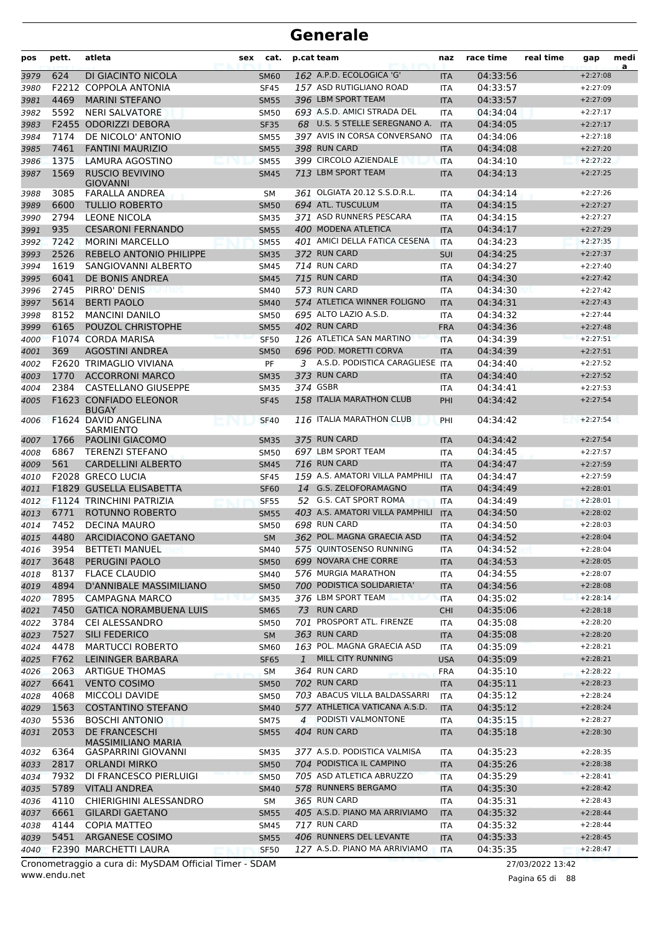| 624<br>162 A.P.D. ECOLOGICA 'G'<br>04:33:56<br>$+2:27:08$<br>DI GIACINTO NICOLA<br><b>SM60</b><br><b>ITA</b><br>3979<br>157 ASD RUTIGLIANO ROAD<br><b>F2212 COPPOLA ANTONIA</b><br>04:33:57<br>3980<br><b>SF45</b><br><b>ITA</b><br>$+2:27:09$<br>396 LBM SPORT TEAM<br>4469<br><b>MARINI STEFANO</b><br>04:33:57<br>3981<br><b>SM55</b><br><b>ITA</b><br>$+2:27:09$<br>693 A.S.D. AMICI STRADA DEL<br>5592<br><b>NERI SALVATORE</b><br>04:34:04<br>$+2:27:17$<br>3982<br><b>SM50</b><br><b>ITA</b><br>68 U.S. 5 STELLE SEREGNANO A.<br>F2455 ODORIZZI DEBORA<br>04:34:05<br>3983<br><b>SF35</b><br><b>ITA</b><br>$+2:27:17$<br>397 AVIS IN CORSA CONVERSANO<br>7174<br>DE NICOLO' ANTONIO<br>04:34:06<br>3984<br><b>SM55</b><br><b>ITA</b><br>$+2:27:18$<br>7461<br>398 RUN CARD<br><b>FANTINI MAURIZIO</b><br><b>SM55</b><br>04:34:08<br>3985<br>$+2:27:20$<br><b>ITA</b><br>399 CIRCOLO AZIENDALE<br>1375<br>LAMURA AGOSTINO<br>04:34:10<br>3986<br><b>SM55</b><br><b>ITA</b><br>$+2:27:22$<br>1569<br><b>RUSCIO BEVIVINO</b><br>713 LBM SPORT TEAM<br>04:34:13<br>3987<br><b>SM45</b><br><b>ITA</b><br>$+2:27:25$<br><b>GIOVANNI</b><br>3085<br><b>FARALLA ANDREA</b><br>361 OLGIATA 20.12 S.S.D.R.L.<br>04:34:14<br>3988<br>$+2:27:26$<br><b>SM</b><br>ITA<br>694 ATL. TUSCULUM<br>6600<br><b>TULLIO ROBERTO</b><br>04:34:15<br>$+2:27:27$<br>3989<br><b>SM50</b><br><b>ITA</b><br>371 ASD RUNNERS PESCARA<br>2794<br><b>LEONE NICOLA</b><br>04:34:15<br>3990<br><b>SM35</b><br>$+2:27:27$<br>ITA<br>400 MODENA ATLETICA<br>935<br><b>CESARONI FERNANDO</b><br>04:34:17<br>3991<br><b>SM55</b><br><b>ITA</b><br>$+2:27:29$<br>401 AMICI DELLA FATICA CESENA<br>7242<br><b>MORINI MARCELLO</b><br>04:34:23<br>$+2:27:35$<br>3992<br><b>SM55</b><br><b>ITA</b><br>2526<br>372 RUN CARD<br><b>REBELO ANTONIO PHILIPPE</b><br>04:34:25<br>3993<br><b>SM35</b><br><b>SUI</b><br>$+2:27:37$<br>714 RUN CARD<br>1619<br>SANGIOVANNI ALBERTO<br>04:34:27<br>$+2:27:40$<br>3994<br><b>SM45</b><br><b>ITA</b><br>715 RUN CARD<br>6041<br>DE BONIS ANDREA<br>04:34:30<br>3995<br><b>SM45</b><br><b>ITA</b><br>$+2:27:42$<br>2745<br>573 RUN CARD<br>PIRRO' DENIS<br>04:34:30<br>3996<br>wnet<br><b>SM40</b><br><b>ITA</b><br>$+2:27:42$<br>5614<br><b>BERTI PAOLO</b><br>574 ATLETICA WINNER FOLIGNO<br>04:34:31<br>3997<br>$+2:27:43$<br><b>SM40</b><br><b>ITA</b><br>695 ALTO LAZIO A.S.D.<br>8152<br><b>MANCINI DANILO</b><br>04:34:32<br>$+2:27:44$<br>3998<br><b>SM50</b><br><b>ITA</b><br>6165<br>402 RUN CARD<br><b>POUZOL CHRISTOPHE</b><br>04:34:36<br>3999<br><b>SM55</b><br><b>FRA</b><br>$+2:27:48$<br>126 ATLETICA SAN MARTINO<br>F1074 CORDA MARISA<br>04:34:39<br>$+2:27:51$<br>4000<br><b>SF50</b><br><b>ITA</b><br>696 POD. MORETTI CORVA<br>369<br><b>AGOSTINI ANDREA</b><br>04:34:39<br>$+2:27:51$<br><b>SM50</b><br><b>ITA</b><br>4001<br>F2620 TRIMAGLIO VIVIANA<br>A.S.D. PODISTICA CARAGLIESE ITA<br>PF<br>04:34:40<br>4002<br>3<br>$+2:27:52$<br>373 RUN CARD<br>1770<br><b>ACCORRONI MARCO</b><br>04:34:40<br>4003<br>$+2:27:52$<br><b>SM35</b><br><b>ITA</b><br>374 GSBR<br>2384<br><b>CASTELLANO GIUSEPPE</b><br>04:34:41<br>$+2:27:53$<br>4004<br><b>SM35</b><br>ITA<br>F1623 CONFIADO ELEONOR<br>158 ITALIA MARATHON CLUB<br>04:34:42<br>4005<br><b>SF45</b><br>PHI<br>$+2:27:54$<br><b>BUGAY</b><br>F1624 DAVID ANGELINA<br>116 ITALIA MARATHON CLUB<br><b>SF40</b><br>04:34:42<br>$+2:27:54$<br>4006<br>PHI<br><b>SARMIENTO</b><br>375 RUN CARD<br>04:34:42<br>1766<br><b>PAOLINI GIACOMO</b><br><b>SM35</b><br>$+2:27:54$<br>4007<br><b>ITA</b><br>6867<br><b>TERENZI STEFANO</b><br>697 LBM SPORT TEAM<br>04:34:45<br><b>SM50</b><br>$+2:27:57$<br>4008<br><b>ITA</b><br>561<br>716 RUN CARD<br><b>CARDELLINI ALBERTO</b><br>04:34:47<br><b>SM45</b><br><b>ITA</b><br>4009<br>$+2:27:59$<br><b>F2028 GRECO LUCIA</b><br>159 A.S. AMATORI VILLA PAMPHILI<br>04:34:47<br><b>SF45</b><br><b>ITA</b><br>$+2:27:59$<br>4010<br>F1829 GUSELLA ELISABETTA<br>14 G.S. ZELOFORAMAGNO<br>04:34:49<br>$+2:28:01$<br>4011<br><b>SF60</b><br><b>ITA</b><br>52 G.S. CAT SPORT ROMA<br>F1124 TRINCHINI PATRIZIA<br>04:34:49<br>4012<br><b>ITA</b><br>$+2:28:01$<br><b>SF55</b><br>403 A.S. AMATORI VILLA PAMPHILI<br>6771<br>ROTUNNO ROBERTO<br>04:34:50<br>4013<br><b>SM55</b><br><b>ITA</b><br>$+2:28:02$<br>698 RUN CARD<br>7452<br><b>DECINA MAURO</b><br>04:34:50<br>$+2:28:03$<br>4014<br><b>SM50</b><br>ITA<br>4480<br>362 POL. MAGNA GRAECIA ASD<br><b>ARCIDIACONO GAETANO</b><br>04:34:52<br>4015<br><b>SM</b><br><b>ITA</b><br>$+2:28:04$<br>575 QUINTOSENSO RUNNING<br>3954<br>04:34:52<br>$+2:28:04$<br><b>BETTETI MANUEL</b><br><b>SM40</b><br>4016<br>ITA<br>3648<br>PERUGINI PAOLO<br>699 NOVARA CHE CORRE<br>$+2:28:05$<br>4017<br><b>SM50</b><br>04:34:53<br><b>ITA</b><br>576 MURGIA MARATHON<br>8137<br><b>FLACE CLAUDIO</b><br>$+2:28:07$<br><b>SM40</b><br>04:34:55<br>4018<br>ITA<br>4894<br>D'ANNIBALE MASSIMILIANO<br>700 PODISTICA SOLIDARIETA'<br>4019<br><b>SM50</b><br><b>ITA</b><br>04:34:56<br>$+2:28:08$<br>7895<br>376 LBM SPORT TEAM<br>$+2:28:14$<br><b>CAMPAGNA MARCO</b><br>04:35:02<br>4020<br><b>SM35</b><br><b>ITA</b><br>7450<br>73 RUN CARD<br><b>GATICA NORAMBUENA LUIS</b><br>04:35:06<br><b>SM65</b><br><b>CHI</b><br>$+2:28:18$<br>4021<br>3784<br>CEI ALESSANDRO<br>701 PROSPORT ATL. FIRENZE<br>$+2:28:20$<br>4022<br><b>SM50</b><br>04:35:08<br>ITA<br>7527<br>363 RUN CARD<br>$+2:28:20$<br>SILI FEDERICO<br>04:35:08<br>4023<br><b>SM</b><br><b>ITA</b><br>4478<br>163 POL. MAGNA GRAECIA ASD<br><b>MARTUCCI ROBERTO</b><br>04:35:09<br>$+2:28:21$<br>4024<br><b>SM60</b><br>ITA<br>F762<br>LEININGER BARBARA<br>MILL CITY RUNNING<br><b>SF65</b><br>1<br><b>USA</b><br>04:35:09<br>$+2:28:21$<br>364 RUN CARD<br>2063<br>$+2:28:22$<br><b>ARTIGUE THOMAS</b><br>04:35:10<br>SM<br><b>FRA</b><br>4026<br>6641<br><b>VENTO COSIMO</b><br>702 RUN CARD<br>04:35:11<br>$+2:28:23$<br>4027<br><b>SM50</b><br><b>ITA</b><br>4068<br>703 ABACUS VILLA BALDASSARRI<br>MICCOLI DAVIDE<br>$+2:28:24$<br>04:35:12<br>4028<br><b>SM50</b><br><b>ITA</b><br>577 ATHLETICA VATICANA A.S.D.<br>$+2:28:24$<br>1563<br><b>COSTANTINO STEFANO</b><br><b>SM40</b><br>04:35:12<br>4029<br><b>ITA</b><br>PODISTI VALMONTONE<br>5536<br><b>BOSCHI ANTONIO</b><br>04:35:15<br>$+2:28:27$<br>4030<br><b>SM75</b><br>$\overline{4}$<br>ITA<br>2053<br>DE FRANCESCHI<br>404 RUN CARD<br>04:35:18<br><b>SM55</b><br>$+2:28:30$<br>4031<br><b>ITA</b><br>MASSIMILIANO MARIA<br>6364<br>377 A.S.D. PODISTICA VALMISA<br>04:35:23<br><b>GASPARRINI GIOVANNI</b><br>$+2:28:35$<br>4032<br><b>SM35</b><br><b>ITA</b><br>2817<br>704 PODISTICA IL CAMPINO<br>04:35:26<br><b>ORLANDI MIRKO</b><br><b>SM50</b><br>$+2:28:38$<br>4033<br><b>ITA</b><br>705 ASD ATLETICA ABRUZZO<br>7932<br>DI FRANCESCO PIERLUIGI<br>04:35:29<br>$+2:28:41$<br><b>SM50</b><br><b>ITA</b><br>4034<br>5789<br><b>VITALI ANDREA</b><br>578 RUNNERS BERGAMO<br>$+2:28:42$<br>04:35:30<br>4035<br><b>SM40</b><br><b>ITA</b><br>CHIERIGHINI ALESSANDRO<br>365 RUN CARD<br>$+2:28:43$<br>4110<br>04:35:31<br>4036<br>SM<br>ITA<br>405 A.S.D. PIANO MA ARRIVIAMO<br>6661<br><b>GILARDI GAETANO</b><br>04:35:32<br>$+2:28:44$<br>4037<br><b>SM55</b><br><b>ITA</b><br>4144<br><b>COPIA MATTEO</b><br>717 RUN CARD<br>04:35:32<br>$+2:28:44$<br>4038<br><b>SM45</b><br><b>ITA</b><br>ARGANESE COSIMO<br>406 RUNNERS DEL LEVANTE<br>5451<br><b>SM55</b><br>04:35:33<br>$+2:28:45$<br>4039<br><b>ITA</b> | pos  | pett. | atleta                | sex | cat.        | p.cat team |                               | naz        | race time | real time | gap        | medi<br>a |
|---------------------------------------------------------------------------------------------------------------------------------------------------------------------------------------------------------------------------------------------------------------------------------------------------------------------------------------------------------------------------------------------------------------------------------------------------------------------------------------------------------------------------------------------------------------------------------------------------------------------------------------------------------------------------------------------------------------------------------------------------------------------------------------------------------------------------------------------------------------------------------------------------------------------------------------------------------------------------------------------------------------------------------------------------------------------------------------------------------------------------------------------------------------------------------------------------------------------------------------------------------------------------------------------------------------------------------------------------------------------------------------------------------------------------------------------------------------------------------------------------------------------------------------------------------------------------------------------------------------------------------------------------------------------------------------------------------------------------------------------------------------------------------------------------------------------------------------------------------------------------------------------------------------------------------------------------------------------------------------------------------------------------------------------------------------------------------------------------------------------------------------------------------------------------------------------------------------------------------------------------------------------------------------------------------------------------------------------------------------------------------------------------------------------------------------------------------------------------------------------------------------------------------------------------------------------------------------------------------------------------------------------------------------------------------------------------------------------------------------------------------------------------------------------------------------------------------------------------------------------------------------------------------------------------------------------------------------------------------------------------------------------------------------------------------------------------------------------------------------------------------------------------------------------------------------------------------------------------------------------------------------------------------------------------------------------------------------------------------------------------------------------------------------------------------------------------------------------------------------------------------------------------------------------------------------------------------------------------------------------------------------------------------------------------------------------------------------------------------------------------------------------------------------------------------------------------------------------------------------------------------------------------------------------------------------------------------------------------------------------------------------------------------------------------------------------------------------------------------------------------------------------------------------------------------------------------------------------------------------------------------------------------------------------------------------------------------------------------------------------------------------------------------------------------------------------------------------------------------------------------------------------------------------------------------------------------------------------------------------------------------------------------------------------------------------------------------------------------------------------------------------------------------------------------------------------------------------------------------------------------------------------------------------------------------------------------------------------------------------------------------------------------------------------------------------------------------------------------------------------------------------------------------------------------------------------------------------------------------------------------------------------------------------------------------------------------------------------------------------------------------------------------------------------------------------------------------------------------------------------------------------------------------------------------------------------------------------------------------------------------------------------------------------------------------------------------------------------------------------------------------------------------------------------------------------------------------------------------------------------------------------------------------------------------------------------------------------------------------------------------------------------------------------------------------------------------------------------------------------------------------------------------------------------------------------------------------------------------------------------------------------------------------------------------------------------------------------------------------------------------------------------------------------------------------------------------------------------------------------------------------------------------------------------------------------------------------------------------------------------------------------------------------------------------------------------------------------------------------------------------------------------------------------------------------------------------------------------------------------------------------------------------------------------------------------------------------------------------------------------------------------------------------------------------------------------------------------------------------------------------------------------------------------------------------------------------------------------------------------------------------------------------------------------------------------------------------------------------------------------------------------------------------------------------------------------------------------------------------------------------------|------|-------|-----------------------|-----|-------------|------------|-------------------------------|------------|-----------|-----------|------------|-----------|
| 4025                                                                                                                                                                                                                                                                                                                                                                                                                                                                                                                                                                                                                                                                                                                                                                                                                                                                                                                                                                                                                                                                                                                                                                                                                                                                                                                                                                                                                                                                                                                                                                                                                                                                                                                                                                                                                                                                                                                                                                                                                                                                                                                                                                                                                                                                                                                                                                                                                                                                                                                                                                                                                                                                                                                                                                                                                                                                                                                                                                                                                                                                                                                                                                                                                                                                                                                                                                                                                                                                                                                                                                                                                                                                                                                                                                                                                                                                                                                                                                                                                                                                                                                                                                                                                                                                                                                                                                                                                                                                                                                                                                                                                                                                                                                                                                                                                                                                                                                                                                                                                                                                                                                                                                                                                                                                                                                                                                                                                                                                                                                                                                                                                                                                                                                                                                                                                                                                                                                                                                                                                                                                                                                                                                                                                                                                                                                                                                                                                                                                                                                                                                                                                                                                                                                                                                                                                                                                                                                                                                                                                                                                                                                                                                                                                                                                                                                                                                                                                                                                                                    |      |       |                       |     |             |            |                               |            |           |           |            |           |
|                                                                                                                                                                                                                                                                                                                                                                                                                                                                                                                                                                                                                                                                                                                                                                                                                                                                                                                                                                                                                                                                                                                                                                                                                                                                                                                                                                                                                                                                                                                                                                                                                                                                                                                                                                                                                                                                                                                                                                                                                                                                                                                                                                                                                                                                                                                                                                                                                                                                                                                                                                                                                                                                                                                                                                                                                                                                                                                                                                                                                                                                                                                                                                                                                                                                                                                                                                                                                                                                                                                                                                                                                                                                                                                                                                                                                                                                                                                                                                                                                                                                                                                                                                                                                                                                                                                                                                                                                                                                                                                                                                                                                                                                                                                                                                                                                                                                                                                                                                                                                                                                                                                                                                                                                                                                                                                                                                                                                                                                                                                                                                                                                                                                                                                                                                                                                                                                                                                                                                                                                                                                                                                                                                                                                                                                                                                                                                                                                                                                                                                                                                                                                                                                                                                                                                                                                                                                                                                                                                                                                                                                                                                                                                                                                                                                                                                                                                                                                                                                                                         |      |       |                       |     |             |            |                               |            |           |           |            |           |
|                                                                                                                                                                                                                                                                                                                                                                                                                                                                                                                                                                                                                                                                                                                                                                                                                                                                                                                                                                                                                                                                                                                                                                                                                                                                                                                                                                                                                                                                                                                                                                                                                                                                                                                                                                                                                                                                                                                                                                                                                                                                                                                                                                                                                                                                                                                                                                                                                                                                                                                                                                                                                                                                                                                                                                                                                                                                                                                                                                                                                                                                                                                                                                                                                                                                                                                                                                                                                                                                                                                                                                                                                                                                                                                                                                                                                                                                                                                                                                                                                                                                                                                                                                                                                                                                                                                                                                                                                                                                                                                                                                                                                                                                                                                                                                                                                                                                                                                                                                                                                                                                                                                                                                                                                                                                                                                                                                                                                                                                                                                                                                                                                                                                                                                                                                                                                                                                                                                                                                                                                                                                                                                                                                                                                                                                                                                                                                                                                                                                                                                                                                                                                                                                                                                                                                                                                                                                                                                                                                                                                                                                                                                                                                                                                                                                                                                                                                                                                                                                                                         |      |       |                       |     |             |            |                               |            |           |           |            |           |
|                                                                                                                                                                                                                                                                                                                                                                                                                                                                                                                                                                                                                                                                                                                                                                                                                                                                                                                                                                                                                                                                                                                                                                                                                                                                                                                                                                                                                                                                                                                                                                                                                                                                                                                                                                                                                                                                                                                                                                                                                                                                                                                                                                                                                                                                                                                                                                                                                                                                                                                                                                                                                                                                                                                                                                                                                                                                                                                                                                                                                                                                                                                                                                                                                                                                                                                                                                                                                                                                                                                                                                                                                                                                                                                                                                                                                                                                                                                                                                                                                                                                                                                                                                                                                                                                                                                                                                                                                                                                                                                                                                                                                                                                                                                                                                                                                                                                                                                                                                                                                                                                                                                                                                                                                                                                                                                                                                                                                                                                                                                                                                                                                                                                                                                                                                                                                                                                                                                                                                                                                                                                                                                                                                                                                                                                                                                                                                                                                                                                                                                                                                                                                                                                                                                                                                                                                                                                                                                                                                                                                                                                                                                                                                                                                                                                                                                                                                                                                                                                                                         |      |       |                       |     |             |            |                               |            |           |           |            |           |
|                                                                                                                                                                                                                                                                                                                                                                                                                                                                                                                                                                                                                                                                                                                                                                                                                                                                                                                                                                                                                                                                                                                                                                                                                                                                                                                                                                                                                                                                                                                                                                                                                                                                                                                                                                                                                                                                                                                                                                                                                                                                                                                                                                                                                                                                                                                                                                                                                                                                                                                                                                                                                                                                                                                                                                                                                                                                                                                                                                                                                                                                                                                                                                                                                                                                                                                                                                                                                                                                                                                                                                                                                                                                                                                                                                                                                                                                                                                                                                                                                                                                                                                                                                                                                                                                                                                                                                                                                                                                                                                                                                                                                                                                                                                                                                                                                                                                                                                                                                                                                                                                                                                                                                                                                                                                                                                                                                                                                                                                                                                                                                                                                                                                                                                                                                                                                                                                                                                                                                                                                                                                                                                                                                                                                                                                                                                                                                                                                                                                                                                                                                                                                                                                                                                                                                                                                                                                                                                                                                                                                                                                                                                                                                                                                                                                                                                                                                                                                                                                                                         |      |       |                       |     |             |            |                               |            |           |           |            |           |
|                                                                                                                                                                                                                                                                                                                                                                                                                                                                                                                                                                                                                                                                                                                                                                                                                                                                                                                                                                                                                                                                                                                                                                                                                                                                                                                                                                                                                                                                                                                                                                                                                                                                                                                                                                                                                                                                                                                                                                                                                                                                                                                                                                                                                                                                                                                                                                                                                                                                                                                                                                                                                                                                                                                                                                                                                                                                                                                                                                                                                                                                                                                                                                                                                                                                                                                                                                                                                                                                                                                                                                                                                                                                                                                                                                                                                                                                                                                                                                                                                                                                                                                                                                                                                                                                                                                                                                                                                                                                                                                                                                                                                                                                                                                                                                                                                                                                                                                                                                                                                                                                                                                                                                                                                                                                                                                                                                                                                                                                                                                                                                                                                                                                                                                                                                                                                                                                                                                                                                                                                                                                                                                                                                                                                                                                                                                                                                                                                                                                                                                                                                                                                                                                                                                                                                                                                                                                                                                                                                                                                                                                                                                                                                                                                                                                                                                                                                                                                                                                                                         |      |       |                       |     |             |            |                               |            |           |           |            |           |
|                                                                                                                                                                                                                                                                                                                                                                                                                                                                                                                                                                                                                                                                                                                                                                                                                                                                                                                                                                                                                                                                                                                                                                                                                                                                                                                                                                                                                                                                                                                                                                                                                                                                                                                                                                                                                                                                                                                                                                                                                                                                                                                                                                                                                                                                                                                                                                                                                                                                                                                                                                                                                                                                                                                                                                                                                                                                                                                                                                                                                                                                                                                                                                                                                                                                                                                                                                                                                                                                                                                                                                                                                                                                                                                                                                                                                                                                                                                                                                                                                                                                                                                                                                                                                                                                                                                                                                                                                                                                                                                                                                                                                                                                                                                                                                                                                                                                                                                                                                                                                                                                                                                                                                                                                                                                                                                                                                                                                                                                                                                                                                                                                                                                                                                                                                                                                                                                                                                                                                                                                                                                                                                                                                                                                                                                                                                                                                                                                                                                                                                                                                                                                                                                                                                                                                                                                                                                                                                                                                                                                                                                                                                                                                                                                                                                                                                                                                                                                                                                                                         |      |       |                       |     |             |            |                               |            |           |           |            |           |
|                                                                                                                                                                                                                                                                                                                                                                                                                                                                                                                                                                                                                                                                                                                                                                                                                                                                                                                                                                                                                                                                                                                                                                                                                                                                                                                                                                                                                                                                                                                                                                                                                                                                                                                                                                                                                                                                                                                                                                                                                                                                                                                                                                                                                                                                                                                                                                                                                                                                                                                                                                                                                                                                                                                                                                                                                                                                                                                                                                                                                                                                                                                                                                                                                                                                                                                                                                                                                                                                                                                                                                                                                                                                                                                                                                                                                                                                                                                                                                                                                                                                                                                                                                                                                                                                                                                                                                                                                                                                                                                                                                                                                                                                                                                                                                                                                                                                                                                                                                                                                                                                                                                                                                                                                                                                                                                                                                                                                                                                                                                                                                                                                                                                                                                                                                                                                                                                                                                                                                                                                                                                                                                                                                                                                                                                                                                                                                                                                                                                                                                                                                                                                                                                                                                                                                                                                                                                                                                                                                                                                                                                                                                                                                                                                                                                                                                                                                                                                                                                                                         |      |       |                       |     |             |            |                               |            |           |           |            |           |
|                                                                                                                                                                                                                                                                                                                                                                                                                                                                                                                                                                                                                                                                                                                                                                                                                                                                                                                                                                                                                                                                                                                                                                                                                                                                                                                                                                                                                                                                                                                                                                                                                                                                                                                                                                                                                                                                                                                                                                                                                                                                                                                                                                                                                                                                                                                                                                                                                                                                                                                                                                                                                                                                                                                                                                                                                                                                                                                                                                                                                                                                                                                                                                                                                                                                                                                                                                                                                                                                                                                                                                                                                                                                                                                                                                                                                                                                                                                                                                                                                                                                                                                                                                                                                                                                                                                                                                                                                                                                                                                                                                                                                                                                                                                                                                                                                                                                                                                                                                                                                                                                                                                                                                                                                                                                                                                                                                                                                                                                                                                                                                                                                                                                                                                                                                                                                                                                                                                                                                                                                                                                                                                                                                                                                                                                                                                                                                                                                                                                                                                                                                                                                                                                                                                                                                                                                                                                                                                                                                                                                                                                                                                                                                                                                                                                                                                                                                                                                                                                                                         |      |       |                       |     |             |            |                               |            |           |           |            |           |
|                                                                                                                                                                                                                                                                                                                                                                                                                                                                                                                                                                                                                                                                                                                                                                                                                                                                                                                                                                                                                                                                                                                                                                                                                                                                                                                                                                                                                                                                                                                                                                                                                                                                                                                                                                                                                                                                                                                                                                                                                                                                                                                                                                                                                                                                                                                                                                                                                                                                                                                                                                                                                                                                                                                                                                                                                                                                                                                                                                                                                                                                                                                                                                                                                                                                                                                                                                                                                                                                                                                                                                                                                                                                                                                                                                                                                                                                                                                                                                                                                                                                                                                                                                                                                                                                                                                                                                                                                                                                                                                                                                                                                                                                                                                                                                                                                                                                                                                                                                                                                                                                                                                                                                                                                                                                                                                                                                                                                                                                                                                                                                                                                                                                                                                                                                                                                                                                                                                                                                                                                                                                                                                                                                                                                                                                                                                                                                                                                                                                                                                                                                                                                                                                                                                                                                                                                                                                                                                                                                                                                                                                                                                                                                                                                                                                                                                                                                                                                                                                                                         |      |       |                       |     |             |            |                               |            |           |           |            |           |
|                                                                                                                                                                                                                                                                                                                                                                                                                                                                                                                                                                                                                                                                                                                                                                                                                                                                                                                                                                                                                                                                                                                                                                                                                                                                                                                                                                                                                                                                                                                                                                                                                                                                                                                                                                                                                                                                                                                                                                                                                                                                                                                                                                                                                                                                                                                                                                                                                                                                                                                                                                                                                                                                                                                                                                                                                                                                                                                                                                                                                                                                                                                                                                                                                                                                                                                                                                                                                                                                                                                                                                                                                                                                                                                                                                                                                                                                                                                                                                                                                                                                                                                                                                                                                                                                                                                                                                                                                                                                                                                                                                                                                                                                                                                                                                                                                                                                                                                                                                                                                                                                                                                                                                                                                                                                                                                                                                                                                                                                                                                                                                                                                                                                                                                                                                                                                                                                                                                                                                                                                                                                                                                                                                                                                                                                                                                                                                                                                                                                                                                                                                                                                                                                                                                                                                                                                                                                                                                                                                                                                                                                                                                                                                                                                                                                                                                                                                                                                                                                                                         |      |       |                       |     |             |            |                               |            |           |           |            |           |
|                                                                                                                                                                                                                                                                                                                                                                                                                                                                                                                                                                                                                                                                                                                                                                                                                                                                                                                                                                                                                                                                                                                                                                                                                                                                                                                                                                                                                                                                                                                                                                                                                                                                                                                                                                                                                                                                                                                                                                                                                                                                                                                                                                                                                                                                                                                                                                                                                                                                                                                                                                                                                                                                                                                                                                                                                                                                                                                                                                                                                                                                                                                                                                                                                                                                                                                                                                                                                                                                                                                                                                                                                                                                                                                                                                                                                                                                                                                                                                                                                                                                                                                                                                                                                                                                                                                                                                                                                                                                                                                                                                                                                                                                                                                                                                                                                                                                                                                                                                                                                                                                                                                                                                                                                                                                                                                                                                                                                                                                                                                                                                                                                                                                                                                                                                                                                                                                                                                                                                                                                                                                                                                                                                                                                                                                                                                                                                                                                                                                                                                                                                                                                                                                                                                                                                                                                                                                                                                                                                                                                                                                                                                                                                                                                                                                                                                                                                                                                                                                                                         |      |       |                       |     |             |            |                               |            |           |           |            |           |
|                                                                                                                                                                                                                                                                                                                                                                                                                                                                                                                                                                                                                                                                                                                                                                                                                                                                                                                                                                                                                                                                                                                                                                                                                                                                                                                                                                                                                                                                                                                                                                                                                                                                                                                                                                                                                                                                                                                                                                                                                                                                                                                                                                                                                                                                                                                                                                                                                                                                                                                                                                                                                                                                                                                                                                                                                                                                                                                                                                                                                                                                                                                                                                                                                                                                                                                                                                                                                                                                                                                                                                                                                                                                                                                                                                                                                                                                                                                                                                                                                                                                                                                                                                                                                                                                                                                                                                                                                                                                                                                                                                                                                                                                                                                                                                                                                                                                                                                                                                                                                                                                                                                                                                                                                                                                                                                                                                                                                                                                                                                                                                                                                                                                                                                                                                                                                                                                                                                                                                                                                                                                                                                                                                                                                                                                                                                                                                                                                                                                                                                                                                                                                                                                                                                                                                                                                                                                                                                                                                                                                                                                                                                                                                                                                                                                                                                                                                                                                                                                                                         |      |       |                       |     |             |            |                               |            |           |           |            |           |
|                                                                                                                                                                                                                                                                                                                                                                                                                                                                                                                                                                                                                                                                                                                                                                                                                                                                                                                                                                                                                                                                                                                                                                                                                                                                                                                                                                                                                                                                                                                                                                                                                                                                                                                                                                                                                                                                                                                                                                                                                                                                                                                                                                                                                                                                                                                                                                                                                                                                                                                                                                                                                                                                                                                                                                                                                                                                                                                                                                                                                                                                                                                                                                                                                                                                                                                                                                                                                                                                                                                                                                                                                                                                                                                                                                                                                                                                                                                                                                                                                                                                                                                                                                                                                                                                                                                                                                                                                                                                                                                                                                                                                                                                                                                                                                                                                                                                                                                                                                                                                                                                                                                                                                                                                                                                                                                                                                                                                                                                                                                                                                                                                                                                                                                                                                                                                                                                                                                                                                                                                                                                                                                                                                                                                                                                                                                                                                                                                                                                                                                                                                                                                                                                                                                                                                                                                                                                                                                                                                                                                                                                                                                                                                                                                                                                                                                                                                                                                                                                                                         |      |       |                       |     |             |            |                               |            |           |           |            |           |
|                                                                                                                                                                                                                                                                                                                                                                                                                                                                                                                                                                                                                                                                                                                                                                                                                                                                                                                                                                                                                                                                                                                                                                                                                                                                                                                                                                                                                                                                                                                                                                                                                                                                                                                                                                                                                                                                                                                                                                                                                                                                                                                                                                                                                                                                                                                                                                                                                                                                                                                                                                                                                                                                                                                                                                                                                                                                                                                                                                                                                                                                                                                                                                                                                                                                                                                                                                                                                                                                                                                                                                                                                                                                                                                                                                                                                                                                                                                                                                                                                                                                                                                                                                                                                                                                                                                                                                                                                                                                                                                                                                                                                                                                                                                                                                                                                                                                                                                                                                                                                                                                                                                                                                                                                                                                                                                                                                                                                                                                                                                                                                                                                                                                                                                                                                                                                                                                                                                                                                                                                                                                                                                                                                                                                                                                                                                                                                                                                                                                                                                                                                                                                                                                                                                                                                                                                                                                                                                                                                                                                                                                                                                                                                                                                                                                                                                                                                                                                                                                                                         |      |       |                       |     |             |            |                               |            |           |           |            |           |
|                                                                                                                                                                                                                                                                                                                                                                                                                                                                                                                                                                                                                                                                                                                                                                                                                                                                                                                                                                                                                                                                                                                                                                                                                                                                                                                                                                                                                                                                                                                                                                                                                                                                                                                                                                                                                                                                                                                                                                                                                                                                                                                                                                                                                                                                                                                                                                                                                                                                                                                                                                                                                                                                                                                                                                                                                                                                                                                                                                                                                                                                                                                                                                                                                                                                                                                                                                                                                                                                                                                                                                                                                                                                                                                                                                                                                                                                                                                                                                                                                                                                                                                                                                                                                                                                                                                                                                                                                                                                                                                                                                                                                                                                                                                                                                                                                                                                                                                                                                                                                                                                                                                                                                                                                                                                                                                                                                                                                                                                                                                                                                                                                                                                                                                                                                                                                                                                                                                                                                                                                                                                                                                                                                                                                                                                                                                                                                                                                                                                                                                                                                                                                                                                                                                                                                                                                                                                                                                                                                                                                                                                                                                                                                                                                                                                                                                                                                                                                                                                                                         |      |       |                       |     |             |            |                               |            |           |           |            |           |
|                                                                                                                                                                                                                                                                                                                                                                                                                                                                                                                                                                                                                                                                                                                                                                                                                                                                                                                                                                                                                                                                                                                                                                                                                                                                                                                                                                                                                                                                                                                                                                                                                                                                                                                                                                                                                                                                                                                                                                                                                                                                                                                                                                                                                                                                                                                                                                                                                                                                                                                                                                                                                                                                                                                                                                                                                                                                                                                                                                                                                                                                                                                                                                                                                                                                                                                                                                                                                                                                                                                                                                                                                                                                                                                                                                                                                                                                                                                                                                                                                                                                                                                                                                                                                                                                                                                                                                                                                                                                                                                                                                                                                                                                                                                                                                                                                                                                                                                                                                                                                                                                                                                                                                                                                                                                                                                                                                                                                                                                                                                                                                                                                                                                                                                                                                                                                                                                                                                                                                                                                                                                                                                                                                                                                                                                                                                                                                                                                                                                                                                                                                                                                                                                                                                                                                                                                                                                                                                                                                                                                                                                                                                                                                                                                                                                                                                                                                                                                                                                                                         |      |       |                       |     |             |            |                               |            |           |           |            |           |
|                                                                                                                                                                                                                                                                                                                                                                                                                                                                                                                                                                                                                                                                                                                                                                                                                                                                                                                                                                                                                                                                                                                                                                                                                                                                                                                                                                                                                                                                                                                                                                                                                                                                                                                                                                                                                                                                                                                                                                                                                                                                                                                                                                                                                                                                                                                                                                                                                                                                                                                                                                                                                                                                                                                                                                                                                                                                                                                                                                                                                                                                                                                                                                                                                                                                                                                                                                                                                                                                                                                                                                                                                                                                                                                                                                                                                                                                                                                                                                                                                                                                                                                                                                                                                                                                                                                                                                                                                                                                                                                                                                                                                                                                                                                                                                                                                                                                                                                                                                                                                                                                                                                                                                                                                                                                                                                                                                                                                                                                                                                                                                                                                                                                                                                                                                                                                                                                                                                                                                                                                                                                                                                                                                                                                                                                                                                                                                                                                                                                                                                                                                                                                                                                                                                                                                                                                                                                                                                                                                                                                                                                                                                                                                                                                                                                                                                                                                                                                                                                                                         |      |       |                       |     |             |            |                               |            |           |           |            |           |
|                                                                                                                                                                                                                                                                                                                                                                                                                                                                                                                                                                                                                                                                                                                                                                                                                                                                                                                                                                                                                                                                                                                                                                                                                                                                                                                                                                                                                                                                                                                                                                                                                                                                                                                                                                                                                                                                                                                                                                                                                                                                                                                                                                                                                                                                                                                                                                                                                                                                                                                                                                                                                                                                                                                                                                                                                                                                                                                                                                                                                                                                                                                                                                                                                                                                                                                                                                                                                                                                                                                                                                                                                                                                                                                                                                                                                                                                                                                                                                                                                                                                                                                                                                                                                                                                                                                                                                                                                                                                                                                                                                                                                                                                                                                                                                                                                                                                                                                                                                                                                                                                                                                                                                                                                                                                                                                                                                                                                                                                                                                                                                                                                                                                                                                                                                                                                                                                                                                                                                                                                                                                                                                                                                                                                                                                                                                                                                                                                                                                                                                                                                                                                                                                                                                                                                                                                                                                                                                                                                                                                                                                                                                                                                                                                                                                                                                                                                                                                                                                                                         |      |       |                       |     |             |            |                               |            |           |           |            |           |
|                                                                                                                                                                                                                                                                                                                                                                                                                                                                                                                                                                                                                                                                                                                                                                                                                                                                                                                                                                                                                                                                                                                                                                                                                                                                                                                                                                                                                                                                                                                                                                                                                                                                                                                                                                                                                                                                                                                                                                                                                                                                                                                                                                                                                                                                                                                                                                                                                                                                                                                                                                                                                                                                                                                                                                                                                                                                                                                                                                                                                                                                                                                                                                                                                                                                                                                                                                                                                                                                                                                                                                                                                                                                                                                                                                                                                                                                                                                                                                                                                                                                                                                                                                                                                                                                                                                                                                                                                                                                                                                                                                                                                                                                                                                                                                                                                                                                                                                                                                                                                                                                                                                                                                                                                                                                                                                                                                                                                                                                                                                                                                                                                                                                                                                                                                                                                                                                                                                                                                                                                                                                                                                                                                                                                                                                                                                                                                                                                                                                                                                                                                                                                                                                                                                                                                                                                                                                                                                                                                                                                                                                                                                                                                                                                                                                                                                                                                                                                                                                                                         |      |       |                       |     |             |            |                               |            |           |           |            |           |
|                                                                                                                                                                                                                                                                                                                                                                                                                                                                                                                                                                                                                                                                                                                                                                                                                                                                                                                                                                                                                                                                                                                                                                                                                                                                                                                                                                                                                                                                                                                                                                                                                                                                                                                                                                                                                                                                                                                                                                                                                                                                                                                                                                                                                                                                                                                                                                                                                                                                                                                                                                                                                                                                                                                                                                                                                                                                                                                                                                                                                                                                                                                                                                                                                                                                                                                                                                                                                                                                                                                                                                                                                                                                                                                                                                                                                                                                                                                                                                                                                                                                                                                                                                                                                                                                                                                                                                                                                                                                                                                                                                                                                                                                                                                                                                                                                                                                                                                                                                                                                                                                                                                                                                                                                                                                                                                                                                                                                                                                                                                                                                                                                                                                                                                                                                                                                                                                                                                                                                                                                                                                                                                                                                                                                                                                                                                                                                                                                                                                                                                                                                                                                                                                                                                                                                                                                                                                                                                                                                                                                                                                                                                                                                                                                                                                                                                                                                                                                                                                                                         |      |       |                       |     |             |            |                               |            |           |           |            |           |
|                                                                                                                                                                                                                                                                                                                                                                                                                                                                                                                                                                                                                                                                                                                                                                                                                                                                                                                                                                                                                                                                                                                                                                                                                                                                                                                                                                                                                                                                                                                                                                                                                                                                                                                                                                                                                                                                                                                                                                                                                                                                                                                                                                                                                                                                                                                                                                                                                                                                                                                                                                                                                                                                                                                                                                                                                                                                                                                                                                                                                                                                                                                                                                                                                                                                                                                                                                                                                                                                                                                                                                                                                                                                                                                                                                                                                                                                                                                                                                                                                                                                                                                                                                                                                                                                                                                                                                                                                                                                                                                                                                                                                                                                                                                                                                                                                                                                                                                                                                                                                                                                                                                                                                                                                                                                                                                                                                                                                                                                                                                                                                                                                                                                                                                                                                                                                                                                                                                                                                                                                                                                                                                                                                                                                                                                                                                                                                                                                                                                                                                                                                                                                                                                                                                                                                                                                                                                                                                                                                                                                                                                                                                                                                                                                                                                                                                                                                                                                                                                                                         |      |       |                       |     |             |            |                               |            |           |           |            |           |
|                                                                                                                                                                                                                                                                                                                                                                                                                                                                                                                                                                                                                                                                                                                                                                                                                                                                                                                                                                                                                                                                                                                                                                                                                                                                                                                                                                                                                                                                                                                                                                                                                                                                                                                                                                                                                                                                                                                                                                                                                                                                                                                                                                                                                                                                                                                                                                                                                                                                                                                                                                                                                                                                                                                                                                                                                                                                                                                                                                                                                                                                                                                                                                                                                                                                                                                                                                                                                                                                                                                                                                                                                                                                                                                                                                                                                                                                                                                                                                                                                                                                                                                                                                                                                                                                                                                                                                                                                                                                                                                                                                                                                                                                                                                                                                                                                                                                                                                                                                                                                                                                                                                                                                                                                                                                                                                                                                                                                                                                                                                                                                                                                                                                                                                                                                                                                                                                                                                                                                                                                                                                                                                                                                                                                                                                                                                                                                                                                                                                                                                                                                                                                                                                                                                                                                                                                                                                                                                                                                                                                                                                                                                                                                                                                                                                                                                                                                                                                                                                                                         |      |       |                       |     |             |            |                               |            |           |           |            |           |
|                                                                                                                                                                                                                                                                                                                                                                                                                                                                                                                                                                                                                                                                                                                                                                                                                                                                                                                                                                                                                                                                                                                                                                                                                                                                                                                                                                                                                                                                                                                                                                                                                                                                                                                                                                                                                                                                                                                                                                                                                                                                                                                                                                                                                                                                                                                                                                                                                                                                                                                                                                                                                                                                                                                                                                                                                                                                                                                                                                                                                                                                                                                                                                                                                                                                                                                                                                                                                                                                                                                                                                                                                                                                                                                                                                                                                                                                                                                                                                                                                                                                                                                                                                                                                                                                                                                                                                                                                                                                                                                                                                                                                                                                                                                                                                                                                                                                                                                                                                                                                                                                                                                                                                                                                                                                                                                                                                                                                                                                                                                                                                                                                                                                                                                                                                                                                                                                                                                                                                                                                                                                                                                                                                                                                                                                                                                                                                                                                                                                                                                                                                                                                                                                                                                                                                                                                                                                                                                                                                                                                                                                                                                                                                                                                                                                                                                                                                                                                                                                                                         |      |       |                       |     |             |            |                               |            |           |           |            |           |
|                                                                                                                                                                                                                                                                                                                                                                                                                                                                                                                                                                                                                                                                                                                                                                                                                                                                                                                                                                                                                                                                                                                                                                                                                                                                                                                                                                                                                                                                                                                                                                                                                                                                                                                                                                                                                                                                                                                                                                                                                                                                                                                                                                                                                                                                                                                                                                                                                                                                                                                                                                                                                                                                                                                                                                                                                                                                                                                                                                                                                                                                                                                                                                                                                                                                                                                                                                                                                                                                                                                                                                                                                                                                                                                                                                                                                                                                                                                                                                                                                                                                                                                                                                                                                                                                                                                                                                                                                                                                                                                                                                                                                                                                                                                                                                                                                                                                                                                                                                                                                                                                                                                                                                                                                                                                                                                                                                                                                                                                                                                                                                                                                                                                                                                                                                                                                                                                                                                                                                                                                                                                                                                                                                                                                                                                                                                                                                                                                                                                                                                                                                                                                                                                                                                                                                                                                                                                                                                                                                                                                                                                                                                                                                                                                                                                                                                                                                                                                                                                                                         |      |       |                       |     |             |            |                               |            |           |           |            |           |
|                                                                                                                                                                                                                                                                                                                                                                                                                                                                                                                                                                                                                                                                                                                                                                                                                                                                                                                                                                                                                                                                                                                                                                                                                                                                                                                                                                                                                                                                                                                                                                                                                                                                                                                                                                                                                                                                                                                                                                                                                                                                                                                                                                                                                                                                                                                                                                                                                                                                                                                                                                                                                                                                                                                                                                                                                                                                                                                                                                                                                                                                                                                                                                                                                                                                                                                                                                                                                                                                                                                                                                                                                                                                                                                                                                                                                                                                                                                                                                                                                                                                                                                                                                                                                                                                                                                                                                                                                                                                                                                                                                                                                                                                                                                                                                                                                                                                                                                                                                                                                                                                                                                                                                                                                                                                                                                                                                                                                                                                                                                                                                                                                                                                                                                                                                                                                                                                                                                                                                                                                                                                                                                                                                                                                                                                                                                                                                                                                                                                                                                                                                                                                                                                                                                                                                                                                                                                                                                                                                                                                                                                                                                                                                                                                                                                                                                                                                                                                                                                                                         |      |       |                       |     |             |            |                               |            |           |           |            |           |
|                                                                                                                                                                                                                                                                                                                                                                                                                                                                                                                                                                                                                                                                                                                                                                                                                                                                                                                                                                                                                                                                                                                                                                                                                                                                                                                                                                                                                                                                                                                                                                                                                                                                                                                                                                                                                                                                                                                                                                                                                                                                                                                                                                                                                                                                                                                                                                                                                                                                                                                                                                                                                                                                                                                                                                                                                                                                                                                                                                                                                                                                                                                                                                                                                                                                                                                                                                                                                                                                                                                                                                                                                                                                                                                                                                                                                                                                                                                                                                                                                                                                                                                                                                                                                                                                                                                                                                                                                                                                                                                                                                                                                                                                                                                                                                                                                                                                                                                                                                                                                                                                                                                                                                                                                                                                                                                                                                                                                                                                                                                                                                                                                                                                                                                                                                                                                                                                                                                                                                                                                                                                                                                                                                                                                                                                                                                                                                                                                                                                                                                                                                                                                                                                                                                                                                                                                                                                                                                                                                                                                                                                                                                                                                                                                                                                                                                                                                                                                                                                                                         |      |       |                       |     |             |            |                               |            |           |           |            |           |
|                                                                                                                                                                                                                                                                                                                                                                                                                                                                                                                                                                                                                                                                                                                                                                                                                                                                                                                                                                                                                                                                                                                                                                                                                                                                                                                                                                                                                                                                                                                                                                                                                                                                                                                                                                                                                                                                                                                                                                                                                                                                                                                                                                                                                                                                                                                                                                                                                                                                                                                                                                                                                                                                                                                                                                                                                                                                                                                                                                                                                                                                                                                                                                                                                                                                                                                                                                                                                                                                                                                                                                                                                                                                                                                                                                                                                                                                                                                                                                                                                                                                                                                                                                                                                                                                                                                                                                                                                                                                                                                                                                                                                                                                                                                                                                                                                                                                                                                                                                                                                                                                                                                                                                                                                                                                                                                                                                                                                                                                                                                                                                                                                                                                                                                                                                                                                                                                                                                                                                                                                                                                                                                                                                                                                                                                                                                                                                                                                                                                                                                                                                                                                                                                                                                                                                                                                                                                                                                                                                                                                                                                                                                                                                                                                                                                                                                                                                                                                                                                                                         |      |       |                       |     |             |            |                               |            |           |           |            |           |
|                                                                                                                                                                                                                                                                                                                                                                                                                                                                                                                                                                                                                                                                                                                                                                                                                                                                                                                                                                                                                                                                                                                                                                                                                                                                                                                                                                                                                                                                                                                                                                                                                                                                                                                                                                                                                                                                                                                                                                                                                                                                                                                                                                                                                                                                                                                                                                                                                                                                                                                                                                                                                                                                                                                                                                                                                                                                                                                                                                                                                                                                                                                                                                                                                                                                                                                                                                                                                                                                                                                                                                                                                                                                                                                                                                                                                                                                                                                                                                                                                                                                                                                                                                                                                                                                                                                                                                                                                                                                                                                                                                                                                                                                                                                                                                                                                                                                                                                                                                                                                                                                                                                                                                                                                                                                                                                                                                                                                                                                                                                                                                                                                                                                                                                                                                                                                                                                                                                                                                                                                                                                                                                                                                                                                                                                                                                                                                                                                                                                                                                                                                                                                                                                                                                                                                                                                                                                                                                                                                                                                                                                                                                                                                                                                                                                                                                                                                                                                                                                                                         |      |       |                       |     |             |            |                               |            |           |           |            |           |
|                                                                                                                                                                                                                                                                                                                                                                                                                                                                                                                                                                                                                                                                                                                                                                                                                                                                                                                                                                                                                                                                                                                                                                                                                                                                                                                                                                                                                                                                                                                                                                                                                                                                                                                                                                                                                                                                                                                                                                                                                                                                                                                                                                                                                                                                                                                                                                                                                                                                                                                                                                                                                                                                                                                                                                                                                                                                                                                                                                                                                                                                                                                                                                                                                                                                                                                                                                                                                                                                                                                                                                                                                                                                                                                                                                                                                                                                                                                                                                                                                                                                                                                                                                                                                                                                                                                                                                                                                                                                                                                                                                                                                                                                                                                                                                                                                                                                                                                                                                                                                                                                                                                                                                                                                                                                                                                                                                                                                                                                                                                                                                                                                                                                                                                                                                                                                                                                                                                                                                                                                                                                                                                                                                                                                                                                                                                                                                                                                                                                                                                                                                                                                                                                                                                                                                                                                                                                                                                                                                                                                                                                                                                                                                                                                                                                                                                                                                                                                                                                                                         |      |       |                       |     |             |            |                               |            |           |           |            |           |
|                                                                                                                                                                                                                                                                                                                                                                                                                                                                                                                                                                                                                                                                                                                                                                                                                                                                                                                                                                                                                                                                                                                                                                                                                                                                                                                                                                                                                                                                                                                                                                                                                                                                                                                                                                                                                                                                                                                                                                                                                                                                                                                                                                                                                                                                                                                                                                                                                                                                                                                                                                                                                                                                                                                                                                                                                                                                                                                                                                                                                                                                                                                                                                                                                                                                                                                                                                                                                                                                                                                                                                                                                                                                                                                                                                                                                                                                                                                                                                                                                                                                                                                                                                                                                                                                                                                                                                                                                                                                                                                                                                                                                                                                                                                                                                                                                                                                                                                                                                                                                                                                                                                                                                                                                                                                                                                                                                                                                                                                                                                                                                                                                                                                                                                                                                                                                                                                                                                                                                                                                                                                                                                                                                                                                                                                                                                                                                                                                                                                                                                                                                                                                                                                                                                                                                                                                                                                                                                                                                                                                                                                                                                                                                                                                                                                                                                                                                                                                                                                                                         |      |       |                       |     |             |            |                               |            |           |           |            |           |
|                                                                                                                                                                                                                                                                                                                                                                                                                                                                                                                                                                                                                                                                                                                                                                                                                                                                                                                                                                                                                                                                                                                                                                                                                                                                                                                                                                                                                                                                                                                                                                                                                                                                                                                                                                                                                                                                                                                                                                                                                                                                                                                                                                                                                                                                                                                                                                                                                                                                                                                                                                                                                                                                                                                                                                                                                                                                                                                                                                                                                                                                                                                                                                                                                                                                                                                                                                                                                                                                                                                                                                                                                                                                                                                                                                                                                                                                                                                                                                                                                                                                                                                                                                                                                                                                                                                                                                                                                                                                                                                                                                                                                                                                                                                                                                                                                                                                                                                                                                                                                                                                                                                                                                                                                                                                                                                                                                                                                                                                                                                                                                                                                                                                                                                                                                                                                                                                                                                                                                                                                                                                                                                                                                                                                                                                                                                                                                                                                                                                                                                                                                                                                                                                                                                                                                                                                                                                                                                                                                                                                                                                                                                                                                                                                                                                                                                                                                                                                                                                                                         |      |       |                       |     |             |            |                               |            |           |           |            |           |
|                                                                                                                                                                                                                                                                                                                                                                                                                                                                                                                                                                                                                                                                                                                                                                                                                                                                                                                                                                                                                                                                                                                                                                                                                                                                                                                                                                                                                                                                                                                                                                                                                                                                                                                                                                                                                                                                                                                                                                                                                                                                                                                                                                                                                                                                                                                                                                                                                                                                                                                                                                                                                                                                                                                                                                                                                                                                                                                                                                                                                                                                                                                                                                                                                                                                                                                                                                                                                                                                                                                                                                                                                                                                                                                                                                                                                                                                                                                                                                                                                                                                                                                                                                                                                                                                                                                                                                                                                                                                                                                                                                                                                                                                                                                                                                                                                                                                                                                                                                                                                                                                                                                                                                                                                                                                                                                                                                                                                                                                                                                                                                                                                                                                                                                                                                                                                                                                                                                                                                                                                                                                                                                                                                                                                                                                                                                                                                                                                                                                                                                                                                                                                                                                                                                                                                                                                                                                                                                                                                                                                                                                                                                                                                                                                                                                                                                                                                                                                                                                                                         |      |       |                       |     |             |            |                               |            |           |           |            |           |
|                                                                                                                                                                                                                                                                                                                                                                                                                                                                                                                                                                                                                                                                                                                                                                                                                                                                                                                                                                                                                                                                                                                                                                                                                                                                                                                                                                                                                                                                                                                                                                                                                                                                                                                                                                                                                                                                                                                                                                                                                                                                                                                                                                                                                                                                                                                                                                                                                                                                                                                                                                                                                                                                                                                                                                                                                                                                                                                                                                                                                                                                                                                                                                                                                                                                                                                                                                                                                                                                                                                                                                                                                                                                                                                                                                                                                                                                                                                                                                                                                                                                                                                                                                                                                                                                                                                                                                                                                                                                                                                                                                                                                                                                                                                                                                                                                                                                                                                                                                                                                                                                                                                                                                                                                                                                                                                                                                                                                                                                                                                                                                                                                                                                                                                                                                                                                                                                                                                                                                                                                                                                                                                                                                                                                                                                                                                                                                                                                                                                                                                                                                                                                                                                                                                                                                                                                                                                                                                                                                                                                                                                                                                                                                                                                                                                                                                                                                                                                                                                                                         |      |       |                       |     |             |            |                               |            |           |           |            |           |
|                                                                                                                                                                                                                                                                                                                                                                                                                                                                                                                                                                                                                                                                                                                                                                                                                                                                                                                                                                                                                                                                                                                                                                                                                                                                                                                                                                                                                                                                                                                                                                                                                                                                                                                                                                                                                                                                                                                                                                                                                                                                                                                                                                                                                                                                                                                                                                                                                                                                                                                                                                                                                                                                                                                                                                                                                                                                                                                                                                                                                                                                                                                                                                                                                                                                                                                                                                                                                                                                                                                                                                                                                                                                                                                                                                                                                                                                                                                                                                                                                                                                                                                                                                                                                                                                                                                                                                                                                                                                                                                                                                                                                                                                                                                                                                                                                                                                                                                                                                                                                                                                                                                                                                                                                                                                                                                                                                                                                                                                                                                                                                                                                                                                                                                                                                                                                                                                                                                                                                                                                                                                                                                                                                                                                                                                                                                                                                                                                                                                                                                                                                                                                                                                                                                                                                                                                                                                                                                                                                                                                                                                                                                                                                                                                                                                                                                                                                                                                                                                                                         |      |       |                       |     |             |            |                               |            |           |           |            |           |
|                                                                                                                                                                                                                                                                                                                                                                                                                                                                                                                                                                                                                                                                                                                                                                                                                                                                                                                                                                                                                                                                                                                                                                                                                                                                                                                                                                                                                                                                                                                                                                                                                                                                                                                                                                                                                                                                                                                                                                                                                                                                                                                                                                                                                                                                                                                                                                                                                                                                                                                                                                                                                                                                                                                                                                                                                                                                                                                                                                                                                                                                                                                                                                                                                                                                                                                                                                                                                                                                                                                                                                                                                                                                                                                                                                                                                                                                                                                                                                                                                                                                                                                                                                                                                                                                                                                                                                                                                                                                                                                                                                                                                                                                                                                                                                                                                                                                                                                                                                                                                                                                                                                                                                                                                                                                                                                                                                                                                                                                                                                                                                                                                                                                                                                                                                                                                                                                                                                                                                                                                                                                                                                                                                                                                                                                                                                                                                                                                                                                                                                                                                                                                                                                                                                                                                                                                                                                                                                                                                                                                                                                                                                                                                                                                                                                                                                                                                                                                                                                                                         |      |       |                       |     |             |            |                               |            |           |           |            |           |
|                                                                                                                                                                                                                                                                                                                                                                                                                                                                                                                                                                                                                                                                                                                                                                                                                                                                                                                                                                                                                                                                                                                                                                                                                                                                                                                                                                                                                                                                                                                                                                                                                                                                                                                                                                                                                                                                                                                                                                                                                                                                                                                                                                                                                                                                                                                                                                                                                                                                                                                                                                                                                                                                                                                                                                                                                                                                                                                                                                                                                                                                                                                                                                                                                                                                                                                                                                                                                                                                                                                                                                                                                                                                                                                                                                                                                                                                                                                                                                                                                                                                                                                                                                                                                                                                                                                                                                                                                                                                                                                                                                                                                                                                                                                                                                                                                                                                                                                                                                                                                                                                                                                                                                                                                                                                                                                                                                                                                                                                                                                                                                                                                                                                                                                                                                                                                                                                                                                                                                                                                                                                                                                                                                                                                                                                                                                                                                                                                                                                                                                                                                                                                                                                                                                                                                                                                                                                                                                                                                                                                                                                                                                                                                                                                                                                                                                                                                                                                                                                                                         |      |       |                       |     |             |            |                               |            |           |           |            |           |
|                                                                                                                                                                                                                                                                                                                                                                                                                                                                                                                                                                                                                                                                                                                                                                                                                                                                                                                                                                                                                                                                                                                                                                                                                                                                                                                                                                                                                                                                                                                                                                                                                                                                                                                                                                                                                                                                                                                                                                                                                                                                                                                                                                                                                                                                                                                                                                                                                                                                                                                                                                                                                                                                                                                                                                                                                                                                                                                                                                                                                                                                                                                                                                                                                                                                                                                                                                                                                                                                                                                                                                                                                                                                                                                                                                                                                                                                                                                                                                                                                                                                                                                                                                                                                                                                                                                                                                                                                                                                                                                                                                                                                                                                                                                                                                                                                                                                                                                                                                                                                                                                                                                                                                                                                                                                                                                                                                                                                                                                                                                                                                                                                                                                                                                                                                                                                                                                                                                                                                                                                                                                                                                                                                                                                                                                                                                                                                                                                                                                                                                                                                                                                                                                                                                                                                                                                                                                                                                                                                                                                                                                                                                                                                                                                                                                                                                                                                                                                                                                                                         |      |       |                       |     |             |            |                               |            |           |           |            |           |
|                                                                                                                                                                                                                                                                                                                                                                                                                                                                                                                                                                                                                                                                                                                                                                                                                                                                                                                                                                                                                                                                                                                                                                                                                                                                                                                                                                                                                                                                                                                                                                                                                                                                                                                                                                                                                                                                                                                                                                                                                                                                                                                                                                                                                                                                                                                                                                                                                                                                                                                                                                                                                                                                                                                                                                                                                                                                                                                                                                                                                                                                                                                                                                                                                                                                                                                                                                                                                                                                                                                                                                                                                                                                                                                                                                                                                                                                                                                                                                                                                                                                                                                                                                                                                                                                                                                                                                                                                                                                                                                                                                                                                                                                                                                                                                                                                                                                                                                                                                                                                                                                                                                                                                                                                                                                                                                                                                                                                                                                                                                                                                                                                                                                                                                                                                                                                                                                                                                                                                                                                                                                                                                                                                                                                                                                                                                                                                                                                                                                                                                                                                                                                                                                                                                                                                                                                                                                                                                                                                                                                                                                                                                                                                                                                                                                                                                                                                                                                                                                                                         |      |       |                       |     |             |            |                               |            |           |           |            |           |
|                                                                                                                                                                                                                                                                                                                                                                                                                                                                                                                                                                                                                                                                                                                                                                                                                                                                                                                                                                                                                                                                                                                                                                                                                                                                                                                                                                                                                                                                                                                                                                                                                                                                                                                                                                                                                                                                                                                                                                                                                                                                                                                                                                                                                                                                                                                                                                                                                                                                                                                                                                                                                                                                                                                                                                                                                                                                                                                                                                                                                                                                                                                                                                                                                                                                                                                                                                                                                                                                                                                                                                                                                                                                                                                                                                                                                                                                                                                                                                                                                                                                                                                                                                                                                                                                                                                                                                                                                                                                                                                                                                                                                                                                                                                                                                                                                                                                                                                                                                                                                                                                                                                                                                                                                                                                                                                                                                                                                                                                                                                                                                                                                                                                                                                                                                                                                                                                                                                                                                                                                                                                                                                                                                                                                                                                                                                                                                                                                                                                                                                                                                                                                                                                                                                                                                                                                                                                                                                                                                                                                                                                                                                                                                                                                                                                                                                                                                                                                                                                                                         |      |       |                       |     |             |            |                               |            |           |           |            |           |
|                                                                                                                                                                                                                                                                                                                                                                                                                                                                                                                                                                                                                                                                                                                                                                                                                                                                                                                                                                                                                                                                                                                                                                                                                                                                                                                                                                                                                                                                                                                                                                                                                                                                                                                                                                                                                                                                                                                                                                                                                                                                                                                                                                                                                                                                                                                                                                                                                                                                                                                                                                                                                                                                                                                                                                                                                                                                                                                                                                                                                                                                                                                                                                                                                                                                                                                                                                                                                                                                                                                                                                                                                                                                                                                                                                                                                                                                                                                                                                                                                                                                                                                                                                                                                                                                                                                                                                                                                                                                                                                                                                                                                                                                                                                                                                                                                                                                                                                                                                                                                                                                                                                                                                                                                                                                                                                                                                                                                                                                                                                                                                                                                                                                                                                                                                                                                                                                                                                                                                                                                                                                                                                                                                                                                                                                                                                                                                                                                                                                                                                                                                                                                                                                                                                                                                                                                                                                                                                                                                                                                                                                                                                                                                                                                                                                                                                                                                                                                                                                                                         |      |       |                       |     |             |            |                               |            |           |           |            |           |
|                                                                                                                                                                                                                                                                                                                                                                                                                                                                                                                                                                                                                                                                                                                                                                                                                                                                                                                                                                                                                                                                                                                                                                                                                                                                                                                                                                                                                                                                                                                                                                                                                                                                                                                                                                                                                                                                                                                                                                                                                                                                                                                                                                                                                                                                                                                                                                                                                                                                                                                                                                                                                                                                                                                                                                                                                                                                                                                                                                                                                                                                                                                                                                                                                                                                                                                                                                                                                                                                                                                                                                                                                                                                                                                                                                                                                                                                                                                                                                                                                                                                                                                                                                                                                                                                                                                                                                                                                                                                                                                                                                                                                                                                                                                                                                                                                                                                                                                                                                                                                                                                                                                                                                                                                                                                                                                                                                                                                                                                                                                                                                                                                                                                                                                                                                                                                                                                                                                                                                                                                                                                                                                                                                                                                                                                                                                                                                                                                                                                                                                                                                                                                                                                                                                                                                                                                                                                                                                                                                                                                                                                                                                                                                                                                                                                                                                                                                                                                                                                                                         |      |       |                       |     |             |            |                               |            |           |           |            |           |
|                                                                                                                                                                                                                                                                                                                                                                                                                                                                                                                                                                                                                                                                                                                                                                                                                                                                                                                                                                                                                                                                                                                                                                                                                                                                                                                                                                                                                                                                                                                                                                                                                                                                                                                                                                                                                                                                                                                                                                                                                                                                                                                                                                                                                                                                                                                                                                                                                                                                                                                                                                                                                                                                                                                                                                                                                                                                                                                                                                                                                                                                                                                                                                                                                                                                                                                                                                                                                                                                                                                                                                                                                                                                                                                                                                                                                                                                                                                                                                                                                                                                                                                                                                                                                                                                                                                                                                                                                                                                                                                                                                                                                                                                                                                                                                                                                                                                                                                                                                                                                                                                                                                                                                                                                                                                                                                                                                                                                                                                                                                                                                                                                                                                                                                                                                                                                                                                                                                                                                                                                                                                                                                                                                                                                                                                                                                                                                                                                                                                                                                                                                                                                                                                                                                                                                                                                                                                                                                                                                                                                                                                                                                                                                                                                                                                                                                                                                                                                                                                                                         |      |       |                       |     |             |            |                               |            |           |           |            |           |
|                                                                                                                                                                                                                                                                                                                                                                                                                                                                                                                                                                                                                                                                                                                                                                                                                                                                                                                                                                                                                                                                                                                                                                                                                                                                                                                                                                                                                                                                                                                                                                                                                                                                                                                                                                                                                                                                                                                                                                                                                                                                                                                                                                                                                                                                                                                                                                                                                                                                                                                                                                                                                                                                                                                                                                                                                                                                                                                                                                                                                                                                                                                                                                                                                                                                                                                                                                                                                                                                                                                                                                                                                                                                                                                                                                                                                                                                                                                                                                                                                                                                                                                                                                                                                                                                                                                                                                                                                                                                                                                                                                                                                                                                                                                                                                                                                                                                                                                                                                                                                                                                                                                                                                                                                                                                                                                                                                                                                                                                                                                                                                                                                                                                                                                                                                                                                                                                                                                                                                                                                                                                                                                                                                                                                                                                                                                                                                                                                                                                                                                                                                                                                                                                                                                                                                                                                                                                                                                                                                                                                                                                                                                                                                                                                                                                                                                                                                                                                                                                                                         |      |       |                       |     |             |            |                               |            |           |           |            |           |
|                                                                                                                                                                                                                                                                                                                                                                                                                                                                                                                                                                                                                                                                                                                                                                                                                                                                                                                                                                                                                                                                                                                                                                                                                                                                                                                                                                                                                                                                                                                                                                                                                                                                                                                                                                                                                                                                                                                                                                                                                                                                                                                                                                                                                                                                                                                                                                                                                                                                                                                                                                                                                                                                                                                                                                                                                                                                                                                                                                                                                                                                                                                                                                                                                                                                                                                                                                                                                                                                                                                                                                                                                                                                                                                                                                                                                                                                                                                                                                                                                                                                                                                                                                                                                                                                                                                                                                                                                                                                                                                                                                                                                                                                                                                                                                                                                                                                                                                                                                                                                                                                                                                                                                                                                                                                                                                                                                                                                                                                                                                                                                                                                                                                                                                                                                                                                                                                                                                                                                                                                                                                                                                                                                                                                                                                                                                                                                                                                                                                                                                                                                                                                                                                                                                                                                                                                                                                                                                                                                                                                                                                                                                                                                                                                                                                                                                                                                                                                                                                                                         |      |       |                       |     |             |            |                               |            |           |           |            |           |
|                                                                                                                                                                                                                                                                                                                                                                                                                                                                                                                                                                                                                                                                                                                                                                                                                                                                                                                                                                                                                                                                                                                                                                                                                                                                                                                                                                                                                                                                                                                                                                                                                                                                                                                                                                                                                                                                                                                                                                                                                                                                                                                                                                                                                                                                                                                                                                                                                                                                                                                                                                                                                                                                                                                                                                                                                                                                                                                                                                                                                                                                                                                                                                                                                                                                                                                                                                                                                                                                                                                                                                                                                                                                                                                                                                                                                                                                                                                                                                                                                                                                                                                                                                                                                                                                                                                                                                                                                                                                                                                                                                                                                                                                                                                                                                                                                                                                                                                                                                                                                                                                                                                                                                                                                                                                                                                                                                                                                                                                                                                                                                                                                                                                                                                                                                                                                                                                                                                                                                                                                                                                                                                                                                                                                                                                                                                                                                                                                                                                                                                                                                                                                                                                                                                                                                                                                                                                                                                                                                                                                                                                                                                                                                                                                                                                                                                                                                                                                                                                                                         |      |       |                       |     |             |            |                               |            |           |           |            |           |
|                                                                                                                                                                                                                                                                                                                                                                                                                                                                                                                                                                                                                                                                                                                                                                                                                                                                                                                                                                                                                                                                                                                                                                                                                                                                                                                                                                                                                                                                                                                                                                                                                                                                                                                                                                                                                                                                                                                                                                                                                                                                                                                                                                                                                                                                                                                                                                                                                                                                                                                                                                                                                                                                                                                                                                                                                                                                                                                                                                                                                                                                                                                                                                                                                                                                                                                                                                                                                                                                                                                                                                                                                                                                                                                                                                                                                                                                                                                                                                                                                                                                                                                                                                                                                                                                                                                                                                                                                                                                                                                                                                                                                                                                                                                                                                                                                                                                                                                                                                                                                                                                                                                                                                                                                                                                                                                                                                                                                                                                                                                                                                                                                                                                                                                                                                                                                                                                                                                                                                                                                                                                                                                                                                                                                                                                                                                                                                                                                                                                                                                                                                                                                                                                                                                                                                                                                                                                                                                                                                                                                                                                                                                                                                                                                                                                                                                                                                                                                                                                                                         |      |       |                       |     |             |            |                               |            |           |           |            |           |
|                                                                                                                                                                                                                                                                                                                                                                                                                                                                                                                                                                                                                                                                                                                                                                                                                                                                                                                                                                                                                                                                                                                                                                                                                                                                                                                                                                                                                                                                                                                                                                                                                                                                                                                                                                                                                                                                                                                                                                                                                                                                                                                                                                                                                                                                                                                                                                                                                                                                                                                                                                                                                                                                                                                                                                                                                                                                                                                                                                                                                                                                                                                                                                                                                                                                                                                                                                                                                                                                                                                                                                                                                                                                                                                                                                                                                                                                                                                                                                                                                                                                                                                                                                                                                                                                                                                                                                                                                                                                                                                                                                                                                                                                                                                                                                                                                                                                                                                                                                                                                                                                                                                                                                                                                                                                                                                                                                                                                                                                                                                                                                                                                                                                                                                                                                                                                                                                                                                                                                                                                                                                                                                                                                                                                                                                                                                                                                                                                                                                                                                                                                                                                                                                                                                                                                                                                                                                                                                                                                                                                                                                                                                                                                                                                                                                                                                                                                                                                                                                                                         |      |       |                       |     |             |            |                               |            |           |           |            |           |
|                                                                                                                                                                                                                                                                                                                                                                                                                                                                                                                                                                                                                                                                                                                                                                                                                                                                                                                                                                                                                                                                                                                                                                                                                                                                                                                                                                                                                                                                                                                                                                                                                                                                                                                                                                                                                                                                                                                                                                                                                                                                                                                                                                                                                                                                                                                                                                                                                                                                                                                                                                                                                                                                                                                                                                                                                                                                                                                                                                                                                                                                                                                                                                                                                                                                                                                                                                                                                                                                                                                                                                                                                                                                                                                                                                                                                                                                                                                                                                                                                                                                                                                                                                                                                                                                                                                                                                                                                                                                                                                                                                                                                                                                                                                                                                                                                                                                                                                                                                                                                                                                                                                                                                                                                                                                                                                                                                                                                                                                                                                                                                                                                                                                                                                                                                                                                                                                                                                                                                                                                                                                                                                                                                                                                                                                                                                                                                                                                                                                                                                                                                                                                                                                                                                                                                                                                                                                                                                                                                                                                                                                                                                                                                                                                                                                                                                                                                                                                                                                                                         |      |       |                       |     |             |            |                               |            |           |           |            |           |
|                                                                                                                                                                                                                                                                                                                                                                                                                                                                                                                                                                                                                                                                                                                                                                                                                                                                                                                                                                                                                                                                                                                                                                                                                                                                                                                                                                                                                                                                                                                                                                                                                                                                                                                                                                                                                                                                                                                                                                                                                                                                                                                                                                                                                                                                                                                                                                                                                                                                                                                                                                                                                                                                                                                                                                                                                                                                                                                                                                                                                                                                                                                                                                                                                                                                                                                                                                                                                                                                                                                                                                                                                                                                                                                                                                                                                                                                                                                                                                                                                                                                                                                                                                                                                                                                                                                                                                                                                                                                                                                                                                                                                                                                                                                                                                                                                                                                                                                                                                                                                                                                                                                                                                                                                                                                                                                                                                                                                                                                                                                                                                                                                                                                                                                                                                                                                                                                                                                                                                                                                                                                                                                                                                                                                                                                                                                                                                                                                                                                                                                                                                                                                                                                                                                                                                                                                                                                                                                                                                                                                                                                                                                                                                                                                                                                                                                                                                                                                                                                                                         |      |       |                       |     |             |            |                               |            |           |           |            |           |
|                                                                                                                                                                                                                                                                                                                                                                                                                                                                                                                                                                                                                                                                                                                                                                                                                                                                                                                                                                                                                                                                                                                                                                                                                                                                                                                                                                                                                                                                                                                                                                                                                                                                                                                                                                                                                                                                                                                                                                                                                                                                                                                                                                                                                                                                                                                                                                                                                                                                                                                                                                                                                                                                                                                                                                                                                                                                                                                                                                                                                                                                                                                                                                                                                                                                                                                                                                                                                                                                                                                                                                                                                                                                                                                                                                                                                                                                                                                                                                                                                                                                                                                                                                                                                                                                                                                                                                                                                                                                                                                                                                                                                                                                                                                                                                                                                                                                                                                                                                                                                                                                                                                                                                                                                                                                                                                                                                                                                                                                                                                                                                                                                                                                                                                                                                                                                                                                                                                                                                                                                                                                                                                                                                                                                                                                                                                                                                                                                                                                                                                                                                                                                                                                                                                                                                                                                                                                                                                                                                                                                                                                                                                                                                                                                                                                                                                                                                                                                                                                                                         |      |       |                       |     |             |            |                               |            |           |           |            |           |
|                                                                                                                                                                                                                                                                                                                                                                                                                                                                                                                                                                                                                                                                                                                                                                                                                                                                                                                                                                                                                                                                                                                                                                                                                                                                                                                                                                                                                                                                                                                                                                                                                                                                                                                                                                                                                                                                                                                                                                                                                                                                                                                                                                                                                                                                                                                                                                                                                                                                                                                                                                                                                                                                                                                                                                                                                                                                                                                                                                                                                                                                                                                                                                                                                                                                                                                                                                                                                                                                                                                                                                                                                                                                                                                                                                                                                                                                                                                                                                                                                                                                                                                                                                                                                                                                                                                                                                                                                                                                                                                                                                                                                                                                                                                                                                                                                                                                                                                                                                                                                                                                                                                                                                                                                                                                                                                                                                                                                                                                                                                                                                                                                                                                                                                                                                                                                                                                                                                                                                                                                                                                                                                                                                                                                                                                                                                                                                                                                                                                                                                                                                                                                                                                                                                                                                                                                                                                                                                                                                                                                                                                                                                                                                                                                                                                                                                                                                                                                                                                                                         |      |       |                       |     |             |            |                               |            |           |           |            |           |
|                                                                                                                                                                                                                                                                                                                                                                                                                                                                                                                                                                                                                                                                                                                                                                                                                                                                                                                                                                                                                                                                                                                                                                                                                                                                                                                                                                                                                                                                                                                                                                                                                                                                                                                                                                                                                                                                                                                                                                                                                                                                                                                                                                                                                                                                                                                                                                                                                                                                                                                                                                                                                                                                                                                                                                                                                                                                                                                                                                                                                                                                                                                                                                                                                                                                                                                                                                                                                                                                                                                                                                                                                                                                                                                                                                                                                                                                                                                                                                                                                                                                                                                                                                                                                                                                                                                                                                                                                                                                                                                                                                                                                                                                                                                                                                                                                                                                                                                                                                                                                                                                                                                                                                                                                                                                                                                                                                                                                                                                                                                                                                                                                                                                                                                                                                                                                                                                                                                                                                                                                                                                                                                                                                                                                                                                                                                                                                                                                                                                                                                                                                                                                                                                                                                                                                                                                                                                                                                                                                                                                                                                                                                                                                                                                                                                                                                                                                                                                                                                                                         |      |       |                       |     |             |            |                               |            |           |           |            |           |
|                                                                                                                                                                                                                                                                                                                                                                                                                                                                                                                                                                                                                                                                                                                                                                                                                                                                                                                                                                                                                                                                                                                                                                                                                                                                                                                                                                                                                                                                                                                                                                                                                                                                                                                                                                                                                                                                                                                                                                                                                                                                                                                                                                                                                                                                                                                                                                                                                                                                                                                                                                                                                                                                                                                                                                                                                                                                                                                                                                                                                                                                                                                                                                                                                                                                                                                                                                                                                                                                                                                                                                                                                                                                                                                                                                                                                                                                                                                                                                                                                                                                                                                                                                                                                                                                                                                                                                                                                                                                                                                                                                                                                                                                                                                                                                                                                                                                                                                                                                                                                                                                                                                                                                                                                                                                                                                                                                                                                                                                                                                                                                                                                                                                                                                                                                                                                                                                                                                                                                                                                                                                                                                                                                                                                                                                                                                                                                                                                                                                                                                                                                                                                                                                                                                                                                                                                                                                                                                                                                                                                                                                                                                                                                                                                                                                                                                                                                                                                                                                                                         |      |       |                       |     |             |            |                               |            |           |           |            |           |
|                                                                                                                                                                                                                                                                                                                                                                                                                                                                                                                                                                                                                                                                                                                                                                                                                                                                                                                                                                                                                                                                                                                                                                                                                                                                                                                                                                                                                                                                                                                                                                                                                                                                                                                                                                                                                                                                                                                                                                                                                                                                                                                                                                                                                                                                                                                                                                                                                                                                                                                                                                                                                                                                                                                                                                                                                                                                                                                                                                                                                                                                                                                                                                                                                                                                                                                                                                                                                                                                                                                                                                                                                                                                                                                                                                                                                                                                                                                                                                                                                                                                                                                                                                                                                                                                                                                                                                                                                                                                                                                                                                                                                                                                                                                                                                                                                                                                                                                                                                                                                                                                                                                                                                                                                                                                                                                                                                                                                                                                                                                                                                                                                                                                                                                                                                                                                                                                                                                                                                                                                                                                                                                                                                                                                                                                                                                                                                                                                                                                                                                                                                                                                                                                                                                                                                                                                                                                                                                                                                                                                                                                                                                                                                                                                                                                                                                                                                                                                                                                                                         |      |       |                       |     |             |            |                               |            |           |           |            |           |
|                                                                                                                                                                                                                                                                                                                                                                                                                                                                                                                                                                                                                                                                                                                                                                                                                                                                                                                                                                                                                                                                                                                                                                                                                                                                                                                                                                                                                                                                                                                                                                                                                                                                                                                                                                                                                                                                                                                                                                                                                                                                                                                                                                                                                                                                                                                                                                                                                                                                                                                                                                                                                                                                                                                                                                                                                                                                                                                                                                                                                                                                                                                                                                                                                                                                                                                                                                                                                                                                                                                                                                                                                                                                                                                                                                                                                                                                                                                                                                                                                                                                                                                                                                                                                                                                                                                                                                                                                                                                                                                                                                                                                                                                                                                                                                                                                                                                                                                                                                                                                                                                                                                                                                                                                                                                                                                                                                                                                                                                                                                                                                                                                                                                                                                                                                                                                                                                                                                                                                                                                                                                                                                                                                                                                                                                                                                                                                                                                                                                                                                                                                                                                                                                                                                                                                                                                                                                                                                                                                                                                                                                                                                                                                                                                                                                                                                                                                                                                                                                                                         |      |       |                       |     |             |            |                               |            |           |           |            |           |
|                                                                                                                                                                                                                                                                                                                                                                                                                                                                                                                                                                                                                                                                                                                                                                                                                                                                                                                                                                                                                                                                                                                                                                                                                                                                                                                                                                                                                                                                                                                                                                                                                                                                                                                                                                                                                                                                                                                                                                                                                                                                                                                                                                                                                                                                                                                                                                                                                                                                                                                                                                                                                                                                                                                                                                                                                                                                                                                                                                                                                                                                                                                                                                                                                                                                                                                                                                                                                                                                                                                                                                                                                                                                                                                                                                                                                                                                                                                                                                                                                                                                                                                                                                                                                                                                                                                                                                                                                                                                                                                                                                                                                                                                                                                                                                                                                                                                                                                                                                                                                                                                                                                                                                                                                                                                                                                                                                                                                                                                                                                                                                                                                                                                                                                                                                                                                                                                                                                                                                                                                                                                                                                                                                                                                                                                                                                                                                                                                                                                                                                                                                                                                                                                                                                                                                                                                                                                                                                                                                                                                                                                                                                                                                                                                                                                                                                                                                                                                                                                                                         |      |       |                       |     |             |            |                               |            |           |           |            |           |
|                                                                                                                                                                                                                                                                                                                                                                                                                                                                                                                                                                                                                                                                                                                                                                                                                                                                                                                                                                                                                                                                                                                                                                                                                                                                                                                                                                                                                                                                                                                                                                                                                                                                                                                                                                                                                                                                                                                                                                                                                                                                                                                                                                                                                                                                                                                                                                                                                                                                                                                                                                                                                                                                                                                                                                                                                                                                                                                                                                                                                                                                                                                                                                                                                                                                                                                                                                                                                                                                                                                                                                                                                                                                                                                                                                                                                                                                                                                                                                                                                                                                                                                                                                                                                                                                                                                                                                                                                                                                                                                                                                                                                                                                                                                                                                                                                                                                                                                                                                                                                                                                                                                                                                                                                                                                                                                                                                                                                                                                                                                                                                                                                                                                                                                                                                                                                                                                                                                                                                                                                                                                                                                                                                                                                                                                                                                                                                                                                                                                                                                                                                                                                                                                                                                                                                                                                                                                                                                                                                                                                                                                                                                                                                                                                                                                                                                                                                                                                                                                                                         |      |       |                       |     |             |            |                               |            |           |           |            |           |
|                                                                                                                                                                                                                                                                                                                                                                                                                                                                                                                                                                                                                                                                                                                                                                                                                                                                                                                                                                                                                                                                                                                                                                                                                                                                                                                                                                                                                                                                                                                                                                                                                                                                                                                                                                                                                                                                                                                                                                                                                                                                                                                                                                                                                                                                                                                                                                                                                                                                                                                                                                                                                                                                                                                                                                                                                                                                                                                                                                                                                                                                                                                                                                                                                                                                                                                                                                                                                                                                                                                                                                                                                                                                                                                                                                                                                                                                                                                                                                                                                                                                                                                                                                                                                                                                                                                                                                                                                                                                                                                                                                                                                                                                                                                                                                                                                                                                                                                                                                                                                                                                                                                                                                                                                                                                                                                                                                                                                                                                                                                                                                                                                                                                                                                                                                                                                                                                                                                                                                                                                                                                                                                                                                                                                                                                                                                                                                                                                                                                                                                                                                                                                                                                                                                                                                                                                                                                                                                                                                                                                                                                                                                                                                                                                                                                                                                                                                                                                                                                                                         |      |       |                       |     |             |            |                               |            |           |           |            |           |
|                                                                                                                                                                                                                                                                                                                                                                                                                                                                                                                                                                                                                                                                                                                                                                                                                                                                                                                                                                                                                                                                                                                                                                                                                                                                                                                                                                                                                                                                                                                                                                                                                                                                                                                                                                                                                                                                                                                                                                                                                                                                                                                                                                                                                                                                                                                                                                                                                                                                                                                                                                                                                                                                                                                                                                                                                                                                                                                                                                                                                                                                                                                                                                                                                                                                                                                                                                                                                                                                                                                                                                                                                                                                                                                                                                                                                                                                                                                                                                                                                                                                                                                                                                                                                                                                                                                                                                                                                                                                                                                                                                                                                                                                                                                                                                                                                                                                                                                                                                                                                                                                                                                                                                                                                                                                                                                                                                                                                                                                                                                                                                                                                                                                                                                                                                                                                                                                                                                                                                                                                                                                                                                                                                                                                                                                                                                                                                                                                                                                                                                                                                                                                                                                                                                                                                                                                                                                                                                                                                                                                                                                                                                                                                                                                                                                                                                                                                                                                                                                                                         |      |       |                       |     |             |            |                               |            |           |           |            |           |
|                                                                                                                                                                                                                                                                                                                                                                                                                                                                                                                                                                                                                                                                                                                                                                                                                                                                                                                                                                                                                                                                                                                                                                                                                                                                                                                                                                                                                                                                                                                                                                                                                                                                                                                                                                                                                                                                                                                                                                                                                                                                                                                                                                                                                                                                                                                                                                                                                                                                                                                                                                                                                                                                                                                                                                                                                                                                                                                                                                                                                                                                                                                                                                                                                                                                                                                                                                                                                                                                                                                                                                                                                                                                                                                                                                                                                                                                                                                                                                                                                                                                                                                                                                                                                                                                                                                                                                                                                                                                                                                                                                                                                                                                                                                                                                                                                                                                                                                                                                                                                                                                                                                                                                                                                                                                                                                                                                                                                                                                                                                                                                                                                                                                                                                                                                                                                                                                                                                                                                                                                                                                                                                                                                                                                                                                                                                                                                                                                                                                                                                                                                                                                                                                                                                                                                                                                                                                                                                                                                                                                                                                                                                                                                                                                                                                                                                                                                                                                                                                                                         | 4040 |       | F2390 MARCHETTI LAURA |     | <b>SF50</b> |            | 127 A.S.D. PIANO MA ARRIVIAMO | <b>ITA</b> | 04:35:35  |           | $+2:28:47$ |           |

www.endu.net Cronometraggio a cura di: MySDAM Official Timer - SDAM 27/03/2022 13:42

Pagina 65 di 88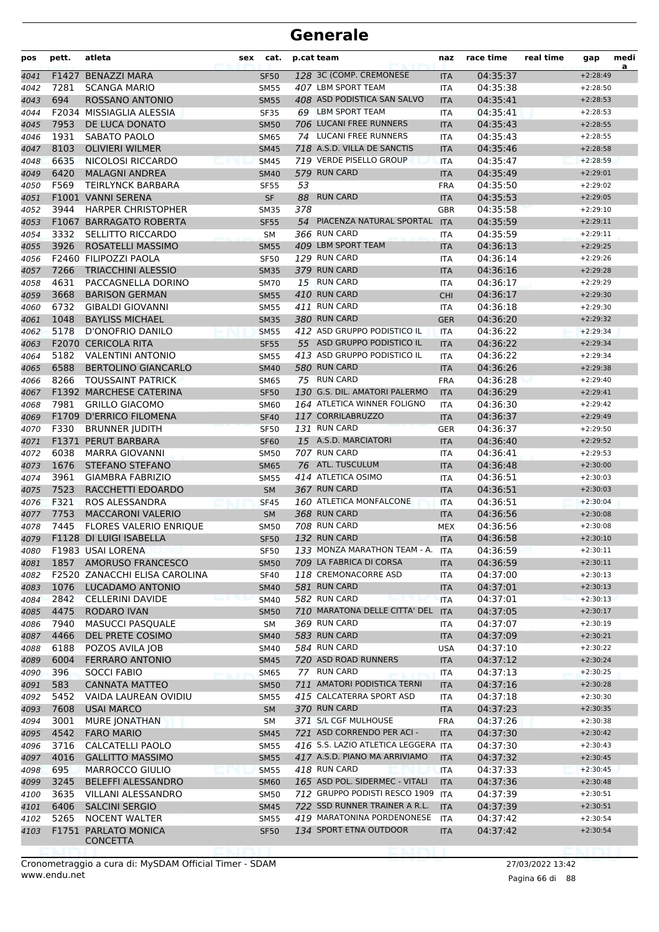| pos          | pett.        | atleta                                            | sex | cat.                       |     | p.cat team                          | naz                      | race time            | real time | gap                      | medi<br>a |
|--------------|--------------|---------------------------------------------------|-----|----------------------------|-----|-------------------------------------|--------------------------|----------------------|-----------|--------------------------|-----------|
| 4041         | F1427        | <b>BENAZZI MARA</b>                               |     | <b>SF50</b>                |     | 128 3C (COMP. CREMONESE             | <b>ITA</b>               | 04:35:37             |           | $+2:28:49$               |           |
| 4042         | 7281         | <b>SCANGA MARIO</b>                               |     | <b>SM55</b>                |     | 407 LBM SPORT TEAM                  | <b>ITA</b>               | 04:35:38             |           | $+2:28:50$               |           |
| 4043         | 694          | ROSSANO ANTONIO                                   |     | <b>SM55</b>                |     | 408 ASD PODISTICA SAN SALVO         | <b>ITA</b>               | 04:35:41             |           | $+2:28:53$               |           |
| 4044         |              | F2034 MISSIAGLIA ALESSIA                          |     | <b>SF35</b>                |     | 69 LBM SPORT TEAM                   | ITA                      | 04:35:41             |           | $+2:28:53$               |           |
| 4045         | 7953         | DE LUCA DONATO                                    |     | <b>SM50</b>                |     | 706 LUCANI FREE RUNNERS             | <b>ITA</b>               | 04:35:43             |           | $+2:28:55$               |           |
| 4046         | 1931         | SABATO PAOLO                                      |     | <b>SM65</b>                |     | 74 LUCANI FREE RUNNERS              | <b>ITA</b>               | 04:35:43             |           | $+2:28:55$               |           |
| 4047         | 8103         | <b>OLIVIERI WILMER</b>                            |     | <b>SM45</b>                |     | 718 A.S.D. VILLA DE SANCTIS         | <b>ITA</b>               | 04:35:46             |           | $+2:28:58$               |           |
| 4048         | 6635         | NICOLOSI RICCARDO                                 |     | <b>SM45</b>                |     | 719 VERDE PISELLO GROUP             | <b>ITA</b>               | 04:35:47             |           | $+2:28:59$               |           |
| 4049         | 6420         | <b>MALAGNI ANDREA</b>                             |     | <b>SM40</b>                |     | 579 RUN CARD                        | <b>ITA</b>               | 04:35:49             |           | $+2:29:01$               |           |
| 4050         | F569         | <b>TEIRLYNCK BARBARA</b>                          |     | <b>SF55</b>                | 53  |                                     | <b>FRA</b>               | 04:35:50             |           | $+2:29:02$               |           |
| 4051         |              | F1001 VANNI SERENA                                |     | <b>SF</b>                  | 88  | <b>RUN CARD</b>                     | <b>ITA</b>               | 04:35:53             |           | $+2:29:05$               |           |
| 4052         | 3944         | <b>HARPER CHRISTOPHER</b>                         |     | <b>SM35</b>                | 378 |                                     | <b>GBR</b>               | 04:35:58             |           | $+2:29:10$               |           |
| 4053         |              | F1067 BARRAGATO ROBERTA                           |     | <b>SF55</b>                |     | 54 PIACENZA NATURAL SPORTAL         | <b>ITA</b>               | 04:35:59             |           | $+2:29:11$               |           |
| 4054         | 3332         | SELLITTO RICCARDO                                 |     | <b>SM</b>                  |     | 366 RUN CARD                        | <b>ITA</b>               | 04:35:59             |           | $+2:29:11$               |           |
| 4055         | 3926         | ROSATELLI MASSIMO                                 |     | <b>SM55</b>                |     | 409 LBM SPORT TEAM                  | <b>ITA</b>               | 04:36:13             |           | $+2:29:25$               |           |
| 4056         |              | F2460 FILIPOZZI PAOLA                             |     | <b>SF50</b>                |     | 129 RUN CARD                        | ITA                      | 04:36:14             |           | $+2:29:26$               |           |
| 4057         | 7266         | <b>TRIACCHINI ALESSIO</b>                         |     | <b>SM35</b>                |     | 379 RUN CARD                        | <b>ITA</b>               | 04:36:16             |           | $+2:29:28$               |           |
| 4058         | 4631         | PACCAGNELLA DORINO                                |     | <b>SM70</b>                |     | 15 RUN CARD                         | <b>ITA</b>               | 04:36:17             |           | $+2:29:29$               |           |
| 4059         | 3668         | <b>BARISON GERMAN</b>                             |     | <b>SM55</b>                |     | 410 RUN CARD                        | <b>CHI</b>               | 04:36:17             |           | $+2:29:30$               |           |
| 4060         | 6732<br>1048 | <b>GIBALDI GIOVANNI</b><br><b>BAYLISS MICHAEL</b> |     | <b>SM55</b>                |     | 411 RUN CARD<br>380 RUN CARD        | <b>ITA</b>               | 04:36:18             |           | $+2:29:30$               |           |
| 4061         |              |                                                   |     | <b>SM35</b>                |     | 412 ASD GRUPPO PODISTICO IL         | <b>GER</b>               | 04:36:20             |           | $+2:29:32$               |           |
| 4062         | 5178         | D'ONOFRIO DANILO<br>F2070 CERICOLA RITA           |     | <b>SM55</b>                |     | 55 ASD GRUPPO PODISTICO IL          | <b>ITA</b>               | 04:36:22<br>04:36:22 |           | $+2:29:34$               |           |
| 4063         | 5182         | <b>VALENTINI ANTONIO</b>                          |     | <b>SF55</b>                |     | 413 ASD GRUPPO PODISTICO IL         | <b>ITA</b>               | 04:36:22             |           | $+2:29:34$<br>$+2:29:34$ |           |
| 4064         | 6588         | <b>BERTOLINO GIANCARLO</b>                        |     | <b>SM55</b>                |     | 580 RUN CARD                        | <b>ITA</b>               | 04:36:26             |           | $+2:29:38$               |           |
| 4065         | 8266         | <b>TOUSSAINT PATRICK</b>                          |     | <b>SM40</b><br><b>SM65</b> |     | 75 RUN CARD                         | <b>ITA</b><br><b>FRA</b> | 04:36:28             |           | $+2:29:40$               |           |
| 4066         |              | F1392 MARCHESE CATERINA                           |     |                            |     | 130 G.S. DIL. AMATORI PALERMO       |                          | 04:36:29             |           | $+2:29:41$               |           |
| 4067         | 7981         | <b>GRILLO GIACOMO</b>                             |     | <b>SF50</b><br><b>SM60</b> |     | 164 ATLETICA WINNER FOLIGNO         | <b>ITA</b><br>ITA        | 04:36:30             |           | $+2:29:42$               |           |
| 4068<br>4069 |              | <b>F1709 D'ERRICO FILOMENA</b>                    |     | <b>SF40</b>                |     | 117 CORRILABRUZZO                   | <b>ITA</b>               | 04:36:37             |           | $+2:29:49$               |           |
| 4070         | F330         | <b>BRUNNER JUDITH</b>                             |     | <b>SF50</b>                |     | 131 RUN CARD                        | <b>GER</b>               | 04:36:37             |           | $+2:29:50$               |           |
| 4071         |              | F1371 PERUT BARBARA                               |     | <b>SF60</b>                |     | 15 A.S.D. MARCIATORI                | <b>ITA</b>               | 04:36:40             |           | $+2:29:52$               |           |
| 4072         | 6038         | <b>MARRA GIOVANNI</b>                             |     | <b>SM50</b>                |     | 707 RUN CARD                        | ITA                      | 04:36:41             |           | $+2:29:53$               |           |
| 4073         | 1676         | <b>STEFANO STEFANO</b>                            |     | <b>SM65</b>                |     | 76 ATL. TUSCULUM                    | <b>ITA</b>               | 04:36:48             |           | $+2:30:00$               |           |
| 4074         | 3961         | <b>GIAMBRA FABRIZIO</b>                           |     | <b>SM55</b>                |     | 414 ATLETICA OSIMO                  | ITA                      | 04:36:51             |           | $+2:30:03$               |           |
| 4075         | 7523         | RACCHETTI EDOARDO                                 |     | <b>SM</b>                  |     | 367 RUN CARD                        | <b>ITA</b>               | 04:36:51             |           | $+2:30:03$               |           |
| 4076         | F321         | ROS ALESSANDRA                                    |     | <b>SF45</b>                |     | 160 ATLETICA MONFALCONE             | <b>ITA</b>               | 04:36:51             |           | $+2:30:04$               |           |
| 4077         | 7753         | <b>MACCARONI VALERIO</b>                          |     | <b>SM</b>                  |     | 368 RUN CARD                        | <b>ITA</b>               | 04:36:56             |           | $+2:30:08$               |           |
| 4078         | 7445         | <b>FLORES VALERIO ENRIQUE</b>                     |     | <b>SM50</b>                |     | 708 RUN CARD                        | <b>MEX</b>               | 04:36:56             |           | $+2:30:08$               |           |
| 4079         |              | <b>F1128 DI LUIGI ISABELLA</b>                    |     | <b>SF50</b>                |     | 132 RUN CARD                        | <b>ITA</b>               | 04:36:58             |           | $+2:30:10$               |           |
| 4080         |              | F1983 USAI LORENA                                 |     | <b>SF50</b>                |     | 133 MONZA MARATHON TEAM - A. ITA    |                          | 04:36:59             |           | $+2:30:11$               |           |
| 4081         | 1857         | AMORUSO FRANCESCO                                 |     | <b>SM50</b>                |     | 709 LA FABRICA DI CORSA             | <b>ITA</b>               | 04:36:59             |           | $+2:30:11$               |           |
| 4082         |              | F2520 ZANACCHI ELISA CAROLINA                     |     | <b>SF40</b>                |     | 118 CREMONACORRE ASD                | ITA                      | 04:37:00             |           | $+2:30:13$               |           |
| 4083         | 1076         | LUCADAMO ANTONIO                                  |     | <b>SM40</b>                |     | 581 RUN CARD                        | <b>ITA</b>               | 04:37:01             |           | $+2:30:13$               |           |
| 4084         | 2842         | <b>CELLERINI DAVIDE</b>                           |     | <b>SM40</b>                |     | 582 RUN CARD                        | <b>ITA</b>               | 04:37:01             |           | $+2:30:13$               |           |
| 4085         | 4475         | <b>RODARO IVAN</b>                                |     | <b>SM50</b>                |     | 710 MARATONA DELLE CITTA' DEL       | <b>ITA</b>               | 04:37:05             |           | $+2:30:17$               |           |
| 4086         | 7940         | <b>MASUCCI PASQUALE</b>                           |     | SM                         |     | 369 RUN CARD                        | ITA                      | 04:37:07             |           | $+2:30:19$               |           |
| 4087         | 4466         | DEL PRETE COSIMO                                  |     | <b>SM40</b>                |     | 583 RUN CARD                        | <b>ITA</b>               | 04:37:09             |           | $+2:30:21$               |           |
| 4088         | 6188         | POZOS AVILA JOB                                   |     | SM40                       |     | 584 RUN CARD                        | <b>USA</b>               | 04:37:10             |           | $+2:30:22$               |           |
| 4089         | 6004         | <b>FERRARO ANTONIO</b>                            |     | <b>SM45</b>                |     | 720 ASD ROAD RUNNERS                | <b>ITA</b>               | 04:37:12             |           | $+2:30:24$               |           |
| 4090         | 396          | <b>SOCCI FABIO</b>                                |     | <b>SM65</b>                |     | 77 RUN CARD                         | <b>ITA</b>               | 04:37:13             |           | $+2:30:25$               |           |
| 4091         | 583          | <b>CANNATA MATTEO</b>                             |     | <b>SM50</b>                |     | 711 AMATORI PODISTICA TERNI         | <b>ITA</b>               | 04:37:16             |           | $+2:30:28$               |           |
| 4092         | 5452         | VAIDA LAUREAN OVIDIU                              |     | <b>SM55</b>                |     | 415 CALCATERRA SPORT ASD            | ITA                      | 04:37:18             |           | $+2:30:30$               |           |
| 4093         | 7608         | <b>USAI MARCO</b>                                 |     | <b>SM</b>                  |     | 370 RUN CARD                        | <b>ITA</b>               | 04:37:23             |           | $+2:30:35$               |           |
| 4094         | 3001         | <b>MURE JONATHAN</b>                              |     | SM                         |     | 371 S/L CGF MULHOUSE                | <b>FRA</b>               | 04:37:26             |           | $+2:30:38$               |           |
| 4095         | 4542         | <b>FARO MARIO</b>                                 |     | <b>SM45</b>                |     | 721 ASD CORRENDO PER ACI -          | <b>ITA</b>               | 04:37:30             |           | $+2:30:42$               |           |
| 4096         | 3716         | CALCATELLI PAOLO                                  |     | <b>SM55</b>                |     | 416 S.S. LAZIO ATLETICA LEGGERA ITA |                          | 04:37:30             |           | $+2:30:43$               |           |
| 4097         | 4016         | <b>GALLITTO MASSIMO</b>                           |     | <b>SM55</b>                |     | 417 A.S.D. PIANO MA ARRIVIAMO       | <b>ITA</b>               | 04:37:32             |           | $+2:30:45$               |           |
| 4098         | 695          | MARROCCO GIULIO                                   |     | <b>SM55</b>                |     | 418 RUN CARD                        | <b>ITA</b>               | 04:37:33             |           | $+2:30:45$               |           |
| 4099         | 3245         | <b>BELEFFI ALESSANDRO</b>                         |     | <b>SM60</b>                |     | 165 ASD POL. SIDERMEC - VITALI      | <b>ITA</b>               | 04:37:36             |           | $+2:30:48$               |           |
| 4100         | 3635         | VILLANI ALESSANDRO                                |     | <b>SM50</b>                |     | 712 GRUPPO PODISTI RESCO 1909 ITA   |                          | 04:37:39             |           | $+2:30:51$               |           |
| 4101         | 6406         | <b>SALCINI SERGIO</b>                             |     | <b>SM45</b>                |     | 722 SSD RUNNER TRAINER A R.L.       | <b>ITA</b>               | 04:37:39             |           | $+2:30:51$               |           |
| 4102         | 5265         | <b>NOCENT WALTER</b>                              |     | <b>SM55</b>                |     | 419 MARATONINA PORDENONESE          | ITA                      | 04:37:42             |           | $+2:30:54$               |           |
| 4103         |              | F1751 PARLATO MONICA<br>CONCETTA                  |     | <b>SF50</b>                |     | 134 SPORT ETNA OUTDOOR              | <b>ITA</b>               | 04:37:42             |           | $+2:30:54$               |           |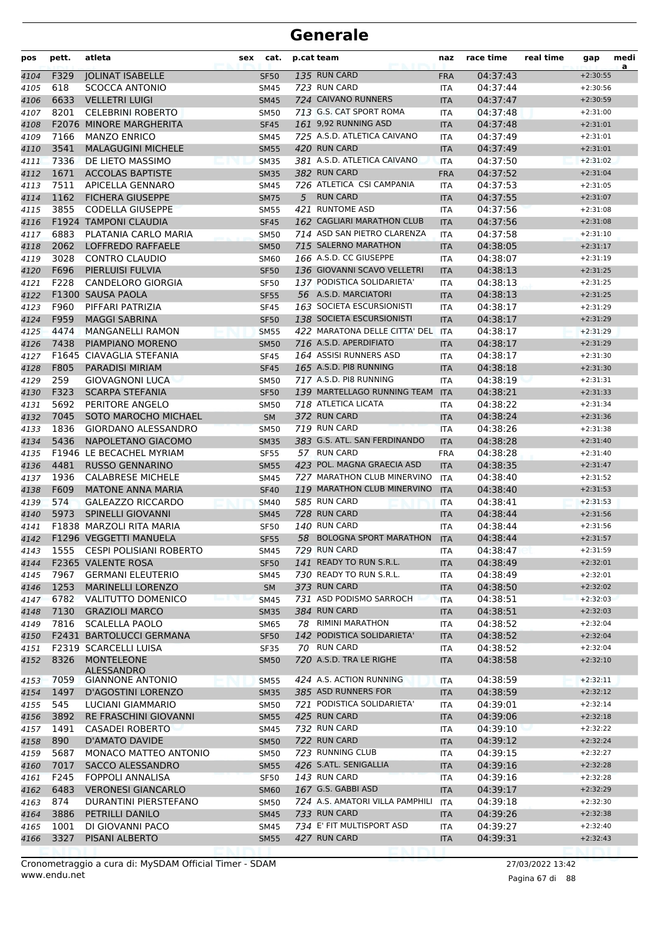| 135 RUN CARD<br>F329<br>04:37:43<br><b>JOLINAT ISABELLE</b><br><b>SF50</b><br><b>FRA</b><br>$+2:30:55$<br>723 RUN CARD<br>618<br>04:37:44<br>SCOCCA ANTONIO<br><b>SM45</b><br>$+2:30:56$<br>ITA<br>724 CAIVANO RUNNERS<br>6633<br><b>VELLETRI LUIGI</b><br>04:37:47<br><b>SM45</b><br><b>ITA</b><br>$+2:30:59$<br>8201<br>713 G.S. CAT SPORT ROMA<br><b>CELEBRINI ROBERTO</b><br><b>SM50</b><br>04:37:48<br>$+2:31:00$<br><b>ITA</b><br>161 9,92 RUNNING ASD<br><b>F2076 MINORE MARGHERITA</b><br>04:37:48<br><b>SF45</b><br>$+2:31:01$<br><b>ITA</b><br>7166<br><b>MANZO ENRICO</b><br>725 A.S.D. ATLETICA CAIVANO<br>04:37:49<br><b>SM45</b><br><b>ITA</b><br>$+2:31:01$<br>3541<br>420 RUN CARD<br><b>MALAGUGINI MICHELE</b><br><b>SM55</b><br>04:37:49<br>$+2:31:01$<br><b>ITA</b><br>7336<br>381 A.S.D. ATLETICA CAIVANO<br>DE LIETO MASSIMO<br>04:37:50<br><b>SM35</b><br>$+2:31:02$<br>4111<br><b>ITA</b><br>1671<br>382 RUN CARD<br><b>ACCOLAS BAPTISTE</b><br>04:37:52<br>4112<br><b>SM35</b><br><b>FRA</b><br>$+2:31:04$<br>7511<br>726 ATLETICA CSI CAMPANIA<br>APICELLA GENNARO<br><b>SM45</b><br>04:37:53<br>$+2:31:05$<br>4113<br><b>ITA</b><br>1162<br><b>RUN CARD</b><br><b>FICHERA GIUSEPPE</b><br>5<br>04:37:55<br><b>SM75</b><br>$+2:31:07$<br>4114<br><b>ITA</b><br>3855<br>421 RUNTOME ASD<br><b>CODELLA GIUSEPPE</b><br>04:37:56<br>4115<br><b>SM55</b><br><b>ITA</b><br>$+2:31:08$<br>F1924 TAMPONI CLAUDIA<br>162 CAGLIARI MARATHON CLUB<br>04:37:56<br>$+2:31:08$<br>4116<br><b>SF45</b><br><b>ITA</b><br>6883<br>714 ASD SAN PIETRO CLARENZA<br>PLATANIA CARLO MARIA<br><b>SM50</b><br>04:37:58<br>$+2:31:10$<br>4117<br>ITA<br>2062<br>715 SALERNO MARATHON<br>LOFFREDO RAFFAELE<br>04:38:05<br>$+2:31:17$<br>4118<br><b>SM50</b><br><b>ITA</b><br>3028<br>166 A.S.D. CC GIUSEPPE<br><b>CONTRO CLAUDIO</b><br>04:38:07<br>$+2:31:19$<br><b>SM60</b><br><b>ITA</b><br>4119<br>F696<br>PIERLUISI FULVIA<br>136 GIOVANNI SCAVO VELLETRI<br>04:38:13<br>4120<br><b>SF50</b><br>$+2:31:25$<br><b>ITA</b><br>F228<br>CANDELORO GIORGIA<br>137 PODISTICA SOLIDARIETA'<br>04:38:13<br>$+2:31:25$<br>4121<br><b>SF50</b><br><b>ITA</b><br>56 A.S.D. MARCIATORI<br>F1300 SAUSA PAOLA<br><b>SF55</b><br>04:38:13<br>$+2:31:25$<br>4122<br><b>ITA</b><br>F960<br>163 SOCIETA ESCURSIONISTI<br>PIFFARI PATRIZIA<br>04:38:17<br><b>SF45</b><br>$+2:31:29$<br>4123<br>ITA<br>F959<br><b>MAGGI SABRINA</b><br>138 SOCIETA ESCURSIONISTI<br>04:38:17<br><b>SF50</b><br>$+2:31:29$<br>4124<br><b>ITA</b><br>4474<br>422 MARATONA DELLE CITTA' DEL<br><b>MANGANELLI RAMON</b><br><b>SM55</b><br>04:38:17<br>$+2:31:29$<br>4125<br><b>ITA</b><br>7438<br>716 A.S.D. APERDIFIATO<br>PIAMPIANO MORENO<br>04:38:17<br>4126<br><b>SM50</b><br>$+2:31:29$<br><b>ITA</b><br>164 ASSISI RUNNERS ASD<br>F1645 CIAVAGLIA STEFANIA<br>04:38:17<br><b>SF45</b><br>$+2:31:30$<br>4127<br><b>ITA</b><br>165 A.S.D. PI8 RUNNING<br>F805<br><b>PARADISI MIRIAM</b><br>04:38:18<br>$+2:31:30$<br>4128<br><b>SF45</b><br><b>ITA</b><br>259<br>717 A.S.D. PI8 RUNNING<br><b>GIOVAGNONI LUCA</b><br>04:38:19<br><b>SM50</b><br>$+2:31:31$<br>4129<br>ITA<br>F323<br><b>SCARPA STEFANIA</b><br>139 MARTELLAGO RUNNING TEAM<br>04:38:21<br>$+2:31:33$<br>4130<br><b>SF50</b><br><b>ITA</b><br>5692<br>PERITORE ANGELO<br>718 ATLETICA LICATA<br><b>SM50</b><br>04:38:22<br>$+2:31:34$<br>4131<br>ITA<br>7045<br>372 RUN CARD<br>SOTO MAROCHO MICHAEL<br>04:38:24<br>4132<br><b>SM</b><br>$+2:31:36$<br><b>ITA</b><br>719 RUN CARD<br>1836<br><b>GIORDANO ALESSANDRO</b><br>04:38:26<br>$+2:31:38$<br>4133<br><b>SM50</b><br><b>ITA</b><br>5436<br>383 G.S. ATL. SAN FERDINANDO<br>NAPOLETANO GIACOMO<br>04:38:28<br><b>SM35</b><br><b>ITA</b><br>$+2:31:40$<br>57 RUN CARD<br>F1946 LE BECACHEL MYRIAM<br>04:38:28<br><b>SF55</b><br><b>FRA</b><br>$+2:31:40$<br>4481<br><b>RUSSO GENNARINO</b><br>423 POL. MAGNA GRAECIA ASD<br>04:38:35<br><b>SM55</b><br>$+2:31:47$<br><b>ITA</b><br>1936<br>727 MARATHON CLUB MINERVINO<br><b>CALABRESE MICHELE</b><br>04:38:40<br><b>SM45</b><br><b>ITA</b><br>$+2:31:52$<br>119 MARATHON CLUB MINERVINO<br>F609<br><b>MATONE ANNA MARIA</b><br>04:38:40<br><b>SF40</b><br><b>ITA</b><br>$+2:31:53$<br>585 RUN CARD<br>574<br><b>GALEAZZO RICCARDO</b><br><b>SM40</b><br>04:38:41<br>$+2:31:53$<br><b>ITA</b><br>728 RUN CARD<br>5973<br><b>SPINELLI GIOVANNI</b><br>04:38:44<br><b>SM45</b><br><b>ITA</b><br>$+2:31:56$<br>140 RUN CARD<br>F1838 MARZOLI RITA MARIA<br>04:38:44<br>SF <sub>50</sub><br>ITA<br>$+2:31:56$<br>58 BOLOGNA SPORT MARATHON<br>F1296 VEGGETTI MANUELA<br><b>SF55</b><br>04:38:44<br>$+2:31:57$<br><b>ITA</b><br>1555 CESPI POLISIANI ROBERTO<br>729 RUN CARD<br>04:38:47<br>$+2:31:59$<br>SM45<br>ITA<br>141 READY TO RUN S.R.L.<br>F2365 VALENTE ROSA<br>04:38:49<br>$+2:32:01$<br>4144<br><b>SF50</b><br><b>ITA</b><br>730 READY TO RUN S.R.L.<br>$+2:32:01$<br>7967<br><b>GERMANI ELEUTERIO</b><br><b>SM45</b><br>04:38:49<br>ITA<br>373 RUN CARD<br>1253<br><b>MARINELLI LORENZO</b><br>SM<br>04:38:50<br>$+2:32:02$<br>4146<br><b>ITA</b><br>6782<br>731 ASD PODISMO SARROCH<br>VALITUTTO DOMENICO<br><b>SM45</b><br><b>ITA</b><br>04:38:51<br>$+2:32:03$<br>4147<br>7130<br>384 RUN CARD<br><b>GRAZIOLI MARCO</b><br>04:38:51<br>$+2:32:03$<br>4148<br><b>SM35</b><br><b>ITA</b><br>7816<br><b>SCALELLA PAOLO</b><br>78 RIMINI MARATHON<br>04:38:52<br>$+2:32:04$<br><b>SM65</b><br>ITA<br>4149<br>142 PODISTICA SOLIDARIETA'<br>F2431 BARTOLUCCI GERMANA<br>4150<br><b>SF50</b><br>04:38:52<br>$+2:32:04$<br><b>ITA</b><br>70 RUN CARD<br><b>F2319 SCARCELLI LUISA</b><br>04:38:52<br>$+2:32:04$<br>4151<br><b>SF35</b><br>ITA<br><b>MONTELEONE</b><br>720 A.S.D. TRA LE RIGHE<br>8326<br>04:38:58<br>4152<br><b>SM50</b><br>$+2:32:10$<br><b>ITA</b><br><b>ALESSANDRO</b><br>424 A.S. ACTION RUNNING<br>7059<br><b>GIANNONE ANTONIO</b><br>04:38:59<br>$+2:32:11$<br><b>SM55</b><br>ITA<br>1497<br>385 ASD RUNNERS FOR<br>D'AGOSTINI LORENZO<br><b>SM35</b><br><b>ITA</b><br>04:38:59<br>$+2:32:12$<br>721 PODISTICA SOLIDARIETA'<br>545<br>LUCIANI GIAMMARIO<br>04:39:01<br>$+2:32:14$<br><b>SM50</b><br>ITA<br>3892<br>RE FRASCHINI GIOVANNI<br>425 RUN CARD<br>04:39:06<br><b>SM55</b><br><b>ITA</b><br>$+2:32:18$<br>1491<br>732 RUN CARD<br>CASADEI ROBERTO<br>04:39:10<br>$+2:32:22$<br><b>SM45</b><br>ITA<br>722 RUN CARD<br>$+2:32:24$<br>890<br>D'AMATO DAVIDE<br>04:39:12<br><b>SM50</b><br><b>ITA</b><br>723 RUNNING CLUB<br>5687<br>MONACO MATTEO ANTONIO<br>04:39:15<br>$+2:32:27$<br><b>SM50</b><br><b>ITA</b><br>426 S.ATL. SENIGALLIA<br>7017<br>SACCO ALESSANDRO<br>04:39:16<br>$+2:32:28$<br><b>SM55</b><br><b>ITA</b><br>F245<br>143 RUN CARD<br>FOPPOLI ANNALISA<br><b>SF50</b><br>04:39:16<br>$+2:32:28$<br><b>ITA</b><br>6483<br>167 G.S. GABBI ASD<br><b>VERONESI GIANCARLO</b><br>04:39:17<br>$+2:32:29$<br><b>SM60</b><br><b>ITA</b><br>724 A.S. AMATORI VILLA PAMPHILI<br>874<br>$+2:32:30$<br>DURANTINI PIERSTEFANO<br>04:39:18<br><b>SM50</b><br><b>ITA</b><br>733 RUN CARD<br>$+2:32:38$<br>3886<br>PETRILLI DANILO<br><b>SM45</b><br>04:39:26<br><b>ITA</b><br>734 E' FIT MULTISPORT ASD<br>1001<br>DI GIOVANNI PACO<br>04:39:27<br>$+2:32:40$<br><b>SM45</b><br>ITA<br>3327<br>PISANI ALBERTO<br>427 RUN CARD<br>04:39:31<br>$+2:32:43$<br>4166<br><b>SM55</b><br><b>ITA</b> | pos  | pett. | atleta | sex | cat. | p.cat team | naz | race time | real time | gap | medi<br>a |
|-----------------------------------------------------------------------------------------------------------------------------------------------------------------------------------------------------------------------------------------------------------------------------------------------------------------------------------------------------------------------------------------------------------------------------------------------------------------------------------------------------------------------------------------------------------------------------------------------------------------------------------------------------------------------------------------------------------------------------------------------------------------------------------------------------------------------------------------------------------------------------------------------------------------------------------------------------------------------------------------------------------------------------------------------------------------------------------------------------------------------------------------------------------------------------------------------------------------------------------------------------------------------------------------------------------------------------------------------------------------------------------------------------------------------------------------------------------------------------------------------------------------------------------------------------------------------------------------------------------------------------------------------------------------------------------------------------------------------------------------------------------------------------------------------------------------------------------------------------------------------------------------------------------------------------------------------------------------------------------------------------------------------------------------------------------------------------------------------------------------------------------------------------------------------------------------------------------------------------------------------------------------------------------------------------------------------------------------------------------------------------------------------------------------------------------------------------------------------------------------------------------------------------------------------------------------------------------------------------------------------------------------------------------------------------------------------------------------------------------------------------------------------------------------------------------------------------------------------------------------------------------------------------------------------------------------------------------------------------------------------------------------------------------------------------------------------------------------------------------------------------------------------------------------------------------------------------------------------------------------------------------------------------------------------------------------------------------------------------------------------------------------------------------------------------------------------------------------------------------------------------------------------------------------------------------------------------------------------------------------------------------------------------------------------------------------------------------------------------------------------------------------------------------------------------------------------------------------------------------------------------------------------------------------------------------------------------------------------------------------------------------------------------------------------------------------------------------------------------------------------------------------------------------------------------------------------------------------------------------------------------------------------------------------------------------------------------------------------------------------------------------------------------------------------------------------------------------------------------------------------------------------------------------------------------------------------------------------------------------------------------------------------------------------------------------------------------------------------------------------------------------------------------------------------------------------------------------------------------------------------------------------------------------------------------------------------------------------------------------------------------------------------------------------------------------------------------------------------------------------------------------------------------------------------------------------------------------------------------------------------------------------------------------------------------------------------------------------------------------------------------------------------------------------------------------------------------------------------------------------------------------------------------------------------------------------------------------------------------------------------------------------------------------------------------------------------------------------------------------------------------------------------------------------------------------------------------------------------------------------------------------------------------------------------------------------------------------------------------------------------------------------------------------------------------------------------------------------------------------------------------------------------------------------------------------------------------------------------------------------------------------------------------------------------------------------------------------------------------------------------------------------------------------------------------------------------------------------------------------------------------------------------------------------------------------------------------------------------------------------------------------------------------------------------------------------------------------------------------------------------------------------------------------------------------------------------------------------------------------------------------------------------------------------------------------------------------------------------------------------------------------------------------------------------------------------------------------------------------------------------------------------------------------------------------------------------------------------------------------------------------------------------------------------------------------------------------------------------------------------------|------|-------|--------|-----|------|------------|-----|-----------|-----------|-----|-----------|
|                                                                                                                                                                                                                                                                                                                                                                                                                                                                                                                                                                                                                                                                                                                                                                                                                                                                                                                                                                                                                                                                                                                                                                                                                                                                                                                                                                                                                                                                                                                                                                                                                                                                                                                                                                                                                                                                                                                                                                                                                                                                                                                                                                                                                                                                                                                                                                                                                                                                                                                                                                                                                                                                                                                                                                                                                                                                                                                                                                                                                                                                                                                                                                                                                                                                                                                                                                                                                                                                                                                                                                                                                                                                                                                                                                                                                                                                                                                                                                                                                                                                                                                                                                                                                                                                                                                                                                                                                                                                                                                                                                                                                                                                                                                                                                                                                                                                                                                                                                                                                                                                                                                                                                                                                                                                                                                                                                                                                                                                                                                                                                                                                                                                                                                                                                                                                                                                                                                                                                                                                                                                                                                                                                                                                                                                                                                                                                                                                                                                                                                                                                                                                                                                                                                                                                                                                                                                                                                                                                                                                                                                                                                                                                                                                                                                                                                                                                       | 4104 |       |        |     |      |            |     |           |           |     |           |
|                                                                                                                                                                                                                                                                                                                                                                                                                                                                                                                                                                                                                                                                                                                                                                                                                                                                                                                                                                                                                                                                                                                                                                                                                                                                                                                                                                                                                                                                                                                                                                                                                                                                                                                                                                                                                                                                                                                                                                                                                                                                                                                                                                                                                                                                                                                                                                                                                                                                                                                                                                                                                                                                                                                                                                                                                                                                                                                                                                                                                                                                                                                                                                                                                                                                                                                                                                                                                                                                                                                                                                                                                                                                                                                                                                                                                                                                                                                                                                                                                                                                                                                                                                                                                                                                                                                                                                                                                                                                                                                                                                                                                                                                                                                                                                                                                                                                                                                                                                                                                                                                                                                                                                                                                                                                                                                                                                                                                                                                                                                                                                                                                                                                                                                                                                                                                                                                                                                                                                                                                                                                                                                                                                                                                                                                                                                                                                                                                                                                                                                                                                                                                                                                                                                                                                                                                                                                                                                                                                                                                                                                                                                                                                                                                                                                                                                                                                       | 4105 |       |        |     |      |            |     |           |           |     |           |
|                                                                                                                                                                                                                                                                                                                                                                                                                                                                                                                                                                                                                                                                                                                                                                                                                                                                                                                                                                                                                                                                                                                                                                                                                                                                                                                                                                                                                                                                                                                                                                                                                                                                                                                                                                                                                                                                                                                                                                                                                                                                                                                                                                                                                                                                                                                                                                                                                                                                                                                                                                                                                                                                                                                                                                                                                                                                                                                                                                                                                                                                                                                                                                                                                                                                                                                                                                                                                                                                                                                                                                                                                                                                                                                                                                                                                                                                                                                                                                                                                                                                                                                                                                                                                                                                                                                                                                                                                                                                                                                                                                                                                                                                                                                                                                                                                                                                                                                                                                                                                                                                                                                                                                                                                                                                                                                                                                                                                                                                                                                                                                                                                                                                                                                                                                                                                                                                                                                                                                                                                                                                                                                                                                                                                                                                                                                                                                                                                                                                                                                                                                                                                                                                                                                                                                                                                                                                                                                                                                                                                                                                                                                                                                                                                                                                                                                                                                       | 4106 |       |        |     |      |            |     |           |           |     |           |
|                                                                                                                                                                                                                                                                                                                                                                                                                                                                                                                                                                                                                                                                                                                                                                                                                                                                                                                                                                                                                                                                                                                                                                                                                                                                                                                                                                                                                                                                                                                                                                                                                                                                                                                                                                                                                                                                                                                                                                                                                                                                                                                                                                                                                                                                                                                                                                                                                                                                                                                                                                                                                                                                                                                                                                                                                                                                                                                                                                                                                                                                                                                                                                                                                                                                                                                                                                                                                                                                                                                                                                                                                                                                                                                                                                                                                                                                                                                                                                                                                                                                                                                                                                                                                                                                                                                                                                                                                                                                                                                                                                                                                                                                                                                                                                                                                                                                                                                                                                                                                                                                                                                                                                                                                                                                                                                                                                                                                                                                                                                                                                                                                                                                                                                                                                                                                                                                                                                                                                                                                                                                                                                                                                                                                                                                                                                                                                                                                                                                                                                                                                                                                                                                                                                                                                                                                                                                                                                                                                                                                                                                                                                                                                                                                                                                                                                                                                       | 4107 |       |        |     |      |            |     |           |           |     |           |
|                                                                                                                                                                                                                                                                                                                                                                                                                                                                                                                                                                                                                                                                                                                                                                                                                                                                                                                                                                                                                                                                                                                                                                                                                                                                                                                                                                                                                                                                                                                                                                                                                                                                                                                                                                                                                                                                                                                                                                                                                                                                                                                                                                                                                                                                                                                                                                                                                                                                                                                                                                                                                                                                                                                                                                                                                                                                                                                                                                                                                                                                                                                                                                                                                                                                                                                                                                                                                                                                                                                                                                                                                                                                                                                                                                                                                                                                                                                                                                                                                                                                                                                                                                                                                                                                                                                                                                                                                                                                                                                                                                                                                                                                                                                                                                                                                                                                                                                                                                                                                                                                                                                                                                                                                                                                                                                                                                                                                                                                                                                                                                                                                                                                                                                                                                                                                                                                                                                                                                                                                                                                                                                                                                                                                                                                                                                                                                                                                                                                                                                                                                                                                                                                                                                                                                                                                                                                                                                                                                                                                                                                                                                                                                                                                                                                                                                                                                       | 4108 |       |        |     |      |            |     |           |           |     |           |
|                                                                                                                                                                                                                                                                                                                                                                                                                                                                                                                                                                                                                                                                                                                                                                                                                                                                                                                                                                                                                                                                                                                                                                                                                                                                                                                                                                                                                                                                                                                                                                                                                                                                                                                                                                                                                                                                                                                                                                                                                                                                                                                                                                                                                                                                                                                                                                                                                                                                                                                                                                                                                                                                                                                                                                                                                                                                                                                                                                                                                                                                                                                                                                                                                                                                                                                                                                                                                                                                                                                                                                                                                                                                                                                                                                                                                                                                                                                                                                                                                                                                                                                                                                                                                                                                                                                                                                                                                                                                                                                                                                                                                                                                                                                                                                                                                                                                                                                                                                                                                                                                                                                                                                                                                                                                                                                                                                                                                                                                                                                                                                                                                                                                                                                                                                                                                                                                                                                                                                                                                                                                                                                                                                                                                                                                                                                                                                                                                                                                                                                                                                                                                                                                                                                                                                                                                                                                                                                                                                                                                                                                                                                                                                                                                                                                                                                                                                       | 4109 |       |        |     |      |            |     |           |           |     |           |
|                                                                                                                                                                                                                                                                                                                                                                                                                                                                                                                                                                                                                                                                                                                                                                                                                                                                                                                                                                                                                                                                                                                                                                                                                                                                                                                                                                                                                                                                                                                                                                                                                                                                                                                                                                                                                                                                                                                                                                                                                                                                                                                                                                                                                                                                                                                                                                                                                                                                                                                                                                                                                                                                                                                                                                                                                                                                                                                                                                                                                                                                                                                                                                                                                                                                                                                                                                                                                                                                                                                                                                                                                                                                                                                                                                                                                                                                                                                                                                                                                                                                                                                                                                                                                                                                                                                                                                                                                                                                                                                                                                                                                                                                                                                                                                                                                                                                                                                                                                                                                                                                                                                                                                                                                                                                                                                                                                                                                                                                                                                                                                                                                                                                                                                                                                                                                                                                                                                                                                                                                                                                                                                                                                                                                                                                                                                                                                                                                                                                                                                                                                                                                                                                                                                                                                                                                                                                                                                                                                                                                                                                                                                                                                                                                                                                                                                                                                       | 4110 |       |        |     |      |            |     |           |           |     |           |
|                                                                                                                                                                                                                                                                                                                                                                                                                                                                                                                                                                                                                                                                                                                                                                                                                                                                                                                                                                                                                                                                                                                                                                                                                                                                                                                                                                                                                                                                                                                                                                                                                                                                                                                                                                                                                                                                                                                                                                                                                                                                                                                                                                                                                                                                                                                                                                                                                                                                                                                                                                                                                                                                                                                                                                                                                                                                                                                                                                                                                                                                                                                                                                                                                                                                                                                                                                                                                                                                                                                                                                                                                                                                                                                                                                                                                                                                                                                                                                                                                                                                                                                                                                                                                                                                                                                                                                                                                                                                                                                                                                                                                                                                                                                                                                                                                                                                                                                                                                                                                                                                                                                                                                                                                                                                                                                                                                                                                                                                                                                                                                                                                                                                                                                                                                                                                                                                                                                                                                                                                                                                                                                                                                                                                                                                                                                                                                                                                                                                                                                                                                                                                                                                                                                                                                                                                                                                                                                                                                                                                                                                                                                                                                                                                                                                                                                                                                       |      |       |        |     |      |            |     |           |           |     |           |
|                                                                                                                                                                                                                                                                                                                                                                                                                                                                                                                                                                                                                                                                                                                                                                                                                                                                                                                                                                                                                                                                                                                                                                                                                                                                                                                                                                                                                                                                                                                                                                                                                                                                                                                                                                                                                                                                                                                                                                                                                                                                                                                                                                                                                                                                                                                                                                                                                                                                                                                                                                                                                                                                                                                                                                                                                                                                                                                                                                                                                                                                                                                                                                                                                                                                                                                                                                                                                                                                                                                                                                                                                                                                                                                                                                                                                                                                                                                                                                                                                                                                                                                                                                                                                                                                                                                                                                                                                                                                                                                                                                                                                                                                                                                                                                                                                                                                                                                                                                                                                                                                                                                                                                                                                                                                                                                                                                                                                                                                                                                                                                                                                                                                                                                                                                                                                                                                                                                                                                                                                                                                                                                                                                                                                                                                                                                                                                                                                                                                                                                                                                                                                                                                                                                                                                                                                                                                                                                                                                                                                                                                                                                                                                                                                                                                                                                                                                       |      |       |        |     |      |            |     |           |           |     |           |
|                                                                                                                                                                                                                                                                                                                                                                                                                                                                                                                                                                                                                                                                                                                                                                                                                                                                                                                                                                                                                                                                                                                                                                                                                                                                                                                                                                                                                                                                                                                                                                                                                                                                                                                                                                                                                                                                                                                                                                                                                                                                                                                                                                                                                                                                                                                                                                                                                                                                                                                                                                                                                                                                                                                                                                                                                                                                                                                                                                                                                                                                                                                                                                                                                                                                                                                                                                                                                                                                                                                                                                                                                                                                                                                                                                                                                                                                                                                                                                                                                                                                                                                                                                                                                                                                                                                                                                                                                                                                                                                                                                                                                                                                                                                                                                                                                                                                                                                                                                                                                                                                                                                                                                                                                                                                                                                                                                                                                                                                                                                                                                                                                                                                                                                                                                                                                                                                                                                                                                                                                                                                                                                                                                                                                                                                                                                                                                                                                                                                                                                                                                                                                                                                                                                                                                                                                                                                                                                                                                                                                                                                                                                                                                                                                                                                                                                                                                       |      |       |        |     |      |            |     |           |           |     |           |
|                                                                                                                                                                                                                                                                                                                                                                                                                                                                                                                                                                                                                                                                                                                                                                                                                                                                                                                                                                                                                                                                                                                                                                                                                                                                                                                                                                                                                                                                                                                                                                                                                                                                                                                                                                                                                                                                                                                                                                                                                                                                                                                                                                                                                                                                                                                                                                                                                                                                                                                                                                                                                                                                                                                                                                                                                                                                                                                                                                                                                                                                                                                                                                                                                                                                                                                                                                                                                                                                                                                                                                                                                                                                                                                                                                                                                                                                                                                                                                                                                                                                                                                                                                                                                                                                                                                                                                                                                                                                                                                                                                                                                                                                                                                                                                                                                                                                                                                                                                                                                                                                                                                                                                                                                                                                                                                                                                                                                                                                                                                                                                                                                                                                                                                                                                                                                                                                                                                                                                                                                                                                                                                                                                                                                                                                                                                                                                                                                                                                                                                                                                                                                                                                                                                                                                                                                                                                                                                                                                                                                                                                                                                                                                                                                                                                                                                                                                       |      |       |        |     |      |            |     |           |           |     |           |
|                                                                                                                                                                                                                                                                                                                                                                                                                                                                                                                                                                                                                                                                                                                                                                                                                                                                                                                                                                                                                                                                                                                                                                                                                                                                                                                                                                                                                                                                                                                                                                                                                                                                                                                                                                                                                                                                                                                                                                                                                                                                                                                                                                                                                                                                                                                                                                                                                                                                                                                                                                                                                                                                                                                                                                                                                                                                                                                                                                                                                                                                                                                                                                                                                                                                                                                                                                                                                                                                                                                                                                                                                                                                                                                                                                                                                                                                                                                                                                                                                                                                                                                                                                                                                                                                                                                                                                                                                                                                                                                                                                                                                                                                                                                                                                                                                                                                                                                                                                                                                                                                                                                                                                                                                                                                                                                                                                                                                                                                                                                                                                                                                                                                                                                                                                                                                                                                                                                                                                                                                                                                                                                                                                                                                                                                                                                                                                                                                                                                                                                                                                                                                                                                                                                                                                                                                                                                                                                                                                                                                                                                                                                                                                                                                                                                                                                                                                       |      |       |        |     |      |            |     |           |           |     |           |
|                                                                                                                                                                                                                                                                                                                                                                                                                                                                                                                                                                                                                                                                                                                                                                                                                                                                                                                                                                                                                                                                                                                                                                                                                                                                                                                                                                                                                                                                                                                                                                                                                                                                                                                                                                                                                                                                                                                                                                                                                                                                                                                                                                                                                                                                                                                                                                                                                                                                                                                                                                                                                                                                                                                                                                                                                                                                                                                                                                                                                                                                                                                                                                                                                                                                                                                                                                                                                                                                                                                                                                                                                                                                                                                                                                                                                                                                                                                                                                                                                                                                                                                                                                                                                                                                                                                                                                                                                                                                                                                                                                                                                                                                                                                                                                                                                                                                                                                                                                                                                                                                                                                                                                                                                                                                                                                                                                                                                                                                                                                                                                                                                                                                                                                                                                                                                                                                                                                                                                                                                                                                                                                                                                                                                                                                                                                                                                                                                                                                                                                                                                                                                                                                                                                                                                                                                                                                                                                                                                                                                                                                                                                                                                                                                                                                                                                                                                       |      |       |        |     |      |            |     |           |           |     |           |
|                                                                                                                                                                                                                                                                                                                                                                                                                                                                                                                                                                                                                                                                                                                                                                                                                                                                                                                                                                                                                                                                                                                                                                                                                                                                                                                                                                                                                                                                                                                                                                                                                                                                                                                                                                                                                                                                                                                                                                                                                                                                                                                                                                                                                                                                                                                                                                                                                                                                                                                                                                                                                                                                                                                                                                                                                                                                                                                                                                                                                                                                                                                                                                                                                                                                                                                                                                                                                                                                                                                                                                                                                                                                                                                                                                                                                                                                                                                                                                                                                                                                                                                                                                                                                                                                                                                                                                                                                                                                                                                                                                                                                                                                                                                                                                                                                                                                                                                                                                                                                                                                                                                                                                                                                                                                                                                                                                                                                                                                                                                                                                                                                                                                                                                                                                                                                                                                                                                                                                                                                                                                                                                                                                                                                                                                                                                                                                                                                                                                                                                                                                                                                                                                                                                                                                                                                                                                                                                                                                                                                                                                                                                                                                                                                                                                                                                                                                       |      |       |        |     |      |            |     |           |           |     |           |
|                                                                                                                                                                                                                                                                                                                                                                                                                                                                                                                                                                                                                                                                                                                                                                                                                                                                                                                                                                                                                                                                                                                                                                                                                                                                                                                                                                                                                                                                                                                                                                                                                                                                                                                                                                                                                                                                                                                                                                                                                                                                                                                                                                                                                                                                                                                                                                                                                                                                                                                                                                                                                                                                                                                                                                                                                                                                                                                                                                                                                                                                                                                                                                                                                                                                                                                                                                                                                                                                                                                                                                                                                                                                                                                                                                                                                                                                                                                                                                                                                                                                                                                                                                                                                                                                                                                                                                                                                                                                                                                                                                                                                                                                                                                                                                                                                                                                                                                                                                                                                                                                                                                                                                                                                                                                                                                                                                                                                                                                                                                                                                                                                                                                                                                                                                                                                                                                                                                                                                                                                                                                                                                                                                                                                                                                                                                                                                                                                                                                                                                                                                                                                                                                                                                                                                                                                                                                                                                                                                                                                                                                                                                                                                                                                                                                                                                                                                       |      |       |        |     |      |            |     |           |           |     |           |
|                                                                                                                                                                                                                                                                                                                                                                                                                                                                                                                                                                                                                                                                                                                                                                                                                                                                                                                                                                                                                                                                                                                                                                                                                                                                                                                                                                                                                                                                                                                                                                                                                                                                                                                                                                                                                                                                                                                                                                                                                                                                                                                                                                                                                                                                                                                                                                                                                                                                                                                                                                                                                                                                                                                                                                                                                                                                                                                                                                                                                                                                                                                                                                                                                                                                                                                                                                                                                                                                                                                                                                                                                                                                                                                                                                                                                                                                                                                                                                                                                                                                                                                                                                                                                                                                                                                                                                                                                                                                                                                                                                                                                                                                                                                                                                                                                                                                                                                                                                                                                                                                                                                                                                                                                                                                                                                                                                                                                                                                                                                                                                                                                                                                                                                                                                                                                                                                                                                                                                                                                                                                                                                                                                                                                                                                                                                                                                                                                                                                                                                                                                                                                                                                                                                                                                                                                                                                                                                                                                                                                                                                                                                                                                                                                                                                                                                                                                       |      |       |        |     |      |            |     |           |           |     |           |
|                                                                                                                                                                                                                                                                                                                                                                                                                                                                                                                                                                                                                                                                                                                                                                                                                                                                                                                                                                                                                                                                                                                                                                                                                                                                                                                                                                                                                                                                                                                                                                                                                                                                                                                                                                                                                                                                                                                                                                                                                                                                                                                                                                                                                                                                                                                                                                                                                                                                                                                                                                                                                                                                                                                                                                                                                                                                                                                                                                                                                                                                                                                                                                                                                                                                                                                                                                                                                                                                                                                                                                                                                                                                                                                                                                                                                                                                                                                                                                                                                                                                                                                                                                                                                                                                                                                                                                                                                                                                                                                                                                                                                                                                                                                                                                                                                                                                                                                                                                                                                                                                                                                                                                                                                                                                                                                                                                                                                                                                                                                                                                                                                                                                                                                                                                                                                                                                                                                                                                                                                                                                                                                                                                                                                                                                                                                                                                                                                                                                                                                                                                                                                                                                                                                                                                                                                                                                                                                                                                                                                                                                                                                                                                                                                                                                                                                                                                       |      |       |        |     |      |            |     |           |           |     |           |
|                                                                                                                                                                                                                                                                                                                                                                                                                                                                                                                                                                                                                                                                                                                                                                                                                                                                                                                                                                                                                                                                                                                                                                                                                                                                                                                                                                                                                                                                                                                                                                                                                                                                                                                                                                                                                                                                                                                                                                                                                                                                                                                                                                                                                                                                                                                                                                                                                                                                                                                                                                                                                                                                                                                                                                                                                                                                                                                                                                                                                                                                                                                                                                                                                                                                                                                                                                                                                                                                                                                                                                                                                                                                                                                                                                                                                                                                                                                                                                                                                                                                                                                                                                                                                                                                                                                                                                                                                                                                                                                                                                                                                                                                                                                                                                                                                                                                                                                                                                                                                                                                                                                                                                                                                                                                                                                                                                                                                                                                                                                                                                                                                                                                                                                                                                                                                                                                                                                                                                                                                                                                                                                                                                                                                                                                                                                                                                                                                                                                                                                                                                                                                                                                                                                                                                                                                                                                                                                                                                                                                                                                                                                                                                                                                                                                                                                                                                       |      |       |        |     |      |            |     |           |           |     |           |
|                                                                                                                                                                                                                                                                                                                                                                                                                                                                                                                                                                                                                                                                                                                                                                                                                                                                                                                                                                                                                                                                                                                                                                                                                                                                                                                                                                                                                                                                                                                                                                                                                                                                                                                                                                                                                                                                                                                                                                                                                                                                                                                                                                                                                                                                                                                                                                                                                                                                                                                                                                                                                                                                                                                                                                                                                                                                                                                                                                                                                                                                                                                                                                                                                                                                                                                                                                                                                                                                                                                                                                                                                                                                                                                                                                                                                                                                                                                                                                                                                                                                                                                                                                                                                                                                                                                                                                                                                                                                                                                                                                                                                                                                                                                                                                                                                                                                                                                                                                                                                                                                                                                                                                                                                                                                                                                                                                                                                                                                                                                                                                                                                                                                                                                                                                                                                                                                                                                                                                                                                                                                                                                                                                                                                                                                                                                                                                                                                                                                                                                                                                                                                                                                                                                                                                                                                                                                                                                                                                                                                                                                                                                                                                                                                                                                                                                                                                       |      |       |        |     |      |            |     |           |           |     |           |
|                                                                                                                                                                                                                                                                                                                                                                                                                                                                                                                                                                                                                                                                                                                                                                                                                                                                                                                                                                                                                                                                                                                                                                                                                                                                                                                                                                                                                                                                                                                                                                                                                                                                                                                                                                                                                                                                                                                                                                                                                                                                                                                                                                                                                                                                                                                                                                                                                                                                                                                                                                                                                                                                                                                                                                                                                                                                                                                                                                                                                                                                                                                                                                                                                                                                                                                                                                                                                                                                                                                                                                                                                                                                                                                                                                                                                                                                                                                                                                                                                                                                                                                                                                                                                                                                                                                                                                                                                                                                                                                                                                                                                                                                                                                                                                                                                                                                                                                                                                                                                                                                                                                                                                                                                                                                                                                                                                                                                                                                                                                                                                                                                                                                                                                                                                                                                                                                                                                                                                                                                                                                                                                                                                                                                                                                                                                                                                                                                                                                                                                                                                                                                                                                                                                                                                                                                                                                                                                                                                                                                                                                                                                                                                                                                                                                                                                                                                       |      |       |        |     |      |            |     |           |           |     |           |
|                                                                                                                                                                                                                                                                                                                                                                                                                                                                                                                                                                                                                                                                                                                                                                                                                                                                                                                                                                                                                                                                                                                                                                                                                                                                                                                                                                                                                                                                                                                                                                                                                                                                                                                                                                                                                                                                                                                                                                                                                                                                                                                                                                                                                                                                                                                                                                                                                                                                                                                                                                                                                                                                                                                                                                                                                                                                                                                                                                                                                                                                                                                                                                                                                                                                                                                                                                                                                                                                                                                                                                                                                                                                                                                                                                                                                                                                                                                                                                                                                                                                                                                                                                                                                                                                                                                                                                                                                                                                                                                                                                                                                                                                                                                                                                                                                                                                                                                                                                                                                                                                                                                                                                                                                                                                                                                                                                                                                                                                                                                                                                                                                                                                                                                                                                                                                                                                                                                                                                                                                                                                                                                                                                                                                                                                                                                                                                                                                                                                                                                                                                                                                                                                                                                                                                                                                                                                                                                                                                                                                                                                                                                                                                                                                                                                                                                                                                       |      |       |        |     |      |            |     |           |           |     |           |
|                                                                                                                                                                                                                                                                                                                                                                                                                                                                                                                                                                                                                                                                                                                                                                                                                                                                                                                                                                                                                                                                                                                                                                                                                                                                                                                                                                                                                                                                                                                                                                                                                                                                                                                                                                                                                                                                                                                                                                                                                                                                                                                                                                                                                                                                                                                                                                                                                                                                                                                                                                                                                                                                                                                                                                                                                                                                                                                                                                                                                                                                                                                                                                                                                                                                                                                                                                                                                                                                                                                                                                                                                                                                                                                                                                                                                                                                                                                                                                                                                                                                                                                                                                                                                                                                                                                                                                                                                                                                                                                                                                                                                                                                                                                                                                                                                                                                                                                                                                                                                                                                                                                                                                                                                                                                                                                                                                                                                                                                                                                                                                                                                                                                                                                                                                                                                                                                                                                                                                                                                                                                                                                                                                                                                                                                                                                                                                                                                                                                                                                                                                                                                                                                                                                                                                                                                                                                                                                                                                                                                                                                                                                                                                                                                                                                                                                                                                       |      |       |        |     |      |            |     |           |           |     |           |
|                                                                                                                                                                                                                                                                                                                                                                                                                                                                                                                                                                                                                                                                                                                                                                                                                                                                                                                                                                                                                                                                                                                                                                                                                                                                                                                                                                                                                                                                                                                                                                                                                                                                                                                                                                                                                                                                                                                                                                                                                                                                                                                                                                                                                                                                                                                                                                                                                                                                                                                                                                                                                                                                                                                                                                                                                                                                                                                                                                                                                                                                                                                                                                                                                                                                                                                                                                                                                                                                                                                                                                                                                                                                                                                                                                                                                                                                                                                                                                                                                                                                                                                                                                                                                                                                                                                                                                                                                                                                                                                                                                                                                                                                                                                                                                                                                                                                                                                                                                                                                                                                                                                                                                                                                                                                                                                                                                                                                                                                                                                                                                                                                                                                                                                                                                                                                                                                                                                                                                                                                                                                                                                                                                                                                                                                                                                                                                                                                                                                                                                                                                                                                                                                                                                                                                                                                                                                                                                                                                                                                                                                                                                                                                                                                                                                                                                                                                       |      |       |        |     |      |            |     |           |           |     |           |
|                                                                                                                                                                                                                                                                                                                                                                                                                                                                                                                                                                                                                                                                                                                                                                                                                                                                                                                                                                                                                                                                                                                                                                                                                                                                                                                                                                                                                                                                                                                                                                                                                                                                                                                                                                                                                                                                                                                                                                                                                                                                                                                                                                                                                                                                                                                                                                                                                                                                                                                                                                                                                                                                                                                                                                                                                                                                                                                                                                                                                                                                                                                                                                                                                                                                                                                                                                                                                                                                                                                                                                                                                                                                                                                                                                                                                                                                                                                                                                                                                                                                                                                                                                                                                                                                                                                                                                                                                                                                                                                                                                                                                                                                                                                                                                                                                                                                                                                                                                                                                                                                                                                                                                                                                                                                                                                                                                                                                                                                                                                                                                                                                                                                                                                                                                                                                                                                                                                                                                                                                                                                                                                                                                                                                                                                                                                                                                                                                                                                                                                                                                                                                                                                                                                                                                                                                                                                                                                                                                                                                                                                                                                                                                                                                                                                                                                                                                       |      |       |        |     |      |            |     |           |           |     |           |
|                                                                                                                                                                                                                                                                                                                                                                                                                                                                                                                                                                                                                                                                                                                                                                                                                                                                                                                                                                                                                                                                                                                                                                                                                                                                                                                                                                                                                                                                                                                                                                                                                                                                                                                                                                                                                                                                                                                                                                                                                                                                                                                                                                                                                                                                                                                                                                                                                                                                                                                                                                                                                                                                                                                                                                                                                                                                                                                                                                                                                                                                                                                                                                                                                                                                                                                                                                                                                                                                                                                                                                                                                                                                                                                                                                                                                                                                                                                                                                                                                                                                                                                                                                                                                                                                                                                                                                                                                                                                                                                                                                                                                                                                                                                                                                                                                                                                                                                                                                                                                                                                                                                                                                                                                                                                                                                                                                                                                                                                                                                                                                                                                                                                                                                                                                                                                                                                                                                                                                                                                                                                                                                                                                                                                                                                                                                                                                                                                                                                                                                                                                                                                                                                                                                                                                                                                                                                                                                                                                                                                                                                                                                                                                                                                                                                                                                                                                       |      |       |        |     |      |            |     |           |           |     |           |
|                                                                                                                                                                                                                                                                                                                                                                                                                                                                                                                                                                                                                                                                                                                                                                                                                                                                                                                                                                                                                                                                                                                                                                                                                                                                                                                                                                                                                                                                                                                                                                                                                                                                                                                                                                                                                                                                                                                                                                                                                                                                                                                                                                                                                                                                                                                                                                                                                                                                                                                                                                                                                                                                                                                                                                                                                                                                                                                                                                                                                                                                                                                                                                                                                                                                                                                                                                                                                                                                                                                                                                                                                                                                                                                                                                                                                                                                                                                                                                                                                                                                                                                                                                                                                                                                                                                                                                                                                                                                                                                                                                                                                                                                                                                                                                                                                                                                                                                                                                                                                                                                                                                                                                                                                                                                                                                                                                                                                                                                                                                                                                                                                                                                                                                                                                                                                                                                                                                                                                                                                                                                                                                                                                                                                                                                                                                                                                                                                                                                                                                                                                                                                                                                                                                                                                                                                                                                                                                                                                                                                                                                                                                                                                                                                                                                                                                                                                       |      |       |        |     |      |            |     |           |           |     |           |
|                                                                                                                                                                                                                                                                                                                                                                                                                                                                                                                                                                                                                                                                                                                                                                                                                                                                                                                                                                                                                                                                                                                                                                                                                                                                                                                                                                                                                                                                                                                                                                                                                                                                                                                                                                                                                                                                                                                                                                                                                                                                                                                                                                                                                                                                                                                                                                                                                                                                                                                                                                                                                                                                                                                                                                                                                                                                                                                                                                                                                                                                                                                                                                                                                                                                                                                                                                                                                                                                                                                                                                                                                                                                                                                                                                                                                                                                                                                                                                                                                                                                                                                                                                                                                                                                                                                                                                                                                                                                                                                                                                                                                                                                                                                                                                                                                                                                                                                                                                                                                                                                                                                                                                                                                                                                                                                                                                                                                                                                                                                                                                                                                                                                                                                                                                                                                                                                                                                                                                                                                                                                                                                                                                                                                                                                                                                                                                                                                                                                                                                                                                                                                                                                                                                                                                                                                                                                                                                                                                                                                                                                                                                                                                                                                                                                                                                                                                       |      |       |        |     |      |            |     |           |           |     |           |
|                                                                                                                                                                                                                                                                                                                                                                                                                                                                                                                                                                                                                                                                                                                                                                                                                                                                                                                                                                                                                                                                                                                                                                                                                                                                                                                                                                                                                                                                                                                                                                                                                                                                                                                                                                                                                                                                                                                                                                                                                                                                                                                                                                                                                                                                                                                                                                                                                                                                                                                                                                                                                                                                                                                                                                                                                                                                                                                                                                                                                                                                                                                                                                                                                                                                                                                                                                                                                                                                                                                                                                                                                                                                                                                                                                                                                                                                                                                                                                                                                                                                                                                                                                                                                                                                                                                                                                                                                                                                                                                                                                                                                                                                                                                                                                                                                                                                                                                                                                                                                                                                                                                                                                                                                                                                                                                                                                                                                                                                                                                                                                                                                                                                                                                                                                                                                                                                                                                                                                                                                                                                                                                                                                                                                                                                                                                                                                                                                                                                                                                                                                                                                                                                                                                                                                                                                                                                                                                                                                                                                                                                                                                                                                                                                                                                                                                                                                       |      |       |        |     |      |            |     |           |           |     |           |
|                                                                                                                                                                                                                                                                                                                                                                                                                                                                                                                                                                                                                                                                                                                                                                                                                                                                                                                                                                                                                                                                                                                                                                                                                                                                                                                                                                                                                                                                                                                                                                                                                                                                                                                                                                                                                                                                                                                                                                                                                                                                                                                                                                                                                                                                                                                                                                                                                                                                                                                                                                                                                                                                                                                                                                                                                                                                                                                                                                                                                                                                                                                                                                                                                                                                                                                                                                                                                                                                                                                                                                                                                                                                                                                                                                                                                                                                                                                                                                                                                                                                                                                                                                                                                                                                                                                                                                                                                                                                                                                                                                                                                                                                                                                                                                                                                                                                                                                                                                                                                                                                                                                                                                                                                                                                                                                                                                                                                                                                                                                                                                                                                                                                                                                                                                                                                                                                                                                                                                                                                                                                                                                                                                                                                                                                                                                                                                                                                                                                                                                                                                                                                                                                                                                                                                                                                                                                                                                                                                                                                                                                                                                                                                                                                                                                                                                                                                       |      |       |        |     |      |            |     |           |           |     |           |
|                                                                                                                                                                                                                                                                                                                                                                                                                                                                                                                                                                                                                                                                                                                                                                                                                                                                                                                                                                                                                                                                                                                                                                                                                                                                                                                                                                                                                                                                                                                                                                                                                                                                                                                                                                                                                                                                                                                                                                                                                                                                                                                                                                                                                                                                                                                                                                                                                                                                                                                                                                                                                                                                                                                                                                                                                                                                                                                                                                                                                                                                                                                                                                                                                                                                                                                                                                                                                                                                                                                                                                                                                                                                                                                                                                                                                                                                                                                                                                                                                                                                                                                                                                                                                                                                                                                                                                                                                                                                                                                                                                                                                                                                                                                                                                                                                                                                                                                                                                                                                                                                                                                                                                                                                                                                                                                                                                                                                                                                                                                                                                                                                                                                                                                                                                                                                                                                                                                                                                                                                                                                                                                                                                                                                                                                                                                                                                                                                                                                                                                                                                                                                                                                                                                                                                                                                                                                                                                                                                                                                                                                                                                                                                                                                                                                                                                                                                       | 4134 |       |        |     |      |            |     |           |           |     |           |
|                                                                                                                                                                                                                                                                                                                                                                                                                                                                                                                                                                                                                                                                                                                                                                                                                                                                                                                                                                                                                                                                                                                                                                                                                                                                                                                                                                                                                                                                                                                                                                                                                                                                                                                                                                                                                                                                                                                                                                                                                                                                                                                                                                                                                                                                                                                                                                                                                                                                                                                                                                                                                                                                                                                                                                                                                                                                                                                                                                                                                                                                                                                                                                                                                                                                                                                                                                                                                                                                                                                                                                                                                                                                                                                                                                                                                                                                                                                                                                                                                                                                                                                                                                                                                                                                                                                                                                                                                                                                                                                                                                                                                                                                                                                                                                                                                                                                                                                                                                                                                                                                                                                                                                                                                                                                                                                                                                                                                                                                                                                                                                                                                                                                                                                                                                                                                                                                                                                                                                                                                                                                                                                                                                                                                                                                                                                                                                                                                                                                                                                                                                                                                                                                                                                                                                                                                                                                                                                                                                                                                                                                                                                                                                                                                                                                                                                                                                       | 4135 |       |        |     |      |            |     |           |           |     |           |
|                                                                                                                                                                                                                                                                                                                                                                                                                                                                                                                                                                                                                                                                                                                                                                                                                                                                                                                                                                                                                                                                                                                                                                                                                                                                                                                                                                                                                                                                                                                                                                                                                                                                                                                                                                                                                                                                                                                                                                                                                                                                                                                                                                                                                                                                                                                                                                                                                                                                                                                                                                                                                                                                                                                                                                                                                                                                                                                                                                                                                                                                                                                                                                                                                                                                                                                                                                                                                                                                                                                                                                                                                                                                                                                                                                                                                                                                                                                                                                                                                                                                                                                                                                                                                                                                                                                                                                                                                                                                                                                                                                                                                                                                                                                                                                                                                                                                                                                                                                                                                                                                                                                                                                                                                                                                                                                                                                                                                                                                                                                                                                                                                                                                                                                                                                                                                                                                                                                                                                                                                                                                                                                                                                                                                                                                                                                                                                                                                                                                                                                                                                                                                                                                                                                                                                                                                                                                                                                                                                                                                                                                                                                                                                                                                                                                                                                                                                       | 4136 |       |        |     |      |            |     |           |           |     |           |
|                                                                                                                                                                                                                                                                                                                                                                                                                                                                                                                                                                                                                                                                                                                                                                                                                                                                                                                                                                                                                                                                                                                                                                                                                                                                                                                                                                                                                                                                                                                                                                                                                                                                                                                                                                                                                                                                                                                                                                                                                                                                                                                                                                                                                                                                                                                                                                                                                                                                                                                                                                                                                                                                                                                                                                                                                                                                                                                                                                                                                                                                                                                                                                                                                                                                                                                                                                                                                                                                                                                                                                                                                                                                                                                                                                                                                                                                                                                                                                                                                                                                                                                                                                                                                                                                                                                                                                                                                                                                                                                                                                                                                                                                                                                                                                                                                                                                                                                                                                                                                                                                                                                                                                                                                                                                                                                                                                                                                                                                                                                                                                                                                                                                                                                                                                                                                                                                                                                                                                                                                                                                                                                                                                                                                                                                                                                                                                                                                                                                                                                                                                                                                                                                                                                                                                                                                                                                                                                                                                                                                                                                                                                                                                                                                                                                                                                                                                       | 4137 |       |        |     |      |            |     |           |           |     |           |
|                                                                                                                                                                                                                                                                                                                                                                                                                                                                                                                                                                                                                                                                                                                                                                                                                                                                                                                                                                                                                                                                                                                                                                                                                                                                                                                                                                                                                                                                                                                                                                                                                                                                                                                                                                                                                                                                                                                                                                                                                                                                                                                                                                                                                                                                                                                                                                                                                                                                                                                                                                                                                                                                                                                                                                                                                                                                                                                                                                                                                                                                                                                                                                                                                                                                                                                                                                                                                                                                                                                                                                                                                                                                                                                                                                                                                                                                                                                                                                                                                                                                                                                                                                                                                                                                                                                                                                                                                                                                                                                                                                                                                                                                                                                                                                                                                                                                                                                                                                                                                                                                                                                                                                                                                                                                                                                                                                                                                                                                                                                                                                                                                                                                                                                                                                                                                                                                                                                                                                                                                                                                                                                                                                                                                                                                                                                                                                                                                                                                                                                                                                                                                                                                                                                                                                                                                                                                                                                                                                                                                                                                                                                                                                                                                                                                                                                                                                       | 4138 |       |        |     |      |            |     |           |           |     |           |
|                                                                                                                                                                                                                                                                                                                                                                                                                                                                                                                                                                                                                                                                                                                                                                                                                                                                                                                                                                                                                                                                                                                                                                                                                                                                                                                                                                                                                                                                                                                                                                                                                                                                                                                                                                                                                                                                                                                                                                                                                                                                                                                                                                                                                                                                                                                                                                                                                                                                                                                                                                                                                                                                                                                                                                                                                                                                                                                                                                                                                                                                                                                                                                                                                                                                                                                                                                                                                                                                                                                                                                                                                                                                                                                                                                                                                                                                                                                                                                                                                                                                                                                                                                                                                                                                                                                                                                                                                                                                                                                                                                                                                                                                                                                                                                                                                                                                                                                                                                                                                                                                                                                                                                                                                                                                                                                                                                                                                                                                                                                                                                                                                                                                                                                                                                                                                                                                                                                                                                                                                                                                                                                                                                                                                                                                                                                                                                                                                                                                                                                                                                                                                                                                                                                                                                                                                                                                                                                                                                                                                                                                                                                                                                                                                                                                                                                                                                       | 4139 |       |        |     |      |            |     |           |           |     |           |
|                                                                                                                                                                                                                                                                                                                                                                                                                                                                                                                                                                                                                                                                                                                                                                                                                                                                                                                                                                                                                                                                                                                                                                                                                                                                                                                                                                                                                                                                                                                                                                                                                                                                                                                                                                                                                                                                                                                                                                                                                                                                                                                                                                                                                                                                                                                                                                                                                                                                                                                                                                                                                                                                                                                                                                                                                                                                                                                                                                                                                                                                                                                                                                                                                                                                                                                                                                                                                                                                                                                                                                                                                                                                                                                                                                                                                                                                                                                                                                                                                                                                                                                                                                                                                                                                                                                                                                                                                                                                                                                                                                                                                                                                                                                                                                                                                                                                                                                                                                                                                                                                                                                                                                                                                                                                                                                                                                                                                                                                                                                                                                                                                                                                                                                                                                                                                                                                                                                                                                                                                                                                                                                                                                                                                                                                                                                                                                                                                                                                                                                                                                                                                                                                                                                                                                                                                                                                                                                                                                                                                                                                                                                                                                                                                                                                                                                                                                       | 4140 |       |        |     |      |            |     |           |           |     |           |
|                                                                                                                                                                                                                                                                                                                                                                                                                                                                                                                                                                                                                                                                                                                                                                                                                                                                                                                                                                                                                                                                                                                                                                                                                                                                                                                                                                                                                                                                                                                                                                                                                                                                                                                                                                                                                                                                                                                                                                                                                                                                                                                                                                                                                                                                                                                                                                                                                                                                                                                                                                                                                                                                                                                                                                                                                                                                                                                                                                                                                                                                                                                                                                                                                                                                                                                                                                                                                                                                                                                                                                                                                                                                                                                                                                                                                                                                                                                                                                                                                                                                                                                                                                                                                                                                                                                                                                                                                                                                                                                                                                                                                                                                                                                                                                                                                                                                                                                                                                                                                                                                                                                                                                                                                                                                                                                                                                                                                                                                                                                                                                                                                                                                                                                                                                                                                                                                                                                                                                                                                                                                                                                                                                                                                                                                                                                                                                                                                                                                                                                                                                                                                                                                                                                                                                                                                                                                                                                                                                                                                                                                                                                                                                                                                                                                                                                                                                       | 4141 |       |        |     |      |            |     |           |           |     |           |
|                                                                                                                                                                                                                                                                                                                                                                                                                                                                                                                                                                                                                                                                                                                                                                                                                                                                                                                                                                                                                                                                                                                                                                                                                                                                                                                                                                                                                                                                                                                                                                                                                                                                                                                                                                                                                                                                                                                                                                                                                                                                                                                                                                                                                                                                                                                                                                                                                                                                                                                                                                                                                                                                                                                                                                                                                                                                                                                                                                                                                                                                                                                                                                                                                                                                                                                                                                                                                                                                                                                                                                                                                                                                                                                                                                                                                                                                                                                                                                                                                                                                                                                                                                                                                                                                                                                                                                                                                                                                                                                                                                                                                                                                                                                                                                                                                                                                                                                                                                                                                                                                                                                                                                                                                                                                                                                                                                                                                                                                                                                                                                                                                                                                                                                                                                                                                                                                                                                                                                                                                                                                                                                                                                                                                                                                                                                                                                                                                                                                                                                                                                                                                                                                                                                                                                                                                                                                                                                                                                                                                                                                                                                                                                                                                                                                                                                                                                       | 4142 |       |        |     |      |            |     |           |           |     |           |
|                                                                                                                                                                                                                                                                                                                                                                                                                                                                                                                                                                                                                                                                                                                                                                                                                                                                                                                                                                                                                                                                                                                                                                                                                                                                                                                                                                                                                                                                                                                                                                                                                                                                                                                                                                                                                                                                                                                                                                                                                                                                                                                                                                                                                                                                                                                                                                                                                                                                                                                                                                                                                                                                                                                                                                                                                                                                                                                                                                                                                                                                                                                                                                                                                                                                                                                                                                                                                                                                                                                                                                                                                                                                                                                                                                                                                                                                                                                                                                                                                                                                                                                                                                                                                                                                                                                                                                                                                                                                                                                                                                                                                                                                                                                                                                                                                                                                                                                                                                                                                                                                                                                                                                                                                                                                                                                                                                                                                                                                                                                                                                                                                                                                                                                                                                                                                                                                                                                                                                                                                                                                                                                                                                                                                                                                                                                                                                                                                                                                                                                                                                                                                                                                                                                                                                                                                                                                                                                                                                                                                                                                                                                                                                                                                                                                                                                                                                       | 4143 |       |        |     |      |            |     |           |           |     |           |
|                                                                                                                                                                                                                                                                                                                                                                                                                                                                                                                                                                                                                                                                                                                                                                                                                                                                                                                                                                                                                                                                                                                                                                                                                                                                                                                                                                                                                                                                                                                                                                                                                                                                                                                                                                                                                                                                                                                                                                                                                                                                                                                                                                                                                                                                                                                                                                                                                                                                                                                                                                                                                                                                                                                                                                                                                                                                                                                                                                                                                                                                                                                                                                                                                                                                                                                                                                                                                                                                                                                                                                                                                                                                                                                                                                                                                                                                                                                                                                                                                                                                                                                                                                                                                                                                                                                                                                                                                                                                                                                                                                                                                                                                                                                                                                                                                                                                                                                                                                                                                                                                                                                                                                                                                                                                                                                                                                                                                                                                                                                                                                                                                                                                                                                                                                                                                                                                                                                                                                                                                                                                                                                                                                                                                                                                                                                                                                                                                                                                                                                                                                                                                                                                                                                                                                                                                                                                                                                                                                                                                                                                                                                                                                                                                                                                                                                                                                       |      |       |        |     |      |            |     |           |           |     |           |
|                                                                                                                                                                                                                                                                                                                                                                                                                                                                                                                                                                                                                                                                                                                                                                                                                                                                                                                                                                                                                                                                                                                                                                                                                                                                                                                                                                                                                                                                                                                                                                                                                                                                                                                                                                                                                                                                                                                                                                                                                                                                                                                                                                                                                                                                                                                                                                                                                                                                                                                                                                                                                                                                                                                                                                                                                                                                                                                                                                                                                                                                                                                                                                                                                                                                                                                                                                                                                                                                                                                                                                                                                                                                                                                                                                                                                                                                                                                                                                                                                                                                                                                                                                                                                                                                                                                                                                                                                                                                                                                                                                                                                                                                                                                                                                                                                                                                                                                                                                                                                                                                                                                                                                                                                                                                                                                                                                                                                                                                                                                                                                                                                                                                                                                                                                                                                                                                                                                                                                                                                                                                                                                                                                                                                                                                                                                                                                                                                                                                                                                                                                                                                                                                                                                                                                                                                                                                                                                                                                                                                                                                                                                                                                                                                                                                                                                                                                       | 4145 |       |        |     |      |            |     |           |           |     |           |
|                                                                                                                                                                                                                                                                                                                                                                                                                                                                                                                                                                                                                                                                                                                                                                                                                                                                                                                                                                                                                                                                                                                                                                                                                                                                                                                                                                                                                                                                                                                                                                                                                                                                                                                                                                                                                                                                                                                                                                                                                                                                                                                                                                                                                                                                                                                                                                                                                                                                                                                                                                                                                                                                                                                                                                                                                                                                                                                                                                                                                                                                                                                                                                                                                                                                                                                                                                                                                                                                                                                                                                                                                                                                                                                                                                                                                                                                                                                                                                                                                                                                                                                                                                                                                                                                                                                                                                                                                                                                                                                                                                                                                                                                                                                                                                                                                                                                                                                                                                                                                                                                                                                                                                                                                                                                                                                                                                                                                                                                                                                                                                                                                                                                                                                                                                                                                                                                                                                                                                                                                                                                                                                                                                                                                                                                                                                                                                                                                                                                                                                                                                                                                                                                                                                                                                                                                                                                                                                                                                                                                                                                                                                                                                                                                                                                                                                                                                       |      |       |        |     |      |            |     |           |           |     |           |
|                                                                                                                                                                                                                                                                                                                                                                                                                                                                                                                                                                                                                                                                                                                                                                                                                                                                                                                                                                                                                                                                                                                                                                                                                                                                                                                                                                                                                                                                                                                                                                                                                                                                                                                                                                                                                                                                                                                                                                                                                                                                                                                                                                                                                                                                                                                                                                                                                                                                                                                                                                                                                                                                                                                                                                                                                                                                                                                                                                                                                                                                                                                                                                                                                                                                                                                                                                                                                                                                                                                                                                                                                                                                                                                                                                                                                                                                                                                                                                                                                                                                                                                                                                                                                                                                                                                                                                                                                                                                                                                                                                                                                                                                                                                                                                                                                                                                                                                                                                                                                                                                                                                                                                                                                                                                                                                                                                                                                                                                                                                                                                                                                                                                                                                                                                                                                                                                                                                                                                                                                                                                                                                                                                                                                                                                                                                                                                                                                                                                                                                                                                                                                                                                                                                                                                                                                                                                                                                                                                                                                                                                                                                                                                                                                                                                                                                                                                       |      |       |        |     |      |            |     |           |           |     |           |
|                                                                                                                                                                                                                                                                                                                                                                                                                                                                                                                                                                                                                                                                                                                                                                                                                                                                                                                                                                                                                                                                                                                                                                                                                                                                                                                                                                                                                                                                                                                                                                                                                                                                                                                                                                                                                                                                                                                                                                                                                                                                                                                                                                                                                                                                                                                                                                                                                                                                                                                                                                                                                                                                                                                                                                                                                                                                                                                                                                                                                                                                                                                                                                                                                                                                                                                                                                                                                                                                                                                                                                                                                                                                                                                                                                                                                                                                                                                                                                                                                                                                                                                                                                                                                                                                                                                                                                                                                                                                                                                                                                                                                                                                                                                                                                                                                                                                                                                                                                                                                                                                                                                                                                                                                                                                                                                                                                                                                                                                                                                                                                                                                                                                                                                                                                                                                                                                                                                                                                                                                                                                                                                                                                                                                                                                                                                                                                                                                                                                                                                                                                                                                                                                                                                                                                                                                                                                                                                                                                                                                                                                                                                                                                                                                                                                                                                                                                       |      |       |        |     |      |            |     |           |           |     |           |
|                                                                                                                                                                                                                                                                                                                                                                                                                                                                                                                                                                                                                                                                                                                                                                                                                                                                                                                                                                                                                                                                                                                                                                                                                                                                                                                                                                                                                                                                                                                                                                                                                                                                                                                                                                                                                                                                                                                                                                                                                                                                                                                                                                                                                                                                                                                                                                                                                                                                                                                                                                                                                                                                                                                                                                                                                                                                                                                                                                                                                                                                                                                                                                                                                                                                                                                                                                                                                                                                                                                                                                                                                                                                                                                                                                                                                                                                                                                                                                                                                                                                                                                                                                                                                                                                                                                                                                                                                                                                                                                                                                                                                                                                                                                                                                                                                                                                                                                                                                                                                                                                                                                                                                                                                                                                                                                                                                                                                                                                                                                                                                                                                                                                                                                                                                                                                                                                                                                                                                                                                                                                                                                                                                                                                                                                                                                                                                                                                                                                                                                                                                                                                                                                                                                                                                                                                                                                                                                                                                                                                                                                                                                                                                                                                                                                                                                                                                       |      |       |        |     |      |            |     |           |           |     |           |
|                                                                                                                                                                                                                                                                                                                                                                                                                                                                                                                                                                                                                                                                                                                                                                                                                                                                                                                                                                                                                                                                                                                                                                                                                                                                                                                                                                                                                                                                                                                                                                                                                                                                                                                                                                                                                                                                                                                                                                                                                                                                                                                                                                                                                                                                                                                                                                                                                                                                                                                                                                                                                                                                                                                                                                                                                                                                                                                                                                                                                                                                                                                                                                                                                                                                                                                                                                                                                                                                                                                                                                                                                                                                                                                                                                                                                                                                                                                                                                                                                                                                                                                                                                                                                                                                                                                                                                                                                                                                                                                                                                                                                                                                                                                                                                                                                                                                                                                                                                                                                                                                                                                                                                                                                                                                                                                                                                                                                                                                                                                                                                                                                                                                                                                                                                                                                                                                                                                                                                                                                                                                                                                                                                                                                                                                                                                                                                                                                                                                                                                                                                                                                                                                                                                                                                                                                                                                                                                                                                                                                                                                                                                                                                                                                                                                                                                                                                       |      |       |        |     |      |            |     |           |           |     |           |
|                                                                                                                                                                                                                                                                                                                                                                                                                                                                                                                                                                                                                                                                                                                                                                                                                                                                                                                                                                                                                                                                                                                                                                                                                                                                                                                                                                                                                                                                                                                                                                                                                                                                                                                                                                                                                                                                                                                                                                                                                                                                                                                                                                                                                                                                                                                                                                                                                                                                                                                                                                                                                                                                                                                                                                                                                                                                                                                                                                                                                                                                                                                                                                                                                                                                                                                                                                                                                                                                                                                                                                                                                                                                                                                                                                                                                                                                                                                                                                                                                                                                                                                                                                                                                                                                                                                                                                                                                                                                                                                                                                                                                                                                                                                                                                                                                                                                                                                                                                                                                                                                                                                                                                                                                                                                                                                                                                                                                                                                                                                                                                                                                                                                                                                                                                                                                                                                                                                                                                                                                                                                                                                                                                                                                                                                                                                                                                                                                                                                                                                                                                                                                                                                                                                                                                                                                                                                                                                                                                                                                                                                                                                                                                                                                                                                                                                                                                       |      |       |        |     |      |            |     |           |           |     |           |
|                                                                                                                                                                                                                                                                                                                                                                                                                                                                                                                                                                                                                                                                                                                                                                                                                                                                                                                                                                                                                                                                                                                                                                                                                                                                                                                                                                                                                                                                                                                                                                                                                                                                                                                                                                                                                                                                                                                                                                                                                                                                                                                                                                                                                                                                                                                                                                                                                                                                                                                                                                                                                                                                                                                                                                                                                                                                                                                                                                                                                                                                                                                                                                                                                                                                                                                                                                                                                                                                                                                                                                                                                                                                                                                                                                                                                                                                                                                                                                                                                                                                                                                                                                                                                                                                                                                                                                                                                                                                                                                                                                                                                                                                                                                                                                                                                                                                                                                                                                                                                                                                                                                                                                                                                                                                                                                                                                                                                                                                                                                                                                                                                                                                                                                                                                                                                                                                                                                                                                                                                                                                                                                                                                                                                                                                                                                                                                                                                                                                                                                                                                                                                                                                                                                                                                                                                                                                                                                                                                                                                                                                                                                                                                                                                                                                                                                                                                       |      |       |        |     |      |            |     |           |           |     |           |
|                                                                                                                                                                                                                                                                                                                                                                                                                                                                                                                                                                                                                                                                                                                                                                                                                                                                                                                                                                                                                                                                                                                                                                                                                                                                                                                                                                                                                                                                                                                                                                                                                                                                                                                                                                                                                                                                                                                                                                                                                                                                                                                                                                                                                                                                                                                                                                                                                                                                                                                                                                                                                                                                                                                                                                                                                                                                                                                                                                                                                                                                                                                                                                                                                                                                                                                                                                                                                                                                                                                                                                                                                                                                                                                                                                                                                                                                                                                                                                                                                                                                                                                                                                                                                                                                                                                                                                                                                                                                                                                                                                                                                                                                                                                                                                                                                                                                                                                                                                                                                                                                                                                                                                                                                                                                                                                                                                                                                                                                                                                                                                                                                                                                                                                                                                                                                                                                                                                                                                                                                                                                                                                                                                                                                                                                                                                                                                                                                                                                                                                                                                                                                                                                                                                                                                                                                                                                                                                                                                                                                                                                                                                                                                                                                                                                                                                                                                       | 4153 |       |        |     |      |            |     |           |           |     |           |
|                                                                                                                                                                                                                                                                                                                                                                                                                                                                                                                                                                                                                                                                                                                                                                                                                                                                                                                                                                                                                                                                                                                                                                                                                                                                                                                                                                                                                                                                                                                                                                                                                                                                                                                                                                                                                                                                                                                                                                                                                                                                                                                                                                                                                                                                                                                                                                                                                                                                                                                                                                                                                                                                                                                                                                                                                                                                                                                                                                                                                                                                                                                                                                                                                                                                                                                                                                                                                                                                                                                                                                                                                                                                                                                                                                                                                                                                                                                                                                                                                                                                                                                                                                                                                                                                                                                                                                                                                                                                                                                                                                                                                                                                                                                                                                                                                                                                                                                                                                                                                                                                                                                                                                                                                                                                                                                                                                                                                                                                                                                                                                                                                                                                                                                                                                                                                                                                                                                                                                                                                                                                                                                                                                                                                                                                                                                                                                                                                                                                                                                                                                                                                                                                                                                                                                                                                                                                                                                                                                                                                                                                                                                                                                                                                                                                                                                                                                       | 4154 |       |        |     |      |            |     |           |           |     |           |
|                                                                                                                                                                                                                                                                                                                                                                                                                                                                                                                                                                                                                                                                                                                                                                                                                                                                                                                                                                                                                                                                                                                                                                                                                                                                                                                                                                                                                                                                                                                                                                                                                                                                                                                                                                                                                                                                                                                                                                                                                                                                                                                                                                                                                                                                                                                                                                                                                                                                                                                                                                                                                                                                                                                                                                                                                                                                                                                                                                                                                                                                                                                                                                                                                                                                                                                                                                                                                                                                                                                                                                                                                                                                                                                                                                                                                                                                                                                                                                                                                                                                                                                                                                                                                                                                                                                                                                                                                                                                                                                                                                                                                                                                                                                                                                                                                                                                                                                                                                                                                                                                                                                                                                                                                                                                                                                                                                                                                                                                                                                                                                                                                                                                                                                                                                                                                                                                                                                                                                                                                                                                                                                                                                                                                                                                                                                                                                                                                                                                                                                                                                                                                                                                                                                                                                                                                                                                                                                                                                                                                                                                                                                                                                                                                                                                                                                                                                       | 4155 |       |        |     |      |            |     |           |           |     |           |
|                                                                                                                                                                                                                                                                                                                                                                                                                                                                                                                                                                                                                                                                                                                                                                                                                                                                                                                                                                                                                                                                                                                                                                                                                                                                                                                                                                                                                                                                                                                                                                                                                                                                                                                                                                                                                                                                                                                                                                                                                                                                                                                                                                                                                                                                                                                                                                                                                                                                                                                                                                                                                                                                                                                                                                                                                                                                                                                                                                                                                                                                                                                                                                                                                                                                                                                                                                                                                                                                                                                                                                                                                                                                                                                                                                                                                                                                                                                                                                                                                                                                                                                                                                                                                                                                                                                                                                                                                                                                                                                                                                                                                                                                                                                                                                                                                                                                                                                                                                                                                                                                                                                                                                                                                                                                                                                                                                                                                                                                                                                                                                                                                                                                                                                                                                                                                                                                                                                                                                                                                                                                                                                                                                                                                                                                                                                                                                                                                                                                                                                                                                                                                                                                                                                                                                                                                                                                                                                                                                                                                                                                                                                                                                                                                                                                                                                                                                       | 4156 |       |        |     |      |            |     |           |           |     |           |
|                                                                                                                                                                                                                                                                                                                                                                                                                                                                                                                                                                                                                                                                                                                                                                                                                                                                                                                                                                                                                                                                                                                                                                                                                                                                                                                                                                                                                                                                                                                                                                                                                                                                                                                                                                                                                                                                                                                                                                                                                                                                                                                                                                                                                                                                                                                                                                                                                                                                                                                                                                                                                                                                                                                                                                                                                                                                                                                                                                                                                                                                                                                                                                                                                                                                                                                                                                                                                                                                                                                                                                                                                                                                                                                                                                                                                                                                                                                                                                                                                                                                                                                                                                                                                                                                                                                                                                                                                                                                                                                                                                                                                                                                                                                                                                                                                                                                                                                                                                                                                                                                                                                                                                                                                                                                                                                                                                                                                                                                                                                                                                                                                                                                                                                                                                                                                                                                                                                                                                                                                                                                                                                                                                                                                                                                                                                                                                                                                                                                                                                                                                                                                                                                                                                                                                                                                                                                                                                                                                                                                                                                                                                                                                                                                                                                                                                                                                       | 4157 |       |        |     |      |            |     |           |           |     |           |
|                                                                                                                                                                                                                                                                                                                                                                                                                                                                                                                                                                                                                                                                                                                                                                                                                                                                                                                                                                                                                                                                                                                                                                                                                                                                                                                                                                                                                                                                                                                                                                                                                                                                                                                                                                                                                                                                                                                                                                                                                                                                                                                                                                                                                                                                                                                                                                                                                                                                                                                                                                                                                                                                                                                                                                                                                                                                                                                                                                                                                                                                                                                                                                                                                                                                                                                                                                                                                                                                                                                                                                                                                                                                                                                                                                                                                                                                                                                                                                                                                                                                                                                                                                                                                                                                                                                                                                                                                                                                                                                                                                                                                                                                                                                                                                                                                                                                                                                                                                                                                                                                                                                                                                                                                                                                                                                                                                                                                                                                                                                                                                                                                                                                                                                                                                                                                                                                                                                                                                                                                                                                                                                                                                                                                                                                                                                                                                                                                                                                                                                                                                                                                                                                                                                                                                                                                                                                                                                                                                                                                                                                                                                                                                                                                                                                                                                                                                       | 4158 |       |        |     |      |            |     |           |           |     |           |
|                                                                                                                                                                                                                                                                                                                                                                                                                                                                                                                                                                                                                                                                                                                                                                                                                                                                                                                                                                                                                                                                                                                                                                                                                                                                                                                                                                                                                                                                                                                                                                                                                                                                                                                                                                                                                                                                                                                                                                                                                                                                                                                                                                                                                                                                                                                                                                                                                                                                                                                                                                                                                                                                                                                                                                                                                                                                                                                                                                                                                                                                                                                                                                                                                                                                                                                                                                                                                                                                                                                                                                                                                                                                                                                                                                                                                                                                                                                                                                                                                                                                                                                                                                                                                                                                                                                                                                                                                                                                                                                                                                                                                                                                                                                                                                                                                                                                                                                                                                                                                                                                                                                                                                                                                                                                                                                                                                                                                                                                                                                                                                                                                                                                                                                                                                                                                                                                                                                                                                                                                                                                                                                                                                                                                                                                                                                                                                                                                                                                                                                                                                                                                                                                                                                                                                                                                                                                                                                                                                                                                                                                                                                                                                                                                                                                                                                                                                       | 4159 |       |        |     |      |            |     |           |           |     |           |
|                                                                                                                                                                                                                                                                                                                                                                                                                                                                                                                                                                                                                                                                                                                                                                                                                                                                                                                                                                                                                                                                                                                                                                                                                                                                                                                                                                                                                                                                                                                                                                                                                                                                                                                                                                                                                                                                                                                                                                                                                                                                                                                                                                                                                                                                                                                                                                                                                                                                                                                                                                                                                                                                                                                                                                                                                                                                                                                                                                                                                                                                                                                                                                                                                                                                                                                                                                                                                                                                                                                                                                                                                                                                                                                                                                                                                                                                                                                                                                                                                                                                                                                                                                                                                                                                                                                                                                                                                                                                                                                                                                                                                                                                                                                                                                                                                                                                                                                                                                                                                                                                                                                                                                                                                                                                                                                                                                                                                                                                                                                                                                                                                                                                                                                                                                                                                                                                                                                                                                                                                                                                                                                                                                                                                                                                                                                                                                                                                                                                                                                                                                                                                                                                                                                                                                                                                                                                                                                                                                                                                                                                                                                                                                                                                                                                                                                                                                       | 4160 |       |        |     |      |            |     |           |           |     |           |
|                                                                                                                                                                                                                                                                                                                                                                                                                                                                                                                                                                                                                                                                                                                                                                                                                                                                                                                                                                                                                                                                                                                                                                                                                                                                                                                                                                                                                                                                                                                                                                                                                                                                                                                                                                                                                                                                                                                                                                                                                                                                                                                                                                                                                                                                                                                                                                                                                                                                                                                                                                                                                                                                                                                                                                                                                                                                                                                                                                                                                                                                                                                                                                                                                                                                                                                                                                                                                                                                                                                                                                                                                                                                                                                                                                                                                                                                                                                                                                                                                                                                                                                                                                                                                                                                                                                                                                                                                                                                                                                                                                                                                                                                                                                                                                                                                                                                                                                                                                                                                                                                                                                                                                                                                                                                                                                                                                                                                                                                                                                                                                                                                                                                                                                                                                                                                                                                                                                                                                                                                                                                                                                                                                                                                                                                                                                                                                                                                                                                                                                                                                                                                                                                                                                                                                                                                                                                                                                                                                                                                                                                                                                                                                                                                                                                                                                                                                       | 4161 |       |        |     |      |            |     |           |           |     |           |
|                                                                                                                                                                                                                                                                                                                                                                                                                                                                                                                                                                                                                                                                                                                                                                                                                                                                                                                                                                                                                                                                                                                                                                                                                                                                                                                                                                                                                                                                                                                                                                                                                                                                                                                                                                                                                                                                                                                                                                                                                                                                                                                                                                                                                                                                                                                                                                                                                                                                                                                                                                                                                                                                                                                                                                                                                                                                                                                                                                                                                                                                                                                                                                                                                                                                                                                                                                                                                                                                                                                                                                                                                                                                                                                                                                                                                                                                                                                                                                                                                                                                                                                                                                                                                                                                                                                                                                                                                                                                                                                                                                                                                                                                                                                                                                                                                                                                                                                                                                                                                                                                                                                                                                                                                                                                                                                                                                                                                                                                                                                                                                                                                                                                                                                                                                                                                                                                                                                                                                                                                                                                                                                                                                                                                                                                                                                                                                                                                                                                                                                                                                                                                                                                                                                                                                                                                                                                                                                                                                                                                                                                                                                                                                                                                                                                                                                                                                       | 4162 |       |        |     |      |            |     |           |           |     |           |
|                                                                                                                                                                                                                                                                                                                                                                                                                                                                                                                                                                                                                                                                                                                                                                                                                                                                                                                                                                                                                                                                                                                                                                                                                                                                                                                                                                                                                                                                                                                                                                                                                                                                                                                                                                                                                                                                                                                                                                                                                                                                                                                                                                                                                                                                                                                                                                                                                                                                                                                                                                                                                                                                                                                                                                                                                                                                                                                                                                                                                                                                                                                                                                                                                                                                                                                                                                                                                                                                                                                                                                                                                                                                                                                                                                                                                                                                                                                                                                                                                                                                                                                                                                                                                                                                                                                                                                                                                                                                                                                                                                                                                                                                                                                                                                                                                                                                                                                                                                                                                                                                                                                                                                                                                                                                                                                                                                                                                                                                                                                                                                                                                                                                                                                                                                                                                                                                                                                                                                                                                                                                                                                                                                                                                                                                                                                                                                                                                                                                                                                                                                                                                                                                                                                                                                                                                                                                                                                                                                                                                                                                                                                                                                                                                                                                                                                                                                       | 4163 |       |        |     |      |            |     |           |           |     |           |
|                                                                                                                                                                                                                                                                                                                                                                                                                                                                                                                                                                                                                                                                                                                                                                                                                                                                                                                                                                                                                                                                                                                                                                                                                                                                                                                                                                                                                                                                                                                                                                                                                                                                                                                                                                                                                                                                                                                                                                                                                                                                                                                                                                                                                                                                                                                                                                                                                                                                                                                                                                                                                                                                                                                                                                                                                                                                                                                                                                                                                                                                                                                                                                                                                                                                                                                                                                                                                                                                                                                                                                                                                                                                                                                                                                                                                                                                                                                                                                                                                                                                                                                                                                                                                                                                                                                                                                                                                                                                                                                                                                                                                                                                                                                                                                                                                                                                                                                                                                                                                                                                                                                                                                                                                                                                                                                                                                                                                                                                                                                                                                                                                                                                                                                                                                                                                                                                                                                                                                                                                                                                                                                                                                                                                                                                                                                                                                                                                                                                                                                                                                                                                                                                                                                                                                                                                                                                                                                                                                                                                                                                                                                                                                                                                                                                                                                                                                       | 4164 |       |        |     |      |            |     |           |           |     |           |
|                                                                                                                                                                                                                                                                                                                                                                                                                                                                                                                                                                                                                                                                                                                                                                                                                                                                                                                                                                                                                                                                                                                                                                                                                                                                                                                                                                                                                                                                                                                                                                                                                                                                                                                                                                                                                                                                                                                                                                                                                                                                                                                                                                                                                                                                                                                                                                                                                                                                                                                                                                                                                                                                                                                                                                                                                                                                                                                                                                                                                                                                                                                                                                                                                                                                                                                                                                                                                                                                                                                                                                                                                                                                                                                                                                                                                                                                                                                                                                                                                                                                                                                                                                                                                                                                                                                                                                                                                                                                                                                                                                                                                                                                                                                                                                                                                                                                                                                                                                                                                                                                                                                                                                                                                                                                                                                                                                                                                                                                                                                                                                                                                                                                                                                                                                                                                                                                                                                                                                                                                                                                                                                                                                                                                                                                                                                                                                                                                                                                                                                                                                                                                                                                                                                                                                                                                                                                                                                                                                                                                                                                                                                                                                                                                                                                                                                                                                       | 4165 |       |        |     |      |            |     |           |           |     |           |
|                                                                                                                                                                                                                                                                                                                                                                                                                                                                                                                                                                                                                                                                                                                                                                                                                                                                                                                                                                                                                                                                                                                                                                                                                                                                                                                                                                                                                                                                                                                                                                                                                                                                                                                                                                                                                                                                                                                                                                                                                                                                                                                                                                                                                                                                                                                                                                                                                                                                                                                                                                                                                                                                                                                                                                                                                                                                                                                                                                                                                                                                                                                                                                                                                                                                                                                                                                                                                                                                                                                                                                                                                                                                                                                                                                                                                                                                                                                                                                                                                                                                                                                                                                                                                                                                                                                                                                                                                                                                                                                                                                                                                                                                                                                                                                                                                                                                                                                                                                                                                                                                                                                                                                                                                                                                                                                                                                                                                                                                                                                                                                                                                                                                                                                                                                                                                                                                                                                                                                                                                                                                                                                                                                                                                                                                                                                                                                                                                                                                                                                                                                                                                                                                                                                                                                                                                                                                                                                                                                                                                                                                                                                                                                                                                                                                                                                                                                       |      |       |        |     |      |            |     |           |           |     |           |

www.endu.net Cronometraggio a cura di: MySDAM Official Timer - SDAM 27/03/2022 13:42

Pagina 67 di 88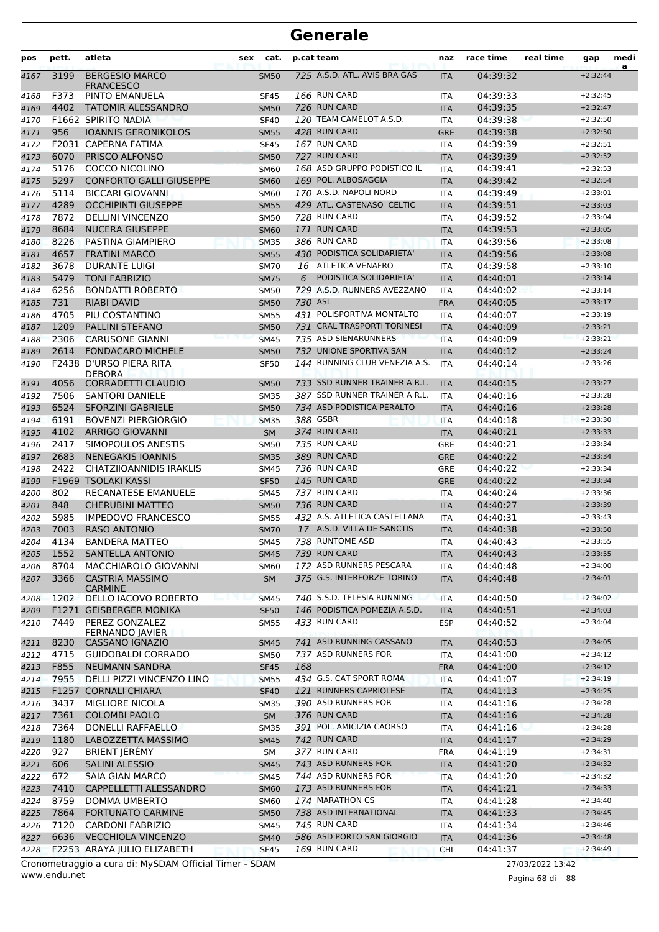| pos          | pett.        | atleta                                     | sex | cat.                       |         | p.cat team                         | naz                      | race time            | real time | gap                      | medi<br>a |
|--------------|--------------|--------------------------------------------|-----|----------------------------|---------|------------------------------------|--------------------------|----------------------|-----------|--------------------------|-----------|
| 4167         | 3199         | <b>BERGESIO MARCO</b><br><b>FRANCESCO</b>  |     | <b>SM50</b>                |         | 725 A.S.D. ATL. AVIS BRA GAS       | <b>ITA</b>               | 04:39:32             |           | $+2:32:44$               |           |
| 4168         | F373         | PINTO EMANUELA                             |     | <b>SF45</b>                |         | 166 RUN CARD                       | <b>ITA</b>               | 04:39:33             |           | $+2:32:45$               |           |
| 4169         | 4402         | <b>TATOMIR ALESSANDRO</b>                  |     | <b>SM50</b>                |         | 726 RUN CARD                       | <b>ITA</b>               | 04:39:35             |           | $+2:32:47$               |           |
| 4170         |              | F1662 SPIRITO NADIA                        |     | <b>SF40</b>                |         | 120 TEAM CAMELOT A.S.D.            | <b>ITA</b>               | 04:39:38             |           | $+2:32:50$               |           |
| 4171         | 956          | <b>IOANNIS GERONIKOLOS</b>                 |     | <b>SM55</b>                |         | 428 RUN CARD                       | <b>GRE</b>               | 04:39:38             |           | $+2:32:50$               |           |
| 4172         |              | F2031 CAPERNA FATIMA                       |     | <b>SF45</b>                |         | 167 RUN CARD                       | <b>ITA</b>               | 04:39:39             |           | $+2:32:51$               |           |
| 4173         | 6070         | PRISCO ALFONSO                             |     | <b>SM50</b>                |         | 727 RUN CARD                       | <b>ITA</b>               | 04:39:39             |           | $+2:32:52$               |           |
| 4174         | 5176         | COCCO NICOLINO                             |     | <b>SM60</b>                |         | 168 ASD GRUPPO PODISTICO IL        | <b>ITA</b>               | 04:39:41             |           | $+2:32:53$               |           |
| 4175         | 5297         | <b>CONFORTO GALLI GIUSEPPE</b>             |     | <b>SM60</b>                |         | 169 POL. ALBOSAGGIA                | <b>ITA</b>               | 04:39:42             |           | $+2:32:54$               |           |
| 4176         | 5114         | <b>BICCARI GIOVANNI</b>                    |     | <b>SM60</b>                |         | 170 A.S.D. NAPOLI NORD             | <b>ITA</b>               | 04:39:49             |           | $+2:33:01$               |           |
| 4177         | 4289         | <b>OCCHIPINTI GIUSEPPE</b>                 |     | <b>SM55</b>                |         | 429 ATL. CASTENASO CELTIC          | <b>ITA</b>               | 04:39:51             |           | $+2:33:03$               |           |
| 4178         | 7872         | <b>DELLINI VINCENZO</b>                    |     | <b>SM50</b>                |         | 728 RUN CARD<br>171 RUN CARD       | <b>ITA</b>               | 04:39:52             |           | $+2:33:04$               |           |
| 4179         | 8684         | <b>NUCERA GIUSEPPE</b>                     |     | <b>SM60</b>                |         | 386 RUN CARD                       | <b>ITA</b>               | 04:39:53             |           | $+2:33:05$               |           |
| 4180         | 8226<br>4657 | PASTINA GIAMPIERO<br><b>FRATINI MARCO</b>  |     | <b>SM35</b>                |         | 430 PODISTICA SOLIDARIETA'         | <b>ITA</b>               | 04:39:56             |           | $+2:33:08$<br>$+2:33:08$ |           |
| 4181         | 3678         | <b>DURANTE LUIGI</b>                       |     | <b>SM55</b>                |         | 16 ATLETICA VENAFRO                | <b>ITA</b>               | 04:39:56<br>04:39:58 |           | $+2:33:10$               |           |
| 4182         | 5479         | <b>TONI FABRIZIO</b>                       |     | <b>SM70</b><br><b>SM75</b> | 6       | PODISTICA SOLIDARIETA'             | <b>ITA</b><br><b>ITA</b> | 04:40:01             |           | $+2:33:14$               |           |
| 4183<br>4184 | 6256         | <b>BONDATTI ROBERTO</b>                    |     | <b>SM50</b>                |         | 729 A.S.D. RUNNERS AVEZZANO        | ITA                      | 04:40:02             |           | $+2:33:14$               |           |
| 4185         | 731          | <b>RIABI DAVID</b>                         |     | <b>SM50</b>                | 730 ASL |                                    | <b>FRA</b>               | 04:40:05             |           | $+2:33:17$               |           |
| 4186         | 4705         | PIU COSTANTINO                             |     | <b>SM55</b>                |         | 431 POLISPORTIVA MONTALTO          | <b>ITA</b>               | 04:40:07             |           | $+2:33:19$               |           |
| 4187         | 1209         | <b>PALLINI STEFANO</b>                     |     | <b>SM50</b>                |         | <b>731 CRAL TRASPORTI TORINESI</b> | <b>ITA</b>               | 04:40:09             |           | $+2:33:21$               |           |
| 4188         | 2306         | <b>CARUSONE GIANNI</b>                     |     | <b>SM45</b>                |         | 735 ASD SIENARUNNERS               | <b>ITA</b>               | 04:40:09             |           | $+2:33:21$               |           |
| 4189         | 2614         | <b>FONDACARO MICHELE</b>                   |     | <b>SM50</b>                |         | 732 UNIONE SPORTIVA SAN            | <b>ITA</b>               | 04:40:12             |           | $+2:33:24$               |           |
| 4190         |              | F2438 D'URSO PIERA RITA                    |     | <b>SF50</b>                |         | 144 RUNNING CLUB VENEZIA A.S.      | <b>ITA</b>               | 04:40:14             |           | $+2:33:26$               |           |
| 4191         | 4056         | <b>DEBORA</b><br><b>CORRADETTI CLAUDIO</b> |     | <b>SM50</b>                |         | 733 SSD RUNNER TRAINER A R.L.      | <b>ITA</b>               | 04:40:15             |           | $+2:33:27$               |           |
| 4192         | 7506         | <b>SANTORI DANIELE</b>                     |     | <b>SM35</b>                |         | 387 SSD RUNNER TRAINER A R.L.      | <b>ITA</b>               | 04:40:16             |           | $+2:33:28$               |           |
| 4193         | 6524         | <b>SFORZINI GABRIELE</b>                   |     | <b>SM50</b>                |         | 734 ASD PODISTICA PERALTO          | <b>ITA</b>               | 04:40:16             |           | $+2:33:28$               |           |
| 4194         | 6191         | <b>BOVENZI PIERGIORGIO</b>                 |     | <b>SM35</b>                |         | 388 GSBR                           | <b>ITA</b>               | 04:40:18             |           | $+2:33:30$               |           |
| 4195         | 4102         | <b>ARRIGO GIOVANNI</b>                     |     | <b>SM</b>                  |         | 374 RUN CARD                       | <b>ITA</b>               | 04:40:21             |           | $+2:33:33$               |           |
| 4196         | 2417         | SIMOPOULOS ANESTIS                         |     | <b>SM50</b>                |         | 735 RUN CARD                       | <b>GRE</b>               | 04:40:21             |           | $+2:33:34$               |           |
| 4197         | 2683         | <b>NENEGAKIS IOANNIS</b>                   |     | <b>SM35</b>                |         | 389 RUN CARD                       | <b>GRE</b>               | 04:40:22             |           | $+2:33:34$               |           |
| 4198         | 2422         | <b>CHATZIIOANNIDIS IRAKLIS</b>             |     | <b>SM45</b>                |         | 736 RUN CARD                       | <b>GRE</b>               | 04:40:22             |           | $+2:33:34$               |           |
| 4199         |              | F1969 TSOLAKI KASSI                        |     | <b>SF50</b>                |         | 145 RUN CARD                       | <b>GRE</b>               | 04:40:22             |           | $+2:33:34$               |           |
| 4200         | 802          | RECANATESE EMANUELE                        |     | <b>SM45</b>                |         | 737 RUN CARD                       | <b>ITA</b>               | 04:40:24             |           | $+2:33:36$               |           |
| 4201         | 848          | <b>CHERUBINI MATTEO</b>                    |     | <b>SM50</b>                |         | 736 RUN CARD                       | <b>ITA</b>               | 04:40:27             |           | $+2:33:39$               |           |
| 4202         | 5985         | <b>IMPEDOVO FRANCESCO</b>                  |     | <b>SM55</b>                |         | 432 A.S. ATLETICA CASTELLANA       | <b>ITA</b>               | 04:40:31             |           | $+2:33:43$               |           |
| 4203         | 7003         | <b>RASO ANTONIO</b>                        |     | <b>SM70</b>                |         | 17 A.S.D. VILLA DE SANCTIS         | <b>ITA</b>               | 04:40:38             |           | $+2:33:50$               |           |
| 4204         | 4134         | <b>BANDERA MATTEO</b>                      |     | <b>SM45</b>                |         | 738 RUNTOME ASD                    | <b>ITA</b>               | 04:40:43             |           | $+2:33:55$               |           |
| 4205         | 1552         | <b>SANTELLA ANTONIO</b>                    |     | <b>SM45</b>                |         | 739 RUN CARD                       | <b>ITA</b>               | 04:40:43             |           | $+2:33:55$               |           |
| 4206         | 8704         | <b>MACCHIAROLO GIOVANNI</b>                |     | <b>SM60</b>                |         | 172 ASD RUNNERS PESCARA            | <b>ITA</b>               | 04:40:48             |           | $+2:34:00$               |           |
| 4207         | 3366         | <b>CASTRIA MASSIMO</b><br><b>CARMINE</b>   |     | <b>SM</b>                  |         | 375 G.S. INTERFORZE TORINO         | <b>ITA</b>               | 04:40:48             |           | $+2:34:01$               |           |
| 4208         | 1202         | DELLO IACOVO ROBERTO                       |     | <b>SM45</b>                |         | 740 S.S.D. TELESIA RUNNING         | ITA                      | 04:40:50             |           | $+2:34:02$               |           |
| 4209         |              | F1271 GEISBERGER MONIKA                    |     | <b>SF50</b>                |         | 146 PODISTICA POMEZIA A.S.D.       | <b>ITA</b>               | 04:40:51             |           | $+2:34:03$               |           |
| 4210         | 7449         | PEREZ GONZALEZ<br><b>FERNANDO JAVIER</b>   |     | <b>SM55</b>                |         | 433 RUN CARD                       | <b>ESP</b>               | 04:40:52             |           | $+2:34:04$               |           |
| 4211         | 8230         | <b>CASSANO IGNAZIO</b>                     |     | <b>SM45</b>                |         | 741 ASD RUNNING CASSANO            | <b>ITA</b>               | 04:40:53             |           | $+2:34:05$               |           |
| 4212         | 4715         | <b>GUIDOBALDI CORRADO</b>                  |     | <b>SM50</b>                |         | 737 ASD RUNNERS FOR                | <b>ITA</b>               | 04:41:00             |           | $+2:34:12$               |           |
| 4213         | F855         | <b>NEUMANN SANDRA</b>                      |     | <b>SF45</b>                | 168     |                                    | <b>FRA</b>               | 04:41:00             |           | $+2:34:12$               |           |
| 4214         | 7955         | DELLI PIZZI VINCENZO LINO                  |     | <b>SM55</b>                |         | 434 G.S. CAT SPORT ROMA            | <b>ITA</b>               | 04:41:07             |           | $+2:34:19$               |           |
| 4215         |              | F1257 CORNALI CHIARA                       |     | <b>SF40</b>                |         | 121 RUNNERS CAPRIOLESE             | <b>ITA</b>               | 04:41:13             |           | $+2:34:25$               |           |
| 4216         | 3437         | MIGLIORE NICOLA                            |     | <b>SM35</b>                |         | 390 ASD RUNNERS FOR                | <b>ITA</b>               | 04:41:16             |           | $+2:34:28$               |           |
| 4217         | 7361         | <b>COLOMBI PAOLO</b>                       |     | SM                         |         | 376 RUN CARD                       | <b>ITA</b>               | 04:41:16             |           | $+2:34:28$               |           |
| 4218         | 7364         | DONELLI RAFFAELLO                          |     | SM35                       |         | 391 POL. AMICIZIA CAORSO           | ITA                      | 04:41:16             |           | $+2:34:28$               |           |
| 4219         | 1180         | LABOZZETTA MASSIMO                         |     | <b>SM45</b>                |         | 742 RUN CARD                       | <b>ITA</b>               | 04:41:17             |           | $+2:34:29$               |           |
| 4220         | 927          | BRIENT JÉRÉMY                              |     | SМ                         |         | 377 RUN CARD                       | <b>FRA</b>               | 04:41:19             |           | $+2:34:31$               |           |
| 4221         | 606          | <b>SALINI ALESSIO</b>                      |     | <b>SM45</b>                |         | 743 ASD RUNNERS FOR                | <b>ITA</b>               | 04:41:20             |           | $+2:34:32$               |           |
| 4222         | 672          | SAIA GIAN MARCO                            |     | <b>SM45</b>                |         | 744 ASD RUNNERS FOR                | <b>ITA</b>               | 04:41:20             |           | $+2:34:32$               |           |
| 4223         | 7410         | CAPPELLETTI ALESSANDRO                     |     | <b>SM60</b>                |         | 173 ASD RUNNERS FOR                | <b>ITA</b>               | 04:41:21             |           | $+2:34:33$               |           |
| 4224         | 8759         | DOMMA UMBERTO                              |     | <b>SM60</b>                |         | 174 MARATHON CS                    | <b>ITA</b>               | 04:41:28             |           | $+2:34:40$               |           |
| 4225         | 7864         | <b>FORTUNATO CARMINE</b>                   |     | <b>SM50</b>                |         | 738 ASD INTERNATIONAL              | <b>ITA</b>               | 04:41:33             |           | $+2:34:45$               |           |
| 4226         | 7120         | <b>CARDONI FABRIZIO</b>                    |     | SM45                       |         | 745 RUN CARD                       | <b>ITA</b>               | 04:41:34             |           | $+2:34:46$               |           |
| 4227         | 6636         | <b>VECCHIOLA VINCENZO</b>                  |     | <b>SM40</b>                |         | 586 ASD PORTO SAN GIORGIO          | <b>ITA</b>               | 04:41:36             |           | $+2:34:48$               |           |
| 4228         |              | F2253 ARAYA JULIO ELIZABETH                |     | <b>SF45</b>                |         | 169 RUN CARD                       | <b>CHI</b>               | 04:41:37             |           | $+2:34:49$               |           |

www.endu.net Cronometraggio a cura di: MySDAM Official Timer - SDAM 27/03/2022 13:42

Pagina 68 di 88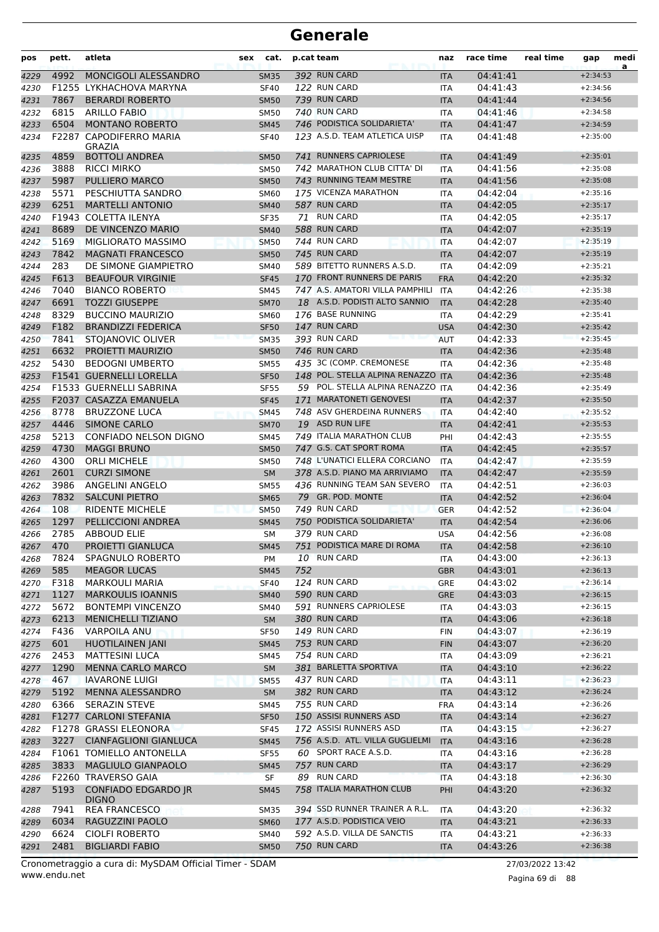| pos          | pett.        | atleta                                               | sex | cat.                       |     | p.cat team                                                    | naz                      | race time            | real time | gap                      | medi<br>a |
|--------------|--------------|------------------------------------------------------|-----|----------------------------|-----|---------------------------------------------------------------|--------------------------|----------------------|-----------|--------------------------|-----------|
| 4229         | 4992         | <b>MONCIGOLI ALESSANDRO</b>                          |     | <b>SM35</b>                |     | 392 RUN CARD                                                  | <b>ITA</b>               | 04:41:41             |           | $+2:34:53$               |           |
| 4230         |              | F1255 LYKHACHOVA MARYNA                              |     | <b>SF40</b>                |     | 122 RUN CARD                                                  | ITA                      | 04:41:43             |           | $+2:34:56$               |           |
| 4231         | 7867         | <b>BERARDI ROBERTO</b>                               |     | <b>SM50</b>                |     | 739 RUN CARD                                                  | <b>ITA</b>               | 04:41:44             |           | $+2:34:56$               |           |
| 4232         | 6815         | <b>ARILLO FABIO</b>                                  |     | <b>SM50</b>                |     | 740 RUN CARD                                                  | <b>ITA</b>               | 04:41:46             |           | $+2:34:58$               |           |
| 4233         | 6504         | <b>MONTANO ROBERTO</b>                               |     | <b>SM45</b>                |     | 746 PODISTICA SOLIDARIETA'                                    | <b>ITA</b>               | 04:41:47             |           | $+2:34:59$               |           |
| 4234         |              | F2287 CAPODIFERRO MARIA<br><b>GRAZIA</b>             |     | <b>SF40</b>                |     | 123 A.S.D. TEAM ATLETICA UISP                                 | ITA                      | 04:41:48             |           | $+2:35:00$               |           |
| 4235         | 4859         | <b>BOTTOLI ANDREA</b>                                |     | <b>SM50</b>                |     | 741 RUNNERS CAPRIOLESE                                        | <b>ITA</b>               | 04:41:49             |           | $+2:35:01$               |           |
| 4236         | 3888         | <b>RICCI MIRKO</b>                                   |     | <b>SM50</b>                |     | 742 MARATHON CLUB CITTA' DI                                   | ITA                      | 04:41:56             |           | $+2:35:08$               |           |
| 4237         | 5987         | PULLIERO MARCO                                       |     | <b>SM50</b>                |     | 743 RUNNING TEAM MESTRE                                       | <b>ITA</b>               | 04:41:56             |           | $+2:35:08$               |           |
| 4238         | 5571         | PESCHIUTTA SANDRO                                    |     | <b>SM60</b>                |     | 175 VICENZA MARATHON                                          | <b>ITA</b>               | 04:42:04             |           | $+2:35:16$               |           |
| 4239         | 6251         | <b>MARTELLI ANTONIO</b>                              |     | <b>SM40</b>                |     | 587 RUN CARD                                                  | <b>ITA</b>               | 04:42:05             |           | $+2:35:17$               |           |
| 4240         |              | F1943 COLETTA ILENYA                                 |     | <b>SF35</b>                |     | 71 RUN CARD                                                   | <b>ITA</b>               | 04:42:05             |           | $+2:35:17$               |           |
| 4241         | 8689         | DE VINCENZO MARIO                                    |     | <b>SM40</b>                |     | 588 RUN CARD                                                  | <b>ITA</b>               | 04:42:07             |           | $+2:35:19$               |           |
| 4242         | 5169         | MIGLIORATO MASSIMO                                   |     | <b>SM50</b>                |     | 744 RUN CARD                                                  | <b>ITA</b>               | 04:42:07             |           | $+2:35:19$               |           |
| 4243         | 7842         | <b>MAGNATI FRANCESCO</b>                             |     | <b>SM50</b>                |     | 745 RUN CARD                                                  | <b>ITA</b>               | 04:42:07             |           | $+2:35:19$               |           |
| 4244         | 283          | DE SIMONE GIAMPIETRO                                 |     | SM40                       |     | 589 BITETTO RUNNERS A.S.D.                                    | ITA                      | 04:42:09             |           | $+2:35:21$               |           |
| 4245         | F613<br>7040 | <b>BEAUFOUR VIRGINIE</b>                             |     | <b>SF45</b>                |     | 170 FRONT RUNNERS DE PARIS<br>747 A.S. AMATORI VILLA PAMPHILI | <b>FRA</b>               | 04:42:20             |           | $+2:35:32$               |           |
| 4246         | 6691         | <b>BIANCO ROBERTO</b><br><b>TOZZI GIUSEPPE</b>       |     | SM45                       |     | 18 A.S.D. PODISTI ALTO SANNIO                                 | <b>ITA</b>               | 04:42:26             |           | $+2:35:38$               |           |
| 4247         | 8329         |                                                      |     | <b>SM70</b>                |     | 176 BASE RUNNING                                              | <b>ITA</b>               | 04:42:28<br>04:42:29 |           | $+2:35:40$<br>$+2:35:41$ |           |
| 4248         | F182         | <b>BUCCINO MAURIZIO</b><br><b>BRANDIZZI FEDERICA</b> |     | <b>SM60</b>                |     | 147 RUN CARD                                                  | ITA                      |                      |           |                          |           |
| 4249         | 7841         | STOJANOVIC OLIVER                                    |     | <b>SF50</b>                |     | 393 RUN CARD                                                  | <b>USA</b>               | 04:42:30<br>04:42:33 |           | $+2:35:42$<br>$+2:35:45$ |           |
| 4250         | 6632         |                                                      |     | <b>SM35</b>                |     | 746 RUN CARD                                                  | <b>AUT</b>               | 04:42:36             |           | $+2:35:48$               |           |
| 4251<br>4252 | 5430         | PROJETTI MAURIZIO<br><b>BEDOGNI UMBERTO</b>          |     | <b>SM50</b><br><b>SM55</b> |     | 435 3C (COMP. CREMONESE                                       | <b>ITA</b><br><b>ITA</b> | 04:42:36             |           | $+2:35:48$               |           |
| 4253         |              | F1541 GUERNELLI LORELLA                              |     | <b>SF50</b>                |     | 148 POL. STELLA ALPINA RENAZZO ITA                            |                          | 04:42:36             |           | $+2:35:48$               |           |
| 4254         |              | F1533 GUERNELLI SABRINA                              |     | <b>SF55</b>                |     | 59 POL. STELLA ALPINA RENAZZO ITA                             |                          | 04:42:36             |           | $+2:35:49$               |           |
| 4255         |              | F2037 CASAZZA EMANUELA                               |     | <b>SF45</b>                |     | 171 MARATONETI GENOVESI                                       | <b>ITA</b>               | 04:42:37             |           | $+2:35:50$               |           |
| 4256         | 8778         | <b>BRUZZONE LUCA</b>                                 |     | <b>SM45</b>                |     | 748 ASV GHERDEINA RUNNERS                                     | ITA                      | 04:42:40             |           | $+2:35:52$               |           |
| 4257         | 4446         | <b>SIMONE CARLO</b>                                  |     | <b>SM70</b>                |     | 19 ASD RUN LIFE                                               | <b>ITA</b>               | 04:42:41             |           | $+2:35:53$               |           |
| 4258         | 5213         | CONFIADO NELSON DIGNO                                |     | <b>SM45</b>                |     | 749 ITALIA MARATHON CLUB                                      | PHI                      | 04:42:43             |           | $+2:35:55$               |           |
| 4259         | 4730         | <b>MAGGI BRUNO</b>                                   |     | <b>SM50</b>                |     | 747 G.S. CAT SPORT ROMA                                       | <b>ITA</b>               | 04:42:45             |           | $+2:35:57$               |           |
| 4260         | 4300         | <b>ORLI MICHELE</b>                                  |     | <b>SM50</b>                |     | 748 L'UNATICI ELLERA CORCIANO                                 | ITA                      | 04:42:47             |           | $+2:35:59$               |           |
| 4261         | 2601         | <b>CURZI SIMONE</b>                                  |     | <b>SM</b>                  |     | 378 A.S.D. PIANO MA ARRIVIAMO                                 | <b>ITA</b>               | 04:42:47             |           | $+2:35:59$               |           |
| 4262         | 3986         | ANGELINI ANGELO                                      |     | <b>SM55</b>                |     | 436 RUNNING TEAM SAN SEVERO                                   | ITA                      | 04:42:51             |           | $+2:36:03$               |           |
| 4263         | 7832         | <b>SALCUNI PIETRO</b>                                |     | <b>SM65</b>                |     | 79 GR. POD. MONTE                                             | <b>ITA</b>               | 04:42:52             |           | $+2:36:04$               |           |
| 4264         | 108          | <b>RIDENTE MICHELE</b>                               |     | <b>SM50</b>                |     | 749 RUN CARD                                                  | <b>GER</b>               | 04:42:52             |           | $+2:36:04$               |           |
| 4265         | 1297         | PELLICCIONI ANDREA                                   |     | <b>SM45</b>                |     | 750 PODISTICA SOLIDARIETA'                                    | <b>ITA</b>               | 04:42:54             |           | $+2:36:06$               |           |
| 4266         | 2785         | ABBOUD ELIE                                          |     | SΜ                         |     | 379 RUN CARD                                                  | <b>USA</b>               | 04:42:56             |           | $+2:36:08$               |           |
| 4267         | 470          | PROIETTI GIANLUCA                                    |     | SM45                       |     | 751 PODISTICA MARE DI ROMA                                    | 11 A                     | 04:42:58             |           | $+2:36:10$               |           |
| 4268         | 7824         | SPAGNULO ROBERTO                                     |     | PM                         |     | 10 RUN CARD                                                   | ITA                      | 04:43:00             |           | $+2:36:13$               |           |
| 4269         | 585          | <b>MEAGOR LUCAS</b>                                  |     | <b>SM45</b>                | 752 |                                                               | <b>GBR</b>               | 04:43:01             |           | $+2:36:13$               |           |
| 4270         | F318         | <b>MARKOULI MARIA</b>                                |     | <b>SF40</b>                |     | 124 RUN CARD                                                  | GRE                      | 04:43:02             |           | $+2:36:14$               |           |
| 4271         | 1127         | <b>MARKOULIS IOANNIS</b>                             |     | <b>SM40</b>                |     | 590 RUN CARD                                                  | GRE                      | 04:43:03             |           | $+2:36:15$               |           |
| 4272         | 5672         | <b>BONTEMPI VINCENZO</b>                             |     | SM40                       |     | 591 RUNNERS CAPRIOLESE                                        | ITA                      | 04:43:03             |           | $+2:36:15$               |           |
| 4273         | 6213         | <b>MENICHELLI TIZIANO</b>                            |     | <b>SM</b>                  |     | 380 RUN CARD                                                  | <b>ITA</b>               | 04:43:06             |           | $+2:36:18$               |           |
| 4274         | F436         | <b>VARPOILA ANU</b>                                  |     | <b>SF50</b>                |     | 149 RUN CARD                                                  | FIN                      | 04:43:07             |           | $+2:36:19$               |           |
| 4275         | 601          | <b>HUOTILAINEN JANI</b>                              |     | <b>SM45</b>                |     | 753 RUN CARD                                                  | <b>FIN</b>               | 04:43:07             |           | $+2:36:20$               |           |
| 4276         | 2453         | <b>MATTESINI LUCA</b>                                |     | SM45                       |     | 754 RUN CARD                                                  | ITA                      | 04:43:09             |           | $+2:36:21$               |           |
| 4277         | 1290         | <b>MENNA CARLO MARCO</b>                             |     | SM                         |     | 381 BARLETTA SPORTIVA                                         | <b>ITA</b>               | 04:43:10             |           | $+2:36:22$               |           |
| 4278         | 467          | <b>IAVARONE LUIGI</b>                                |     | <b>SM55</b>                |     | 437 RUN CARD                                                  | <b>ITA</b>               | 04:43:11             |           | $+2:36:23$               |           |
| 4279         | 5192         | MENNA ALESSANDRO                                     |     | <b>SM</b>                  |     | 382 RUN CARD<br>755 RUN CARD                                  | <b>ITA</b>               | 04:43:12             |           | $+2:36:24$               |           |
| 4280         | 6366         | <b>SERAZIN STEVE</b>                                 |     | <b>SM45</b>                |     | 150 ASSISI RUNNERS ASD                                        | <b>FRA</b>               | 04:43:14             |           | $+2:36:26$               |           |
| 4281         |              | F1277 CARLONI STEFANIA<br>F1278 GRASSI ELEONORA      |     | <b>SF50</b><br><b>SF45</b> |     | 172 ASSISI RUNNERS ASD                                        | <b>ITA</b>               | 04:43:14<br>04:43:15 |           | $+2:36:27$<br>$+2:36:27$ |           |
| 4282<br>4283 | 3227         | <b>CIANFAGLIONI GIANLUCA</b>                         |     | <b>SM45</b>                |     | 756 A.S.D. ATL. VILLA GUGLIELMI                               | ITA<br><b>ITA</b>        | 04:43:16             |           | $+2:36:28$               |           |
| 4284         |              | F1061 TOMIELLO ANTONELLA                             |     | <b>SF55</b>                |     | 60 SPORT RACE A.S.D.                                          | ITA                      | 04:43:16             |           | $+2:36:28$               |           |
| 4285         | 3833         | MAGLIULO GIANPAOLO                                   |     | <b>SM45</b>                |     | 757 RUN CARD                                                  | <b>ITA</b>               | 04:43:17             |           | $+2:36:29$               |           |
| 4286         |              | F2260 TRAVERSO GAIA                                  |     | SF                         |     | 89 RUN CARD                                                   | ITA                      | 04:43:18             |           | $+2:36:30$               |           |
| 4287         | 5193         | CONFIADO EDGARDO JR                                  |     | <b>SM45</b>                |     | 758 ITALIA MARATHON CLUB                                      | PHI                      | 04:43:20             |           | $+2:36:32$               |           |
|              |              | <b>DIGNO</b>                                         |     |                            |     |                                                               |                          |                      |           |                          |           |
| 4288         | 7941         | <b>REA FRANCESCO</b>                                 |     | <b>SM35</b>                |     | 394 SSD RUNNER TRAINER A R.L.                                 | <b>ITA</b>               | 04:43:20             |           | $+2:36:32$               |           |
| 4289         | 6034         | RAGUZZINI PAOLO                                      |     | <b>SM60</b>                |     | 177 A.S.D. PODISTICA VEIO                                     | <b>ITA</b>               | 04:43:21             |           | $+2:36:33$               |           |
| 4290         | 6624         | <b>CIOLFI ROBERTO</b>                                |     | SM40                       |     | 592 A.S.D. VILLA DE SANCTIS                                   | <b>ITA</b>               | 04:43:21             |           | $+2:36:33$               |           |
| 4291         | 2481         | <b>BIGLIARDI FABIO</b>                               |     | <b>SM50</b>                |     | 750 RUN CARD                                                  | <b>ITA</b>               | 04:43:26             |           | $+2:36:38$               |           |

www.endu.net Cronometraggio a cura di: MySDAM Official Timer - SDAM 27/03/2022 13:42

Pagina 69 di 88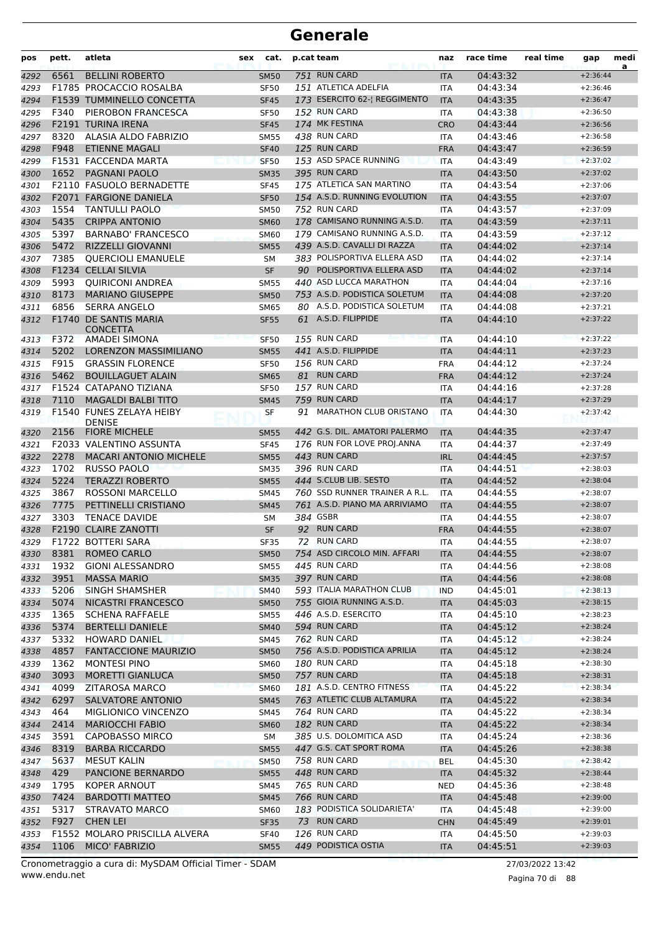| pos  | pett. | atleta                                    | sex         | cat.        | p.cat team                    | naz        | race time | real time | gap        | medi<br>a |
|------|-------|-------------------------------------------|-------------|-------------|-------------------------------|------------|-----------|-----------|------------|-----------|
| 4292 | 6561  | <b>BELLINI ROBERTO</b>                    |             | <b>SM50</b> | 751 RUN CARD                  | <b>ITA</b> | 04:43:32  |           | $+2:36:44$ |           |
| 4293 |       | F1785 PROCACCIO ROSALBA                   | <b>SF50</b> |             | 151 ATLETICA ADELFIA          | ITA        | 04:43:34  |           | $+2:36:46$ |           |
| 4294 |       | F1539 TUMMINELLO CONCETTA                 | <b>SF45</b> |             | 173 ESERCITO 62-  REGGIMENTO  | <b>ITA</b> | 04:43:35  |           | $+2:36:47$ |           |
| 4295 | F340  | PIEROBON FRANCESCA                        | <b>SF50</b> |             | 152 RUN CARD                  | ITA        | 04:43:38  |           | $+2:36:50$ |           |
| 4296 |       | <b>F2191 TURINA IRENA</b>                 | <b>SF45</b> |             | 174 MK FESTINA                | <b>CRO</b> | 04:43:44  |           | $+2:36:56$ |           |
| 4297 | 8320  | ALASIA ALDO FABRIZIO                      | <b>SM55</b> |             | 438 RUN CARD                  | <b>ITA</b> | 04:43:46  |           | $+2:36:58$ |           |
| 4298 | F948  | <b>ETIENNE MAGALI</b>                     | <b>SF40</b> |             | 125 RUN CARD                  | <b>FRA</b> | 04:43:47  |           | $+2:36:59$ |           |
| 4299 |       | F1531 FACCENDA MARTA                      | <b>SF50</b> |             | 153 ASD SPACE RUNNING         | <b>ITA</b> | 04:43:49  |           | $+2:37:02$ |           |
| 4300 | 1652  | <b>PAGNANI PAOLO</b>                      |             | <b>SM35</b> | 395 RUN CARD                  | <b>ITA</b> | 04:43:50  |           | $+2:37:02$ |           |
| 4301 |       | F2110 FASUOLO BERNADETTE                  | <b>SF45</b> |             | 175 ATLETICA SAN MARTINO      | ITA        | 04:43:54  |           | $+2:37:06$ |           |
| 4302 |       | <b>F2071 FARGIONE DANIELA</b>             | <b>SF50</b> |             | 154 A.S.D. RUNNING EVOLUTION  | <b>ITA</b> | 04:43:55  |           | $+2:37:07$ |           |
| 4303 | 1554  | <b>TANTULLI PAOLO</b>                     |             | <b>SM50</b> | 752 RUN CARD                  | <b>ITA</b> | 04:43:57  |           | $+2:37:09$ |           |
| 4304 | 5435  | <b>CRIPPA ANTONIO</b>                     |             | <b>SM60</b> | 178 CAMISANO RUNNING A.S.D.   | <b>ITA</b> | 04:43:59  |           | $+2:37:11$ |           |
| 4305 | 5397  | <b>BARNABO' FRANCESCO</b>                 |             | <b>SM60</b> | 179 CAMISANO RUNNING A.S.D.   | <b>ITA</b> | 04:43:59  |           | $+2:37:12$ |           |
| 4306 | 5472  | <b>RIZZELLI GIOVANNI</b>                  | <b>SM55</b> |             | 439 A.S.D. CAVALLI DI RAZZA   | <b>ITA</b> | 04:44:02  |           | $+2:37:14$ |           |
| 4307 | 7385  | <b>QUERCIOLI EMANUELE</b>                 | SΜ          |             | 383 POLISPORTIVA ELLERA ASD   | ITA        | 04:44:02  |           | $+2:37:14$ |           |
| 4308 |       | F1234 CELLAI SILVIA                       |             | <b>SF</b>   | 90 POLISPORTIVA ELLERA ASD    | <b>ITA</b> | 04:44:02  |           | $+2:37:14$ |           |
| 4309 | 5993  | <b>OUIRICONI ANDREA</b>                   | <b>SM55</b> |             | 440 ASD LUCCA MARATHON        | <b>ITA</b> | 04:44:04  |           | $+2:37:16$ |           |
| 4310 | 8173  | <b>MARIANO GIUSEPPE</b>                   |             | <b>SM50</b> | 753 A.S.D. PODISTICA SOLETUM  | <b>ITA</b> | 04:44:08  |           | $+2:37:20$ |           |
| 4311 | 6856  | <b>SERRA ANGELO</b>                       |             | <b>SM65</b> | 80 A.S.D. PODISTICA SOLETUM   | <b>ITA</b> | 04:44:08  |           | $+2:37:21$ |           |
| 4312 |       | F1740 DE SANTIS MARIA<br><b>CONCETTA</b>  | <b>SF55</b> |             | 61 A.S.D. FILIPPIDE           | <b>ITA</b> | 04:44:10  |           | $+2:37:22$ |           |
| 4313 | F372  | <b>AMADEI SIMONA</b>                      | <b>SF50</b> |             | 155 RUN CARD                  | <b>ITA</b> | 04:44:10  |           | $+2:37:22$ |           |
| 4314 | 5202  | <b>LORENZON MASSIMILIANO</b>              |             | <b>SM55</b> | 441 A.S.D. FILIPPIDE          | <b>ITA</b> | 04:44:11  |           | $+2:37:23$ |           |
| 4315 | F915  | <b>GRASSIN FLORENCE</b>                   | <b>SF50</b> |             | 156 RUN CARD                  | <b>FRA</b> | 04:44:12  |           | $+2:37:24$ |           |
| 4316 | 5462  | <b>BOUILLAGUET ALAIN</b>                  |             | <b>SM65</b> | 81 RUN CARD                   | <b>FRA</b> | 04:44:12  |           | $+2:37:24$ |           |
| 4317 |       | F1524 CATAPANO TIZIANA                    | <b>SF50</b> |             | 157 RUN CARD                  | <b>ITA</b> | 04:44:16  |           | $+2:37:28$ |           |
| 4318 | 7110  | <b>MAGALDI BALBI TITO</b>                 | <b>SM45</b> |             | 759 RUN CARD                  | <b>ITA</b> | 04:44:17  |           | $+2:37:29$ |           |
| 4319 |       | F1540 FUNES ZELAYA HEIBY<br><b>DENISE</b> | SF          |             | 91 MARATHON CLUB ORISTANO     | <b>ITA</b> | 04:44:30  |           | $+2:37:42$ |           |
| 4320 | 2156  | <b>FIORE MICHELE</b>                      |             | <b>SM55</b> | 442 G.S. DIL. AMATORI PALERMO | <b>ITA</b> | 04:44:35  |           | $+2:37:47$ |           |
| 4321 |       | F2033 VALENTINO ASSUNTA                   | <b>SF45</b> |             | 176 RUN FOR LOVE PROJ.ANNA    | <b>ITA</b> | 04:44:37  |           | $+2:37:49$ |           |
| 4322 | 2278  | <b>MACARI ANTONIO MICHELE</b>             |             | <b>SM55</b> | 443 RUN CARD                  | <b>IRL</b> | 04:44:45  |           | $+2:37:57$ |           |
| 4323 | 1702  | <b>RUSSO PAOLO</b>                        |             | <b>SM35</b> | 396 RUN CARD                  | <b>ITA</b> | 04:44:51  |           | $+2:38:03$ |           |
| 4324 | 5224  | <b>TERAZZI ROBERTO</b>                    |             | <b>SM55</b> | 444 S.CLUB LIB. SESTO         | <b>ITA</b> | 04:44:52  |           | $+2:38:04$ |           |
| 4325 | 3867  | ROSSONI MARCELLO                          |             | SM45        | 760 SSD RUNNER TRAINER A R.L. | <b>ITA</b> | 04:44:55  |           | $+2:38:07$ |           |
| 4326 | 7775  | PETTINELLI CRISTIANO                      |             | <b>SM45</b> | 761 A.S.D. PIANO MA ARRIVIAMO | <b>ITA</b> | 04:44:55  |           | $+2:38:07$ |           |
| 4327 | 3303  | <b>TENACE DAVIDE</b>                      | <b>SM</b>   |             | 384 GSBR                      | <b>ITA</b> | 04:44:55  |           | $+2:38:07$ |           |
| 4328 |       | F2190 CLAIRE ZANOTTI                      |             | <b>SF</b>   | 92 RUN CARD                   | <b>FRA</b> | 04:44:55  |           | $+2:38:07$ |           |
| 4329 |       | F1722 BOTTERI SARA                        | <b>SF35</b> |             | 72 RUN CARD                   | <b>ITA</b> | 04:44:55  |           | $+2:38:07$ |           |
| 4330 | 8381  | ROMEO CARLO                               |             | <b>SM50</b> | 754 ASD CIRCOLO MIN. AFFARI   | <b>ITA</b> | 04:44:55  |           | $+2:38:07$ |           |
| 4331 | 1932  | GIONI ALESSANDRO                          |             | <b>SM55</b> | 445 RUN CARD                  | ITA        | 04:44:56  |           | $+2:38:08$ |           |
| 4332 | 3951  | <b>MASSA MARIO</b>                        | <b>SM35</b> |             | 397 RUN CARD                  | <b>ITA</b> | 04:44:56  |           | $+2:38:08$ |           |
| 4333 | 5206  | SINGH SHAMSHER                            | <b>SM40</b> |             | 593 ITALIA MARATHON CLUB      | <b>IND</b> | 04:45:01  |           | $+2:38:13$ |           |
| 4334 | 5074  | <b>NICASTRI FRANCESCO</b>                 |             | <b>SM50</b> | 755 GIOIA RUNNING A.S.D.      | <b>ITA</b> | 04:45:03  |           | $+2:38:15$ |           |
| 4335 | 1365  | <b>SCHENA RAFFAELE</b>                    |             | <b>SM55</b> | 446 A.S.D. ESERCITO           | <b>ITA</b> | 04:45:10  |           | $+2:38:23$ |           |
| 4336 | 5374  | <b>BERTELLI DANIELE</b>                   |             | <b>SM40</b> | 594 RUN CARD                  | <b>ITA</b> | 04:45:12  |           | $+2:38:24$ |           |
| 4337 | 5332  | <b>HOWARD DANIEL</b>                      |             | SM45        | 762 RUN CARD                  | ITA        | 04:45:12  |           | $+2:38:24$ |           |
| 4338 | 4857  | <b>FANTACCIONE MAURIZIO</b>               |             | <b>SM50</b> | 756 A.S.D. PODISTICA APRILIA  | <b>ITA</b> | 04:45:12  |           | $+2:38:24$ |           |
| 4339 | 1362  | MONTESI PINO                              | <b>SM60</b> |             | <b>180 RUN CARD</b>           | ITA        | 04:45:18  |           | $+2:38:30$ |           |
| 4340 | 3093  | MORETTI GIANLUCA                          |             | <b>SM50</b> | 757 RUN CARD                  | ITA        | 04:45:18  |           | $+2:38:31$ |           |
| 4341 | 4099  | ZITAROSA MARCO                            |             | <b>SM60</b> | 181 A.S.D. CENTRO FITNESS     | <b>ITA</b> | 04:45:22  |           | $+2:38:34$ |           |
| 4342 | 6297  | SALVATORE ANTONIO                         |             | <b>SM45</b> | 763 ATLETIC CLUB ALTAMURA     | <b>ITA</b> | 04:45:22  |           | $+2:38:34$ |           |
| 4343 | 464   | MIGLIONICO VINCENZO                       |             | SM45        | 764 RUN CARD                  | ITA        | 04:45:22  |           | $+2:38:34$ |           |
| 4344 | 2414  | <b>MARIOCCHI FABIO</b>                    |             | <b>SM60</b> | 182 RUN CARD                  | <b>ITA</b> | 04:45:22  |           | $+2:38:34$ |           |
| 4345 | 3591  | CAPOBASSO MIRCO                           |             | SM          | 385 U.S. DOLOMITICA ASD       | ITA        | 04:45:24  |           | $+2:38:36$ |           |
| 4346 | 8319  | <b>BARBA RICCARDO</b>                     |             | <b>SM55</b> | 447 G.S. CAT SPORT ROMA       | <b>ITA</b> | 04:45:26  |           | $+2:38:38$ |           |
| 4347 | 5637  | <b>MESUT KALIN</b>                        | <b>SM50</b> |             | 758 RUN CARD                  | <b>BEL</b> | 04:45:30  |           | $+2:38:42$ |           |
| 4348 | 429   | PANCIONE BERNARDO                         |             | <b>SM55</b> | 448 RUN CARD                  | <b>ITA</b> | 04:45:32  |           | $+2:38:44$ |           |
| 4349 | 1795  | KOPER ARNOUT                              |             | SM45        | 765 RUN CARD                  | <b>NED</b> | 04:45:36  |           | $+2:38:48$ |           |
| 4350 | 7424  | <b>BARDOTTI MATTEO</b>                    |             | <b>SM45</b> | 766 RUN CARD                  | <b>ITA</b> | 04:45:48  |           | $+2:39:00$ |           |
| 4351 | 5317  | STRAVATO MARCO                            |             | <b>SM60</b> | 183 PODISTICA SOLIDARIETA'    | ITA        | 04:45:48  |           | $+2:39:00$ |           |
| 4352 | F927  | <b>CHEN LEI</b>                           | <b>SF35</b> |             | 73 RUN CARD                   | <b>CHN</b> | 04:45:49  |           | $+2:39:01$ |           |
| 4353 |       | F1552 MOLARO PRISCILLA ALVERA             | <b>SF40</b> |             | 126 RUN CARD                  | ITA        | 04:45:50  |           | $+2:39:03$ |           |
| 4354 | 1106  | MICO' FABRIZIO                            |             | <b>SM55</b> | 449 PODISTICA OSTIA           | <b>ITA</b> | 04:45:51  |           | $+2:39:03$ |           |

www.endu.net Cronometraggio a cura di: MySDAM Official Timer - SDAM 27/03/2022 13:42

Pagina 70 di 88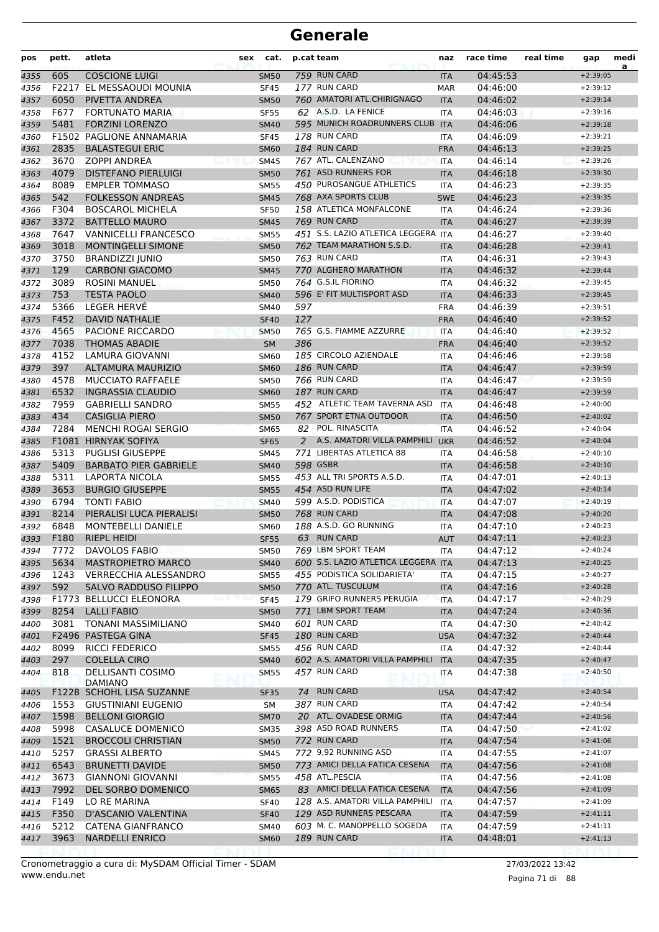| 759 RUN CARD<br>605<br><b>COSCIONE LUIGI</b><br>04:45:53<br>$+2:39:05$<br>4355<br><b>SM50</b><br><b>ITA</b><br>177 RUN CARD<br>F2217 EL MESSAOUDI MOUNIA<br>04:46:00<br><b>SF45</b><br><b>MAR</b><br>$+2:39:12$<br>4356<br>760 AMATORI ATL.CHIRIGNAGO<br>6050<br>PIVETTA ANDREA<br>04:46:02<br>4357<br><b>SM50</b><br><b>ITA</b><br>$+2:39:14$<br>F677<br>62 A.S.D. LA FENICE<br>$+2:39:16$<br><b>FORTUNATO MARIA</b><br>04:46:03<br>4358<br><b>SF55</b><br><b>ITA</b><br>595 MUNICH ROADRUNNERS CLUB ITA<br>5481<br><b>FORZINI LORENZO</b><br>04:46:06<br>4359<br><b>SM40</b><br>$+2:39:18$<br>178 RUN CARD<br><b>F1502 PAGLIONE ANNAMARIA</b><br>04:46:09<br>4360<br><b>SF45</b><br><b>ITA</b><br>$+2:39:21$<br>184 RUN CARD<br>2835<br><b>BALASTEGUI ERIC</b><br><b>SM60</b><br>04:46:13<br>$+2:39:25$<br>4361<br><b>FRA</b><br>3670<br>767 ATL. CALENZANO<br><b>ZOPPI ANDREA</b><br>04:46:14<br>4362<br><b>SM45</b><br><b>ITA</b><br>$+2:39:26$<br>4079<br>761 ASD RUNNERS FOR<br><b>DISTEFANO PIERLUIGI</b><br>04:46:18<br>4363<br><b>SM50</b><br><b>ITA</b><br>$+2:39:30$<br>450 PUROSANGUE ATHLETICS<br>8089<br><b>EMPLER TOMMASO</b><br>$+2:39:35$<br>04:46:23<br>4364<br><b>SM55</b><br><b>ITA</b><br>542<br>768 AXA SPORTS CLUB<br>04:46:23<br><b>FOLKESSON ANDREAS</b><br><b>SWE</b><br>4365<br><b>SM45</b><br>$+2:39:35$<br>158 ATLETICA MONFALCONE<br>F304<br><b>BOSCAROL MICHELA</b><br><b>SF50</b><br>04:46:24<br>4366<br><b>ITA</b><br>$+2:39:36$<br>3372<br><b>BATTELLO MAURO</b><br>769 RUN CARD<br>04:46:27<br>$+2:39:39$<br>4367<br><b>SM45</b><br><b>ITA</b><br>7647<br>451 S.S. LAZIO ATLETICA LEGGERA ITA<br><b>VANNICELLI FRANCESCO</b><br>04:46:27<br>4368<br><b>SM55</b><br>$+2:39:40$<br>3018<br>762 TEAM MARATHON S.S.D.<br><b>MONTINGELLI SIMONE</b><br>04:46:28<br>$+2:39:41$<br>4369<br><b>SM50</b><br><b>ITA</b><br>763 RUN CARD<br>3750<br>$+2:39:43$<br><b>BRANDIZZI JUNIO</b><br>04:46:31<br><b>SM50</b><br>4370<br>ITA<br>129<br><b>CARBONI GIACOMO</b><br>770 ALGHERO MARATHON<br>04:46:32<br>4371<br><b>SM45</b><br><b>ITA</b><br>$+2:39:44$<br>3089<br><b>ROSINI MANUEL</b><br>764 G.S.IL FIORINO<br>04:46:32<br><b>SM50</b><br>$+2:39:45$<br>4372<br><b>ITA</b><br>753<br><b>TESTA PAOLO</b><br>596 E' FIT MULTISPORT ASD<br>04:46:33<br>$+2:39:45$<br>4373<br><b>SM40</b><br><b>ITA</b><br>5366<br><b>LEGER HERVE</b><br>597<br>04:46:39<br>4374<br>SM40<br><b>FRA</b><br>$+2:39:51$<br>F452<br>127<br><b>DAVID NATHALIE</b><br>04:46:40<br>4375<br><b>FRA</b><br>$+2:39:52$<br><b>SF40</b><br>765 G.S. FIAMME AZZURRE<br>4565<br>PACIONE RICCARDO<br>$+2:39:52$<br>04:46:40<br>4376<br><b>SM50</b><br><b>ITA</b><br>7038<br><b>THOMAS ABADIE</b><br>386<br><b>FRA</b><br>04:46:40<br>4377<br><b>SM</b><br>$+2:39:52$<br>4152<br><b>LAMURA GIOVANNI</b><br>185 CIRCOLO AZIENDALE<br>04:46:46<br><b>SM60</b><br>$+2:39:58$<br>4378<br><b>ITA</b><br>186 RUN CARD<br>397<br><b>ALTAMURA MAURIZIO</b><br>04:46:47<br>$+2:39:59$<br>4379<br><b>SM60</b><br><b>ITA</b><br>4578<br>766 RUN CARD<br><b>MUCCIATO RAFFAELE</b><br>04:46:47<br>4380<br><b>SM50</b><br><b>ITA</b><br>$+2:39:59$<br>6532<br>187 RUN CARD<br><b>INGRASSIA CLAUDIO</b><br>04:46:47<br>$+2:39:59$<br>4381<br><b>SM60</b><br><b>ITA</b><br>452 ATLETIC TEAM TAVERNA ASD<br>7959<br><b>GABRIELLI SANDRO</b><br>04:46:48<br>$+2:40:00$<br>4382<br><b>SM55</b><br><b>ITA</b><br>767 SPORT ETNA OUTDOOR<br>434<br><b>CASIGLIA PIERO</b><br>04:46:50<br>4383<br><b>SM50</b><br><b>ITA</b><br>$+2:40:02$<br>7284<br><b>MENCHI ROGAI SERGIO</b><br>82 POL. RINASCITA<br>04:46:52<br><b>SM65</b><br>$+2:40:04$<br>4384<br><b>ITA</b><br>A.S. AMATORI VILLA PAMPHILI<br>F1081 HIRNYAK SOFIYA<br>2<br><b>UKR</b><br>04:46:52<br>4385<br><b>SF65</b><br>$+2:40:04$<br>771 LIBERTAS ATLETICA 88<br>5313<br><b>PUGLISI GIUSEPPE</b><br>04:46:58<br>4386<br><b>SM45</b><br><b>ITA</b><br>$+2:40:10$<br>5409<br><b>BARBATO PIER GABRIELE</b><br><b>598 GSBR</b><br>04:46:58<br><b>SM40</b><br>$+2:40:10$<br>4387<br><b>ITA</b><br>453 ALL TRI SPORTS A.S.D.<br>5311<br>LAPORTA NICOLA<br>04:47:01<br><b>SM55</b><br><b>ITA</b><br>$+2:40:13$<br>4388<br>3653<br>454 ASD RUN LIFE<br><b>BURGIO GIUSEPPE</b><br><b>SM55</b><br>04:47:02<br>4389<br><b>ITA</b><br>$+2:40:14$<br>599 A.S.D. PODISTICA<br>6794<br><b>TONTI FABIO</b><br>04:47:07<br>$+2:40:19$<br>4390<br><b>SM40</b><br><b>ITA</b><br>768 RUN CARD<br>8214<br>PIERALISI LUCA PIERALISI<br>04:47:08<br>4391<br><b>SM50</b><br><b>ITA</b><br>$+2:40:20$<br>188 A.S.D. GO RUNNING<br>6848<br>MONTEBELLI DANIELE<br>04:47:10<br>4392<br><b>SM60</b><br><b>ITA</b><br>$+2:40:23$<br>63 RUN CARD<br>F180<br>4393<br><b>RIEPL HEIDI</b><br><b>SF55</b><br>04:47:11<br>$+2:40:23$<br><b>AUT</b><br>7772<br><b>DAVOLOS FABIO</b><br>769 LBM SPORT TEAM<br>04:47:12<br>$+2:40:24$<br><b>SM50</b><br>4394<br>ITA<br>600 S.S. LAZIO ATLETICA LEGGERA ITA<br>5634<br><b>MASTROPIETRO MARCO</b><br>04:47:13<br>$+2:40:25$<br><b>SM40</b><br>455 PODISTICA SOLIDARIETA'<br>$+2:40:27$<br>1243<br><b>VERRECCHIA ALESSANDRO</b><br><b>SM55</b><br>04:47:15<br>4396<br>ITA<br>592<br>770 ATL. TUSCULUM<br>SALVO RADDUSO FILIPPO<br>04:47:16<br><b>SM50</b><br><b>ITA</b><br>$+2:40:28$<br>F1773 BELLUCCI ELEONORA<br>179 GRIFO RUNNERS PERUGIA<br>04:47:17<br>$+2:40:29$<br>4398<br><b>SF45</b><br><b>ITA</b><br>771 LBM SPORT TEAM<br>8254<br><b>LALLI FABIO</b><br>04:47:24<br>$+2:40:36$<br>4399<br><b>ITA</b><br><b>SM50</b><br>3081<br>601 RUN CARD<br><b>TONANI MASSIMILIANO</b><br>04:47:30<br>$+2:40:42$<br>4400<br>SM40<br><b>ITA</b><br>F2496 PASTEGA GINA<br>180 RUN CARD<br>04:47:32<br>4401<br><b>SF45</b><br><b>USA</b><br>$+2:40:44$<br>456 RUN CARD<br>8099<br><b>RICCI FEDERICO</b><br>04:47:32<br>$+2:40:44$<br>4402<br><b>SM55</b><br>ITA<br>602 A.S. AMATORI VILLA PAMPHILI<br>297<br><b>COLELLA CIRO</b><br>04:47:35<br>4403<br><b>SM40</b><br><b>ITA</b><br>$+2:40:47$<br>818<br>DELLISANTI COSIMO<br>457 RUN CARD<br>04:47:38<br><b>SM55</b><br>$+2:40:50$<br>4404<br>ITA<br><b>DAMIANO</b><br>F1228 SCHOHL LISA SUZANNE<br>74 RUN CARD<br>04:47:42<br>$+2:40:54$<br>4405<br>SF35<br><b>USA</b><br>387 RUN CARD<br>1553<br><b>GIUSTINIANI EUGENIO</b><br>04:47:42<br>$+2:40:54$<br>SM<br>ITA<br>4406<br>20 ATL. OVADESE ORMIG<br>1598<br><b>BELLONI GIORGIO</b><br>04:47:44<br>$+2:40:56$<br>4407<br><b>SM70</b><br><b>ITA</b><br>398 ASD ROAD RUNNERS<br>5998<br>CASALUCE DOMENICO<br>04:47:50<br>$+2:41:02$<br>4408<br><b>SM35</b><br>ITA<br>772 RUN CARD<br>1521<br><b>BROCCOLI CHRISTIAN</b><br>04:47:54<br>$+2:41:06$<br>4409<br><b>SM50</b><br><b>ITA</b><br>5257<br>772 9,92 RUNNING ASD<br><b>GRASSI ALBERTO</b><br>04:47:55<br>$+2:41:07$<br>4410<br>SM45<br>ITA<br>6543<br>773 AMICI DELLA FATICA CESENA<br><b>BRUNETTI DAVIDE</b><br>04:47:56<br>$+2:41:08$<br>4411<br><b>SM50</b><br><b>ITA</b><br>3673<br><b>GIANNONI GIOVANNI</b><br><b>SM55</b><br>458 ATL.PESCIA<br>04:47:56<br>$+2:41:08$<br>ITA<br>4412<br>83 AMICI DELLA FATICA CESENA<br>7992<br>DEL SORBO DOMENICO<br>04:47:56<br>$+2:41:09$<br>4413<br><b>SM65</b><br><b>ITA</b><br>F149<br>128 A.S. AMATORI VILLA PAMPHILI<br>LO RE MARINA<br><b>ITA</b><br>04:47:57<br>$+2:41:09$<br>4414<br><b>SF40</b><br>129 ASD RUNNERS PESCARA<br>F350<br>D'ASCANIO VALENTINA<br>04:47:59<br>$+2:41:11$<br>4415<br><b>SF40</b><br><b>ITA</b><br>603 M. C. MANOPPELLO SOGEDA<br>5212<br>CATENA GIANFRANCO<br>ITA<br>04:47:59<br>$+2:41:11$<br>4416<br>SM40<br>3963<br><b>NARDELLI ENRICO</b><br>189 RUN CARD<br>04:48:01<br>$+2:41:13$<br>4417<br><b>SM60</b><br><b>ITA</b> | pos  | pett. | atleta | sex | cat. | p.cat team | naz | race time | real time | gap | medi<br>a |
|----------------------------------------------------------------------------------------------------------------------------------------------------------------------------------------------------------------------------------------------------------------------------------------------------------------------------------------------------------------------------------------------------------------------------------------------------------------------------------------------------------------------------------------------------------------------------------------------------------------------------------------------------------------------------------------------------------------------------------------------------------------------------------------------------------------------------------------------------------------------------------------------------------------------------------------------------------------------------------------------------------------------------------------------------------------------------------------------------------------------------------------------------------------------------------------------------------------------------------------------------------------------------------------------------------------------------------------------------------------------------------------------------------------------------------------------------------------------------------------------------------------------------------------------------------------------------------------------------------------------------------------------------------------------------------------------------------------------------------------------------------------------------------------------------------------------------------------------------------------------------------------------------------------------------------------------------------------------------------------------------------------------------------------------------------------------------------------------------------------------------------------------------------------------------------------------------------------------------------------------------------------------------------------------------------------------------------------------------------------------------------------------------------------------------------------------------------------------------------------------------------------------------------------------------------------------------------------------------------------------------------------------------------------------------------------------------------------------------------------------------------------------------------------------------------------------------------------------------------------------------------------------------------------------------------------------------------------------------------------------------------------------------------------------------------------------------------------------------------------------------------------------------------------------------------------------------------------------------------------------------------------------------------------------------------------------------------------------------------------------------------------------------------------------------------------------------------------------------------------------------------------------------------------------------------------------------------------------------------------------------------------------------------------------------------------------------------------------------------------------------------------------------------------------------------------------------------------------------------------------------------------------------------------------------------------------------------------------------------------------------------------------------------------------------------------------------------------------------------------------------------------------------------------------------------------------------------------------------------------------------------------------------------------------------------------------------------------------------------------------------------------------------------------------------------------------------------------------------------------------------------------------------------------------------------------------------------------------------------------------------------------------------------------------------------------------------------------------------------------------------------------------------------------------------------------------------------------------------------------------------------------------------------------------------------------------------------------------------------------------------------------------------------------------------------------------------------------------------------------------------------------------------------------------------------------------------------------------------------------------------------------------------------------------------------------------------------------------------------------------------------------------------------------------------------------------------------------------------------------------------------------------------------------------------------------------------------------------------------------------------------------------------------------------------------------------------------------------------------------------------------------------------------------------------------------------------------------------------------------------------------------------------------------------------------------------------------------------------------------------------------------------------------------------------------------------------------------------------------------------------------------------------------------------------------------------------------------------------------------------------------------------------------------------------------------------------------------------------------------------------------------------------------------------------------------------------------------------------------------------------------------------------------------------------------------------------------------------------------------------------------------------------------------------------------------------------------------------------------------------------------------------------------------------------------------------------------------------------------------------------------------------------------------------------------------------------------------------------------------------------------------------------------------------------------------------------------------------------------------------------------------------------------------------------------------------------------------------------------------------------------------------------------------------------------------------------------------------------------------------------------------------------------------------------------------------------------------------------------------------------------------------------------------------------------------------------------------------------|------|-------|--------|-----|------|------------|-----|-----------|-----------|-----|-----------|
|                                                                                                                                                                                                                                                                                                                                                                                                                                                                                                                                                                                                                                                                                                                                                                                                                                                                                                                                                                                                                                                                                                                                                                                                                                                                                                                                                                                                                                                                                                                                                                                                                                                                                                                                                                                                                                                                                                                                                                                                                                                                                                                                                                                                                                                                                                                                                                                                                                                                                                                                                                                                                                                                                                                                                                                                                                                                                                                                                                                                                                                                                                                                                                                                                                                                                                                                                                                                                                                                                                                                                                                                                                                                                                                                                                                                                                                                                                                                                                                                                                                                                                                                                                                                                                                                                                                                                                                                                                                                                                                                                                                                                                                                                                                                                                                                                                                                                                                                                                                                                                                                                                                                                                                                                                                                                                                                                                                                                                                                                                                                                                                                                                                                                                                                                                                                                                                                                                                                                                                                                                                                                                                                                                                                                                                                                                                                                                                                                                                                                                                                                                                                                                                                                                                                                                                                                                                                                                                                                                                                                                                                                                                                                                                                                                                                                                                                                                                                                                                                                                                                                                                                    |      |       |        |     |      |            |     |           |           |     |           |
|                                                                                                                                                                                                                                                                                                                                                                                                                                                                                                                                                                                                                                                                                                                                                                                                                                                                                                                                                                                                                                                                                                                                                                                                                                                                                                                                                                                                                                                                                                                                                                                                                                                                                                                                                                                                                                                                                                                                                                                                                                                                                                                                                                                                                                                                                                                                                                                                                                                                                                                                                                                                                                                                                                                                                                                                                                                                                                                                                                                                                                                                                                                                                                                                                                                                                                                                                                                                                                                                                                                                                                                                                                                                                                                                                                                                                                                                                                                                                                                                                                                                                                                                                                                                                                                                                                                                                                                                                                                                                                                                                                                                                                                                                                                                                                                                                                                                                                                                                                                                                                                                                                                                                                                                                                                                                                                                                                                                                                                                                                                                                                                                                                                                                                                                                                                                                                                                                                                                                                                                                                                                                                                                                                                                                                                                                                                                                                                                                                                                                                                                                                                                                                                                                                                                                                                                                                                                                                                                                                                                                                                                                                                                                                                                                                                                                                                                                                                                                                                                                                                                                                                                    |      |       |        |     |      |            |     |           |           |     |           |
|                                                                                                                                                                                                                                                                                                                                                                                                                                                                                                                                                                                                                                                                                                                                                                                                                                                                                                                                                                                                                                                                                                                                                                                                                                                                                                                                                                                                                                                                                                                                                                                                                                                                                                                                                                                                                                                                                                                                                                                                                                                                                                                                                                                                                                                                                                                                                                                                                                                                                                                                                                                                                                                                                                                                                                                                                                                                                                                                                                                                                                                                                                                                                                                                                                                                                                                                                                                                                                                                                                                                                                                                                                                                                                                                                                                                                                                                                                                                                                                                                                                                                                                                                                                                                                                                                                                                                                                                                                                                                                                                                                                                                                                                                                                                                                                                                                                                                                                                                                                                                                                                                                                                                                                                                                                                                                                                                                                                                                                                                                                                                                                                                                                                                                                                                                                                                                                                                                                                                                                                                                                                                                                                                                                                                                                                                                                                                                                                                                                                                                                                                                                                                                                                                                                                                                                                                                                                                                                                                                                                                                                                                                                                                                                                                                                                                                                                                                                                                                                                                                                                                                                                    |      |       |        |     |      |            |     |           |           |     |           |
|                                                                                                                                                                                                                                                                                                                                                                                                                                                                                                                                                                                                                                                                                                                                                                                                                                                                                                                                                                                                                                                                                                                                                                                                                                                                                                                                                                                                                                                                                                                                                                                                                                                                                                                                                                                                                                                                                                                                                                                                                                                                                                                                                                                                                                                                                                                                                                                                                                                                                                                                                                                                                                                                                                                                                                                                                                                                                                                                                                                                                                                                                                                                                                                                                                                                                                                                                                                                                                                                                                                                                                                                                                                                                                                                                                                                                                                                                                                                                                                                                                                                                                                                                                                                                                                                                                                                                                                                                                                                                                                                                                                                                                                                                                                                                                                                                                                                                                                                                                                                                                                                                                                                                                                                                                                                                                                                                                                                                                                                                                                                                                                                                                                                                                                                                                                                                                                                                                                                                                                                                                                                                                                                                                                                                                                                                                                                                                                                                                                                                                                                                                                                                                                                                                                                                                                                                                                                                                                                                                                                                                                                                                                                                                                                                                                                                                                                                                                                                                                                                                                                                                                                    |      |       |        |     |      |            |     |           |           |     |           |
|                                                                                                                                                                                                                                                                                                                                                                                                                                                                                                                                                                                                                                                                                                                                                                                                                                                                                                                                                                                                                                                                                                                                                                                                                                                                                                                                                                                                                                                                                                                                                                                                                                                                                                                                                                                                                                                                                                                                                                                                                                                                                                                                                                                                                                                                                                                                                                                                                                                                                                                                                                                                                                                                                                                                                                                                                                                                                                                                                                                                                                                                                                                                                                                                                                                                                                                                                                                                                                                                                                                                                                                                                                                                                                                                                                                                                                                                                                                                                                                                                                                                                                                                                                                                                                                                                                                                                                                                                                                                                                                                                                                                                                                                                                                                                                                                                                                                                                                                                                                                                                                                                                                                                                                                                                                                                                                                                                                                                                                                                                                                                                                                                                                                                                                                                                                                                                                                                                                                                                                                                                                                                                                                                                                                                                                                                                                                                                                                                                                                                                                                                                                                                                                                                                                                                                                                                                                                                                                                                                                                                                                                                                                                                                                                                                                                                                                                                                                                                                                                                                                                                                                                    |      |       |        |     |      |            |     |           |           |     |           |
|                                                                                                                                                                                                                                                                                                                                                                                                                                                                                                                                                                                                                                                                                                                                                                                                                                                                                                                                                                                                                                                                                                                                                                                                                                                                                                                                                                                                                                                                                                                                                                                                                                                                                                                                                                                                                                                                                                                                                                                                                                                                                                                                                                                                                                                                                                                                                                                                                                                                                                                                                                                                                                                                                                                                                                                                                                                                                                                                                                                                                                                                                                                                                                                                                                                                                                                                                                                                                                                                                                                                                                                                                                                                                                                                                                                                                                                                                                                                                                                                                                                                                                                                                                                                                                                                                                                                                                                                                                                                                                                                                                                                                                                                                                                                                                                                                                                                                                                                                                                                                                                                                                                                                                                                                                                                                                                                                                                                                                                                                                                                                                                                                                                                                                                                                                                                                                                                                                                                                                                                                                                                                                                                                                                                                                                                                                                                                                                                                                                                                                                                                                                                                                                                                                                                                                                                                                                                                                                                                                                                                                                                                                                                                                                                                                                                                                                                                                                                                                                                                                                                                                                                    |      |       |        |     |      |            |     |           |           |     |           |
|                                                                                                                                                                                                                                                                                                                                                                                                                                                                                                                                                                                                                                                                                                                                                                                                                                                                                                                                                                                                                                                                                                                                                                                                                                                                                                                                                                                                                                                                                                                                                                                                                                                                                                                                                                                                                                                                                                                                                                                                                                                                                                                                                                                                                                                                                                                                                                                                                                                                                                                                                                                                                                                                                                                                                                                                                                                                                                                                                                                                                                                                                                                                                                                                                                                                                                                                                                                                                                                                                                                                                                                                                                                                                                                                                                                                                                                                                                                                                                                                                                                                                                                                                                                                                                                                                                                                                                                                                                                                                                                                                                                                                                                                                                                                                                                                                                                                                                                                                                                                                                                                                                                                                                                                                                                                                                                                                                                                                                                                                                                                                                                                                                                                                                                                                                                                                                                                                                                                                                                                                                                                                                                                                                                                                                                                                                                                                                                                                                                                                                                                                                                                                                                                                                                                                                                                                                                                                                                                                                                                                                                                                                                                                                                                                                                                                                                                                                                                                                                                                                                                                                                                    |      |       |        |     |      |            |     |           |           |     |           |
|                                                                                                                                                                                                                                                                                                                                                                                                                                                                                                                                                                                                                                                                                                                                                                                                                                                                                                                                                                                                                                                                                                                                                                                                                                                                                                                                                                                                                                                                                                                                                                                                                                                                                                                                                                                                                                                                                                                                                                                                                                                                                                                                                                                                                                                                                                                                                                                                                                                                                                                                                                                                                                                                                                                                                                                                                                                                                                                                                                                                                                                                                                                                                                                                                                                                                                                                                                                                                                                                                                                                                                                                                                                                                                                                                                                                                                                                                                                                                                                                                                                                                                                                                                                                                                                                                                                                                                                                                                                                                                                                                                                                                                                                                                                                                                                                                                                                                                                                                                                                                                                                                                                                                                                                                                                                                                                                                                                                                                                                                                                                                                                                                                                                                                                                                                                                                                                                                                                                                                                                                                                                                                                                                                                                                                                                                                                                                                                                                                                                                                                                                                                                                                                                                                                                                                                                                                                                                                                                                                                                                                                                                                                                                                                                                                                                                                                                                                                                                                                                                                                                                                                                    |      |       |        |     |      |            |     |           |           |     |           |
|                                                                                                                                                                                                                                                                                                                                                                                                                                                                                                                                                                                                                                                                                                                                                                                                                                                                                                                                                                                                                                                                                                                                                                                                                                                                                                                                                                                                                                                                                                                                                                                                                                                                                                                                                                                                                                                                                                                                                                                                                                                                                                                                                                                                                                                                                                                                                                                                                                                                                                                                                                                                                                                                                                                                                                                                                                                                                                                                                                                                                                                                                                                                                                                                                                                                                                                                                                                                                                                                                                                                                                                                                                                                                                                                                                                                                                                                                                                                                                                                                                                                                                                                                                                                                                                                                                                                                                                                                                                                                                                                                                                                                                                                                                                                                                                                                                                                                                                                                                                                                                                                                                                                                                                                                                                                                                                                                                                                                                                                                                                                                                                                                                                                                                                                                                                                                                                                                                                                                                                                                                                                                                                                                                                                                                                                                                                                                                                                                                                                                                                                                                                                                                                                                                                                                                                                                                                                                                                                                                                                                                                                                                                                                                                                                                                                                                                                                                                                                                                                                                                                                                                                    |      |       |        |     |      |            |     |           |           |     |           |
|                                                                                                                                                                                                                                                                                                                                                                                                                                                                                                                                                                                                                                                                                                                                                                                                                                                                                                                                                                                                                                                                                                                                                                                                                                                                                                                                                                                                                                                                                                                                                                                                                                                                                                                                                                                                                                                                                                                                                                                                                                                                                                                                                                                                                                                                                                                                                                                                                                                                                                                                                                                                                                                                                                                                                                                                                                                                                                                                                                                                                                                                                                                                                                                                                                                                                                                                                                                                                                                                                                                                                                                                                                                                                                                                                                                                                                                                                                                                                                                                                                                                                                                                                                                                                                                                                                                                                                                                                                                                                                                                                                                                                                                                                                                                                                                                                                                                                                                                                                                                                                                                                                                                                                                                                                                                                                                                                                                                                                                                                                                                                                                                                                                                                                                                                                                                                                                                                                                                                                                                                                                                                                                                                                                                                                                                                                                                                                                                                                                                                                                                                                                                                                                                                                                                                                                                                                                                                                                                                                                                                                                                                                                                                                                                                                                                                                                                                                                                                                                                                                                                                                                                    |      |       |        |     |      |            |     |           |           |     |           |
|                                                                                                                                                                                                                                                                                                                                                                                                                                                                                                                                                                                                                                                                                                                                                                                                                                                                                                                                                                                                                                                                                                                                                                                                                                                                                                                                                                                                                                                                                                                                                                                                                                                                                                                                                                                                                                                                                                                                                                                                                                                                                                                                                                                                                                                                                                                                                                                                                                                                                                                                                                                                                                                                                                                                                                                                                                                                                                                                                                                                                                                                                                                                                                                                                                                                                                                                                                                                                                                                                                                                                                                                                                                                                                                                                                                                                                                                                                                                                                                                                                                                                                                                                                                                                                                                                                                                                                                                                                                                                                                                                                                                                                                                                                                                                                                                                                                                                                                                                                                                                                                                                                                                                                                                                                                                                                                                                                                                                                                                                                                                                                                                                                                                                                                                                                                                                                                                                                                                                                                                                                                                                                                                                                                                                                                                                                                                                                                                                                                                                                                                                                                                                                                                                                                                                                                                                                                                                                                                                                                                                                                                                                                                                                                                                                                                                                                                                                                                                                                                                                                                                                                                    |      |       |        |     |      |            |     |           |           |     |           |
|                                                                                                                                                                                                                                                                                                                                                                                                                                                                                                                                                                                                                                                                                                                                                                                                                                                                                                                                                                                                                                                                                                                                                                                                                                                                                                                                                                                                                                                                                                                                                                                                                                                                                                                                                                                                                                                                                                                                                                                                                                                                                                                                                                                                                                                                                                                                                                                                                                                                                                                                                                                                                                                                                                                                                                                                                                                                                                                                                                                                                                                                                                                                                                                                                                                                                                                                                                                                                                                                                                                                                                                                                                                                                                                                                                                                                                                                                                                                                                                                                                                                                                                                                                                                                                                                                                                                                                                                                                                                                                                                                                                                                                                                                                                                                                                                                                                                                                                                                                                                                                                                                                                                                                                                                                                                                                                                                                                                                                                                                                                                                                                                                                                                                                                                                                                                                                                                                                                                                                                                                                                                                                                                                                                                                                                                                                                                                                                                                                                                                                                                                                                                                                                                                                                                                                                                                                                                                                                                                                                                                                                                                                                                                                                                                                                                                                                                                                                                                                                                                                                                                                                                    |      |       |        |     |      |            |     |           |           |     |           |
|                                                                                                                                                                                                                                                                                                                                                                                                                                                                                                                                                                                                                                                                                                                                                                                                                                                                                                                                                                                                                                                                                                                                                                                                                                                                                                                                                                                                                                                                                                                                                                                                                                                                                                                                                                                                                                                                                                                                                                                                                                                                                                                                                                                                                                                                                                                                                                                                                                                                                                                                                                                                                                                                                                                                                                                                                                                                                                                                                                                                                                                                                                                                                                                                                                                                                                                                                                                                                                                                                                                                                                                                                                                                                                                                                                                                                                                                                                                                                                                                                                                                                                                                                                                                                                                                                                                                                                                                                                                                                                                                                                                                                                                                                                                                                                                                                                                                                                                                                                                                                                                                                                                                                                                                                                                                                                                                                                                                                                                                                                                                                                                                                                                                                                                                                                                                                                                                                                                                                                                                                                                                                                                                                                                                                                                                                                                                                                                                                                                                                                                                                                                                                                                                                                                                                                                                                                                                                                                                                                                                                                                                                                                                                                                                                                                                                                                                                                                                                                                                                                                                                                                                    |      |       |        |     |      |            |     |           |           |     |           |
|                                                                                                                                                                                                                                                                                                                                                                                                                                                                                                                                                                                                                                                                                                                                                                                                                                                                                                                                                                                                                                                                                                                                                                                                                                                                                                                                                                                                                                                                                                                                                                                                                                                                                                                                                                                                                                                                                                                                                                                                                                                                                                                                                                                                                                                                                                                                                                                                                                                                                                                                                                                                                                                                                                                                                                                                                                                                                                                                                                                                                                                                                                                                                                                                                                                                                                                                                                                                                                                                                                                                                                                                                                                                                                                                                                                                                                                                                                                                                                                                                                                                                                                                                                                                                                                                                                                                                                                                                                                                                                                                                                                                                                                                                                                                                                                                                                                                                                                                                                                                                                                                                                                                                                                                                                                                                                                                                                                                                                                                                                                                                                                                                                                                                                                                                                                                                                                                                                                                                                                                                                                                                                                                                                                                                                                                                                                                                                                                                                                                                                                                                                                                                                                                                                                                                                                                                                                                                                                                                                                                                                                                                                                                                                                                                                                                                                                                                                                                                                                                                                                                                                                                    |      |       |        |     |      |            |     |           |           |     |           |
|                                                                                                                                                                                                                                                                                                                                                                                                                                                                                                                                                                                                                                                                                                                                                                                                                                                                                                                                                                                                                                                                                                                                                                                                                                                                                                                                                                                                                                                                                                                                                                                                                                                                                                                                                                                                                                                                                                                                                                                                                                                                                                                                                                                                                                                                                                                                                                                                                                                                                                                                                                                                                                                                                                                                                                                                                                                                                                                                                                                                                                                                                                                                                                                                                                                                                                                                                                                                                                                                                                                                                                                                                                                                                                                                                                                                                                                                                                                                                                                                                                                                                                                                                                                                                                                                                                                                                                                                                                                                                                                                                                                                                                                                                                                                                                                                                                                                                                                                                                                                                                                                                                                                                                                                                                                                                                                                                                                                                                                                                                                                                                                                                                                                                                                                                                                                                                                                                                                                                                                                                                                                                                                                                                                                                                                                                                                                                                                                                                                                                                                                                                                                                                                                                                                                                                                                                                                                                                                                                                                                                                                                                                                                                                                                                                                                                                                                                                                                                                                                                                                                                                                                    |      |       |        |     |      |            |     |           |           |     |           |
|                                                                                                                                                                                                                                                                                                                                                                                                                                                                                                                                                                                                                                                                                                                                                                                                                                                                                                                                                                                                                                                                                                                                                                                                                                                                                                                                                                                                                                                                                                                                                                                                                                                                                                                                                                                                                                                                                                                                                                                                                                                                                                                                                                                                                                                                                                                                                                                                                                                                                                                                                                                                                                                                                                                                                                                                                                                                                                                                                                                                                                                                                                                                                                                                                                                                                                                                                                                                                                                                                                                                                                                                                                                                                                                                                                                                                                                                                                                                                                                                                                                                                                                                                                                                                                                                                                                                                                                                                                                                                                                                                                                                                                                                                                                                                                                                                                                                                                                                                                                                                                                                                                                                                                                                                                                                                                                                                                                                                                                                                                                                                                                                                                                                                                                                                                                                                                                                                                                                                                                                                                                                                                                                                                                                                                                                                                                                                                                                                                                                                                                                                                                                                                                                                                                                                                                                                                                                                                                                                                                                                                                                                                                                                                                                                                                                                                                                                                                                                                                                                                                                                                                                    |      |       |        |     |      |            |     |           |           |     |           |
|                                                                                                                                                                                                                                                                                                                                                                                                                                                                                                                                                                                                                                                                                                                                                                                                                                                                                                                                                                                                                                                                                                                                                                                                                                                                                                                                                                                                                                                                                                                                                                                                                                                                                                                                                                                                                                                                                                                                                                                                                                                                                                                                                                                                                                                                                                                                                                                                                                                                                                                                                                                                                                                                                                                                                                                                                                                                                                                                                                                                                                                                                                                                                                                                                                                                                                                                                                                                                                                                                                                                                                                                                                                                                                                                                                                                                                                                                                                                                                                                                                                                                                                                                                                                                                                                                                                                                                                                                                                                                                                                                                                                                                                                                                                                                                                                                                                                                                                                                                                                                                                                                                                                                                                                                                                                                                                                                                                                                                                                                                                                                                                                                                                                                                                                                                                                                                                                                                                                                                                                                                                                                                                                                                                                                                                                                                                                                                                                                                                                                                                                                                                                                                                                                                                                                                                                                                                                                                                                                                                                                                                                                                                                                                                                                                                                                                                                                                                                                                                                                                                                                                                                    |      |       |        |     |      |            |     |           |           |     |           |
|                                                                                                                                                                                                                                                                                                                                                                                                                                                                                                                                                                                                                                                                                                                                                                                                                                                                                                                                                                                                                                                                                                                                                                                                                                                                                                                                                                                                                                                                                                                                                                                                                                                                                                                                                                                                                                                                                                                                                                                                                                                                                                                                                                                                                                                                                                                                                                                                                                                                                                                                                                                                                                                                                                                                                                                                                                                                                                                                                                                                                                                                                                                                                                                                                                                                                                                                                                                                                                                                                                                                                                                                                                                                                                                                                                                                                                                                                                                                                                                                                                                                                                                                                                                                                                                                                                                                                                                                                                                                                                                                                                                                                                                                                                                                                                                                                                                                                                                                                                                                                                                                                                                                                                                                                                                                                                                                                                                                                                                                                                                                                                                                                                                                                                                                                                                                                                                                                                                                                                                                                                                                                                                                                                                                                                                                                                                                                                                                                                                                                                                                                                                                                                                                                                                                                                                                                                                                                                                                                                                                                                                                                                                                                                                                                                                                                                                                                                                                                                                                                                                                                                                                    |      |       |        |     |      |            |     |           |           |     |           |
|                                                                                                                                                                                                                                                                                                                                                                                                                                                                                                                                                                                                                                                                                                                                                                                                                                                                                                                                                                                                                                                                                                                                                                                                                                                                                                                                                                                                                                                                                                                                                                                                                                                                                                                                                                                                                                                                                                                                                                                                                                                                                                                                                                                                                                                                                                                                                                                                                                                                                                                                                                                                                                                                                                                                                                                                                                                                                                                                                                                                                                                                                                                                                                                                                                                                                                                                                                                                                                                                                                                                                                                                                                                                                                                                                                                                                                                                                                                                                                                                                                                                                                                                                                                                                                                                                                                                                                                                                                                                                                                                                                                                                                                                                                                                                                                                                                                                                                                                                                                                                                                                                                                                                                                                                                                                                                                                                                                                                                                                                                                                                                                                                                                                                                                                                                                                                                                                                                                                                                                                                                                                                                                                                                                                                                                                                                                                                                                                                                                                                                                                                                                                                                                                                                                                                                                                                                                                                                                                                                                                                                                                                                                                                                                                                                                                                                                                                                                                                                                                                                                                                                                                    |      |       |        |     |      |            |     |           |           |     |           |
|                                                                                                                                                                                                                                                                                                                                                                                                                                                                                                                                                                                                                                                                                                                                                                                                                                                                                                                                                                                                                                                                                                                                                                                                                                                                                                                                                                                                                                                                                                                                                                                                                                                                                                                                                                                                                                                                                                                                                                                                                                                                                                                                                                                                                                                                                                                                                                                                                                                                                                                                                                                                                                                                                                                                                                                                                                                                                                                                                                                                                                                                                                                                                                                                                                                                                                                                                                                                                                                                                                                                                                                                                                                                                                                                                                                                                                                                                                                                                                                                                                                                                                                                                                                                                                                                                                                                                                                                                                                                                                                                                                                                                                                                                                                                                                                                                                                                                                                                                                                                                                                                                                                                                                                                                                                                                                                                                                                                                                                                                                                                                                                                                                                                                                                                                                                                                                                                                                                                                                                                                                                                                                                                                                                                                                                                                                                                                                                                                                                                                                                                                                                                                                                                                                                                                                                                                                                                                                                                                                                                                                                                                                                                                                                                                                                                                                                                                                                                                                                                                                                                                                                                    |      |       |        |     |      |            |     |           |           |     |           |
|                                                                                                                                                                                                                                                                                                                                                                                                                                                                                                                                                                                                                                                                                                                                                                                                                                                                                                                                                                                                                                                                                                                                                                                                                                                                                                                                                                                                                                                                                                                                                                                                                                                                                                                                                                                                                                                                                                                                                                                                                                                                                                                                                                                                                                                                                                                                                                                                                                                                                                                                                                                                                                                                                                                                                                                                                                                                                                                                                                                                                                                                                                                                                                                                                                                                                                                                                                                                                                                                                                                                                                                                                                                                                                                                                                                                                                                                                                                                                                                                                                                                                                                                                                                                                                                                                                                                                                                                                                                                                                                                                                                                                                                                                                                                                                                                                                                                                                                                                                                                                                                                                                                                                                                                                                                                                                                                                                                                                                                                                                                                                                                                                                                                                                                                                                                                                                                                                                                                                                                                                                                                                                                                                                                                                                                                                                                                                                                                                                                                                                                                                                                                                                                                                                                                                                                                                                                                                                                                                                                                                                                                                                                                                                                                                                                                                                                                                                                                                                                                                                                                                                                                    |      |       |        |     |      |            |     |           |           |     |           |
|                                                                                                                                                                                                                                                                                                                                                                                                                                                                                                                                                                                                                                                                                                                                                                                                                                                                                                                                                                                                                                                                                                                                                                                                                                                                                                                                                                                                                                                                                                                                                                                                                                                                                                                                                                                                                                                                                                                                                                                                                                                                                                                                                                                                                                                                                                                                                                                                                                                                                                                                                                                                                                                                                                                                                                                                                                                                                                                                                                                                                                                                                                                                                                                                                                                                                                                                                                                                                                                                                                                                                                                                                                                                                                                                                                                                                                                                                                                                                                                                                                                                                                                                                                                                                                                                                                                                                                                                                                                                                                                                                                                                                                                                                                                                                                                                                                                                                                                                                                                                                                                                                                                                                                                                                                                                                                                                                                                                                                                                                                                                                                                                                                                                                                                                                                                                                                                                                                                                                                                                                                                                                                                                                                                                                                                                                                                                                                                                                                                                                                                                                                                                                                                                                                                                                                                                                                                                                                                                                                                                                                                                                                                                                                                                                                                                                                                                                                                                                                                                                                                                                                                                    |      |       |        |     |      |            |     |           |           |     |           |
|                                                                                                                                                                                                                                                                                                                                                                                                                                                                                                                                                                                                                                                                                                                                                                                                                                                                                                                                                                                                                                                                                                                                                                                                                                                                                                                                                                                                                                                                                                                                                                                                                                                                                                                                                                                                                                                                                                                                                                                                                                                                                                                                                                                                                                                                                                                                                                                                                                                                                                                                                                                                                                                                                                                                                                                                                                                                                                                                                                                                                                                                                                                                                                                                                                                                                                                                                                                                                                                                                                                                                                                                                                                                                                                                                                                                                                                                                                                                                                                                                                                                                                                                                                                                                                                                                                                                                                                                                                                                                                                                                                                                                                                                                                                                                                                                                                                                                                                                                                                                                                                                                                                                                                                                                                                                                                                                                                                                                                                                                                                                                                                                                                                                                                                                                                                                                                                                                                                                                                                                                                                                                                                                                                                                                                                                                                                                                                                                                                                                                                                                                                                                                                                                                                                                                                                                                                                                                                                                                                                                                                                                                                                                                                                                                                                                                                                                                                                                                                                                                                                                                                                                    |      |       |        |     |      |            |     |           |           |     |           |
|                                                                                                                                                                                                                                                                                                                                                                                                                                                                                                                                                                                                                                                                                                                                                                                                                                                                                                                                                                                                                                                                                                                                                                                                                                                                                                                                                                                                                                                                                                                                                                                                                                                                                                                                                                                                                                                                                                                                                                                                                                                                                                                                                                                                                                                                                                                                                                                                                                                                                                                                                                                                                                                                                                                                                                                                                                                                                                                                                                                                                                                                                                                                                                                                                                                                                                                                                                                                                                                                                                                                                                                                                                                                                                                                                                                                                                                                                                                                                                                                                                                                                                                                                                                                                                                                                                                                                                                                                                                                                                                                                                                                                                                                                                                                                                                                                                                                                                                                                                                                                                                                                                                                                                                                                                                                                                                                                                                                                                                                                                                                                                                                                                                                                                                                                                                                                                                                                                                                                                                                                                                                                                                                                                                                                                                                                                                                                                                                                                                                                                                                                                                                                                                                                                                                                                                                                                                                                                                                                                                                                                                                                                                                                                                                                                                                                                                                                                                                                                                                                                                                                                                                    |      |       |        |     |      |            |     |           |           |     |           |
|                                                                                                                                                                                                                                                                                                                                                                                                                                                                                                                                                                                                                                                                                                                                                                                                                                                                                                                                                                                                                                                                                                                                                                                                                                                                                                                                                                                                                                                                                                                                                                                                                                                                                                                                                                                                                                                                                                                                                                                                                                                                                                                                                                                                                                                                                                                                                                                                                                                                                                                                                                                                                                                                                                                                                                                                                                                                                                                                                                                                                                                                                                                                                                                                                                                                                                                                                                                                                                                                                                                                                                                                                                                                                                                                                                                                                                                                                                                                                                                                                                                                                                                                                                                                                                                                                                                                                                                                                                                                                                                                                                                                                                                                                                                                                                                                                                                                                                                                                                                                                                                                                                                                                                                                                                                                                                                                                                                                                                                                                                                                                                                                                                                                                                                                                                                                                                                                                                                                                                                                                                                                                                                                                                                                                                                                                                                                                                                                                                                                                                                                                                                                                                                                                                                                                                                                                                                                                                                                                                                                                                                                                                                                                                                                                                                                                                                                                                                                                                                                                                                                                                                                    |      |       |        |     |      |            |     |           |           |     |           |
|                                                                                                                                                                                                                                                                                                                                                                                                                                                                                                                                                                                                                                                                                                                                                                                                                                                                                                                                                                                                                                                                                                                                                                                                                                                                                                                                                                                                                                                                                                                                                                                                                                                                                                                                                                                                                                                                                                                                                                                                                                                                                                                                                                                                                                                                                                                                                                                                                                                                                                                                                                                                                                                                                                                                                                                                                                                                                                                                                                                                                                                                                                                                                                                                                                                                                                                                                                                                                                                                                                                                                                                                                                                                                                                                                                                                                                                                                                                                                                                                                                                                                                                                                                                                                                                                                                                                                                                                                                                                                                                                                                                                                                                                                                                                                                                                                                                                                                                                                                                                                                                                                                                                                                                                                                                                                                                                                                                                                                                                                                                                                                                                                                                                                                                                                                                                                                                                                                                                                                                                                                                                                                                                                                                                                                                                                                                                                                                                                                                                                                                                                                                                                                                                                                                                                                                                                                                                                                                                                                                                                                                                                                                                                                                                                                                                                                                                                                                                                                                                                                                                                                                                    |      |       |        |     |      |            |     |           |           |     |           |
|                                                                                                                                                                                                                                                                                                                                                                                                                                                                                                                                                                                                                                                                                                                                                                                                                                                                                                                                                                                                                                                                                                                                                                                                                                                                                                                                                                                                                                                                                                                                                                                                                                                                                                                                                                                                                                                                                                                                                                                                                                                                                                                                                                                                                                                                                                                                                                                                                                                                                                                                                                                                                                                                                                                                                                                                                                                                                                                                                                                                                                                                                                                                                                                                                                                                                                                                                                                                                                                                                                                                                                                                                                                                                                                                                                                                                                                                                                                                                                                                                                                                                                                                                                                                                                                                                                                                                                                                                                                                                                                                                                                                                                                                                                                                                                                                                                                                                                                                                                                                                                                                                                                                                                                                                                                                                                                                                                                                                                                                                                                                                                                                                                                                                                                                                                                                                                                                                                                                                                                                                                                                                                                                                                                                                                                                                                                                                                                                                                                                                                                                                                                                                                                                                                                                                                                                                                                                                                                                                                                                                                                                                                                                                                                                                                                                                                                                                                                                                                                                                                                                                                                                    |      |       |        |     |      |            |     |           |           |     |           |
|                                                                                                                                                                                                                                                                                                                                                                                                                                                                                                                                                                                                                                                                                                                                                                                                                                                                                                                                                                                                                                                                                                                                                                                                                                                                                                                                                                                                                                                                                                                                                                                                                                                                                                                                                                                                                                                                                                                                                                                                                                                                                                                                                                                                                                                                                                                                                                                                                                                                                                                                                                                                                                                                                                                                                                                                                                                                                                                                                                                                                                                                                                                                                                                                                                                                                                                                                                                                                                                                                                                                                                                                                                                                                                                                                                                                                                                                                                                                                                                                                                                                                                                                                                                                                                                                                                                                                                                                                                                                                                                                                                                                                                                                                                                                                                                                                                                                                                                                                                                                                                                                                                                                                                                                                                                                                                                                                                                                                                                                                                                                                                                                                                                                                                                                                                                                                                                                                                                                                                                                                                                                                                                                                                                                                                                                                                                                                                                                                                                                                                                                                                                                                                                                                                                                                                                                                                                                                                                                                                                                                                                                                                                                                                                                                                                                                                                                                                                                                                                                                                                                                                                                    |      |       |        |     |      |            |     |           |           |     |           |
|                                                                                                                                                                                                                                                                                                                                                                                                                                                                                                                                                                                                                                                                                                                                                                                                                                                                                                                                                                                                                                                                                                                                                                                                                                                                                                                                                                                                                                                                                                                                                                                                                                                                                                                                                                                                                                                                                                                                                                                                                                                                                                                                                                                                                                                                                                                                                                                                                                                                                                                                                                                                                                                                                                                                                                                                                                                                                                                                                                                                                                                                                                                                                                                                                                                                                                                                                                                                                                                                                                                                                                                                                                                                                                                                                                                                                                                                                                                                                                                                                                                                                                                                                                                                                                                                                                                                                                                                                                                                                                                                                                                                                                                                                                                                                                                                                                                                                                                                                                                                                                                                                                                                                                                                                                                                                                                                                                                                                                                                                                                                                                                                                                                                                                                                                                                                                                                                                                                                                                                                                                                                                                                                                                                                                                                                                                                                                                                                                                                                                                                                                                                                                                                                                                                                                                                                                                                                                                                                                                                                                                                                                                                                                                                                                                                                                                                                                                                                                                                                                                                                                                                                    |      |       |        |     |      |            |     |           |           |     |           |
|                                                                                                                                                                                                                                                                                                                                                                                                                                                                                                                                                                                                                                                                                                                                                                                                                                                                                                                                                                                                                                                                                                                                                                                                                                                                                                                                                                                                                                                                                                                                                                                                                                                                                                                                                                                                                                                                                                                                                                                                                                                                                                                                                                                                                                                                                                                                                                                                                                                                                                                                                                                                                                                                                                                                                                                                                                                                                                                                                                                                                                                                                                                                                                                                                                                                                                                                                                                                                                                                                                                                                                                                                                                                                                                                                                                                                                                                                                                                                                                                                                                                                                                                                                                                                                                                                                                                                                                                                                                                                                                                                                                                                                                                                                                                                                                                                                                                                                                                                                                                                                                                                                                                                                                                                                                                                                                                                                                                                                                                                                                                                                                                                                                                                                                                                                                                                                                                                                                                                                                                                                                                                                                                                                                                                                                                                                                                                                                                                                                                                                                                                                                                                                                                                                                                                                                                                                                                                                                                                                                                                                                                                                                                                                                                                                                                                                                                                                                                                                                                                                                                                                                                    |      |       |        |     |      |            |     |           |           |     |           |
|                                                                                                                                                                                                                                                                                                                                                                                                                                                                                                                                                                                                                                                                                                                                                                                                                                                                                                                                                                                                                                                                                                                                                                                                                                                                                                                                                                                                                                                                                                                                                                                                                                                                                                                                                                                                                                                                                                                                                                                                                                                                                                                                                                                                                                                                                                                                                                                                                                                                                                                                                                                                                                                                                                                                                                                                                                                                                                                                                                                                                                                                                                                                                                                                                                                                                                                                                                                                                                                                                                                                                                                                                                                                                                                                                                                                                                                                                                                                                                                                                                                                                                                                                                                                                                                                                                                                                                                                                                                                                                                                                                                                                                                                                                                                                                                                                                                                                                                                                                                                                                                                                                                                                                                                                                                                                                                                                                                                                                                                                                                                                                                                                                                                                                                                                                                                                                                                                                                                                                                                                                                                                                                                                                                                                                                                                                                                                                                                                                                                                                                                                                                                                                                                                                                                                                                                                                                                                                                                                                                                                                                                                                                                                                                                                                                                                                                                                                                                                                                                                                                                                                                                    |      |       |        |     |      |            |     |           |           |     |           |
|                                                                                                                                                                                                                                                                                                                                                                                                                                                                                                                                                                                                                                                                                                                                                                                                                                                                                                                                                                                                                                                                                                                                                                                                                                                                                                                                                                                                                                                                                                                                                                                                                                                                                                                                                                                                                                                                                                                                                                                                                                                                                                                                                                                                                                                                                                                                                                                                                                                                                                                                                                                                                                                                                                                                                                                                                                                                                                                                                                                                                                                                                                                                                                                                                                                                                                                                                                                                                                                                                                                                                                                                                                                                                                                                                                                                                                                                                                                                                                                                                                                                                                                                                                                                                                                                                                                                                                                                                                                                                                                                                                                                                                                                                                                                                                                                                                                                                                                                                                                                                                                                                                                                                                                                                                                                                                                                                                                                                                                                                                                                                                                                                                                                                                                                                                                                                                                                                                                                                                                                                                                                                                                                                                                                                                                                                                                                                                                                                                                                                                                                                                                                                                                                                                                                                                                                                                                                                                                                                                                                                                                                                                                                                                                                                                                                                                                                                                                                                                                                                                                                                                                                    |      |       |        |     |      |            |     |           |           |     |           |
|                                                                                                                                                                                                                                                                                                                                                                                                                                                                                                                                                                                                                                                                                                                                                                                                                                                                                                                                                                                                                                                                                                                                                                                                                                                                                                                                                                                                                                                                                                                                                                                                                                                                                                                                                                                                                                                                                                                                                                                                                                                                                                                                                                                                                                                                                                                                                                                                                                                                                                                                                                                                                                                                                                                                                                                                                                                                                                                                                                                                                                                                                                                                                                                                                                                                                                                                                                                                                                                                                                                                                                                                                                                                                                                                                                                                                                                                                                                                                                                                                                                                                                                                                                                                                                                                                                                                                                                                                                                                                                                                                                                                                                                                                                                                                                                                                                                                                                                                                                                                                                                                                                                                                                                                                                                                                                                                                                                                                                                                                                                                                                                                                                                                                                                                                                                                                                                                                                                                                                                                                                                                                                                                                                                                                                                                                                                                                                                                                                                                                                                                                                                                                                                                                                                                                                                                                                                                                                                                                                                                                                                                                                                                                                                                                                                                                                                                                                                                                                                                                                                                                                                                    |      |       |        |     |      |            |     |           |           |     |           |
|                                                                                                                                                                                                                                                                                                                                                                                                                                                                                                                                                                                                                                                                                                                                                                                                                                                                                                                                                                                                                                                                                                                                                                                                                                                                                                                                                                                                                                                                                                                                                                                                                                                                                                                                                                                                                                                                                                                                                                                                                                                                                                                                                                                                                                                                                                                                                                                                                                                                                                                                                                                                                                                                                                                                                                                                                                                                                                                                                                                                                                                                                                                                                                                                                                                                                                                                                                                                                                                                                                                                                                                                                                                                                                                                                                                                                                                                                                                                                                                                                                                                                                                                                                                                                                                                                                                                                                                                                                                                                                                                                                                                                                                                                                                                                                                                                                                                                                                                                                                                                                                                                                                                                                                                                                                                                                                                                                                                                                                                                                                                                                                                                                                                                                                                                                                                                                                                                                                                                                                                                                                                                                                                                                                                                                                                                                                                                                                                                                                                                                                                                                                                                                                                                                                                                                                                                                                                                                                                                                                                                                                                                                                                                                                                                                                                                                                                                                                                                                                                                                                                                                                                    |      |       |        |     |      |            |     |           |           |     |           |
|                                                                                                                                                                                                                                                                                                                                                                                                                                                                                                                                                                                                                                                                                                                                                                                                                                                                                                                                                                                                                                                                                                                                                                                                                                                                                                                                                                                                                                                                                                                                                                                                                                                                                                                                                                                                                                                                                                                                                                                                                                                                                                                                                                                                                                                                                                                                                                                                                                                                                                                                                                                                                                                                                                                                                                                                                                                                                                                                                                                                                                                                                                                                                                                                                                                                                                                                                                                                                                                                                                                                                                                                                                                                                                                                                                                                                                                                                                                                                                                                                                                                                                                                                                                                                                                                                                                                                                                                                                                                                                                                                                                                                                                                                                                                                                                                                                                                                                                                                                                                                                                                                                                                                                                                                                                                                                                                                                                                                                                                                                                                                                                                                                                                                                                                                                                                                                                                                                                                                                                                                                                                                                                                                                                                                                                                                                                                                                                                                                                                                                                                                                                                                                                                                                                                                                                                                                                                                                                                                                                                                                                                                                                                                                                                                                                                                                                                                                                                                                                                                                                                                                                                    |      |       |        |     |      |            |     |           |           |     |           |
|                                                                                                                                                                                                                                                                                                                                                                                                                                                                                                                                                                                                                                                                                                                                                                                                                                                                                                                                                                                                                                                                                                                                                                                                                                                                                                                                                                                                                                                                                                                                                                                                                                                                                                                                                                                                                                                                                                                                                                                                                                                                                                                                                                                                                                                                                                                                                                                                                                                                                                                                                                                                                                                                                                                                                                                                                                                                                                                                                                                                                                                                                                                                                                                                                                                                                                                                                                                                                                                                                                                                                                                                                                                                                                                                                                                                                                                                                                                                                                                                                                                                                                                                                                                                                                                                                                                                                                                                                                                                                                                                                                                                                                                                                                                                                                                                                                                                                                                                                                                                                                                                                                                                                                                                                                                                                                                                                                                                                                                                                                                                                                                                                                                                                                                                                                                                                                                                                                                                                                                                                                                                                                                                                                                                                                                                                                                                                                                                                                                                                                                                                                                                                                                                                                                                                                                                                                                                                                                                                                                                                                                                                                                                                                                                                                                                                                                                                                                                                                                                                                                                                                                                    |      |       |        |     |      |            |     |           |           |     |           |
|                                                                                                                                                                                                                                                                                                                                                                                                                                                                                                                                                                                                                                                                                                                                                                                                                                                                                                                                                                                                                                                                                                                                                                                                                                                                                                                                                                                                                                                                                                                                                                                                                                                                                                                                                                                                                                                                                                                                                                                                                                                                                                                                                                                                                                                                                                                                                                                                                                                                                                                                                                                                                                                                                                                                                                                                                                                                                                                                                                                                                                                                                                                                                                                                                                                                                                                                                                                                                                                                                                                                                                                                                                                                                                                                                                                                                                                                                                                                                                                                                                                                                                                                                                                                                                                                                                                                                                                                                                                                                                                                                                                                                                                                                                                                                                                                                                                                                                                                                                                                                                                                                                                                                                                                                                                                                                                                                                                                                                                                                                                                                                                                                                                                                                                                                                                                                                                                                                                                                                                                                                                                                                                                                                                                                                                                                                                                                                                                                                                                                                                                                                                                                                                                                                                                                                                                                                                                                                                                                                                                                                                                                                                                                                                                                                                                                                                                                                                                                                                                                                                                                                                                    |      |       |        |     |      |            |     |           |           |     |           |
|                                                                                                                                                                                                                                                                                                                                                                                                                                                                                                                                                                                                                                                                                                                                                                                                                                                                                                                                                                                                                                                                                                                                                                                                                                                                                                                                                                                                                                                                                                                                                                                                                                                                                                                                                                                                                                                                                                                                                                                                                                                                                                                                                                                                                                                                                                                                                                                                                                                                                                                                                                                                                                                                                                                                                                                                                                                                                                                                                                                                                                                                                                                                                                                                                                                                                                                                                                                                                                                                                                                                                                                                                                                                                                                                                                                                                                                                                                                                                                                                                                                                                                                                                                                                                                                                                                                                                                                                                                                                                                                                                                                                                                                                                                                                                                                                                                                                                                                                                                                                                                                                                                                                                                                                                                                                                                                                                                                                                                                                                                                                                                                                                                                                                                                                                                                                                                                                                                                                                                                                                                                                                                                                                                                                                                                                                                                                                                                                                                                                                                                                                                                                                                                                                                                                                                                                                                                                                                                                                                                                                                                                                                                                                                                                                                                                                                                                                                                                                                                                                                                                                                                                    |      |       |        |     |      |            |     |           |           |     |           |
|                                                                                                                                                                                                                                                                                                                                                                                                                                                                                                                                                                                                                                                                                                                                                                                                                                                                                                                                                                                                                                                                                                                                                                                                                                                                                                                                                                                                                                                                                                                                                                                                                                                                                                                                                                                                                                                                                                                                                                                                                                                                                                                                                                                                                                                                                                                                                                                                                                                                                                                                                                                                                                                                                                                                                                                                                                                                                                                                                                                                                                                                                                                                                                                                                                                                                                                                                                                                                                                                                                                                                                                                                                                                                                                                                                                                                                                                                                                                                                                                                                                                                                                                                                                                                                                                                                                                                                                                                                                                                                                                                                                                                                                                                                                                                                                                                                                                                                                                                                                                                                                                                                                                                                                                                                                                                                                                                                                                                                                                                                                                                                                                                                                                                                                                                                                                                                                                                                                                                                                                                                                                                                                                                                                                                                                                                                                                                                                                                                                                                                                                                                                                                                                                                                                                                                                                                                                                                                                                                                                                                                                                                                                                                                                                                                                                                                                                                                                                                                                                                                                                                                                                    | 4395 |       |        |     |      |            |     |           |           |     |           |
|                                                                                                                                                                                                                                                                                                                                                                                                                                                                                                                                                                                                                                                                                                                                                                                                                                                                                                                                                                                                                                                                                                                                                                                                                                                                                                                                                                                                                                                                                                                                                                                                                                                                                                                                                                                                                                                                                                                                                                                                                                                                                                                                                                                                                                                                                                                                                                                                                                                                                                                                                                                                                                                                                                                                                                                                                                                                                                                                                                                                                                                                                                                                                                                                                                                                                                                                                                                                                                                                                                                                                                                                                                                                                                                                                                                                                                                                                                                                                                                                                                                                                                                                                                                                                                                                                                                                                                                                                                                                                                                                                                                                                                                                                                                                                                                                                                                                                                                                                                                                                                                                                                                                                                                                                                                                                                                                                                                                                                                                                                                                                                                                                                                                                                                                                                                                                                                                                                                                                                                                                                                                                                                                                                                                                                                                                                                                                                                                                                                                                                                                                                                                                                                                                                                                                                                                                                                                                                                                                                                                                                                                                                                                                                                                                                                                                                                                                                                                                                                                                                                                                                                                    |      |       |        |     |      |            |     |           |           |     |           |
|                                                                                                                                                                                                                                                                                                                                                                                                                                                                                                                                                                                                                                                                                                                                                                                                                                                                                                                                                                                                                                                                                                                                                                                                                                                                                                                                                                                                                                                                                                                                                                                                                                                                                                                                                                                                                                                                                                                                                                                                                                                                                                                                                                                                                                                                                                                                                                                                                                                                                                                                                                                                                                                                                                                                                                                                                                                                                                                                                                                                                                                                                                                                                                                                                                                                                                                                                                                                                                                                                                                                                                                                                                                                                                                                                                                                                                                                                                                                                                                                                                                                                                                                                                                                                                                                                                                                                                                                                                                                                                                                                                                                                                                                                                                                                                                                                                                                                                                                                                                                                                                                                                                                                                                                                                                                                                                                                                                                                                                                                                                                                                                                                                                                                                                                                                                                                                                                                                                                                                                                                                                                                                                                                                                                                                                                                                                                                                                                                                                                                                                                                                                                                                                                                                                                                                                                                                                                                                                                                                                                                                                                                                                                                                                                                                                                                                                                                                                                                                                                                                                                                                                                    | 4397 |       |        |     |      |            |     |           |           |     |           |
|                                                                                                                                                                                                                                                                                                                                                                                                                                                                                                                                                                                                                                                                                                                                                                                                                                                                                                                                                                                                                                                                                                                                                                                                                                                                                                                                                                                                                                                                                                                                                                                                                                                                                                                                                                                                                                                                                                                                                                                                                                                                                                                                                                                                                                                                                                                                                                                                                                                                                                                                                                                                                                                                                                                                                                                                                                                                                                                                                                                                                                                                                                                                                                                                                                                                                                                                                                                                                                                                                                                                                                                                                                                                                                                                                                                                                                                                                                                                                                                                                                                                                                                                                                                                                                                                                                                                                                                                                                                                                                                                                                                                                                                                                                                                                                                                                                                                                                                                                                                                                                                                                                                                                                                                                                                                                                                                                                                                                                                                                                                                                                                                                                                                                                                                                                                                                                                                                                                                                                                                                                                                                                                                                                                                                                                                                                                                                                                                                                                                                                                                                                                                                                                                                                                                                                                                                                                                                                                                                                                                                                                                                                                                                                                                                                                                                                                                                                                                                                                                                                                                                                                                    |      |       |        |     |      |            |     |           |           |     |           |
|                                                                                                                                                                                                                                                                                                                                                                                                                                                                                                                                                                                                                                                                                                                                                                                                                                                                                                                                                                                                                                                                                                                                                                                                                                                                                                                                                                                                                                                                                                                                                                                                                                                                                                                                                                                                                                                                                                                                                                                                                                                                                                                                                                                                                                                                                                                                                                                                                                                                                                                                                                                                                                                                                                                                                                                                                                                                                                                                                                                                                                                                                                                                                                                                                                                                                                                                                                                                                                                                                                                                                                                                                                                                                                                                                                                                                                                                                                                                                                                                                                                                                                                                                                                                                                                                                                                                                                                                                                                                                                                                                                                                                                                                                                                                                                                                                                                                                                                                                                                                                                                                                                                                                                                                                                                                                                                                                                                                                                                                                                                                                                                                                                                                                                                                                                                                                                                                                                                                                                                                                                                                                                                                                                                                                                                                                                                                                                                                                                                                                                                                                                                                                                                                                                                                                                                                                                                                                                                                                                                                                                                                                                                                                                                                                                                                                                                                                                                                                                                                                                                                                                                                    |      |       |        |     |      |            |     |           |           |     |           |
|                                                                                                                                                                                                                                                                                                                                                                                                                                                                                                                                                                                                                                                                                                                                                                                                                                                                                                                                                                                                                                                                                                                                                                                                                                                                                                                                                                                                                                                                                                                                                                                                                                                                                                                                                                                                                                                                                                                                                                                                                                                                                                                                                                                                                                                                                                                                                                                                                                                                                                                                                                                                                                                                                                                                                                                                                                                                                                                                                                                                                                                                                                                                                                                                                                                                                                                                                                                                                                                                                                                                                                                                                                                                                                                                                                                                                                                                                                                                                                                                                                                                                                                                                                                                                                                                                                                                                                                                                                                                                                                                                                                                                                                                                                                                                                                                                                                                                                                                                                                                                                                                                                                                                                                                                                                                                                                                                                                                                                                                                                                                                                                                                                                                                                                                                                                                                                                                                                                                                                                                                                                                                                                                                                                                                                                                                                                                                                                                                                                                                                                                                                                                                                                                                                                                                                                                                                                                                                                                                                                                                                                                                                                                                                                                                                                                                                                                                                                                                                                                                                                                                                                                    |      |       |        |     |      |            |     |           |           |     |           |
|                                                                                                                                                                                                                                                                                                                                                                                                                                                                                                                                                                                                                                                                                                                                                                                                                                                                                                                                                                                                                                                                                                                                                                                                                                                                                                                                                                                                                                                                                                                                                                                                                                                                                                                                                                                                                                                                                                                                                                                                                                                                                                                                                                                                                                                                                                                                                                                                                                                                                                                                                                                                                                                                                                                                                                                                                                                                                                                                                                                                                                                                                                                                                                                                                                                                                                                                                                                                                                                                                                                                                                                                                                                                                                                                                                                                                                                                                                                                                                                                                                                                                                                                                                                                                                                                                                                                                                                                                                                                                                                                                                                                                                                                                                                                                                                                                                                                                                                                                                                                                                                                                                                                                                                                                                                                                                                                                                                                                                                                                                                                                                                                                                                                                                                                                                                                                                                                                                                                                                                                                                                                                                                                                                                                                                                                                                                                                                                                                                                                                                                                                                                                                                                                                                                                                                                                                                                                                                                                                                                                                                                                                                                                                                                                                                                                                                                                                                                                                                                                                                                                                                                                    |      |       |        |     |      |            |     |           |           |     |           |
|                                                                                                                                                                                                                                                                                                                                                                                                                                                                                                                                                                                                                                                                                                                                                                                                                                                                                                                                                                                                                                                                                                                                                                                                                                                                                                                                                                                                                                                                                                                                                                                                                                                                                                                                                                                                                                                                                                                                                                                                                                                                                                                                                                                                                                                                                                                                                                                                                                                                                                                                                                                                                                                                                                                                                                                                                                                                                                                                                                                                                                                                                                                                                                                                                                                                                                                                                                                                                                                                                                                                                                                                                                                                                                                                                                                                                                                                                                                                                                                                                                                                                                                                                                                                                                                                                                                                                                                                                                                                                                                                                                                                                                                                                                                                                                                                                                                                                                                                                                                                                                                                                                                                                                                                                                                                                                                                                                                                                                                                                                                                                                                                                                                                                                                                                                                                                                                                                                                                                                                                                                                                                                                                                                                                                                                                                                                                                                                                                                                                                                                                                                                                                                                                                                                                                                                                                                                                                                                                                                                                                                                                                                                                                                                                                                                                                                                                                                                                                                                                                                                                                                                                    |      |       |        |     |      |            |     |           |           |     |           |
|                                                                                                                                                                                                                                                                                                                                                                                                                                                                                                                                                                                                                                                                                                                                                                                                                                                                                                                                                                                                                                                                                                                                                                                                                                                                                                                                                                                                                                                                                                                                                                                                                                                                                                                                                                                                                                                                                                                                                                                                                                                                                                                                                                                                                                                                                                                                                                                                                                                                                                                                                                                                                                                                                                                                                                                                                                                                                                                                                                                                                                                                                                                                                                                                                                                                                                                                                                                                                                                                                                                                                                                                                                                                                                                                                                                                                                                                                                                                                                                                                                                                                                                                                                                                                                                                                                                                                                                                                                                                                                                                                                                                                                                                                                                                                                                                                                                                                                                                                                                                                                                                                                                                                                                                                                                                                                                                                                                                                                                                                                                                                                                                                                                                                                                                                                                                                                                                                                                                                                                                                                                                                                                                                                                                                                                                                                                                                                                                                                                                                                                                                                                                                                                                                                                                                                                                                                                                                                                                                                                                                                                                                                                                                                                                                                                                                                                                                                                                                                                                                                                                                                                                    |      |       |        |     |      |            |     |           |           |     |           |
|                                                                                                                                                                                                                                                                                                                                                                                                                                                                                                                                                                                                                                                                                                                                                                                                                                                                                                                                                                                                                                                                                                                                                                                                                                                                                                                                                                                                                                                                                                                                                                                                                                                                                                                                                                                                                                                                                                                                                                                                                                                                                                                                                                                                                                                                                                                                                                                                                                                                                                                                                                                                                                                                                                                                                                                                                                                                                                                                                                                                                                                                                                                                                                                                                                                                                                                                                                                                                                                                                                                                                                                                                                                                                                                                                                                                                                                                                                                                                                                                                                                                                                                                                                                                                                                                                                                                                                                                                                                                                                                                                                                                                                                                                                                                                                                                                                                                                                                                                                                                                                                                                                                                                                                                                                                                                                                                                                                                                                                                                                                                                                                                                                                                                                                                                                                                                                                                                                                                                                                                                                                                                                                                                                                                                                                                                                                                                                                                                                                                                                                                                                                                                                                                                                                                                                                                                                                                                                                                                                                                                                                                                                                                                                                                                                                                                                                                                                                                                                                                                                                                                                                                    |      |       |        |     |      |            |     |           |           |     |           |
|                                                                                                                                                                                                                                                                                                                                                                                                                                                                                                                                                                                                                                                                                                                                                                                                                                                                                                                                                                                                                                                                                                                                                                                                                                                                                                                                                                                                                                                                                                                                                                                                                                                                                                                                                                                                                                                                                                                                                                                                                                                                                                                                                                                                                                                                                                                                                                                                                                                                                                                                                                                                                                                                                                                                                                                                                                                                                                                                                                                                                                                                                                                                                                                                                                                                                                                                                                                                                                                                                                                                                                                                                                                                                                                                                                                                                                                                                                                                                                                                                                                                                                                                                                                                                                                                                                                                                                                                                                                                                                                                                                                                                                                                                                                                                                                                                                                                                                                                                                                                                                                                                                                                                                                                                                                                                                                                                                                                                                                                                                                                                                                                                                                                                                                                                                                                                                                                                                                                                                                                                                                                                                                                                                                                                                                                                                                                                                                                                                                                                                                                                                                                                                                                                                                                                                                                                                                                                                                                                                                                                                                                                                                                                                                                                                                                                                                                                                                                                                                                                                                                                                                                    |      |       |        |     |      |            |     |           |           |     |           |
|                                                                                                                                                                                                                                                                                                                                                                                                                                                                                                                                                                                                                                                                                                                                                                                                                                                                                                                                                                                                                                                                                                                                                                                                                                                                                                                                                                                                                                                                                                                                                                                                                                                                                                                                                                                                                                                                                                                                                                                                                                                                                                                                                                                                                                                                                                                                                                                                                                                                                                                                                                                                                                                                                                                                                                                                                                                                                                                                                                                                                                                                                                                                                                                                                                                                                                                                                                                                                                                                                                                                                                                                                                                                                                                                                                                                                                                                                                                                                                                                                                                                                                                                                                                                                                                                                                                                                                                                                                                                                                                                                                                                                                                                                                                                                                                                                                                                                                                                                                                                                                                                                                                                                                                                                                                                                                                                                                                                                                                                                                                                                                                                                                                                                                                                                                                                                                                                                                                                                                                                                                                                                                                                                                                                                                                                                                                                                                                                                                                                                                                                                                                                                                                                                                                                                                                                                                                                                                                                                                                                                                                                                                                                                                                                                                                                                                                                                                                                                                                                                                                                                                                                    |      |       |        |     |      |            |     |           |           |     |           |
|                                                                                                                                                                                                                                                                                                                                                                                                                                                                                                                                                                                                                                                                                                                                                                                                                                                                                                                                                                                                                                                                                                                                                                                                                                                                                                                                                                                                                                                                                                                                                                                                                                                                                                                                                                                                                                                                                                                                                                                                                                                                                                                                                                                                                                                                                                                                                                                                                                                                                                                                                                                                                                                                                                                                                                                                                                                                                                                                                                                                                                                                                                                                                                                                                                                                                                                                                                                                                                                                                                                                                                                                                                                                                                                                                                                                                                                                                                                                                                                                                                                                                                                                                                                                                                                                                                                                                                                                                                                                                                                                                                                                                                                                                                                                                                                                                                                                                                                                                                                                                                                                                                                                                                                                                                                                                                                                                                                                                                                                                                                                                                                                                                                                                                                                                                                                                                                                                                                                                                                                                                                                                                                                                                                                                                                                                                                                                                                                                                                                                                                                                                                                                                                                                                                                                                                                                                                                                                                                                                                                                                                                                                                                                                                                                                                                                                                                                                                                                                                                                                                                                                                                    |      |       |        |     |      |            |     |           |           |     |           |
|                                                                                                                                                                                                                                                                                                                                                                                                                                                                                                                                                                                                                                                                                                                                                                                                                                                                                                                                                                                                                                                                                                                                                                                                                                                                                                                                                                                                                                                                                                                                                                                                                                                                                                                                                                                                                                                                                                                                                                                                                                                                                                                                                                                                                                                                                                                                                                                                                                                                                                                                                                                                                                                                                                                                                                                                                                                                                                                                                                                                                                                                                                                                                                                                                                                                                                                                                                                                                                                                                                                                                                                                                                                                                                                                                                                                                                                                                                                                                                                                                                                                                                                                                                                                                                                                                                                                                                                                                                                                                                                                                                                                                                                                                                                                                                                                                                                                                                                                                                                                                                                                                                                                                                                                                                                                                                                                                                                                                                                                                                                                                                                                                                                                                                                                                                                                                                                                                                                                                                                                                                                                                                                                                                                                                                                                                                                                                                                                                                                                                                                                                                                                                                                                                                                                                                                                                                                                                                                                                                                                                                                                                                                                                                                                                                                                                                                                                                                                                                                                                                                                                                                                    |      |       |        |     |      |            |     |           |           |     |           |
|                                                                                                                                                                                                                                                                                                                                                                                                                                                                                                                                                                                                                                                                                                                                                                                                                                                                                                                                                                                                                                                                                                                                                                                                                                                                                                                                                                                                                                                                                                                                                                                                                                                                                                                                                                                                                                                                                                                                                                                                                                                                                                                                                                                                                                                                                                                                                                                                                                                                                                                                                                                                                                                                                                                                                                                                                                                                                                                                                                                                                                                                                                                                                                                                                                                                                                                                                                                                                                                                                                                                                                                                                                                                                                                                                                                                                                                                                                                                                                                                                                                                                                                                                                                                                                                                                                                                                                                                                                                                                                                                                                                                                                                                                                                                                                                                                                                                                                                                                                                                                                                                                                                                                                                                                                                                                                                                                                                                                                                                                                                                                                                                                                                                                                                                                                                                                                                                                                                                                                                                                                                                                                                                                                                                                                                                                                                                                                                                                                                                                                                                                                                                                                                                                                                                                                                                                                                                                                                                                                                                                                                                                                                                                                                                                                                                                                                                                                                                                                                                                                                                                                                                    |      |       |        |     |      |            |     |           |           |     |           |
|                                                                                                                                                                                                                                                                                                                                                                                                                                                                                                                                                                                                                                                                                                                                                                                                                                                                                                                                                                                                                                                                                                                                                                                                                                                                                                                                                                                                                                                                                                                                                                                                                                                                                                                                                                                                                                                                                                                                                                                                                                                                                                                                                                                                                                                                                                                                                                                                                                                                                                                                                                                                                                                                                                                                                                                                                                                                                                                                                                                                                                                                                                                                                                                                                                                                                                                                                                                                                                                                                                                                                                                                                                                                                                                                                                                                                                                                                                                                                                                                                                                                                                                                                                                                                                                                                                                                                                                                                                                                                                                                                                                                                                                                                                                                                                                                                                                                                                                                                                                                                                                                                                                                                                                                                                                                                                                                                                                                                                                                                                                                                                                                                                                                                                                                                                                                                                                                                                                                                                                                                                                                                                                                                                                                                                                                                                                                                                                                                                                                                                                                                                                                                                                                                                                                                                                                                                                                                                                                                                                                                                                                                                                                                                                                                                                                                                                                                                                                                                                                                                                                                                                                    |      |       |        |     |      |            |     |           |           |     |           |
|                                                                                                                                                                                                                                                                                                                                                                                                                                                                                                                                                                                                                                                                                                                                                                                                                                                                                                                                                                                                                                                                                                                                                                                                                                                                                                                                                                                                                                                                                                                                                                                                                                                                                                                                                                                                                                                                                                                                                                                                                                                                                                                                                                                                                                                                                                                                                                                                                                                                                                                                                                                                                                                                                                                                                                                                                                                                                                                                                                                                                                                                                                                                                                                                                                                                                                                                                                                                                                                                                                                                                                                                                                                                                                                                                                                                                                                                                                                                                                                                                                                                                                                                                                                                                                                                                                                                                                                                                                                                                                                                                                                                                                                                                                                                                                                                                                                                                                                                                                                                                                                                                                                                                                                                                                                                                                                                                                                                                                                                                                                                                                                                                                                                                                                                                                                                                                                                                                                                                                                                                                                                                                                                                                                                                                                                                                                                                                                                                                                                                                                                                                                                                                                                                                                                                                                                                                                                                                                                                                                                                                                                                                                                                                                                                                                                                                                                                                                                                                                                                                                                                                                                    |      |       |        |     |      |            |     |           |           |     |           |
|                                                                                                                                                                                                                                                                                                                                                                                                                                                                                                                                                                                                                                                                                                                                                                                                                                                                                                                                                                                                                                                                                                                                                                                                                                                                                                                                                                                                                                                                                                                                                                                                                                                                                                                                                                                                                                                                                                                                                                                                                                                                                                                                                                                                                                                                                                                                                                                                                                                                                                                                                                                                                                                                                                                                                                                                                                                                                                                                                                                                                                                                                                                                                                                                                                                                                                                                                                                                                                                                                                                                                                                                                                                                                                                                                                                                                                                                                                                                                                                                                                                                                                                                                                                                                                                                                                                                                                                                                                                                                                                                                                                                                                                                                                                                                                                                                                                                                                                                                                                                                                                                                                                                                                                                                                                                                                                                                                                                                                                                                                                                                                                                                                                                                                                                                                                                                                                                                                                                                                                                                                                                                                                                                                                                                                                                                                                                                                                                                                                                                                                                                                                                                                                                                                                                                                                                                                                                                                                                                                                                                                                                                                                                                                                                                                                                                                                                                                                                                                                                                                                                                                                                    |      |       |        |     |      |            |     |           |           |     |           |
|                                                                                                                                                                                                                                                                                                                                                                                                                                                                                                                                                                                                                                                                                                                                                                                                                                                                                                                                                                                                                                                                                                                                                                                                                                                                                                                                                                                                                                                                                                                                                                                                                                                                                                                                                                                                                                                                                                                                                                                                                                                                                                                                                                                                                                                                                                                                                                                                                                                                                                                                                                                                                                                                                                                                                                                                                                                                                                                                                                                                                                                                                                                                                                                                                                                                                                                                                                                                                                                                                                                                                                                                                                                                                                                                                                                                                                                                                                                                                                                                                                                                                                                                                                                                                                                                                                                                                                                                                                                                                                                                                                                                                                                                                                                                                                                                                                                                                                                                                                                                                                                                                                                                                                                                                                                                                                                                                                                                                                                                                                                                                                                                                                                                                                                                                                                                                                                                                                                                                                                                                                                                                                                                                                                                                                                                                                                                                                                                                                                                                                                                                                                                                                                                                                                                                                                                                                                                                                                                                                                                                                                                                                                                                                                                                                                                                                                                                                                                                                                                                                                                                                                                    |      |       |        |     |      |            |     |           |           |     |           |
|                                                                                                                                                                                                                                                                                                                                                                                                                                                                                                                                                                                                                                                                                                                                                                                                                                                                                                                                                                                                                                                                                                                                                                                                                                                                                                                                                                                                                                                                                                                                                                                                                                                                                                                                                                                                                                                                                                                                                                                                                                                                                                                                                                                                                                                                                                                                                                                                                                                                                                                                                                                                                                                                                                                                                                                                                                                                                                                                                                                                                                                                                                                                                                                                                                                                                                                                                                                                                                                                                                                                                                                                                                                                                                                                                                                                                                                                                                                                                                                                                                                                                                                                                                                                                                                                                                                                                                                                                                                                                                                                                                                                                                                                                                                                                                                                                                                                                                                                                                                                                                                                                                                                                                                                                                                                                                                                                                                                                                                                                                                                                                                                                                                                                                                                                                                                                                                                                                                                                                                                                                                                                                                                                                                                                                                                                                                                                                                                                                                                                                                                                                                                                                                                                                                                                                                                                                                                                                                                                                                                                                                                                                                                                                                                                                                                                                                                                                                                                                                                                                                                                                                                    |      |       |        |     |      |            |     |           |           |     |           |
|                                                                                                                                                                                                                                                                                                                                                                                                                                                                                                                                                                                                                                                                                                                                                                                                                                                                                                                                                                                                                                                                                                                                                                                                                                                                                                                                                                                                                                                                                                                                                                                                                                                                                                                                                                                                                                                                                                                                                                                                                                                                                                                                                                                                                                                                                                                                                                                                                                                                                                                                                                                                                                                                                                                                                                                                                                                                                                                                                                                                                                                                                                                                                                                                                                                                                                                                                                                                                                                                                                                                                                                                                                                                                                                                                                                                                                                                                                                                                                                                                                                                                                                                                                                                                                                                                                                                                                                                                                                                                                                                                                                                                                                                                                                                                                                                                                                                                                                                                                                                                                                                                                                                                                                                                                                                                                                                                                                                                                                                                                                                                                                                                                                                                                                                                                                                                                                                                                                                                                                                                                                                                                                                                                                                                                                                                                                                                                                                                                                                                                                                                                                                                                                                                                                                                                                                                                                                                                                                                                                                                                                                                                                                                                                                                                                                                                                                                                                                                                                                                                                                                                                                    |      |       |        |     |      |            |     |           |           |     |           |
|                                                                                                                                                                                                                                                                                                                                                                                                                                                                                                                                                                                                                                                                                                                                                                                                                                                                                                                                                                                                                                                                                                                                                                                                                                                                                                                                                                                                                                                                                                                                                                                                                                                                                                                                                                                                                                                                                                                                                                                                                                                                                                                                                                                                                                                                                                                                                                                                                                                                                                                                                                                                                                                                                                                                                                                                                                                                                                                                                                                                                                                                                                                                                                                                                                                                                                                                                                                                                                                                                                                                                                                                                                                                                                                                                                                                                                                                                                                                                                                                                                                                                                                                                                                                                                                                                                                                                                                                                                                                                                                                                                                                                                                                                                                                                                                                                                                                                                                                                                                                                                                                                                                                                                                                                                                                                                                                                                                                                                                                                                                                                                                                                                                                                                                                                                                                                                                                                                                                                                                                                                                                                                                                                                                                                                                                                                                                                                                                                                                                                                                                                                                                                                                                                                                                                                                                                                                                                                                                                                                                                                                                                                                                                                                                                                                                                                                                                                                                                                                                                                                                                                                                    |      |       |        |     |      |            |     |           |           |     |           |
|                                                                                                                                                                                                                                                                                                                                                                                                                                                                                                                                                                                                                                                                                                                                                                                                                                                                                                                                                                                                                                                                                                                                                                                                                                                                                                                                                                                                                                                                                                                                                                                                                                                                                                                                                                                                                                                                                                                                                                                                                                                                                                                                                                                                                                                                                                                                                                                                                                                                                                                                                                                                                                                                                                                                                                                                                                                                                                                                                                                                                                                                                                                                                                                                                                                                                                                                                                                                                                                                                                                                                                                                                                                                                                                                                                                                                                                                                                                                                                                                                                                                                                                                                                                                                                                                                                                                                                                                                                                                                                                                                                                                                                                                                                                                                                                                                                                                                                                                                                                                                                                                                                                                                                                                                                                                                                                                                                                                                                                                                                                                                                                                                                                                                                                                                                                                                                                                                                                                                                                                                                                                                                                                                                                                                                                                                                                                                                                                                                                                                                                                                                                                                                                                                                                                                                                                                                                                                                                                                                                                                                                                                                                                                                                                                                                                                                                                                                                                                                                                                                                                                                                                    |      |       |        |     |      |            |     |           |           |     |           |

Pagina 71 di 88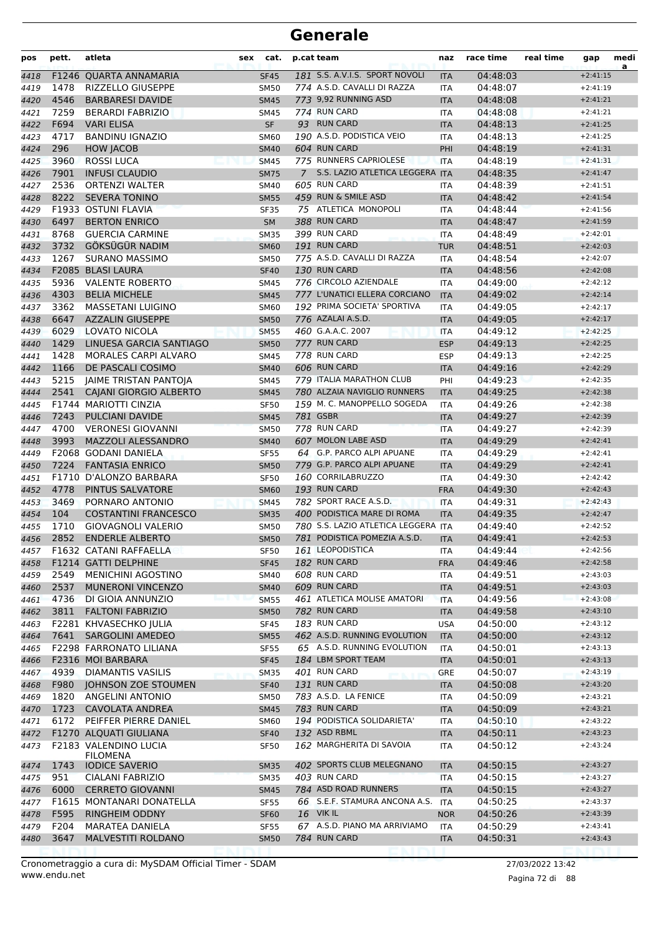| pos          | pett.        | atleta                                                 | sex | cat.                       |             | p.cat team                                                          | naz                      | race time            | real time | gap                      | medi<br>a |
|--------------|--------------|--------------------------------------------------------|-----|----------------------------|-------------|---------------------------------------------------------------------|--------------------------|----------------------|-----------|--------------------------|-----------|
| 4418         | F1246        | <b>QUARTA ANNAMARIA</b>                                |     | <b>SF45</b>                |             | 181 S.S. A.V.I.S. SPORT NOVOLI                                      | <b>ITA</b>               | 04:48:03             |           | $+2:41:15$               |           |
| 4419         | 1478         | RIZZELLO GIUSEPPE                                      |     | <b>SM50</b>                |             | 774 A.S.D. CAVALLI DI RAZZA                                         | <b>ITA</b>               | 04:48:07             |           | $+2:41:19$               |           |
| 4420         | 4546         | <b>BARBARESI DAVIDE</b>                                |     | <b>SM45</b>                |             | 773 9,92 RUNNING ASD                                                | <b>ITA</b>               | 04:48:08             |           | $+2:41:21$               |           |
| 4421         | 7259         | <b>BERARDI FABRIZIO</b>                                |     | <b>SM45</b>                |             | 774 RUN CARD                                                        | <b>ITA</b>               | 04:48:08             |           | $+2:41:21$               |           |
| 4422         | F694         | <b>VARI ELISA</b>                                      |     | <b>SF</b>                  |             | 93 RUN CARD                                                         | <b>ITA</b>               | 04:48:13             |           | $+2:41:25$               |           |
| 4423         | 4717         | <b>BANDINU IGNAZIO</b>                                 |     | <b>SM60</b>                |             | 190 A.S.D. PODISTICA VEIO                                           | <b>ITA</b>               | 04:48:13             |           | $+2:41:25$               |           |
| 4424         | 296          | <b>HOW JACOB</b>                                       |     | <b>SM40</b>                |             | 604 RUN CARD<br>775 RUNNERS CAPRIOLESE                              | PHI                      | 04:48:19             |           | $+2:41:31$               |           |
| 4425         | 3960<br>7901 | <b>ROSSI LUCA</b><br><b>INFUSI CLAUDIO</b>             |     | <b>SM45</b><br><b>SM75</b> | $7^{\circ}$ | S.S. LAZIO ATLETICA LEGGERA ITA                                     | <b>ITA</b>               | 04:48:19<br>04:48:35 |           | $+2:41:31$<br>$+2:41:47$ |           |
| 4426<br>4427 | 2536         | <b>ORTENZI WALTER</b>                                  |     | SM40                       |             | 605 RUN CARD                                                        | ITA                      | 04:48:39             |           | $+2:41:51$               |           |
| 4428         | 8222         | <b>SEVERA TONINO</b>                                   |     | <b>SM55</b>                |             | 459 RUN & SMILE ASD                                                 | <b>ITA</b>               | 04:48:42             |           | $+2:41:54$               |           |
| 4429         |              | F1933 OSTUNI FLAVIA                                    |     | <b>SF35</b>                |             | 75 ATLETICA MONOPOLI                                                | <b>ITA</b>               | 04:48:44             |           | $+2:41:56$               |           |
| 4430         | 6497         | <b>BERTON ENRICO</b>                                   |     | SM                         |             | 388 RUN CARD                                                        | <b>ITA</b>               | 04:48:47             |           | $+2:41:59$               |           |
| 4431         | 8768         | <b>GUERCIA CARMINE</b>                                 |     | <b>SM35</b>                |             | 399 RUN CARD                                                        | <b>ITA</b>               | 04:48:49             |           | $+2:42:01$               |           |
| 4432         | 3732         | GÖKSÜGÜR NADIM                                         |     | <b>SM60</b>                |             | 191 RUN CARD                                                        | <b>TUR</b>               | 04:48:51             |           | $+2:42:03$               |           |
| 4433         | 1267         | <b>SURANO MASSIMO</b>                                  |     | <b>SM50</b>                |             | 775 A.S.D. CAVALLI DI RAZZA                                         | <b>ITA</b>               | 04:48:54             |           | $+2:42:07$               |           |
| 4434         |              | F2085 BLASI LAURA                                      |     | <b>SF40</b>                |             | 130 RUN CARD                                                        | <b>ITA</b>               | 04:48:56             |           | $+2:42:08$               |           |
| 4435         | 5936         | <b>VALENTE ROBERTO</b>                                 |     | <b>SM45</b>                |             | 776 CIRCOLO AZIENDALE                                               | <b>ITA</b>               | 04:49:00             |           | $+2:42:12$               |           |
| 4436         | 4303         | <b>BELIA MICHELE</b>                                   |     | <b>SM45</b>                |             | 777 L'UNATICI ELLERA CORCIANO                                       | <b>ITA</b>               | 04:49:02             |           | $+2:42:14$               |           |
| 4437         | 3362         | <b>MASSETANI LUIGINO</b>                               |     | <b>SM60</b>                |             | 192 PRIMA SOCIETA' SPORTIVA                                         | <b>ITA</b>               | 04:49:05             |           | $+2:42:17$               |           |
| 4438         | 6647         | <b>AZZALIN GIUSEPPE</b>                                |     | <b>SM50</b>                |             | 776 AZALAI A.S.D.                                                   | <b>ITA</b>               | 04:49:05             |           | $+2:42:17$               |           |
| 4439         | 6029         | <b>LOVATO NICOLA</b>                                   |     | <b>SM55</b>                |             | 460 G.A.A.C. 2007                                                   | <b>ITA</b>               | 04:49:12             |           | $+2:42:25$               |           |
| 4440         | 1429<br>1428 | LINUESA GARCIA SANTIAGO<br><b>MORALES CARPI ALVARO</b> |     | <b>SM50</b>                |             | 777 RUN CARD<br>778 RUN CARD                                        | <b>ESP</b>               | 04:49:13             |           | $+2:42:25$               |           |
| 4441<br>4442 | 1166         | DE PASCALI COSIMO                                      |     | <b>SM45</b><br><b>SM40</b> |             | 606 RUN CARD                                                        | <b>ESP</b><br><b>ITA</b> | 04:49:13<br>04:49:16 |           | $+2:42:25$<br>$+2:42:29$ |           |
| 4443         | 5215         | <b>JAIME TRISTAN PANTOJA</b>                           |     | <b>SM45</b>                |             | 779 ITALIA MARATHON CLUB                                            | PHI                      | 04:49:23             |           | $+2:42:35$               |           |
| 4444         | 2541         | CAJANI GIORGIO ALBERTO                                 |     | <b>SM45</b>                |             | 780 ALZAIA NAVIGLIO RUNNERS                                         | <b>ITA</b>               | 04:49:25             |           | $+2:42:38$               |           |
| 4445         |              | F1744 MARIOTTI CINZIA                                  |     | <b>SF50</b>                |             | 159 M. C. MANOPPELLO SOGEDA                                         | <b>ITA</b>               | 04:49:26             |           | $+2:42:38$               |           |
| 4446         | 7243         | PULCIANI DAVIDE                                        |     | <b>SM45</b>                |             | 781 GSBR                                                            | <b>ITA</b>               | 04:49:27             |           | $+2:42:39$               |           |
| 4447         | 4700         | <b>VERONESI GIOVANNI</b>                               |     | <b>SM50</b>                |             | 778 RUN CARD                                                        | <b>ITA</b>               | 04:49:27             |           | $+2:42:39$               |           |
| 4448         | 3993         | MAZZOLI ALESSANDRO                                     |     | <b>SM40</b>                |             | 607 MOLON LABE ASD                                                  | <b>ITA</b>               | 04:49:29             |           | $+2:42:41$               |           |
| 4449         |              | F2068 GODANI DANIELA                                   |     | <b>SF55</b>                |             | 64 G.P. PARCO ALPI APUANE                                           | <b>ITA</b>               | 04:49:29             |           | $+2:42:41$               |           |
| 4450         | 7224         | <b>FANTASIA ENRICO</b>                                 |     | <b>SM50</b>                |             | 779 G.P. PARCO ALPI APUANE                                          | <b>ITA</b>               | 04:49:29             |           | $+2:42:41$               |           |
| 4451         | F1710        | D'ALONZO BARBARA                                       |     | <b>SF50</b>                |             | 160 CORRILABRUZZO                                                   | ITA                      | 04:49:30             |           | $+2:42:42$               |           |
| 4452         | 4778         | PINTUS SALVATORE                                       |     | <b>SM60</b>                |             | 193 RUN CARD                                                        | <b>FRA</b>               | 04:49:30             |           | $+2:42:43$               |           |
| 4453         | 3469         | PORNARO ANTONIO                                        |     | <b>SM45</b>                |             | 782 SPORT RACE A.S.D.                                               | <b>ITA</b>               | 04:49:31             |           | $+2:42:43$               |           |
| 4454         | 104          | <b>COSTANTINI FRANCESCO</b>                            |     | <b>SM35</b>                |             | 400 PODISTICA MARE DI ROMA                                          | <b>ITA</b>               | 04:49:35             |           | $+2:42:47$               |           |
| 4455         | 1710<br>2852 | <b>GIOVAGNOLI VALERIO</b><br><b>ENDERLE ALBERTO</b>    |     | <b>SM50</b>                |             | 780 S.S. LAZIO ATLETICA LEGGERA ITA<br>781 PODISTICA POMEZIA A.S.D. |                          | 04:49:40             |           | $+2:42:52$<br>$+2:42:53$ |           |
| 4456         |              | F1632 CATANI RAFFAELLA                                 |     | <b>SM50</b><br><b>SF50</b> |             | 161 LEOPODISTICA                                                    | <b>ITA</b><br>ITA        | 04:49:41<br>04:49:44 |           | $+2:42:56$               |           |
| 4457<br>4458 |              | F1214 GATTI DELPHINE                                   |     | <b>SF45</b>                |             | 182 RUN CARD                                                        | <b>FRA</b>               | 04:49:46             |           | $+2:42:58$               |           |
| 4459         | 2549         | <b>MENICHINI AGOSTINO</b>                              |     | SM40                       |             | 608 RUN CARD                                                        | <b>ITA</b>               | 04:49:51             |           | $+2:43:03$               |           |
| 4460         | 2537         | MUNERONI VINCENZO                                      |     | <b>SM40</b>                |             | 609 RUN CARD                                                        | <b>ITA</b>               | 04:49:51             |           | $+2:43:03$               |           |
| 4461         | 4736         | DI GIOIA ANNUNZIO                                      |     | <b>SM55</b>                |             | 461 ATLETICA MOLISE AMATORI                                         | <b>ITA</b>               | 04:49:56             |           | $+2:43:08$               |           |
| 4462         | 3811         | <b>FALTONI FABRIZIO</b>                                |     | <b>SM50</b>                |             | 782 RUN CARD                                                        | <b>ITA</b>               | 04:49:58             |           | $+2:43:10$               |           |
| 4463         |              | F2281 KHVASECHKO JULIA                                 |     | <b>SF45</b>                |             | 183 RUN CARD                                                        | <b>USA</b>               | 04:50:00             |           | $+2:43:12$               |           |
| 4464         | 7641         | <b>SARGOLINI AMEDEO</b>                                |     | <b>SM55</b>                |             | 462 A.S.D. RUNNING EVOLUTION                                        | <b>ITA</b>               | 04:50:00             |           | $+2:43:12$               |           |
| 4465         |              | <b>F2298 FARRONATO LILIANA</b>                         |     | <b>SF55</b>                |             | 65 A.S.D. RUNNING EVOLUTION                                         | <b>ITA</b>               | 04:50:01             |           | $+2:43:13$               |           |
| 4466         |              | F2316 MOI BARBARA                                      |     | <b>SF45</b>                |             | 184 LBM SPORT TEAM                                                  | <b>ITA</b>               | 04:50:01             |           | $+2:43:13$               |           |
| 4467         | 4939         | <b>DIAMANTIS VASILIS</b>                               |     | <b>SM35</b>                |             | 401 RUN CARD                                                        | <b>GRE</b>               | 04:50:07             |           | $+2:43:19$               |           |
| 4468         | F980         | <b>JOHNSON ZOE STOUMEN</b>                             |     | <b>SF40</b>                |             | 131 RUN CARD                                                        | <b>ITA</b>               | 04:50:08             |           | $+2:43:20$               |           |
| 4469         | 1820         | ANGELINI ANTONIO                                       |     | <b>SM50</b>                |             | 783 A.S.D. LA FENICE                                                | ITA                      | 04:50:09             |           | $+2:43:21$               |           |
| 4470         | 1723         | <b>CAVOLATA ANDREA</b>                                 |     | <b>SM45</b>                |             | 783 RUN CARD<br>194 PODISTICA SOLIDARIETA'                          | <b>ITA</b>               | 04:50:09             |           | $+2:43:21$<br>$+2:43:22$ |           |
| 4471         | 6172         | PEIFFER PIERRE DANIEL<br>F1270 ALQUATI GIULIANA        |     | <b>SM60</b>                |             | 132 ASD RBML                                                        | <b>ITA</b>               | 04:50:10             |           | $+2:43:23$               |           |
| 4472<br>4473 |              | F2183 VALENDINO LUCIA                                  |     | <b>SF40</b><br><b>SF50</b> |             | 162 MARGHERITA DI SAVOIA                                            | <b>ITA</b><br>ITA        | 04:50:11<br>04:50:12 |           | $+2:43:24$               |           |
|              |              | <b>FILOMENA</b>                                        |     |                            |             |                                                                     |                          |                      |           |                          |           |
| 4474         | 1743         | <b>IODICE SAVERIO</b>                                  |     | <b>SM35</b>                |             | 402 SPORTS CLUB MELEGNANO                                           | <b>ITA</b>               | 04:50:15             |           | $+2:43:27$               |           |
| 4475         | 951          | CIALANI FABRIZIO                                       |     | <b>SM35</b>                |             | 403 RUN CARD                                                        | ITA                      | 04:50:15             |           | $+2:43:27$               |           |
| 4476         | 6000         | <b>CERRETO GIOVANNI</b>                                |     | <b>SM45</b>                |             | 784 ASD ROAD RUNNERS                                                | <b>ITA</b>               | 04:50:15             |           | $+2:43:27$               |           |
| 4477         |              | F1615 MONTANARI DONATELLA                              |     | <b>SF55</b>                |             | 66 S.E.F. STAMURA ANCONA A.S.                                       | <b>ITA</b>               | 04:50:25             |           | $+2:43:37$               |           |
| 4478         | F595         | <b>RINGHEIM ODDNY</b>                                  |     | <b>SF60</b>                |             | 16 VIK IL                                                           | <b>NOR</b>               | 04:50:26             |           | $+2:43:39$               |           |
| 4479         | F204<br>3647 | <b>MARATEA DANIELA</b><br>MALVESTITI ROLDANO           |     | <b>SF55</b>                |             | 67 A.S.D. PIANO MA ARRIVIAMO<br>784 RUN CARD                        | <b>ITA</b>               | 04:50:29<br>04:50:31 |           | $+2:43:41$<br>$+2:43:43$ |           |
| 4480         |              |                                                        |     | <b>SM50</b>                |             |                                                                     | <b>ITA</b>               |                      |           |                          |           |

www.endu.net Cronometraggio a cura di: MySDAM Official Timer - SDAM 27/03/2022 13:42

Pagina 72 di 88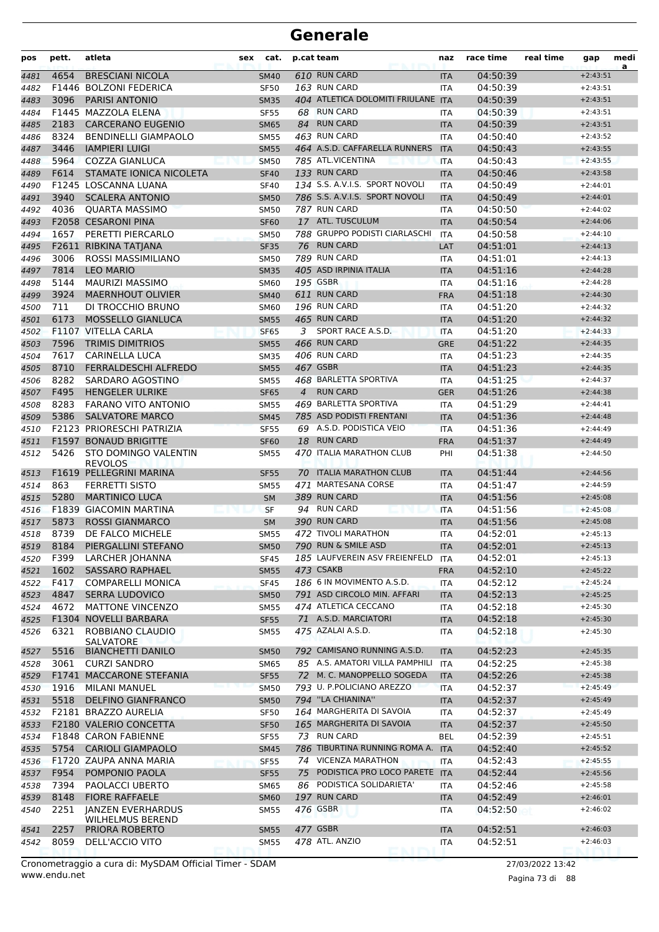| pos  | pett. | atleta                                    | cat.<br>sex |                | p.cat team                         | naz        | race time | real time | gap        | medi<br>a |
|------|-------|-------------------------------------------|-------------|----------------|------------------------------------|------------|-----------|-----------|------------|-----------|
| 4481 | 4654  | <b>BRESCIANI NICOLA</b>                   | <b>SM40</b> |                | 610 RUN CARD                       | <b>ITA</b> | 04:50:39  |           | $+2:43:51$ |           |
| 4482 |       | <b>F1446 BOLZONI FEDERICA</b>             | <b>SF50</b> |                | 163 RUN CARD                       | <b>ITA</b> | 04:50:39  |           | $+2:43:51$ |           |
| 4483 | 3096  | <b>PARISI ANTONIO</b>                     | <b>SM35</b> |                | 404 ATLETICA DOLOMITI FRIULANE ITA |            | 04:50:39  |           | $+2:43:51$ |           |
| 4484 |       | F1445 MAZZOLA ELENA                       | <b>SF55</b> |                | 68 RUN CARD                        | <b>ITA</b> | 04:50:39  |           | $+2:43:51$ |           |
| 4485 | 2183  | <b>CARCERANO EUGENIO</b>                  | <b>SM65</b> |                | 84 RUN CARD                        | <b>ITA</b> | 04:50:39  |           | $+2:43:51$ |           |
| 4486 | 8324  | <b>BENDINELLI GIAMPAOLO</b>               | <b>SM55</b> |                | 463 RUN CARD                       | <b>ITA</b> | 04:50:40  |           | $+2:43:52$ |           |
| 4487 | 3446  | <b>IAMPIERI LUIGI</b>                     | <b>SM55</b> |                | 464 A.S.D. CAFFARELLA RUNNERS      | <b>ITA</b> | 04:50:43  |           | $+2:43:55$ |           |
| 4488 | 5964  | <b>COZZA GIANLUCA</b>                     | <b>SM50</b> |                | 785 ATL.VICENTINA                  | <b>ITA</b> | 04:50:43  |           | $+2:43:55$ |           |
| 4489 | F614  | STAMATE IONICA NICOLETA                   | <b>SF40</b> |                | 133 RUN CARD                       | <b>ITA</b> | 04:50:46  |           | $+2:43:58$ |           |
| 4490 |       | F1245 LOSCANNA LUANA                      | <b>SF40</b> |                | 134 S.S. A.V.I.S. SPORT NOVOLI     | <b>ITA</b> | 04:50:49  |           | $+2:44:01$ |           |
| 4491 | 3940  | <b>SCALERA ANTONIO</b>                    | <b>SM50</b> |                | 786 S.S. A.V.I.S. SPORT NOVOLI     | <b>ITA</b> | 04:50:49  |           | $+2:44:01$ |           |
| 4492 | 4036  | <b>QUARTA MASSIMO</b>                     | <b>SM50</b> |                | 787 RUN CARD                       | <b>ITA</b> | 04:50:50  |           | $+2:44:02$ |           |
| 4493 |       | F2058 CESARONI PINA                       | <b>SF60</b> |                | 17 ATL. TUSCULUM                   | <b>ITA</b> | 04:50:54  |           | $+2:44:06$ |           |
| 4494 | 1657  | PERETTI PIERCARLO                         | <b>SM50</b> |                | 788 GRUPPO PODISTI CIARLASCHI      | <b>ITA</b> | 04:50:58  |           | $+2:44:10$ |           |
| 4495 |       | F2611 RIBKINA TATJANA                     | <b>SF35</b> |                | 76 RUN CARD                        | LAT        | 04:51:01  |           | $+2:44:13$ |           |
| 4496 | 3006  | ROSSI MASSIMILIANO                        | <b>SM50</b> |                | 789 RUN CARD                       | <b>ITA</b> | 04:51:01  |           | $+2:44:13$ |           |
| 4497 | 7814  | <b>LEO MARIO</b>                          | <b>SM35</b> |                | 405 ASD IRPINIA ITALIA             | <b>ITA</b> | 04:51:16  |           | $+2:44:28$ |           |
| 4498 | 5144  | <b>MAURIZI MASSIMO</b>                    | <b>SM60</b> |                | <b>195 GSBR</b>                    | <b>ITA</b> | 04:51:16  |           | $+2:44:28$ |           |
| 4499 | 3924  | <b>MAERNHOUT OLIVIER</b>                  | <b>SM40</b> |                | 611 RUN CARD                       | <b>FRA</b> | 04:51:18  |           | $+2:44:30$ |           |
| 4500 | 711   | DI TROCCHIO BRUNO                         | <b>SM60</b> |                | 196 RUN CARD                       | <b>ITA</b> | 04:51:20  |           | $+2:44:32$ |           |
| 4501 | 6173  | MOSSELLO GIANLUCA                         | <b>SM55</b> |                | 465 RUN CARD                       | <b>ITA</b> | 04:51:20  |           | $+2:44:32$ |           |
| 4502 |       | F1107 VITELLA CARLA                       | <b>SF65</b> | 3              | SPORT RACE A.S.D.                  | <b>ITA</b> | 04:51:20  |           | $+2:44:33$ |           |
| 4503 | 7596  | <b>TRIMIS DIMITRIOS</b>                   | <b>SM55</b> |                | 466 RUN CARD                       | <b>GRE</b> | 04:51:22  |           | $+2:44:35$ |           |
| 4504 | 7617  | CARINELLA LUCA                            | <b>SM35</b> |                | 406 RUN CARD                       | <b>ITA</b> | 04:51:23  |           | $+2:44:35$ |           |
| 4505 | 8710  | <b>FERRALDESCHI ALFREDO</b>               | <b>SM55</b> |                | 467 GSBR                           | <b>ITA</b> | 04:51:23  |           | $+2:44:35$ |           |
| 4506 | 8282  | SARDARO AGOSTINO                          | <b>SM55</b> |                | 468 BARLETTA SPORTIVA              | <b>ITA</b> | 04:51:25  |           | $+2:44:37$ |           |
| 4507 | F495  | <b>HENGELER ULRIKE</b>                    | <b>SF65</b> | $\overline{4}$ | <b>RUN CARD</b>                    | <b>GER</b> | 04:51:26  |           | $+2:44:38$ |           |
| 4508 | 8283  | FARANO VITO ANTONIO                       | <b>SM55</b> |                | 469 BARLETTA SPORTIVA              | <b>ITA</b> | 04:51:29  |           | $+2:44:41$ |           |
| 4509 | 5386  | <b>SALVATORE MARCO</b>                    | <b>SM45</b> |                | 785 ASD PODISTI FRENTANI           | <b>ITA</b> | 04:51:36  |           | $+2:44:48$ |           |
| 4510 |       | F2123 PRIORESCHI PATRIZIA                 | <b>SF55</b> |                | 69 A.S.D. PODISTICA VEIO           | <b>ITA</b> | 04:51:36  |           | $+2:44:49$ |           |
| 4511 |       | <b>F1597 BONAUD BRIGITTE</b>              | <b>SF60</b> | 18             | <b>RUN CARD</b>                    | <b>FRA</b> | 04:51:37  |           | $+2:44:49$ |           |
| 4512 | 5426  | STO DOMINGO VALENTIN                      | <b>SM55</b> |                | 470 ITALIA MARATHON CLUB           | PHI        | 04:51:38  |           | $+2:44:50$ |           |
| 4513 |       | <b>REVOLOS</b><br>F1619 PELLEGRINI MARINA | <b>SF55</b> |                | 70 ITALIA MARATHON CLUB            | <b>ITA</b> | 04:51:44  |           | $+2:44:56$ |           |
| 4514 | 863   | <b>FERRETTI SISTO</b>                     | <b>SM55</b> |                | 471 MARTESANA CORSE                | <b>ITA</b> | 04:51:47  |           | $+2:44:59$ |           |
| 4515 | 5280  | <b>MARTINICO LUCA</b>                     | <b>SM</b>   |                | 389 RUN CARD                       | <b>ITA</b> | 04:51:56  |           | $+2:45:08$ |           |
| 4516 |       | F1839 GIACOMIN MARTINA                    | <b>SF</b>   |                | 94 RUN CARD                        | <b>ITA</b> | 04:51:56  |           | $+2:45:08$ |           |
| 4517 | 5873  | <b>ROSSI GIANMARCO</b>                    | <b>SM</b>   |                | 390 RUN CARD                       | <b>ITA</b> | 04:51:56  |           | $+2:45:08$ |           |
| 4518 | 8739  | DE FALCO MICHELE                          | <b>SM55</b> |                | 472 TIVOLI MARATHON                | <b>ITA</b> | 04:52:01  |           | $+2:45:13$ |           |
| 4519 | 8184  | PIERGALLINI STEFANO                       | SM50        |                | 790 RUN & SMILE ASD                | <b>ITA</b> | 04:52:01  |           | $+2:45:13$ |           |
| 4520 | F399  | LARCHER JOHANNA                           | SF45        |                | 185 LAUFVEREIN ASV FREIENFELD      | ITA        | 04:52:01  |           | $+2:45:13$ |           |
| 4521 | 1602  | <b>SASSARO RAPHAEL</b>                    | <b>SM55</b> |                | 473 CSAKB                          | <b>FRA</b> | 04:52:10  |           | $+2:45:22$ |           |
| 4522 | F417  | <b>COMPARELLI MONICA</b>                  | <b>SF45</b> |                | 186 6 IN MOVIMENTO A.S.D.          | ITA        | 04:52:12  |           | $+2:45:24$ |           |
| 4523 | 4847  | <b>SERRA LUDOVICO</b>                     | <b>SM50</b> |                | 791 ASD CIRCOLO MIN. AFFARI        | <b>ITA</b> | 04:52:13  |           | $+2:45:25$ |           |
| 4524 | 4672  | <b>MATTONE VINCENZO</b>                   | <b>SM55</b> |                | 474 ATLETICA CECCANO               | <b>ITA</b> | 04:52:18  |           | $+2:45:30$ |           |
| 4525 |       | F1304 NOVELLI BARBARA                     | <b>SF55</b> |                | 71 A.S.D. MARCIATORI               | <b>ITA</b> | 04:52:18  |           | $+2:45:30$ |           |
| 4526 | 6321  | ROBBIANO CLAUDIO                          | SM55        |                | 475 AZALAI A.S.D.                  | ITA        | 04:52:18  |           | $+2:45:30$ |           |
|      |       | <b>SALVATORE</b>                          |             |                |                                    |            |           |           |            |           |
| 4527 | 5516  | <b>BIANCHETTI DANILO</b>                  | <b>SM50</b> |                | 792 CAMISANO RUNNING A.S.D.        | <b>ITA</b> | 04:52:23  |           | $+2:45:35$ |           |
| 4528 | 3061  | <b>CURZI SANDRO</b>                       | SM65        |                | 85 A.S. AMATORI VILLA PAMPHILI     | <b>ITA</b> | 04:52:25  |           | $+2:45:38$ |           |
| 4529 |       | F1741 MACCARONE STEFANIA                  | <b>SF55</b> |                | 72 M. C. MANOPPELLO SOGEDA         | <b>ITA</b> | 04:52:26  |           | $+2:45:38$ |           |
| 4530 | 1916  | <b>MILANI MANUEL</b>                      | <b>SM50</b> |                | 793 U. P.POLICIANO AREZZO          | <b>ITA</b> | 04:52:37  |           | $+2:45:49$ |           |
| 4531 | 5518  | <b>DELFINO GIANFRANCO</b>                 | <b>SM50</b> |                | 794 "LA CHIANINA"                  | <b>ITA</b> | 04:52:37  |           | $+2:45:49$ |           |
| 4532 |       | F2181 BRAZZO AURELIA                      | <b>SF50</b> |                | 164 MARGHERITA DI SAVOIA           | <b>ITA</b> | 04:52:37  |           | $+2:45:49$ |           |
| 4533 |       | F2180 VALERIO CONCETTA                    | <b>SF50</b> |                | 165 MARGHERITA DI SAVOIA           | <b>ITA</b> | 04:52:37  |           | $+2:45:50$ |           |
| 4534 |       | <b>F1848 CARON FABIENNE</b>               | <b>SF55</b> |                | 73 RUN CARD                        | BEL        | 04:52:39  |           | $+2:45:51$ |           |
| 4535 | 5754  | <b>CARIOLI GIAMPAOLO</b>                  | <b>SM45</b> |                | 786 TIBURTINA RUNNING ROMA A.      | <b>ITA</b> | 04:52:40  |           | $+2:45:52$ |           |
| 4536 |       | F1720 ZAUPA ANNA MARIA                    | <b>SF55</b> |                | 74 VICENZA MARATHON                | <b>ITA</b> | 04:52:43  |           | $+2:45:55$ |           |
| 4537 | F954  | POMPONIO PAOLA                            | <b>SF55</b> | 75             | PODISTICA PRO LOCO PARETE ITA      |            | 04:52:44  |           | $+2:45:56$ |           |
| 4538 | 7394  | PAOLACCI UBERTO                           | <b>SM65</b> |                | 86 PODISTICA SOLIDARIETA'          | ITA        | 04:52:46  |           | $+2:45:58$ |           |
| 4539 | 8148  | <b>FIORE RAFFAELE</b>                     | <b>SM60</b> |                | 197 RUN CARD                       | <b>ITA</b> | 04:52:49  |           | $+2:46:01$ |           |
| 4540 | 2251  | <b>JANZEN EVERHARDUS</b>                  | <b>SM55</b> |                | 476 GSBR                           | ITA        | 04:52:50  |           | $+2:46:02$ |           |
| 4541 | 2257  | WILHELMUS BEREND<br>PRIORA ROBERTO        | <b>SM55</b> |                | 477 GSBR                           | <b>ITA</b> | 04:52:51  |           | $+2:46:03$ |           |
| 4542 | 8059  | DELL'ACCIO VITO                           | <b>SM55</b> |                | 478 ATL. ANZIO                     | ITA        | 04:52:51  |           | $+2:46:03$ |           |
|      |       |                                           |             |                |                                    |            |           |           |            |           |

www.endu.net Cronometraggio a cura di: MySDAM Official Timer - SDAM 27/03/2022 13:42

Pagina 73 di 88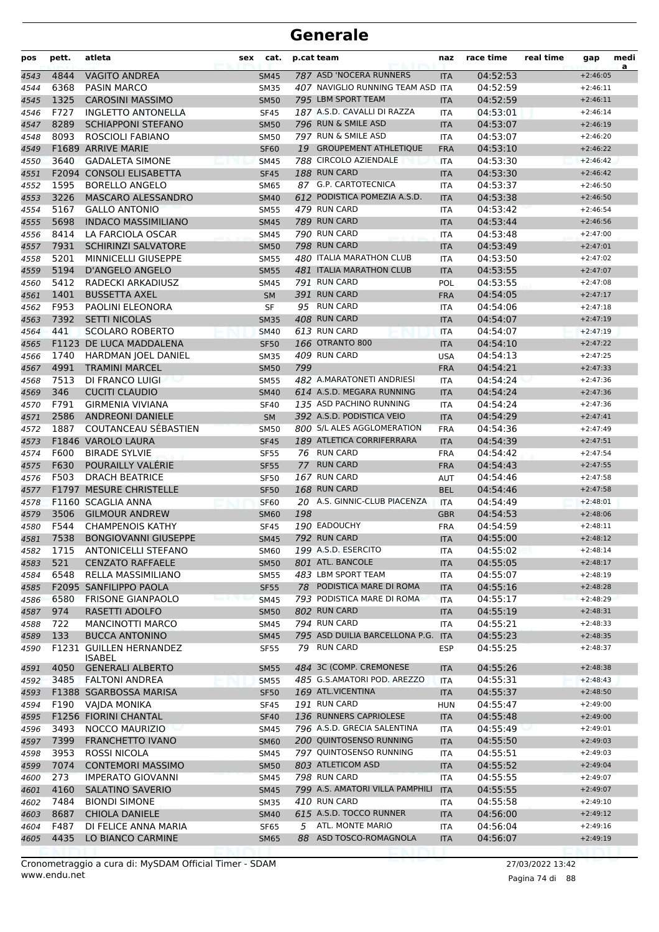| pos  | pett. | atleta                                   | sex | cat.        | p.cat team |                                    | naz        | race time | real time | gap        | medi<br>a |
|------|-------|------------------------------------------|-----|-------------|------------|------------------------------------|------------|-----------|-----------|------------|-----------|
| 4543 | 4844  | <b>VAGITO ANDREA</b>                     |     | <b>SM45</b> |            | 787 ASD 'NOCERA RUNNERS            | <b>ITA</b> | 04:52:53  |           | $+2:46:05$ |           |
| 4544 | 6368  | <b>PASIN MARCO</b>                       |     | <b>SM35</b> |            | 407 NAVIGLIO RUNNING TEAM ASD ITA  |            | 04:52:59  |           | $+2:46:11$ |           |
| 4545 | 1325  | <b>CAROSINI MASSIMO</b>                  |     | <b>SM50</b> |            | 795 LBM SPORT TEAM                 | <b>ITA</b> | 04:52:59  |           | $+2:46:11$ |           |
| 4546 | F727  | <b>INGLETTO ANTONELLA</b>                |     | <b>SF45</b> |            | 187 A.S.D. CAVALLI DI RAZZA        | <b>ITA</b> | 04:53:01  |           | $+2:46:14$ |           |
| 4547 | 8289  | <b>SCHIAPPONI STEFANO</b>                |     | <b>SM50</b> |            | 796 RUN & SMILE ASD                | <b>ITA</b> | 04:53:07  |           | $+2:46:19$ |           |
| 4548 | 8093  | ROSCIOLI FABIANO                         |     | <b>SM50</b> |            | 797 RUN & SMILE ASD                | <b>ITA</b> | 04:53:07  |           | $+2:46:20$ |           |
| 4549 |       | F1689 ARRIVE MARIE                       |     | <b>SF60</b> |            | 19 GROUPEMENT ATHLETIQUE           | <b>FRA</b> | 04:53:10  |           | $+2:46:22$ |           |
| 4550 | 3640  | <b>GADALETA SIMONE</b>                   |     | <b>SM45</b> |            | 788 CIRCOLO AZIENDALE              | <b>ITA</b> | 04:53:30  |           | $+2:46:42$ |           |
| 4551 |       | F2094 CONSOLI ELISABETTA                 |     | <b>SF45</b> |            | 188 RUN CARD                       | <b>ITA</b> | 04:53:30  |           | $+2:46:42$ |           |
| 4552 | 1595  | <b>BORELLO ANGELO</b>                    |     | <b>SM65</b> |            | 87 G.P. CARTOTECNICA               | <b>ITA</b> | 04:53:37  |           | $+2:46:50$ |           |
| 4553 | 3226  | <b>MASCARO ALESSANDRO</b>                |     | <b>SM40</b> |            | 612 PODISTICA POMEZIA A.S.D.       | <b>ITA</b> | 04:53:38  |           | $+2:46:50$ |           |
| 4554 | 5167  | <b>GALLO ANTONIO</b>                     |     | <b>SM55</b> |            | 479 RUN CARD                       | <b>ITA</b> | 04:53:42  |           | $+2:46:54$ |           |
| 4555 | 5698  | <b>INDACO MASSIMILIANO</b>               |     | <b>SM45</b> |            | 789 RUN CARD                       | <b>ITA</b> | 04:53:44  |           | $+2:46:56$ |           |
| 4556 | 8414  | LA FARCIOLA OSCAR                        |     | <b>SM45</b> |            | 790 RUN CARD                       | <b>ITA</b> | 04:53:48  |           | $+2:47:00$ |           |
| 4557 | 7931  | <b>SCHIRINZI SALVATORE</b>               |     | <b>SM50</b> |            | 798 RUN CARD                       | <b>ITA</b> | 04:53:49  |           | $+2:47:01$ |           |
| 4558 | 5201  | MINNICELLI GIUSEPPE                      |     | <b>SM55</b> |            | 480 ITALIA MARATHON CLUB           | <b>ITA</b> | 04:53:50  |           | $+2:47:02$ |           |
| 4559 | 5194  | D'ANGELO ANGELO                          |     | <b>SM55</b> |            | 481 ITALIA MARATHON CLUB           | <b>ITA</b> | 04:53:55  |           | $+2:47:07$ |           |
| 4560 | 5412  | RADECKI ARKADIUSZ                        |     | <b>SM45</b> |            | 791 RUN CARD                       | POL        | 04:53:55  |           | $+2:47:08$ |           |
| 4561 | 1401  | <b>BUSSETTA AXEL</b>                     |     | SM          |            | 391 RUN CARD                       | <b>FRA</b> | 04:54:05  |           | $+2:47:17$ |           |
| 4562 | F953  | PAOLINI ELEONORA                         |     | SF          |            | 95 RUN CARD                        | ITA        | 04:54:06  |           | $+2:47:18$ |           |
| 4563 | 7392  | <b>SETTI NICOLAS</b>                     |     | <b>SM35</b> |            | 408 RUN CARD                       | <b>ITA</b> | 04:54:07  |           | $+2:47:19$ |           |
| 4564 | 441   | <b>SCOLARO ROBERTO</b>                   |     | <b>SM40</b> |            | 613 RUN CARD                       | <b>ITA</b> | 04:54:07  |           | $+2:47:19$ |           |
| 4565 |       | <b>F1123 DE LUCA MADDALENA</b>           |     | <b>SF50</b> |            | 166 OTRANTO 800                    | <b>ITA</b> | 04:54:10  |           | $+2:47:22$ |           |
| 4566 | 1740  | <b>HARDMAN JOEL DANIEL</b>               |     | <b>SM35</b> |            | 409 RUN CARD                       | <b>USA</b> | 04:54:13  |           | $+2:47:25$ |           |
| 4567 | 4991  | <b>TRAMINI MARCEL</b>                    |     | <b>SM50</b> | 799        |                                    | <b>FRA</b> | 04:54:21  |           | $+2:47:33$ |           |
| 4568 | 7513  | <b>DI FRANCO LUIGI</b>                   |     | <b>SM55</b> |            | 482 A.MARATONETI ANDRIESI          | <b>ITA</b> | 04:54:24  |           | $+2:47:36$ |           |
| 4569 | 346   | <b>CUCITI CLAUDIO</b>                    |     | <b>SM40</b> |            | 614 A.S.D. MEGARA RUNNING          | <b>ITA</b> | 04:54:24  |           | $+2:47:36$ |           |
| 4570 | F791  | <b>GIRMENIA VIVIANA</b>                  |     | <b>SF40</b> |            | 135 ASD PACHINO RUNNING            | ITA        | 04:54:24  |           | $+2:47:36$ |           |
| 4571 | 2586  | <b>ANDREONI DANIELE</b>                  |     | <b>SM</b>   |            | 392 A.S.D. PODISTICA VEIO          | <b>ITA</b> | 04:54:29  |           | $+2:47:41$ |           |
| 4572 | 1887  | COUTANCEAU SEBASTIEN                     |     | <b>SM50</b> |            | 800 S/L ALES AGGLOMERATION         | <b>FRA</b> | 04:54:36  |           | $+2:47:49$ |           |
| 4573 |       | F1846 VAROLO LAURA                       |     | <b>SF45</b> |            | 189 ATLETICA CORRIFERRARA          | <b>ITA</b> | 04:54:39  |           | $+2:47:51$ |           |
| 4574 | F600  | <b>BIRADE SYLVIE</b>                     |     | <b>SF55</b> |            | 76 RUN CARD                        | <b>FRA</b> | 04:54:42  |           | $+2:47:54$ |           |
| 4575 | F630  | POURAILLY VALÉRIE                        |     | <b>SF55</b> | 77         | <b>RUN CARD</b>                    | <b>FRA</b> | 04:54:43  |           | $+2:47:55$ |           |
| 4576 | F503  | <b>DRACH BEATRICE</b>                    |     | <b>SF50</b> |            | 167 RUN CARD                       | <b>AUT</b> | 04:54:46  |           | $+2:47:58$ |           |
| 4577 |       | F1797 MESURE CHRISTELLE                  |     | <b>SF50</b> |            | 168 RUN CARD                       | <b>BEL</b> | 04:54:46  |           | $+2:47:58$ |           |
| 4578 |       | F1160 SCAGLIA ANNA                       |     | <b>SF60</b> |            | 20 A.S. GINNIC-CLUB PIACENZA       | <b>ITA</b> | 04:54:49  |           | $+2:48:01$ |           |
| 4579 | 3506  | <b>GILMOUR ANDREW</b>                    |     | <b>SM60</b> | 198        |                                    | <b>GBR</b> | 04:54:53  |           | $+2:48:06$ |           |
| 4580 | F544  | <b>CHAMPENOIS KATHY</b>                  |     | <b>SF45</b> |            | 190 EADOUCHY                       | <b>FRA</b> | 04:54:59  |           | $+2:48:11$ |           |
| 4581 | 7538  | <b>BONGIOVANNI GIUSEPPE</b>              |     | <b>SM45</b> |            | 792 RUN CARD                       | <b>ITA</b> | 04:55:00  |           | $+2:48:12$ |           |
| 4582 | 1715  | ANTONICELLI STEFANO                      |     | <b>SM60</b> |            | 199 A.S.D. ESERCITO                | ITA        | 04:55:02  |           | $+2:48:14$ |           |
| 4583 | 521   | <b>CENZATO RAFFAELE</b>                  |     | <b>SM50</b> |            | 801 ATL. BANCOLE                   | <b>ITA</b> | 04:55:05  |           | $+2:48:17$ |           |
| 4584 | 6548  | RELLA MASSIMILIANO                       |     | <b>SM55</b> |            | 483 LBM SPORT TEAM                 | <b>ITA</b> | 04:55:07  |           | $+2:48:19$ |           |
| 4585 |       | F2095 SANFILIPPO PAOLA                   |     | <b>SF55</b> |            | 78 PODISTICA MARE DI ROMA          | <b>ITA</b> | 04:55:16  |           | $+2:48:28$ |           |
| 4586 | 6580  | <b>FRISONE GIANPAOLO</b>                 |     | <b>SM45</b> |            | 793 PODISTICA MARE DI ROMA         | <b>ITA</b> | 04:55:17  |           | $+2:48:29$ |           |
| 4587 | 974   | RASETTI ADOLFO                           |     | <b>SM50</b> |            | 802 RUN CARD                       | <b>ITA</b> | 04:55:19  |           | $+2:48:31$ |           |
| 4588 | 722   | <b>MANCINOTTI MARCO</b>                  |     | <b>SM45</b> |            | 794 RUN CARD                       | ITA        | 04:55:21  |           | $+2:48:33$ |           |
| 4589 | 133   | <b>BUCCA ANTONINO</b>                    |     | <b>SM45</b> |            | 795 ASD DUILIA BARCELLONA P.G. ITA |            | 04:55:23  |           | $+2:48:35$ |           |
| 4590 |       | F1231 GUILLEN HERNANDEZ<br><b>ISABEL</b> |     | <b>SF55</b> |            | 79 RUN CARD                        | <b>ESP</b> | 04:55:25  |           | $+2:48:37$ |           |
| 4591 | 4050  | <b>GENERALI ALBERTO</b>                  |     | <b>SM55</b> |            | 484 3C (COMP. CREMONESE            | <b>ITA</b> | 04:55:26  |           | $+2:48:38$ |           |
| 4592 | 3485  | <b>FALTONI ANDREA</b>                    |     | <b>SM55</b> |            | 485 G.S.AMATORI POD. AREZZO        | ITA        | 04:55:31  |           | $+2:48:43$ |           |
| 4593 |       | F1388 SGARBOSSA MARISA                   |     | <b>SF50</b> |            | 169 ATL.VICENTINA                  | <b>ITA</b> | 04:55:37  |           | $+2:48:50$ |           |
| 4594 | F190  | VAIDA MONIKA                             |     | <b>SF45</b> |            | 191 RUN CARD                       | <b>HUN</b> | 04:55:47  |           | $+2:49:00$ |           |
| 4595 |       | F1256 FIORINI CHANTAL                    |     | <b>SF40</b> |            | 136 RUNNERS CAPRIOLESE             | <b>ITA</b> | 04:55:48  |           | $+2:49:00$ |           |
| 4596 | 3493  | <b>NOCCO MAURIZIO</b>                    |     | SM45        |            | 796 A.S.D. GRECIA SALENTINA        | ITA        | 04:55:49  |           | $+2:49:01$ |           |
| 4597 | 7399  | <b>FRANCHETTO IVANO</b>                  |     | <b>SM60</b> |            | 200 QUINTOSENSO RUNNING            | <b>ITA</b> | 04:55:50  |           | $+2:49:03$ |           |
| 4598 | 3953  | ROSSI NICOLA                             |     | <b>SM45</b> |            | 797 QUINTOSENSO RUNNING            | ITA        | 04:55:51  |           | $+2:49:03$ |           |
| 4599 | 7074  | <b>CONTEMORI MASSIMO</b>                 |     | <b>SM50</b> |            | 803 ATLETICOM ASD                  | <b>ITA</b> | 04:55:52  |           | $+2:49:04$ |           |
| 4600 | 273   | IMPERATO GIOVANNI                        |     | <b>SM45</b> |            | 798 RUN CARD                       | ITA        | 04:55:55  |           | $+2:49:07$ |           |
| 4601 | 4160  | SALATINO SAVERIO                         |     | <b>SM45</b> |            | 799 A.S. AMATORI VILLA PAMPHILI    | <b>ITA</b> | 04:55:55  |           | $+2:49:07$ |           |
| 4602 | 7484  | <b>BIONDI SIMONE</b>                     |     | <b>SM35</b> |            | 410 RUN CARD                       | ITA        | 04:55:58  |           | $+2:49:10$ |           |
| 4603 | 8687  | <b>CHIOLA DANIELE</b>                    |     | <b>SM40</b> |            | 615 A.S.D. TOCCO RUNNER            | <b>ITA</b> | 04:56:00  |           | $+2:49:12$ |           |
| 4604 | F487  | DI FELICE ANNA MARIA                     |     | SF65        |            | 5 ATL. MONTE MARIO                 | ITA        | 04:56:04  |           | $+2:49:16$ |           |
| 4605 | 4435  | LO BIANCO CARMINE                        |     | <b>SM65</b> |            | 88 ASD TOSCO-ROMAGNOLA             | <b>ITA</b> | 04:56:07  |           | $+2:49:19$ |           |
|      |       |                                          |     |             |            |                                    |            |           |           |            |           |

Pagina 74 di 88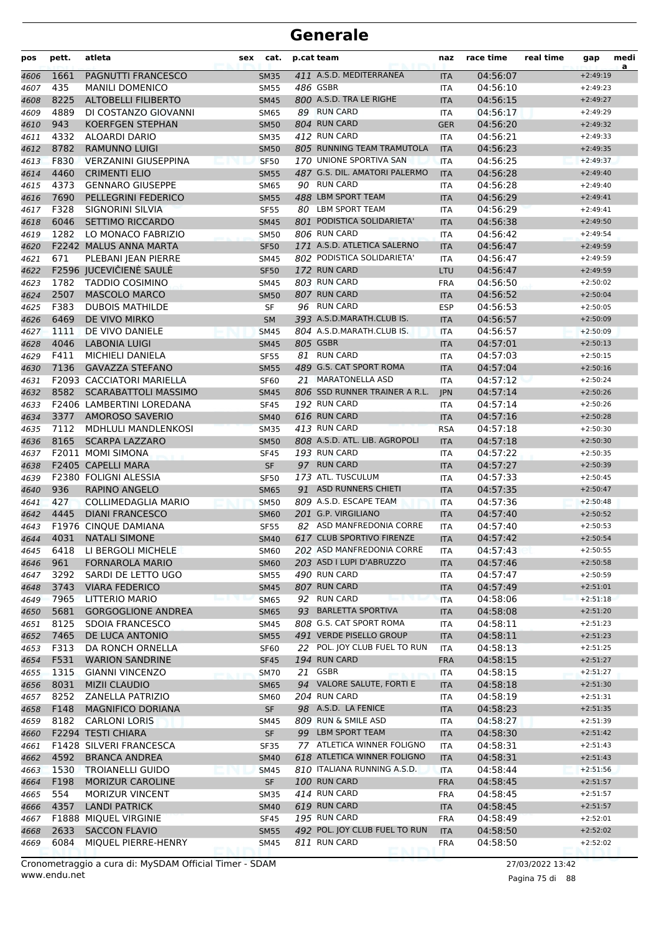| pos  | pett. | atleta                           | sex | cat.        | p.cat team |                                               | naz        | race time | real time | gap        | medi<br>a |
|------|-------|----------------------------------|-----|-------------|------------|-----------------------------------------------|------------|-----------|-----------|------------|-----------|
| 4606 | 1661  | PAGNUTTI FRANCESCO               |     | <b>SM35</b> |            | 411 A.S.D. MEDITERRANEA                       | <b>ITA</b> | 04:56:07  |           | $+2:49:19$ |           |
| 4607 | 435   | <b>MANILI DOMENICO</b>           |     | <b>SM55</b> |            | 486 GSBR                                      | <b>ITA</b> | 04:56:10  |           | $+2:49:23$ |           |
| 4608 | 8225  | <b>ALTOBELLI FILIBERTO</b>       |     | <b>SM45</b> |            | 800 A.S.D. TRA LE RIGHE                       | <b>ITA</b> | 04:56:15  |           | $+2:49:27$ |           |
| 4609 | 4889  | DI COSTANZO GIOVANNI             |     | <b>SM65</b> |            | 89 RUN CARD                                   | ITA        | 04:56:17  |           | $+2:49:29$ |           |
| 4610 | 943   | <b>KOERFGEN STEPHAN</b>          |     | <b>SM50</b> |            | 804 RUN CARD                                  | <b>GER</b> | 04:56:20  |           | $+2:49:32$ |           |
| 4611 | 4332  | ALOARDI DARIO                    |     | <b>SM35</b> |            | 412 RUN CARD                                  | ITA        | 04:56:21  |           | $+2:49:33$ |           |
| 4612 | 8782  | <b>RAMUNNO LUIGI</b>             |     | <b>SM50</b> |            | 805 RUNNING TEAM TRAMUTOLA                    | <b>ITA</b> | 04:56:23  |           | $+2:49:35$ |           |
| 4613 | F830  | <b>VERZANINI GIUSEPPINA</b>      |     | <b>SF50</b> |            | 170 UNIONE SPORTIVA SAN                       | <b>ITA</b> | 04:56:25  |           | $+2:49:37$ |           |
| 4614 | 4460  | <b>CRIMENTI ELIO</b>             |     | <b>SM55</b> |            | 487 G.S. DIL. AMATORI PALERMO                 | <b>ITA</b> | 04:56:28  |           | $+2:49:40$ |           |
| 4615 | 4373  | <b>GENNARO GIUSEPPE</b>          |     | <b>SM65</b> | 90         | <b>RUN CARD</b>                               | <b>ITA</b> | 04:56:28  |           | $+2:49:40$ |           |
| 4616 | 7690  | PELLEGRINI FEDERICO              |     | <b>SM55</b> |            | 488 LBM SPORT TEAM                            | <b>ITA</b> | 04:56:29  |           | $+2:49:41$ |           |
| 4617 | F328  | <b>SIGNORINI SILVIA</b>          |     | <b>SF55</b> |            | 80 LBM SPORT TEAM                             | <b>ITA</b> | 04:56:29  |           | $+2:49:41$ |           |
| 4618 | 6046  | SETTIMO RICCARDO                 |     | <b>SM45</b> |            | 801 PODISTICA SOLIDARIETA'                    | <b>ITA</b> | 04:56:38  |           | $+2:49:50$ |           |
| 4619 | 1282  | LO MONACO FABRIZIO               |     | <b>SM50</b> |            | 806 RUN CARD                                  | <b>ITA</b> | 04:56:42  |           | $+2:49:54$ |           |
| 4620 |       | F2242 MALUS ANNA MARTA           |     | <b>SF50</b> |            | 171 A.S.D. ATLETICA SALERNO                   | <b>ITA</b> | 04:56:47  |           | $+2:49:59$ |           |
| 4621 | 671   | PLEBANI JEAN PIERRE              |     | <b>SM45</b> |            | 802 PODISTICA SOLIDARIETA'                    | ITA        | 04:56:47  |           | $+2:49:59$ |           |
| 4622 |       | F2596 JUCEVIČIENĖ SAULĖ          |     | <b>SF50</b> |            | 172 RUN CARD                                  | LTU        | 04:56:47  |           | $+2:49:59$ |           |
| 4623 | 1782  | <b>TADDIO COSIMINO</b>           |     | <b>SM45</b> |            | 803 RUN CARD                                  | <b>FRA</b> | 04:56:50  |           | $+2:50:02$ |           |
| 4624 | 2507  | <b>MASCOLO MARCO</b>             |     | <b>SM50</b> |            | 807 RUN CARD                                  | <b>ITA</b> | 04:56:52  |           | $+2:50:04$ |           |
| 4625 | F383  | <b>DUBOIS MATHILDE</b>           |     | SF          |            | 96 RUN CARD                                   | <b>ESP</b> | 04:56:53  |           | $+2:50:05$ |           |
| 4626 | 6469  | DE VIVO MIRKO                    |     | <b>SM</b>   |            | 393 A.S.D.MARATH.CLUB IS.                     | <b>ITA</b> | 04:56:57  |           | $+2:50:09$ |           |
| 4627 | 1111  | DE VIVO DANIELE                  |     | <b>SM45</b> |            | 804 A.S.D.MARATH.CLUB IS.                     | <b>ITA</b> | 04:56:57  |           | $+2:50:09$ |           |
| 4628 | 4046  | <b>LABONIA LUIGI</b>             |     | <b>SM45</b> |            | 805 GSBR                                      | <b>ITA</b> | 04:57:01  |           | $+2:50:13$ |           |
| 4629 | F411  | <b>MICHIELI DANIELA</b>          |     | <b>SF55</b> |            | 81 RUN CARD                                   | <b>ITA</b> | 04:57:03  |           | $+2:50:15$ |           |
| 4630 | 7136  | <b>GAVAZZA STEFANO</b>           |     | <b>SM55</b> |            | 489 G.S. CAT SPORT ROMA                       | <b>ITA</b> | 04:57:04  |           | $+2:50:16$ |           |
| 4631 |       | <b>F2093 CACCIATORI MARIELLA</b> |     | <b>SF60</b> |            | 21 MARATONELLA ASD                            | <b>ITA</b> | 04:57:12  |           | $+2:50:24$ |           |
| 4632 | 8582  | <b>SCARABATTOLI MASSIMO</b>      |     | <b>SM45</b> |            | 806 SSD RUNNER TRAINER A R.L.                 | <b>IPN</b> | 04:57:14  |           | $+2:50:26$ |           |
| 4633 |       | F2406 LAMBERTINI LOREDANA        |     | <b>SF45</b> |            | 192 RUN CARD                                  | <b>ITA</b> | 04:57:14  |           | $+2:50:26$ |           |
| 4634 | 3377  | <b>AMOROSO SAVERIO</b>           |     | <b>SM40</b> |            | 616 RUN CARD                                  | <b>ITA</b> | 04:57:16  |           | $+2:50:28$ |           |
| 4635 | 7112  | <b>MDHLULI MANDLENKOSI</b>       |     | <b>SM35</b> |            | 413 RUN CARD                                  | <b>RSA</b> | 04:57:18  |           | $+2:50:30$ |           |
| 4636 | 8165  | <b>SCARPA LAZZARO</b>            |     | <b>SM50</b> |            | 808 A.S.D. ATL. LIB. AGROPOLI                 | <b>ITA</b> | 04:57:18  |           | $+2:50:30$ |           |
| 4637 |       | F2011 MOMI SIMONA                |     | <b>SF45</b> |            | 193 RUN CARD                                  | <b>ITA</b> | 04:57:22  |           | $+2:50:35$ |           |
| 4638 |       | F2405 CAPELLI MARA               |     | SF          |            | 97 RUN CARD                                   | <b>ITA</b> | 04:57:27  |           | $+2:50:39$ |           |
| 4639 |       | <b>F2380 FOLIGNI ALESSIA</b>     |     | <b>SF50</b> |            | 173 ATL. TUSCULUM                             | <b>ITA</b> | 04:57:33  |           | $+2:50:45$ |           |
| 4640 | 936   | <b>RAPINO ANGELO</b>             |     | <b>SM65</b> |            | 91 ASD RUNNERS CHIETI                         | <b>ITA</b> | 04:57:35  |           | $+2:50:47$ |           |
| 4641 | 427   | COLLIMEDAGLIA MARIO              |     | <b>SM50</b> |            | 809 A.S.D. ESCAPE TEAM                        | <b>ITA</b> | 04:57:36  |           | $+2:50:48$ |           |
| 4642 | 4445  | <b>DIANI FRANCESCO</b>           |     | <b>SM60</b> |            | 201 G.P. VIRGILIANO                           | <b>ITA</b> | 04:57:40  |           | $+2:50:52$ |           |
| 4643 |       | F1976 CINQUE DAMIANA             |     | <b>SF55</b> |            | 82 ASD MANFREDONIA CORRE                      | <b>ITA</b> | 04:57:40  |           | $+2:50:53$ |           |
| 4644 | 4031  | <b>NATALI SIMONE</b>             |     | <b>SM40</b> |            | 617 CLUB SPORTIVO FIRENZE                     | <b>ITA</b> | 04:57:42  |           | $+2:50:54$ |           |
| 4645 | 6418  | LI BERGOLI MICHELE               |     | <b>SM60</b> |            | 202 ASD MANFREDONIA CORRE                     | ITA        | 04:57:43  |           | $+2:50:55$ |           |
| 4646 | 961   | <b>FORNAROLA MARIO</b>           |     | <b>SM60</b> |            | 203 ASD I LUPI D'ABRUZZO                      | <b>ITA</b> | 04:57:46  |           | $+2:50:58$ |           |
| 4647 | 3292  | SARDI DE LETTO UGO               |     | <b>SM55</b> |            | 490 RUN CARD                                  | <b>ITA</b> | 04:57:47  |           | $+2:50:59$ |           |
| 4648 | 3743  | <b>VIARA FEDERICO</b>            |     | <b>SM45</b> |            | 807 RUN CARD                                  | <b>ITA</b> | 04:57:49  |           | $+2:51:01$ |           |
| 4649 | 7965  | LITTERIO MARIO                   |     | <b>SM65</b> |            | 92 RUN CARD                                   | <b>ITA</b> | 04:58:06  |           | $+2:51:18$ |           |
| 4650 | 5681  | <b>GORGOGLIONE ANDREA</b>        |     | <b>SM65</b> |            | 93 BARLETTA SPORTIVA                          | <b>ITA</b> | 04:58:08  |           | $+2:51:20$ |           |
| 4651 | 8125  | <b>SDOIA FRANCESCO</b>           |     | <b>SM45</b> |            | 808 G.S. CAT SPORT ROMA                       | ITA        | 04:58:11  |           | $+2:51:23$ |           |
| 4652 | 7465  | DE LUCA ANTONIO                  |     | <b>SM55</b> |            | 491 VERDE PISELLO GROUP                       | <b>ITA</b> | 04:58:11  |           | $+2:51:23$ |           |
| 4653 | F313  | DA RONCH ORNELLA                 |     | <b>SF60</b> |            | 22 POL. JOY CLUB FUEL TO RUN                  | ITA        | 04:58:13  |           | $+2:51:25$ |           |
| 4654 | F531  | <b>WARION SANDRINE</b>           |     | <b>SF45</b> |            | 194 RUN CARD                                  | <b>FRA</b> | 04:58:15  |           | $+2:51:27$ |           |
| 4655 | 1315  | <b>GIANNI VINCENZO</b>           |     | <b>SM70</b> |            | 21 GSBR                                       | <b>ITA</b> | 04:58:15  |           | $+2:51:27$ |           |
| 4656 | 8031  | <b>MIZII CLAUDIO</b>             |     | <b>SM65</b> |            | 94 VALORE SALUTE, FORTI E                     | <b>ITA</b> | 04:58:18  |           | $+2:51:30$ |           |
| 4657 | 8252  | ZANELLA PATRIZIO                 |     | <b>SM60</b> |            | 204 RUN CARD                                  | ITA        | 04:58:19  |           | $+2:51:31$ |           |
| 4658 | F148  | <b>MAGNIFICO DORIANA</b>         |     | <b>SF</b>   |            | 98 A.S.D. LA FENICE                           | <b>ITA</b> | 04:58:23  |           | $+2:51:35$ |           |
| 4659 | 8182  | <b>CARLONI LORIS</b>             |     | <b>SM45</b> |            | 809 RUN & SMILE ASD                           | <b>ITA</b> | 04:58:27  |           | $+2:51:39$ |           |
| 4660 |       | F2294 TESTI CHIARA               |     | SF          |            | 99 LBM SPORT TEAM                             | <b>ITA</b> | 04:58:30  |           | $+2:51:42$ |           |
| 4661 |       | F1428 SILVERI FRANCESCA          |     | <b>SF35</b> |            | 77 ATLETICA WINNER FOLIGNO                    | ITA        | 04:58:31  |           | $+2:51:43$ |           |
| 4662 | 4592  | <b>BRANCA ANDREA</b>             |     | <b>SM40</b> |            | 618 ATLETICA WINNER FOLIGNO                   | <b>ITA</b> | 04:58:31  |           | $+2:51:43$ |           |
| 4663 | 1530  | <b>TROIANELLI GUIDO</b>          |     | <b>SM45</b> |            | 810 ITALIANA RUNNING A.S.D.                   | <b>ITA</b> | 04:58:44  |           | $+2:51:56$ |           |
| 4664 | F198  | <b>MORIZUR CAROLINE</b>          |     | <b>SF</b>   |            | <b>100 RUN CARD</b>                           | <b>FRA</b> | 04:58:45  |           | $+2:51:57$ |           |
| 4665 | 554   | <b>MORIZUR VINCENT</b>           |     | <b>SM35</b> |            | 414 RUN CARD                                  | <b>FRA</b> | 04:58:45  |           | $+2:51:57$ |           |
| 4666 | 4357  | <b>LANDI PATRICK</b>             |     | <b>SM40</b> |            | 619 RUN CARD                                  | <b>ITA</b> | 04:58:45  |           | $+2:51:57$ |           |
| 4667 |       | F1888 MIQUEL VIRGINIE            |     | <b>SF45</b> |            | 195 RUN CARD<br>492 POL. JOY CLUB FUEL TO RUN | <b>FRA</b> | 04:58:49  |           | $+2:52:01$ |           |
| 4668 | 2633  | <b>SACCON FLAVIO</b>             |     | <b>SM55</b> |            | 811 RUN CARD                                  | <b>ITA</b> | 04:58:50  |           | $+2:52:02$ |           |
| 4669 | 6084  | MIQUEL PIERRE-HENRY              |     | SM45        |            |                                               | <b>FRA</b> | 04:58:50  |           | $+2:52:02$ |           |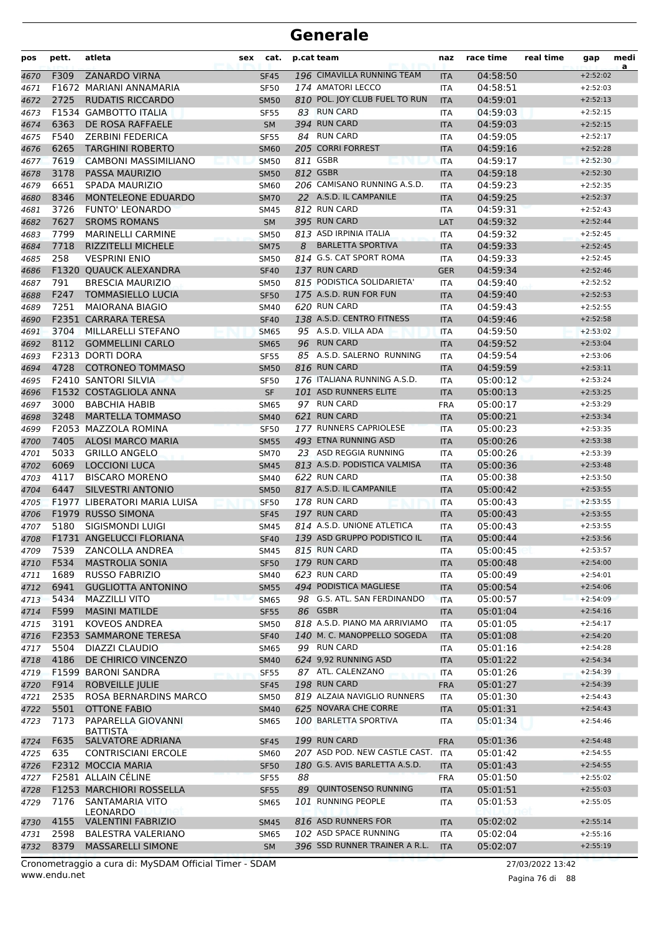| pos  | pett.        | atleta                                                | sex | cat.        |    | p.cat team                                   | naz        | race time | real time | gap                      | medi<br>a |
|------|--------------|-------------------------------------------------------|-----|-------------|----|----------------------------------------------|------------|-----------|-----------|--------------------------|-----------|
| 4670 | F309         | <b>ZANARDO VIRNA</b>                                  |     | <b>SF45</b> |    | 196 CIMAVILLA RUNNING TEAM                   | <b>ITA</b> | 04:58:50  |           | $+2:52:02$               |           |
| 4671 |              | F1672 MARIANI ANNAMARIA                               |     | <b>SF50</b> |    | 174 AMATORI LECCO                            | <b>ITA</b> | 04:58:51  |           | $+2:52:03$               |           |
| 4672 | 2725         | <b>RUDATIS RICCARDO</b>                               |     | <b>SM50</b> |    | 810 POL. JOY CLUB FUEL TO RUN                | <b>ITA</b> | 04:59:01  |           | $+2:52:13$               |           |
| 4673 |              | F1534 GAMBOTTO ITALIA                                 |     | <b>SF55</b> |    | 83 RUN CARD                                  | <b>ITA</b> | 04:59:03  |           | $+2:52:15$               |           |
| 4674 | 6363         | <b>DE ROSA RAFFAELE</b>                               |     | <b>SM</b>   |    | 394 RUN CARD                                 | <b>ITA</b> | 04:59:03  |           | $+2:52:15$               |           |
| 4675 | F540         | <b>ZERBINI FEDERICA</b>                               |     | <b>SF55</b> |    | 84 RUN CARD                                  | ITA        | 04:59:05  |           | $+2:52:17$               |           |
| 4676 | 6265         | <b>TARGHINI ROBERTO</b>                               |     | <b>SM60</b> |    | 205 CORRI FORREST                            | <b>ITA</b> | 04:59:16  |           | $+2:52:28$               |           |
| 4677 | 7619         | <b>CAMBONI MASSIMILIANO</b>                           |     | <b>SM50</b> |    | 811 GSBR                                     | <b>ITA</b> | 04:59:17  |           | $+2:52:30$               |           |
| 4678 | 3178         | <b>PASSA MAURIZIO</b>                                 |     | <b>SM50</b> |    | 812 GSBR                                     | <b>ITA</b> | 04:59:18  |           | $+2:52:30$               |           |
| 4679 | 6651         | <b>SPADA MAURIZIO</b>                                 |     | <b>SM60</b> |    | 206 CAMISANO RUNNING A.S.D.                  | <b>ITA</b> | 04:59:23  |           | $+2:52:35$               |           |
| 4680 | 8346         | <b>MONTELEONE EDUARDO</b>                             |     | <b>SM70</b> |    | 22 A.S.D. IL CAMPANILE                       | <b>ITA</b> | 04:59:25  |           | $+2:52:37$               |           |
| 4681 | 3726         | <b>FUNTO' LEONARDO</b>                                |     | <b>SM45</b> |    | 812 RUN CARD                                 | ITA        | 04:59:31  |           | $+2:52:43$               |           |
| 4682 | 7627         | <b>SROMS ROMANS</b>                                   |     | SM          |    | 395 RUN CARD                                 | LAT        | 04:59:32  |           | $+2:52:44$               |           |
| 4683 | 7799         | <b>MARINELLI CARMINE</b>                              |     | <b>SM50</b> |    | 813 ASD IRPINIA ITALIA                       | <b>ITA</b> | 04:59:32  |           | $+2:52:45$               |           |
| 4684 | 7718         | <b>RIZZITELLI MICHELE</b>                             |     | <b>SM75</b> | 8  | <b>BARLETTA SPORTIVA</b>                     | <b>ITA</b> | 04:59:33  |           | $+2:52:45$               |           |
| 4685 | 258          | <b>VESPRINI ENIO</b>                                  |     | <b>SM50</b> |    | 814 G.S. CAT SPORT ROMA                      | ITA        | 04:59:33  |           | $+2:52:45$               |           |
| 4686 |              | F1320 QUAUCK ALEXANDRA                                |     | <b>SF40</b> |    | 137 RUN CARD                                 | <b>GER</b> | 04:59:34  |           | $+2:52:46$               |           |
| 4687 | 791          | <b>BRESCIA MAURIZIO</b>                               |     | <b>SM50</b> |    | 815 PODISTICA SOLIDARIETA'                   | <b>ITA</b> | 04:59:40  |           | $+2:52:52$               |           |
| 4688 | F247         | <b>TOMMASIELLO LUCIA</b>                              |     | <b>SF50</b> |    | 175 A.S.D. RUN FOR FUN                       | <b>ITA</b> | 04:59:40  |           | $+2:52:53$               |           |
| 4689 | 7251         | <b>MAIORANA BIAGIO</b>                                |     | <b>SM40</b> |    | 620 RUN CARD                                 | <b>ITA</b> | 04:59:43  |           | $+2:52:55$               |           |
| 4690 |              | F2351 CARRARA TERESA                                  |     | <b>SF40</b> |    | 138 A.S.D. CENTRO FITNESS                    | <b>ITA</b> | 04:59:46  |           | $+2:52:58$               |           |
| 4691 | 3704         | MILLARELLI STEFANO                                    |     | <b>SM65</b> |    | 95 A.S.D. VILLA ADA                          | <b>ITA</b> | 04:59:50  |           | $+2:53:02$               |           |
| 4692 | 8112         | <b>GOMMELLINI CARLO</b>                               |     | <b>SM65</b> |    | 96 RUN CARD                                  | <b>ITA</b> | 04:59:52  |           | $+2:53:04$               |           |
| 4693 |              | F2313 DORTI DORA                                      |     | <b>SF55</b> |    | 85 A.S.D. SALERNO RUNNING                    | <b>ITA</b> | 04:59:54  |           | $+2:53:06$               |           |
| 4694 | 4728         | <b>COTRONEO TOMMASO</b>                               |     | <b>SM50</b> |    | 816 RUN CARD                                 | <b>ITA</b> | 04:59:59  |           | $+2:53:11$               |           |
| 4695 |              | F2410 SANTORI SILVIA                                  |     | <b>SF50</b> |    | 176 ITALIANA RUNNING A.S.D.                  | ITA        | 05:00:12  |           | $+2:53:24$               |           |
| 4696 |              | F1532 COSTAGLIOLA ANNA                                |     | <b>SF</b>   |    | 101 ASD RUNNERS ELITE                        | <b>ITA</b> | 05:00:13  |           | $+2:53:25$               |           |
| 4697 | 3000         | <b>BABCHIA HABIB</b>                                  |     | <b>SM65</b> |    | 97 RUN CARD                                  | <b>FRA</b> | 05:00:17  |           | $+2:53:29$               |           |
| 4698 | 3248         | <b>MARTELLA TOMMASO</b>                               |     | <b>SM40</b> |    | 621 RUN CARD                                 | <b>ITA</b> | 05:00:21  |           | $+2:53:34$               |           |
| 4699 |              | F2053 MAZZOLA ROMINA                                  |     | <b>SF50</b> |    | 177 RUNNERS CAPRIOLESE                       | <b>ITA</b> | 05:00:23  |           | $+2:53:35$               |           |
| 4700 | 7405         | <b>ALOSI MARCO MARIA</b>                              |     | <b>SM55</b> |    | 493 ETNA RUNNING ASD                         | <b>ITA</b> | 05:00:26  |           | $+2:53:38$               |           |
| 4701 | 5033         | <b>GRILLO ANGELO</b>                                  |     | <b>SM70</b> |    | 23 ASD REGGIA RUNNING                        | <b>ITA</b> | 05:00:26  |           | $+2:53:39$               |           |
| 4702 | 6069         | <b>LOCCIONI LUCA</b>                                  |     | <b>SM45</b> |    | 813 A.S.D. PODISTICA VALMISA                 | <b>ITA</b> | 05:00:36  |           | $+2:53:48$               |           |
| 4703 | 4117         | <b>BISCARO MORENO</b>                                 |     | <b>SM40</b> |    | 622 RUN CARD                                 | ITA        | 05:00:38  |           | $+2:53:50$               |           |
| 4704 | 6447         | SILVESTRI ANTONIO                                     |     | <b>SM50</b> |    | 817 A.S.D. IL CAMPANILE                      | <b>ITA</b> | 05:00:42  |           | $+2:53:55$               |           |
| 4705 |              | <b>F1977 LIBERATORI MARIA LUISA</b>                   |     | <b>SF50</b> |    | 178 RUN CARD                                 | <b>ITA</b> | 05:00:43  |           | $+2:53:55$               |           |
| 4706 |              | F1979 RUSSO SIMONA                                    |     | <b>SF45</b> |    | 197 RUN CARD                                 | <b>ITA</b> | 05:00:43  |           | $+2:53:55$               |           |
| 4707 | 5180         | SIGISMONDI LUIGI                                      |     | <b>SM45</b> |    | 814 A.S.D. UNIONE ATLETICA                   | <b>ITA</b> | 05:00:43  |           | $+2:53:55$               |           |
| 4708 |              | <b>F1731 ANGELUCCI FLORIANA</b>                       |     | <b>SF40</b> |    | 139 ASD GRUPPO PODISTICO IL                  | <b>ITA</b> | 05:00:44  |           | $+2:53:56$               |           |
| 4709 | 7539         | ZANCOLLA ANDREA                                       |     | <b>SM45</b> |    | 815 RUN CARD                                 | ITA        | 05:00:45  |           | $+2:53:57$               |           |
| 4710 | F534         | <b>MASTROLIA SONIA</b>                                |     | <b>SF50</b> |    | 179 RUN CARD                                 | <b>ITA</b> | 05:00:48  |           | $+2:54:00$               |           |
| 4711 | 1689         | <b>RUSSO FABRIZIO</b>                                 |     | <b>SM40</b> |    | 623 RUN CARD                                 | <b>ITA</b> | 05:00:49  |           | $+2:54:01$               |           |
| 4712 | 6941         | <b>GUGLIOTTA ANTONINO</b>                             |     | <b>SM55</b> |    | 494 PODISTICA MAGLIESE                       | <b>ITA</b> | 05:00:54  |           | $+2:54:06$               |           |
| 4713 | 5434         | <b>MAZZILLI VITO</b>                                  |     | <b>SM65</b> |    | 98 G.S. ATL. SAN FERDINANDO                  | <b>ITA</b> | 05:00:57  |           | $+2:54:09$               |           |
| 4714 | F599         | <b>MASINI MATILDE</b>                                 |     | <b>SF55</b> |    | 86 GSBR                                      | <b>ITA</b> | 05:01:04  |           | $+2:54:16$               |           |
| 4715 | 3191         | KOVEOS ANDREA                                         |     | <b>SM50</b> |    | 818 A.S.D. PIANO MA ARRIVIAMO                | ITA        | 05:01:05  |           | $+2:54:17$               |           |
| 4716 |              | F2353 SAMMARONE TERESA                                |     | <b>SF40</b> |    | 140 M. C. MANOPPELLO SOGEDA                  | <b>ITA</b> | 05:01:08  |           | $+2:54:20$               |           |
| 4717 | 5504         | DIAZZI CLAUDIO                                        |     | <b>SM65</b> |    | 99 RUN CARD                                  | <b>ITA</b> | 05:01:16  |           | $+2:54:28$               |           |
| 4718 | 4186         | DE CHIRICO VINCENZO                                   |     | <b>SM40</b> |    | 624 9,92 RUNNING ASD                         | <b>ITA</b> | 05:01:22  |           | $+2:54:34$               |           |
| 4719 |              | F1599 BARONI SANDRA                                   |     | <b>SF55</b> |    | 87 ATL. CALENZANO                            | <b>ITA</b> | 05:01:26  |           | $+2:54:39$               |           |
| 4720 | F914         | ROBVEILLE JULIE                                       |     | <b>SF45</b> |    | 198 RUN CARD                                 | <b>FRA</b> | 05:01:27  |           | $+2:54:39$               |           |
| 4721 | 2535         | ROSA BERNARDINS MARCO                                 |     | <b>SM50</b> |    | 819 ALZAIA NAVIGLIO RUNNERS                  | ITA        | 05:01:30  |           | $+2:54:43$               |           |
| 4722 | 5501         | <b>OTTONE FABIO</b>                                   |     | <b>SM40</b> |    | 625 NOVARA CHE CORRE                         | <b>ITA</b> | 05:01:31  |           | $+2:54:43$               |           |
| 4723 | 7173         | PAPARELLA GIOVANNI                                    |     | <b>SM65</b> |    | 100 BARLETTA SPORTIVA                        | ITA        | 05:01:34  |           | $+2:54:46$               |           |
|      |              | <b>BATTISTA</b>                                       |     |             |    |                                              |            |           |           |                          |           |
| 4724 | F635         | SALVATORE ADRIANA                                     |     | <b>SF45</b> |    | 199 RUN CARD                                 | <b>FRA</b> | 05:01:36  |           | $+2:54:48$               |           |
| 4725 | 635          | <b>CONTRISCIANI ERCOLE</b>                            |     | <b>SM60</b> |    | 207 ASD POD. NEW CASTLE CAST. ITA            |            | 05:01:42  |           | $+2:54:55$               |           |
| 4726 |              | F2312 MOCCIA MARIA                                    |     | <b>SF50</b> |    | 180 G.S. AVIS BARLETTA A.S.D.                | <b>ITA</b> | 05:01:43  |           | $+2:54:55$               |           |
| 4727 |              | F2581 ALLAIN CÉLINE                                   |     | <b>SF55</b> | 88 |                                              | <b>FRA</b> | 05:01:50  |           | $+2:55:02$               |           |
| 4728 |              | F1253 MARCHIORI ROSSELLA                              |     | <b>SF55</b> | 89 | QUINTOSENSO RUNNING                          | <b>ITA</b> | 05:01:51  |           | $+2:55:03$               |           |
| 4729 | 7176         | SANTAMARIA VITO                                       |     | SM65        |    | 101 RUNNING PEOPLE                           | ITA        | 05:01:53  |           | $+2:55:05$               |           |
|      |              | LEONARDO                                              |     |             |    |                                              |            |           |           |                          |           |
| 4730 | 4155         | <b>VALENTINI FABRIZIO</b>                             |     | <b>SM45</b> |    | 816 ASD RUNNERS FOR<br>102 ASD SPACE RUNNING | <b>ITA</b> | 05:02:02  |           | $+2:55:14$               |           |
| 4731 | 2598<br>8379 | <b>BALESTRA VALERIANO</b><br><b>MASSARELLI SIMONE</b> |     | <b>SM65</b> |    | 396 SSD RUNNER TRAINER A R.L.                | <b>ITA</b> | 05:02:04  |           | $+2:55:16$<br>$+2:55:19$ |           |
| 4732 |              |                                                       |     | <b>SM</b>   |    |                                              | <b>ITA</b> | 05:02:07  |           |                          |           |

www.endu.net Cronometraggio a cura di: MySDAM Official Timer - SDAM 27/03/2022 13:42

Pagina 76 di 88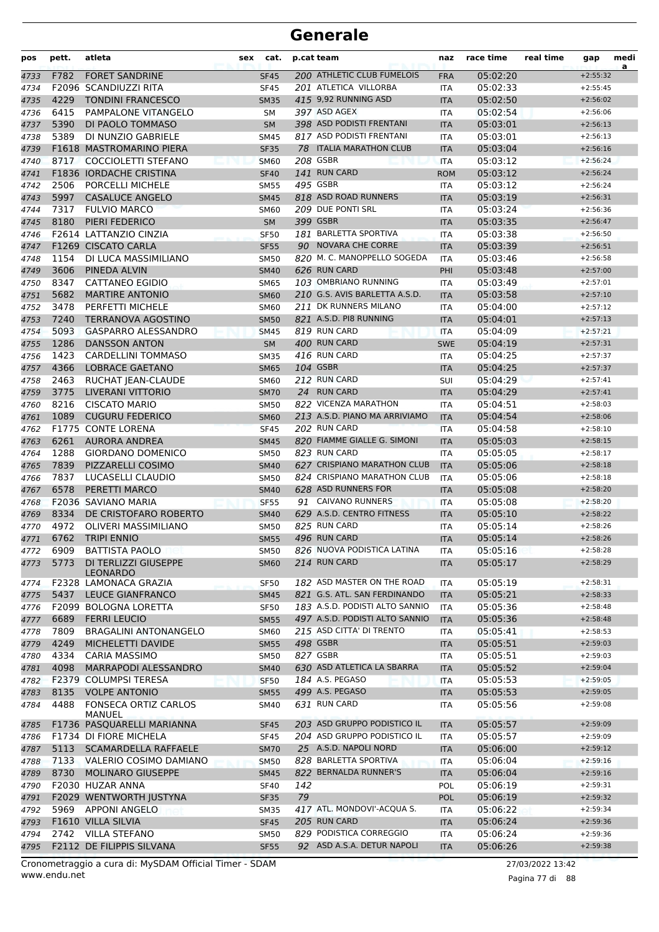| pos          | pett. | atleta                               | cat.<br>sex         |     | p.cat team                                | naz                      | race time            | real time | gap                      | medi<br>a |
|--------------|-------|--------------------------------------|---------------------|-----|-------------------------------------------|--------------------------|----------------------|-----------|--------------------------|-----------|
| 4733         | F782  | <b>FORET SANDRINE</b>                | <b>SF45</b>         |     | 200 ATHLETIC CLUB FUMELOIS                | <b>FRA</b>               | 05:02:20             |           | $+2:55:32$               |           |
| 4734         |       | F2096 SCANDIUZZI RITA                | <b>SF45</b>         |     | 201 ATLETICA VILLORBA                     | ITA                      | 05:02:33             |           | $+2:55:45$               |           |
| 4735         | 4229  | <b>TONDINI FRANCESCO</b>             | <b>SM35</b>         |     | 415 9,92 RUNNING ASD                      | <b>ITA</b>               | 05:02:50             |           | $+2:56:02$               |           |
| 4736         | 6415  | PAMPALONE VITANGELO                  | SΜ                  |     | 397 ASD AGEX                              | <b>ITA</b>               | 05:02:54             |           | $+2:56:06$               |           |
| 4737         | 5390  | DI PAOLO TOMMASO                     | <b>SM</b>           |     | 398 ASD PODISTI FRENTANI                  | <b>ITA</b>               | 05:03:01             |           | $+2:56:13$               |           |
| 4738         | 5389  | DI NUNZIO GABRIELE                   | <b>SM45</b>         |     | 817 ASD PODISTI FRENTANI                  | <b>ITA</b>               | 05:03:01             |           | $+2:56:13$               |           |
| 4739         |       | F1618 MASTROMARINO PIERA             | <b>SF35</b>         |     | 78 ITALIA MARATHON CLUB                   | <b>ITA</b>               | 05:03:04             |           | $+2:56:16$               |           |
| 4740         |       | 8717 COCCIOLETTI STEFANO             | <b>SM60</b>         |     | <b>208 GSBR</b>                           | <b>ITA</b>               | 05:03:12             |           | $+2:56:24$               |           |
| 4741         |       | F1836 IORDACHE CRISTINA              | <b>SF40</b>         |     | 141 RUN CARD                              | <b>ROM</b>               | 05:03:12             |           | $+2:56:24$               |           |
| 4742         | 2506  | PORCELLI MICHELE                     | <b>SM55</b>         |     | 495 GSBR                                  | <b>ITA</b>               | 05:03:12             |           | $+2:56:24$               |           |
| 4743         | 5997  | <b>CASALUCE ANGELO</b>               | <b>SM45</b>         |     | 818 ASD ROAD RUNNERS                      | <b>ITA</b>               | 05:03:19             |           | $+2:56:31$               |           |
| 4744         | 7317  | <b>FULVIO MARCO</b>                  | <b>SM60</b>         |     | 209 DUE PONTI SRL                         | <b>ITA</b>               | 05:03:24             |           | $+2:56:36$               |           |
| 4745         | 8180  | PIERI FEDERICO                       | <b>SM</b>           |     | 399 GSBR                                  | <b>ITA</b>               | 05:03:35             |           | $+2:56:47$               |           |
| 4746         |       | F2614 LATTANZIO CINZIA               | <b>SF50</b>         |     | 181 BARLETTA SPORTIVA                     | <b>ITA</b>               | 05:03:38             |           | $+2:56:50$               |           |
| 4747         |       | F1269 CISCATO CARLA                  | <b>SF55</b>         |     | 90 NOVARA CHE CORRE                       | <b>ITA</b>               | 05:03:39             |           | $+2:56:51$               |           |
| 4748         | 1154  | DI LUCA MASSIMILIANO                 | <b>SM50</b>         |     | 820 M. C. MANOPPELLO SOGEDA               | ITA                      | 05:03:46             |           | $+2:56:58$               |           |
| 4749         | 3606  | PINEDA ALVIN                         | <b>SM40</b>         |     | 626 RUN CARD                              | PHI                      | 05:03:48             |           | $+2:57:00$               |           |
| 4750         | 8347  | CATTANEO EGIDIO                      | <b>SM65</b>         |     | 103 OMBRIANO RUNNING                      | <b>ITA</b>               | 05:03:49             |           | $+2:57:01$               |           |
| 4751         | 5682  | <b>MARTIRE ANTONIO</b>               | <b>SM60</b>         |     | 210 G.S. AVIS BARLETTA A.S.D.             | <b>ITA</b>               | 05:03:58             |           | $+2:57:10$               |           |
| 4752         | 3478  | PERFETTI MICHELE                     | <b>SM60</b>         |     | 211 DK RUNNERS MILANO                     | <b>ITA</b>               | 05:04:00             |           | $+2:57:12$               |           |
| 4753         | 7240  | <b>TERRANOVA AGOSTINO</b>            | <b>SM50</b>         |     | 821 A.S.D. PI8 RUNNING                    | <b>ITA</b>               | 05:04:01             |           | $+2:57:13$               |           |
| 4754         | 5093  | <b>GASPARRO ALESSANDRO</b>           | <b>SM45</b>         |     | 819 RUN CARD                              | <b>ITA</b>               | 05:04:09             |           | $+2:57:21$               |           |
| 4755         | 1286  | <b>DANSSON ANTON</b>                 | <b>SM</b>           |     | 400 RUN CARD                              | <b>SWE</b>               | 05:04:19             |           | $+2:57:31$               |           |
| 4756         | 1423  | <b>CARDELLINI TOMMASO</b>            | <b>SM35</b>         |     | 416 RUN CARD                              | ITA                      | 05:04:25             |           | $+2:57:37$               |           |
| 4757         | 4366  | <b>LOBRACE GAETANO</b>               | <b>SM65</b>         |     | 104 GSBR                                  | <b>ITA</b>               | 05:04:25             |           | $+2:57:37$               |           |
| 4758         | 2463  | RUCHAT JEAN-CLAUDE                   | <b>SM60</b>         |     | 212 RUN CARD                              | SUI                      | 05:04:29             |           | $+2:57:41$               |           |
| 4759         | 3775  | LIVERANI VITTORIO                    | <b>SM70</b>         |     | 24 RUN CARD                               | <b>ITA</b>               | 05:04:29             |           | $+2:57:41$               |           |
| 4760         | 8216  | <b>CISCATO MARIO</b>                 | <b>SM50</b>         |     | 822 VICENZA MARATHON                      | <b>ITA</b>               | 05:04:51             |           | $+2:58:03$               |           |
| 4761         | 1089  | <b>CUGURU FEDERICO</b>               | <b>SM60</b>         |     | 213 A.S.D. PIANO MA ARRIVIAMO             | <b>ITA</b>               | 05:04:54             |           | $+2:58:06$               |           |
| 4762         |       | F1775 CONTE LORENA                   | <b>SF45</b>         |     | 202 RUN CARD                              | <b>ITA</b>               | 05:04:58             |           | $+2:58:10$               |           |
| 4763         | 6261  | <b>AURORA ANDREA</b>                 | <b>SM45</b>         |     | 820 FIAMME GIALLE G. SIMONI               | <b>ITA</b>               | 05:05:03             |           | $+2:58:15$               |           |
| 4764         | 1288  | <b>GIORDANO DOMENICO</b>             | <b>SM50</b>         |     | 823 RUN CARD                              | ITA                      | 05:05:05             |           | $+2:58:17$               |           |
| 4765         | 7839  | PIZZARELLI COSIMO                    | <b>SM40</b>         |     | 627 CRISPIANO MARATHON CLUB               | <b>ITA</b>               | 05:05:06             |           | $+2:58:18$               |           |
| 4766         | 7837  | LUCASELLI CLAUDIO                    | <b>SM50</b>         |     | 824 CRISPIANO MARATHON CLUB               | ITA                      | 05:05:06             |           | $+2:58:18$               |           |
| 4767         | 6578  | PERETTI MARCO<br>F2036 SAVIANO MARIA | <b>SM40</b>         |     | 628 ASD RUNNERS FOR<br>91 CAIVANO RUNNERS | <b>ITA</b>               | 05:05:08             |           | $+2:58:20$<br>$+2:58:20$ |           |
| 4768         | 8334  | DE CRISTOFARO ROBERTO                | <b>SF55</b>         |     | 629 A.S.D. CENTRO FITNESS                 | <b>ITA</b>               | 05:05:08<br>05:05:10 |           | $+2:58:22$               |           |
| 4769         | 4972  | <b>OLIVERI MASSIMILIANO</b>          | <b>SM40</b>         |     | 825 RUN CARD                              | <b>ITA</b><br><b>ITA</b> |                      |           | $+2:58:26$               |           |
| 4770<br>4771 | 6762  | <b>TRIPI ENNIO</b>                   | SM50<br><b>SM55</b> |     | 496 RUN CARD                              | <b>ITA</b>               | 05:05:14<br>05:05:14 |           | $+2:58:26$               |           |
| 4772         | 6909  | <b>BATTISTA PAOLO</b>                | <b>SM50</b>         |     | 826 NUOVA PODISTICA LATINA                | ITA                      | 05:05:16             |           | $+2:58:28$               |           |
| 4773         | 5773  | DI TERLIZZI GIUSEPPE                 | <b>SM60</b>         |     | 214 RUN CARD                              | <b>ITA</b>               | 05:05:17             |           | $+2:58:29$               |           |
|              |       | <b>LEONARDO</b>                      |                     |     |                                           |                          |                      |           |                          |           |
| 4774         |       | F2328 LAMONACA GRAZIA                | <b>SF50</b>         |     | 182 ASD MASTER ON THE ROAD                | <b>ITA</b>               | 05:05:19             |           | $+2:58:31$               |           |
| 4775         | 5437  | LEUCE GIANFRANCO                     | <b>SM45</b>         |     | 821 G.S. ATL. SAN FERDINANDO              | <b>ITA</b>               | 05:05:21             |           | $+2:58:33$               |           |
| 4776         |       | F2099 BOLOGNA LORETTA                | <b>SF50</b>         |     | 183 A.S.D. PODISTI ALTO SANNIO            | ITA                      | 05:05:36             |           | $+2:58:48$               |           |
| 4777         | 6689  | <b>FERRI LEUCIO</b>                  | <b>SM55</b>         |     | 497 A.S.D. PODISTI ALTO SANNIO            | <b>ITA</b>               | 05:05:36             |           | $+2:58:48$               |           |
| 4778         | 7809  | <b>BRAGALINI ANTONANGELO</b>         | SM60                |     | 215 ASD CITTA' DI TRENTO                  | <b>ITA</b>               | 05:05:41             |           | $+2:58:53$               |           |
| 4779         | 4249  | MICHELETTI DAVIDE                    | <b>SM55</b>         |     | 498 GSBR                                  | <b>ITA</b>               | 05:05:51             |           | $+2:59:03$               |           |
| 4780         | 4334  | <b>CARIA MASSIMO</b>                 | <b>SM50</b>         |     | 827 GSBR                                  | <b>ITA</b>               | 05:05:51             |           | $+2:59:03$               |           |
| 4781         | 4098  | MARRAPODI ALESSANDRO                 | <b>SM40</b>         |     | 630 ASD ATLETICA LA SBARRA                | <b>ITA</b>               | 05:05:52             |           | $+2:59:04$               |           |
| 4782         |       | F2379 COLUMPSI TERESA                | <b>SF50</b>         |     | 184 A.S. PEGASO                           | <b>ITA</b>               | 05:05:53             |           | $+2:59:05$               |           |
| 4783         | 8135  | <b>VOLPE ANTONIO</b>                 | <b>SM55</b>         |     | 499 A.S. PEGASO                           | <b>ITA</b>               | 05:05:53             |           | $+2:59:05$               |           |
| 4784         | 4488  | FONSECA ORTIZ CARLOS<br>MANUEL       | SM40                |     | 631 RUN CARD                              | ITA                      | 05:05:56             |           | $+2:59:08$               |           |
| 4785         |       | F1736 PASQUARELLI MARIANNA           | <b>SF45</b>         |     | 203 ASD GRUPPO PODISTICO IL               | <b>ITA</b>               | 05:05:57             |           | $+2:59:09$               |           |
| 4786         |       | F1734 DI FIORE MICHELA               | SF45                |     | 204 ASD GRUPPO PODISTICO IL               | ITA                      | 05:05:57             |           | $+2:59:09$               |           |
| 4787         | 5113  | <b>SCAMARDELLA RAFFAELE</b>          | <b>SM70</b>         |     | 25 A.S.D. NAPOLI NORD                     | <b>ITA</b>               | 05:06:00             |           | $+2:59:12$               |           |
| 4788         | 7133  | VALERIO COSIMO DAMIANO               | <b>SM50</b>         |     | 828 BARLETTA SPORTIVA                     | ITA                      | 05:06:04             |           | $+2:59:16$               |           |
| 4789         | 8730  | <b>MOLINARO GIUSEPPE</b>             | <b>SM45</b>         |     | 822 BERNALDA RUNNER'S                     | <b>ITA</b>               | 05:06:04             |           | $+2:59:16$               |           |
| 4790         |       | F2030 HUZAR ANNA                     | <b>SF40</b>         | 142 |                                           | POL                      | 05:06:19             |           | $+2:59:31$               |           |
| 4791         |       | F2029 WENTWORTH JUSTYNA              | <b>SF35</b>         | 79  |                                           | <b>POL</b>               | 05:06:19             |           | $+2:59:32$               |           |
| 4792         | 5969  | <b>APPONI ANGELO</b>                 | <b>SM35</b>         |     | 417 ATL. MONDOVI'-ACQUA S.                | ITA                      | 05:06:22             |           | $+2:59:34$               |           |
| 4793         |       | F1610 VILLA SILVIA                   | <b>SF45</b>         |     | 205 RUN CARD                              | <b>ITA</b>               | 05:06:24             |           | $+2:59:36$               |           |
| 4794         |       | 2742 VILLA STEFANO                   | SM50                |     | 829 PODISTICA CORREGGIO                   | ITA                      | 05:06:24             |           | $+2:59:36$               |           |
| 4795         |       | F2112 DE FILIPPIS SILVANA            | <b>SF55</b>         |     | 92 ASD A.S.A. DETUR NAPOLI                | <b>ITA</b>               | 05:06:26             |           | $+2:59:38$               |           |

www.endu.net Cronometraggio a cura di: MySDAM Official Timer - SDAM 27/03/2022 13:42

Pagina 77 di 88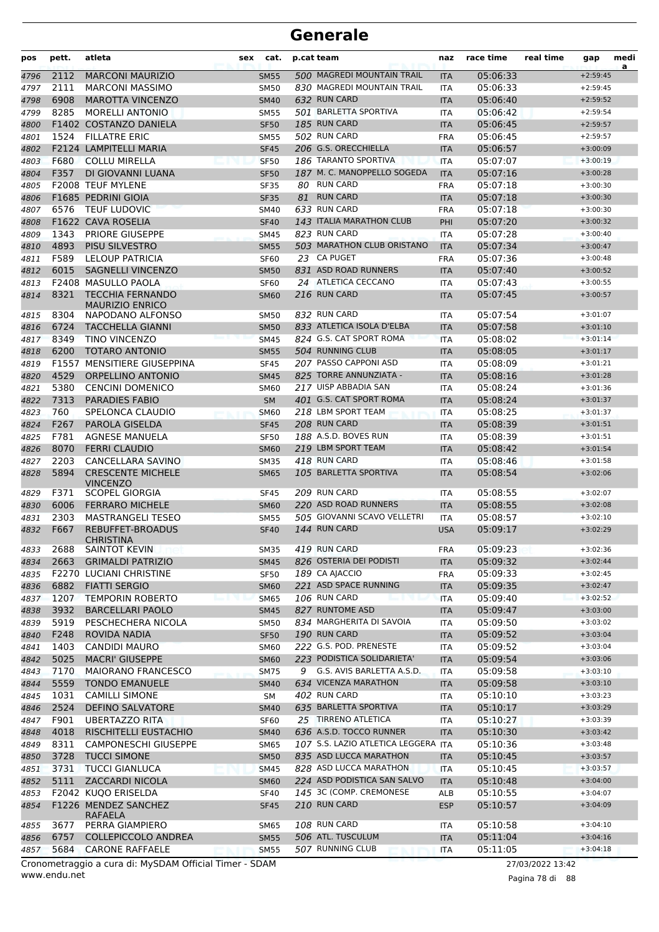| pos  | pett. | atleta                                      | sex | cat.        |    | p.cat team                          | naz        | race time | real time | gap        | medi<br>a |
|------|-------|---------------------------------------------|-----|-------------|----|-------------------------------------|------------|-----------|-----------|------------|-----------|
| 4796 | 2112  | <b>MARCONI MAURIZIO</b>                     |     | <b>SM55</b> |    | 500 MAGREDI MOUNTAIN TRAIL          | <b>ITA</b> | 05:06:33  |           | $+2:59:45$ |           |
| 4797 | 2111  | <b>MARCONI MASSIMO</b>                      |     | <b>SM50</b> |    | 830 MAGREDI MOUNTAIN TRAIL          | <b>ITA</b> | 05:06:33  |           | $+2:59:45$ |           |
| 4798 | 6908  | <b>MAROTTA VINCENZO</b>                     |     | <b>SM40</b> |    | 632 RUN CARD                        | <b>ITA</b> | 05:06:40  |           | $+2:59:52$ |           |
| 4799 | 8285  | <b>MORELLI ANTONIO</b>                      |     | <b>SM55</b> |    | 501 BARLETTA SPORTIVA               | <b>ITA</b> | 05:06:42  |           | $+2:59:54$ |           |
| 4800 |       | <b>F1402 COSTANZO DANIELA</b>               |     | <b>SF50</b> |    | 185 RUN CARD                        | <b>ITA</b> | 05:06:45  |           | $+2:59:57$ |           |
| 4801 | 1524  | <b>FILLATRE ERIC</b>                        |     | <b>SM55</b> |    | 502 RUN CARD                        | <b>FRA</b> | 05:06:45  |           | $+2:59:57$ |           |
| 4802 |       | F2124 LAMPITELLI MARIA                      |     | <b>SF45</b> |    | 206 G.S. ORECCHIELLA                | <b>ITA</b> | 05:06:57  |           | $+3:00:09$ |           |
| 4803 | F680  | <b>COLLU MIRELLA</b>                        |     | <b>SF50</b> |    | 186 TARANTO SPORTIVA                | <b>ITA</b> | 05:07:07  |           | $+3:00:19$ |           |
| 4804 | F357  | DI GIOVANNI LUANA                           |     | <b>SF50</b> |    | 187 M. C. MANOPPELLO SOGEDA         | <b>ITA</b> | 05:07:16  |           | $+3:00:28$ |           |
| 4805 |       | <b>F2008 TEUF MYLENE</b>                    |     | <b>SF35</b> |    | 80 RUN CARD                         | <b>FRA</b> | 05:07:18  |           | $+3:00:30$ |           |
| 4806 |       | F1685 PEDRINI GIOIA                         |     | <b>SF35</b> | 81 | <b>RUN CARD</b>                     | <b>ITA</b> | 05:07:18  |           | $+3:00:30$ |           |
| 4807 | 6576  | <b>TEUF LUDOVIC</b>                         |     | SM40        |    | 633 RUN CARD                        | <b>FRA</b> | 05:07:18  |           | $+3:00:30$ |           |
| 4808 |       | F1622 CAVA ROSELIA                          |     | <b>SF40</b> |    | 143 ITALIA MARATHON CLUB            | PHI        | 05:07:20  |           | $+3:00:32$ |           |
| 4809 | 1343  | <b>PRIORE GIUSEPPE</b>                      |     | <b>SM45</b> |    | 823 RUN CARD                        | <b>ITA</b> | 05:07:28  |           | $+3:00:40$ |           |
| 4810 | 4893  | <b>PISU SILVESTRO</b>                       |     | <b>SM55</b> |    | 503 MARATHON CLUB ORISTANO          | <b>ITA</b> | 05:07:34  |           | $+3:00:47$ |           |
| 4811 | F589  | <b>LELOUP PATRICIA</b>                      |     | <b>SF60</b> |    | 23 CA PUGET                         | <b>FRA</b> | 05:07:36  |           | $+3:00:48$ |           |
| 4812 | 6015  | <b>SAGNELLI VINCENZO</b>                    |     | <b>SM50</b> |    | 831 ASD ROAD RUNNERS                | <b>ITA</b> | 05:07:40  |           | $+3:00:52$ |           |
| 4813 |       | F2408 MASULLO PAOLA                         |     | <b>SF60</b> |    | 24 ATLETICA CECCANO                 | <b>ITA</b> | 05:07:43  |           | $+3:00:55$ |           |
| 4814 | 8321  | <b>TECCHIA FERNANDO</b>                     |     | <b>SM60</b> |    | 216 RUN CARD                        | <b>ITA</b> | 05:07:45  |           | $+3:00:57$ |           |
| 4815 | 8304  | <b>MAURIZIO ENRICO</b><br>NAPODANO ALFONSO  |     | <b>SM50</b> |    | 832 RUN CARD                        | ITA        | 05:07:54  |           | $+3:01:07$ |           |
| 4816 | 6724  | <b>TACCHELLA GIANNI</b>                     |     | <b>SM50</b> |    | 833 ATLETICA ISOLA D'ELBA           | <b>ITA</b> | 05:07:58  |           | $+3:01:10$ |           |
| 4817 | 8349  | <b>TINO VINCENZO</b>                        |     | <b>SM45</b> |    | 824 G.S. CAT SPORT ROMA             | <b>ITA</b> | 05:08:02  |           | $+3:01:14$ |           |
| 4818 | 6200  | <b>TOTARO ANTONIO</b>                       |     | <b>SM55</b> |    | 504 RUNNING CLUB                    | <b>ITA</b> | 05:08:05  |           | $+3:01:17$ |           |
| 4819 | F1557 | MENSITIERE GIUSEPPINA                       |     | <b>SF45</b> |    | 207 PASSO CAPPONI ASD               | <b>ITA</b> | 05:08:09  |           | $+3:01:21$ |           |
| 4820 | 4529  | <b>ORPELLINO ANTONIO</b>                    |     | <b>SM45</b> |    | 825 TORRE ANNUNZIATA -              | <b>ITA</b> | 05:08:16  |           | $+3:01:28$ |           |
| 4821 | 5380  | <b>CENCINI DOMENICO</b>                     |     | <b>SM60</b> |    | 217 UISP ABBADIA SAN                | <b>ITA</b> | 05:08:24  |           | $+3:01:36$ |           |
| 4822 | 7313  | <b>PARADIES FABIO</b>                       |     | <b>SM</b>   |    | 401 G.S. CAT SPORT ROMA             | <b>ITA</b> | 05:08:24  |           | $+3:01:37$ |           |
|      | 760   | SPELONCA CLAUDIO                            |     |             |    | 218 LBM SPORT TEAM                  |            | 05:08:25  |           | $+3:01:37$ |           |
| 4823 | F267  |                                             |     | <b>SM60</b> |    | 208 RUN CARD                        | <b>ITA</b> |           |           | $+3:01:51$ |           |
| 4824 |       | PAROLA GISELDA                              |     | <b>SF45</b> |    |                                     | <b>ITA</b> | 05:08:39  |           |            |           |
| 4825 | F781  | AGNESE MANUELA                              |     | <b>SF50</b> |    | 188 A.S.D. BOVES RUN                | <b>ITA</b> | 05:08:39  |           | $+3:01:51$ |           |
| 4826 | 8070  | <b>FERRI CLAUDIO</b>                        |     | <b>SM60</b> |    | 219 LBM SPORT TEAM                  | <b>ITA</b> | 05:08:42  |           | $+3:01:54$ |           |
| 4827 | 2203  | CANCELLARA SAVINO                           |     | <b>SM35</b> |    | 418 RUN CARD                        | <b>ITA</b> | 05:08:46  |           | $+3:01:58$ |           |
| 4828 | 5894  | <b>CRESCENTE MICHELE</b><br><b>VINCENZO</b> |     | <b>SM65</b> |    | 105 BARLETTA SPORTIVA               | <b>ITA</b> | 05:08:54  |           | $+3:02:06$ |           |
| 4829 | F371  | <b>SCOPEL GIORGIA</b>                       |     | <b>SF45</b> |    | 209 RUN CARD                        | <b>ITA</b> | 05:08:55  |           | $+3:02:07$ |           |
| 4830 | 6006  | <b>FERRARO MICHELE</b>                      |     | <b>SM60</b> |    | 220 ASD ROAD RUNNERS                | <b>ITA</b> | 05:08:55  |           | $+3:02:08$ |           |
| 4831 | 2303  | <b>MASTRANGELI TESEO</b>                    |     | <b>SM55</b> |    | 505 GIOVANNI SCAVO VELLETRI         | <b>ITA</b> | 05:08:57  |           | $+3:02:10$ |           |
| 4832 | F667  | REBUFFET-BROADUS<br><b>CHRISTINA</b>        |     | <b>SF40</b> |    | 144 RUN CARD                        | <b>USA</b> | 05:09:17  |           | $+3:02:29$ |           |
| 4833 | 2688  | <b>SAINTOT KEVIN</b>                        |     | <b>SM35</b> |    | 419 RUN CARD                        | <b>FRA</b> | 05:09:23  |           | $+3:02:36$ |           |
| 4834 | 2663  | <b>GRIMALDI PATRIZIO</b>                    |     | <b>SM45</b> |    | 826 OSTERIA DEI PODISTI             | <b>ITA</b> | 05:09:32  |           | $+3:02:44$ |           |
| 4835 |       | <b>F2270 LUCIANI CHRISTINE</b>              |     | <b>SF50</b> |    | 189 CA AJACCIO                      | <b>FRA</b> | 05:09:33  |           | $+3:02:45$ |           |
| 4836 | 6882  | <b>FIATTI SERGIO</b>                        |     | <b>SM60</b> |    | 221 ASD SPACE RUNNING               | <b>ITA</b> | 05:09:35  |           | $+3:02:47$ |           |
| 4837 | 1207  | <b>TEMPORIN ROBERTO</b>                     |     | <b>SM65</b> |    | 106 RUN CARD                        | <b>ITA</b> | 05:09:40  |           | $+3:02:52$ |           |
| 4838 | 3932  | <b>BARCELLARI PAOLO</b>                     |     | <b>SM45</b> |    | 827 RUNTOME ASD                     | <b>ITA</b> | 05:09:47  |           | $+3:03:00$ |           |
| 4839 | 5919  | PESCHECHERA NICOLA                          |     | <b>SM50</b> |    | 834 MARGHERITA DI SAVOIA            | ITA        | 05:09:50  |           | $+3:03:02$ |           |
| 4840 | F248  | ROVIDA NADIA                                |     | <b>SF50</b> |    | 190 RUN CARD                        | <b>ITA</b> | 05:09:52  |           | $+3:03:04$ |           |
| 4841 | 1403  | <b>CANDIDI MAURO</b>                        |     | <b>SM60</b> |    | 222 G.S. POD. PRENESTE              | <b>ITA</b> | 05:09:52  |           | $+3:03:04$ |           |
| 4842 | 5025  | <b>MACRI' GIUSEPPE</b>                      |     | <b>SM60</b> |    | 223 PODISTICA SOLIDARIETA'          | <b>ITA</b> | 05:09:54  |           | $+3:03:06$ |           |
| 4843 | 7170  | <b>MAIORANO FRANCESCO</b>                   |     | <b>SM75</b> | 9  | G.S. AVIS BARLETTA A.S.D.           | <b>ITA</b> | 05:09:58  |           | $+3:03:10$ |           |
| 4844 | 5559  | <b>TONDO EMANUELE</b>                       |     | <b>SM40</b> |    | 634 VICENZA MARATHON                | <b>ITA</b> | 05:09:58  |           | $+3:03:10$ |           |
| 4845 | 1031  | <b>CAMILLI SIMONE</b>                       |     | SM          |    | 402 RUN CARD                        | ITA        | 05:10:10  |           | $+3:03:23$ |           |
| 4846 | 2524  | <b>DEFINO SALVATORE</b>                     |     | <b>SM40</b> |    | 635 BARLETTA SPORTIVA               | <b>ITA</b> | 05:10:17  |           | $+3:03:29$ |           |
| 4847 | F901  | <b>UBERTAZZO RITA</b>                       |     | <b>SF60</b> |    | 25 TIRRENO ATLETICA                 | <b>ITA</b> | 05:10:27  |           | $+3:03:39$ |           |
| 4848 | 4018  | RISCHITELLI EUSTACHIO                       |     | <b>SM40</b> |    | 636 A.S.D. TOCCO RUNNER             | <b>ITA</b> | 05:10:30  |           | $+3:03:42$ |           |
| 4849 | 8311  | <b>CAMPONESCHI GIUSEPPE</b>                 |     | <b>SM65</b> |    | 107 S.S. LAZIO ATLETICA LEGGERA ITA |            | 05:10:36  |           | $+3:03:48$ |           |
| 4850 | 3728  | <b>TUCCI SIMONE</b>                         |     | <b>SM50</b> |    | 835 ASD LUCCA MARATHON              | <b>ITA</b> | 05:10:45  |           | $+3:03:57$ |           |
| 4851 | 3731  | <b>TUCCI GIANLUCA</b>                       |     | <b>SM45</b> |    | 828 ASD LUCCA MARATHON              | <b>ITA</b> | 05:10:45  |           | $+3:03:57$ |           |
|      |       |                                             |     |             |    | 224 ASD PODISTICA SAN SALVO         |            |           |           |            |           |
| 4852 | 5111  | ZACCARDI NICOLA                             |     | <b>SM60</b> |    |                                     | <b>ITA</b> | 05:10:48  |           | $+3:04:00$ |           |
| 4853 |       | F2042 KUQO ERISELDA                         |     | <b>SF40</b> |    | 145 3C (COMP. CREMONESE             | ALB        | 05:10:55  |           | $+3:04:07$ |           |
| 4854 |       | F1226 MENDEZ SANCHEZ<br>RAFAELA             |     | <b>SF45</b> |    | 210 RUN CARD                        | <b>ESP</b> | 05:10:57  |           | $+3:04:09$ |           |
| 4855 | 3677  | PERRA GIAMPIERO                             |     | SM65        |    | <b>108 RUN CARD</b>                 | ITA        | 05:10:58  |           | $+3:04:10$ |           |
| 4856 | 6757  | COLLEPICCOLO ANDREA                         |     | <b>SM55</b> |    | 506 ATL. TUSCULUM                   | <b>ITA</b> | 05:11:04  |           | $+3:04:16$ |           |
| 4857 | 5684  | <b>CARONE RAFFAELE</b>                      |     | <b>SM55</b> |    | 507 RUNNING CLUB                    | <b>ITA</b> | 05:11:05  |           | $+3:04:18$ |           |

www.endu.net Cronometraggio a cura di: MySDAM Official Timer - SDAM 27/03/2022 13:42

Pagina 78 di 88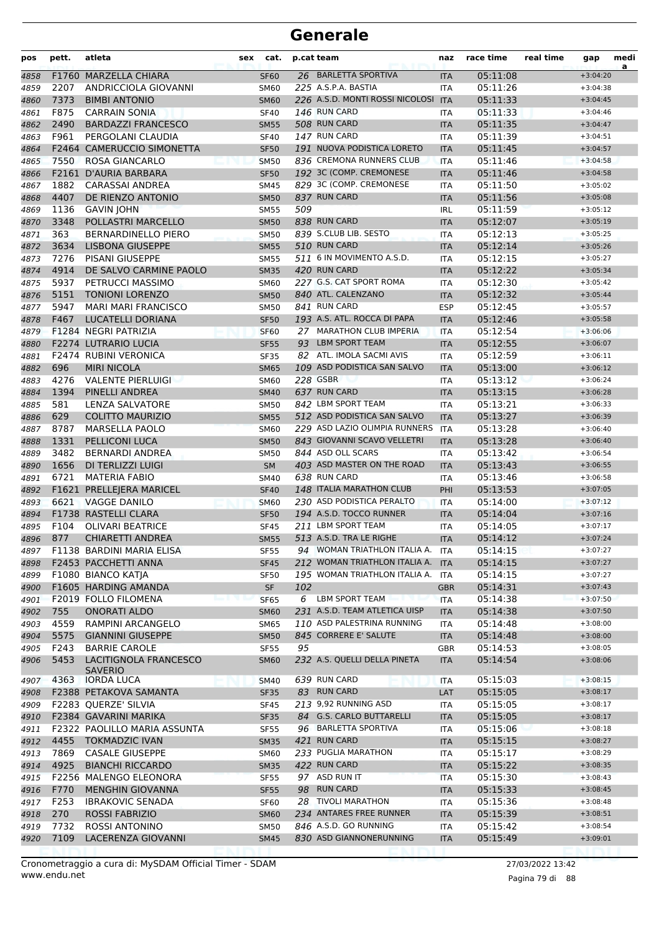| pos  | pett. | atleta                              | sex | cat.             |     | p.cat team                       | naz        | race time | real time | gap        | medi |
|------|-------|-------------------------------------|-----|------------------|-----|----------------------------------|------------|-----------|-----------|------------|------|
| 4858 |       | F1760 MARZELLA CHIARA               |     | <b>SF60</b>      |     | 26 BARLETTA SPORTIVA             | <b>ITA</b> | 05:11:08  |           | $+3:04:20$ | a    |
| 4859 | 2207  | ANDRICCIOLA GIOVANNI                |     | <b>SM60</b>      |     | 225 A.S.P.A. BASTIA              | <b>ITA</b> | 05:11:26  |           | $+3:04:38$ |      |
| 4860 | 7373  | <b>BIMBI ANTONIO</b>                |     | <b>SM60</b>      |     | 226 A.S.D. MONTI ROSSI NICOLOSI  | <b>ITA</b> | 05:11:33  |           | $+3:04:45$ |      |
| 4861 | F875  | <b>CARRAIN SONIA</b>                |     | <b>SF40</b>      |     | 146 RUN CARD                     | <b>ITA</b> | 05:11:33  |           | $+3:04:46$ |      |
| 4862 | 2490  | <b>BARDAZZI FRANCESCO</b>           |     | <b>SM55</b>      |     | 508 RUN CARD                     | <b>ITA</b> | 05:11:35  |           | $+3:04:47$ |      |
| 4863 | F961  | PERGOLANI CLAUDIA                   |     | <b>SF40</b>      |     | 147 RUN CARD                     | ITA        | 05:11:39  |           | $+3:04:51$ |      |
| 4864 |       | F2464 CAMERUCCIO SIMONETTA          |     | <b>SF50</b>      |     | 191 NUOVA PODISTICA LORETO       | <b>ITA</b> | 05:11:45  |           | $+3:04:57$ |      |
| 4865 | 7550  | <b>ROSA GIANCARLO</b>               |     | <b>SM50</b>      |     | 836 CREMONA RUNNERS CLUB         | <b>ITA</b> | 05:11:46  |           | $+3:04:58$ |      |
| 4866 |       | F2161 D'AURIA BARBARA               |     | <b>SF50</b>      |     | 192 3C (COMP. CREMONESE          | <b>ITA</b> | 05:11:46  |           | $+3:04:58$ |      |
| 4867 | 1882  | <b>CARASSAI ANDREA</b>              |     | <b>SM45</b>      |     | 829 3C (COMP. CREMONESE          | <b>ITA</b> | 05:11:50  |           | $+3:05:02$ |      |
| 4868 | 4407  | DE RIENZO ANTONIO                   |     | <b>SM50</b>      |     | 837 RUN CARD                     | <b>ITA</b> | 05:11:56  |           | $+3:05:08$ |      |
| 4869 | 1136  | <b>GAVIN JOHN</b>                   |     | <b>SM55</b>      | 509 |                                  | <b>IRL</b> | 05:11:59  |           | $+3:05:12$ |      |
| 4870 | 3348  | POLLASTRI MARCELLO                  |     | <b>SM50</b>      |     | 838 RUN CARD                     | <b>ITA</b> | 05:12:07  |           | $+3:05:19$ |      |
| 4871 | 363   | <b>BERNARDINELLO PIERO</b>          |     | <b>SM50</b>      |     | 839 S.CLUB LIB. SESTO            | <b>ITA</b> | 05:12:13  |           | $+3:05:25$ |      |
| 4872 | 3634  | <b>LISBONA GIUSEPPE</b>             |     | <b>SM55</b>      |     | 510 RUN CARD                     | <b>ITA</b> | 05:12:14  |           | $+3:05:26$ |      |
| 4873 | 7276  | <b>PISANI GIUSEPPE</b>              |     | <b>SM55</b>      |     | 511 6 IN MOVIMENTO A.S.D.        | <b>ITA</b> | 05:12:15  |           | $+3:05:27$ |      |
| 4874 | 4914  | DE SALVO CARMINE PAOLO              |     | <b>SM35</b>      |     | 420 RUN CARD                     | <b>ITA</b> | 05:12:22  |           | $+3:05:34$ |      |
| 4875 | 5937  | PETRUCCI MASSIMO                    |     | <b>SM60</b>      |     | 227 G.S. CAT SPORT ROMA          | <b>ITA</b> | 05:12:30  |           | $+3:05:42$ |      |
| 4876 | 5151  | <b>TONIONI LORENZO</b>              |     | <b>SM50</b>      |     | 840 ATL. CALENZANO               | <b>ITA</b> | 05:12:32  |           | $+3:05:44$ |      |
| 4877 | 5947  | <b>MARI MARI FRANCISCO</b>          |     | <b>SM50</b>      |     | 841 RUN CARD                     | <b>ESP</b> | 05:12:45  |           | $+3:05:57$ |      |
| 4878 | F467  | <b>LUCATELLI DORIANA</b>            |     | <b>SF50</b>      |     | 193 A.S. ATL. ROCCA DI PAPA      | <b>ITA</b> | 05:12:46  |           | $+3:05:58$ |      |
| 4879 |       | F1284 NEGRI PATRIZIA                |     | <b>SF60</b>      |     | 27 MARATHON CLUB IMPERIA         | <b>ITA</b> | 05:12:54  |           | $+3:06:06$ |      |
| 4880 |       | F2274 LUTRARIO LUCIA                |     | <b>SF55</b>      |     | 93 LBM SPORT TEAM                | <b>ITA</b> | 05:12:55  |           | $+3:06:07$ |      |
| 4881 |       | F2474 RUBINI VERONICA               |     | <b>SF35</b>      |     | 82 ATL. IMOLA SACMI AVIS         | <b>ITA</b> | 05:12:59  |           | $+3:06:11$ |      |
| 4882 | 696   | <b>MIRI NICOLA</b>                  |     | <b>SM65</b>      |     | 109 ASD PODISTICA SAN SALVO      | <b>ITA</b> | 05:13:00  |           | $+3:06:12$ |      |
| 4883 | 4276  | <b>VALENTE PIERLUIGI</b>            |     | <b>SM60</b>      |     | <b>228 GSBR</b>                  | <b>ITA</b> | 05:13:12  |           | $+3:06:24$ |      |
| 4884 | 1394  | PINELLI ANDREA                      |     | <b>SM40</b>      |     | 637 RUN CARD                     | <b>ITA</b> | 05:13:15  |           | $+3:06:28$ |      |
| 4885 | 581   | <b>LENZA SALVATORE</b>              |     | <b>SM50</b>      |     | 842 LBM SPORT TEAM               | <b>ITA</b> | 05:13:21  |           | $+3:06:33$ |      |
| 4886 | 629   | <b>COLITTO MAURIZIO</b>             |     | <b>SM55</b>      |     | 512 ASD PODISTICA SAN SALVO      | <b>ITA</b> | 05:13:27  |           | $+3:06:39$ |      |
| 4887 | 8787  | <b>MARSELLA PAOLO</b>               |     | <b>SM60</b>      |     | 229 ASD LAZIO OLIMPIA RUNNERS    | <b>ITA</b> | 05:13:28  |           | $+3:06:40$ |      |
| 4888 | 1331  | PELLICONI LUCA                      |     | <b>SM50</b>      |     | 843 GIOVANNI SCAVO VELLETRI      | <b>ITA</b> | 05:13:28  |           | $+3:06:40$ |      |
| 4889 | 3482  | <b>BERNARDI ANDREA</b>              |     | <b>SM50</b>      |     | 844 ASD OLL SCARS                | <b>ITA</b> | 05:13:42  |           | $+3:06:54$ |      |
| 4890 | 1656  | DI TERLIZZI LUIGI                   |     | <b>SM</b>        |     | 403 ASD MASTER ON THE ROAD       | <b>ITA</b> | 05:13:43  |           | $+3:06:55$ |      |
| 4891 | 6721  | <b>MATERIA FABIO</b>                |     | <b>SM40</b>      |     | 638 RUN CARD                     | <b>ITA</b> | 05:13:46  |           | $+3:06:58$ |      |
| 4892 |       | F1621 PRELLEJERA MARICEL            |     | <b>SF40</b>      |     | 148 ITALIA MARATHON CLUB         | PHI        | 05:13:53  |           | $+3:07:05$ |      |
| 4893 | 6621  | <b>VAGGE DANILO</b>                 |     | <b>SM60</b>      |     | 230 ASD PODISTICA PERALTO        | <b>ITA</b> | 05:14:00  |           | $+3:07:12$ |      |
| 4894 |       | F1738 RASTELLI CLARA                |     | <b>SF50</b>      |     | 194 A.S.D. TOCCO RUNNER          | <b>ITA</b> | 05:14:04  |           | $+3:07:16$ |      |
| 4895 | F104  | <b>OLIVARI BEATRICE</b>             |     | <b>SF45</b>      |     | 211 LBM SPORT TEAM               | ITA        | 05:14:05  |           | $+3:07:17$ |      |
| 4896 | 877   | <b>CHIARETTI ANDREA</b>             |     | <b>SM55</b>      |     | 513 A.S.D. TRA LE RIGHE          | <b>ITA</b> | 05:14:12  |           | $+3:07:24$ |      |
| 4897 |       | F1138 BARDINI MARIA ELISA           |     | <b>SF55</b>      |     | 94 WOMAN TRIATHLON ITALIA A. ITA |            | 05:14:15  |           | $+3:07:27$ |      |
| 4898 |       | F2453 PACCHETTI ANNA                |     | <b>SF45</b>      |     | 212 WOMAN TRIATHLON ITALIA A.    | <b>ITA</b> | 05:14:15  |           | $+3:07:27$ |      |
| 4899 |       | F1080 BIANCO KATIA                  |     | <b>SF50</b>      |     | 195 WOMAN TRIATHLON ITALIA A.    | ITA        | 05:14:15  |           | $+3:07:27$ |      |
| 4900 |       | F1605 HARDING AMANDA                |     | SF               | 102 |                                  | <b>GBR</b> | 05:14:31  |           | $+3:07:43$ |      |
| 4901 |       | F2019 FOLLO FILOMENA                |     | <b>SF65</b>      | 6   | <b>LBM SPORT TEAM</b>            | <b>ITA</b> | 05:14:38  |           | $+3:07:50$ |      |
| 4902 | 755   | <b>ONORATI ALDO</b>                 |     | <b>SM60</b>      |     | 231 A.S.D. TEAM ATLETICA UISP    | <b>ITA</b> | 05:14:38  |           | $+3:07:50$ |      |
| 4903 | 4559  | RAMPINI ARCANGELO                   |     | <b>SM65</b>      |     | 110 ASD PALESTRINA RUNNING       | <b>ITA</b> | 05:14:48  |           | $+3:08:00$ |      |
| 4904 | 5575  | <b>GIANNINI GIUSEPPE</b>            |     | <b>SM50</b>      |     | 845 CORRERE E' SALUTE            | <b>ITA</b> | 05:14:48  |           | $+3:08:00$ |      |
| 4905 | F243  | <b>BARRIE CAROLE</b>                |     | <b>SF55</b>      | 95  |                                  | <b>GBR</b> | 05:14:53  |           | $+3:08:05$ |      |
| 4906 | 5453  | LACITIGNOLA FRANCESCO               |     | <b>SM60</b>      |     | 232 A.S. QUELLI DELLA PINETA     | <b>ITA</b> | 05:14:54  |           | $+3:08:06$ |      |
| 4907 | 4363  | <b>SAVERIO</b><br><b>IORDA LUCA</b> |     | <b>SM40</b>      |     | 639 RUN CARD                     | ITA        | 05:15:03  |           | $+3:08:15$ |      |
| 4908 |       | F2388 PETAKOVA SAMANTA              |     | <b>SF35</b>      |     | 83 RUN CARD                      | LAT        | 05:15:05  |           | $+3:08:17$ |      |
| 4909 |       | F2283 QUERZE' SILVIA                |     | SF45             |     | 213 9,92 RUNNING ASD             | ITA        | 05:15:05  |           | $+3:08:17$ |      |
| 4910 |       | F2384 GAVARINI MARIKA               |     | <b>SF35</b>      |     | 84 G.S. CARLO BUTTARELLI         | <b>ITA</b> | 05:15:05  |           | $+3:08:17$ |      |
| 4911 |       | F2322 PAOLILLO MARIA ASSUNTA        |     | <b>SF55</b>      |     | 96 BARLETTA SPORTIVA             | ITA        | 05:15:06  |           | $+3:08:18$ |      |
| 4912 | 4455  | <b>TOKMADZIC IVAN</b>               |     | <b>SM35</b>      |     | 421 RUN CARD                     | <b>ITA</b> | 05:15:15  |           | $+3:08:27$ |      |
| 4913 | 7869  | <b>CASALE GIUSEPPE</b>              |     | <b>SM60</b>      |     | 233 PUGLIA MARATHON              | ITA        | 05:15:17  |           | $+3:08:29$ |      |
| 4914 | 4925  | <b>BIANCHI RICCARDO</b>             |     | <b>SM35</b>      |     | 422 RUN CARD                     | <b>ITA</b> | 05:15:22  |           | $+3:08:35$ |      |
| 4915 |       | F2256 MALENGO ELEONORA              |     | <b>SF55</b>      |     | 97 ASD RUN IT                    | ITA        | 05:15:30  |           | $+3:08:43$ |      |
| 4916 | F770  | <b>MENGHIN GIOVANNA</b>             |     | <b>SF55</b>      |     | 98 RUN CARD                      | <b>ITA</b> | 05:15:33  |           | $+3:08:45$ |      |
| 4917 | F253  | <b>IBRAKOVIC SENADA</b>             |     | SF <sub>60</sub> |     | 28 TIVOLI MARATHON               | <b>ITA</b> | 05:15:36  |           | $+3:08:48$ |      |
| 4918 | 270   | <b>ROSSI FABRIZIO</b>               |     | <b>SM60</b>      |     | 234 ANTARES FREE RUNNER          | <b>ITA</b> | 05:15:39  |           | $+3:08:51$ |      |
| 4919 | 7732  | ROSSI ANTONINO                      |     | <b>SM50</b>      |     | 846 A.S.D. GO RUNNING            | ITA        | 05:15:42  |           | $+3:08:54$ |      |
| 4920 | 7109  | LACERENZA GIOVANNI                  |     | <b>SM45</b>      |     | 830 ASD GIANNONERUNNING          | <b>ITA</b> | 05:15:49  |           | $+3:09:01$ |      |
|      |       |                                     |     |                  |     |                                  |            |           |           |            |      |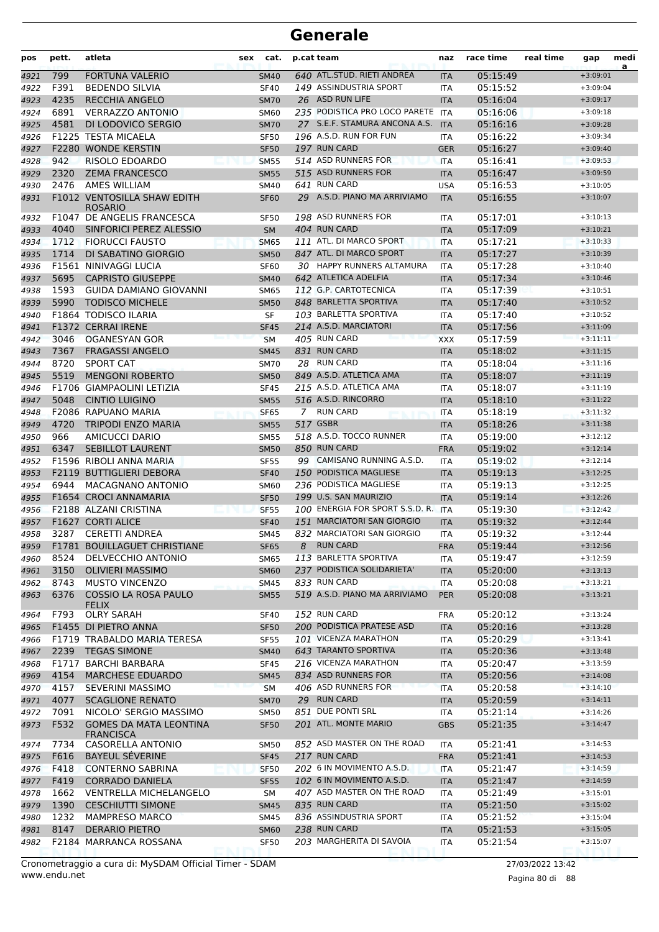| pos  | pett. | atleta                                            | sex | cat.        |   | p.cat team                      | naz        | race time | real time | gap        | medi<br>a |
|------|-------|---------------------------------------------------|-----|-------------|---|---------------------------------|------------|-----------|-----------|------------|-----------|
| 4921 | 799   | <b>FORTUNA VALERIO</b>                            |     | <b>SM40</b> |   | 640 ATL.STUD. RIETI ANDREA      | <b>ITA</b> | 05:15:49  |           | $+3:09:01$ |           |
| 4922 | F391  | <b>BEDENDO SILVIA</b>                             |     | <b>SF40</b> |   | 149 ASSINDUSTRIA SPORT          | <b>ITA</b> | 05:15:52  |           | $+3:09:04$ |           |
| 4923 | 4235  | <b>RECCHIA ANGELO</b>                             |     | <b>SM70</b> |   | 26 ASD RUN LIFE                 | <b>ITA</b> | 05:16:04  |           | $+3:09:17$ |           |
| 4924 | 6891  | <b>VERRAZZO ANTONIO</b>                           |     | <b>SM60</b> |   | 235 PODISTICA PRO LOCO PARETE   | ITA        | 05:16:06  |           | $+3:09:18$ |           |
| 4925 | 4581  | DI LODOVICO SERGIO                                |     | <b>SM70</b> |   | 27 S.E.F. STAMURA ANCONA A.S.   | <b>ITA</b> | 05:16:16  |           | $+3:09:28$ |           |
| 4926 |       | F1225 TESTA MICAELA                               |     | <b>SF50</b> |   | 196 A.S.D. RUN FOR FUN          | <b>ITA</b> | 05:16:22  |           | $+3:09:34$ |           |
| 4927 |       | F2280 WONDE KERSTIN                               |     | <b>SF50</b> |   | 197 RUN CARD                    | <b>GER</b> | 05:16:27  |           | $+3:09:40$ |           |
| 4928 | 942   | RISOLO EDOARDO                                    |     | <b>SM55</b> |   | 514 ASD RUNNERS FOR             | <b>ITA</b> | 05:16:41  |           | $+3:09:53$ |           |
| 4929 | 2320  | <b>ZEMA FRANCESCO</b>                             |     | <b>SM55</b> |   | 515 ASD RUNNERS FOR             | <b>ITA</b> | 05:16:47  |           | $+3:09:59$ |           |
| 4930 | 2476  | <b>AMES WILLIAM</b>                               |     | SM40        |   | 641 RUN CARD                    | <b>USA</b> | 05:16:53  |           | $+3:10:05$ |           |
| 4931 |       | F1012 VENTOSILLA SHAW EDITH<br><b>ROSARIO</b>     |     | <b>SF60</b> |   | 29 A.S.D. PIANO MA ARRIVIAMO    | <b>ITA</b> | 05:16:55  |           | $+3:10:07$ |           |
| 4932 |       | F1047 DE ANGELIS FRANCESCA                        |     | <b>SF50</b> |   | 198 ASD RUNNERS FOR             | ITA        | 05:17:01  |           | $+3:10:13$ |           |
| 4933 | 4040  | SINFORICI PEREZ ALESSIO                           |     | <b>SM</b>   |   | 404 RUN CARD                    | <b>ITA</b> | 05:17:09  |           | $+3:10:21$ |           |
| 4934 | 1712  | <b>FIORUCCI FAUSTO</b>                            |     | <b>SM65</b> |   | 111 ATL. DI MARCO SPORT         | <b>ITA</b> | 05:17:21  |           | $+3:10:33$ |           |
| 4935 | 1714  | DI SABATINO GIORGIO                               |     | <b>SM50</b> |   | 847 ATL. DI MARCO SPORT         | <b>ITA</b> | 05:17:27  |           | $+3:10:39$ |           |
| 4936 |       | F1561 NINIVAGGI LUCIA                             |     | <b>SF60</b> |   | 30 HAPPY RUNNERS ALTAMURA       | ITA        | 05:17:28  |           | $+3:10:40$ |           |
| 4937 | 5695  | <b>CAPRISTO GIUSEPPE</b>                          |     | <b>SM40</b> |   | 642 ATLETICA ADELFIA            | <b>ITA</b> | 05:17:34  |           | $+3:10:46$ |           |
| 4938 | 1593  | <b>GUIDA DAMIANO GIOVANNI</b>                     |     | <b>SM65</b> |   | 112 G.P. CARTOTECNICA           | <b>ITA</b> | 05:17:39  |           | $+3:10:51$ |           |
| 4939 | 5990  | <b>TODISCO MICHELE</b>                            |     | <b>SM50</b> |   | 848 BARLETTA SPORTIVA           | <b>ITA</b> | 05:17:40  |           | $+3:10:52$ |           |
| 4940 |       | <b>F1864 TODISCO ILARIA</b>                       |     | <b>SF</b>   |   | 103 BARLETTA SPORTIVA           | <b>ITA</b> | 05:17:40  |           | $+3:10:52$ |           |
| 4941 |       | F1372 CERRAI IRENE                                |     | <b>SF45</b> |   | 214 A.S.D. MARCIATORI           | <b>ITA</b> | 05:17:56  |           | $+3:11:09$ |           |
| 4942 | 3046  | <b>OGANESYAN GOR</b>                              |     | <b>SM</b>   |   | 405 RUN CARD                    | <b>XXX</b> | 05:17:59  |           | $+3:11:11$ |           |
| 4943 | 7367  | <b>FRAGASSI ANGELO</b>                            |     | <b>SM45</b> |   | 831 RUN CARD                    | <b>ITA</b> | 05:18:02  |           | $+3:11:15$ |           |
| 4944 | 8720  | <b>SPORT CAT</b>                                  |     | <b>SM70</b> |   | 28 RUN CARD                     | ITA        | 05:18:04  |           | $+3:11:16$ |           |
| 4945 | 5519  | <b>MENGONI ROBERTO</b>                            |     | <b>SM50</b> |   | 849 A.S.D. ATLETICA AMA         | <b>ITA</b> | 05:18:07  |           | $+3:11:19$ |           |
| 4946 |       | F1706 GIAMPAOLINI LETIZIA                         |     | <b>SF45</b> |   | 215 A.S.D. ATLETICA AMA         | <b>ITA</b> | 05:18:07  |           | $+3:11:19$ |           |
| 4947 | 5048  | <b>CINTIO LUIGINO</b>                             |     | <b>SM55</b> |   | 516 A.S.D. RINCORRO             | <b>ITA</b> | 05:18:10  |           | $+3:11:22$ |           |
| 4948 |       | F2086 RAPUANO MARIA                               |     | <b>SF65</b> |   | 7 RUN CARD                      | <b>ITA</b> | 05:18:19  |           | $+3:11:32$ |           |
| 4949 | 4720  | <b>TRIPODI ENZO MARIA</b>                         |     | <b>SM55</b> |   | 517 GSBR                        | <b>ITA</b> | 05:18:26  |           | $+3:11:38$ |           |
| 4950 | 966   | <b>AMICUCCI DARIO</b>                             |     | <b>SM55</b> |   | 518 A.S.D. TOCCO RUNNER         | ITA        | 05:19:00  |           | $+3:12:12$ |           |
| 4951 | 6347  | <b>SEBILLOT LAURENT</b>                           |     | <b>SM50</b> |   | 850 RUN CARD                    | <b>FRA</b> | 05:19:02  |           | $+3:12:14$ |           |
| 4952 |       | F1596 RIBOLI ANNA MARIA                           |     | <b>SF55</b> |   | 99 CAMISANO RUNNING A.S.D.      | <b>ITA</b> | 05:19:02  |           | $+3:12:14$ |           |
| 4953 |       | F2119 BUTTIGLIERI DEBORA                          |     | <b>SF40</b> |   | 150 PODISTICA MAGLIESE          | <b>ITA</b> | 05:19:13  |           | $+3:12:25$ |           |
| 4954 | 6944  | <b>MACAGNANO ANTONIO</b>                          |     | <b>SM60</b> |   | 236 PODISTICA MAGLIESE          | <b>ITA</b> | 05:19:13  |           | $+3:12:25$ |           |
| 4955 |       | F1654 CROCI ANNAMARIA                             |     | <b>SF50</b> |   | 199 U.S. SAN MAURIZIO           | <b>ITA</b> | 05:19:14  |           | $+3:12:26$ |           |
| 4956 |       | <b>F2188 ALZANI CRISTINA</b>                      |     | <b>SF55</b> |   | 100 ENERGIA FOR SPORT S.S.D. R. | <b>ITA</b> | 05:19:30  |           | $+3:12:42$ |           |
| 4957 |       | F1627 CORTI ALICE                                 |     | <b>SF40</b> |   | 151 MARCIATORI SAN GIORGIO      | <b>ITA</b> | 05:19:32  |           | $+3:12:44$ |           |
| 4958 | 3287  | <b>CERETTI ANDREA</b>                             |     | <b>SM45</b> |   | 832 MARCIATORI SAN GIORGIO      | <b>ITA</b> | 05:19:32  |           | $+3:12:44$ |           |
| 4959 |       | F1781 BOUILLAGUET CHRISTIANE                      |     | SF65        | 8 | <b>RUN CARD</b>                 | <b>FRA</b> | 05:19:44  |           | +3:12:56   |           |
| 4960 | 8524  | DELVECCHIO ANTONIO                                |     | <b>SM65</b> |   | 113 BARLETTA SPORTIVA           | ITA        | 05:19:47  |           | $+3:12:59$ |           |
| 4961 | 3150  | <b>OLIVIERI MASSIMO</b>                           |     | <b>SM60</b> |   | 237 PODISTICA SOLIDARIETA'      | <b>ITA</b> | 05:20:00  |           | $+3:13:13$ |           |
| 4962 | 8743  | MUSTO VINCENZO                                    |     | <b>SM45</b> |   | 833 RUN CARD                    | ITA        | 05:20:08  |           | $+3:13:21$ |           |
| 4963 | 6376  | <b>COSSIO LA ROSA PAULO</b><br><b>FELIX</b>       |     | <b>SM55</b> |   | 519 A.S.D. PIANO MA ARRIVIAMO   | <b>PER</b> | 05:20:08  |           | $+3:13:21$ |           |
| 4964 | F793  | <b>OLRY SARAH</b>                                 |     | <b>SF40</b> |   | 152 RUN CARD                    | <b>FRA</b> | 05:20:12  |           | $+3:13:24$ |           |
| 4965 |       | F1455 DI PIETRO ANNA                              |     | <b>SF50</b> |   | 200 PODISTICA PRATESE ASD       | <b>ITA</b> | 05:20:16  |           | $+3:13:28$ |           |
| 4966 |       | F1719 TRABALDO MARIA TERESA                       |     | <b>SF55</b> |   | 101 VICENZA MARATHON            | ITA        | 05:20:29  |           | $+3:13:41$ |           |
| 4967 | 2239  | <b>TEGAS SIMONE</b>                               |     | <b>SM40</b> |   | 643 TARANTO SPORTIVA            | <b>ITA</b> | 05:20:36  |           | $+3:13:48$ |           |
| 4968 |       | F1717 BARCHI BARBARA                              |     | <b>SF45</b> |   | 216 VICENZA MARATHON            | ITA        | 05:20:47  |           | $+3:13:59$ |           |
| 4969 | 4154  | <b>MARCHESE EDUARDO</b>                           |     | <b>SM45</b> |   | 834 ASD RUNNERS FOR             | <b>ITA</b> | 05:20:56  |           | $+3:14:08$ |           |
| 4970 | 4157  | SEVERINI MASSIMO                                  |     | <b>SM</b>   |   | 406 ASD RUNNERS FOR             | <b>ITA</b> | 05:20:58  |           | $+3:14:10$ |           |
| 4971 | 4077  | <b>SCAGLIONE RENATO</b>                           |     | <b>SM70</b> |   | 29 RUN CARD                     | <b>ITA</b> | 05:20:59  |           | $+3:14:11$ |           |
| 4972 | 7091  | NICOLO' SERGIO MASSIMO                            |     | SM50        |   | 851 DUE PONTI SRL               | ITA        | 05:21:14  |           | $+3:14:26$ |           |
| 4973 | F532  | <b>GOMES DA MATA LEONTINA</b><br><b>FRANCISCA</b> |     | <b>SF50</b> |   | 201 ATL. MONTE MARIO            | <b>GBS</b> | 05:21:35  |           | $+3:14:47$ |           |
| 4974 | 7734  | CASORELLA ANTONIO                                 |     | <b>SM50</b> |   | 852 ASD MASTER ON THE ROAD      | ITA        | 05:21:41  |           | $+3:14:53$ |           |
| 4975 | F616  | <b>BAYEUL SÉVERINE</b>                            |     | <b>SF45</b> |   | 217 RUN CARD                    | <b>FRA</b> | 05:21:41  |           | $+3:14:53$ |           |
| 4976 | F418  | <b>CONTERNO SABRINA</b>                           |     | <b>SF50</b> |   | 202 6 IN MOVIMENTO A.S.D.       | <b>ITA</b> | 05:21:47  |           | $+3:14:59$ |           |
| 4977 | F419  | <b>CORRADO DANIELA</b>                            |     | <b>SF55</b> |   | 102 6 IN MOVIMENTO A.S.D.       | <b>ITA</b> | 05:21:47  |           | $+3:14:59$ |           |
| 4978 | 1662  | <b>VENTRELLA MICHELANGELO</b>                     |     | SМ          |   | 407 ASD MASTER ON THE ROAD      | <b>ITA</b> | 05:21:49  |           | $+3:15:01$ |           |
| 4979 | 1390  | <b>CESCHIUTTI SIMONE</b>                          |     | <b>SM45</b> |   | 835 RUN CARD                    | <b>ITA</b> | 05:21:50  |           | $+3:15:02$ |           |
| 4980 | 1232  | <b>MAMPRESO MARCO</b>                             |     | SM45        |   | 836 ASSINDUSTRIA SPORT          | ITA        | 05:21:52  |           | $+3:15:04$ |           |
| 4981 | 8147  | <b>DERARIO PIETRO</b>                             |     | <b>SM60</b> |   | 238 RUN CARD                    | <b>ITA</b> | 05:21:53  |           | $+3:15:05$ |           |
| 4982 |       | F2184 MARRANCA ROSSANA                            |     | <b>SF50</b> |   | 203 MARGHERITA DI SAVOIA        | ITA        | 05:21:54  |           | $+3:15:07$ |           |

www.endu.net Cronometraggio a cura di: MySDAM Official Timer - SDAM 27/03/2022 13:42

Pagina 80 di 88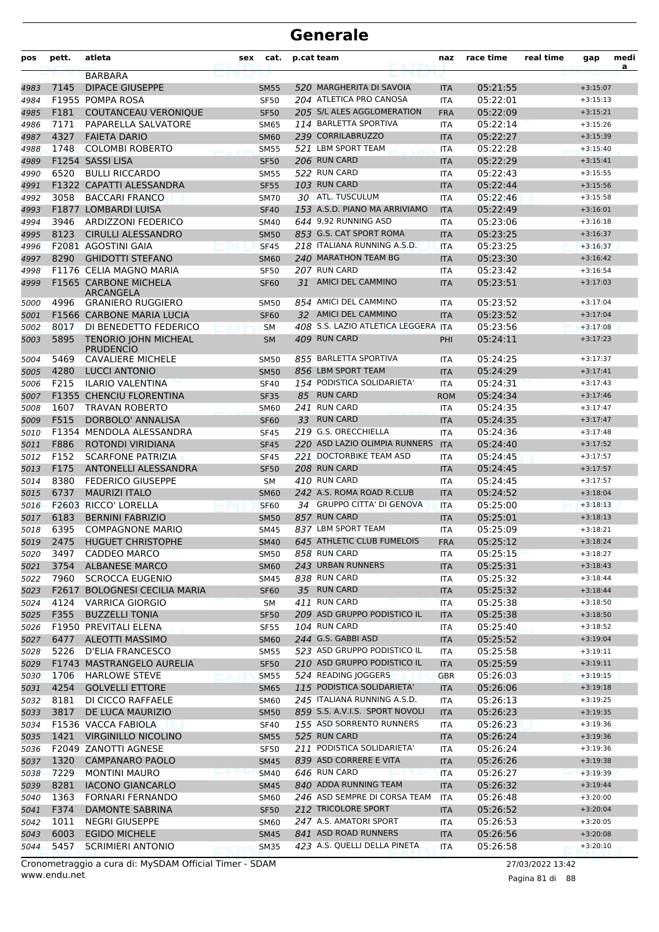| pos  | pett.        | atleta                                                  | sex | cat.        |    | p.cat team                            | naz        | race time            | real time | gap                      | medi<br>a |
|------|--------------|---------------------------------------------------------|-----|-------------|----|---------------------------------------|------------|----------------------|-----------|--------------------------|-----------|
|      |              | <b>BARBARA</b>                                          |     |             |    |                                       |            |                      |           |                          |           |
| 4983 | 7145         | <b>DIPACE GIUSEPPE</b>                                  |     | <b>SM55</b> |    | 520 MARGHERITA DI SAVOIA              | <b>ITA</b> | 05:21:55             |           | $+3:15:07$               |           |
| 4984 |              | F1955 POMPA ROSA                                        |     | <b>SF50</b> |    | 204 ATLETICA PRO CANOSA               | <b>ITA</b> | 05:22:01             |           | $+3:15:13$               |           |
| 4985 | F181         | COUTANCEAU VERONIQUE                                    |     | <b>SF50</b> |    | 205 S/L ALES AGGLOMERATION            | <b>FRA</b> | 05:22:09             |           | $+3:15:21$               |           |
| 4986 | 7171         | PAPARELLA SALVATORE                                     |     | <b>SM65</b> |    | 114 BARLETTA SPORTIVA                 | <b>ITA</b> | 05:22:14             |           | $+3:15:26$               |           |
| 4987 | 4327         | <b>FAIETA DARIO</b>                                     |     | <b>SM60</b> |    | 239 CORRILABRUZZO                     | <b>ITA</b> | 05:22:27             |           | $+3:15:39$               |           |
| 4988 | 1748         | <b>COLOMBI ROBERTO</b>                                  |     | <b>SM55</b> |    | 521 LBM SPORT TEAM<br>206 RUN CARD    | <b>ITA</b> | 05:22:28             |           | $+3:15:40$               |           |
| 4989 |              | F1254 SASSI LISA                                        |     | <b>SF50</b> |    |                                       | <b>ITA</b> | 05:22:29             |           | $+3:15:41$               |           |
| 4990 | 6520         | <b>BULLI RICCARDO</b>                                   |     | <b>SM55</b> |    | 522 RUN CARD<br>103 RUN CARD          | <b>ITA</b> | 05:22:43             |           | $+3:15:55$               |           |
| 4991 | 3058         | F1322 CAPATTI ALESSANDRA                                |     | <b>SF55</b> |    | 30 ATL. TUSCULUM                      | <b>ITA</b> | 05:22:44             |           | $+3:15:56$               |           |
| 4992 |              | <b>BACCARI FRANCO</b>                                   |     | <b>SM70</b> |    | 153 A.S.D. PIANO MA ARRIVIAMO         | <b>ITA</b> | 05:22:46             |           | $+3:15:58$               |           |
| 4993 | F1877        | LOMBARDI LUISA                                          |     | <b>SF40</b> |    | 644 9,92 RUNNING ASD                  | <b>ITA</b> | 05:22:49             |           | $+3:16:01$               |           |
| 4994 | 3946<br>8123 | <b>ARDIZZONI FEDERICO</b>                               |     | <b>SM40</b> |    | 853 G.S. CAT SPORT ROMA               | <b>ITA</b> | 05:23:06             |           | $+3:16:18$               |           |
| 4995 |              | <b>CIRULLI ALESSANDRO</b>                               |     | <b>SM50</b> |    | 218 ITALIANA RUNNING A.S.D.           | <b>ITA</b> | 05:23:25             |           | $+3:16:37$               |           |
| 4996 |              | F2081 AGOSTINI GAIA                                     |     | <b>SF45</b> |    | 240 MARATHON TEAM BG                  | <b>ITA</b> | 05:23:25             |           | $+3:16:37$<br>$+3:16:42$ |           |
| 4997 | 8290         | <b>GHIDOTTI STEFANO</b>                                 |     | <b>SM60</b> |    | 207 RUN CARD                          | <b>ITA</b> | 05:23:30             |           |                          |           |
| 4998 |              | F1176 CELIA MAGNO MARIA<br><b>F1565 CARBONE MICHELA</b> |     | <b>SF50</b> | 31 | <b>AMICI DEL CAMMINO</b>              | ITA        | 05:23:42<br>05:23:51 |           | $+3:16:54$<br>$+3:17:03$ |           |
| 4999 |              | ARCANGELA                                               |     | <b>SF60</b> |    |                                       | <b>ITA</b> |                      |           |                          |           |
| 5000 | 4996         | <b>GRANIERO RUGGIERO</b>                                |     | <b>SM50</b> |    | 854 AMICI DEL CAMMINO                 | ITA        | 05:23:52             |           | $+3:17:04$               |           |
| 5001 |              | F1566 CARBONE MARIA LUCIA                               |     | <b>SF60</b> |    | 32 AMICI DEL CAMMINO                  | <b>ITA</b> | 05:23:52             |           | $+3:17:04$               |           |
| 5002 | 8017         | DI BENEDETTO FEDERICO                                   |     | <b>SM</b>   |    | 408 S.S. LAZIO ATLETICA LEGGERA       | <b>ITA</b> | 05:23:56             |           | $+3:17:08$               |           |
| 5003 | 5895         | <b>TENORIO JOHN MICHEAL</b><br><b>PRUDENCIO</b>         |     | <b>SM</b>   |    | 409 RUN CARD                          | PHI        | 05:24:11             |           | $+3:17:23$               |           |
| 5004 | 5469         | <b>CAVALIERE MICHELE</b>                                |     | <b>SM50</b> |    | 855 BARLETTA SPORTIVA                 | ITA        | 05:24:25             |           | $+3:17:37$               |           |
| 5005 | 4280         | <b>LUCCI ANTONIO</b>                                    |     | <b>SM50</b> |    | 856 LBM SPORT TEAM                    | <b>ITA</b> | 05:24:29             |           | $+3:17:41$               |           |
| 5006 | F215         | ILARIO VALENTINA                                        |     | <b>SF40</b> |    | 154 PODISTICA SOLIDARIETA'            | ITA        | 05:24:31             |           | $+3:17:43$               |           |
| 5007 |              | <b>F1355 CHENCIU FLORENTINA</b>                         |     | <b>SF35</b> | 85 | <b>RUN CARD</b>                       | <b>ROM</b> | 05:24:34             |           | $+3:17:46$               |           |
| 5008 | 1607         | <b>TRAVAN ROBERTO</b>                                   |     | <b>SM60</b> |    | 241 RUN CARD                          | <b>ITA</b> | 05:24:35             |           | $+3:17:47$               |           |
| 5009 | F515         | DORBOLO' ANNALISA                                       |     | <b>SF60</b> |    | 33 RUN CARD                           | <b>ITA</b> | 05:24:35             |           | $+3:17:47$               |           |
| 5010 |              | F1354 MENDOLA ALESSANDRA                                |     | <b>SF45</b> |    | 219 G.S. ORECCHIELLA                  | <b>ITA</b> | 05:24:36             |           | $+3:17:48$               |           |
| 5011 | F886         | ROTONDI VIRIDIANA                                       |     | <b>SF45</b> |    | 220 ASD LAZIO OLIMPIA RUNNERS         | <b>ITA</b> | 05:24:40             |           | $+3:17:52$               |           |
| 5012 | F152         | <b>SCARFONE PATRIZIA</b>                                |     | <b>SF45</b> |    | 221 DOCTORBIKE TEAM ASD               | ITA        | 05:24:45             |           | $+3:17:57$               |           |
| 5013 | F175         | ANTONELLI ALESSANDRA                                    |     | <b>SF50</b> |    | 208 RUN CARD                          | <b>ITA</b> | 05:24:45             |           | $+3:17:57$               |           |
| 5014 | 8380         | <b>FEDERICO GIUSEPPE</b>                                |     | SМ          |    | 410 RUN CARD                          | ITA        | 05:24:45             |           | $+3:17:57$               |           |
| 5015 | 6737         | <b>MAURIZI ITALO</b>                                    |     | SM60        |    | 242 A.S. ROMA ROAD R.CLUB             | <b>ITA</b> | 05:24:52             |           | $+3:18:04$               |           |
| 5016 |              | F2603 RICCO' LORELLA                                    |     | <b>SF60</b> |    | 34 GRUPPO CITTA' DI GENOVA            | <b>ITA</b> | 05:25:00             |           | $+3:18:13$               |           |
| 5017 | 6183         | <b>BERNINI FABRIZIO</b>                                 |     | <b>SM50</b> |    | 857 RUN CARD                          | <b>ITA</b> | 05:25:01             |           | $+3:18:13$               |           |
| 5018 | 6395         | <b>COMPAGNONE MARIO</b>                                 |     | <b>SM45</b> |    | 837 LBM SPORT TEAM                    | <b>ITA</b> | 05:25:09             |           | $+3:18:21$               |           |
| 5019 | 2475         | HUGUET CHRISTOPHE                                       |     | <b>SM40</b> |    | 645 ATHLETIC CLUB FUMELOIS            | FRA        | 05:25:12             |           | $+3:18:24$               |           |
| 5020 | 3497         | CADDEO MARCO                                            |     | <b>SM50</b> |    | 858 RUN CARD                          | ITA        | 05:25:15             |           | $+3:18:27$               |           |
| 5021 | 3754         | <b>ALBANESE MARCO</b>                                   |     | <b>SM60</b> |    | 243 URBAN RUNNERS                     | <b>ITA</b> | 05:25:31             |           | $+3:18:43$               |           |
| 5022 | 7960         | <b>SCROCCA EUGENIO</b>                                  |     | <b>SM45</b> |    | 838 RUN CARD                          | ITA        | 05:25:32             |           | $+3:18:44$               |           |
| 5023 |              | F2617 BOLOGNESI CECILIA MARIA                           |     | <b>SF60</b> |    | 35 RUN CARD                           | <b>ITA</b> | 05:25:32             |           | $+3:18:44$               |           |
| 5024 | 4124         | VARRICA GIORGIO                                         |     | <b>SM</b>   |    | 411 RUN CARD                          | <b>ITA</b> | 05:25:38             |           | $+3:18:50$               |           |
| 5025 | F355         | <b>BUZZELLI TONIA</b>                                   |     | <b>SF50</b> |    | 209 ASD GRUPPO PODISTICO IL           | <b>ITA</b> | 05:25:38             |           | $+3:18:50$               |           |
| 5026 |              | F1950 PREVITALI ELENA                                   |     | <b>SF55</b> |    | <b>104 RUN CARD</b>                   | ITA        | 05:25:40             |           | $+3:18:52$               |           |
| 5027 | 6477         | ALEOTTI MASSIMO                                         |     | <b>SM60</b> |    | 244 G.S. GABBI ASD                    | <b>ITA</b> | 05:25:52             |           | $+3:19:04$               |           |
| 5028 | 5226         | <b>D'ELIA FRANCESCO</b>                                 |     | <b>SM55</b> |    | 523 ASD GRUPPO PODISTICO IL           | ITA        | 05:25:58             |           | $+3:19:11$               |           |
| 5029 |              | F1743 MASTRANGELO AURELIA                               |     | <b>SF50</b> |    | 210 ASD GRUPPO PODISTICO IL           | <b>ITA</b> | 05:25:59             |           | $+3:19:11$               |           |
| 5030 | 1706         | <b>HARLOWE STEVE</b>                                    |     | <b>SM55</b> |    | 524 READING JOGGERS                   | GBR        | 05:26:03             |           | $+3:19:15$               |           |
| 5031 | 4254         | <b>GOLVELLI ETTORE</b>                                  |     | <b>SM65</b> |    | 115 PODISTICA SOLIDARIETA'            | <b>ITA</b> | 05:26:06             |           | $+3:19:18$               |           |
| 5032 | 8181         | DI CICCO RAFFAELE                                       |     | <b>SM60</b> |    | 245 ITALIANA RUNNING A.S.D.           | ITA        | 05:26:13             |           | $+3:19:25$               |           |
| 5033 | 3817         | DE LUCA MAURIZIO                                        |     | <b>SM50</b> |    | 859 S.S. A.V.I.S. SPORT NOVOLI        | <b>ITA</b> | 05:26:23             |           | $+3:19:35$               |           |
| 5034 |              | F1536 VACCA FABIOLA                                     |     | <b>SF40</b> |    | 155 ASD SORRENTO RUNNERS              | ITA        | 05:26:23             |           | $+3:19:36$               |           |
| 5035 |              | 1421 VIRGINILLO NICOLINO                                |     | <b>SM55</b> |    | 525 RUN CARD                          | <b>ITA</b> | 05:26:24             |           | $+3:19:36$               |           |
| 5036 |              | F2049 ZANOTTI AGNESE                                    |     | <b>SF50</b> |    | 211 PODISTICA SOLIDARIETA'            | ITA        | 05:26:24             |           | $+3:19:36$               |           |
| 5037 | 1320         | <b>CAMPANARO PAOLO</b>                                  |     | <b>SM45</b> |    | 839 ASD CORRERE E VITA                | <b>ITA</b> | 05:26:26             |           | $+3:19:38$               |           |
| 5038 | 7229         | <b>MONTINI MAURO</b>                                    |     | <b>SM40</b> |    | 646 RUN CARD<br>840 ADDA RUNNING TEAM | <b>ITA</b> | 05:26:27             |           | $+3:19:39$               |           |
| 5039 | 8281         | <b>IACONO GIANCARLO</b>                                 |     | <b>SM45</b> |    | 246 ASD SEMPRE DI CORSA TEAM          | <b>ITA</b> | 05:26:32             |           | $+3:19:44$               |           |
| 5040 | 1363<br>F374 | <b>FORNARI FERNANDO</b>                                 |     | <b>SM60</b> |    | 212 TRICOLORE SPORT                   | ITA        | 05:26:48             |           | $+3:20:00$               |           |
| 5041 | 1011         | DAMONTE SABRINA                                         |     | <b>SF50</b> |    | 247 A.S. AMATORI SPORT                | <b>ITA</b> | 05:26:52             |           | $+3:20:04$               |           |
| 5042 | 6003         | <b>NEGRI GIUSEPPE</b><br><b>EGIDO MICHELE</b>           |     | SM60        |    | 841 ASD ROAD RUNNERS                  | ITA        | 05:26:53             |           | $+3:20:05$<br>$+3:20:08$ |           |
| 5043 | 5457         | <b>SCRIMIERI ANTONIO</b>                                |     | <b>SM45</b> |    | 423 A.S. QUELLI DELLA PINETA          | <b>ITA</b> | 05:26:56             |           |                          |           |
| 5044 |              |                                                         |     | <b>SM35</b> |    |                                       | ITA        | 05:26:58             |           | $+3:20:10$               |           |

www.endu.net Cronometraggio a cura di: MySDAM Official Timer - SDAM 27/03/2022 13:42

Pagina 81 di 88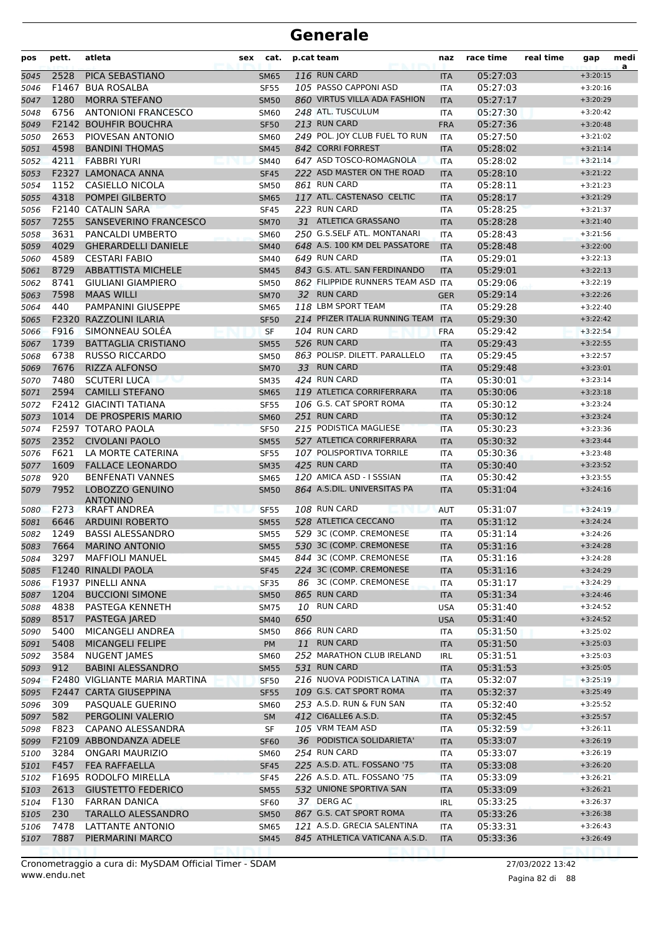| pos          | pett.        | atleta                                         | sex | cat.                       |     | p.cat team                                          | naz               | race time            | real time | gap                      | medi<br>a |
|--------------|--------------|------------------------------------------------|-----|----------------------------|-----|-----------------------------------------------------|-------------------|----------------------|-----------|--------------------------|-----------|
| 5045         | 2528         | PICA SEBASTIANO                                |     | <b>SM65</b>                |     | 116 RUN CARD                                        | <b>ITA</b>        | 05:27:03             |           | $+3:20:15$               |           |
| 5046         |              | F1467 BUA ROSALBA                              |     | <b>SF55</b>                |     | 105 PASSO CAPPONI ASD                               | <b>ITA</b>        | 05:27:03             |           | $+3:20:16$               |           |
| 5047         | 1280         | <b>MORRA STEFANO</b>                           |     | <b>SM50</b>                |     | 860 VIRTUS VILLA ADA FASHION                        | <b>ITA</b>        | 05:27:17             |           | $+3:20:29$               |           |
| 5048         | 6756         | <b>ANTONIONI FRANCESCO</b>                     |     | <b>SM60</b>                |     | 248 ATL. TUSCULUM                                   | ITA               | 05:27:30             |           | $+3:20:42$               |           |
| 5049         |              | <b>F2142 BOUHFIR BOUCHRA</b>                   |     | <b>SF50</b>                |     | 213 RUN CARD                                        | <b>FRA</b>        | 05:27:36             |           | $+3:20:48$               |           |
| 5050         | 2653         | PIOVESAN ANTONIO                               |     | <b>SM60</b>                |     | 249 POL. JOY CLUB FUEL TO RUN                       | <b>ITA</b>        | 05:27:50             |           | $+3:21:02$               |           |
| 5051         | 4598         | <b>BANDINI THOMAS</b>                          |     | <b>SM45</b>                |     | 842 CORRI FORREST                                   | <b>ITA</b>        | 05:28:02             |           | $+3:21:14$               |           |
| 5052         | 4211         | <b>FABBRI YURI</b>                             |     | <b>SM40</b>                |     | 647 ASD TOSCO-ROMAGNOLA                             | <b>ITA</b>        | 05:28:02             |           | $+3:21:14$               |           |
| 5053         |              | F2327 LAMONACA ANNA                            |     | <b>SF45</b>                |     | 222 ASD MASTER ON THE ROAD                          | <b>ITA</b>        | 05:28:10             |           | $+3:21:22$               |           |
| 5054         | 1152         | CASIELLO NICOLA                                |     | <b>SM50</b>                |     | 861 RUN CARD                                        | ITA               | 05:28:11             |           | $+3:21:23$               |           |
| 5055         | 4318         | <b>POMPEI GILBERTO</b>                         |     | <b>SM65</b>                |     | 117 ATL. CASTENASO CELTIC                           | <b>ITA</b>        | 05:28:17             |           | $+3:21:29$               |           |
| 5056         |              | <b>F2140 CATALIN SARA</b>                      |     | <b>SF45</b>                |     | 223 RUN CARD                                        | <b>ITA</b>        | 05:28:25             |           | $+3:21:37$               |           |
| 5057         | 7255<br>3631 | SANSEVERINO FRANCESCO                          |     | <b>SM70</b>                |     | 31 ATLETICA GRASSANO<br>250 G.S.SELF ATL. MONTANARI | <b>ITA</b>        | 05:28:28             |           | $+3:21:40$               |           |
| 5058         | 4029         | PANCALDI UMBERTO<br><b>GHERARDELLI DANIELE</b> |     | <b>SM60</b>                |     | 648 A.S. 100 KM DEL PASSATORE                       | <b>ITA</b>        | 05:28:43<br>05:28:48 |           | $+3:21:56$<br>$+3:22:00$ |           |
| 5059<br>5060 | 4589         | <b>CESTARI FABIO</b>                           |     | <b>SM40</b><br><b>SM40</b> |     | 649 RUN CARD                                        | <b>ITA</b><br>ITA | 05:29:01             |           | $+3:22:13$               |           |
| 5061         | 8729         | <b>ABBATTISTA MICHELE</b>                      |     | <b>SM45</b>                |     | 843 G.S. ATL. SAN FERDINANDO                        | <b>ITA</b>        | 05:29:01             |           | $+3:22:13$               |           |
| 5062         | 8741         | <b>GIULIANI GIAMPIERO</b>                      |     | <b>SM50</b>                |     | 862 FILIPPIDE RUNNERS TEAM ASD ITA                  |                   | 05:29:06             |           | $+3:22:19$               |           |
| 5063         | 7598         | <b>MAAS WILLI</b>                              |     | <b>SM70</b>                |     | 32 RUN CARD                                         | <b>GER</b>        | 05:29:14             |           | $+3:22:26$               |           |
| 5064         | 440          | PAMPANINI GIUSEPPE                             |     | <b>SM65</b>                |     | 118 LBM SPORT TEAM                                  | ITA               | 05:29:28             |           | $+3:22:40$               |           |
| 5065         |              | F2320 RAZZOLINI ILARIA                         |     | <b>SF50</b>                |     | 214 PFIZER ITALIA RUNNING TEAM                      | <b>ITA</b>        | 05:29:30             |           | $+3:22:42$               |           |
| 5066         | F916         | SIMONNEAU SOLÉA                                |     | <b>SF</b>                  |     | 104 RUN CARD                                        | <b>FRA</b>        | 05:29:42             |           | $+3:22:54$               |           |
| 5067         | 1739         | <b>BATTAGLIA CRISTIANO</b>                     |     | <b>SM55</b>                |     | 526 RUN CARD                                        | <b>ITA</b>        | 05:29:43             |           | $+3:22:55$               |           |
| 5068         | 6738         | <b>RUSSO RICCARDO</b>                          |     | <b>SM50</b>                |     | 863 POLISP. DILETT. PARALLELO                       | <b>ITA</b>        | 05:29:45             |           | $+3:22:57$               |           |
| 5069         | 7676         | RIZZA ALFONSO                                  |     | <b>SM70</b>                |     | 33 RUN CARD                                         | <b>ITA</b>        | 05:29:48             |           | $+3:23:01$               |           |
| 5070         | 7480         | <b>SCUTERI LUCA</b>                            |     | <b>SM35</b>                |     | 424 RUN CARD                                        | <b>ITA</b>        | 05:30:01             |           | $+3:23:14$               |           |
| 5071         | 2594         | <b>CAMILLI STEFANO</b>                         |     | <b>SM65</b>                |     | 119 ATLETICA CORRIFERRARA                           | <b>ITA</b>        | 05:30:06             |           | $+3:23:18$               |           |
| 5072         |              | <b>F2412 GIACINTI TATIANA</b>                  |     | <b>SF55</b>                |     | 106 G.S. CAT SPORT ROMA                             | ITA               | 05:30:12             |           | $+3:23:24$               |           |
| 5073         | 1014         | DE PROSPERIS MARIO                             |     | <b>SM60</b>                |     | 251 RUN CARD                                        | <b>ITA</b>        | 05:30:12             |           | $+3:23:24$               |           |
| 5074         |              | <b>F2597 TOTARO PAOLA</b>                      |     | <b>SF50</b>                |     | 215 PODISTICA MAGLIESE                              | <b>ITA</b>        | 05:30:23             |           | $+3:23:36$               |           |
| 5075         | 2352         | <b>CIVOLANI PAOLO</b>                          |     | <b>SM55</b>                |     | 527 ATLETICA CORRIFERRARA                           | <b>ITA</b>        | 05:30:32             |           | $+3:23:44$               |           |
| 5076         | F621         | LA MORTE CATERINA                              |     | <b>SF55</b>                |     | 107 POLISPORTIVA TORRILE                            | <b>ITA</b>        | 05:30:36             |           | $+3:23:48$               |           |
| 5077         | 1609         | <b>FALLACE LEONARDO</b>                        |     | <b>SM35</b>                |     | 425 RUN CARD                                        | <b>ITA</b>        | 05:30:40             |           | $+3:23:52$               |           |
| 5078         | 920          | <b>BENFENATI VANNES</b>                        |     | <b>SM65</b>                |     | 120 AMICA ASD - I SSSIAN                            | <b>ITA</b>        | 05:30:42             |           | $+3:23:55$               |           |
| 5079         | 7952         | LOBOZZO GENUINO<br><b>ANTONINO</b>             |     | <b>SM50</b>                |     | 864 A.S.DIL. UNIVERSITAS PA                         | <b>ITA</b>        | 05:31:04             |           | $+3:24:16$               |           |
| 5080         | F273         | <b>KRAFT ANDREA</b>                            |     | <b>SF55</b>                |     | 108 RUN CARD                                        | <b>AUT</b>        | 05:31:07             |           | $+3:24:19$               |           |
| 5081         | 6646         | <b>ARDUINI ROBERTO</b>                         |     | <b>SM55</b>                |     | 528 ATLETICA CECCANO                                | <b>ITA</b>        | 05:31:12             |           | $+3:24:24$               |           |
| 5082         | 1249         | <b>BASSI ALESSANDRO</b>                        |     | <b>SM55</b>                |     | 529 3C (COMP. CREMONESE                             | <b>ITA</b>        | 05:31:14             |           | $+3:24:26$               |           |
| 5083         |              | 7664 MARINO ANTONIO                            |     | <b>SM55</b>                |     | 530 3C (COMP. CREMONESE                             | <b>ITA</b>        | 05:31:16             |           | $+3:24:28$               |           |
| 5084         | 3297         | <b>MAFFIOLI MANUEL</b>                         |     | SM45                       |     | 844 3C (COMP. CREMONESE                             | ITA               | 05:31:16             |           | $+3:24:28$               |           |
| 5085         |              | F1240 RINALDI PAOLA                            |     | <b>SF45</b>                |     | 224 3C (COMP. CREMONESE                             | <b>ITA</b>        | 05:31:16             |           | $+3:24:29$               |           |
| 5086         |              | F1937 PINELLI ANNA                             |     | <b>SF35</b>                |     | 86 3C (COMP. CREMONESE                              | ITA               | 05:31:17             |           | $+3:24:29$               |           |
| 5087         | 1204         | <b>BUCCIONI SIMONE</b>                         |     | <b>SM50</b>                |     | 865 RUN CARD                                        | <b>ITA</b>        | 05:31:34             |           | $+3:24:46$               |           |
| 5088         | 4838         | PASTEGA KENNETH                                |     | <b>SM75</b>                |     | 10 RUN CARD                                         | <b>USA</b>        | 05:31:40             |           | $+3:24:52$               |           |
| 5089         | 8517         | PASTEGA JARED                                  |     | <b>SM40</b>                | 650 |                                                     | <b>USA</b>        | 05:31:40             |           | $+3:24:52$               |           |
| 5090         | 5400         | MICANGELI ANDREA                               |     | <b>SM50</b>                |     | 866 RUN CARD                                        | ITA               | 05:31:50             |           | $+3:25:02$               |           |
| 5091         | 5408         | <b>MICANGELI FELIPE</b>                        |     | PM                         |     | 11 RUN CARD                                         | <b>ITA</b>        | 05:31:50             |           | $+3:25:03$               |           |
| 5092         | 3584         | NUGENT JAMES                                   |     | <b>SM60</b>                |     | 252 MARATHON CLUB IRELAND                           | IRL               | 05:31:51             |           | $+3:25:03$               |           |
| 5093         | 912          | <b>BABINI ALESSANDRO</b>                       |     | <b>SM55</b>                |     | 531 RUN CARD                                        | <b>ITA</b>        | 05:31:53             |           | $+3:25:05$               |           |
| 5094         |              | F2480 VIGLIANTE MARIA MARTINA                  |     | <b>SF50</b>                |     | 216 NUOVA PODISTICA LATINA                          | ITA               | 05:32:07             |           | $+3:25:19$               |           |
| 5095         | 309          | F2447 CARTA GIUSEPPINA                         |     | <b>SF55</b>                |     | 109 G.S. CAT SPORT ROMA<br>253 A.S.D. RUN & FUN SAN | <b>ITA</b>        | 05:32:37             |           | $+3:25:49$<br>$+3:25:52$ |           |
| 5096         | 582          | PASQUALE GUERINO                               |     | <b>SM60</b>                |     | 412 CI6ALLE6 A.S.D.                                 | ITA               | 05:32:40             |           | $+3:25:57$               |           |
| 5097         | F823         | PERGOLINI VALERIO<br>CAPANO ALESSANDRA         |     | <b>SM</b>                  |     | 105 VRM TEAM ASD                                    | <b>ITA</b>        | 05:32:45<br>05:32:59 |           | $+3:26:11$               |           |
| 5098         |              | F2109 ABBONDANZA ADELE                         |     | SF                         |     | 36 PODISTICA SOLIDARIETA'                           | ITA               | 05:33:07             |           | $+3:26:19$               |           |
| 5099<br>5100 | 3284         | <b>ONGARI MAURIZIO</b>                         |     | <b>SF60</b><br><b>SM60</b> |     | 254 RUN CARD                                        | <b>ITA</b><br>ITA | 05:33:07             |           | $+3:26:19$               |           |
| 5101         | F457         | FEA RAFFAELLA                                  |     | <b>SF45</b>                |     | 225 A.S.D. ATL. FOSSANO '75                         | <b>ITA</b>        | 05:33:08             |           | $+3:26:20$               |           |
| 5102         |              | F1695 RODOLFO MIRELLA                          |     | <b>SF45</b>                |     | 226 A.S.D. ATL. FOSSANO '75                         | ITA               | 05:33:09             |           | $+3:26:21$               |           |
| 5103         | 2613         | <b>GIUSTETTO FEDERICO</b>                      |     | <b>SM55</b>                |     | 532 UNIONE SPORTIVA SAN                             | <b>ITA</b>        | 05:33:09             |           | $+3:26:21$               |           |
| 5104         | F130         | FARRAN DANICA                                  |     | <b>SF60</b>                |     | 37 DERG AC                                          | IRL               | 05:33:25             |           | $+3:26:37$               |           |
| 5105         | 230          | TARALLO ALESSANDRO                             |     | <b>SM50</b>                |     | 867 G.S. CAT SPORT ROMA                             | <b>ITA</b>        | 05:33:26             |           | $+3:26:38$               |           |
| 5106         | 7478         | LATTANTE ANTONIO                               |     | <b>SM65</b>                |     | 121 A.S.D. GRECIA SALENTINA                         | ITA               | 05:33:31             |           | $+3:26:43$               |           |
| 5107         | 7887         | PIERMARINI MARCO                               |     | <b>SM45</b>                |     | 845 ATHLETICA VATICANA A.S.D.                       | <b>ITA</b>        | 05:33:36             |           | $+3:26:49$               |           |
|              |              |                                                |     |                            |     |                                                     |                   |                      |           |                          |           |

www.endu.net Cronometraggio a cura di: MySDAM Official Timer - SDAM 27/03/2022 13:42

Pagina 82 di 88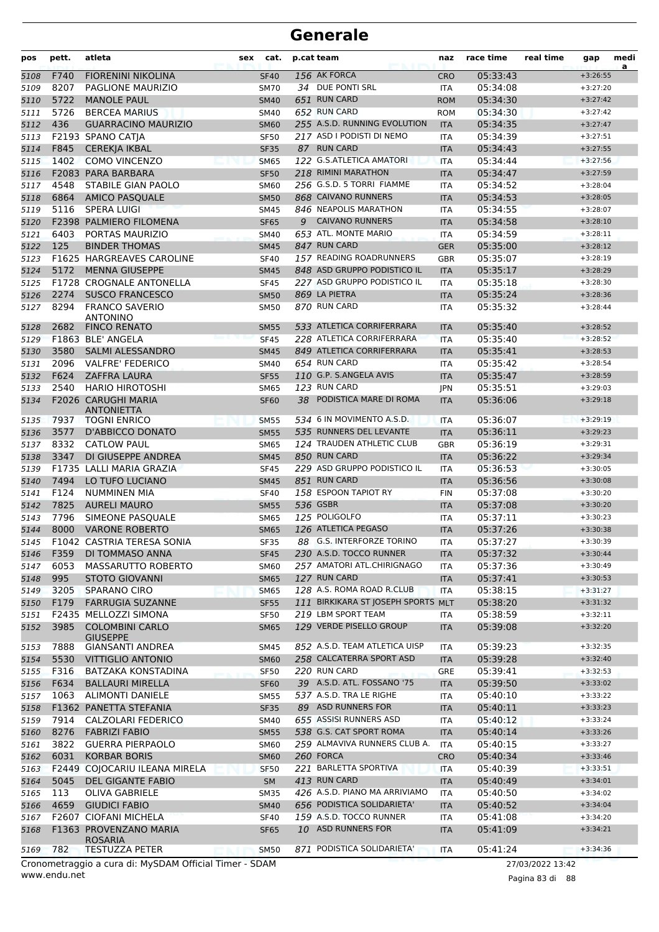| pos          | pett.        | atleta                                                                        | sex<br>cat.                |    | p.cat team                                       | naz                      | race time            | real time        | gap                      | medi<br>a |
|--------------|--------------|-------------------------------------------------------------------------------|----------------------------|----|--------------------------------------------------|--------------------------|----------------------|------------------|--------------------------|-----------|
| 5108         | F740         | <b>FIORENINI NIKOLINA</b>                                                     | <b>SF40</b>                |    | 156 AK FORCA                                     | <b>CRO</b>               | 05:33:43             |                  | $+3:26:55$               |           |
| 5109         | 8207         | <b>PAGLIONE MAURIZIO</b>                                                      | <b>SM70</b>                |    | 34 DUE PONTI SRL                                 | ITA                      | 05:34:08             |                  | $+3:27:20$               |           |
| 5110         | 5722         | <b>MANOLE PAUL</b>                                                            | <b>SM40</b>                |    | 651 RUN CARD                                     | <b>ROM</b>               | 05:34:30             |                  | $+3:27:42$               |           |
| 5111         | 5726         | <b>BERCEA MARIUS</b>                                                          | <b>SM40</b>                |    | 652 RUN CARD                                     | <b>ROM</b>               | 05:34:30             |                  | $+3:27:42$               |           |
| 5112         | 436          | <b>GUARRACINO MAURIZIO</b>                                                    | <b>SM60</b>                |    | 255 A.S.D. RUNNING EVOLUTION                     | <b>ITA</b>               | 05:34:35             |                  | $+3:27:47$               |           |
| 5113         |              | F2193 SPANO CATJA                                                             | <b>SF50</b>                |    | 217 ASD I PODISTI DI NEMO                        | <b>ITA</b>               | 05:34:39             |                  | $+3:27:51$               |           |
| 5114         | F845         | <b>CEREKJA IKBAL</b>                                                          | <b>SF35</b>                |    | 87 RUN CARD                                      | <b>ITA</b>               | 05:34:43             |                  | $+3:27:55$               |           |
| 5115         | 1402         | <b>COMO VINCENZO</b>                                                          | <b>SM65</b>                |    | 122 G.S.ATLETICA AMATORI                         | <b>ITA</b>               | 05:34:44             |                  | $+3:27:56$               |           |
| 5116         |              | F2083 PARA BARBARA                                                            | <b>SF50</b>                |    | 218 RIMINI MARATHON                              | <b>ITA</b>               | 05:34:47             |                  | $+3:27:59$               |           |
| 5117         | 4548         | <b>STABILE GIAN PAOLO</b>                                                     | <b>SM60</b>                |    | 256 G.S.D. 5 TORRI FIAMME<br>868 CAIVANO RUNNERS | <b>ITA</b>               | 05:34:52             |                  | $+3:28:04$               |           |
| 5118         | 6864<br>5116 | <b>AMICO PASQUALE</b><br><b>SPERA LUIGI</b>                                   | <b>SM50</b><br><b>SM45</b> |    | 846 NEAPOLIS MARATHON                            | <b>ITA</b>               | 05:34:53<br>05:34:55 |                  | $+3:28:05$<br>$+3:28:07$ |           |
| 5119<br>5120 |              | F2398 PALMIERO FILOMENA                                                       | <b>SF65</b>                | 9  | <b>CAIVANO RUNNERS</b>                           | <b>ITA</b><br><b>ITA</b> | 05:34:58             |                  | $+3:28:10$               |           |
| 5121         | 6403         | PORTAS MAURIZIO                                                               | <b>SM40</b>                |    | 653 ATL. MONTE MARIO                             | <b>ITA</b>               | 05:34:59             |                  | $+3:28:11$               |           |
| 5122         | 125          | <b>BINDER THOMAS</b>                                                          | <b>SM45</b>                |    | 847 RUN CARD                                     | <b>GER</b>               | 05:35:00             |                  | $+3:28:12$               |           |
| 5123         |              | F1625 HARGREAVES CAROLINE                                                     | <b>SF40</b>                |    | 157 READING ROADRUNNERS                          | <b>GBR</b>               | 05:35:07             |                  | $+3:28:19$               |           |
| 5124         | 5172         | <b>MENNA GIUSEPPE</b>                                                         | <b>SM45</b>                |    | 848 ASD GRUPPO PODISTICO IL                      | <b>ITA</b>               | 05:35:17             |                  | $+3:28:29$               |           |
| 5125         |              | <b>F1728 CROGNALE ANTONELLA</b>                                               | <b>SF45</b>                |    | 227 ASD GRUPPO PODISTICO IL                      | <b>ITA</b>               | 05:35:18             |                  | $+3:28:30$               |           |
| 5126         | 2274         | <b>SUSCO FRANCESCO</b>                                                        | <b>SM50</b>                |    | 869 LA PIETRA                                    | <b>ITA</b>               | 05:35:24             |                  | $+3:28:36$               |           |
| 5127         | 8294         | <b>FRANCO SAVERIO</b>                                                         | <b>SM50</b>                |    | 870 RUN CARD                                     | <b>ITA</b>               | 05:35:32             |                  | $+3:28:44$               |           |
|              |              | <b>ANTONINO</b>                                                               |                            |    |                                                  |                          |                      |                  |                          |           |
| 5128         | 2682         | <b>FINCO RENATO</b>                                                           | <b>SM55</b>                |    | 533 ATLETICA CORRIFERRARA                        | <b>ITA</b>               | 05:35:40             |                  | $+3:28:52$               |           |
| 5129         |              | F1863 BLE' ANGELA                                                             | <b>SF45</b>                |    | 228 ATLETICA CORRIFERRARA                        | <b>ITA</b>               | 05:35:40             |                  | $+3:28:52$               |           |
| 5130         | 3580         | <b>SALMI ALESSANDRO</b>                                                       | <b>SM45</b>                |    | 849 ATLETICA CORRIFERRARA                        | <b>ITA</b>               | 05:35:41             |                  | $+3:28:53$               |           |
| 5131         | 2096         | <b>VALFRE' FEDERICO</b>                                                       | <b>SM40</b>                |    | 654 RUN CARD                                     | <b>ITA</b>               | 05:35:42             |                  | $+3:28:54$               |           |
| 5132         | F624         | <b>ZAFFRA LAURA</b>                                                           | <b>SF55</b>                |    | 110 G.P. S.ANGELA AVIS<br>123 RUN CARD           | <b>ITA</b>               | 05:35:47             |                  | $+3:28:59$               |           |
| 5133         | 2540         | <b>HARIO HIROTOSHI</b><br>F2026 CARUGHI MARIA                                 | <b>SM65</b>                |    | PODISTICA MARE DI ROMA                           | <b>JPN</b>               | 05:35:51             |                  | $+3:29:03$               |           |
| 5134         |              | <b>ANTONIETTA</b>                                                             | <b>SF60</b>                | 38 |                                                  | <b>ITA</b>               | 05:36:06             |                  | $+3:29:18$               |           |
| 5135         | 7937         | <b>TOGNI ENRICO</b>                                                           | <b>SM55</b>                |    | 534 6 IN MOVIMENTO A.S.D.                        | <b>ITA</b>               | 05:36:07             |                  | $+3:29:19$               |           |
| 5136         | 3577         | D'ABBICCO DONATO                                                              | <b>SM55</b>                |    | 535 RUNNERS DEL LEVANTE                          | <b>ITA</b>               | 05:36:11             |                  | $+3:29:23$               |           |
| 5137         | 8332         | <b>CATLOW PAUL</b>                                                            | <b>SM65</b>                |    | 124 TRAUDEN ATHLETIC CLUB                        | GBR                      | 05:36:19             |                  | $+3:29:31$               |           |
| 5138         | 3347         | DI GIUSEPPE ANDREA                                                            | <b>SM45</b>                |    | 850 RUN CARD                                     | <b>ITA</b>               | 05:36:22             |                  | $+3:29:34$               |           |
| 5139         |              | F1735 LALLI MARIA GRAZIA                                                      | <b>SF45</b>                |    | 229 ASD GRUPPO PODISTICO IL                      | <b>ITA</b>               | 05:36:53             |                  | $+3:30:05$               |           |
| 5140         | 7494         | LO TUFO LUCIANO                                                               | <b>SM45</b>                |    | 851 RUN CARD<br>158 ESPOON TAPIOT RY             | <b>ITA</b>               | 05:36:56             |                  | $+3:30:08$               |           |
| 5141         | F124<br>7825 | <b>NUMMINEN MIA</b><br><b>AURELI MAURO</b>                                    | <b>SF40</b>                |    | 536 GSBR                                         | <b>FIN</b>               | 05:37:08             |                  | $+3:30:20$               |           |
| 5142<br>5143 | 7796         | SIMEONE PASQUALE                                                              | <b>SM55</b><br><b>SM65</b> |    | 125 POLIGOLFO                                    | <b>ITA</b><br>ITA        | 05:37:08<br>05:37:11 |                  | $+3:30:20$<br>$+3:30:23$ |           |
| 5144         | 8000         | <b>VARONE ROBERTO</b>                                                         | <b>SM65</b>                |    | 126 ATLETICA PEGASO                              | <b>ITA</b>               | 05:37:26             |                  | $+3:30:38$               |           |
| 5145         |              | F1042 CASTRIA TERESA SONIA                                                    | <b>SF35</b>                |    | 88 G.S. INTERFORZE TORINO                        | ITA                      | 05:37:27             |                  | $+3:30:39$               |           |
| 5146         | F359         | DI TOMMASO ANNA                                                               | <b>SF45</b>                |    | 230 A.S.D. TOCCO RUNNER                          | <b>ITA</b>               | 05:37:32             |                  | $+3:30:44$               |           |
| 5147         | 6053         | <b>MASSARUTTO ROBERTO</b>                                                     | <b>SM60</b>                |    | 257 AMATORI ATL.CHIRIGNAGO                       | <b>ITA</b>               | 05:37:36             |                  | $+3:30:49$               |           |
| 5148         | 995          | <b>STOTO GIOVANNI</b>                                                         | <b>SM65</b>                |    | 127 RUN CARD                                     | <b>ITA</b>               | 05:37:41             |                  | $+3:30:53$               |           |
| 5149         | 3205         | SPARANO CIRO                                                                  | <b>SM65</b>                |    | 128 A.S. ROMA ROAD R.CLUB                        | <b>ITA</b>               | 05:38:15             |                  | $+3:31:27$               |           |
| 5150         | F179         | <b>FARRUGIA SUZANNE</b>                                                       | <b>SF55</b>                |    | 111 BIRKIKARA ST JOSEPH SPORTS MLT               |                          | 05:38:20             |                  | $+3:31:32$               |           |
| 5151         |              | F2435 MELLOZZI SIMONA                                                         | <b>SF50</b>                |    | 219 LBM SPORT TEAM                               | ITA                      | 05:38:59             |                  | $+3:32:11$               |           |
| 5152         | 3985         | <b>COLOMBINI CARLO</b>                                                        | <b>SM65</b>                |    | 129 VERDE PISELLO GROUP                          | <b>ITA</b>               | 05:39:08             |                  | $+3:32:20$               |           |
|              |              | <b>GIUSEPPE</b>                                                               |                            |    |                                                  |                          |                      |                  |                          |           |
| 5153         | 7888         | <b>GIANSANTI ANDREA</b>                                                       | SM45                       |    | 852 A.S.D. TEAM ATLETICA UISP                    | ITA                      | 05:39:23             |                  | $+3:32:35$               |           |
| 5154         | 5530<br>F316 | <b>VITTIGLIO ANTONIO</b>                                                      | <b>SM60</b>                |    | 258 CALCATERRA SPORT ASD                         | <b>ITA</b>               | 05:39:28             |                  | $+3:32:40$               |           |
| 5155         | F634         | BATZAKA KONSTADINA<br><b>BALLAURI MIRELLA</b>                                 | <b>SF50</b>                |    | 220 RUN CARD<br>39 A.S.D. ATL. FOSSANO '75       | GRE                      | 05:39:41<br>05:39:50 |                  | $+3:32:53$<br>$+3:33:02$ |           |
| 5156         | 1063         | <b>ALIMONTI DANIELE</b>                                                       | <b>SF60</b>                |    | 537 A.S.D. TRA LE RIGHE                          | <b>ITA</b>               | 05:40:10             |                  | $+3:33:22$               |           |
| 5157<br>5158 |              | F1362 PANETTA STEFANIA                                                        | <b>SM55</b><br><b>SF35</b> |    | 89 ASD RUNNERS FOR                               | <b>ITA</b><br><b>ITA</b> | 05:40:11             |                  | $+3:33:23$               |           |
| 5159         | 7914         | CALZOLARI FEDERICO                                                            | SM40                       |    | 655 ASSISI RUNNERS ASD                           | ITA                      | 05:40:12             |                  | $+3:33:24$               |           |
| 5160         | 8276         | <b>FABRIZI FABIO</b>                                                          | <b>SM55</b>                |    | 538 G.S. CAT SPORT ROMA                          | <b>ITA</b>               | 05:40:14             |                  | $+3:33:26$               |           |
| 5161         | 3822         | <b>GUERRA PIERPAOLO</b>                                                       | <b>SM60</b>                |    | 259 ALMAVIVA RUNNERS CLUB A.                     | ITA                      | 05:40:15             |                  | $+3:33:27$               |           |
| 5162         | 6031         | <b>KORBAR BORIS</b>                                                           | <b>SM60</b>                |    | 260 FORCA                                        | <b>CRO</b>               | 05:40:34             |                  | $+3:33:46$               |           |
| 5163         |              | F2449 COJOCARIU ILEANA MIRELA                                                 | <b>SF50</b>                |    | 221 BARLETTA SPORTIVA                            | <b>ITA</b>               | 05:40:39             |                  | $+3:33:51$               |           |
| 5164         | 5045         | DEL GIGANTE FABIO                                                             | <b>SM</b>                  |    | 413 RUN CARD                                     | <b>ITA</b>               | 05:40:49             |                  | $+3:34:01$               |           |
| 5165         | 113          | <b>OLIVA GABRIELE</b>                                                         | SM35                       |    | 426 A.S.D. PIANO MA ARRIVIAMO                    | ITA                      | 05:40:50             |                  | $+3:34:02$               |           |
| 5166         | 4659         | <b>GIUDICI FABIO</b>                                                          | <b>SM40</b>                |    | 656 PODISTICA SOLIDARIETA'                       | <b>ITA</b>               | 05:40:52             |                  | $+3:34:04$               |           |
| 5167         |              | F2607 CIOFANI MICHELA                                                         | <b>SF40</b>                |    | 159 A.S.D. TOCCO RUNNER                          | ITA                      | 05:41:08             |                  | $+3:34:20$               |           |
| 5168         |              | F1363 PROVENZANO MARIA                                                        | SF <sub>65</sub>           |    | 10 ASD RUNNERS FOR                               | <b>ITA</b>               | 05:41:09             |                  | $+3:34:21$               |           |
|              |              | <b>ROSARIA</b>                                                                |                            |    |                                                  |                          |                      |                  |                          |           |
| 5169         | 782          | <b>TESTUZZA PETER</b><br>Cropomotraggio a cura di: MySDAM Official Timor SDAM | <b>SM50</b>                |    | 871 PODISTICA SOLIDARIETA'                       | <b>ITA</b>               | 05:41:24             | רו כו ברחרוכחודר | $+3:34:36$               |           |

www.endu.net Cronometraggio a cura di: MySDAM Official Timer - SDAM 27/03/2022 13:42

Pagina 83 di 88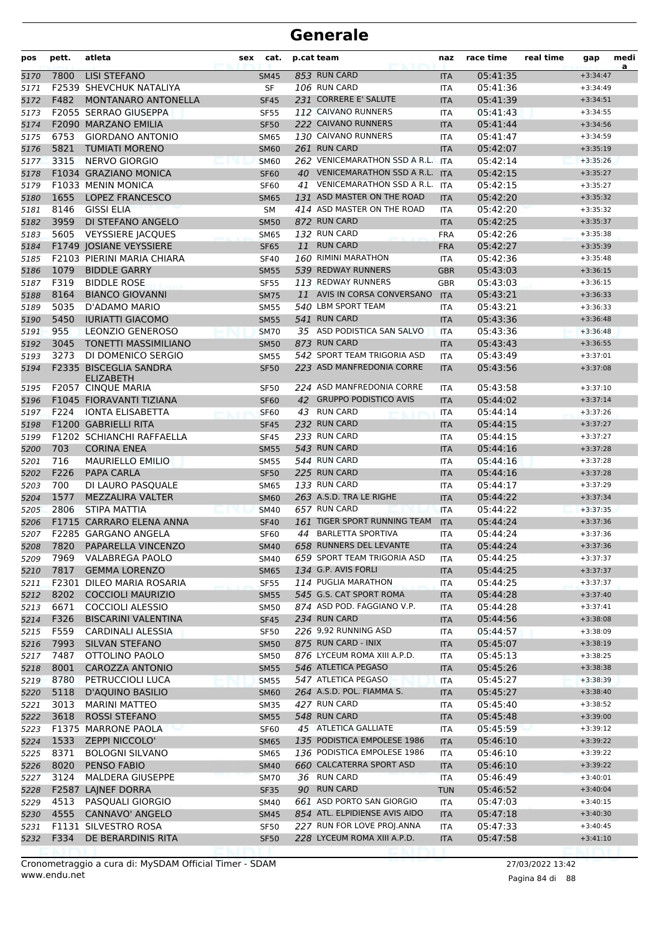| pos  | pett. | atleta                         | sex | cat.        | p.cat team |                                   | naz        | race time | real time | gap        | medi<br>a |
|------|-------|--------------------------------|-----|-------------|------------|-----------------------------------|------------|-----------|-----------|------------|-----------|
| 5170 | 7800  | <b>LISI STEFANO</b>            |     | <b>SM45</b> |            | 853 RUN CARD                      | <b>ITA</b> | 05:41:35  |           | $+3:34:47$ |           |
| 5171 |       | <b>F2539 SHEVCHUK NATALIYA</b> |     | SF          |            | 106 RUN CARD                      | ITA        | 05:41:36  |           | $+3:34:49$ |           |
| 5172 | F482  | MONTANARO ANTONELLA            |     | <b>SF45</b> |            | 231 CORRERE E' SALUTE             | <b>ITA</b> | 05:41:39  |           | $+3:34:51$ |           |
| 5173 |       | F2055 SERRAO GIUSEPPA          |     | <b>SF55</b> |            | 112 CAIVANO RUNNERS               | <b>ITA</b> | 05:41:43  |           | $+3:34:55$ |           |
| 5174 |       | F2090 MARZANO EMILIA           |     | <b>SF50</b> |            | 222 CAIVANO RUNNERS               | <b>ITA</b> | 05:41:44  |           | $+3:34:56$ |           |
| 5175 | 6753  | <b>GIORDANO ANTONIO</b>        |     | <b>SM65</b> |            | 130 CAIVANO RUNNERS               | <b>ITA</b> | 05:41:47  |           | $+3:34:59$ |           |
| 5176 | 5821  | <b>TUMIATI MORENO</b>          |     | <b>SM60</b> |            | 261 RUN CARD                      | <b>ITA</b> | 05:42:07  |           | $+3:35:19$ |           |
| 5177 | 3315  | NERVO GIORGIO                  |     | <b>SM60</b> |            | 262 VENICEMARATHON SSD A R.L. ITA |            | 05:42:14  |           | $+3:35:26$ |           |
| 5178 |       | F1034 GRAZIANO MONICA          |     | <b>SF60</b> |            | 40 VENICEMARATHON SSD A R.L.      | <b>ITA</b> | 05:42:15  |           | $+3:35:27$ |           |
| 5179 |       | F1033 MENIN MONICA             |     | <b>SF60</b> | 41         | <b>VENICEMARATHON SSD A R.L.</b>  | <b>ITA</b> | 05:42:15  |           | $+3:35:27$ |           |
| 5180 | 1655  | <b>LOPEZ FRANCESCO</b>         |     | <b>SM65</b> |            | 131 ASD MASTER ON THE ROAD        | <b>ITA</b> | 05:42:20  |           | $+3:35:32$ |           |
| 5181 | 8146  | <b>GISSI ELIA</b>              |     | SΜ          |            | 414 ASD MASTER ON THE ROAD        | ITA        | 05:42:20  |           | $+3:35:32$ |           |
| 5182 | 3959  | DI STEFANO ANGELO              |     | <b>SM50</b> |            | 872 RUN CARD                      | <b>ITA</b> | 05:42:25  |           | $+3:35:37$ |           |
| 5183 | 5605  | <b>VEYSSIERE JACQUES</b>       |     | <b>SM65</b> |            | 132 RUN CARD                      | <b>FRA</b> | 05:42:26  |           | $+3:35:38$ |           |
| 5184 |       | F1749 JOSIANE VEYSSIERE        |     | <b>SF65</b> | 11         | <b>RUN CARD</b>                   | <b>FRA</b> | 05:42:27  |           | $+3:35:39$ |           |
| 5185 |       | F2103 PIERINI MARIA CHIARA     |     | <b>SF40</b> |            | 160 RIMINI MARATHON               | ITA        | 05:42:36  |           | $+3:35:48$ |           |
| 5186 | 1079  | <b>BIDDLE GARRY</b>            |     | <b>SM55</b> |            | 539 REDWAY RUNNERS                | <b>GBR</b> | 05:43:03  |           | $+3:36:15$ |           |
| 5187 | F319  | <b>BIDDLE ROSE</b>             |     | <b>SF55</b> |            | 113 REDWAY RUNNERS                | <b>GBR</b> | 05:43:03  |           | $+3:36:15$ |           |
| 5188 | 8164  | <b>BIANCO GIOVANNI</b>         |     | <b>SM75</b> | 11         | AVIS IN CORSA CONVERSANO          | <b>ITA</b> | 05:43:21  |           | $+3:36:33$ |           |
| 5189 | 5035  | D'ADAMO MARIO                  |     | <b>SM55</b> |            | 540 LBM SPORT TEAM                | ITA        | 05:43:21  |           | $+3:36:33$ |           |
| 5190 | 5450  | <b>IURIATTI GIACOMO</b>        |     | <b>SM55</b> |            | 541 RUN CARD                      | <b>ITA</b> | 05:43:36  |           | $+3:36:48$ |           |
| 5191 | 955   | <b>LEONZIO GENEROSO</b>        |     | <b>SM70</b> |            | 35 ASD PODISTICA SAN SALVO        | <b>ITA</b> | 05:43:36  |           | $+3:36:48$ |           |
| 5192 | 3045  | <b>TONETTI MASSIMILIANO</b>    |     | <b>SM50</b> |            | 873 RUN CARD                      | <b>ITA</b> | 05:43:43  |           | $+3:36:55$ |           |
| 5193 | 3273  | DI DOMENICO SERGIO             |     | <b>SM55</b> |            | 542 SPORT TEAM TRIGORIA ASD       | <b>ITA</b> | 05:43:49  |           | $+3:37:01$ |           |
| 5194 |       | F2335 BISCEGLIA SANDRA         |     | <b>SF50</b> |            | 223 ASD MANFREDONIA CORRE         | <b>ITA</b> | 05:43:56  |           | $+3:37:08$ |           |
|      |       | <b>ELIZABETH</b>               |     |             |            |                                   |            |           |           |            |           |
| 5195 |       | F2057 CINQUE MARIA             |     | <b>SF50</b> |            | 224 ASD MANFREDONIA CORRE         | ITA        | 05:43:58  |           | $+3:37:10$ |           |
| 5196 |       | F1045 FIORAVANTI TIZIANA       |     | <b>SF60</b> |            | 42 GRUPPO PODISTICO AVIS          | <b>ITA</b> | 05:44:02  |           | $+3:37:14$ |           |
| 5197 | F224  | <b>IONTA ELISABETTA</b>        |     | <b>SF60</b> |            | 43 RUN CARD                       | <b>ITA</b> | 05:44:14  |           | $+3:37:26$ |           |
| 5198 |       | F1200 GABRIELLI RITA           |     | <b>SF45</b> |            | 232 RUN CARD                      | <b>ITA</b> | 05:44:15  |           | $+3:37:27$ |           |
| 5199 |       | F1202 SCHIANCHI RAFFAELLA      |     | <b>SF45</b> |            | 233 RUN CARD                      | ITA        | 05:44:15  |           | $+3:37:27$ |           |
| 5200 | 703   | <b>CORINA ENEA</b>             |     | <b>SM55</b> |            | 543 RUN CARD                      | <b>ITA</b> | 05:44:16  |           | $+3:37:28$ |           |
| 5201 | 716   | <b>MAURIELLO EMILIO</b>        |     | <b>SM55</b> |            | 544 RUN CARD                      | <b>ITA</b> | 05:44:16  |           | $+3:37:28$ |           |
| 5202 | F226  | <b>PAPA CARLA</b>              |     | <b>SF50</b> |            | 225 RUN CARD                      | <b>ITA</b> | 05:44:16  |           | $+3:37:28$ |           |
| 5203 | 700   | DI LAURO PASQUALE              |     | <b>SM65</b> |            | 133 RUN CARD                      | ITA        | 05:44:17  |           | $+3:37:29$ |           |
| 5204 | 1577  | <b>MEZZALIRA VALTER</b>        |     | <b>SM60</b> |            | 263 A.S.D. TRA LE RIGHE           | <b>ITA</b> | 05:44:22  |           | $+3:37:34$ |           |
| 5205 | 2806  | STIPA MATTIA                   |     | <b>SM40</b> |            | 657 RUN CARD                      | <b>ITA</b> | 05:44:22  |           | $+3:37:35$ |           |
| 5206 |       | F1715 CARRARO ELENA ANNA       |     | <b>SF40</b> |            | 161 TIGER SPORT RUNNING TEAM      | <b>ITA</b> | 05:44:24  |           | $+3:37:36$ |           |
| 5207 |       | F2285 GARGANO ANGELA           |     | <b>SF60</b> |            | 44 BARLETTA SPORTIVA              | <b>ITA</b> | 05:44:24  |           | $+3:37:36$ |           |
| 5208 |       | 7820 PAPARELLA VINCENZO        |     | SM40        |            | 658 RUNNERS DEL LEVANTE           | <b>ITA</b> | 05:44:24  |           | $+3:37:36$ |           |
| 5209 | 7969  | VALABREGA PAOLO                |     | <b>SM40</b> |            | 659 SPORT TEAM TRIGORIA ASD       | <b>ITA</b> | 05:44:25  |           | $+3:37:37$ |           |
| 5210 | 7817  | <b>GEMMA LORENZO</b>           |     | <b>SM65</b> |            | 134 G.P. AVIS FORLI               | ITA        | 05:44:25  |           | $+3:37:37$ |           |
| 5211 |       | F2301 DILEO MARIA ROSARIA      |     | <b>SF55</b> |            | 114 PUGLIA MARATHON               | ITA        | 05:44:25  |           | $+3:37:37$ |           |
| 5212 | 8202  | <b>COCCIOLI MAURIZIO</b>       |     | <b>SM55</b> |            | 545 G.S. CAT SPORT ROMA           | <b>ITA</b> | 05:44:28  |           | $+3:37:40$ |           |
| 5213 | 6671  | <b>COCCIOLI ALESSIO</b>        |     | <b>SM50</b> |            | 874 ASD POD. FAGGIANO V.P.        | <b>ITA</b> | 05:44:28  |           | $+3:37:41$ |           |
| 5214 | F326  | <b>BISCARINI VALENTINA</b>     |     | <b>SF45</b> |            | 234 RUN CARD                      | <b>ITA</b> | 05:44:56  |           | $+3:38:08$ |           |
| 5215 | F559  | CARDINALI ALESSIA              |     | <b>SF50</b> |            | 226 9,92 RUNNING ASD              | ITA        | 05:44:57  |           | $+3:38:09$ |           |
| 5216 | 7993  | SILVAN STEFANO                 |     | <b>SM50</b> |            | 875 RUN CARD - INIX               | <b>ITA</b> | 05:45:07  |           | $+3:38:19$ |           |
| 5217 | 7487  | OTTOLINO PAOLO                 |     | SM50        |            | 876 LYCEUM ROMA XIII A.P.D.       | ITA        | 05:45:13  |           | $+3:38:25$ |           |
| 5218 | 8001  | <b>CAROZZA ANTONIO</b>         |     | <b>SM55</b> |            | 546 ATLETICA PEGASO               | <b>ITA</b> | 05:45:26  |           | $+3:38:38$ |           |
| 5219 | 8780  | PETRUCCIOLI LUCA               |     | <b>SM55</b> |            | 547 ATLETICA PEGASO               | <b>ITA</b> | 05:45:27  |           | $+3:38:39$ |           |
| 5220 | 5118  | <b>D'AQUINO BASILIO</b>        |     | <b>SM60</b> |            | 264 A.S.D. POL. FIAMMA S.         | <b>ITA</b> | 05:45:27  |           | $+3:38:40$ |           |
| 5221 | 3013  | <b>MARINI MATTEO</b>           |     | <b>SM35</b> |            | 427 RUN CARD                      | ITA        | 05:45:40  |           | $+3:38:52$ |           |
| 5222 | 3618  | ROSSI STEFANO                  |     | <b>SM55</b> |            | 548 RUN CARD                      | <b>ITA</b> | 05:45:48  |           | $+3:39:00$ |           |
| 5223 |       | F1375 MARRONE PAOLA            |     | <b>SF60</b> |            | 45 ATLETICA GALLIATE              | ITA        | 05:45:59  |           | $+3:39:12$ |           |
| 5224 | 1533  | <b>ZEPPI NICCOLO'</b>          |     | <b>SM65</b> |            | 135 PODISTICA EMPOLESE 1986       | <b>ITA</b> | 05:46:10  |           | $+3:39:22$ |           |
| 5225 | 8371  | <b>BOLOGNI SILVANO</b>         |     | SM65        |            | 136 PODISTICA EMPOLESE 1986       | <b>ITA</b> | 05:46:10  |           | $+3:39:22$ |           |
| 5226 | 8020  | PENSO FABIO                    |     | <b>SM40</b> |            | 660 CALCATERRA SPORT ASD          | <b>ITA</b> | 05:46:10  |           | $+3:39:22$ |           |
| 5227 | 3124  | <b>MALDERA GIUSEPPE</b>        |     | <b>SM70</b> |            | 36 RUN CARD                       | ITA        | 05:46:49  |           | $+3:40:01$ |           |
| 5228 |       | F2587 LAINEF DORRA             |     | <b>SF35</b> |            | 90 RUN CARD                       | <b>TUN</b> | 05:46:52  |           | $+3:40:04$ |           |
| 5229 | 4513  | PASQUALI GIORGIO               |     | <b>SM40</b> |            | 661 ASD PORTO SAN GIORGIO         | <b>ITA</b> | 05:47:03  |           | $+3:40:15$ |           |
| 5230 | 4555  | CANNAVO' ANGELO                |     | <b>SM45</b> |            | 854 ATL. ELPIDIENSE AVIS AIDO     | <b>ITA</b> | 05:47:18  |           | $+3:40:30$ |           |
| 5231 |       | F1131 SILVESTRO ROSA           |     | <b>SF50</b> |            | 227 RUN FOR LOVE PROJ.ANNA        | ITA        | 05:47:33  |           | $+3:40:45$ |           |
| 5232 | F334  | DE BERARDINIS RITA             |     | <b>SF50</b> |            | 228 LYCEUM ROMA XIII A.P.D.       | <b>ITA</b> | 05:47:58  |           | $+3:41:10$ |           |
|      |       |                                |     |             |            |                                   |            |           |           |            |           |

Pagina 84 di 88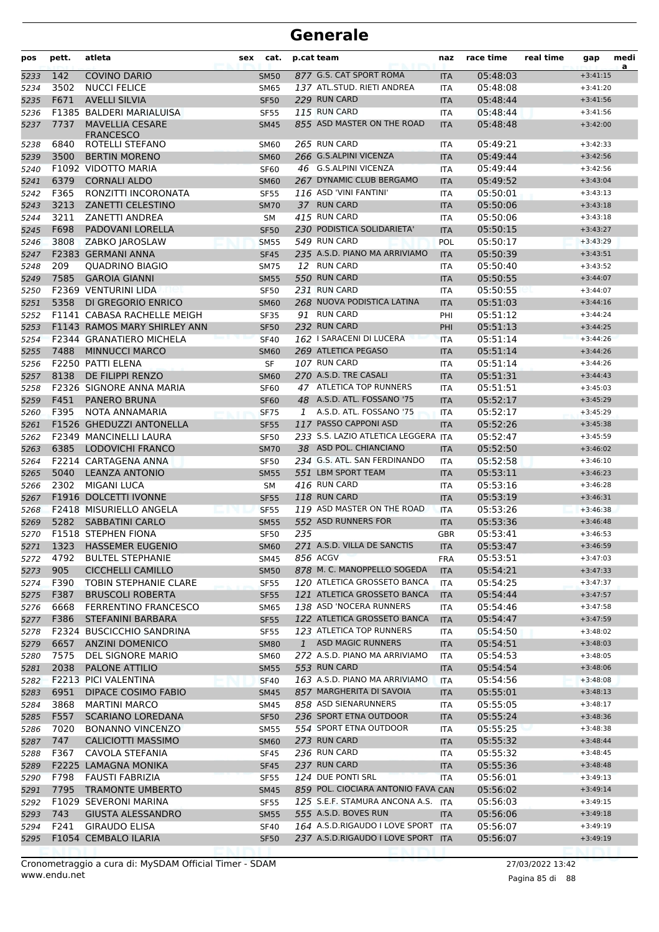| pos          | pett.        | atleta                                                  | sex | cat.                       |     | p.cat team                                                 | naz               | race time            | real time | gap                      | medi<br>a |
|--------------|--------------|---------------------------------------------------------|-----|----------------------------|-----|------------------------------------------------------------|-------------------|----------------------|-----------|--------------------------|-----------|
| 5233         | 142          | <b>COVINO DARIO</b>                                     |     | <b>SM50</b>                |     | 877 G.S. CAT SPORT ROMA                                    | <b>ITA</b>        | 05:48:03             |           | $+3:41:15$               |           |
| 5234         | 3502         | <b>NUCCI FELICE</b>                                     |     | <b>SM65</b>                |     | 137 ATL.STUD. RIETI ANDREA                                 | <b>ITA</b>        | 05:48:08             |           | $+3:41:20$               |           |
| 5235         | F671         | <b>AVELLI SILVIA</b>                                    |     | <b>SF50</b>                |     | 229 RUN CARD                                               | <b>ITA</b>        | 05:48:44             |           | $+3:41:56$               |           |
| 5236         |              | F1385 BALDERI MARIALUISA                                |     | <b>SF55</b>                |     | 115 RUN CARD                                               | <b>ITA</b>        | 05:48:44             |           | $+3:41:56$               |           |
| 5237         | 7737         | <b>MAVELLIA CESARE</b><br><b>FRANCESCO</b>              |     | <b>SM45</b>                |     | 855 ASD MASTER ON THE ROAD                                 | <b>ITA</b>        | 05:48:48             |           | $+3:42:00$               |           |
| 5238         | 6840         | ROTELLI STEFANO                                         |     | <b>SM60</b>                |     | 265 RUN CARD                                               | ITA               | 05:49:21             |           | $+3:42:33$               |           |
| 5239         | 3500         | <b>BERTIN MORENO</b>                                    |     | <b>SM60</b>                |     | 266 G.S.ALPINI VICENZA                                     | <b>ITA</b>        | 05:49:44             |           | $+3:42:56$               |           |
| 5240         |              | F1092 VIDOTTO MARIA                                     |     | <b>SF60</b>                |     | 46 G.S.ALPINI VICENZA                                      | <b>ITA</b>        | 05:49:44             |           | $+3:42:56$               |           |
| 5241         | 6379         | <b>CORNALI ALDO</b>                                     |     | <b>SM60</b>                |     | 267 DYNAMIC CLUB BERGAMO                                   | <b>ITA</b>        | 05:49:52             |           | $+3:43:04$               |           |
| 5242         | F365         | RONZITTI INCORONATA                                     |     | <b>SF55</b>                |     | 116 ASD 'VINI FANTINI'                                     | <b>ITA</b>        | 05:50:01             |           | $+3:43:13$               |           |
| 5243         | 3213         | <b>ZANETTI CELESTINO</b>                                |     | <b>SM70</b>                |     | 37 RUN CARD                                                | <b>ITA</b>        | 05:50:06             |           | $+3:43:18$               |           |
| 5244         | 3211         | <b>ZANETTI ANDREA</b>                                   |     | SM                         |     | 415 RUN CARD                                               | <b>ITA</b>        | 05:50:06             |           | $+3:43:18$               |           |
| 5245         | F698         | PADOVANI LORELLA                                        |     | <b>SF50</b>                |     | 230 PODISTICA SOLIDARIETA'                                 | <b>ITA</b>        | 05:50:15             |           | $+3:43:27$               |           |
| 5246         | 3808         | ZABKO JAROSLAW                                          |     | <b>SM55</b>                |     | 549 RUN CARD                                               | POL               | 05:50:17             |           | $+3:43:29$               |           |
| 5247         |              | F2383 GERMANI ANNA                                      |     | <b>SF45</b>                |     | 235 A.S.D. PIANO MA ARRIVIAMO<br>12 RUN CARD               | <b>ITA</b>        | 05:50:39             |           | $+3:43:51$               |           |
| 5248         | 209          | <b>QUADRINO BIAGIO</b>                                  |     | <b>SM75</b>                |     | 550 RUN CARD                                               | ITA               | 05:50:40             |           | $+3:43:52$               |           |
| 5249         | 7585         | <b>GAROIA GIANNI</b>                                    |     | <b>SM55</b>                |     | 231 RUN CARD                                               | <b>ITA</b>        | 05:50:55             |           | $+3:44:07$               |           |
| 5250         | 5358         | F2369 VENTURINI LIDA<br>164<br>DI GREGORIO ENRICO       |     | <b>SF50</b>                |     | 268 NUOVA PODISTICA LATINA                                 | <b>ITA</b>        | 05:50:55<br>05:51:03 |           | $+3:44:07$<br>$+3:44:16$ |           |
| 5251<br>5252 |              | F1141 CABASA RACHELLE MEIGH                             |     | <b>SM60</b><br>SF35        |     | 91 RUN CARD                                                | <b>ITA</b><br>PHI | 05:51:12             |           | $+3:44:24$               |           |
| 5253         |              | <b>F1143 RAMOS MARY SHIRLEY ANN</b>                     |     | <b>SF50</b>                |     | 232 RUN CARD                                               | PHI               | 05:51:13             |           | $+3:44:25$               |           |
| 5254         |              | <b>F2344 GRANATIERO MICHELA</b>                         |     | <b>SF40</b>                |     | 162   SARACENI DI LUCERA                                   | <b>ITA</b>        | 05:51:14             |           | $+3:44:26$               |           |
| 5255         | 7488         | <b>MINNUCCI MARCO</b>                                   |     | <b>SM60</b>                |     | 269 ATLETICA PEGASO                                        | <b>ITA</b>        | 05:51:14             |           | $+3:44:26$               |           |
| 5256         |              | F2250 PATTI ELENA                                       |     | SF                         |     | 107 RUN CARD                                               | <b>ITA</b>        | 05:51:14             |           | $+3:44:26$               |           |
| 5257         | 8138         | DE FILIPPI RENZO                                        |     | <b>SM60</b>                |     | 270 A.S.D. TRE CASALI                                      | <b>ITA</b>        | 05:51:31             |           | $+3:44:43$               |           |
| 5258         |              | F2326 SIGNORE ANNA MARIA                                |     | <b>SF60</b>                |     | 47 ATLETICA TOP RUNNERS                                    | ITA               | 05:51:51             |           | $+3:45:03$               |           |
| 5259         | F451         | <b>PANERO BRUNA</b>                                     |     | <b>SF60</b>                |     | 48 A.S.D. ATL. FOSSANO '75                                 | <b>ITA</b>        | 05:52:17             |           | $+3:45:29$               |           |
| 5260         | F395         | NOTA ANNAMARIA                                          |     | <b>SF75</b>                | 1   | A.S.D. ATL. FOSSANO '75                                    | <b>ITA</b>        | 05:52:17             |           | $+3:45:29$               |           |
| 5261         |              | F1526 GHEDUZZI ANTONELLA                                |     | <b>SF55</b>                |     | 117 PASSO CAPPONI ASD                                      | <b>ITA</b>        | 05:52:26             |           | $+3:45:38$               |           |
| 5262         |              | <b>F2349 MANCINELLI LAURA</b>                           |     | <b>SF50</b>                |     | 233 S.S. LAZIO ATLETICA LEGGERA ITA                        |                   | 05:52:47             |           | $+3:45:59$               |           |
| 5263         | 6385         | LODOVICHI FRANCO                                        |     | <b>SM70</b>                |     | 38 ASD POL. CHIANCIANO                                     | <b>ITA</b>        | 05:52:50             |           | $+3:46:02$               |           |
| 5264         |              | F2214 CARTAGENA ANNA                                    |     | <b>SF50</b>                |     | 234 G.S. ATL. SAN FERDINANDO                               | ITA               | 05:52:58             |           | $+3:46:10$               |           |
| 5265         | 5040         | <b>LEANZA ANTONIO</b>                                   |     | <b>SM55</b>                |     | 551 LBM SPORT TEAM                                         | <b>ITA</b>        | 05:53:11             |           | $+3:46:23$               |           |
| 5266         | 2302         | MIGANI LUCA                                             |     | <b>SM</b>                  |     | 416 RUN CARD                                               | ITA               | 05:53:16             |           | $+3:46:28$               |           |
| 5267         |              | <b>F1916 DOLCETTI IVONNE</b>                            |     | <b>SF55</b>                |     | 118 RUN CARD                                               | <b>ITA</b>        | 05:53:19             |           | $+3:46:31$               |           |
| 5268         |              | <b>F2418 MISURIELLO ANGELA</b>                          |     | <b>SF55</b>                |     | 119 ASD MASTER ON THE ROAD                                 | <b>ITA</b>        | 05:53:26             |           | $+3:46:38$               |           |
| 5269         | 5282         | <b>SABBATINI CARLO</b>                                  |     | <b>SM55</b>                |     | 552 ASD RUNNERS FOR                                        | <b>ITA</b>        | 05:53:36             |           | $+3:46:48$               |           |
| 5270         |              | F1518 STEPHEN FIONA                                     |     | <b>SF50</b>                | 235 |                                                            | <b>GBR</b>        | 05:53:41             |           | $+3:46:53$               |           |
| 5271         |              | 1323 HASSEMER EUGENIO                                   |     | <b>SM60</b>                |     | 271 A.S.D. VILLA DE SANCTIS                                | <b>ITA</b>        | 05:53:47             |           | $+3:46:59$               |           |
| 5272         | 4792         | <b>BULTEL STEPHANIE</b>                                 |     | SM45                       |     | 856 ACGV                                                   | FRA               | 05:53:51             |           | $+3:47:03$               |           |
| 5273         | 905          | CICCHELLI CAMILLO                                       |     | <b>SM50</b>                |     | 878 M. C. MANOPPELLO SOGEDA                                | <b>ITA</b>        | 05:54:21             |           | $+3:47:33$               |           |
| 5274         | F390         | <b>TOBIN STEPHANIE CLARE</b><br><b>BRUSCOLI ROBERTA</b> |     | <b>SF55</b>                |     | 120 ATLETICA GROSSETO BANCA<br>121 ATLETICA GROSSETO BANCA | ITA               | 05:54:25             |           | $+3:47:37$<br>$+3:47:57$ |           |
| 5275<br>5276 | F387<br>6668 | <b>FERRENTINO FRANCESCO</b>                             |     | <b>SF55</b><br><b>SM65</b> |     | 138 ASD 'NOCERA RUNNERS                                    | <b>ITA</b><br>ITA | 05:54:44<br>05:54:46 |           | $+3:47:58$               |           |
| 5277         | F386         | STEFANINI BARBARA                                       |     | <b>SF55</b>                |     | 122 ATLETICA GROSSETO BANCA                                | <b>ITA</b>        | 05:54:47             |           | $+3:47:59$               |           |
| 5278         |              | F2324 BUSCICCHIO SANDRINA                               |     | <b>SF55</b>                |     | 123 ATLETICA TOP RUNNERS                                   | ITA               | 05:54:50             |           | $+3:48:02$               |           |
| 5279         | 6657         | <b>ANZINI DOMENICO</b>                                  |     | <b>SM80</b>                |     | 1 ASD MAGIC RUNNERS                                        | <b>ITA</b>        | 05:54:51             |           | $+3:48:03$               |           |
| 5280         | 7575         | DEL SIGNORE MARIO                                       |     | <b>SM60</b>                |     | 272 A.S.D. PIANO MA ARRIVIAMO                              | <b>ITA</b>        | 05:54:53             |           | $+3:48:05$               |           |
| 5281         | 2038         | PALONE ATTILIO                                          |     | <b>SM55</b>                |     | 553 RUN CARD                                               | <b>ITA</b>        | 05:54:54             |           | $+3:48:06$               |           |
| 5282         |              | F2213 PICI VALENTINA                                    |     | SF40                       |     | 163 A.S.D. PIANO MA ARRIVIAMO                              | <b>ITA</b>        | 05:54:56             |           | $+3:48:08$               |           |
| 5283         | 6951         | DIPACE COSIMO FABIO                                     |     | <b>SM45</b>                |     | 857 MARGHERITA DI SAVOIA                                   | <b>ITA</b>        | 05:55:01             |           | $+3:48:13$               |           |
| 5284         | 3868         | <b>MARTINI MARCO</b>                                    |     | <b>SM45</b>                |     | 858 ASD SIENARUNNERS                                       | ITA               | 05:55:05             |           | $+3:48:17$               |           |
| 5285         | F557         | <b>SCARIANO LOREDANA</b>                                |     | <b>SF50</b>                |     | 236 SPORT ETNA OUTDOOR                                     | <b>ITA</b>        | 05:55:24             |           | $+3:48:36$               |           |
| 5286         | 7020         | <b>BONANNO VINCENZO</b>                                 |     | <b>SM55</b>                |     | 554 SPORT ETNA OUTDOOR                                     | <b>ITA</b>        | 05:55:25             |           | $+3:48:38$               |           |
| 5287         | 747          | <b>CALICIOTTI MASSIMO</b>                               |     | <b>SM60</b>                |     | 273 RUN CARD                                               | <b>ITA</b>        | 05:55:32             |           | $+3:48:44$               |           |
| 5288         | F367         | CAVOLA STEFANIA                                         |     | <b>SF45</b>                |     | 236 RUN CARD                                               | ITA               | 05:55:32             |           | $+3:48:45$               |           |
| 5289         |              | F2225 LAMAGNA MONIKA                                    |     | <b>SF45</b>                |     | 237 RUN CARD                                               | <b>ITA</b>        | 05:55:36             |           | $+3:48:48$               |           |
| 5290         | F798         | <b>FAUSTI FABRIZIA</b>                                  |     | <b>SF55</b>                |     | 124 DUE PONTI SRL                                          | ITA               | 05:56:01             |           | $+3:49:13$               |           |
| 5291         | 7795         | <b>TRAMONTE UMBERTO</b>                                 |     | <b>SM45</b>                |     | 859 POL. CIOCIARA ANTONIO FAVA CAN                         |                   | 05:56:02             |           | $+3:49:14$               |           |
| 5292         |              | F1029 SEVERONI MARINA                                   |     | <b>SF55</b>                |     | 125 S.E.F. STAMURA ANCONA A.S.                             | <b>ITA</b>        | 05:56:03             |           | $+3:49:15$               |           |
| 5293         | 743          | <b>GIUSTA ALESSANDRO</b>                                |     | <b>SM55</b>                |     | 555 A.S.D. BOVES RUN                                       | <b>ITA</b>        | 05:56:06             |           | $+3:49:18$               |           |
| 5294         | F241         | <b>GIRAUDO ELISA</b>                                    |     | <b>SF40</b>                |     | 164 A.S.D.RIGAUDO I LOVE SPORT ITA                         |                   | 05:56:07             |           | $+3:49:19$               |           |
| 5295         |              | F1054 CEMBALO ILARIA                                    |     | <b>SF50</b>                |     | 237 A.S.D.RIGAUDO I LOVE SPORT ITA                         |                   | 05:56:07             |           | $+3:49:19$               |           |

Pagina 85 di 88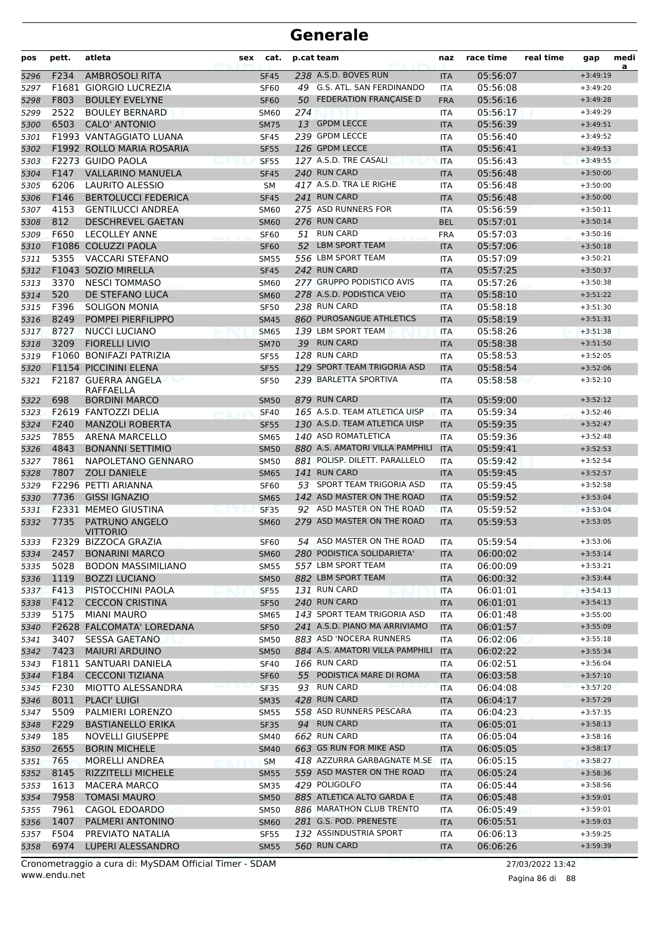| 238 A.S.D. BOVES RUN<br>F234<br><b>AMBROSOLI RITA</b><br>05:56:07<br>$+3:49:19$<br><b>SF45</b><br>5296<br><b>ITA</b><br>49 G.S. ATL. SAN FERDINANDO<br>F1681 GIORGIO LUCREZIA<br>05:56:08<br>5297<br><b>SF60</b><br><b>ITA</b><br>$+3:49:20$<br>F803<br><b>BOULEY EVELYNE</b><br>50 FEDERATION FRANÇAISE D<br>05:56:16<br>5298<br><b>SF60</b><br><b>FRA</b><br>$+3:49:28$<br>2522<br><b>BOULEY BERNARD</b><br>274<br>05:56:17<br>$+3:49:29$<br>5299<br><b>SM60</b><br>ITA<br>6503<br>13 GPDM LECCE<br><b>CALO' ANTONIO</b><br>05:56:39<br>5300<br><b>SM75</b><br>$+3:49:51$<br><b>ITA</b><br>239 GPDM LECCE<br>F1993 VANTAGGIATO LUANA<br>05:56:40<br>5301<br><b>SF45</b><br><b>ITA</b><br>$+3:49:52$<br>F1992 ROLLO MARIA ROSARIA<br>126 GPDM LECCE<br>05:56:41<br>5302<br><b>SF55</b><br>$+3:49:53$<br><b>ITA</b><br>F2273 GUIDO PAOLA<br>127 A.S.D. TRE CASALI<br>05:56:43<br>5303<br><b>SF55</b><br><b>ITA</b><br>$+3:49:55$<br>240 RUN CARD<br>F147<br><b>VALLARINO MANUELA</b><br>05:56:48<br>5304<br><b>SF45</b><br><b>ITA</b><br>$+3:50:00$<br>417 A.S.D. TRA LE RIGHE<br>6206<br>LAURITO ALESSIO<br>05:56:48<br>$+3:50:00$<br>5305<br>SΜ<br>ITA<br>241 RUN CARD<br>F146<br><b>BERTOLUCCI FEDERICA</b><br>05:56:48<br>5306<br><b>SF45</b><br><b>ITA</b><br>$+3:50:00$<br>275 ASD RUNNERS FOR<br>4153<br><b>GENTILUCCI ANDREA</b><br>05:56:59<br>5307<br><b>SM60</b><br><b>ITA</b><br>$+3:50:11$<br>812<br><b>DESCHREVEL GAETAN</b><br>276 RUN CARD<br>05:57:01<br>$+3:50:14$<br>5308<br><b>BEL</b><br><b>SM60</b><br>F650<br><b>LECOLLEY ANNE</b><br>51 RUN CARD<br>05:57:03<br>5309<br><b>SF60</b><br><b>FRA</b><br>$+3:50:16$<br>F1086 COLUZZI PAOLA<br>52 LBM SPORT TEAM<br>05:57:06<br>$+3:50:18$<br>5310<br><b>SF60</b><br><b>ITA</b><br>556 LBM SPORT TEAM<br>5355<br><b>VACCARI STEFANO</b><br>05:57:09<br>$+3:50:21$<br>5311<br>SM55<br>ITA<br>242 RUN CARD<br>F1043 SOZIO MIRELLA<br>05:57:25<br>5312<br><b>SF45</b><br><b>ITA</b><br>$+3:50:37$<br>277 GRUPPO PODISTICO AVIS<br>3370<br><b>NESCI TOMMASO</b><br>05:57:26<br>$+3:50:38$<br>5313<br><b>SM60</b><br><b>ITA</b><br>520<br>DE STEFANO LUCA<br>278 A.S.D. PODISTICA VEIO<br>05:58:10<br>$+3:51:22$<br>5314<br><b>SM60</b><br><b>ITA</b><br>F396<br>238 RUN CARD<br><b>SOLIGON MONIA</b><br>05:58:18<br>5315<br><b>SF50</b><br>ITA<br>$+3:51:30$<br>8249<br>POMPEI PIERFILIPPO<br>860 PUROSANGUE ATHLETICS<br>05:58:19<br>5316<br>$+3:51:31$<br><b>SM45</b><br><b>ITA</b><br>8727<br>139 LBM SPORT TEAM<br><b>NUCCI LUCIANO</b><br>05:58:26<br>$+3:51:38$<br><b>SM65</b><br>5317<br><b>ITA</b><br>39 RUN CARD<br>3209<br><b>FIORELLI LIVIO</b><br>05:58:38<br>5318<br><b>SM70</b><br><b>ITA</b><br>$+3:51:50$<br>F1060 BONIFAZI PATRIZIA<br>128 RUN CARD<br>05:58:53<br>5319<br>$+3:52:05$<br><b>SF55</b><br>ITA<br>F1154 PICCININI ELENA<br>129 SPORT TEAM TRIGORIA ASD<br>05:58:54<br>5320<br><b>SF55</b><br><b>ITA</b><br>$+3:52:06$<br>239 BARLETTA SPORTIVA<br>F2187 GUERRA ANGELA<br>05:58:58<br>5321<br><b>SF50</b><br>ITA<br>$+3:52:10$<br>RAFFAELLA<br>879 RUN CARD<br>698<br><b>BORDINI MARCO</b><br>05:59:00<br>$+3:52:12$<br>5322<br><b>SM50</b><br><b>ITA</b><br>165 A.S.D. TEAM ATLETICA UISP<br>F2619 FANTOZZI DELIA<br>05:59:34<br><b>SF40</b><br>$+3:52:46$<br>5323<br><b>ITA</b><br>130 A.S.D. TEAM ATLETICA UISP<br>F240<br><b>MANZOLI ROBERTA</b><br>05:59:35<br>$+3:52:47$<br>5324<br><b>SF55</b><br><b>ITA</b><br>140 ASD ROMATLETICA<br>7855<br>05:59:36<br>5325<br>ARENA MARCELLO<br><b>SM65</b><br>ITA<br>$+3:52:48$<br>4843<br><b>BONANNI SETTIMIO</b><br>880 A.S. AMATORI VILLA PAMPHILI<br>05:59:41<br>5326<br><b>ITA</b><br>$+3:52:53$<br><b>SM50</b><br>881 POLISP. DILETT. PARALLELO<br>7861<br>NAPOLETANO GENNARO<br>05:59:42<br>5327<br>$+3:52:54$<br><b>SM50</b><br>ITA<br>141 RUN CARD<br>7807<br><b>ZOLI DANIELE</b><br>05:59:45<br>5328<br><b>SM65</b><br><b>ITA</b><br>$+3:52:57$<br>F2296 PETTI ARIANNA<br>53 SPORT TEAM TRIGORIA ASD<br>05:59:45<br>$+3:52:58$<br>5329<br><b>SF60</b><br><b>ITA</b><br>7736<br>142 ASD MASTER ON THE ROAD<br><b>GISSI IGNAZIO</b><br>05:59:52<br>5330<br>$+3:53:04$<br><b>SM65</b><br><b>ITA</b><br><b>F2331 MEMEO GIUSTINA</b><br>92 ASD MASTER ON THE ROAD<br>5331<br><b>SF35</b><br><b>ITA</b><br>05:59:52<br>$+3:53:04$<br>7735<br>PATRUNO ANGELO<br>279 ASD MASTER ON THE ROAD<br>5332<br>05:59:53<br>$+3:53:05$<br><b>SM60</b><br><b>ITA</b><br><b>VITTORIO</b><br>F2329 BIZZOCA GRAZIA<br>54 ASD MASTER ON THE ROAD<br>05:59:54<br>$+3:53:06$<br>5333<br><b>SF60</b><br>ITA<br>2457<br><b>BONARINI MARCO</b><br>280 PODISTICA SOLIDARIETA'<br>06:00:02<br><b>SM60</b><br>$+3:53:14$<br>5334<br><b>ITA</b><br>5028<br><b>BODON MASSIMILIANO</b><br>557 LBM SPORT TEAM<br>06:00:09<br>5335<br><b>SM55</b><br>ITA<br>$+3:53:21$<br>1119<br>882 LBM SPORT TEAM<br><b>BOZZI LUCIANO</b><br><b>SM50</b><br>06:00:32<br>$+3:53:44$<br>5336<br><b>ITA</b><br>131 RUN CARD<br>F413<br>PISTOCCHINI PAOLA<br>06:01:01<br><b>SF55</b><br>$+3:54:13$<br>5337<br><b>ITA</b><br>F412<br><b>CECCON CRISTINA</b><br>240 RUN CARD<br>06:01:01<br>$+3:54:13$<br>5338<br><b>SF50</b><br><b>ITA</b><br>143 SPORT TEAM TRIGORIA ASD<br>$+3:55:00$<br>5175<br><b>MIANI MAURO</b><br>06:01:48<br>5339<br>SM65<br>ITA<br>241 A.S.D. PIANO MA ARRIVIAMO<br>F2628 FALCOMATA' LOREDANA<br>06:01:57<br>5340<br><b>SF50</b><br><b>ITA</b><br>$+3:55:09$<br>3407<br><b>SESSA GAETANO</b><br>883 ASD 'NOCERA RUNNERS<br>06:02:06<br>5341<br><b>SM50</b><br>ITA<br>$+3:55:18$<br>7423<br>884 A.S. AMATORI VILLA PAMPHILI<br><b>MAIURI ARDUINO</b><br>06:02:22<br>$+3:55:34$<br>5342<br><b>SM50</b><br><b>ITA</b><br>166 RUN CARD<br>F1811 SANTUARI DANIELA<br>06:02:51<br><b>SF40</b><br>$+3:56:04$<br>5343<br><b>ITA</b><br><b>CECCONI TIZIANA</b><br>55 PODISTICA MARE DI ROMA<br>06:03:58<br>5344<br>F184<br><b>SF60</b><br><b>ITA</b><br>$+3:57:10$<br>93 RUN CARD<br>F230<br>MIOTTO ALESSANDRA<br>06:04:08<br>$+3:57:20$<br>5345<br><b>SF35</b><br><b>ITA</b><br>8011<br>428 RUN CARD<br><b>PLACI' LUIGI</b><br>06:04:17<br>5346<br><b>SM35</b><br><b>ITA</b><br>$+3:57:29$<br>5509<br>PALMIERI LORENZO<br>558 ASD RUNNERS PESCARA<br><b>SM55</b><br>06:04:23<br>$+3:57:35$<br>5347<br><b>ITA</b><br>F229<br>94 RUN CARD<br><b>BASTIANELLO ERIKA</b><br><b>SF35</b><br>06:05:01<br>$+3:58:13$<br>5348<br><b>ITA</b><br>185<br>662 RUN CARD<br>06:05:04<br><b>NOVELLI GIUSEPPE</b><br><b>SM40</b><br>$+3:58:16$<br>5349<br>ITA<br>663 GS RUN FOR MIKE ASD<br>2655<br><b>BORIN MICHELE</b><br>06:05:05<br>$+3:58:17$<br><b>SM40</b><br><b>ITA</b><br>5350<br>418 AZZURRA GARBAGNATE M.SE<br>$+3:58:27$<br>765<br>MORELLI ANDREA<br><b>ITA</b><br>06:05:15<br>5351<br><b>SM</b><br>8145<br>RIZZITELLI MICHELE<br>559 ASD MASTER ON THE ROAD<br>06:05:24<br>5352<br><b>ITA</b><br>$+3:58:36$<br><b>SM55</b><br>1613<br>429 POLIGOLFO<br>06:05:44<br><b>MACERA MARCO</b><br>$+3:58:56$<br>5353<br><b>SM35</b><br><b>ITA</b><br>7958<br>885 ATLETICA ALTO GARDA E<br><b>TOMASI MAURO</b><br>06:05:48<br>$+3:59:01$<br>5354<br><b>SM50</b><br><b>ITA</b><br>7961<br>886 MARATHON CLUB TRENTO<br>CAGOL EDOARDO<br>06:05:49<br>$+3:59:01$<br>5355<br>SM50<br><b>ITA</b><br>PALMERI ANTONINO<br>281 G.S. POD. PRENESTE<br>06:05:51<br>1407<br>$+3:59:03$<br>5356<br><b>SM60</b><br><b>ITA</b><br>132 ASSINDUSTRIA SPORT<br>F504<br>PREVIATO NATALIA<br>06:06:13<br>$+3:59:25$<br>5357<br><b>SF55</b><br>ITA<br>560 RUN CARD<br>6974<br>LUPERI ALESSANDRO<br>5358<br><b>SM55</b><br>06:06:26<br>$+3:59:39$<br><b>ITA</b> | pos | pett. | atleta | sex | cat. | p.cat team | naz | race time | real time | gap | medi<br>a |
|---------------------------------------------------------------------------------------------------------------------------------------------------------------------------------------------------------------------------------------------------------------------------------------------------------------------------------------------------------------------------------------------------------------------------------------------------------------------------------------------------------------------------------------------------------------------------------------------------------------------------------------------------------------------------------------------------------------------------------------------------------------------------------------------------------------------------------------------------------------------------------------------------------------------------------------------------------------------------------------------------------------------------------------------------------------------------------------------------------------------------------------------------------------------------------------------------------------------------------------------------------------------------------------------------------------------------------------------------------------------------------------------------------------------------------------------------------------------------------------------------------------------------------------------------------------------------------------------------------------------------------------------------------------------------------------------------------------------------------------------------------------------------------------------------------------------------------------------------------------------------------------------------------------------------------------------------------------------------------------------------------------------------------------------------------------------------------------------------------------------------------------------------------------------------------------------------------------------------------------------------------------------------------------------------------------------------------------------------------------------------------------------------------------------------------------------------------------------------------------------------------------------------------------------------------------------------------------------------------------------------------------------------------------------------------------------------------------------------------------------------------------------------------------------------------------------------------------------------------------------------------------------------------------------------------------------------------------------------------------------------------------------------------------------------------------------------------------------------------------------------------------------------------------------------------------------------------------------------------------------------------------------------------------------------------------------------------------------------------------------------------------------------------------------------------------------------------------------------------------------------------------------------------------------------------------------------------------------------------------------------------------------------------------------------------------------------------------------------------------------------------------------------------------------------------------------------------------------------------------------------------------------------------------------------------------------------------------------------------------------------------------------------------------------------------------------------------------------------------------------------------------------------------------------------------------------------------------------------------------------------------------------------------------------------------------------------------------------------------------------------------------------------------------------------------------------------------------------------------------------------------------------------------------------------------------------------------------------------------------------------------------------------------------------------------------------------------------------------------------------------------------------------------------------------------------------------------------------------------------------------------------------------------------------------------------------------------------------------------------------------------------------------------------------------------------------------------------------------------------------------------------------------------------------------------------------------------------------------------------------------------------------------------------------------------------------------------------------------------------------------------------------------------------------------------------------------------------------------------------------------------------------------------------------------------------------------------------------------------------------------------------------------------------------------------------------------------------------------------------------------------------------------------------------------------------------------------------------------------------------------------------------------------------------------------------------------------------------------------------------------------------------------------------------------------------------------------------------------------------------------------------------------------------------------------------------------------------------------------------------------------------------------------------------------------------------------------------------------------------------------------------------------------------------------------------------------------------------------------------------------------------------------------------------------------------------------------------------------------------------------------------------------------------------------------------------------------------------------------------------------------------------------------------------------------------------------------------------------------------------------------------------------------------------------------------------------------------------------------------------------------------------------------------------------------------------------------------------------------------------------------------------------------------------------------------------------------------------------------------------------------------------------------------------------------------------------------------------------------------------------------------------------------------------------------------------------------------------------------------------------------------------------------------------|-----|-------|--------|-----|------|------------|-----|-----------|-----------|-----|-----------|
|                                                                                                                                                                                                                                                                                                                                                                                                                                                                                                                                                                                                                                                                                                                                                                                                                                                                                                                                                                                                                                                                                                                                                                                                                                                                                                                                                                                                                                                                                                                                                                                                                                                                                                                                                                                                                                                                                                                                                                                                                                                                                                                                                                                                                                                                                                                                                                                                                                                                                                                                                                                                                                                                                                                                                                                                                                                                                                                                                                                                                                                                                                                                                                                                                                                                                                                                                                                                                                                                                                                                                                                                                                                                                                                                                                                                                                                                                                                                                                                                                                                                                                                                                                                                                                                                                                                                                                                                                                                                                                                                                                                                                                                                                                                                                                                                                                                                                                                                                                                                                                                                                                                                                                                                                                                                                                                                                                                                                                                                                                                                                                                                                                                                                                                                                                                                                                                                                                                                                                                                                                                                                                                                                                                                                                                                                                                                                                                                                                                                                                                                                                                                                                                                                                                                                                                                                                                                                                                                                                                                                                                                                                                                                                                                                                                                                                                                                                                                                                                                                                                                             |     |       |        |     |      |            |     |           |           |     |           |
|                                                                                                                                                                                                                                                                                                                                                                                                                                                                                                                                                                                                                                                                                                                                                                                                                                                                                                                                                                                                                                                                                                                                                                                                                                                                                                                                                                                                                                                                                                                                                                                                                                                                                                                                                                                                                                                                                                                                                                                                                                                                                                                                                                                                                                                                                                                                                                                                                                                                                                                                                                                                                                                                                                                                                                                                                                                                                                                                                                                                                                                                                                                                                                                                                                                                                                                                                                                                                                                                                                                                                                                                                                                                                                                                                                                                                                                                                                                                                                                                                                                                                                                                                                                                                                                                                                                                                                                                                                                                                                                                                                                                                                                                                                                                                                                                                                                                                                                                                                                                                                                                                                                                                                                                                                                                                                                                                                                                                                                                                                                                                                                                                                                                                                                                                                                                                                                                                                                                                                                                                                                                                                                                                                                                                                                                                                                                                                                                                                                                                                                                                                                                                                                                                                                                                                                                                                                                                                                                                                                                                                                                                                                                                                                                                                                                                                                                                                                                                                                                                                                                             |     |       |        |     |      |            |     |           |           |     |           |
|                                                                                                                                                                                                                                                                                                                                                                                                                                                                                                                                                                                                                                                                                                                                                                                                                                                                                                                                                                                                                                                                                                                                                                                                                                                                                                                                                                                                                                                                                                                                                                                                                                                                                                                                                                                                                                                                                                                                                                                                                                                                                                                                                                                                                                                                                                                                                                                                                                                                                                                                                                                                                                                                                                                                                                                                                                                                                                                                                                                                                                                                                                                                                                                                                                                                                                                                                                                                                                                                                                                                                                                                                                                                                                                                                                                                                                                                                                                                                                                                                                                                                                                                                                                                                                                                                                                                                                                                                                                                                                                                                                                                                                                                                                                                                                                                                                                                                                                                                                                                                                                                                                                                                                                                                                                                                                                                                                                                                                                                                                                                                                                                                                                                                                                                                                                                                                                                                                                                                                                                                                                                                                                                                                                                                                                                                                                                                                                                                                                                                                                                                                                                                                                                                                                                                                                                                                                                                                                                                                                                                                                                                                                                                                                                                                                                                                                                                                                                                                                                                                                                             |     |       |        |     |      |            |     |           |           |     |           |
|                                                                                                                                                                                                                                                                                                                                                                                                                                                                                                                                                                                                                                                                                                                                                                                                                                                                                                                                                                                                                                                                                                                                                                                                                                                                                                                                                                                                                                                                                                                                                                                                                                                                                                                                                                                                                                                                                                                                                                                                                                                                                                                                                                                                                                                                                                                                                                                                                                                                                                                                                                                                                                                                                                                                                                                                                                                                                                                                                                                                                                                                                                                                                                                                                                                                                                                                                                                                                                                                                                                                                                                                                                                                                                                                                                                                                                                                                                                                                                                                                                                                                                                                                                                                                                                                                                                                                                                                                                                                                                                                                                                                                                                                                                                                                                                                                                                                                                                                                                                                                                                                                                                                                                                                                                                                                                                                                                                                                                                                                                                                                                                                                                                                                                                                                                                                                                                                                                                                                                                                                                                                                                                                                                                                                                                                                                                                                                                                                                                                                                                                                                                                                                                                                                                                                                                                                                                                                                                                                                                                                                                                                                                                                                                                                                                                                                                                                                                                                                                                                                                                             |     |       |        |     |      |            |     |           |           |     |           |
|                                                                                                                                                                                                                                                                                                                                                                                                                                                                                                                                                                                                                                                                                                                                                                                                                                                                                                                                                                                                                                                                                                                                                                                                                                                                                                                                                                                                                                                                                                                                                                                                                                                                                                                                                                                                                                                                                                                                                                                                                                                                                                                                                                                                                                                                                                                                                                                                                                                                                                                                                                                                                                                                                                                                                                                                                                                                                                                                                                                                                                                                                                                                                                                                                                                                                                                                                                                                                                                                                                                                                                                                                                                                                                                                                                                                                                                                                                                                                                                                                                                                                                                                                                                                                                                                                                                                                                                                                                                                                                                                                                                                                                                                                                                                                                                                                                                                                                                                                                                                                                                                                                                                                                                                                                                                                                                                                                                                                                                                                                                                                                                                                                                                                                                                                                                                                                                                                                                                                                                                                                                                                                                                                                                                                                                                                                                                                                                                                                                                                                                                                                                                                                                                                                                                                                                                                                                                                                                                                                                                                                                                                                                                                                                                                                                                                                                                                                                                                                                                                                                                             |     |       |        |     |      |            |     |           |           |     |           |
|                                                                                                                                                                                                                                                                                                                                                                                                                                                                                                                                                                                                                                                                                                                                                                                                                                                                                                                                                                                                                                                                                                                                                                                                                                                                                                                                                                                                                                                                                                                                                                                                                                                                                                                                                                                                                                                                                                                                                                                                                                                                                                                                                                                                                                                                                                                                                                                                                                                                                                                                                                                                                                                                                                                                                                                                                                                                                                                                                                                                                                                                                                                                                                                                                                                                                                                                                                                                                                                                                                                                                                                                                                                                                                                                                                                                                                                                                                                                                                                                                                                                                                                                                                                                                                                                                                                                                                                                                                                                                                                                                                                                                                                                                                                                                                                                                                                                                                                                                                                                                                                                                                                                                                                                                                                                                                                                                                                                                                                                                                                                                                                                                                                                                                                                                                                                                                                                                                                                                                                                                                                                                                                                                                                                                                                                                                                                                                                                                                                                                                                                                                                                                                                                                                                                                                                                                                                                                                                                                                                                                                                                                                                                                                                                                                                                                                                                                                                                                                                                                                                                             |     |       |        |     |      |            |     |           |           |     |           |
|                                                                                                                                                                                                                                                                                                                                                                                                                                                                                                                                                                                                                                                                                                                                                                                                                                                                                                                                                                                                                                                                                                                                                                                                                                                                                                                                                                                                                                                                                                                                                                                                                                                                                                                                                                                                                                                                                                                                                                                                                                                                                                                                                                                                                                                                                                                                                                                                                                                                                                                                                                                                                                                                                                                                                                                                                                                                                                                                                                                                                                                                                                                                                                                                                                                                                                                                                                                                                                                                                                                                                                                                                                                                                                                                                                                                                                                                                                                                                                                                                                                                                                                                                                                                                                                                                                                                                                                                                                                                                                                                                                                                                                                                                                                                                                                                                                                                                                                                                                                                                                                                                                                                                                                                                                                                                                                                                                                                                                                                                                                                                                                                                                                                                                                                                                                                                                                                                                                                                                                                                                                                                                                                                                                                                                                                                                                                                                                                                                                                                                                                                                                                                                                                                                                                                                                                                                                                                                                                                                                                                                                                                                                                                                                                                                                                                                                                                                                                                                                                                                                                             |     |       |        |     |      |            |     |           |           |     |           |
|                                                                                                                                                                                                                                                                                                                                                                                                                                                                                                                                                                                                                                                                                                                                                                                                                                                                                                                                                                                                                                                                                                                                                                                                                                                                                                                                                                                                                                                                                                                                                                                                                                                                                                                                                                                                                                                                                                                                                                                                                                                                                                                                                                                                                                                                                                                                                                                                                                                                                                                                                                                                                                                                                                                                                                                                                                                                                                                                                                                                                                                                                                                                                                                                                                                                                                                                                                                                                                                                                                                                                                                                                                                                                                                                                                                                                                                                                                                                                                                                                                                                                                                                                                                                                                                                                                                                                                                                                                                                                                                                                                                                                                                                                                                                                                                                                                                                                                                                                                                                                                                                                                                                                                                                                                                                                                                                                                                                                                                                                                                                                                                                                                                                                                                                                                                                                                                                                                                                                                                                                                                                                                                                                                                                                                                                                                                                                                                                                                                                                                                                                                                                                                                                                                                                                                                                                                                                                                                                                                                                                                                                                                                                                                                                                                                                                                                                                                                                                                                                                                                                             |     |       |        |     |      |            |     |           |           |     |           |
|                                                                                                                                                                                                                                                                                                                                                                                                                                                                                                                                                                                                                                                                                                                                                                                                                                                                                                                                                                                                                                                                                                                                                                                                                                                                                                                                                                                                                                                                                                                                                                                                                                                                                                                                                                                                                                                                                                                                                                                                                                                                                                                                                                                                                                                                                                                                                                                                                                                                                                                                                                                                                                                                                                                                                                                                                                                                                                                                                                                                                                                                                                                                                                                                                                                                                                                                                                                                                                                                                                                                                                                                                                                                                                                                                                                                                                                                                                                                                                                                                                                                                                                                                                                                                                                                                                                                                                                                                                                                                                                                                                                                                                                                                                                                                                                                                                                                                                                                                                                                                                                                                                                                                                                                                                                                                                                                                                                                                                                                                                                                                                                                                                                                                                                                                                                                                                                                                                                                                                                                                                                                                                                                                                                                                                                                                                                                                                                                                                                                                                                                                                                                                                                                                                                                                                                                                                                                                                                                                                                                                                                                                                                                                                                                                                                                                                                                                                                                                                                                                                                                             |     |       |        |     |      |            |     |           |           |     |           |
|                                                                                                                                                                                                                                                                                                                                                                                                                                                                                                                                                                                                                                                                                                                                                                                                                                                                                                                                                                                                                                                                                                                                                                                                                                                                                                                                                                                                                                                                                                                                                                                                                                                                                                                                                                                                                                                                                                                                                                                                                                                                                                                                                                                                                                                                                                                                                                                                                                                                                                                                                                                                                                                                                                                                                                                                                                                                                                                                                                                                                                                                                                                                                                                                                                                                                                                                                                                                                                                                                                                                                                                                                                                                                                                                                                                                                                                                                                                                                                                                                                                                                                                                                                                                                                                                                                                                                                                                                                                                                                                                                                                                                                                                                                                                                                                                                                                                                                                                                                                                                                                                                                                                                                                                                                                                                                                                                                                                                                                                                                                                                                                                                                                                                                                                                                                                                                                                                                                                                                                                                                                                                                                                                                                                                                                                                                                                                                                                                                                                                                                                                                                                                                                                                                                                                                                                                                                                                                                                                                                                                                                                                                                                                                                                                                                                                                                                                                                                                                                                                                                                             |     |       |        |     |      |            |     |           |           |     |           |
|                                                                                                                                                                                                                                                                                                                                                                                                                                                                                                                                                                                                                                                                                                                                                                                                                                                                                                                                                                                                                                                                                                                                                                                                                                                                                                                                                                                                                                                                                                                                                                                                                                                                                                                                                                                                                                                                                                                                                                                                                                                                                                                                                                                                                                                                                                                                                                                                                                                                                                                                                                                                                                                                                                                                                                                                                                                                                                                                                                                                                                                                                                                                                                                                                                                                                                                                                                                                                                                                                                                                                                                                                                                                                                                                                                                                                                                                                                                                                                                                                                                                                                                                                                                                                                                                                                                                                                                                                                                                                                                                                                                                                                                                                                                                                                                                                                                                                                                                                                                                                                                                                                                                                                                                                                                                                                                                                                                                                                                                                                                                                                                                                                                                                                                                                                                                                                                                                                                                                                                                                                                                                                                                                                                                                                                                                                                                                                                                                                                                                                                                                                                                                                                                                                                                                                                                                                                                                                                                                                                                                                                                                                                                                                                                                                                                                                                                                                                                                                                                                                                                             |     |       |        |     |      |            |     |           |           |     |           |
|                                                                                                                                                                                                                                                                                                                                                                                                                                                                                                                                                                                                                                                                                                                                                                                                                                                                                                                                                                                                                                                                                                                                                                                                                                                                                                                                                                                                                                                                                                                                                                                                                                                                                                                                                                                                                                                                                                                                                                                                                                                                                                                                                                                                                                                                                                                                                                                                                                                                                                                                                                                                                                                                                                                                                                                                                                                                                                                                                                                                                                                                                                                                                                                                                                                                                                                                                                                                                                                                                                                                                                                                                                                                                                                                                                                                                                                                                                                                                                                                                                                                                                                                                                                                                                                                                                                                                                                                                                                                                                                                                                                                                                                                                                                                                                                                                                                                                                                                                                                                                                                                                                                                                                                                                                                                                                                                                                                                                                                                                                                                                                                                                                                                                                                                                                                                                                                                                                                                                                                                                                                                                                                                                                                                                                                                                                                                                                                                                                                                                                                                                                                                                                                                                                                                                                                                                                                                                                                                                                                                                                                                                                                                                                                                                                                                                                                                                                                                                                                                                                                                             |     |       |        |     |      |            |     |           |           |     |           |
|                                                                                                                                                                                                                                                                                                                                                                                                                                                                                                                                                                                                                                                                                                                                                                                                                                                                                                                                                                                                                                                                                                                                                                                                                                                                                                                                                                                                                                                                                                                                                                                                                                                                                                                                                                                                                                                                                                                                                                                                                                                                                                                                                                                                                                                                                                                                                                                                                                                                                                                                                                                                                                                                                                                                                                                                                                                                                                                                                                                                                                                                                                                                                                                                                                                                                                                                                                                                                                                                                                                                                                                                                                                                                                                                                                                                                                                                                                                                                                                                                                                                                                                                                                                                                                                                                                                                                                                                                                                                                                                                                                                                                                                                                                                                                                                                                                                                                                                                                                                                                                                                                                                                                                                                                                                                                                                                                                                                                                                                                                                                                                                                                                                                                                                                                                                                                                                                                                                                                                                                                                                                                                                                                                                                                                                                                                                                                                                                                                                                                                                                                                                                                                                                                                                                                                                                                                                                                                                                                                                                                                                                                                                                                                                                                                                                                                                                                                                                                                                                                                                                             |     |       |        |     |      |            |     |           |           |     |           |
|                                                                                                                                                                                                                                                                                                                                                                                                                                                                                                                                                                                                                                                                                                                                                                                                                                                                                                                                                                                                                                                                                                                                                                                                                                                                                                                                                                                                                                                                                                                                                                                                                                                                                                                                                                                                                                                                                                                                                                                                                                                                                                                                                                                                                                                                                                                                                                                                                                                                                                                                                                                                                                                                                                                                                                                                                                                                                                                                                                                                                                                                                                                                                                                                                                                                                                                                                                                                                                                                                                                                                                                                                                                                                                                                                                                                                                                                                                                                                                                                                                                                                                                                                                                                                                                                                                                                                                                                                                                                                                                                                                                                                                                                                                                                                                                                                                                                                                                                                                                                                                                                                                                                                                                                                                                                                                                                                                                                                                                                                                                                                                                                                                                                                                                                                                                                                                                                                                                                                                                                                                                                                                                                                                                                                                                                                                                                                                                                                                                                                                                                                                                                                                                                                                                                                                                                                                                                                                                                                                                                                                                                                                                                                                                                                                                                                                                                                                                                                                                                                                                                             |     |       |        |     |      |            |     |           |           |     |           |
|                                                                                                                                                                                                                                                                                                                                                                                                                                                                                                                                                                                                                                                                                                                                                                                                                                                                                                                                                                                                                                                                                                                                                                                                                                                                                                                                                                                                                                                                                                                                                                                                                                                                                                                                                                                                                                                                                                                                                                                                                                                                                                                                                                                                                                                                                                                                                                                                                                                                                                                                                                                                                                                                                                                                                                                                                                                                                                                                                                                                                                                                                                                                                                                                                                                                                                                                                                                                                                                                                                                                                                                                                                                                                                                                                                                                                                                                                                                                                                                                                                                                                                                                                                                                                                                                                                                                                                                                                                                                                                                                                                                                                                                                                                                                                                                                                                                                                                                                                                                                                                                                                                                                                                                                                                                                                                                                                                                                                                                                                                                                                                                                                                                                                                                                                                                                                                                                                                                                                                                                                                                                                                                                                                                                                                                                                                                                                                                                                                                                                                                                                                                                                                                                                                                                                                                                                                                                                                                                                                                                                                                                                                                                                                                                                                                                                                                                                                                                                                                                                                                                             |     |       |        |     |      |            |     |           |           |     |           |
|                                                                                                                                                                                                                                                                                                                                                                                                                                                                                                                                                                                                                                                                                                                                                                                                                                                                                                                                                                                                                                                                                                                                                                                                                                                                                                                                                                                                                                                                                                                                                                                                                                                                                                                                                                                                                                                                                                                                                                                                                                                                                                                                                                                                                                                                                                                                                                                                                                                                                                                                                                                                                                                                                                                                                                                                                                                                                                                                                                                                                                                                                                                                                                                                                                                                                                                                                                                                                                                                                                                                                                                                                                                                                                                                                                                                                                                                                                                                                                                                                                                                                                                                                                                                                                                                                                                                                                                                                                                                                                                                                                                                                                                                                                                                                                                                                                                                                                                                                                                                                                                                                                                                                                                                                                                                                                                                                                                                                                                                                                                                                                                                                                                                                                                                                                                                                                                                                                                                                                                                                                                                                                                                                                                                                                                                                                                                                                                                                                                                                                                                                                                                                                                                                                                                                                                                                                                                                                                                                                                                                                                                                                                                                                                                                                                                                                                                                                                                                                                                                                                                             |     |       |        |     |      |            |     |           |           |     |           |
|                                                                                                                                                                                                                                                                                                                                                                                                                                                                                                                                                                                                                                                                                                                                                                                                                                                                                                                                                                                                                                                                                                                                                                                                                                                                                                                                                                                                                                                                                                                                                                                                                                                                                                                                                                                                                                                                                                                                                                                                                                                                                                                                                                                                                                                                                                                                                                                                                                                                                                                                                                                                                                                                                                                                                                                                                                                                                                                                                                                                                                                                                                                                                                                                                                                                                                                                                                                                                                                                                                                                                                                                                                                                                                                                                                                                                                                                                                                                                                                                                                                                                                                                                                                                                                                                                                                                                                                                                                                                                                                                                                                                                                                                                                                                                                                                                                                                                                                                                                                                                                                                                                                                                                                                                                                                                                                                                                                                                                                                                                                                                                                                                                                                                                                                                                                                                                                                                                                                                                                                                                                                                                                                                                                                                                                                                                                                                                                                                                                                                                                                                                                                                                                                                                                                                                                                                                                                                                                                                                                                                                                                                                                                                                                                                                                                                                                                                                                                                                                                                                                                             |     |       |        |     |      |            |     |           |           |     |           |
|                                                                                                                                                                                                                                                                                                                                                                                                                                                                                                                                                                                                                                                                                                                                                                                                                                                                                                                                                                                                                                                                                                                                                                                                                                                                                                                                                                                                                                                                                                                                                                                                                                                                                                                                                                                                                                                                                                                                                                                                                                                                                                                                                                                                                                                                                                                                                                                                                                                                                                                                                                                                                                                                                                                                                                                                                                                                                                                                                                                                                                                                                                                                                                                                                                                                                                                                                                                                                                                                                                                                                                                                                                                                                                                                                                                                                                                                                                                                                                                                                                                                                                                                                                                                                                                                                                                                                                                                                                                                                                                                                                                                                                                                                                                                                                                                                                                                                                                                                                                                                                                                                                                                                                                                                                                                                                                                                                                                                                                                                                                                                                                                                                                                                                                                                                                                                                                                                                                                                                                                                                                                                                                                                                                                                                                                                                                                                                                                                                                                                                                                                                                                                                                                                                                                                                                                                                                                                                                                                                                                                                                                                                                                                                                                                                                                                                                                                                                                                                                                                                                                             |     |       |        |     |      |            |     |           |           |     |           |
|                                                                                                                                                                                                                                                                                                                                                                                                                                                                                                                                                                                                                                                                                                                                                                                                                                                                                                                                                                                                                                                                                                                                                                                                                                                                                                                                                                                                                                                                                                                                                                                                                                                                                                                                                                                                                                                                                                                                                                                                                                                                                                                                                                                                                                                                                                                                                                                                                                                                                                                                                                                                                                                                                                                                                                                                                                                                                                                                                                                                                                                                                                                                                                                                                                                                                                                                                                                                                                                                                                                                                                                                                                                                                                                                                                                                                                                                                                                                                                                                                                                                                                                                                                                                                                                                                                                                                                                                                                                                                                                                                                                                                                                                                                                                                                                                                                                                                                                                                                                                                                                                                                                                                                                                                                                                                                                                                                                                                                                                                                                                                                                                                                                                                                                                                                                                                                                                                                                                                                                                                                                                                                                                                                                                                                                                                                                                                                                                                                                                                                                                                                                                                                                                                                                                                                                                                                                                                                                                                                                                                                                                                                                                                                                                                                                                                                                                                                                                                                                                                                                                             |     |       |        |     |      |            |     |           |           |     |           |
|                                                                                                                                                                                                                                                                                                                                                                                                                                                                                                                                                                                                                                                                                                                                                                                                                                                                                                                                                                                                                                                                                                                                                                                                                                                                                                                                                                                                                                                                                                                                                                                                                                                                                                                                                                                                                                                                                                                                                                                                                                                                                                                                                                                                                                                                                                                                                                                                                                                                                                                                                                                                                                                                                                                                                                                                                                                                                                                                                                                                                                                                                                                                                                                                                                                                                                                                                                                                                                                                                                                                                                                                                                                                                                                                                                                                                                                                                                                                                                                                                                                                                                                                                                                                                                                                                                                                                                                                                                                                                                                                                                                                                                                                                                                                                                                                                                                                                                                                                                                                                                                                                                                                                                                                                                                                                                                                                                                                                                                                                                                                                                                                                                                                                                                                                                                                                                                                                                                                                                                                                                                                                                                                                                                                                                                                                                                                                                                                                                                                                                                                                                                                                                                                                                                                                                                                                                                                                                                                                                                                                                                                                                                                                                                                                                                                                                                                                                                                                                                                                                                                             |     |       |        |     |      |            |     |           |           |     |           |
|                                                                                                                                                                                                                                                                                                                                                                                                                                                                                                                                                                                                                                                                                                                                                                                                                                                                                                                                                                                                                                                                                                                                                                                                                                                                                                                                                                                                                                                                                                                                                                                                                                                                                                                                                                                                                                                                                                                                                                                                                                                                                                                                                                                                                                                                                                                                                                                                                                                                                                                                                                                                                                                                                                                                                                                                                                                                                                                                                                                                                                                                                                                                                                                                                                                                                                                                                                                                                                                                                                                                                                                                                                                                                                                                                                                                                                                                                                                                                                                                                                                                                                                                                                                                                                                                                                                                                                                                                                                                                                                                                                                                                                                                                                                                                                                                                                                                                                                                                                                                                                                                                                                                                                                                                                                                                                                                                                                                                                                                                                                                                                                                                                                                                                                                                                                                                                                                                                                                                                                                                                                                                                                                                                                                                                                                                                                                                                                                                                                                                                                                                                                                                                                                                                                                                                                                                                                                                                                                                                                                                                                                                                                                                                                                                                                                                                                                                                                                                                                                                                                                             |     |       |        |     |      |            |     |           |           |     |           |
|                                                                                                                                                                                                                                                                                                                                                                                                                                                                                                                                                                                                                                                                                                                                                                                                                                                                                                                                                                                                                                                                                                                                                                                                                                                                                                                                                                                                                                                                                                                                                                                                                                                                                                                                                                                                                                                                                                                                                                                                                                                                                                                                                                                                                                                                                                                                                                                                                                                                                                                                                                                                                                                                                                                                                                                                                                                                                                                                                                                                                                                                                                                                                                                                                                                                                                                                                                                                                                                                                                                                                                                                                                                                                                                                                                                                                                                                                                                                                                                                                                                                                                                                                                                                                                                                                                                                                                                                                                                                                                                                                                                                                                                                                                                                                                                                                                                                                                                                                                                                                                                                                                                                                                                                                                                                                                                                                                                                                                                                                                                                                                                                                                                                                                                                                                                                                                                                                                                                                                                                                                                                                                                                                                                                                                                                                                                                                                                                                                                                                                                                                                                                                                                                                                                                                                                                                                                                                                                                                                                                                                                                                                                                                                                                                                                                                                                                                                                                                                                                                                                                             |     |       |        |     |      |            |     |           |           |     |           |
|                                                                                                                                                                                                                                                                                                                                                                                                                                                                                                                                                                                                                                                                                                                                                                                                                                                                                                                                                                                                                                                                                                                                                                                                                                                                                                                                                                                                                                                                                                                                                                                                                                                                                                                                                                                                                                                                                                                                                                                                                                                                                                                                                                                                                                                                                                                                                                                                                                                                                                                                                                                                                                                                                                                                                                                                                                                                                                                                                                                                                                                                                                                                                                                                                                                                                                                                                                                                                                                                                                                                                                                                                                                                                                                                                                                                                                                                                                                                                                                                                                                                                                                                                                                                                                                                                                                                                                                                                                                                                                                                                                                                                                                                                                                                                                                                                                                                                                                                                                                                                                                                                                                                                                                                                                                                                                                                                                                                                                                                                                                                                                                                                                                                                                                                                                                                                                                                                                                                                                                                                                                                                                                                                                                                                                                                                                                                                                                                                                                                                                                                                                                                                                                                                                                                                                                                                                                                                                                                                                                                                                                                                                                                                                                                                                                                                                                                                                                                                                                                                                                                             |     |       |        |     |      |            |     |           |           |     |           |
|                                                                                                                                                                                                                                                                                                                                                                                                                                                                                                                                                                                                                                                                                                                                                                                                                                                                                                                                                                                                                                                                                                                                                                                                                                                                                                                                                                                                                                                                                                                                                                                                                                                                                                                                                                                                                                                                                                                                                                                                                                                                                                                                                                                                                                                                                                                                                                                                                                                                                                                                                                                                                                                                                                                                                                                                                                                                                                                                                                                                                                                                                                                                                                                                                                                                                                                                                                                                                                                                                                                                                                                                                                                                                                                                                                                                                                                                                                                                                                                                                                                                                                                                                                                                                                                                                                                                                                                                                                                                                                                                                                                                                                                                                                                                                                                                                                                                                                                                                                                                                                                                                                                                                                                                                                                                                                                                                                                                                                                                                                                                                                                                                                                                                                                                                                                                                                                                                                                                                                                                                                                                                                                                                                                                                                                                                                                                                                                                                                                                                                                                                                                                                                                                                                                                                                                                                                                                                                                                                                                                                                                                                                                                                                                                                                                                                                                                                                                                                                                                                                                                             |     |       |        |     |      |            |     |           |           |     |           |
|                                                                                                                                                                                                                                                                                                                                                                                                                                                                                                                                                                                                                                                                                                                                                                                                                                                                                                                                                                                                                                                                                                                                                                                                                                                                                                                                                                                                                                                                                                                                                                                                                                                                                                                                                                                                                                                                                                                                                                                                                                                                                                                                                                                                                                                                                                                                                                                                                                                                                                                                                                                                                                                                                                                                                                                                                                                                                                                                                                                                                                                                                                                                                                                                                                                                                                                                                                                                                                                                                                                                                                                                                                                                                                                                                                                                                                                                                                                                                                                                                                                                                                                                                                                                                                                                                                                                                                                                                                                                                                                                                                                                                                                                                                                                                                                                                                                                                                                                                                                                                                                                                                                                                                                                                                                                                                                                                                                                                                                                                                                                                                                                                                                                                                                                                                                                                                                                                                                                                                                                                                                                                                                                                                                                                                                                                                                                                                                                                                                                                                                                                                                                                                                                                                                                                                                                                                                                                                                                                                                                                                                                                                                                                                                                                                                                                                                                                                                                                                                                                                                                             |     |       |        |     |      |            |     |           |           |     |           |
|                                                                                                                                                                                                                                                                                                                                                                                                                                                                                                                                                                                                                                                                                                                                                                                                                                                                                                                                                                                                                                                                                                                                                                                                                                                                                                                                                                                                                                                                                                                                                                                                                                                                                                                                                                                                                                                                                                                                                                                                                                                                                                                                                                                                                                                                                                                                                                                                                                                                                                                                                                                                                                                                                                                                                                                                                                                                                                                                                                                                                                                                                                                                                                                                                                                                                                                                                                                                                                                                                                                                                                                                                                                                                                                                                                                                                                                                                                                                                                                                                                                                                                                                                                                                                                                                                                                                                                                                                                                                                                                                                                                                                                                                                                                                                                                                                                                                                                                                                                                                                                                                                                                                                                                                                                                                                                                                                                                                                                                                                                                                                                                                                                                                                                                                                                                                                                                                                                                                                                                                                                                                                                                                                                                                                                                                                                                                                                                                                                                                                                                                                                                                                                                                                                                                                                                                                                                                                                                                                                                                                                                                                                                                                                                                                                                                                                                                                                                                                                                                                                                                             |     |       |        |     |      |            |     |           |           |     |           |
|                                                                                                                                                                                                                                                                                                                                                                                                                                                                                                                                                                                                                                                                                                                                                                                                                                                                                                                                                                                                                                                                                                                                                                                                                                                                                                                                                                                                                                                                                                                                                                                                                                                                                                                                                                                                                                                                                                                                                                                                                                                                                                                                                                                                                                                                                                                                                                                                                                                                                                                                                                                                                                                                                                                                                                                                                                                                                                                                                                                                                                                                                                                                                                                                                                                                                                                                                                                                                                                                                                                                                                                                                                                                                                                                                                                                                                                                                                                                                                                                                                                                                                                                                                                                                                                                                                                                                                                                                                                                                                                                                                                                                                                                                                                                                                                                                                                                                                                                                                                                                                                                                                                                                                                                                                                                                                                                                                                                                                                                                                                                                                                                                                                                                                                                                                                                                                                                                                                                                                                                                                                                                                                                                                                                                                                                                                                                                                                                                                                                                                                                                                                                                                                                                                                                                                                                                                                                                                                                                                                                                                                                                                                                                                                                                                                                                                                                                                                                                                                                                                                                             |     |       |        |     |      |            |     |           |           |     |           |
|                                                                                                                                                                                                                                                                                                                                                                                                                                                                                                                                                                                                                                                                                                                                                                                                                                                                                                                                                                                                                                                                                                                                                                                                                                                                                                                                                                                                                                                                                                                                                                                                                                                                                                                                                                                                                                                                                                                                                                                                                                                                                                                                                                                                                                                                                                                                                                                                                                                                                                                                                                                                                                                                                                                                                                                                                                                                                                                                                                                                                                                                                                                                                                                                                                                                                                                                                                                                                                                                                                                                                                                                                                                                                                                                                                                                                                                                                                                                                                                                                                                                                                                                                                                                                                                                                                                                                                                                                                                                                                                                                                                                                                                                                                                                                                                                                                                                                                                                                                                                                                                                                                                                                                                                                                                                                                                                                                                                                                                                                                                                                                                                                                                                                                                                                                                                                                                                                                                                                                                                                                                                                                                                                                                                                                                                                                                                                                                                                                                                                                                                                                                                                                                                                                                                                                                                                                                                                                                                                                                                                                                                                                                                                                                                                                                                                                                                                                                                                                                                                                                                             |     |       |        |     |      |            |     |           |           |     |           |
|                                                                                                                                                                                                                                                                                                                                                                                                                                                                                                                                                                                                                                                                                                                                                                                                                                                                                                                                                                                                                                                                                                                                                                                                                                                                                                                                                                                                                                                                                                                                                                                                                                                                                                                                                                                                                                                                                                                                                                                                                                                                                                                                                                                                                                                                                                                                                                                                                                                                                                                                                                                                                                                                                                                                                                                                                                                                                                                                                                                                                                                                                                                                                                                                                                                                                                                                                                                                                                                                                                                                                                                                                                                                                                                                                                                                                                                                                                                                                                                                                                                                                                                                                                                                                                                                                                                                                                                                                                                                                                                                                                                                                                                                                                                                                                                                                                                                                                                                                                                                                                                                                                                                                                                                                                                                                                                                                                                                                                                                                                                                                                                                                                                                                                                                                                                                                                                                                                                                                                                                                                                                                                                                                                                                                                                                                                                                                                                                                                                                                                                                                                                                                                                                                                                                                                                                                                                                                                                                                                                                                                                                                                                                                                                                                                                                                                                                                                                                                                                                                                                                             |     |       |        |     |      |            |     |           |           |     |           |
|                                                                                                                                                                                                                                                                                                                                                                                                                                                                                                                                                                                                                                                                                                                                                                                                                                                                                                                                                                                                                                                                                                                                                                                                                                                                                                                                                                                                                                                                                                                                                                                                                                                                                                                                                                                                                                                                                                                                                                                                                                                                                                                                                                                                                                                                                                                                                                                                                                                                                                                                                                                                                                                                                                                                                                                                                                                                                                                                                                                                                                                                                                                                                                                                                                                                                                                                                                                                                                                                                                                                                                                                                                                                                                                                                                                                                                                                                                                                                                                                                                                                                                                                                                                                                                                                                                                                                                                                                                                                                                                                                                                                                                                                                                                                                                                                                                                                                                                                                                                                                                                                                                                                                                                                                                                                                                                                                                                                                                                                                                                                                                                                                                                                                                                                                                                                                                                                                                                                                                                                                                                                                                                                                                                                                                                                                                                                                                                                                                                                                                                                                                                                                                                                                                                                                                                                                                                                                                                                                                                                                                                                                                                                                                                                                                                                                                                                                                                                                                                                                                                                             |     |       |        |     |      |            |     |           |           |     |           |
|                                                                                                                                                                                                                                                                                                                                                                                                                                                                                                                                                                                                                                                                                                                                                                                                                                                                                                                                                                                                                                                                                                                                                                                                                                                                                                                                                                                                                                                                                                                                                                                                                                                                                                                                                                                                                                                                                                                                                                                                                                                                                                                                                                                                                                                                                                                                                                                                                                                                                                                                                                                                                                                                                                                                                                                                                                                                                                                                                                                                                                                                                                                                                                                                                                                                                                                                                                                                                                                                                                                                                                                                                                                                                                                                                                                                                                                                                                                                                                                                                                                                                                                                                                                                                                                                                                                                                                                                                                                                                                                                                                                                                                                                                                                                                                                                                                                                                                                                                                                                                                                                                                                                                                                                                                                                                                                                                                                                                                                                                                                                                                                                                                                                                                                                                                                                                                                                                                                                                                                                                                                                                                                                                                                                                                                                                                                                                                                                                                                                                                                                                                                                                                                                                                                                                                                                                                                                                                                                                                                                                                                                                                                                                                                                                                                                                                                                                                                                                                                                                                                                             |     |       |        |     |      |            |     |           |           |     |           |
|                                                                                                                                                                                                                                                                                                                                                                                                                                                                                                                                                                                                                                                                                                                                                                                                                                                                                                                                                                                                                                                                                                                                                                                                                                                                                                                                                                                                                                                                                                                                                                                                                                                                                                                                                                                                                                                                                                                                                                                                                                                                                                                                                                                                                                                                                                                                                                                                                                                                                                                                                                                                                                                                                                                                                                                                                                                                                                                                                                                                                                                                                                                                                                                                                                                                                                                                                                                                                                                                                                                                                                                                                                                                                                                                                                                                                                                                                                                                                                                                                                                                                                                                                                                                                                                                                                                                                                                                                                                                                                                                                                                                                                                                                                                                                                                                                                                                                                                                                                                                                                                                                                                                                                                                                                                                                                                                                                                                                                                                                                                                                                                                                                                                                                                                                                                                                                                                                                                                                                                                                                                                                                                                                                                                                                                                                                                                                                                                                                                                                                                                                                                                                                                                                                                                                                                                                                                                                                                                                                                                                                                                                                                                                                                                                                                                                                                                                                                                                                                                                                                                             |     |       |        |     |      |            |     |           |           |     |           |
|                                                                                                                                                                                                                                                                                                                                                                                                                                                                                                                                                                                                                                                                                                                                                                                                                                                                                                                                                                                                                                                                                                                                                                                                                                                                                                                                                                                                                                                                                                                                                                                                                                                                                                                                                                                                                                                                                                                                                                                                                                                                                                                                                                                                                                                                                                                                                                                                                                                                                                                                                                                                                                                                                                                                                                                                                                                                                                                                                                                                                                                                                                                                                                                                                                                                                                                                                                                                                                                                                                                                                                                                                                                                                                                                                                                                                                                                                                                                                                                                                                                                                                                                                                                                                                                                                                                                                                                                                                                                                                                                                                                                                                                                                                                                                                                                                                                                                                                                                                                                                                                                                                                                                                                                                                                                                                                                                                                                                                                                                                                                                                                                                                                                                                                                                                                                                                                                                                                                                                                                                                                                                                                                                                                                                                                                                                                                                                                                                                                                                                                                                                                                                                                                                                                                                                                                                                                                                                                                                                                                                                                                                                                                                                                                                                                                                                                                                                                                                                                                                                                                             |     |       |        |     |      |            |     |           |           |     |           |
|                                                                                                                                                                                                                                                                                                                                                                                                                                                                                                                                                                                                                                                                                                                                                                                                                                                                                                                                                                                                                                                                                                                                                                                                                                                                                                                                                                                                                                                                                                                                                                                                                                                                                                                                                                                                                                                                                                                                                                                                                                                                                                                                                                                                                                                                                                                                                                                                                                                                                                                                                                                                                                                                                                                                                                                                                                                                                                                                                                                                                                                                                                                                                                                                                                                                                                                                                                                                                                                                                                                                                                                                                                                                                                                                                                                                                                                                                                                                                                                                                                                                                                                                                                                                                                                                                                                                                                                                                                                                                                                                                                                                                                                                                                                                                                                                                                                                                                                                                                                                                                                                                                                                                                                                                                                                                                                                                                                                                                                                                                                                                                                                                                                                                                                                                                                                                                                                                                                                                                                                                                                                                                                                                                                                                                                                                                                                                                                                                                                                                                                                                                                                                                                                                                                                                                                                                                                                                                                                                                                                                                                                                                                                                                                                                                                                                                                                                                                                                                                                                                                                             |     |       |        |     |      |            |     |           |           |     |           |
|                                                                                                                                                                                                                                                                                                                                                                                                                                                                                                                                                                                                                                                                                                                                                                                                                                                                                                                                                                                                                                                                                                                                                                                                                                                                                                                                                                                                                                                                                                                                                                                                                                                                                                                                                                                                                                                                                                                                                                                                                                                                                                                                                                                                                                                                                                                                                                                                                                                                                                                                                                                                                                                                                                                                                                                                                                                                                                                                                                                                                                                                                                                                                                                                                                                                                                                                                                                                                                                                                                                                                                                                                                                                                                                                                                                                                                                                                                                                                                                                                                                                                                                                                                                                                                                                                                                                                                                                                                                                                                                                                                                                                                                                                                                                                                                                                                                                                                                                                                                                                                                                                                                                                                                                                                                                                                                                                                                                                                                                                                                                                                                                                                                                                                                                                                                                                                                                                                                                                                                                                                                                                                                                                                                                                                                                                                                                                                                                                                                                                                                                                                                                                                                                                                                                                                                                                                                                                                                                                                                                                                                                                                                                                                                                                                                                                                                                                                                                                                                                                                                                             |     |       |        |     |      |            |     |           |           |     |           |
|                                                                                                                                                                                                                                                                                                                                                                                                                                                                                                                                                                                                                                                                                                                                                                                                                                                                                                                                                                                                                                                                                                                                                                                                                                                                                                                                                                                                                                                                                                                                                                                                                                                                                                                                                                                                                                                                                                                                                                                                                                                                                                                                                                                                                                                                                                                                                                                                                                                                                                                                                                                                                                                                                                                                                                                                                                                                                                                                                                                                                                                                                                                                                                                                                                                                                                                                                                                                                                                                                                                                                                                                                                                                                                                                                                                                                                                                                                                                                                                                                                                                                                                                                                                                                                                                                                                                                                                                                                                                                                                                                                                                                                                                                                                                                                                                                                                                                                                                                                                                                                                                                                                                                                                                                                                                                                                                                                                                                                                                                                                                                                                                                                                                                                                                                                                                                                                                                                                                                                                                                                                                                                                                                                                                                                                                                                                                                                                                                                                                                                                                                                                                                                                                                                                                                                                                                                                                                                                                                                                                                                                                                                                                                                                                                                                                                                                                                                                                                                                                                                                                             |     |       |        |     |      |            |     |           |           |     |           |
|                                                                                                                                                                                                                                                                                                                                                                                                                                                                                                                                                                                                                                                                                                                                                                                                                                                                                                                                                                                                                                                                                                                                                                                                                                                                                                                                                                                                                                                                                                                                                                                                                                                                                                                                                                                                                                                                                                                                                                                                                                                                                                                                                                                                                                                                                                                                                                                                                                                                                                                                                                                                                                                                                                                                                                                                                                                                                                                                                                                                                                                                                                                                                                                                                                                                                                                                                                                                                                                                                                                                                                                                                                                                                                                                                                                                                                                                                                                                                                                                                                                                                                                                                                                                                                                                                                                                                                                                                                                                                                                                                                                                                                                                                                                                                                                                                                                                                                                                                                                                                                                                                                                                                                                                                                                                                                                                                                                                                                                                                                                                                                                                                                                                                                                                                                                                                                                                                                                                                                                                                                                                                                                                                                                                                                                                                                                                                                                                                                                                                                                                                                                                                                                                                                                                                                                                                                                                                                                                                                                                                                                                                                                                                                                                                                                                                                                                                                                                                                                                                                                                             |     |       |        |     |      |            |     |           |           |     |           |
|                                                                                                                                                                                                                                                                                                                                                                                                                                                                                                                                                                                                                                                                                                                                                                                                                                                                                                                                                                                                                                                                                                                                                                                                                                                                                                                                                                                                                                                                                                                                                                                                                                                                                                                                                                                                                                                                                                                                                                                                                                                                                                                                                                                                                                                                                                                                                                                                                                                                                                                                                                                                                                                                                                                                                                                                                                                                                                                                                                                                                                                                                                                                                                                                                                                                                                                                                                                                                                                                                                                                                                                                                                                                                                                                                                                                                                                                                                                                                                                                                                                                                                                                                                                                                                                                                                                                                                                                                                                                                                                                                                                                                                                                                                                                                                                                                                                                                                                                                                                                                                                                                                                                                                                                                                                                                                                                                                                                                                                                                                                                                                                                                                                                                                                                                                                                                                                                                                                                                                                                                                                                                                                                                                                                                                                                                                                                                                                                                                                                                                                                                                                                                                                                                                                                                                                                                                                                                                                                                                                                                                                                                                                                                                                                                                                                                                                                                                                                                                                                                                                                             |     |       |        |     |      |            |     |           |           |     |           |
|                                                                                                                                                                                                                                                                                                                                                                                                                                                                                                                                                                                                                                                                                                                                                                                                                                                                                                                                                                                                                                                                                                                                                                                                                                                                                                                                                                                                                                                                                                                                                                                                                                                                                                                                                                                                                                                                                                                                                                                                                                                                                                                                                                                                                                                                                                                                                                                                                                                                                                                                                                                                                                                                                                                                                                                                                                                                                                                                                                                                                                                                                                                                                                                                                                                                                                                                                                                                                                                                                                                                                                                                                                                                                                                                                                                                                                                                                                                                                                                                                                                                                                                                                                                                                                                                                                                                                                                                                                                                                                                                                                                                                                                                                                                                                                                                                                                                                                                                                                                                                                                                                                                                                                                                                                                                                                                                                                                                                                                                                                                                                                                                                                                                                                                                                                                                                                                                                                                                                                                                                                                                                                                                                                                                                                                                                                                                                                                                                                                                                                                                                                                                                                                                                                                                                                                                                                                                                                                                                                                                                                                                                                                                                                                                                                                                                                                                                                                                                                                                                                                                             |     |       |        |     |      |            |     |           |           |     |           |
|                                                                                                                                                                                                                                                                                                                                                                                                                                                                                                                                                                                                                                                                                                                                                                                                                                                                                                                                                                                                                                                                                                                                                                                                                                                                                                                                                                                                                                                                                                                                                                                                                                                                                                                                                                                                                                                                                                                                                                                                                                                                                                                                                                                                                                                                                                                                                                                                                                                                                                                                                                                                                                                                                                                                                                                                                                                                                                                                                                                                                                                                                                                                                                                                                                                                                                                                                                                                                                                                                                                                                                                                                                                                                                                                                                                                                                                                                                                                                                                                                                                                                                                                                                                                                                                                                                                                                                                                                                                                                                                                                                                                                                                                                                                                                                                                                                                                                                                                                                                                                                                                                                                                                                                                                                                                                                                                                                                                                                                                                                                                                                                                                                                                                                                                                                                                                                                                                                                                                                                                                                                                                                                                                                                                                                                                                                                                                                                                                                                                                                                                                                                                                                                                                                                                                                                                                                                                                                                                                                                                                                                                                                                                                                                                                                                                                                                                                                                                                                                                                                                                             |     |       |        |     |      |            |     |           |           |     |           |
|                                                                                                                                                                                                                                                                                                                                                                                                                                                                                                                                                                                                                                                                                                                                                                                                                                                                                                                                                                                                                                                                                                                                                                                                                                                                                                                                                                                                                                                                                                                                                                                                                                                                                                                                                                                                                                                                                                                                                                                                                                                                                                                                                                                                                                                                                                                                                                                                                                                                                                                                                                                                                                                                                                                                                                                                                                                                                                                                                                                                                                                                                                                                                                                                                                                                                                                                                                                                                                                                                                                                                                                                                                                                                                                                                                                                                                                                                                                                                                                                                                                                                                                                                                                                                                                                                                                                                                                                                                                                                                                                                                                                                                                                                                                                                                                                                                                                                                                                                                                                                                                                                                                                                                                                                                                                                                                                                                                                                                                                                                                                                                                                                                                                                                                                                                                                                                                                                                                                                                                                                                                                                                                                                                                                                                                                                                                                                                                                                                                                                                                                                                                                                                                                                                                                                                                                                                                                                                                                                                                                                                                                                                                                                                                                                                                                                                                                                                                                                                                                                                                                             |     |       |        |     |      |            |     |           |           |     |           |
|                                                                                                                                                                                                                                                                                                                                                                                                                                                                                                                                                                                                                                                                                                                                                                                                                                                                                                                                                                                                                                                                                                                                                                                                                                                                                                                                                                                                                                                                                                                                                                                                                                                                                                                                                                                                                                                                                                                                                                                                                                                                                                                                                                                                                                                                                                                                                                                                                                                                                                                                                                                                                                                                                                                                                                                                                                                                                                                                                                                                                                                                                                                                                                                                                                                                                                                                                                                                                                                                                                                                                                                                                                                                                                                                                                                                                                                                                                                                                                                                                                                                                                                                                                                                                                                                                                                                                                                                                                                                                                                                                                                                                                                                                                                                                                                                                                                                                                                                                                                                                                                                                                                                                                                                                                                                                                                                                                                                                                                                                                                                                                                                                                                                                                                                                                                                                                                                                                                                                                                                                                                                                                                                                                                                                                                                                                                                                                                                                                                                                                                                                                                                                                                                                                                                                                                                                                                                                                                                                                                                                                                                                                                                                                                                                                                                                                                                                                                                                                                                                                                                             |     |       |        |     |      |            |     |           |           |     |           |
|                                                                                                                                                                                                                                                                                                                                                                                                                                                                                                                                                                                                                                                                                                                                                                                                                                                                                                                                                                                                                                                                                                                                                                                                                                                                                                                                                                                                                                                                                                                                                                                                                                                                                                                                                                                                                                                                                                                                                                                                                                                                                                                                                                                                                                                                                                                                                                                                                                                                                                                                                                                                                                                                                                                                                                                                                                                                                                                                                                                                                                                                                                                                                                                                                                                                                                                                                                                                                                                                                                                                                                                                                                                                                                                                                                                                                                                                                                                                                                                                                                                                                                                                                                                                                                                                                                                                                                                                                                                                                                                                                                                                                                                                                                                                                                                                                                                                                                                                                                                                                                                                                                                                                                                                                                                                                                                                                                                                                                                                                                                                                                                                                                                                                                                                                                                                                                                                                                                                                                                                                                                                                                                                                                                                                                                                                                                                                                                                                                                                                                                                                                                                                                                                                                                                                                                                                                                                                                                                                                                                                                                                                                                                                                                                                                                                                                                                                                                                                                                                                                                                             |     |       |        |     |      |            |     |           |           |     |           |
|                                                                                                                                                                                                                                                                                                                                                                                                                                                                                                                                                                                                                                                                                                                                                                                                                                                                                                                                                                                                                                                                                                                                                                                                                                                                                                                                                                                                                                                                                                                                                                                                                                                                                                                                                                                                                                                                                                                                                                                                                                                                                                                                                                                                                                                                                                                                                                                                                                                                                                                                                                                                                                                                                                                                                                                                                                                                                                                                                                                                                                                                                                                                                                                                                                                                                                                                                                                                                                                                                                                                                                                                                                                                                                                                                                                                                                                                                                                                                                                                                                                                                                                                                                                                                                                                                                                                                                                                                                                                                                                                                                                                                                                                                                                                                                                                                                                                                                                                                                                                                                                                                                                                                                                                                                                                                                                                                                                                                                                                                                                                                                                                                                                                                                                                                                                                                                                                                                                                                                                                                                                                                                                                                                                                                                                                                                                                                                                                                                                                                                                                                                                                                                                                                                                                                                                                                                                                                                                                                                                                                                                                                                                                                                                                                                                                                                                                                                                                                                                                                                                                             |     |       |        |     |      |            |     |           |           |     |           |
|                                                                                                                                                                                                                                                                                                                                                                                                                                                                                                                                                                                                                                                                                                                                                                                                                                                                                                                                                                                                                                                                                                                                                                                                                                                                                                                                                                                                                                                                                                                                                                                                                                                                                                                                                                                                                                                                                                                                                                                                                                                                                                                                                                                                                                                                                                                                                                                                                                                                                                                                                                                                                                                                                                                                                                                                                                                                                                                                                                                                                                                                                                                                                                                                                                                                                                                                                                                                                                                                                                                                                                                                                                                                                                                                                                                                                                                                                                                                                                                                                                                                                                                                                                                                                                                                                                                                                                                                                                                                                                                                                                                                                                                                                                                                                                                                                                                                                                                                                                                                                                                                                                                                                                                                                                                                                                                                                                                                                                                                                                                                                                                                                                                                                                                                                                                                                                                                                                                                                                                                                                                                                                                                                                                                                                                                                                                                                                                                                                                                                                                                                                                                                                                                                                                                                                                                                                                                                                                                                                                                                                                                                                                                                                                                                                                                                                                                                                                                                                                                                                                                             |     |       |        |     |      |            |     |           |           |     |           |
|                                                                                                                                                                                                                                                                                                                                                                                                                                                                                                                                                                                                                                                                                                                                                                                                                                                                                                                                                                                                                                                                                                                                                                                                                                                                                                                                                                                                                                                                                                                                                                                                                                                                                                                                                                                                                                                                                                                                                                                                                                                                                                                                                                                                                                                                                                                                                                                                                                                                                                                                                                                                                                                                                                                                                                                                                                                                                                                                                                                                                                                                                                                                                                                                                                                                                                                                                                                                                                                                                                                                                                                                                                                                                                                                                                                                                                                                                                                                                                                                                                                                                                                                                                                                                                                                                                                                                                                                                                                                                                                                                                                                                                                                                                                                                                                                                                                                                                                                                                                                                                                                                                                                                                                                                                                                                                                                                                                                                                                                                                                                                                                                                                                                                                                                                                                                                                                                                                                                                                                                                                                                                                                                                                                                                                                                                                                                                                                                                                                                                                                                                                                                                                                                                                                                                                                                                                                                                                                                                                                                                                                                                                                                                                                                                                                                                                                                                                                                                                                                                                                                             |     |       |        |     |      |            |     |           |           |     |           |
|                                                                                                                                                                                                                                                                                                                                                                                                                                                                                                                                                                                                                                                                                                                                                                                                                                                                                                                                                                                                                                                                                                                                                                                                                                                                                                                                                                                                                                                                                                                                                                                                                                                                                                                                                                                                                                                                                                                                                                                                                                                                                                                                                                                                                                                                                                                                                                                                                                                                                                                                                                                                                                                                                                                                                                                                                                                                                                                                                                                                                                                                                                                                                                                                                                                                                                                                                                                                                                                                                                                                                                                                                                                                                                                                                                                                                                                                                                                                                                                                                                                                                                                                                                                                                                                                                                                                                                                                                                                                                                                                                                                                                                                                                                                                                                                                                                                                                                                                                                                                                                                                                                                                                                                                                                                                                                                                                                                                                                                                                                                                                                                                                                                                                                                                                                                                                                                                                                                                                                                                                                                                                                                                                                                                                                                                                                                                                                                                                                                                                                                                                                                                                                                                                                                                                                                                                                                                                                                                                                                                                                                                                                                                                                                                                                                                                                                                                                                                                                                                                                                                             |     |       |        |     |      |            |     |           |           |     |           |
|                                                                                                                                                                                                                                                                                                                                                                                                                                                                                                                                                                                                                                                                                                                                                                                                                                                                                                                                                                                                                                                                                                                                                                                                                                                                                                                                                                                                                                                                                                                                                                                                                                                                                                                                                                                                                                                                                                                                                                                                                                                                                                                                                                                                                                                                                                                                                                                                                                                                                                                                                                                                                                                                                                                                                                                                                                                                                                                                                                                                                                                                                                                                                                                                                                                                                                                                                                                                                                                                                                                                                                                                                                                                                                                                                                                                                                                                                                                                                                                                                                                                                                                                                                                                                                                                                                                                                                                                                                                                                                                                                                                                                                                                                                                                                                                                                                                                                                                                                                                                                                                                                                                                                                                                                                                                                                                                                                                                                                                                                                                                                                                                                                                                                                                                                                                                                                                                                                                                                                                                                                                                                                                                                                                                                                                                                                                                                                                                                                                                                                                                                                                                                                                                                                                                                                                                                                                                                                                                                                                                                                                                                                                                                                                                                                                                                                                                                                                                                                                                                                                                             |     |       |        |     |      |            |     |           |           |     |           |
|                                                                                                                                                                                                                                                                                                                                                                                                                                                                                                                                                                                                                                                                                                                                                                                                                                                                                                                                                                                                                                                                                                                                                                                                                                                                                                                                                                                                                                                                                                                                                                                                                                                                                                                                                                                                                                                                                                                                                                                                                                                                                                                                                                                                                                                                                                                                                                                                                                                                                                                                                                                                                                                                                                                                                                                                                                                                                                                                                                                                                                                                                                                                                                                                                                                                                                                                                                                                                                                                                                                                                                                                                                                                                                                                                                                                                                                                                                                                                                                                                                                                                                                                                                                                                                                                                                                                                                                                                                                                                                                                                                                                                                                                                                                                                                                                                                                                                                                                                                                                                                                                                                                                                                                                                                                                                                                                                                                                                                                                                                                                                                                                                                                                                                                                                                                                                                                                                                                                                                                                                                                                                                                                                                                                                                                                                                                                                                                                                                                                                                                                                                                                                                                                                                                                                                                                                                                                                                                                                                                                                                                                                                                                                                                                                                                                                                                                                                                                                                                                                                                                             |     |       |        |     |      |            |     |           |           |     |           |
|                                                                                                                                                                                                                                                                                                                                                                                                                                                                                                                                                                                                                                                                                                                                                                                                                                                                                                                                                                                                                                                                                                                                                                                                                                                                                                                                                                                                                                                                                                                                                                                                                                                                                                                                                                                                                                                                                                                                                                                                                                                                                                                                                                                                                                                                                                                                                                                                                                                                                                                                                                                                                                                                                                                                                                                                                                                                                                                                                                                                                                                                                                                                                                                                                                                                                                                                                                                                                                                                                                                                                                                                                                                                                                                                                                                                                                                                                                                                                                                                                                                                                                                                                                                                                                                                                                                                                                                                                                                                                                                                                                                                                                                                                                                                                                                                                                                                                                                                                                                                                                                                                                                                                                                                                                                                                                                                                                                                                                                                                                                                                                                                                                                                                                                                                                                                                                                                                                                                                                                                                                                                                                                                                                                                                                                                                                                                                                                                                                                                                                                                                                                                                                                                                                                                                                                                                                                                                                                                                                                                                                                                                                                                                                                                                                                                                                                                                                                                                                                                                                                                             |     |       |        |     |      |            |     |           |           |     |           |
|                                                                                                                                                                                                                                                                                                                                                                                                                                                                                                                                                                                                                                                                                                                                                                                                                                                                                                                                                                                                                                                                                                                                                                                                                                                                                                                                                                                                                                                                                                                                                                                                                                                                                                                                                                                                                                                                                                                                                                                                                                                                                                                                                                                                                                                                                                                                                                                                                                                                                                                                                                                                                                                                                                                                                                                                                                                                                                                                                                                                                                                                                                                                                                                                                                                                                                                                                                                                                                                                                                                                                                                                                                                                                                                                                                                                                                                                                                                                                                                                                                                                                                                                                                                                                                                                                                                                                                                                                                                                                                                                                                                                                                                                                                                                                                                                                                                                                                                                                                                                                                                                                                                                                                                                                                                                                                                                                                                                                                                                                                                                                                                                                                                                                                                                                                                                                                                                                                                                                                                                                                                                                                                                                                                                                                                                                                                                                                                                                                                                                                                                                                                                                                                                                                                                                                                                                                                                                                                                                                                                                                                                                                                                                                                                                                                                                                                                                                                                                                                                                                                                             |     |       |        |     |      |            |     |           |           |     |           |
|                                                                                                                                                                                                                                                                                                                                                                                                                                                                                                                                                                                                                                                                                                                                                                                                                                                                                                                                                                                                                                                                                                                                                                                                                                                                                                                                                                                                                                                                                                                                                                                                                                                                                                                                                                                                                                                                                                                                                                                                                                                                                                                                                                                                                                                                                                                                                                                                                                                                                                                                                                                                                                                                                                                                                                                                                                                                                                                                                                                                                                                                                                                                                                                                                                                                                                                                                                                                                                                                                                                                                                                                                                                                                                                                                                                                                                                                                                                                                                                                                                                                                                                                                                                                                                                                                                                                                                                                                                                                                                                                                                                                                                                                                                                                                                                                                                                                                                                                                                                                                                                                                                                                                                                                                                                                                                                                                                                                                                                                                                                                                                                                                                                                                                                                                                                                                                                                                                                                                                                                                                                                                                                                                                                                                                                                                                                                                                                                                                                                                                                                                                                                                                                                                                                                                                                                                                                                                                                                                                                                                                                                                                                                                                                                                                                                                                                                                                                                                                                                                                                                             |     |       |        |     |      |            |     |           |           |     |           |
|                                                                                                                                                                                                                                                                                                                                                                                                                                                                                                                                                                                                                                                                                                                                                                                                                                                                                                                                                                                                                                                                                                                                                                                                                                                                                                                                                                                                                                                                                                                                                                                                                                                                                                                                                                                                                                                                                                                                                                                                                                                                                                                                                                                                                                                                                                                                                                                                                                                                                                                                                                                                                                                                                                                                                                                                                                                                                                                                                                                                                                                                                                                                                                                                                                                                                                                                                                                                                                                                                                                                                                                                                                                                                                                                                                                                                                                                                                                                                                                                                                                                                                                                                                                                                                                                                                                                                                                                                                                                                                                                                                                                                                                                                                                                                                                                                                                                                                                                                                                                                                                                                                                                                                                                                                                                                                                                                                                                                                                                                                                                                                                                                                                                                                                                                                                                                                                                                                                                                                                                                                                                                                                                                                                                                                                                                                                                                                                                                                                                                                                                                                                                                                                                                                                                                                                                                                                                                                                                                                                                                                                                                                                                                                                                                                                                                                                                                                                                                                                                                                                                             |     |       |        |     |      |            |     |           |           |     |           |
|                                                                                                                                                                                                                                                                                                                                                                                                                                                                                                                                                                                                                                                                                                                                                                                                                                                                                                                                                                                                                                                                                                                                                                                                                                                                                                                                                                                                                                                                                                                                                                                                                                                                                                                                                                                                                                                                                                                                                                                                                                                                                                                                                                                                                                                                                                                                                                                                                                                                                                                                                                                                                                                                                                                                                                                                                                                                                                                                                                                                                                                                                                                                                                                                                                                                                                                                                                                                                                                                                                                                                                                                                                                                                                                                                                                                                                                                                                                                                                                                                                                                                                                                                                                                                                                                                                                                                                                                                                                                                                                                                                                                                                                                                                                                                                                                                                                                                                                                                                                                                                                                                                                                                                                                                                                                                                                                                                                                                                                                                                                                                                                                                                                                                                                                                                                                                                                                                                                                                                                                                                                                                                                                                                                                                                                                                                                                                                                                                                                                                                                                                                                                                                                                                                                                                                                                                                                                                                                                                                                                                                                                                                                                                                                                                                                                                                                                                                                                                                                                                                                                             |     |       |        |     |      |            |     |           |           |     |           |
|                                                                                                                                                                                                                                                                                                                                                                                                                                                                                                                                                                                                                                                                                                                                                                                                                                                                                                                                                                                                                                                                                                                                                                                                                                                                                                                                                                                                                                                                                                                                                                                                                                                                                                                                                                                                                                                                                                                                                                                                                                                                                                                                                                                                                                                                                                                                                                                                                                                                                                                                                                                                                                                                                                                                                                                                                                                                                                                                                                                                                                                                                                                                                                                                                                                                                                                                                                                                                                                                                                                                                                                                                                                                                                                                                                                                                                                                                                                                                                                                                                                                                                                                                                                                                                                                                                                                                                                                                                                                                                                                                                                                                                                                                                                                                                                                                                                                                                                                                                                                                                                                                                                                                                                                                                                                                                                                                                                                                                                                                                                                                                                                                                                                                                                                                                                                                                                                                                                                                                                                                                                                                                                                                                                                                                                                                                                                                                                                                                                                                                                                                                                                                                                                                                                                                                                                                                                                                                                                                                                                                                                                                                                                                                                                                                                                                                                                                                                                                                                                                                                                             |     |       |        |     |      |            |     |           |           |     |           |
|                                                                                                                                                                                                                                                                                                                                                                                                                                                                                                                                                                                                                                                                                                                                                                                                                                                                                                                                                                                                                                                                                                                                                                                                                                                                                                                                                                                                                                                                                                                                                                                                                                                                                                                                                                                                                                                                                                                                                                                                                                                                                                                                                                                                                                                                                                                                                                                                                                                                                                                                                                                                                                                                                                                                                                                                                                                                                                                                                                                                                                                                                                                                                                                                                                                                                                                                                                                                                                                                                                                                                                                                                                                                                                                                                                                                                                                                                                                                                                                                                                                                                                                                                                                                                                                                                                                                                                                                                                                                                                                                                                                                                                                                                                                                                                                                                                                                                                                                                                                                                                                                                                                                                                                                                                                                                                                                                                                                                                                                                                                                                                                                                                                                                                                                                                                                                                                                                                                                                                                                                                                                                                                                                                                                                                                                                                                                                                                                                                                                                                                                                                                                                                                                                                                                                                                                                                                                                                                                                                                                                                                                                                                                                                                                                                                                                                                                                                                                                                                                                                                                             |     |       |        |     |      |            |     |           |           |     |           |
|                                                                                                                                                                                                                                                                                                                                                                                                                                                                                                                                                                                                                                                                                                                                                                                                                                                                                                                                                                                                                                                                                                                                                                                                                                                                                                                                                                                                                                                                                                                                                                                                                                                                                                                                                                                                                                                                                                                                                                                                                                                                                                                                                                                                                                                                                                                                                                                                                                                                                                                                                                                                                                                                                                                                                                                                                                                                                                                                                                                                                                                                                                                                                                                                                                                                                                                                                                                                                                                                                                                                                                                                                                                                                                                                                                                                                                                                                                                                                                                                                                                                                                                                                                                                                                                                                                                                                                                                                                                                                                                                                                                                                                                                                                                                                                                                                                                                                                                                                                                                                                                                                                                                                                                                                                                                                                                                                                                                                                                                                                                                                                                                                                                                                                                                                                                                                                                                                                                                                                                                                                                                                                                                                                                                                                                                                                                                                                                                                                                                                                                                                                                                                                                                                                                                                                                                                                                                                                                                                                                                                                                                                                                                                                                                                                                                                                                                                                                                                                                                                                                                             |     |       |        |     |      |            |     |           |           |     |           |
|                                                                                                                                                                                                                                                                                                                                                                                                                                                                                                                                                                                                                                                                                                                                                                                                                                                                                                                                                                                                                                                                                                                                                                                                                                                                                                                                                                                                                                                                                                                                                                                                                                                                                                                                                                                                                                                                                                                                                                                                                                                                                                                                                                                                                                                                                                                                                                                                                                                                                                                                                                                                                                                                                                                                                                                                                                                                                                                                                                                                                                                                                                                                                                                                                                                                                                                                                                                                                                                                                                                                                                                                                                                                                                                                                                                                                                                                                                                                                                                                                                                                                                                                                                                                                                                                                                                                                                                                                                                                                                                                                                                                                                                                                                                                                                                                                                                                                                                                                                                                                                                                                                                                                                                                                                                                                                                                                                                                                                                                                                                                                                                                                                                                                                                                                                                                                                                                                                                                                                                                                                                                                                                                                                                                                                                                                                                                                                                                                                                                                                                                                                                                                                                                                                                                                                                                                                                                                                                                                                                                                                                                                                                                                                                                                                                                                                                                                                                                                                                                                                                                             |     |       |        |     |      |            |     |           |           |     |           |
|                                                                                                                                                                                                                                                                                                                                                                                                                                                                                                                                                                                                                                                                                                                                                                                                                                                                                                                                                                                                                                                                                                                                                                                                                                                                                                                                                                                                                                                                                                                                                                                                                                                                                                                                                                                                                                                                                                                                                                                                                                                                                                                                                                                                                                                                                                                                                                                                                                                                                                                                                                                                                                                                                                                                                                                                                                                                                                                                                                                                                                                                                                                                                                                                                                                                                                                                                                                                                                                                                                                                                                                                                                                                                                                                                                                                                                                                                                                                                                                                                                                                                                                                                                                                                                                                                                                                                                                                                                                                                                                                                                                                                                                                                                                                                                                                                                                                                                                                                                                                                                                                                                                                                                                                                                                                                                                                                                                                                                                                                                                                                                                                                                                                                                                                                                                                                                                                                                                                                                                                                                                                                                                                                                                                                                                                                                                                                                                                                                                                                                                                                                                                                                                                                                                                                                                                                                                                                                                                                                                                                                                                                                                                                                                                                                                                                                                                                                                                                                                                                                                                             |     |       |        |     |      |            |     |           |           |     |           |
|                                                                                                                                                                                                                                                                                                                                                                                                                                                                                                                                                                                                                                                                                                                                                                                                                                                                                                                                                                                                                                                                                                                                                                                                                                                                                                                                                                                                                                                                                                                                                                                                                                                                                                                                                                                                                                                                                                                                                                                                                                                                                                                                                                                                                                                                                                                                                                                                                                                                                                                                                                                                                                                                                                                                                                                                                                                                                                                                                                                                                                                                                                                                                                                                                                                                                                                                                                                                                                                                                                                                                                                                                                                                                                                                                                                                                                                                                                                                                                                                                                                                                                                                                                                                                                                                                                                                                                                                                                                                                                                                                                                                                                                                                                                                                                                                                                                                                                                                                                                                                                                                                                                                                                                                                                                                                                                                                                                                                                                                                                                                                                                                                                                                                                                                                                                                                                                                                                                                                                                                                                                                                                                                                                                                                                                                                                                                                                                                                                                                                                                                                                                                                                                                                                                                                                                                                                                                                                                                                                                                                                                                                                                                                                                                                                                                                                                                                                                                                                                                                                                                             |     |       |        |     |      |            |     |           |           |     |           |
|                                                                                                                                                                                                                                                                                                                                                                                                                                                                                                                                                                                                                                                                                                                                                                                                                                                                                                                                                                                                                                                                                                                                                                                                                                                                                                                                                                                                                                                                                                                                                                                                                                                                                                                                                                                                                                                                                                                                                                                                                                                                                                                                                                                                                                                                                                                                                                                                                                                                                                                                                                                                                                                                                                                                                                                                                                                                                                                                                                                                                                                                                                                                                                                                                                                                                                                                                                                                                                                                                                                                                                                                                                                                                                                                                                                                                                                                                                                                                                                                                                                                                                                                                                                                                                                                                                                                                                                                                                                                                                                                                                                                                                                                                                                                                                                                                                                                                                                                                                                                                                                                                                                                                                                                                                                                                                                                                                                                                                                                                                                                                                                                                                                                                                                                                                                                                                                                                                                                                                                                                                                                                                                                                                                                                                                                                                                                                                                                                                                                                                                                                                                                                                                                                                                                                                                                                                                                                                                                                                                                                                                                                                                                                                                                                                                                                                                                                                                                                                                                                                                                             |     |       |        |     |      |            |     |           |           |     |           |
|                                                                                                                                                                                                                                                                                                                                                                                                                                                                                                                                                                                                                                                                                                                                                                                                                                                                                                                                                                                                                                                                                                                                                                                                                                                                                                                                                                                                                                                                                                                                                                                                                                                                                                                                                                                                                                                                                                                                                                                                                                                                                                                                                                                                                                                                                                                                                                                                                                                                                                                                                                                                                                                                                                                                                                                                                                                                                                                                                                                                                                                                                                                                                                                                                                                                                                                                                                                                                                                                                                                                                                                                                                                                                                                                                                                                                                                                                                                                                                                                                                                                                                                                                                                                                                                                                                                                                                                                                                                                                                                                                                                                                                                                                                                                                                                                                                                                                                                                                                                                                                                                                                                                                                                                                                                                                                                                                                                                                                                                                                                                                                                                                                                                                                                                                                                                                                                                                                                                                                                                                                                                                                                                                                                                                                                                                                                                                                                                                                                                                                                                                                                                                                                                                                                                                                                                                                                                                                                                                                                                                                                                                                                                                                                                                                                                                                                                                                                                                                                                                                                                             |     |       |        |     |      |            |     |           |           |     |           |

www.endu.net Cronometraggio a cura di: MySDAM Official Timer - SDAM 27/03/2022 13:42

Pagina 86 di 88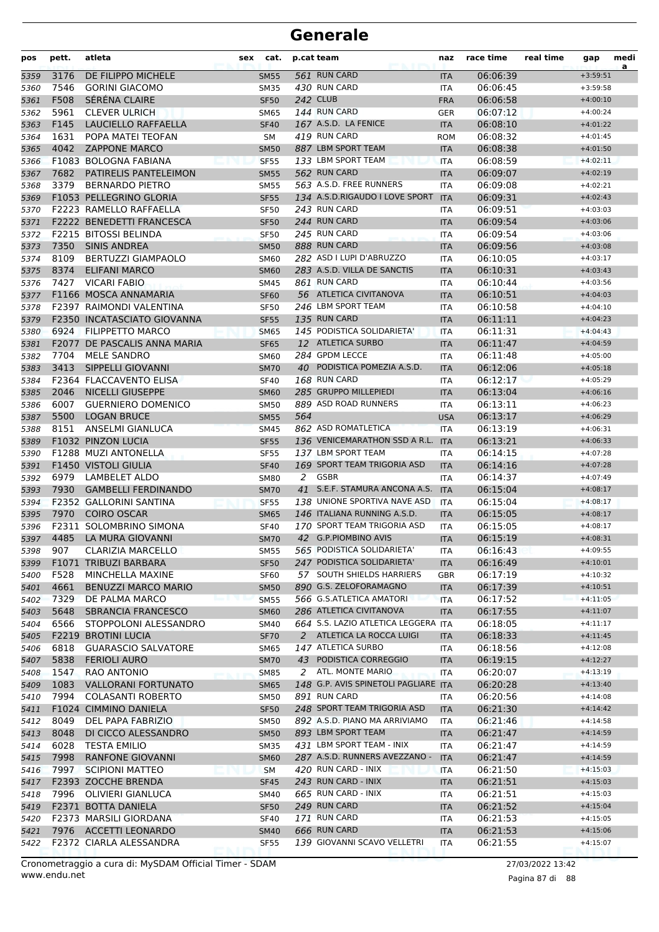| pos          | pett. | atleta                                             | sex | cat.                       | p.cat team |                                                             | naz                      | race time            | real time | gap                      | medi<br>a |
|--------------|-------|----------------------------------------------------|-----|----------------------------|------------|-------------------------------------------------------------|--------------------------|----------------------|-----------|--------------------------|-----------|
| 5359         | 3176  | DE FILIPPO MICHELE                                 |     | <b>SM55</b>                |            | 561 RUN CARD                                                | <b>ITA</b>               | 06:06:39             |           | $+3:59:51$               |           |
| 5360         | 7546  | <b>GORINI GIACOMO</b>                              |     | <b>SM35</b>                |            | 430 RUN CARD                                                | <b>ITA</b>               | 06:06:45             |           | $+3:59:58$               |           |
| 5361         | F508  | <b>SERENA CLAIRE</b>                               |     | <b>SF50</b>                |            | <b>242 CLUB</b>                                             | <b>FRA</b>               | 06:06:58             |           | $+4:00:10$               |           |
| 5362         | 5961  | <b>CLEVER ULRICH</b>                               |     | <b>SM65</b>                |            | 144 RUN CARD                                                | <b>GER</b>               | 06:07:12             |           | $+4:00:24$               |           |
| 5363         | F145  | LAUCIELLO RAFFAELLA                                |     | <b>SF40</b>                |            | 167 A.S.D. LA FENICE                                        | <b>ITA</b>               | 06:08:10             |           | $+4:01:22$               |           |
| 5364         | 1631  | POPA MATEI TEOFAN                                  |     | SM                         |            | 419 RUN CARD                                                | <b>ROM</b>               | 06:08:32             |           | $+4:01:45$               |           |
| 5365         | 4042  | <b>ZAPPONE MARCO</b>                               |     | <b>SM50</b>                |            | 887 LBM SPORT TEAM                                          | <b>ITA</b>               | 06:08:38             |           | $+4:01:50$               |           |
| 5366         |       | F1083 BOLOGNA FABIANA                              |     | <b>SF55</b>                |            | 133 LBM SPORT TEAM                                          | <b>ITA</b>               | 06:08:59             |           | $+4:02:11$               |           |
| 5367         | 7682  | PATIRELIS PANTELEIMON                              |     | <b>SM55</b>                |            | 562 RUN CARD                                                | <b>ITA</b>               | 06:09:07             |           | $+4:02:19$               |           |
| 5368         | 3379  | <b>BERNARDO PIETRO</b>                             |     | <b>SM55</b>                |            | 563 A.S.D. FREE RUNNERS                                     | <b>ITA</b>               | 06:09:08             |           | $+4:02:21$               |           |
| 5369         |       | F1053 PELLEGRINO GLORIA                            |     | <b>SF55</b>                |            | 134 A.S.D.RIGAUDO I LOVE SPORT                              | <b>ITA</b>               | 06:09:31             |           | $+4:02:43$               |           |
| 5370         |       | F2223 RAMELLO RAFFAELLA                            |     | <b>SF50</b>                |            | 243 RUN CARD                                                | <b>ITA</b>               | 06:09:51             |           | $+4:03:03$               |           |
| 5371         |       | <b>F2222 BENEDETTI FRANCESCA</b>                   |     | <b>SF50</b>                |            | 244 RUN CARD                                                | <b>ITA</b>               | 06:09:54             |           | $+4:03:06$               |           |
| 5372         |       | F2215 BITOSSI BELINDA                              |     | <b>SF50</b>                |            | 245 RUN CARD                                                | <b>ITA</b>               | 06:09:54             |           | $+4:03:06$               |           |
| 5373         | 7350  | SINIS ANDREA                                       |     | <b>SM50</b>                |            | 888 RUN CARD                                                | <b>ITA</b>               | 06:09:56             |           | $+4:03:08$               |           |
| 5374         | 8109  | <b>BERTUZZI GIAMPAOLO</b>                          |     | <b>SM60</b>                |            | 282 ASD I LUPI D'ABRUZZO                                    | ITA                      | 06:10:05             |           | $+4:03:17$               |           |
| 5375         | 8374  | <b>ELIFANI MARCO</b>                               |     | <b>SM60</b>                |            | 283 A.S.D. VILLA DE SANCTIS                                 | <b>ITA</b>               | 06:10:31             |           | $+4:03:43$               |           |
| 5376         | 7427  | <b>VICARI FABIO</b>                                |     | <b>SM45</b>                |            | 861 RUN CARD                                                | <b>ITA</b>               | 06:10:44             |           | $+4:03:56$               |           |
| 5377         |       | F1166 MOSCA ANNAMARIA                              |     | <b>SF60</b>                |            | 56 ATLETICA CIVITANOVA                                      | <b>ITA</b>               | 06:10:51             |           | $+4:04:03$               |           |
| 5378         |       | F2397 RAIMONDI VALENTINA                           |     | <b>SF50</b>                |            | 246 LBM SPORT TEAM                                          | <b>ITA</b>               | 06:10:58             |           | $+4:04:10$               |           |
| 5379         |       | <b>F2350 INCATASCIATO GIOVANNA</b>                 |     | <b>SF55</b>                |            | 135 RUN CARD                                                | <b>ITA</b>               | 06:11:11             |           | $+4:04:23$               |           |
| 5380         | 6924  | <b>FILIPPETTO MARCO</b>                            |     | <b>SM65</b>                |            | 145 PODISTICA SOLIDARIETA                                   | <b>ITA</b>               | 06:11:31             |           | $+4:04:43$               |           |
| 5381         |       | F2077 DE PASCALIS ANNA MARIA                       |     | <b>SF65</b>                |            | 12 ATLETICA SURBO                                           | <b>ITA</b>               | 06:11:47             |           | $+4:04:59$               |           |
| 5382         | 7704  | <b>MELE SANDRO</b>                                 |     | <b>SM60</b>                |            | 284 GPDM LECCE                                              | <b>ITA</b>               | 06:11:48             |           | $+4:05:00$               |           |
| 5383         | 3413  | SIPPELLI GIOVANNI                                  |     | <b>SM70</b>                |            | 40 PODISTICA POMEZIA A.S.D.                                 | <b>ITA</b>               | 06:12:06             |           | $+4:05:18$               |           |
| 5384         |       | F2364 FLACCAVENTO ELISA                            |     | <b>SF40</b>                |            | 168 RUN CARD                                                | <b>ITA</b>               | 06:12:17             |           | $+4:05:29$               |           |
| 5385         | 2046  | <b>NICELLI GIUSEPPE</b>                            |     | <b>SM60</b>                |            | 285 GRUPPO MILLEPIEDI                                       | <b>ITA</b>               | 06:13:04             |           | $+4:06:16$               |           |
| 5386         | 6007  | <b>GUERNIERO DOMENICO</b>                          |     | <b>SM50</b>                |            | 889 ASD ROAD RUNNERS                                        | ITA                      | 06:13:11             |           | $+4:06:23$               |           |
| 5387         | 5500  | <b>LOGAN BRUCE</b>                                 |     | <b>SM55</b>                | 564        |                                                             | <b>USA</b>               | 06:13:17             |           | $+4:06:29$               |           |
| 5388         | 8151  | ANSELMI GIANLUCA                                   |     | <b>SM45</b>                |            | 862 ASD ROMATLETICA                                         | <b>ITA</b>               | 06:13:19             |           | $+4:06:31$               |           |
| 5389         |       | F1032 PINZON LUCIA                                 |     | <b>SF55</b>                |            | 136 VENICEMARATHON SSD A R.L.                               | <b>ITA</b>               | 06:13:21             |           | $+4:06:33$               |           |
| 5390         |       | F1288 MUZI ANTONELLA                               |     | <b>SF55</b>                |            | 137 LBM SPORT TEAM                                          | ITA                      | 06:14:15             |           | $+4:07:28$               |           |
| 5391         |       | F1450 VISTOLI GIULIA                               |     | <b>SF40</b>                |            | 169 SPORT TEAM TRIGORIA ASD                                 | <b>ITA</b>               | 06:14:16             |           | $+4:07:28$               |           |
| 5392         | 6979  | <b>LAMBELET ALDO</b>                               |     | <b>SM80</b>                | 2          | <b>GSBR</b>                                                 | ITA                      | 06:14:37             |           | $+4:07:49$               |           |
| 5393         | 7930  | <b>GAMBELLI FERDINANDO</b>                         |     | <b>SM70</b>                |            | 41 S.E.F. STAMURA ANCONA A.S.                               | <b>ITA</b>               | 06:15:04             |           | $+4:08:17$               |           |
| 5394         |       | <b>F2352 GALLORINI SANTINA</b>                     |     | <b>SF55</b>                |            | 138 UNIONE SPORTIVA NAVE ASD<br>146 ITALIANA RUNNING A.S.D. | <b>ITA</b>               | 06:15:04             |           | $+4:08:17$               |           |
| 5395         | 7970  | <b>COIRO OSCAR</b>                                 |     | <b>SM65</b>                |            | 170 SPORT TEAM TRIGORIA ASD                                 | <b>ITA</b>               | 06:15:05             |           | $+4:08:17$               |           |
| 5396         | 4485  | <b>F2311 SOLOMBRINO SIMONA</b><br>LA MURA GIOVANNI |     | <b>SF40</b>                |            | 42 G.P.PIOMBINO AVIS                                        | ITA                      | 06:15:05             |           | $+4:08:17$<br>$+4:08:31$ |           |
| 5397         | 907   | <b>CLARIZIA MARCELLO</b>                           |     | <b>SM70</b>                |            | 565 PODISTICA SOLIDARIETA'                                  | <b>ITA</b>               | 06:15:19<br>06:16:43 |           | $+4:09:55$               |           |
| 5398         |       | F1071 TRIBUZI BARBARA                              |     | <b>SM55</b>                |            | 247 PODISTICA SOLIDARIETA'                                  | ITA                      | 06:16:49             |           | $+4:10:01$               |           |
| 5399<br>5400 | F528  | MINCHELLA MAXINE                                   |     | <b>SF50</b><br><b>SF60</b> |            | 57 SOUTH SHIELDS HARRIERS                                   | <b>ITA</b><br><b>GBR</b> | 06:17:19             |           | $+4:10:32$               |           |
| 5401         | 4661  | <b>BENUZZI MARCO MARIO</b>                         |     | <b>SM50</b>                |            | 890 G.S. ZELOFORAMAGNO                                      | <b>ITA</b>               | 06:17:39             |           | $+4:10:51$               |           |
| 5402         | 7329  | DE PALMA MARCO                                     |     | <b>SM55</b>                |            | 566 G.S.ATLETICA AMATORI                                    | <b>ITA</b>               | 06:17:52             |           | $+4:11:05$               |           |
| 5403         | 5648  | <b>SBRANCIA FRANCESCO</b>                          |     | <b>SM60</b>                |            | 286 ATLETICA CIVITANOVA                                     | <b>ITA</b>               | 06:17:55             |           | $+4:11:07$               |           |
| 5404         | 6566  | STOPPOLONI ALESSANDRO                              |     | SM40                       |            | 664 S.S. LAZIO ATLETICA LEGGERA ITA                         |                          | 06:18:05             |           | $+4:11:17$               |           |
| 5405         |       | F2219 BROTINI LUCIA                                |     | <b>SF70</b>                |            | 2 ATLETICA LA ROCCA LUIGI                                   | <b>ITA</b>               | 06:18:33             |           | $+4:11:45$               |           |
| 5406         | 6818  | <b>GUARASCIO SALVATORE</b>                         |     | <b>SM65</b>                |            | 147 ATLETICA SURBO                                          | <b>ITA</b>               | 06:18:56             |           | $+4:12:08$               |           |
| 5407         | 5838  | <b>FERIOLI AURO</b>                                |     | <b>SM70</b>                |            | 43 PODISTICA CORREGGIO                                      | <b>ITA</b>               | 06:19:15             |           | $+4:12:27$               |           |
| 5408         | 1547  | <b>RAO ANTONIO</b>                                 |     | <b>SM85</b>                |            | 2 ATL. MONTE MARIO                                          | <b>ITA</b>               | 06:20:07             |           | $+4:13:19$               |           |
| 5409         | 1083  | <b>VALLORANI FORTUNATO</b>                         |     | <b>SM65</b>                |            | 148 G.P. AVIS SPINETOLI PAGLIARE ITA                        |                          | 06:20:28             |           | $+4:13:40$               |           |
| 5410         | 7994  | <b>COLASANTI ROBERTO</b>                           |     | <b>SM50</b>                |            | 891 RUN CARD                                                | ITA                      | 06:20:56             |           | $+4:14:08$               |           |
| 5411         |       | F1024 CIMMINO DANIELA                              |     | <b>SF50</b>                |            | 248 SPORT TEAM TRIGORIA ASD                                 | <b>ITA</b>               | 06:21:30             |           | $+4:14:42$               |           |
| 5412         | 8049  | DEL PAPA FABRIZIO                                  |     | <b>SM50</b>                |            | 892 A.S.D. PIANO MA ARRIVIAMO                               | ITA                      | 06:21:46             |           | $+4:14:58$               |           |
| 5413         | 8048  | DI CICCO ALESSANDRO                                |     | <b>SM50</b>                |            | 893 LBM SPORT TEAM                                          | <b>ITA</b>               | 06:21:47             |           | $+4:14:59$               |           |
| 5414         | 6028  | <b>TESTA EMILIO</b>                                |     | <b>SM35</b>                |            | 431 LBM SPORT TEAM - INIX                                   | ITA                      | 06:21:47             |           | $+4:14:59$               |           |
| 5415         | 7998  | <b>RANFONE GIOVANNI</b>                            |     | <b>SM60</b>                |            | 287 A.S.D. RUNNERS AVEZZANO -                               | <b>ITA</b>               | 06:21:47             |           | $+4:14:59$               |           |
| 5416         | 7997  | <b>SCIPIONI MATTEO</b>                             |     | SM                         |            | 420 RUN CARD - INIX                                         | <b>ITA</b>               | 06:21:50             |           | $+4:15:03$               |           |
| 5417         |       | F2393 ZOCCHE BRENDA                                |     | <b>SF45</b>                |            | 243 RUN CARD - INIX                                         | <b>ITA</b>               | 06:21:51             |           | $+4:15:03$               |           |
| 5418         | 7996  | OLIVIERI GIANLUCA                                  |     | <b>SM40</b>                |            | 665 RUN CARD - INIX                                         | <b>ITA</b>               | 06:21:51             |           | $+4:15:03$               |           |
| 5419         |       | F2371 BOTTA DANIELA                                |     | <b>SF50</b>                |            | 249 RUN CARD                                                | <b>ITA</b>               | 06:21:52             |           | $+4:15:04$               |           |
| 5420         |       | F2373 MARSILI GIORDANA                             |     | <b>SF40</b>                |            | 171 RUN CARD                                                | ITA                      | 06:21:53             |           | $+4:15:05$               |           |
| 5421         | 7976  | ACCETTI LEONARDO                                   |     | <b>SM40</b>                |            | 666 RUN CARD                                                | <b>ITA</b>               | 06:21:53             |           | $+4:15:06$               |           |
| 5422         |       | F2372 CIARLA ALESSANDRA                            |     | <b>SF55</b>                |            | 139 GIOVANNI SCAVO VELLETRI                                 | ITA                      | 06:21:55             |           | $+4:15:07$               |           |
|              |       |                                                    |     |                            |            |                                                             |                          |                      |           |                          |           |

www.endu.net Cronometraggio a cura di: MySDAM Official Timer - SDAM 27/03/2022 13:42

Pagina 87 di 88